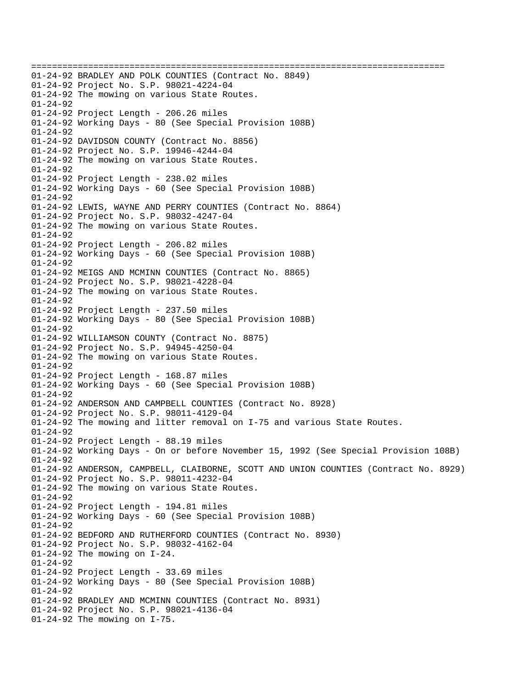================================================================================ 01-24-92 BRADLEY AND POLK COUNTIES (Contract No. 8849) 01-24-92 Project No. S.P. 98021-4224-04 01-24-92 The mowing on various State Routes. 01-24-92 01-24-92 Project Length - 206.26 miles 01-24-92 Working Days - 80 (See Special Provision 108B) 01-24-92 01-24-92 DAVIDSON COUNTY (Contract No. 8856) 01-24-92 Project No. S.P. 19946-4244-04 01-24-92 The mowing on various State Routes. 01-24-92 01-24-92 Project Length - 238.02 miles 01-24-92 Working Days - 60 (See Special Provision 108B) 01-24-92 01-24-92 LEWIS, WAYNE AND PERRY COUNTIES (Contract No. 8864) 01-24-92 Project No. S.P. 98032-4247-04 01-24-92 The mowing on various State Routes. 01-24-92 01-24-92 Project Length - 206.82 miles 01-24-92 Working Days - 60 (See Special Provision 108B) 01-24-92 01-24-92 MEIGS AND MCMINN COUNTIES (Contract No. 8865) 01-24-92 Project No. S.P. 98021-4228-04 01-24-92 The mowing on various State Routes. 01-24-92 01-24-92 Project Length - 237.50 miles 01-24-92 Working Days - 80 (See Special Provision 108B) 01-24-92 01-24-92 WILLIAMSON COUNTY (Contract No. 8875) 01-24-92 Project No. S.P. 94945-4250-04 01-24-92 The mowing on various State Routes. 01-24-92 01-24-92 Project Length - 168.87 miles 01-24-92 Working Days - 60 (See Special Provision 108B) 01-24-92 01-24-92 ANDERSON AND CAMPBELL COUNTIES (Contract No. 8928) 01-24-92 Project No. S.P. 98011-4129-04 01-24-92 The mowing and litter removal on I-75 and various State Routes. 01-24-92 01-24-92 Project Length - 88.19 miles 01-24-92 Working Days - On or before November 15, 1992 (See Special Provision 108B)  $01 - 24 - 92$ 01-24-92 ANDERSON, CAMPBELL, CLAIBORNE, SCOTT AND UNION COUNTIES (Contract No. 8929) 01-24-92 Project No. S.P. 98011-4232-04 01-24-92 The mowing on various State Routes. 01-24-92 01-24-92 Project Length - 194.81 miles 01-24-92 Working Days - 60 (See Special Provision 108B) 01-24-92 01-24-92 BEDFORD AND RUTHERFORD COUNTIES (Contract No. 8930) 01-24-92 Project No. S.P. 98032-4162-04 01-24-92 The mowing on I-24. 01-24-92 01-24-92 Project Length - 33.69 miles 01-24-92 Working Days - 80 (See Special Provision 108B) 01-24-92 01-24-92 BRADLEY AND MCMINN COUNTIES (Contract No. 8931) 01-24-92 Project No. S.P. 98021-4136-04 01-24-92 The mowing on I-75.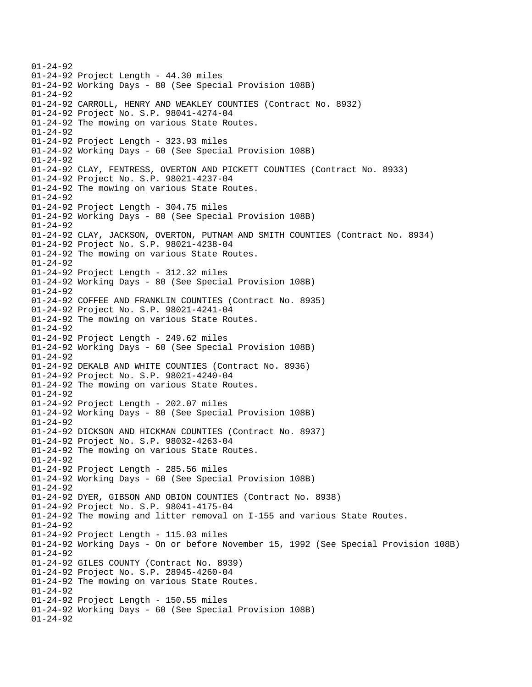01-24-92 01-24-92 Project Length - 44.30 miles 01-24-92 Working Days - 80 (See Special Provision 108B) 01-24-92 01-24-92 CARROLL, HENRY AND WEAKLEY COUNTIES (Contract No. 8932) 01-24-92 Project No. S.P. 98041-4274-04 01-24-92 The mowing on various State Routes. 01-24-92 01-24-92 Project Length - 323.93 miles 01-24-92 Working Days - 60 (See Special Provision 108B) 01-24-92 01-24-92 CLAY, FENTRESS, OVERTON AND PICKETT COUNTIES (Contract No. 8933) 01-24-92 Project No. S.P. 98021-4237-04 01-24-92 The mowing on various State Routes. 01-24-92 01-24-92 Project Length - 304.75 miles 01-24-92 Working Days - 80 (See Special Provision 108B) 01-24-92 01-24-92 CLAY, JACKSON, OVERTON, PUTNAM AND SMITH COUNTIES (Contract No. 8934) 01-24-92 Project No. S.P. 98021-4238-04 01-24-92 The mowing on various State Routes. 01-24-92 01-24-92 Project Length - 312.32 miles 01-24-92 Working Days - 80 (See Special Provision 108B) 01-24-92 01-24-92 COFFEE AND FRANKLIN COUNTIES (Contract No. 8935) 01-24-92 Project No. S.P. 98021-4241-04 01-24-92 The mowing on various State Routes. 01-24-92 01-24-92 Project Length - 249.62 miles 01-24-92 Working Days - 60 (See Special Provision 108B) 01-24-92 01-24-92 DEKALB AND WHITE COUNTIES (Contract No. 8936) 01-24-92 Project No. S.P. 98021-4240-04 01-24-92 The mowing on various State Routes. 01-24-92 01-24-92 Project Length - 202.07 miles 01-24-92 Working Days - 80 (See Special Provision 108B) 01-24-92 01-24-92 DICKSON AND HICKMAN COUNTIES (Contract No. 8937) 01-24-92 Project No. S.P. 98032-4263-04 01-24-92 The mowing on various State Routes. 01-24-92 01-24-92 Project Length - 285.56 miles 01-24-92 Working Days - 60 (See Special Provision 108B) 01-24-92 01-24-92 DYER, GIBSON AND OBION COUNTIES (Contract No. 8938) 01-24-92 Project No. S.P. 98041-4175-04 01-24-92 The mowing and litter removal on I-155 and various State Routes. 01-24-92 01-24-92 Project Length - 115.03 miles 01-24-92 Working Days - On or before November 15, 1992 (See Special Provision 108B) 01-24-92 01-24-92 GILES COUNTY (Contract No. 8939) 01-24-92 Project No. S.P. 28945-4260-04 01-24-92 The mowing on various State Routes. 01-24-92 01-24-92 Project Length - 150.55 miles 01-24-92 Working Days - 60 (See Special Provision 108B) 01-24-92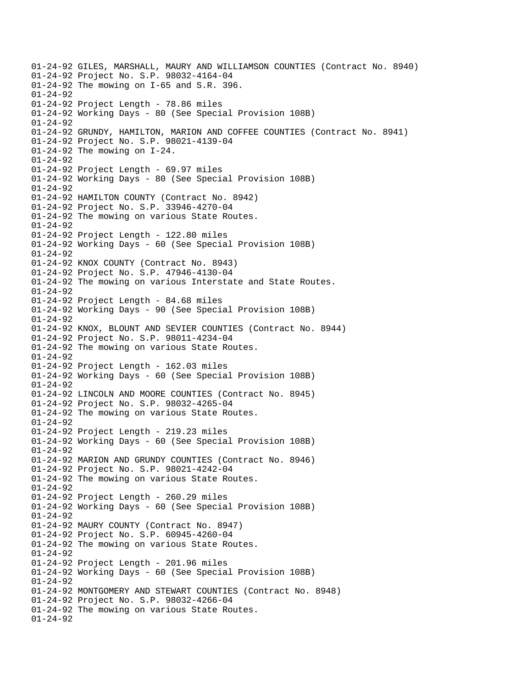01-24-92 GILES, MARSHALL, MAURY AND WILLIAMSON COUNTIES (Contract No. 8940) 01-24-92 Project No. S.P. 98032-4164-04 01-24-92 The mowing on I-65 and S.R. 396. 01-24-92 01-24-92 Project Length - 78.86 miles 01-24-92 Working Days - 80 (See Special Provision 108B) 01-24-92 01-24-92 GRUNDY, HAMILTON, MARION AND COFFEE COUNTIES (Contract No. 8941) 01-24-92 Project No. S.P. 98021-4139-04 01-24-92 The mowing on I-24. 01-24-92 01-24-92 Project Length - 69.97 miles 01-24-92 Working Days - 80 (See Special Provision 108B) 01-24-92 01-24-92 HAMILTON COUNTY (Contract No. 8942) 01-24-92 Project No. S.P. 33946-4270-04 01-24-92 The mowing on various State Routes. 01-24-92 01-24-92 Project Length - 122.80 miles 01-24-92 Working Days - 60 (See Special Provision 108B) 01-24-92 01-24-92 KNOX COUNTY (Contract No. 8943) 01-24-92 Project No. S.P. 47946-4130-04 01-24-92 The mowing on various Interstate and State Routes. 01-24-92 01-24-92 Project Length - 84.68 miles 01-24-92 Working Days - 90 (See Special Provision 108B) 01-24-92 01-24-92 KNOX, BLOUNT AND SEVIER COUNTIES (Contract No. 8944) 01-24-92 Project No. S.P. 98011-4234-04 01-24-92 The mowing on various State Routes. 01-24-92 01-24-92 Project Length - 162.03 miles 01-24-92 Working Days - 60 (See Special Provision 108B) 01-24-92 01-24-92 LINCOLN AND MOORE COUNTIES (Contract No. 8945) 01-24-92 Project No. S.P. 98032-4265-04 01-24-92 The mowing on various State Routes. 01-24-92 01-24-92 Project Length - 219.23 miles 01-24-92 Working Days - 60 (See Special Provision 108B) 01-24-92 01-24-92 MARION AND GRUNDY COUNTIES (Contract No. 8946) 01-24-92 Project No. S.P. 98021-4242-04 01-24-92 The mowing on various State Routes. 01-24-92 01-24-92 Project Length - 260.29 miles 01-24-92 Working Days - 60 (See Special Provision 108B) 01-24-92 01-24-92 MAURY COUNTY (Contract No. 8947) 01-24-92 Project No. S.P. 60945-4260-04 01-24-92 The mowing on various State Routes. 01-24-92 01-24-92 Project Length - 201.96 miles 01-24-92 Working Days - 60 (See Special Provision 108B) 01-24-92 01-24-92 MONTGOMERY AND STEWART COUNTIES (Contract No. 8948) 01-24-92 Project No. S.P. 98032-4266-04 01-24-92 The mowing on various State Routes. 01-24-92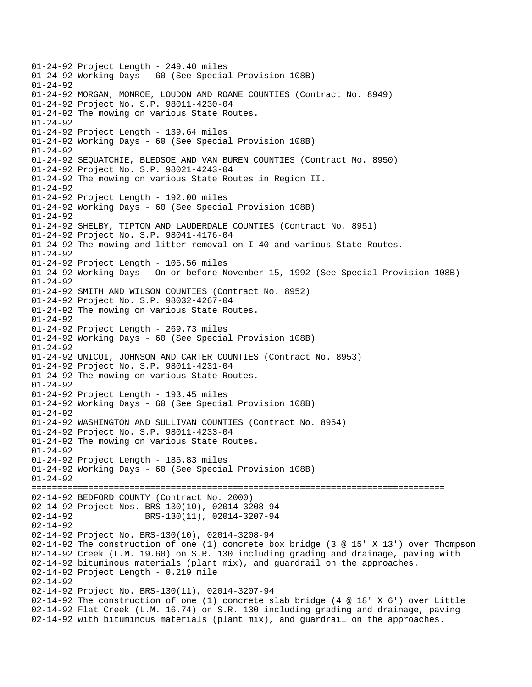01-24-92 Project Length - 249.40 miles 01-24-92 Working Days - 60 (See Special Provision 108B)  $01 - 24 - 92$ 01-24-92 MORGAN, MONROE, LOUDON AND ROANE COUNTIES (Contract No. 8949) 01-24-92 Project No. S.P. 98011-4230-04 01-24-92 The mowing on various State Routes. 01-24-92 01-24-92 Project Length - 139.64 miles 01-24-92 Working Days - 60 (See Special Provision 108B) 01-24-92 01-24-92 SEQUATCHIE, BLEDSOE AND VAN BUREN COUNTIES (Contract No. 8950) 01-24-92 Project No. S.P. 98021-4243-04 01-24-92 The mowing on various State Routes in Region II. 01-24-92 01-24-92 Project Length - 192.00 miles 01-24-92 Working Days - 60 (See Special Provision 108B) 01-24-92 01-24-92 SHELBY, TIPTON AND LAUDERDALE COUNTIES (Contract No. 8951) 01-24-92 Project No. S.P. 98041-4176-04 01-24-92 The mowing and litter removal on I-40 and various State Routes. 01-24-92 01-24-92 Project Length - 105.56 miles 01-24-92 Working Days - On or before November 15, 1992 (See Special Provision 108B) 01-24-92 01-24-92 SMITH AND WILSON COUNTIES (Contract No. 8952) 01-24-92 Project No. S.P. 98032-4267-04 01-24-92 The mowing on various State Routes. 01-24-92 01-24-92 Project Length - 269.73 miles 01-24-92 Working Days - 60 (See Special Provision 108B) 01-24-92 01-24-92 UNICOI, JOHNSON AND CARTER COUNTIES (Contract No. 8953) 01-24-92 Project No. S.P. 98011-4231-04 01-24-92 The mowing on various State Routes. 01-24-92 01-24-92 Project Length - 193.45 miles 01-24-92 Working Days - 60 (See Special Provision 108B) 01-24-92 01-24-92 WASHINGTON AND SULLIVAN COUNTIES (Contract No. 8954) 01-24-92 Project No. S.P. 98011-4233-04 01-24-92 The mowing on various State Routes.  $01 - 24 - 92$ 01-24-92 Project Length - 185.83 miles 01-24-92 Working Days - 60 (See Special Provision 108B) 01-24-92 ================================================================================ 02-14-92 BEDFORD COUNTY (Contract No. 2000) 02-14-92 Project Nos. BRS-130(10), 02014-3208-94 02-14-92 BRS-130(11), 02014-3207-94 02-14-92 02-14-92 Project No. BRS-130(10), 02014-3208-94 02-14-92 The construction of one (1) concrete box bridge (3 @ 15' X 13') over Thompson 02-14-92 Creek (L.M. 19.60) on S.R. 130 including grading and drainage, paving with 02-14-92 bituminous materials (plant mix), and guardrail on the approaches. 02-14-92 Project Length - 0.219 mile 02-14-92 02-14-92 Project No. BRS-130(11), 02014-3207-94 02-14-92 The construction of one (1) concrete slab bridge (4 @ 18' X 6') over Little 02-14-92 Flat Creek (L.M. 16.74) on S.R. 130 including grading and drainage, paving 02-14-92 with bituminous materials (plant mix), and guardrail on the approaches.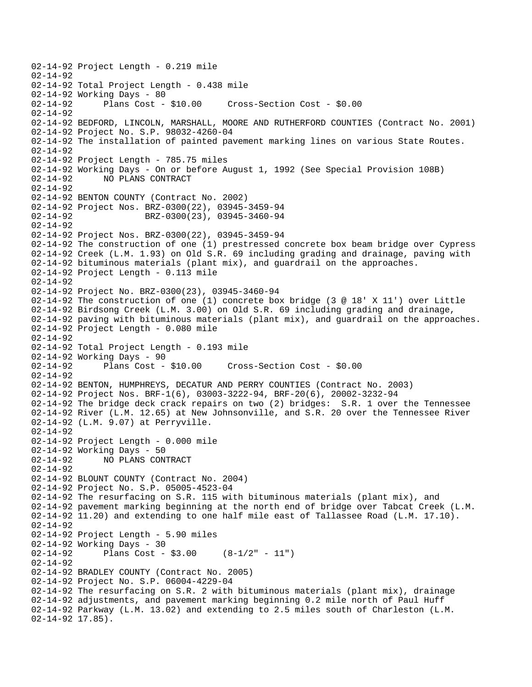02-14-92 Project Length - 0.219 mile 02-14-92 02-14-92 Total Project Length - 0.438 mile 02-14-92 Working Days - 80<br>02-14-92 Plans Cost - \$10.00 02-14-92 Plans Cost - \$10.00 Cross-Section Cost - \$0.00 02-14-92 02-14-92 BEDFORD, LINCOLN, MARSHALL, MOORE AND RUTHERFORD COUNTIES (Contract No. 2001) 02-14-92 Project No. S.P. 98032-4260-04 02-14-92 The installation of painted pavement marking lines on various State Routes. 02-14-92 02-14-92 Project Length - 785.75 miles 02-14-92 Working Days - On or before August 1, 1992 (See Special Provision 108B) 02-14-92 NO PLANS CONTRACT 02-14-92 02-14-92 BENTON COUNTY (Contract No. 2002) 02-14-92 Project Nos. BRZ-0300(22), 03945-3459-94 02-14-92 BRZ-0300(23), 03945-3460-94 02-14-92 02-14-92 Project Nos. BRZ-0300(22), 03945-3459-94 02-14-92 The construction of one (1) prestressed concrete box beam bridge over Cypress 02-14-92 Creek (L.M. 1.93) on Old S.R. 69 including grading and drainage, paving with 02-14-92 bituminous materials (plant mix), and guardrail on the approaches. 02-14-92 Project Length - 0.113 mile 02-14-92 02-14-92 Project No. BRZ-0300(23), 03945-3460-94 02-14-92 The construction of one (1) concrete box bridge (3 @ 18' X 11') over Little 02-14-92 Birdsong Creek (L.M. 3.00) on Old S.R. 69 including grading and drainage, 02-14-92 paving with bituminous materials (plant mix), and guardrail on the approaches. 02-14-92 Project Length - 0.080 mile 02-14-92 02-14-92 Total Project Length - 0.193 mile 02-14-92 Working Days - 90<br>02-14-92 Plans Cost - \$10.00 Cross-Section Cost - \$0.00 02-14-92 02-14-92 BENTON, HUMPHREYS, DECATUR AND PERRY COUNTIES (Contract No. 2003) 02-14-92 Project Nos. BRF-1(6), 03003-3222-94, BRF-20(6), 20002-3232-94 02-14-92 The bridge deck crack repairs on two (2) bridges: S.R. 1 over the Tennessee 02-14-92 River (L.M. 12.65) at New Johnsonville, and S.R. 20 over the Tennessee River 02-14-92 (L.M. 9.07) at Perryville. 02-14-92 02-14-92 Project Length - 0.000 mile 02-14-92 Working Days - 50 02-14-92 NO PLANS CONTRACT 02-14-92 02-14-92 BLOUNT COUNTY (Contract No. 2004) 02-14-92 Project No. S.P. 05005-4523-04 02-14-92 The resurfacing on S.R. 115 with bituminous materials (plant mix), and 02-14-92 pavement marking beginning at the north end of bridge over Tabcat Creek (L.M. 02-14-92 11.20) and extending to one half mile east of Tallassee Road (L.M. 17.10). 02-14-92 02-14-92 Project Length - 5.90 miles 02-14-92 Working Days - 30 02-14-92 Plans Cost - \$3.00 (8-1/2" - 11") 02-14-92 02-14-92 BRADLEY COUNTY (Contract No. 2005) 02-14-92 Project No. S.P. 06004-4229-04 02-14-92 The resurfacing on S.R. 2 with bituminous materials (plant mix), drainage 02-14-92 adjustments, and pavement marking beginning 0.2 mile north of Paul Huff 02-14-92 Parkway (L.M. 13.02) and extending to 2.5 miles south of Charleston (L.M. 02-14-92 17.85).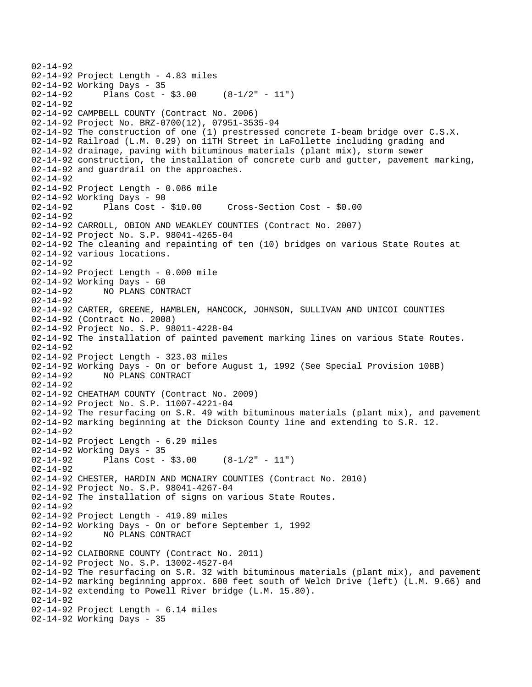02-14-92 02-14-92 Project Length - 4.83 miles 02-14-92 Working Days - 35 02-14-92 Plans Cost - \$3.00 (8-1/2" - 11") 02-14-92 02-14-92 CAMPBELL COUNTY (Contract No. 2006) 02-14-92 Project No. BRZ-0700(12), 07951-3535-94 02-14-92 The construction of one (1) prestressed concrete I-beam bridge over C.S.X. 02-14-92 Railroad (L.M. 0.29) on 11TH Street in LaFollette including grading and 02-14-92 drainage, paving with bituminous materials (plant mix), storm sewer 02-14-92 construction, the installation of concrete curb and gutter, pavement marking, 02-14-92 and guardrail on the approaches. 02-14-92 02-14-92 Project Length - 0.086 mile 02-14-92 Working Days - 90 02-14-92 Plans Cost - \$10.00 Cross-Section Cost - \$0.00 02-14-92 02-14-92 CARROLL, OBION AND WEAKLEY COUNTIES (Contract No. 2007) 02-14-92 Project No. S.P. 98041-4265-04 02-14-92 The cleaning and repainting of ten (10) bridges on various State Routes at 02-14-92 various locations. 02-14-92 02-14-92 Project Length - 0.000 mile 02-14-92 Working Days - 60 02-14-92 NO PLANS CONTRACT 02-14-92 02-14-92 CARTER, GREENE, HAMBLEN, HANCOCK, JOHNSON, SULLIVAN AND UNICOI COUNTIES 02-14-92 (Contract No. 2008) 02-14-92 Project No. S.P. 98011-4228-04 02-14-92 The installation of painted pavement marking lines on various State Routes. 02-14-92 02-14-92 Project Length - 323.03 miles 02-14-92 Working Days - On or before August 1, 1992 (See Special Provision 108B) 02-14-92 NO PLANS CONTRACT 02-14-92 02-14-92 CHEATHAM COUNTY (Contract No. 2009) 02-14-92 Project No. S.P. 11007-4221-04 02-14-92 The resurfacing on S.R. 49 with bituminous materials (plant mix), and pavement 02-14-92 marking beginning at the Dickson County line and extending to S.R. 12.  $02 - 14 - 92$ 02-14-92 Project Length - 6.29 miles 02-14-92 Working Days - 35  $02-14-92$  Plans Cost - \$3.00  $(8-1/2" - 11")$ 02-14-92 02-14-92 CHESTER, HARDIN AND MCNAIRY COUNTIES (Contract No. 2010) 02-14-92 Project No. S.P. 98041-4267-04 02-14-92 The installation of signs on various State Routes. 02-14-92 02-14-92 Project Length - 419.89 miles 02-14-92 Working Days - On or before September 1, 1992 02-14-92 NO PLANS CONTRACT 02-14-92 02-14-92 CLAIBORNE COUNTY (Contract No. 2011) 02-14-92 Project No. S.P. 13002-4527-04 02-14-92 The resurfacing on S.R. 32 with bituminous materials (plant mix), and pavement 02-14-92 marking beginning approx. 600 feet south of Welch Drive (left) (L.M. 9.66) and 02-14-92 extending to Powell River bridge (L.M. 15.80). 02-14-92 02-14-92 Project Length - 6.14 miles 02-14-92 Working Days - 35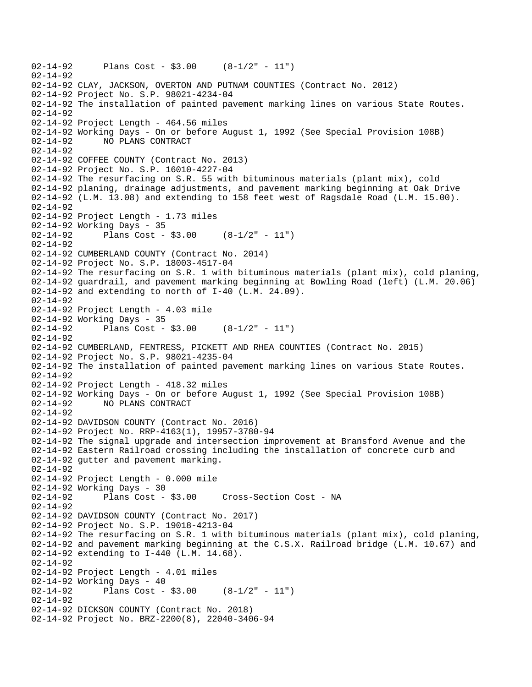```
02-14-92 Plans Cost - $3.00 (8-1/2" - 11") 
02-14-92 
02-14-92 CLAY, JACKSON, OVERTON AND PUTNAM COUNTIES (Contract No. 2012) 
02-14-92 Project No. S.P. 98021-4234-04 
02-14-92 The installation of painted pavement marking lines on various State Routes. 
02-14-92 
02-14-92 Project Length - 464.56 miles 
02-14-92 Working Days - On or before August 1, 1992 (See Special Provision 108B) 
02-14-92 NO PLANS CONTRACT 
02-14-92 
02-14-92 COFFEE COUNTY (Contract No. 2013) 
02-14-92 Project No. S.P. 16010-4227-04 
02-14-92 The resurfacing on S.R. 55 with bituminous materials (plant mix), cold 
02-14-92 planing, drainage adjustments, and pavement marking beginning at Oak Drive 
02-14-92 (L.M. 13.08) and extending to 158 feet west of Ragsdale Road (L.M. 15.00). 
02 - 14 - 9202-14-92 Project Length - 1.73 miles 
02-14-92 Working Days - 35 
02-14-92 Plans Cost - $3.00 (8-1/2" - 11") 
02-14-92 
02-14-92 CUMBERLAND COUNTY (Contract No. 2014) 
02-14-92 Project No. S.P. 18003-4517-04 
02-14-92 The resurfacing on S.R. 1 with bituminous materials (plant mix), cold planing, 
02-14-92 guardrail, and pavement marking beginning at Bowling Road (left) (L.M. 20.06) 
02-14-92 and extending to north of I-40 (L.M. 24.09). 
02-14-92 
02-14-92 Project Length - 4.03 mile 
02-14-92 Working Days - 35 
02-14-92 Plans Cost - $3.00 (8-1/2" - 11") 
02-14-92 
02-14-92 CUMBERLAND, FENTRESS, PICKETT AND RHEA COUNTIES (Contract No. 2015) 
02-14-92 Project No. S.P. 98021-4235-04 
02-14-92 The installation of painted pavement marking lines on various State Routes. 
02-14-92 
02-14-92 Project Length - 418.32 miles 
02-14-92 Working Days - On or before August 1, 1992 (See Special Provision 108B)<br>02-14-92     NO PLANS CONTRACT
             02-14-92 NO PLANS CONTRACT 
02-14-92 
02-14-92 DAVIDSON COUNTY (Contract No. 2016) 
02-14-92 Project No. RRP-4163(1), 19957-3780-94 
02-14-92 The signal upgrade and intersection improvement at Bransford Avenue and the 
02-14-92 Eastern Railroad crossing including the installation of concrete curb and 
02-14-92 gutter and pavement marking. 
02-14-92 
02-14-92 Project Length - 0.000 mile 
02-14-92 Working Days - 30 
02-14-92 Plans Cost - $3.00 Cross-Section Cost - NA 
02-14-92 
02-14-92 DAVIDSON COUNTY (Contract No. 2017) 
02-14-92 Project No. S.P. 19018-4213-04 
02-14-92 The resurfacing on S.R. 1 with bituminous materials (plant mix), cold planing, 
02-14-92 and pavement marking beginning at the C.S.X. Railroad bridge (L.M. 10.67) and 
02-14-92 extending to I-440 (L.M. 14.68). 
02-14-92 
02-14-92 Project Length - 4.01 miles 
02-14-92 Working Days - 40 
02-14-92 Plans Cost - $3.00 (8-1/2" - 11") 
02-14-92 
02-14-92 DICKSON COUNTY (Contract No. 2018) 
02-14-92 Project No. BRZ-2200(8), 22040-3406-94
```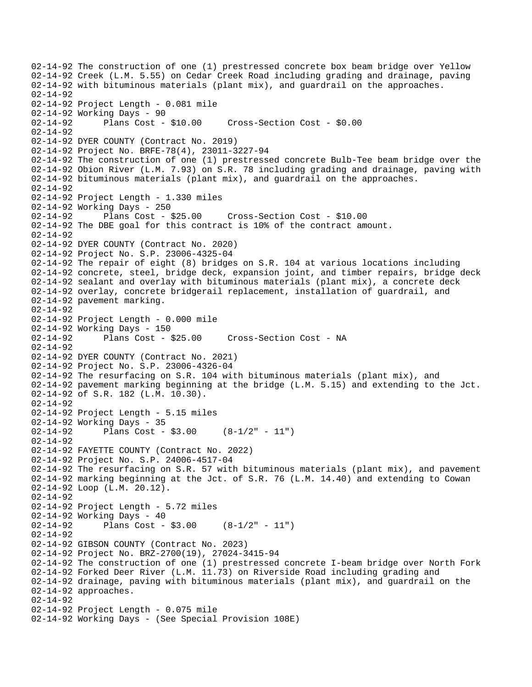02-14-92 The construction of one (1) prestressed concrete box beam bridge over Yellow 02-14-92 Creek (L.M. 5.55) on Cedar Creek Road including grading and drainage, paving 02-14-92 with bituminous materials (plant mix), and guardrail on the approaches. 02-14-92 02-14-92 Project Length - 0.081 mile 02-14-92 Working Days - 90<br>02-14-92 Plans Cost - \$10.00 02-14-92 Plans Cost - \$10.00 Cross-Section Cost - \$0.00 02-14-92 02-14-92 DYER COUNTY (Contract No. 2019) 02-14-92 Project No. BRFE-78(4), 23011-3227-94 02-14-92 The construction of one (1) prestressed concrete Bulb-Tee beam bridge over the 02-14-92 Obion River (L.M. 7.93) on S.R. 78 including grading and drainage, paving with 02-14-92 bituminous materials (plant mix), and guardrail on the approaches. 02-14-92 02-14-92 Project Length - 1.330 miles 02-14-92 Working Days - 250 02-14-92 Plans Cost - \$25.00 Cross-Section Cost - \$10.00 02-14-92 The DBE goal for this contract is 10% of the contract amount. 02-14-92 02-14-92 DYER COUNTY (Contract No. 2020) 02-14-92 Project No. S.P. 23006-4325-04 02-14-92 The repair of eight (8) bridges on S.R. 104 at various locations including 02-14-92 concrete, steel, bridge deck, expansion joint, and timber repairs, bridge deck 02-14-92 sealant and overlay with bituminous materials (plant mix), a concrete deck 02-14-92 overlay, concrete bridgerail replacement, installation of guardrail, and 02-14-92 pavement marking. 02-14-92 02-14-92 Project Length - 0.000 mile 02-14-92 Working Days - 150 02-14-92 Plans Cost - \$25.00 Cross-Section Cost - NA 02-14-92 02-14-92 DYER COUNTY (Contract No. 2021) 02-14-92 Project No. S.P. 23006-4326-04 02-14-92 The resurfacing on S.R. 104 with bituminous materials (plant mix), and 02-14-92 pavement marking beginning at the bridge (L.M. 5.15) and extending to the Jct. 02-14-92 of S.R. 182 (L.M. 10.30). 02-14-92 02-14-92 Project Length - 5.15 miles 02-14-92 Working Days - 35  $02-14-92$  Plans Cost - \$3.00  $(8-1/2" - 11")$ 02-14-92 02-14-92 FAYETTE COUNTY (Contract No. 2022) 02-14-92 Project No. S.P. 24006-4517-04 02-14-92 The resurfacing on S.R. 57 with bituminous materials (plant mix), and pavement 02-14-92 marking beginning at the Jct. of S.R. 76 (L.M. 14.40) and extending to Cowan 02-14-92 Loop (L.M. 20.12). 02-14-92 02-14-92 Project Length - 5.72 miles 02-14-92 Working Days - 40 02-14-92 Plans Cost - \$3.00 (8-1/2" - 11") 02-14-92 02-14-92 GIBSON COUNTY (Contract No. 2023) 02-14-92 Project No. BRZ-2700(19), 27024-3415-94 02-14-92 The construction of one (1) prestressed concrete I-beam bridge over North Fork 02-14-92 Forked Deer River (L.M. 11.73) on Riverside Road including grading and 02-14-92 drainage, paving with bituminous materials (plant mix), and guardrail on the 02-14-92 approaches. 02-14-92 02-14-92 Project Length - 0.075 mile 02-14-92 Working Days - (See Special Provision 108E)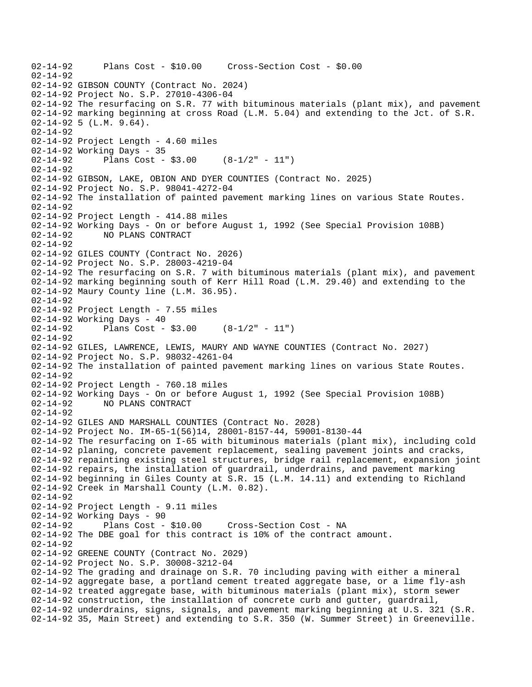02-14-92 Plans Cost - \$10.00 Cross-Section Cost - \$0.00 02-14-92 02-14-92 GIBSON COUNTY (Contract No. 2024) 02-14-92 Project No. S.P. 27010-4306-04 02-14-92 The resurfacing on S.R. 77 with bituminous materials (plant mix), and pavement 02-14-92 marking beginning at cross Road (L.M. 5.04) and extending to the Jct. of S.R. 02-14-92 5 (L.M. 9.64). 02-14-92 02-14-92 Project Length - 4.60 miles 02-14-92 Working Days - 35 02-14-92 Plans Cost - \$3.00 (8-1/2" - 11") 02-14-92 02-14-92 GIBSON, LAKE, OBION AND DYER COUNTIES (Contract No. 2025) 02-14-92 Project No. S.P. 98041-4272-04 02-14-92 The installation of painted pavement marking lines on various State Routes.  $02 - 14 - 92$ 02-14-92 Project Length - 414.88 miles 02-14-92 Working Days - On or before August 1, 1992 (See Special Provision 108B) 02-14-92 NO PLANS CONTRACT 02-14-92 02-14-92 GILES COUNTY (Contract No. 2026) 02-14-92 Project No. S.P. 28003-4219-04 02-14-92 The resurfacing on S.R. 7 with bituminous materials (plant mix), and pavement 02-14-92 marking beginning south of Kerr Hill Road (L.M. 29.40) and extending to the 02-14-92 Maury County line (L.M. 36.95). 02-14-92 02-14-92 Project Length - 7.55 miles 02-14-92 Working Days - 40 02-14-92 Plans Cost - \$3.00 (8-1/2" - 11") 02-14-92 02-14-92 GILES, LAWRENCE, LEWIS, MAURY AND WAYNE COUNTIES (Contract No. 2027) 02-14-92 Project No. S.P. 98032-4261-04 02-14-92 The installation of painted pavement marking lines on various State Routes. 02-14-92 02-14-92 Project Length - 760.18 miles 02-14-92 Working Days - On or before August 1, 1992 (See Special Provision 108B)<br>02-14-92 NO PLANS CONTRACT 02-14-92 NO PLANS CONTRACT 02-14-92 02-14-92 GILES AND MARSHALL COUNTIES (Contract No. 2028) 02-14-92 Project No. IM-65-1(56)14, 28001-8157-44, 59001-8130-44 02-14-92 The resurfacing on I-65 with bituminous materials (plant mix), including cold 02-14-92 planing, concrete pavement replacement, sealing pavement joints and cracks, 02-14-92 repainting existing steel structures, bridge rail replacement, expansion joint 02-14-92 repairs, the installation of guardrail, underdrains, and pavement marking 02-14-92 beginning in Giles County at S.R. 15 (L.M. 14.11) and extending to Richland 02-14-92 Creek in Marshall County (L.M. 0.82). 02-14-92 02-14-92 Project Length - 9.11 miles 02-14-92 Working Days - 90<br>02-14-92 Plans Cost - \$10.00 02-14-92 Plans Cost - \$10.00 Cross-Section Cost - NA 02-14-92 The DBE goal for this contract is 10% of the contract amount. 02-14-92 02-14-92 GREENE COUNTY (Contract No. 2029) 02-14-92 Project No. S.P. 30008-3212-04 02-14-92 The grading and drainage on S.R. 70 including paving with either a mineral 02-14-92 aggregate base, a portland cement treated aggregate base, or a lime fly-ash 02-14-92 treated aggregate base, with bituminous materials (plant mix), storm sewer 02-14-92 construction, the installation of concrete curb and gutter, guardrail, 02-14-92 underdrains, signs, signals, and pavement marking beginning at U.S. 321 (S.R. 02-14-92 35, Main Street) and extending to S.R. 350 (W. Summer Street) in Greeneville.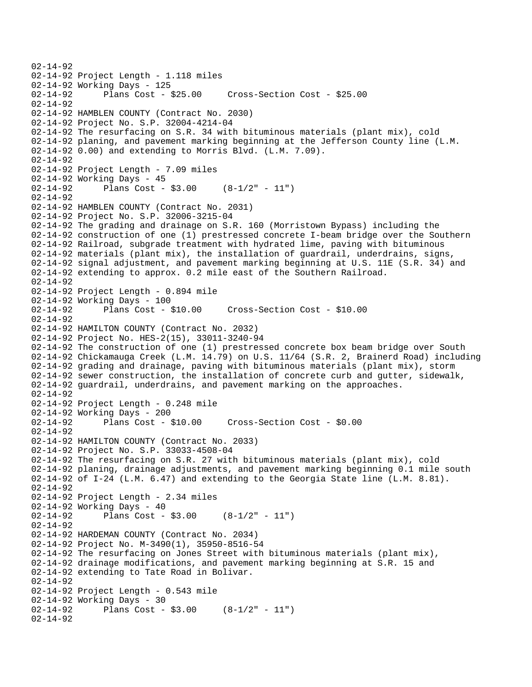02-14-92 02-14-92 Project Length - 1.118 miles 02-14-92 Working Days - 125 02-14-92 Plans Cost - \$25.00 Cross-Section Cost - \$25.00 02-14-92 02-14-92 HAMBLEN COUNTY (Contract No. 2030) 02-14-92 Project No. S.P. 32004-4214-04 02-14-92 The resurfacing on S.R. 34 with bituminous materials (plant mix), cold 02-14-92 planing, and pavement marking beginning at the Jefferson County line (L.M. 02-14-92 0.00) and extending to Morris Blvd. (L.M. 7.09). 02-14-92 02-14-92 Project Length - 7.09 miles 02-14-92 Working Days - 45 02-14-92 Plans Cost - \$3.00 (8-1/2" - 11") 02-14-92 02-14-92 HAMBLEN COUNTY (Contract No. 2031) 02-14-92 Project No. S.P. 32006-3215-04 02-14-92 The grading and drainage on S.R. 160 (Morristown Bypass) including the 02-14-92 construction of one (1) prestressed concrete I-beam bridge over the Southern 02-14-92 Railroad, subgrade treatment with hydrated lime, paving with bituminous 02-14-92 materials (plant mix), the installation of guardrail, underdrains, signs, 02-14-92 signal adjustment, and pavement marking beginning at U.S. 11E (S.R. 34) and 02-14-92 extending to approx. 0.2 mile east of the Southern Railroad. 02-14-92 02-14-92 Project Length - 0.894 mile 02-14-92 Working Days - 100<br>02-14-92 Plans Cost -Plans Cost - \$10.00 Cross-Section Cost - \$10.00 02-14-92 02-14-92 HAMILTON COUNTY (Contract No. 2032) 02-14-92 Project No. HES-2(15), 33011-3240-94 02-14-92 The construction of one (1) prestressed concrete box beam bridge over South 02-14-92 Chickamauga Creek (L.M. 14.79) on U.S. 11/64 (S.R. 2, Brainerd Road) including 02-14-92 grading and drainage, paving with bituminous materials (plant mix), storm 02-14-92 sewer construction, the installation of concrete curb and gutter, sidewalk, 02-14-92 guardrail, underdrains, and pavement marking on the approaches. 02-14-92 02-14-92 Project Length - 0.248 mile 02-14-92 Working Days - 200 02-14-92 Plans Cost - \$10.00 Cross-Section Cost - \$0.00 02-14-92 02-14-92 HAMILTON COUNTY (Contract No. 2033) 02-14-92 Project No. S.P. 33033-4508-04 02-14-92 The resurfacing on S.R. 27 with bituminous materials (plant mix), cold 02-14-92 planing, drainage adjustments, and pavement marking beginning 0.1 mile south 02-14-92 of I-24 (L.M. 6.47) and extending to the Georgia State line (L.M. 8.81). 02-14-92 02-14-92 Project Length - 2.34 miles 02-14-92 Working Days - 40<br>02-14-92 Plans Cost -Plans Cost -  $$3.00$  (8-1/2" - 11") 02-14-92 02-14-92 HARDEMAN COUNTY (Contract No. 2034) 02-14-92 Project No. M-3490(1), 35950-8516-54 02-14-92 The resurfacing on Jones Street with bituminous materials (plant mix), 02-14-92 drainage modifications, and pavement marking beginning at S.R. 15 and 02-14-92 extending to Tate Road in Bolivar. 02-14-92 02-14-92 Project Length - 0.543 mile 02-14-92 Working Days - 30<br>02-14-92 Plans Cost -Plans Cost -  $$3.00$  (8-1/2" - 11") 02-14-92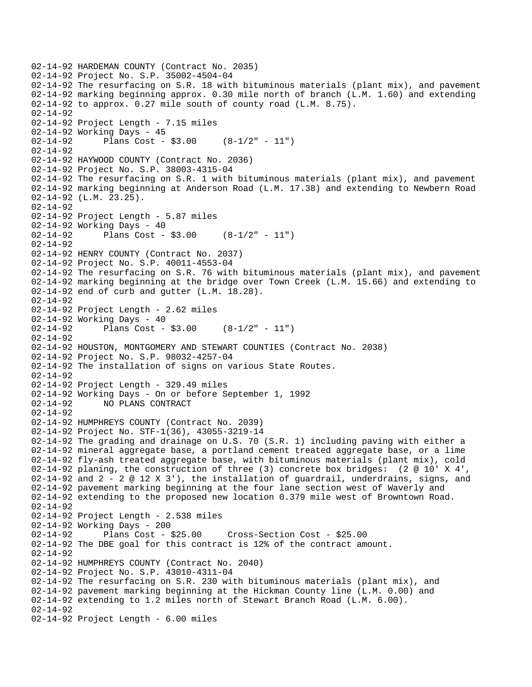```
02-14-92 HARDEMAN COUNTY (Contract No. 2035) 
02-14-92 Project No. S.P. 35002-4504-04 
02-14-92 The resurfacing on S.R. 18 with bituminous materials (plant mix), and pavement 
02-14-92 marking beginning approx. 0.30 mile north of branch (L.M. 1.60) and extending 
02-14-92 to approx. 0.27 mile south of county road (L.M. 8.75). 
02-14-92 
02-14-92 Project Length - 7.15 miles
02-14-92 Working Days - 45 
02-14-92 Plans Cost - $3.00 (8-1/2" - 11") 
02-14-92 
02-14-92 HAYWOOD COUNTY (Contract No. 2036) 
02-14-92 Project No. S.P. 38003-4315-04 
02-14-92 The resurfacing on S.R. 1 with bituminous materials (plant mix), and pavement 
02-14-92 marking beginning at Anderson Road (L.M. 17.38) and extending to Newbern Road 
02-14-92 (L.M. 23.25). 
02-14-92 
02-14-92 Project Length - 5.87 miles 
02-14-92 Working Days - 40 
02-14-92 Plans Cost - $3.00 (8-1/2" - 11") 
02-14-92 
02-14-92 HENRY COUNTY (Contract No. 2037) 
02-14-92 Project No. S.P. 40011-4553-04 
02-14-92 The resurfacing on S.R. 76 with bituminous materials (plant mix), and pavement 
02-14-92 marking beginning at the bridge over Town Creek (L.M. 15.66) and extending to 
02-14-92 end of curb and gutter (L.M. 18.28). 
02-14-92 
02-14-92 Project Length - 2.62 miles
02-14-92 Working Days - 40 
02-14-92 Plans Cost - $3.00 (8-1/2" - 11") 
02-14-92 
02-14-92 HOUSTON, MONTGOMERY AND STEWART COUNTIES (Contract No. 2038) 
02-14-92 Project No. S.P. 98032-4257-04 
02-14-92 The installation of signs on various State Routes. 
02-14-92 
02-14-92 Project Length - 329.49 miles 
02-14-92 Working Days - On or before September 1, 1992 
             02-14-92 NO PLANS CONTRACT 
02-14-92 
02-14-92 HUMPHREYS COUNTY (Contract No. 2039) 
02-14-92 Project No. STF-1(36), 43055-3219-14 
02-14-92 The grading and drainage on U.S. 70 (S.R. 1) including paving with either a 
02-14-92 mineral aggregate base, a portland cement treated aggregate base, or a lime 
02-14-92 fly-ash treated aggregate base, with bituminous materials (plant mix), cold 
02-14-92 planing, the construction of three (3) concrete box bridges: (2 @ 10' X 4', 
02-14-92 and 2 - 2 \odot 12 \times 3', the installation of quardrail, underdrains, signs, and
02-14-92 pavement marking beginning at the four lane section west of Waverly and 
02-14-92 extending to the proposed new location 0.379 mile west of Browntown Road. 
02-14-92 
02-14-92 Project Length - 2.538 miles
02-14-92 Working Days - 200 
02-14-92 Plans Cost - $25.00 Cross-Section Cost - $25.00 
02-14-92 The DBE goal for this contract is 12% of the contract amount. 
02-14-92 
02-14-92 HUMPHREYS COUNTY (Contract No. 2040) 
02-14-92 Project No. S.P. 43010-4311-04 
02-14-92 The resurfacing on S.R. 230 with bituminous materials (plant mix), and 
02-14-92 pavement marking beginning at the Hickman County line (L.M. 0.00) and 
02-14-92 extending to 1.2 miles north of Stewart Branch Road (L.M. 6.00). 
02-14-92 
02-14-92 Project Length - 6.00 miles
```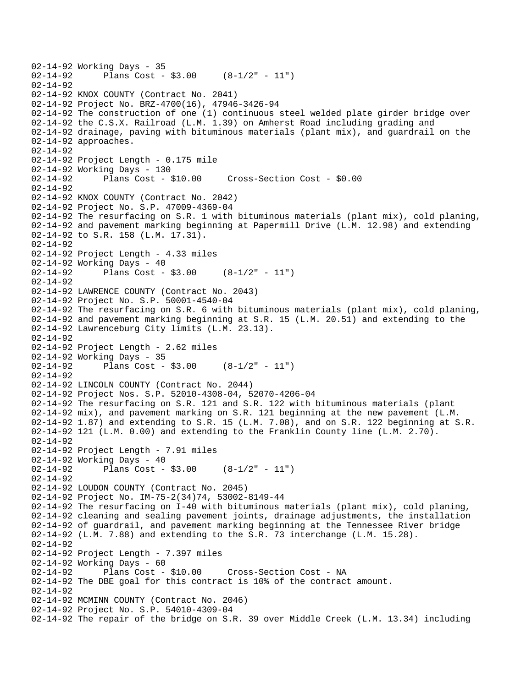```
02-14-92 Working Days - 35<br>02-14-92 Plans Cost -
              Plans Cost - $3.00 (8-1/2" - 11")
02 - 14 - 9202-14-92 KNOX COUNTY (Contract No. 2041) 
02-14-92 Project No. BRZ-4700(16), 47946-3426-94 
02-14-92 The construction of one (1) continuous steel welded plate girder bridge over 
02-14-92 the C.S.X. Railroad (L.M. 1.39) on Amherst Road including grading and 
02-14-92 drainage, paving with bituminous materials (plant mix), and guardrail on the 
02-14-92 approaches. 
02-14-92 
02-14-92 Project Length - 0.175 mile 
02-14-92 Working Days - 130 
02-14-92 Plans Cost - $10.00 Cross-Section Cost - $0.00 
02-14-92 
02-14-92 KNOX COUNTY (Contract No. 2042) 
02-14-92 Project No. S.P. 47009-4369-04 
02-14-92 The resurfacing on S.R. 1 with bituminous materials (plant mix), cold planing, 
02-14-92 and pavement marking beginning at Papermill Drive (L.M. 12.98) and extending 
02-14-92 to S.R. 158 (L.M. 17.31). 
02-14-92 
02-14-92 Project Length - 4.33 miles 
02-14-92 Working Days - 40 
02-14-92 Plans Cost - $3.00 (8-1/2" - 11") 
02-14-92 
02-14-92 LAWRENCE COUNTY (Contract No. 2043) 
02-14-92 Project No. S.P. 50001-4540-04 
02-14-92 The resurfacing on S.R. 6 with bituminous materials (plant mix), cold planing, 
02-14-92 and pavement marking beginning at S.R. 15 (L.M. 20.51) and extending to the 
02-14-92 Lawrenceburg City limits (L.M. 23.13). 
02-14-92 
02-14-92 Project Length - 2.62 miles 
02-14-92 Working Days - 35<br>02-14-92 Plans Cost -
              Plans Cost - $3.00 (8-1/2" - 11")
02-14-92 
02-14-92 LINCOLN COUNTY (Contract No. 2044) 
02-14-92 Project Nos. S.P. 52010-4308-04, 52070-4206-04 
02-14-92 The resurfacing on S.R. 121 and S.R. 122 with bituminous materials (plant 
02-14-92 mix), and pavement marking on S.R. 121 beginning at the new pavement (L.M. 
02-14-92 1.87) and extending to S.R. 15 (L.M. 7.08), and on S.R. 122 beginning at S.R. 
02-14-92 121 (L.M. 0.00) and extending to the Franklin County line (L.M. 2.70). 
02-14-92 
02-14-92 Project Length - 7.91 miles 
02-14-92 Working Days - 40 
02-14-92 Plans Cost - $3.00 (8-1/2" - 11") 
02-14-92 
02-14-92 LOUDON COUNTY (Contract No. 2045) 
02-14-92 Project No. IM-75-2(34)74, 53002-8149-44 
02-14-92 The resurfacing on I-40 with bituminous materials (plant mix), cold planing, 
02-14-92 cleaning and sealing pavement joints, drainage adjustments, the installation 
02-14-92 of guardrail, and pavement marking beginning at the Tennessee River bridge 
02-14-92 (L.M. 7.88) and extending to the S.R. 73 interchange (L.M. 15.28). 
02-14-92 
02-14-92 Project Length - 7.397 miles
02-14-92 Working Days - 60<br>02-14-92 Plans Cost - $10.00
02-14-92 Plans Cost - $10.00 Cross-Section Cost - NA 
02-14-92 The DBE goal for this contract is 10% of the contract amount. 
02-14-92 
02-14-92 MCMINN COUNTY (Contract No. 2046) 
02-14-92 Project No. S.P. 54010-4309-04 
02-14-92 The repair of the bridge on S.R. 39 over Middle Creek (L.M. 13.34) including
```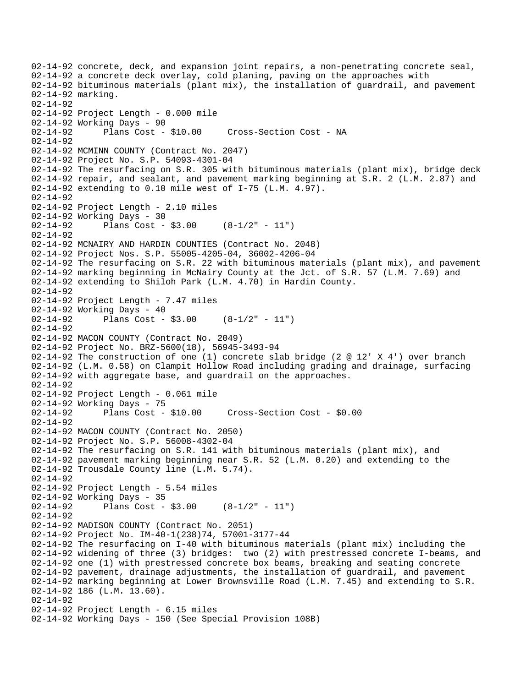02-14-92 concrete, deck, and expansion joint repairs, a non-penetrating concrete seal, 02-14-92 a concrete deck overlay, cold planing, paving on the approaches with 02-14-92 bituminous materials (plant mix), the installation of guardrail, and pavement 02-14-92 marking. 02-14-92 02-14-92 Project Length - 0.000 mile 02-14-92 Working Days - 90 02-14-92 Plans Cost - \$10.00 Cross-Section Cost - NA 02-14-92 02-14-92 MCMINN COUNTY (Contract No. 2047) 02-14-92 Project No. S.P. 54093-4301-04 02-14-92 The resurfacing on S.R. 305 with bituminous materials (plant mix), bridge deck 02-14-92 repair, and sealant, and pavement marking beginning at S.R. 2 (L.M. 2.87) and 02-14-92 extending to 0.10 mile west of I-75 (L.M. 4.97). 02-14-92 02-14-92 Project Length - 2.10 miles 02-14-92 Working Days - 30 02-14-92 Plans Cost - \$3.00 (8-1/2" - 11") 02-14-92 02-14-92 MCNAIRY AND HARDIN COUNTIES (Contract No. 2048) 02-14-92 Project Nos. S.P. 55005-4205-04, 36002-4206-04 02-14-92 The resurfacing on S.R. 22 with bituminous materials (plant mix), and pavement 02-14-92 marking beginning in McNairy County at the Jct. of S.R. 57 (L.M. 7.69) and 02-14-92 extending to Shiloh Park (L.M. 4.70) in Hardin County. 02-14-92 02-14-92 Project Length - 7.47 miles 02-14-92 Working Days - 40<br>02-14-92 Plans Cost -Plans Cost -  $$3.00$  (8-1/2" - 11") 02-14-92 02-14-92 MACON COUNTY (Contract No. 2049) 02-14-92 Project No. BRZ-5600(18), 56945-3493-94 02-14-92 The construction of one (1) concrete slab bridge (2 @ 12' X 4') over branch 02-14-92 (L.M. 0.58) on Clampit Hollow Road including grading and drainage, surfacing 02-14-92 with aggregate base, and guardrail on the approaches. 02-14-92 02-14-92 Project Length - 0.061 mile 02-14-92 Working Days - 75 02-14-92 Plans Cost - \$10.00 Cross-Section Cost - \$0.00 02-14-92 02-14-92 MACON COUNTY (Contract No. 2050) 02-14-92 Project No. S.P. 56008-4302-04 02-14-92 The resurfacing on S.R. 141 with bituminous materials (plant mix), and 02-14-92 pavement marking beginning near S.R. 52 (L.M. 0.20) and extending to the 02-14-92 Trousdale County line (L.M. 5.74). 02-14-92 02-14-92 Project Length - 5.54 miles 02-14-92 Working Days - 35<br>02-14-92 Plans Cost -Plans Cost -  $$3.00$  (8-1/2" - 11") 02-14-92 02-14-92 MADISON COUNTY (Contract No. 2051) 02-14-92 Project No. IM-40-1(238)74, 57001-3177-44 02-14-92 The resurfacing on I-40 with bituminous materials (plant mix) including the 02-14-92 widening of three (3) bridges: two (2) with prestressed concrete I-beams, and 02-14-92 one (1) with prestressed concrete box beams, breaking and seating concrete 02-14-92 pavement, drainage adjustments, the installation of guardrail, and pavement 02-14-92 marking beginning at Lower Brownsville Road (L.M. 7.45) and extending to S.R. 02-14-92 186 (L.M. 13.60). 02-14-92 02-14-92 Project Length - 6.15 miles 02-14-92 Working Days - 150 (See Special Provision 108B)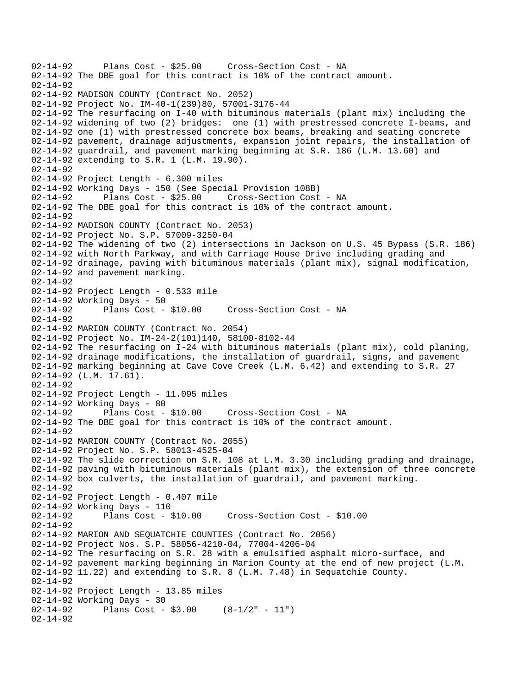```
02-14-92 Plans Cost - $25.00 Cross-Section Cost - NA 
02-14-92 The DBE goal for this contract is 10% of the contract amount. 
02 - 14 - 9202-14-92 MADISON COUNTY (Contract No. 2052) 
02-14-92 Project No. IM-40-1(239)80, 57001-3176-44 
02-14-92 The resurfacing on I-40 with bituminous materials (plant mix) including the 
02-14-92 widening of two (2) bridges: one (1) with prestressed concrete I-beams, and 
02-14-92 one (1) with prestressed concrete box beams, breaking and seating concrete 
02-14-92 pavement, drainage adjustments, expansion joint repairs, the installation of 
02-14-92 guardrail, and pavement marking beginning at S.R. 186 (L.M. 13.60) and 
02-14-92 extending to S.R. 1 (L.M. 19.90). 
02-14-92 
02-14-92 Project Length - 6.300 miles 
02-14-92 Working Days - 150 (See Special Provision 108B) 
02-14-92 Plans Cost - $25.00 Cross-Section Cost - NA 
02-14-92 The DBE goal for this contract is 10% of the contract amount. 
02-14-92 
02-14-92 MADISON COUNTY (Contract No. 2053) 
02-14-92 Project No. S.P. 57009-3250-04 
02-14-92 The widening of two (2) intersections in Jackson on U.S. 45 Bypass (S.R. 186) 
02-14-92 with North Parkway, and with Carriage House Drive including grading and 
02-14-92 drainage, paving with bituminous materials (plant mix), signal modification, 
02-14-92 and pavement marking. 
02-14-92 
02-14-92 Project Length - 0.533 mile 
02-14-92 Working Days - 50<br>02-14-92 Plans Cost -
              Plans Cost - $10.00 Cross-Section Cost - NA
02-14-92 
02-14-92 MARION COUNTY (Contract No. 2054) 
02-14-92 Project No. IM-24-2(101)140, 58100-8102-44 
02-14-92 The resurfacing on I-24 with bituminous materials (plant mix), cold planing, 
02-14-92 drainage modifications, the installation of guardrail, signs, and pavement 
02-14-92 marking beginning at Cave Cove Creek (L.M. 6.42) and extending to S.R. 27 
02-14-92 (L.M. 17.61). 
02-14-92 
02-14-92 Project Length - 11.095 miles 
02-14-92 Working Days - 80 
02-14-92 Plans Cost - $10.00 Cross-Section Cost - NA 
02-14-92 The DBE goal for this contract is 10% of the contract amount. 
02-14-92 
02-14-92 MARION COUNTY (Contract No. 2055) 
02-14-92 Project No. S.P. 58013-4525-04 
02-14-92 The slide correction on S.R. 108 at L.M. 3.30 including grading and drainage, 
02-14-92 paving with bituminous materials (plant mix), the extension of three concrete 
02-14-92 box culverts, the installation of guardrail, and pavement marking. 
02-14-92 
02-14-92 Project Length - 0.407 mile 
02-14-92 Working Days - 110 
                                       02-14-92 Plans Cost - $10.00 Cross-Section Cost - $10.00 
02-14-92 
02-14-92 MARION AND SEQUATCHIE COUNTIES (Contract No. 2056) 
02-14-92 Project Nos. S.P. 58056-4210-04, 77004-4206-04 
02-14-92 The resurfacing on S.R. 28 with a emulsified asphalt micro-surface, and 
02-14-92 pavement marking beginning in Marion County at the end of new project (L.M. 
02-14-92 11.22) and extending to S.R. 8 (L.M. 7.48) in Sequatchie County. 
02-14-92 
02-14-92 Project Length - 13.85 miles 
02-14-92 Working Days - 30<br>02-14-92 Plans Cost -
             Plans Cost - $3.00 (8-1/2" - 11")
02-14-92
```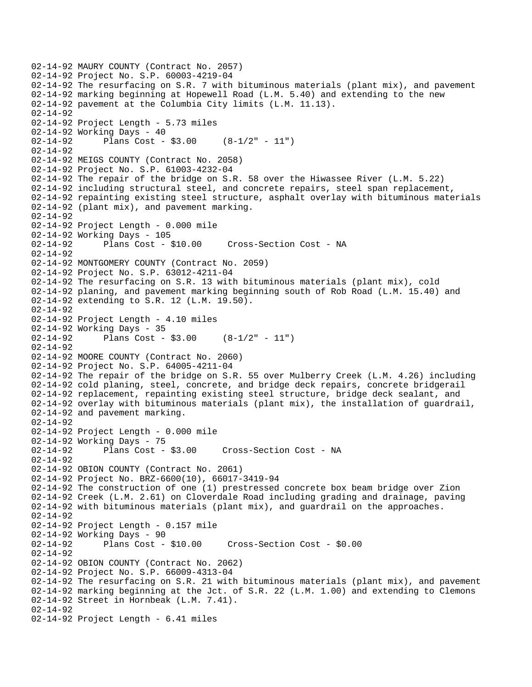```
02-14-92 MAURY COUNTY (Contract No. 2057) 
02-14-92 Project No. S.P. 60003-4219-04 
02-14-92 The resurfacing on S.R. 7 with bituminous materials (plant mix), and pavement 
02-14-92 marking beginning at Hopewell Road (L.M. 5.40) and extending to the new 
02-14-92 pavement at the Columbia City limits (L.M. 11.13). 
02-14-92 
02-14-92 Project Length - 5.73 miles 
02-14-92 Working Days - 40 
02-14-92 Plans Cost - $3.00 (8-1/2" - 11") 
02-14-92 
02-14-92 MEIGS COUNTY (Contract No. 2058) 
02-14-92 Project No. S.P. 61003-4232-04 
02-14-92 The repair of the bridge on S.R. 58 over the Hiwassee River (L.M. 5.22) 
02-14-92 including structural steel, and concrete repairs, steel span replacement, 
02-14-92 repainting existing steel structure, asphalt overlay with bituminous materials 
02-14-92 (plant mix), and pavement marking. 
02-14-92 
02-14-92 Project Length - 0.000 mile 
02-14-92 Working Days - 105 
02-14-92 Plans Cost - $10.00 Cross-Section Cost - NA 
02-14-92 
02-14-92 MONTGOMERY COUNTY (Contract No. 2059) 
02-14-92 Project No. S.P. 63012-4211-04 
02-14-92 The resurfacing on S.R. 13 with bituminous materials (plant mix), cold 
02-14-92 planing, and pavement marking beginning south of Rob Road (L.M. 15.40) and 
02-14-92 extending to S.R. 12 (L.M. 19.50). 
02-14-92 
02-14-92 Project Length - 4.10 miles 
02-14-92 Working Days - 35 
02-14-92 Plans Cost - $3.00 (8-1/2" - 11") 
02-14-92 
02-14-92 MOORE COUNTY (Contract No. 2060) 
02-14-92 Project No. S.P. 64005-4211-04 
02-14-92 The repair of the bridge on S.R. 55 over Mulberry Creek (L.M. 4.26) including 
02-14-92 cold planing, steel, concrete, and bridge deck repairs, concrete bridgerail 
02-14-92 replacement, repainting existing steel structure, bridge deck sealant, and 
02-14-92 overlay with bituminous materials (plant mix), the installation of guardrail, 
02-14-92 and pavement marking. 
02-14-92 
02-14-92 Project Length - 0.000 mile 
02-14-92 Working Days - 75 
02-14-92 Plans Cost - $3.00 Cross-Section Cost - NA 
02-14-92 
02-14-92 OBION COUNTY (Contract No. 2061) 
02-14-92 Project No. BRZ-6600(10), 66017-3419-94 
02-14-92 The construction of one (1) prestressed concrete box beam bridge over Zion 
02-14-92 Creek (L.M. 2.61) on Cloverdale Road including grading and drainage, paving 
02-14-92 with bituminous materials (plant mix), and guardrail on the approaches. 
02-14-92 
02-14-92 Project Length - 0.157 mile 
02-14-92 Working Days - 90 
02-14-92 Plans Cost - $10.00 Cross-Section Cost - $0.00 
02-14-92 
02-14-92 OBION COUNTY (Contract No. 2062) 
02-14-92 Project No. S.P. 66009-4313-04 
02-14-92 The resurfacing on S.R. 21 with bituminous materials (plant mix), and pavement 
02-14-92 marking beginning at the Jct. of S.R. 22 (L.M. 1.00) and extending to Clemons 
02-14-92 Street in Hornbeak (L.M. 7.41). 
02 - 14 - 9202-14-92 Project Length - 6.41 miles
```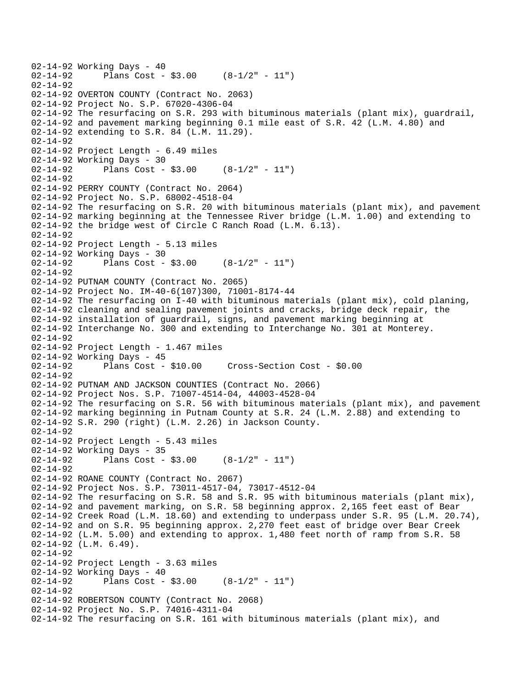```
02-14-92 Working Days - 40<br>02-14-92 Plans Cost -
              Plans Cost - $3.00 (8-1/2" - 11")
02 - 14 - 9202-14-92 OVERTON COUNTY (Contract No. 2063) 
02-14-92 Project No. S.P. 67020-4306-04 
02-14-92 The resurfacing on S.R. 293 with bituminous materials (plant mix), guardrail, 
02-14-92 and pavement marking beginning 0.1 mile east of S.R. 42 (L.M. 4.80) and 
02-14-92 extending to S.R. 84 (L.M. 11.29). 
02-14-92 
02-14-92 Project Length - 6.49 miles 
02-14-92 Working Days - 30 
02-14-92 Plans Cost - $3.00 (8-1/2" - 11") 
02-14-92 
02-14-92 PERRY COUNTY (Contract No. 2064) 
02-14-92 Project No. S.P. 68002-4518-04 
02-14-92 The resurfacing on S.R. 20 with bituminous materials (plant mix), and pavement 
02-14-92 marking beginning at the Tennessee River bridge (L.M. 1.00) and extending to 
02-14-92 the bridge west of Circle C Ranch Road (L.M. 6.13). 
02-14-92 
02-14-92 Project Length - 5.13 miles 
02-14-92 Working Days - 30 
02-14-92 Plans Cost - $3.00 (8-1/2" - 11") 
02-14-92 
02-14-92 PUTNAM COUNTY (Contract No. 2065) 
02-14-92 Project No. IM-40-6(107)300, 71001-8174-44 
02-14-92 The resurfacing on I-40 with bituminous materials (plant mix), cold planing, 
02-14-92 cleaning and sealing pavement joints and cracks, bridge deck repair, the 
02-14-92 installation of guardrail, signs, and pavement marking beginning at 
02-14-92 Interchange No. 300 and extending to Interchange No. 301 at Monterey. 
02-14-92 
02-14-92 Project Length - 1.467 miles 
02-14-92 Working Days - 45<br>02-14-92 Plans Cost - $10.00
                                       02-14-92 Plans Cost - $10.00 Cross-Section Cost - $0.00 
02-14-92 
02-14-92 PUTNAM AND JACKSON COUNTIES (Contract No. 2066) 
02-14-92 Project Nos. S.P. 71007-4514-04, 44003-4528-04 
02-14-92 The resurfacing on S.R. 56 with bituminous materials (plant mix), and pavement 
02-14-92 marking beginning in Putnam County at S.R. 24 (L.M. 2.88) and extending to 
02-14-92 S.R. 290 (right) (L.M. 2.26) in Jackson County. 
02-14-92 
02-14-92 Project Length - 5.43 miles 
02-14-92 Working Days - 35 
02-14-92 Plans Cost - $3.00 (8-1/2" - 11")02-14-92 
02-14-92 ROANE COUNTY (Contract No. 2067) 
02-14-92 Project Nos. S.P. 73011-4517-04, 73017-4512-04 
02-14-92 The resurfacing on S.R. 58 and S.R. 95 with bituminous materials (plant mix), 
02-14-92 and pavement marking, on S.R. 58 beginning approx. 2,165 feet east of Bear 
02-14-92 Creek Road (L.M. 18.60) and extending to underpass under S.R. 95 (L.M. 20.74), 
02-14-92 and on S.R. 95 beginning approx. 2,270 feet east of bridge over Bear Creek 
02-14-92 (L.M. 5.00) and extending to approx. 1,480 feet north of ramp from S.R. 58 
02-14-92 (L.M. 6.49). 
02-14-92 
02-14-92 Project Length - 3.63 miles 
02-14-92 Working Days - 40 
02-14-92 Plans Cost - $3.00 (8-1/2" - 11") 
02-14-92 
02-14-92 ROBERTSON COUNTY (Contract No. 2068) 
02-14-92 Project No. S.P. 74016-4311-04 
02-14-92 The resurfacing on S.R. 161 with bituminous materials (plant mix), and
```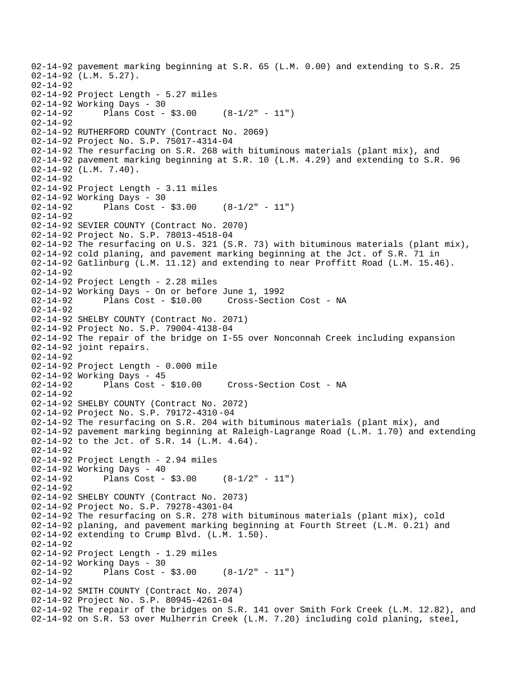02-14-92 pavement marking beginning at S.R. 65 (L.M. 0.00) and extending to S.R. 25 02-14-92 (L.M. 5.27). 02-14-92 02-14-92 Project Length - 5.27 miles 02-14-92 Working Days - 30 02-14-92 Plans Cost - \$3.00 (8-1/2" - 11") 02-14-92 02-14-92 RUTHERFORD COUNTY (Contract No. 2069) 02-14-92 Project No. S.P. 75017-4314-04 02-14-92 The resurfacing on S.R. 268 with bituminous materials (plant mix), and 02-14-92 pavement marking beginning at S.R. 10 (L.M. 4.29) and extending to S.R. 96 02-14-92 (L.M. 7.40). 02-14-92 02-14-92 Project Length - 3.11 miles 02-14-92 Working Days - 30 02-14-92 Plans Cost - \$3.00 (8-1/2" - 11") 02-14-92 02-14-92 SEVIER COUNTY (Contract No. 2070) 02-14-92 Project No. S.P. 78013-4518-04 02-14-92 The resurfacing on U.S. 321 (S.R. 73) with bituminous materials (plant mix), 02-14-92 cold planing, and pavement marking beginning at the Jct. of S.R. 71 in 02-14-92 Gatlinburg (L.M. 11.12) and extending to near Proffitt Road (L.M. 15.46). 02-14-92 02-14-92 Project Length - 2.28 miles 02-14-92 Working Days - On or before June 1, 1992 02-14-92 Plans Cost - \$10.00 Cross-Section Cost - NA 02-14-92 02-14-92 SHELBY COUNTY (Contract No. 2071) 02-14-92 Project No. S.P. 79004-4138-04 02-14-92 The repair of the bridge on I-55 over Nonconnah Creek including expansion 02-14-92 joint repairs. 02-14-92 02-14-92 Project Length - 0.000 mile 02-14-92 Working Days - 45 Cross-Section Cost - NA 02-14-92 02-14-92 SHELBY COUNTY (Contract No. 2072) 02-14-92 Project No. S.P. 79172-4310 -04 02-14-92 The resurfacing on S.R. 204 with bituminous materials (plant mix), and 02-14-92 pavement marking beginning at Raleigh-Lagrange Road (L.M. 1.70) and extending 02-14-92 to the Jct. of S.R. 14 (L.M. 4.64). 02-14-92 02-14-92 Project Length - 2.94 miles 02-14-92 Working Days - 40 02-14-92 Plans Cost - \$3.00 (8-1/2" - 11") 02-14-92 02-14-92 SHELBY COUNTY (Contract No. 2073) 02-14-92 Project No. S.P. 79278-4301-04 02-14-92 The resurfacing on S.R. 278 with bituminous materials (plant mix), cold 02-14-92 planing, and pavement marking beginning at Fourth Street (L.M. 0.21) and 02-14-92 extending to Crump Blvd. (L.M. 1.50). 02-14-92 02-14-92 Project Length - 1.29 miles 02-14-92 Working Days - 30<br>02-14-92 Plans Cost -Plans Cost -  $$3.00$  (8-1/2" - 11") 02-14-92 02-14-92 SMITH COUNTY (Contract No. 2074) 02-14-92 Project No. S.P. 80945-4261-04 02-14-92 The repair of the bridges on S.R. 141 over Smith Fork Creek (L.M. 12.82), and 02-14-92 on S.R. 53 over Mulherrin Creek (L.M. 7.20) including cold planing, steel,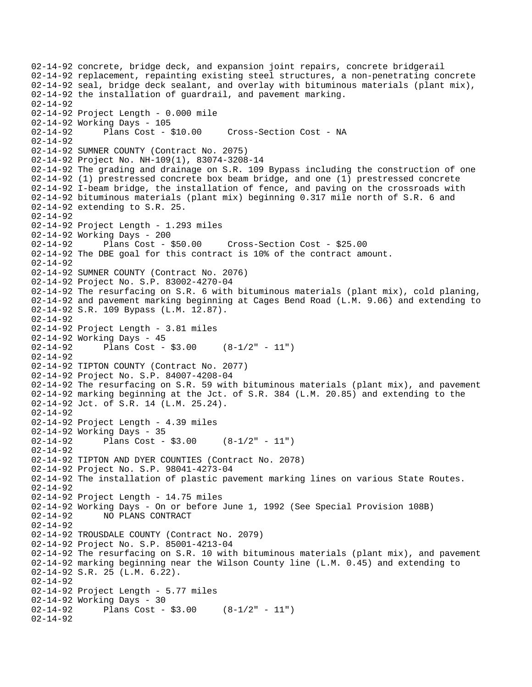```
02-14-92 concrete, bridge deck, and expansion joint repairs, concrete bridgerail 
02-14-92 replacement, repainting existing steel structures, a non-penetrating concrete 
02-14-92 seal, bridge deck sealant, and overlay with bituminous materials (plant mix), 
02-14-92 the installation of guardrail, and pavement marking. 
02-14-92 
02-14-92 Project Length - 0.000 mile 
02-14-92 Working Days - 105 
02-14-92 Plans Cost - $10.00 Cross-Section Cost - NA 
02-14-92 
02-14-92 SUMNER COUNTY (Contract No. 2075) 
02-14-92 Project No. NH-109(1), 83074-3208-14 
02-14-92 The grading and drainage on S.R. 109 Bypass including the construction of one 
02-14-92 (1) prestressed concrete box beam bridge, and one (1) prestressed concrete 
02-14-92 I-beam bridge, the installation of fence, and paving on the crossroads with 
02-14-92 bituminous materials (plant mix) beginning 0.317 mile north of S.R. 6 and 
02-14-92 extending to S.R. 25. 
02-14-92 
02-14-92 Project Length - 1.293 miles 
02-14-92 Working Days - 200 
02-14-92 Plans Cost - $50.00 Cross-Section Cost - $25.00 
02-14-92 The DBE goal for this contract is 10% of the contract amount. 
02-14-92 
02-14-92 SUMNER COUNTY (Contract No. 2076) 
02-14-92 Project No. S.P. 83002-4270-04 
02-14-92 The resurfacing on S.R. 6 with bituminous materials (plant mix), cold planing, 
02-14-92 and pavement marking beginning at Cages Bend Road (L.M. 9.06) and extending to 
02-14-92 S.R. 109 Bypass (L.M. 12.87). 
02-14-92 
02-14-92 Project Length - 3.81 miles 
02-14-92 Working Days - 45 
02-14-92 Plans Cost - $3.00 (8-1/2" - 11") 
02-14-92 
02-14-92 TIPTON COUNTY (Contract No. 2077) 
02-14-92 Project No. S.P. 84007-4208-04 
02-14-92 The resurfacing on S.R. 59 with bituminous materials (plant mix), and pavement 
02-14-92 marking beginning at the Jct. of S.R. 384 (L.M. 20.85) and extending to the 
02-14-92 Jct. of S.R. 14 (L.M. 25.24). 
02-14-92 
02-14-92 Project Length - 4.39 miles 
02-14-92 Working Days - 35 
02-14-92 Plans Cost - $3.00 (8-1/2" - 11")02-14-92 
02-14-92 TIPTON AND DYER COUNTIES (Contract No. 2078) 
02-14-92 Project No. S.P. 98041-4273-04 
02-14-92 The installation of plastic pavement marking lines on various State Routes. 
02-14-92 
02-14-92 Project Length - 14.75 miles 
02-14-92 Working Days - On or before June 1, 1992 (See Special Provision 108B) 
              02-14-92 NO PLANS CONTRACT 
02-14-92 
02-14-92 TROUSDALE COUNTY (Contract No. 2079) 
02-14-92 Project No. S.P. 85001-4213-04 
02-14-92 The resurfacing on S.R. 10 with bituminous materials (plant mix), and pavement 
02-14-92 marking beginning near the Wilson County line (L.M. 0.45) and extending to 
02-14-92 S.R. 25 (L.M. 6.22). 
02-14-92 
02-14-92 Project Length - 5.77 miles 
02-14-92 Working Days - 30<br>02-14-92 Plans Cost -
              Plans Cost - $3.00 (8-1/2" - 11")
02-14-92
```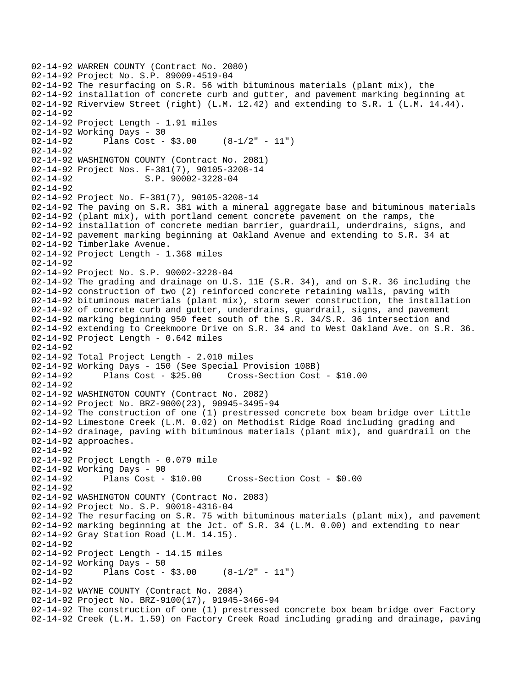```
02-14-92 WARREN COUNTY (Contract No. 2080) 
02-14-92 Project No. S.P. 89009-4519-04 
02-14-92 The resurfacing on S.R. 56 with bituminous materials (plant mix), the 
02-14-92 installation of concrete curb and gutter, and pavement marking beginning at 
02-14-92 Riverview Street (right) (L.M. 12.42) and extending to S.R. 1 (L.M. 14.44). 
02-14-92 
02-14-92 Project Length - 1.91 miles 
02-14-92 Working Days - 30 
02-14-92 Plans Cost - $3.00 (8-1/2" - 11") 
02-14-92 
02-14-92 WASHINGTON COUNTY (Contract No. 2081) 
02-14-92 Project Nos. F-381(7), 90105-3208-14 
02-14-92 S.P. 90002-3228-04
02-14-92 
02-14-92 Project No. F-381(7), 90105-3208-14 
02-14-92 The paving on S.R. 381 with a mineral aggregate base and bituminous materials 
02-14-92 (plant mix), with portland cement concrete pavement on the ramps, the 
02-14-92 installation of concrete median barrier, guardrail, underdrains, signs, and 
02-14-92 pavement marking beginning at Oakland Avenue and extending to S.R. 34 at 
02-14-92 Timberlake Avenue. 
02-14-92 Project Length - 1.368 miles 
02-14-92 
02-14-92 Project No. S.P. 90002-3228-04 
02-14-92 The grading and drainage on U.S. 11E (S.R. 34), and on S.R. 36 including the 
02-14-92 construction of two (2) reinforced concrete retaining walls, paving with 
02-14-92 bituminous materials (plant mix), storm sewer construction, the installation 
02-14-92 of concrete curb and gutter, underdrains, guardrail, signs, and pavement 
02-14-92 marking beginning 950 feet south of the S.R. 34/S.R. 36 intersection and 
02-14-92 extending to Creekmoore Drive on S.R. 34 and to West Oakland Ave. on S.R. 36. 
02-14-92 Project Length - 0.642 miles 
02-14-92 
02-14-92 Total Project Length - 2.010 miles
02-14-92 Working Days - 150 (See Special Provision 108B) 
02-14-92 Plans Cost - $25.00 Cross-Section Cost - $10.00 
02-14-92 
02-14-92 WASHINGTON COUNTY (Contract No. 2082) 
02-14-92 Project No. BRZ-9000(23), 90945-3495-94 
02-14-92 The construction of one (1) prestressed concrete box beam bridge over Little 
02-14-92 Limestone Creek (L.M. 0.02) on Methodist Ridge Road including grading and 
02-14-92 drainage, paving with bituminous materials (plant mix), and guardrail on the 
02-14-92 approaches. 
02-14-92 
02-14-92 Project Length - 0.079 mile 
02-14-92 Working Days - 90 
02-14-92 Plans Cost - $10.00 Cross-Section Cost - $0.00 
02-14-92 
02-14-92 WASHINGTON COUNTY (Contract No. 2083) 
02-14-92 Project No. S.P. 90018-4316-04 
02-14-92 The resurfacing on S.R. 75 with bituminous materials (plant mix), and pavement 
02-14-92 marking beginning at the Jct. of S.R. 34 (L.M. 0.00) and extending to near 
02-14-92 Gray Station Road (L.M. 14.15). 
02-14-92 
02-14-92 Project Length - 14.15 miles
02-14-92 Working Days - 50<br>02-14-92 Plans Cost -
              Plans Cost - $3.00 (8-1/2" - 11")
02-14-92 
02-14-92 WAYNE COUNTY (Contract No. 2084) 
02-14-92 Project No. BRZ-9100(17), 91945-3466-94 
02-14-92 The construction of one (1) prestressed concrete box beam bridge over Factory 
02-14-92 Creek (L.M. 1.59) on Factory Creek Road including grading and drainage, paving
```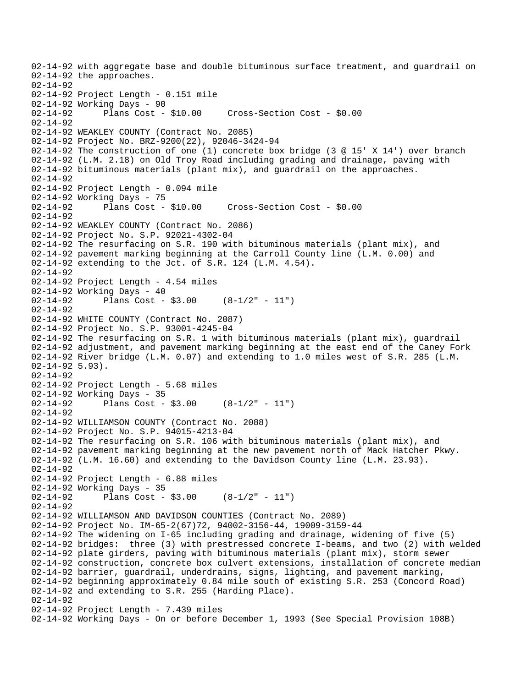02-14-92 with aggregate base and double bituminous surface treatment, and guardrail on 02-14-92 the approaches. 02-14-92 02-14-92 Project Length - 0.151 mile 02-14-92 Working Days - 90 02-14-92 Plans Cost - \$10.00 Cross-Section Cost - \$0.00 02-14-92 02-14-92 WEAKLEY COUNTY (Contract No. 2085) 02-14-92 Project No. BRZ-9200(22), 92046-3424-94 02-14-92 The construction of one (1) concrete box bridge (3 @ 15' X 14') over branch 02-14-92 (L.M. 2.18) on Old Troy Road including grading and drainage, paving with 02-14-92 bituminous materials (plant mix), and guardrail on the approaches. 02-14-92 02-14-92 Project Length - 0.094 mile 02-14-92 Working Days - 75 02-14-92 Plans Cost - \$10.00 Cross-Section Cost - \$0.00 02-14-92 02-14-92 WEAKLEY COUNTY (Contract No. 2086) 02-14-92 Project No. S.P. 92021-4302-04 02-14-92 The resurfacing on S.R. 190 with bituminous materials (plant mix), and 02-14-92 pavement marking beginning at the Carroll County line (L.M. 0.00) and 02-14-92 extending to the Jct. of S.R. 124 (L.M. 4.54). 02-14-92 02-14-92 Project Length - 4.54 miles 02-14-92 Working Days - 40 02-14-92 Plans Cost - \$3.00 (8-1/2" - 11") 02-14-92 02-14-92 WHITE COUNTY (Contract No. 2087) 02-14-92 Project No. S.P. 93001-4245-04 02-14-92 The resurfacing on S.R. 1 with bituminous materials (plant mix), guardrail 02-14-92 adjustment, and pavement marking beginning at the east end of the Caney Fork 02-14-92 River bridge (L.M. 0.07) and extending to 1.0 miles west of S.R. 285 (L.M. 02-14-92 5.93). 02-14-92 02-14-92 Project Length - 5.68 miles 02-14-92 Working Days - 35<br>02-14-92 Plans Cost -Plans Cost -  $$3.00$  (8-1/2" - 11") 02-14-92 02-14-92 WILLIAMSON COUNTY (Contract No. 2088) 02-14-92 Project No. S.P. 94015-4213-04 02-14-92 The resurfacing on S.R. 106 with bituminous materials (plant mix), and 02-14-92 pavement marking beginning at the new pavement north of Mack Hatcher Pkwy. 02-14-92 (L.M. 16.60) and extending to the Davidson County line (L.M. 23.93). 02-14-92 02-14-92 Project Length - 6.88 miles 02-14-92 Working Days - 35 02-14-92 Plans Cost - \$3.00 (8-1/2" - 11") 02-14-92 02-14-92 WILLIAMSON AND DAVIDSON COUNTIES (Contract No. 2089) 02-14-92 Project No. IM-65-2(67)72, 94002-3156-44, 19009-3159-44 02-14-92 The widening on I-65 including grading and drainage, widening of five (5) 02-14-92 bridges: three (3) with prestressed concrete I-beams, and two (2) with welded 02-14-92 plate girders, paving with bituminous materials (plant mix), storm sewer 02-14-92 construction, concrete box culvert extensions, installation of concrete median 02-14-92 barrier, guardrail, underdrains, signs, lighting, and pavement marking, 02-14-92 beginning approximately 0.84 mile south of existing S.R. 253 (Concord Road) 02-14-92 and extending to S.R. 255 (Harding Place). 02-14-92 02-14-92 Project Length - 7.439 miles 02-14-92 Working Days - On or before December 1, 1993 (See Special Provision 108B)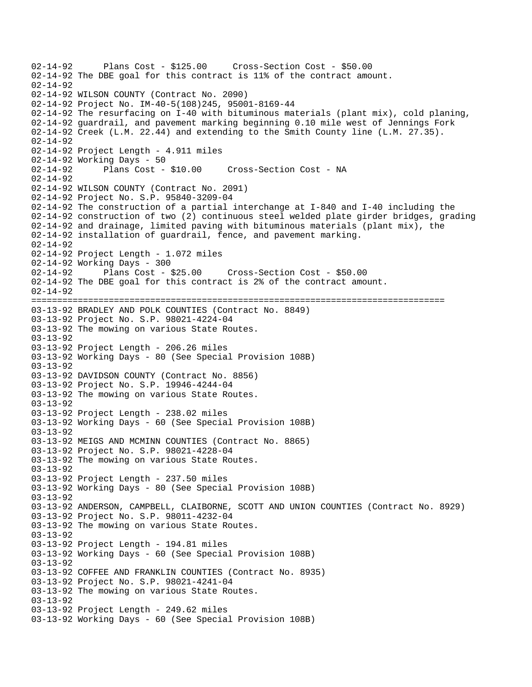02-14-92 Plans Cost - \$125.00 Cross-Section Cost - \$50.00 02-14-92 The DBE goal for this contract is 11% of the contract amount.  $02 - 14 - 92$ 02-14-92 WILSON COUNTY (Contract No. 2090) 02-14-92 Project No. IM-40-5(108)245, 95001-8169-44 02-14-92 The resurfacing on I-40 with bituminous materials (plant mix), cold planing, 02-14-92 guardrail, and pavement marking beginning 0.10 mile west of Jennings Fork 02-14-92 Creek (L.M. 22.44) and extending to the Smith County line (L.M. 27.35). 02-14-92 02-14-92 Project Length - 4.911 miles 02-14-92 Working Days - 50 02-14-92 Plans Cost - \$10.00 Cross-Section Cost - NA 02-14-92 02-14-92 WILSON COUNTY (Contract No. 2091) 02-14-92 Project No. S.P. 95840-3209-04 02-14-92 The construction of a partial interchange at I-840 and I-40 including the 02-14-92 construction of two (2) continuous steel welded plate girder bridges, grading 02-14-92 and drainage, limited paving with bituminous materials (plant mix), the 02-14-92 installation of guardrail, fence, and pavement marking. 02-14-92 02-14-92 Project Length - 1.072 miles 02-14-92 Working Days - 300 02-14-92 Plans Cost - \$25.00 Cross-Section Cost - \$50.00 02-14-92 The DBE goal for this contract is 2% of the contract amount. 02-14-92 ================================================================================ 03-13-92 BRADLEY AND POLK COUNTIES (Contract No. 8849) 03-13-92 Project No. S.P. 98021-4224-04 03-13-92 The mowing on various State Routes. 03-13-92 03-13-92 Project Length - 206.26 miles 03-13-92 Working Days - 80 (See Special Provision 108B) 03-13-92 03-13-92 DAVIDSON COUNTY (Contract No. 8856) 03-13-92 Project No. S.P. 19946-4244-04 03-13-92 The mowing on various State Routes. 03-13-92 03-13-92 Project Length - 238.02 miles 03-13-92 Working Days - 60 (See Special Provision 108B)  $03 - 13 - 92$ 03-13-92 MEIGS AND MCMINN COUNTIES (Contract No. 8865) 03-13-92 Project No. S.P. 98021-4228-04 03-13-92 The mowing on various State Routes. 03-13-92 03-13-92 Project Length - 237.50 miles 03-13-92 Working Days - 80 (See Special Provision 108B) 03-13-92 03-13-92 ANDERSON, CAMPBELL, CLAIBORNE, SCOTT AND UNION COUNTIES (Contract No. 8929) 03-13-92 Project No. S.P. 98011-4232-04 03-13-92 The mowing on various State Routes. 03-13-92 03-13-92 Project Length - 194.81 miles 03-13-92 Working Days - 60 (See Special Provision 108B) 03-13-92 03-13-92 COFFEE AND FRANKLIN COUNTIES (Contract No. 8935) 03-13-92 Project No. S.P. 98021-4241-04 03-13-92 The mowing on various State Routes. 03-13-92 03-13-92 Project Length - 249.62 miles 03-13-92 Working Days - 60 (See Special Provision 108B)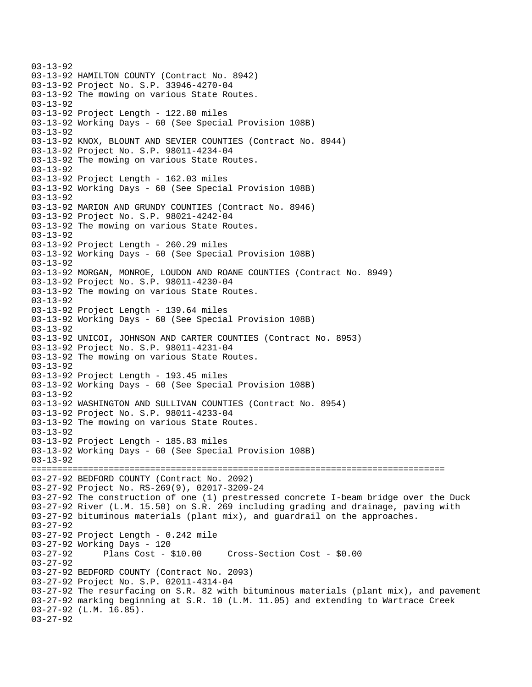03-13-92 03-13-92 HAMILTON COUNTY (Contract No. 8942) 03-13-92 Project No. S.P. 33946-4270-04 03-13-92 The mowing on various State Routes. 03-13-92 03-13-92 Project Length - 122.80 miles 03-13-92 Working Days - 60 (See Special Provision 108B) 03-13-92 03-13-92 KNOX, BLOUNT AND SEVIER COUNTIES (Contract No. 8944) 03-13-92 Project No. S.P. 98011-4234-04 03-13-92 The mowing on various State Routes. 03-13-92 03-13-92 Project Length - 162.03 miles 03-13-92 Working Days - 60 (See Special Provision 108B) 03-13-92 03-13-92 MARION AND GRUNDY COUNTIES (Contract No. 8946) 03-13-92 Project No. S.P. 98021-4242-04 03-13-92 The mowing on various State Routes. 03-13-92 03-13-92 Project Length - 260.29 miles 03-13-92 Working Days - 60 (See Special Provision 108B) 03-13-92 03-13-92 MORGAN, MONROE, LOUDON AND ROANE COUNTIES (Contract No. 8949) 03-13-92 Project No. S.P. 98011-4230-04 03-13-92 The mowing on various State Routes. 03-13-92 03-13-92 Project Length - 139.64 miles 03-13-92 Working Days - 60 (See Special Provision 108B) 03-13-92 03-13-92 UNICOI, JOHNSON AND CARTER COUNTIES (Contract No. 8953) 03-13-92 Project No. S.P. 98011-4231-04 03-13-92 The mowing on various State Routes. 03-13-92 03-13-92 Project Length - 193.45 miles 03-13-92 Working Days - 60 (See Special Provision 108B) 03-13-92 03-13-92 WASHINGTON AND SULLIVAN COUNTIES (Contract No. 8954) 03-13-92 Project No. S.P. 98011-4233-04 03-13-92 The mowing on various State Routes.  $03 - 13 - 92$ 03-13-92 Project Length - 185.83 miles 03-13-92 Working Days - 60 (See Special Provision 108B) 03-13-92 ================================================================================ 03-27-92 BEDFORD COUNTY (Contract No. 2092) 03-27-92 Project No. RS-269(9), 02017-3209-24 03-27-92 The construction of one (1) prestressed concrete I-beam bridge over the Duck 03-27-92 River (L.M. 15.50) on S.R. 269 including grading and drainage, paving with 03-27-92 bituminous materials (plant mix), and guardrail on the approaches. 03-27-92 03-27-92 Project Length - 0.242 mile 03-27-92 Working Days - 120 03-27-92 Plans Cost - \$10.00 Cross-Section Cost - \$0.00 03-27-92 03-27-92 BEDFORD COUNTY (Contract No. 2093) 03-27-92 Project No. S.P. 02011-4314-04 03-27-92 The resurfacing on S.R. 82 with bituminous materials (plant mix), and pavement 03-27-92 marking beginning at S.R. 10 (L.M. 11.05) and extending to Wartrace Creek 03-27-92 (L.M. 16.85). 03-27-92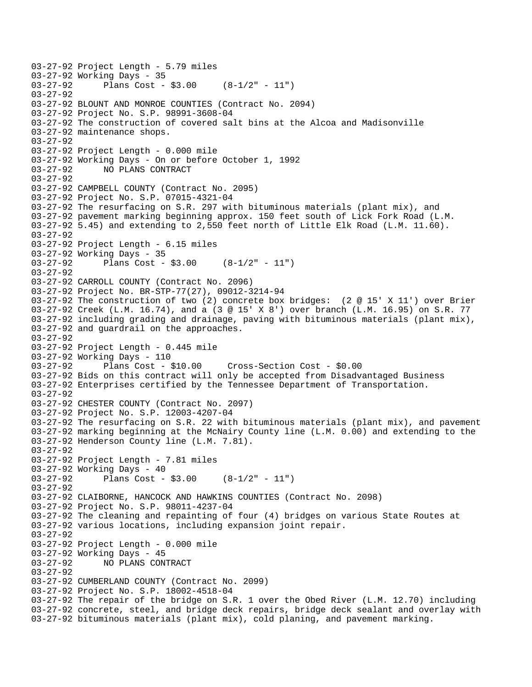```
03-27-92 Project Length - 5.79 miles 
03-27-92 Working Days - 35<br>03-27-92 Plans Cost -
              Plans Cost - $3.00 (8-1/2" - 11")
03-27-92 
03-27-92 BLOUNT AND MONROE COUNTIES (Contract No. 2094) 
03-27-92 Project No. S.P. 98991-3608-04 
03-27-92 The construction of covered salt bins at the Alcoa and Madisonville 
03-27-92 maintenance shops. 
03-27-92 
03-27-92 Project Length - 0.000 mile 
03-27-92 Working Days - On or before October 1, 1992 
03-27-92 NO PLANS CONTRACT 
03-27-92 
03-27-92 CAMPBELL COUNTY (Contract No. 2095) 
03-27-92 Project No. S.P. 07015-4321-04 
03-27-92 The resurfacing on S.R. 297 with bituminous materials (plant mix), and 
03-27-92 pavement marking beginning approx. 150 feet south of Lick Fork Road (L.M. 
03-27-92 5.45) and extending to 2,550 feet north of Little Elk Road (L.M. 11.60). 
03-27-92 
03-27-92 Project Length - 6.15 miles 
03-27-92 Working Days - 35 
03-27-92 Plans Cost - $3.00 (8-1/2" - 11") 
03-27-92 
03-27-92 CARROLL COUNTY (Contract No. 2096) 
03-27-92 Project No. BR-STP-77(27), 09012-3214-94 
03-27-92 The construction of two (2) concrete box bridges: (2 @ 15' X 11') over Brier 
03-27-92 Creek (L.M. 16.74), and a (3 @ 15' X 8') over branch (L.M. 16.95) on S.R. 77 
03-27-92 including grading and drainage, paving with bituminous materials (plant mix), 
03-27-92 and guardrail on the approaches. 
03-27-92 
03-27-92 Project Length - 0.445 mile 
03-27-92 Working Days - 110<br>03-27-92 Plans Cost - $10.00
03-27-92 Plans Cost - $10.00 Cross-Section Cost - $0.00 
03-27-92 Bids on this contract will only be accepted from Disadvantaged Business 
03-27-92 Enterprises certified by the Tennessee Department of Transportation. 
03-27-92 
03-27-92 CHESTER COUNTY (Contract No. 2097) 
03-27-92 Project No. S.P. 12003-4207-04 
03-27-92 The resurfacing on S.R. 22 with bituminous materials (plant mix), and pavement 
03-27-92 marking beginning at the McNairy County line (L.M. 0.00) and extending to the 
03-27-92 Henderson County line (L.M. 7.81). 
03-27-92 
03-27-92 Project Length - 7.81 miles 
03-27-92 Working Days - 40 
03-27-92 Plans Cost - $3.00 (8-1/2" - 11") 
03-27-92 
03-27-92 CLAIBORNE, HANCOCK AND HAWKINS COUNTIES (Contract No. 2098) 
03-27-92 Project No. S.P. 98011-4237-04 
03-27-92 The cleaning and repainting of four (4) bridges on various State Routes at 
03-27-92 various locations, including expansion joint repair. 
03-27-92 
03-27-92 Project Length - 0.000 mile 
03-27-92 Working Days - 45 
03-27-92 NO PLANS CONTRACT 
03-27-92 
03-27-92 CUMBERLAND COUNTY (Contract No. 2099) 
03-27-92 Project No. S.P. 18002-4518-04 
03-27-92 The repair of the bridge on S.R. 1 over the Obed River (L.M. 12.70) including 
03-27-92 concrete, steel, and bridge deck repairs, bridge deck sealant and overlay with 
03-27-92 bituminous materials (plant mix), cold planing, and pavement marking.
```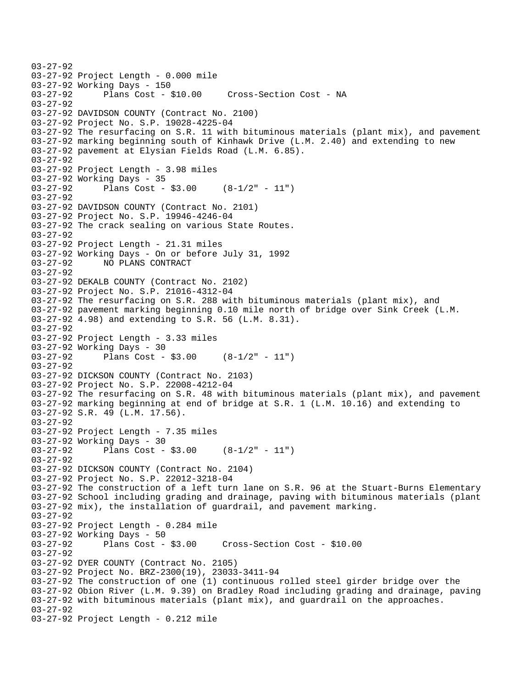```
03-27-92 
03-27-92 Project Length - 0.000 mile 
03-27-92 Working Days - 150 
03-27-92 Plans Cost - $10.00 Cross-Section Cost - NA 
03-27-92 
03-27-92 DAVIDSON COUNTY (Contract No. 2100) 
03-27-92 Project No. S.P. 19028-4225-04 
03-27-92 The resurfacing on S.R. 11 with bituminous materials (plant mix), and pavement 
03-27-92 marking beginning south of Kinhawk Drive (L.M. 2.40) and extending to new 
03-27-92 pavement at Elysian Fields Road (L.M. 6.85). 
03-27-92 
03-27-92 Project Length - 3.98 miles 
03-27-92 Working Days - 35 
03-27-92 Plans Cost - $3.00 (8-1/2" - 11") 
03-27-92 
03-27-92 DAVIDSON COUNTY (Contract No. 2101) 
03-27-92 Project No. S.P. 19946-4246-04 
03-27-92 The crack sealing on various State Routes. 
03-27-92 
03-27-92 Project Length - 21.31 miles 
03-27-92 Working Days - On or before July 31, 1992 
03-27-92 NO PLANS CONTRACT 
03-27-92 
03-27-92 DEKALB COUNTY (Contract No. 2102) 
03-27-92 Project No. S.P. 21016-4312-04 
03-27-92 The resurfacing on S.R. 288 with bituminous materials (plant mix), and 
03-27-92 pavement marking beginning 0.10 mile north of bridge over Sink Creek (L.M. 
03-27-92 4.98) and extending to S.R. 56 (L.M. 8.31). 
03-27-92 
03-27-92 Project Length - 3.33 miles 
03-27-92 Working Days - 30 
03-27-92 Plans Cost - $3.00 (8-1/2" - 11") 
03-27-92 
03-27-92 DICKSON COUNTY (Contract No. 2103) 
03-27-92 Project No. S.P. 22008-4212-04 
03-27-92 The resurfacing on S.R. 48 with bituminous materials (plant mix), and pavement 
03-27-92 marking beginning at end of bridge at S.R. 1 (L.M. 10.16) and extending to 
03-27-92 S.R. 49 (L.M. 17.56). 
03-27-92 
03-27-92 Project Length - 7.35 miles 
03-27-92 Working Days - 30 
03-27-92 Plans Cost - $3.00 (8-1/2" - 11") 
03-27-92 
03-27-92 DICKSON COUNTY (Contract No. 2104) 
03-27-92 Project No. S.P. 22012-3218-04 
03-27-92 The construction of a left turn lane on S.R. 96 at the Stuart-Burns Elementary 
03-27-92 School including grading and drainage, paving with bituminous materials (plant 
03-27-92 mix), the installation of guardrail, and pavement marking. 
03-27-92 
03-27-92 Project Length - 0.284 mile 
03-27-92 Working Days - 50 
03-27-92 Plans Cost - $3.00 Cross-Section Cost - $10.00 
03-27-92 
03-27-92 DYER COUNTY (Contract No. 2105) 
03-27-92 Project No. BRZ-2300(19), 23033-3411-94 
03-27-92 The construction of one (1) continuous rolled steel girder bridge over the 
03-27-92 Obion River (L.M. 9.39) on Bradley Road including grading and drainage, paving 
03-27-92 with bituminous materials (plant mix), and guardrail on the approaches. 
03-27-92 
03-27-92 Project Length - 0.212 mile
```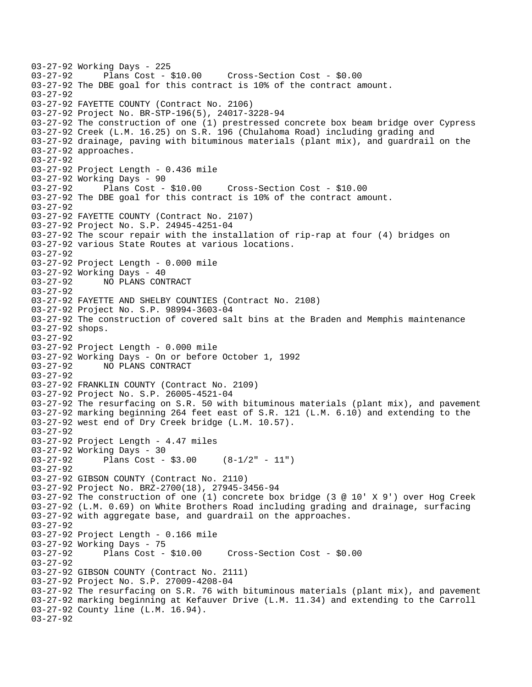03-27-92 Working Days - 225 03-27-92 Plans Cost - \$10.00 Cross-Section Cost - \$0.00 03-27-92 The DBE goal for this contract is 10% of the contract amount. 03-27-92 03-27-92 FAYETTE COUNTY (Contract No. 2106) 03-27-92 Project No. BR-STP-196(5), 24017-3228-94 03-27-92 The construction of one (1) prestressed concrete box beam bridge over Cypress 03-27-92 Creek (L.M. 16.25) on S.R. 196 (Chulahoma Road) including grading and 03-27-92 drainage, paving with bituminous materials (plant mix), and guardrail on the 03-27-92 approaches. 03-27-92 03-27-92 Project Length - 0.436 mile 03-27-92 Working Days - 90 03-27-92 Plans Cost - \$10.00 Cross-Section Cost - \$10.00 03-27-92 The DBE goal for this contract is 10% of the contract amount. 03-27-92 03-27-92 FAYETTE COUNTY (Contract No. 2107) 03-27-92 Project No. S.P. 24945-4251-04 03-27-92 The scour repair with the installation of rip-rap at four (4) bridges on 03-27-92 various State Routes at various locations. 03-27-92 03-27-92 Project Length - 0.000 mile 03-27-92 Working Days - 40 03-27-92 NO PLANS CONTRACT 03-27-92 03-27-92 FAYETTE AND SHELBY COUNTIES (Contract No. 2108) 03-27-92 Project No. S.P. 98994-3603-04 03-27-92 The construction of covered salt bins at the Braden and Memphis maintenance 03-27-92 shops. 03-27-92 03-27-92 Project Length - 0.000 mile 03-27-92 Working Days - On or before October 1, 1992 NO PLANS CONTRACT 03-27-92 03-27-92 FRANKLIN COUNTY (Contract No. 2109) 03-27-92 Project No. S.P. 26005-4521-04 03-27-92 The resurfacing on S.R. 50 with bituminous materials (plant mix), and pavement 03-27-92 marking beginning 264 feet east of S.R. 121 (L.M. 6.10) and extending to the 03-27-92 west end of Dry Creek bridge (L.M. 10.57). 03-27-92 03-27-92 Project Length - 4.47 miles 03-27-92 Working Days - 30 03-27-92 Plans Cost - \$3.00 (8-1/2" - 11") 03-27-92 03-27-92 GIBSON COUNTY (Contract No. 2110) 03-27-92 Project No. BRZ-2700(18), 27945-3456-94 03-27-92 The construction of one (1) concrete box bridge (3 @ 10' X 9') over Hog Creek 03-27-92 (L.M. 0.69) on White Brothers Road including grading and drainage, surfacing 03-27-92 with aggregate base, and guardrail on the approaches. 03-27-92 03-27-92 Project Length - 0.166 mile 03-27-92 Working Days - 75 03-27-92 Plans Cost - \$10.00 Cross-Section Cost - \$0.00 03-27-92 03-27-92 GIBSON COUNTY (Contract No. 2111) 03-27-92 Project No. S.P. 27009-4208-04 03-27-92 The resurfacing on S.R. 76 with bituminous materials (plant mix), and pavement 03-27-92 marking beginning at Kefauver Drive (L.M. 11.34) and extending to the Carroll 03-27-92 County line (L.M. 16.94). 03-27-92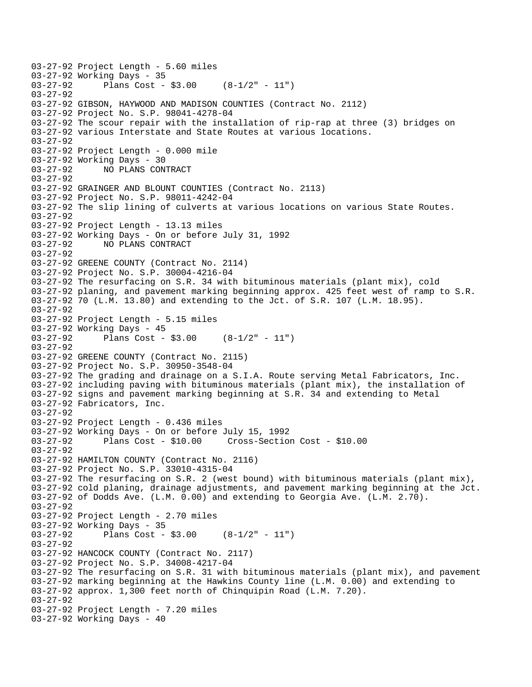```
03-27-92 Project Length - 5.60 miles 
03-27-92 Working Days - 35<br>03-27-92 Plans Cost -
              Plans Cost - $3.00 (8-1/2" - 11")03-27-92 
03-27-92 GIBSON, HAYWOOD AND MADISON COUNTIES (Contract No. 2112) 
03-27-92 Project No. S.P. 98041-4278-04 
03-27-92 The scour repair with the installation of rip-rap at three (3) bridges on 
03-27-92 various Interstate and State Routes at various locations. 
03-27-92 
03-27-92 Project Length - 0.000 mile 
03-27-92 Working Days - 30 
03-27-92 NO PLANS CONTRACT 
03-27-92 
03-27-92 GRAINGER AND BLOUNT COUNTIES (Contract No. 2113) 
03-27-92 Project No. S.P. 98011-4242-04 
03-27-92 The slip lining of culverts at various locations on various State Routes. 
03-27-92 
03-27-92 Project Length - 13.13 miles 
03-27-92 Working Days - On or before July 31, 1992 
03-27-92 NO PLANS CONTRACT 
03-27-92 
03-27-92 GREENE COUNTY (Contract No. 2114) 
03-27-92 Project No. S.P. 30004-4216-04 
03-27-92 The resurfacing on S.R. 34 with bituminous materials (plant mix), cold 
03-27-92 planing, and pavement marking beginning approx. 425 feet west of ramp to S.R. 
03-27-92 70 (L.M. 13.80) and extending to the Jct. of S.R. 107 (L.M. 18.95). 
03-27-92 
03-27-92 Project Length - 5.15 miles 
03-27-92 Working Days - 45 
03-27-92 Plans Cost - $3.00 (8-1/2" - 11") 
03-27-92 
03-27-92 GREENE COUNTY (Contract No. 2115) 
03-27-92 Project No. S.P. 30950-3548-04 
03-27-92 The grading and drainage on a S.I.A. Route serving Metal Fabricators, Inc. 
03-27-92 including paving with bituminous materials (plant mix), the installation of 
03-27-92 signs and pavement marking beginning at S.R. 34 and extending to Metal 
03-27-92 Fabricators, Inc. 
03-27-92 
03-27-92 Project Length - 0.436 miles 
03-27-92 Working Days - On or before July 15, 1992 
03-27-92 Plans Cost - $10.00 Cross-Section Cost - $10.00 
03-27-92 
03-27-92 HAMILTON COUNTY (Contract No. 2116) 
03-27-92 Project No. S.P. 33010-4315-04 
03-27-92 The resurfacing on S.R. 2 (west bound) with bituminous materials (plant mix), 
03-27-92 cold planing, drainage adjustments, and pavement marking beginning at the Jct. 
03-27-92 of Dodds Ave. (L.M. 0.00) and extending to Georgia Ave. (L.M. 2.70). 
03-27-92 
03-27-92 Project Length - 2.70 miles
03-27-92 Working Days - 35<br>03-27-92 Plans Cost -
              Plans Cost - $3.00 (8-1/2" - 11")
03-27-92 
03-27-92 HANCOCK COUNTY (Contract No. 2117) 
03-27-92 Project No. S.P. 34008-4217-04 
03-27-92 The resurfacing on S.R. 31 with bituminous materials (plant mix), and pavement 
03-27-92 marking beginning at the Hawkins County line (L.M. 0.00) and extending to 
03-27-92 approx. 1,300 feet north of Chinquipin Road (L.M. 7.20). 
03-27-92 
03-27-92 Project Length - 7.20 miles 
03-27-92 Working Days - 40
```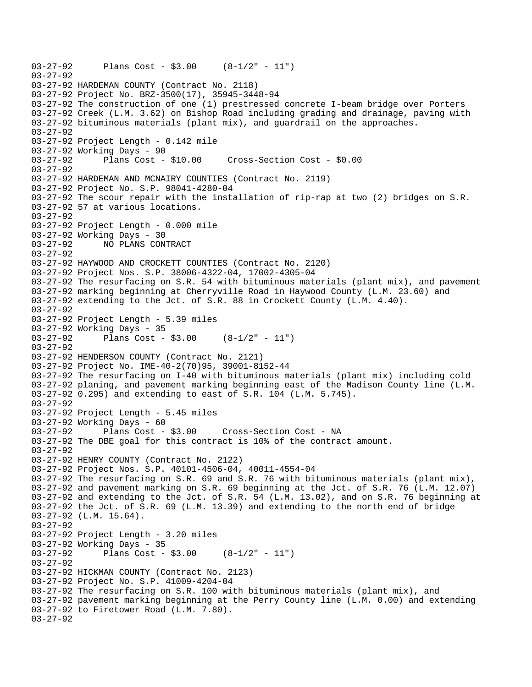```
03-27-92 Plans Cost - $3.00 (8-1/2" - 11") 
03-27-92 
03-27-92 HARDEMAN COUNTY (Contract No. 2118) 
03-27-92 Project No. BRZ-3500(17), 35945-3448-94 
03-27-92 The construction of one (1) prestressed concrete I-beam bridge over Porters 
03-27-92 Creek (L.M. 3.62) on Bishop Road including grading and drainage, paving with 
03-27-92 bituminous materials (plant mix), and guardrail on the approaches. 
03-27-92 
03-27-92 Project Length - 0.142 mile 
03-27-92 Working Days - 90 
03-27-92 Plans Cost - $10.00 Cross-Section Cost - $0.00 
03-27-92 
03-27-92 HARDEMAN AND MCNAIRY COUNTIES (Contract No. 2119) 
03-27-92 Project No. S.P. 98041-4280-04 
03-27-92 The scour repair with the installation of rip-rap at two (2) bridges on S.R. 
03-27-92 57 at various locations. 
03-27-92 
03-27-92 Project Length - 0.000 mile 
03-27-92 Working Days - 30 
03-27-92 NO PLANS CONTRACT 
03-27-92 
03-27-92 HAYWOOD AND CROCKETT COUNTIES (Contract No. 2120) 
03-27-92 Project Nos. S.P. 38006-4322-04, 17002-4305-04 
03-27-92 The resurfacing on S.R. 54 with bituminous materials (plant mix), and pavement 
03-27-92 marking beginning at Cherryville Road in Haywood County (L.M. 23.60) and 
03-27-92 extending to the Jct. of S.R. 88 in Crockett County (L.M. 4.40). 
03-27-92 
03-27-92 Project Length - 5.39 miles 
03-27-92 Working Days - 35 
03-27-92 Plans Cost - $3.00 (8-1/2" - 11") 
03-27-92 
03-27-92 HENDERSON COUNTY (Contract No. 2121) 
03-27-92 Project No. IME-40-2(70)95, 39001-8152-44 
03-27-92 The resurfacing on I-40 with bituminous materials (plant mix) including cold 
03-27-92 planing, and pavement marking beginning east of the Madison County line (L.M. 
03-27-92 0.295) and extending to east of S.R. 104 (L.M. 5.745). 
03-27-92 
03-27-92 Project Length - 5.45 miles 
03-27-92 Working Days - 60 
03-27-92 Plans Cost - $3.00 Cross-Section Cost - NA 
03-27-92 The DBE goal for this contract is 10% of the contract amount. 
03-27-92 
03-27-92 HENRY COUNTY (Contract No. 2122) 
03-27-92 Project Nos. S.P. 40101-4506-04, 40011-4554-04 
03-27-92 The resurfacing on S.R. 69 and S.R. 76 with bituminous materials (plant mix), 
03-27-92 and pavement marking on S.R. 69 beginning at the Jct. of S.R. 76 (L.M. 12.07) 
03-27-92 and extending to the Jct. of S.R. 54 (L.M. 13.02), and on S.R. 76 beginning at 
03-27-92 the Jct. of S.R. 69 (L.M. 13.39) and extending to the north end of bridge 
03-27-92 (L.M. 15.64). 
03-27-92 
03-27-92 Project Length - 3.20 miles 
03-27-92 Working Days - 35 
03-27-92 Plans Cost - $3.00 (8-1/2" - 11") 
03-27-92 
03-27-92 HICKMAN COUNTY (Contract No. 2123) 
03-27-92 Project No. S.P. 41009-4204-04 
03-27-92 The resurfacing on S.R. 100 with bituminous materials (plant mix), and 
03-27-92 pavement marking beginning at the Perry County line (L.M. 0.00) and extending 
03-27-92 to Firetower Road (L.M. 7.80). 
03-27-92
```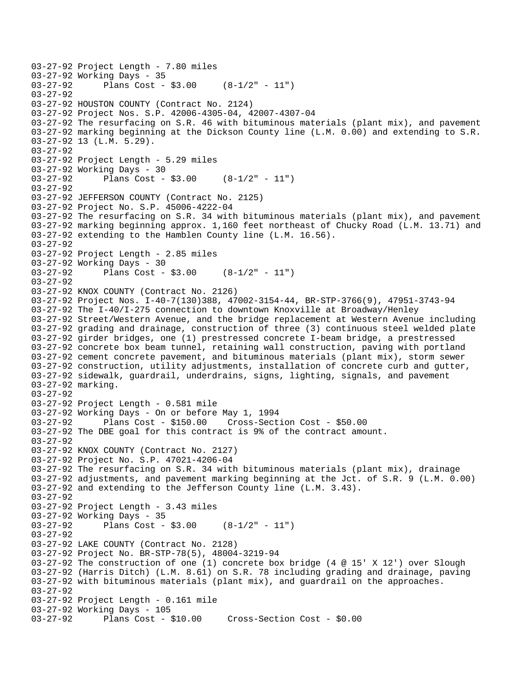```
03-27-92 Project Length - 7.80 miles 
03-27-92 Working Days - 35<br>03-27-92 Plans Cost -
              Plans Cost - $3.00 (8-1/2" - 11")
03-27-92 
03-27-92 HOUSTON COUNTY (Contract No. 2124) 
03-27-92 Project Nos. S.P. 42006-4305-04, 42007-4307-04 
03-27-92 The resurfacing on S.R. 46 with bituminous materials (plant mix), and pavement 
03-27-92 marking beginning at the Dickson County line (L.M. 0.00) and extending to S.R. 
03-27-92 13 (L.M. 5.29). 
03-27-92 
03-27-92 Project Length - 5.29 miles 
03-27-92 Working Days - 30 
03-27-92 Plans Cost - $3.00 (8-1/2" - 11") 
03-27-92 
03-27-92 JEFFERSON COUNTY (Contract No. 2125) 
03-27-92 Project No. S.P. 45006-4222-04 
03-27-92 The resurfacing on S.R. 34 with bituminous materials (plant mix), and pavement 
03-27-92 marking beginning approx. 1,160 feet northeast of Chucky Road (L.M. 13.71) and 
03-27-92 extending to the Hamblen County line (L.M. 16.56). 
03-27-92 
03-27-92 Project Length - 2.85 miles 
03-27-92 Working Days - 30 
03-27-92 Plans Cost - $3.00 (8-1/2" - 11") 
03-27-92 
03-27-92 KNOX COUNTY (Contract No. 2126) 
03-27-92 Project Nos. I-40-7(130)388, 47002-3154-44, BR-STP-3766(9), 47951-3743-94 
03-27-92 The I-40/I-275 connection to downtown Knoxville at Broadway/Henley 
03-27-92 Street/Western Avenue, and the bridge replacement at Western Avenue including 
03-27-92 grading and drainage, construction of three (3) continuous steel welded plate 
03-27-92 girder bridges, one (1) prestressed concrete I-beam bridge, a prestressed 
03-27-92 concrete box beam tunnel, retaining wall construction, paving with portland 
03-27-92 cement concrete pavement, and bituminous materials (plant mix), storm sewer 
03-27-92 construction, utility adjustments, installation of concrete curb and gutter, 
03-27-92 sidewalk, guardrail, underdrains, signs, lighting, signals, and pavement 
03-27-92 marking. 
03-27-92 
03-27-92 Project Length - 0.581 mile 
03-27-92 Working Days - On or before May 1, 1994 
03-27-92 Plans Cost - $150.00 Cross-Section Cost - $50.00 
03-27-92 The DBE goal for this contract is 9% of the contract amount. 
03-27-92 
03-27-92 KNOX COUNTY (Contract No. 2127) 
03-27-92 Project No. S.P. 47021-4206-04 
03-27-92 The resurfacing on S.R. 34 with bituminous materials (plant mix), drainage 
03-27-92 adjustments, and pavement marking beginning at the Jct. of S.R. 9 (L.M. 0.00) 
03-27-92 and extending to the Jefferson County line (L.M. 3.43). 
03-27-92 
03-27-92 Project Length - 3.43 miles 
03-27-92 Working Days - 35 
03-27-92 Plans Cost - $3.00 (8-1/2" - 11") 
03-27-92 
03-27-92 LAKE COUNTY (Contract No. 2128) 
03-27-92 Project No. BR-STP-78(5), 48004-3219-94 
03-27-92 The construction of one (1) concrete box bridge (4 @ 15' X 12') over Slough 
03-27-92 (Harris Ditch) (L.M. 8.61) on S.R. 78 including grading and drainage, paving 
03-27-92 with bituminous materials (plant mix), and guardrail on the approaches. 
03-27-92 
03-27-92 Project Length - 0.161 mile 
03-27-92 Working Days - 105 
03-27-92 Plans Cost - $10.00 Cross-Section Cost - $0.00
```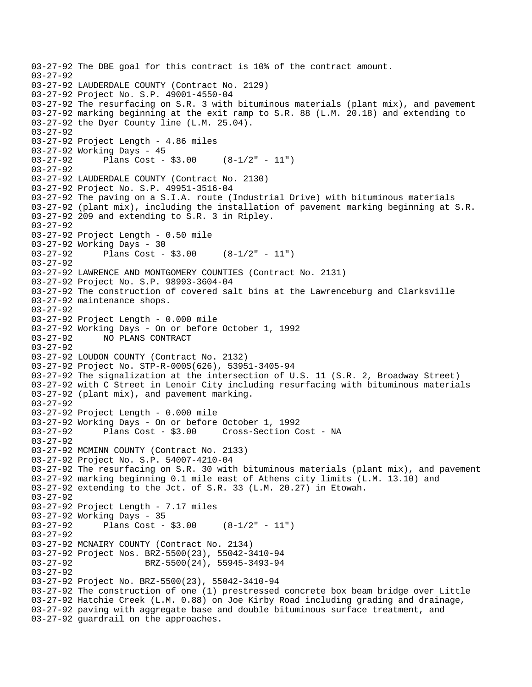```
03-27-92 The DBE goal for this contract is 10% of the contract amount. 
03-27-92 
03-27-92 LAUDERDALE COUNTY (Contract No. 2129) 
03-27-92 Project No. S.P. 49001-4550-04 
03-27-92 The resurfacing on S.R. 3 with bituminous materials (plant mix), and pavement 
03-27-92 marking beginning at the exit ramp to S.R. 88 (L.M. 20.18) and extending to 
03-27-92 the Dyer County line (L.M. 25.04). 
03-27-92 
03-27-92 Project Length - 4.86 miles 
03-27-92 Working Days - 45 
03-27-92 Plans Cost - $3.00 (8-1/2" - 11") 
03-27-92 
03-27-92 LAUDERDALE COUNTY (Contract No. 2130) 
03-27-92 Project No. S.P. 49951-3516-04 
03-27-92 The paving on a S.I.A. route (Industrial Drive) with bituminous materials 
03-27-92 (plant mix), including the installation of pavement marking beginning at S.R. 
03-27-92 209 and extending to S.R. 3 in Ripley. 
03-27-92 
03-27-92 Project Length - 0.50 mile 
03-27-92 Working Days - 30 
03-27-92 Plans Cost - $3.00 (8-1/2" - 11") 
03-27-92 
03-27-92 LAWRENCE AND MONTGOMERY COUNTIES (Contract No. 2131) 
03-27-92 Project No. S.P. 98993-3604-04 
03-27-92 The construction of covered salt bins at the Lawrenceburg and Clarksville 
03-27-92 maintenance shops. 
03-27-92 
03-27-92 Project Length - 0.000 mile 
03-27-92 Working Days - On or before October 1, 1992 
03-27-92 NO PLANS CONTRACT 
03-27-92 
03-27-92 LOUDON COUNTY (Contract No. 2132) 
03-27-92 Project No. STP-R-000S(626), 53951-3405-94 
03-27-92 The signalization at the intersection of U.S. 11 (S.R. 2, Broadway Street) 
03-27-92 with C Street in Lenoir City including resurfacing with bituminous materials 
03-27-92 (plant mix), and pavement marking. 
03-27-92 
03-27-92 Project Length - 0.000 mile 
03-27-92 Working Days - On or before October 1, 1992 
03-27-92 Plans Cost - $3.00 Cross-Section Cost - NA 
03-27-92 
03-27-92 MCMINN COUNTY (Contract No. 2133) 
03-27-92 Project No. S.P. 54007-4210-04 
03-27-92 The resurfacing on S.R. 30 with bituminous materials (plant mix), and pavement 
03-27-92 marking beginning 0.1 mile east of Athens city limits (L.M. 13.10) and 
03-27-92 extending to the Jct. of S.R. 33 (L.M. 20.27) in Etowah. 
03-27-92 
03-27-92 Project Length - 7.17 miles 
03-27-92 Working Days - 35 
03-27-92 Plans Cost - $3.00 (8-1/2" - 11") 
03-27-92 
03-27-92 MCNAIRY COUNTY (Contract No. 2134) 
03-27-92 Project Nos. BRZ-5500(23), 55042-3410-94 
03-27-92 BRZ-5500(24), 55945-3493-94
03-27-92 
03-27-92 Project No. BRZ-5500(23), 55042-3410-94 
03-27-92 The construction of one (1) prestressed concrete box beam bridge over Little 
03-27-92 Hatchie Creek (L.M. 0.88) on Joe Kirby Road including grading and drainage, 
03-27-92 paving with aggregate base and double bituminous surface treatment, and 
03-27-92 guardrail on the approaches.
```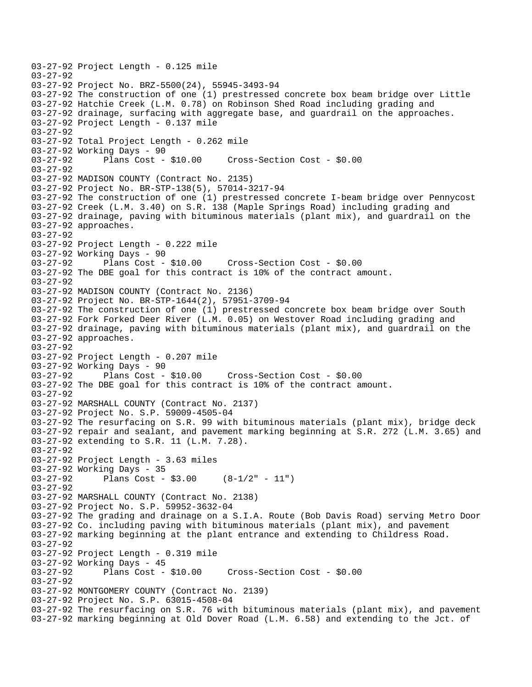```
03-27-92 Project Length - 0.125 mile 
03-27-92 
03-27-92 Project No. BRZ-5500(24), 55945-3493-94 
03-27-92 The construction of one (1) prestressed concrete box beam bridge over Little 
03-27-92 Hatchie Creek (L.M. 0.78) on Robinson Shed Road including grading and 
03-27-92 drainage, surfacing with aggregate base, and guardrail on the approaches. 
03-27-92 Project Length - 0.137 mile 
03-27-92 
03-27-92 Total Project Length - 0.262 mile 
03-27-92 Working Days - 90 
03-27-92 Plans Cost - $10.00 Cross-Section Cost - $0.00 
03-27-92 
03-27-92 MADISON COUNTY (Contract No. 2135) 
03-27-92 Project No. BR-STP-138(5), 57014-3217-94 
03-27-92 The construction of one (1) prestressed concrete I-beam bridge over Pennycost 
03-27-92 Creek (L.M. 3.40) on S.R. 138 (Maple Springs Road) including grading and 
03-27-92 drainage, paving with bituminous materials (plant mix), and guardrail on the 
03-27-92 approaches. 
03-27-92 
03-27-92 Project Length - 0.222 mile 
03-27-92 Working Days - 90<br>03-27-92 Plans Cost -
              Plans Cost - $10.00 Cross-Section Cost - $0.00
03-27-92 The DBE goal for this contract is 10% of the contract amount. 
03-27-92 
03-27-92 MADISON COUNTY (Contract No. 2136) 
03-27-92 Project No. BR-STP-1644(2), 57951-3709-94 
03-27-92 The construction of one (1) prestressed concrete box beam bridge over South 
03-27-92 Fork Forked Deer River (L.M. 0.05) on Westover Road including grading and 
03-27-92 drainage, paving with bituminous materials (plant mix), and guardrail on the 
03-27-92 approaches. 
03-27-92 
03-27-92 Project Length - 0.207 mile 
03-27-92 Working Days - 90 
03-27-92 Plans Cost - $10.00 Cross-Section Cost - $0.00 
03-27-92 The DBE goal for this contract is 10% of the contract amount. 
03-27-92 
03-27-92 MARSHALL COUNTY (Contract No. 2137) 
03-27-92 Project No. S.P. 59009-4505-04 
03-27-92 The resurfacing on S.R. 99 with bituminous materials (plant mix), bridge deck 
03-27-92 repair and sealant, and pavement marking beginning at S.R. 272 (L.M. 3.65) and 
03-27-92 extending to S.R. 11 (L.M. 7.28). 
03-27-92 
03-27-92 Project Length - 3.63 miles
03-27-92 Working Days - 35 
03-27-92 Plans Cost - $3.00 (8-1/2" - 11") 
03-27-92 
03-27-92 MARSHALL COUNTY (Contract No. 2138) 
03-27-92 Project No. S.P. 59952-3632-04 
03-27-92 The grading and drainage on a S.I.A. Route (Bob Davis Road) serving Metro Door 
03-27-92 Co. including paving with bituminous materials (plant mix), and pavement 
03-27-92 marking beginning at the plant entrance and extending to Childress Road. 
03-27-92 
03-27-92 Project Length - 0.319 mile 
03-27-92 Working Days - 45 
                                      03-27-92 Plans Cost - $10.00 Cross-Section Cost - $0.00 
03-27-92 
03-27-92 MONTGOMERY COUNTY (Contract No. 2139) 
03-27-92 Project No. S.P. 63015-4508-04 
03-27-92 The resurfacing on S.R. 76 with bituminous materials (plant mix), and pavement 
03-27-92 marking beginning at Old Dover Road (L.M. 6.58) and extending to the Jct. of
```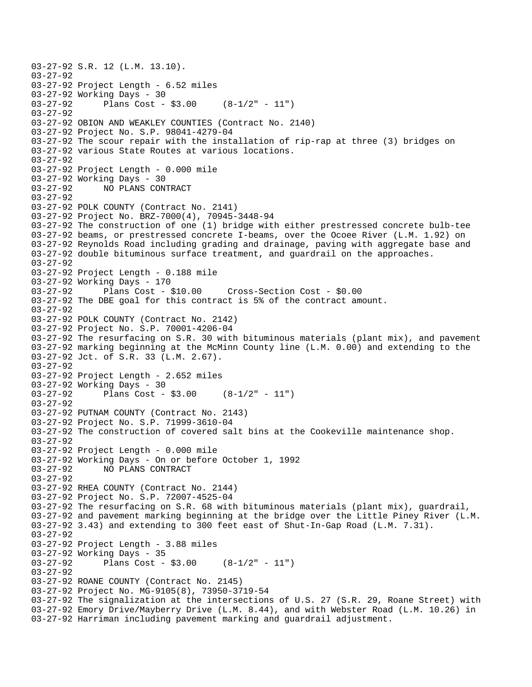03-27-92 S.R. 12 (L.M. 13.10). 03-27-92 03-27-92 Project Length - 6.52 miles 03-27-92 Working Days - 30<br>03-27-92 Plans Cost -Plans Cost -  $$3.00$  (8-1/2" - 11") 03-27-92 03-27-92 OBION AND WEAKLEY COUNTIES (Contract No. 2140) 03-27-92 Project No. S.P. 98041-4279-04 03-27-92 The scour repair with the installation of rip-rap at three (3) bridges on 03-27-92 various State Routes at various locations. 03-27-92 03-27-92 Project Length - 0.000 mile 03-27-92 Working Days - 30 03-27-92 NO PLANS CONTRACT 03-27-92 03-27-92 POLK COUNTY (Contract No. 2141) 03-27-92 Project No. BRZ-7000(4), 70945-3448-94 03-27-92 The construction of one (1) bridge with either prestressed concrete bulb-tee 03-27-92 beams, or prestressed concrete I-beams, over the Ocoee River (L.M. 1.92) on 03-27-92 Reynolds Road including grading and drainage, paving with aggregate base and 03-27-92 double bituminous surface treatment, and guardrail on the approaches. 03-27-92 03-27-92 Project Length - 0.188 mile 03-27-92 Working Days - 170 03-27-92 Plans Cost - \$10.00 Cross-Section Cost - \$0.00 03-27-92 The DBE goal for this contract is 5% of the contract amount. 03-27-92 03-27-92 POLK COUNTY (Contract No. 2142) 03-27-92 Project No. S.P. 70001-4206-04 03-27-92 The resurfacing on S.R. 30 with bituminous materials (plant mix), and pavement 03-27-92 marking beginning at the McMinn County line (L.M. 0.00) and extending to the 03-27-92 Jct. of S.R. 33 (L.M. 2.67). 03-27-92 03-27-92 Project Length - 2.652 miles 03-27-92 Working Days - 30 03-27-92 Plans Cost - \$3.00 (8-1/2" - 11") 03-27-92 03-27-92 PUTNAM COUNTY (Contract No. 2143) 03-27-92 Project No. S.P. 71999-3610-04 03-27-92 The construction of covered salt bins at the Cookeville maintenance shop. 03-27-92 03-27-92 Project Length - 0.000 mile 03-27-92 Working Days - On or before October 1, 1992 03-27-92 NO PLANS CONTRACT 03-27-92 03-27-92 RHEA COUNTY (Contract No. 2144) 03-27-92 Project No. S.P. 72007-4525-04 03-27-92 The resurfacing on S.R. 68 with bituminous materials (plant mix), guardrail, 03-27-92 and pavement marking beginning at the bridge over the Little Piney River (L.M. 03-27-92 3.43) and extending to 300 feet east of Shut-In-Gap Road (L.M. 7.31). 03-27-92 03-27-92 Project Length - 3.88 miles 03-27-92 Working Days - 35 03-27-92 Plans Cost - \$3.00 (8-1/2" - 11") 03-27-92 03-27-92 ROANE COUNTY (Contract No. 2145) 03-27-92 Project No. MG-9105(8), 73950-3719-54 03-27-92 The signalization at the intersections of U.S. 27 (S.R. 29, Roane Street) with 03-27-92 Emory Drive/Mayberry Drive (L.M. 8.44), and with Webster Road (L.M. 10.26) in 03-27-92 Harriman including pavement marking and guardrail adjustment.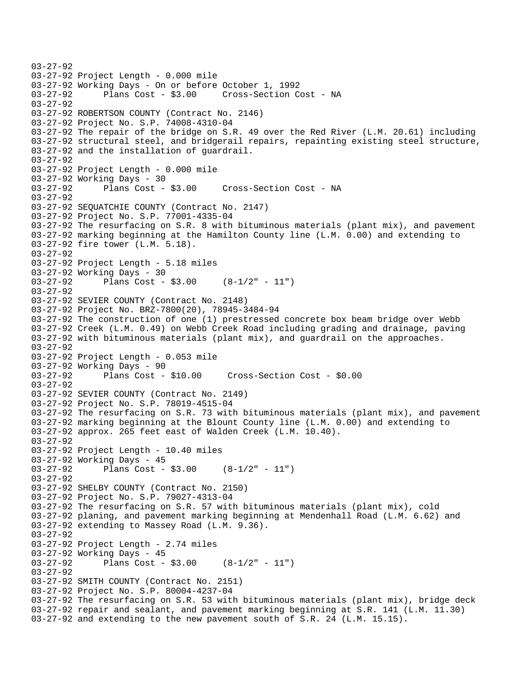```
03-27-92 
03-27-92 Project Length - 0.000 mile 
03-27-92 Working Days - On or before October 1, 1992 
03-27-92 Plans Cost - $3.00 Cross-Section Cost - NA 
03-27-92 
03-27-92 ROBERTSON COUNTY (Contract No. 2146) 
03-27-92 Project No. S.P. 74008-4310-04 
03-27-92 The repair of the bridge on S.R. 49 over the Red River (L.M. 20.61) including 
03-27-92 structural steel, and bridgerail repairs, repainting existing steel structure, 
03-27-92 and the installation of guardrail. 
03-27-92 
03-27-92 Project Length - 0.000 mile 
03-27-92 Working Days - 30 
03-27-92 Plans Cost - $3.00 Cross-Section Cost - NA 
03-27-92 
03-27-92 SEQUATCHIE COUNTY (Contract No. 2147) 
03-27-92 Project No. S.P. 77001-4335-04 
03-27-92 The resurfacing on S.R. 8 with bituminous materials (plant mix), and pavement 
03-27-92 marking beginning at the Hamilton County line (L.M. 0.00) and extending to 
03-27-92 fire tower (L.M. 5.18). 
03-27-92 
03-27-92 Project Length - 5.18 miles 
03-27-92 Working Days - 30 
03-27-92 Plans Cost - $3.00 (8-1/2" - 11") 
03-27-92 
03-27-92 SEVIER COUNTY (Contract No. 2148) 
03-27-92 Project No. BRZ-7800(20), 78945-3484-94 
03-27-92 The construction of one (1) prestressed concrete box beam bridge over Webb 
03-27-92 Creek (L.M. 0.49) on Webb Creek Road including grading and drainage, paving 
03-27-92 with bituminous materials (plant mix), and guardrail on the approaches. 
03-27-92 
03-27-92 Project Length - 0.053 mile 
03-27-92 Working Days - 90 
03-27-92 Plans Cost - $10.00 Cross-Section Cost - $0.00 
03-27-92 
03-27-92 SEVIER COUNTY (Contract No. 2149) 
03-27-92 Project No. S.P. 78019-4515-04 
03-27-92 The resurfacing on S.R. 73 with bituminous materials (plant mix), and pavement 
03-27-92 marking beginning at the Blount County line (L.M. 0.00) and extending to 
03-27-92 approx. 265 feet east of Walden Creek (L.M. 10.40). 
03-27-92 
03-27-92 Project Length - 10.40 miles 
03-27-92 Working Days - 45 
03-27-92 Plans Cost - $3.00 (8-1/2" - 11") 
03-27-92 
03-27-92 SHELBY COUNTY (Contract No. 2150) 
03-27-92 Project No. S.P. 79027-4313-04 
03-27-92 The resurfacing on S.R. 57 with bituminous materials (plant mix), cold 
03-27-92 planing, and pavement marking beginning at Mendenhall Road (L.M. 6.62) and 
03-27-92 extending to Massey Road (L.M. 9.36). 
03-27-92 
03-27-92 Project Length - 2.74 miles 
03-27-92 Working Days - 45 
03-27-92 Plans Cost - $3.00 (8-1/2" - 11") 
03-27-92 
03-27-92 SMITH COUNTY (Contract No. 2151) 
03-27-92 Project No. S.P. 80004-4237-04 
03-27-92 The resurfacing on S.R. 53 with bituminous materials (plant mix), bridge deck 
03-27-92 repair and sealant, and pavement marking beginning at S.R. 141 (L.M. 11.30) 
03-27-92 and extending to the new pavement south of S.R. 24 (L.M. 15.15).
```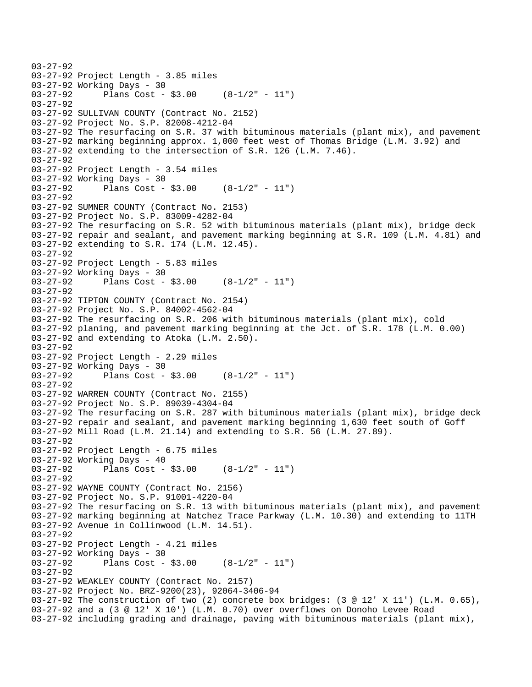```
03-27-92 
03-27-92 Project Length - 3.85 miles 
03-27-92 Working Days - 30 
03-27-92 Plans Cost - $3.00 (8-1/2" - 11") 
03-27-92 
03-27-92 SULLIVAN COUNTY (Contract No. 2152) 
03-27-92 Project No. S.P. 82008-4212-04 
03-27-92 The resurfacing on S.R. 37 with bituminous materials (plant mix), and pavement 
03-27-92 marking beginning approx. 1,000 feet west of Thomas Bridge (L.M. 3.92) and 
03-27-92 extending to the intersection of S.R. 126 (L.M. 7.46). 
03-27-92 
03-27-92 Project Length - 3.54 miles
03-27-92 Working Days - 30 
03-27-92 Plans Cost - $3.00 (8-1/2" - 11") 
03-27-92 
03-27-92 SUMNER COUNTY (Contract No. 2153) 
03-27-92 Project No. S.P. 83009-4282-04 
03-27-92 The resurfacing on S.R. 52 with bituminous materials (plant mix), bridge deck 
03-27-92 repair and sealant, and pavement marking beginning at S.R. 109 (L.M. 4.81) and 
03-27-92 extending to S.R. 174 (L.M. 12.45). 
03-27-92 
03-27-92 Project Length - 5.83 miles 
03-27-92 Working Days - 30 
03-27-92 Plans Cost - $3.00 (8-1/2" - 11") 
03-27-92 
03-27-92 TIPTON COUNTY (Contract No. 2154) 
03-27-92 Project No. S.P. 84002-4562-04 
03-27-92 The resurfacing on S.R. 206 with bituminous materials (plant mix), cold 
03-27-92 planing, and pavement marking beginning at the Jct. of S.R. 178 (L.M. 0.00) 
03-27-92 and extending to Atoka (L.M. 2.50). 
03-27-92 
03-27-92 Project Length - 2.29 miles
03-27-92 Working Days - 30 
03-27-92 Plans Cost - $3.00 (8-1/2" - 11") 
03-27-92 
03-27-92 WARREN COUNTY (Contract No. 2155) 
03-27-92 Project No. S.P. 89039-4304-04 
03-27-92 The resurfacing on S.R. 287 with bituminous materials (plant mix), bridge deck 
03-27-92 repair and sealant, and pavement marking beginning 1,630 feet south of Goff 
03-27-92 Mill Road (L.M. 21.14) and extending to S.R. 56 (L.M. 27.89). 
03-27-92 
03-27-92 Project Length - 6.75 miles 
03-27-92 Working Days - 40 
03-27-92 Plans Cost - $3.00 (8-1/2" - 11") 
03-27-92 
03-27-92 WAYNE COUNTY (Contract No. 2156) 
03-27-92 Project No. S.P. 91001-4220-04 
03-27-92 The resurfacing on S.R. 13 with bituminous materials (plant mix), and pavement 
03-27-92 marking beginning at Natchez Trace Parkway (L.M. 10.30) and extending to 11TH 
03-27-92 Avenue in Collinwood (L.M. 14.51). 
03-27-92 
03-27-92 Project Length - 4.21 miles 
03-27-92 Working Days - 30 
03-27-92 Plans Cost - $3.00 (8-1/2" - 11") 
03-27-92 
03-27-92 WEAKLEY COUNTY (Contract No. 2157) 
03-27-92 Project No. BRZ-9200(23), 92064-3406-94 
03-27-92 The construction of two (2) concrete box bridges: (3 @ 12' X 11') (L.M. 0.65), 
03-27-92 and a (3 @ 12' X 10') (L.M. 0.70) over overflows on Donoho Levee Road 
03-27-92 including grading and drainage, paving with bituminous materials (plant mix),
```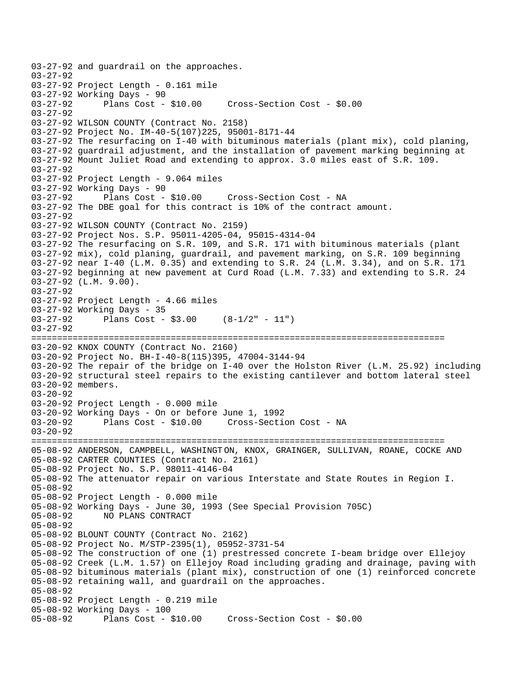```
03-27-92 and guardrail on the approaches. 
03-27-92 
03-27-92 Project Length - 0.161 mile 
03-27-92 Working Days - 90<br>03-27-92 Plans Cost - $10.00
                                       Cross-Section Cost - $0.00
03-27-92 
03-27-92 WILSON COUNTY (Contract No. 2158) 
03-27-92 Project No. IM-40-5(107)225, 95001-8171-44 
03-27-92 The resurfacing on I-40 with bituminous materials (plant mix), cold planing, 
03-27-92 guardrail adjustment, and the installation of pavement marking beginning at 
03-27-92 Mount Juliet Road and extending to approx. 3.0 miles east of S.R. 109. 
03-27-92 
03-27-92 Project Length - 9.064 miles 
03-27-92 Working Days - 90 
03-27-92 Plans Cost - $10.00 Cross-Section Cost - NA 
03-27-92 The DBE goal for this contract is 10% of the contract amount. 
03-27-92 
03-27-92 WILSON COUNTY (Contract No. 2159) 
03-27-92 Project Nos. S.P. 95011-4205-04, 95015-4314-04 
03-27-92 The resurfacing on S.R. 109, and S.R. 171 with bituminous materials (plant 
03-27-92 mix), cold planing, guardrail, and pavement marking, on S.R. 109 beginning 
03-27-92 near I-40 (L.M. 0.35) and extending to S.R. 24 (L.M. 3.34), and on S.R. 171 
03-27-92 beginning at new pavement at Curd Road (L.M. 7.33) and extending to S.R. 24 
03-27-92 (L.M. 9.00). 
03-27-92 
03-27-92 Project Length - 4.66 miles 
03-27-92 Working Days - 35 
03-27-92 Plans Cost - $3.00 (8-1/2" - 11") 
03-27-92 
================================================================================ 
03-20-92 KNOX COUNTY (Contract No. 2160) 
03-20-92 Project No. BH-I-40-8(115)395, 47004-3144-94 
03-20-92 The repair of the bridge on I-40 over the Holston River (L.M. 25.92) including 
03-20-92 structural steel repairs to the existing cantilever and bottom lateral steel 
03-20-92 members. 
03 - 20 - 9203-20-92 Project Length - 0.000 mile 
03-20-92 Working Days - On or before June 1, 1992 
03-20-92 Plans Cost - $10.00 Cross-Section Cost - NA 
03-20-92 
================================================================================ 
05-08-92 ANDERSON, CAMPBELL, WASHINGT ON, KNOX, GRAINGER, SULLIVAN, ROANE, COCKE AND 
05-08-92 CARTER COUNTIES (Contract No. 2161) 
05-08-92 Project No. S.P. 98011-4146-04 
05-08-92 The attenuator repair on various Interstate and State Routes in Region I. 
05-08-92 
05-08-92 Project Length - 0.000 mile 
05-08-92 Working Days - June 30, 1993 (See Special Provision 705C) 
              NO PLANS CONTRACT
05-08-92 
05-08-92 BLOUNT COUNTY (Contract No. 2162) 
05-08-92 Project No. M/STP-2395(1), 05952-3731-54 
05-08-92 The construction of one (1) prestressed concrete I-beam bridge over Ellejoy 
05-08-92 Creek (L.M. 1.57) on Ellejoy Road including grading and drainage, paving with 
05-08-92 bituminous materials (plant mix), construction of one (1) reinforced concrete 
05-08-92 retaining wall, and guardrail on the approaches. 
05-08-92 
05-08-92 Project Length - 0.219 mile 
05-08-92 Working Days - 100 
05-08-92 Plans Cost - $10.00 Cross-Section Cost - $0.00
```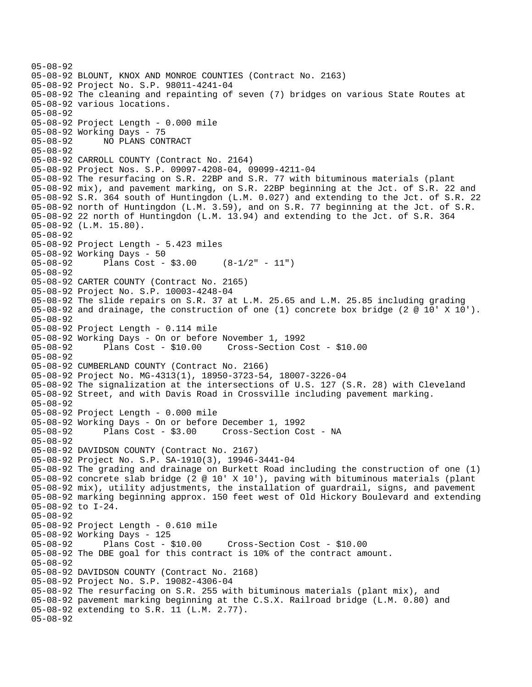```
05-08-92 
05-08-92 BLOUNT, KNOX AND MONROE COUNTIES (Contract No. 2163) 
05-08-92 Project No. S.P. 98011-4241-04 
05-08-92 The cleaning and repainting of seven (7) bridges on various State Routes at 
05-08-92 various locations. 
05-08-92 
05-08-92 Project Length - 0.000 mile 
05-08-92 Working Days - 75 
05-08-92 NO PLANS CONTRACT 
05-08-92 
05-08-92 CARROLL COUNTY (Contract No. 2164) 
05-08-92 Project Nos. S.P. 09097-4208-04, 09099-4211-04 
05-08-92 The resurfacing on S.R. 22BP and S.R. 77 with bituminous materials (plant 
05-08-92 mix), and pavement marking, on S.R. 22BP beginning at the Jct. of S.R. 22 and 
05-08-92 S.R. 364 south of Huntingdon (L.M. 0.027) and extending to the Jct. of S.R. 22 
05-08-92 north of Huntingdon (L.M. 3.59), and on S.R. 77 beginning at the Jct. of S.R. 
05-08-92 22 north of Huntingdon (L.M. 13.94) and extending to the Jct. of S.R. 364 
05-08-92 (L.M. 15.80). 
05-08-92 
05-08-92 Project Length - 5.423 miles 
05-08-92 Working Days - 50 
05-08-92 Plans Cost - $3.00 (8-1/2" - 11") 
05-08-92 
05-08-92 CARTER COUNTY (Contract No. 2165) 
05-08-92 Project No. S.P. 10003-4248-04 
05-08-92 The slide repairs on S.R. 37 at L.M. 25.65 and L.M. 25.85 including grading 
05-08-92 and drainage, the construction of one (1) concrete box bridge (2 @ 10' X 10'). 
05-08-92 
05-08-92 Project Length - 0.114 mile 
05-08-92 Working Days - On or before November 1, 1992 
05-08-92 Plans Cost - $10.00 Cross-Section Cost - $10.00 
05-08-92 
05-08-92 CUMBERLAND COUNTY (Contract No. 2166) 
05-08-92 Project No. MG-4313(1), 18950-3723-54, 18007-3226-04 
05-08-92 The signalization at the intersections of U.S. 127 (S.R. 28) with Cleveland 
05-08-92 Street, and with Davis Road in Crossville including pavement marking. 
05-08-92 
05-08-92 Project Length - 0.000 mile 
05-08-92 Working Days - On or before December 1, 1992 
05-08-92 Plans Cost - $3.00 Cross-Section Cost - NA 
05-08-92 
05-08-92 DAVIDSON COUNTY (Contract No. 2167) 
05-08-92 Project No. S.P. SA-1910(3), 19946-3441-04 
05-08-92 The grading and drainage on Burkett Road including the construction of one (1) 
05-08-92 concrete slab bridge (2 @ 10' X 10'), paving with bituminous materials (plant 
05-08-92 mix), utility adjustments, the installation of guardrail, signs, and pavement 
05-08-92 marking beginning approx. 150 feet west of Old Hickory Boulevard and extending 
05-08-92 to I-24. 
05-08-92 
05-08-92 Project Length - 0.610 mile 
05-08-92 Working Days - 125 
05-08-92 Plans Cost - $10.00 Cross-Section Cost - $10.00 
05-08-92 The DBE goal for this contract is 10% of the contract amount. 
05-08-92 
05-08-92 DAVIDSON COUNTY (Contract No. 2168) 
05-08-92 Project No. S.P. 19082-4306-04 
05-08-92 The resurfacing on S.R. 255 with bituminous materials (plant mix), and 
05-08-92 pavement marking beginning at the C.S.X. Railroad bridge (L.M. 0.80) and 
05-08-92 extending to S.R. 11 (L.M. 2.77). 
05-08-92
```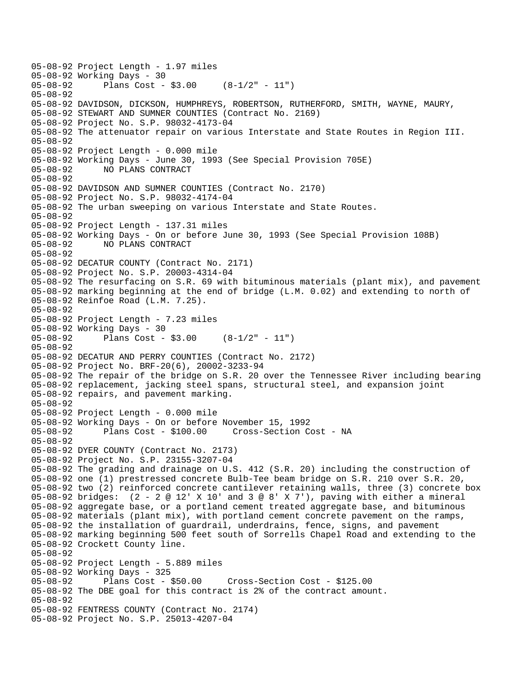05-08-92 Project Length - 1.97 miles 05-08-92 Working Days - 30<br>05-08-92 Plans Cost -Plans Cost -  $$3.00$  (8-1/2" - 11") 05-08-92 05-08-92 DAVIDSON, DICKSON, HUMPHREYS, ROBERTSON, RUTHERFORD, SMITH, WAYNE, MAURY, 05-08-92 STEWART AND SUMNER COUNTIES (Contract No. 2169) 05-08-92 Project No. S.P. 98032-4173-04 05-08-92 The attenuator repair on various Interstate and State Routes in Region III. 05-08-92 05-08-92 Project Length - 0.000 mile 05-08-92 Working Days - June 30, 1993 (See Special Provision 705E) 05-08-92 NO PLANS CONTRACT 05-08-92 05-08-92 DAVIDSON AND SUMNER COUNTIES (Contract No. 2170) 05-08-92 Project No. S.P. 98032-4174-04 05-08-92 The urban sweeping on various Interstate and State Routes. 05-08-92 05-08-92 Project Length - 137.31 miles 05-08-92 Working Days - On or before June 30, 1993 (See Special Provision 108B) 05-08-92 NO PLANS CONTRACT 05-08-92 05-08-92 DECATUR COUNTY (Contract No. 2171) 05-08-92 Project No. S.P. 20003-4314-04 05-08-92 The resurfacing on S.R. 69 with bituminous materials (plant mix), and pavement 05-08-92 marking beginning at the end of bridge (L.M. 0.02) and extending to north of 05-08-92 Reinfoe Road (L.M. 7.25). 05-08-92 05-08-92 Project Length - 7.23 miles 05-08-92 Working Days - 30 05-08-92 Plans Cost - \$3.00 (8-1/2" - 11") 05-08-92 05-08-92 DECATUR AND PERRY COUNTIES (Contract No. 2172) 05-08-92 Project No. BRF-20(6), 20002-3233-94 05-08-92 The repair of the bridge on S.R. 20 over the Tennessee River including bearing 05-08-92 replacement, jacking steel spans, structural steel, and expansion joint 05-08-92 repairs, and pavement marking. 05-08-92 05-08-92 Project Length - 0.000 mile 05-08-92 Working Days - On or before November 15, 1992 05-08-92 Plans Cost - \$100.00 Cross-Section Cost - NA 05-08-92 05-08-92 DYER COUNTY (Contract No. 2173) 05-08-92 Project No. S.P. 23155-3207-04 05-08-92 The grading and drainage on U.S. 412 (S.R. 20) including the construction of 05-08-92 one (1) prestressed concrete Bulb-Tee beam bridge on S.R. 210 over S.R. 20, 05-08-92 two (2) reinforced concrete cantilever retaining walls, three (3) concrete box 05-08-92 bridges: (2 - 2 @ 12' X 10' and 3 @ 8' X 7'), paving with either a mineral 05-08-92 aggregate base, or a portland cement treated aggregate base, and bituminous 05-08-92 materials (plant mix), with portland cement concrete pavement on the ramps, 05-08-92 the installation of guardrail, underdrains, fence, signs, and pavement 05-08-92 marking beginning 500 feet south of Sorrells Chapel Road and extending to the 05-08-92 Crockett County line. 05-08-92 05-08-92 Project Length - 5.889 miles 05-08-92 Working Days - 325 05-08-92 Plans Cost - \$50.00 Cross-Section Cost - \$125.00 05-08-92 The DBE goal for this contract is 2% of the contract amount. 05-08-92 05-08-92 FENTRESS COUNTY (Contract No. 2174) 05-08-92 Project No. S.P. 25013-4207-04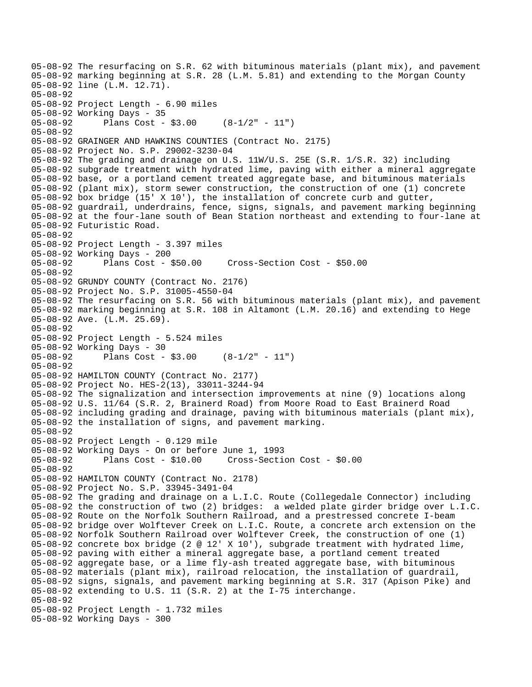```
05-08-92 The resurfacing on S.R. 62 with bituminous materials (plant mix), and pavement 
05-08-92 marking beginning at S.R. 28 (L.M. 5.81) and extending to the Morgan County 
05-08-92 line (L.M. 12.71). 
05-08-92 
05-08-92 Project Length - 6.90 miles 
05-08-92 Working Days - 35 
05-08-92 Plans Cost - $3.00 (8-1/2" - 11") 
05-08-92 
05-08-92 GRAINGER AND HAWKINS COUNTIES (Contract No. 2175) 
05-08-92 Project No. S.P. 29002-3230-04 
05-08-92 The grading and drainage on U.S. 11W/U.S. 25E (S.R. 1/S.R. 32) including 
05-08-92 subgrade treatment with hydrated lime, paving with either a mineral aggregate 
05-08-92 base, or a portland cement treated aggregate base, and bituminous materials 
05-08-92 (plant mix), storm sewer construction, the construction of one (1) concrete 
05-08-92 box bridge (15' X 10'), the installation of concrete curb and gutter, 
05-08-92 guardrail, underdrains, fence, signs, signals, and pavement marking beginning 
05-08-92 at the four-lane south of Bean Station northeast and extending to four-lane at 
05-08-92 Futuristic Road. 
05-08-92 
05-08-92 Project Length - 3.397 miles 
05-08-92 Working Days - 200 
05-08-92 Plans Cost - $50.00 Cross-Section Cost - $50.00 
05-08-92 
05-08-92 GRUNDY COUNTY (Contract No. 2176) 
05-08-92 Project No. S.P. 31005-4550-04 
05-08-92 The resurfacing on S.R. 56 with bituminous materials (plant mix), and pavement 
05-08-92 marking beginning at S.R. 108 in Altamont (L.M. 20.16) and extending to Hege 
05-08-92 Ave. (L.M. 25.69). 
05-08-92 
05-08-92 Project Length - 5.524 miles 
05-08-92 Working Days - 30 
05-08-92 Plans Cost - $3.00 (8-1/2" - 11") 
05-08-92 
05-08-92 HAMILTON COUNTY (Contract No. 2177) 
05-08-92 Project No. HES-2(13), 33011-3244-94 
05-08-92 The signalization and intersection improvements at nine (9) locations along 
05-08-92 U.S. 11/64 (S.R. 2, Brainerd Road) from Moore Road to East Brainerd Road 
05-08-92 including grading and drainage, paving with bituminous materials (plant mix), 
05-08-92 the installation of signs, and pavement marking. 
05-08-92 
05-08-92 Project Length - 0.129 mile 
05-08-92 Working Days - On or before June 1, 1993 
05-08-92 Plans Cost - $10.00 Cross-Section Cost - $0.00 
05-08-92 
05-08-92 HAMILTON COUNTY (Contract No. 2178) 
05-08-92 Project No. S.P. 33945-3491-04 
05-08-92 The grading and drainage on a L.I.C. Route (Collegedale Connector) including 
05-08-92 the construction of two (2) bridges: a welded plate girder bridge over L.I.C. 
05-08-92 Route on the Norfolk Southern Railroad, and a prestressed concrete I-beam 
05-08-92 bridge over Wolftever Creek on L.I.C. Route, a concrete arch extension on the 
05-08-92 Norfolk Southern Railroad over Wolftever Creek, the construction of one (1) 
05-08-92 concrete box bridge (2 @ 12' X 10'), subgrade treatment with hydrated lime, 
05-08-92 paving with either a mineral aggregate base, a portland cement treated 
05-08-92 aggregate base, or a lime fly-ash treated aggregate base, with bituminous 
05-08-92 materials (plant mix), railroad relocation, the installation of guardrail, 
05-08-92 signs, signals, and pavement marking beginning at S.R. 317 (Apison Pike) and 
05-08-92 extending to U.S. 11 (S.R. 2) at the I-75 interchange. 
05-08-92 
05-08-92 Project Length - 1.732 miles 
05-08-92 Working Days - 300
```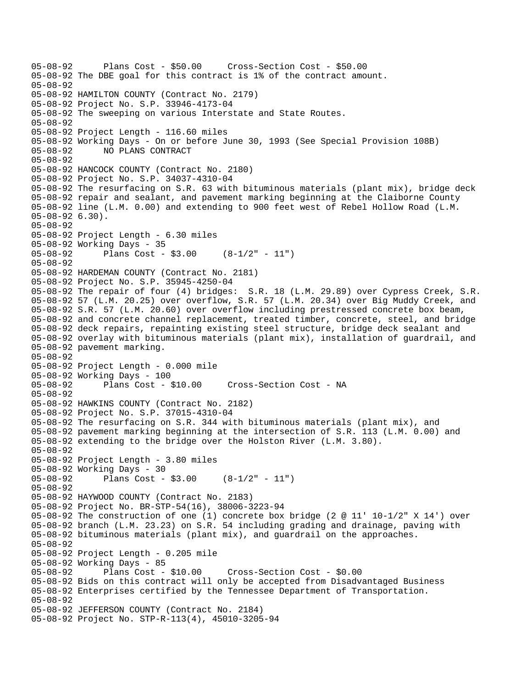```
05-08-92 Plans Cost - $50.00 Cross-Section Cost - $50.00 
05-08-92 The DBE goal for this contract is 1% of the contract amount. 
05-08-92 
05-08-92 HAMILTON COUNTY (Contract No. 2179) 
05-08-92 Project No. S.P. 33946-4173-04 
05-08-92 The sweeping on various Interstate and State Routes. 
05-08-92 
05-08-92 Project Length - 116.60 miles 
05-08-92 Working Days - On or before June 30, 1993 (See Special Provision 108B) 
05-08-92 NO PLANS CONTRACT 
05-08-92 
05-08-92 HANCOCK COUNTY (Contract No. 2180) 
05-08-92 Project No. S.P. 34037-4310-04 
05-08-92 The resurfacing on S.R. 63 with bituminous materials (plant mix), bridge deck 
05-08-92 repair and sealant, and pavement marking beginning at the Claiborne County 
05-08-92 line (L.M. 0.00) and extending to 900 feet west of Rebel Hollow Road (L.M. 
05-08-92 6.30). 
05-08-92 
05-08-92 Project Length - 6.30 miles 
05-08-92 Working Days - 35 
05-08-92 Plans Cost - $3.00 (8-1/2" - 11") 
05-08-92 
05-08-92 HARDEMAN COUNTY (Contract No. 2181) 
05-08-92 Project No. S.P. 35945-4250-04 
05-08-92 The repair of four (4) bridges: S.R. 18 (L.M. 29.89) over Cypress Creek, S.R. 
05-08-92 57 (L.M. 20.25) over overflow, S.R. 57 (L.M. 20.34) over Big Muddy Creek, and 
05-08-92 S.R. 57 (L.M. 20.60) over overflow including prestressed concrete box beam, 
05-08-92 and concrete channel replacement, treated timber, concrete, steel, and bridge 
05-08-92 deck repairs, repainting existing steel structure, bridge deck sealant and 
05-08-92 overlay with bituminous materials (plant mix), installation of guardrail, and 
05-08-92 pavement marking. 
05-08-92 
05-08-92 Project Length - 0.000 mile 
05-08-92 Working Days - 100 
                                     Cross-Section Cost - NA
05-08-92 
05-08-92 HAWKINS COUNTY (Contract No. 2182) 
05-08-92 Project No. S.P. 37015-4310-04 
05-08-92 The resurfacing on S.R. 344 with bituminous materials (plant mix), and 
05-08-92 pavement marking beginning at the intersection of S.R. 113 (L.M. 0.00) and 
05-08-92 extending to the bridge over the Holston River (L.M. 3.80). 
05-08-92 
05-08-92 Project Length - 3.80 miles 
05-08-92 Working Days - 30 
              Plans Cost - $3.00 (8-1/2" - 11")
05-08-92 
05-08-92 HAYWOOD COUNTY (Contract No. 2183) 
05-08-92 Project No. BR-STP-54(16), 38006-3223-94 
05-08-92 The construction of one (1) concrete box bridge (2 @ 11' 10-1/2" X 14') over 
05-08-92 branch (L.M. 23.23) on S.R. 54 including grading and drainage, paving with 
05-08-92 bituminous materials (plant mix), and guardrail on the approaches. 
05-08-92 
05-08-92 Project Length - 0.205 mile 
05-08-92 Working Days - 85 
                                      05-08-92 Plans Cost - $10.00 Cross-Section Cost - $0.00 
05-08-92 Bids on this contract will only be accepted from Disadvantaged Business 
05-08-92 Enterprises certified by the Tennessee Department of Transportation. 
05-08-92 
05-08-92 JEFFERSON COUNTY (Contract No. 2184) 
05-08-92 Project No. STP-R-113(4), 45010-3205-94
```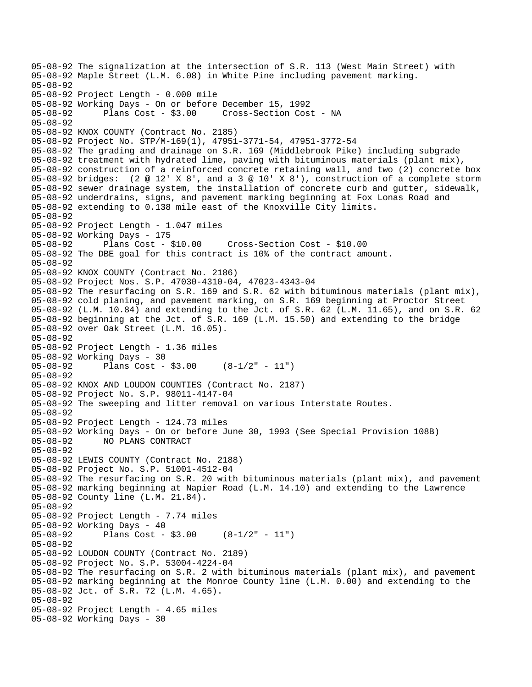05-08-92 The signalization at the intersection of S.R. 113 (West Main Street) with 05-08-92 Maple Street (L.M. 6.08) in White Pine including pavement marking. 05-08-92 05-08-92 Project Length - 0.000 mile 05-08-92 Working Days - On or before December 15, 1992 05-08-92 Plans Cost - \$3.00 Cross-Section Cost - NA 05-08-92 05-08-92 KNOX COUNTY (Contract No. 2185) 05-08-92 Project No. STP/M-169(1), 47951-3771-54, 47951-3772-54 05-08-92 The grading and drainage on S.R. 169 (Middlebrook Pike) including subgrade 05-08-92 treatment with hydrated lime, paving with bituminous materials (plant mix), 05-08-92 construction of a reinforced concrete retaining wall, and two (2) concrete box 05-08-92 bridges: (2 @ 12' X 8', and a 3 @ 10' X 8'), construction of a complete storm 05-08-92 sewer drainage system, the installation of concrete curb and gutter, sidewalk, 05-08-92 underdrains, signs, and pavement marking beginning at Fox Lonas Road and 05-08-92 extending to 0.138 mile east of the Knoxville City limits. 05-08-92 05-08-92 Project Length - 1.047 miles 05-08-92 Working Days - 175 05-08-92 Plans Cost - \$10.00 Cross-Section Cost - \$10.00 05-08-92 The DBE goal for this contract is 10% of the contract amount. 05-08-92 05-08-92 KNOX COUNTY (Contract No. 2186) 05-08-92 Project Nos. S.P. 47030-4310-04, 47023-4343-04 05-08-92 The resurfacing on S.R. 169 and S.R. 62 with bituminous materials (plant mix), 05-08-92 cold planing, and pavement marking, on S.R. 169 beginning at Proctor Street 05-08-92 (L.M. 10.84) and extending to the Jct. of S.R. 62 (L.M. 11.65), and on S.R. 62 05-08-92 beginning at the Jct. of S.R. 169 (L.M. 15.50) and extending to the bridge 05-08-92 over Oak Street (L.M. 16.05). 05-08-92 05-08-92 Project Length - 1.36 miles 05-08-92 Working Days - 30<br>05-08-92 Plans Cost -Plans Cost -  $$3.00$  (8-1/2" - 11") 05-08-92 05-08-92 KNOX AND LOUDON COUNTIES (Contract No. 2187) 05-08-92 Project No. S.P. 98011-4147-04 05-08-92 The sweeping and litter removal on various Interstate Routes. 05-08-92 05-08-92 Project Length - 124.73 miles 05-08-92 Working Days - On or before June 30, 1993 (See Special Provision 108B) 05-08-92 NO PLANS CONTRACT 05-08-92 05-08-92 LEWIS COUNTY (Contract No. 2188) 05-08-92 Project No. S.P. 51001-4512-04 05-08-92 The resurfacing on S.R. 20 with bituminous materials (plant mix), and pavement 05-08-92 marking beginning at Napier Road (L.M. 14.10) and extending to the Lawrence 05-08-92 County line (L.M. 21.84). 05-08-92 05-08-92 Project Length - 7.74 miles 05-08-92 Working Days - 40 05-08-92 Plans Cost - \$3.00 (8-1/2" - 11") 05-08-92 05-08-92 LOUDON COUNTY (Contract No. 2189) 05-08-92 Project No. S.P. 53004-4224-04 05-08-92 The resurfacing on S.R. 2 with bituminous materials (plant mix), and pavement 05-08-92 marking beginning at the Monroe County line (L.M. 0.00) and extending to the 05-08-92 Jct. of S.R. 72 (L.M. 4.65). 05-08-92 05-08-92 Project Length - 4.65 miles 05-08-92 Working Days - 30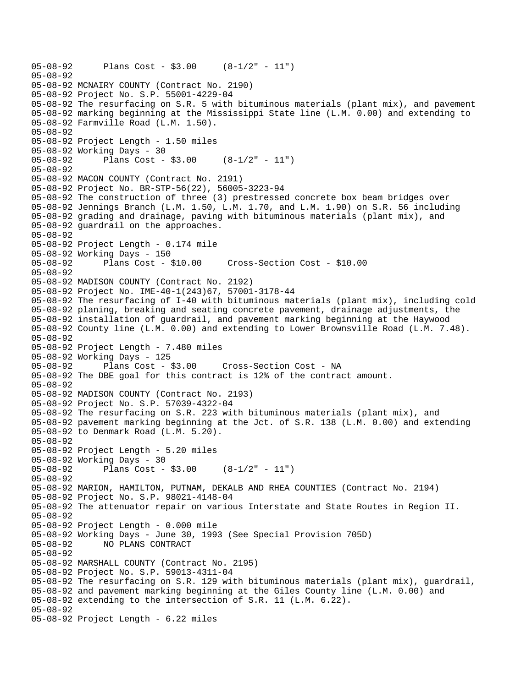```
05-08-92 Plans Cost - $3.00 (8-1/2" - 11") 
05-08-92 
05-08-92 MCNAIRY COUNTY (Contract No. 2190) 
05-08-92 Project No. S.P. 55001-4229-04 
05-08-92 The resurfacing on S.R. 5 with bituminous materials (plant mix), and pavement 
05-08-92 marking beginning at the Mississippi State line (L.M. 0.00) and extending to 
05-08-92 Farmville Road (L.M. 1.50). 
05-08-92 
05-08-92 Project Length - 1.50 miles 
05-08-92 Working Days - 30 
05-08-92 Plans Cost - $3.00 (8-1/2" - 11") 
05-08-92 
05-08-92 MACON COUNTY (Contract No. 2191) 
05-08-92 Project No. BR-STP-56(22), 56005-3223-94 
05-08-92 The construction of three (3) prestressed concrete box beam bridges over 
05-08-92 Jennings Branch (L.M. 1.50, L.M. 1.70, and L.M. 1.90) on S.R. 56 including 
05-08-92 grading and drainage, paving with bituminous materials (plant mix), and 
05-08-92 guardrail on the approaches. 
05-08-92 
05-08-92 Project Length - 0.174 mile 
05-08-92 Working Days - 150 
05-08-92 Plans Cost - $10.00 Cross-Section Cost - $10.00 
05-08-92 
05-08-92 MADISON COUNTY (Contract No. 2192) 
05-08-92 Project No. IME-40-1(243)67, 57001-3178-44 
05-08-92 The resurfacing of I-40 with bituminous materials (plant mix), including cold 
05-08-92 planing, breaking and seating concrete pavement, drainage adjustments, the 
05-08-92 installation of guardrail, and pavement marking beginning at the Haywood 
05-08-92 County line (L.M. 0.00) and extending to Lower Brownsville Road (L.M. 7.48). 
05-08-92 
05-08-92 Project Length - 7.480 miles 
05-08-92 Working Days - 125<br>05-08-92 Plans Cost - $3.00
05-08-92 Plans Cost - $3.00 Cross-Section Cost - NA 
05-08-92 The DBE goal for this contract is 12% of the contract amount. 
05-08-92 
05-08-92 MADISON COUNTY (Contract No. 2193) 
05-08-92 Project No. S.P. 57039-4322-04 
05-08-92 The resurfacing on S.R. 223 with bituminous materials (plant mix), and 
05-08-92 pavement marking beginning at the Jct. of S.R. 138 (L.M. 0.00) and extending 
05-08-92 to Denmark Road (L.M. 5.20). 
05-08-92 
05-08-92 Project Length - 5.20 miles 
05-08-92 Working Days - 30 
05-08-92 Plans Cost - $3.00 (8-1/2" - 11") 
05-08-92 
05-08-92 MARION, HAMILTON, PUTNAM, DEKALB AND RHEA COUNTIES (Contract No. 2194) 
05-08-92 Project No. S.P. 98021-4148-04 
05-08-92 The attenuator repair on various Interstate and State Routes in Region II. 
05-08-92 
05-08-92 Project Length - 0.000 mile 
05-08-92 Working Days - June 30, 1993 (See Special Provision 705D) 
05-08-92 NO PLANS CONTRACT 
05-08-92 
05-08-92 MARSHALL COUNTY (Contract No. 2195) 
05-08-92 Project No. S.P. 59013-4311-04 
05-08-92 The resurfacing on S.R. 129 with bituminous materials (plant mix), guardrail, 
05-08-92 and pavement marking beginning at the Giles County line (L.M. 0.00) and 
05-08-92 extending to the intersection of S.R. 11 (L.M. 6.22). 
05-08-92 
05-08-92 Project Length - 6.22 miles
```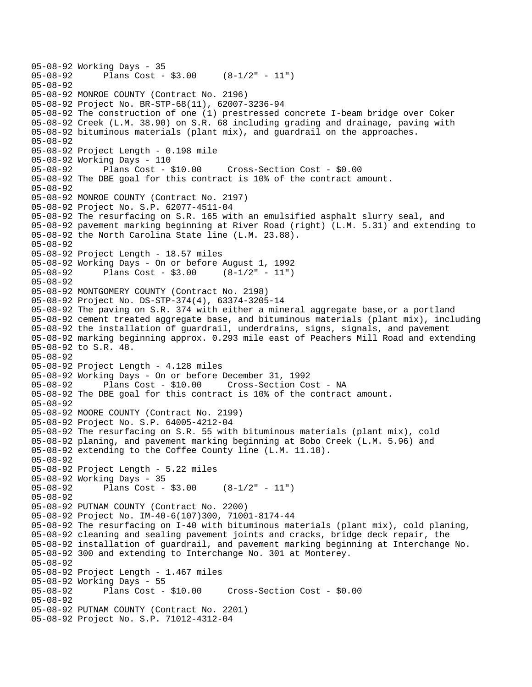```
05-08-92 Working Days - 35 
              Plans Cost - $3.00 (8-1/2" - 11")
05-08-92 
05-08-92 MONROE COUNTY (Contract No. 2196) 
05-08-92 Project No. BR-STP-68(11), 62007-3236-94 
05-08-92 The construction of one (1) prestressed concrete I-beam bridge over Coker 
05-08-92 Creek (L.M. 38.90) on S.R. 68 including grading and drainage, paving with 
05-08-92 bituminous materials (plant mix), and guardrail on the approaches. 
05-08-92 
05-08-92 Project Length - 0.198 mile 
05-08-92 Working Days - 110 
05-08-92 Plans Cost - $10.00 Cross-Section Cost - $0.00 
05-08-92 The DBE goal for this contract is 10% of the contract amount. 
05-08-92 
05-08-92 MONROE COUNTY (Contract No. 2197) 
05-08-92 Project No. S.P. 62077-4511-04 
05-08-92 The resurfacing on S.R. 165 with an emulsified asphalt slurry seal, and 
05-08-92 pavement marking beginning at River Road (right) (L.M. 5.31) and extending to 
05-08-92 the North Carolina State line (L.M. 23.88). 
05-08-92 
05-08-92 Project Length - 18.57 miles 
05-08-92 Working Days - On or before August 1, 1992 
              Plans Cost - $3.00 (8-1/2" - 11")
05-08-92 
05-08-92 MONTGOMERY COUNTY (Contract No. 2198) 
05-08-92 Project No. DS-STP-374(4), 63374-3205-14 
05-08-92 The paving on S.R. 374 with either a mineral aggregate base,or a portland 
05-08-92 cement treated aggregate base, and bituminous materials (plant mix), including 
05-08-92 the installation of guardrail, underdrains, signs, signals, and pavement 
05-08-92 marking beginning approx. 0.293 mile east of Peachers Mill Road and extending 
05-08-92 to S.R. 48. 
05-08-92 
05-08-92 Project Length - 4.128 miles 
05-08-92 Working Days - On or before December 31, 1992 
             Plans Cost - $10.00 Cross-Section Cost - NA
05-08-92 The DBE goal for this contract is 10% of the contract amount. 
05-08-92 
05-08-92 MOORE COUNTY (Contract No. 2199) 
05-08-92 Project No. S.P. 64005-4212-04 
05-08-92 The resurfacing on S.R. 55 with bituminous materials (plant mix), cold 
05-08-92 planing, and pavement marking beginning at Bobo Creek (L.M. 5.96) and 
05-08-92 extending to the Coffee County line (L.M. 11.18). 
05-08-92 
05-08-92 Project Length - 5.22 miles 
05-08-92 Working Days - 35 
05-08-92 Plans Cost - $3.00 (8-1/2" - 11") 
05-08-92 
05-08-92 PUTNAM COUNTY (Contract No. 2200) 
05-08-92 Project No. IM-40-6(107)300, 71001-8174-44 
05-08-92 The resurfacing on I-40 with bituminous materials (plant mix), cold planing, 
05-08-92 cleaning and sealing pavement joints and cracks, bridge deck repair, the 
05-08-92 installation of guardrail, and pavement marking beginning at Interchange No. 
05-08-92 300 and extending to Interchange No. 301 at Monterey. 
05-08-92 
05-08-92 Project Length - 1.467 miles 
05-08-92 Working Days - 55 
05-08-92 Plans Cost - $10.00 Cross-Section Cost - $0.00 
05-08-92 
05-08-92 PUTNAM COUNTY (Contract No. 2201) 
05-08-92 Project No. S.P. 71012-4312-04
```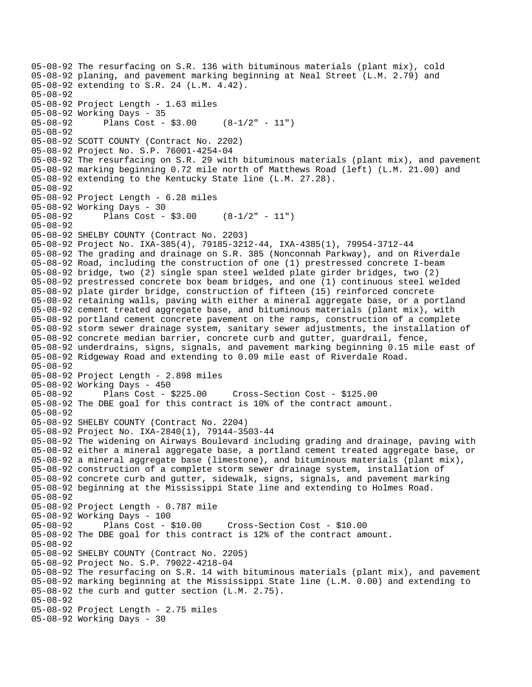05-08-92 The resurfacing on S.R. 136 with bituminous materials (plant mix), cold 05-08-92 planing, and pavement marking beginning at Neal Street (L.M. 2.79) and 05-08-92 extending to S.R. 24 (L.M. 4.42). 05-08-92 05-08-92 Project Length - 1.63 miles 05-08-92 Working Days - 35 05-08-92 Plans Cost - \$3.00 (8-1/2" - 11") 05-08-92 05-08-92 SCOTT COUNTY (Contract No. 2202) 05-08-92 Project No. S.P. 76001-4254-04 05-08-92 The resurfacing on S.R. 29 with bituminous materials (plant mix), and pavement 05-08-92 marking beginning 0.72 mile north of Matthews Road (left) (L.M. 21.00) and 05-08-92 extending to the Kentucky State line (L.M. 27.28). 05-08-92 05-08-92 Project Length - 6.28 miles 05-08-92 Working Days - 30 Plans Cost -  $$3.00$  (8-1/2" - 11") 05-08-92 05-08-92 SHELBY COUNTY (Contract No. 2203) 05-08-92 Project No. IXA-385(4), 79185-3212-44, IXA-4385(1), 79954-3712-44 05-08-92 The grading and drainage on S.R. 385 (Nonconnah Parkway), and on Riverdale 05-08-92 Road, including the construction of one (1) prestressed concrete I-beam 05-08-92 bridge, two (2) single span steel welded plate girder bridges, two (2) 05-08-92 prestressed concrete box beam bridges, and one (1) continuous steel welded 05-08-92 plate girder bridge, construction of fifteen (15) reinforced concrete 05-08-92 retaining walls, paving with either a mineral aggregate base, or a portland 05-08-92 cement treated aggregate base, and bituminous materials (plant mix), with 05-08-92 portland cement concrete pavement on the ramps, construction of a complete 05-08-92 storm sewer drainage system, sanitary sewer adjustments, the installation of 05-08-92 concrete median barrier, concrete curb and gutter, guardrail, fence, 05-08-92 underdrains, signs, signals, and pavement marking beginning 0.15 mile east of 05-08-92 Ridgeway Road and extending to 0.09 mile east of Riverdale Road. 05-08-92 05-08-92 Project Length - 2.898 miles 05-08-92 Working Days - 450 05-08-92 Plans Cost - \$225.00 Cross-Section Cost - \$125.00 05-08-92 The DBE goal for this contract is 10% of the contract amount. 05-08-92 05-08-92 SHELBY COUNTY (Contract No. 2204) 05-08-92 Project No. IXA-2840(1), 79144-3503-44 05-08-92 The widening on Airways Boulevard including grading and drainage, paving with 05-08-92 either a mineral aggregate base, a portland cement treated aggregate base, or 05-08-92 a mineral aggregate base (limestone), and bituminous materials (plant mix), 05-08-92 construction of a complete storm sewer drainage system, installation of 05-08-92 concrete curb and gutter, sidewalk, signs, signals, and pavement marking 05-08-92 beginning at the Mississippi State line and extending to Holmes Road. 05-08-92 05-08-92 Project Length - 0.787 mile 05-08-92 Working Days - 100 05-08-92 Plans Cost - \$10.00 Cross-Section Cost - \$10.00 05-08-92 The DBE goal for this contract is 12% of the contract amount. 05-08-92 05-08-92 SHELBY COUNTY (Contract No. 2205) 05-08-92 Project No. S.P. 79022-4218-04 05-08-92 The resurfacing on S.R. 14 with bituminous materials (plant mix), and pavement 05-08-92 marking beginning at the Mississippi State line (L.M. 0.00) and extending to 05-08-92 the curb and gutter section (L.M. 2.75). 05-08-92 05-08-92 Project Length - 2.75 miles 05-08-92 Working Days - 30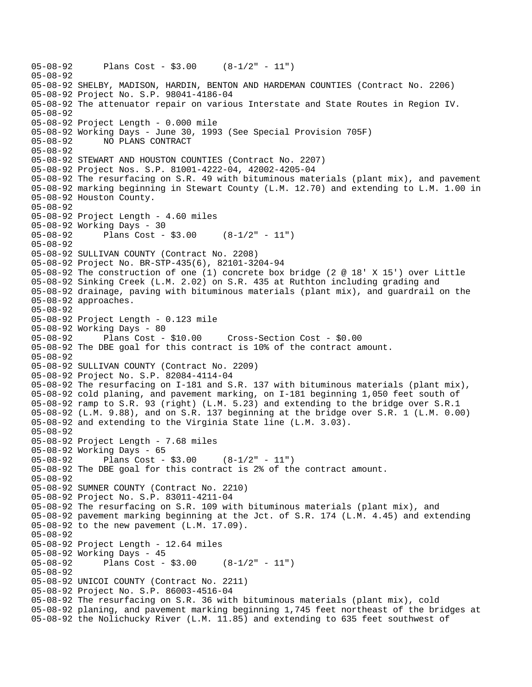```
05-08-92 Plans Cost - $3.00 (8-1/2" - 11") 
05-08-92 
05-08-92 SHELBY, MADISON, HARDIN, BENTON AND HARDEMAN COUNTIES (Contract No. 2206) 
05-08-92 Project No. S.P. 98041-4186-04 
05-08-92 The attenuator repair on various Interstate and State Routes in Region IV. 
05-08-92 
05-08-92 Project Length - 0.000 mile 
05-08-92 Working Days - June 30, 1993 (See Special Provision 705F) 
05-08-92 NO PLANS CONTRACT 
05-08-92 
05-08-92 STEWART AND HOUSTON COUNTIES (Contract No. 2207) 
05-08-92 Project Nos. S.P. 81001-4222-04, 42002-4205-04 
05-08-92 The resurfacing on S.R. 49 with bituminous materials (plant mix), and pavement 
05-08-92 marking beginning in Stewart County (L.M. 12.70) and extending to L.M. 1.00 in 
05-08-92 Houston County. 
05-08-92 
05-08-92 Project Length - 4.60 miles 
05-08-92 Working Days - 30 
05-08-92 Plans Cost - $3.00 (8-1/2" - 11") 
05-08-92 
05-08-92 SULLIVAN COUNTY (Contract No. 2208) 
05-08-92 Project No. BR-STP-435(6), 82101-3204-94 
05-08-92 The construction of one (1) concrete box bridge (2 @ 18' X 15') over Little 
05-08-92 Sinking Creek (L.M. 2.02) on S.R. 435 at Ruthton including grading and 
05-08-92 drainage, paving with bituminous materials (plant mix), and guardrail on the 
05-08-92 approaches. 
05-08-92 
05-08-92 Project Length - 0.123 mile 
05-08-92 Working Days - 80 
05-08-92 Plans Cost - $10.00 Cross-Section Cost - $0.00 
05-08-92 The DBE goal for this contract is 10% of the contract amount. 
05-08-92 
05-08-92 SULLIVAN COUNTY (Contract No. 2209) 
05-08-92 Project No. S.P. 82084-4114-04 
05-08-92 The resurfacing on I-181 and S.R. 137 with bituminous materials (plant mix), 
05-08-92 cold planing, and pavement marking, on I-181 beginning 1,050 feet south of 
05-08-92 ramp to S.R. 93 (right) (L.M. 5.23) and extending to the bridge over S.R.1 
05-08-92 (L.M. 9.88), and on S.R. 137 beginning at the bridge over S.R. 1 (L.M. 0.00) 
05-08-92 and extending to the Virginia State line (L.M. 3.03). 
05-08-92 
05-08-92 Project Length - 7.68 miles
05-08-92 Working Days - 65 
05-08-92 Plans Cost - $3.00 (8-1/2" - 11") 
05-08-92 The DBE goal for this contract is 2% of the contract amount. 
05-08-92 
05-08-92 SUMNER COUNTY (Contract No. 2210) 
05-08-92 Project No. S.P. 83011-4211-04 
05-08-92 The resurfacing on S.R. 109 with bituminous materials (plant mix), and 
05-08-92 pavement marking beginning at the Jct. of S.R. 174 (L.M. 4.45) and extending 
05-08-92 to the new pavement (L.M. 17.09). 
05-08-92 
05-08-92 Project Length - 12.64 miles 
05-08-92 Working Days - 45 
05-08-92 Plans Cost - $3.00 (8-1/2" - 11") 
05-08-92 
05-08-92 UNICOI COUNTY (Contract No. 2211) 
05-08-92 Project No. S.P. 86003-4516-04 
05-08-92 The resurfacing on S.R. 36 with bituminous materials (plant mix), cold 
05-08-92 planing, and pavement marking beginning 1,745 feet northeast of the bridges at 
05-08-92 the Nolichucky River (L.M. 11.85) and extending to 635 feet southwest of
```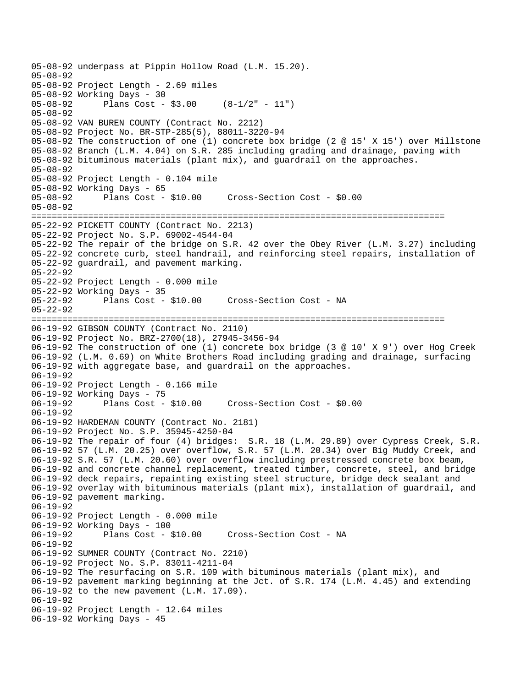```
05-08-92 underpass at Pippin Hollow Road (L.M. 15.20). 
05-08-92 
05-08-92 Project Length - 2.69 miles 
05-08-92 Working Days - 30 
05-08-92 Plans Cost - $3.00 (8-1/2" - 11") 
05-08-92 
05-08-92 VAN BUREN COUNTY (Contract No. 2212) 
05-08-92 Project No. BR-STP-285(5), 88011-3220-94 
05-08-92 The construction of one (1) concrete box bridge (2 @ 15' X 15') over Millstone 
05-08-92 Branch (L.M. 4.04) on S.R. 285 including grading and drainage, paving with 
05-08-92 bituminous materials (plant mix), and guardrail on the approaches. 
05-08-92 
05-08-92 Project Length - 0.104 mile 
05-08-92 Working Days - 65 
05-08-92 Plans Cost - $10.00 Cross-Section Cost - $0.00 
05-08-92 
================================================================================ 
05-22-92 PICKETT COUNTY (Contract No. 2213) 
05-22-92 Project No. S.P. 69002-4544-04 
05-22-92 The repair of the bridge on S.R. 42 over the Obey River (L.M. 3.27) including 
05-22-92 concrete curb, steel handrail, and reinforcing steel repairs, installation of 
05-22-92 guardrail, and pavement marking. 
05-22-92 
05-22-92 Project Length - 0.000 mile 
05-22-92 Working Days - 35 
05-22-92 Plans Cost - $10.00 Cross-Section Cost - NA 
05-22-92 
================================================================================ 
06-19-92 GIBSON COUNTY (Contract No. 2110) 
06-19-92 Project No. BRZ-2700(18), 27945-3456-94 
06-19-92 The construction of one (1) concrete box bridge (3 @ 10' X 9') over Hog Creek 
06-19-92 (L.M. 0.69) on White Brothers Road including grading and drainage, surfacing 
06-19-92 with aggregate base, and guardrail on the approaches. 
06-19-92 
06-19-92 Project Length - 0.166 mile 
06-19-92 Working Days - 75 
06-19-92 Plans Cost - $10.00 Cross-Section Cost - $0.00 
06-19-92 
06-19-92 HARDEMAN COUNTY (Contract No. 2181) 
06-19-92 Project No. S.P. 35945-4250-04 
06-19-92 The repair of four (4) bridges: S.R. 18 (L.M. 29.89) over Cypress Creek, S.R. 
06-19-92 57 (L.M. 20.25) over overflow, S.R. 57 (L.M. 20.34) over Big Muddy Creek, and 
06-19-92 S.R. 57 (L.M. 20.60) over overflow including prestressed concrete box beam, 
06-19-92 and concrete channel replacement, treated timber, concrete, steel, and bridge 
06-19-92 deck repairs, repainting existing steel structure, bridge deck sealant and 
06-19-92 overlay with bituminous materials (plant mix), installation of guardrail, and 
06-19-92 pavement marking. 
06-19-92 
06-19-92 Project Length - 0.000 mile 
06-19-92 Working Days - 100<br>06-19-92 Plans Cost -
              Plans Cost - $10.00 Cross-Section Cost - NA
06-19-92 
06-19-92 SUMNER COUNTY (Contract No. 2210) 
06-19-92 Project No. S.P. 83011-4211-04 
06-19-92 The resurfacing on S.R. 109 with bituminous materials (plant mix), and 
06-19-92 pavement marking beginning at the Jct. of S.R. 174 (L.M. 4.45) and extending 
06-19-92 to the new pavement (L.M. 17.09). 
06-19-92 
06-19-92 Project Length - 12.64 miles 
06-19-92 Working Days - 45
```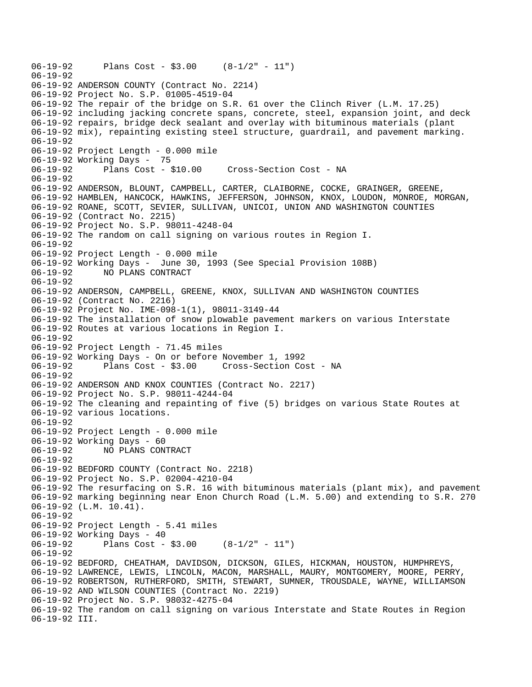```
06-19-92 Plans Cost - $3.00 (8-1/2" - 11") 
06-19-92 
06-19-92 ANDERSON COUNTY (Contract No. 2214) 
06-19-92 Project No. S.P. 01005-4519-04 
06-19-92 The repair of the bridge on S.R. 61 over the Clinch River (L.M. 17.25) 
06-19-92 including jacking concrete spans, concrete, steel, expansion joint, and deck 
06-19-92 repairs, bridge deck sealant and overlay with bituminous materials (plant 
06-19-92 mix), repainting existing steel structure, guardrail, and pavement marking. 
06-19-92 
06-19-92 Project Length - 0.000 mile 
06-19-92 Working Days - 75 
06-19-92 Plans Cost - $10.00 Cross-Section Cost - NA 
06-19-92 
06-19-92 ANDERSON, BLOUNT, CAMPBELL, CARTER, CLAIBORNE, COCKE, GRAINGER, GREENE, 
06-19-92 HAMBLEN, HANCOCK, HAWKINS, JEFFERSON, JOHNSON, KNOX, LOUDON, MONROE, MORGAN, 
06-19-92 ROANE, SCOTT, SEVIER, SULLIVAN, UNICOI, UNION AND WASHINGTON COUNTIES 
06-19-92 (Contract No. 2215) 
06-19-92 Project No. S.P. 98011-4248-04 
06-19-92 The random on call signing on various routes in Region I. 
06-19-92 
06-19-92 Project Length - 0.000 mile 
06-19-92 Working Days - June 30, 1993 (See Special Provision 108B) 
06-19-92 NO PLANS CONTRACT 
06-19-92 
06-19-92 ANDERSON, CAMPBELL, GREENE, KNOX, SULLIVAN AND WASHINGTON COUNTIES 
06-19-92 (Contract No. 2216) 
06-19-92 Project No. IME-098-1(1), 98011-3149-44 
06-19-92 The installation of snow plowable pavement markers on various Interstate 
06-19-92 Routes at various locations in Region I. 
06-19-92 
06-19-92 Project Length - 71.45 miles
06-19-92 Working Days - On or before November 1, 1992 
                                    Cross-Section Cost - NA
06-19-92 
06-19-92 ANDERSON AND KNOX COUNTIES (Contract No. 2217) 
06-19-92 Project No. S.P. 98011-4244-04 
06-19-92 The cleaning and repainting of five (5) bridges on various State Routes at 
06-19-92 various locations. 
06-19-92 
06-19-92 Project Length - 0.000 mile 
06-19-92 Working Days - 60 
06-19-92 NO PLANS CONTRACT 
06-19-92 
06-19-92 BEDFORD COUNTY (Contract No. 2218) 
06-19-92 Project No. S.P. 02004-4210-04 
06-19-92 The resurfacing on S.R. 16 with bituminous materials (plant mix), and pavement 
06-19-92 marking beginning near Enon Church Road (L.M. 5.00) and extending to S.R. 270 
06-19-92 (L.M. 10.41). 
06-19-92 
06-19-92 Project Length - 5.41 miles 
06-19-92 Working Days - 40 
06-19-92 Plans Cost - $3.00 (8-1/2" - 11") 
06-19-92 
06-19-92 BEDFORD, CHEATHAM, DAVIDSON, DICKSON, GILES, HICKMAN, HOUSTON, HUMPHREYS, 
06-19-92 LAWRENCE, LEWIS, LINCOLN, MACON, MARSHALL, MAURY, MONTGOMERY, MOORE, PERRY, 
06-19-92 ROBERTSON, RUTHERFORD, SMITH, STEWART, SUMNER, TROUSDALE, WAYNE, WILLIAMSON 
06-19-92 AND WILSON COUNTIES (Contract No. 2219) 
06-19-92 Project No. S.P. 98032-4275-04 
06-19-92 The random on call signing on various Interstate and State Routes in Region 
06-19-92 III.
```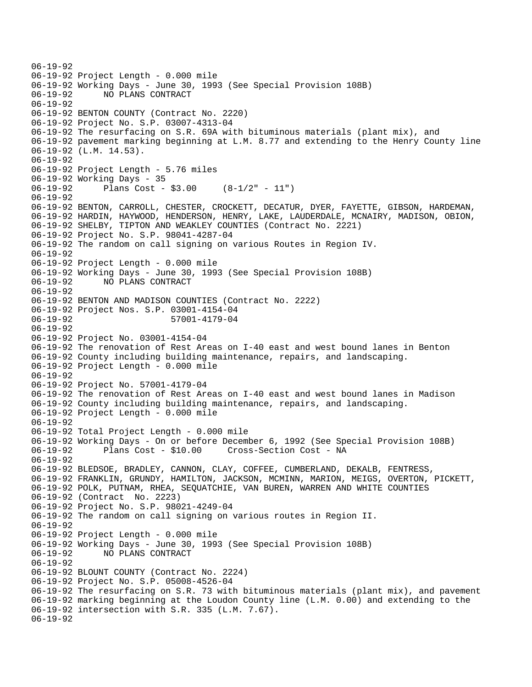06-19-92 06-19-92 Project Length - 0.000 mile 06-19-92 Working Days - June 30, 1993 (See Special Provision 108B) 06-19-92 NO PLANS CONTRACT 06-19-92 06-19-92 BENTON COUNTY (Contract No. 2220) 06-19-92 Project No. S.P. 03007-4313-04 06-19-92 The resurfacing on S.R. 69A with bituminous materials (plant mix), and 06-19-92 pavement marking beginning at L.M. 8.77 and extending to the Henry County line 06-19-92 (L.M. 14.53). 06-19-92 06-19-92 Project Length - 5.76 miles 06-19-92 Working Days - 35 06-19-92 Plans Cost - \$3.00 (8-1/2" - 11") 06-19-92 06-19-92 BENTON, CARROLL, CHESTER, CROCKETT, DECATUR, DYER, FAYETTE, GIBSON, HARDEMAN, 06-19-92 HARDIN, HAYWOOD, HENDERSON, HENRY, LAKE, LAUDERDALE, MCNAIRY, MADISON, OBION, 06-19-92 SHELBY, TIPTON AND WEAKLEY COUNTIES (Contract No. 2221) 06-19-92 Project No. S.P. 98041-4287-04 06-19-92 The random on call signing on various Routes in Region IV. 06-19-92 06-19-92 Project Length - 0.000 mile 06-19-92 Working Days - June 30, 1993 (See Special Provision 108B) 06-19-92 NO PLANS CONTRACT 06-19-92 06-19-92 BENTON AND MADISON COUNTIES (Contract No. 2222) 06-19-92 Project Nos. S.P. 03001-4154-04 06-19-92 57001-4179-04 06-19-92 06-19-92 Project No. 03001-4154-04 06-19-92 The renovation of Rest Areas on I-40 east and west bound lanes in Benton 06-19-92 County including building maintenance, repairs, and landscaping. 06-19-92 Project Length - 0.000 mile 06-19-92 06-19-92 Project No. 57001-4179-04 06-19-92 The renovation of Rest Areas on I-40 east and west bound lanes in Madison 06-19-92 County including building maintenance, repairs, and landscaping. 06-19-92 Project Length - 0.000 mile 06-19-92 06-19-92 Total Project Length - 0.000 mile 06-19-92 Working Days - On or before December 6, 1992 (See Special Provision 108B) 06-19-92 Plans Cost - \$10.00 Cross-Section Cost - NA 06-19-92 06-19-92 BLEDSOE, BRADLEY, CANNON, CLAY, COFFEE, CUMBERLAND, DEKALB, FENTRESS, 06-19-92 FRANKLIN, GRUNDY, HAMILTON, JACKSON, MCMINN, MARION, MEIGS, OVERTON, PICKETT, 06-19-92 POLK, PUTNAM, RHEA, SEQUATCHIE, VAN BUREN, WARREN AND WHITE COUNTIES 06-19-92 (Contract No. 2223) 06-19-92 Project No. S.P. 98021-4249-04 06-19-92 The random on call signing on various routes in Region II. 06-19-92 06-19-92 Project Length - 0.000 mile 06-19-92 Working Days - June 30, 1993 (See Special Provision 108B) 06-19-92 NO PLANS CONTRACT 06-19-92 06-19-92 BLOUNT COUNTY (Contract No. 2224) 06-19-92 Project No. S.P. 05008-4526-04 06-19-92 The resurfacing on S.R. 73 with bituminous materials (plant mix), and pavement 06-19-92 marking beginning at the Loudon County line (L.M. 0.00) and extending to the 06-19-92 intersection with S.R. 335 (L.M. 7.67). 06-19-92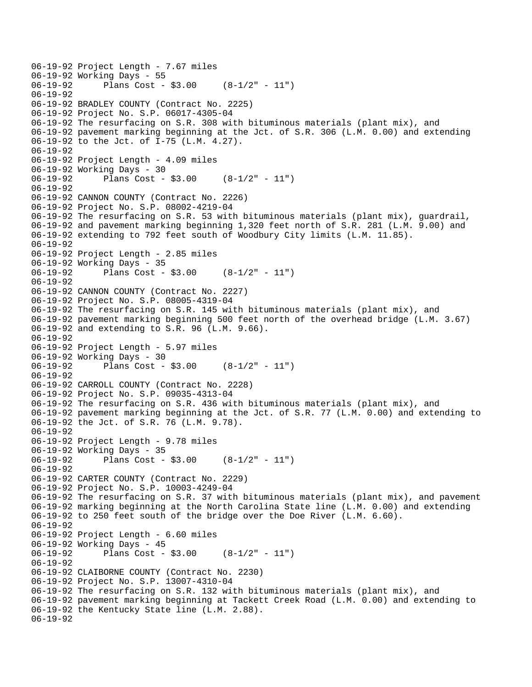```
06-19-92 Project Length - 7.67 miles 
06-19-92 Working Days - 55 
              Plans Cost - $3.00 (8-1/2" - 11")
06-19-92 
06-19-92 BRADLEY COUNTY (Contract No. 2225) 
06-19-92 Project No. S.P. 06017-4305-04 
06-19-92 The resurfacing on S.R. 308 with bituminous materials (plant mix), and 
06-19-92 pavement marking beginning at the Jct. of S.R. 306 (L.M. 0.00) and extending 
06-19-92 to the Jct. of I-75 (L.M. 4.27). 
06-19-92 
06-19-92 Project Length - 4.09 miles 
06-19-92 Working Days - 30 
06-19-92 Plans Cost - $3.00 (8-1/2" - 11") 
06-19-92 
06-19-92 CANNON COUNTY (Contract No. 2226) 
06-19-92 Project No. S.P. 08002-4219-04 
06-19-92 The resurfacing on S.R. 53 with bituminous materials (plant mix), guardrail, 
06-19-92 and pavement marking beginning 1,320 feet north of S.R. 281 (L.M. 9.00) and 
06-19-92 extending to 792 feet south of Woodbury City limits (L.M. 11.85). 
06-19-92 
06-19-92 Project Length - 2.85 miles 
06-19-92 Working Days - 35 
06-19-92 Plans Cost - $3.00 (8-1/2" - 11") 
06-19-92 
06-19-92 CANNON COUNTY (Contract No. 2227) 
06-19-92 Project No. S.P. 08005-4319-04 
06-19-92 The resurfacing on S.R. 145 with bituminous materials (plant mix), and 
06-19-92 pavement marking beginning 500 feet north of the overhead bridge (L.M. 3.67) 
06-19-92 and extending to S.R. 96 (L.M. 9.66). 
06-19-92 
06-19-92 Project Length - 5.97 miles 
06-19-92 Working Days - 30<br>06-19-92 Plans Cost -
              Plans Cost - $3.00 (8-1/2" - 11")
06-19-92 
06-19-92 CARROLL COUNTY (Contract No. 2228) 
06-19-92 Project No. S.P. 09035-4313-04 
06-19-92 The resurfacing on S.R. 436 with bituminous materials (plant mix), and 
06-19-92 pavement marking beginning at the Jct. of S.R. 77 (L.M. 0.00) and extending to 
06-19-92 the Jct. of S.R. 76 (L.M. 9.78). 
06-19-92 
06-19-92 Project Length - 9.78 miles 
06-19-92 Working Days - 35 
06-19-92 Plans Cost - $3.00 (8-1/2" - 11") 
06-19-92 
06-19-92 CARTER COUNTY (Contract No. 2229) 
06-19-92 Project No. S.P. 10003-4249-04 
06-19-92 The resurfacing on S.R. 37 with bituminous materials (plant mix), and pavement 
06-19-92 marking beginning at the North Carolina State line (L.M. 0.00) and extending 
06-19-92 to 250 feet south of the bridge over the Doe River (L.M. 6.60). 
06-19-92 
06-19-92 Project Length - 6.60 miles 
06-19-92 Working Days - 45 
06-19-92 Plans Cost - $3.00 (8-1/2" - 11") 
06-19-92 
06-19-92 CLAIBORNE COUNTY (Contract No. 2230) 
06-19-92 Project No. S.P. 13007-4310-04 
06-19-92 The resurfacing on S.R. 132 with bituminous materials (plant mix), and 
06-19-92 pavement marking beginning at Tackett Creek Road (L.M. 0.00) and extending to 
06-19-92 the Kentucky State line (L.M. 2.88). 
06-19-92
```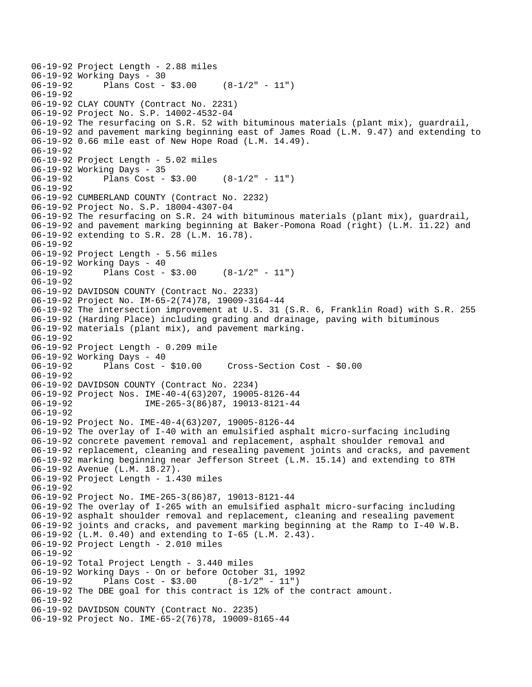```
06-19-92 Project Length - 2.88 miles 
06-19-92 Working Days - 30<br>06-19-92 Plans Cost -
              Plans Cost - $3.00 (8-1/2" - 11")
06-19-92 
06-19-92 CLAY COUNTY (Contract No. 2231) 
06-19-92 Project No. S.P. 14002-4532-04 
06-19-92 The resurfacing on S.R. 52 with bituminous materials (plant mix), guardrail, 
06-19-92 and pavement marking beginning east of James Road (L.M. 9.47) and extending to 
06-19-92 0.66 mile east of New Hope Road (L.M. 14.49). 
06-19-92 
06-19-92 Project Length - 5.02 miles 
06-19-92 Working Days - 35 
06-19-92 Plans Cost - $3.00 (8-1/2" - 11") 
06-19-92 
06-19-92 CUMBERLAND COUNTY (Contract No. 2232) 
06-19-92 Project No. S.P. 18004-4307-04 
06-19-92 The resurfacing on S.R. 24 with bituminous materials (plant mix), guardrail, 
06-19-92 and pavement marking beginning at Baker-Pomona Road (right) (L.M. 11.22) and 
06-19-92 extending to S.R. 28 (L.M. 16.78). 
06-19-92 
06-19-92 Project Length - 5.56 miles 
06-19-92 Working Days - 40 
06-19-92 Plans Cost - $3.00 (8-1/2" - 11") 
06-19-92 
06-19-92 DAVIDSON COUNTY (Contract No. 2233) 
06-19-92 Project No. IM-65-2(74)78, 19009-3164-44 
06-19-92 The intersection improvement at U.S. 31 (S.R. 6, Franklin Road) with S.R. 255 
06-19-92 (Harding Place) including grading and drainage, paving with bituminous 
06-19-92 materials (plant mix), and pavement marking. 
06-19-92 
06-19-92 Project Length - 0.209 mile 
06-19-92 Working Days - 40 
                                       06-19-92 Plans Cost - $10.00 Cross-Section Cost - $0.00 
06-19-92 
06-19-92 DAVIDSON COUNTY (Contract No. 2234) 
06-19-92 Project Nos. IME-40-4(63)207, 19005-8126-44 
06-19-92 IME-265-3(86)87, 19013-8121-44 
06-19-92 
06-19-92 Project No. IME-40-4(63)207, 19005-8126-44 
06-19-92 The overlay of I-40 with an emulsified asphalt micro-surfacing including 
06-19-92 concrete pavement removal and replacement, asphalt shoulder removal and 
06-19-92 replacement, cleaning and resealing pavement joints and cracks, and pavement 
06-19-92 marking beginning near Jefferson Street (L.M. 15.14) and extending to 8TH 
06-19-92 Avenue (L.M. 18.27). 
06-19-92 Project Length - 1.430 miles 
06-19-92 
06-19-92 Project No. IME-265-3(86)87, 19013-8121-44 
06-19-92 The overlay of I-265 with an emulsified asphalt micro-surfacing including 
06-19-92 asphalt shoulder removal and replacement, cleaning and resealing pavement 
06-19-92 joints and cracks, and pavement marking beginning at the Ramp to I-40 W.B. 
06-19-92 (L.M. 0.40) and extending to I-65 (L.M. 2.43). 
06-19-92 Project Length - 2.010 miles 
06-19-92 
06-19-92 Total Project Length - 3.440 miles 
06-19-92 Working Days - On or before October 31, 1992 
06-19-92 Plans Cost - $3.00
06-19-92 The DBE goal for this contract is 12% of the contract amount. 
06-19-92 
06-19-92 DAVIDSON COUNTY (Contract No. 2235) 
06-19-92 Project No. IME-65-2(76)78, 19009-8165-44
```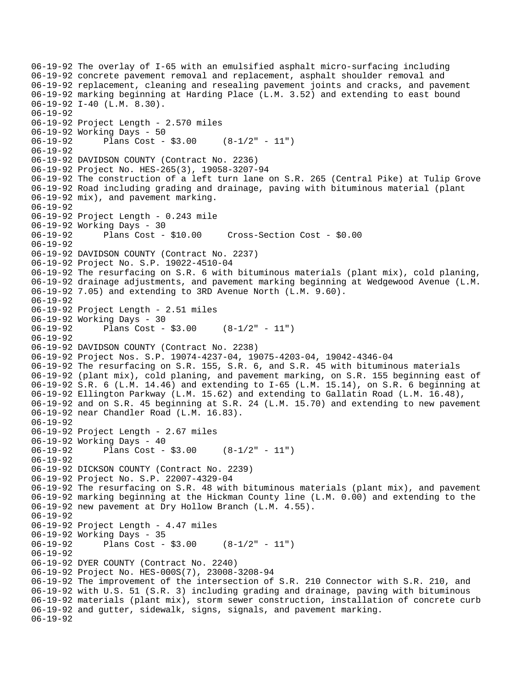```
06-19-92 The overlay of I-65 with an emulsified asphalt micro-surfacing including 
06-19-92 concrete pavement removal and replacement, asphalt shoulder removal and 
06-19-92 replacement, cleaning and resealing pavement joints and cracks, and pavement 
06-19-92 marking beginning at Harding Place (L.M. 3.52) and extending to east bound 
06-19-92 I-40 (L.M. 8.30). 
06-19-92 
06-19-92 Project Length - 2.570 miles 
06-19-92 Working Days - 50 
06-19-92 Plans Cost - $3.00 (8-1/2" - 11") 
06-19-92 
06-19-92 DAVIDSON COUNTY (Contract No. 2236) 
06-19-92 Project No. HES-265(3), 19058-3207-94 
06-19-92 The construction of a left turn lane on S.R. 265 (Central Pike) at Tulip Grove 
06-19-92 Road including grading and drainage, paving with bituminous material (plant 
06-19-92 mix), and pavement marking. 
06-19-92 
06-19-92 Project Length - 0.243 mile 
06-19-92 Working Days - 30 
06-19-92 Plans Cost - $10.00 Cross-Section Cost - $0.00 
06-19-92 
06-19-92 DAVIDSON COUNTY (Contract No. 2237) 
06-19-92 Project No. S.P. 19022-4510-04 
06-19-92 The resurfacing on S.R. 6 with bituminous materials (plant mix), cold planing, 
06-19-92 drainage adjustments, and pavement marking beginning at Wedgewood Avenue (L.M. 
06-19-92 7.05) and extending to 3RD Avenue North (L.M. 9.60). 
06-19-92 
06-19-92 Project Length - 2.51 miles 
06-19-92 Working Days - 30 
06-19-92 Plans Cost - $3.00 (8-1/2" - 11") 
06-19-92 
06-19-92 DAVIDSON COUNTY (Contract No. 2238) 
06-19-92 Project Nos. S.P. 19074-4237-04, 19075-4203-04, 19042-4346-04 
06-19-92 The resurfacing on S.R. 155, S.R. 6, and S.R. 45 with bituminous materials 
06-19-92 (plant mix), cold planing, and pavement marking, on S.R. 155 beginning east of 
06-19-92 S.R. 6 (L.M. 14.46) and extending to I-65 (L.M. 15.14), on S.R. 6 beginning at 
06-19-92 Ellington Parkway (L.M. 15.62) and extending to Gallatin Road (L.M. 16.48), 
06-19-92 and on S.R. 45 beginning at S.R. 24 (L.M. 15.70) and extending to new pavement 
06-19-92 near Chandler Road (L.M. 16.83). 
06-19-92 
06-19-92 Project Length - 2.67 miles 
06-19-92 Working Days - 40 
06-19-92 Plans Cost - $3.00 (8-1/2" - 11") 
06-19-92 
06-19-92 DICKSON COUNTY (Contract No. 2239) 
06-19-92 Project No. S.P. 22007-4329-04 
06-19-92 The resurfacing on S.R. 48 with bituminous materials (plant mix), and pavement 
06-19-92 marking beginning at the Hickman County line (L.M. 0.00) and extending to the 
06-19-92 new pavement at Dry Hollow Branch (L.M. 4.55). 
06-19-92 
06-19-92 Project Length - 4.47 miles 
06-19-92 Working Days - 35 
06-19-92 Plans Cost - $3.00 (8-1/2" - 11") 
06-19-92 
06-19-92 DYER COUNTY (Contract No. 2240) 
06-19-92 Project No. HES-000S(7), 23008-3208-94 
06-19-92 The improvement of the intersection of S.R. 210 Connector with S.R. 210, and 
06-19-92 with U.S. 51 (S.R. 3) including grading and drainage, paving with bituminous 
06-19-92 materials (plant mix), storm sewer construction, installation of concrete curb 
06-19-92 and gutter, sidewalk, signs, signals, and pavement marking. 
06-19-92
```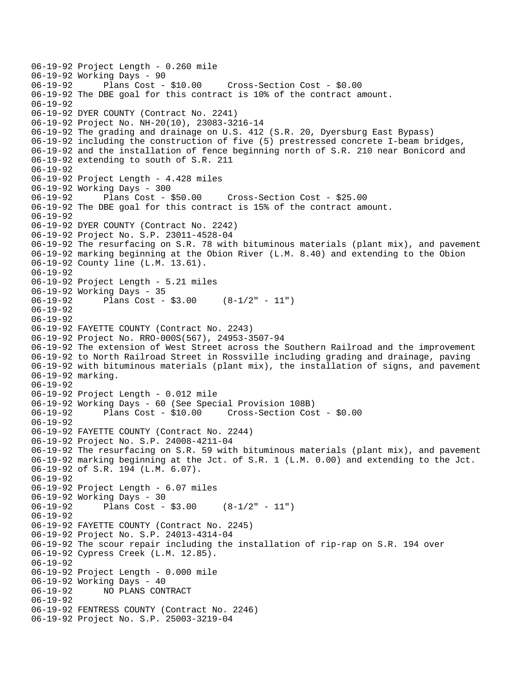```
06-19-92 Project Length - 0.260 mile 
06-19-92 Working Days - 90<br>06-19-92 Plans Cost - $10.00
                                       06-19-92 Plans Cost - $10.00 Cross-Section Cost - $0.00 
06-19-92 The DBE goal for this contract is 10% of the contract amount. 
06-19-92 
06-19-92 DYER COUNTY (Contract No. 2241) 
06-19-92 Project No. NH-20(10), 23083-3216-14 
06-19-92 The grading and drainage on U.S. 412 (S.R. 20, Dyersburg East Bypass) 
06-19-92 including the construction of five (5) prestressed concrete I-beam bridges, 
06-19-92 and the installation of fence beginning north of S.R. 210 near Bonicord and 
06-19-92 extending to south of S.R. 211 
06-19-92 
06-19-92 Project Length - 4.428 miles 
06-19-92 Working Days - 300<br>06-19-92 Plans Cost - $50.00
06-19-92 Plans Cost - $50.00 Cross-Section Cost - $25.00 
06-19-92 The DBE goal for this contract is 15% of the contract amount. 
06-19-92 
06-19-92 DYER COUNTY (Contract No. 2242) 
06-19-92 Project No. S.P. 23011-4528-04 
06-19-92 The resurfacing on S.R. 78 with bituminous materials (plant mix), and pavement 
06-19-92 marking beginning at the Obion River (L.M. 8.40) and extending to the Obion 
06-19-92 County line (L.M. 13.61). 
06-19-92 
06-19-92 Project Length - 5.21 miles 
06-19-92 Working Days - 35 
06-19-92 Plans Cost - $3.00 (8-1/2" - 11") 
06-19-92 
06-19-92 
06-19-92 FAYETTE COUNTY (Contract No. 2243) 
06-19-92 Project No. RRO-000S(567), 24953-3507-94 
06-19-92 The extension of West Street across the Southern Railroad and the improvement 
06-19-92 to North Railroad Street in Rossville including grading and drainage, paving 
06-19-92 with bituminous materials (plant mix), the installation of signs, and pavement 
06-19-92 marking. 
06-19-92 
06-19-92 Project Length - 0.012 mile 
06-19-92 Working Days - 60 (See Special Provision 108B) 
06-19-92 Plans Cost - $10.00 Cross-Section Cost - $0.00 
06-19-92 
06-19-92 FAYETTE COUNTY (Contract No. 2244) 
06-19-92 Project No. S.P. 24008-4211-04 
06-19-92 The resurfacing on S.R. 59 with bituminous materials (plant mix), and pavement 
06-19-92 marking beginning at the Jct. of S.R. 1 (L.M. 0.00) and extending to the Jct. 
06-19-92 of S.R. 194 (L.M. 6.07). 
06-19-92 
06-19-92 Project Length - 6.07 miles 
06-19-92 Working Days - 30 
              Plans Cost - $3.00 (8-1/2" - 11")
06-19-92 
06-19-92 FAYETTE COUNTY (Contract No. 2245) 
06-19-92 Project No. S.P. 24013-4314-04 
06-19-92 The scour repair including the installation of rip-rap on S.R. 194 over 
06-19-92 Cypress Creek (L.M. 12.85). 
06-19-92 
06-19-92 Project Length - 0.000 mile 
06-19-92 Working Days - 40 
06-19-92 NO PLANS CONTRACT 
06-19-92 
06-19-92 FENTRESS COUNTY (Contract No. 2246) 
06-19-92 Project No. S.P. 25003-3219-04
```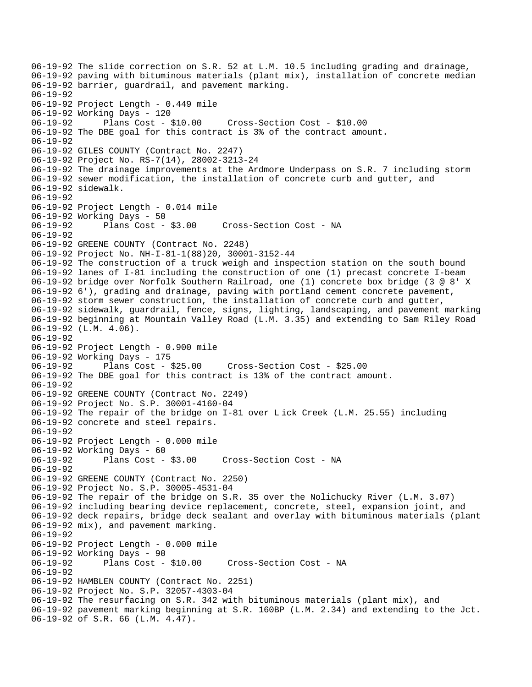06-19-92 The slide correction on S.R. 52 at L.M. 10.5 including grading and drainage, 06-19-92 paving with bituminous materials (plant mix), installation of concrete median 06-19-92 barrier, guardrail, and pavement marking. 06-19-92 06-19-92 Project Length - 0.449 mile 06-19-92 Working Days - 120 06-19-92 Plans Cost - \$10.00 Cross-Section Cost - \$10.00 06-19-92 The DBE goal for this contract is 3% of the contract amount. 06-19-92 06-19-92 GILES COUNTY (Contract No. 2247) 06-19-92 Project No. RS-7(14), 28002-3213-24 06-19-92 The drainage improvements at the Ardmore Underpass on S.R. 7 including storm 06-19-92 sewer modification, the installation of concrete curb and gutter, and 06-19-92 sidewalk. 06-19-92 06-19-92 Project Length - 0.014 mile 06-19-92 Working Days - 50 06-19-92 Plans Cost - \$3.00 Cross-Section Cost - NA 06-19-92 06-19-92 GREENE COUNTY (Contract No. 2248) 06-19-92 Project No. NH-I-81-1(88)20, 30001-3152-44 06-19-92 The construction of a truck weigh and inspection station on the south bound 06-19-92 lanes of I-81 including the construction of one (1) precast concrete I-beam 06-19-92 bridge over Norfolk Southern Railroad, one (1) concrete box bridge (3 @ 8' X 06-19-92 6'), grading and drainage, paving with portland cement concrete pavement, 06-19-92 storm sewer construction, the installation of concrete curb and gutter, 06-19-92 sidewalk, guardrail, fence, signs, lighting, landscaping, and pavement marking 06-19-92 beginning at Mountain Valley Road (L.M. 3.35) and extending to Sam Riley Road 06-19-92 (L.M. 4.06). 06-19-92 06-19-92 Project Length - 0.900 mile 06-19-92 Working Days - 175 06-19-92 Plans Cost - \$25.00 Cross-Section Cost - \$25.00 06-19-92 The DBE goal for this contract is 13% of the contract amount. 06-19-92 06-19-92 GREENE COUNTY (Contract No. 2249) 06-19-92 Project No. S.P. 30001-4160-04 06-19-92 The repair of the bridge on I-81 over L ick Creek (L.M. 25.55) including 06-19-92 concrete and steel repairs. 06-19-92 06-19-92 Project Length - 0.000 mile 06-19-92 Working Days - 60 06-19-92 Plans Cost - \$3.00 Cross-Section Cost - NA 06-19-92 06-19-92 GREENE COUNTY (Contract No. 2250) 06-19-92 Project No. S.P. 30005-4531-04 06-19-92 The repair of the bridge on S.R. 35 over the Nolichucky River (L.M. 3.07) 06-19-92 including bearing device replacement, concrete, steel, expansion joint, and 06-19-92 deck repairs, bridge deck sealant and overlay with bituminous materials (plant 06-19-92 mix), and pavement marking. 06-19-92 06-19-92 Project Length - 0.000 mile 06-19-92 Working Days - 90 06-19-92 Plans Cost - \$10.00 Cross-Section Cost - NA 06-19-92 06-19-92 HAMBLEN COUNTY (Contract No. 2251) 06-19-92 Project No. S.P. 32057-4303-04 06-19-92 The resurfacing on S.R. 342 with bituminous materials (plant mix), and 06-19-92 pavement marking beginning at S.R. 160BP (L.M. 2.34) and extending to the Jct. 06-19-92 of S.R. 66 (L.M. 4.47).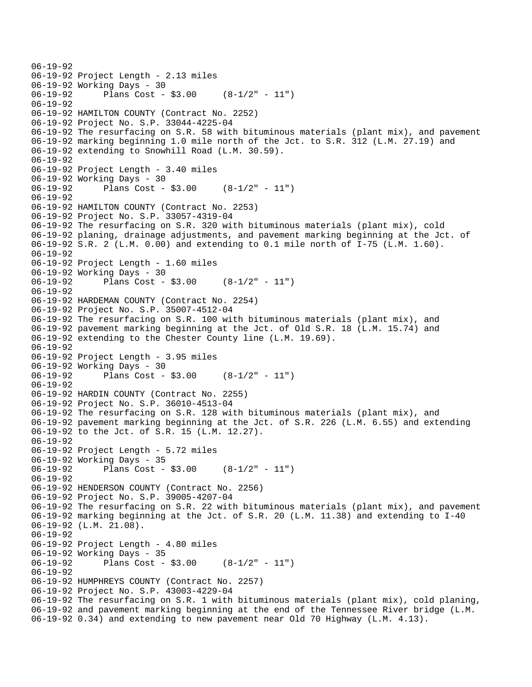```
06-19-92 
06-19-92 Project Length - 2.13 miles 
06-19-92 Working Days - 30 
06-19-92 Plans Cost - $3.00 (8-1/2" - 11") 
06-19-92 
06-19-92 HAMILTON COUNTY (Contract No. 2252) 
06-19-92 Project No. S.P. 33044-4225-04 
06-19-92 The resurfacing on S.R. 58 with bituminous materials (plant mix), and pavement 
06-19-92 marking beginning 1.0 mile north of the Jct. to S.R. 312 (L.M. 27.19) and 
06-19-92 extending to Snowhill Road (L.M. 30.59). 
06-19-92 
06-19-92 Project Length - 3.40 miles 
06-19-92 Working Days - 30 
06-19-92 Plans Cost - $3.00 (8-1/2" - 11") 
06-19-92 
06-19-92 HAMILTON COUNTY (Contract No. 2253) 
06-19-92 Project No. S.P. 33057-4319-04 
06-19-92 The resurfacing on S.R. 320 with bituminous materials (plant mix), cold 
06-19-92 planing, drainage adjustments, and pavement marking beginning at the Jct. of 
06-19-92 S.R. 2 (L.M. 0.00) and extending to 0.1 mile north of I-75 (L.M. 1.60). 
06-19-92 
06-19-92 Project Length - 1.60 miles 
06-19-92 Working Days - 30 
06-19-92 Plans Cost - $3.00 (8-1/2" - 11") 
06-19-92 
06-19-92 HARDEMAN COUNTY (Contract No. 2254) 
06-19-92 Project No. S.P. 35007-4512-04 
06-19-92 The resurfacing on S.R. 100 with bituminous materials (plant mix), and 
06-19-92 pavement marking beginning at the Jct. of Old S.R. 18 (L.M. 15.74) and 
06-19-92 extending to the Chester County line (L.M. 19.69). 
06-19-92 
06-19-92 Project Length - 3.95 miles
06-19-92 Working Days - 30 
06-19-92 Plans Cost - $3.00 (8-1/2" - 11") 
06-19-92 
06-19-92 HARDIN COUNTY (Contract No. 2255) 
06-19-92 Project No. S.P. 36010-4513-04 
06-19-92 The resurfacing on S.R. 128 with bituminous materials (plant mix), and 
06-19-92 pavement marking beginning at the Jct. of S.R. 226 (L.M. 6.55) and extending 
06-19-92 to the Jct. of S.R. 15 (L.M. 12.27). 
06-19-92 
06-19-92 Project Length - 5.72 miles 
06-19-92 Working Days - 35 
06-19-92 Plans Cost - $3.00 (8-1/2" - 11") 
06-19-92 
06-19-92 HENDERSON COUNTY (Contract No. 2256) 
06-19-92 Project No. S.P. 39005-4207-04 
06-19-92 The resurfacing on S.R. 22 with bituminous materials (plant mix), and pavement 
06-19-92 marking beginning at the Jct. of S.R. 20 (L.M. 11.38) and extending to I-40 
06-19-92 (L.M. 21.08). 
06-19-92 
06-19-92 Project Length - 4.80 miles 
06-19-92 Working Days - 35 
06-19-92 Plans Cost - $3.00 (8-1/2" - 11") 
06-19-92 
06-19-92 HUMPHREYS COUNTY (Contract No. 2257) 
06-19-92 Project No. S.P. 43003-4229-04 
06-19-92 The resurfacing on S.R. 1 with bituminous materials (plant mix), cold planing, 
06-19-92 and pavement marking beginning at the end of the Tennessee River bridge (L.M. 
06-19-92 0.34) and extending to new pavement near Old 70 Highway (L.M. 4.13).
```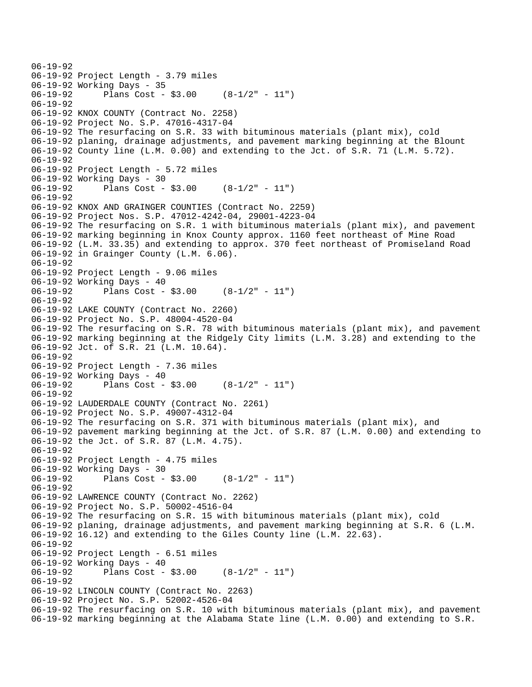```
06-19-92 
06-19-92 Project Length - 3.79 miles 
06-19-92 Working Days - 35 
06-19-92 Plans Cost - $3.00 (8-1/2" - 11") 
06-19-92 
06-19-92 KNOX COUNTY (Contract No. 2258) 
06-19-92 Project No. S.P. 47016-4317-04 
06-19-92 The resurfacing on S.R. 33 with bituminous materials (plant mix), cold 
06-19-92 planing, drainage adjustments, and pavement marking beginning at the Blount 
06-19-92 County line (L.M. 0.00) and extending to the Jct. of S.R. 71 (L.M. 5.72). 
06-19-92 
06-19-92 Project Length - 5.72 miles 
06-19-92 Working Days - 30 
06-19-92 Plans Cost - $3.00 (8-1/2" - 11") 
06-19-92 
06-19-92 KNOX AND GRAINGER COUNTIES (Contract No. 2259) 
06-19-92 Project Nos. S.P. 47012-4242-04, 29001-4223-04 
06-19-92 The resurfacing on S.R. 1 with bituminous materials (plant mix), and pavement 
06-19-92 marking beginning in Knox County approx. 1160 feet northeast of Mine Road 
06-19-92 (L.M. 33.35) and extending to approx. 370 feet northeast of Promiseland Road 
06-19-92 in Grainger County (L.M. 6.06). 
06-19-92 
06-19-92 Project Length - 9.06 miles 
06-19-92 Working Days - 40<br>06-19-92 Plans Cost -
              Plans Cost - $3.00 (8-1/2" - 11")
06-19-92 
06-19-92 LAKE COUNTY (Contract No. 2260) 
06-19-92 Project No. S.P. 48004-4520-04 
06-19-92 The resurfacing on S.R. 78 with bituminous materials (plant mix), and pavement 
06-19-92 marking beginning at the Ridgely City limits (L.M. 3.28) and extending to the 
06-19-92 Jct. of S.R. 21 (L.M. 10.64). 
06-19-92 
06-19-92 Project Length - 7.36 miles 
06-19-92 Working Days - 40<br>06-19-92 Plans Cost -
              Plans Cost - $3.00 (8-1/2" - 11")
06-19-92 
06-19-92 LAUDERDALE COUNTY (Contract No. 2261) 
06-19-92 Project No. S.P. 49007-4312-04 
06-19-92 The resurfacing on S.R. 371 with bituminous materials (plant mix), and 
06-19-92 pavement marking beginning at the Jct. of S.R. 87 (L.M. 0.00) and extending to 
06-19-92 the Jct. of S.R. 87 (L.M. 4.75). 
06-19-92 
06-19-92 Project Length - 4.75 miles
06-19-92 Working Days - 30 
06-19-92 Plans Cost - $3.00 (8-1/2" - 11") 
06-19-92 
06-19-92 LAWRENCE COUNTY (Contract No. 2262) 
06-19-92 Project No. S.P. 50002-4516-04 
06-19-92 The resurfacing on S.R. 15 with bituminous materials (plant mix), cold 
06-19-92 planing, drainage adjustments, and pavement marking beginning at S.R. 6 (L.M. 
06-19-92 16.12) and extending to the Giles County line (L.M. 22.63). 
06-19-92 
06-19-92 Project Length - 6.51 miles 
06-19-92 Working Days - 40<br>06-19-92 Plans Cost -
              Plans Cost - $3.00 (8-1/2" - 11")
06-19-92 
06-19-92 LINCOLN COUNTY (Contract No. 2263) 
06-19-92 Project No. S.P. 52002-4526-04 
06-19-92 The resurfacing on S.R. 10 with bituminous materials (plant mix), and pavement 
06-19-92 marking beginning at the Alabama State line (L.M. 0.00) and extending to S.R.
```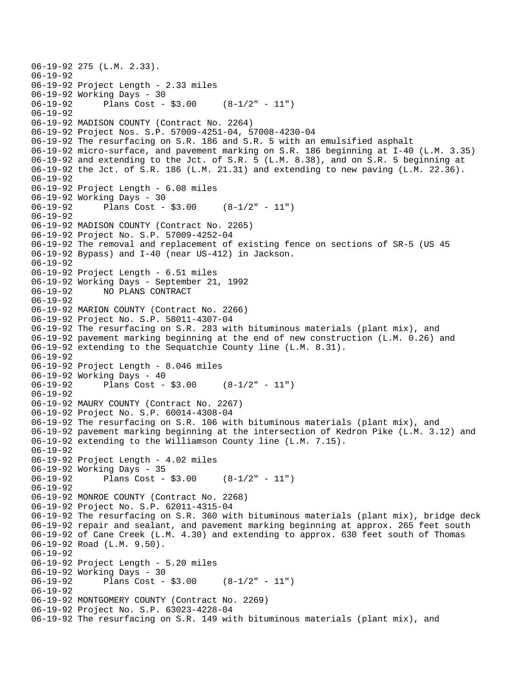```
06-19-92 275 (L.M. 2.33). 
06-19-92 
06-19-92 Project Length - 2.33 miles 
06-19-92 Working Days - 30<br>06-19-92 Plans Cost -
              Plans Cost - $3.00 (8-1/2" - 11")
06-19-92 
06-19-92 MADISON COUNTY (Contract No. 2264) 
06-19-92 Project Nos. S.P. 57009-4251-04, 57008-4230-04 
06-19-92 The resurfacing on S.R. 186 and S.R. 5 with an emulsified asphalt 
06-19-92 micro-surface, and pavement marking on S.R. 186 beginning at I-40 (L.M. 3.35) 
06-19-92 and extending to the Jct. of S.R. 5 (L.M. 8.38), and on S.R. 5 beginning at 
06-19-92 the Jct. of S.R. 186 (L.M. 21.31) and extending to new paving (L.M. 22.36). 
06-19-92 
06-19-92 Project Length - 6.08 miles 
06-19-92 Working Days - 30 
06-19-92 Plans Cost - $3.00 (8-1/2" - 11") 
06-19-92 
06-19-92 MADISON COUNTY (Contract No. 2265) 
06-19-92 Project No. S.P. 57009-4252-04 
06-19-92 The removal and replacement of existing fence on sections of SR-5 (US 45 
06-19-92 Bypass) and I-40 (near US-412) in Jackson. 
06-19-92 
06-19-92 Project Length - 6.51 miles 
06-19-92 Working Days - September 21, 1992 
              06-19-92 NO PLANS CONTRACT 
06-19-92 
06-19-92 MARION COUNTY (Contract No. 2266) 
06-19-92 Project No. S.P. 58011-4307-04 
06-19-92 The resurfacing on S.R. 283 with bituminous materials (plant mix), and 
06-19-92 pavement marking beginning at the end of new construction (L.M. 0.26) and 
06-19-92 extending to the Sequatchie County line (L.M. 8.31). 
06-19-92 
06-19-92 Project Length - 8.046 miles 
06-19-92 Working Days - 40<br>06-19-92 Plans Cost -
              Plans Cost - $3.00 (8-1/2" - 11")
06-19-92 
06-19-92 MAURY COUNTY (Contract No. 2267) 
06-19-92 Project No. S.P. 60014-4308-04 
06-19-92 The resurfacing on S.R. 106 with bituminous materials (plant mix), and 
06-19-92 pavement marking beginning at the intersection of Kedron Pike (L.M. 3.12) and 
06-19-92 extending to the Williamson County line (L.M. 7.15). 
06-19-92 
06-19-92 Project Length - 4.02 miles 
06-19-92 Working Days - 35 
06-19-92 Plans Cost - $3.00 (8-1/2" - 11") 
06-19-92 
06-19-92 MONROE COUNTY (Contract No. 2268) 
06-19-92 Project No. S.P. 62011-4315-04 
06-19-92 The resurfacing on S.R. 360 with bituminous materials (plant mix), bridge deck 
06-19-92 repair and sealant, and pavement marking beginning at approx. 265 feet south 
06-19-92 of Cane Creek (L.M. 4.30) and extending to approx. 630 feet south of Thomas 
06-19-92 Road (L.M. 9.50). 
06-19-92 
06-19-92 Project Length - 5.20 miles 
06-19-92 Working Days - 30 
06-19-92 Plans Cost - $3.00 (8-1/2" - 11") 
06-19-92 
06-19-92 MONTGOMERY COUNTY (Contract No. 2269) 
06-19-92 Project No. S.P. 63023-4228-04 
06-19-92 The resurfacing on S.R. 149 with bituminous materials (plant mix), and
```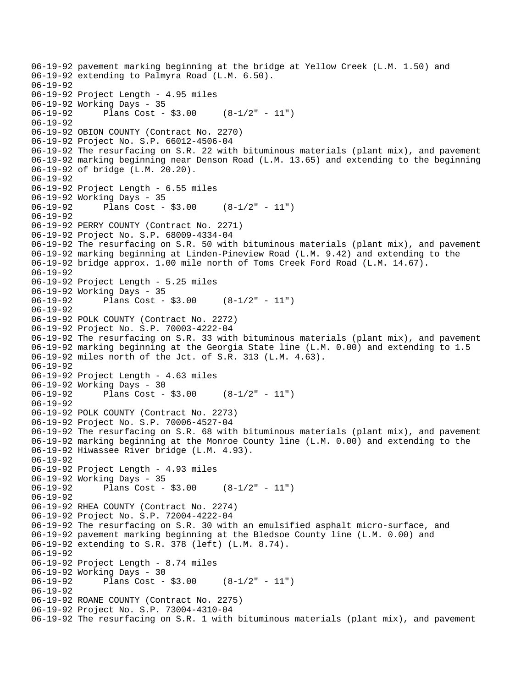06-19-92 pavement marking beginning at the bridge at Yellow Creek (L.M. 1.50) and 06-19-92 extending to Palmyra Road (L.M. 6.50). 06-19-92 06-19-92 Project Length - 4.95 miles 06-19-92 Working Days - 35 06-19-92 Plans Cost - \$3.00 (8-1/2" - 11") 06-19-92 06-19-92 OBION COUNTY (Contract No. 2270) 06-19-92 Project No. S.P. 66012-4506-04 06-19-92 The resurfacing on S.R. 22 with bituminous materials (plant mix), and pavement 06-19-92 marking beginning near Denson Road (L.M. 13.65) and extending to the beginning 06-19-92 of bridge (L.M. 20.20). 06-19-92 06-19-92 Project Length - 6.55 miles 06-19-92 Working Days - 35 06-19-92 Plans Cost - \$3.00 (8-1/2" - 11") 06-19-92 06-19-92 PERRY COUNTY (Contract No. 2271) 06-19-92 Project No. S.P. 68009-4334-04 06-19-92 The resurfacing on S.R. 50 with bituminous materials (plant mix), and pavement 06-19-92 marking beginning at Linden-Pineview Road (L.M. 9.42) and extending to the 06-19-92 bridge approx. 1.00 mile north of Toms Creek Ford Road (L.M. 14.67). 06-19-92 06-19-92 Project Length - 5.25 miles 06-19-92 Working Days - 35 06-19-92 Plans Cost - \$3.00 (8-1/2" - 11") 06-19-92 06-19-92 POLK COUNTY (Contract No. 2272) 06-19-92 Project No. S.P. 70003-4222-04 06-19-92 The resurfacing on S.R. 33 with bituminous materials (plant mix), and pavement 06-19-92 marking beginning at the Georgia State line (L.M. 0.00) and extending to 1.5 06-19-92 miles north of the Jct. of S.R. 313 (L.M. 4.63). 06-19-92 06-19-92 Project Length - 4.63 miles 06-19-92 Working Days - 30 06-19-92 Plans Cost - \$3.00 (8-1/2" - 11") 06-19-92 06-19-92 POLK COUNTY (Contract No. 2273) 06-19-92 Project No. S.P. 70006-4527-04 06-19-92 The resurfacing on S.R. 68 with bituminous materials (plant mix), and pavement 06-19-92 marking beginning at the Monroe County line (L.M. 0.00) and extending to the 06-19-92 Hiwassee River bridge (L.M. 4.93). 06-19-92 06-19-92 Project Length - 4.93 miles 06-19-92 Working Days - 35 06-19-92 Plans Cost - \$3.00 (8-1/2" - 11") 06-19-92 06-19-92 RHEA COUNTY (Contract No. 2274) 06-19-92 Project No. S.P. 72004-4222-04 06-19-92 The resurfacing on S.R. 30 with an emulsified asphalt micro-surface, and 06-19-92 pavement marking beginning at the Bledsoe County line (L.M. 0.00) and 06-19-92 extending to S.R. 378 (left) (L.M. 8.74). 06-19-92 06-19-92 Project Length - 8.74 miles 06-19-92 Working Days - 30<br>06-19-92 Plans Cost -Plans  $Cost - $3.00$   $(8-1/2" - 11")$ 06-19-92 06-19-92 ROANE COUNTY (Contract No. 2275) 06-19-92 Project No. S.P. 73004-4310-04 06-19-92 The resurfacing on S.R. 1 with bituminous materials (plant mix), and pavement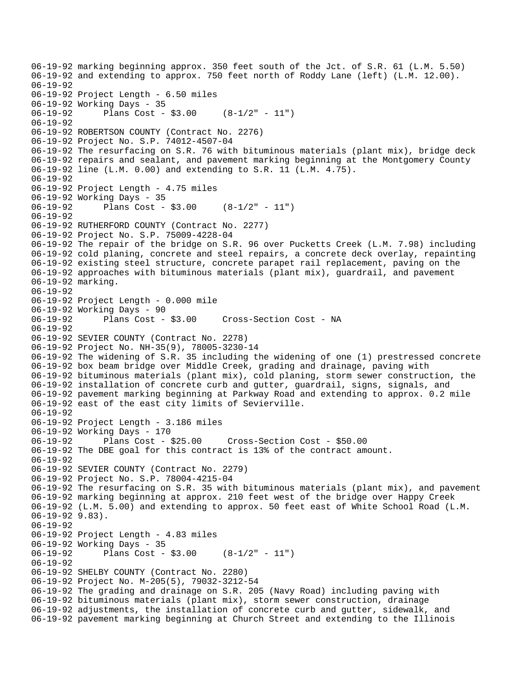06-19-92 marking beginning approx. 350 feet south of the Jct. of S.R. 61 (L.M. 5.50) 06-19-92 and extending to approx. 750 feet north of Roddy Lane (left) (L.M. 12.00). 06-19-92 06-19-92 Project Length - 6.50 miles 06-19-92 Working Days - 35 06-19-92 Plans Cost - \$3.00 (8-1/2" - 11") 06-19-92 06-19-92 ROBERTSON COUNTY (Contract No. 2276) 06-19-92 Project No. S.P. 74012-4507-04 06-19-92 The resurfacing on S.R. 76 with bituminous materials (plant mix), bridge deck 06-19-92 repairs and sealant, and pavement marking beginning at the Montgomery County 06-19-92 line (L.M. 0.00) and extending to S.R. 11 (L.M. 4.75). 06-19-92 06-19-92 Project Length - 4.75 miles 06-19-92 Working Days - 35<br>06-19-92 Plans Cost -Plans Cost -  $$3.00$  (8-1/2" - 11") 06-19-92 06-19-92 RUTHERFORD COUNTY (Contract No. 2277) 06-19-92 Project No. S.P. 75009-4228-04 06-19-92 The repair of the bridge on S.R. 96 over Pucketts Creek (L.M. 7.98) including 06-19-92 cold planing, concrete and steel repairs, a concrete deck overlay, repainting 06-19-92 existing steel structure, concrete parapet rail replacement, paving on the 06-19-92 approaches with bituminous materials (plant mix), guardrail, and pavement 06-19-92 marking. 06-19-92 06-19-92 Project Length - 0.000 mile 06-19-92 Working Days - 90 Cross-Section Cost - NA 06-19-92 06-19-92 SEVIER COUNTY (Contract No. 2278) 06-19-92 Project No. NH-35(9), 78005-3230-14 06-19-92 The widening of S.R. 35 including the widening of one (1) prestressed concrete 06-19-92 box beam bridge over Middle Creek, grading and drainage, paving with 06-19-92 bituminous materials (plant mix), cold planing, storm sewer construction, the 06-19-92 installation of concrete curb and gutter, guardrail, signs, signals, and 06-19-92 pavement marking beginning at Parkway Road and extending to approx. 0.2 mile 06-19-92 east of the east city limits of Sevierville. 06-19-92 06-19-92 Project Length - 3.186 miles 06-19-92 Working Days - 170 06-19-92 Plans Cost - \$25.00 Cross-Section Cost - \$50.00 06-19-92 The DBE goal for this contract is 13% of the contract amount. 06-19-92 06-19-92 SEVIER COUNTY (Contract No. 2279) 06-19-92 Project No. S.P. 78004-4215-04 06-19-92 The resurfacing on S.R. 35 with bituminous materials (plant mix), and pavement 06-19-92 marking beginning at approx. 210 feet west of the bridge over Happy Creek 06-19-92 (L.M. 5.00) and extending to approx. 50 feet east of White School Road (L.M. 06-19-92 9.83). 06-19-92 06-19-92 Project Length - 4.83 miles 06-19-92 Working Days - 35 06-19-92 Plans Cost - \$3.00 (8-1/2" - 11") 06-19-92 06-19-92 SHELBY COUNTY (Contract No. 2280) 06-19-92 Project No. M-205(5), 79032-3212-54 06-19-92 The grading and drainage on S.R. 205 (Navy Road) including paving with 06-19-92 bituminous materials (plant mix), storm sewer construction, drainage 06-19-92 adjustments, the installation of concrete curb and gutter, sidewalk, and 06-19-92 pavement marking beginning at Church Street and extending to the Illinois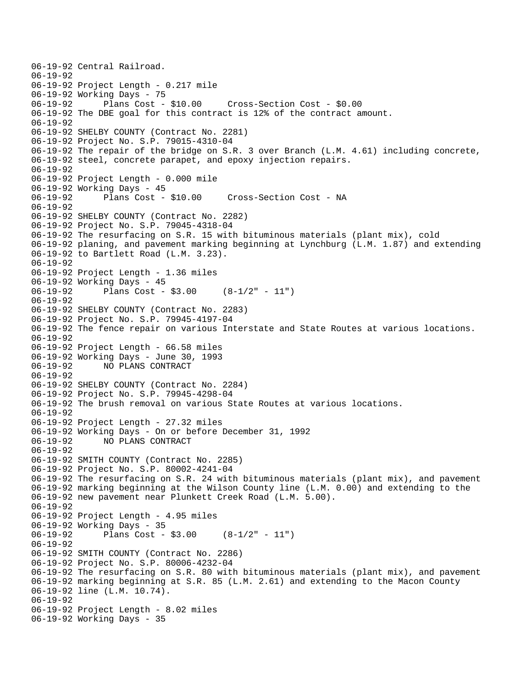```
06-19-92 Central Railroad. 
06-19-92 
06-19-92 Project Length - 0.217 mile 
06-19-92 Working Days - 75 
06-19-92 Plans Cost - $10.00 Cross-Section Cost - $0.00 
06-19-92 The DBE goal for this contract is 12% of the contract amount. 
06-19-92 
06-19-92 SHELBY COUNTY (Contract No. 2281) 
06-19-92 Project No. S.P. 79015-4310-04 
06-19-92 The repair of the bridge on S.R. 3 over Branch (L.M. 4.61) including concrete, 
06-19-92 steel, concrete parapet, and epoxy injection repairs. 
06-19-92 
06-19-92 Project Length - 0.000 mile 
06-19-92 Working Days - 45 
06-19-92 Plans Cost - $10.00 Cross-Section Cost - NA 
06-19-92 
06-19-92 SHELBY COUNTY (Contract No. 2282) 
06-19-92 Project No. S.P. 79045-4318-04 
06-19-92 The resurfacing on S.R. 15 with bituminous materials (plant mix), cold 
06-19-92 planing, and pavement marking beginning at Lynchburg (L.M. 1.87) and extending 
06-19-92 to Bartlett Road (L.M. 3.23). 
06-19-92 
06-19-92 Project Length - 1.36 miles 
06-19-92 Working Days - 45<br>06-19-92 Plans Cost -
              Plans Cost - $3.00 (8-1/2" - 11")
06-19-92 
06-19-92 SHELBY COUNTY (Contract No. 2283) 
06-19-92 Project No. S.P. 79945-4197-04 
06-19-92 The fence repair on various Interstate and State Routes at various locations. 
06-19-92 
06-19-92 Project Length - 66.58 miles 
06-19-92 Working Days - June 30, 1993 
              06-19-92 NO PLANS CONTRACT 
06-19-92 
06-19-92 SHELBY COUNTY (Contract No. 2284) 
06-19-92 Project No. S.P. 79945-4298-04 
06-19-92 The brush removal on various State Routes at various locations. 
06-19-92 
06-19-92 Project Length - 27.32 miles 
06-19-92 Working Days - On or before December 31, 1992 
06-19-92 NO PLANS CONTRACT 
06-19-92 
06-19-92 SMITH COUNTY (Contract No. 2285) 
06-19-92 Project No. S.P. 80002-4241-04 
06-19-92 The resurfacing on S.R. 24 with bituminous materials (plant mix), and pavement 
06-19-92 marking beginning at the Wilson County line (L.M. 0.00) and extending to the 
06-19-92 new pavement near Plunkett Creek Road (L.M. 5.00). 
06-19-92 
06-19-92 Project Length - 4.95 miles 
06-19-92 Working Days - 35 
              Plans Cost - $3.00 (8-1/2" - 11")
06-19-92 
06-19-92 SMITH COUNTY (Contract No. 2286) 
06-19-92 Project No. S.P. 80006-4232-04 
06-19-92 The resurfacing on S.R. 80 with bituminous materials (plant mix), and pavement 
06-19-92 marking beginning at S.R. 85 (L.M. 2.61) and extending to the Macon County 
06-19-92 line (L.M. 10.74). 
06-19-92 
06-19-92 Project Length - 8.02 miles 
06-19-92 Working Days - 35
```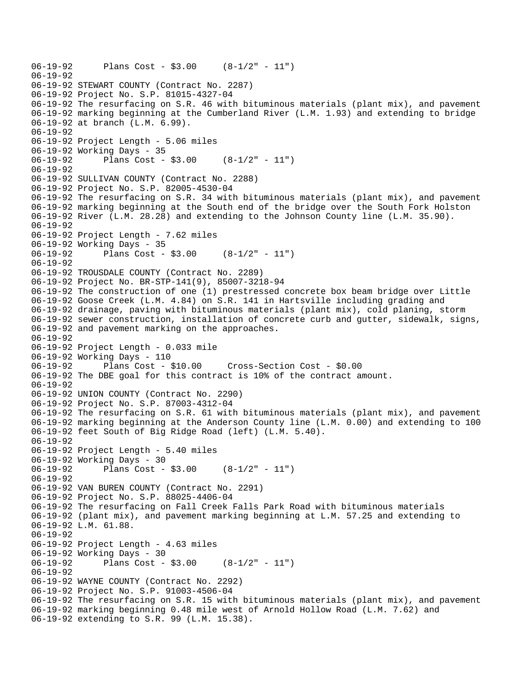```
06-19-92 Plans Cost - $3.00 (8-1/2" - 11") 
06-19-92 
06-19-92 STEWART COUNTY (Contract No. 2287) 
06-19-92 Project No. S.P. 81015-4327-04 
06-19-92 The resurfacing on S.R. 46 with bituminous materials (plant mix), and pavement 
06-19-92 marking beginning at the Cumberland River (L.M. 1.93) and extending to bridge 
06-19-92 at branch (L.M. 6.99). 
06-19-92 
06-19-92 Project Length - 5.06 miles 
06-19-92 Working Days - 35 
06-19-92 Plans Cost - $3.00 (8-1/2" - 11") 
06-19-92 
06-19-92 SULLIVAN COUNTY (Contract No. 2288) 
06-19-92 Project No. S.P. 82005-4530-04 
06-19-92 The resurfacing on S.R. 34 with bituminous materials (plant mix), and pavement 
06-19-92 marking beginning at the South end of the bridge over the South Fork Holston 
06-19-92 River (L.M. 28.28) and extending to the Johnson County line (L.M. 35.90). 
06-19-92 
06-19-92 Project Length - 7.62 miles 
06-19-92 Working Days - 35 
06-19-92 Plans Cost - $3.00 (8-1/2" - 11") 
06-19-92 
06-19-92 TROUSDALE COUNTY (Contract No. 2289) 
06-19-92 Project No. BR-STP-141(9), 85007-3218-94 
06-19-92 The construction of one (1) prestressed concrete box beam bridge over Little 
06-19-92 Goose Creek (L.M. 4.84) on S.R. 141 in Hartsville including grading and 
06-19-92 drainage, paving with bituminous materials (plant mix), cold planing, storm 
06-19-92 sewer construction, installation of concrete curb and gutter, sidewalk, signs, 
06-19-92 and pavement marking on the approaches. 
06-19-92 
06-19-92 Project Length - 0.033 mile 
06-19-92 Working Days - 110 
06-19-92 Plans Cost - $10.00 Cross-Section Cost - $0.00 
06-19-92 The DBE goal for this contract is 10% of the contract amount. 
06-19-92 
06-19-92 UNION COUNTY (Contract No. 2290) 
06-19-92 Project No. S.P. 87003-4312-04 
06-19-92 The resurfacing on S.R. 61 with bituminous materials (plant mix), and pavement 
06-19-92 marking beginning at the Anderson County line (L.M. 0.00) and extending to 100 
06-19-92 feet South of Big Ridge Road (left) (L.M. 5.40). 
06-19-92 
06-19-92 Project Length - 5.40 miles 
06-19-92 Working Days - 30 
06-19-92 Plans Cost - $3.00 (8-1/2" - 11") 
06-19-92 
06-19-92 VAN BUREN COUNTY (Contract No. 2291) 
06-19-92 Project No. S.P. 88025-4406-04 
06-19-92 The resurfacing on Fall Creek Falls Park Road with bituminous materials 
06-19-92 (plant mix), and pavement marking beginning at L.M. 57.25 and extending to 
06-19-92 L.M. 61.88. 
06-19-92 
06-19-92 Project Length - 4.63 miles 
06-19-92 Working Days - 30 
06-19-92 Plans Cost - $3.00 (8-1/2" - 11") 
06-19-92 
06-19-92 WAYNE COUNTY (Contract No. 2292) 
06-19-92 Project No. S.P. 91003-4506-04 
06-19-92 The resurfacing on S.R. 15 with bituminous materials (plant mix), and pavement 
06-19-92 marking beginning 0.48 mile west of Arnold Hollow Road (L.M. 7.62) and 
06-19-92 extending to S.R. 99 (L.M. 15.38).
```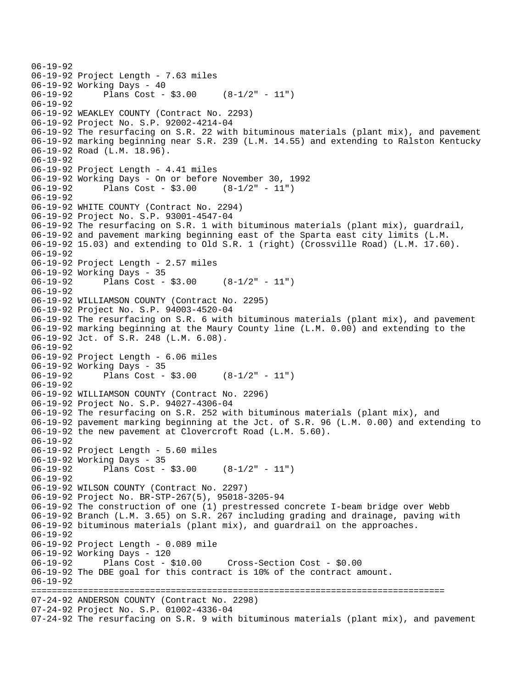```
06-19-92 
06-19-92 Project Length - 7.63 miles 
06-19-92 Working Days - 40 
06-19-92 Plans Cost - $3.00 (8-1/2" - 11") 
06-19-92 
06-19-92 WEAKLEY COUNTY (Contract No. 2293) 
06-19-92 Project No. S.P. 92002-4214-04 
06-19-92 The resurfacing on S.R. 22 with bituminous materials (plant mix), and pavement 
06-19-92 marking beginning near S.R. 239 (L.M. 14.55) and extending to Ralston Kentucky 
06-19-92 Road (L.M. 18.96). 
06-19-92 
06-19-92 Project Length - 4.41 miles 
06-19-92 Working Days - On or before November 30, 1992 
06-19-92 Plans Cost - $3.00 (8-1/2" - 11") 
06-19-92 
06-19-92 WHITE COUNTY (Contract No. 2294) 
06-19-92 Project No. S.P. 93001-4547-04 
06-19-92 The resurfacing on S.R. 1 with bituminous materials (plant mix), guardrail, 
06-19-92 and pavement marking beginning east of the Sparta east city limits (L.M. 
06-19-92 15.03) and extending to Old S.R. 1 (right) (Crossville Road) (L.M. 17.60). 
06-19-92 
06-19-92 Project Length - 2.57 miles 
06-19-92 Working Days - 35 
06-19-92 Plans Cost - $3.00 (8-1/2" - 11") 
06-19-92 
06-19-92 WILLIAMSON COUNTY (Contract No. 2295) 
06-19-92 Project No. S.P. 94003-4520-04 
06-19-92 The resurfacing on S.R. 6 with bituminous materials (plant mix), and pavement 
06-19-92 marking beginning at the Maury County line (L.M. 0.00) and extending to the 
06-19-92 Jct. of S.R. 248 (L.M. 6.08). 
06-19-92 
06-19-92 Project Length - 6.06 miles 
06-19-92 Working Days - 35 
06-19-92 Plans Cost - $3.00 (8-1/2" - 11") 
06-19-92 
06-19-92 WILLIAMSON COUNTY (Contract No. 2296) 
06-19-92 Project No. S.P. 94027-4306-04 
06-19-92 The resurfacing on S.R. 252 with bituminous materials (plant mix), and 
06-19-92 pavement marking beginning at the Jct. of S.R. 96 (L.M. 0.00) and extending to 
06-19-92 the new pavement at Clovercroft Road (L.M. 5.60). 
06-19-92 
06-19-92 Project Length - 5.60 miles 
06-19-92 Working Days - 35 
06-19-92 Plans Cost - $3.00 (8-1/2" - 11") 
06-19-92 
06-19-92 WILSON COUNTY (Contract No. 2297) 
06-19-92 Project No. BR-STP-267(5), 95018-3205-94 
06-19-92 The construction of one (1) prestressed concrete I-beam bridge over Webb 
06-19-92 Branch (L.M. 3.65) on S.R. 267 including grading and drainage, paving with 
06-19-92 bituminous materials (plant mix), and guardrail on the approaches. 
06-19-92 
06-19-92 Project Length - 0.089 mile 
06-19-92 Working Days - 120 
06-19-92 Plans Cost - $10.00 Cross-Section Cost - $0.00 
06-19-92 The DBE goal for this contract is 10% of the contract amount. 
06-19-92 
================================================================================ 
07-24-92 ANDERSON COUNTY (Contract No. 2298) 
07-24-92 Project No. S.P. 01002-4336-04 
07-24-92 The resurfacing on S.R. 9 with bituminous materials (plant mix), and pavement
```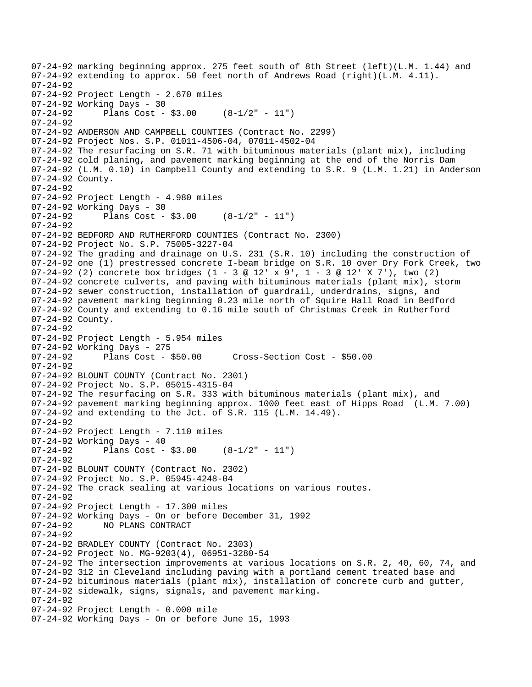```
07-24-92 marking beginning approx. 275 feet south of 8th Street (left)(L.M. 1.44) and 
07-24-92 extending to approx. 50 feet north of Andrews Road (right)(L.M. 4.11). 
07 - 24 - 9207-24-92 Project Length - 2.670 miles 
07-24-92 Working Days - 30 
07-24-92 Plans Cost - $3.00 (8-1/2" - 11") 
07-24-92 
07-24-92 ANDERSON AND CAMPBELL COUNTIES (Contract No. 2299) 
07-24-92 Project Nos. S.P. 01011-4506-04, 07011-4502-04 
07-24-92 The resurfacing on S.R. 71 with bituminous materials (plant mix), including 
07-24-92 cold planing, and pavement marking beginning at the end of the Norris Dam 
07-24-92 (L.M. 0.10) in Campbell County and extending to S.R. 9 (L.M. 1.21) in Anderson 
07-24-92 County. 
07-24-92 
07-24-92 Project Length - 4.980 miles 
07-24-92 Working Days - 30 
07-24-92 Plans Cost - $3.00 (8-1/2" - 11")07-24-92 
07-24-92 BEDFORD AND RUTHERFORD COUNTIES (Contract No. 2300) 
07-24-92 Project No. S.P. 75005-3227-04 
07-24-92 The grading and drainage on U.S. 231 (S.R. 10) including the construction of 
07-24-92 one (1) prestressed concrete I-beam bridge on S.R. 10 over Dry Fork Creek, two 
07-24-92 (2) concrete box bridges (1 - 3 @ 12' x 9', 1 - 3 @ 12' X 7'), two (2) 
07-24-92 concrete culverts, and paving with bituminous materials (plant mix), storm 
07-24-92 sewer construction, installation of guardrail, underdrains, signs, and 
07-24-92 pavement marking beginning 0.23 mile north of Squire Hall Road in Bedford 
07-24-92 County and extending to 0.16 mile south of Christmas Creek in Rutherford 
07-24-92 County. 
07-24-92 
07-24-92 Project Length - 5.954 miles 
07-24-92 Working Days - 275 
07-24-92 Plans Cost - $50.00 Cross-Section Cost - $50.00 
07-24-92 
07-24-92 BLOUNT COUNTY (Contract No. 2301) 
07-24-92 Project No. S.P. 05015-4315-04 
07-24-92 The resurfacing on S.R. 333 with bituminous materials (plant mix), and 
07-24-92 pavement marking beginning approx. 1000 feet east of Hipps Road (L.M. 7.00) 
07-24-92 and extending to the Jct. of S.R. 115 (L.M. 14.49). 
07-24-92 
07-24-92 Project Length - 7.110 miles 
07-24-92 Working Days - 40 
07-24-92 Plans Cost - $3.00 (8-1/2" - 11")07-24-92 
07-24-92 BLOUNT COUNTY (Contract No. 2302) 
07-24-92 Project No. S.P. 05945-4248-04 
07-24-92 The crack sealing at various locations on various routes. 
07-24-92 
07-24-92 Project Length - 17.300 miles 
07-24-92 Working Days - On or before December 31, 1992 
              NO PLANS CONTRACT
07-24-92 
07-24-92 BRADLEY COUNTY (Contract No. 2303) 
07-24-92 Project No. MG-9203(4), 06951-3280-54 
07-24-92 The intersection improvements at various locations on S.R. 2, 40, 60, 74, and 
07-24-92 312 in Cleveland including paving with a portland cement treated base and 
07-24-92 bituminous materials (plant mix), installation of concrete curb and gutter, 
07-24-92 sidewalk, signs, signals, and pavement marking. 
07-24-92 
07-24-92 Project Length - 0.000 mile 
07-24-92 Working Days - On or before June 15, 1993
```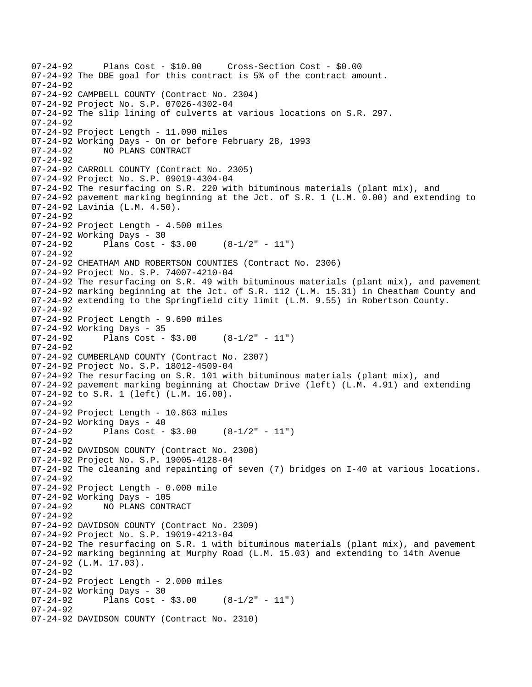```
07-24-92 Plans Cost - $10.00 Cross-Section Cost - $0.00 
07-24-92 The DBE goal for this contract is 5% of the contract amount. 
07 - 24 - 9207-24-92 CAMPBELL COUNTY (Contract No. 2304) 
07-24-92 Project No. S.P. 07026-4302-04 
07-24-92 The slip lining of culverts at various locations on S.R. 297. 
07-24-92 
07-24-92 Project Length - 11.090 miles 
07-24-92 Working Days - On or before February 28, 1993 
07-24-92 NO PLANS CONTRACT 
07-24-92 
07-24-92 CARROLL COUNTY (Contract No. 2305) 
07-24-92 Project No. S.P. 09019-4304-04 
07-24-92 The resurfacing on S.R. 220 with bituminous materials (plant mix), and 
07-24-92 pavement marking beginning at the Jct. of S.R. 1 (L.M. 0.00) and extending to 
07-24-92 Lavinia (L.M. 4.50). 
07-24-92 
07-24-92 Project Length - 4.500 miles 
07-24-92 Working Days - 30 
07-24-92 Plans Cost - $3.00 (8-1/2" - 11") 
07-24-92 
07-24-92 CHEATHAM AND ROBERTSON COUNTIES (Contract No. 2306) 
07-24-92 Project No. S.P. 74007-4210-04 
07-24-92 The resurfacing on S.R. 49 with bituminous materials (plant mix), and pavement 
07-24-92 marking beginning at the Jct. of S.R. 112 (L.M. 15.31) in Cheatham County and 
07-24-92 extending to the Springfield city limit (L.M. 9.55) in Robertson County. 
07-24-92 
07-24-92 Project Length - 9.690 miles 
07-24-92 Working Days - 35 
07-24-92 Plans Cost - $3.00 (8-1/2" - 11") 
07-24-92 
07-24-92 CUMBERLAND COUNTY (Contract No. 2307) 
07-24-92 Project No. S.P. 18012-4509-04 
07-24-92 The resurfacing on S.R. 101 with bituminous materials (plant mix), and 
07-24-92 pavement marking beginning at Choctaw Drive (left) (L.M. 4.91) and extending 
07-24-92 to S.R. 1 (left) (L.M. 16.00). 
07-24-92 
07-24-92 Project Length - 10.863 miles 
07-24-92 Working Days - 40<br>07-24-92 Plans Cost -
              Plans Cost - $3.00 (8-1/2" - 11")
07-24-92 
07-24-92 DAVIDSON COUNTY (Contract No. 2308) 
07-24-92 Project No. S.P. 19005-4128-04 
07-24-92 The cleaning and repainting of seven (7) bridges on I-40 at various locations. 
07-24-92 
07-24-92 Project Length - 0.000 mile 
07-24-92 Working Days - 105<br>07-24-92      NO PLANS CONT
              NO PLANS CONTRACT
07-24-92 
07-24-92 DAVIDSON COUNTY (Contract No. 2309) 
07-24-92 Project No. S.P. 19019-4213-04 
07-24-92 The resurfacing on S.R. 1 with bituminous materials (plant mix), and pavement 
07-24-92 marking beginning at Murphy Road (L.M. 15.03) and extending to 14th Avenue 
07-24-92 (L.M. 17.03). 
07-24-92 
07-24-92 Project Length - 2.000 miles 
07-24-92 Working Days - 30<br>07-24-92 Plans Cost -
              Plans Cost - $3.00 (8-1/2" - 11")
07-24-92 
07-24-92 DAVIDSON COUNTY (Contract No. 2310)
```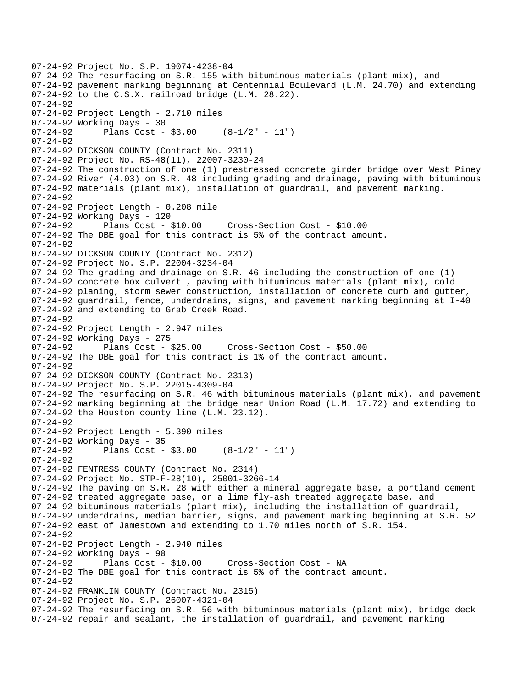```
07-24-92 Project No. S.P. 19074-4238-04 
07-24-92 The resurfacing on S.R. 155 with bituminous materials (plant mix), and 
07-24-92 pavement marking beginning at Centennial Boulevard (L.M. 24.70) and extending 
07-24-92 to the C.S.X. railroad bridge (L.M. 28.22). 
07-24-92 
07-24-92 Project Length - 2.710 miles 
07-24-92 Working Days - 30 
07-24-92 Plans Cost - $3.00 (8-1/2" - 11") 
07-24-92 
07-24-92 DICKSON COUNTY (Contract No. 2311) 
07-24-92 Project No. RS-48(11), 22007-3230-24 
07-24-92 The construction of one (1) prestressed concrete girder bridge over West Piney 
07-24-92 River (4.03) on S.R. 48 including grading and drainage, paving with bituminous 
07-24-92 materials (plant mix), installation of guardrail, and pavement marking. 
07-24-92 
07-24-92 Project Length - 0.208 mile 
07-24-92 Working Days - 120 
07-24-92 Plans Cost - $10.00 Cross-Section Cost - $10.00 
07-24-92 The DBE goal for this contract is 5% of the contract amount. 
07-24-92 
07-24-92 DICKSON COUNTY (Contract No. 2312) 
07-24-92 Project No. S.P. 22004-3234-04 
07-24-92 The grading and drainage on S.R. 46 including the construction of one (1) 
07-24-92 concrete box culvert , paving with bituminous materials (plant mix), cold 
07-24-92 planing, storm sewer construction, installation of concrete curb and gutter, 
07-24-92 guardrail, fence, underdrains, signs, and pavement marking beginning at I-40 
07-24-92 and extending to Grab Creek Road. 
07-24-92 
07-24-92 Project Length - 2.947 miles
07-24-92 Working Days - 275 
07-24-92 Plans Cost - $25.00 Cross-Section Cost - $50.00 
07-24-92 The DBE goal for this contract is 1% of the contract amount. 
07-24-92 
07-24-92 DICKSON COUNTY (Contract No. 2313) 
07-24-92 Project No. S.P. 22015-4309-04 
07-24-92 The resurfacing on S.R. 46 with bituminous materials (plant mix), and pavement 
07-24-92 marking beginning at the bridge near Union Road (L.M. 17.72) and extending to 
07-24-92 the Houston county line (L.M. 23.12). 
07-24-92 
07-24-92 Project Length - 5.390 miles 
07-24-92 Working Days - 35 
07-24-92 Plans Cost - $3.00 (8-1/2" - 11")07-24-92 
07-24-92 FENTRESS COUNTY (Contract No. 2314) 
07-24-92 Project No. STP-F-28(10), 25001-3266-14 
07-24-92 The paving on S.R. 28 with either a mineral aggregate base, a portland cement 
07-24-92 treated aggregate base, or a lime fly-ash treated aggregate base, and 
07-24-92 bituminous materials (plant mix), including the installation of guardrail, 
07-24-92 underdrains, median barrier, signs, and pavement marking beginning at S.R. 52 
07-24-92 east of Jamestown and extending to 1.70 miles north of S.R. 154. 
07-24-92 
07-24-92 Project Length - 2.940 miles 
07-24-92 Working Days - 90 
07-24-92 Plans Cost - $10.00 Cross-Section Cost - NA 
07-24-92 The DBE goal for this contract is 5% of the contract amount. 
07-24-92 
07-24-92 FRANKLIN COUNTY (Contract No. 2315) 
07-24-92 Project No. S.P. 26007-4321-04 
07-24-92 The resurfacing on S.R. 56 with bituminous materials (plant mix), bridge deck 
07-24-92 repair and sealant, the installation of guardrail, and pavement marking
```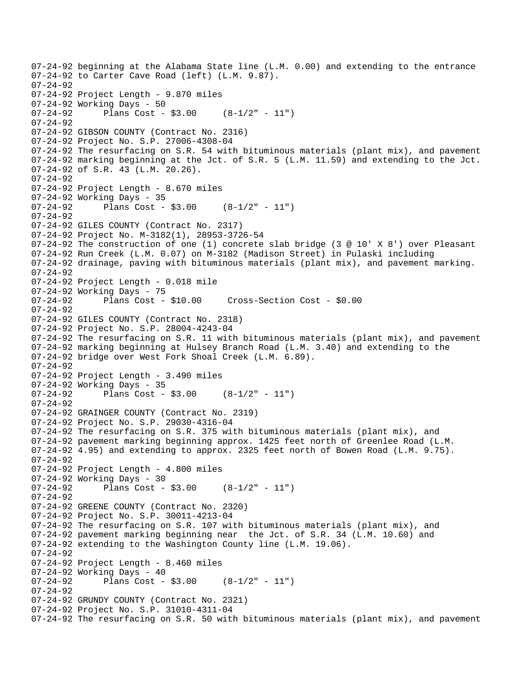07-24-92 beginning at the Alabama State line (L.M. 0.00) and extending to the entrance 07-24-92 to Carter Cave Road (left) (L.M. 9.87).  $07 - 24 - 92$ 07-24-92 Project Length - 9.870 miles 07-24-92 Working Days - 50 07-24-92 Plans Cost - \$3.00 (8-1/2" - 11") 07-24-92 07-24-92 GIBSON COUNTY (Contract No. 2316) 07-24-92 Project No. S.P. 27006-4308-04 07-24-92 The resurfacing on S.R. 54 with bituminous materials (plant mix), and pavement 07-24-92 marking beginning at the Jct. of S.R. 5 (L.M. 11.59) and extending to the Jct. 07-24-92 of S.R. 43 (L.M. 20.26). 07-24-92 07-24-92 Project Length - 8.670 miles 07-24-92 Working Days - 35 07-24-92 Plans Cost - \$3.00 (8-1/2" - 11") 07-24-92 07-24-92 GILES COUNTY (Contract No. 2317) 07-24-92 Project No. M-3182(1), 28953-3726-54 07-24-92 The construction of one (1) concrete slab bridge (3 @ 10' X 8') over Pleasant 07-24-92 Run Creek (L.M. 0.07) on M-3182 (Madison Street) in Pulaski including 07-24-92 drainage, paving with bituminous materials (plant mix), and pavement marking. 07-24-92 07-24-92 Project Length - 0.018 mile 07-24-92 Working Days - 75<br>07-24-92 Plans Cost - \$10.00 07-24-92 Plans Cost - \$10.00 Cross-Section Cost - \$0.00 07-24-92 07-24-92 GILES COUNTY (Contract No. 2318) 07-24-92 Project No. S.P. 28004-4243-04 07-24-92 The resurfacing on S.R. 11 with bituminous materials (plant mix), and pavement 07-24-92 marking beginning at Hulsey Branch Road (L.M. 3.40) and extending to the 07-24-92 bridge over West Fork Shoal Creek (L.M. 6.89). 07-24-92 07-24-92 Project Length - 3.490 miles 07-24-92 Working Days - 35  $07-24-92$  Plans Cost - \$3.00  $(8-1/2" - 11")$ 07-24-92 07-24-92 GRAINGER COUNTY (Contract No. 2319) 07-24-92 Project No. S.P. 29030-4316-04 07-24-92 The resurfacing on S.R. 375 with bituminous materials (plant mix), and 07-24-92 pavement marking beginning approx. 1425 feet north of Greenlee Road (L.M. 07-24-92 4.95) and extending to approx. 2325 feet north of Bowen Road (L.M. 9.75). 07-24-92 07-24-92 Project Length - 4.800 miles 07-24-92 Working Days - 30  $07-24-92$  Plans Cost - \$3.00  $(8-1/2" - 11")$ 07-24-92 07-24-92 GREENE COUNTY (Contract No. 2320) 07-24-92 Project No. S.P. 30011-4213-04 07-24-92 The resurfacing on S.R. 107 with bituminous materials (plant mix), and 07-24-92 pavement marking beginning near the Jct. of S.R. 34 (L.M. 10.60) and 07-24-92 extending to the Washington County line (L.M. 19.06). 07-24-92 07-24-92 Project Length - 8.460 miles 07-24-92 Working Days - 40<br>07-24-92 Plans Cost -Plans  $Cost - $3.00$   $(8-1/2" - 11")$ 07-24-92 07-24-92 GRUNDY COUNTY (Contract No. 2321) 07-24-92 Project No. S.P. 31010-4311-04 07-24-92 The resurfacing on S.R. 50 with bituminous materials (plant mix), and pavement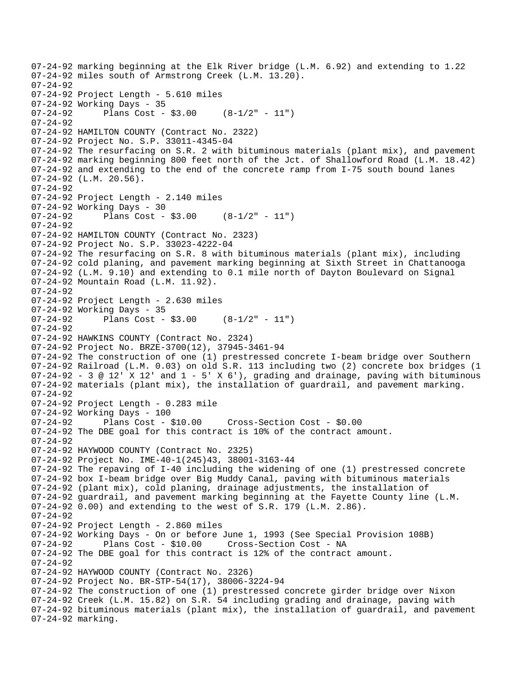07-24-92 marking beginning at the Elk River bridge (L.M. 6.92) and extending to 1.22 07-24-92 miles south of Armstrong Creek (L.M. 13.20).  $07 - 24 - 92$ 07-24-92 Project Length - 5.610 miles 07-24-92 Working Days - 35 07-24-92 Plans Cost - \$3.00 (8-1/2" - 11") 07-24-92 07-24-92 HAMILTON COUNTY (Contract No. 2322) 07-24-92 Project No. S.P. 33011-4345-04 07-24-92 The resurfacing on S.R. 2 with bituminous materials (plant mix), and pavement 07-24-92 marking beginning 800 feet north of the Jct. of Shallowford Road (L.M. 18.42) 07-24-92 and extending to the end of the concrete ramp from I-75 south bound lanes 07-24-92 (L.M. 20.56). 07-24-92 07-24-92 Project Length - 2.140 miles 07-24-92 Working Days - 30 07-24-92 Plans Cost - \$3.00 (8-1/2" - 11") 07-24-92 07-24-92 HAMILTON COUNTY (Contract No. 2323) 07-24-92 Project No. S.P. 33023-4222-04 07-24-92 The resurfacing on S.R. 8 with bituminous materials (plant mix), including 07-24-92 cold planing, and pavement marking beginning at Sixth Street in Chattanooga 07-24-92 (L.M. 9.10) and extending to 0.1 mile north of Dayton Boulevard on Signal 07-24-92 Mountain Road (L.M. 11.92). 07-24-92 07-24-92 Project Length - 2.630 miles 07-24-92 Working Days - 35<br>07-24-92 Plans Cost -Plans Cost -  $$3.00$  (8-1/2" - 11") 07-24-92 07-24-92 HAWKINS COUNTY (Contract No. 2324) 07-24-92 Project No. BRZE-3700(12), 37945-3461-94 07-24-92 The construction of one (1) prestressed concrete I-beam bridge over Southern 07-24-92 Railroad (L.M. 0.03) on old S.R. 113 including two (2) concrete box bridges (1  $07-24-92$  - 3 @ 12' X 12' and 1 - 5' X 6'), grading and drainage, paving with bituminous 07-24-92 materials (plant mix), the installation of guardrail, and pavement marking. 07-24-92 07-24-92 Project Length - 0.283 mile 07-24-92 Working Days - 100 07-24-92 Plans Cost - \$10.00 Cross-Section Cost - \$0.00 07-24-92 The DBE goal for this contract is 10% of the contract amount. 07-24-92 07-24-92 HAYWOOD COUNTY (Contract No. 2325) 07-24-92 Project No. IME-40-1(245)43, 38001-3163-44 07-24-92 The repaving of I-40 including the widening of one (1) prestressed concrete 07-24-92 box I-beam bridge over Big Muddy Canal, paving with bituminous materials 07-24-92 (plant mix), cold planing, drainage adjustments, the installation of 07-24-92 guardrail, and pavement marking beginning at the Fayette County line (L.M. 07-24-92 0.00) and extending to the west of S.R. 179 (L.M. 2.86). 07-24-92 07-24-92 Project Length - 2.860 miles 07-24-92 Working Days - On or before June 1, 1993 (See Special Provision 108B) 07-24-92 Plans Cost - \$10.00 Cross-Section Cost - NA 07-24-92 The DBE goal for this contract is 12% of the contract amount. 07-24-92 07-24-92 HAYWOOD COUNTY (Contract No. 2326) 07-24-92 Project No. BR-STP-54(17), 38006-3224-94 07-24-92 The construction of one (1) prestressed concrete girder bridge over Nixon 07-24-92 Creek (L.M. 15.82) on S.R. 54 including grading and drainage, paving with 07-24-92 bituminous materials (plant mix), the installation of guardrail, and pavement 07-24-92 marking.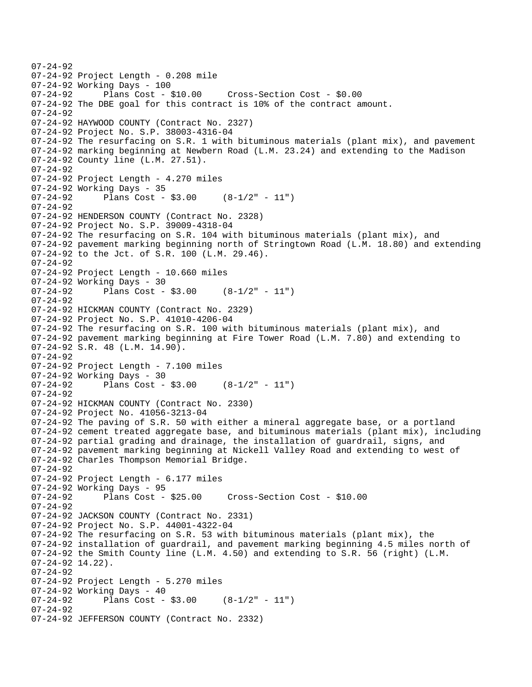```
07-24-92 
07-24-92 Project Length - 0.208 mile 
07-24-92 Working Days - 100 
07-24-92 Plans Cost - $10.00 Cross-Section Cost - $0.00 
07-24-92 The DBE goal for this contract is 10% of the contract amount. 
07-24-92 
07-24-92 HAYWOOD COUNTY (Contract No. 2327) 
07-24-92 Project No. S.P. 38003-4316-04 
07-24-92 The resurfacing on S.R. 1 with bituminous materials (plant mix), and pavement 
07-24-92 marking beginning at Newbern Road (L.M. 23.24) and extending to the Madison 
07-24-92 County line (L.M. 27.51). 
07-24-92 
07-24-92 Project Length - 4.270 miles 
07-24-92 Working Days - 35<br>07-24-92 Plans Cost -
              Plans Cost - $3.00 (8-1/2" - 11")
07 - 24 - 9207-24-92 HENDERSON COUNTY (Contract No. 2328) 
07-24-92 Project No. S.P. 39009-4318-04 
07-24-92 The resurfacing on S.R. 104 with bituminous materials (plant mix), and 
07-24-92 pavement marking beginning north of Stringtown Road (L.M. 18.80) and extending 
07-24-92 to the Jct. of S.R. 100 (L.M. 29.46). 
07-24-92 
07-24-92 Project Length - 10.660 miles 
07-24-92 Working Days - 30<br>07-24-92 Plans Cost -
              Plans Cost - $3.00 (8-1/2" - 11")
07-24-92 
07-24-92 HICKMAN COUNTY (Contract No. 2329) 
07-24-92 Project No. S.P. 41010-4206-04 
07-24-92 The resurfacing on S.R. 100 with bituminous materials (plant mix), and 
07-24-92 pavement marking beginning at Fire Tower Road (L.M. 7.80) and extending to 
07-24-92 S.R. 48 (L.M. 14.90). 
07-24-92 
07-24-92 Project Length - 7.100 miles 
07-24-92 Working Days - 30<br>07-24-92 Plans Cost -
              Plans Cost - $3.00 (8-1/2" - 11")
07-24-92 
07-24-92 HICKMAN COUNTY (Contract No. 2330) 
07-24-92 Project No. 41056-3213-04 
07-24-92 The paving of S.R. 50 with either a mineral aggregate base, or a portland 
07-24-92 cement treated aggregate base, and bituminous materials (plant mix), including 
07-24-92 partial grading and drainage, the installation of guardrail, signs, and 
07-24-92 pavement marking beginning at Nickell Valley Road and extending to west of 
07-24-92 Charles Thompson Memorial Bridge. 
07-24-92 
07-24-92 Project Length - 6.177 miles 
07-24-92 Working Days - 95 
07-24-92 Plans Cost - $25.00 Cross-Section Cost - $10.00 
07-24-92 
07-24-92 JACKSON COUNTY (Contract No. 2331) 
07-24-92 Project No. S.P. 44001-4322-04 
07-24-92 The resurfacing on S.R. 53 with bituminous materials (plant mix), the 
07-24-92 installation of guardrail, and pavement marking beginning 4.5 miles north of 
07-24-92 the Smith County line (L.M. 4.50) and extending to S.R. 56 (right) (L.M. 
07-24-92 14.22). 
07-24-92 
07-24-92 Project Length - 5.270 miles 
07-24-92 Working Days - 40<br>07-24-92 Plans Cost -
              Plans Cost - $3.00 (8-1/2" - 11")
07-24-92 
07-24-92 JEFFERSON COUNTY (Contract No. 2332)
```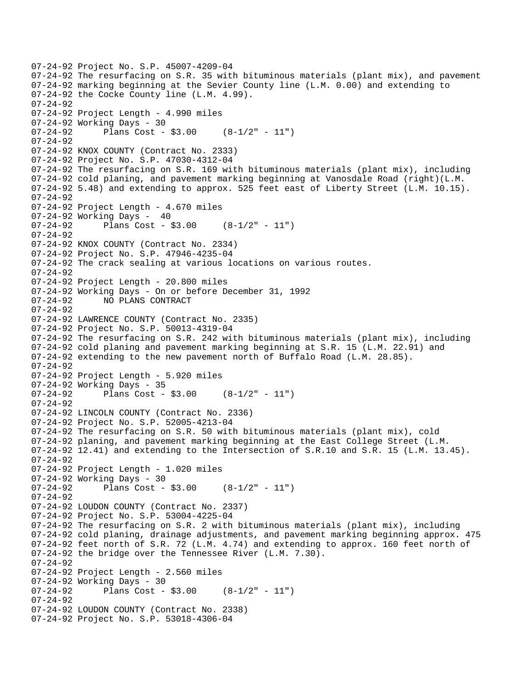```
07-24-92 Project No. S.P. 45007-4209-04 
07-24-92 The resurfacing on S.R. 35 with bituminous materials (plant mix), and pavement 
07-24-92 marking beginning at the Sevier County line (L.M. 0.00) and extending to 
07-24-92 the Cocke County line (L.M. 4.99). 
07-24-92 
07-24-92 Project Length - 4.990 miles 
07-24-92 Working Days - 30 
07-24-92 Plans Cost - $3.00 (8-1/2" - 11") 
07-24-92 
07-24-92 KNOX COUNTY (Contract No. 2333) 
07-24-92 Project No. S.P. 47030-4312-04 
07-24-92 The resurfacing on S.R. 169 with bituminous materials (plant mix), including 
07-24-92 cold planing, and pavement marking beginning at Vanosdale Road (right)(L.M. 
07-24-92 5.48) and extending to approx. 525 feet east of Liberty Street (L.M. 10.15). 
07-24-92 
07-24-92 Project Length - 4.670 miles 
07-24-92 Working Days - 40 
07-24-92 Plans Cost - $3.00 (8-1/2" - 11") 
07-24-92 
07-24-92 KNOX COUNTY (Contract No. 2334) 
07-24-92 Project No. S.P. 47946-4235-04 
07-24-92 The crack sealing at various locations on various routes. 
07-24-92 
07-24-92 Project Length - 20.800 miles 
07-24-92 Working Days - On or before December 31, 1992<br>07-24-92 MO PLANS CONTRACT
              NO PLANS CONTRACT
07-24-92 
07-24-92 LAWRENCE COUNTY (Contract No. 2335) 
07-24-92 Project No. S.P. 50013-4319-04 
07-24-92 The resurfacing on S.R. 242 with bituminous materials (plant mix), including 
07-24-92 cold planing and pavement marking beginning at S.R. 15 (L.M. 22.91) and 
07-24-92 extending to the new pavement north of Buffalo Road (L.M. 28.85). 
07-24-92 
07-24-92 Project Length - 5.920 miles 
07-24-92 Working Days - 35 
07-24-92 Plans Cost - $3.00 (8-1/2" - 11")07-24-92 
07-24-92 LINCOLN COUNTY (Contract No. 2336) 
07-24-92 Project No. S.P. 52005-4213-04 
07-24-92 The resurfacing on S.R. 50 with bituminous materials (plant mix), cold 
07-24-92 planing, and pavement marking beginning at the East College Street (L.M. 
07-24-92 12.41) and extending to the Intersection of S.R.10 and S.R. 15 (L.M. 13.45).
07-24-92 
07-24-92 Project Length - 1.020 miles 
07-24-92 Working Days - 30 
07-24-92 Plans Cost - $3.00 (8-1/2" - 11") 
07-24-92 
07-24-92 LOUDON COUNTY (Contract No. 2337) 
07-24-92 Project No. S.P. 53004-4225-04 
07-24-92 The resurfacing on S.R. 2 with bituminous materials (plant mix), including 
07-24-92 cold planing, drainage adjustments, and pavement marking beginning approx. 475 
07-24-92 feet north of S.R. 72 (L.M. 4.74) and extending to approx. 160 feet north of 
07-24-92 the bridge over the Tennessee River (L.M. 7.30). 
07-24-92 
07-24-92 Project Length - 2.560 miles 
07-24-92 Working Days - 30 
07-24-92 Plans Cost - $3.00 (8-1/2" - 11") 
07-24-92 
07-24-92 LOUDON COUNTY (Contract No. 2338) 
07-24-92 Project No. S.P. 53018-4306-04
```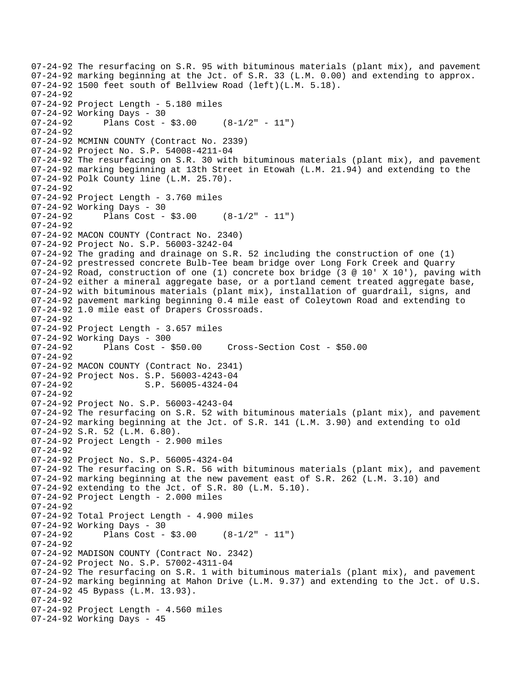07-24-92 The resurfacing on S.R. 95 with bituminous materials (plant mix), and pavement 07-24-92 marking beginning at the Jct. of S.R. 33 (L.M. 0.00) and extending to approx. 07-24-92 1500 feet south of Bellview Road (left)(L.M. 5.18). 07-24-92 07-24-92 Project Length - 5.180 miles 07-24-92 Working Days - 30 07-24-92 Plans Cost - \$3.00 (8-1/2" - 11") 07-24-92 07-24-92 MCMINN COUNTY (Contract No. 2339) 07-24-92 Project No. S.P. 54008-4211-04 07-24-92 The resurfacing on S.R. 30 with bituminous materials (plant mix), and pavement 07-24-92 marking beginning at 13th Street in Etowah (L.M. 21.94) and extending to the 07-24-92 Polk County line (L.M. 25.70). 07-24-92 07-24-92 Project Length - 3.760 miles 07-24-92 Working Days - 30  $07-24-92$  Plans Cost - \$3.00  $(8-1/2" - 11")$ 07-24-92 07-24-92 MACON COUNTY (Contract No. 2340) 07-24-92 Project No. S.P. 56003-3242-04 07-24-92 The grading and drainage on S.R. 52 including the construction of one (1) 07-24-92 prestressed concrete Bulb-Tee beam bridge over Long Fork Creek and Quarry 07-24-92 Road, construction of one (1) concrete box bridge (3 @ 10' X 10'), paving with 07-24-92 either a mineral aggregate base, or a portland cement treated aggregate base, 07-24-92 with bituminous materials (plant mix), installation of guardrail, signs, and 07-24-92 pavement marking beginning 0.4 mile east of Coleytown Road and extending to 07-24-92 1.0 mile east of Drapers Crossroads. 07-24-92 07-24-92 Project Length - 3.657 miles 07-24-92 Working Days - 300 07-24-92 Plans Cost - \$50.00 Cross-Section Cost - \$50.00 07-24-92 07-24-92 MACON COUNTY (Contract No. 2341) 07-24-92 Project Nos. S.P. 56003-4243-04<br>07-24-92 S.P. 56005-4324-04 S.P. 56005-4324-04 07-24-92 07-24-92 Project No. S.P. 56003-4243-04 07-24-92 The resurfacing on S.R. 52 with bituminous materials (plant mix), and pavement 07-24-92 marking beginning at the Jct. of S.R. 141 (L.M. 3.90) and extending to old 07-24-92 S.R. 52 (L.M. 6.80). 07-24-92 Project Length - 2.900 miles 07-24-92 07-24-92 Project No. S.P. 56005-4324-04 07-24-92 The resurfacing on S.R. 56 with bituminous materials (plant mix), and pavement 07-24-92 marking beginning at the new pavement east of S.R. 262 (L.M. 3.10) and 07-24-92 extending to the Jct. of S.R. 80 (L.M. 5.10). 07-24-92 Project Length - 2.000 miles 07-24-92 07-24-92 Total Project Length - 4.900 miles 07-24-92 Working Days - 30<br>07-24-92 Plans Cost -Plans Cost -  $$3.00$  (8-1/2" - 11") 07-24-92 07-24-92 MADISON COUNTY (Contract No. 2342) 07-24-92 Project No. S.P. 57002-4311-04 07-24-92 The resurfacing on S.R. 1 with bituminous materials (plant mix), and pavement 07-24-92 marking beginning at Mahon Drive (L.M. 9.37) and extending to the Jct. of U.S. 07-24-92 45 Bypass (L.M. 13.93). 07-24-92 07-24-92 Project Length - 4.560 miles 07-24-92 Working Days - 45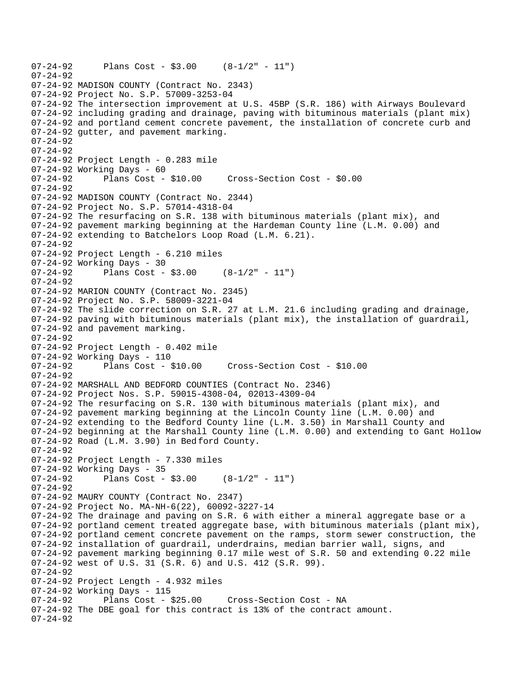```
07-24-92 Plans Cost - $3.00 (8-1/2" - 11") 
07-24-92 
07-24-92 MADISON COUNTY (Contract No. 2343) 
07-24-92 Project No. S.P. 57009-3253-04 
07-24-92 The intersection improvement at U.S. 45BP (S.R. 186) with Airways Boulevard 
07-24-92 including grading and drainage, paving with bituminous materials (plant mix) 
07-24-92 and portland cement concrete pavement, the installation of concrete curb and 
07-24-92 gutter, and pavement marking. 
07-24-92 
07-24-92 
07-24-92 Project Length - 0.283 mile 
07-24-92 Working Days - 60 
07-24-92 Plans Cost - $10.00 Cross-Section Cost - $0.00 
07-24-92 
07-24-92 MADISON COUNTY (Contract No. 2344) 
07-24-92 Project No. S.P. 57014-4318-04 
07-24-92 The resurfacing on S.R. 138 with bituminous materials (plant mix), and 
07-24-92 pavement marking beginning at the Hardeman County line (L.M. 0.00) and 
07-24-92 extending to Batchelors Loop Road (L.M. 6.21). 
07-24-92 
07-24-92 Project Length - 6.210 miles 
07-24-92 Working Days - 30 
07-24-92 Plans Cost - $3.00 (8-1/2" - 11") 
07-24-92 
07-24-92 MARION COUNTY (Contract No. 2345) 
07-24-92 Project No. S.P. 58009-3221-04 
07-24-92 The slide correction on S.R. 27 at L.M. 21.6 including grading and drainage, 
07-24-92 paving with bituminous materials (plant mix), the installation of guardrail, 
07-24-92 and pavement marking. 
07-24-92 
07-24-92 Project Length - 0.402 mile 
07-24-92 Working Days - 110 
                                      07-24-92 Plans Cost - $10.00 Cross-Section Cost - $10.00 
07-24-92 
07-24-92 MARSHALL AND BEDFORD COUNTIES (Contract No. 2346) 
07-24-92 Project Nos. S.P. 59015-4308-04, 02013-4309-04 
07-24-92 The resurfacing on S.R. 130 with bituminous materials (plant mix), and 
07-24-92 pavement marking beginning at the Lincoln County line (L.M. 0.00) and 
07-24-92 extending to the Bedford County line (L.M. 3.50) in Marshall County and 
07-24-92 beginning at the Marshall County line (L.M. 0.00) and extending to Gant Hollow 
07-24-92 Road (L.M. 3.90) in Bed ford County. 
07-24-92 
07-24-92 Project Length - 7.330 miles 
07-24-92 Working Days - 35 
07-24-92 Plans Cost - $3.00 (8-1/2" - 11") 
07-24-92 
07-24-92 MAURY COUNTY (Contract No. 2347) 
07-24-92 Project No. MA-NH-6(22), 60092-3227-14 
07-24-92 The drainage and paving on S.R. 6 with either a mineral aggregate base or a 
07-24-92 portland cement treated aggregate base, with bituminous materials (plant mix), 
07-24-92 portland cement concrete pavement on the ramps, storm sewer construction, the 
07-24-92 installation of guardrail, underdrains, median barrier wall, signs, and 
07-24-92 pavement marking beginning 0.17 mile west of S.R. 50 and extending 0.22 mile 
07-24-92 west of U.S. 31 (S.R. 6) and U.S. 412 (S.R. 99). 
07-24-92 
07-24-92 Project Length - 4.932 miles 
07-24-92 Working Days - 115 
                                      Cross-Section Cost - NA
07-24-92 The DBE goal for this contract is 13% of the contract amount. 
07-24-92
```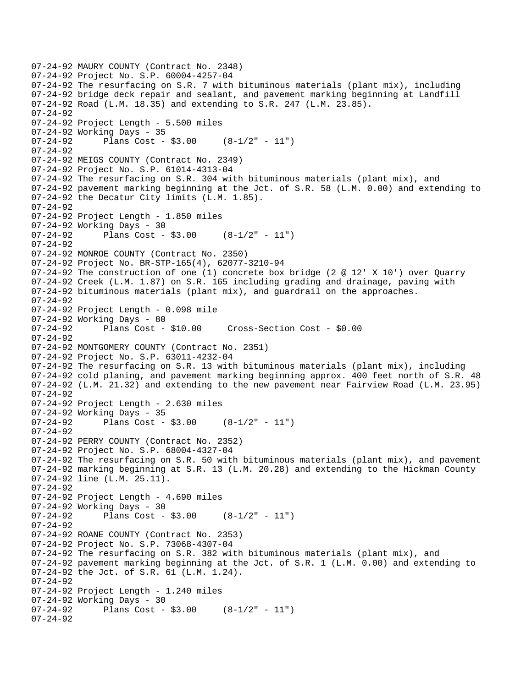```
07-24-92 MAURY COUNTY (Contract No. 2348) 
07-24-92 Project No. S.P. 60004-4257-04 
07-24-92 The resurfacing on S.R. 7 with bituminous materials (plant mix), including 
07-24-92 bridge deck repair and sealant, and pavement marking beginning at Landfill 
07-24-92 Road (L.M. 18.35) and extending to S.R. 247 (L.M. 23.85). 
07-24-92 
07-24-92 Project Length - 5.500 miles 
07-24-92 Working Days - 35 
07-24-92 Plans Cost - $3.00 (8-1/2" - 11") 
07-24-92 
07-24-92 MEIGS COUNTY (Contract No. 2349) 
07-24-92 Project No. S.P. 61014-4313-04 
07-24-92 The resurfacing on S.R. 304 with bituminous materials (plant mix), and 
07-24-92 pavement marking beginning at the Jct. of S.R. 58 (L.M. 0.00) and extending to 
07-24-92 the Decatur City limits (L.M. 1.85). 
07 - 24 - 9207-24-92 Project Length - 1.850 miles 
07-24-92 Working Days - 30 
07-24-92 Plans Cost - $3.00 (8-1/2" - 11")07-24-92 
07-24-92 MONROE COUNTY (Contract No. 2350) 
07-24-92 Project No. BR-STP-165(4), 62077-3210-94 
07-24-92 The construction of one (1) concrete box bridge (2 @ 12' X 10') over Quarry 
07-24-92 Creek (L.M. 1.87) on S.R. 165 including grading and drainage, paving with 
07-24-92 bituminous materials (plant mix), and guardrail on the approaches. 
07-24-92 
07-24-92 Project Length - 0.098 mile 
07-24-92 Working Days - 80 
07-24-92 Plans Cost - $10.00 Cross-Section Cost - $0.00 
07-24-92 
07-24-92 MONTGOMERY COUNTY (Contract No. 2351) 
07-24-92 Project No. S.P. 63011-4232-04 
07-24-92 The resurfacing on S.R. 13 with bituminous materials (plant mix), including 
07-24-92 cold planing, and pavement marking beginning approx. 400 feet north of S.R. 48 
07-24-92 (L.M. 21.32) and extending to the new pavement near Fairview Road (L.M. 23.95) 
07-24-92 
07-24-92 Project Length - 2.630 miles 
07-24-92 Working Days - 35 
07-24-92 Plans Cost - $3.00 (8-1/2" - 11")07-24-92 
07-24-92 PERRY COUNTY (Contract No. 2352) 
07-24-92 Project No. S.P. 68004-4327-04 
07-24-92 The resurfacing on S.R. 50 with bituminous materials (plant mix), and pavement 
07-24-92 marking beginning at S.R. 13 (L.M. 20.28) and extending to the Hickman County 
07-24-92 line (L.M. 25.11). 
07-24-92 
07-24-92 Project Length - 4.690 miles 
07-24-92 Working Days - 30<br>07-24-92 Plans Cost -
              Plans Cost - $3.00 (8-1/2" - 11")
07-24-92 
07-24-92 ROANE COUNTY (Contract No. 2353) 
07-24-92 Project No. S.P. 73068-4307-04 
07-24-92 The resurfacing on S.R. 382 with bituminous materials (plant mix), and 
07-24-92 pavement marking beginning at the Jct. of S.R. 1 (L.M. 0.00) and extending to 
07-24-92 the Jct. of S.R. 61 (L.M. 1.24). 
07-24-92 
07-24-92 Project Length - 1.240 miles 
07-24-92 Working Days - 30<br>07-24-92 Plans Cost -
              Plans Cost - $3.00 (8-1/2" - 11")
07-24-92
```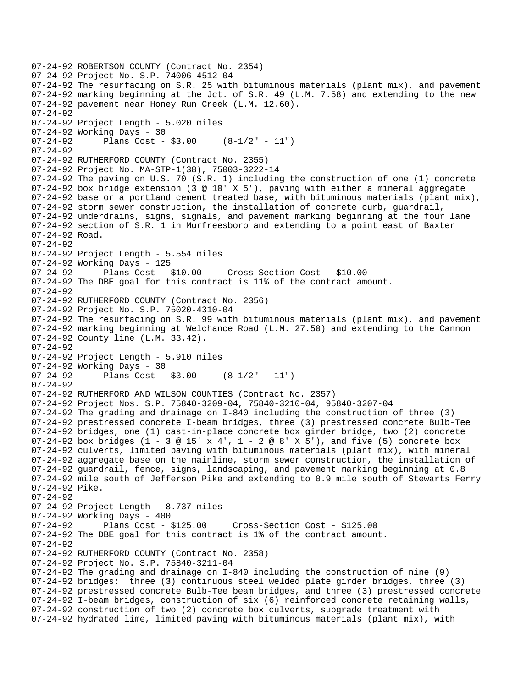```
07-24-92 ROBERTSON COUNTY (Contract No. 2354) 
07-24-92 Project No. S.P. 74006-4512-04 
07-24-92 The resurfacing on S.R. 25 with bituminous materials (plant mix), and pavement 
07-24-92 marking beginning at the Jct. of S.R. 49 (L.M. 7.58) and extending to the new 
07-24-92 pavement near Honey Run Creek (L.M. 12.60). 
07-24-92 
07-24-92 Project Length - 5.020 miles 
07-24-92 Working Days - 30 
07-24-92 Plans Cost - $3.00 (8-1/2" - 11") 
07-24-92 
07-24-92 RUTHERFORD COUNTY (Contract No. 2355) 
07-24-92 Project No. MA-STP-1(38), 75003-3222-14 
07-24-92 The paving on U.S. 70 (S.R. 1) including the construction of one (1) concrete 
07-24-92 box bridge extension (3 @ 10' X 5'), paving with either a mineral aggregate 
07-24-92 base or a portland cement treated base, with bituminous materials (plant mix), 
07-24-92 storm sewer construction, the installation of concrete curb, guardrail, 
07-24-92 underdrains, signs, signals, and pavement marking beginning at the four lane 
07-24-92 section of S.R. 1 in Murfreesboro and extending to a point east of Baxter 
07-24-92 Road. 
07-24-92 
07-24-92 Project Length - 5.554 miles 
07-24-92 Working Days - 125 
07-24-92 Plans Cost - $10.00 Cross-Section Cost - $10.00 
07-24-92 The DBE goal for this contract is 11% of the contract amount. 
07-24-92 
07-24-92 RUTHERFORD COUNTY (Contract No. 2356) 
07-24-92 Project No. S.P. 75020-4310-04 
07-24-92 The resurfacing on S.R. 99 with bituminous materials (plant mix), and pavement 
07-24-92 marking beginning at Welchance Road (L.M. 27.50) and extending to the Cannon 
07-24-92 County line (L.M. 33.42). 
07-24-92 
07-24-92 Project Length - 5.910 miles 
07-24-92 Working Days - 30 
07-24-92 Plans Cost - $3.00 (8-1/2" - 11") 
07-24-92 
07-24-92 RUTHERFORD AND WILSON COUNTIES (Contract No. 2357) 
07-24-92 Project Nos. S.P. 75840-3209-04, 75840-3210-04, 95840-3207-04 
07-24-92 The grading and drainage on I-840 including the construction of three (3) 
07-24-92 prestressed concrete I-beam bridges, three (3) prestressed concrete Bulb-Tee 
07-24-92 bridges, one (1) cast-in-place concrete box girder bridge, two (2) concrete 
07-24-92 box bridges (1 - 3 @ 15' x 4', 1 - 2 @ 8' X 5'), and five (5) concrete box
07-24-92 culverts, limited paving with bituminous materials (plant mix), with mineral 
07-24-92 aggregate base on the mainline, storm sewer construction, the installation of 
07-24-92 guardrail, fence, signs, landscaping, and pavement marking beginning at 0.8 
07-24-92 mile south of Jefferson Pike and extending to 0.9 mile south of Stewarts Ferry 
07-24-92 Pike. 
07-24-92 
07-24-92 Project Length - 8.737 miles
07-24-92 Working Days - 400<br>07-24-92 Plans Cost - $125.00
07-24-92 Plans Cost - $125.00 Cross-Section Cost - $125.00 
07-24-92 The DBE goal for this contract is 1% of the contract amount. 
07-24-92 
07-24-92 RUTHERFORD COUNTY (Contract No. 2358) 
07-24-92 Project No. S.P. 75840-3211-04 
07-24-92 The grading and drainage on I-840 including the construction of nine (9) 
07-24-92 bridges: three (3) continuous steel welded plate girder bridges, three (3) 
07-24-92 prestressed concrete Bulb-Tee beam bridges, and three (3) prestressed concrete 
07-24-92 I-beam bridges, construction of six (6) reinforced concrete retaining walls, 
07-24-92 construction of two (2) concrete box culverts, subgrade treatment with 
07-24-92 hydrated lime, limited paving with bituminous materials (plant mix), with
```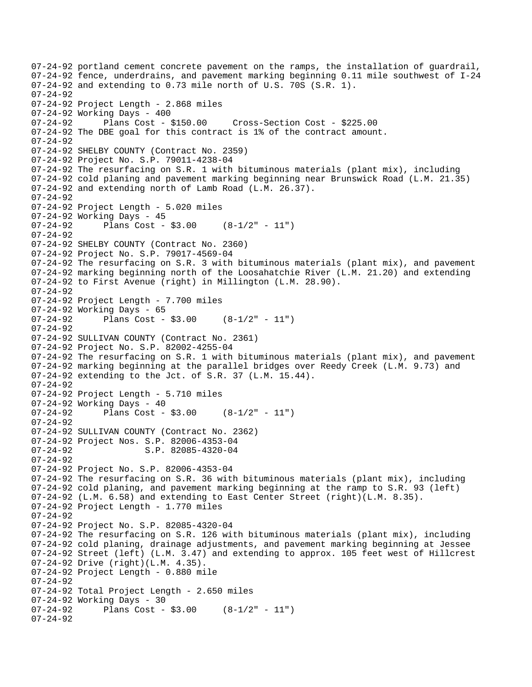```
07-24-92 portland cement concrete pavement on the ramps, the installation of guardrail, 
07-24-92 fence, underdrains, and pavement marking beginning 0.11 mile southwest of I-24 
07-24-92 and extending to 0.73 mile north of U.S. 70S (S.R. 1). 
07-24-92 
07-24-92 Project Length - 2.868 miles 
07-24-92 Working Days - 400<br>07-24-92 Plans Cost - $150.00
07-24-92 Plans Cost - $150.00 Cross-Section Cost - $225.00 
07-24-92 The DBE goal for this contract is 1% of the contract amount. 
07-24-92 
07-24-92 SHELBY COUNTY (Contract No. 2359) 
07-24-92 Project No. S.P. 79011-4238-04 
07-24-92 The resurfacing on S.R. 1 with bituminous materials (plant mix), including 
07-24-92 cold planing and pavement marking beginning near Brunswick Road (L.M. 21.35) 
07-24-92 and extending north of Lamb Road (L.M. 26.37). 
07-24-92 
07-24-92 Project Length - 5.020 miles 
07-24-92 Working Days - 45 
07-24-92 Plans Cost - $3.00 (8-1/2" - 11") 
07-24-92 
07-24-92 SHELBY COUNTY (Contract No. 2360) 
07-24-92 Project No. S.P. 79017-4569-04 
07-24-92 The resurfacing on S.R. 3 with bituminous materials (plant mix), and pavement 
07-24-92 marking beginning north of the Loosahatchie River (L.M. 21.20) and extending 
07-24-92 to First Avenue (right) in Millington (L.M. 28.90). 
07-24-92 
07-24-92 Project Length - 7.700 miles 
07-24-92 Working Days - 65<br>07-24-92 Plans Cost -
              Plans Cost - $3.00 (8-1/2" - 11")
07-24-92 
07-24-92 SULLIVAN COUNTY (Contract No. 2361) 
07-24-92 Project No. S.P. 82002-4255-04 
07-24-92 The resurfacing on S.R. 1 with bituminous materials (plant mix), and pavement 
07-24-92 marking beginning at the parallel bridges over Reedy Creek (L.M. 9.73) and 
07-24-92 extending to the Jct. of S.R. 37 (L.M. 15.44). 
07-24-92 
07-24-92 Project Length - 5.710 miles 
07-24-92 Working Days - 40 
07-24-92 Plans Cost - $3.00 (8-1/2" - 11") 
07-24-92 
07-24-92 SULLIVAN COUNTY (Contract No. 2362) 
07-24-92 Project Nos. S.P. 82006-4353-04 
07-24-92 S.P. 82085-4320-04 
07-24-92 
07-24-92 Project No. S.P. 82006-4353-04 
07-24-92 The resurfacing on S.R. 36 with bituminous materials (plant mix), including 
07-24-92 cold planing, and pavement marking beginning at the ramp to S.R. 93 (left) 
07-24-92 (L.M. 6.58) and extending to East Center Street (right)(L.M. 8.35). 
07-24-92 Project Length - 1.770 miles 
07-24-92 
07-24-92 Project No. S.P. 82085-4320-04 
07-24-92 The resurfacing on S.R. 126 with bituminous materials (plant mix), including 
07-24-92 cold planing, drainage adjustments, and pavement marking beginning at Jessee 
07-24-92 Street (left) (L.M. 3.47) and extending to approx. 105 feet west of Hillcrest 
07-24-92 Drive (right)(L.M. 4.35). 
07-24-92 Project Length - 0.880 mile 
07-24-92 
07-24-92 Total Project Length - 2.650 miles 
07-24-92 Working Days - 30<br>07-24-92 Plans Cost -
             Plans Cost - $3.00 (8-1/2" - 11")
07-24-92
```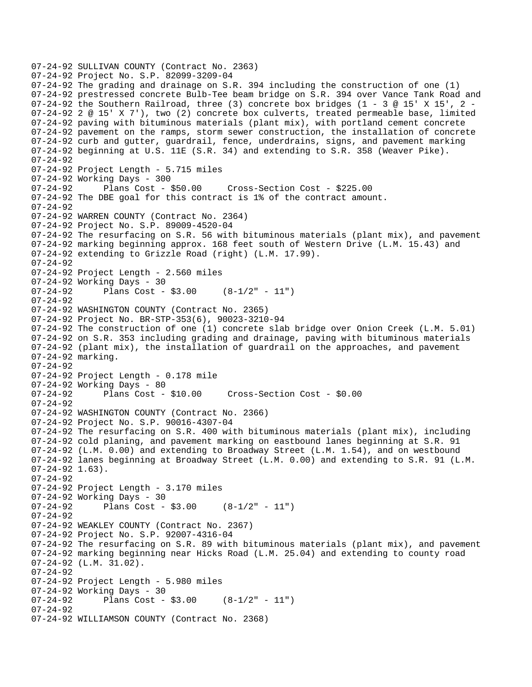```
07-24-92 SULLIVAN COUNTY (Contract No. 2363) 
07-24-92 Project No. S.P. 82099-3209-04 
07-24-92 The grading and drainage on S.R. 394 including the construction of one (1) 
07-24-92 prestressed concrete Bulb-Tee beam bridge on S.R. 394 over Vance Tank Road and 
07-24-92 the Southern Railroad, three (3) concrete box bridges (1 - 3 @ 15' X 15', 2 -
07-24-92 2 @ 15' X 7'), two (2) concrete box culverts, treated permeable base, limited 
07-24-92 paving with bituminous materials (plant mix), with portland cement concrete 
07-24-92 pavement on the ramps, storm sewer construction, the installation of concrete 
07-24-92 curb and gutter, guardrail, fence, underdrains, signs, and pavement marking 
07-24-92 beginning at U.S. 11E (S.R. 34) and extending to S.R. 358 (Weaver Pike). 
07-24-92 
07-24-92 Project Length - 5.715 miles 
07-24-92 Working Days - 300<br>07-24-92 Plans Cost -
              Plans Cost - $50.00 Cross-Section Cost - $225.00
07-24-92 The DBE goal for this contract is 1% of the contract amount. 
07 - 24 - 9207-24-92 WARREN COUNTY (Contract No. 2364) 
07-24-92 Project No. S.P. 89009-4520-04 
07-24-92 The resurfacing on S.R. 56 with bituminous materials (plant mix), and pavement 
07-24-92 marking beginning approx. 168 feet south of Western Drive (L.M. 15.43) and 
07-24-92 extending to Grizzle Road (right) (L.M. 17.99). 
07-24-92 
07-24-92 Project Length - 2.560 miles 
07-24-92 Working Days - 30<br>07-24-92 Plans Cost -
              Plans Cost - $3.00 (8-1/2" - 11")
07 - 24 - 9207-24-92 WASHINGTON COUNTY (Contract No. 2365) 
07-24-92 Project No. BR-STP-353(6), 90023-3210-94 
07-24-92 The construction of one (1) concrete slab bridge over Onion Creek (L.M. 5.01) 
07-24-92 on S.R. 353 including grading and drainage, paving with bituminous materials 
07-24-92 (plant mix), the installation of guardrail on the approaches, and pavement 
07-24-92 marking. 
07-24-92 
07-24-92 Project Length - 0.178 mile 
07-24-92 Working Days - 80 
07-24-92 Plans Cost - $10.00 Cross-Section Cost - $0.00 
07-24-92 
07-24-92 WASHINGTON COUNTY (Contract No. 2366) 
07-24-92 Project No. S.P. 90016-4307-04 
07-24-92 The resurfacing on S.R. 400 with bituminous materials (plant mix), including 
07-24-92 cold planing, and pavement marking on eastbound lanes beginning at S.R. 91 
07-24-92 (L.M. 0.00) and extending to Broadway Street (L.M. 1.54), and on westbound 
07-24-92 lanes beginning at Broadway Street (L.M. 0.00) and extending to S.R. 91 (L.M. 
07-24-92 1.63).
07-24-92 
07-24-92 Project Length - 3.170 miles 
07-24-92 Working Days - 30<br>07-24-92 Plans Cost -
              Plans Cost - $3.00 (8-1/2" - 11")
07-24-92 
07-24-92 WEAKLEY COUNTY (Contract No. 2367) 
07-24-92 Project No. S.P. 92007-4316-04 
07-24-92 The resurfacing on S.R. 89 with bituminous materials (plant mix), and pavement 
07-24-92 marking beginning near Hicks Road (L.M. 25.04) and extending to county road 
07-24-92 (L.M. 31.02). 
07-24-92 
07-24-92 Project Length - 5.980 miles 
07-24-92 Working Days - 30<br>07-24-92 Plans Cost -
              Plans Cost - $3.00 (8-1/2" - 11")
07-24-92 
07-24-92 WILLIAMSON COUNTY (Contract No. 2368)
```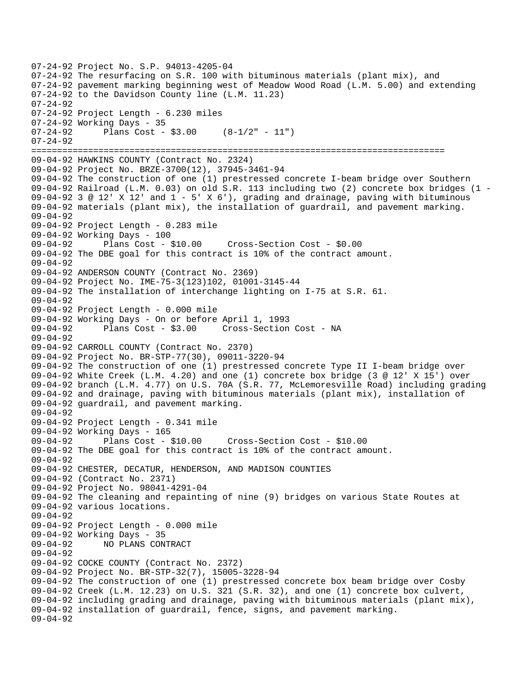```
07-24-92 Project No. S.P. 94013-4205-04 
07-24-92 The resurfacing on S.R. 100 with bituminous materials (plant mix), and 
07-24-92 pavement marking beginning west of Meadow Wood Road (L.M. 5.00) and extending 
07-24-92 to the Davidson County line (L.M. 11.23) 
07-24-92 
07-24-92 Project Length - 6.230 miles 
07-24-92 Working Days - 35 
07-24-92 Plans Cost - $3.00 (8-1/2" - 11")07-24-92 
================================================================================ 
09-04-92 HAWKINS COUNTY (Contract No. 2324) 
09-04-92 Project No. BRZE-3700(12), 37945-3461-94 
09-04-92 The construction of one (1) prestressed concrete I-beam bridge over Southern 
09-04-92 Railroad (L.M. 0.03) on old S.R. 113 including two (2) concrete box bridges (1 
09-04-92 3 @ 12' X 12' and 1 - 5' X 6'), grading and drainage, paving with bituminous
09-04-92 materials (plant mix), the installation of guardrail, and pavement marking. 
09-04-92 
09-04-92 Project Length - 0.283 mile 
09-04-92 Working Days - 100 
09-04-92 Plans Cost - $10.00 Cross-Section Cost - $0.00 
09-04-92 The DBE goal for this contract is 10% of the contract amount. 
09-04-92 
09-04-92 ANDERSON COUNTY (Contract No. 2369) 
09-04-92 Project No. IME-75-3(123)102, 01001-3145-44 
09-04-92 The installation of interchange lighting on I-75 at S.R. 61. 
09-04-92 
09-04-92 Project Length - 0.000 mile 
09-04-92 Working Days - On or before April 1, 1993 
09-04-92 Plans Cost - $3.00 Cross-Section Cost - NA 
09-04-92 
09-04-92 CARROLL COUNTY (Contract No. 2370) 
09-04-92 Project No. BR-STP-77(30), 09011-3220-94 
09-04-92 The construction of one (1) prestressed concrete Type II I-beam bridge over 
09-04-92 White Creek (L.M. 4.20) and one (1) concrete box bridge (3 @ 12' X 15') over 
09-04-92 branch (L.M. 4.77) on U.S. 70A (S.R. 77, McLemoresville Road) including grading 
09-04-92 and drainage, paving with bituminous materials (plant mix), installation of 
09-04-92 guardrail, and pavement marking. 
09-04-92 
09-04-92 Project Length - 0.341 mile 
09-04-92 Working Days - 165 
09-04-92 Plans Cost - $10.00 Cross-Section Cost - $10.00 
09-04-92 The DBE goal for this contract is 10% of the contract amount. 
09-04-92 
09-04-92 CHESTER, DECATUR, HENDERSON, AND MADISON COUNTIES 
09-04-92 (Contract No. 2371) 
09-04-92 Project No. 98041-4291-04 
09-04-92 The cleaning and repainting of nine (9) bridges on various State Routes at 
09-04-92 various locations. 
09-04-92 
09-04-92 Project Length - 0.000 mile 
09-04-92 Working Days - 35 
09-04-92 NO PLANS CONTRACT 
09-04-92 
09-04-92 COCKE COUNTY (Contract No. 2372) 
09-04-92 Project No. BR-STP-32(7), 15005-3228-94 
09-04-92 The construction of one (1) prestressed concrete box beam bridge over Cosby 
09-04-92 Creek (L.M. 12.23) on U.S. 321 (S.R. 32), and one (1) concrete box culvert, 
09-04-92 including grading and drainage, paving with bituminous materials (plant mix), 
09-04-92 installation of guardrail, fence, signs, and pavement marking. 
09-04-92
```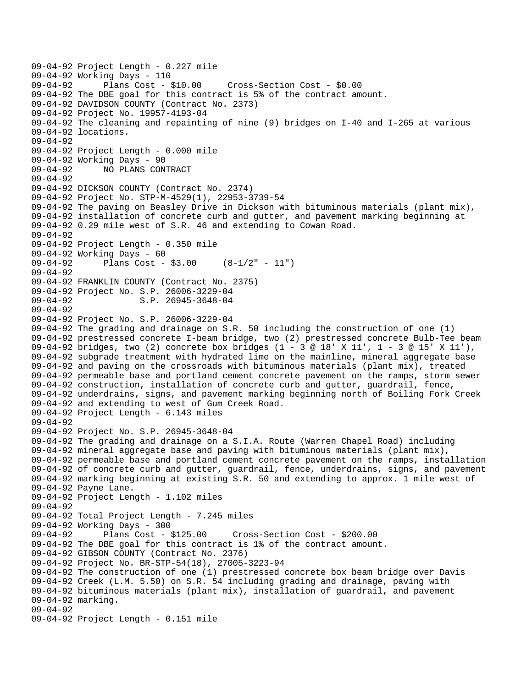```
09-04-92 Project Length - 0.227 mile 
09-04-92 Working Days - 110 
                                      09-04-92 Plans Cost - $10.00 Cross-Section Cost - $0.00 
09-04-92 The DBE goal for this contract is 5% of the contract amount. 
09-04-92 DAVIDSON COUNTY (Contract No. 2373) 
09-04-92 Project No. 19957-4193-04 
09-04-92 The cleaning and repainting of nine (9) bridges on I-40 and I-265 at various 
09-04-92 locations. 
09-04-92 
09-04-92 Project Length - 0.000 mile 
09-04-92 Working Days - 90 
09-04-92 NO PLANS CONTRACT 
09-04-92 
09-04-92 DICKSON COUNTY (Contract No. 2374) 
09-04-92 Project No. STP-M-4529(1), 22953-3739-54 
09-04-92 The paving on Beasley Drive in Dickson with bituminous materials (plant mix), 
09-04-92 installation of concrete curb and gutter, and pavement marking beginning at 
09-04-92 0.29 mile west of S.R. 46 and extending to Cowan Road. 
09-04-92 
09-04-92 Project Length - 0.350 mile 
09-04-92 Working Days - 60 
09-04-92 Plans Cost - $3.00 (8-1/2" - 11") 
09-04-92 
09-04-92 FRANKLIN COUNTY (Contract No. 2375) 
09-04-92 Project No. S.P. 26006-3229-04 
09-04-92 S.P. 26945-3648-04
09-04-92 
09-04-92 Project No. S.P. 26006-3229-04 
09-04-92 The grading and drainage on S.R. 50 including the construction of one (1) 
09-04-92 prestressed concrete I-beam bridge, two (2) prestressed concrete Bulb-Tee beam 
09-04-92 bridges, two (2) concrete box bridges (1 - 3 @ 18' X 11', 1 - 3 @ 15' X 11'), 
09-04-92 subgrade treatment with hydrated lime on the mainline, mineral aggregate base 
09-04-92 and paving on the crossroads with bituminous materials (plant mix), treated 
09-04-92 permeable base and portland cement concrete pavement on the ramps, storm sewer 
09-04-92 construction, installation of concrete curb and gutter, guardrail, fence, 
09-04-92 underdrains, signs, and pavement marking beginning north of Boiling Fork Creek 
09-04-92 and extending to west of Gum Creek Road. 
09-04-92 Project Length - 6.143 miles 
09-04-92 
09-04-92 Project No. S.P. 26945-3648-04 
09-04-92 The grading and drainage on a S.I.A. Route (Warren Chapel Road) including 
09-04-92 mineral aggregate base and paving with bituminous materials (plant mix), 
09-04-92 permeable base and portland cement concrete pavement on the ramps, installation 
09-04-92 of concrete curb and gutter, guardrail, fence, underdrains, signs, and pavement 
09-04-92 marking beginning at existing S.R. 50 and extending to approx. 1 mile west of 
09-04-92 Payne Lane. 
09-04-92 Project Length - 1.102 miles 
09-04-92 
09-04-92 Total Project Length - 7.245 miles 
09-04-92 Working Days - 300 
09-04-92 Plans Cost - $125.00 Cross-Section Cost - $200.00 
09-04-92 The DBE goal for this contract is 1% of the contract amount. 
09-04-92 GIBSON COUNTY (Contract No. 2376) 
09-04-92 Project No. BR-STP-54(18), 27005-3223-94 
09-04-92 The construction of one (1) prestressed concrete box beam bridge over Davis 
09-04-92 Creek (L.M. 5.50) on S.R. 54 including grading and drainage, paving with 
09-04-92 bituminous materials (plant mix), installation of guardrail, and pavement 
09-04-92 marking. 
09-04-92 
09-04-92 Project Length - 0.151 mile
```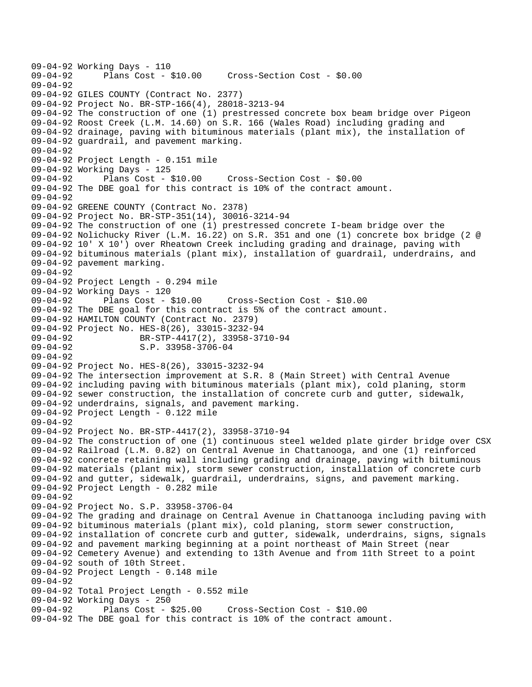```
09-04-92 Working Days - 110<br>09-04-92 Plans Cost -
              Plans Cost - $10.00 Cross-Section Cost - $0.00
09 - 04 - 9209-04-92 GILES COUNTY (Contract No. 2377) 
09-04-92 Project No. BR-STP-166(4), 28018-3213-94 
09-04-92 The construction of one (1) prestressed concrete box beam bridge over Pigeon 
09-04-92 Roost Creek (L.M. 14.60) on S.R. 166 (Wales Road) including grading and 
09-04-92 drainage, paving with bituminous materials (plant mix), the installation of 
09-04-92 guardrail, and pavement marking. 
09-04-92 
09-04-92 Project Length - 0.151 mile 
09-04-92 Working Days - 125 
09-04-92 Plans Cost - $10.00 Cross-Section Cost - $0.00 
09-04-92 The DBE goal for this contract is 10% of the contract amount. 
09-04-92 
09-04-92 GREENE COUNTY (Contract No. 2378) 
09-04-92 Project No. BR-STP-351(14), 30016-3214-94 
09-04-92 The construction of one (1) prestressed concrete I-beam bridge over the 
09-04-92 Nolichucky River (L.M. 16.22) on S.R. 351 and one (1) concrete box bridge (2 @ 
09-04-92 10' X 10') over Rheatown Creek including grading and drainage, paving with 
09-04-92 bituminous materials (plant mix), installation of guardrail, underdrains, and 
09-04-92 pavement marking. 
09-04-92 
09-04-92 Project Length - 0.294 mile 
09-04-92 Working Days - 120 
                                       09-04-92 Plans Cost - $10.00 Cross-Section Cost - $10.00 
09-04-92 The DBE goal for this contract is 5% of the contract amount. 
09-04-92 HAMILTON COUNTY (Contract No. 2379) 
09-04-92 Project No. HES-8(26), 33015-3232-94 
09-04-92 BR-STP-4417(2), 33958-3710-94 
09-04-92 S.P. 33958-3706-04
09-04-92 
09-04-92 Project No. HES-8(26), 33015-3232-94 
09-04-92 The intersection improvement at S.R. 8 (Main Street) with Central Avenue 
09-04-92 including paving with bituminous materials (plant mix), cold planing, storm 
09-04-92 sewer construction, the installation of concrete curb and gutter, sidewalk, 
09-04-92 underdrains, signals, and pavement marking. 
09-04-92 Project Length - 0.122 mile 
09-04-92 
09-04-92 Project No. BR-STP-4417(2), 33958-3710-94 
09-04-92 The construction of one (1) continuous steel welded plate girder bridge over CSX 
09-04-92 Railroad (L.M. 0.82) on Central Avenue in Chattanooga, and one (1) reinforced 
09-04-92 concrete retaining wall including grading and drainage, paving with bituminous 
09-04-92 materials (plant mix), storm sewer construction, installation of concrete curb 
09-04-92 and gutter, sidewalk, guardrail, underdrains, signs, and pavement marking. 
09-04-92 Project Length - 0.282 mile 
09-04-92 
09-04-92 Project No. S.P. 33958-3706-04 
09-04-92 The grading and drainage on Central Avenue in Chattanooga including paving with 
09-04-92 bituminous materials (plant mix), cold planing, storm sewer construction, 
09-04-92 installation of concrete curb and gutter, sidewalk, underdrains, signs, signals 
09-04-92 and pavement marking beginning at a point northeast of Main Street (near 
09-04-92 Cemetery Avenue) and extending to 13th Avenue and from 11th Street to a point 
09-04-92 south of 10th Street. 
09-04-92 Project Length - 0.148 mile 
09-04-92 
09-04-92 Total Project Length - 0.552 mile 
09-04-92 Working Days - 250 
                                       09-04-92 Plans Cost - $25.00 Cross-Section Cost - $10.00 
09-04-92 The DBE goal for this contract is 10% of the contract amount.
```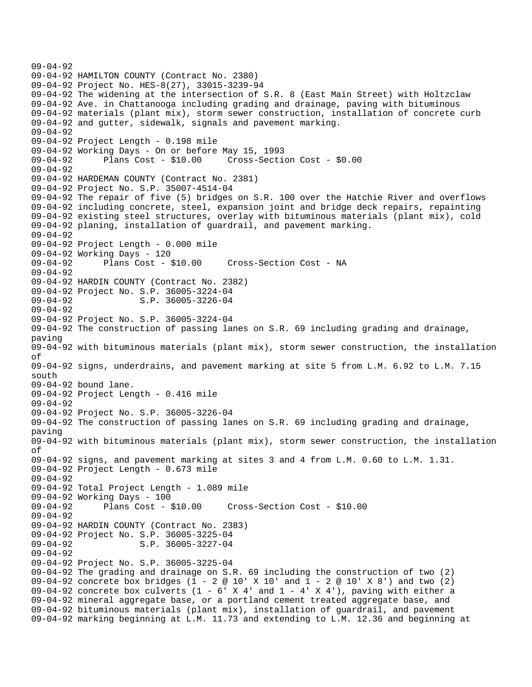09-04-92 09-04-92 HAMILTON COUNTY (Contract No. 2380) 09-04-92 Project No. HES-8(27), 33015-3239-94 09-04-92 The widening at the intersection of S.R. 8 (East Main Street) with Holtzclaw 09-04-92 Ave. in Chattanooga including grading and drainage, paving with bituminous 09-04-92 materials (plant mix), storm sewer construction, installation of concrete curb 09-04-92 and gutter, sidewalk, signals and pavement marking. 09-04-92 09-04-92 Project Length - 0.198 mile 09-04-92 Working Days - On or before May 15, 1993 09-04-92 Plans Cost - \$10.00 Cross-Section Cost - \$0.00 09-04-92 09-04-92 HARDEMAN COUNTY (Contract No. 2381) 09-04-92 Project No. S.P. 35007-4514-04 09-04-92 The repair of five (5) bridges on S.R. 100 over the Hatchie River and overflows 09-04-92 including concrete, steel, expansion joint and bridge deck repairs, repainting 09-04-92 existing steel structures, overlay with bituminous materials (plant mix), cold 09-04-92 planing, installation of guardrail, and pavement marking. 09-04-92 09-04-92 Project Length - 0.000 mile 09-04-92 Working Days - 120 09-04-92 Plans Cost - \$10.00 Cross-Section Cost - NA 09-04-92 09-04-92 HARDIN COUNTY (Contract No. 2382) 09-04-92 Project No. S.P. 36005-3224-04 09-04-92 S.P. 36005-3226-04 09-04-92 09-04-92 Project No. S.P. 36005-3224-04 09-04-92 The construction of passing lanes on S.R. 69 including grading and drainage, paving 09-04-92 with bituminous materials (plant mix), storm sewer construction, the installation of 09-04-92 signs, underdrains, and pavement marking at site 5 from L.M. 6.92 to L.M. 7.15 south 09-04-92 bound lane. 09-04-92 Project Length - 0.416 mile 09-04-92 09-04-92 Project No. S.P. 36005-3226-04 09-04-92 The construction of passing lanes on S.R. 69 including grading and drainage, paving 09-04-92 with bituminous materials (plant mix), storm sewer construction, the installation of 09-04-92 signs, and pavement marking at sites 3 and 4 from L.M. 0.60 to L.M. 1.31. 09-04-92 Project Length - 0.673 mile 09-04-92 09-04-92 Total Project Length - 1.089 mile 09-04-92 Working Days - 100 09-04-92 Plans Cost - \$10.00 Cross-Section Cost - \$10.00 09-04-92 09-04-92 HARDIN COUNTY (Contract No. 2383) 09-04-92 Project No. S.P. 36005-3225-04 09-04-92 S.P. 36005-3227-04 09-04-92 09-04-92 Project No. S.P. 36005-3225-04 09-04-92 The grading and drainage on S.R. 69 including the construction of two (2) 09-04-92 concrete box bridges (1 - 2 @ 10' X 10' and 1 - 2 @ 10' X 8') and two (2) 09-04-92 concrete box culverts  $(1 - 6'$  X 4' and  $1 - 4'$  X 4'), paving with either a 09-04-92 mineral aggregate base, or a portland cement treated aggregate base, and 09-04-92 bituminous materials (plant mix), installation of guardrail, and pavement 09-04-92 marking beginning at L.M. 11.73 and extending to L.M. 12.36 and beginning at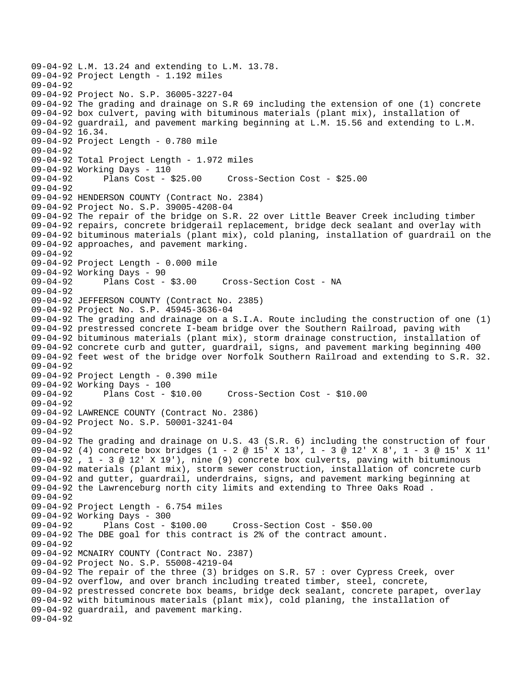09-04-92 L.M. 13.24 and extending to L.M. 13.78. 09-04-92 Project Length - 1.192 miles  $09 - 04 - 92$ 09-04-92 Project No. S.P. 36005-3227-04 09-04-92 The grading and drainage on S.R 69 including the extension of one (1) concrete 09-04-92 box culvert, paving with bituminous materials (plant mix), installation of 09-04-92 guardrail, and pavement marking beginning at L.M. 15.56 and extending to L.M. 09-04-92 16.34. 09-04-92 Project Length - 0.780 mile 09-04-92 09-04-92 Total Project Length - 1.972 miles 09-04-92 Working Days - 110 09-04-92 Plans Cost - \$25.00 Cross-Section Cost - \$25.00 09-04-92 09-04-92 HENDERSON COUNTY (Contract No. 2384) 09-04-92 Project No. S.P. 39005-4208-04 09-04-92 The repair of the bridge on S.R. 22 over Little Beaver Creek including timber 09-04-92 repairs, concrete bridgerail replacement, bridge deck sealant and overlay with 09-04-92 bituminous materials (plant mix), cold planing, installation of guardrail on the 09-04-92 approaches, and pavement marking. 09-04-92 09-04-92 Project Length - 0.000 mile 09-04-92 Working Days - 90 09-04-92 Plans Cost - \$3.00 Cross-Section Cost - NA 09-04-92 09-04-92 JEFFERSON COUNTY (Contract No. 2385) 09-04-92 Project No. S.P. 45945-3636-04 09-04-92 The grading and drainage on a S.I.A. Route including the construction of one (1) 09-04-92 prestressed concrete I-beam bridge over the Southern Railroad, paving with 09-04-92 bituminous materials (plant mix), storm drainage construction, installation of 09-04-92 concrete curb and gutter, guardrail, signs, and pavement marking beginning 400 09-04-92 feet west of the bridge over Norfolk Southern Railroad and extending to S.R. 32. 09-04-92 09-04-92 Project Length - 0.390 mile 09-04-92 Working Days - 100 09-04-92 Plans Cost - \$10.00 Cross-Section Cost - \$10.00  $09 - 04 - 92$ 09-04-92 LAWRENCE COUNTY (Contract No. 2386) 09-04-92 Project No. S.P. 50001-3241-04 09-04-92 09-04-92 The grading and drainage on U.S. 43 (S.R. 6) including the construction of four 09-04-92 (4) concrete box bridges (1 - 2 @ 15' X 13', 1 - 3 @ 12' X 8', 1 - 3 @ 15' X 11' 09-04-92 , 1 - 3 @ 12' X 19'), nine (9) concrete box culverts, paving with bituminous 09-04-92 materials (plant mix), storm sewer construction, installation of concrete curb 09-04-92 and gutter, guardrail, underdrains, signs, and pavement marking beginning at 09-04-92 the Lawrenceburg north city limits and extending to Three Oaks Road . 09-04-92 09-04-92 Project Length - 6.754 miles 09-04-92 Working Days - 300<br>09-04-92 Plans Cost - \$100.00 09-04-92 Plans Cost - \$100.00 Cross-Section Cost - \$50.00 09-04-92 The DBE goal for this contract is 2% of the contract amount. 09-04-92 09-04-92 MCNAIRY COUNTY (Contract No. 2387) 09-04-92 Project No. S.P. 55008-4219-04 09-04-92 The repair of the three (3) bridges on S.R. 57 : over Cypress Creek, over 09-04-92 overflow, and over branch including treated timber, steel, concrete, 09-04-92 prestressed concrete box beams, bridge deck sealant, concrete parapet, overlay 09-04-92 with bituminous materials (plant mix), cold planing, the installation of 09-04-92 guardrail, and pavement marking. 09-04-92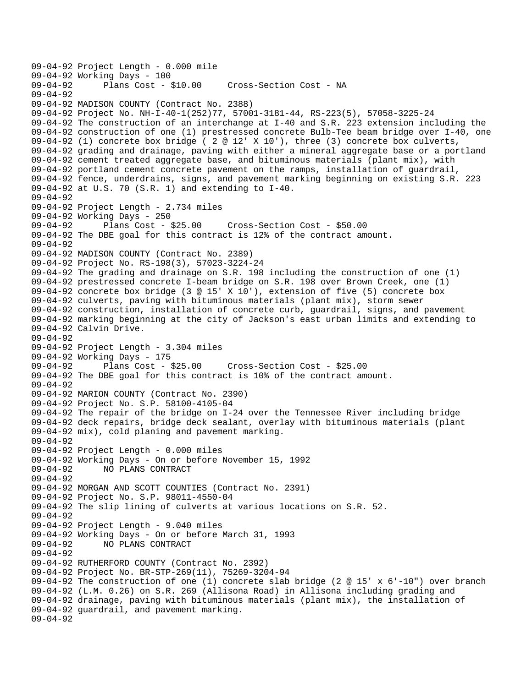09-04-92 Project Length - 0.000 mile 09-04-92 Working Days - 100<br>09-04-92 Plans Cost - \$10.00 Cross-Section Cost - NA 09-04-92 09-04-92 MADISON COUNTY (Contract No. 2388) 09-04-92 Project No. NH-I-40-1(252)77, 57001-3181-44, RS-223(5), 57058-3225-24 09-04-92 The construction of an interchange at I-40 and S.R. 223 extension including the 09-04-92 construction of one (1) prestressed concrete Bulb-Tee beam bridge over I-40, one 09-04-92 (1) concrete box bridge ( 2  $\textcircled{ }12 \text{ }$  X 10'), three (3) concrete box culverts, 09-04-92 grading and drainage, paving with either a mineral aggregate base or a portland 09-04-92 cement treated aggregate base, and bituminous materials (plant mix), with 09-04-92 portland cement concrete pavement on the ramps, installation of guardrail, 09-04-92 fence, underdrains, signs, and pavement marking beginning on existing S.R. 223 09-04-92 at U.S. 70 (S.R. 1) and extending to I-40.  $09 - 04 - 92$ 09-04-92 Project Length - 2.734 miles 09-04-92 Working Days - 250 09-04-92 Plans Cost - \$25.00 Cross-Section Cost - \$50.00 09-04-92 The DBE goal for this contract is 12% of the contract amount. 09-04-92 09-04-92 MADISON COUNTY (Contract No. 2389) 09-04-92 Project No. RS-198(3), 57023-3224-24 09-04-92 The grading and drainage on S.R. 198 including the construction of one (1) 09-04-92 prestressed concrete I-beam bridge on S.R. 198 over Brown Creek, one (1) 09-04-92 concrete box bridge (3 @ 15' X 10'), extension of five (5) concrete box 09-04-92 culverts, paving with bituminous materials (plant mix), storm sewer 09-04-92 construction, installation of concrete curb, guardrail, signs, and pavement 09-04-92 marking beginning at the city of Jackson's east urban limits and extending to 09-04-92 Calvin Drive. 09-04-92 09-04-92 Project Length - 3.304 miles 09-04-92 Working Days - 175 09-04-92 Plans Cost - \$25.00 Cross-Section Cost - \$25.00 09-04-92 The DBE goal for this contract is 10% of the contract amount. 09-04-92 09-04-92 MARION COUNTY (Contract No. 2390) 09-04-92 Project No. S.P. 58100-4105-04 09-04-92 The repair of the bridge on I-24 over the Tennessee River including bridge 09-04-92 deck repairs, bridge deck sealant, overlay with bituminous materials (plant 09-04-92 mix), cold planing and pavement marking. 09-04-92 09-04-92 Project Length - 0.000 miles 09-04-92 Working Days - On or before November 15, 1992 09-04-92 NO PLANS CONTRACT 09-04-92 09-04-92 MORGAN AND SCOTT COUNTIES (Contract No. 2391) 09-04-92 Project No. S.P. 98011-4550-04 09-04-92 The slip lining of culverts at various locations on S.R. 52. 09-04-92 09-04-92 Project Length - 9.040 miles 09-04-92 Working Days - On or before March 31, 1993 09-04-92 NO PLANS CONTRACT 09-04-92 09-04-92 RUTHERFORD COUNTY (Contract No. 2392) 09-04-92 Project No. BR-STP-269(11), 75269-3204-94 09-04-92 The construction of one (1) concrete slab bridge (2 @ 15' x 6'-10") over branch 09-04-92 (L.M. 0.26) on S.R. 269 (Allisona Road) in Allisona including grading and 09-04-92 drainage, paving with bituminous materials (plant mix), the installation of 09-04-92 guardrail, and pavement marking. 09-04-92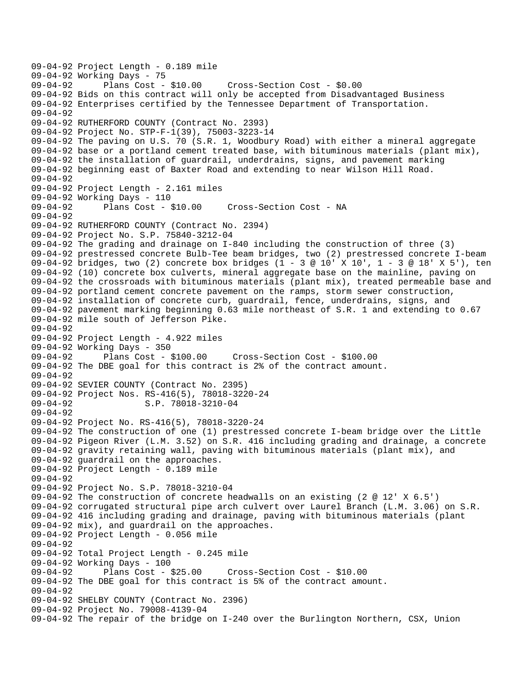09-04-92 Project Length - 0.189 mile 09-04-92 Working Days - 75 09-04-92 Plans Cost - \$10.00 Cross-Section Cost - \$0.00 09-04-92 Bids on this contract will only be accepted from Disadvantaged Business 09-04-92 Enterprises certified by the Tennessee Department of Transportation. 09-04-92 09-04-92 RUTHERFORD COUNTY (Contract No. 2393) 09-04-92 Project No. STP-F-1(39), 75003-3223-14 09-04-92 The paving on U.S. 70 (S.R. 1, Woodbury Road) with either a mineral aggregate 09-04-92 base or a portland cement treated base, with bituminous materials (plant mix), 09-04-92 the installation of guardrail, underdrains, signs, and pavement marking 09-04-92 beginning east of Baxter Road and extending to near Wilson Hill Road. 09-04-92 09-04-92 Project Length - 2.161 miles 09-04-92 Working Days - 110 Cross-Section Cost - NA 09-04-92 09-04-92 RUTHERFORD COUNTY (Contract No. 2394) 09-04-92 Project No. S.P. 75840-3212-04 09-04-92 The grading and drainage on I-840 including the construction of three (3) 09-04-92 prestressed concrete Bulb-Tee beam bridges, two (2) prestressed concrete I-beam 09-04-92 bridges, two (2) concrete box bridges (1 - 3 @ 10' X 10', 1 - 3 @ 18' X 5'), ten 09-04-92 (10) concrete box culverts, mineral aggregate base on the mainline, paving on 09-04-92 the crossroads with bituminous materials (plant mix), treated permeable base and 09-04-92 portland cement concrete pavement on the ramps, storm sewer construction, 09-04-92 installation of concrete curb, guardrail, fence, underdrains, signs, and 09-04-92 pavement marking beginning 0.63 mile northeast of S.R. 1 and extending to 0.67 09-04-92 mile south of Jefferson Pike. 09-04-92 09-04-92 Project Length - 4.922 miles 09-04-92 Working Days - 350 09-04-92 Plans Cost - \$100.00 Cross-Section Cost - \$100.00 09-04-92 The DBE goal for this contract is 2% of the contract amount. 09-04-92 09-04-92 SEVIER COUNTY (Contract No. 2395) 09-04-92 Project Nos. RS-416(5), 78018-3220-24<br>09-04-92 5.P. 78018-3210-04 S.P. 78018-3210-04 09-04-92 09-04-92 Project No. RS-416(5), 78018-3220-24 09-04-92 The construction of one (1) prestressed concrete I-beam bridge over the Little 09-04-92 Pigeon River (L.M. 3.52) on S.R. 416 including grading and drainage, a concrete 09-04-92 gravity retaining wall, paving with bituminous materials (plant mix), and 09-04-92 guardrail on the approaches. 09-04-92 Project Length - 0.189 mile 09-04-92 09-04-92 Project No. S.P. 78018-3210-04 09-04-92 The construction of concrete headwalls on an existing (2 @ 12' X 6.5') 09-04-92 corrugated structural pipe arch culvert over Laurel Branch (L.M. 3.06) on S.R. 09-04-92 416 including grading and drainage, paving with bituminous materials (plant 09-04-92 mix), and guardrail on the approaches. 09-04-92 Project Length - 0.056 mile 09-04-92 09-04-92 Total Project Length - 0.245 mile 09-04-92 Working Days - 100 09-04-92 Plans Cost - \$25.00 Cross-Section Cost - \$10.00 09-04-92 The DBE goal for this contract is 5% of the contract amount. 09-04-92 09-04-92 SHELBY COUNTY (Contract No. 2396) 09-04-92 Project No. 79008-4139-04 09-04-92 The repair of the bridge on I-240 over the Burlington Northern, CSX, Union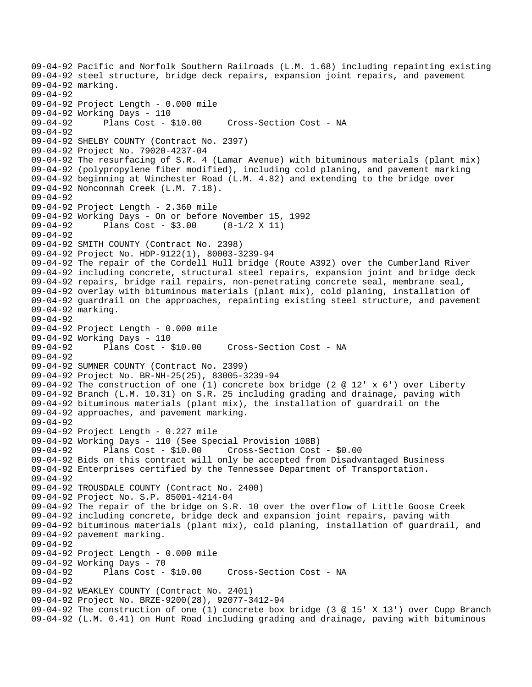```
09-04-92 Pacific and Norfolk Southern Railroads (L.M. 1.68) including repainting existing 
09-04-92 steel structure, bridge deck repairs, expansion joint repairs, and pavement 
09-04-92 marking. 
09-04-92 
09-04-92 Project Length - 0.000 mile 
09-04-92 Working Days - 110<br>09-04-92 Plans Cost - $10.00
09-04-92 Plans Cost - $10.00 Cross-Section Cost - NA 
09-04-92 
09-04-92 SHELBY COUNTY (Contract No. 2397) 
09-04-92 Project No. 79020-4237-04 
09-04-92 The resurfacing of S.R. 4 (Lamar Avenue) with bituminous materials (plant mix) 
09-04-92 (polypropylene fiber modified), including cold planing, and pavement marking 
09-04-92 beginning at Winchester Road (L.M. 4.82) and extending to the bridge over 
09-04-92 Nonconnah Creek (L.M. 7.18). 
09-04-92 
09-04-92 Project Length - 2.360 mile 
09-04-92 Working Days - On or before November 15, 1992 
09-04-92 Plans Cost - $3.00 (8-1/2 X 11) 
09-04-92 
09-04-92 SMITH COUNTY (Contract No. 2398) 
09-04-92 Project No. HDP-9122(1), 80003-3239-94 
09-04-92 The repair of the Cordell Hull bridge (Route A392) over the Cumberland River 
09-04-92 including concrete, structural steel repairs, expansion joint and bridge deck 
09-04-92 repairs, bridge rail repairs, non-penetrating concrete seal, membrane seal, 
09-04-92 overlay with bituminous materials (plant mix), cold planing, installation of 
09-04-92 guardrail on the approaches, repainting existing steel structure, and pavement 
09-04-92 marking. 
09-04-92 
09-04-92 Project Length - 0.000 mile 
09-04-92 Working Days - 110 
09-04-92 Plans Cost - $10.00 Cross-Section Cost - NA 
09-04-92 
09-04-92 SUMNER COUNTY (Contract No. 2399) 
09-04-92 Project No. BR-NH-25(25), 83005-3239-94 
09-04-92 The construction of one (1) concrete box bridge (2 @ 12' x 6') over Liberty 
09-04-92 Branch (L.M. 10.31) on S.R. 25 including grading and drainage, paving with 
09-04-92 bituminous materials (plant mix), the installation of guardrail on the 
09-04-92 approaches, and pavement marking. 
09-04-92 
09-04-92 Project Length - 0.227 mile 
09-04-92 Working Days - 110 (See Special Provision 108B) 
09-04-92 Plans Cost - $10.00 Cross-Section Cost - $0.00 
09-04-92 Bids on this contract will only be accepted from Disadvantaged Business 
09-04-92 Enterprises certified by the Tennessee Department of Transportation. 
09-04-92 
09-04-92 TROUSDALE COUNTY (Contract No. 2400) 
09-04-92 Project No. S.P. 85001-4214-04 
09-04-92 The repair of the bridge on S.R. 10 over the overflow of Little Goose Creek 
09-04-92 including concrete, bridge deck and expansion joint repairs, paving with 
09-04-92 bituminous materials (plant mix), cold planing, installation of guardrail, and 
09-04-92 pavement marking. 
09-04-92 
09-04-92 Project Length - 0.000 mile 
09-04-92 Working Days - 70<br>09-04-92 Plans Cost - $10.00
                                       Cross-Section Cost - NA
09-04-92 
09-04-92 WEAKLEY COUNTY (Contract No. 2401) 
09-04-92 Project No. BRZE-9200(28), 92077-3412-94 
09-04-92 The construction of one (1) concrete box bridge (3 @ 15' X 13') over Cupp Branch 
09-04-92 (L.M. 0.41) on Hunt Road including grading and drainage, paving with bituminous
```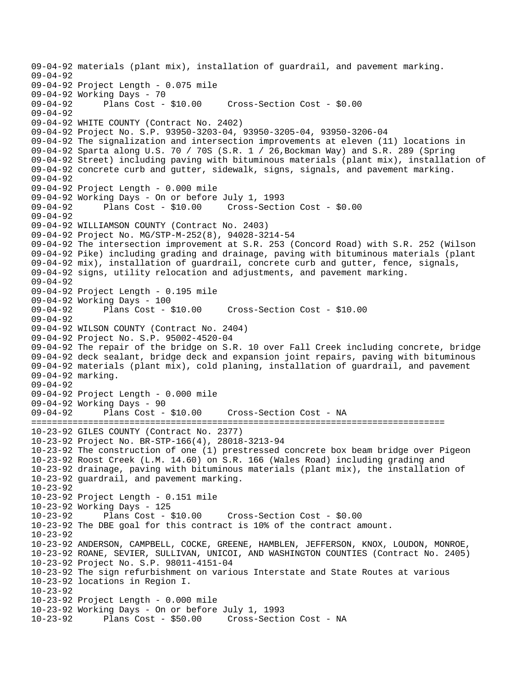09-04-92 materials (plant mix), installation of guardrail, and pavement marking. 09-04-92 09-04-92 Project Length - 0.075 mile 09-04-92 Working Days - 70<br>09-04-92 Plans Cost - \$10.00 09-04-92 Plans Cost - \$10.00 Cross-Section Cost - \$0.00 09-04-92 09-04-92 WHITE COUNTY (Contract No. 2402) 09-04-92 Project No. S.P. 93950-3203-04, 93950-3205-04, 93950-3206-04 09-04-92 The signalization and intersection improvements at eleven (11) locations in 09-04-92 Sparta along U.S. 70 / 70S (S.R. 1 / 26,Bockman Way) and S.R. 289 (Spring 09-04-92 Street) including paving with bituminous materials (plant mix), installation of 09-04-92 concrete curb and gutter, sidewalk, signs, signals, and pavement marking. 09-04-92 09-04-92 Project Length - 0.000 mile 09-04-92 Working Days - On or before July 1, 1993 09-04-92 Plans Cost - \$10.00 Cross-Section Cost - \$0.00 09-04-92 09-04-92 WILLIAMSON COUNTY (Contract No. 2403) 09-04-92 Project No. MG/STP-M-252(8), 94028-3214-54 09-04-92 The intersection improvement at S.R. 253 (Concord Road) with S.R. 252 (Wilson 09-04-92 Pike) including grading and drainage, paving with bituminous materials (plant 09-04-92 mix), installation of guardrail, concrete curb and gutter, fence, signals, 09-04-92 signs, utility relocation and adjustments, and pavement marking. 09-04-92 09-04-92 Project Length - 0.195 mile 09-04-92 Working Days - 100 09-04-92 Plans Cost - \$10.00 Cross-Section Cost - \$10.00 09-04-92 09-04-92 WILSON COUNTY (Contract No. 2404) 09-04-92 Project No. S.P. 95002-4520-04 09-04-92 The repair of the bridge on S.R. 10 over Fall Creek including concrete, bridge 09-04-92 deck sealant, bridge deck and expansion joint repairs, paving with bituminous 09-04-92 materials (plant mix), cold planing, installation of guardrail, and pavement 09-04-92 marking. 09-04-92 09-04-92 Project Length - 0.000 mile 09-04-92 Working Days - 90 09-04-92 Plans Cost - \$10.00 Cross-Section Cost - NA ================================================================================ 10-23-92 GILES COUNTY (Contract No. 2377) 10-23-92 Project No. BR-STP-166(4), 28018-3213-94 10-23-92 The construction of one (1) prestressed concrete box beam bridge over Pigeon 10-23-92 Roost Creek (L.M. 14.60) on S.R. 166 (Wales Road) including grading and 10-23-92 drainage, paving with bituminous materials (plant mix), the installation of 10-23-92 guardrail, and pavement marking. 10-23-92 10-23-92 Project Length - 0.151 mile 10-23-92 Working Days - 125 10-23-92 Plans Cost - \$10.00 Cross-Section Cost - \$0.00 10-23-92 The DBE goal for this contract is 10% of the contract amount. 10-23-92 10-23-92 ANDERSON, CAMPBELL, COCKE, GREENE, HAMBLEN, JEFFERSON, KNOX, LOUDON, MONROE, 10-23-92 ROANE, SEVIER, SULLIVAN, UNICOI, AND WASHINGTON COUNTIES (Contract No. 2405) 10-23-92 Project No. S.P. 98011-4151-04 10-23-92 The sign refurbishment on various Interstate and State Routes at various 10-23-92 locations in Region I. 10-23-92 10-23-92 Project Length - 0.000 mile 10-23-92 Working Days - On or before July 1, 1993 10-23-92 Plans Cost - \$50.00 Cross-Section Cost - NA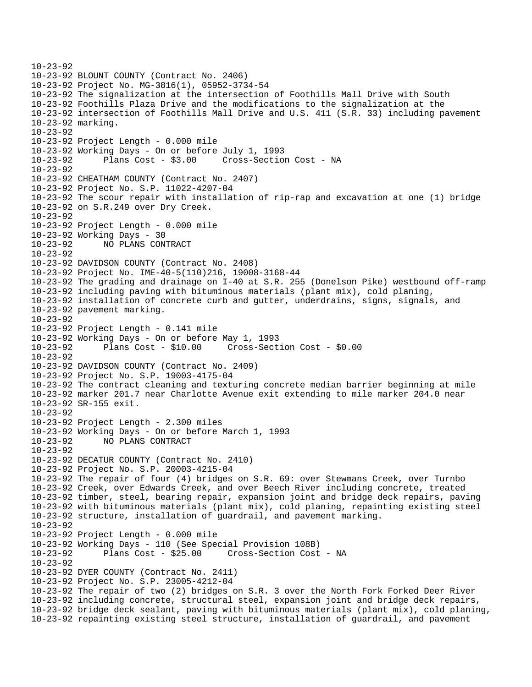10-23-92 10-23-92 BLOUNT COUNTY (Contract No. 2406) 10-23-92 Project No. MG-3816(1), 05952-3734-54 10-23-92 The signalization at the intersection of Foothills Mall Drive with South 10-23-92 Foothills Plaza Drive and the modifications to the signalization at the 10-23-92 intersection of Foothills Mall Drive and U.S. 411 (S.R. 33) including pavement 10-23-92 marking. 10-23-92 10-23-92 Project Length - 0.000 mile 10-23-92 Working Days - On or before July 1, 1993 10-23-92 Plans Cost - \$3.00 Cross-Section Cost - NA 10-23-92 10-23-92 CHEATHAM COUNTY (Contract No. 2407) 10-23-92 Project No. S.P. 11022-4207-04 10-23-92 The scour repair with installation of rip-rap and excavation at one (1) bridge 10-23-92 on S.R.249 over Dry Creek. 10-23-92 10-23-92 Project Length - 0.000 mile 10-23-92 Working Days - 30 10-23-92 NO PLANS CONTRACT 10-23-92 10-23-92 DAVIDSON COUNTY (Contract No. 2408) 10-23-92 Project No. IME-40-5(110)216, 19008-3168-44 10-23-92 The grading and drainage on I-40 at S.R. 255 (Donelson Pike) westbound off-ramp 10-23-92 including paving with bituminous materials (plant mix), cold planing, 10-23-92 installation of concrete curb and gutter, underdrains, signs, signals, and 10-23-92 pavement marking. 10-23-92 10-23-92 Project Length - 0.141 mile 10-23-92 Working Days - On or before May 1, 1993 10-23-92 Plans Cost - \$10.00 Cross-Section Cost - \$0.00 10-23-92 10-23-92 DAVIDSON COUNTY (Contract No. 2409) 10-23-92 Project No. S.P. 19003-4175-04 10-23-92 The contract cleaning and texturing concrete median barrier beginning at mile 10-23-92 marker 201.7 near Charlotte Avenue exit extending to mile marker 204.0 near 10-23-92 SR-155 exit. 10-23-92 10-23-92 Project Length - 2.300 miles 10-23-92 Working Days - On or before March 1, 1993 10-23-92 NO PLANS CONTRACT 10-23-92 10-23-92 DECATUR COUNTY (Contract No. 2410) 10-23-92 Project No. S.P. 20003-4215-04 10-23-92 The repair of four (4) bridges on S.R. 69: over Stewmans Creek, over Turnbo 10-23-92 Creek, over Edwards Creek, and over Beech River including concrete, treated 10-23-92 timber, steel, bearing repair, expansion joint and bridge deck repairs, paving 10-23-92 with bituminous materials (plant mix), cold planing, repainting existing steel 10-23-92 structure, installation of guardrail, and pavement marking. 10-23-92 10-23-92 Project Length - 0.000 mile 10-23-92 Working Days - 110 (See Special Provision 108B) 10-23-92 Plans Cost - \$25.00 Cross-Section Cost - NA 10-23-92 10-23-92 DYER COUNTY (Contract No. 2411) 10-23-92 Project No. S.P. 23005-4212-04 10-23-92 The repair of two (2) bridges on S.R. 3 over the North Fork Forked Deer River 10-23-92 including concrete, structural steel, expansion joint and bridge deck repairs, 10-23-92 bridge deck sealant, paving with bituminous materials (plant mix), cold planing, 10-23-92 repainting existing steel structure, installation of guardrail, and pavement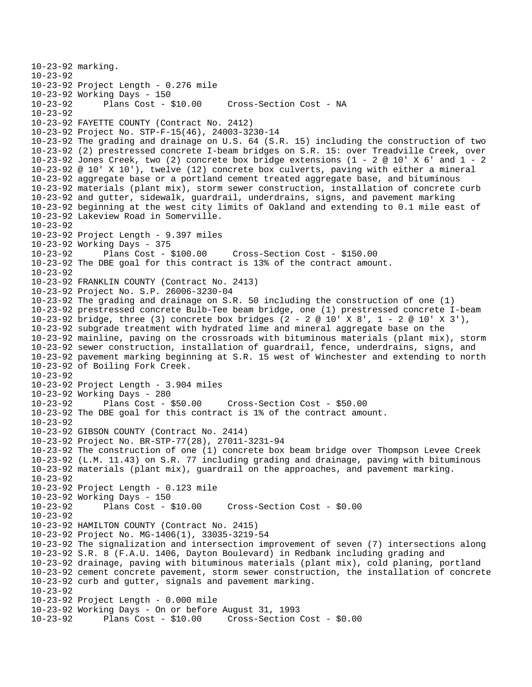```
10-23-92 marking. 
10-23-92 
10-23-92 Project Length - 0.276 mile 
10-23-92 Working Days - 150 
                                      Cross-Section Cost - NA
10-23-92 
10-23-92 FAYETTE COUNTY (Contract No. 2412) 
10-23-92 Project No. STP-F-15(46), 24003-3230-14 
10-23-92 The grading and drainage on U.S. 64 (S.R. 15) including the construction of two 
10-23-92 (2) prestressed concrete I-beam bridges on S.R. 15: over Treadville Creek, over 
10-23-92 Jones Creek, two (2) concrete box bridge extensions (1 - 2 @ 10' X 6' and 1 - 2
10-23-92 @ 10' X 10'), twelve (12) concrete box culverts, paving with either a mineral 
10-23-92 aggregate base or a portland cement treated aggregate base, and bituminous 
10-23-92 materials (plant mix), storm sewer construction, installation of concrete curb 
10-23-92 and gutter, sidewalk, guardrail, underdrains, signs, and pavement marking 
10-23-92 beginning at the west city limits of Oakland and extending to 0.1 mile east of 
10-23-92 Lakeview Road in Somerville. 
10-23-92 
10-23-92 Project Length - 9.397 miles 
10-23-92 Working Days - 375 
10-23-92 Plans Cost - $100.00 Cross-Section Cost - $150.00 
10-23-92 The DBE goal for this contract is 13% of the contract amount. 
10-23-92 
10-23-92 FRANKLIN COUNTY (Contract No. 2413) 
10-23-92 Project No. S.P. 26006-3230-04 
10-23-92 The grading and drainage on S.R. 50 including the construction of one (1) 
10-23-92 prestressed concrete Bulb-Tee beam bridge, one (1) prestressed concrete I-beam 
10-23-92 bridge, three (3) concrete box bridges (2 - 2 @ 10' X 8', 1 - 2 @ 10' X 3'), 
10-23-92 subgrade treatment with hydrated lime and mineral aggregate base on the 
10-23-92 mainline, paving on the crossroads with bituminous materials (plant mix), storm 
10-23-92 sewer construction, installation of guardrail, fence, underdrains, signs, and 
10-23-92 pavement marking beginning at S.R. 15 west of Winchester and extending to north 
10-23-92 of Boiling Fork Creek. 
10-23-92 
10-23-92 Project Length - 3.904 miles 
10-23-92 Working Days - 280 
10-23-92 Plans Cost - $50.00 Cross-Section Cost - $50.00 
10-23-92 The DBE goal for this contract is 1% of the contract amount. 
10-23-92 
10-23-92 GIBSON COUNTY (Contract No. 2414) 
10-23-92 Project No. BR-STP-77(28), 27011-3231-94 
10-23-92 The construction of one (1) concrete box beam bridge over Thompson Levee Creek 
10-23-92 (L.M. 11.43) on S.R. 77 including grading and drainage, paving with bituminous 
10-23-92 materials (plant mix), guardrail on the approaches, and pavement marking. 
10-23-92 
10-23-92 Project Length - 0.123 mile 
10-23-92 Working Days - 150 
                                      10-23-92 Plans Cost - $10.00 Cross-Section Cost - $0.00 
10-23-92 
10-23-92 HAMILTON COUNTY (Contract No. 2415) 
10-23-92 Project No. MG-1406(1), 33035-3219-54 
10-23-92 The signalization and intersection improvement of seven (7) intersections along 
10-23-92 S.R. 8 (F.A.U. 1406, Dayton Boulevard) in Redbank including grading and 
10-23-92 drainage, paving with bituminous materials (plant mix), cold planing, portland 
10-23-92 cement concrete pavement, storm sewer construction, the installation of concrete 
10-23-92 curb and gutter, signals and pavement marking. 
10-23-92 
10-23-92 Project Length - 0.000 mile 
10-23-92 Working Days - On or before August 31, 1993 
10-23-92 Plans Cost - $10.00 Cross-Section Cost - $0.00
```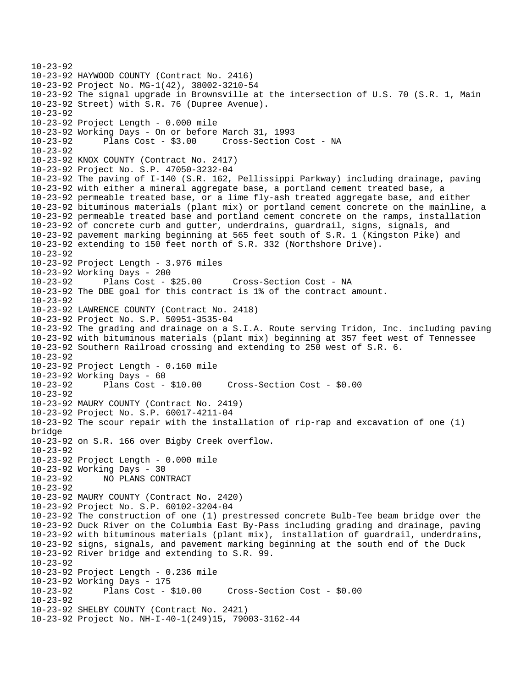```
10-23-92 
10-23-92 HAYWOOD COUNTY (Contract No. 2416) 
10-23-92 Project No. MG-1(42), 38002-3210-54 
10-23-92 The signal upgrade in Brownsville at the intersection of U.S. 70 (S.R. 1, Main 
10-23-92 Street) with S.R. 76 (Dupree Avenue). 
10-23-92 
10-23-92 Project Length - 0.000 mile 
10-23-92 Working Days - On or before March 31, 1993 
10-23-92 Plans Cost - $3.00 Cross-Section Cost - NA 
10-23-92 
10-23-92 KNOX COUNTY (Contract No. 2417) 
10-23-92 Project No. S.P. 47050-3232-04 
10-23-92 The paving of I-140 (S.R. 162, Pellissippi Parkway) including drainage, paving 
10-23-92 with either a mineral aggregate base, a portland cement treated base, a 
10-23-92 permeable treated base, or a lime fly-ash treated aggregate base, and either 
10-23-92 bituminous materials (plant mix) or portland cement concrete on the mainline, a 
10-23-92 permeable treated base and portland cement concrete on the ramps, installation 
10-23-92 of concrete curb and gutter, underdrains, guardrail, signs, signals, and 
10-23-92 pavement marking beginning at 565 feet south of S.R. 1 (Kingston Pike) and 
10-23-92 extending to 150 feet north of S.R. 332 (Northshore Drive). 
10-23-92 
10-23-92 Project Length - 3.976 miles 
10-23-92 Working Days - 200 
10-23-92 Plans Cost - $25.00 Cross-Section Cost - NA 
10-23-92 The DBE goal for this contract is 1% of the contract amount. 
10-23-92 
10-23-92 LAWRENCE COUNTY (Contract No. 2418) 
10-23-92 Project No. S.P. 50951-3535-04 
10-23-92 The grading and drainage on a S.I.A. Route serving Tridon, Inc. including paving 
10-23-92 with bituminous materials (plant mix) beginning at 357 feet west of Tennessee 
10-23-92 Southern Railroad crossing and extending to 250 west of S.R. 6. 
10-23-92 
10-23-92 Project Length - 0.160 mile 
10-23-92 Working Days - 60 
              Plans Cost - $10.00 Cross-Section Cost - $0.00
10 - 23 - 9210-23-92 MAURY COUNTY (Contract No. 2419) 
10-23-92 Project No. S.P. 60017-4211-04 
10-23-92 The scour repair with the installation of rip-rap and excavation of one (1) 
bridge 
10-23-92 on S.R. 166 over Bigby Creek overflow. 
10-23-92 
10-23-92 Project Length - 0.000 mile 
10-23-92 Working Days - 30 
10-23-92 NO PLANS CONTRACT 
10-23-92 
10-23-92 MAURY COUNTY (Contract No. 2420) 
10-23-92 Project No. S.P. 60102-3204-04 
10-23-92 The construction of one (1) prestressed concrete Bulb-Tee beam bridge over the 
10-23-92 Duck River on the Columbia East By-Pass including grading and drainage, paving 
10-23-92 with bituminous materials (plant mix), installation of guardrail, underdrains, 
10-23-92 signs, signals, and pavement marking beginning at the south end of the Duck 
10-23-92 River bridge and extending to S.R. 99. 
10-23-92 
10-23-92 Project Length - 0.236 mile 
10-23-92 Working Days - 175 
10-23-92 Plans Cost - $10.00 Cross-Section Cost - $0.00 
10-23-92 
10-23-92 SHELBY COUNTY (Contract No. 2421) 
10-23-92 Project No. NH-I-40-1(249)15, 79003-3162-44
```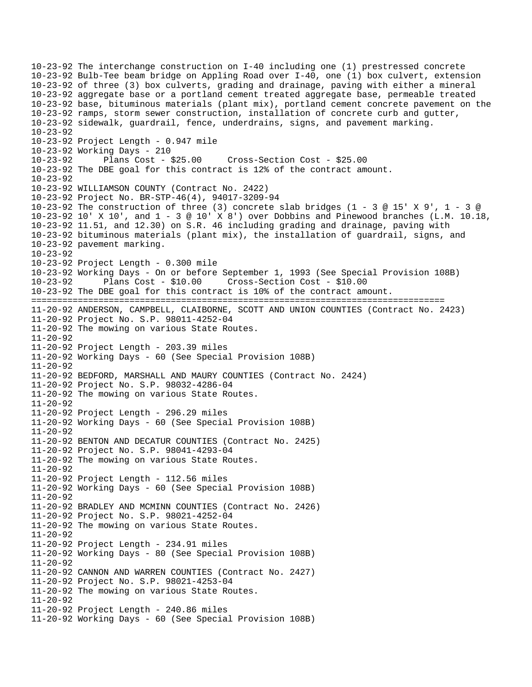10-23-92 The interchange construction on I-40 including one (1) prestressed concrete 10-23-92 Bulb-Tee beam bridge on Appling Road over I-40, one (1) box culvert, extension 10-23-92 of three (3) box culverts, grading and drainage, paving with either a mineral 10-23-92 aggregate base or a portland cement treated aggregate base, permeable treated 10-23-92 base, bituminous materials (plant mix), portland cement concrete pavement on the 10-23-92 ramps, storm sewer construction, installation of concrete curb and gutter, 10-23-92 sidewalk, guardrail, fence, underdrains, signs, and pavement marking. 10-23-92 10-23-92 Project Length - 0.947 mile 10-23-92 Working Days - 210 10-23-92 Plans Cost - \$25.00 Cross-Section Cost - \$25.00 10-23-92 The DBE goal for this contract is 12% of the contract amount.  $10 - 23 - 92$ 10-23-92 WILLIAMSON COUNTY (Contract No. 2422) 10-23-92 Project No. BR-STP-46(4), 94017-3209-94 10-23-92 The construction of three (3) concrete slab bridges (1 - 3 @ 15' X 9', 1 - 3 @ 10-23-92 10' X 10', and 1 - 3 @ 10' X 8') over Dobbins and Pinewood branches (L.M. 10.18, 10-23-92 11.51, and 12.30) on S.R. 46 including grading and drainage, paving with 10-23-92 bituminous materials (plant mix), the installation of guardrail, signs, and 10-23-92 pavement marking. 10-23-92 10-23-92 Project Length - 0.300 mile 10-23-92 Working Days - On or before September 1, 1993 (See Special Provision 108B) 10-23-92 Plans Cost - \$10.00 Cross-Section Cost - \$10.00 10-23-92 The DBE goal for this contract is 10% of the contract amount. ================================================================================ 11-20-92 ANDERSON, CAMPBELL, CLAIBORNE, SCOTT AND UNION COUNTIES (Contract No. 2423) 11-20-92 Project No. S.P. 98011-4252-04 11-20-92 The mowing on various State Routes. 11-20-92 11-20-92 Project Length - 203.39 miles 11-20-92 Working Days - 60 (See Special Provision 108B) 11-20-92 11-20-92 BEDFORD, MARSHALL AND MAURY COUNTIES (Contract No. 2424) 11-20-92 Project No. S.P. 98032-4286-04 11-20-92 The mowing on various State Routes. 11-20-92 11-20-92 Project Length - 296.29 miles 11-20-92 Working Days - 60 (See Special Provision 108B)  $11 - 20 - 92$ 11-20-92 BENTON AND DECATUR COUNTIES (Contract No. 2425) 11-20-92 Project No. S.P. 98041-4293-04 11-20-92 The mowing on various State Routes. 11-20-92 11-20-92 Project Length - 112.56 miles 11-20-92 Working Days - 60 (See Special Provision 108B) 11-20-92 11-20-92 BRADLEY AND MCMINN COUNTIES (Contract No. 2426) 11-20-92 Project No. S.P. 98021-4252-04 11-20-92 The mowing on various State Routes. 11-20-92 11-20-92 Project Length - 234.91 miles 11-20-92 Working Days - 80 (See Special Provision 108B) 11-20-92 11-20-92 CANNON AND WARREN COUNTIES (Contract No. 2427) 11-20-92 Project No. S.P. 98021-4253-04 11-20-92 The mowing on various State Routes. 11-20-92 11-20-92 Project Length - 240.86 miles 11-20-92 Working Days - 60 (See Special Provision 108B)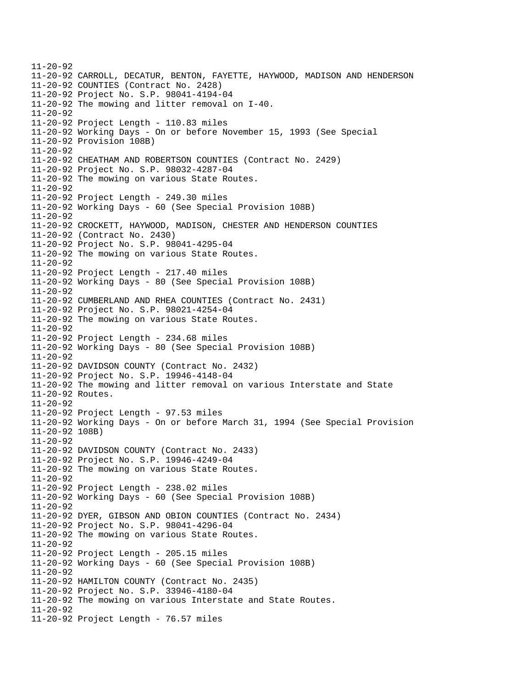11-20-92 11-20-92 CARROLL, DECATUR, BENTON, FAYETTE, HAYWOOD, MADISON AND HENDERSON 11-20-92 COUNTIES (Contract No. 2428) 11-20-92 Project No. S.P. 98041-4194-04 11-20-92 The mowing and litter removal on I-40. 11-20-92 11-20-92 Project Length - 110.83 miles 11-20-92 Working Days - On or before November 15, 1993 (See Special 11-20-92 Provision 108B) 11-20-92 11-20-92 CHEATHAM AND ROBERTSON COUNTIES (Contract No. 2429) 11-20-92 Project No. S.P. 98032-4287-04 11-20-92 The mowing on various State Routes. 11-20-92 11-20-92 Project Length - 249.30 miles 11-20-92 Working Days - 60 (See Special Provision 108B) 11-20-92 11-20-92 CROCKETT, HAYWOOD, MADISON, CHESTER AND HENDERSON COUNTIES 11-20-92 (Contract No. 2430) 11-20-92 Project No. S.P. 98041-4295-04 11-20-92 The mowing on various State Routes. 11-20-92 11-20-92 Project Length - 217.40 miles 11-20-92 Working Days - 80 (See Special Provision 108B) 11-20-92 11-20-92 CUMBERLAND AND RHEA COUNTIES (Contract No. 2431) 11-20-92 Project No. S.P. 98021-4254-04 11-20-92 The mowing on various State Routes. 11-20-92 11-20-92 Project Length - 234.68 miles 11-20-92 Working Days - 80 (See Special Provision 108B) 11-20-92 11-20-92 DAVIDSON COUNTY (Contract No. 2432) 11-20-92 Project No. S.P. 19946-4148-04 11-20-92 The mowing and litter removal on various Interstate and State 11-20-92 Routes. 11-20-92 11-20-92 Project Length - 97.53 miles 11-20-92 Working Days - On or before March 31, 1994 (See Special Provision 11-20-92 108B) 11-20-92 11-20-92 DAVIDSON COUNTY (Contract No. 2433) 11-20-92 Project No. S.P. 19946-4249-04 11-20-92 The mowing on various State Routes. 11-20-92 11-20-92 Project Length - 238.02 miles 11-20-92 Working Days - 60 (See Special Provision 108B) 11-20-92 11-20-92 DYER, GIBSON AND OBION COUNTIES (Contract No. 2434) 11-20-92 Project No. S.P. 98041-4296-04 11-20-92 The mowing on various State Routes. 11-20-92 11-20-92 Project Length - 205.15 miles 11-20-92 Working Days - 60 (See Special Provision 108B) 11-20-92 11-20-92 HAMILTON COUNTY (Contract No. 2435) 11-20-92 Project No. S.P. 33946-4180-04 11-20-92 The mowing on various Interstate and State Routes. 11-20-92 11-20-92 Project Length - 76.57 miles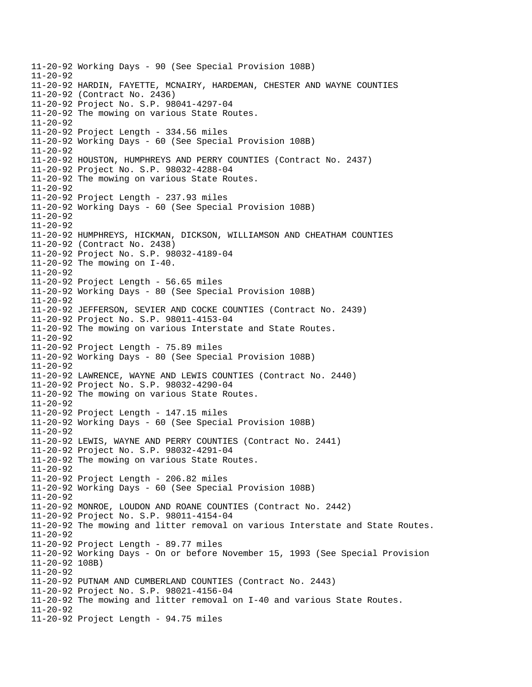11-20-92 Working Days - 90 (See Special Provision 108B) 11-20-92 11-20-92 HARDIN, FAYETTE, MCNAIRY, HARDEMAN, CHESTER AND WAYNE COUNTIES 11-20-92 (Contract No. 2436) 11-20-92 Project No. S.P. 98041-4297-04 11-20-92 The mowing on various State Routes. 11-20-92 11-20-92 Project Length - 334.56 miles 11-20-92 Working Days - 60 (See Special Provision 108B) 11-20-92 11-20-92 HOUSTON, HUMPHREYS AND PERRY COUNTIES (Contract No. 2437) 11-20-92 Project No. S.P. 98032-4288-04 11-20-92 The mowing on various State Routes. 11-20-92 11-20-92 Project Length - 237.93 miles 11-20-92 Working Days - 60 (See Special Provision 108B) 11-20-92 11-20-92 11-20-92 HUMPHREYS, HICKMAN, DICKSON, WILLIAMSON AND CHEATHAM COUNTIES 11-20-92 (Contract No. 2438) 11-20-92 Project No. S.P. 98032-4189-04 11-20-92 The mowing on I-40. 11-20-92 11-20-92 Project Length - 56.65 miles 11-20-92 Working Days - 80 (See Special Provision 108B) 11-20-92 11-20-92 JEFFERSON, SEVIER AND COCKE COUNTIES (Contract No. 2439) 11-20-92 Project No. S.P. 98011-4153-04 11-20-92 The mowing on various Interstate and State Routes. 11-20-92 11-20-92 Project Length - 75.89 miles 11-20-92 Working Days - 80 (See Special Provision 108B) 11-20-92 11-20-92 LAWRENCE, WAYNE AND LEWIS COUNTIES (Contract No. 2440) 11-20-92 Project No. S.P. 98032-4290-04 11-20-92 The mowing on various State Routes. 11-20-92 11-20-92 Project Length - 147.15 miles 11-20-92 Working Days - 60 (See Special Provision 108B) 11-20-92 11-20-92 LEWIS, WAYNE AND PERRY COUNTIES (Contract No. 2441) 11-20-92 Project No. S.P. 98032-4291-04 11-20-92 The mowing on various State Routes. 11-20-92 11-20-92 Project Length - 206.82 miles 11-20-92 Working Days - 60 (See Special Provision 108B) 11-20-92 11-20-92 MONROE, LOUDON AND ROANE COUNTIES (Contract No. 2442) 11-20-92 Project No. S.P. 98011-4154-04 11-20-92 The mowing and litter removal on various Interstate and State Routes. 11-20-92 11-20-92 Project Length - 89.77 miles 11-20-92 Working Days - On or before November 15, 1993 (See Special Provision 11-20-92 108B) 11-20-92 11-20-92 PUTNAM AND CUMBERLAND COUNTIES (Contract No. 2443) 11-20-92 Project No. S.P. 98021-4156-04 11-20-92 The mowing and litter removal on I-40 and various State Routes. 11-20-92 11-20-92 Project Length - 94.75 miles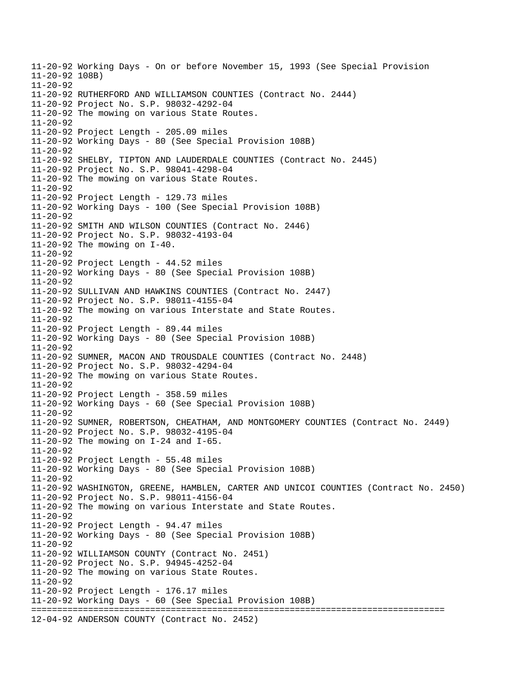11-20-92 Working Days - On or before November 15, 1993 (See Special Provision 11-20-92 108B)  $11 - 20 - 92$ 11-20-92 RUTHERFORD AND WILLIAMSON COUNTIES (Contract No. 2444) 11-20-92 Project No. S.P. 98032-4292-04 11-20-92 The mowing on various State Routes. 11-20-92 11-20-92 Project Length - 205.09 miles 11-20-92 Working Days - 80 (See Special Provision 108B) 11-20-92 11-20-92 SHELBY, TIPTON AND LAUDERDALE COUNTIES (Contract No. 2445) 11-20-92 Project No. S.P. 98041-4298-04 11-20-92 The mowing on various State Routes. 11-20-92 11-20-92 Project Length - 129.73 miles 11-20-92 Working Days - 100 (See Special Provision 108B) 11-20-92 11-20-92 SMITH AND WILSON COUNTIES (Contract No. 2446) 11-20-92 Project No. S.P. 98032-4193-04 11-20-92 The mowing on I-40. 11-20-92 11-20-92 Project Length - 44.52 miles 11-20-92 Working Days - 80 (See Special Provision 108B) 11-20-92 11-20-92 SULLIVAN AND HAWKINS COUNTIES (Contract No. 2447) 11-20-92 Project No. S.P. 98011-4155-04 11-20-92 The mowing on various Interstate and State Routes. 11-20-92 11-20-92 Project Length - 89.44 miles 11-20-92 Working Days - 80 (See Special Provision 108B) 11-20-92 11-20-92 SUMNER, MACON AND TROUSDALE COUNTIES (Contract No. 2448) 11-20-92 Project No. S.P. 98032-4294-04 11-20-92 The mowing on various State Routes. 11-20-92 11-20-92 Project Length - 358.59 miles 11-20-92 Working Days - 60 (See Special Provision 108B) 11-20-92 11-20-92 SUMNER, ROBERTSON, CHEATHAM, AND MONTGOMERY COUNTIES (Contract No. 2449) 11-20-92 Project No. S.P. 98032-4195-04 11-20-92 The mowing on I-24 and I-65.  $11 - 20 - 92$ 11-20-92 Project Length - 55.48 miles 11-20-92 Working Days - 80 (See Special Provision 108B) 11-20-92 11-20-92 WASHINGTON, GREENE, HAMBLEN, CARTER AND UNICOI COUNTIES (Contract No. 2450) 11-20-92 Project No. S.P. 98011-4156-04 11-20-92 The mowing on various Interstate and State Routes. 11-20-92 11-20-92 Project Length - 94.47 miles 11-20-92 Working Days - 80 (See Special Provision 108B) 11-20-92 11-20-92 WILLIAMSON COUNTY (Contract No. 2451) 11-20-92 Project No. S.P. 94945-4252-04 11-20-92 The mowing on various State Routes. 11-20-92 11-20-92 Project Length - 176.17 miles 11-20-92 Working Days - 60 (See Special Provision 108B) ================================================================================ 12-04-92 ANDERSON COUNTY (Contract No. 2452)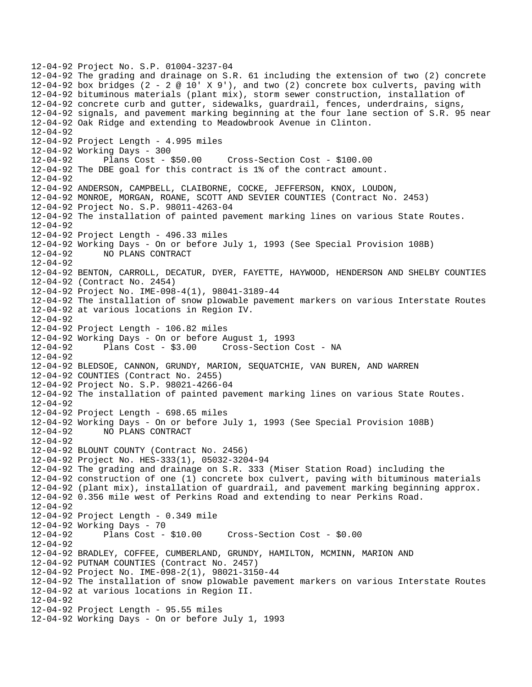12-04-92 Project No. S.P. 01004-3237-04 12-04-92 The grading and drainage on S.R. 61 including the extension of two (2) concrete 12-04-92 box bridges  $(2 - 2 \otimes 10' \times 9')$ , and two  $(2)$  concrete box culverts, paving with 12-04-92 bituminous materials (plant mix), storm sewer construction, installation of 12-04-92 concrete curb and gutter, sidewalks, guardrail, fences, underdrains, signs, 12-04-92 signals, and pavement marking beginning at the four lane section of S.R. 95 near 12-04-92 Oak Ridge and extending to Meadowbrook Avenue in Clinton. 12-04-92 12-04-92 Project Length - 4.995 miles 12-04-92 Working Days - 300 12-04-92 Plans Cost - \$50.00 Cross-Section Cost - \$100.00 12-04-92 The DBE goal for this contract is 1% of the contract amount.  $12 - 04 - 92$ 12-04-92 ANDERSON, CAMPBELL, CLAIBORNE, COCKE, JEFFERSON, KNOX, LOUDON, 12-04-92 MONROE, MORGAN, ROANE, SCOTT AND SEVIER COUNTIES (Contract No. 2453) 12-04-92 Project No. S.P. 98011-4263-04 12-04-92 The installation of painted pavement marking lines on various State Routes. 12-04-92 12-04-92 Project Length - 496.33 miles 12-04-92 Working Days - On or before July 1, 1993 (See Special Provision 108B) 12-04-92 NO PLANS CONTRACT 12-04-92 12-04-92 BENTON, CARROLL, DECATUR, DYER, FAYETTE, HAYWOOD, HENDERSON AND SHELBY COUNTIES 12-04-92 (Contract No. 2454) 12-04-92 Project No. IME-098-4(1), 98041-3189-44 12-04-92 The installation of snow plowable pavement markers on various Interstate Routes 12-04-92 at various locations in Region IV. 12-04-92 12-04-92 Project Length - 106.82 miles 12-04-92 Working Days - On or before August 1, 1993 12-04-92 Plans Cost - \$3.00 Cross-Section Cost - NA 12-04-92 12-04-92 BLEDSOE, CANNON, GRUNDY, MARION, SEQUATCHIE, VAN BUREN, AND WARREN 12-04-92 COUNTIES (Contract No. 2455) 12-04-92 Project No. S.P. 98021-4266-04 12-04-92 The installation of painted pavement marking lines on various State Routes. 12-04-92 12-04-92 Project Length - 698.65 miles 12-04-92 Working Days - On or before July 1, 1993 (See Special Provision 108B) 12-04-92 NO PLANS CONTRACT 12-04-92 12-04-92 BLOUNT COUNTY (Contract No. 2456) 12-04-92 Project No. HES-333(1), 05032-3204-94 12-04-92 The grading and drainage on S.R. 333 (Miser Station Road) including the 12-04-92 construction of one (1) concrete box culvert, paving with bituminous materials 12-04-92 (plant mix), installation of guardrail, and pavement marking beginning approx. 12-04-92 0.356 mile west of Perkins Road and extending to near Perkins Road. 12-04-92 12-04-92 Project Length - 0.349 mile 12-04-92 Working Days - 70 12-04-92 Plans Cost - \$10.00 Cross-Section Cost - \$0.00 12-04-92 12-04-92 BRADLEY, COFFEE, CUMBERLAND, GRUNDY, HAMILTON, MCMINN, MARION AND 12-04-92 PUTNAM COUNTIES (Contract No. 2457) 12-04-92 Project No. IME-098-2(1), 98021-3150-44 12-04-92 The installation of snow plowable pavement markers on various Interstate Routes 12-04-92 at various locations in Region II. 12-04-92 12-04-92 Project Length - 95.55 miles 12-04-92 Working Days - On or before July 1, 1993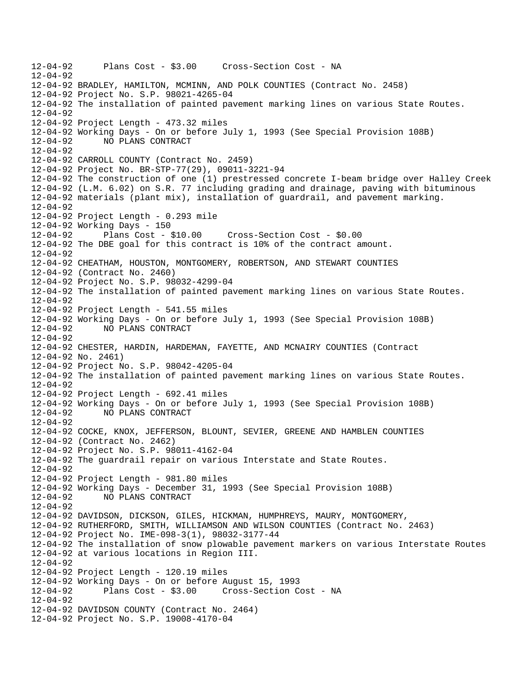12-04-92 Plans Cost - \$3.00 Cross-Section Cost - NA 12-04-92 12-04-92 BRADLEY, HAMILTON, MCMINN, AND POLK COUNTIES (Contract No. 2458) 12-04-92 Project No. S.P. 98021-4265-04 12-04-92 The installation of painted pavement marking lines on various State Routes. 12-04-92 12-04-92 Project Length - 473.32 miles 12-04-92 Working Days - On or before July 1, 1993 (See Special Provision 108B) 12-04-92 NO PLANS CONTRACT 12-04-92 12-04-92 CARROLL COUNTY (Contract No. 2459) 12-04-92 Project No. BR-STP-77(29), 09011-3221-94 12-04-92 The construction of one (1) prestressed concrete I-beam bridge over Halley Creek 12-04-92 (L.M. 6.02) on S.R. 77 including grading and drainage, paving with bituminous 12-04-92 materials (plant mix), installation of guardrail, and pavement marking.  $12 - 04 - 92$ 12-04-92 Project Length - 0.293 mile 12-04-92 Working Days - 150 12-04-92 Plans Cost - \$10.00 Cross-Section Cost - \$0.00 12-04-92 The DBE goal for this contract is 10% of the contract amount. 12-04-92 12-04-92 CHEATHAM, HOUSTON, MONTGOMERY, ROBERTSON, AND STEWART COUNTIES 12-04-92 (Contract No. 2460) 12-04-92 Project No. S.P. 98032-4299-04 12-04-92 The installation of painted pavement marking lines on various State Routes. 12-04-92 12-04-92 Project Length - 541.55 miles 12-04-92 Working Days - On or before July 1, 1993 (See Special Provision 108B) 12-04-92 NO PLANS CONTRACT 12-04-92 12-04-92 CHESTER, HARDIN, HARDEMAN, FAYETTE, AND MCNAIRY COUNTIES (Contract 12-04-92 No. 2461) 12-04-92 Project No. S.P. 98042-4205-04 12-04-92 The installation of painted pavement marking lines on various State Routes. 12-04-92 12-04-92 Project Length - 692.41 miles 12-04-92 Working Days - On or before July 1, 1993 (See Special Provision 108B) 12-04-92 NO PLANS CONTRACT 12-04-92 12-04-92 COCKE, KNOX, JEFFERSON, BLOUNT, SEVIER, GREENE AND HAMBLEN COUNTIES 12-04-92 (Contract No. 2462) 12-04-92 Project No. S.P. 98011-4162-04 12-04-92 The guardrail repair on various Interstate and State Routes. 12-04-92 12-04-92 Project Length - 981.80 miles 12-04-92 Working Days - December 31, 1993 (See Special Provision 108B) 12-04-92 NO PLANS CONTRACT  $12 - 04 - 92$ 12-04-92 DAVIDSON, DICKSON, GILES, HICKMAN, HUMPHREYS, MAURY, MONTGOMERY, 12-04-92 RUTHERFORD, SMITH, WILLIAMSON AND WILSON COUNTIES (Contract No. 2463) 12-04-92 Project No. IME-098-3(1), 98032-3177-44 12-04-92 The installation of snow plowable pavement markers on various Interstate Routes 12-04-92 at various locations in Region III. 12-04-92 12-04-92 Project Length - 120.19 miles 12-04-92 Working Days - On or before August 15, 1993 12-04-92 Plans Cost - \$3.00 Cross-Section Cost - NA 12-04-92 12-04-92 DAVIDSON COUNTY (Contract No. 2464) 12-04-92 Project No. S.P. 19008-4170-04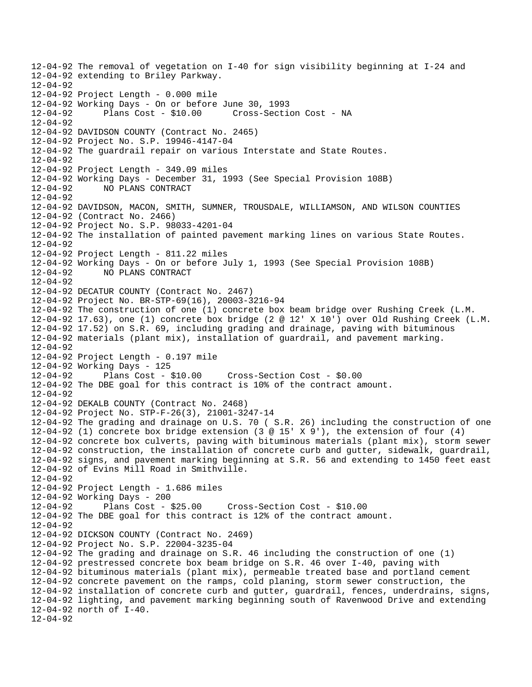12-04-92 The removal of vegetation on I-40 for sign visibility beginning at I-24 and 12-04-92 extending to Briley Parkway.  $12 - 04 - 92$ 12-04-92 Project Length - 0.000 mile 12-04-92 Working Days - On or before June 30, 1993 12-04-92 Plans Cost - \$10.00 Cross-Section Cost - NA  $12 - 04 - 92$ 12-04-92 DAVIDSON COUNTY (Contract No. 2465) 12-04-92 Project No. S.P. 19946-4147-04 12-04-92 The guardrail repair on various Interstate and State Routes. 12-04-92 12-04-92 Project Length - 349.09 miles 12-04-92 Working Days - December 31, 1993 (See Special Provision 108B) 12-04-92 NO PLANS CONTRACT  $12 - 04 - 92$ 12-04-92 DAVIDSON, MACON, SMITH, SUMNER, TROUSDALE, WILLIAMSON, AND WILSON COUNTIES 12-04-92 (Contract No. 2466) 12-04-92 Project No. S.P. 98033-4201-04 12-04-92 The installation of painted pavement marking lines on various State Routes. 12-04-92 12-04-92 Project Length - 811.22 miles 12-04-92 Working Days - On or before July 1, 1993 (See Special Provision 108B) 12-04-92 NO PLANS CONTRACT 12-04-92 12-04-92 DECATUR COUNTY (Contract No. 2467) 12-04-92 Project No. BR-STP-69(16), 20003-3216-94 12-04-92 The construction of one (1) concrete box beam bridge over Rushing Creek (L.M. 12-04-92 17.63), one (1) concrete box bridge (2 @ 12' X 10') over Old Rushing Creek (L.M. 12-04-92 17.52) on S.R. 69, including grading and drainage, paving with bituminous 12-04-92 materials (plant mix), installation of guardrail, and pavement marking. 12-04-92 12-04-92 Project Length - 0.197 mile 12-04-92 Working Days - 125 12-04-92 Plans Cost - \$10.00 Cross-Section Cost - \$0.00 12-04-92 The DBE goal for this contract is 10% of the contract amount.  $12 - 04 - 92$ 12-04-92 DEKALB COUNTY (Contract No. 2468) 12-04-92 Project No. STP-F-26(3), 21001-3247-14 12-04-92 The grading and drainage on U.S. 70 ( S.R. 26) including the construction of one 12-04-92 (1) concrete box bridge extension (3 @ 15' X 9'), the extension of four (4) 12-04-92 concrete box culverts, paving with bituminous materials (plant mix), storm sewer 12-04-92 construction, the installation of concrete curb and gutter, sidewalk, guardrail, 12-04-92 signs, and pavement marking beginning at S.R. 56 and extending to 1450 feet east 12-04-92 of Evins Mill Road in Smithville. 12-04-92 12-04-92 Project Length - 1.686 miles 12-04-92 Working Days - 200 12-04-92 Plans Cost - \$25.00 Cross-Section Cost - \$10.00 12-04-92 The DBE goal for this contract is 12% of the contract amount. 12-04-92 12-04-92 DICKSON COUNTY (Contract No. 2469) 12-04-92 Project No. S.P. 22004-3235-04 12-04-92 The grading and drainage on S.R. 46 including the construction of one (1) 12-04-92 prestressed concrete box beam bridge on S.R. 46 over I-40, paving with 12-04-92 bituminous materials (plant mix), permeable treated base and portland cement 12-04-92 concrete pavement on the ramps, cold planing, storm sewer construction, the 12-04-92 installation of concrete curb and gutter, guardrail, fences, underdrains, signs, 12-04-92 lighting, and pavement marking beginning south of Ravenwood Drive and extending 12-04-92 north of I-40. 12-04-92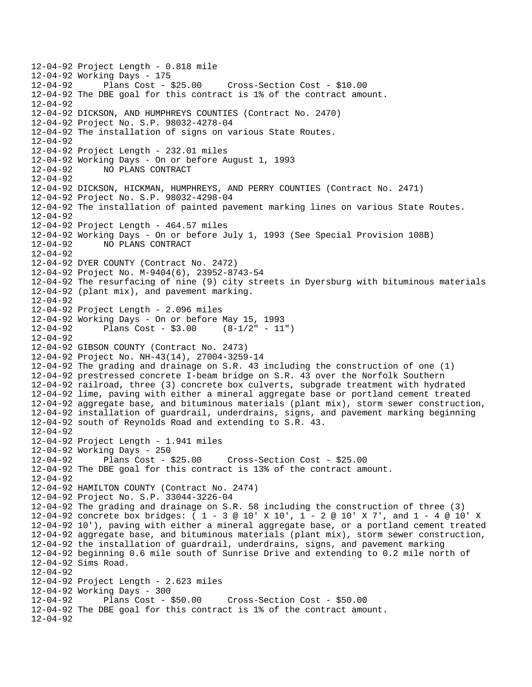12-04-92 Project Length - 0.818 mile 12-04-92 Working Days - 175 12-04-92 Plans Cost - \$25.00 Cross-Section Cost - \$10.00 12-04-92 The DBE goal for this contract is 1% of the contract amount. 12-04-92 12-04-92 DICKSON, AND HUMPHREYS COUNTIES (Contract No. 2470) 12-04-92 Project No. S.P. 98032-4278-04 12-04-92 The installation of signs on various State Routes. 12-04-92 12-04-92 Project Length - 232.01 miles 12-04-92 Working Days - On or before August 1, 1993 12-04-92 NO PLANS CONTRACT  $12 - 04 - 92$ 12-04-92 DICKSON, HICKMAN, HUMPHREYS, AND PERRY COUNTIES (Contract No. 2471) 12-04-92 Project No. S.P. 98032-4298-04 12-04-92 The installation of painted pavement marking lines on various State Routes. 12-04-92 12-04-92 Project Length - 464.57 miles 12-04-92 Working Days - On or before July 1, 1993 (See Special Provision 108B) 12-04-92 NO PLANS CONTRACT 12-04-92 12-04-92 DYER COUNTY (Contract No. 2472) 12-04-92 Project No. M-9404(6), 23952-8743-54 12-04-92 The resurfacing of nine (9) city streets in Dyersburg with bituminous materials 12-04-92 (plant mix), and pavement marking. 12-04-92 12-04-92 Project Length - 2.096 miles 12-04-92 Working Days - On or before May 15, 1993 12-04-92 Plans Cost - \$3.00 (8-1/2" - 11") 12-04-92 12-04-92 GIBSON COUNTY (Contract No. 2473) 12-04-92 Project No. NH-43(14), 27004-3259-14 12-04-92 The grading and drainage on S.R. 43 including the construction of one (1) 12-04-92 prestressed concrete I-beam bridge on S.R. 43 over the Norfolk Southern 12-04-92 railroad, three (3) concrete box culverts, subgrade treatment with hydrated 12-04-92 lime, paving with either a mineral aggregate base or portland cement treated 12-04-92 aggregate base, and bituminous materials (plant mix), storm sewer construction, 12-04-92 installation of guardrail, underdrains, signs, and pavement marking beginning 12-04-92 south of Reynolds Road and extending to S.R. 43. 12-04-92 12-04-92 Project Length - 1.941 miles 12-04-92 Working Days - 250 12-04-92 Plans Cost - \$25.00 Cross-Section Cost - \$25.00 12-04-92 The DBE goal for this contract is 13% of the contract amount. 12-04-92 12-04-92 HAMILTON COUNTY (Contract No. 2474) 12-04-92 Project No. S.P. 33044-3226-04 12-04-92 The grading and drainage on S.R. 58 including the construction of three (3) 12-04-92 concrete box bridges: ( 1 - 3 @ 10' X 10', 1 - 2 @ 10' X 7', and 1 - 4 @ 10' X 12-04-92 10'), paving with either a mineral aggregate base, or a portland cement treated 12-04-92 aggregate base, and bituminous materials (plant mix), storm sewer construction, 12-04-92 the installation of guardrail, underdrains, signs, and pavement marking 12-04-92 beginning 0.6 mile south of Sunrise Drive and extending to 0.2 mile north of 12-04-92 Sims Road. 12-04-92 12-04-92 Project Length - 2.623 miles 12-04-92 Working Days - 300 12-04-92 Plans Cost - \$50.00 Cross-Section Cost - \$50.00 12-04-92 The DBE goal for this contract is 1% of the contract amount. 12-04-92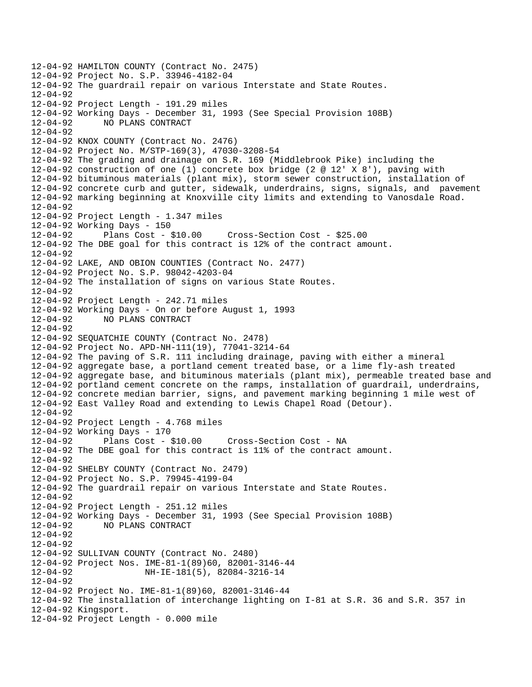12-04-92 HAMILTON COUNTY (Contract No. 2475) 12-04-92 Project No. S.P. 33946-4182-04 12-04-92 The guardrail repair on various Interstate and State Routes. 12-04-92 12-04-92 Project Length - 191.29 miles 12-04-92 Working Days - December 31, 1993 (See Special Provision 108B) 12-04-92 NO PLANS CONTRACT 12-04-92 12-04-92 KNOX COUNTY (Contract No. 2476) 12-04-92 Project No. M/STP-169(3), 47030-3208-54 12-04-92 The grading and drainage on S.R. 169 (Middlebrook Pike) including the 12-04-92 construction of one (1) concrete box bridge (2 @ 12' X 8'), paving with 12-04-92 bituminous materials (plant mix), storm sewer construction, installation of 12-04-92 concrete curb and gutter, sidewalk, underdrains, signs, signals, and pavement 12-04-92 marking beginning at Knoxville city limits and extending to Vanosdale Road.  $12 - 04 - 92$ 12-04-92 Project Length - 1.347 miles 12-04-92 Working Days - 150 12-04-92 Plans Cost - \$10.00 Cross-Section Cost - \$25.00 12-04-92 The DBE goal for this contract is 12% of the contract amount. 12-04-92 12-04-92 LAKE, AND OBION COUNTIES (Contract No. 2477) 12-04-92 Project No. S.P. 98042-4203-04 12-04-92 The installation of signs on various State Routes. 12-04-92 12-04-92 Project Length - 242.71 miles 12-04-92 Working Days - On or before August 1, 1993 12-04-92 NO PLANS CONTRACT 12-04-92 12-04-92 SEQUATCHIE COUNTY (Contract No. 2478) 12-04-92 Project No. APD-NH-111(19), 77041-3214-64 12-04-92 The paving of S.R. 111 including drainage, paving with either a mineral 12-04-92 aggregate base, a portland cement treated base, or a lime fly-ash treated 12-04-92 aggregate base, and bituminous materials (plant mix), permeable treated base and 12-04-92 portland cement concrete on the ramps, installation of guardrail, underdrains, 12-04-92 concrete median barrier, signs, and pavement marking beginning 1 mile west of 12-04-92 East Valley Road and extending to Lewis Chapel Road (Detour). 12-04-92 12-04-92 Project Length - 4.768 miles 12-04-92 Working Days - 170 12-04-92 Plans Cost - \$10.00 Cross-Section Cost - NA 12-04-92 The DBE goal for this contract is 11% of the contract amount. 12-04-92 12-04-92 SHELBY COUNTY (Contract No. 2479) 12-04-92 Project No. S.P. 79945-4199-04 12-04-92 The guardrail repair on various Interstate and State Routes. 12-04-92 12-04-92 Project Length - 251.12 miles 12-04-92 Working Days - December 31, 1993 (See Special Provision 108B) 12-04-92 NO PLANS CONTRACT 12-04-92 12-04-92 12-04-92 SULLIVAN COUNTY (Contract No. 2480) 12-04-92 Project Nos. IME-81-1(89)60, 82001-3146-44 NH-IE-181(5), 82084-3216-14 12-04-92 12-04-92 Project No. IME-81-1(89)60, 82001-3146-44 12-04-92 The installation of interchange lighting on I-81 at S.R. 36 and S.R. 357 in 12-04-92 Kingsport. 12-04-92 Project Length - 0.000 mile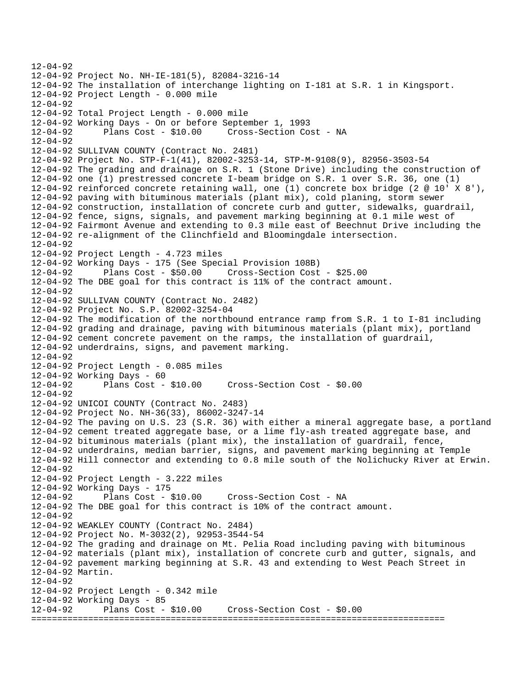12-04-92 12-04-92 Project No. NH-IE-181(5), 82084-3216-14 12-04-92 The installation of interchange lighting on I-181 at S.R. 1 in Kingsport. 12-04-92 Project Length - 0.000 mile 12-04-92 12-04-92 Total Project Length - 0.000 mile 12-04-92 Working Days - On or before September 1, 1993 12-04-92 Plans Cost - \$10.00 Cross-Section Cost - NA 12-04-92 12-04-92 SULLIVAN COUNTY (Contract No. 2481) 12-04-92 Project No. STP-F-1(41), 82002-3253-14, STP-M-9108(9), 82956-3503-54 12-04-92 The grading and drainage on S.R. 1 (Stone Drive) including the construction of 12-04-92 one (1) prestressed concrete I-beam bridge on S.R. 1 over S.R. 36, one (1) 12-04-92 reinforced concrete retaining wall, one (1) concrete box bridge (2 @ 10' X 8'), 12-04-92 paving with bituminous materials (plant mix), cold planing, storm sewer 12-04-92 construction, installation of concrete curb and gutter, sidewalks, guardrail, 12-04-92 fence, signs, signals, and pavement marking beginning at 0.1 mile west of 12-04-92 Fairmont Avenue and extending to 0.3 mile east of Beechnut Drive including the 12-04-92 re-alignment of the Clinchfield and Bloomingdale intersection. 12-04-92 12-04-92 Project Length - 4.723 miles 12-04-92 Working Days - 175 (See Special Provision 108B) 12-04-92 Plans Cost - \$50.00 Cross-Section Cost - \$25.00 12-04-92 The DBE goal for this contract is 11% of the contract amount. 12-04-92 12-04-92 SULLIVAN COUNTY (Contract No. 2482) 12-04-92 Project No. S.P. 82002-3254-04 12-04-92 The modification of the northbound entrance ramp from S.R. 1 to I-81 including 12-04-92 grading and drainage, paving with bituminous materials (plant mix), portland 12-04-92 cement concrete pavement on the ramps, the installation of guardrail, 12-04-92 underdrains, signs, and pavement marking. 12-04-92 12-04-92 Project Length - 0.085 miles 12-04-92 Working Days - 60 Plans  $Cost - $10.00$  Cross-Section Cost -  $$0.00$  $12 - 04 - 92$ 12-04-92 UNICOI COUNTY (Contract No. 2483) 12-04-92 Project No. NH-36(33), 86002-3247-14 12-04-92 The paving on U.S. 23 (S.R. 36) with either a mineral aggregate base, a portland 12-04-92 cement treated aggregate base, or a lime fly-ash treated aggregate base, and 12-04-92 bituminous materials (plant mix), the installation of guardrail, fence, 12-04-92 underdrains, median barrier, signs, and pavement marking beginning at Temple 12-04-92 Hill connector and extending to 0.8 mile south of the Nolichucky River at Erwin. 12-04-92 12-04-92 Project Length - 3.222 miles 12-04-92 Working Days - 175 12-04-92 Plans Cost - \$10.00 Cross-Section Cost - NA 12-04-92 The DBE goal for this contract is 10% of the contract amount. 12-04-92 12-04-92 WEAKLEY COUNTY (Contract No. 2484) 12-04-92 Project No. M-3032(2), 92953-3544-54 12-04-92 The grading and drainage on Mt. Pelia Road including paving with bituminous 12-04-92 materials (plant mix), installation of concrete curb and gutter, signals, and 12-04-92 pavement marking beginning at S.R. 43 and extending to West Peach Street in 12-04-92 Martin. 12-04-92 12-04-92 Project Length - 0.342 mile 12-04-92 Working Days - 85 12-04-92 Plans Cost - \$10.00 Cross-Section Cost - \$0.00 ================================================================================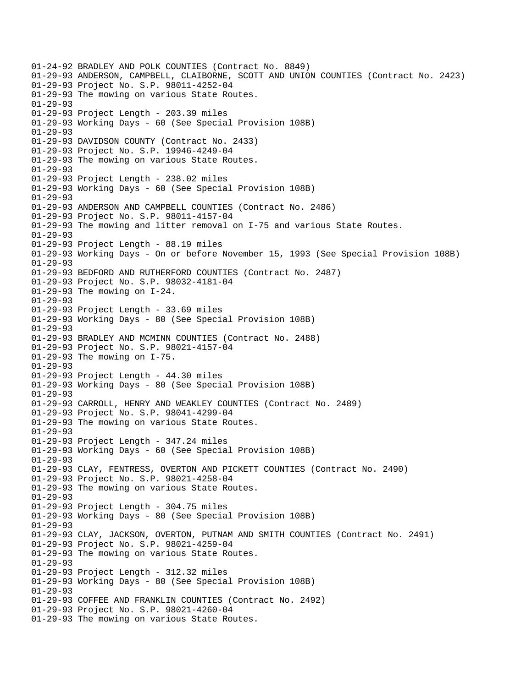01-24-92 BRADLEY AND POLK COUNTIES (Contract No. 8849) 01-29-93 ANDERSON, CAMPBELL, CLAIBORNE, SCOTT AND UNION COUNTIES (Contract No. 2423) 01-29-93 Project No. S.P. 98011-4252-04 01-29-93 The mowing on various State Routes. 01-29-93 01-29-93 Project Length - 203.39 miles 01-29-93 Working Days - 60 (See Special Provision 108B) 01-29-93 01-29-93 DAVIDSON COUNTY (Contract No. 2433) 01-29-93 Project No. S.P. 19946-4249-04 01-29-93 The mowing on various State Routes. 01-29-93 01-29-93 Project Length - 238.02 miles 01-29-93 Working Days - 60 (See Special Provision 108B) 01-29-93 01-29-93 ANDERSON AND CAMPBELL COUNTIES (Contract No. 2486) 01-29-93 Project No. S.P. 98011-4157-04 01-29-93 The mowing and litter removal on I-75 and various State Routes. 01-29-93 01-29-93 Project Length - 88.19 miles 01-29-93 Working Days - On or before November 15, 1993 (See Special Provision 108B) 01-29-93 01-29-93 BEDFORD AND RUTHERFORD COUNTIES (Contract No. 2487) 01-29-93 Project No. S.P. 98032-4181-04 01-29-93 The mowing on I-24. 01-29-93 01-29-93 Project Length - 33.69 miles 01-29-93 Working Days - 80 (See Special Provision 108B) 01-29-93 01-29-93 BRADLEY AND MCMINN COUNTIES (Contract No. 2488) 01-29-93 Project No. S.P. 98021-4157-04 01-29-93 The mowing on I-75. 01-29-93 01-29-93 Project Length - 44.30 miles 01-29-93 Working Days - 80 (See Special Provision 108B) 01-29-93 01-29-93 CARROLL, HENRY AND WEAKLEY COUNTIES (Contract No. 2489) 01-29-93 Project No. S.P. 98041-4299-04 01-29-93 The mowing on various State Routes.  $01 - 29 - 93$ 01-29-93 Project Length - 347.24 miles 01-29-93 Working Days - 60 (See Special Provision 108B) 01-29-93 01-29-93 CLAY, FENTRESS, OVERTON AND PICKETT COUNTIES (Contract No. 2490) 01-29-93 Project No. S.P. 98021-4258-04 01-29-93 The mowing on various State Routes. 01-29-93 01-29-93 Project Length - 304.75 miles 01-29-93 Working Days - 80 (See Special Provision 108B) 01-29-93 01-29-93 CLAY, JACKSON, OVERTON, PUTNAM AND SMITH COUNTIES (Contract No. 2491) 01-29-93 Project No. S.P. 98021-4259-04 01-29-93 The mowing on various State Routes. 01-29-93 01-29-93 Project Length - 312.32 miles 01-29-93 Working Days - 80 (See Special Provision 108B) 01-29-93 01-29-93 COFFEE AND FRANKLIN COUNTIES (Contract No. 2492) 01-29-93 Project No. S.P. 98021-4260-04 01-29-93 The mowing on various State Routes.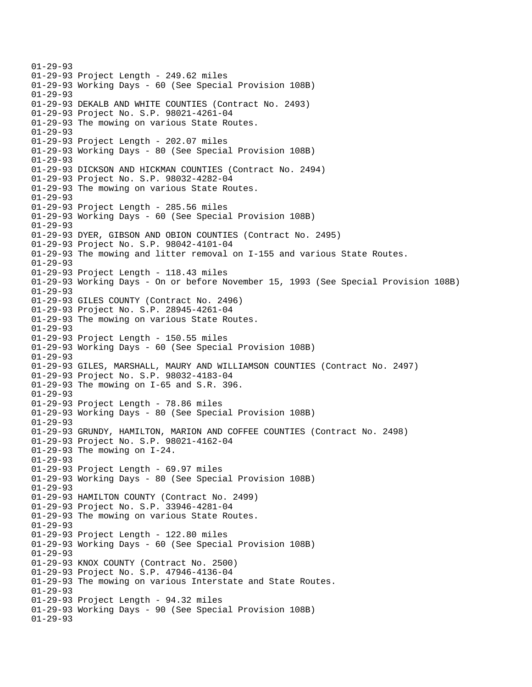01-29-93 01-29-93 Project Length - 249.62 miles 01-29-93 Working Days - 60 (See Special Provision 108B) 01-29-93 01-29-93 DEKALB AND WHITE COUNTIES (Contract No. 2493) 01-29-93 Project No. S.P. 98021-4261-04 01-29-93 The mowing on various State Routes. 01-29-93 01-29-93 Project Length - 202.07 miles 01-29-93 Working Days - 80 (See Special Provision 108B) 01-29-93 01-29-93 DICKSON AND HICKMAN COUNTIES (Contract No. 2494) 01-29-93 Project No. S.P. 98032-4282-04 01-29-93 The mowing on various State Routes. 01-29-93 01-29-93 Project Length - 285.56 miles 01-29-93 Working Days - 60 (See Special Provision 108B) 01-29-93 01-29-93 DYER, GIBSON AND OBION COUNTIES (Contract No. 2495) 01-29-93 Project No. S.P. 98042-4101-04 01-29-93 The mowing and litter removal on I-155 and various State Routes. 01-29-93 01-29-93 Project Length - 118.43 miles 01-29-93 Working Days - On or before November 15, 1993 (See Special Provision 108B) 01-29-93 01-29-93 GILES COUNTY (Contract No. 2496) 01-29-93 Project No. S.P. 28945-4261-04 01-29-93 The mowing on various State Routes. 01-29-93 01-29-93 Project Length - 150.55 miles 01-29-93 Working Days - 60 (See Special Provision 108B) 01-29-93 01-29-93 GILES, MARSHALL, MAURY AND WILLIAMSON COUNTIES (Contract No. 2497) 01-29-93 Project No. S.P. 98032-4183-04 01-29-93 The mowing on I-65 and S.R. 396. 01-29-93 01-29-93 Project Length - 78.86 miles 01-29-93 Working Days - 80 (See Special Provision 108B) 01-29-93 01-29-93 GRUNDY, HAMILTON, MARION AND COFFEE COUNTIES (Contract No. 2498) 01-29-93 Project No. S.P. 98021-4162-04 01-29-93 The mowing on I-24. 01-29-93 01-29-93 Project Length - 69.97 miles 01-29-93 Working Days - 80 (See Special Provision 108B) 01-29-93 01-29-93 HAMILTON COUNTY (Contract No. 2499) 01-29-93 Project No. S.P. 33946-4281-04 01-29-93 The mowing on various State Routes. 01-29-93 01-29-93 Project Length - 122.80 miles 01-29-93 Working Days - 60 (See Special Provision 108B) 01-29-93 01-29-93 KNOX COUNTY (Contract No. 2500) 01-29-93 Project No. S.P. 47946-4136-04 01-29-93 The mowing on various Interstate and State Routes. 01-29-93 01-29-93 Project Length - 94.32 miles 01-29-93 Working Days - 90 (See Special Provision 108B) 01-29-93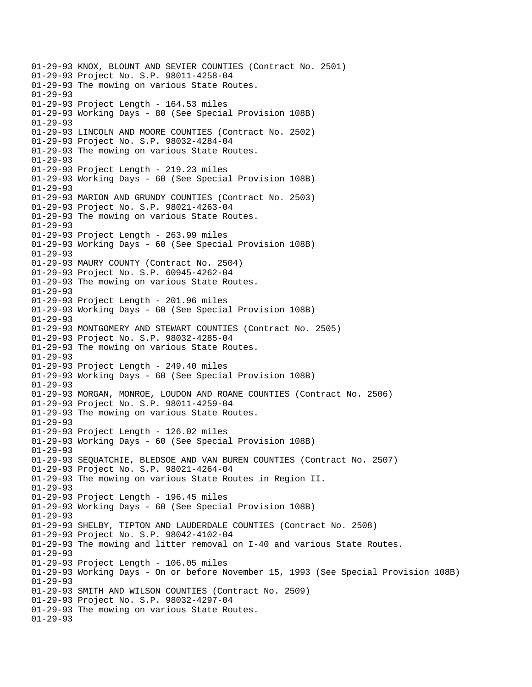01-29-93 KNOX, BLOUNT AND SEVIER COUNTIES (Contract No. 2501) 01-29-93 Project No. S.P. 98011-4258-04 01-29-93 The mowing on various State Routes. 01-29-93 01-29-93 Project Length - 164.53 miles 01-29-93 Working Days - 80 (See Special Provision 108B) 01-29-93 01-29-93 LINCOLN AND MOORE COUNTIES (Contract No. 2502) 01-29-93 Project No. S.P. 98032-4284-04 01-29-93 The mowing on various State Routes. 01-29-93 01-29-93 Project Length - 219.23 miles 01-29-93 Working Days - 60 (See Special Provision 108B) 01-29-93 01-29-93 MARION AND GRUNDY COUNTIES (Contract No. 2503) 01-29-93 Project No. S.P. 98021-4263-04 01-29-93 The mowing on various State Routes. 01-29-93 01-29-93 Project Length - 263.99 miles 01-29-93 Working Days - 60 (See Special Provision 108B) 01-29-93 01-29-93 MAURY COUNTY (Contract No. 2504) 01-29-93 Project No. S.P. 60945-4262-04 01-29-93 The mowing on various State Routes. 01-29-93 01-29-93 Project Length - 201.96 miles 01-29-93 Working Days - 60 (See Special Provision 108B) 01-29-93 01-29-93 MONTGOMERY AND STEWART COUNTIES (Contract No. 2505) 01-29-93 Project No. S.P. 98032-4285-04 01-29-93 The mowing on various State Routes. 01-29-93 01-29-93 Project Length - 249.40 miles 01-29-93 Working Days - 60 (See Special Provision 108B) 01-29-93 01-29-93 MORGAN, MONROE, LOUDON AND ROANE COUNTIES (Contract No. 2506) 01-29-93 Project No. S.P. 98011-4259-04 01-29-93 The mowing on various State Routes. 01-29-93 01-29-93 Project Length - 126.02 miles 01-29-93 Working Days - 60 (See Special Provision 108B) 01-29-93 01-29-93 SEQUATCHIE, BLEDSOE AND VAN BUREN COUNTIES (Contract No. 2507) 01-29-93 Project No. S.P. 98021-4264-04 01-29-93 The mowing on various State Routes in Region II. 01-29-93 01-29-93 Project Length - 196.45 miles 01-29-93 Working Days - 60 (See Special Provision 108B) 01-29-93 01-29-93 SHELBY, TIPTON AND LAUDERDALE COUNTIES (Contract No. 2508) 01-29-93 Project No. S.P. 98042-4102-04 01-29-93 The mowing and litter removal on I-40 and various State Routes. 01-29-93 01-29-93 Project Length - 106.05 miles 01-29-93 Working Days - On or before November 15, 1993 (See Special Provision 108B) 01-29-93 01-29-93 SMITH AND WILSON COUNTIES (Contract No. 2509) 01-29-93 Project No. S.P. 98032-4297-04 01-29-93 The mowing on various State Routes. 01-29-93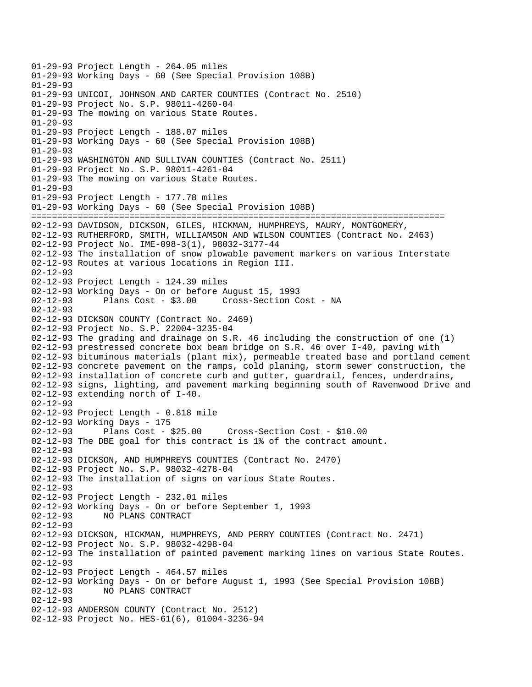01-29-93 Project Length - 264.05 miles 01-29-93 Working Days - 60 (See Special Provision 108B) 01-29-93 01-29-93 UNICOI, JOHNSON AND CARTER COUNTIES (Contract No. 2510) 01-29-93 Project No. S.P. 98011-4260-04 01-29-93 The mowing on various State Routes. 01-29-93 01-29-93 Project Length - 188.07 miles 01-29-93 Working Days - 60 (See Special Provision 108B) 01-29-93 01-29-93 WASHINGTON AND SULLIVAN COUNTIES (Contract No. 2511) 01-29-93 Project No. S.P. 98011-4261-04 01-29-93 The mowing on various State Routes. 01-29-93 01-29-93 Project Length - 177.78 miles 01-29-93 Working Days - 60 (See Special Provision 108B) ================================================================================ 02-12-93 DAVIDSON, DICKSON, GILES, HICKMAN, HUMPHREYS, MAURY, MONTGOMERY, 02-12-93 RUTHERFORD, SMITH, WILLIAMSON AND WILSON COUNTIES (Contract No. 2463) 02-12-93 Project No. IME-098-3(1), 98032-3177-44 02-12-93 The installation of snow plowable pavement markers on various Interstate 02-12-93 Routes at various locations in Region III. 02-12-93 02-12-93 Project Length - 124.39 miles 02-12-93 Working Days - On or before August 15, 1993 02-12-93 Plans Cost - \$3.00 Cross-Section Cost - NA 02-12-93 02-12-93 DICKSON COUNTY (Contract No. 2469) 02-12-93 Project No. S.P. 22004-3235-04 02-12-93 The grading and drainage on S.R. 46 including the construction of one (1) 02-12-93 prestressed concrete box beam bridge on S.R. 46 over I-40, paving with 02-12-93 bituminous materials (plant mix), permeable treated base and portland cement 02-12-93 concrete pavement on the ramps, cold planing, storm sewer construction, the 02-12-93 installation of concrete curb and gutter, guardrail, fences, underdrains, 02-12-93 signs, lighting, and pavement marking beginning south of Ravenwood Drive and 02-12-93 extending north of I-40. 02-12-93 02-12-93 Project Length - 0.818 mile 02-12-93 Working Days - 175 02-12-93 Plans Cost - \$25.00 Cross-Section Cost - \$10.00 02-12-93 The DBE goal for this contract is 1% of the contract amount. 02-12-93 02-12-93 DICKSON, AND HUMPHREYS COUNTIES (Contract No. 2470) 02-12-93 Project No. S.P. 98032-4278-04 02-12-93 The installation of signs on various State Routes. 02-12-93 02-12-93 Project Length - 232.01 miles 02-12-93 Working Days - On or before September 1, 1993 02-12-93 NO PLANS CONTRACT 02-12-93 02-12-93 DICKSON, HICKMAN, HUMPHREYS, AND PERRY COUNTIES (Contract No. 2471) 02-12-93 Project No. S.P. 98032-4298-04 02-12-93 The installation of painted pavement marking lines on various State Routes. 02-12-93 02-12-93 Project Length - 464.57 miles 02-12-93 Working Days - On or before August 1, 1993 (See Special Provision 108B) 02-12-93 NO PLANS CONTRACT 02-12-93 02-12-93 ANDERSON COUNTY (Contract No. 2512) 02-12-93 Project No. HES-61(6), 01004-3236-94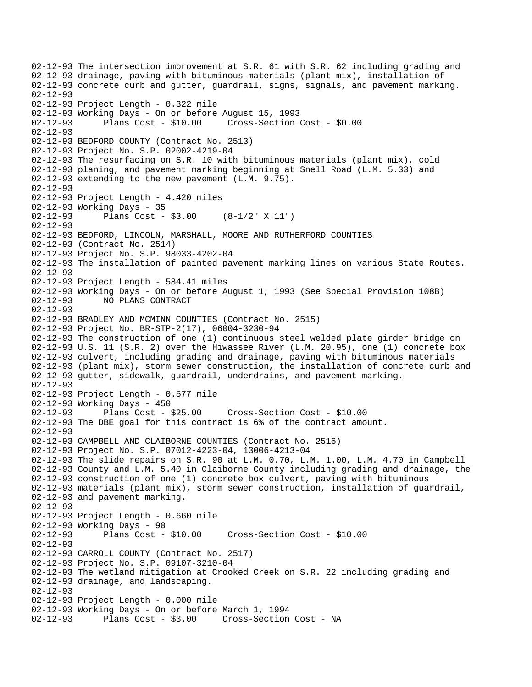02-12-93 The intersection improvement at S.R. 61 with S.R. 62 including grading and 02-12-93 drainage, paving with bituminous materials (plant mix), installation of 02-12-93 concrete curb and gutter, guardrail, signs, signals, and pavement marking. 02-12-93 02-12-93 Project Length - 0.322 mile 02-12-93 Working Days - On or before August 15, 1993 02-12-93 Plans Cost - \$10.00 Cross-Section Cost - \$0.00 02-12-93 02-12-93 BEDFORD COUNTY (Contract No. 2513) 02-12-93 Project No. S.P. 02002-4219-04 02-12-93 The resurfacing on S.R. 10 with bituminous materials (plant mix), cold 02-12-93 planing, and pavement marking beginning at Snell Road (L.M. 5.33) and 02-12-93 extending to the new pavement (L.M. 9.75). 02-12-93 02-12-93 Project Length - 4.420 miles 02-12-93 Working Days - 35 02-12-93 Plans Cost - \$3.00 (8-1/2" X 11") 02-12-93 02-12-93 BEDFORD, LINCOLN, MARSHALL, MOORE AND RUTHERFORD COUNTIES 02-12-93 (Contract No. 2514) 02-12-93 Project No. S.P. 98033-4202-04 02-12-93 The installation of painted pavement marking lines on various State Routes. 02-12-93 02-12-93 Project Length - 584.41 miles 02-12-93 Working Days - On or before August 1, 1993 (See Special Provision 108B) 02-12-93 NO PLANS CONTRACT 02-12-93 02-12-93 BRADLEY AND MCMINN COUNTIES (Contract No. 2515) 02-12-93 Project No. BR-STP-2(17), 06004-3230-94 02-12-93 The construction of one (1) continuous steel welded plate girder bridge on 02-12-93 U.S. 11 (S.R. 2) over the Hiwassee River (L.M. 20.95), one (1) concrete box 02-12-93 culvert, including grading and drainage, paving with bituminous materials 02-12-93 (plant mix), storm sewer construction, the installation of concrete curb and 02-12-93 gutter, sidewalk, guardrail, underdrains, and pavement marking. 02-12-93 02-12-93 Project Length - 0.577 mile 02-12-93 Working Days - 450 02-12-93 Plans Cost - \$25.00 Cross-Section Cost - \$10.00 02-12-93 The DBE goal for this contract is 6% of the contract amount. 02-12-93 02-12-93 CAMPBELL AND CLAIBORNE COUNTIES (Contract No. 2516) 02-12-93 Project No. S.P. 07012-4223-04, 13006-4213-04 02-12-93 The slide repairs on S.R. 90 at L.M. 0.70, L.M. 1.00, L.M. 4.70 in Campbell 02-12-93 County and L.M. 5.40 in Claiborne County including grading and drainage, the 02-12-93 construction of one (1) concrete box culvert, paving with bituminous 02-12-93 materials (plant mix), storm sewer construction, installation of guardrail, 02-12-93 and pavement marking. 02-12-93 02-12-93 Project Length - 0.660 mile 02-12-93 Working Days - 90<br>02-12-93 Plans Cost -Plans Cost - \$10.00 Cross-Section Cost - \$10.00 02-12-93 02-12-93 CARROLL COUNTY (Contract No. 2517) 02-12-93 Project No. S.P. 09107-3210-04 02-12-93 The wetland mitigation at Crooked Creek on S.R. 22 including grading and 02-12-93 drainage, and landscaping. 02-12-93 02-12-93 Project Length - 0.000 mile 02-12-93 Working Days - On or before March 1, 1994 02-12-93 Plans Cost - \$3.00 Cross-Section Cost - NA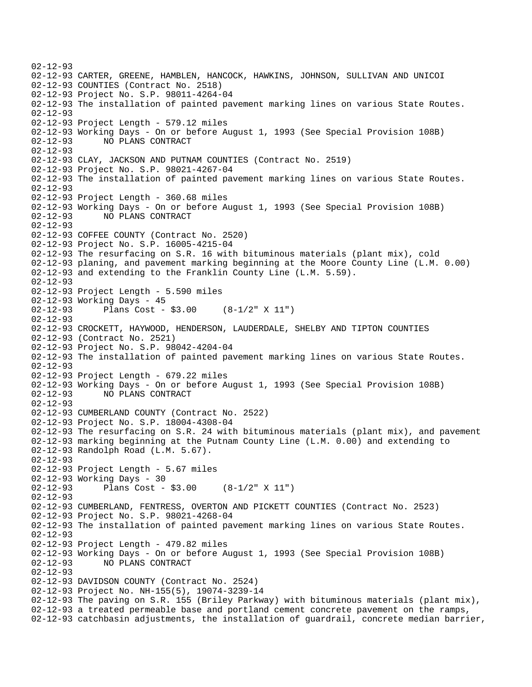02-12-93 02-12-93 CARTER, GREENE, HAMBLEN, HANCOCK, HAWKINS, JOHNSON, SULLIVAN AND UNICOI 02-12-93 COUNTIES (Contract No. 2518) 02-12-93 Project No. S.P. 98011-4264-04 02-12-93 The installation of painted pavement marking lines on various State Routes. 02-12-93 02-12-93 Project Length - 579.12 miles 02-12-93 Working Days - On or before August 1, 1993 (See Special Provision 108B) 02-12-93 NO PLANS CONTRACT 02-12-93 02-12-93 CLAY, JACKSON AND PUTNAM COUNTIES (Contract No. 2519) 02-12-93 Project No. S.P. 98021-4267-04 02-12-93 The installation of painted pavement marking lines on various State Routes. 02-12-93 02-12-93 Project Length - 360.68 miles 02-12-93 Working Days - On or before August 1, 1993 (See Special Provision 108B) 02-12-93 NO PLANS CONTRACT 02-12-93 02-12-93 COFFEE COUNTY (Contract No. 2520) 02-12-93 Project No. S.P. 16005-4215-04 02-12-93 The resurfacing on S.R. 16 with bituminous materials (plant mix), cold 02-12-93 planing, and pavement marking beginning at the Moore County Line (L.M. 0.00) 02-12-93 and extending to the Franklin County Line (L.M. 5.59). 02-12-93 02-12-93 Project Length - 5.590 miles 02-12-93 Working Days - 45 02-12-93 Plans Cost - \$3.00 (8-1/2" X 11") 02-12-93 02-12-93 CROCKETT, HAYWOOD, HENDERSON, LAUDERDALE, SHELBY AND TIPTON COUNTIES 02-12-93 (Contract No. 2521) 02-12-93 Project No. S.P. 98042-4204-04 02-12-93 The installation of painted pavement marking lines on various State Routes. 02-12-93 02-12-93 Project Length - 679.22 miles 02-12-93 Working Days - On or before August 1, 1993 (See Special Provision 108B) 02-12-93 NO PLANS CONTRACT 02-12-93 02-12-93 CUMBERLAND COUNTY (Contract No. 2522) 02-12-93 Project No. S.P. 18004-4308-04 02-12-93 The resurfacing on S.R. 24 with bituminous materials (plant mix), and pavement 02-12-93 marking beginning at the Putnam County Line (L.M. 0.00) and extending to 02-12-93 Randolph Road (L.M. 5.67). 02-12-93 02-12-93 Project Length - 5.67 miles 02-12-93 Working Days - 30 02-12-93 Plans Cost - \$3.00 (8-1/2" X 11") 02-12-93 02-12-93 CUMBERLAND, FENTRESS, OVERTON AND PICKETT COUNTIES (Contract No. 2523) 02-12-93 Project No. S.P. 98021-4268-04 02-12-93 The installation of painted pavement marking lines on various State Routes. 02-12-93 02-12-93 Project Length - 479.82 miles 02-12-93 Working Days - On or before August 1, 1993 (See Special Provision 108B) 02-12-93 NO PLANS CONTRACT 02-12-93 02-12-93 DAVIDSON COUNTY (Contract No. 2524) 02-12-93 Project No. NH-155(5), 19074-3239-14 02-12-93 The paving on S.R. 155 (Briley Parkway) with bituminous materials (plant mix), 02-12-93 a treated permeable base and portland cement concrete pavement on the ramps, 02-12-93 catchbasin adjustments, the installation of guardrail, concrete median barrier,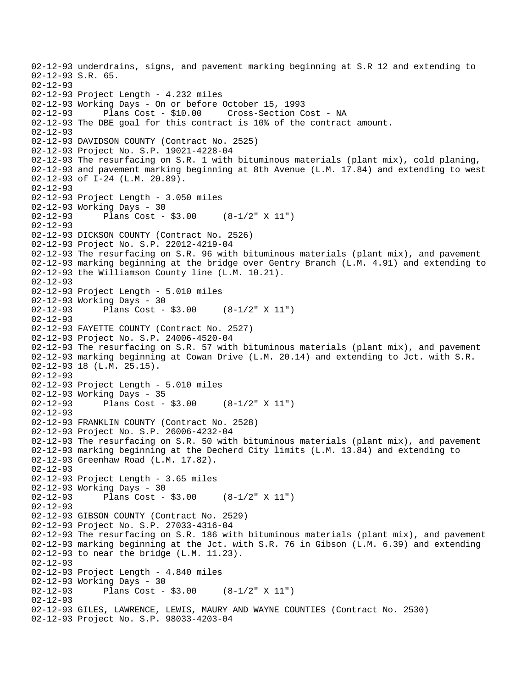02-12-93 underdrains, signs, and pavement marking beginning at S.R 12 and extending to 02-12-93 S.R. 65. 02-12-93 02-12-93 Project Length - 4.232 miles 02-12-93 Working Days - On or before October 15, 1993 02-12-93 Plans Cost - \$10.00 Cross-Section Cost - NA 02-12-93 The DBE goal for this contract is 10% of the contract amount. 02-12-93 02-12-93 DAVIDSON COUNTY (Contract No. 2525) 02-12-93 Project No. S.P. 19021-4228-04 02-12-93 The resurfacing on S.R. 1 with bituminous materials (plant mix), cold planing, 02-12-93 and pavement marking beginning at 8th Avenue (L.M. 17.84) and extending to west 02-12-93 of I-24 (L.M. 20.89). 02-12-93 02-12-93 Project Length - 3.050 miles 02-12-93 Working Days - 30 02-12-93 Plans Cost - \$3.00 (8-1/2" X 11") 02-12-93 02-12-93 DICKSON COUNTY (Contract No. 2526) 02-12-93 Project No. S.P. 22012-4219-04 02-12-93 The resurfacing on S.R. 96 with bituminous materials (plant mix), and pavement 02-12-93 marking beginning at the bridge over Gentry Branch (L.M. 4.91) and extending to 02-12-93 the Williamson County line (L.M. 10.21). 02-12-93 02-12-93 Project Length - 5.010 miles 02-12-93 Working Days - 30 02-12-93 Plans Cost - \$3.00 (8-1/2" X 11") 02-12-93 02-12-93 FAYETTE COUNTY (Contract No. 2527) 02-12-93 Project No. S.P. 24006-4520-04 02-12-93 The resurfacing on S.R. 57 with bituminous materials (plant mix), and pavement 02-12-93 marking beginning at Cowan Drive (L.M. 20.14) and extending to Jct. with S.R. 02-12-93 18 (L.M. 25.15). 02-12-93 02-12-93 Project Length - 5.010 miles 02-12-93 Working Days - 35 02-12-93 Plans Cost - \$3.00 (8-1/2" X 11") 02-12-93 02-12-93 FRANKLIN COUNTY (Contract No. 2528) 02-12-93 Project No. S.P. 26006-4232-04 02-12-93 The resurfacing on S.R. 50 with bituminous materials (plant mix), and pavement 02-12-93 marking beginning at the Decherd City limits (L.M. 13.84) and extending to 02-12-93 Greenhaw Road (L.M. 17.82). 02-12-93 02-12-93 Project Length - 3.65 miles 02-12-93 Working Days - 30 02-12-93 Plans Cost - \$3.00 (8-1/2" X 11")  $02 - 12 - 93$ 02-12-93 GIBSON COUNTY (Contract No. 2529) 02-12-93 Project No. S.P. 27033-4316-04 02-12-93 The resurfacing on S.R. 186 with bituminous materials (plant mix), and pavement 02-12-93 marking beginning at the Jct. with S.R. 76 in Gibson (L.M. 6.39) and extending 02-12-93 to near the bridge (L.M. 11.23). 02-12-93 02-12-93 Project Length - 4.840 miles 02-12-93 Working Days - 30 02-12-93 Plans Cost - \$3.00 (8-1/2" X 11") 02-12-93 02-12-93 GILES, LAWRENCE, LEWIS, MAURY AND WAYNE COUNTIES (Contract No. 2530) 02-12-93 Project No. S.P. 98033-4203-04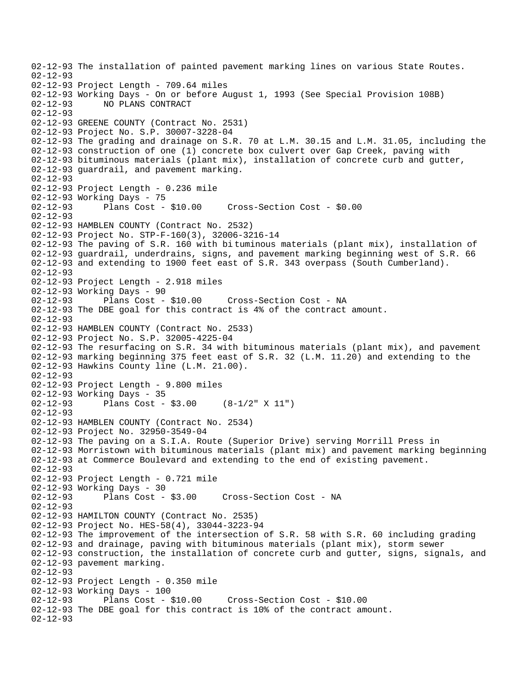02-12-93 The installation of painted pavement marking lines on various State Routes. 02-12-93 02-12-93 Project Length - 709.64 miles 02-12-93 Working Days - On or before August 1, 1993 (See Special Provision 108B) 02-12-93 NO PLANS CONTRACT 02-12-93 02-12-93 GREENE COUNTY (Contract No. 2531) 02-12-93 Project No. S.P. 30007-3228-04 02-12-93 The grading and drainage on S.R. 70 at L.M. 30.15 and L.M. 31.05, including the 02-12-93 construction of one (1) concrete box culvert over Gap Creek, paving with 02-12-93 bituminous materials (plant mix), installation of concrete curb and gutter, 02-12-93 guardrail, and pavement marking. 02-12-93 02-12-93 Project Length - 0.236 mile 02-12-93 Working Days - 75 02-12-93 Plans Cost - \$10.00 Cross-Section Cost - \$0.00 02-12-93 02-12-93 HAMBLEN COUNTY (Contract No. 2532) 02-12-93 Project No. STP-F-160(3), 32006-3216-14 02-12-93 The paving of S.R. 160 with bi tuminous materials (plant mix), installation of 02-12-93 guardrail, underdrains, signs, and pavement marking beginning west of S.R. 66 02-12-93 and extending to 1900 feet east of S.R. 343 overpass (South Cumberland). 02-12-93 02-12-93 Project Length - 2.918 miles 02-12-93 Working Days - 90<br>02-12-93 Plans Cost - \$10.00 02-12-93 Plans Cost - \$10.00 Cross-Section Cost - NA 02-12-93 The DBE goal for this contract is 4% of the contract amount. 02-12-93 02-12-93 HAMBLEN COUNTY (Contract No. 2533) 02-12-93 Project No. S.P. 32005-4225-04 02-12-93 The resurfacing on S.R. 34 with bituminous materials (plant mix), and pavement 02-12-93 marking beginning 375 feet east of S.R. 32 (L.M. 11.20) and extending to the 02-12-93 Hawkins County line (L.M. 21.00). 02-12-93 02-12-93 Project Length - 9.800 miles 02-12-93 Working Days - 35<br>02-12-93 Plans Cost -Plans Cost -  $$3.00$  (8-1/2" X 11") 02-12-93 02-12-93 HAMBLEN COUNTY (Contract No. 2534) 02-12-93 Project No. 32950-3549-04 02-12-93 The paving on a S.I.A. Route (Superior Drive) serving Morrill Press in 02-12-93 Morristown with bituminous materials (plant mix) and pavement marking beginning 02-12-93 at Commerce Boulevard and extending to the end of existing pavement. 02-12-93 02-12-93 Project Length - 0.721 mile 02-12-93 Working Days - 30 02-12-93 Plans Cost - \$3.00 Cross-Section Cost - NA 02-12-93 02-12-93 HAMILTON COUNTY (Contract No. 2535) 02-12-93 Project No. HES-58(4), 33044-3223-94 02-12-93 The improvement of the intersection of S.R. 58 with S.R. 60 including grading 02-12-93 and drainage, paving with bituminous materials (plant mix), storm sewer 02-12-93 construction, the installation of concrete curb and gutter, signs, signals, and 02-12-93 pavement marking. 02-12-93 02-12-93 Project Length - 0.350 mile 02-12-93 Working Days - 100 02-12-93 Plans Cost - \$10.00 Cross-Section Cost - \$10.00 02-12-93 The DBE goal for this contract is 10% of the contract amount. 02-12-93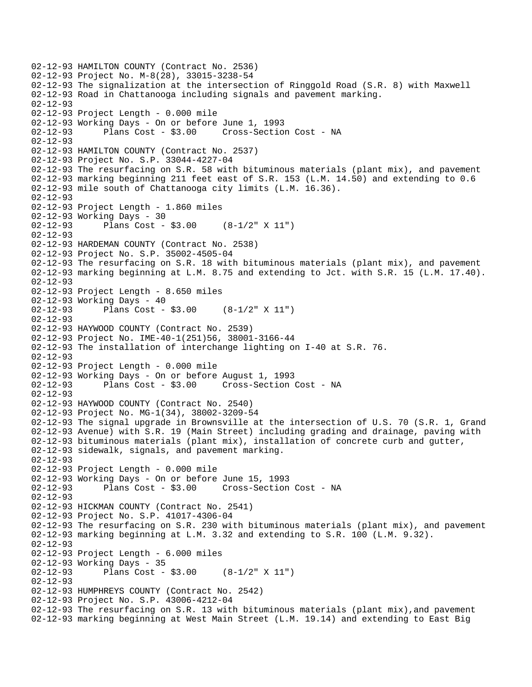```
02-12-93 HAMILTON COUNTY (Contract No. 2536) 
02-12-93 Project No. M-8(28), 33015-3238-54 
02-12-93 The signalization at the intersection of Ringgold Road (S.R. 8) with Maxwell 
02-12-93 Road in Chattanooga including signals and pavement marking. 
02-12-93 
02-12-93 Project Length - 0.000 mile 
02-12-93 Working Days - On or before June 1, 1993 
02-12-93 Plans Cost - $3.00 Cross-Section Cost - NA 
02-12-93 
02-12-93 HAMILTON COUNTY (Contract No. 2537) 
02-12-93 Project No. S.P. 33044-4227-04 
02-12-93 The resurfacing on S.R. 58 with bituminous materials (plant mix), and pavement 
02-12-93 marking beginning 211 feet east of S.R. 153 (L.M. 14.50) and extending to 0.6 
02-12-93 mile south of Chattanooga city limits (L.M. 16.36). 
02-12-93 
02-12-93 Project Length - 1.860 miles 
02-12-93 Working Days - 30 
02-12-93 Plans Cost - $3.00 (8-1/2" X 11") 
02-12-93 
02-12-93 HARDEMAN COUNTY (Contract No. 2538) 
02-12-93 Project No. S.P. 35002-4505-04 
02-12-93 The resurfacing on S.R. 18 with bituminous materials (plant mix), and pavement 
02-12-93 marking beginning at L.M. 8.75 and extending to Jct. with S.R. 15 (L.M. 17.40). 
02-12-93 
02-12-93 Project Length - 8.650 miles 
02-12-93 Working Days - 40 
02-12-93 Plans Cost - $3.00 (8-1/2" X 11") 
02-12-93 
02-12-93 HAYWOOD COUNTY (Contract No. 2539) 
02-12-93 Project No. IME-40-1(251)56, 38001-3166-44 
02-12-93 The installation of interchange lighting on I-40 at S.R. 76. 
02-12-93 
02-12-93 Project Length - 0.000 mile 
02-12-93 Working Days - On or before August 1, 1993 
              Plans Cost - $3.00 Cross-Section Cost - NA
02-12-93 
02-12-93 HAYWOOD COUNTY (Contract No. 2540) 
02-12-93 Project No. MG-1(34), 38002-3209-54 
02-12-93 The signal upgrade in Brownsville at the intersection of U.S. 70 (S.R. 1, Grand 
02-12-93 Avenue) with S.R. 19 (Main Street) including grading and drainage, paving with 
02-12-93 bituminous materials (plant mix), installation of concrete curb and gutter, 
02-12-93 sidewalk, signals, and pavement marking. 
02-12-93 
02-12-93 Project Length - 0.000 mile 
02-12-93 Working Days - On or before June 15, 1993 
02-12-93 Plans Cost - $3.00 Cross-Section Cost - NA 
02-12-93 
02-12-93 HICKMAN COUNTY (Contract No. 2541) 
02-12-93 Project No. S.P. 41017-4306-04 
02-12-93 The resurfacing on S.R. 230 with bituminous materials (plant mix), and pavement 
02-12-93 marking beginning at L.M. 3.32 and extending to S.R. 100 (L.M. 9.32). 
02-12-93 
02-12-93 Project Length - 6.000 miles 
02-12-93 Working Days - 35 
02-12-93 Plans Cost - $3.00 (8-1/2" X 11") 
02-12-93 
02-12-93 HUMPHREYS COUNTY (Contract No. 2542) 
02-12-93 Project No. S.P. 43006-4212-04 
02-12-93 The resurfacing on S.R. 13 with bituminous materials (plant mix),and pavement 
02-12-93 marking beginning at West Main Street (L.M. 19.14) and extending to East Big
```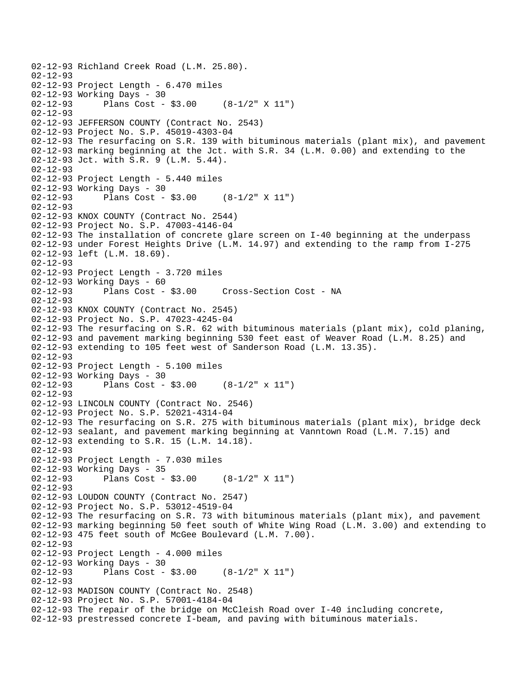```
02-12-93 Richland Creek Road (L.M. 25.80). 
02-12-93 
02-12-93 Project Length - 6.470 miles 
02-12-93 Working Days - 30<br>02-12-93 Plans Cost -
              Plans Cost - $3.00 (8-1/2" X 11")
02-12-93 
02-12-93 JEFFERSON COUNTY (Contract No. 2543) 
02-12-93 Project No. S.P. 45019-4303-04 
02-12-93 The resurfacing on S.R. 139 with bituminous materials (plant mix), and pavement 
02-12-93 marking beginning at the Jct. with S.R. 34 (L.M. 0.00) and extending to the 
02-12-93 Jct. with S.R. 9 (L.M. 5.44). 
02-12-93 
02-12-93 Project Length - 5.440 miles 
02-12-93 Working Days - 30 
02-12-93 Plans Cost - $3.00 (8-1/2" X 11") 
02 - 12 - 9302-12-93 KNOX COUNTY (Contract No. 2544) 
02-12-93 Project No. S.P. 47003-4146-04 
02-12-93 The installation of concrete glare screen on I-40 beginning at the underpass 
02-12-93 under Forest Heights Drive (L.M. 14.97) and extending to the ramp from I-275 
02-12-93 left (L.M. 18.69). 
02-12-93 
02-12-93 Project Length - 3.720 miles 
02-12-93 Working Days - 60<br>02-12-93 Plans Cost - $3.00
                                     Cross-Section Cost - NA
02 - 12 - 9302-12-93 KNOX COUNTY (Contract No. 2545) 
02-12-93 Project No. S.P. 47023-4245-04 
02-12-93 The resurfacing on S.R. 62 with bituminous materials (plant mix), cold planing, 
02-12-93 and pavement marking beginning 530 feet east of Weaver Road (L.M. 8.25) and 
02-12-93 extending to 105 feet west of Sanderson Road (L.M. 13.35). 
02-12-93 
02-12-93 Project Length - 5.100 miles 
02-12-93 Working Days - 30<br>02-12-93 Plans Cost -
              Plans Cost - $3.00 (8-1/2" x 11")
02-12-93 
02-12-93 LINCOLN COUNTY (Contract No. 2546) 
02-12-93 Project No. S.P. 52021-4314-04 
02-12-93 The resurfacing on S.R. 275 with bituminous materials (plant mix), bridge deck 
02-12-93 sealant, and pavement marking beginning at Vanntown Road (L.M. 7.15) and 
02-12-93 extending to S.R. 15 (L.M. 14.18). 
02-12-93 
02-12-93 Project Length - 7.030 miles 
02-12-93 Working Days - 35 
02-12-93 Plans Cost - $3.00 (8-1/2" X 11") 
02-12-93 
02-12-93 LOUDON COUNTY (Contract No. 2547) 
02-12-93 Project No. S.P. 53012-4519-04 
02-12-93 The resurfacing on S.R. 73 with bituminous materials (plant mix), and pavement 
02-12-93 marking beginning 50 feet south of White Wing Road (L.M. 3.00) and extending to 
02-12-93 475 feet south of McGee Boulevard (L.M. 7.00). 
02-12-93 
02-12-93 Project Length - 4.000 miles 
02-12-93 Working Days - 30<br>02-12-93 Plans Cost -
              Plans Cost - $3.00 (8-1/2" X 11")
02-12-93 
02-12-93 MADISON COUNTY (Contract No. 2548) 
02-12-93 Project No. S.P. 57001-4184-04 
02-12-93 The repair of the bridge on McCleish Road over I-40 including concrete, 
02-12-93 prestressed concrete I-beam, and paving with bituminous materials.
```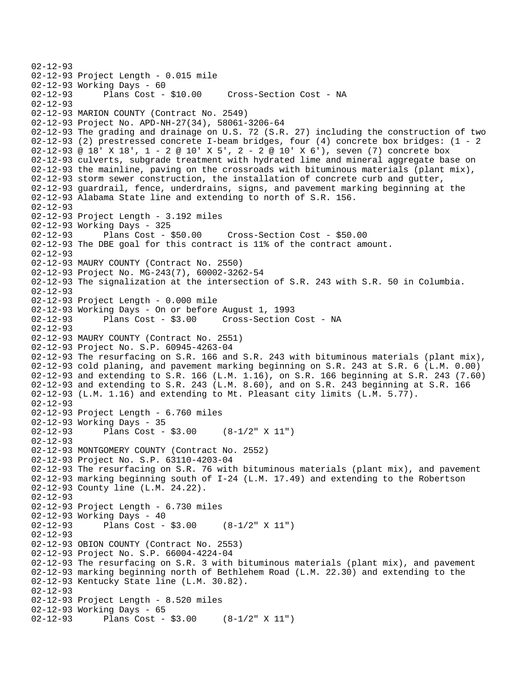```
02-12-93 
02-12-93 Project Length - 0.015 mile 
02-12-93 Working Days - 60 
02-12-93 Plans Cost - $10.00 Cross-Section Cost - NA 
02-12-93 
02-12-93 MARION COUNTY (Contract No. 2549) 
02-12-93 Project No. APD-NH-27(34), 58061-3206-64 
02-12-93 The grading and drainage on U.S. 72 (S.R. 27) including the construction of two 
02-12-93 (2) prestressed concrete I-beam bridges, four (4) concrete box bridges: (1 - 2 
02-12-93 @ 18' X 18', 1 - 2 @ 10' X 5', 2 - 2 @ 10' X 6'), seven (7) concrete box 
02-12-93 culverts, subgrade treatment with hydrated lime and mineral aggregate base on 
02-12-93 the mainline, paving on the crossroads with bituminous materials (plant mix), 
02-12-93 storm sewer construction, the installation of concrete curb and gutter, 
02-12-93 guardrail, fence, underdrains, signs, and pavement marking beginning at the 
02-12-93 Alabama State line and extending to north of S.R. 156. 
02 - 12 - 9302-12-93 Project Length - 3.192 miles 
02-12-93 Working Days - 325 
02-12-93 Plans Cost - $50.00 Cross-Section Cost - $50.00 
02-12-93 The DBE goal for this contract is 11% of the contract amount. 
02-12-93 
02-12-93 MAURY COUNTY (Contract No. 2550) 
02-12-93 Project No. MG-243(7), 60002-3262-54 
02-12-93 The signalization at the intersection of S.R. 243 with S.R. 50 in Columbia. 
02-12-93 
02-12-93 Project Length - 0.000 mile 
02-12-93 Working Days - On or before August 1, 1993 
              Plans Cost - $3.00 Cross-Section Cost - NA
02-12-93 
02-12-93 MAURY COUNTY (Contract No. 2551) 
02-12-93 Project No. S.P. 60945-4263-04 
02-12-93 The resurfacing on S.R. 166 and S.R. 243 with bituminous materials (plant mix), 
02-12-93 cold planing, and pavement marking beginning on S.R. 243 at S.R. 6 (L.M. 0.00) 
02-12-93 and extending to S.R. 166 (L.M. 1.16), on S.R. 166 beginning at S.R. 243 (7.60) 
02-12-93 and extending to S.R. 243 (L.M. 8.60), and on S.R. 243 beginning at S.R. 166 
02-12-93 (L.M. 1.16) and extending to Mt. Pleasant city limits (L.M. 5.77). 
02-12-93 
02-12-93 Project Length - 6.760 miles 
02-12-93 Working Days - 35 
02-12-93 Plans Cost - $3.00 (8-1/2" X 11") 
02-12-93 
02-12-93 MONTGOMERY COUNTY (Contract No. 2552) 
02-12-93 Project No. S.P. 63110-4203-04 
02-12-93 The resurfacing on S.R. 76 with bituminous materials (plant mix), and pavement 
02-12-93 marking beginning south of I-24 (L.M. 17.49) and extending to the Robertson 
02-12-93 County line (L.M. 24.22). 
02-12-93 
02-12-93 Project Length - 6.730 miles 
02-12-93 Working Days - 40 
02-12-93 Plans Cost - $3.00 (8-1/2" X 11") 
02-12-93 
02-12-93 OBION COUNTY (Contract No. 2553) 
02-12-93 Project No. S.P. 66004-4224-04 
02-12-93 The resurfacing on S.R. 3 with bituminous materials (plant mix), and pavement 
02-12-93 marking beginning north of Bethlehem Road (L.M. 22.30) and extending to the 
02-12-93 Kentucky State line (L.M. 30.82). 
02-12-93 
02-12-93 Project Length - 8.520 miles 
02-12-93 Working Days - 65 
02-12-93 Plans Cost - $3.00 (8-1/2" X 11")
```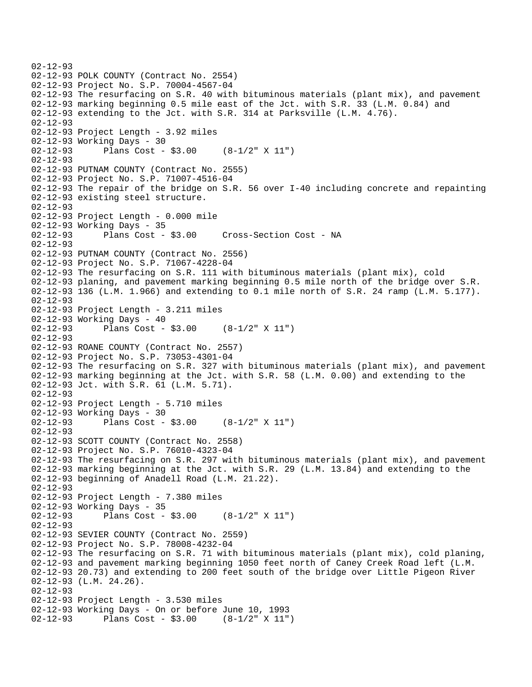```
02-12-93 
02-12-93 POLK COUNTY (Contract No. 2554) 
02-12-93 Project No. S.P. 70004-4567-04 
02-12-93 The resurfacing on S.R. 40 with bituminous materials (plant mix), and pavement 
02-12-93 marking beginning 0.5 mile east of the Jct. with S.R. 33 (L.M. 0.84) and 
02-12-93 extending to the Jct. with S.R. 314 at Parksville (L.M. 4.76). 
02-12-93 
02-12-93 Project Length - 3.92 miles 
02-12-93 Working Days - 30 
02-12-93 Plans Cost - $3.00 (8-1/2" X 11") 
02-12-93 
02-12-93 PUTNAM COUNTY (Contract No. 2555) 
02-12-93 Project No. S.P. 71007-4516-04 
02-12-93 The repair of the bridge on S.R. 56 over I-40 including concrete and repainting 
02-12-93 existing steel structure. 
02-12-93 
02-12-93 Project Length - 0.000 mile 
02-12-93 Working Days - 35 
02-12-93 Plans Cost - $3.00 Cross-Section Cost - NA 
02-12-93 
02-12-93 PUTNAM COUNTY (Contract No. 2556) 
02-12-93 Project No. S.P. 71067-4228-04 
02-12-93 The resurfacing on S.R. 111 with bituminous materials (plant mix), cold 
02-12-93 planing, and pavement marking beginning 0.5 mile north of the bridge over S.R. 
02-12-93 136 (L.M. 1.966) and extending to 0.1 mile north of S.R. 24 ramp (L.M. 5.177). 
02-12-93 
02-12-93 Project Length - 3.211 miles 
02-12-93 Working Days - 40 
02-12-93 Plans Cost - $3.00 (8-1/2" X 11") 
02-12-93 
02-12-93 ROANE COUNTY (Contract No. 2557) 
02-12-93 Project No. S.P. 73053-4301-04 
02-12-93 The resurfacing on S.R. 327 with bituminous materials (plant mix), and pavement 
02-12-93 marking beginning at the Jct. with S.R. 58 (L.M. 0.00) and extending to the 
02-12-93 Jct. with S.R. 61 (L.M. 5.71). 
02-12-93 
02-12-93 Project Length - 5.710 miles 
02-12-93 Working Days - 30 
02-12-93 Plans Cost - $3.00 (8-1/2" X 11") 
02-12-93 
02-12-93 SCOTT COUNTY (Contract No. 2558) 
02-12-93 Project No. S.P. 76010-4323-04 
02-12-93 The resurfacing on S.R. 297 with bituminous materials (plant mix), and pavement 
02-12-93 marking beginning at the Jct. with S.R. 29 (L.M. 13.84) and extending to the 
02-12-93 beginning of Anadell Road (L.M. 21.22). 
02-12-93 
02-12-93 Project Length - 7.380 miles 
02-12-93 Working Days - 35<br>02-12-93 Plans Cost -
              Plans Cost - $3.00 (8-1/2" X 11")
02-12-93 
02-12-93 SEVIER COUNTY (Contract No. 2559) 
02-12-93 Project No. S.P. 78008-4232-04 
02-12-93 The resurfacing on S.R. 71 with bituminous materials (plant mix), cold planing, 
02-12-93 and pavement marking beginning 1050 feet north of Caney Creek Road left (L.M. 
02-12-93 20.73) and extending to 200 feet south of the bridge over Little Pigeon River 
02-12-93 (L.M. 24.26). 
02-12-93 
02-12-93 Project Length - 3.530 miles 
02-12-93 Working Days - On or before June 10, 1993 
02-12-93 Plans Cost - $3.00 (8-1/2" X 11")
```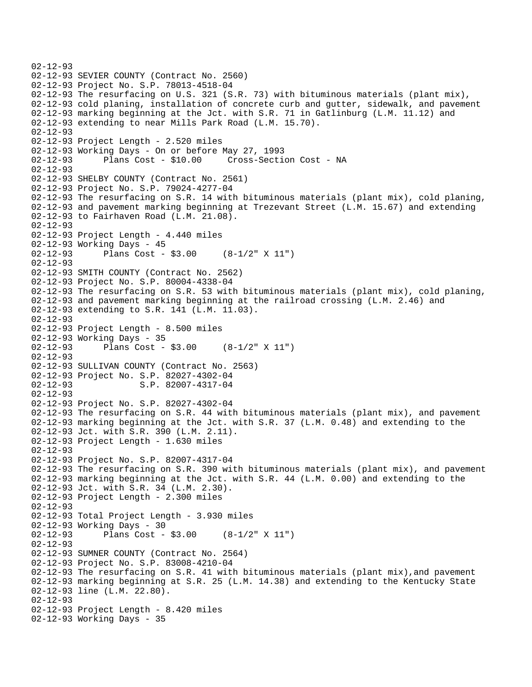```
02-12-93 
02-12-93 SEVIER COUNTY (Contract No. 2560) 
02-12-93 Project No. S.P. 78013-4518-04 
02-12-93 The resurfacing on U.S. 321 (S.R. 73) with bituminous materials (plant mix), 
02-12-93 cold planing, installation of concrete curb and gutter, sidewalk, and pavement 
02-12-93 marking beginning at the Jct. with S.R. 71 in Gatlinburg (L.M. 11.12) and 
02-12-93 extending to near Mills Park Road (L.M. 15.70). 
02-12-93 
02-12-93 Project Length - 2.520 miles 
02-12-93 Working Days - On or before May 27, 1993 
02-12-93 Plans Cost - $10.00 Cross-Section Cost - NA 
02-12-93 
02-12-93 SHELBY COUNTY (Contract No. 2561) 
02-12-93 Project No. S.P. 79024-4277-04 
02-12-93 The resurfacing on S.R. 14 with bituminous materials (plant mix), cold planing, 
02-12-93 and pavement marking beginning at Trezevant Street (L.M. 15.67) and extending 
02-12-93 to Fairhaven Road (L.M. 21.08). 
02-12-93 
02-12-93 Project Length - 4.440 miles 
02-12-93 Working Days - 45 
02-12-93 Plans Cost - $3.00 (8-1/2" X 11") 
02-12-93 
02-12-93 SMITH COUNTY (Contract No. 2562) 
02-12-93 Project No. S.P. 80004-4338-04 
02-12-93 The resurfacing on S.R. 53 with bituminous materials (plant mix), cold planing, 
02-12-93 and pavement marking beginning at the railroad crossing (L.M. 2.46) and 
02-12-93 extending to S.R. 141 (L.M. 11.03). 
02-12-93 
02-12-93 Project Length - 8.500 miles 
02-12-93 Working Days - 35 
02-12-93 Plans Cost - $3.00 (8-1/2" X 11") 
02-12-93 
02-12-93 SULLIVAN COUNTY (Contract No. 2563) 
02-12-93 Project No. S.P. 82027-4302-04 
                     S.P. 82007-4317-04
02-12-93 
02-12-93 Project No. S.P. 82027-4302-04 
02-12-93 The resurfacing on S.R. 44 with bituminous materials (plant mix), and pavement 
02-12-93 marking beginning at the Jct. with S.R. 37 (L.M. 0.48) and extending to the 
02-12-93 Jct. with S.R. 390 (L.M. 2.11). 
02-12-93 Project Length - 1.630 miles 
02-12-93 
02-12-93 Project No. S.P. 82007-4317-04 
02-12-93 The resurfacing on S.R. 390 with bituminous materials (plant mix), and pavement 
02-12-93 marking beginning at the Jct. with S.R. 44 (L.M. 0.00) and extending to the 
02-12-93 Jct. with S.R. 34 (L.M. 2.30). 
02-12-93 Project Length - 2.300 miles 
02-12-93 
02-12-93 Total Project Length - 3.930 miles 
02-12-93 Working Days - 30<br>02-12-93 Plans Cost -
              Plans Cost - $3.00 (8-1/2" X 11")
02-12-93 
02-12-93 SUMNER COUNTY (Contract No. 2564) 
02-12-93 Project No. S.P. 83008-4210-04 
02-12-93 The resurfacing on S.R. 41 with bituminous materials (plant mix),and pavement 
02-12-93 marking beginning at S.R. 25 (L.M. 14.38) and extending to the Kentucky State 
02-12-93 line (L.M. 22.80). 
02-12-93 
02-12-93 Project Length - 8.420 miles 
02-12-93 Working Days - 35
```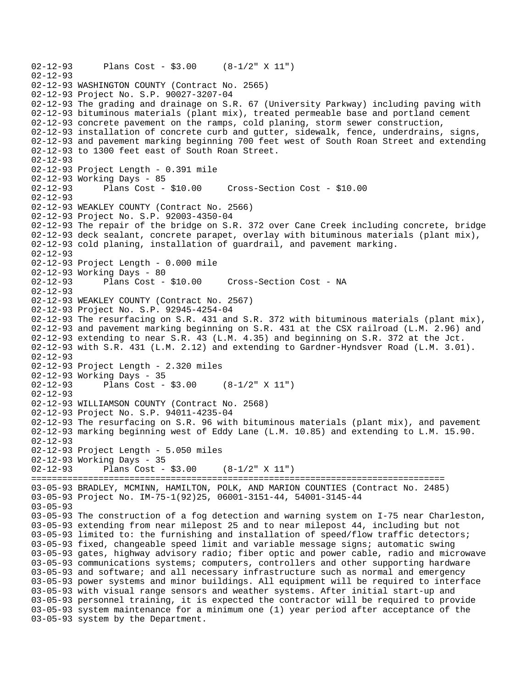02-12-93 Plans Cost - \$3.00 (8-1/2" X 11") 02-12-93 02-12-93 WASHINGTON COUNTY (Contract No. 2565) 02-12-93 Project No. S.P. 90027-3207-04 02-12-93 The grading and drainage on S.R. 67 (University Parkway) including paving with 02-12-93 bituminous materials (plant mix), treated permeable base and portland cement 02-12-93 concrete pavement on the ramps, cold planing, storm sewer construction, 02-12-93 installation of concrete curb and gutter, sidewalk, fence, underdrains, signs, 02-12-93 and pavement marking beginning 700 feet west of South Roan Street and extending 02-12-93 to 1300 feet east of South Roan Street. 02-12-93 02-12-93 Project Length - 0.391 mile 02-12-93 Working Days - 85 02-12-93 Plans Cost - \$10.00 Cross-Section Cost - \$10.00 02-12-93 02-12-93 WEAKLEY COUNTY (Contract No. 2566) 02-12-93 Project No. S.P. 92003-4350-04 02-12-93 The repair of the bridge on S.R. 372 over Cane Creek including concrete, bridge 02-12-93 deck sealant, concrete parapet, overlay with bituminous materials (plant mix), 02-12-93 cold planing, installation of guardrail, and pavement marking. 02-12-93 02-12-93 Project Length - 0.000 mile 02-12-93 Working Days - 80 02-12-93 Plans Cost - \$10.00 Cross-Section Cost - NA 02-12-93 02-12-93 WEAKLEY COUNTY (Contract No. 2567) 02-12-93 Project No. S.P. 92945-4254-04 02-12-93 The resurfacing on S.R. 431 and S.R. 372 with bituminous materials (plant mix), 02-12-93 and pavement marking beginning on S.R. 431 at the CSX railroad (L.M. 2.96) and 02-12-93 extending to near S.R. 43 (L.M. 4.35) and beginning on S.R. 372 at the Jct. 02-12-93 with S.R. 431 (L.M. 2.12) and extending to Gardner-Hyndsver Road (L.M. 3.01). 02-12-93 02-12-93 Project Length - 2.320 miles 02-12-93 Working Days - 35<br>02-12-93 Plans Cost -Plans Cost -  $$3.00$  (8-1/2" X 11") 02-12-93 02-12-93 WILLIAMSON COUNTY (Contract No. 2568) 02-12-93 Project No. S.P. 94011-4235-04 02-12-93 The resurfacing on S.R. 96 with bituminous materials (plant mix), and pavement 02-12-93 marking beginning west of Eddy Lane (L.M. 10.85) and extending to L.M. 15.90. 02-12-93 02-12-93 Project Length - 5.050 miles 02-12-93 Working Days - 35 02-12-93 Plans Cost - \$3.00 (8-1/2" X 11") ================================================================================ 03-05-93 BRADLEY, MCMINN, HAMILTON, POLK, AND MARION COUNTIES (Contract No. 2485) 03-05-93 Project No. IM-75-1(92)25, 06001-3151-44, 54001-3145-44 03-05-93 03-05-93 The construction of a fog detection and warning system on I-75 near Charleston, 03-05-93 extending from near milepost 25 and to near milepost 44, including but not 03-05-93 limited to: the furnishing and installation of speed/flow traffic detectors; 03-05-93 fixed, changeable speed limit and variable message signs; automatic swing 03-05-93 gates, highway advisory radio; fiber optic and power cable, radio and microwave 03-05-93 communications systems; computers, controllers and other supporting hardware 03-05-93 and software; and all necessary infrastructure such as normal and emergency 03-05-93 power systems and minor buildings. All equipment will be required to interface 03-05-93 with visual range sensors and weather systems. After initial start-up and 03-05-93 personnel training, it is expected the contractor will be required to provide 03-05-93 system maintenance for a minimum one (1) year period after acceptance of the 03-05-93 system by the Department.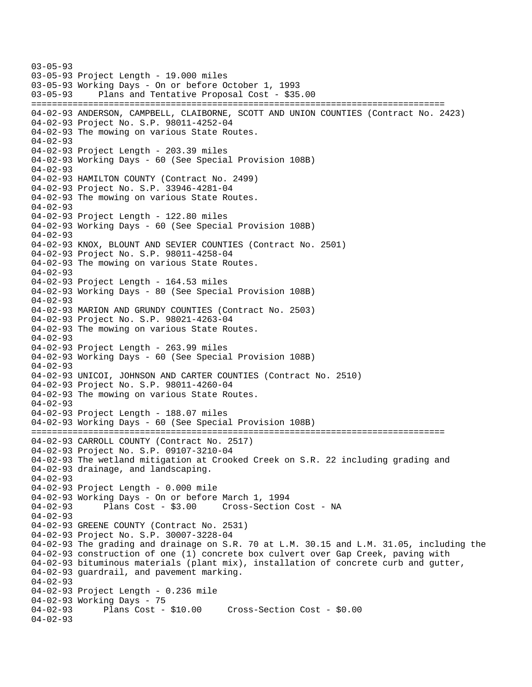03-05-93 03-05-93 Project Length - 19.000 miles 03-05-93 Working Days - On or before October 1, 1993 03-05-93 Plans and Tentative Proposal Cost - \$35.00 ================================================================================ 04-02-93 ANDERSON, CAMPBELL, CLAIBORNE, SCOTT AND UNION COUNTIES (Contract No. 2423) 04-02-93 Project No. S.P. 98011-4252-04 04-02-93 The mowing on various State Routes. 04-02-93 04-02-93 Project Length - 203.39 miles 04-02-93 Working Days - 60 (See Special Provision 108B) 04-02-93 04-02-93 HAMILTON COUNTY (Contract No. 2499) 04-02-93 Project No. S.P. 33946-4281-04 04-02-93 The mowing on various State Routes. 04-02-93 04-02-93 Project Length - 122.80 miles 04-02-93 Working Days - 60 (See Special Provision 108B) 04-02-93 04-02-93 KNOX, BLOUNT AND SEVIER COUNTIES (Contract No. 2501) 04-02-93 Project No. S.P. 98011-4258-04 04-02-93 The mowing on various State Routes. 04-02-93 04-02-93 Project Length - 164.53 miles 04-02-93 Working Days - 80 (See Special Provision 108B) 04-02-93 04-02-93 MARION AND GRUNDY COUNTIES (Contract No. 2503) 04-02-93 Project No. S.P. 98021-4263-04 04-02-93 The mowing on various State Routes. 04-02-93 04-02-93 Project Length - 263.99 miles 04-02-93 Working Days - 60 (See Special Provision 108B) 04-02-93 04-02-93 UNICOI, JOHNSON AND CARTER COUNTIES (Contract No. 2510) 04-02-93 Project No. S.P. 98011-4260-04 04-02-93 The mowing on various State Routes. 04-02-93 04-02-93 Project Length - 188.07 miles 04-02-93 Working Days - 60 (See Special Provision 108B) ================================================================================ 04-02-93 CARROLL COUNTY (Contract No. 2517) 04-02-93 Project No. S.P. 09107-3210-04 04-02-93 The wetland mitigation at Crooked Creek on S.R. 22 including grading and 04-02-93 drainage, and landscaping. 04-02-93 04-02-93 Project Length - 0.000 mile 04-02-93 Working Days - On or before March 1, 1994<br>04-02-93 Plans Cost - \$3.00 Cross-Section 04-02-93 Plans Cost - \$3.00 Cross-Section Cost - NA 04-02-93 04-02-93 GREENE COUNTY (Contract No. 2531) 04-02-93 Project No. S.P. 30007-3228-04 04-02-93 The grading and drainage on S.R. 70 at L.M. 30.15 and L.M. 31.05, including the 04-02-93 construction of one (1) concrete box culvert over Gap Creek, paving with 04-02-93 bituminous materials (plant mix), installation of concrete curb and gutter, 04-02-93 guardrail, and pavement marking. 04-02-93 04-02-93 Project Length - 0.236 mile 04-02-93 Working Days - 75 04-02-93 Plans Cost - \$10.00 Cross-Section Cost - \$0.00 04-02-93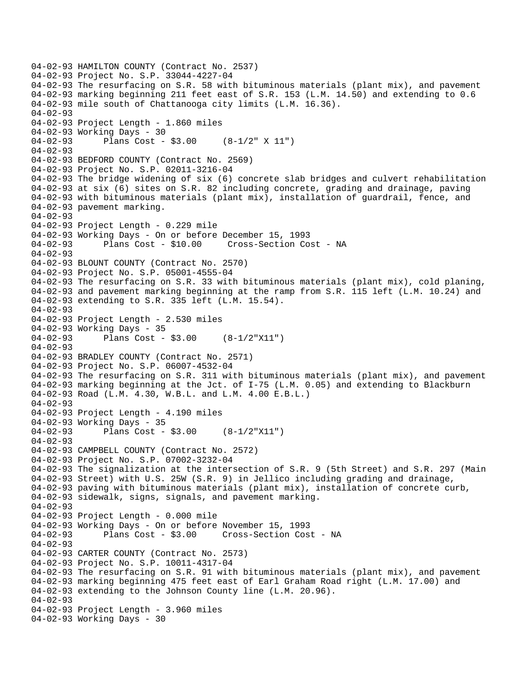```
04-02-93 HAMILTON COUNTY (Contract No. 2537) 
04-02-93 Project No. S.P. 33044-4227-04 
04-02-93 The resurfacing on S.R. 58 with bituminous materials (plant mix), and pavement 
04-02-93 marking beginning 211 feet east of S.R. 153 (L.M. 14.50) and extending to 0.6 
04-02-93 mile south of Chattanooga city limits (L.M. 16.36). 
04-02-93 
04-02-93 Project Length - 1.860 miles 
04-02-93 Working Days - 30 
04-02-93 Plans Cost - $3.00 (8-1/2" X 11") 
04-02-93 
04-02-93 BEDFORD COUNTY (Contract No. 2569) 
04-02-93 Project No. S.P. 02011-3216-04 
04-02-93 The bridge widening of six (6) concrete slab bridges and culvert rehabilitation 
04-02-93 at six (6) sites on S.R. 82 including concrete, grading and drainage, paving 
04-02-93 with bituminous materials (plant mix), installation of guardrail, fence, and 
04-02-93 pavement marking. 
04-02-93 
04-02-93 Project Length - 0.229 mile 
04-02-93 Working Days - On or before December 15, 1993 
04-02-93 Plans Cost - $10.00 Cross-Section Cost - NA 
04-02-93 
04-02-93 BLOUNT COUNTY (Contract No. 2570) 
04-02-93 Project No. S.P. 05001-4555-04 
04-02-93 The resurfacing on S.R. 33 with bituminous materials (plant mix), cold planing, 
04-02-93 and pavement marking beginning at the ramp from S.R. 115 left (L.M. 10.24) and 
04-02-93 extending to S.R. 335 left (L.M. 15.54). 
04-02-93 
04-02-93 Project Length - 2.530 miles
04-02-93 Working Days - 35 
04-02-93 Plans Cost - $3.00 (8-1/2"X11") 
04-02-93 
04-02-93 BRADLEY COUNTY (Contract No. 2571) 
04-02-93 Project No. S.P. 06007-4532-04 
04-02-93 The resurfacing on S.R. 311 with bituminous materials (plant mix), and pavement 
04-02-93 marking beginning at the Jct. of I-75 (L.M. 0.05) and extending to Blackburn 
04-02-93 Road (L.M. 4.30, W.B.L. and L.M. 4.00 E.B.L.) 
04-02-93 
04-02-93 Project Length - 4.190 miles 
04-02-93 Working Days - 35 
04-02-93 Plans Cost - $3.00 (8-1/2"X11") 
04 - 02 - 9304-02-93 CAMPBELL COUNTY (Contract No. 2572) 
04-02-93 Project No. S.P. 07002-3232-04 
04-02-93 The signalization at the intersection of S.R. 9 (5th Street) and S.R. 297 (Main 
04-02-93 Street) with U.S. 25W (S.R. 9) in Jellico including grading and drainage, 
04-02-93 paving with bituminous materials (plant mix), installation of concrete curb, 
04-02-93 sidewalk, signs, signals, and pavement marking. 
04-02-93 
04-02-93 Project Length - 0.000 mile 
04-02-93 Working Days - On or before November 15, 1993 
04-02-93 Plans Cost - $3.00 Cross-Section Cost - NA 
04-02-93 
04-02-93 CARTER COUNTY (Contract No. 2573) 
04-02-93 Project No. S.P. 10011-4317-04 
04-02-93 The resurfacing on S.R. 91 with bituminous materials (plant mix), and pavement 
04-02-93 marking beginning 475 feet east of Earl Graham Road right (L.M. 17.00) and 
04-02-93 extending to the Johnson County line (L.M. 20.96). 
04-02-93 
04-02-93 Project Length - 3.960 miles 
04-02-93 Working Days - 30
```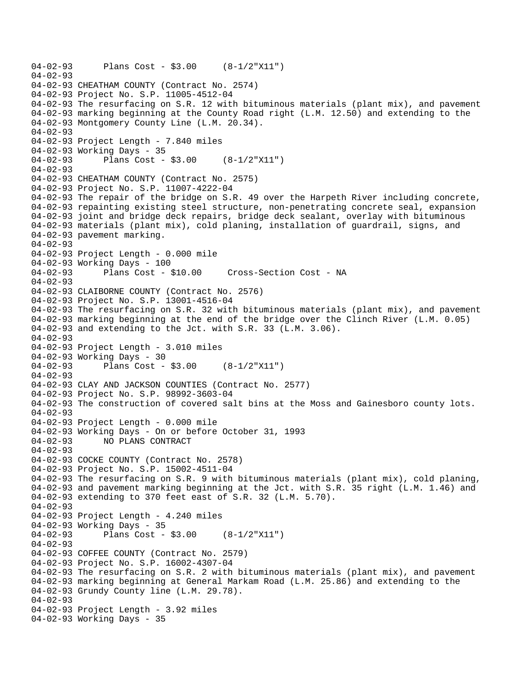```
04-02-93 Plans Cost - $3.00 (8-1/2"X11") 
04-02-93 
04-02-93 CHEATHAM COUNTY (Contract No. 2574) 
04-02-93 Project No. S.P. 11005-4512-04 
04-02-93 The resurfacing on S.R. 12 with bituminous materials (plant mix), and pavement 
04-02-93 marking beginning at the County Road right (L.M. 12.50) and extending to the 
04-02-93 Montgomery County Line (L.M. 20.34). 
04-02-93 
04-02-93 Project Length - 7.840 miles 
04-02-93 Working Days - 35 
04-02-93 Plans Cost - $3.00 (8-1/2"X11") 
04-02-93 
04-02-93 CHEATHAM COUNTY (Contract No. 2575) 
04-02-93 Project No. S.P. 11007-4222-04 
04-02-93 The repair of the bridge on S.R. 49 over the Harpeth River including concrete, 
04-02-93 repainting existing steel structure, non-penetrating concrete seal, expansion 
04-02-93 joint and bridge deck repairs, bridge deck sealant, overlay with bituminous 
04-02-93 materials (plant mix), cold planing, installation of guardrail, signs, and 
04-02-93 pavement marking. 
04-02-93 
04-02-93 Project Length - 0.000 mile 
04-02-93 Working Days - 100<br>04-02-93 Plans Cost - $10.00
04-02-93 Plans Cost - $10.00 Cross-Section Cost - NA 
04-02-93 
04-02-93 CLAIBORNE COUNTY (Contract No. 2576) 
04-02-93 Project No. S.P. 13001-4516-04 
04-02-93 The resurfacing on S.R. 32 with bituminous materials (plant mix), and pavement 
04-02-93 marking beginning at the end of the bridge over the Clinch River (L.M. 0.05) 
04-02-93 and extending to the Jct. with S.R. 33 (L.M. 3.06). 
04-02-93 
04-02-93 Project Length - 3.010 miles 
04-02-93 Working Days - 30<br>04-02-93 Plans Cost -
              Plans Cost - $3.00 (8-1/2"X11")
04-02-93 
04-02-93 CLAY AND JACKSON COUNTIES (Contract No. 2577) 
04-02-93 Project No. S.P. 98992-3603-04 
04-02-93 The construction of covered salt bins at the Moss and Gainesboro county lots. 
04 - 02 - 9304-02-93 Project Length - 0.000 mile 
04-02-93 Working Days - On or before October 31, 1993 
04-02-93 NO PLANS CONTRACT 
04-02-93 
04-02-93 COCKE COUNTY (Contract No. 2578) 
04-02-93 Project No. S.P. 15002-4511-04 
04-02-93 The resurfacing on S.R. 9 with bituminous materials (plant mix), cold planing, 
04-02-93 and pavement marking beginning at the Jct. with S.R. 35 right (L.M. 1.46) and 
04-02-93 extending to 370 feet east of S.R. 32 (L.M. 5.70). 
04-02-93 
04-02-93 Project Length - 4.240 miles
04-02-93 Working Days - 35 
04-02-93 Plans Cost - $3.00 (8-1/2"X11") 
04-02-93 
04-02-93 COFFEE COUNTY (Contract No. 2579) 
04-02-93 Project No. S.P. 16002-4307-04 
04-02-93 The resurfacing on S.R. 2 with bituminous materials (plant mix), and pavement 
04-02-93 marking beginning at General Markam Road (L.M. 25.86) and extending to the 
04-02-93 Grundy County line (L.M. 29.78). 
04-02-93 
04-02-93 Project Length - 3.92 miles 
04-02-93 Working Days - 35
```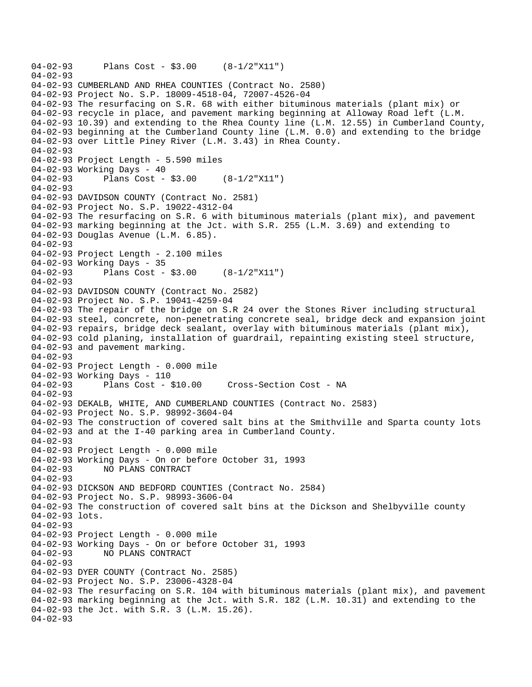```
04-02-93 Plans Cost - $3.00 (8-1/2"X11") 
04-02-93 
04-02-93 CUMBERLAND AND RHEA COUNTIES (Contract No. 2580) 
04-02-93 Project No. S.P. 18009-4518-04, 72007-4526-04 
04-02-93 The resurfacing on S.R. 68 with either bituminous materials (plant mix) or 
04-02-93 recycle in place, and pavement marking beginning at Alloway Road left (L.M. 
04-02-93 10.39) and extending to the Rhea County line (L.M. 12.55) in Cumberland County, 
04-02-93 beginning at the Cumberland County line (L.M. 0.0) and extending to the bridge 
04-02-93 over Little Piney River (L.M. 3.43) in Rhea County. 
04-02-93 
04-02-93 Project Length - 5.590 miles 
04-02-93 Working Days - 40 
04-02-93 Plans Cost - $3.00 (8-1/2"X11") 
04-02-93 
04-02-93 DAVIDSON COUNTY (Contract No. 2581) 
04-02-93 Project No. S.P. 19022-4312-04 
04-02-93 The resurfacing on S.R. 6 with bituminous materials (plant mix), and pavement 
04-02-93 marking beginning at the Jct. with S.R. 255 (L.M. 3.69) and extending to 
04-02-93 Douglas Avenue (L.M. 6.85). 
04-02-93 
04-02-93 Project Length - 2.100 miles 
04-02-93 Working Days - 35 
04-02-93 Plans Cost - $3.00 (8-1/2"X11") 
04-02-93 
04-02-93 DAVIDSON COUNTY (Contract No. 2582) 
04-02-93 Project No. S.P. 19041-4259-04 
04-02-93 The repair of the bridge on S.R 24 over the Stones River including structural 
04-02-93 steel, concrete, non-penetrating concrete seal, bridge deck and expansion joint 
04-02-93 repairs, bridge deck sealant, overlay with bituminous materials (plant mix), 
04-02-93 cold planing, installation of guardrail, repainting existing steel structure, 
04-02-93 and pavement marking. 
04-02-93 
04-02-93 Project Length - 0.000 mile 
04-02-93 Working Days - 110 
                                      Cross-Section Cost - NA
04 - 02 - 9304-02-93 DEKALB, WHITE, AND CUMBERLAND COUNTIES (Contract No. 2583) 
04-02-93 Project No. S.P. 98992-3604-04 
04-02-93 The construction of covered salt bins at the Smithville and Sparta county lots 
04-02-93 and at the I-40 parking area in Cumberland County. 
04-02-93 
04-02-93 Project Length - 0.000 mile 
04-02-93 Working Days - On or before October 31, 1993 
04-02-93 NO PLANS CONTRACT 
04-02-93 
04-02-93 DICKSON AND BEDFORD COUNTIES (Contract No. 2584) 
04-02-93 Project No. S.P. 98993-3606-04 
04-02-93 The construction of covered salt bins at the Dickson and Shelbyville county 
04-02-93 lots. 
04-02-93 
04-02-93 Project Length - 0.000 mile 
04-02-93 Working Days - On or before October 31, 1993 
04-02-93 NO PLANS CONTRACT 
04-02-93 
04-02-93 DYER COUNTY (Contract No. 2585) 
04-02-93 Project No. S.P. 23006-4328-04 
04-02-93 The resurfacing on S.R. 104 with bituminous materials (plant mix), and pavement 
04-02-93 marking beginning at the Jct. with S.R. 182 (L.M. 10.31) and extending to the 
04-02-93 the Jct. with S.R. 3 (L.M. 15.26). 
04-02-93
```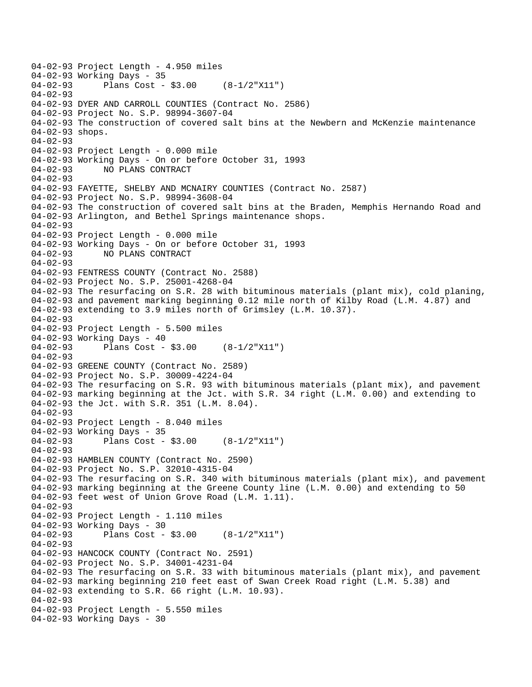```
04-02-93 Project Length - 4.950 miles 
04-02-93 Working Days - 35<br>04-02-93 Plans Cost -
              Plans Cost - $3.00 (8-1/2"X11")
04-02-93 
04-02-93 DYER AND CARROLL COUNTIES (Contract No. 2586) 
04-02-93 Project No. S.P. 98994-3607-04 
04-02-93 The construction of covered salt bins at the Newbern and McKenzie maintenance 
04-02-93 shops. 
04-02-93 
04-02-93 Project Length - 0.000 mile 
04-02-93 Working Days - On or before October 31, 1993 
04-02-93 NO PLANS CONTRACT 
04 - 02 - 9304-02-93 FAYETTE, SHELBY AND MCNAIRY COUNTIES (Contract No. 2587) 
04-02-93 Project No. S.P. 98994-3608-04 
04-02-93 The construction of covered salt bins at the Braden, Memphis Hernando Road and 
04-02-93 Arlington, and Bethel Springs maintenance shops. 
04-02-93 
04-02-93 Project Length - 0.000 mile 
04-02-93 Working Days - On or before October 31, 1993 
04-02-93 NO PLANS CONTRACT 
04-02-93 
04-02-93 FENTRESS COUNTY (Contract No. 2588) 
04-02-93 Project No. S.P. 25001-4268-04 
04-02-93 The resurfacing on S.R. 28 with bituminous materials (plant mix), cold planing, 
04-02-93 and pavement marking beginning 0.12 mile north of Kilby Road (L.M. 4.87) and 
04-02-93 extending to 3.9 miles north of Grimsley (L.M. 10.37). 
04-02-93 
04-02-93 Project Length - 5.500 miles 
04-02-93 Working Days - 40 
04-02-93 Plans Cost - $3.00 (8-1/2"X11") 
04-02-93 
04-02-93 GREENE COUNTY (Contract No. 2589) 
04-02-93 Project No. S.P. 30009-4224-04 
04-02-93 The resurfacing on S.R. 93 with bituminous materials (plant mix), and pavement 
04-02-93 marking beginning at the Jct. with S.R. 34 right (L.M. 0.00) and extending to 
04-02-93 the Jct. with S.R. 351 (L.M. 8.04). 
04-02-93 
04-02-93 Project Length - 8.040 miles 
04-02-93 Working Days - 35 
04-02-93 Plans Cost - $3.00 (8-1/2"X11") 
04-02-93 
04-02-93 HAMBLEN COUNTY (Contract No. 2590) 
04-02-93 Project No. S.P. 32010-4315-04 
04-02-93 The resurfacing on S.R. 340 with bituminous materials (plant mix), and pavement 
04-02-93 marking beginning at the Greene County line (L.M. 0.00) and extending to 50 
04-02-93 feet west of Union Grove Road (L.M. 1.11). 
04-02-93 
04-02-93 Project Length - 1.110 miles 
04-02-93 Working Days - 30 
04-02-93 Plans Cost - $3.00 (8-1/2"X11") 
04-02-93 
04-02-93 HANCOCK COUNTY (Contract No. 2591) 
04-02-93 Project No. S.P. 34001-4231-04 
04-02-93 The resurfacing on S.R. 33 with bituminous materials (plant mix), and pavement 
04-02-93 marking beginning 210 feet east of Swan Creek Road right (L.M. 5.38) and 
04-02-93 extending to S.R. 66 right (L.M. 10.93). 
04-02-93 
04-02-93 Project Length - 5.550 miles 
04-02-93 Working Days - 30
```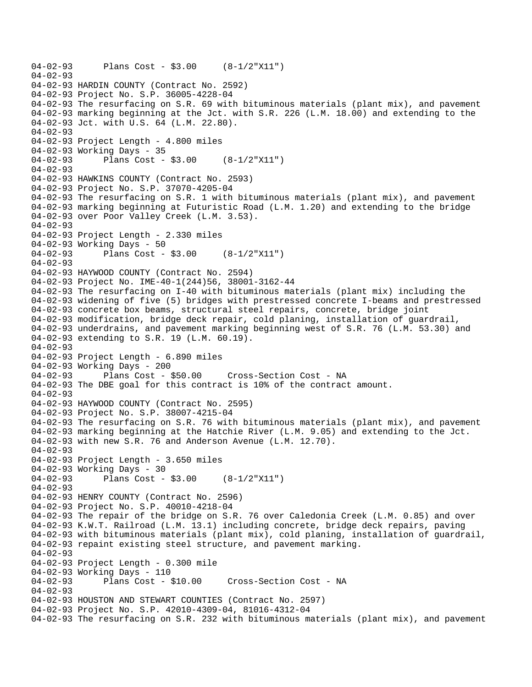```
04-02-93 Plans Cost - $3.00 (8-1/2"X11") 
04-02-93 
04-02-93 HARDIN COUNTY (Contract No. 2592) 
04-02-93 Project No. S.P. 36005-4228-04 
04-02-93 The resurfacing on S.R. 69 with bituminous materials (plant mix), and pavement 
04-02-93 marking beginning at the Jct. with S.R. 226 (L.M. 18.00) and extending to the 
04-02-93 Jct. with U.S. 64 (L.M. 22.80). 
04-02-93 
04-02-93 Project Length - 4.800 miles 
04-02-93 Working Days - 35 
04-02-93 Plans Cost - $3.00 (8-1/2"X11") 
04-02-93 
04-02-93 HAWKINS COUNTY (Contract No. 2593) 
04-02-93 Project No. S.P. 37070-4205-04 
04-02-93 The resurfacing on S.R. 1 with bituminous materials (plant mix), and pavement 
04-02-93 marking beginning at Futuristic Road (L.M. 1.20) and extending to the bridge 
04-02-93 over Poor Valley Creek (L.M. 3.53). 
04-02-93 
04-02-93 Project Length - 2.330 miles 
04-02-93 Working Days - 50 
04-02-93 Plans Cost - $3.00 (8-1/2"X11") 
04-02-93 
04-02-93 HAYWOOD COUNTY (Contract No. 2594) 
04-02-93 Project No. IME-40-1(244)56, 38001-3162-44 
04-02-93 The resurfacing on I-40 with bituminous materials (plant mix) including the 
04-02-93 widening of five (5) bridges with prestressed concrete I-beams and prestressed 
04-02-93 concrete box beams, structural steel repairs, concrete, bridge joint 
04-02-93 modification, bridge deck repair, cold planing, installation of guardrail, 
04-02-93 underdrains, and pavement marking beginning west of S.R. 76 (L.M. 53.30) and 
04-02-93 extending to S.R. 19 (L.M. 60.19). 
04-02-93 
04-02-93 Project Length - 6.890 miles 
04-02-93 Working Days - 200 
04-02-93 Plans Cost - $50.00 Cross-Section Cost - NA 
04-02-93 The DBE goal for this contract is 10% of the contract amount. 
04 - 02 - 9304-02-93 HAYWOOD COUNTY (Contract No. 2595) 
04-02-93 Project No. S.P. 38007-4215-04 
04-02-93 The resurfacing on S.R. 76 with bituminous materials (plant mix), and pavement 
04-02-93 marking beginning at the Hatchie River (L.M. 9.05) and extending to the Jct. 
04-02-93 with new S.R. 76 and Anderson Avenue (L.M. 12.70). 
04-02-93 
04-02-93 Project Length - 3.650 miles 
04-02-93 Working Days - 30 
04-02-93 Plans Cost - $3.00 (8-1/2"X11") 
04-02-93 
04-02-93 HENRY COUNTY (Contract No. 2596) 
04-02-93 Project No. S.P. 40010-4218-04 
04-02-93 The repair of the bridge on S.R. 76 over Caledonia Creek (L.M. 0.85) and over 
04-02-93 K.W.T. Railroad (L.M. 13.1) including concrete, bridge deck repairs, paving 
04-02-93 with bituminous materials (plant mix), cold planing, installation of guardrail, 
04-02-93 repaint existing steel structure, and pavement marking. 
04-02-93 
04-02-93 Project Length - 0.300 mile 
04-02-93 Working Days - 110 
04-02-93 Plans Cost - $10.00 Cross-Section Cost - NA 
04-02-93 
04-02-93 HOUSTON AND STEWART COUNTIES (Contract No. 2597) 
04-02-93 Project No. S.P. 42010-4309-04, 81016-4312-04 
04-02-93 The resurfacing on S.R. 232 with bituminous materials (plant mix), and pavement
```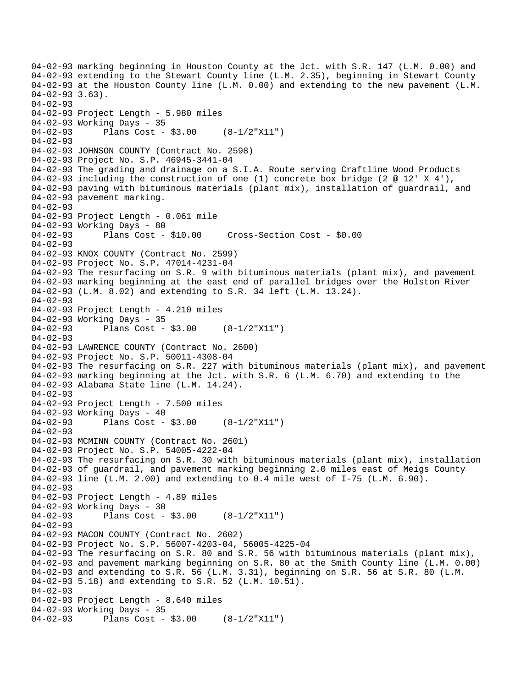04-02-93 marking beginning in Houston County at the Jct. with S.R. 147 (L.M. 0.00) and 04-02-93 extending to the Stewart County line (L.M. 2.35), beginning in Stewart County 04-02-93 at the Houston County line (L.M. 0.00) and extending to the new pavement (L.M. 04-02-93 3.63). 04-02-93 04-02-93 Project Length - 5.980 miles 04-02-93 Working Days - 35 04-02-93 Plans Cost - \$3.00 (8-1/2"X11") 04-02-93 04-02-93 JOHNSON COUNTY (Contract No. 2598) 04-02-93 Project No. S.P. 46945-3441-04 04-02-93 The grading and drainage on a S.I.A. Route serving Craftline Wood Products 04-02-93 including the construction of one (1) concrete box bridge (2  $@ 12' X 4'$ ), 04-02-93 paving with bituminous materials (plant mix), installation of guardrail, and 04-02-93 pavement marking.  $04 - 02 - 93$ 04-02-93 Project Length - 0.061 mile 04-02-93 Working Days - 80 04-02-93 Plans Cost - \$10.00 Cross-Section Cost - \$0.00 04-02-93 04-02-93 KNOX COUNTY (Contract No. 2599) 04-02-93 Project No. S.P. 47014-4231-04 04-02-93 The resurfacing on S.R. 9 with bituminous materials (plant mix), and pavement 04-02-93 marking beginning at the east end of parallel bridges over the Holston River 04-02-93 (L.M. 8.02) and extending to S.R. 34 left (L.M. 13.24). 04-02-93 04-02-93 Project Length - 4.210 miles 04-02-93 Working Days - 35 04-02-93 Plans Cost - \$3.00 (8-1/2"X11") 04-02-93 04-02-93 LAWRENCE COUNTY (Contract No. 2600) 04-02-93 Project No. S.P. 50011-4308-04 04-02-93 The resurfacing on S.R. 227 with bituminous materials (plant mix), and pavement 04-02-93 marking beginning at the Jct. with S.R. 6 (L.M. 6.70) and extending to the 04-02-93 Alabama State line (L.M. 14.24).  $04 - 02 - 93$ 04-02-93 Project Length - 7.500 miles 04-02-93 Working Days - 40 04-02-93 Plans Cost - \$3.00 (8-1/2"X11")  $04 - 02 - 93$ 04-02-93 MCMINN COUNTY (Contract No. 2601) 04-02-93 Project No. S.P. 54005-4222-04 04-02-93 The resurfacing on S.R. 30 with bituminous materials (plant mix), installation 04-02-93 of guardrail, and pavement marking beginning 2.0 miles east of Meigs County 04-02-93 line (L.M. 2.00) and extending to 0.4 mile west of I-75 (L.M. 6.90). 04-02-93 04-02-93 Project Length - 4.89 miles 04-02-93 Working Days - 30<br>04-02-93 Plans Cost -Plans Cost -  $$3.00$  (8-1/2"X11") 04-02-93 04-02-93 MACON COUNTY (Contract No. 2602) 04-02-93 Project No. S.P. 56007-4203-04, 56005-4225-04 04-02-93 The resurfacing on S.R. 80 and S.R. 56 with bituminous materials (plant mix), 04-02-93 and pavement marking beginning on S.R. 80 at the Smith County line (L.M. 0.00) 04-02-93 and extending to S.R. 56 (L.M. 3.31), beginning on S.R. 56 at S.R. 80 (L.M. 04-02-93 5.18) and extending to S.R. 52 (L.M. 10.51). 04-02-93 04-02-93 Project Length - 8.640 miles 04-02-93 Working Days - 35 04-02-93 Plans Cost - \$3.00 (8-1/2"X11")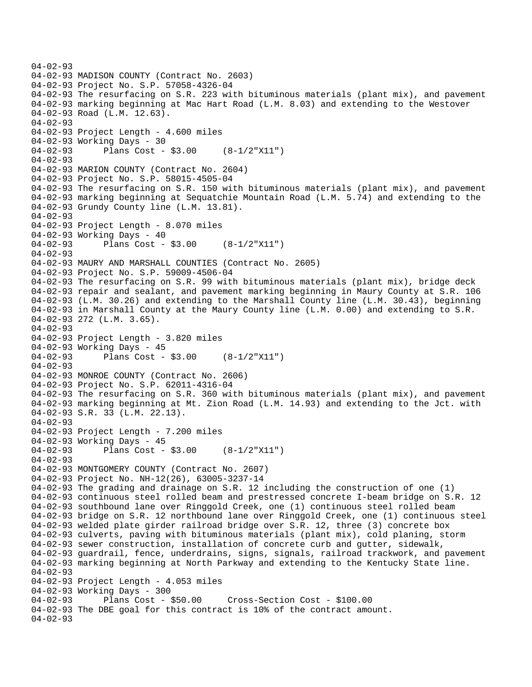```
04-02-93 
04-02-93 MADISON COUNTY (Contract No. 2603) 
04-02-93 Project No. S.P. 57058-4326-04 
04-02-93 The resurfacing on S.R. 223 with bituminous materials (plant mix), and pavement 
04-02-93 marking beginning at Mac Hart Road (L.M. 8.03) and extending to the Westover 
04-02-93 Road (L.M. 12.63). 
04-02-93 
04-02-93 Project Length - 4.600 miles 
04-02-93 Working Days - 30 
04-02-93 Plans Cost - $3.00 (8-1/2"X11") 
04-02-93 
04-02-93 MARION COUNTY (Contract No. 2604) 
04-02-93 Project No. S.P. 58015-4505-04 
04-02-93 The resurfacing on S.R. 150 with bituminous materials (plant mix), and pavement 
04-02-93 marking beginning at Sequatchie Mountain Road (L.M. 5.74) and extending to the 
04-02-93 Grundy County line (L.M. 13.81). 
04-02-93 
04-02-93 Project Length - 8.070 miles 
04-02-93 Working Days - 40 
04-02-93 Plans Cost - $3.00 (8-1/2"X11") 
04-02-93 
04-02-93 MAURY AND MARSHALL COUNTIES (Contract No. 2605) 
04-02-93 Project No. S.P. 59009-4506-04 
04-02-93 The resurfacing on S.R. 99 with bituminous materials (plant mix), bridge deck 
04-02-93 repair and sealant, and pavement marking beginning in Maury County at S.R. 106 
04-02-93 (L.M. 30.26) and extending to the Marshall County line (L.M. 30.43), beginning 
04-02-93 in Marshall County at the Maury County line (L.M. 0.00) and extending to S.R. 
04-02-93 272 (L.M. 3.65). 
04-02-93 
04-02-93 Project Length - 3.820 miles 
04-02-93 Working Days - 45 
04-02-93 Plans Cost - $3.00 (8-1/2"X11") 
04-02-93 
04-02-93 MONROE COUNTY (Contract No. 2606) 
04-02-93 Project No. S.P. 62011-4316-04 
04-02-93 The resurfacing on S.R. 360 with bituminous materials (plant mix), and pavement 
04-02-93 marking beginning at Mt. Zion Road (L.M. 14.93) and extending to the Jct. with 
04-02-93 S.R. 33 (L.M. 22.13). 
04-02-93 
04-02-93 Project Length - 7.200 miles
04-02-93 Working Days - 45 
04-02-93 Plans Cost - $3.00 (8-1/2"X11") 
04 - 02 - 9304-02-93 MONTGOMERY COUNTY (Contract No. 2607) 
04-02-93 Project No. NH-12(26), 63005-3237-14 
04-02-93 The grading and drainage on S.R. 12 including the construction of one (1) 
04-02-93 continuous steel rolled beam and prestressed concrete I-beam bridge on S.R. 12 
04-02-93 southbound lane over Ringgold Creek, one (1) continuous steel rolled beam 
04-02-93 bridge on S.R. 12 northbound lane over Ringgold Creek, one (1) continuous steel 
04-02-93 welded plate girder railroad bridge over S.R. 12, three (3) concrete box 
04-02-93 culverts, paving with bituminous materials (plant mix), cold planing, storm 
04-02-93 sewer construction, installation of concrete curb and gutter, sidewalk, 
04-02-93 guardrail, fence, underdrains, signs, signals, railroad trackwork, and pavement 
04-02-93 marking beginning at North Parkway and extending to the Kentucky State line. 
04-02-93 
04-02-93 Project Length - 4.053 miles 
04-02-93 Working Days - 300 
                                       04-02-93 Plans Cost - $50.00 Cross-Section Cost - $100.00 
04-02-93 The DBE goal for this contract is 10% of the contract amount. 
04-02-93
```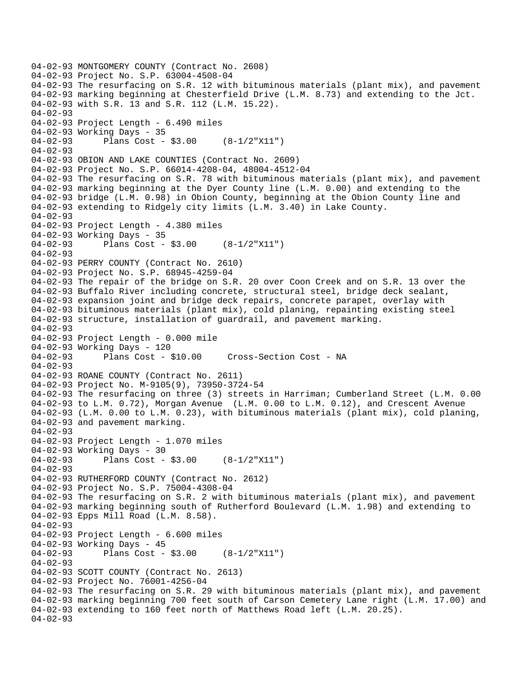04-02-93 MONTGOMERY COUNTY (Contract No. 2608) 04-02-93 Project No. S.P. 63004-4508-04 04-02-93 The resurfacing on S.R. 12 with bituminous materials (plant mix), and pavement 04-02-93 marking beginning at Chesterfield Drive (L.M. 8.73) and extending to the Jct. 04-02-93 with S.R. 13 and S.R. 112 (L.M. 15.22). 04-02-93 04-02-93 Project Length - 6.490 miles 04-02-93 Working Days - 35 04-02-93 Plans Cost - \$3.00 (8-1/2"X11") 04-02-93 04-02-93 OBION AND LAKE COUNTIES (Contract No. 2609) 04-02-93 Project No. S.P. 66014-4208-04, 48004-4512-04 04-02-93 The resurfacing on S.R. 78 with bituminous materials (plant mix), and pavement 04-02-93 marking beginning at the Dyer County line (L.M. 0.00) and extending to the 04-02-93 bridge (L.M. 0.98) in Obion County, beginning at the Obion County line and 04-02-93 extending to Ridgely city limits (L.M. 3.40) in Lake County. 04-02-93 04-02-93 Project Length - 4.380 miles 04-02-93 Working Days - 35 04-02-93 Plans Cost - \$3.00 (8-1/2"X11") 04-02-93 04-02-93 PERRY COUNTY (Contract No. 2610) 04-02-93 Project No. S.P. 68945-4259-04 04-02-93 The repair of the bridge on S.R. 20 over Coon Creek and on S.R. 13 over the 04-02-93 Buffalo River including concrete, structural steel, bridge deck sealant, 04-02-93 expansion joint and bridge deck repairs, concrete parapet, overlay with 04-02-93 bituminous materials (plant mix), cold planing, repainting existing steel 04-02-93 structure, installation of guardrail, and pavement marking. 04-02-93 04-02-93 Project Length - 0.000 mile 04-02-93 Working Days - 120 04-02-93 Plans Cost - \$10.00 Cross-Section Cost - NA 04-02-93 04-02-93 ROANE COUNTY (Contract No. 2611) 04-02-93 Project No. M-9105(9), 73950-3724-54 04-02-93 The resurfacing on three (3) streets in Harriman; Cumberland Street (L.M. 0.00 04-02-93 to L.M. 0.72), Morgan Avenue (L.M. 0.00 to L.M. 0.12), and Crescent Avenue 04-02-93 (L.M. 0.00 to L.M. 0.23), with bituminous materials (plant mix), cold planing, 04-02-93 and pavement marking. 04-02-93 04-02-93 Project Length - 1.070 miles 04-02-93 Working Days - 30 04-02-93 Plans Cost - \$3.00 (8-1/2"X11") 04-02-93 04-02-93 RUTHERFORD COUNTY (Contract No. 2612) 04-02-93 Project No. S.P. 75004-4308-04 04-02-93 The resurfacing on S.R. 2 with bituminous materials (plant mix), and pavement 04-02-93 marking beginning south of Rutherford Boulevard (L.M. 1.98) and extending to 04-02-93 Epps Mill Road (L.M. 8.58). 04-02-93 04-02-93 Project Length - 6.600 miles 04-02-93 Working Days - 45 04-02-93 Plans Cost - \$3.00 (8-1/2"X11") 04-02-93 04-02-93 SCOTT COUNTY (Contract No. 2613) 04-02-93 Project No. 76001-4256-04 04-02-93 The resurfacing on S.R. 29 with bituminous materials (plant mix), and pavement 04-02-93 marking beginning 700 feet south of Carson Cemetery Lane right (L.M. 17.00) and 04-02-93 extending to 160 feet north of Matthews Road left (L.M. 20.25). 04-02-93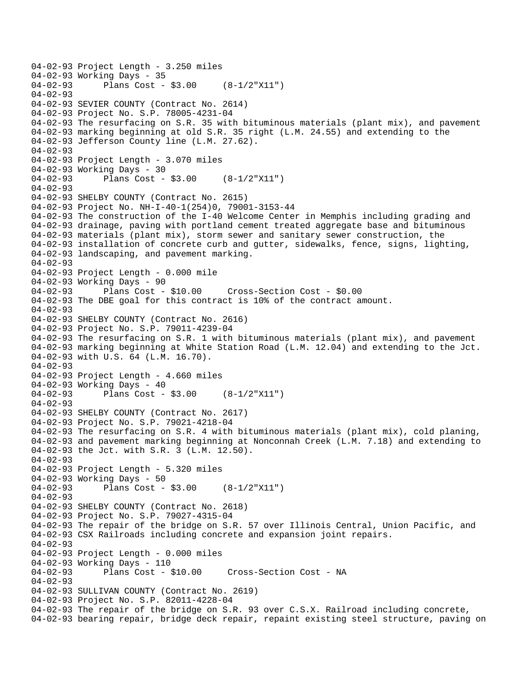```
04-02-93 Project Length - 3.250 miles 
04-02-93 Working Days - 35<br>04-02-93 Plans Cost -
              Plans Cost - $3.00 (8-1/2"X11")
04-02-93 
04-02-93 SEVIER COUNTY (Contract No. 2614) 
04-02-93 Project No. S.P. 78005-4231-04 
04-02-93 The resurfacing on S.R. 35 with bituminous materials (plant mix), and pavement 
04-02-93 marking beginning at old S.R. 35 right (L.M. 24.55) and extending to the 
04-02-93 Jefferson County line (L.M. 27.62). 
04-02-93 
04-02-93 Project Length - 3.070 miles 
04-02-93 Working Days - 30 
04-02-93 Plans Cost - $3.00 (8-1/2"X11") 
04-02-93 
04-02-93 SHELBY COUNTY (Contract No. 2615) 
04-02-93 Project No. NH-I-40-1(254)0, 79001-3153-44 
04-02-93 The construction of the I-40 Welcome Center in Memphis including grading and 
04-02-93 drainage, paving with portland cement treated aggregate base and bituminous 
04-02-93 materials (plant mix), storm sewer and sanitary sewer construction, the 
04-02-93 installation of concrete curb and gutter, sidewalks, fence, signs, lighting, 
04-02-93 landscaping, and pavement marking. 
04-02-93 
04-02-93 Project Length - 0.000 mile 
04-02-93 Working Days - 90 
04-02-93 Plans Cost - $10.00 Cross-Section Cost - $0.00 
04-02-93 The DBE goal for this contract is 10% of the contract amount. 
04-02-93 
04-02-93 SHELBY COUNTY (Contract No. 2616) 
04-02-93 Project No. S.P. 79011-4239-04 
04-02-93 The resurfacing on S.R. 1 with bituminous materials (plant mix), and pavement 
04-02-93 marking beginning at White Station Road (L.M. 12.04) and extending to the Jct. 
04-02-93 with U.S. 64 (L.M. 16.70). 
04-02-93 
04-02-93 Project Length - 4.660 miles 
04-02-93 Working Days - 40 
04-02-93 Plans Cost - $3.00 (8-1/2"X11") 
04-02-93 
04-02-93 SHELBY COUNTY (Contract No. 2617) 
04-02-93 Project No. S.P. 79021-4218-04 
04-02-93 The resurfacing on S.R. 4 with bituminous materials (plant mix), cold planing, 
04-02-93 and pavement marking beginning at Nonconnah Creek (L.M. 7.18) and extending to 
04-02-93 the Jct. with S.R. 3 (L.M. 12.50). 
04 - 02 - 9304-02-93 Project Length - 5.320 miles 
04-02-93 Working Days - 50 
04-02-93 Plans Cost - $3.00 (8-1/2"X11") 
04-02-93 
04-02-93 SHELBY COUNTY (Contract No. 2618) 
04-02-93 Project No. S.P. 79027-4315-04 
04-02-93 The repair of the bridge on S.R. 57 over Illinois Central, Union Pacific, and 
04-02-93 CSX Railroads including concrete and expansion joint repairs. 
04-02-93 
04-02-93 Project Length - 0.000 miles 
04-02-93 Working Days - 110<br>04-02-93 Plans Cost -
              Plans Cost - $10.00 Cross-Section Cost - NA
04-02-93 
04-02-93 SULLIVAN COUNTY (Contract No. 2619) 
04-02-93 Project No. S.P. 82011-4228-04 
04-02-93 The repair of the bridge on S.R. 93 over C.S.X. Railroad including concrete, 
04-02-93 bearing repair, bridge deck repair, repaint existing steel structure, paving on
```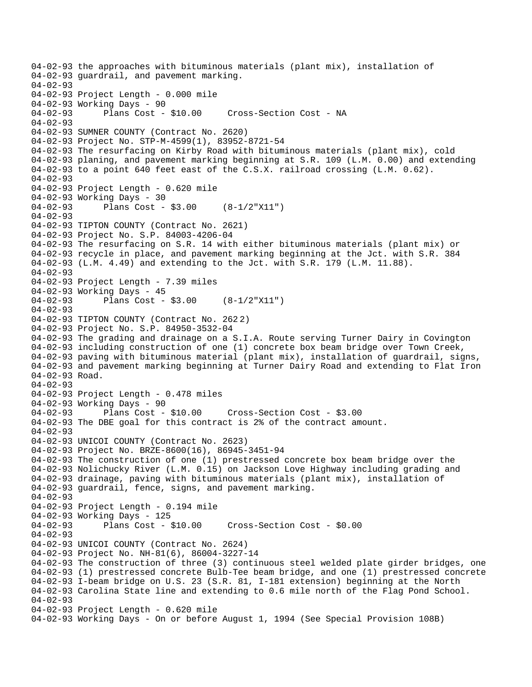04-02-93 the approaches with bituminous materials (plant mix), installation of 04-02-93 guardrail, and pavement marking.  $04 - 02 - 93$ 04-02-93 Project Length - 0.000 mile 04-02-93 Working Days - 90 04-02-93 Plans Cost - \$10.00 Cross-Section Cost - NA 04-02-93 04-02-93 SUMNER COUNTY (Contract No. 2620) 04-02-93 Project No. STP-M-4599(1), 83952-8721-54 04-02-93 The resurfacing on Kirby Road with bituminous materials (plant mix), cold 04-02-93 planing, and pavement marking beginning at S.R. 109 (L.M. 0.00) and extending 04-02-93 to a point 640 feet east of the C.S.X. railroad crossing (L.M. 0.62).  $04 - 02 - 93$ 04-02-93 Project Length - 0.620 mile 04-02-93 Working Days - 30 04-02-93 Plans Cost - \$3.00 (8-1/2"X11") 04-02-93 04-02-93 TIPTON COUNTY (Contract No. 2621) 04-02-93 Project No. S.P. 84003-4206-04 04-02-93 The resurfacing on S.R. 14 with either bituminous materials (plant mix) or 04-02-93 recycle in place, and pavement marking beginning at the Jct. with S.R. 384 04-02-93 (L.M. 4.49) and extending to the Jct. with S.R. 179 (L.M. 11.88). 04-02-93 04-02-93 Project Length - 7.39 miles 04-02-93 Working Days - 45 04-02-93 Plans Cost - \$3.00 (8-1/2"X11") 04-02-93 04-02-93 TIPTON COUNTY (Contract No. 262 2) 04-02-93 Project No. S.P. 84950-3532-04 04-02-93 The grading and drainage on a S.I.A. Route serving Turner Dairy in Covington 04-02-93 including construction of one (1) concrete box beam bridge over Town Creek, 04-02-93 paving with bituminous material (plant mix), installation of guardrail, signs, 04-02-93 and pavement marking beginning at Turner Dairy Road and extending to Flat Iron 04-02-93 Road. 04-02-93 04-02-93 Project Length - 0.478 miles 04-02-93 Working Days - 90 04-02-93 Plans Cost - \$10.00 Cross-Section Cost - \$3.00 04-02-93 The DBE goal for this contract is 2% of the contract amount. 04-02-93 04-02-93 UNICOI COUNTY (Contract No. 2623) 04-02-93 Project No. BRZE-8600(16), 86945-3451-94 04-02-93 The construction of one (1) prestressed concrete box beam bridge over the 04-02-93 Nolichucky River (L.M. 0.15) on Jackson Love Highway including grading and 04-02-93 drainage, paving with bituminous materials (plant mix), installation of 04-02-93 guardrail, fence, signs, and pavement marking. 04-02-93 04-02-93 Project Length - 0.194 mile 04-02-93 Working Days - 125 04-02-93 Plans Cost - \$10.00 Cross-Section Cost - \$0.00 04-02-93 04-02-93 UNICOI COUNTY (Contract No. 2624) 04-02-93 Project No. NH-81(6), 86004-3227-14 04-02-93 The construction of three (3) continuous steel welded plate girder bridges, one 04-02-93 (1) prestressed concrete Bulb-Tee beam bridge, and one (1) prestressed concrete 04-02-93 I-beam bridge on U.S. 23 (S.R. 81, I-181 extension) beginning at the North 04-02-93 Carolina State line and extending to 0.6 mile north of the Flag Pond School. 04-02-93 04-02-93 Project Length - 0.620 mile 04-02-93 Working Days - On or before August 1, 1994 (See Special Provision 108B)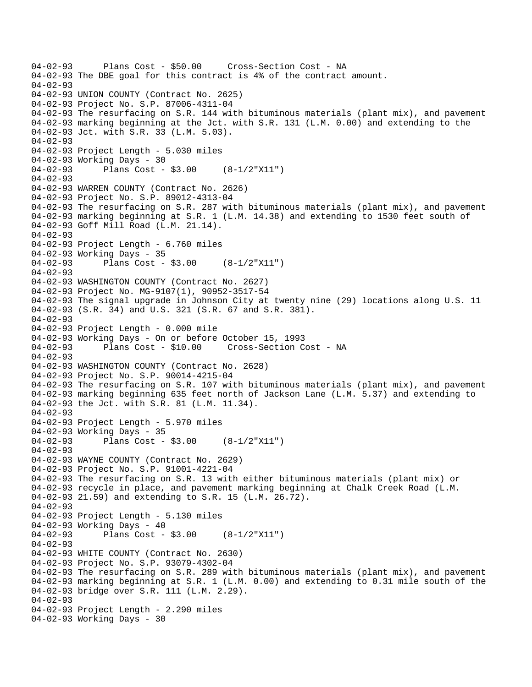04-02-93 Plans Cost - \$50.00 Cross-Section Cost - NA 04-02-93 The DBE goal for this contract is 4% of the contract amount.  $04 - 02 - 93$ 04-02-93 UNION COUNTY (Contract No. 2625) 04-02-93 Project No. S.P. 87006-4311-04 04-02-93 The resurfacing on S.R. 144 with bituminous materials (plant mix), and pavement 04-02-93 marking beginning at the Jct. with S.R. 131 (L.M. 0.00) and extending to the 04-02-93 Jct. with S.R. 33 (L.M. 5.03). 04-02-93 04-02-93 Project Length - 5.030 miles 04-02-93 Working Days - 30 04-02-93 Plans Cost - \$3.00 (8-1/2"X11")  $04 - 02 - 93$ 04-02-93 WARREN COUNTY (Contract No. 2626) 04-02-93 Project No. S.P. 89012-4313-04 04-02-93 The resurfacing on S.R. 287 with bituminous materials (plant mix), and pavement 04-02-93 marking beginning at S.R. 1 (L.M. 14.38) and extending to 1530 feet south of 04-02-93 Goff Mill Road (L.M. 21.14). 04-02-93 04-02-93 Project Length - 6.760 miles 04-02-93 Working Days - 35 04-02-93 Plans Cost - \$3.00 (8-1/2"X11") 04-02-93 04-02-93 WASHINGTON COUNTY (Contract No. 2627) 04-02-93 Project No. MG-9107(1), 90952-3517-54 04-02-93 The signal upgrade in Johnson City at twenty nine (29) locations along U.S. 11 04-02-93 (S.R. 34) and U.S. 321 (S.R. 67 and S.R. 381). 04-02-93 04-02-93 Project Length - 0.000 mile 04-02-93 Working Days - On or before October 15, 1993 04-02-93 Plans Cost - \$10.00 Cross-Section Cost - NA 04-02-93 04-02-93 WASHINGTON COUNTY (Contract No. 2628) 04-02-93 Project No. S.P. 90014-4215-04 04-02-93 The resurfacing on S.R. 107 with bituminous materials (plant mix), and pavement 04-02-93 marking beginning 635 feet north of Jackson Lane (L.M. 5.37) and extending to 04-02-93 the Jct. with S.R. 81 (L.M. 11.34). 04-02-93 04-02-93 Project Length - 5.970 miles 04-02-93 Working Days - 35 04-02-93 Plans Cost - \$3.00 (8-1/2"X11") 04-02-93 04-02-93 WAYNE COUNTY (Contract No. 2629) 04-02-93 Project No. S.P. 91001-4221-04 04-02-93 The resurfacing on S.R. 13 with either bituminous materials (plant mix) or 04-02-93 recycle in place, and pavement marking beginning at Chalk Creek Road (L.M. 04-02-93 21.59) and extending to S.R. 15 (L.M. 26.72). 04-02-93 04-02-93 Project Length - 5.130 miles 04-02-93 Working Days - 40 04-02-93 Plans Cost - \$3.00 (8-1/2"X11") 04-02-93 04-02-93 WHITE COUNTY (Contract No. 2630) 04-02-93 Project No. S.P. 93079-4302-04 04-02-93 The resurfacing on S.R. 289 with bituminous materials (plant mix), and pavement 04-02-93 marking beginning at S.R. 1 (L.M. 0.00) and extending to 0.31 mile south of the 04-02-93 bridge over S.R. 111 (L.M. 2.29). 04-02-93 04-02-93 Project Length - 2.290 miles 04-02-93 Working Days - 30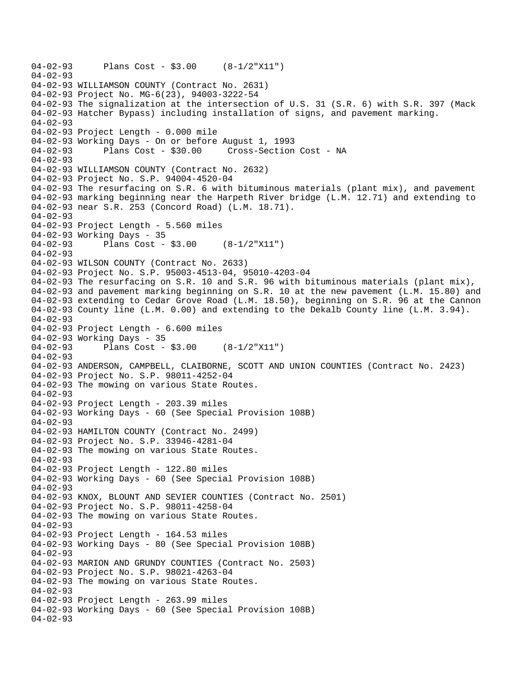```
04-02-93 Plans Cost - $3.00 (8-1/2"X11") 
04-02-93 
04-02-93 WILLIAMSON COUNTY (Contract No. 2631) 
04-02-93 Project No. MG-6(23), 94003-3222-54 
04-02-93 The signalization at the intersection of U.S. 31 (S.R. 6) with S.R. 397 (Mack 
04-02-93 Hatcher Bypass) including installation of signs, and pavement marking. 
04-02-93 
04-02-93 Project Length - 0.000 mile 
04-02-93 Working Days - On or before August 1, 1993 
04-02-93 Plans Cost - $30.00 Cross-Section Cost - NA 
04-02-93 
04-02-93 WILLIAMSON COUNTY (Contract No. 2632) 
04-02-93 Project No. S.P. 94004-4520-04 
04-02-93 The resurfacing on S.R. 6 with bituminous materials (plant mix), and pavement 
04-02-93 marking beginning near the Harpeth River bridge (L.M. 12.71) and extending to 
04-02-93 near S.R. 253 (Concord Road) (L.M. 18.71). 
04-02-93 
04-02-93 Project Length - 5.560 miles 
04-02-93 Working Days - 35 
04-02-93 Plans Cost - $3.00 (8-1/2"X11") 
04-02-93 
04-02-93 WILSON COUNTY (Contract No. 2633) 
04-02-93 Project No. S.P. 95003-4513-04, 95010-4203-04 
04-02-93 The resurfacing on S.R. 10 and S.R. 96 with bituminous materials (plant mix), 
04-02-93 and pavement marking beginning on S.R. 10 at the new pavement (L.M. 15.80) and 
04-02-93 extending to Cedar Grove Road (L.M. 18.50), beginning on S.R. 96 at the Cannon 
04-02-93 County line (L.M. 0.00) and extending to the Dekalb County line (L.M. 3.94). 
04-02-93 
04-02-93 Project Length - 6.600 miles 
04-02-93 Working Days - 35 
04-02-93 Plans Cost - $3.00 (8-1/2"X11") 
04-02-93 
04-02-93 ANDERSON, CAMPBELL, CLAIBORNE, SCOTT AND UNION COUNTIES (Contract No. 2423) 
04-02-93 Project No. S.P. 98011-4252-04 
04-02-93 The mowing on various State Routes. 
04 - 02 - 9304-02-93 Project Length - 203.39 miles 
04-02-93 Working Days - 60 (See Special Provision 108B) 
04-02-93 
04-02-93 HAMILTON COUNTY (Contract No. 2499) 
04-02-93 Project No. S.P. 33946-4281-04 
04-02-93 The mowing on various State Routes. 
04 - 02 - 9304-02-93 Project Length - 122.80 miles 
04-02-93 Working Days - 60 (See Special Provision 108B) 
04-02-93 
04-02-93 KNOX, BLOUNT AND SEVIER COUNTIES (Contract No. 2501) 
04-02-93 Project No. S.P. 98011-4258-04 
04-02-93 The mowing on various State Routes. 
04-02-93 
04-02-93 Project Length - 164.53 miles 
04-02-93 Working Days - 80 (See Special Provision 108B) 
04-02-93 
04-02-93 MARION AND GRUNDY COUNTIES (Contract No. 2503) 
04-02-93 Project No. S.P. 98021-4263-04 
04-02-93 The mowing on various State Routes. 
04-02-93 
04-02-93 Project Length - 263.99 miles
04-02-93 Working Days - 60 (See Special Provision 108B) 
04-02-93
```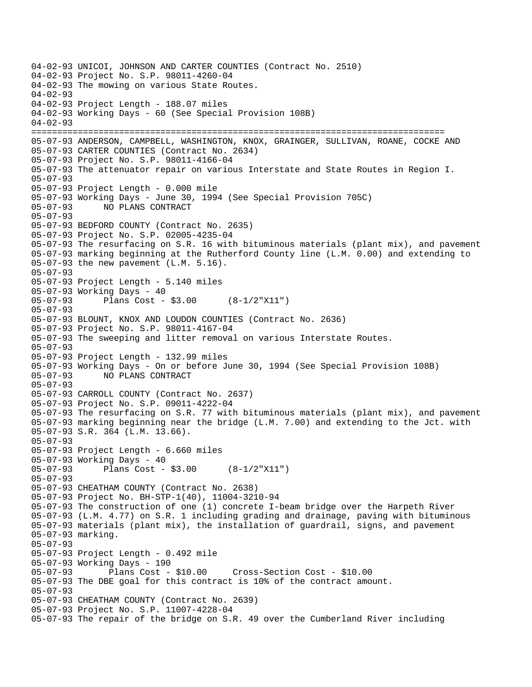04-02-93 UNICOI, JOHNSON AND CARTER COUNTIES (Contract No. 2510) 04-02-93 Project No. S.P. 98011-4260-04 04-02-93 The mowing on various State Routes. 04-02-93 04-02-93 Project Length - 188.07 miles 04-02-93 Working Days - 60 (See Special Provision 108B) 04-02-93 ================================================================================ 05-07-93 ANDERSON, CAMPBELL, WASHINGTON, KNOX, GRAINGER, SULLIVAN, ROANE, COCKE AND 05-07-93 CARTER COUNTIES (Contract No. 2634) 05-07-93 Project No. S.P. 98011-4166-04 05-07-93 The attenuator repair on various Interstate and State Routes in Region I. 05-07-93 05-07-93 Project Length - 0.000 mile 05-07-93 Working Days - June 30, 1994 (See Special Provision 705C) 05-07-93 NO PLANS CONTRACT 05-07-93 05-07-93 BEDFORD COUNTY (Contract No. 2635) 05-07-93 Project No. S.P. 02005-4235-04 05-07-93 The resurfacing on S.R. 16 with bituminous materials (plant mix), and pavement 05-07-93 marking beginning at the Rutherford County line (L.M. 0.00) and extending to 05-07-93 the new pavement (L.M. 5.16). 05-07-93 05-07-93 Project Length - 5.140 miles 05-07-93 Working Days - 40 05-07-93 Plans Cost - \$3.00 (8-1/2"X11") 05-07-93 05-07-93 BLOUNT, KNOX AND LOUDON COUNTIES (Contract No. 2636) 05-07-93 Project No. S.P. 98011-4167-04 05-07-93 The sweeping and litter removal on various Interstate Routes. 05-07-93 05-07-93 Project Length - 132.99 miles 05-07-93 Working Days - On or before June 30, 1994 (See Special Provision 108B) 05-07-93 NO PLANS CONTRACT 05-07-93 05-07-93 CARROLL COUNTY (Contract No. 2637) 05-07-93 Project No. S.P. 09011-4222-04 05-07-93 The resurfacing on S.R. 77 with bituminous materials (plant mix), and pavement 05-07-93 marking beginning near the bridge (L.M. 7.00) and extending to the Jct. with 05-07-93 S.R. 364 (L.M. 13.66). 05-07-93 05-07-93 Project Length - 6.660 miles 05-07-93 Working Days - 40 05-07-93 Plans Cost - \$3.00 (8-1/2"X11") 05-07-93 05-07-93 CHEATHAM COUNTY (Contract No. 2638) 05-07-93 Project No. BH-STP-1(40), 11004-3210-94 05-07-93 The construction of one (1) concrete I-beam bridge over the Harpeth River 05-07-93 (L.M. 4.77) on S.R. 1 including grading and drainage, paving with bituminous 05-07-93 materials (plant mix), the installation of guardrail, signs, and pavement 05-07-93 marking. 05-07-93 05-07-93 Project Length - 0.492 mile 05-07-93 Working Days - 190 05-07-93 Plans Cost - \$10.00 Cross-Section Cost - \$10.00 05-07-93 The DBE goal for this contract is 10% of the contract amount. 05-07-93 05-07-93 CHEATHAM COUNTY (Contract No. 2639) 05-07-93 Project No. S.P. 11007-4228-04 05-07-93 The repair of the bridge on S.R. 49 over the Cumberland River including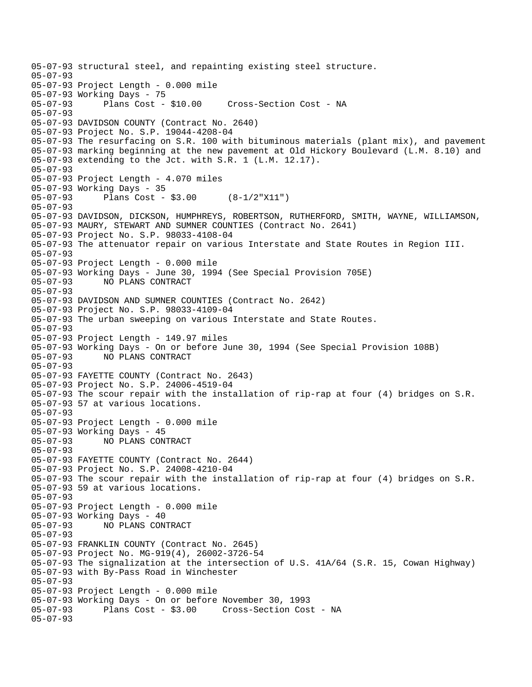05-07-93 structural steel, and repainting existing steel structure. 05-07-93 05-07-93 Project Length - 0.000 mile 05-07-93 Working Days - 75<br>05-07-93 Plans Cost - \$10.00 05-07-93 Plans Cost - \$10.00 Cross-Section Cost - NA 05-07-93 05-07-93 DAVIDSON COUNTY (Contract No. 2640) 05-07-93 Project No. S.P. 19044-4208-04 05-07-93 The resurfacing on S.R. 100 with bituminous materials (plant mix), and pavement 05-07-93 marking beginning at the new pavement at Old Hickory Boulevard (L.M. 8.10) and 05-07-93 extending to the Jct. with S.R. 1 (L.M. 12.17). 05-07-93 05-07-93 Project Length - 4.070 miles 05-07-93 Working Days - 35 05-07-93 Plans Cost - \$3.00 (8-1/2"X11") 05-07-93 05-07-93 DAVIDSON, DICKSON, HUMPHREYS, ROBERTSON, RUTHERFORD, SMITH, WAYNE, WILLIAMSON, 05-07-93 MAURY, STEWART AND SUMNER COUNTIES (Contract No. 2641) 05-07-93 Project No. S.P. 98033-4108-04 05-07-93 The attenuator repair on various Interstate and State Routes in Region III. 05-07-93 05-07-93 Project Length - 0.000 mile 05-07-93 Working Days - June 30, 1994 (See Special Provision 705E) 05-07-93 NO PLANS CONTRACT 05-07-93 05-07-93 DAVIDSON AND SUMNER COUNTIES (Contract No. 2642) 05-07-93 Project No. S.P. 98033-4109-04 05-07-93 The urban sweeping on various Interstate and State Routes. 05-07-93 05-07-93 Project Length - 149.97 miles 05-07-93 Working Days - On or before June 30, 1994 (See Special Provision 108B) 05-07-93 NO PLANS CONTRACT 05-07-93 05-07-93 FAYETTE COUNTY (Contract No. 2643) 05-07-93 Project No. S.P. 24006-4519-04 05-07-93 The scour repair with the installation of rip-rap at four (4) bridges on S.R. 05-07-93 57 at various locations. 05-07-93 05-07-93 Project Length - 0.000 mile 05-07-93 Working Days - 45 05-07-93 NO PLANS CONTRACT 05-07-93 05-07-93 FAYETTE COUNTY (Contract No. 2644) 05-07-93 Project No. S.P. 24008-4210-04 05-07-93 The scour repair with the installation of rip-rap at four (4) bridges on S.R. 05-07-93 59 at various locations. 05-07-93 05-07-93 Project Length - 0.000 mile 05-07-93 Working Days - 40 05-07-93 NO PLANS CONTRACT 05-07-93 05-07-93 FRANKLIN COUNTY (Contract No. 2645) 05-07-93 Project No. MG-919(4), 26002-3726-54 05-07-93 The signalization at the intersection of U.S. 41A/64 (S.R. 15, Cowan Highway) 05-07-93 with By-Pass Road in Winchester 05-07-93 05-07-93 Project Length - 0.000 mile 05-07-93 Working Days - On or before November 30, 1993 05-07-93 Plans Cost - \$3.00 Cross-Section Cost - NA 05-07-93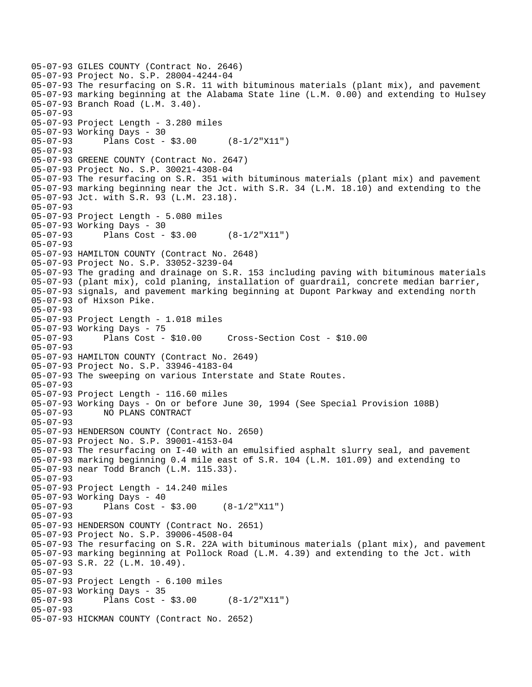```
05-07-93 GILES COUNTY (Contract No. 2646) 
05-07-93 Project No. S.P. 28004-4244-04 
05-07-93 The resurfacing on S.R. 11 with bituminous materials (plant mix), and pavement 
05-07-93 marking beginning at the Alabama State line (L.M. 0.00) and extending to Hulsey 
05-07-93 Branch Road (L.M. 3.40). 
05-07-93 
05-07-93 Project Length - 3.280 miles 
05-07-93 Working Days - 30 
05-07-93 Plans Cost - $3.00 (8-1/2"X11") 
05-07-93 
05-07-93 GREENE COUNTY (Contract No. 2647) 
05-07-93 Project No. S.P. 30021-4308-04 
05-07-93 The resurfacing on S.R. 351 with bituminous materials (plant mix) and pavement 
05-07-93 marking beginning near the Jct. with S.R. 34 (L.M. 18.10) and extending to the 
05-07-93 Jct. with S.R. 93 (L.M. 23.18). 
05-07-93 
05-07-93 Project Length - 5.080 miles 
05-07-93 Working Days - 30 
05-07-93 Plans Cost - $3.00 (8-1/2"X11") 
05-07-93 
05-07-93 HAMILTON COUNTY (Contract No. 2648) 
05-07-93 Project No. S.P. 33052-3239-04 
05-07-93 The grading and drainage on S.R. 153 including paving with bituminous materials 
05-07-93 (plant mix), cold planing, installation of guardrail, concrete median barrier, 
05-07-93 signals, and pavement marking beginning at Dupont Parkway and extending north 
05-07-93 of Hixson Pike. 
05-07-93 
05-07-93 Project Length - 1.018 miles 
05-07-93 Working Days - 75 
05-07-93 Plans Cost - $10.00 Cross-Section Cost - $10.00 
05-07-93 
05-07-93 HAMILTON COUNTY (Contract No. 2649) 
05-07-93 Project No. S.P. 33946-4183-04 
05-07-93 The sweeping on various Interstate and State Routes. 
05-07-93 
05-07-93 Project Length - 116.60 miles 
05-07-93 Working Days - On or before June 30, 1994 (See Special Provision 108B) 
05-07-93 NO PLANS CONTRACT 
05-07-93 
05-07-93 HENDERSON COUNTY (Contract No. 2650) 
05-07-93 Project No. S.P. 39001-4153-04 
05-07-93 The resurfacing on I-40 with an emulsified asphalt slurry seal, and pavement 
05-07-93 marking beginning 0.4 mile east of S.R. 104 (L.M. 101.09) and extending to 
05-07-93 near Todd Branch (L.M. 115.33). 
05-07-93 
05-07-93 Project Length - 14.240 miles 
05-07-93 Working Days - 40 
05-07-93 Plans Cost - $3.00 (8-1/2"X11") 
05-07-93 
05-07-93 HENDERSON COUNTY (Contract No. 2651) 
05-07-93 Project No. S.P. 39006-4508-04 
05-07-93 The resurfacing on S.R. 22A with bituminous materials (plant mix), and pavement 
05-07-93 marking beginning at Pollock Road (L.M. 4.39) and extending to the Jct. with 
05-07-93 S.R. 22 (L.M. 10.49). 
05-07-93 
05-07-93 Project Length - 6.100 miles 
05-07-93 Working Days - 35<br>05-07-93 Plans Cost -
              Plans Cost - $3.00 (8-1/2"X11")
05-07-93 
05-07-93 HICKMAN COUNTY (Contract No. 2652)
```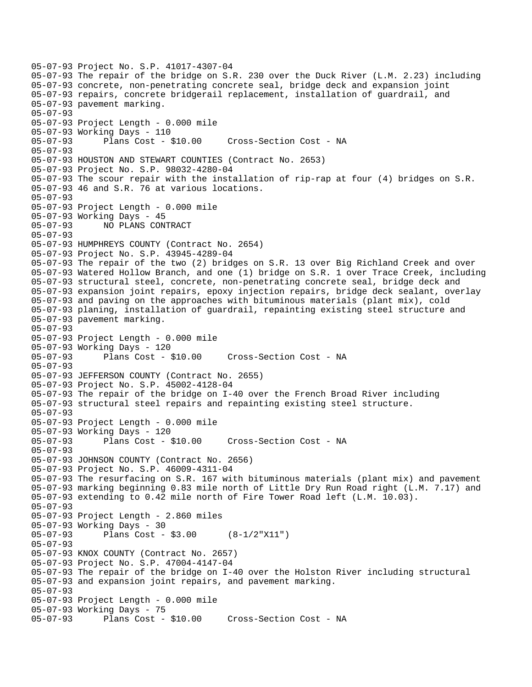05-07-93 Project No. S.P. 41017-4307-04 05-07-93 The repair of the bridge on S.R. 230 over the Duck River (L.M. 2.23) including 05-07-93 concrete, non-penetrating concrete seal, bridge deck and expansion joint 05-07-93 repairs, concrete bridgerail replacement, installation of guardrail, and 05-07-93 pavement marking. 05-07-93 05-07-93 Project Length - 0.000 mile 05-07-93 Working Days - 110 05-07-93 Plans Cost - \$10.00 Cross-Section Cost - NA 05-07-93 05-07-93 HOUSTON AND STEWART COUNTIES (Contract No. 2653) 05-07-93 Project No. S.P. 98032-4280-04 05-07-93 The scour repair with the installation of rip-rap at four (4) bridges on S.R. 05-07-93 46 and S.R. 76 at various locations. 05-07-93 05-07-93 Project Length - 0.000 mile 05-07-93 Working Days - 45 05-07-93 NO PLANS CONTRACT 05-07-93 05-07-93 HUMPHREYS COUNTY (Contract No. 2654) 05-07-93 Project No. S.P. 43945-4289-04 05-07-93 The repair of the two (2) bridges on S.R. 13 over Big Richland Creek and over 05-07-93 Watered Hollow Branch, and one (1) bridge on S.R. 1 over Trace Creek, including 05-07-93 structural steel, concrete, non-penetrating concrete seal, bridge deck and 05-07-93 expansion joint repairs, epoxy injection repairs, bridge deck sealant, overlay 05-07-93 and paving on the approaches with bituminous materials (plant mix), cold 05-07-93 planing, installation of guardrail, repainting existing steel structure and 05-07-93 pavement marking. 05-07-93 05-07-93 Project Length - 0.000 mile 05-07-93 Working Days - 120 05-07-93 Plans Cost - \$10.00 Cross-Section Cost - NA 05-07-93 05-07-93 JEFFERSON COUNTY (Contract No. 2655) 05-07-93 Project No. S.P. 45002-4128-04 05-07-93 The repair of the bridge on I-40 over the French Broad River including 05-07-93 structural steel repairs and repainting existing steel structure. 05-07-93 05-07-93 Project Length - 0.000 mile 05-07-93 Working Days - 120 05-07-93 Plans Cost - \$10.00 Cross-Section Cost - NA 05-07-93 05-07-93 JOHNSON COUNTY (Contract No. 2656) 05-07-93 Project No. S.P. 46009-4311-04 05-07-93 The resurfacing on S.R. 167 with bituminous materials (plant mix) and pavement 05-07-93 marking beginning 0.83 mile north of Little Dry Run Road right (L.M. 7.17) and 05-07-93 extending to 0.42 mile north of Fire Tower Road left (L.M. 10.03). 05-07-93 05-07-93 Project Length - 2.860 miles 05-07-93 Working Days - 30 05-07-93 Plans Cost - \$3.00 (8-1/2"X11") 05-07-93 05-07-93 KNOX COUNTY (Contract No. 2657) 05-07-93 Project No. S.P. 47004-4147-04 05-07-93 The repair of the bridge on I-40 over the Holston River including structural 05-07-93 and expansion joint repairs, and pavement marking. 05-07-93 05-07-93 Project Length - 0.000 mile 05-07-93 Working Days - 75 05-07-93 Plans Cost - \$10.00 Cross-Section Cost - NA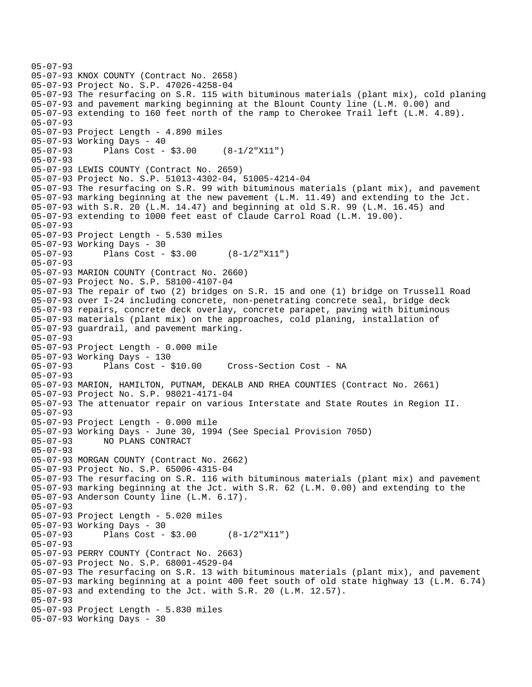```
05-07-93 
05-07-93 KNOX COUNTY (Contract No. 2658) 
05-07-93 Project No. S.P. 47026-4258-04 
05-07-93 The resurfacing on S.R. 115 with bituminous materials (plant mix), cold planing 
05-07-93 and pavement marking beginning at the Blount County line (L.M. 0.00) and 
05-07-93 extending to 160 feet north of the ramp to Cherokee Trail left (L.M. 4.89). 
05-07-93 
05-07-93 Project Length - 4.890 miles 
05-07-93 Working Days - 40 
05-07-93 Plans Cost - $3.00 (8-1/2"X11") 
05-07-93 
05-07-93 LEWIS COUNTY (Contract No. 2659) 
05-07-93 Project No. S.P. 51013-4302-04, 51005-4214-04 
05-07-93 The resurfacing on S.R. 99 with bituminous materials (plant mix), and pavement 
05-07-93 marking beginning at the new pavement (L.M. 11.49) and extending to the Jct. 
05-07-93 with S.R. 20 (L.M. 14.47) and beginning at old S.R. 99 (L.M. 16.45) and 
05-07-93 extending to 1000 feet east of Claude Carrol Road (L.M. 19.00). 
05-07-93 
05-07-93 Project Length - 5.530 miles 
05-07-93 Working Days - 30 
05-07-93 Plans Cost - $3.00 (8-1/2"X11") 
05-07-93 
05-07-93 MARION COUNTY (Contract No. 2660) 
05-07-93 Project No. S.P. 58100-4107-04 
05-07-93 The repair of two (2) bridges on S.R. 15 and one (1) bridge on Trussell Road 
05-07-93 over I-24 including concrete, non-penetrating concrete seal, bridge deck 
05-07-93 repairs, concrete deck overlay, concrete parapet, paving with bituminous 
05-07-93 materials (plant mix) on the approaches, cold planing, installation of 
05-07-93 guardrail, and pavement marking. 
05-07-93 
05-07-93 Project Length - 0.000 mile 
05-07-93 Working Days - 130 
                                      Cross-Section Cost - NA
05-07-93 
05-07-93 MARION, HAMILTON, PUTNAM, DEKALB AND RHEA COUNTIES (Contract No. 2661) 
05-07-93 Project No. S.P. 98021-4171-04 
05-07-93 The attenuator repair on various Interstate and State Routes in Region II. 
05-07-93 
05-07-93 Project Length - 0.000 mile 
05-07-93 Working Days - June 30, 1994 (See Special Provision 705D) 
05-07-93 NO PLANS CONTRACT 
05-07-93 
05-07-93 MORGAN COUNTY (Contract No. 2662) 
05-07-93 Project No. S.P. 65006-4315-04 
05-07-93 The resurfacing on S.R. 116 with bituminous materials (plant mix) and pavement 
05-07-93 marking beginning at the Jct. with S.R. 62 (L.M. 0.00) and extending to the 
05-07-93 Anderson County line (L.M. 6.17). 
05-07-93 
05-07-93 Project Length - 5.020 miles 
05-07-93 Working Days - 30 
05-07-93 Plans Cost - $3.00 (8-1/2"X11") 
05-07-93 
05-07-93 PERRY COUNTY (Contract No. 2663) 
05-07-93 Project No. S.P. 68001-4529-04 
05-07-93 The resurfacing on S.R. 13 with bituminous materials (plant mix), and pavement 
05-07-93 marking beginning at a point 400 feet south of old state highway 13 (L.M. 6.74) 
05-07-93 and extending to the Jct. with S.R. 20 (L.M. 12.57). 
05-07-93 
05-07-93 Project Length - 5.830 miles 
05-07-93 Working Days - 30
```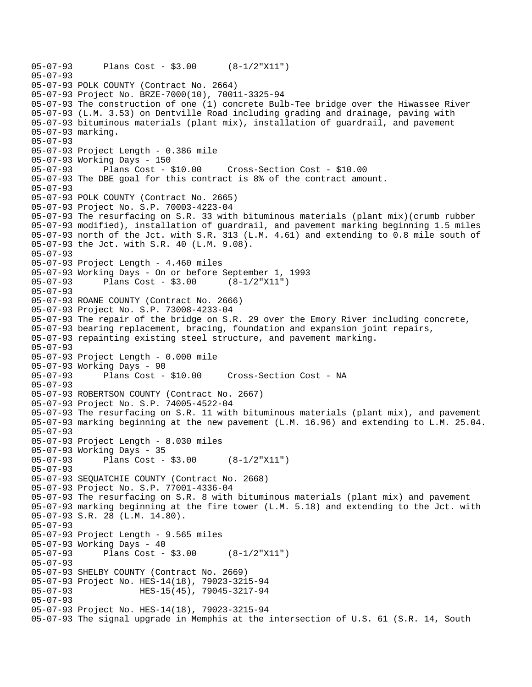```
05-07-93 Plans Cost - $3.00 (8-1/2"X11") 
05-07-93 
05-07-93 POLK COUNTY (Contract No. 2664) 
05-07-93 Project No. BRZE-7000(10), 70011-3325-94 
05-07-93 The construction of one (1) concrete Bulb-Tee bridge over the Hiwassee River 
05-07-93 (L.M. 3.53) on Dentville Road including grading and drainage, paving with 
05-07-93 bituminous materials (plant mix), installation of guardrail, and pavement 
05-07-93 marking. 
05-07-93 
05-07-93 Project Length - 0.386 mile 
05-07-93 Working Days - 150 
05-07-93 Plans Cost - $10.00 Cross-Section Cost - $10.00 
05-07-93 The DBE goal for this contract is 8% of the contract amount. 
05-07-93 
05-07-93 POLK COUNTY (Contract No. 2665) 
05-07-93 Project No. S.P. 70003-4223-04 
05-07-93 The resurfacing on S.R. 33 with bituminous materials (plant mix)(crumb rubber 
05-07-93 modified), installation of guardrail, and pavement marking beginning 1.5 miles 
05-07-93 north of the Jct. with S.R. 313 (L.M. 4.61) and extending to 0.8 mile south of 
05-07-93 the Jct. with S.R. 40 (L.M. 9.08). 
05-07-93 
05-07-93 Project Length - 4.460 miles 
05-07-93 Working Days - On or before September 1, 1993 
05-07-93 Plans Cost - $3.00 (8-1/2"X11") 
05-07-93 
05-07-93 ROANE COUNTY (Contract No. 2666) 
05-07-93 Project No. S.P. 73008-4233-04 
05-07-93 The repair of the bridge on S.R. 29 over the Emory River including concrete, 
05-07-93 bearing replacement, bracing, foundation and expansion joint repairs, 
05-07-93 repainting existing steel structure, and pavement marking. 
05-07-93 
05-07-93 Project Length - 0.000 mile 
05-07-93 Working Days - 90 
05-07-93 Plans Cost - $10.00 Cross-Section Cost - NA 
05-07-93 
05-07-93 ROBERTSON COUNTY (Contract No. 2667) 
05-07-93 Project No. S.P. 74005-4522-04 
05-07-93 The resurfacing on S.R. 11 with bituminous materials (plant mix), and pavement 
05-07-93 marking beginning at the new pavement (L.M. 16.96) and extending to L.M. 25.04. 
05-07-93 
05-07-93 Project Length - 8.030 miles 
05-07-93 Working Days - 35 
05-07-93 Plans Cost - $3.00 (8-1/2"X11") 
05-07-93 
05-07-93 SEQUATCHIE COUNTY (Contract No. 2668) 
05-07-93 Project No. S.P. 77001-4336-04 
05-07-93 The resurfacing on S.R. 8 with bituminous materials (plant mix) and pavement 
05-07-93 marking beginning at the fire tower (L.M. 5.18) and extending to the Jct. with 
05-07-93 S.R. 28 (L.M. 14.80). 
05-07-93 
05-07-93 Project Length - 9.565 miles 
05-07-93 Working Days - 40 
05-07-93 Plans Cost - $3.00 (8-1/2"X11") 
05-07-93 
05-07-93 SHELBY COUNTY (Contract No. 2669) 
05-07-93 Project No. HES-14(18), 79023-3215-94 
05-07-93 HES-15(45), 79045-3217-94 
05-07-93 
05-07-93 Project No. HES-14(18), 79023-3215-94 
05-07-93 The signal upgrade in Memphis at the intersection of U.S. 61 (S.R. 14, South
```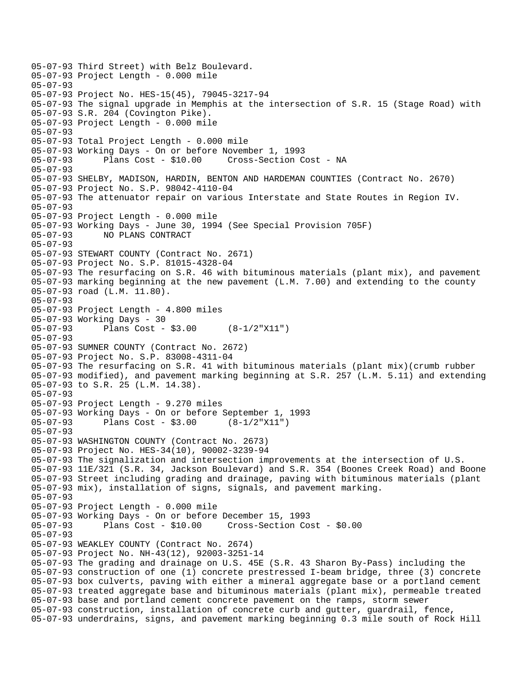05-07-93 Third Street) with Belz Boulevard. 05-07-93 Project Length - 0.000 mile 05-07-93 05-07-93 Project No. HES-15(45), 79045-3217-94 05-07-93 The signal upgrade in Memphis at the intersection of S.R. 15 (Stage Road) with 05-07-93 S.R. 204 (Covington Pike). 05-07-93 Project Length - 0.000 mile 05-07-93 05-07-93 Total Project Length - 0.000 mile 05-07-93 Working Days - On or before November 1, 1993 05-07-93 Plans Cost - \$10.00 Cross-Section Cost - NA 05-07-93 05-07-93 SHELBY, MADISON, HARDIN, BENTON AND HARDEMAN COUNTIES (Contract No. 2670) 05-07-93 Project No. S.P. 98042-4110-04 05-07-93 The attenuator repair on various Interstate and State Routes in Region IV. 05-07-93 05-07-93 Project Length - 0.000 mile 05-07-93 Working Days - June 30, 1994 (See Special Provision 705F) 05-07-93 NO PLANS CONTRACT 05-07-93 05-07-93 STEWART COUNTY (Contract No. 2671) 05-07-93 Project No. S.P. 81015-4328-04 05-07-93 The resurfacing on S.R. 46 with bituminous materials (plant mix), and pavement 05-07-93 marking beginning at the new pavement (L.M. 7.00) and extending to the county 05-07-93 road (L.M. 11.80). 05-07-93 05-07-93 Project Length - 4.800 miles 05-07-93 Working Days - 30 05-07-93 Plans Cost - \$3.00 (8-1/2"X11") 05-07-93 05-07-93 SUMNER COUNTY (Contract No. 2672) 05-07-93 Project No. S.P. 83008-4311-04 05-07-93 The resurfacing on S.R. 41 with bituminous materials (plant mix)(crumb rubber 05-07-93 modified), and pavement marking beginning at S.R. 257 (L.M. 5.11) and extending 05-07-93 to S.R. 25 (L.M. 14.38). 05-07-93 05-07-93 Project Length - 9.270 miles 05-07-93 Working Days - On or before September 1, 1993 05-07-93 Plans Cost - \$3.00 (8-1/2"X11") 05-07-93 05-07-93 WASHINGTON COUNTY (Contract No. 2673) 05-07-93 Project No. HES-34(10), 90002-3239-94 05-07-93 The signalization and intersection improvements at the intersection of U.S. 05-07-93 11E/321 (S.R. 34, Jackson Boulevard) and S.R. 354 (Boones Creek Road) and Boone 05-07-93 Street including grading and drainage, paving with bituminous materials (plant 05-07-93 mix), installation of signs, signals, and pavement marking. 05-07-93 05-07-93 Project Length - 0.000 mile 05-07-93 Working Days - On or before December 15, 1993 05-07-93 Plans Cost - \$10.00 Cross-Section Cost - \$0.00 05-07-93 05-07-93 WEAKLEY COUNTY (Contract No. 2674) 05-07-93 Project No. NH-43(12), 92003-3251-14 05-07-93 The grading and drainage on U.S. 45E (S.R. 43 Sharon By-Pass) including the 05-07-93 construction of one (1) concrete prestressed I-beam bridge, three (3) concrete 05-07-93 box culverts, paving with either a mineral aggregate base or a portland cement 05-07-93 treated aggregate base and bituminous materials (plant mix), permeable treated 05-07-93 base and portland cement concrete pavement on the ramps, storm sewer 05-07-93 construction, installation of concrete curb and gutter, guardrail, fence, 05-07-93 underdrains, signs, and pavement marking beginning 0.3 mile south of Rock Hill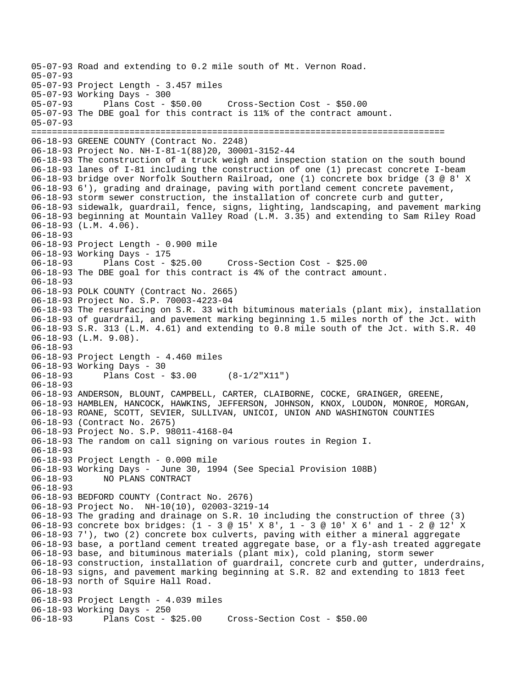```
05-07-93 Road and extending to 0.2 mile south of Mt. Vernon Road. 
05-07-93 
05-07-93 Project Length - 3.457 miles 
05-07-93 Working Days - 300 
05-07-93 Plans Cost - $50.00 Cross-Section Cost - $50.00 
05-07-93 The DBE goal for this contract is 11% of the contract amount. 
05-07-93 
================================================================================ 
06-18-93 GREENE COUNTY (Contract No. 2248) 
06-18-93 Project No. NH-I-81-1(88)20, 30001-3152-44 
06-18-93 The construction of a truck weigh and inspection station on the south bound 
06-18-93 lanes of I-81 including the construction of one (1) precast concrete I-beam 
06-18-93 bridge over Norfolk Southern Railroad, one (1) concrete box bridge (3 @ 8' X 
06-18-93 6'), grading and drainage, paving with portland cement concrete pavement, 
06-18-93 storm sewer construction, the installation of concrete curb and gutter, 
06-18-93 sidewalk, guardrail, fence, signs, lighting, landscaping, and pavement marking 
06-18-93 beginning at Mountain Valley Road (L.M. 3.35) and extending to Sam Riley Road 
06-18-93 (L.M. 4.06). 
06-18-93 
06-18-93 Project Length - 0.900 mile 
06-18-93 Working Days - 175 
06-18-93 Plans Cost - $25.00 Cross-Section Cost - $25.00 
06-18-93 The DBE goal for this contract is 4% of the contract amount. 
06-18-93 
06-18-93 POLK COUNTY (Contract No. 2665) 
06-18-93 Project No. S.P. 70003-4223-04 
06-18-93 The resurfacing on S.R. 33 with bituminous materials (plant mix), installation 
06-18-93 of guardrail, and pavement marking beginning 1.5 miles north of the Jct. with 
06-18-93 S.R. 313 (L.M. 4.61) and extending to 0.8 mile south of the Jct. with S.R. 40 
06-18-93 (L.M. 9.08). 
06-18-93 
06-18-93 Project Length - 4.460 miles 
06-18-93 Working Days - 30 
06-18-93 Plans Cost - $3.00 (8-1/2"X11") 
06-18-93 
06-18-93 ANDERSON, BLOUNT, CAMPBELL, CARTER, CLAIBORNE, COCKE, GRAINGER, GREENE, 
06-18-93 HAMBLEN, HANCOCK, HAWKINS, JEFFERSON, JOHNSON, KNOX, LOUDON, MONROE, MORGAN, 
06-18-93 ROANE, SCOTT, SEVIER, SULLIVAN, UNICOI, UNION AND WASHINGTON COUNTIES 
06-18-93 (Contract No. 2675) 
06-18-93 Project No. S.P. 98011-4168-04 
06-18-93 The random on call signing on various routes in Region I. 
06-18-93 
06-18-93 Project Length - 0.000 mile 
06-18-93 Working Days - June 30, 1994 (See Special Provision 108B) 
06-18-93 NO PLANS CONTRACT 
06-18-93 
06-18-93 BEDFORD COUNTY (Contract No. 2676) 
06-18-93 Project No. NH-10(10), 02003-3219-14 
06-18-93 The grading and drainage on S.R. 10 including the construction of three (3) 
06-18-93 concrete box bridges: (1 - 3 @ 15' X 8', 1 - 3 @ 10' X 6' and 1 - 2 @ 12' X 
06-18-93 7'), two (2) concrete box culverts, paving with either a mineral aggregate 
06-18-93 base, a portland cement treated aggregate base, or a fly-ash treated aggregate 
06-18-93 base, and bituminous materials (plant mix), cold planing, storm sewer 
06-18-93 construction, installation of guardrail, concrete curb and gutter, underdrains, 
06-18-93 signs, and pavement marking beginning at S.R. 82 and extending to 1813 feet 
06-18-93 north of Squire Hall Road. 
06-18-93 
06-18-93 Project Length - 4.039 miles 
06-18-93 Working Days - 250 
06-18-93 Plans Cost - $25.00 Cross-Section Cost - $50.00
```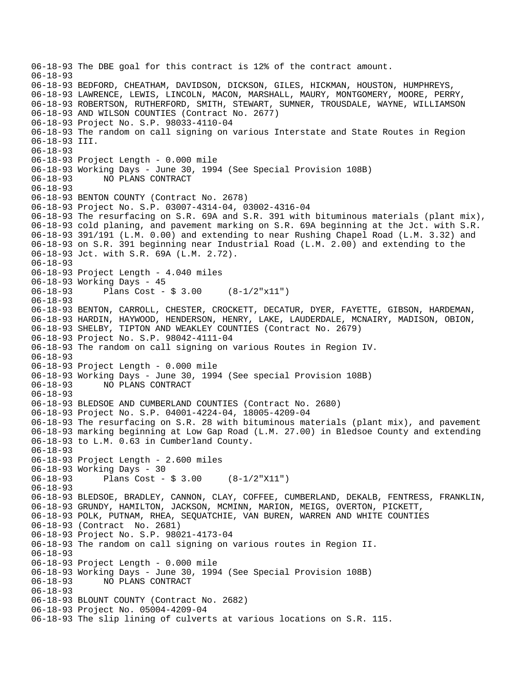06-18-93 The DBE goal for this contract is 12% of the contract amount. 06-18-93 06-18-93 BEDFORD, CHEATHAM, DAVIDSON, DICKSON, GILES, HICKMAN, HOUSTON, HUMPHREYS, 06-18-93 LAWRENCE, LEWIS, LINCOLN, MACON, MARSHALL, MAURY, MONTGOMERY, MOORE, PERRY, 06-18-93 ROBERTSON, RUTHERFORD, SMITH, STEWART, SUMNER, TROUSDALE, WAYNE, WILLIAMSON 06-18-93 AND WILSON COUNTIES (Contract No. 2677) 06-18-93 Project No. S.P. 98033-4110-04 06-18-93 The random on call signing on various Interstate and State Routes in Region 06-18-93 III. 06-18-93 06-18-93 Project Length - 0.000 mile 06-18-93 Working Days - June 30, 1994 (See Special Provision 108B) 06-18-93 NO PLANS CONTRACT 06-18-93 06-18-93 BENTON COUNTY (Contract No. 2678) 06-18-93 Project No. S.P. 03007-4314-04, 03002-4316-04 06-18-93 The resurfacing on S.R. 69A and S.R. 391 with bituminous materials (plant mix), 06-18-93 cold planing, and pavement marking on S.R. 69A beginning at the Jct. with S.R. 06-18-93 391/191 (L.M. 0.00) and extending to near Rushing Chapel Road (L.M. 3.32) and 06-18-93 on S.R. 391 beginning near Industrial Road (L.M. 2.00) and extending to the 06-18-93 Jct. with S.R. 69A (L.M. 2.72). 06-18-93 06-18-93 Project Length - 4.040 miles 06-18-93 Working Days - 45<br>06-18-93 Plans Cost -Plans Cost -  $$3.00$   $(8-1/2"x11")$ 06-18-93 06-18-93 BENTON, CARROLL, CHESTER, CROCKETT, DECATUR, DYER, FAYETTE, GIBSON, HARDEMAN, 06-18-93 HARDIN, HAYWOOD, HENDERSON, HENRY, LAKE, LAUDERDALE, MCNAIRY, MADISON, OBION, 06-18-93 SHELBY, TIPTON AND WEAKLEY COUNTIES (Contract No. 2679) 06-18-93 Project No. S.P. 98042-4111-04 06-18-93 The random on call signing on various Routes in Region IV. 06-18-93 06-18-93 Project Length - 0.000 mile 06-18-93 Working Days - June 30, 1994 (See special Provision 108B) 06-18-93 NO PLANS CONTRACT 06-18-93 06-18-93 BLEDSOE AND CUMBERLAND COUNTIES (Contract No. 2680) 06-18-93 Project No. S.P. 04001-4224-04, 18005-4209-04 06-18-93 The resurfacing on S.R. 28 with bituminous materials (plant mix), and pavement 06-18-93 marking beginning at Low Gap Road (L.M. 27.00) in Bledsoe County and extending 06-18-93 to L.M. 0.63 in Cumberland County. 06-18-93 06-18-93 Project Length - 2.600 miles 06-18-93 Working Days - 30 06-18-93 Plans Cost - \$ 3.00 (8-1/2"X11") 06-18-93 06-18-93 BLEDSOE, BRADLEY, CANNON, CLAY, COFFEE, CUMBERLAND, DEKALB, FENTRESS, FRANKLIN, 06-18-93 GRUNDY, HAMILTON, JACKSON, MCMINN, MARION, MEIGS, OVERTON, PICKETT, 06-18-93 POLK, PUTNAM, RHEA, SEQUATCHIE, VAN BUREN, WARREN AND WHITE COUNTIES 06-18-93 (Contract No. 2681) 06-18-93 Project No. S.P. 98021-4173-04 06-18-93 The random on call signing on various routes in Region II. 06-18-93 06-18-93 Project Length - 0.000 mile 06-18-93 Working Days - June 30, 1994 (See Special Provision 108B) 06-18-93 NO PLANS CONTRACT 06-18-93 06-18-93 BLOUNT COUNTY (Contract No. 2682) 06-18-93 Project No. 05004-4209-04 06-18-93 The slip lining of culverts at various locations on S.R. 115.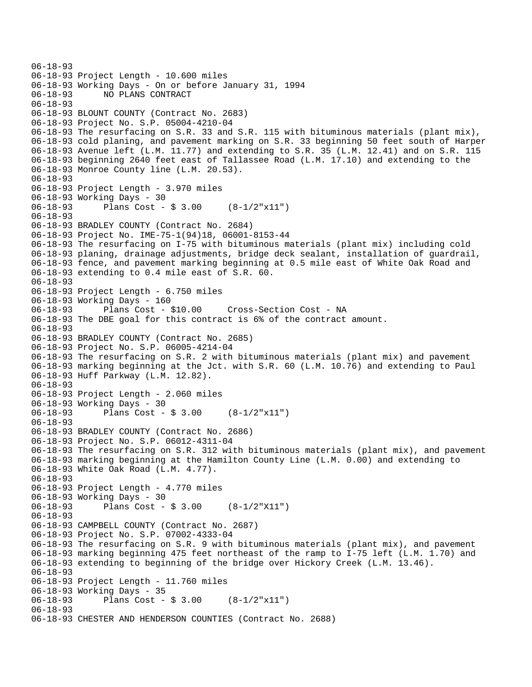```
06-18-93 
06-18-93 Project Length - 10.600 miles 
06-18-93 Working Days - On or before January 31, 1994 
06-18-93 NO PLANS CONTRACT 
06-18-93 
06-18-93 BLOUNT COUNTY (Contract No. 2683) 
06-18-93 Project No. S.P. 05004-4210-04 
06-18-93 The resurfacing on S.R. 33 and S.R. 115 with bituminous materials (plant mix), 
06-18-93 cold planing, and pavement marking on S.R. 33 beginning 50 feet south of Harper 
06-18-93 Avenue left (L.M. 11.77) and extending to S.R. 35 (L.M. 12.41) and on S.R. 115 
06-18-93 beginning 2640 feet east of Tallassee Road (L.M. 17.10) and extending to the 
06-18-93 Monroe County line (L.M. 20.53). 
06-18-93 
06-18-93 Project Length - 3.970 miles 
06-18-93 Working Days - 30 
06-18-93 Plans Cost - $ 3.00 (8-1/2"x11") 
06-18-93 
06-18-93 BRADLEY COUNTY (Contract No. 2684) 
06-18-93 Project No. IME-75-1(94)18, 06001-8153-44 
06-18-93 The resurfacing on I-75 with bituminous materials (plant mix) including cold 
06-18-93 planing, drainage adjustments, bridge deck sealant, installation of guardrail, 
06-18-93 fence, and pavement marking beginning at 0.5 mile east of White Oak Road and 
06-18-93 extending to 0.4 mile east of S.R. 60. 
06-18-93 
06-18-93 Project Length - 6.750 miles 
06-18-93 Working Days - 160 
06-18-93 Plans Cost - $10.00 Cross-Section Cost - NA 
06-18-93 The DBE goal for this contract is 6% of the contract amount. 
06-18-93 
06-18-93 BRADLEY COUNTY (Contract No. 2685) 
06-18-93 Project No. S.P. 06005-4214-04 
06-18-93 The resurfacing on S.R. 2 with bituminous materials (plant mix) and pavement 
06-18-93 marking beginning at the Jct. with S.R. 60 (L.M. 10.76) and extending to Paul 
06-18-93 Huff Parkway (L.M. 12.82). 
06-18-93 
06-18-93 Project Length - 2.060 miles 
06-18-93 Working Days - 30 
06-18-93 Plans Cost - $ 3.00 (8-1/2"x11") 
06-18-93 
06-18-93 BRADLEY COUNTY (Contract No. 2686) 
06-18-93 Project No. S.P. 06012-4311-04 
06-18-93 The resurfacing on S.R. 312 with bituminous materials (plant mix), and pavement 
06-18-93 marking beginning at the Hamilton County Line (L.M. 0.00) and extending to 
06-18-93 White Oak Road (L.M. 4.77). 
06-18-93 
06-18-93 Project Length - 4.770 miles 
06-18-93 Working Days - 30 
06-18-93 Plans Cost - $ 3.00 (8-1/2"X11") 
06-18-93 
06-18-93 CAMPBELL COUNTY (Contract No. 2687) 
06-18-93 Project No. S.P. 07002-4333-04 
06-18-93 The resurfacing on S.R. 9 with bituminous materials (plant mix), and pavement 
06-18-93 marking beginning 475 feet northeast of the ramp to I-75 left (L.M. 1.70) and 
06-18-93 extending to beginning of the bridge over Hickory Creek (L.M. 13.46). 
06-18-93 
06-18-93 Project Length - 11.760 miles 
06-18-93 Working Days - 35 
              Plans Cost - $3.00 (8-1/2"x11")06-18-93 
06-18-93 CHESTER AND HENDERSON COUNTIES (Contract No. 2688)
```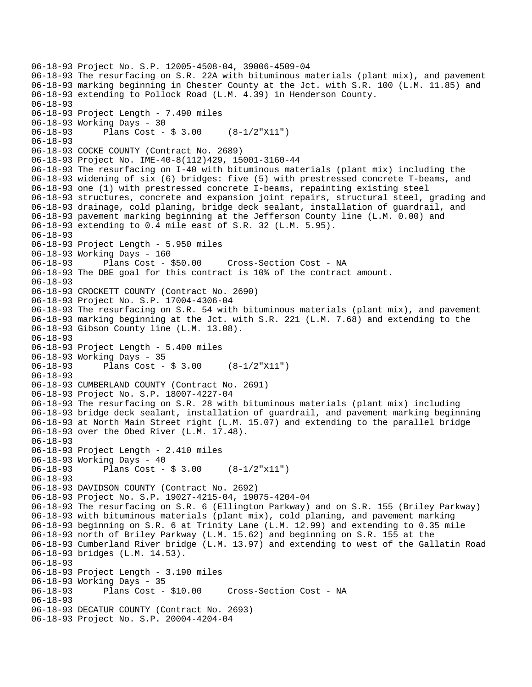```
06-18-93 Project No. S.P. 12005-4508-04, 39006-4509-04 
06-18-93 The resurfacing on S.R. 22A with bituminous materials (plant mix), and pavement 
06-18-93 marking beginning in Chester County at the Jct. with S.R. 100 (L.M. 11.85) and 
06-18-93 extending to Pollock Road (L.M. 4.39) in Henderson County. 
06-18-93 
06-18-93 Project Length - 7.490 miles 
06-18-93 Working Days - 30 
06-18-93 Plans Cost - $ 3.00 (8-1/2"X11") 
06-18-93 
06-18-93 COCKE COUNTY (Contract No. 2689) 
06-18-93 Project No. IME-40-8(112)429, 15001-3160-44 
06-18-93 The resurfacing on I-40 with bituminous materials (plant mix) including the 
06-18-93 widening of six (6) bridges: five (5) with prestressed concrete T-beams, and 
06-18-93 one (1) with prestressed concrete I-beams, repainting existing steel 
06-18-93 structures, concrete and expansion joint repairs, structural steel, grading and 
06-18-93 drainage, cold planing, bridge deck sealant, installation of guardrail, and 
06-18-93 pavement marking beginning at the Jefferson County line (L.M. 0.00) and 
06-18-93 extending to 0.4 mile east of S.R. 32 (L.M. 5.95). 
06-18-93 
06-18-93 Project Length - 5.950 miles 
06-18-93 Working Days - 160 
06-18-93 Plans Cost - $50.00 Cross-Section Cost - NA 
06-18-93 The DBE goal for this contract is 10% of the contract amount. 
06-18-93 
06-18-93 CROCKETT COUNTY (Contract No. 2690) 
06-18-93 Project No. S.P. 17004-4306-04 
06-18-93 The resurfacing on S.R. 54 with bituminous materials (plant mix), and pavement 
06-18-93 marking beginning at the Jct. with S.R. 221 (L.M. 7.68) and extending to the 
06-18-93 Gibson County line (L.M. 13.08). 
06-18-93 
06-18-93 Project Length - 5.400 miles 
06-18-93 Working Days - 35<br>06-18-93 Plans Cost -
              Plans Cost - $3.00 (8-1/2"X11")06-18-93 
06-18-93 CUMBERLAND COUNTY (Contract No. 2691) 
06-18-93 Project No. S.P. 18007-4227-04 
06-18-93 The resurfacing on S.R. 28 with bituminous materials (plant mix) including 
06-18-93 bridge deck sealant, installation of guardrail, and pavement marking beginning 
06-18-93 at North Main Street right (L.M. 15.07) and extending to the parallel bridge 
06-18-93 over the Obed River (L.M. 17.48). 
06-18-93 
06-18-93 Project Length - 2.410 miles 
06-18-93 Working Days - 40 
06-18-93 Plans Cost - $ 3.00 (8-1/2"x11") 
06-18-93 
06-18-93 DAVIDSON COUNTY (Contract No. 2692) 
06-18-93 Project No. S.P. 19027-4215-04, 19075-4204-04 
06-18-93 The resurfacing on S.R. 6 (Ellington Parkway) and on S.R. 155 (Briley Parkway) 
06-18-93 with bituminous materials (plant mix), cold planing, and pavement marking 
06-18-93 beginning on S.R. 6 at Trinity Lane (L.M. 12.99) and extending to 0.35 mile 
06-18-93 north of Briley Parkway (L.M. 15.62) and beginning on S.R. 155 at the 
06-18-93 Cumberland River bridge (L.M. 13.97) and extending to west of the Gallatin Road 
06-18-93 bridges (L.M. 14.53). 
06-18-93 
06-18-93 Project Length - 3.190 miles 
06-18-93 Working Days - 35 
06-18-93 Plans Cost - $10.00 Cross-Section Cost - NA 
06-18-93 
06-18-93 DECATUR COUNTY (Contract No. 2693) 
06-18-93 Project No. S.P. 20004-4204-04
```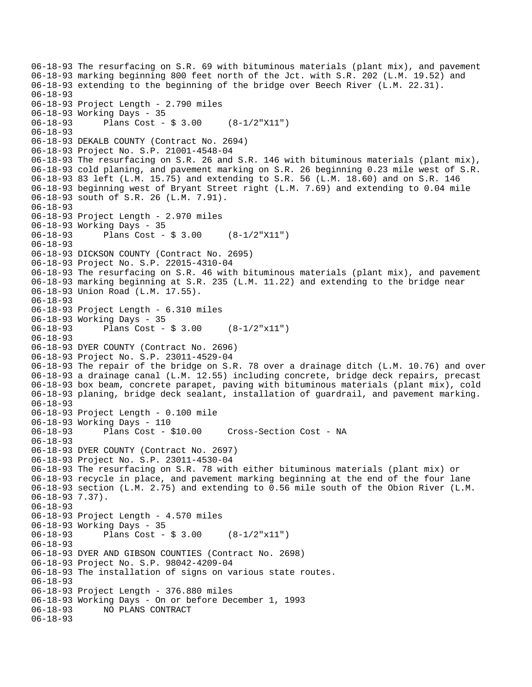06-18-93 The resurfacing on S.R. 69 with bituminous materials (plant mix), and pavement 06-18-93 marking beginning 800 feet north of the Jct. with S.R. 202 (L.M. 19.52) and 06-18-93 extending to the beginning of the bridge over Beech River (L.M. 22.31). 06-18-93 06-18-93 Project Length - 2.790 miles 06-18-93 Working Days - 35 06-18-93 Plans Cost - \$ 3.00 (8-1/2"X11") 06-18-93 06-18-93 DEKALB COUNTY (Contract No. 2694) 06-18-93 Project No. S.P. 21001-4548-04 06-18-93 The resurfacing on S.R. 26 and S.R. 146 with bituminous materials (plant mix), 06-18-93 cold planing, and pavement marking on S.R. 26 beginning 0.23 mile west of S.R. 06-18-93 83 left (L.M. 15.75) and extending to S.R. 56 (L.M. 18.60) and on S.R. 146 06-18-93 beginning west of Bryant Street right (L.M. 7.69) and extending to 0.04 mile 06-18-93 south of S.R. 26 (L.M. 7.91). 06-18-93 06-18-93 Project Length - 2.970 miles 06-18-93 Working Days - 35 06-18-93 Plans Cost - \$ 3.00 (8-1/2"X11") 06-18-93 06-18-93 DICKSON COUNTY (Contract No. 2695) 06-18-93 Project No. S.P. 22015-4310-04 06-18-93 The resurfacing on S.R. 46 with bituminous materials (plant mix), and pavement 06-18-93 marking beginning at S.R. 235 (L.M. 11.22) and extending to the bridge near 06-18-93 Union Road (L.M. 17.55). 06-18-93 06-18-93 Project Length - 6.310 miles 06-18-93 Working Days - 35 06-18-93 Plans Cost - \$ 3.00 (8-1/2"x11") 06-18-93 06-18-93 DYER COUNTY (Contract No. 2696) 06-18-93 Project No. S.P. 23011-4529-04 06-18-93 The repair of the bridge on S.R. 78 over a drainage ditch (L.M. 10.76) and over 06-18-93 a drainage canal (L.M. 12.55) including concrete, bridge deck repairs, precast 06-18-93 box beam, concrete parapet, paving with bituminous materials (plant mix), cold 06-18-93 planing, bridge deck sealant, installation of guardrail, and pavement marking. 06-18-93 06-18-93 Project Length - 0.100 mile 06-18-93 Working Days - 110 06-18-93 Plans Cost - \$10.00 Cross-Section Cost - NA 06-18-93 06-18-93 DYER COUNTY (Contract No. 2697) 06-18-93 Project No. S.P. 23011-4530-04 06-18-93 The resurfacing on S.R. 78 with either bituminous materials (plant mix) or 06-18-93 recycle in place, and pavement marking beginning at the end of the four lane 06-18-93 section (L.M. 2.75) and extending to 0.56 mile south of the Obion River (L.M. 06-18-93 7.37). 06-18-93 06-18-93 Project Length - 4.570 miles 06-18-93 Working Days - 35 Plans Cost -  $$3.00$   $(8-1/2"x11")$ 06-18-93 06-18-93 DYER AND GIBSON COUNTIES (Contract No. 2698) 06-18-93 Project No. S.P. 98042-4209-04 06-18-93 The installation of signs on various state routes. 06-18-93 06-18-93 Project Length - 376.880 miles 06-18-93 Working Days - On or before December 1, 1993 06-18-93 NO PLANS CONTRACT 06-18-93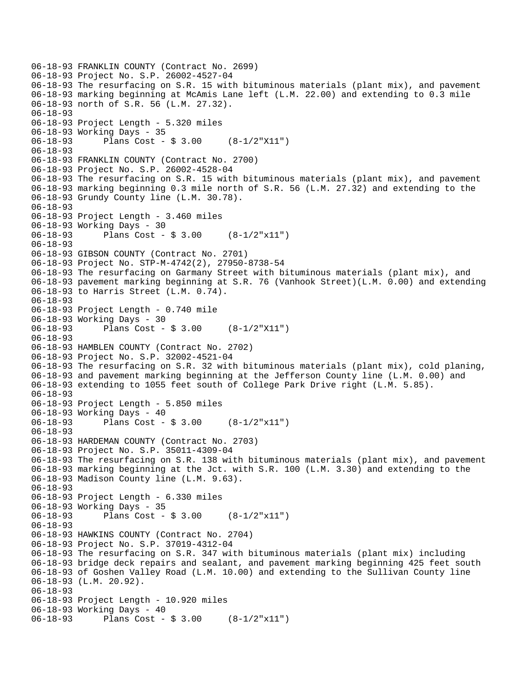```
06-18-93 FRANKLIN COUNTY (Contract No. 2699) 
06-18-93 Project No. S.P. 26002-4527-04 
06-18-93 The resurfacing on S.R. 15 with bituminous materials (plant mix), and pavement 
06-18-93 marking beginning at McAmis Lane left (L.M. 22.00) and extending to 0.3 mile 
06-18-93 north of S.R. 56 (L.M. 27.32). 
06-18-93 
06-18-93 Project Length - 5.320 miles 
06-18-93 Working Days - 35 
06-18-93 Plans Cost - $ 3.00 (8-1/2"X11") 
06-18-93 
06-18-93 FRANKLIN COUNTY (Contract No. 2700) 
06-18-93 Project No. S.P. 26002-4528-04 
06-18-93 The resurfacing on S.R. 15 with bituminous materials (plant mix), and pavement 
06-18-93 marking beginning 0.3 mile north of S.R. 56 (L.M. 27.32) and extending to the 
06-18-93 Grundy County line (L.M. 30.78). 
06-18-93 
06-18-93 Project Length - 3.460 miles 
06-18-93 Working Days - 30 
06-18-93 Plans Cost - $ 3.00 (8-1/2"x11") 
06-18-93 
06-18-93 GIBSON COUNTY (Contract No. 2701) 
06-18-93 Project No. STP-M-4742(2), 27950-8738-54 
06-18-93 The resurfacing on Garmany Street with bituminous materials (plant mix), and 
06-18-93 pavement marking beginning at S.R. 76 (Vanhook Street)(L.M. 0.00) and extending 
06-18-93 to Harris Street (L.M. 0.74). 
06-18-93 
06-18-93 Project Length - 0.740 mile 
06-18-93 Working Days - 30 
06-18-93 Plans Cost - $ 3.00 (8-1/2"X11") 
06-18-93 
06-18-93 HAMBLEN COUNTY (Contract No. 2702) 
06-18-93 Project No. S.P. 32002-4521-04 
06-18-93 The resurfacing on S.R. 32 with bituminous materials (plant mix), cold planing, 
06-18-93 and pavement marking beginning at the Jefferson County line (L.M. 0.00) and 
06-18-93 extending to 1055 feet south of College Park Drive right (L.M. 5.85). 
06-18-93 
06-18-93 Project Length - 5.850 miles 
06-18-93 Working Days - 40 
06-18-93 Plans Cost - $ 3.00 (8-1/2"x11") 
06-18-93 
06-18-93 HARDEMAN COUNTY (Contract No. 2703) 
06-18-93 Project No. S.P. 35011-4309-04 
06-18-93 The resurfacing on S.R. 138 with bituminous materials (plant mix), and pavement 
06-18-93 marking beginning at the Jct. with S.R. 100 (L.M. 3.30) and extending to the 
06-18-93 Madison County line (L.M. 9.63). 
06-18-93 
06-18-93 Project Length - 6.330 miles 
06-18-93 Working Days - 35 
06-18-93 Plans Cost - $ 3.00 (8-1/2"x11") 
06-18-93 
06-18-93 HAWKINS COUNTY (Contract No. 2704) 
06-18-93 Project No. S.P. 37019-4312-04 
06-18-93 The resurfacing on S.R. 347 with bituminous materials (plant mix) including 
06-18-93 bridge deck repairs and sealant, and pavement marking beginning 425 feet south 
06-18-93 of Goshen Valley Road (L.M. 10.00) and extending to the Sullivan County line 
06-18-93 (L.M. 20.92). 
06-18-93 
06-18-93 Project Length - 10.920 miles 
06-18-93 Working Days - 40 
06-18-93 Plans Cost - $ 3.00 (8-1/2"x11")
```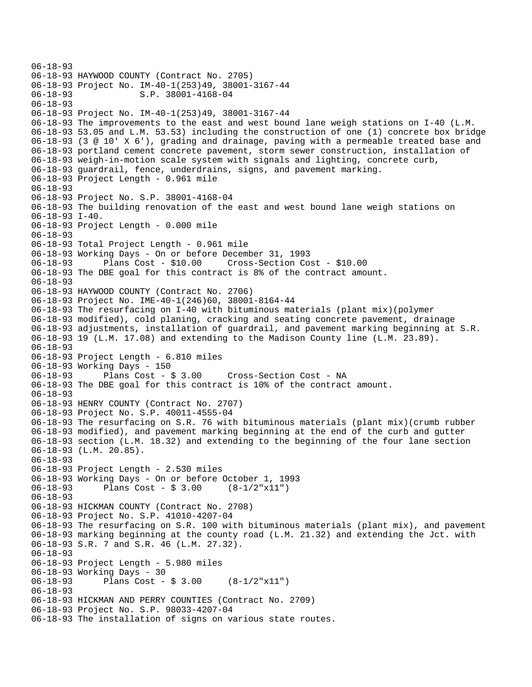06-18-93 06-18-93 HAYWOOD COUNTY (Contract No. 2705) 06-18-93 Project No. IM-40-1(253)49, 38001-3167-44 06-18-93 S.P. 38001-4168-04 06-18-93 06-18-93 Project No. IM-40-1(253)49, 38001-3167-44 06-18-93 The improvements to the east and west bound lane weigh stations on I-40 (L.M. 06-18-93 53.05 and L.M. 53.53) including the construction of one (1) concrete box bridge 06-18-93 (3 @ 10' X 6'), grading and drainage, paving with a permeable treated base and 06-18-93 portland cement concrete pavement, storm sewer construction, installation of 06-18-93 weigh-in-motion scale system with signals and lighting, concrete curb, 06-18-93 guardrail, fence, underdrains, signs, and pavement marking. 06-18-93 Project Length - 0.961 mile 06-18-93 06-18-93 Project No. S.P. 38001-4168-04 06-18-93 The building renovation of the east and west bound lane weigh stations on 06-18-93 I-40. 06-18-93 Project Length - 0.000 mile 06-18-93 06-18-93 Total Project Length - 0.961 mile 06-18-93 Working Days - On or before December 31, 1993 06-18-93 Plans Cost - \$10.00 Cross-Section Cost - \$10.00 06-18-93 The DBE goal for this contract is 8% of the contract amount. 06-18-93 06-18-93 HAYWOOD COUNTY (Contract No. 2706) 06-18-93 Project No. IME-40-1(246)60, 38001-8164-44 06-18-93 The resurfacing on I-40 with bituminous materials (plant mix)(polymer 06-18-93 modified), cold planing, cracking and seating concrete pavement, drainage 06-18-93 adjustments, installation of guardrail, and pavement marking beginning at S.R. 06-18-93 19 (L.M. 17.08) and extending to the Madison County line (L.M. 23.89). 06-18-93 06-18-93 Project Length - 6.810 miles 06-18-93 Working Days - 150 06-18-93 Plans Cost - \$ 3.00 Cross-Section Cost - NA 06-18-93 The DBE goal for this contract is 10% of the contract amount. 06-18-93 06-18-93 HENRY COUNTY (Contract No. 2707) 06-18-93 Project No. S.P. 40011-4555-04 06-18-93 The resurfacing on S.R. 76 with bituminous materials (plant mix)(crumb rubber 06-18-93 modified), and pavement marking beginning at the end of the curb and gutter 06-18-93 section (L.M. 18.32) and extending to the beginning of the four lane section 06-18-93 (L.M. 20.85). 06-18-93 06-18-93 Project Length - 2.530 miles 06-18-93 Working Days - On or before October 1, 1993 06-18-93 Plans Cost - \$ 3.00 (8-1/2"x11") 06-18-93 06-18-93 HICKMAN COUNTY (Contract No. 2708) 06-18-93 Project No. S.P. 41010-4207-04 06-18-93 The resurfacing on S.R. 100 with bituminous materials (plant mix), and pavement 06-18-93 marking beginning at the county road (L.M. 21.32) and extending the Jct. with 06-18-93 S.R. 7 and S.R. 46 (L.M. 27.32). 06-18-93 06-18-93 Project Length - 5.980 miles 06-18-93 Working Days - 30 06-18-93 Plans Cost - \$ 3.00 (8-1/2"x11") 06-18-93 06-18-93 HICKMAN AND PERRY COUNTIES (Contract No. 2709) 06-18-93 Project No. S.P. 98033-4207-04 06-18-93 The installation of signs on various state routes.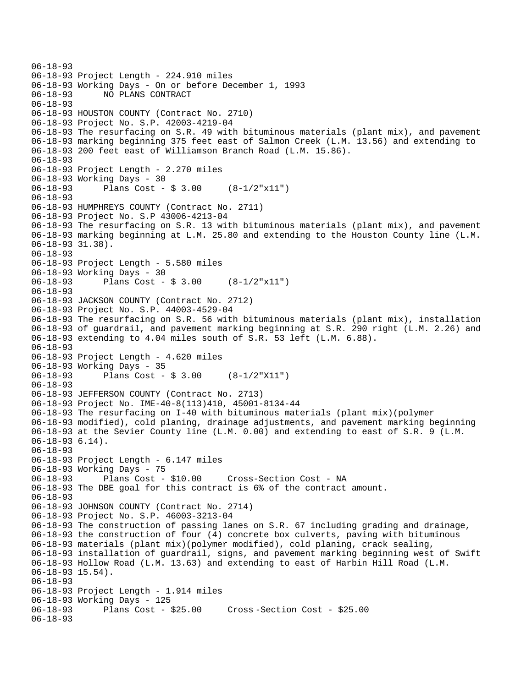```
06-18-93 
06-18-93 Project Length - 224.910 miles 
06-18-93 Working Days - On or before December 1, 1993 
06-18-93 NO PLANS CONTRACT 
06-18-93 
06-18-93 HOUSTON COUNTY (Contract No. 2710) 
06-18-93 Project No. S.P. 42003-4219-04 
06-18-93 The resurfacing on S.R. 49 with bituminous materials (plant mix), and pavement 
06-18-93 marking beginning 375 feet east of Salmon Creek (L.M. 13.56) and extending to 
06-18-93 200 feet east of Williamson Branch Road (L.M. 15.86). 
06-18-93 
06-18-93 Project Length - 2.270 miles 
06-18-93 Working Days - 30 
06-18-93 Plans Cost - $ 3.00 (8-1/2"x11") 
06-18-93 
06-18-93 HUMPHREYS COUNTY (Contract No. 2711) 
06-18-93 Project No. S.P 43006-4213-04 
06-18-93 The resurfacing on S.R. 13 with bituminous materials (plant mix), and pavement 
06-18-93 marking beginning at L.M. 25.80 and extending to the Houston County line (L.M. 
06-18-93 31.38). 
06-18-93 
06-18-93 Project Length - 5.580 miles 
06-18-93 Working Days - 30 
06-18-93 Plans Cost - $ 3.00 (8-1/2"x11") 
06-18-93 
06-18-93 JACKSON COUNTY (Contract No. 2712) 
06-18-93 Project No. S.P. 44003-4529-04 
06-18-93 The resurfacing on S.R. 56 with bituminous materials (plant mix), installation 
06-18-93 of guardrail, and pavement marking beginning at S.R. 290 right (L.M. 2.26) and 
06-18-93 extending to 4.04 miles south of S.R. 53 left (L.M. 6.88). 
06-18-93 
06-18-93 Project Length - 4.620 miles 
06-18-93 Working Days - 35 
06-18-93 Plans Cost - $ 3.00 (8-1/2"X11") 
06-18-93 
06-18-93 JEFFERSON COUNTY (Contract No. 2713) 
06-18-93 Project No. IME-40-8(113)410, 45001-8134-44 
06-18-93 The resurfacing on I-40 with bituminous materials (plant mix)(polymer 
06-18-93 modified), cold planing, drainage adjustments, and pavement marking beginning 
06-18-93 at the Sevier County line (L.M. 0.00) and extending to east of S.R. 9 (L.M. 
06-18-93 6.14). 
06-18-93 
06-18-93 Project Length - 6.147 miles 
06-18-93 Working Days - 75 
06-18-93 Plans Cost - $10.00 Cross-Section Cost - NA 
06-18-93 The DBE goal for this contract is 6% of the contract amount. 
06-18-93 
06-18-93 JOHNSON COUNTY (Contract No. 2714) 
06-18-93 Project No. S.P. 46003-3213-04 
06-18-93 The construction of passing lanes on S.R. 67 including grading and drainage, 
06-18-93 the construction of four (4) concrete box culverts, paving with bituminous 
06-18-93 materials (plant mix)(polymer modified), cold planing, crack sealing, 
06-18-93 installation of guardrail, signs, and pavement marking beginning west of Swift 
06-18-93 Hollow Road (L.M. 13.63) and extending to east of Harbin Hill Road (L.M. 
06-18-93 15.54). 
06-18-93 
06-18-93 Project Length - 1.914 miles 
06-18-93 Working Days - 125 
                                     06-18-93 Plans Cost - $25.00 Cross -Section Cost - $25.00 
06-18-93
```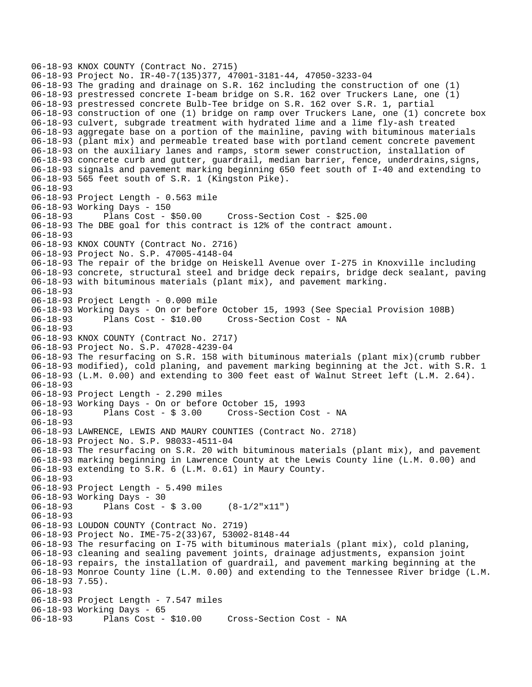06-18-93 KNOX COUNTY (Contract No. 2715) 06-18-93 Project No. IR-40-7(135)377, 47001-3181-44, 47050-3233-04 06-18-93 The grading and drainage on S.R. 162 including the construction of one (1) 06-18-93 prestressed concrete I-beam bridge on S.R. 162 over Truckers Lane, one (1) 06-18-93 prestressed concrete Bulb-Tee bridge on S.R. 162 over S.R. 1, partial 06-18-93 construction of one (1) bridge on ramp over Truckers Lane, one (1) concrete box 06-18-93 culvert, subgrade treatment with hydrated lime and a lime fly-ash treated 06-18-93 aggregate base on a portion of the mainline, paving with bituminous materials 06-18-93 (plant mix) and permeable treated base with portland cement concrete pavement 06-18-93 on the auxiliary lanes and ramps, storm sewer construction, installation of 06-18-93 concrete curb and gutter, guardrail, median barrier, fence, underdrains,signs, 06-18-93 signals and pavement marking beginning 650 feet south of I-40 and extending to 06-18-93 565 feet south of S.R. 1 (Kingston Pike). 06-18-93 06-18-93 Project Length - 0.563 mile 06-18-93 Working Days - 150 06-18-93 Plans Cost - \$50.00 Cross-Section Cost - \$25.00 06-18-93 The DBE goal for this contract is 12% of the contract amount. 06-18-93 06-18-93 KNOX COUNTY (Contract No. 2716) 06-18-93 Project No. S.P. 47005-4148-04 06-18-93 The repair of the bridge on Heiskell Avenue over I-275 in Knoxville including 06-18-93 concrete, structural steel and bridge deck repairs, bridge deck sealant, paving 06-18-93 with bituminous materials (plant mix), and pavement marking. 06-18-93 06-18-93 Project Length - 0.000 mile 06-18-93 Working Days - On or before October 15, 1993 (See Special Provision 108B) 06-18-93 Plans Cost - \$10.00 Cross-Section Cost - NA 06-18-93 06-18-93 KNOX COUNTY (Contract No. 2717) 06-18-93 Project No. S.P. 47028-4239-04 06-18-93 The resurfacing on S.R. 158 with bituminous materials (plant mix)(crumb rubber 06-18-93 modified), cold planing, and pavement marking beginning at the Jct. with S.R. 1 06-18-93 (L.M. 0.00) and extending to 300 feet east of Walnut Street left (L.M. 2.64). 06-18-93 06-18-93 Project Length - 2.290 miles 06-18-93 Working Days - On or before October 15, 1993 06-18-93 Plans Cost - \$ 3.00 Cross-Section Cost - NA 06-18-93 06-18-93 LAWRENCE, LEWIS AND MAURY COUNTIES (Contract No. 2718) 06-18-93 Project No. S.P. 98033-4511-04 06-18-93 The resurfacing on S.R. 20 with bituminous materials (plant mix), and pavement 06-18-93 marking beginning in Lawrence County at the Lewis County line (L.M. 0.00) and 06-18-93 extending to S.R. 6 (L.M. 0.61) in Maury County. 06-18-93 06-18-93 Project Length - 5.490 miles 06-18-93 Working Days - 30 Plans Cost -  $$3.00$   $(8-1/2"x11")$ 06-18-93 06-18-93 LOUDON COUNTY (Contract No. 2719) 06-18-93 Project No. IME-75-2(33)67, 53002-8148-44 06-18-93 The resurfacing on I-75 with bituminous materials (plant mix), cold planing, 06-18-93 cleaning and sealing pavement joints, drainage adjustments, expansion joint 06-18-93 repairs, the installation of guardrail, and pavement marking beginning at the 06-18-93 Monroe County line (L.M. 0.00) and extending to the Tennessee River bridge (L.M. 06-18-93 7.55). 06-18-93 06-18-93 Project Length - 7.547 miles 06-18-93 Working Days - 65 06-18-93 Plans Cost - \$10.00 Cross-Section Cost - NA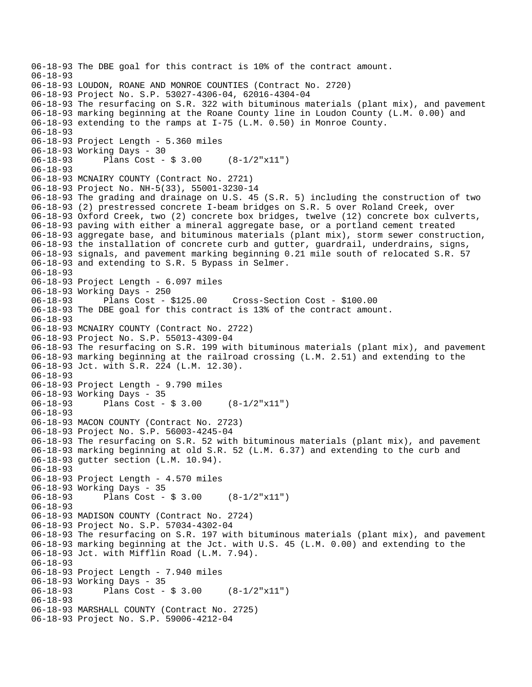```
06-18-93 The DBE goal for this contract is 10% of the contract amount. 
06-18-93 
06-18-93 LOUDON, ROANE AND MONROE COUNTIES (Contract No. 2720) 
06-18-93 Project No. S.P. 53027-4306-04, 62016-4304-04 
06-18-93 The resurfacing on S.R. 322 with bituminous materials (plant mix), and pavement 
06-18-93 marking beginning at the Roane County line in Loudon County (L.M. 0.00) and 
06-18-93 extending to the ramps at I-75 (L.M. 0.50) in Monroe County. 
06-18-93 
06-18-93 Project Length - 5.360 miles 
06-18-93 Working Days - 30 
06-18-93 Plans Cost - $ 3.00 (8-1/2"x11") 
06-18-93 
06-18-93 MCNAIRY COUNTY (Contract No. 2721) 
06-18-93 Project No. NH-5(33), 55001-3230-14 
06-18-93 The grading and drainage on U.S. 45 (S.R. 5) including the construction of two 
06-18-93 (2) prestressed concrete I-beam bridges on S.R. 5 over Roland Creek, over 
06-18-93 Oxford Creek, two (2) concrete box bridges, twelve (12) concrete box culverts, 
06-18-93 paving with either a mineral aggregate base, or a portland cement treated 
06-18-93 aggregate base, and bituminous materials (plant mix), storm sewer construction, 
06-18-93 the installation of concrete curb and gutter, guardrail, underdrains, signs, 
06-18-93 signals, and pavement marking beginning 0.21 mile south of relocated S.R. 57 
06-18-93 and extending to S.R. 5 Bypass in Selmer. 
06-18-93 
06-18-93 Project Length - 6.097 miles 
06-18-93 Working Days - 250<br>06-18-93 Plans Cost - $125.00
06-18-93 Plans Cost - $125.00 Cross-Section Cost - $100.00 
06-18-93 The DBE goal for this contract is 13% of the contract amount. 
06-18-93 
06-18-93 MCNAIRY COUNTY (Contract No. 2722) 
06-18-93 Project No. S.P. 55013-4309-04 
06-18-93 The resurfacing on S.R. 199 with bituminous materials (plant mix), and pavement 
06-18-93 marking beginning at the railroad crossing (L.M. 2.51) and extending to the 
06-18-93 Jct. with S.R. 224 (L.M. 12.30). 
06-18-93 
06-18-93 Project Length - 9.790 miles 
06-18-93 Working Days - 35 
06-18-93 Plans Cost - $ 3.00 (8-1/2"x11") 
06-18-93 
06-18-93 MACON COUNTY (Contract No. 2723) 
06-18-93 Project No. S.P. 56003-4245-04 
06-18-93 The resurfacing on S.R. 52 with bituminous materials (plant mix), and pavement 
06-18-93 marking beginning at old S.R. 52 (L.M. 6.37) and extending to the curb and 
06-18-93 gutter section (L.M. 10.94). 
06-18-93 
06-18-93 Project Length - 4.570 miles 
06-18-93 Working Days - 35 
06-18-93 Plans Cost - $ 3.00 (8-1/2"x11") 
06-18-93 
06-18-93 MADISON COUNTY (Contract No. 2724) 
06-18-93 Project No. S.P. 57034-4302-04 
06-18-93 The resurfacing on S.R. 197 with bituminous materials (plant mix), and pavement 
06-18-93 marking beginning at the Jct. with U.S. 45 (L.M. 0.00) and extending to the 
06-18-93 Jct. with Mifflin Road (L.M. 7.94). 
06-18-93 
06-18-93 Project Length - 7.940 miles 
06-18-93 Working Days - 35 
06-18-93 Plans Cost - $ 3.00 (8-1/2"x11") 
06-18-93 
06-18-93 MARSHALL COUNTY (Contract No. 2725) 
06-18-93 Project No. S.P. 59006-4212-04
```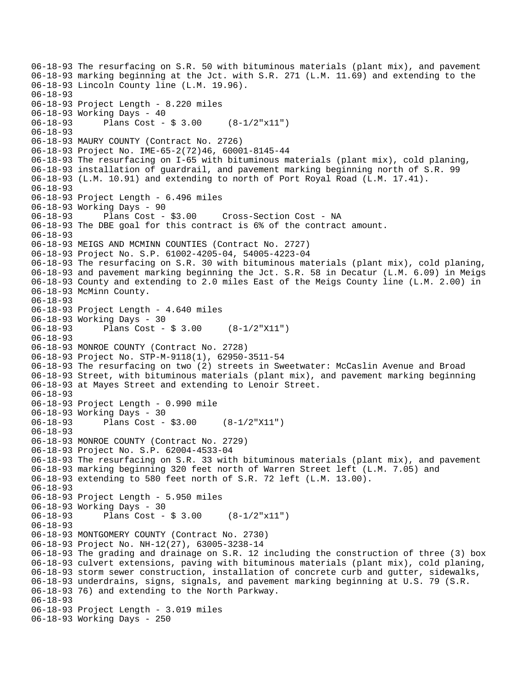06-18-93 The resurfacing on S.R. 50 with bituminous materials (plant mix), and pavement 06-18-93 marking beginning at the Jct. with S.R. 271 (L.M. 11.69) and extending to the 06-18-93 Lincoln County line (L.M. 19.96). 06-18-93 06-18-93 Project Length - 8.220 miles 06-18-93 Working Days - 40 06-18-93 Plans Cost - \$ 3.00 (8-1/2"x11") 06-18-93 06-18-93 MAURY COUNTY (Contract No. 2726) 06-18-93 Project No. IME-65-2(72)46, 60001-8145-44 06-18-93 The resurfacing on I-65 with bituminous materials (plant mix), cold planing, 06-18-93 installation of guardrail, and pavement marking beginning north of S.R. 99 06-18-93 (L.M. 10.91) and extending to north of Port Royal Road (L.M. 17.41). 06-18-93 06-18-93 Project Length - 6.496 miles 06-18-93 Working Days - 90 06-18-93 Plans Cost - \$3.00 Cross-Section Cost - NA 06-18-93 The DBE goal for this contract is 6% of the contract amount. 06-18-93 06-18-93 MEIGS AND MCMINN COUNTIES (Contract No. 2727) 06-18-93 Project No. S.P. 61002-4205-04, 54005-4223-04 06-18-93 The resurfacing on S.R. 30 with bituminous materials (plant mix), cold planing, 06-18-93 and pavement marking beginning the Jct. S.R. 58 in Decatur (L.M. 6.09) in Meigs 06-18-93 County and extending to 2.0 miles East of the Meigs County line (L.M. 2.00) in 06-18-93 McMinn County. 06-18-93 06-18-93 Project Length - 4.640 miles 06-18-93 Working Days - 30 06-18-93 Plans Cost - \$ 3.00 (8-1/2"X11") 06-18-93 06-18-93 MONROE COUNTY (Contract No. 2728) 06-18-93 Project No. STP-M-9118(1), 62950-3511-54 06-18-93 The resurfacing on two (2) streets in Sweetwater: McCaslin Avenue and Broad 06-18-93 Street, with bituminous materials (plant mix), and pavement marking beginning 06-18-93 at Mayes Street and extending to Lenoir Street. 06-18-93 06-18-93 Project Length - 0.990 mile 06-18-93 Working Days - 30 06-18-93 Plans Cost - \$3.00 (8-1/2"X11") 06-18-93 06-18-93 MONROE COUNTY (Contract No. 2729) 06-18-93 Project No. S.P. 62004-4533-04 06-18-93 The resurfacing on S.R. 33 with bituminous materials (plant mix), and pavement 06-18-93 marking beginning 320 feet north of Warren Street left (L.M. 7.05) and 06-18-93 extending to 580 feet north of S.R. 72 left (L.M. 13.00). 06-18-93 06-18-93 Project Length - 5.950 miles 06-18-93 Working Days - 30<br>06-18-93 Plans Cost -Plans Cost -  $$3.00$   $(8-1/2"x11")$ 06-18-93 06-18-93 MONTGOMERY COUNTY (Contract No. 2730) 06-18-93 Project No. NH-12(27), 63005-3238-14 06-18-93 The grading and drainage on S.R. 12 including the construction of three (3) box 06-18-93 culvert extensions, paving with bituminous materials (plant mix), cold planing, 06-18-93 storm sewer construction, installation of concrete curb and gutter, sidewalks, 06-18-93 underdrains, signs, signals, and pavement marking beginning at U.S. 79 (S.R. 06-18-93 76) and extending to the North Parkway. 06-18-93 06-18-93 Project Length - 3.019 miles 06-18-93 Working Days - 250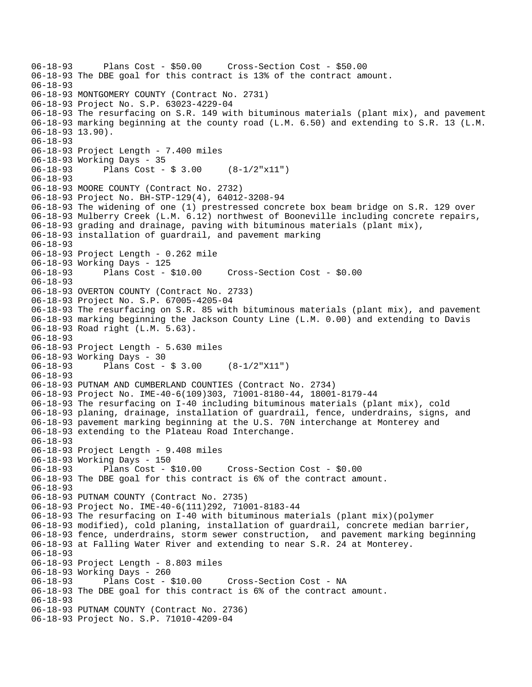```
06-18-93 Plans Cost - $50.00 Cross-Section Cost - $50.00 
06-18-93 The DBE goal for this contract is 13% of the contract amount. 
06-18-93 
06-18-93 MONTGOMERY COUNTY (Contract No. 2731) 
06-18-93 Project No. S.P. 63023-4229-04 
06-18-93 The resurfacing on S.R. 149 with bituminous materials (plant mix), and pavement 
06-18-93 marking beginning at the county road (L.M. 6.50) and extending to S.R. 13 (L.M. 
06-18-93 13.90). 
06-18-93 
06-18-93 Project Length - 7.400 miles 
06-18-93 Working Days - 35 
06-18-93 Plans Cost - $ 3.00 (8-1/2"x11") 
06-18-93 
06-18-93 MOORE COUNTY (Contract No. 2732) 
06-18-93 Project No. BH-STP-129(4), 64012-3208-94 
06-18-93 The widening of one (1) prestressed concrete box beam bridge on S.R. 129 over 
06-18-93 Mulberry Creek (L.M. 6.12) northwest of Booneville including concrete repairs, 
06-18-93 grading and drainage, paving with bituminous materials (plant mix), 
06-18-93 installation of guardrail, and pavement marking 
06-18-93 
06-18-93 Project Length - 0.262 mile 
06-18-93 Working Days - 125 
06-18-93 Plans Cost - $10.00 Cross-Section Cost - $0.00 
06-18-93 
06-18-93 OVERTON COUNTY (Contract No. 2733) 
06-18-93 Project No. S.P. 67005-4205-04 
06-18-93 The resurfacing on S.R. 85 with bituminous materials (plant mix), and pavement 
06-18-93 marking beginning the Jackson County Line (L.M. 0.00) and extending to Davis 
06-18-93 Road right (L.M. 5.63). 
06-18-93 
06-18-93 Project Length - 5.630 miles 
06-18-93 Working Days - 30<br>06-18-93 Plans Cost -
              Plans Cost - $3.00 (8-1/2"X11")
06-18-93 
06-18-93 PUTNAM AND CUMBERLAND COUNTIES (Contract No. 2734) 
06-18-93 Project No. IME-40-6(109)303, 71001-8180-44, 18001-8179-44 
06-18-93 The resurfacing on I-40 including bituminous materials (plant mix), cold 
06-18-93 planing, drainage, installation of guardrail, fence, underdrains, signs, and 
06-18-93 pavement marking beginning at the U.S. 70N interchange at Monterey and 
06-18-93 extending to the Plateau Road Interchange. 
06-18-93 
06-18-93 Project Length - 9.408 miles 
06-18-93 Working Days - 150 
06-18-93 Plans Cost - $10.00 Cross-Section Cost - $0.00 
06-18-93 The DBE goal for this contract is 6% of the contract amount. 
06-18-93 
06-18-93 PUTNAM COUNTY (Contract No. 2735) 
06-18-93 Project No. IME-40-6(111)292, 71001-8183-44 
06-18-93 The resurfacing on I-40 with bituminous materials (plant mix)(polymer 
06-18-93 modified), cold planing, installation of guardrail, concrete median barrier, 
06-18-93 fence, underdrains, storm sewer construction, and pavement marking beginning 
06-18-93 at Falling Water River and extending to near S.R. 24 at Monterey. 
06-18-93 
06-18-93 Project Length - 8.803 miles 
06-18-93 Working Days - 260 
06-18-93 Plans Cost - $10.00 Cross-Section Cost - NA 
06-18-93 The DBE goal for this contract is 6% of the contract amount. 
06-18-93 
06-18-93 PUTNAM COUNTY (Contract No. 2736) 
06-18-93 Project No. S.P. 71010-4209-04
```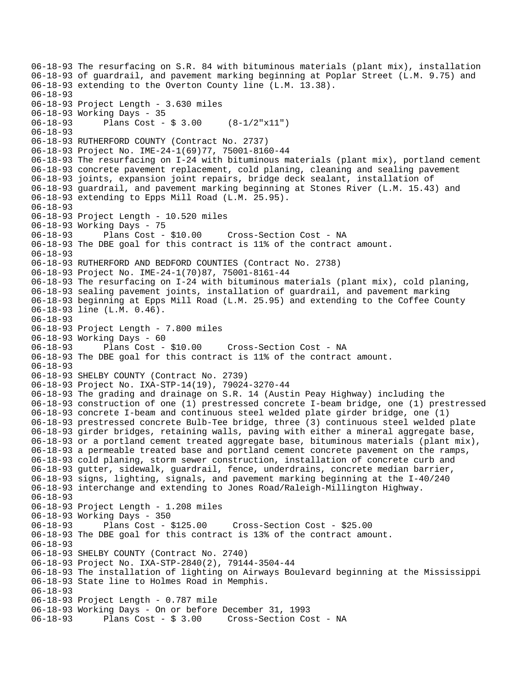06-18-93 The resurfacing on S.R. 84 with bituminous materials (plant mix), installation 06-18-93 of guardrail, and pavement marking beginning at Poplar Street (L.M. 9.75) and 06-18-93 extending to the Overton County line (L.M. 13.38). 06-18-93 06-18-93 Project Length - 3.630 miles 06-18-93 Working Days - 35 06-18-93 Plans Cost - \$ 3.00 (8-1/2"x11") 06-18-93 06-18-93 RUTHERFORD COUNTY (Contract No. 2737) 06-18-93 Project No. IME-24-1(69)77, 75001-8160-44 06-18-93 The resurfacing on I-24 with bituminous materials (plant mix), portland cement 06-18-93 concrete pavement replacement, cold planing, cleaning and sealing pavement 06-18-93 joints, expansion joint repairs, bridge deck sealant, installation of 06-18-93 guardrail, and pavement marking beginning at Stones River (L.M. 15.43) and 06-18-93 extending to Epps Mill Road (L.M. 25.95). 06-18-93 06-18-93 Project Length - 10.520 miles 06-18-93 Working Days - 75 06-18-93 Plans Cost - \$10.00 Cross-Section Cost - NA 06-18-93 The DBE goal for this contract is 11% of the contract amount. 06-18-93 06-18-93 RUTHERFORD AND BEDFORD COUNTIES (Contract No. 2738) 06-18-93 Project No. IME-24-1(70)87, 75001-8161-44 06-18-93 The resurfacing on I-24 with bituminous materials (plant mix), cold planing, 06-18-93 sealing pavement joints, installation of guardrail, and pavement marking 06-18-93 beginning at Epps Mill Road (L.M. 25.95) and extending to the Coffee County 06-18-93 line (L.M. 0.46). 06-18-93 06-18-93 Project Length - 7.800 miles 06-18-93 Working Days - 60 06-18-93 Plans Cost - \$10.00 Cross-Section Cost - NA 06-18-93 The DBE goal for this contract is 11% of the contract amount. 06-18-93 06-18-93 SHELBY COUNTY (Contract No. 2739) 06-18-93 Project No. IXA-STP-14(19), 79024-3270-44 06-18-93 The grading and drainage on S.R. 14 (Austin Peay Highway) including the 06-18-93 construction of one (1) prestressed concrete I-beam bridge, one (1) prestressed 06-18-93 concrete I-beam and continuous steel welded plate girder bridge, one (1) 06-18-93 prestressed concrete Bulb-Tee bridge, three (3) continuous steel welded plate 06-18-93 girder bridges, retaining walls, paving with either a mineral aggregate base, 06-18-93 or a portland cement treated aggregate base, bituminous materials (plant mix), 06-18-93 a permeable treated base and portland cement concrete pavement on the ramps, 06-18-93 cold planing, storm sewer construction, installation of concrete curb and 06-18-93 gutter, sidewalk, guardrail, fence, underdrains, concrete median barrier, 06-18-93 signs, lighting, signals, and pavement marking beginning at the I-40/240 06-18-93 interchange and extending to Jones Road/Raleigh-Millington Highway. 06-18-93 06-18-93 Project Length - 1.208 miles 06-18-93 Working Days - 350 06-18-93 Plans Cost - \$125.00 Cross-Section Cost - \$25.00 06-18-93 The DBE goal for this contract is 13% of the contract amount. 06-18-93 06-18-93 SHELBY COUNTY (Contract No. 2740) 06-18-93 Project No. IXA-STP-2840(2), 79144-3504-44 06-18-93 The installation of lighting on Airways Boulevard beginning at the Mississippi 06-18-93 State line to Holmes Road in Memphis. 06-18-93 06-18-93 Project Length - 0.787 mile 06-18-93 Working Days - On or before December 31, 1993 06-18-93 Plans Cost - \$ 3.00 Cross-Section Cost - NA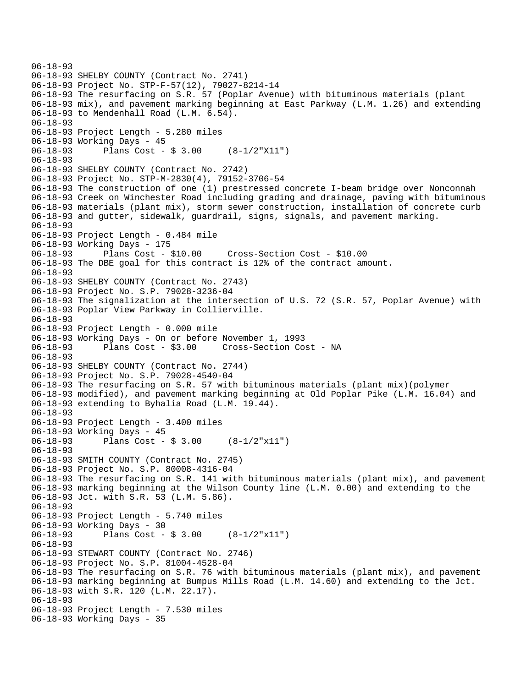```
06-18-93 
06-18-93 SHELBY COUNTY (Contract No. 2741) 
06-18-93 Project No. STP-F-57(12), 79027-8214-14 
06-18-93 The resurfacing on S.R. 57 (Poplar Avenue) with bituminous materials (plant 
06-18-93 mix), and pavement marking beginning at East Parkway (L.M. 1.26) and extending 
06-18-93 to Mendenhall Road (L.M. 6.54). 
06-18-93 
06-18-93 Project Length - 5.280 miles 
06-18-93 Working Days - 45 
06-18-93 Plans Cost - $ 3.00 (8-1/2"X11") 
06-18-93 
06-18-93 SHELBY COUNTY (Contract No. 2742) 
06-18-93 Project No. STP-M-2830(4), 79152-3706-54 
06-18-93 The construction of one (1) prestressed concrete I-beam bridge over Nonconnah 
06-18-93 Creek on Winchester Road including grading and drainage, paving with bituminous 
06-18-93 materials (plant mix), storm sewer construction, installation of concrete curb 
06-18-93 and gutter, sidewalk, guardrail, signs, signals, and pavement marking. 
06-18-93 
06-18-93 Project Length - 0.484 mile 
06-18-93 Working Days - 175 
06-18-93 Plans Cost - $10.00 Cross-Section Cost - $10.00 
06-18-93 The DBE goal for this contract is 12% of the contract amount. 
06-18-93 
06-18-93 SHELBY COUNTY (Contract No. 2743) 
06-18-93 Project No. S.P. 79028-3236-04 
06-18-93 The signalization at the intersection of U.S. 72 (S.R. 57, Poplar Avenue) with 
06-18-93 Poplar View Parkway in Collierville. 
06-18-93 
06-18-93 Project Length - 0.000 mile 
06-18-93 Working Days - On or before November 1, 1993 
06-18-93 Plans Cost - $3.00 Cross-Section Cost - NA 
06-18-93 
06-18-93 SHELBY COUNTY (Contract No. 2744) 
06-18-93 Project No. S.P. 79028-4540-04 
06-18-93 The resurfacing on S.R. 57 with bituminous materials (plant mix)(polymer 
06-18-93 modified), and pavement marking beginning at Old Poplar Pike (L.M. 16.04) and 
06-18-93 extending to Byhalia Road (L.M. 19.44). 
06-18-93 
06-18-93 Project Length - 3.400 miles 
06-18-93 Working Days - 45 
06-18-93 Plans Cost - $ 3.00 (8-1/2"x11") 
06-18-93 
06-18-93 SMITH COUNTY (Contract No. 2745) 
06-18-93 Project No. S.P. 80008-4316-04 
06-18-93 The resurfacing on S.R. 141 with bituminous materials (plant mix), and pavement 
06-18-93 marking beginning at the Wilson County line (L.M. 0.00) and extending to the 
06-18-93 Jct. with S.R. 53 (L.M. 5.86). 
06-18-93 
06-18-93 Project Length - 5.740 miles 
06-18-93 Working Days - 30<br>06-18-93 Plans Cost -
              Plans Cost - $3.00 (8-1/2"x11")
06-18-93 
06-18-93 STEWART COUNTY (Contract No. 2746) 
06-18-93 Project No. S.P. 81004-4528-04 
06-18-93 The resurfacing on S.R. 76 with bituminous materials (plant mix), and pavement 
06-18-93 marking beginning at Bumpus Mills Road (L.M. 14.60) and extending to the Jct. 
06-18-93 with S.R. 120 (L.M. 22.17). 
06-18-93 
06-18-93 Project Length - 7.530 miles 
06-18-93 Working Days - 35
```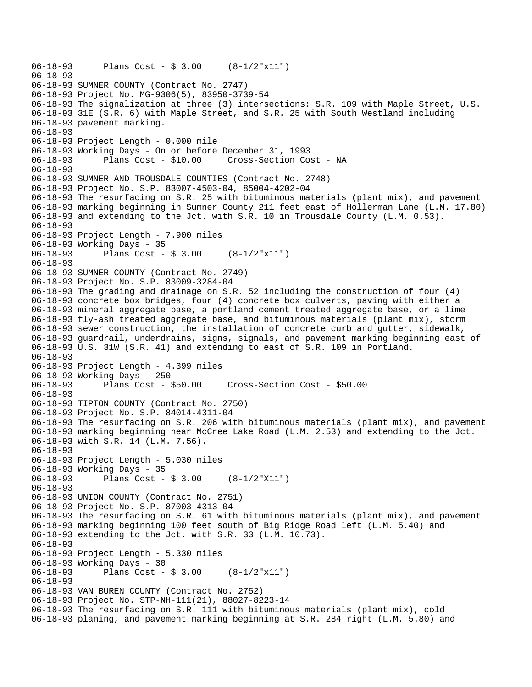```
06-18-93 Plans Cost - $ 3.00 (8-1/2"x11") 
06-18-93 
06-18-93 SUMNER COUNTY (Contract No. 2747) 
06-18-93 Project No. MG-9306(5), 83950-3739-54 
06-18-93 The signalization at three (3) intersections: S.R. 109 with Maple Street, U.S. 
06-18-93 31E (S.R. 6) with Maple Street, and S.R. 25 with South Westland including 
06-18-93 pavement marking. 
06-18-93 
06-18-93 Project Length - 0.000 mile 
06-18-93 Working Days - On or before December 31, 1993 
06-18-93 Plans Cost - $10.00 Cross-Section Cost - NA 
06-18-93 
06-18-93 SUMNER AND TROUSDALE COUNTIES (Contract No. 2748) 
06-18-93 Project No. S.P. 83007-4503-04, 85004-4202-04 
06-18-93 The resurfacing on S.R. 25 with bituminous materials (plant mix), and pavement 
06-18-93 marking beginning in Sumner County 211 feet east of Hollerman Lane (L.M. 17.80) 
06-18-93 and extending to the Jct. with S.R. 10 in Trousdale County (L.M. 0.53). 
06-18-93 
06-18-93 Project Length - 7.900 miles 
06-18-93 Working Days - 35 
06-18-93 Plans Cost - $ 3.00 (8-1/2"x11") 
06-18-93 
06-18-93 SUMNER COUNTY (Contract No. 2749) 
06-18-93 Project No. S.P. 83009-3284-04 
06-18-93 The grading and drainage on S.R. 52 including the construction of four (4) 
06-18-93 concrete box bridges, four (4) concrete box culverts, paving with either a 
06-18-93 mineral aggregate base, a portland cement treated aggregate base, or a lime 
06-18-93 fly-ash treated aggregate base, and bituminous materials (plant mix), storm 
06-18-93 sewer construction, the installation of concrete curb and gutter, sidewalk, 
06-18-93 guardrail, underdrains, signs, signals, and pavement marking beginning east of 
06-18-93 U.S. 31W (S.R. 41) and extending to east of S.R. 109 in Portland. 
06-18-93 
06-18-93 Project Length - 4.399 miles 
06-18-93 Working Days - 250 
                                     06-18-93 Plans Cost - $50.00 Cross-Section Cost - $50.00 
06-18-93 
06-18-93 TIPTON COUNTY (Contract No. 2750) 
06-18-93 Project No. S.P. 84014-4311-04 
06-18-93 The resurfacing on S.R. 206 with bituminous materials (plant mix), and pavement 
06-18-93 marking beginning near McCree Lake Road (L.M. 2.53) and extending to the Jct. 
06-18-93 with S.R. 14 (L.M. 7.56). 
06-18-93 
06-18-93 Project Length - 5.030 miles 
06-18-93 Working Days - 35 
06-18-93 Plans Cost - $ 3.00 (8-1/2"X11") 
06-18-93 
06-18-93 UNION COUNTY (Contract No. 2751) 
06-18-93 Project No. S.P. 87003-4313-04 
06-18-93 The resurfacing on S.R. 61 with bituminous materials (plant mix), and pavement 
06-18-93 marking beginning 100 feet south of Big Ridge Road left (L.M. 5.40) and 
06-18-93 extending to the Jct. with S.R. 33 (L.M. 10.73). 
06-18-93 
06-18-93 Project Length - 5.330 miles 
06-18-93 Working Days - 30 
              Plans Cost - $3.00 (8-1/2"x11")06-18-93 
06-18-93 VAN BUREN COUNTY (Contract No. 2752) 
06-18-93 Project No. STP-NH-111(21), 88027-8223-14 
06-18-93 The resurfacing on S.R. 111 with bituminous materials (plant mix), cold 
06-18-93 planing, and pavement marking beginning at S.R. 284 right (L.M. 5.80) and
```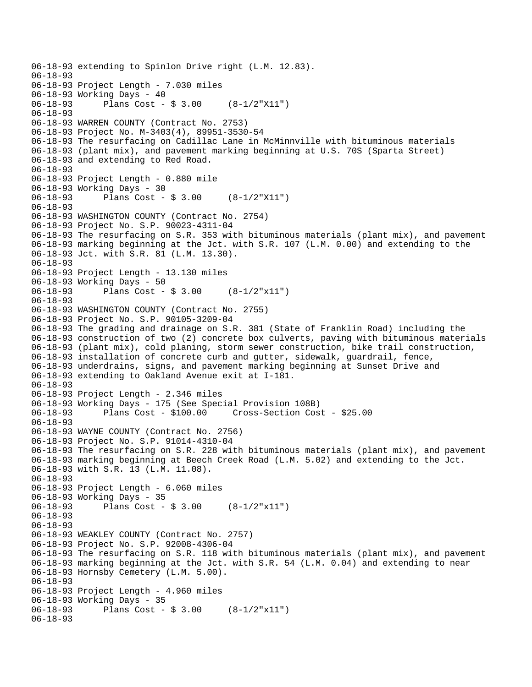```
06-18-93 extending to Spinlon Drive right (L.M. 12.83). 
06-18-93 
06-18-93 Project Length - 7.030 miles 
06-18-93 Working Days - 40<br>06-18-93 Plans Cost -
              Plans Cost - $ 3.00 (8-1/2"X11")
06-18-93 
06-18-93 WARREN COUNTY (Contract No. 2753) 
06-18-93 Project No. M-3403(4), 89951-3530-54 
06-18-93 The resurfacing on Cadillac Lane in McMinnville with bituminous materials 
06-18-93 (plant mix), and pavement marking beginning at U.S. 70S (Sparta Street) 
06-18-93 and extending to Red Road. 
06-18-93 
06-18-93 Project Length - 0.880 mile 
06-18-93 Working Days - 30 
06-18-93 Plans Cost - $ 3.00 (8-1/2"X11") 
06-18-93 
06-18-93 WASHINGTON COUNTY (Contract No. 2754) 
06-18-93 Project No. S.P. 90023-4311-04 
06-18-93 The resurfacing on S.R. 353 with bituminous materials (plant mix), and pavement 
06-18-93 marking beginning at the Jct. with S.R. 107 (L.M. 0.00) and extending to the 
06-18-93 Jct. with S.R. 81 (L.M. 13.30). 
06-18-93 
06-18-93 Project Length - 13.130 miles 
06-18-93 Working Days - 50 
              Plans Cost - $3.00 (8-1/2"x11")06-18-93 
06-18-93 WASHINGTON COUNTY (Contract No. 2755) 
06-18-93 Project No. S.P. 90105-3209-04 
06-18-93 The grading and drainage on S.R. 381 (State of Franklin Road) including the 
06-18-93 construction of two (2) concrete box culverts, paving with bituminous materials 
06-18-93 (plant mix), cold planing, storm sewer construction, bike trail construction, 
06-18-93 installation of concrete curb and gutter, sidewalk, guardrail, fence, 
06-18-93 underdrains, signs, and pavement marking beginning at Sunset Drive and 
06-18-93 extending to Oakland Avenue exit at I-181. 
06-18-93 
06-18-93 Project Length - 2.346 miles 
06-18-93 Working Days - 175 (See Special Provision 108B) 
06-18-93 Plans Cost - $100.00 Cross-Section Cost - $25.00 
06-18-93 
06-18-93 WAYNE COUNTY (Contract No. 2756) 
06-18-93 Project No. S.P. 91014-4310-04 
06-18-93 The resurfacing on S.R. 228 with bituminous materials (plant mix), and pavement 
06-18-93 marking beginning at Beech Creek Road (L.M. 5.02) and extending to the Jct. 
06-18-93 with S.R. 13 (L.M. 11.08). 
06-18-93 
06-18-93 Project Length - 6.060 miles 
06-18-93 Working Days - 35<br>06-18-93 Plans Cost -
              Plans Cost - $3.00 (8-1/2"x11")06-18-93 
06-18-93 
06-18-93 WEAKLEY COUNTY (Contract No. 2757) 
06-18-93 Project No. S.P. 92008-4306-04 
06-18-93 The resurfacing on S.R. 118 with bituminous materials (plant mix), and pavement 
06-18-93 marking beginning at the Jct. with S.R. 54 (L.M. 0.04) and extending to near 
06-18-93 Hornsby Cemetery (L.M. 5.00). 
06-18-93 
06-18-93 Project Length - 4.960 miles 
06-18-93 Working Days - 35 
              Plans Cost - $3.00 (8-1/2"x11")06-18-93
```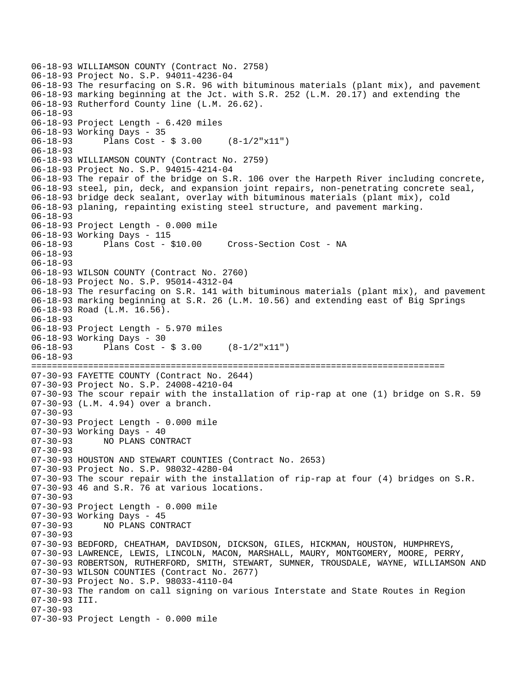```
06-18-93 WILLIAMSON COUNTY (Contract No. 2758) 
06-18-93 Project No. S.P. 94011-4236-04 
06-18-93 The resurfacing on S.R. 96 with bituminous materials (plant mix), and pavement 
06-18-93 marking beginning at the Jct. with S.R. 252 (L.M. 20.17) and extending the 
06-18-93 Rutherford County line (L.M. 26.62). 
06-18-93 
06-18-93 Project Length - 6.420 miles 
06-18-93 Working Days - 35 
06-18-93 Plans Cost - $ 3.00 (8-1/2"x11") 
06-18-93 
06-18-93 WILLIAMSON COUNTY (Contract No. 2759) 
06-18-93 Project No. S.P. 94015-4214-04 
06-18-93 The repair of the bridge on S.R. 106 over the Harpeth River including concrete, 
06-18-93 steel, pin, deck, and expansion joint repairs, non-penetrating concrete seal, 
06-18-93 bridge deck sealant, overlay with bituminous materials (plant mix), cold 
06-18-93 planing, repainting existing steel structure, and pavement marking. 
06-18-93 
06-18-93 Project Length - 0.000 mile 
06-18-93 Working Days - 115 
06-18-93 Plans Cost - $10.00 Cross-Section Cost - NA 
06-18-93 
06-18-93 
06-18-93 WILSON COUNTY (Contract No. 2760) 
06-18-93 Project No. S.P. 95014-4312-04 
06-18-93 The resurfacing on S.R. 141 with bituminous materials (plant mix), and pavement 
06-18-93 marking beginning at S.R. 26 (L.M. 10.56) and extending east of Big Springs 
06-18-93 Road (L.M. 16.56). 
06-18-93 
06-18-93 Project Length - 5.970 miles 
06-18-93 Working Days - 30 
06-18-93 Plans Cost - $ 3.00 (8-1/2"x11") 
06-18-93 
================================================================================ 
07-30-93 FAYETTE COUNTY (Contract No. 2644) 
07-30-93 Project No. S.P. 24008-4210-04 
07-30-93 The scour repair with the installation of rip-rap at one (1) bridge on S.R. 59 
07-30-93 (L.M. 4.94) over a branch. 
07-30-93 
07-30-93 Project Length - 0.000 mile 
07-30-93 Working Days - 40 
07-30-93 NO PLANS CONTRACT 
07-30-93 
07-30-93 HOUSTON AND STEWART COUNTIES (Contract No. 2653) 
07-30-93 Project No. S.P. 98032-4280-04 
07-30-93 The scour repair with the installation of rip-rap at four (4) bridges on S.R. 
07-30-93 46 and S.R. 76 at various locations. 
07-30-93 
07-30-93 Project Length - 0.000 mile 
07-30-93 Working Days - 45<br>07-30-93 NO PLANS CON
              NO PLANS CONTRACT
07-30-93 
07-30-93 BEDFORD, CHEATHAM, DAVIDSON, DICKSON, GILES, HICKMAN, HOUSTON, HUMPHREYS, 
07-30-93 LAWRENCE, LEWIS, LINCOLN, MACON, MARSHALL, MAURY, MONTGOMERY, MOORE, PERRY, 
07-30-93 ROBERTSON, RUTHERFORD, SMITH, STEWART, SUMNER, TROUSDALE, WAYNE, WILLIAMSON AND 
07-30-93 WILSON COUNTIES (Contract No. 2677) 
07-30-93 Project No. S.P. 98033-4110-04 
07-30-93 The random on call signing on various Interstate and State Routes in Region 
07-30-93 III. 
07-30-93 
07-30-93 Project Length - 0.000 mile
```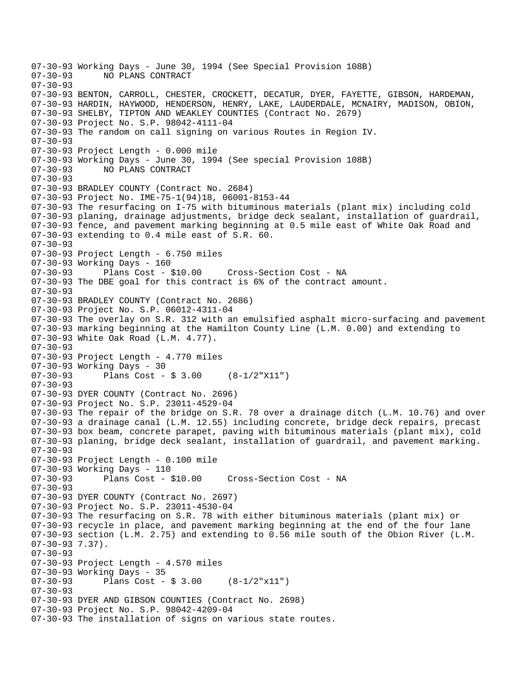07-30-93 Working Days - June 30, 1994 (See Special Provision 108B) NO PLANS CONTRACT 07-30-93 07-30-93 BENTON, CARROLL, CHESTER, CROCKETT, DECATUR, DYER, FAYETTE, GIBSON, HARDEMAN, 07-30-93 HARDIN, HAYWOOD, HENDERSON, HENRY, LAKE, LAUDERDALE, MCNAIRY, MADISON, OBION, 07-30-93 SHELBY, TIPTON AND WEAKLEY COUNTIES (Contract No. 2679) 07-30-93 Project No. S.P. 98042-4111-04 07-30-93 The random on call signing on various Routes in Region IV. 07-30-93 07-30-93 Project Length - 0.000 mile 07-30-93 Working Days - June 30, 1994 (See special Provision 108B) 07-30-93 NO PLANS CONTRACT  $07 - 30 - 93$ 07-30-93 BRADLEY COUNTY (Contract No. 2684) 07-30-93 Project No. IME-75-1(94)18, 06001-8153-44 07-30-93 The resurfacing on I-75 with bituminous materials (plant mix) including cold 07-30-93 planing, drainage adjustments, bridge deck sealant, installation of guardrail, 07-30-93 fence, and pavement marking beginning at 0.5 mile east of White Oak Road and 07-30-93 extending to 0.4 mile east of S.R. 60. 07-30-93 07-30-93 Project Length - 6.750 miles 07-30-93 Working Days - 160<br>07-30-93 Plans Cost - \$10.00 07-30-93 Plans Cost - \$10.00 Cross-Section Cost - NA 07-30-93 The DBE goal for this contract is 6% of the contract amount. 07-30-93 07-30-93 BRADLEY COUNTY (Contract No. 2686) 07-30-93 Project No. S.P. 06012-4311-04 07-30-93 The overlay on S.R. 312 with an emulsified asphalt micro-surfacing and pavement 07-30-93 marking beginning at the Hamilton County Line (L.M. 0.00) and extending to 07-30-93 White Oak Road (L.M. 4.77). 07-30-93 07-30-93 Project Length - 4.770 miles 07-30-93 Working Days - 30 07-30-93 Plans Cost - \$ 3.00 (8-1/2"X11") 07-30-93 07-30-93 DYER COUNTY (Contract No. 2696) 07-30-93 Project No. S.P. 23011-4529-04 07-30-93 The repair of the bridge on S.R. 78 over a drainage ditch (L.M. 10.76) and over 07-30-93 a drainage canal (L.M. 12.55) including concrete, bridge deck repairs, precast 07-30-93 box beam, concrete parapet, paving with bituminous materials (plant mix), cold 07-30-93 planing, bridge deck sealant, installation of guardrail, and pavement marking. 07-30-93 07-30-93 Project Length - 0.100 mile 07-30-93 Working Days - 110 07-30-93 Plans Cost - \$10.00 Cross-Section Cost - NA 07-30-93 07-30-93 DYER COUNTY (Contract No. 2697) 07-30-93 Project No. S.P. 23011-4530-04 07-30-93 The resurfacing on S.R. 78 with either bituminous materials (plant mix) or 07-30-93 recycle in place, and pavement marking beginning at the end of the four lane 07-30-93 section (L.M. 2.75) and extending to 0.56 mile south of the Obion River (L.M. 07-30-93 7.37). 07-30-93 07-30-93 Project Length - 4.570 miles 07-30-93 Working Days - 35 07-30-93 Plans Cost - \$ 3.00 (8-1/2"x11") 07-30-93 07-30-93 DYER AND GIBSON COUNTIES (Contract No. 2698) 07-30-93 Project No. S.P. 98042-4209-04 07-30-93 The installation of signs on various state routes.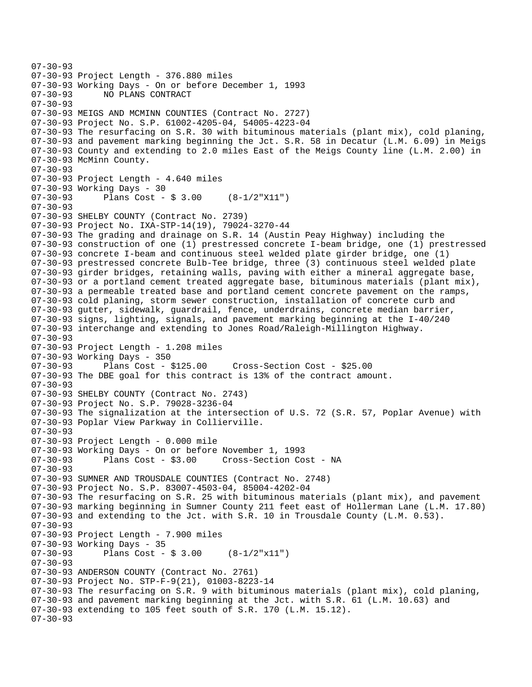```
07-30-93 
07-30-93 Project Length - 376.880 miles 
07-30-93 Working Days - On or before December 1, 1993 
07-30-93 NO PLANS CONTRACT 
07-30-93 
07-30-93 MEIGS AND MCMINN COUNTIES (Contract No. 2727) 
07-30-93 Project No. S.P. 61002-4205-04, 54005-4223-04 
07-30-93 The resurfacing on S.R. 30 with bituminous materials (plant mix), cold planing, 
07-30-93 and pavement marking beginning the Jct. S.R. 58 in Decatur (L.M. 6.09) in Meigs 
07-30-93 County and extending to 2.0 miles East of the Meigs County line (L.M. 2.00) in 
07-30-93 McMinn County. 
07-30-93 
07-30-93 Project Length - 4.640 miles 
07-30-93 Working Days - 30 
07-30-93 Plans Cost - $ 3.00 (8-1/2"X11") 
07-30-93 
07-30-93 SHELBY COUNTY (Contract No. 2739) 
07-30-93 Project No. IXA-STP-14(19), 79024-3270-44 
07-30-93 The grading and drainage on S.R. 14 (Austin Peay Highway) including the 
07-30-93 construction of one (1) prestressed concrete I-beam bridge, one (1) prestressed 
07-30-93 concrete I-beam and continuous steel welded plate girder bridge, one (1) 
07-30-93 prestressed concrete Bulb-Tee bridge, three (3) continuous steel welded plate 
07-30-93 girder bridges, retaining walls, paving with either a mineral aggregate base, 
07-30-93 or a portland cement treated aggregate base, bituminous materials (plant mix), 
07-30-93 a permeable treated base and portland cement concrete pavement on the ramps, 
07-30-93 cold planing, storm sewer construction, installation of concrete curb and 
07-30-93 gutter, sidewalk, guardrail, fence, underdrains, concrete median barrier, 
07-30-93 signs, lighting, signals, and pavement marking beginning at the I-40/240 
07-30-93 interchange and extending to Jones Road/Raleigh-Millington Highway. 
07-30-93 
07-30-93 Project Length - 1.208 miles 
07-30-93 Working Days - 350<br>07-30-93 Plans Cost - $125.00
                                        07-30-93 Plans Cost - $125.00 Cross-Section Cost - $25.00 
07-30-93 The DBE goal for this contract is 13% of the contract amount. 
07-30-93 
07-30-93 SHELBY COUNTY (Contract No. 2743) 
07-30-93 Project No. S.P. 79028-3236-04 
07-30-93 The signalization at the intersection of U.S. 72 (S.R. 57, Poplar Avenue) with 
07-30-93 Poplar View Parkway in Collierville. 
07-30-93 
07-30-93 Project Length - 0.000 mile 
07-30-93 Working Days - On or before November 1, 1993 
07-30-93 Plans Cost - $3.00 Cross-Section Cost - NA 
07-30-93 
07-30-93 SUMNER AND TROUSDALE COUNTIES (Contract No. 2748) 
07-30-93 Project No. S.P. 83007-4503-04, 85004-4202-04 
07-30-93 The resurfacing on S.R. 25 with bituminous materials (plant mix), and pavement 
07-30-93 marking beginning in Sumner County 211 feet east of Hollerman Lane (L.M. 17.80) 
07-30-93 and extending to the Jct. with S.R. 10 in Trousdale County (L.M. 0.53). 
07-30-93 
07-30-93 Project Length - 7.900 miles 
07-30-93 Working Days - 35 
07-30-93 Plans Cost - $ 3.00 (8-1/2"x11") 
07-30-93 
07-30-93 ANDERSON COUNTY (Contract No. 2761) 
07-30-93 Project No. STP-F-9(21), 01003-8223-14 
07-30-93 The resurfacing on S.R. 9 with bituminous materials (plant mix), cold planing, 
07-30-93 and pavement marking beginning at the Jct. with S.R. 61 (L.M. 10.63) and 
07-30-93 extending to 105 feet south of S.R. 170 (L.M. 15.12). 
07-30-93
```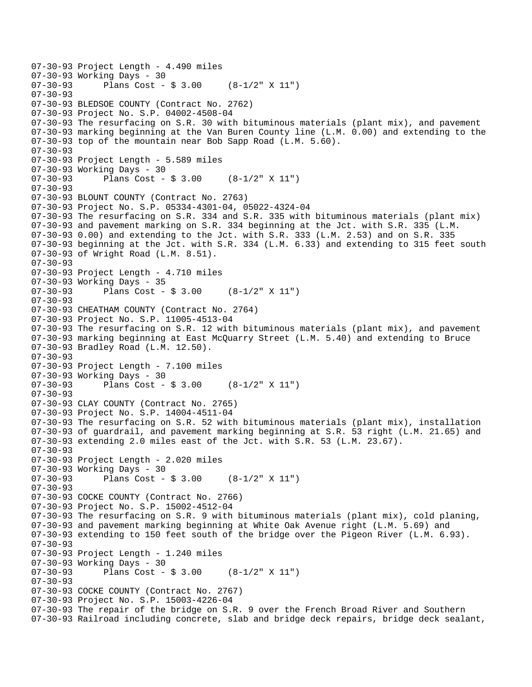```
07-30-93 Project Length - 4.490 miles 
07-30-93 Working Days - 30<br>07-30-93 Plans Cost -
              Plans Cost - $3.00 (8-1/2" X 11")
07-30-93 
07-30-93 BLEDSOE COUNTY (Contract No. 2762) 
07-30-93 Project No. S.P. 04002-4508-04 
07-30-93 The resurfacing on S.R. 30 with bituminous materials (plant mix), and pavement 
07-30-93 marking beginning at the Van Buren County line (L.M. 0.00) and extending to the 
07-30-93 top of the mountain near Bob Sapp Road (L.M. 5.60). 
07-30-93 
07-30-93 Project Length - 5.589 miles 
07-30-93 Working Days - 30 
07-30-93 Plans Cost - $ 3.00 (8-1/2" X 11") 
07-30-93 
07-30-93 BLOUNT COUNTY (Contract No. 2763) 
07-30-93 Project No. S.P. 05334-4301-04, 05022-4324-04 
07-30-93 The resurfacing on S.R. 334 and S.R. 335 with bituminous materials (plant mix) 
07-30-93 and pavement marking on S.R. 334 beginning at the Jct. with S.R. 335 (L.M. 
07-30-93 0.00) and extending to the Jct. with S.R. 333 (L.M. 2.53) and on S.R. 335 
07-30-93 beginning at the Jct. with S.R. 334 (L.M. 6.33) and extending to 315 feet south 
07-30-93 of Wright Road (L.M. 8.51). 
07-30-93 
07-30-93 Project Length - 4.710 miles 
07-30-93 Working Days - 35<br>07-30-93 Plans Cost -
              Plans Cost - $3.00 (8-1/2" X 11")
07-30-93 
07-30-93 CHEATHAM COUNTY (Contract No. 2764) 
07-30-93 Project No. S.P. 11005-4513-04 
07-30-93 The resurfacing on S.R. 12 with bituminous materials (plant mix), and pavement 
07-30-93 marking beginning at East McQuarry Street (L.M. 5.40) and extending to Bruce 
07-30-93 Bradley Road (L.M. 12.50). 
07-30-93 
07-30-93 Project Length - 7.100 miles 
07-30-93 Working Days - 30<br>07-30-93 Plans Cost -
              Plans Cost - $3.00 (8-1/2" X 11")
07 - 30 - 9307-30-93 CLAY COUNTY (Contract No. 2765) 
07-30-93 Project No. S.P. 14004-4511-04 
07-30-93 The resurfacing on S.R. 52 with bituminous materials (plant mix), installation 
07-30-93 of guardrail, and pavement marking beginning at S.R. 53 right (L.M. 21.65) and 
07-30-93 extending 2.0 miles east of the Jct. with S.R. 53 (L.M. 23.67). 
07-30-93 
07-30-93 Project Length - 2.020 miles 
07-30-93 Working Days - 30 
07-30-93 Plans Cost - $ 3.00 (8-1/2" X 11") 
07-30-93 
07-30-93 COCKE COUNTY (Contract No. 2766) 
07-30-93 Project No. S.P. 15002-4512-04 
07-30-93 The resurfacing on S.R. 9 with bituminous materials (plant mix), cold planing, 
07-30-93 and pavement marking beginning at White Oak Avenue right (L.M. 5.69) and 
07-30-93 extending to 150 feet south of the bridge over the Pigeon River (L.M. 6.93). 
07-30-93 
07-30-93 Project Length - 1.240 miles 
07-30-93 Working Days - 30 
              Plans Cost - $3.00 (8-1/2" X 11")07-30-93 
07-30-93 COCKE COUNTY (Contract No. 2767) 
07-30-93 Project No. S.P. 15003-4226-04 
07-30-93 The repair of the bridge on S.R. 9 over the French Broad River and Southern 
07-30-93 Railroad including concrete, slab and bridge deck repairs, bridge deck sealant,
```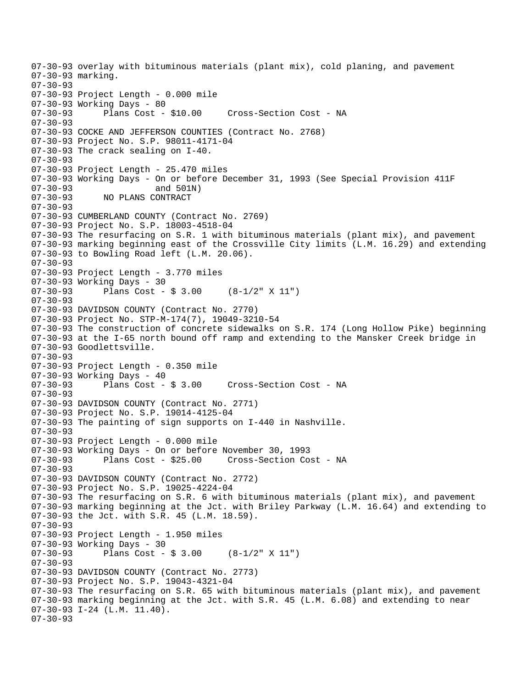07-30-93 overlay with bituminous materials (plant mix), cold planing, and pavement 07-30-93 marking. 07-30-93 07-30-93 Project Length - 0.000 mile 07-30-93 Working Days - 80 07-30-93 Plans Cost - \$10.00 Cross-Section Cost - NA 07-30-93 07-30-93 COCKE AND JEFFERSON COUNTIES (Contract No. 2768) 07-30-93 Project No. S.P. 98011-4171-04 07-30-93 The crack sealing on I-40. 07-30-93 07-30-93 Project Length - 25.470 miles 07-30-93 Working Days - On or before December 31, 1993 (See Special Provision 411F 07-30-93 and 501N)<br>07-30-93 NO PLANS CONTRACT 07-30-93 NO PLANS CONTRACT 07-30-93 07-30-93 CUMBERLAND COUNTY (Contract No. 2769) 07-30-93 Project No. S.P. 18003-4518-04 07-30-93 The resurfacing on S.R. 1 with bituminous materials (plant mix), and pavement 07-30-93 marking beginning east of the Crossville City limits (L.M. 16.29) and extending 07-30-93 to Bowling Road left (L.M. 20.06). 07-30-93 07-30-93 Project Length - 3.770 miles 07-30-93 Working Days - 30<br>07-30-93 Plans Cost -Plans Cost -  $$3.00$  (8-1/2" X 11") 07-30-93 07-30-93 DAVIDSON COUNTY (Contract No. 2770) 07-30-93 Project No. STP-M-174(7), 19049-3210-54 07-30-93 The construction of concrete sidewalks on S.R. 174 (Long Hollow Pike) beginning 07-30-93 at the I-65 north bound off ramp and extending to the Mansker Creek bridge in 07-30-93 Goodlettsville. 07-30-93 07-30-93 Project Length - 0.350 mile 07-30-93 Working Days - 40 Cross-Section Cost - NA  $07 - 30 - 93$ 07-30-93 DAVIDSON COUNTY (Contract No. 2771) 07-30-93 Project No. S.P. 19014-4125-04 07-30-93 The painting of sign supports on I-440 in Nashville. 07-30-93 07-30-93 Project Length - 0.000 mile 07-30-93 Working Days - On or before November 30, 1993 07-30-93 Plans Cost - \$25.00 Cross-Section Cost - NA 07-30-93 07-30-93 DAVIDSON COUNTY (Contract No. 2772) 07-30-93 Project No. S.P. 19025-4224-04 07-30-93 The resurfacing on S.R. 6 with bituminous materials (plant mix), and pavement 07-30-93 marking beginning at the Jct. with Briley Parkway (L.M. 16.64) and extending to 07-30-93 the Jct. with S.R. 45 (L.M. 18.59). 07-30-93 07-30-93 Project Length - 1.950 miles 07-30-93 Working Days - 30 07-30-93 Plans Cost - \$ 3.00 (8-1/2" X 11") 07-30-93 07-30-93 DAVIDSON COUNTY (Contract No. 2773) 07-30-93 Project No. S.P. 19043-4321-04 07-30-93 The resurfacing on S.R. 65 with bituminous materials (plant mix), and pavement 07-30-93 marking beginning at the Jct. with S.R. 45 (L.M. 6.08) and extending to near 07-30-93 I-24 (L.M. 11.40). 07-30-93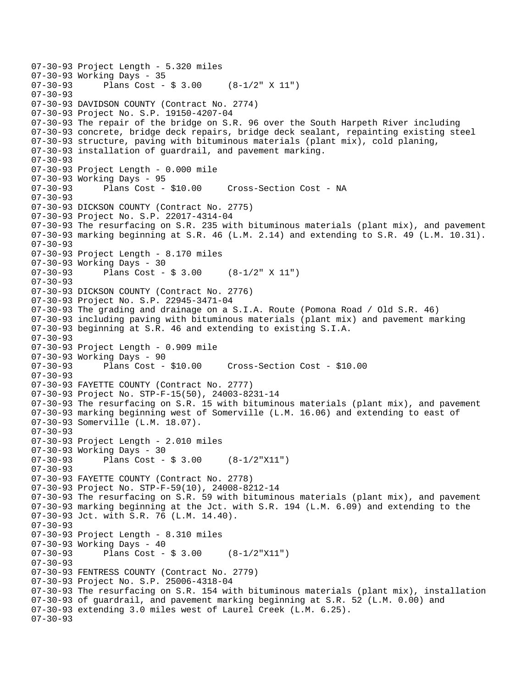```
07-30-93 Project Length - 5.320 miles 
07-30-93 Working Days - 35<br>07-30-93 Plans Cost -
              Plans Cost - $3.00 (8-1/2" X 11")
07-30-93 
07-30-93 DAVIDSON COUNTY (Contract No. 2774) 
07-30-93 Project No. S.P. 19150-4207-04 
07-30-93 The repair of the bridge on S.R. 96 over the South Harpeth River including 
07-30-93 concrete, bridge deck repairs, bridge deck sealant, repainting existing steel 
07-30-93 structure, paving with bituminous materials (plant mix), cold planing, 
07-30-93 installation of guardrail, and pavement marking. 
07-30-93 
07-30-93 Project Length - 0.000 mile 
07-30-93 Working Days - 95 
07-30-93 Plans Cost - $10.00 Cross-Section Cost - NA 
07-30-93 
07-30-93 DICKSON COUNTY (Contract No. 2775) 
07-30-93 Project No. S.P. 22017-4314-04 
07-30-93 The resurfacing on S.R. 235 with bituminous materials (plant mix), and pavement 
07-30-93 marking beginning at S.R. 46 (L.M. 2.14) and extending to S.R. 49 (L.M. 10.31). 
07-30-93 
07-30-93 Project Length - 8.170 miles 
07-30-93 Working Days - 30<br>07-30-93 Plans Cost -
              Plans Cost - $3.00 (8-1/2" X 11")
07-30-93 
07-30-93 DICKSON COUNTY (Contract No. 2776) 
07-30-93 Project No. S.P. 22945-3471-04 
07-30-93 The grading and drainage on a S.I.A. Route (Pomona Road / Old S.R. 46) 
07-30-93 including paving with bituminous materials (plant mix) and pavement marking 
07-30-93 beginning at S.R. 46 and extending to existing S.I.A. 
07-30-93 
07-30-93 Project Length - 0.909 mile 
07-30-93 Working Days - 90<br>07-30-93 Plans Cost - $10.00
                                        07-30-93 Plans Cost - $10.00 Cross-Section Cost - $10.00 
07-30-93 
07-30-93 FAYETTE COUNTY (Contract No. 2777) 
07-30-93 Project No. STP-F-15(50), 24003-8231-14 
07-30-93 The resurfacing on S.R. 15 with bituminous materials (plant mix), and pavement 
07-30-93 marking beginning west of Somerville (L.M. 16.06) and extending to east of 
07-30-93 Somerville (L.M. 18.07). 
07-30-93 
07-30-93 Project Length - 2.010 miles 
07-30-93 Working Days - 30 
07-30-93 Plans Cost - $ 3.00 (8-1/2"X11") 
07-30-93 
07-30-93 FAYETTE COUNTY (Contract No. 2778) 
07-30-93 Project No. STP-F-59(10), 24008-8212-14 
07-30-93 The resurfacing on S.R. 59 with bituminous materials (plant mix), and pavement 
07-30-93 marking beginning at the Jct. with S.R. 194 (L.M. 6.09) and extending to the 
07-30-93 Jct. with S.R. 76 (L.M. 14.40). 
07-30-93 
07-30-93 Project Length - 8.310 miles 
07-30-93 Working Days - 40 
07-30-93 Plans Cost - $ 3.00 (8-1/2"X11") 
07-30-93 
07-30-93 FENTRESS COUNTY (Contract No. 2779) 
07-30-93 Project No. S.P. 25006-4318-04 
07-30-93 The resurfacing on S.R. 154 with bituminous materials (plant mix), installation 
07-30-93 of guardrail, and pavement marking beginning at S.R. 52 (L.M. 0.00) and 
07-30-93 extending 3.0 miles west of Laurel Creek (L.M. 6.25). 
07-30-93
```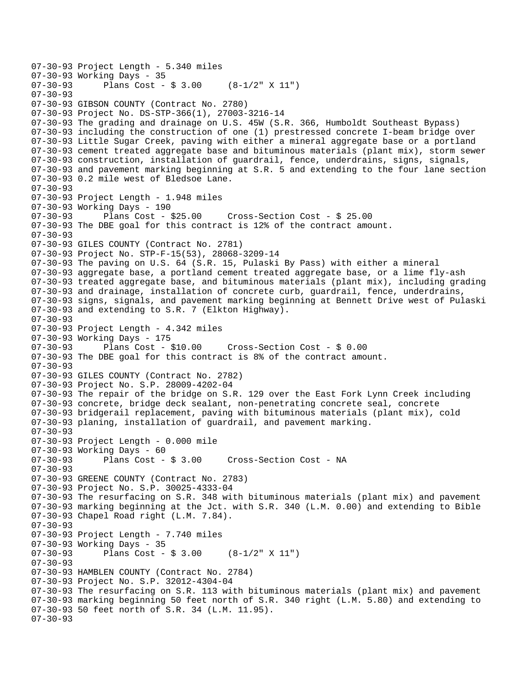```
07-30-93 Project Length - 5.340 miles 
07-30-93 Working Days - 35<br>07-30-93 Plans Cost -
              Plans Cost - $3.00 (8-1/2" X 11")
07-30-93 
07-30-93 GIBSON COUNTY (Contract No. 2780) 
07-30-93 Project No. DS-STP-366(1), 27003-3216-14 
07-30-93 The grading and drainage on U.S. 45W (S.R. 366, Humboldt Southeast Bypass) 
07-30-93 including the construction of one (1) prestressed concrete I-beam bridge over 
07-30-93 Little Sugar Creek, paving with either a mineral aggregate base or a portland 
07-30-93 cement treated aggregate base and bituminous materials (plant mix), storm sewer 
07-30-93 construction, installation of guardrail, fence, underdrains, signs, signals, 
07-30-93 and pavement marking beginning at S.R. 5 and extending to the four lane section 
07-30-93 0.2 mile west of Bledsoe Lane. 
07-30-93 
07-30-93 Project Length - 1.948 miles 
07-30-93 Working Days - 190<br>07-30-93 Plans Cost -
              07-30-93 Plans Cost - $25.00 Cross-Section Cost - $ 25.00 
07-30-93 The DBE goal for this contract is 12% of the contract amount. 
07-30-93 
07-30-93 GILES COUNTY (Contract No. 2781) 
07-30-93 Project No. STP-F-15(53), 28068-3209-14 
07-30-93 The paving on U.S. 64 (S.R. 15, Pulaski By Pass) with either a mineral 
07-30-93 aggregate base, a portland cement treated aggregate base, or a lime fly-ash 
07-30-93 treated aggregate base, and bituminous materials (plant mix), including grading 
07-30-93 and drainage, installation of concrete curb, guardrail, fence, underdrains, 
07-30-93 signs, signals, and pavement marking beginning at Bennett Drive west of Pulaski 
07-30-93 and extending to S.R. 7 (Elkton Highway). 
07-30-93 
07-30-93 Project Length - 4.342 miles 
07-30-93 Working Days - 175 
07-30-93 Plans Cost - $10.00 Cross-Section Cost - $ 0.00 
07-30-93 The DBE goal for this contract is 8% of the contract amount. 
07-30-93 
07-30-93 GILES COUNTY (Contract No. 2782) 
07-30-93 Project No. S.P. 28009-4202-04 
07-30-93 The repair of the bridge on S.R. 129 over the East Fork Lynn Creek including 
07-30-93 concrete, bridge deck sealant, non-penetrating concrete seal, concrete 
07-30-93 bridgerail replacement, paving with bituminous materials (plant mix), cold 
07-30-93 planing, installation of guardrail, and pavement marking. 
07-30-93 
07-30-93 Project Length - 0.000 mile 
07-30-93 Working Days - 60 
07-30-93 Plans Cost - $ 3.00 Cross-Section Cost - NA 
07-30-93 
07-30-93 GREENE COUNTY (Contract No. 2783) 
07-30-93 Project No. S.P. 30025-4333-04 
07-30-93 The resurfacing on S.R. 348 with bituminous materials (plant mix) and pavement 
07-30-93 marking beginning at the Jct. with S.R. 340 (L.M. 0.00) and extending to Bible 
07-30-93 Chapel Road right (L.M. 7.84). 
07-30-93 
07-30-93 Project Length - 7.740 miles 
07-30-93 Working Days - 35 
07-30-93 Plans Cost - $ 3.00 (8-1/2" X 11") 
07-30-93 
07-30-93 HAMBLEN COUNTY (Contract No. 2784) 
07-30-93 Project No. S.P. 32012-4304-04 
07-30-93 The resurfacing on S.R. 113 with bituminous materials (plant mix) and pavement 
07-30-93 marking beginning 50 feet north of S.R. 340 right (L.M. 5.80) and extending to 
07-30-93 50 feet north of S.R. 34 (L.M. 11.95). 
07-30-93
```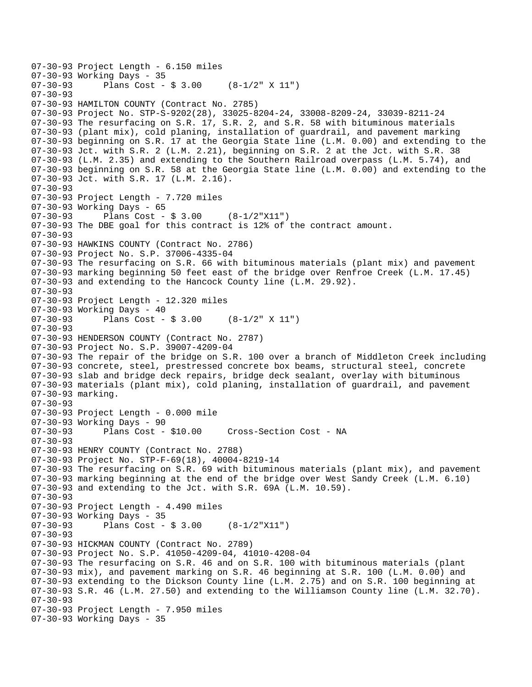```
07-30-93 Project Length - 6.150 miles 
07-30-93 Working Days - 35<br>07-30-93 Plans Cost -
              Plans Cost - $3.00 (8-1/2" X 11")
07-30-93 
07-30-93 HAMILTON COUNTY (Contract No. 2785) 
07-30-93 Project No. STP-S-9202(28), 33025-8204-24, 33008-8209-24, 33039-8211-24 
07-30-93 The resurfacing on S.R. 17, S.R. 2, and S.R. 58 with bituminous materials 
07-30-93 (plant mix), cold planing, installation of guardrail, and pavement marking 
07-30-93 beginning on S.R. 17 at the Georgia State line (L.M. 0.00) and extending to the 
07-30-93 Jct. with S.R. 2 (L.M. 2.21), beginning on S.R. 2 at the Jct. with S.R. 38 
07-30-93 (L.M. 2.35) and extending to the Southern Railroad overpass (L.M. 5.74), and 
07-30-93 beginning on S.R. 58 at the Georgia State line (L.M. 0.00) and extending to the 
07-30-93 Jct. with S.R. 17 (L.M. 2.16). 
07-30-93 
07-30-93 Project Length - 7.720 miles 
07-30-93 Working Days - 65 
07-30-93 Plans Cost - $ 3.00 (8-1/2"X11") 
07-30-93 The DBE goal for this contract is 12% of the contract amount. 
07-30-93 
07-30-93 HAWKINS COUNTY (Contract No. 2786) 
07-30-93 Project No. S.P. 37006-4335-04 
07-30-93 The resurfacing on S.R. 66 with bituminous materials (plant mix) and pavement 
07-30-93 marking beginning 50 feet east of the bridge over Renfroe Creek (L.M. 17.45) 
07-30-93 and extending to the Hancock County line (L.M. 29.92). 
07-30-93 
07-30-93 Project Length - 12.320 miles 
07-30-93 Working Days - 40<br>07-30-93 Plans Cost -
              Plans Cost - $3.00 (8-1/2" X 11")
07-30-93 
07-30-93 HENDERSON COUNTY (Contract No. 2787) 
07-30-93 Project No. S.P. 39007-4209-04 
07-30-93 The repair of the bridge on S.R. 100 over a branch of Middleton Creek including 
07-30-93 concrete, steel, prestressed concrete box beams, structural steel, concrete 
07-30-93 slab and bridge deck repairs, bridge deck sealant, overlay with bituminous 
07-30-93 materials (plant mix), cold planing, installation of guardrail, and pavement 
07-30-93 marking. 
07-30-93 
07-30-93 Project Length - 0.000 mile 
07-30-93 Working Days - 90 
07-30-93 Plans Cost - $10.00 Cross-Section Cost - NA 
07-30-93 
07-30-93 HENRY COUNTY (Contract No. 2788) 
07-30-93 Project No. STP-F-69(18), 40004-8219-14 
07-30-93 The resurfacing on S.R. 69 with bituminous materials (plant mix), and pavement 
07-30-93 marking beginning at the end of the bridge over West Sandy Creek (L.M. 6.10) 
07-30-93 and extending to the Jct. with S.R. 69A (L.M. 10.59). 
07-30-93 
07-30-93 Project Length - 4.490 miles 
07-30-93 Working Days - 35<br>07-30-93 Plans Cost -
              Plans Cost - $3.00 (8-1/2"X11")07-30-93 
07-30-93 HICKMAN COUNTY (Contract No. 2789) 
07-30-93 Project No. S.P. 41050-4209-04, 41010-4208-04 
07-30-93 The resurfacing on S.R. 46 and on S.R. 100 with bituminous materials (plant 
07-30-93 mix), and pavement marking on S.R. 46 beginning at S.R. 100 (L.M. 0.00) and 
07-30-93 extending to the Dickson County line (L.M. 2.75) and on S.R. 100 beginning at 
07-30-93 S.R. 46 (L.M. 27.50) and extending to the Williamson County line (L.M. 32.70). 
07-30-93 
07-30-93 Project Length - 7.950 miles 
07-30-93 Working Days - 35
```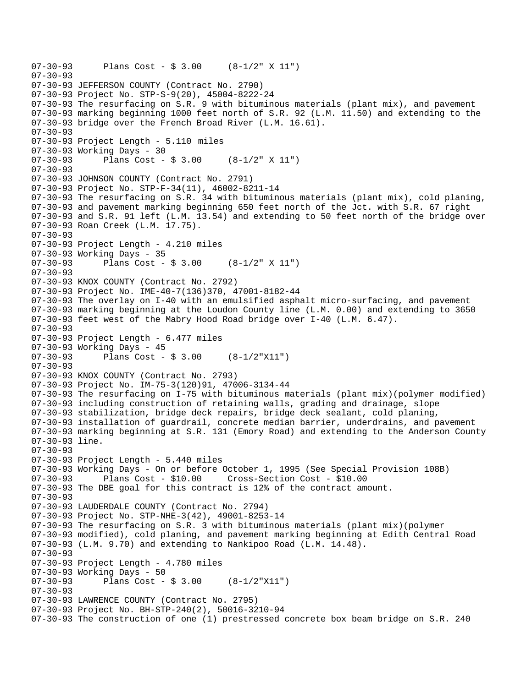```
07-30-93 Plans Cost - $ 3.00 (8-1/2" X 11") 
07-30-93 
07-30-93 JEFFERSON COUNTY (Contract No. 2790) 
07-30-93 Project No. STP-S-9(20), 45004-8222-24 
07-30-93 The resurfacing on S.R. 9 with bituminous materials (plant mix), and pavement 
07-30-93 marking beginning 1000 feet north of S.R. 92 (L.M. 11.50) and extending to the 
07-30-93 bridge over the French Broad River (L.M. 16.61). 
07-30-93 
07-30-93 Project Length - 5.110 miles 
07-30-93 Working Days - 30 
07-30-93 Plans Cost - $ 3.00 (8-1/2" X 11") 
07-30-93 
07-30-93 JOHNSON COUNTY (Contract No. 2791) 
07-30-93 Project No. STP-F-34(11), 46002-8211-14 
07-30-93 The resurfacing on S.R. 34 with bituminous materials (plant mix), cold planing, 
07-30-93 and pavement marking beginning 650 feet north of the Jct. with S.R. 67 right 
07-30-93 and S.R. 91 left (L.M. 13.54) and extending to 50 feet north of the bridge over 
07-30-93 Roan Creek (L.M. 17.75). 
07-30-93 
07-30-93 Project Length - 4.210 miles 
07-30-93 Working Days - 35 
07-30-93 Plans Cost - $ 3.00 (8-1/2" X 11") 
07-30-93 
07-30-93 KNOX COUNTY (Contract No. 2792) 
07-30-93 Project No. IME-40-7(136)370, 47001-8182-44 
07-30-93 The overlay on I-40 with an emulsified asphalt micro-surfacing, and pavement 
07-30-93 marking beginning at the Loudon County line (L.M. 0.00) and extending to 3650 
07-30-93 feet west of the Mabry Hood Road bridge over I-40 (L.M. 6.47). 
07-30-93 
07-30-93 Project Length - 6.477 miles 
07-30-93 Working Days - 45 
07-30-93 Plans Cost - $ 3.00 (8-1/2"X11") 
07-30-93 
07-30-93 KNOX COUNTY (Contract No. 2793) 
07-30-93 Project No. IM-75-3(120)91, 47006-3134-44 
07-30-93 The resurfacing on I-75 with bituminous materials (plant mix)(polymer modified) 
07-30-93 including construction of retaining walls, grading and drainage, slope 
07-30-93 stabilization, bridge deck repairs, bridge deck sealant, cold planing, 
07-30-93 installation of guardrail, concrete median barrier, underdrains, and pavement 
07-30-93 marking beginning at S.R. 131 (Emory Road) and extending to the Anderson County 
07-30-93 line. 
07-30-93 
07-30-93 Project Length - 5.440 miles 
07-30-93 Working Days - On or before October 1, 1995 (See Special Provision 108B) 
07-30-93 Plans Cost - $10.00 Cross-Section Cost - $10.00 
07-30-93 The DBE goal for this contract is 12% of the contract amount. 
07-30-93 
07-30-93 LAUDERDALE COUNTY (Contract No. 2794) 
07-30-93 Project No. STP-NHE-3(42), 49001-8253-14 
07-30-93 The resurfacing on S.R. 3 with bituminous materials (plant mix)(polymer 
07-30-93 modified), cold planing, and pavement marking beginning at Edith Central Road 
07-30-93 (L.M. 9.70) and extending to Nankipoo Road (L.M. 14.48). 
07-30-93 
07-30-93 Project Length - 4.780 miles 
07-30-93 Working Days - 50 
07-30-93 Plans Cost - $ 3.00 (8-1/2"X11") 
07-30-93 
07-30-93 LAWRENCE COUNTY (Contract No. 2795) 
07-30-93 Project No. BH-STP-240(2), 50016-3210-94 
07-30-93 The construction of one (1) prestressed concrete box beam bridge on S.R. 240
```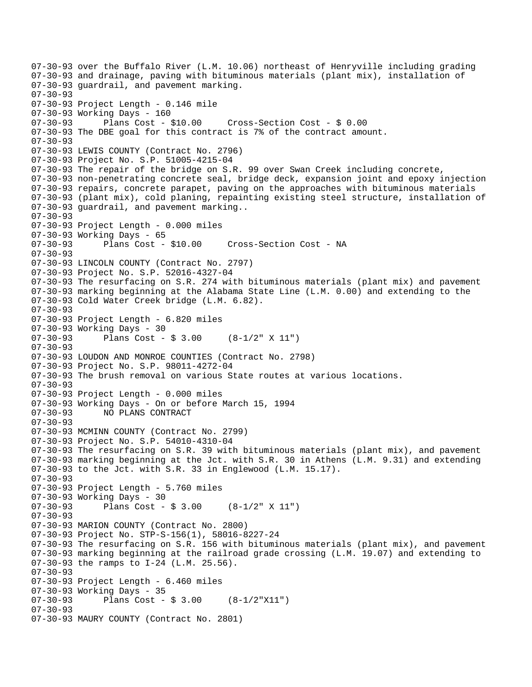07-30-93 over the Buffalo River (L.M. 10.06) northeast of Henryville including grading 07-30-93 and drainage, paving with bituminous materials (plant mix), installation of 07-30-93 guardrail, and pavement marking. 07-30-93 07-30-93 Project Length - 0.146 mile 07-30-93 Working Days - 160 07-30-93 Plans Cost - \$10.00 Cross-Section Cost - \$ 0.00 07-30-93 The DBE goal for this contract is 7% of the contract amount. 07-30-93 07-30-93 LEWIS COUNTY (Contract No. 2796) 07-30-93 Project No. S.P. 51005-4215-04 07-30-93 The repair of the bridge on S.R. 99 over Swan Creek including concrete, 07-30-93 non-penetrating concrete seal, bridge deck, expansion joint and epoxy injection 07-30-93 repairs, concrete parapet, paving on the approaches with bituminous materials 07-30-93 (plant mix), cold planing, repainting existing steel structure, installation of 07-30-93 guardrail, and pavement marking.. 07-30-93 07-30-93 Project Length - 0.000 miles 07-30-93 Working Days - 65 07-30-93 Plans Cost - \$10.00 Cross-Section Cost - NA 07-30-93 07-30-93 LINCOLN COUNTY (Contract No. 2797) 07-30-93 Project No. S.P. 52016-4327-04 07-30-93 The resurfacing on S.R. 274 with bituminous materials (plant mix) and pavement 07-30-93 marking beginning at the Alabama State Line (L.M. 0.00) and extending to the 07-30-93 Cold Water Creek bridge (L.M. 6.82). 07-30-93 07-30-93 Project Length - 6.820 miles 07-30-93 Working Days - 30 07-30-93 Plans Cost - \$ 3.00 (8-1/2" X 11") 07-30-93 07-30-93 LOUDON AND MONROE COUNTIES (Contract No. 2798) 07-30-93 Project No. S.P. 98011-4272-04 07-30-93 The brush removal on various State routes at various locations. 07-30-93 07-30-93 Project Length - 0.000 miles 07-30-93 Working Days - On or before March 15, 1994 07-30-93 NO PLANS CONTRACT 07-30-93 07-30-93 MCMINN COUNTY (Contract No. 2799) 07-30-93 Project No. S.P. 54010-4310-04 07-30-93 The resurfacing on S.R. 39 with bituminous materials (plant mix), and pavement 07-30-93 marking beginning at the Jct. with S.R. 30 in Athens (L.M. 9.31) and extending 07-30-93 to the Jct. with S.R. 33 in Englewood (L.M. 15.17). 07-30-93 07-30-93 Project Length - 5.760 miles 07-30-93 Working Days - 30<br>07-30-93 Plans Cost -Plans Cost -  $$3.00$  (8-1/2" X 11") 07-30-93 07-30-93 MARION COUNTY (Contract No. 2800) 07-30-93 Project No. STP-S-156(1), 58016-8227-24 07-30-93 The resurfacing on S.R. 156 with bituminous materials (plant mix), and pavement 07-30-93 marking beginning at the railroad grade crossing (L.M. 19.07) and extending to 07-30-93 the ramps to I-24 (L.M. 25.56). 07-30-93 07-30-93 Project Length - 6.460 miles 07-30-93 Working Days - 35<br>07-30-93 Plans Cost -Plans Cost -  $$3.00$   $(8-1/2"X11")$ 07-30-93 07-30-93 MAURY COUNTY (Contract No. 2801)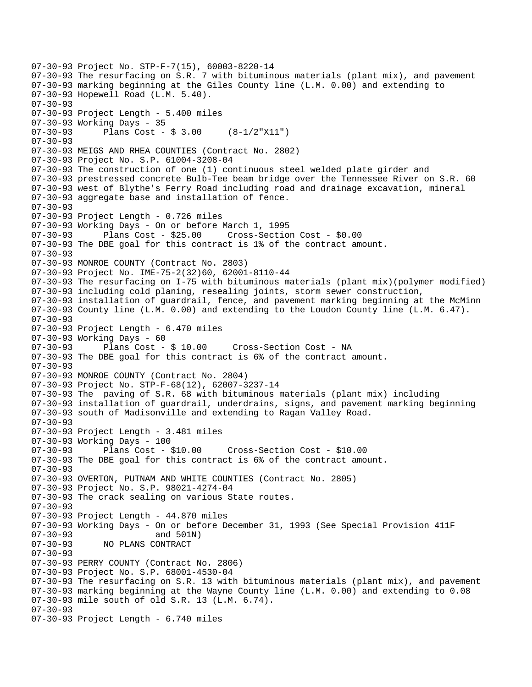```
07-30-93 Project No. STP-F-7(15), 60003-8220-14 
07-30-93 The resurfacing on S.R. 7 with bituminous materials (plant mix), and pavement 
07-30-93 marking beginning at the Giles County line (L.M. 0.00) and extending to 
07-30-93 Hopewell Road (L.M. 5.40). 
07-30-93 
07-30-93 Project Length - 5.400 miles 
07-30-93 Working Days - 35 
07-30-93 Plans Cost - $ 3.00 (8-1/2"X11") 
07-30-93 
07-30-93 MEIGS AND RHEA COUNTIES (Contract No. 2802) 
07-30-93 Project No. S.P. 61004-3208-04 
07-30-93 The construction of one (1) continuous steel welded plate girder and 
07-30-93 prestressed concrete Bulb-Tee beam bridge over the Tennessee River on S.R. 60 
07-30-93 west of Blythe's Ferry Road including road and drainage excavation, mineral 
07-30-93 aggregate base and installation of fence. 
07 - 30 - 9307-30-93 Project Length - 0.726 miles 
07-30-93 Working Days - On or before March 1, 1995 
07-30-93 Plans Cost - $25.00 Cross-Section Cost - $0.00 
07-30-93 The DBE goal for this contract is 1% of the contract amount. 
07-30-93 
07-30-93 MONROE COUNTY (Contract No. 2803) 
07-30-93 Project No. IME-75-2(32)60, 62001-8110-44 
07-30-93 The resurfacing on I-75 with bituminous materials (plant mix)(polymer modified) 
07-30-93 including cold planing, resealing joints, storm sewer construction, 
07-30-93 installation of guardrail, fence, and pavement marking beginning at the McMinn 
07-30-93 County line (L.M. 0.00) and extending to the Loudon County line (L.M. 6.47). 
07-30-93 
07-30-93 Project Length - 6.470 miles 
07-30-93 Working Days - 60 
07-30-93 Plans Cost - $ 10.00 Cross-Section Cost - NA 
07-30-93 The DBE goal for this contract is 6% of the contract amount. 
07-30-93 
07-30-93 MONROE COUNTY (Contract No. 2804) 
07-30-93 Project No. STP-F-68(12), 62007-3237-14 
07-30-93 The paving of S.R. 68 with bituminous materials (plant mix) including 
07-30-93 installation of guardrail, underdrains, signs, and pavement marking beginning 
07-30-93 south of Madisonville and extending to Ragan Valley Road. 
07-30-93 
07-30-93 Project Length - 3.481 miles 
07-30-93 Working Days - 100 
07-30-93 Plans Cost - $10.00 Cross-Section Cost - $10.00 
07-30-93 The DBE goal for this contract is 6% of the contract amount. 
07-30-93 
07-30-93 OVERTON, PUTNAM AND WHITE COUNTIES (Contract No. 2805) 
07-30-93 Project No. S.P. 98021-4274-04 
07-30-93 The crack sealing on various State routes. 
07-30-93 
07-30-93 Project Length - 44.870 miles 
07-30-93 Working Days - On or before December 31, 1993 (See Special Provision 411F<br>07-30-93 and 501N)
                        and 501N)
07-30-93 NO PLANS CONTRACT 
07-30-93 
07-30-93 PERRY COUNTY (Contract No. 2806) 
07-30-93 Project No. S.P. 68001-4530-04 
07-30-93 The resurfacing on S.R. 13 with bituminous materials (plant mix), and pavement 
07-30-93 marking beginning at the Wayne County line (L.M. 0.00) and extending to 0.08 
07-30-93 mile south of old S.R. 13 (L.M. 6.74). 
07-30-93 
07-30-93 Project Length - 6.740 miles
```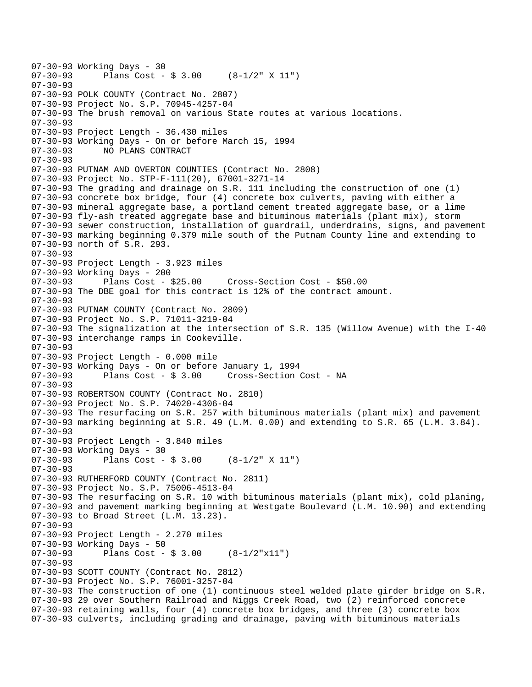```
07-30-93 Working Days - 30 
              Plans Cost - $3.00 (8-1/2" X 11")
07-30-93 
07-30-93 POLK COUNTY (Contract No. 2807) 
07-30-93 Project No. S.P. 70945-4257-04 
07-30-93 The brush removal on various State routes at various locations. 
07-30-93 
07-30-93 Project Length - 36.430 miles 
07-30-93 Working Days - On or before March 15, 1994 
07-30-93 NO PLANS CONTRACT 
07-30-93 
07-30-93 PUTNAM AND OVERTON COUNTIES (Contract No. 2808) 
07-30-93 Project No. STP-F-111(20), 67001-3271-14 
07-30-93 The grading and drainage on S.R. 111 including the construction of one (1) 
07-30-93 concrete box bridge, four (4) concrete box culverts, paving with either a 
07-30-93 mineral aggregate base, a portland cement treated aggregate base, or a lime 
07-30-93 fly-ash treated aggregate base and bituminous materials (plant mix), storm 
07-30-93 sewer construction, installation of guardrail, underdrains, signs, and pavement 
07-30-93 marking beginning 0.379 mile south of the Putnam County line and extending to 
07-30-93 north of S.R. 293. 
07-30-93 
07-30-93 Project Length - 3.923 miles 
07-30-93 Working Days - 200 
07-30-93 Plans Cost - $25.00 Cross-Section Cost - $50.00 
07-30-93 The DBE goal for this contract is 12% of the contract amount. 
07-30-93 
07-30-93 PUTNAM COUNTY (Contract No. 2809) 
07-30-93 Project No. S.P. 71011-3219-04 
07-30-93 The signalization at the intersection of S.R. 135 (Willow Avenue) with the I-40 
07-30-93 interchange ramps in Cookeville. 
07-30-93 
07-30-93 Project Length - 0.000 mile 
07-30-93 Working Days - On or before January 1, 1994 
07-30-93 Plans Cost - $ 3.00 Cross-Section Cost - NA 
07-30-93 
07-30-93 ROBERTSON COUNTY (Contract No. 2810) 
07-30-93 Project No. S.P. 74020-4306-04 
07-30-93 The resurfacing on S.R. 257 with bituminous materials (plant mix) and pavement 
07-30-93 marking beginning at S.R. 49 (L.M. 0.00) and extending to S.R. 65 (L.M. 3.84). 
07-30-93 
07-30-93 Project Length - 3.840 miles 
07-30-93 Working Days - 30 
07-30-93 Plans Cost - \frac{1}{2} 3.00 (8-1/2" X 11")
07-30-93 
07-30-93 RUTHERFORD COUNTY (Contract No. 2811) 
07-30-93 Project No. S.P. 75006-4513-04 
07-30-93 The resurfacing on S.R. 10 with bituminous materials (plant mix), cold planing, 
07-30-93 and pavement marking beginning at Westgate Boulevard (L.M. 10.90) and extending 
07-30-93 to Broad Street (L.M. 13.23). 
07-30-93 
07-30-93 Project Length - 2.270 miles 
07-30-93 Working Days - 50 
07-30-93 Plans Cost - $ 3.00 (8-1/2"x11") 
07-30-93 
07-30-93 SCOTT COUNTY (Contract No. 2812) 
07-30-93 Project No. S.P. 76001-3257-04 
07-30-93 The construction of one (1) continuous steel welded plate girder bridge on S.R. 
07-30-93 29 over Southern Railroad and Niggs Creek Road, two (2) reinforced concrete 
07-30-93 retaining walls, four (4) concrete box bridges, and three (3) concrete box 
07-30-93 culverts, including grading and drainage, paving with bituminous materials
```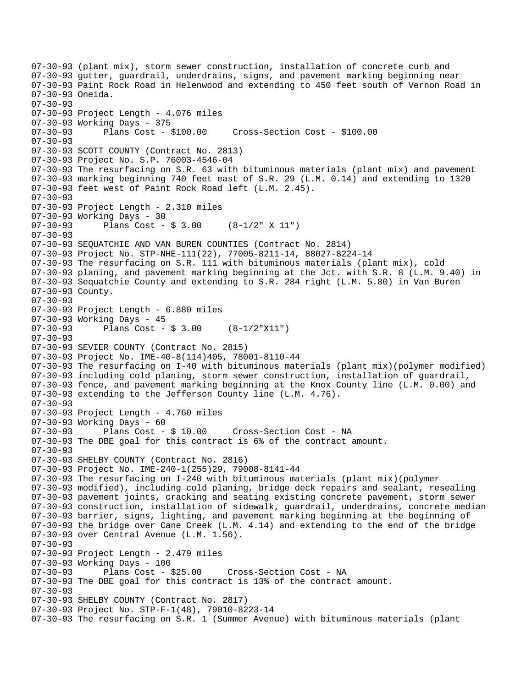07-30-93 (plant mix), storm sewer construction, installation of concrete curb and 07-30-93 gutter, guardrail, underdrains, signs, and pavement marking beginning near 07-30-93 Paint Rock Road in Helenwood and extending to 450 feet south of Vernon Road in 07-30-93 Oneida. 07-30-93 07-30-93 Project Length - 4.076 miles 07-30-93 Working Days - 375 07-30-93 Plans Cost - \$100.00 Cross-Section Cost - \$100.00 07-30-93 07-30-93 SCOTT COUNTY (Contract No. 2813) 07-30-93 Project No. S.P. 76003-4546-04 07-30-93 The resurfacing on S.R. 63 with bituminous materials (plant mix) and pavement 07-30-93 marking beginning 740 feet east of S.R. 29 (L.M. 0.14) and extending to 1320 07-30-93 feet west of Paint Rock Road left (L.M. 2.45). 07-30-93 07-30-93 Project Length - 2.310 miles 07-30-93 Working Days - 30 07-30-93 Plans Cost - \$ 3.00 (8-1/2" X 11") 07-30-93 07-30-93 SEQUATCHIE AND VAN BUREN COUNTIES (Contract No. 2814) 07-30-93 Project No. STP-NHE-111(22), 77005-8211-14, 88027-8224-14 07-30-93 The resurfacing on S.R. 111 with bituminous materials (plant mix), cold 07-30-93 planing, and pavement marking beginning at the Jct. with S.R. 8 (L.M. 9.40) in 07-30-93 Sequatchie County and extending to S.R. 284 right (L.M. 5.80) in Van Buren 07-30-93 County. 07-30-93 07-30-93 Project Length - 6.880 miles 07-30-93 Working Days - 45 07-30-93 Plans Cost - \$ 3.00 (8-1/2"X11") 07-30-93 07-30-93 SEVIER COUNTY (Contract No. 2815) 07-30-93 Project No. IME-40-8(114)405, 78001-8110-44 07-30-93 The resurfacing on I-40 with bituminous materials (plant mix)(polymer modified) 07-30-93 including cold planing, storm sewer construction, installation of guardrail, 07-30-93 fence, and pavement marking beginning at the Knox County line (L.M. 0.00) and 07-30-93 extending to the Jefferson County line (L.M. 4.76). 07-30-93 07-30-93 Project Length - 4.760 miles 07-30-93 Working Days - 60 07-30-93 Plans Cost - \$ 10.00 Cross-Section Cost - NA 07-30-93 The DBE goal for this contract is 6% of the contract amount. 07-30-93 07-30-93 SHELBY COUNTY (Contract No. 2816) 07-30-93 Project No. IME-240-1(255)29, 79008-8141-44 07-30-93 The resurfacing on I-240 with bituminous materials (plant mix)(polymer 07-30-93 modified), including cold planing, bridge deck repairs and sealant, resealing 07-30-93 pavement joints, cracking and seating existing concrete pavement, storm sewer 07-30-93 construction, installation of sidewalk, guardrail, underdrains, concrete median 07-30-93 barrier, signs, lighting, and pavement marking beginning at the beginning of 07-30-93 the bridge over Cane Creek (L.M. 4.14) and extending to the end of the bridge 07-30-93 over Central Avenue (L.M. 1.56). 07-30-93 07-30-93 Project Length - 2.479 miles 07-30-93 Working Days - 100 07-30-93 Plans Cost - \$25.00 Cross-Section Cost - NA 07-30-93 The DBE goal for this contract is 13% of the contract amount. 07-30-93 07-30-93 SHELBY COUNTY (Contract No. 2817) 07-30-93 Project No. STP-F-1(48), 79010-8223-14 07-30-93 The resurfacing on S.R. 1 (Summer Avenue) with bituminous materials (plant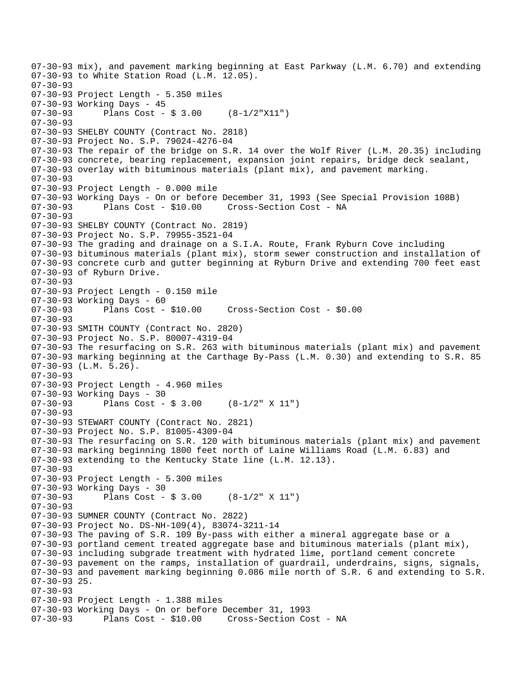07-30-93 mix), and pavement marking beginning at East Parkway (L.M. 6.70) and extending 07-30-93 to White Station Road (L.M. 12.05). 07-30-93 07-30-93 Project Length - 5.350 miles 07-30-93 Working Days - 45 07-30-93 Plans Cost - \$ 3.00 (8-1/2"X11") 07-30-93 07-30-93 SHELBY COUNTY (Contract No. 2818) 07-30-93 Project No. S.P. 79024-4276-04 07-30-93 The repair of the bridge on S.R. 14 over the Wolf River (L.M. 20.35) including 07-30-93 concrete, bearing replacement, expansion joint repairs, bridge deck sealant, 07-30-93 overlay with bituminous materials (plant mix), and pavement marking.  $07 - 30 - 93$ 07-30-93 Project Length - 0.000 mile 07-30-93 Working Days - On or before December 31, 1993 (See Special Provision 108B) 07-30-93 Plans Cost - \$10.00 Cross-Section Cost - NA 07-30-93 07-30-93 SHELBY COUNTY (Contract No. 2819) 07-30-93 Project No. S.P. 79955-3521-04 07-30-93 The grading and drainage on a S.I.A. Route, Frank Ryburn Cove including 07-30-93 bituminous materials (plant mix), storm sewer construction and installation of 07-30-93 concrete curb and gutter beginning at Ryburn Drive and extending 700 feet east 07-30-93 of Ryburn Drive. 07-30-93 07-30-93 Project Length - 0.150 mile 07-30-93 Working Days - 60 07-30-93 Plans Cost - \$10.00 Cross-Section Cost - \$0.00 07-30-93 07-30-93 SMITH COUNTY (Contract No. 2820) 07-30-93 Project No. S.P. 80007-4319-04 07-30-93 The resurfacing on S.R. 263 with bituminous materials (plant mix) and pavement 07-30-93 marking beginning at the Carthage By-Pass (L.M. 0.30) and extending to S.R. 85 07-30-93 (L.M. 5.26). 07-30-93 07-30-93 Project Length - 4.960 miles 07-30-93 Working Days - 30 07-30-93 Plans Cost - \$ 3.00 (8-1/2" X 11") 07-30-93 07-30-93 STEWART COUNTY (Contract No. 2821) 07-30-93 Project No. S.P. 81005-4309-04 07-30-93 The resurfacing on S.R. 120 with bituminous materials (plant mix) and pavement 07-30-93 marking beginning 1800 feet north of Laine Williams Road (L.M. 6.83) and 07-30-93 extending to the Kentucky State line (L.M. 12.13). 07-30-93 07-30-93 Project Length - 5.300 miles 07-30-93 Working Days - 30 07-30-93 Plans Cost - \$ 3.00 (8-1/2" X 11") 07-30-93 07-30-93 SUMNER COUNTY (Contract No. 2822) 07-30-93 Project No. DS-NH-109(4), 83074-3211-14 07-30-93 The paving of S.R. 109 By-pass with either a mineral aggregate base or a 07-30-93 portland cement treated aggregate base and bituminous materials (plant mix), 07-30-93 including subgrade treatment with hydrated lime, portland cement concrete 07-30-93 pavement on the ramps, installation of guardrail, underdrains, signs, signals, 07-30-93 and pavement marking beginning 0.086 mile north of S.R. 6 and extending to S.R. 07-30-93 25. 07-30-93 07-30-93 Project Length - 1.388 miles 07-30-93 Working Days - On or before December 31, 1993 07-30-93 Plans Cost - \$10.00 Cross-Section Cost - NA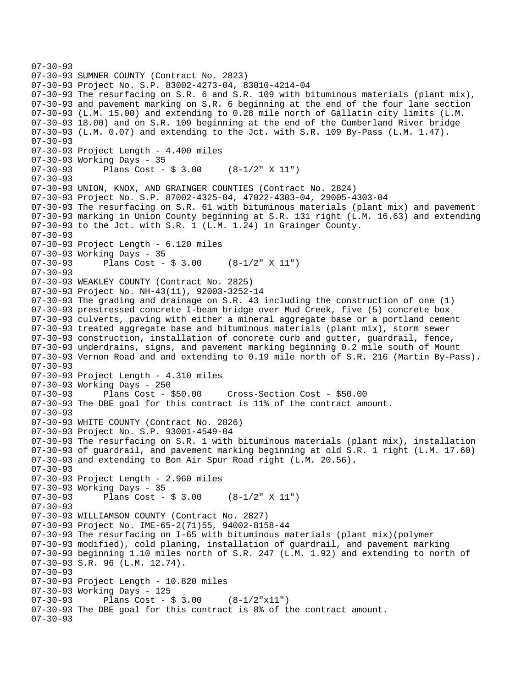```
07-30-93 
07-30-93 SUMNER COUNTY (Contract No. 2823) 
07-30-93 Project No. S.P. 83002-4273-04, 83010-4214-04 
07-30-93 The resurfacing on S.R. 6 and S.R. 109 with bituminous materials (plant mix), 
07-30-93 and pavement marking on S.R. 6 beginning at the end of the four lane section 
07-30-93 (L.M. 15.00) and extending to 0.28 mile north of Gallatin city limits (L.M. 
07-30-93 18.00) and on S.R. 109 beginning at the end of the Cumberland River bridge 
07-30-93 (L.M. 0.07) and extending to the Jct. with S.R. 109 By-Pass (L.M. 1.47). 
07-30-93 
07-30-93 Project Length - 4.400 miles 
07-30-93 Working Days - 35 
07-30-93 Plans Cost - $ 3.00 (8-1/2" X 11") 
07 - 30 - 9307-30-93 UNION, KNOX, AND GRAINGER COUNTIES (Contract No. 2824) 
07-30-93 Project No. S.P. 87002-4325-04, 47022-4303-04, 29005-4303-04 
07-30-93 The resurfacing on S.R. 61 with bituminous materials (plant mix) and pavement 
07-30-93 marking in Union County beginning at S.R. 131 right (L.M. 16.63) and extending 
07-30-93 to the Jct. with S.R. 1 (L.M. 1.24) in Grainger County. 
07-30-93 
07-30-93 Project Length - 6.120 miles 
07-30-93 Working Days - 35<br>07-30-93 Plans Cost -
              Plans Cost - $3.00 (8-1/2" X 11")
07-30-93 
07-30-93 WEAKLEY COUNTY (Contract No. 2825) 
07-30-93 Project No. NH-43(11), 92003-3252-14 
07-30-93 The grading and drainage on S.R. 43 including the construction of one (1) 
07-30-93 prestressed concrete I-beam bridge over Mud Creek, five (5) concrete box 
07-30-93 culverts, paving with either a mineral aggregate base or a portland cement 
07-30-93 treated aggregate base and bituminous materials (plant mix), storm sewer 
07-30-93 construction, installation of concrete curb and gutter, guardrail, fence, 
07-30-93 underdrains, signs, and pavement marking beginning 0.2 mile south of Mount 
07-30-93 Vernon Road and and extending to 0.19 mile north of S.R. 216 (Martin By-Pass). 
07-30-93 
07-30-93 Project Length - 4.310 miles 
07-30-93 Working Days - 250 
07-30-93 Plans Cost - $50.00 Cross-Section Cost - $50.00 
07-30-93 The DBE goal for this contract is 11% of the contract amount. 
07-30-93 
07-30-93 WHITE COUNTY (Contract No. 2826) 
07-30-93 Project No. S.P. 93001-4549-04 
07-30-93 The resurfacing on S.R. 1 with bituminous materials (plant mix), installation 
07-30-93 of guardrail, and pavement marking beginning at old S.R. 1 right (L.M. 17.60) 
07-30-93 and extending to Bon Air Spur Road right (L.M. 20.56). 
07-30-93 
07-30-93 Project Length - 2.960 miles 
07-30-93 Working Days - 35 
07-30-93 Plans Cost - $ 3.00 (8-1/2" X 11") 
07-30-93 
07-30-93 WILLIAMSON COUNTY (Contract No. 2827) 
07-30-93 Project No. IME-65-2(71)55, 94002-8158-44 
07-30-93 The resurfacing on I-65 with bituminous materials (plant mix)(polymer 
07-30-93 modified), cold planing, installation of guardrail, and pavement marking 
07-30-93 beginning 1.10 miles north of S.R. 247 (L.M. 1.92) and extending to north of 
07-30-93 S.R. 96 (L.M. 12.74). 
07-30-93 
07-30-93 Project Length - 10.820 miles 
07-30-93 Working Days - 125<br>07-30-93 Plans Cost -
              Plans Cost - $3.00 (8-1/2"x11")07-30-93 The DBE goal for this contract is 8% of the contract amount. 
07-30-93
```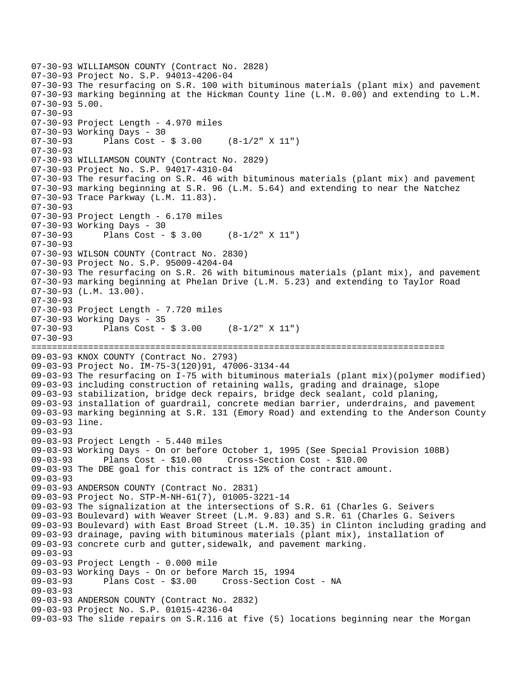```
07-30-93 WILLIAMSON COUNTY (Contract No. 2828) 
07-30-93 Project No. S.P. 94013-4206-04 
07-30-93 The resurfacing on S.R. 100 with bituminous materials (plant mix) and pavement 
07-30-93 marking beginning at the Hickman County line (L.M. 0.00) and extending to L.M. 
07-30-93 5.00. 
07-30-93 
07-30-93 Project Length - 4.970 miles 
07-30-93 Working Days - 30 
07-30-93 Plans Cost - $ 3.00 (8-1/2" X 11") 
07-30-93 
07-30-93 WILLIAMSON COUNTY (Contract No. 2829) 
07-30-93 Project No. S.P. 94017-4310-04 
07-30-93 The resurfacing on S.R. 46 with bituminous materials (plant mix) and pavement 
07-30-93 marking beginning at S.R. 96 (L.M. 5.64) and extending to near the Natchez 
07-30-93 Trace Parkway (L.M. 11.83). 
07-30-93 
07-30-93 Project Length - 6.170 miles 
07-30-93 Working Days - 30 
07-30-93 Plans Cost - $ 3.00 (8-1/2" X 11") 
07-30-93 
07-30-93 WILSON COUNTY (Contract No. 2830) 
07-30-93 Project No. S.P. 95009-4204-04 
07-30-93 The resurfacing on S.R. 26 with bituminous materials (plant mix), and pavement 
07-30-93 marking beginning at Phelan Drive (L.M. 5.23) and extending to Taylor Road 
07-30-93 (L.M. 13.00). 
07-30-93 
07-30-93 Project Length - 7.720 miles
07-30-93 Working Days - 35 
07-30-93 Plans Cost - $ 3.00 (8-1/2" X 11") 
07-30-93 
================================================================================ 
09-03-93 KNOX COUNTY (Contract No. 2793) 
09-03-93 Project No. IM-75-3(120)91, 47006-3134-44 
09-03-93 The resurfacing on I-75 with bituminous materials (plant mix)(polymer modified) 
09-03-93 including construction of retaining walls, grading and drainage, slope 
09-03-93 stabilization, bridge deck repairs, bridge deck sealant, cold planing, 
09-03-93 installation of guardrail, concrete median barrier, underdrains, and pavement 
09-03-93 marking beginning at S.R. 131 (Emory Road) and extending to the Anderson County 
09-03-93 line. 
09-03-93 
09-03-93 Project Length - 5.440 miles 
09-03-93 Working Days - On or before October 1, 1995 (See Special Provision 108B) 
09-03-93 Plans Cost - $10.00 Cross-Section Cost - $10.00 
09-03-93 The DBE goal for this contract is 12% of the contract amount. 
09-03-93 
09-03-93 ANDERSON COUNTY (Contract No. 2831) 
09-03-93 Project No. STP-M-NH-61(7), 01005-3221-14 
09-03-93 The signalization at the intersections of S.R. 61 (Charles G. Seivers 
09-03-93 Boulevard) with Weaver Street (L.M. 9.83) and S.R. 61 (Charles G. Seivers 
09-03-93 Boulevard) with East Broad Street (L.M. 10.35) in Clinton including grading and 
09-03-93 drainage, paving with bituminous materials (plant mix), installation of 
09-03-93 concrete curb and gutter,sidewalk, and pavement marking. 
09-03-93 
09-03-93 Project Length - 0.000 mile 
09-03-93 Working Days - On or before March 15, 1994 
09-03-93 Plans Cost - $3.00 Cross-Section Cost - NA 
09-03-93 
09-03-93 ANDERSON COUNTY (Contract No. 2832) 
09-03-93 Project No. S.P. 01015-4236-04 
09-03-93 The slide repairs on S.R.116 at five (5) locations beginning near the Morgan
```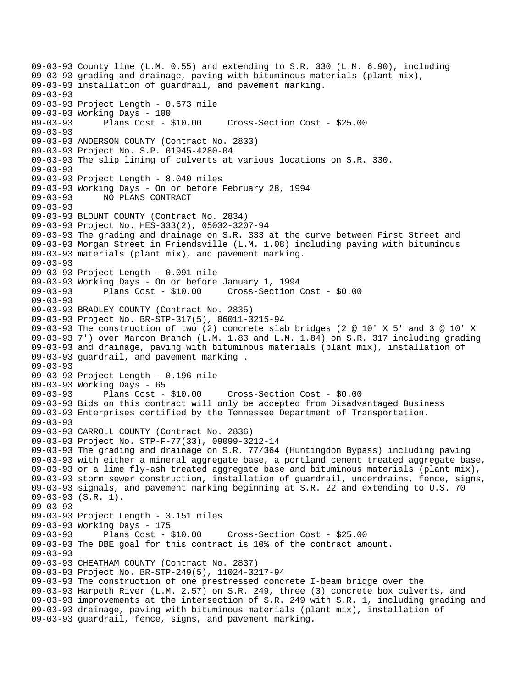09-03-93 County line (L.M. 0.55) and extending to S.R. 330 (L.M. 6.90), including 09-03-93 grading and drainage, paving with bituminous materials (plant mix), 09-03-93 installation of guardrail, and pavement marking. 09-03-93 09-03-93 Project Length - 0.673 mile 09-03-93 Working Days - 100 09-03-93 Plans Cost - \$10.00 Cross-Section Cost - \$25.00 09-03-93 09-03-93 ANDERSON COUNTY (Contract No. 2833) 09-03-93 Project No. S.P. 01945-4280-04 09-03-93 The slip lining of culverts at various locations on S.R. 330. 09-03-93 09-03-93 Project Length - 8.040 miles 09-03-93 Working Days - On or before February 28, 1994 09-03-93 NO PLANS CONTRACT 09-03-93 09-03-93 BLOUNT COUNTY (Contract No. 2834) 09-03-93 Project No. HES-333(2), 05032-3207-94 09-03-93 The grading and drainage on S.R. 333 at the curve between First Street and 09-03-93 Morgan Street in Friendsville (L.M. 1.08) including paving with bituminous 09-03-93 materials (plant mix), and pavement marking. 09-03-93 09-03-93 Project Length - 0.091 mile 09-03-93 Working Days - On or before January 1, 1994 09-03-93 Plans Cost - \$10.00 Cross-Section Cost - \$0.00 09-03-93 09-03-93 BRADLEY COUNTY (Contract No. 2835) 09-03-93 Project No. BR-STP-317(5), 06011-3215-94 09-03-93 The construction of two (2) concrete slab bridges (2 @ 10' X 5' and 3 @ 10' X 09-03-93 7') over Maroon Branch (L.M. 1.83 and L.M. 1.84) on S.R. 317 including grading 09-03-93 and drainage, paving with bituminous materials (plant mix), installation of 09-03-93 guardrail, and pavement marking . 09-03-93 09-03-93 Project Length - 0.196 mile 09-03-93 Working Days - 65 09-03-93 Plans Cost - \$10.00 Cross-Section Cost - \$0.00 09-03-93 Bids on this contract will only be accepted from Disadvantaged Business 09-03-93 Enterprises certified by the Tennessee Department of Transportation. 09-03-93 09-03-93 CARROLL COUNTY (Contract No. 2836) 09-03-93 Project No. STP-F-77(33), 09099-3212-14 09-03-93 The grading and drainage on S.R. 77/364 (Huntingdon Bypass) including paving 09-03-93 with either a mineral aggregate base, a portland cement treated aggregate base, 09-03-93 or a lime fly-ash treated aggregate base and bituminous materials (plant mix), 09-03-93 storm sewer construction, installation of guardrail, underdrains, fence, signs, 09-03-93 signals, and pavement marking beginning at S.R. 22 and extending to U.S. 70 09-03-93 (S.R. 1). 09-03-93 09-03-93 Project Length - 3.151 miles 09-03-93 Working Days - 175 09-03-93 Plans Cost - \$10.00 Cross-Section Cost - \$25.00 09-03-93 The DBE goal for this contract is 10% of the contract amount. 09-03-93 09-03-93 CHEATHAM COUNTY (Contract No. 2837) 09-03-93 Project No. BR-STP-249(5), 11024-3217-94 09-03-93 The construction of one prestressed concrete I-beam bridge over the 09-03-93 Harpeth River (L.M. 2.57) on S.R. 249, three (3) concrete box culverts, and 09-03-93 improvements at the intersection of S.R. 249 with S.R. 1, including grading and 09-03-93 drainage, paving with bituminous materials (plant mix), installation of 09-03-93 guardrail, fence, signs, and pavement marking.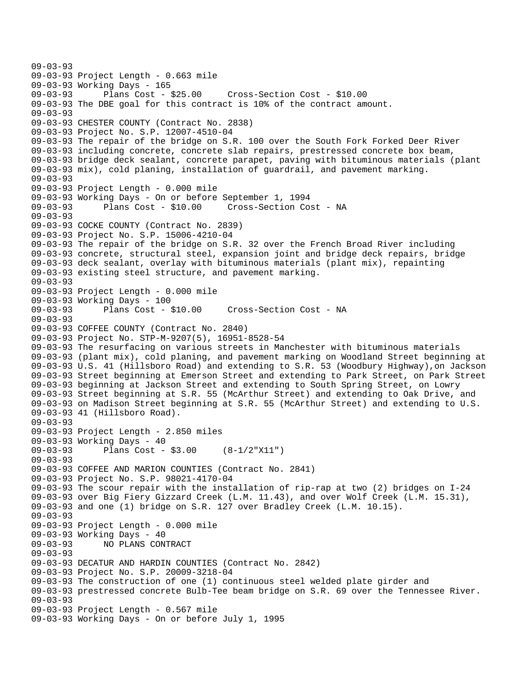09-03-93 09-03-93 Project Length - 0.663 mile 09-03-93 Working Days - 165 09-03-93 Plans Cost - \$25.00 Cross-Section Cost - \$10.00 09-03-93 The DBE goal for this contract is 10% of the contract amount. 09-03-93 09-03-93 CHESTER COUNTY (Contract No. 2838) 09-03-93 Project No. S.P. 12007-4510-04 09-03-93 The repair of the bridge on S.R. 100 over the South Fork Forked Deer River 09-03-93 including concrete, concrete slab repairs, prestressed concrete box beam, 09-03-93 bridge deck sealant, concrete parapet, paving with bituminous materials (plant 09-03-93 mix), cold planing, installation of guardrail, and pavement marking. 09-03-93 09-03-93 Project Length - 0.000 mile 09-03-93 Working Days - On or before September 1, 1994 09-03-93 Plans Cost - \$10.00 Cross-Section Cost - NA 09-03-93 09-03-93 COCKE COUNTY (Contract No. 2839) 09-03-93 Project No. S.P. 15006-4210-04 09-03-93 The repair of the bridge on S.R. 32 over the French Broad River including 09-03-93 concrete, structural steel, expansion joint and bridge deck repairs, bridge 09-03-93 deck sealant, overlay with bituminous materials (plant mix), repainting 09-03-93 existing steel structure, and pavement marking. 09-03-93 09-03-93 Project Length - 0.000 mile 09-03-93 Working Days - 100 09-03-93 Plans Cost - \$10.00 Cross-Section Cost - NA 09-03-93 09-03-93 COFFEE COUNTY (Contract No. 2840) 09-03-93 Project No. STP-M-9207(5), 16951-8528-54 09-03-93 The resurfacing on various streets in Manchester with bituminous materials 09-03-93 (plant mix), cold planing, and pavement marking on Woodland Street beginning at 09-03-93 U.S. 41 (Hillsboro Road) and extending to S.R. 53 (Woodbury Highway),on Jackson 09-03-93 Street beginning at Emerson Street and extending to Park Street, on Park Street 09-03-93 beginning at Jackson Street and extending to South Spring Street, on Lowry 09-03-93 Street beginning at S.R. 55 (McArthur Street) and extending to Oak Drive, and 09-03-93 on Madison Street beginning at S.R. 55 (McArthur Street) and extending to U.S. 09-03-93 41 (Hillsboro Road). 09-03-93 09-03-93 Project Length - 2.850 miles 09-03-93 Working Days - 40 09-03-93 Plans Cost - \$3.00 (8-1/2"X11") 09-03-93 09-03-93 COFFEE AND MARION COUNTIES (Contract No. 2841) 09-03-93 Project No. S.P. 98021-4170-04 09-03-93 The scour repair with the installation of rip-rap at two (2) bridges on I-24 09-03-93 over Big Fiery Gizzard Creek (L.M. 11.43), and over Wolf Creek (L.M. 15.31), 09-03-93 and one (1) bridge on S.R. 127 over Bradley Creek (L.M. 10.15). 09-03-93 09-03-93 Project Length - 0.000 mile 09-03-93 Working Days - 40 09-03-93 NO PLANS CONTRACT 09-03-93 09-03-93 DECATUR AND HARDIN COUNTIES (Contract No. 2842) 09-03-93 Project No. S.P. 20009-3218-04 09-03-93 The construction of one (1) continuous steel welded plate girder and 09-03-93 prestressed concrete Bulb-Tee beam bridge on S.R. 69 over the Tennessee River. 09-03-93 09-03-93 Project Length - 0.567 mile 09-03-93 Working Days - On or before July 1, 1995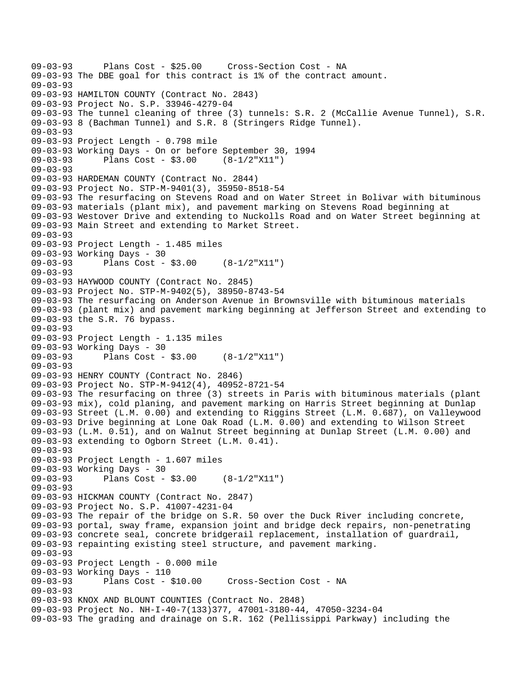```
09-03-93 Plans Cost - $25.00 Cross-Section Cost - NA 
09-03-93 The DBE goal for this contract is 1% of the contract amount. 
09-03-93 
09-03-93 HAMILTON COUNTY (Contract No. 2843) 
09-03-93 Project No. S.P. 33946-4279-04 
09-03-93 The tunnel cleaning of three (3) tunnels: S.R. 2 (McCallie Avenue Tunnel), S.R. 
09-03-93 8 (Bachman Tunnel) and S.R. 8 (Stringers Ridge Tunnel). 
09-03-93 
09-03-93 Project Length - 0.798 mile 
09-03-93 Working Days - On or before September 30, 1994 
09-03-93 Plans Cost - $3.00 (8-1/2"X11") 
09-03-93 
09-03-93 HARDEMAN COUNTY (Contract No. 2844) 
09-03-93 Project No. STP-M-9401(3), 35950-8518-54 
09-03-93 The resurfacing on Stevens Road and on Water Street in Bolivar with bituminous 
09-03-93 materials (plant mix), and pavement marking on Stevens Road beginning at 
09-03-93 Westover Drive and extending to Nuckolls Road and on Water Street beginning at 
09-03-93 Main Street and extending to Market Street. 
09-03-93 
09-03-93 Project Length - 1.485 miles 
09-03-93 Working Days - 30<br>09-03-93 Plans Cost -
              Plans Cost - $3.00 (8-1/2"X11")09-03-93 
09-03-93 HAYWOOD COUNTY (Contract No. 2845) 
09-03-93 Project No. STP-M-9402(5), 38950-8743-54 
09-03-93 The resurfacing on Anderson Avenue in Brownsville with bituminous materials 
09-03-93 (plant mix) and pavement marking beginning at Jefferson Street and extending to 
09-03-93 the S.R. 76 bypass. 
09-03-93 
09-03-93 Project Length - 1.135 miles 
09-03-93 Working Days - 30 
09-03-93 Plans Cost - $3.00 (8-1/2"X11") 
09-03-93 
09-03-93 HENRY COUNTY (Contract No. 2846) 
09-03-93 Project No. STP-M-9412(4), 40952-8721-54 
09-03-93 The resurfacing on three (3) streets in Paris with bituminous materials (plant 
09-03-93 mix), cold planing, and pavement marking on Harris Street beginning at Dunlap 
09-03-93 Street (L.M. 0.00) and extending to Riggins Street (L.M. 0.687), on Valleywood 
09-03-93 Drive beginning at Lone Oak Road (L.M. 0.00) and extending to Wilson Street 
09-03-93 (L.M. 0.51), and on Walnut Street beginning at Dunlap Street (L.M. 0.00) and 
09-03-93 extending to Ogborn Street (L.M. 0.41). 
09-03-93 
09-03-93 Project Length - 1.607 miles 
09-03-93 Working Days - 30 
09-03-93 Plans Cost - $3.00 (8-1/2"X11") 
09-03-93 
09-03-93 HICKMAN COUNTY (Contract No. 2847) 
09-03-93 Project No. S.P. 41007-4231-04 
09-03-93 The repair of the bridge on S.R. 50 over the Duck River including concrete, 
09-03-93 portal, sway frame, expansion joint and bridge deck repairs, non-penetrating 
09-03-93 concrete seal, concrete bridgerail replacement, installation of guardrail, 
09-03-93 repainting existing steel structure, and pavement marking. 
09-03-93 
09-03-93 Project Length - 0.000 mile 
09-03-93 Working Days - 110 
                                      Cross-Section Cost - NA
09-03-93 
09-03-93 KNOX AND BLOUNT COUNTIES (Contract No. 2848) 
09-03-93 Project No. NH-I-40-7(133)377, 47001-3180-44, 47050-3234-04 
09-03-93 The grading and drainage on S.R. 162 (Pellissippi Parkway) including the
```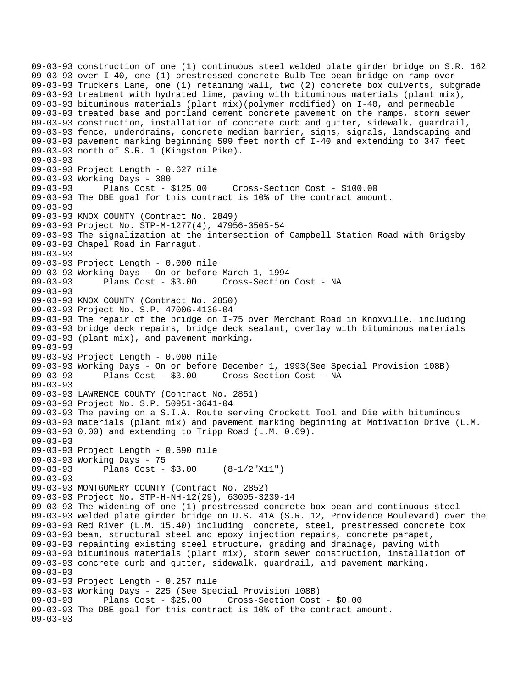09-03-93 construction of one (1) continuous steel welded plate girder bridge on S.R. 162 09-03-93 over I-40, one (1) prestressed concrete Bulb-Tee beam bridge on ramp over 09-03-93 Truckers Lane, one (1) retaining wall, two (2) concrete box culverts, subgrade 09-03-93 treatment with hydrated lime, paving with bituminous materials (plant mix), 09-03-93 bituminous materials (plant mix)(polymer modified) on I-40, and permeable 09-03-93 treated base and portland cement concrete pavement on the ramps, storm sewer 09-03-93 construction, installation of concrete curb and gutter, sidewalk, guardrail, 09-03-93 fence, underdrains, concrete median barrier, signs, signals, landscaping and 09-03-93 pavement marking beginning 599 feet north of I-40 and extending to 347 feet 09-03-93 north of S.R. 1 (Kingston Pike). 09-03-93 09-03-93 Project Length - 0.627 mile 09-03-93 Working Days - 300 09-03-93 Plans Cost - \$125.00 Cross-Section Cost - \$100.00 09-03-93 The DBE goal for this contract is 10% of the contract amount. 09-03-93 09-03-93 KNOX COUNTY (Contract No. 2849) 09-03-93 Project No. STP-M-1277(4), 47956-3505-54 09-03-93 The signalization at the intersection of Campbell Station Road with Grigsby 09-03-93 Chapel Road in Farragut. 09-03-93 09-03-93 Project Length - 0.000 mile 09-03-93 Working Days - On or before March 1, 1994 09-03-93 Plans Cost - \$3.00 Cross-Section Cost - NA 09-03-93 09-03-93 KNOX COUNTY (Contract No. 2850) 09-03-93 Project No. S.P. 47006-4136-04 09-03-93 The repair of the bridge on I-75 over Merchant Road in Knoxville, including 09-03-93 bridge deck repairs, bridge deck sealant, overlay with bituminous materials 09-03-93 (plant mix), and pavement marking. 09-03-93 09-03-93 Project Length - 0.000 mile 09-03-93 Working Days - On or before December 1, 1993(See Special Provision 108B) 09-03-93 Plans Cost - \$3.00 Cross-Section Cost - NA 09-03-93 09-03-93 LAWRENCE COUNTY (Contract No. 2851) 09-03-93 Project No. S.P. 50951-3641-04 09-03-93 The paving on a S.I.A. Route serving Crockett Tool and Die with bituminous 09-03-93 materials (plant mix) and pavement marking beginning at Motivation Drive (L.M. 09-03-93 0.00) and extending to Tripp Road (L.M. 0.69). 09-03-93 09-03-93 Project Length - 0.690 mile 09-03-93 Working Days - 75 09-03-93 Plans Cost - \$3.00 (8-1/2"X11") 09-03-93 09-03-93 MONTGOMERY COUNTY (Contract No. 2852) 09-03-93 Project No. STP-H-NH-12(29), 63005-3239-14 09-03-93 The widening of one (1) prestressed concrete box beam and continuous steel 09-03-93 welded plate girder bridge on U.S. 41A (S.R. 12, Providence Boulevard) over the 09-03-93 Red River (L.M. 15.40) including concrete, steel, prestressed concrete box 09-03-93 beam, structural steel and epoxy injection repairs, concrete parapet, 09-03-93 repainting existing steel structure, grading and drainage, paving with 09-03-93 bituminous materials (plant mix), storm sewer construction, installation of 09-03-93 concrete curb and gutter, sidewalk, guardrail, and pavement marking. 09-03-93 09-03-93 Project Length - 0.257 mile 09-03-93 Working Days - 225 (See Special Provision 108B) 09-03-93 Plans Cost - \$25.00 Cross-Section Cost - \$0.00 09-03-93 The DBE goal for this contract is 10% of the contract amount. 09-03-93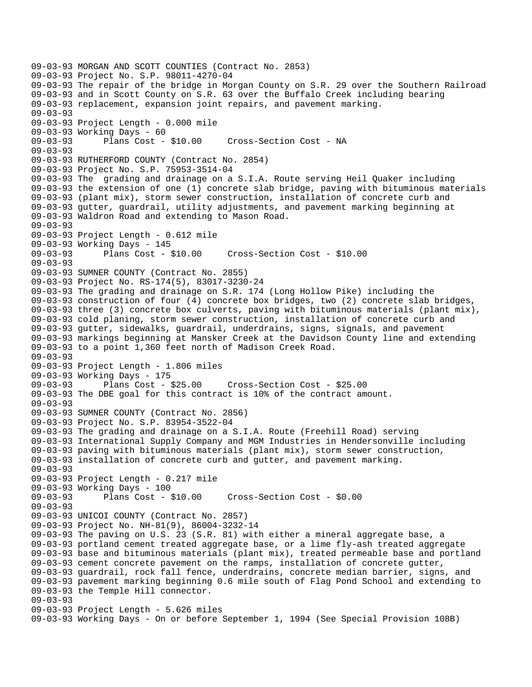```
09-03-93 MORGAN AND SCOTT COUNTIES (Contract No. 2853) 
09-03-93 Project No. S.P. 98011-4270-04 
09-03-93 The repair of the bridge in Morgan County on S.R. 29 over the Southern Railroad 
09-03-93 and in Scott County on S.R. 63 over the Buffalo Creek including bearing 
09-03-93 replacement, expansion joint repairs, and pavement marking. 
09-03-93 
09-03-93 Project Length - 0.000 mile 
09-03-93 Working Days - 60 
09-03-93 Plans Cost - $10.00 Cross-Section Cost - NA 
09-03-93 
09-03-93 RUTHERFORD COUNTY (Contract No. 2854) 
09-03-93 Project No. S.P. 75953-3514-04 
09-03-93 The grading and drainage on a S.I.A. Route serving Heil Quaker including 
09-03-93 the extension of one (1) concrete slab bridge, paving with bituminous materials 
09-03-93 (plant mix), storm sewer construction, installation of concrete curb and 
09-03-93 gutter, guardrail, utility adjustments, and pavement marking beginning at 
09-03-93 Waldron Road and extending to Mason Road. 
09-03-93 
09-03-93 Project Length - 0.612 mile 
09-03-93 Working Days - 145 
09-03-93 Plans Cost - $10.00 Cross-Section Cost - $10.00 
09-03-93 
09-03-93 SUMNER COUNTY (Contract No. 2855) 
09-03-93 Project No. RS-174(5), 83017-3230-24 
09-03-93 The grading and drainage on S.R. 174 (Long Hollow Pike) including the 
09-03-93 construction of four (4) concrete box bridges, two (2) concrete slab bridges, 
09-03-93 three (3) concrete box culverts, paving with bituminous materials (plant mix), 
09-03-93 cold planing, storm sewer construction, installation of concrete curb and 
09-03-93 gutter, sidewalks, guardrail, underdrains, signs, signals, and pavement 
09-03-93 markings beginning at Mansker Creek at the Davidson County line and extending 
09-03-93 to a point 1,360 feet north of Madison Creek Road. 
09-03-93 
09-03-93 Project Length - 1.806 miles 
09-03-93 Working Days - 175 
                                   09-03-93 Plans Cost - $25.00 Cross-Section Cost - $25.00 
09-03-93 The DBE goal for this contract is 10% of the contract amount. 
09-03-93 
09-03-93 SUMNER COUNTY (Contract No. 2856) 
09-03-93 Project No. S.P. 83954-3522-04 
09-03-93 The grading and drainage on a S.I.A. Route (Freehill Road) serving 
09-03-93 International Supply Company and MGM Industries in Hendersonville including 
09-03-93 paving with bituminous materials (plant mix), storm sewer construction, 
09-03-93 installation of concrete curb and gutter, and pavement marking. 
09-03-93 
09-03-93 Project Length - 0.217 mile 
09-03-93 Working Days - 100 
09-03-93 Plans Cost - $10.00 Cross-Section Cost - $0.00 
09-03-93 
09-03-93 UNICOI COUNTY (Contract No. 2857) 
09-03-93 Project No. NH-81(9), 86004-3232-14 
09-03-93 The paving on U.S. 23 (S.R. 81) with either a mineral aggregate base, a 
09-03-93 portland cement treated aggregate base, or a lime fly-ash treated aggregate 
09-03-93 base and bituminous materials (plant mix), treated permeable base and portland 
09-03-93 cement concrete pavement on the ramps, installation of concrete gutter, 
09-03-93 guardrail, rock fall fence, underdrains, concrete median barrier, signs, and 
09-03-93 pavement marking beginning 0.6 mile south of Flag Pond School and extending to 
09-03-93 the Temple Hill connector. 
09-03-93 
09-03-93 Project Length - 5.626 miles 
09-03-93 Working Days - On or before September 1, 1994 (See Special Provision 108B)
```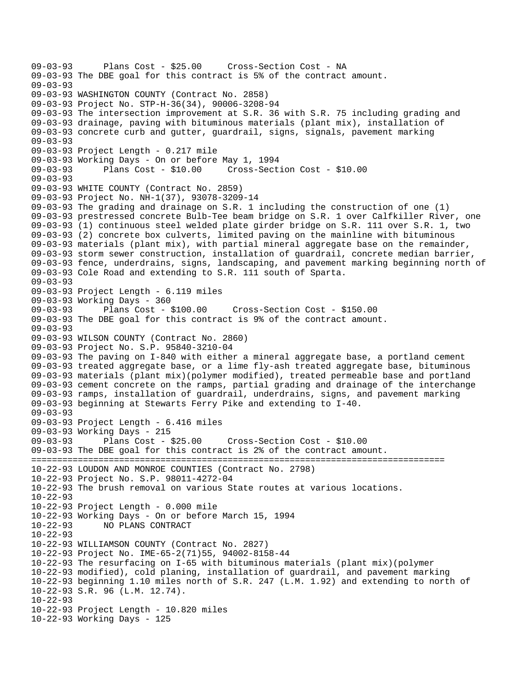09-03-93 Plans Cost - \$25.00 Cross-Section Cost - NA 09-03-93 The DBE goal for this contract is 5% of the contract amount. 09-03-93 09-03-93 WASHINGTON COUNTY (Contract No. 2858) 09-03-93 Project No. STP-H-36(34), 90006-3208-94 09-03-93 The intersection improvement at S.R. 36 with S.R. 75 including grading and 09-03-93 drainage, paving with bituminous materials (plant mix), installation of 09-03-93 concrete curb and gutter, guardrail, signs, signals, pavement marking 09-03-93 09-03-93 Project Length - 0.217 mile 09-03-93 Working Days - On or before May 1, 1994 09-03-93 Plans Cost - \$10.00 Cross-Section Cost - \$10.00 09-03-93 09-03-93 WHITE COUNTY (Contract No. 2859) 09-03-93 Project No. NH-1(37), 93078-3209-14 09-03-93 The grading and drainage on S.R. 1 including the construction of one (1) 09-03-93 prestressed concrete Bulb-Tee beam bridge on S.R. 1 over Calfkiller River, one 09-03-93 (1) continuous steel welded plate girder bridge on S.R. 111 over S.R. 1, two 09-03-93 (2) concrete box culverts, limited paving on the mainline with bituminous 09-03-93 materials (plant mix), with partial mineral aggregate base on the remainder, 09-03-93 storm sewer construction, installation of guardrail, concrete median barrier, 09-03-93 fence, underdrains, signs, landscaping, and pavement marking beginning north of 09-03-93 Cole Road and extending to S.R. 111 south of Sparta. 09-03-93 09-03-93 Project Length - 6.119 miles 09-03-93 Working Days - 360 09-03-93 Plans Cost - \$100.00 Cross-Section Cost - \$150.00 09-03-93 The DBE goal for this contract is 9% of the contract amount. 09-03-93 09-03-93 WILSON COUNTY (Contract No. 2860) 09-03-93 Project No. S.P. 95840-3210-04 09-03-93 The paving on I-840 with either a mineral aggregate base, a portland cement 09-03-93 treated aggregate base, or a lime fly-ash treated aggregate base, bituminous 09-03-93 materials (plant mix)(polymer modified), treated permeable base and portland 09-03-93 cement concrete on the ramps, partial grading and drainage of the interchange 09-03-93 ramps, installation of guardrail, underdrains, signs, and pavement marking 09-03-93 beginning at Stewarts Ferry Pike and extending to I-40. 09-03-93 09-03-93 Project Length - 6.416 miles 09-03-93 Working Days - 215 09-03-93 Plans Cost - \$25.00 Cross-Section Cost - \$10.00 09-03-93 The DBE goal for this contract is 2% of the contract amount. ================================================================================ 10-22-93 LOUDON AND MONROE COUNTIES (Contract No. 2798) 10-22-93 Project No. S.P. 98011-4272-04 10-22-93 The brush removal on various State routes at various locations. 10-22-93 10-22-93 Project Length - 0.000 mile 10-22-93 Working Days - On or before March 15, 1994 10-22-93 NO PLANS CONTRACT 10-22-93 10-22-93 WILLIAMSON COUNTY (Contract No. 2827) 10-22-93 Project No. IME-65-2(71)55, 94002-8158-44 10-22-93 The resurfacing on I-65 with bituminous materials (plant mix)(polymer 10-22-93 modified), cold planing, installation of guardrail, and pavement marking 10-22-93 beginning 1.10 miles north of S.R. 247 (L.M. 1.92) and extending to north of 10-22-93 S.R. 96 (L.M. 12.74). 10-22-93 10-22-93 Project Length - 10.820 miles 10-22-93 Working Days - 125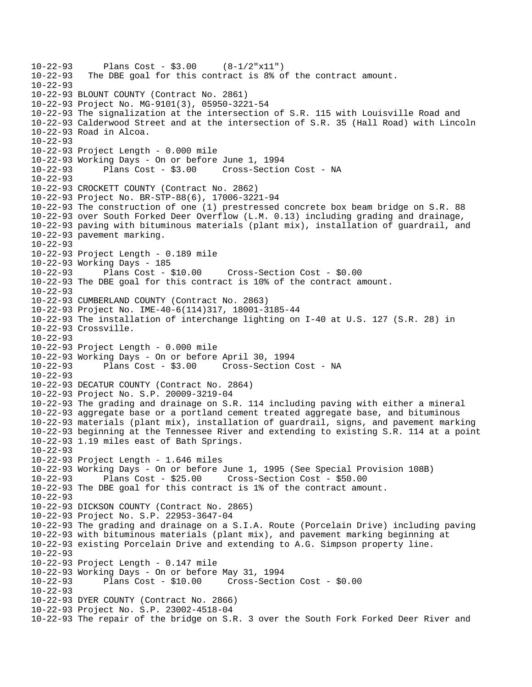```
10-22-93 Plans Cost - $3.00 (8-1/2"x11")<br>10-22-93 The DBE goal for this contract is 8% of
           The DBE goal for this contract is 8% of the contract amount.
10 - 22 - 9310-22-93 BLOUNT COUNTY (Contract No. 2861) 
10-22-93 Project No. MG-9101(3), 05950-3221-54 
10-22-93 The signalization at the intersection of S.R. 115 with Louisville Road and 
10-22-93 Calderwood Street and at the intersection of S.R. 35 (Hall Road) with Lincoln 
10-22-93 Road in Alcoa. 
10-22-93 
10-22-93 Project Length - 0.000 mile 
10-22-93 Working Days - On or before June 1, 1994 
10-22-93 Plans Cost - $3.00 Cross-Section Cost - NA 
10 - 22 - 9310-22-93 CROCKETT COUNTY (Contract No. 2862) 
10-22-93 Project No. BR-STP-88(6), 17006-3221-94 
10-22-93 The construction of one (1) prestressed concrete box beam bridge on S.R. 88 
10-22-93 over South Forked Deer Overflow (L.M. 0.13) including grading and drainage, 
10-22-93 paving with bituminous materials (plant mix), installation of guardrail, and 
10-22-93 pavement marking. 
10-22-93 
10-22-93 Project Length - 0.189 mile 
10-22-93 Working Days - 185 
10-22-93 Plans Cost - $10.00 Cross-Section Cost - $0.00 
10-22-93 The DBE goal for this contract is 10% of the contract amount. 
10-22-93 
10-22-93 CUMBERLAND COUNTY (Contract No. 2863) 
10-22-93 Project No. IME-40-6(114)317, 18001-3185-44 
10-22-93 The installation of interchange lighting on I-40 at U.S. 127 (S.R. 28) in 
10-22-93 Crossville. 
10-22-93 
10-22-93 Project Length - 0.000 mile 
10-22-93 Working Days - On or before April 30, 1994 
                                     Cross-Section Cost - NA
10-22-93 
10-22-93 DECATUR COUNTY (Contract No. 2864) 
10-22-93 Project No. S.P. 20009-3219-04 
10-22-93 The grading and drainage on S.R. 114 including paving with either a mineral 
10-22-93 aggregate base or a portland cement treated aggregate base, and bituminous 
10-22-93 materials (plant mix), installation of guardrail, signs, and pavement marking 
10-22-93 beginning at the Tennessee River and extending to existing S.R. 114 at a point 
10-22-93 1.19 miles east of Bath Springs. 
10-22-93 
10-22-93 Project Length - 1.646 miles 
10-22-93 Working Days - On or before June 1, 1995 (See Special Provision 108B) 
10-22-93 Plans Cost - $25.00 Cross-Section Cost - $50.00 
10-22-93 The DBE goal for this contract is 1% of the contract amount. 
10-22-93 
10-22-93 DICKSON COUNTY (Contract No. 2865) 
10-22-93 Project No. S.P. 22953-3647-04 
10-22-93 The grading and drainage on a S.I.A. Route (Porcelain Drive) including paving 
10-22-93 with bituminous materials (plant mix), and pavement marking beginning at 
10-22-93 existing Porcelain Drive and extending to A.G. Simpson property line. 
10-22-93 
10-22-93 Project Length - 0.147 mile 
10-22-93 Working Days - On or before May 31, 1994 
10-22-93 Plans Cost - $10.00 Cross-Section Cost - $0.00 
10-22-93 
10-22-93 DYER COUNTY (Contract No. 2866) 
10-22-93 Project No. S.P. 23002-4518-04 
10-22-93 The repair of the bridge on S.R. 3 over the South Fork Forked Deer River and
```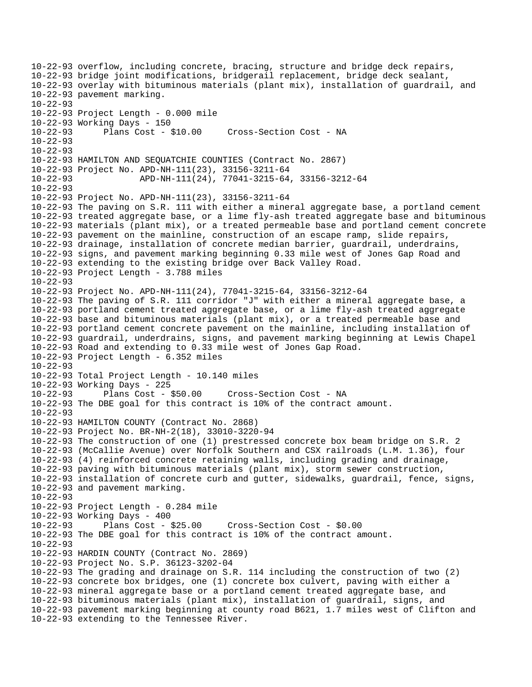10-22-93 overflow, including concrete, bracing, structure and bridge deck repairs, 10-22-93 bridge joint modifications, bridgerail replacement, bridge deck sealant, 10-22-93 overlay with bituminous materials (plant mix), installation of guardrail, and 10-22-93 pavement marking. 10-22-93 10-22-93 Project Length - 0.000 mile 10-22-93 Working Days - 150 10-22-93 Plans Cost - \$10.00 Cross-Section Cost - NA 10-22-93 10-22-93 10-22-93 HAMILTON AND SEQUATCHIE COUNTIES (Contract No. 2867) 10-22-93 Project No. APD-NH-111(23), 33156-3211-64 10-22-93 APD-NH-111(24), 77041-3215-64, 33156-3212-64 10-22-93 10-22-93 Project No. APD-NH-111(23), 33156-3211-64 10-22-93 The paving on S.R. 111 with either a mineral aggregate base, a portland cement 10-22-93 treated aggregate base, or a lime fly-ash treated aggregate base and bituminous 10-22-93 materials (plant mix), or a treated permeable base and portland cement concrete 10-22-93 pavement on the mainline, construction of an escape ramp, slide repairs, 10-22-93 drainage, installation of concrete median barrier, guardrail, underdrains, 10-22-93 signs, and pavement marking beginning 0.33 mile west of Jones Gap Road and 10-22-93 extending to the existing bridge over Back Valley Road. 10-22-93 Project Length - 3.788 miles 10-22-93 10-22-93 Project No. APD-NH-111(24), 77041-3215-64, 33156-3212-64 10-22-93 The paving of S.R. 111 corridor "J" with either a mineral aggregate base, a 10-22-93 portland cement treated aggregate base, or a lime fly-ash treated aggregate 10-22-93 base and bituminous materials (plant mix), or a treated permeable base and 10-22-93 portland cement concrete pavement on the mainline, including installation of 10-22-93 guardrail, underdrains, signs, and pavement marking beginning at Lewis Chapel 10-22-93 Road and extending to 0.33 mile west of Jones Gap Road. 10-22-93 Project Length - 6.352 miles 10-22-93 10-22-93 Total Project Length - 10.140 miles 10-22-93 Working Days - 225 10-22-93 Plans Cost - \$50.00 Cross-Section Cost - NA 10-22-93 The DBE goal for this contract is 10% of the contract amount. 10-22-93 10-22-93 HAMILTON COUNTY (Contract No. 2868) 10-22-93 Project No. BR-NH-2(18), 33010-3220-94 10-22-93 The construction of one (1) prestressed concrete box beam bridge on S.R. 2 10-22-93 (McCallie Avenue) over Norfolk Southern and CSX railroads (L.M. 1.36), four 10-22-93 (4) reinforced concrete retaining walls, including grading and drainage, 10-22-93 paving with bituminous materials (plant mix), storm sewer construction, 10-22-93 installation of concrete curb and gutter, sidewalks, guardrail, fence, signs, 10-22-93 and pavement marking. 10-22-93 10-22-93 Project Length - 0.284 mile 10-22-93 Working Days - 400 10-22-93 Plans Cost - \$25.00 Cross-Section Cost - \$0.00 10-22-93 The DBE goal for this contract is 10% of the contract amount. 10-22-93 10-22-93 HARDIN COUNTY (Contract No. 2869) 10-22-93 Project No. S.P. 36123-3202-04 10-22-93 The grading and drainage on S.R. 114 including the construction of two (2) 10-22-93 concrete box bridges, one (1) concrete box culvert, paving with either a 10-22-93 mineral aggregate base or a portland cement treated aggregate base, and 10-22-93 bituminous materials (plant mix), installation of guardrail, signs, and 10-22-93 pavement marking beginning at county road B621, 1.7 miles west of Clifton and 10-22-93 extending to the Tennessee River.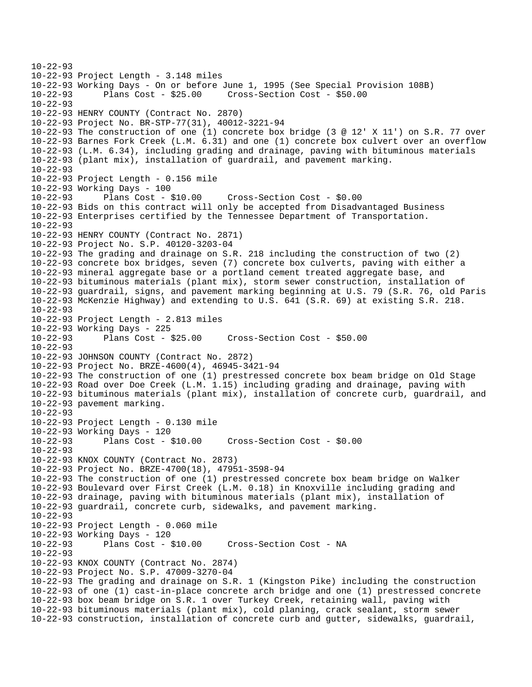```
10-22-93 
10-22-93 Project Length - 3.148 miles 
10-22-93 Working Days - On or before June 1, 1995 (See Special Provision 108B) 
10-22-93 Plans Cost - $25.00 Cross-Section Cost - $50.00 
10-22-93 
10-22-93 HENRY COUNTY (Contract No. 2870) 
10-22-93 Project No. BR-STP-77(31), 40012-3221-94 
10-22-93 The construction of one (1) concrete box bridge (3 @ 12' X 11') on S.R. 77 over 
10-22-93 Barnes Fork Creek (L.M. 6.31) and one (1) concrete box culvert over an overflow 
10-22-93 (L.M. 6.34), including grading and drainage, paving with bituminous materials 
10-22-93 (plant mix), installation of guardrail, and pavement marking. 
10-22-93 
10-22-93 Project Length - 0.156 mile 
10-22-93 Working Days - 100 
10-22-93 Plans Cost - $10.00 Cross-Section Cost - $0.00 
10-22-93 Bids on this contract will only be accepted from Disadvantaged Business 
10-22-93 Enterprises certified by the Tennessee Department of Transportation. 
10-22-93 
10-22-93 HENRY COUNTY (Contract No. 2871) 
10-22-93 Project No. S.P. 40120-3203-04 
10-22-93 The grading and drainage on S.R. 218 including the construction of two (2) 
10-22-93 concrete box bridges, seven (7) concrete box culverts, paving with either a 
10-22-93 mineral aggregate base or a portland cement treated aggregate base, and 
10-22-93 bituminous materials (plant mix), storm sewer construction, installation of 
10-22-93 guardrail, signs, and pavement marking beginning at U.S. 79 (S.R. 76, old Paris 
10-22-93 McKenzie Highway) and extending to U.S. 641 (S.R. 69) at existing S.R. 218. 
10-22-93 
10-22-93 Project Length - 2.813 miles 
10-22-93 Working Days - 225 
10-22-93 Plans Cost - $25.00 Cross-Section Cost - $50.00 
10-22-93 
10-22-93 JOHNSON COUNTY (Contract No. 2872) 
10-22-93 Project No. BRZE-4600(4), 46945-3421-94 
10-22-93 The construction of one (1) prestressed concrete box beam bridge on Old Stage 
10-22-93 Road over Doe Creek (L.M. 1.15) including grading and drainage, paving with 
10-22-93 bituminous materials (plant mix), installation of concrete curb, guardrail, and 
10-22-93 pavement marking. 
10-22-93 
10-22-93 Project Length - 0.130 mile 
10-22-93 Working Days - 120 
10-22-93 Plans Cost - $10.00 Cross-Section Cost - $0.00 
10-22-93 
10-22-93 KNOX COUNTY (Contract No. 2873) 
10-22-93 Project No. BRZE-4700(18), 47951-3598-94 
10-22-93 The construction of one (1) prestressed concrete box beam bridge on Walker 
10-22-93 Boulevard over First Creek (L.M. 0.18) in Knoxville including grading and 
10-22-93 drainage, paving with bituminous materials (plant mix), installation of 
10-22-93 guardrail, concrete curb, sidewalks, and pavement marking. 
10-22-93 
10-22-93 Project Length - 0.060 mile 
10-22-93 Working Days - 120 
10-22-93 Plans Cost - $10.00 Cross-Section Cost - NA 
10-22-93 
10-22-93 KNOX COUNTY (Contract No. 2874) 
10-22-93 Project No. S.P. 47009-3270-04 
10-22-93 The grading and drainage on S.R. 1 (Kingston Pike) including the construction 
10-22-93 of one (1) cast-in-place concrete arch bridge and one (1) prestressed concrete 
10-22-93 box beam bridge on S.R. 1 over Turkey Creek, retaining wall, paving with 
10-22-93 bituminous materials (plant mix), cold planing, crack sealant, storm sewer 
10-22-93 construction, installation of concrete curb and gutter, sidewalks, guardrail,
```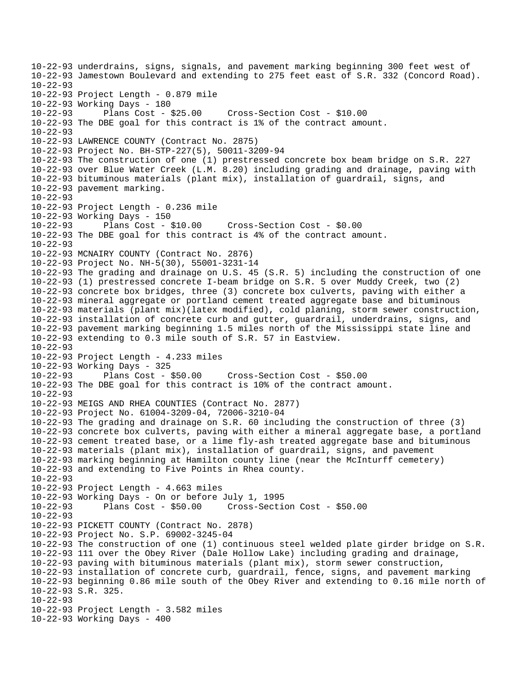10-22-93 underdrains, signs, signals, and pavement marking beginning 300 feet west of 10-22-93 Jamestown Boulevard and extending to 275 feet east of S.R. 332 (Concord Road).  $10 - 22 - 93$ 10-22-93 Project Length - 0.879 mile 10-22-93 Working Days - 180 10-22-93 Plans Cost - \$25.00 Cross-Section Cost - \$10.00 10-22-93 The DBE goal for this contract is 1% of the contract amount. 10-22-93 10-22-93 LAWRENCE COUNTY (Contract No. 2875) 10-22-93 Project No. BH-STP-227(5), 50011-3209-94 10-22-93 The construction of one (1) prestressed concrete box beam bridge on S.R. 227 10-22-93 over Blue Water Creek (L.M. 8.20) including grading and drainage, paving with 10-22-93 bituminous materials (plant mix), installation of guardrail, signs, and 10-22-93 pavement marking. 10-22-93 10-22-93 Project Length - 0.236 mile 10-22-93 Working Days - 150 10-22-93 Plans Cost - \$10.00 Cross-Section Cost - \$0.00 10-22-93 The DBE goal for this contract is 4% of the contract amount. 10-22-93 10-22-93 MCNAIRY COUNTY (Contract No. 2876) 10-22-93 Project No. NH-5(30), 55001-3231-14 10-22-93 The grading and drainage on U.S. 45 (S.R. 5) including the construction of one 10-22-93 (1) prestressed concrete I-beam bridge on S.R. 5 over Muddy Creek, two (2) 10-22-93 concrete box bridges, three (3) concrete box culverts, paving with either a 10-22-93 mineral aggregate or portland cement treated aggregate base and bituminous 10-22-93 materials (plant mix)(latex modified), cold planing, storm sewer construction, 10-22-93 installation of concrete curb and gutter, guardrail, underdrains, signs, and 10-22-93 pavement marking beginning 1.5 miles north of the Mississippi state line and 10-22-93 extending to 0.3 mile south of S.R. 57 in Eastview. 10-22-93 10-22-93 Project Length - 4.233 miles 10-22-93 Working Days - 325 10-22-93 Plans Cost - \$50.00 Cross-Section Cost - \$50.00 10-22-93 The DBE goal for this contract is 10% of the contract amount.  $10 - 22 - 93$ 10-22-93 MEIGS AND RHEA COUNTIES (Contract No. 2877) 10-22-93 Project No. 61004-3209-04, 72006-3210-04 10-22-93 The grading and drainage on S.R. 60 including the construction of three (3) 10-22-93 concrete box culverts, paving with either a mineral aggregate base, a portland 10-22-93 cement treated base, or a lime fly-ash treated aggregate base and bituminous 10-22-93 materials (plant mix), installation of guardrail, signs, and pavement 10-22-93 marking beginning at Hamilton county line (near the McInturff cemetery) 10-22-93 and extending to Five Points in Rhea county. 10-22-93 10-22-93 Project Length - 4.663 miles 10-22-93 Working Days - On or before July 1, 1995 10-22-93 Plans Cost - \$50.00 Cross-Section Cost - \$50.00 10-22-93 10-22-93 PICKETT COUNTY (Contract No. 2878) 10-22-93 Project No. S.P. 69002-3245-04 10-22-93 The construction of one (1) continuous steel welded plate girder bridge on S.R. 10-22-93 111 over the Obey River (Dale Hollow Lake) including grading and drainage, 10-22-93 paving with bituminous materials (plant mix), storm sewer construction, 10-22-93 installation of concrete curb, guardrail, fence, signs, and pavement marking 10-22-93 beginning 0.86 mile south of the Obey River and extending to 0.16 mile north of 10-22-93 S.R. 325. 10-22-93 10-22-93 Project Length - 3.582 miles 10-22-93 Working Days - 400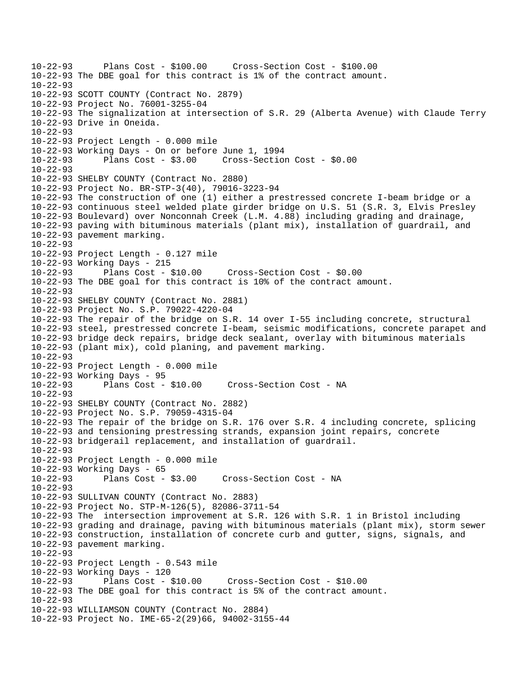```
10-22-93 Plans Cost - $100.00 Cross-Section Cost - $100.00 
10-22-93 The DBE goal for this contract is 1% of the contract amount. 
10 - 22 - 9310-22-93 SCOTT COUNTY (Contract No. 2879) 
10-22-93 Project No. 76001-3255-04 
10-22-93 The signalization at intersection of S.R. 29 (Alberta Avenue) with Claude Terry 
10-22-93 Drive in Oneida. 
10-22-93 
10-22-93 Project Length - 0.000 mile 
10-22-93 Working Days - On or before June 1, 1994 
10-22-93 Plans Cost - $3.00 Cross-Section Cost - $0.00 
10-22-93 
10-22-93 SHELBY COUNTY (Contract No. 2880) 
10-22-93 Project No. BR-STP-3(40), 79016-3223-94 
10-22-93 The construction of one (1) either a prestressed concrete I-beam bridge or a 
10-22-93 continuous steel welded plate girder bridge on U.S. 51 (S.R. 3, Elvis Presley 
10-22-93 Boulevard) over Nonconnah Creek (L.M. 4.88) including grading and drainage, 
10-22-93 paving with bituminous materials (plant mix), installation of guardrail, and 
10-22-93 pavement marking. 
10-22-93 
10-22-93 Project Length - 0.127 mile 
10-22-93 Working Days - 215 
10-22-93 Plans Cost - $10.00 Cross-Section Cost - $0.00 
10-22-93 The DBE goal for this contract is 10% of the contract amount. 
10-22-93 
10-22-93 SHELBY COUNTY (Contract No. 2881) 
10-22-93 Project No. S.P. 79022-4220-04 
10-22-93 The repair of the bridge on S.R. 14 over I-55 including concrete, structural 
10-22-93 steel, prestressed concrete I-beam, seismic modifications, concrete parapet and 
10-22-93 bridge deck repairs, bridge deck sealant, overlay with bituminous materials 
10-22-93 (plant mix), cold planing, and pavement marking. 
10-22-93 
10-22-93 Project Length - 0.000 mile 
10-22-93 Working Days - 95 
                                    Cross-Section Cost - NA
10 - 22 - 9310-22-93 SHELBY COUNTY (Contract No. 2882) 
10-22-93 Project No. S.P. 79059-4315-04 
10-22-93 The repair of the bridge on S.R. 176 over S.R. 4 including concrete, splicing 
10-22-93 and tensioning prestressing strands, expansion joint repairs, concrete 
10-22-93 bridgerail replacement, and installation of guardrail. 
10-22-93 
10-22-93 Project Length - 0.000 mile 
10-22-93 Working Days - 65 
10-22-93 Plans Cost - $3.00 Cross-Section Cost - NA 
10-22-93 
10-22-93 SULLIVAN COUNTY (Contract No. 2883) 
10-22-93 Project No. STP-M-126(5), 82086-3711-54 
10-22-93 The intersection improvement at S.R. 126 with S.R. 1 in Bristol including 
10-22-93 grading and drainage, paving with bituminous materials (plant mix), storm sewer 
10-22-93 construction, installation of concrete curb and gutter, signs, signals, and 
10-22-93 pavement marking. 
10-22-93 
10-22-93 Project Length - 0.543 mile 
10-22-93 Working Days - 120 
10-22-93 Plans Cost - $10.00 Cross-Section Cost - $10.00 
10-22-93 The DBE goal for this contract is 5% of the contract amount. 
10-22-93 
10-22-93 WILLIAMSON COUNTY (Contract No. 2884) 
10-22-93 Project No. IME-65-2(29)66, 94002-3155-44
```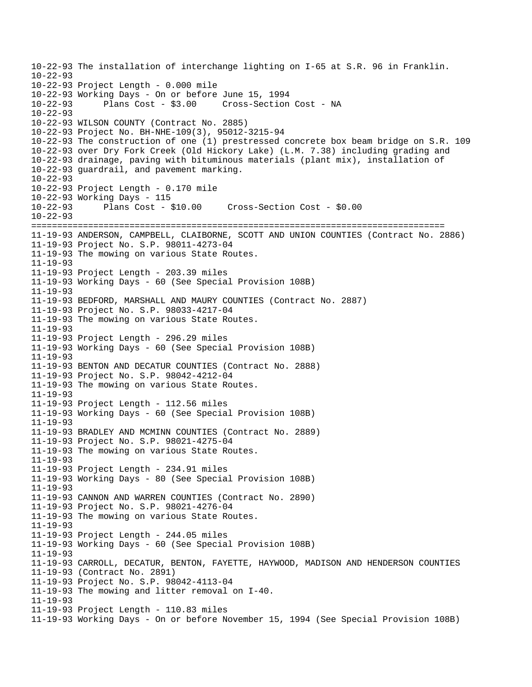10-22-93 The installation of interchange lighting on I-65 at S.R. 96 in Franklin.  $10 - 22 - 93$ 10-22-93 Project Length - 0.000 mile 10-22-93 Working Days - On or before June 15, 1994 10-22-93 Plans Cost - \$3.00 Cross-Section Cost - NA 10-22-93 10-22-93 WILSON COUNTY (Contract No. 2885) 10-22-93 Project No. BH-NHE-109(3), 95012-3215-94 10-22-93 The construction of one (1) prestressed concrete box beam bridge on S.R. 109 10-22-93 over Dry Fork Creek (Old Hickory Lake) (L.M. 7.38) including grading and 10-22-93 drainage, paving with bituminous materials (plant mix), installation of 10-22-93 guardrail, and pavement marking.  $10 - 22 - 93$ 10-22-93 Project Length - 0.170 mile 10-22-93 Working Days - 115 10-22-93 Plans Cost - \$10.00 Cross-Section Cost - \$0.00 10-22-93 ================================================================================ 11-19-93 ANDERSON, CAMPBELL, CLAIBORNE, SCOTT AND UNION COUNTIES (Contract No. 2886) 11-19-93 Project No. S.P. 98011-4273-04 11-19-93 The mowing on various State Routes. 11-19-93 11-19-93 Project Length - 203.39 miles 11-19-93 Working Days - 60 (See Special Provision 108B) 11-19-93 11-19-93 BEDFORD, MARSHALL AND MAURY COUNTIES (Contract No. 2887) 11-19-93 Project No. S.P. 98033-4217-04 11-19-93 The mowing on various State Routes. 11-19-93 11-19-93 Project Length - 296.29 miles 11-19-93 Working Days - 60 (See Special Provision 108B) 11-19-93 11-19-93 BENTON AND DECATUR COUNTIES (Contract No. 2888) 11-19-93 Project No. S.P. 98042-4212-04 11-19-93 The mowing on various State Routes. 11-19-93 11-19-93 Project Length - 112.56 miles 11-19-93 Working Days - 60 (See Special Provision 108B) 11-19-93 11-19-93 BRADLEY AND MCMINN COUNTIES (Contract No. 2889) 11-19-93 Project No. S.P. 98021-4275-04 11-19-93 The mowing on various State Routes. 11-19-93 11-19-93 Project Length - 234.91 miles 11-19-93 Working Days - 80 (See Special Provision 108B) 11-19-93 11-19-93 CANNON AND WARREN COUNTIES (Contract No. 2890) 11-19-93 Project No. S.P. 98021-4276-04 11-19-93 The mowing on various State Routes. 11-19-93 11-19-93 Project Length - 244.05 miles 11-19-93 Working Days - 60 (See Special Provision 108B) 11-19-93 11-19-93 CARROLL, DECATUR, BENTON, FAYETTE, HAYWOOD, MADISON AND HENDERSON COUNTIES 11-19-93 (Contract No. 2891) 11-19-93 Project No. S.P. 98042-4113-04 11-19-93 The mowing and litter removal on I-40. 11-19-93 11-19-93 Project Length - 110.83 miles 11-19-93 Working Days - On or before November 15, 1994 (See Special Provision 108B)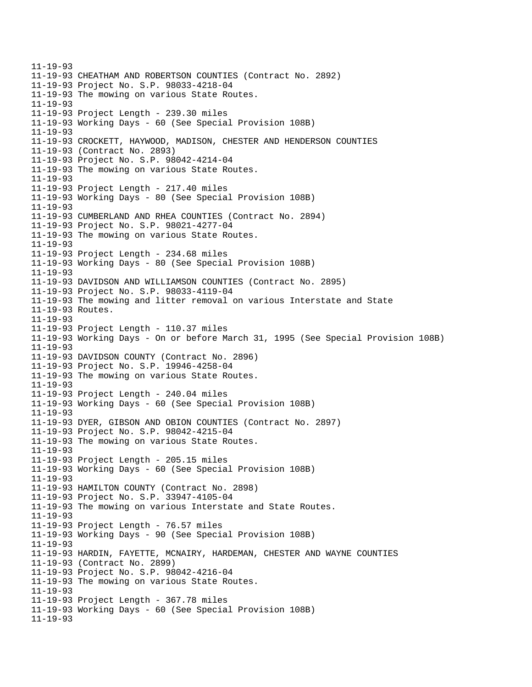11-19-93 11-19-93 CHEATHAM AND ROBERTSON COUNTIES (Contract No. 2892) 11-19-93 Project No. S.P. 98033-4218-04 11-19-93 The mowing on various State Routes. 11-19-93 11-19-93 Project Length - 239.30 miles 11-19-93 Working Days - 60 (See Special Provision 108B) 11-19-93 11-19-93 CROCKETT, HAYWOOD, MADISON, CHESTER AND HENDERSON COUNTIES 11-19-93 (Contract No. 2893) 11-19-93 Project No. S.P. 98042-4214-04 11-19-93 The mowing on various State Routes. 11-19-93 11-19-93 Project Length - 217.40 miles 11-19-93 Working Days - 80 (See Special Provision 108B) 11-19-93 11-19-93 CUMBERLAND AND RHEA COUNTIES (Contract No. 2894) 11-19-93 Project No. S.P. 98021-4277-04 11-19-93 The mowing on various State Routes. 11-19-93 11-19-93 Project Length - 234.68 miles 11-19-93 Working Days - 80 (See Special Provision 108B) 11-19-93 11-19-93 DAVIDSON AND WILLIAMSON COUNTIES (Contract No. 2895) 11-19-93 Project No. S.P. 98033-4119-04 11-19-93 The mowing and litter removal on various Interstate and State 11-19-93 Routes. 11-19-93 11-19-93 Project Length - 110.37 miles 11-19-93 Working Days - On or before March 31, 1995 (See Special Provision 108B) 11-19-93 11-19-93 DAVIDSON COUNTY (Contract No. 2896) 11-19-93 Project No. S.P. 19946-4258-04 11-19-93 The mowing on various State Routes. 11-19-93 11-19-93 Project Length - 240.04 miles 11-19-93 Working Days - 60 (See Special Provision 108B) 11-19-93 11-19-93 DYER, GIBSON AND OBION COUNTIES (Contract No. 2897) 11-19-93 Project No. S.P. 98042-4215-04 11-19-93 The mowing on various State Routes. 11-19-93 11-19-93 Project Length - 205.15 miles 11-19-93 Working Days - 60 (See Special Provision 108B) 11-19-93 11-19-93 HAMILTON COUNTY (Contract No. 2898) 11-19-93 Project No. S.P. 33947-4105-04 11-19-93 The mowing on various Interstate and State Routes. 11-19-93 11-19-93 Project Length - 76.57 miles 11-19-93 Working Days - 90 (See Special Provision 108B) 11-19-93 11-19-93 HARDIN, FAYETTE, MCNAIRY, HARDEMAN, CHESTER AND WAYNE COUNTIES 11-19-93 (Contract No. 2899) 11-19-93 Project No. S.P. 98042-4216-04 11-19-93 The mowing on various State Routes. 11-19-93 11-19-93 Project Length - 367.78 miles 11-19-93 Working Days - 60 (See Special Provision 108B) 11-19-93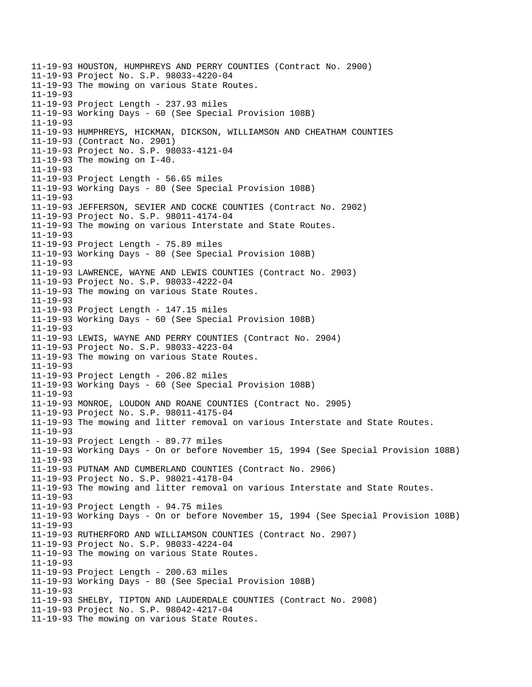11-19-93 HOUSTON, HUMPHREYS AND PERRY COUNTIES (Contract No. 2900) 11-19-93 Project No. S.P. 98033-4220-04 11-19-93 The mowing on various State Routes. 11-19-93 11-19-93 Project Length - 237.93 miles 11-19-93 Working Days - 60 (See Special Provision 108B) 11-19-93 11-19-93 HUMPHREYS, HICKMAN, DICKSON, WILLIAMSON AND CHEATHAM COUNTIES 11-19-93 (Contract No. 2901) 11-19-93 Project No. S.P. 98033-4121-04 11-19-93 The mowing on I-40. 11-19-93 11-19-93 Project Length - 56.65 miles 11-19-93 Working Days - 80 (See Special Provision 108B) 11-19-93 11-19-93 JEFFERSON, SEVIER AND COCKE COUNTIES (Contract No. 2902) 11-19-93 Project No. S.P. 98011-4174-04 11-19-93 The mowing on various Interstate and State Routes. 11-19-93 11-19-93 Project Length - 75.89 miles 11-19-93 Working Days - 80 (See Special Provision 108B) 11-19-93 11-19-93 LAWRENCE, WAYNE AND LEWIS COUNTIES (Contract No. 2903) 11-19-93 Project No. S.P. 98033-4222-04 11-19-93 The mowing on various State Routes. 11-19-93 11-19-93 Project Length - 147.15 miles 11-19-93 Working Days - 60 (See Special Provision 108B) 11-19-93 11-19-93 LEWIS, WAYNE AND PERRY COUNTIES (Contract No. 2904) 11-19-93 Project No. S.P. 98033-4223-04 11-19-93 The mowing on various State Routes. 11-19-93 11-19-93 Project Length - 206.82 miles 11-19-93 Working Days - 60 (See Special Provision 108B) 11-19-93 11-19-93 MONROE, LOUDON AND ROANE COUNTIES (Contract No. 2905) 11-19-93 Project No. S.P. 98011-4175-04 11-19-93 The mowing and litter removal on various Interstate and State Routes. 11-19-93 11-19-93 Project Length - 89.77 miles 11-19-93 Working Days - On or before November 15, 1994 (See Special Provision 108B) 11-19-93 11-19-93 PUTNAM AND CUMBERLAND COUNTIES (Contract No. 2906) 11-19-93 Project No. S.P. 98021-4178-04 11-19-93 The mowing and litter removal on various Interstate and State Routes. 11-19-93 11-19-93 Project Length - 94.75 miles 11-19-93 Working Days - On or before November 15, 1994 (See Special Provision 108B) 11-19-93 11-19-93 RUTHERFORD AND WILLIAMSON COUNTIES (Contract No. 2907) 11-19-93 Project No. S.P. 98033-4224-04 11-19-93 The mowing on various State Routes. 11-19-93 11-19-93 Project Length - 200.63 miles 11-19-93 Working Days - 80 (See Special Provision 108B) 11-19-93 11-19-93 SHELBY, TIPTON AND LAUDERDALE COUNTIES (Contract No. 2908) 11-19-93 Project No. S.P. 98042-4217-04 11-19-93 The mowing on various State Routes.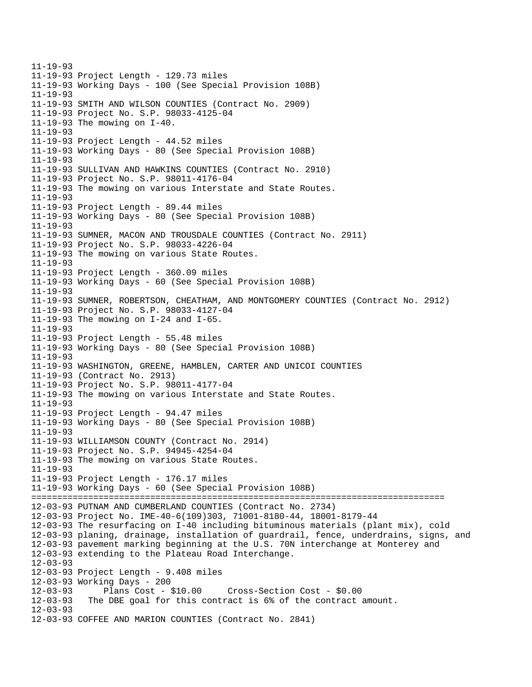11-19-93 11-19-93 Project Length - 129.73 miles 11-19-93 Working Days - 100 (See Special Provision 108B) 11-19-93 11-19-93 SMITH AND WILSON COUNTIES (Contract No. 2909) 11-19-93 Project No. S.P. 98033-4125-04 11-19-93 The mowing on I-40. 11-19-93 11-19-93 Project Length - 44.52 miles 11-19-93 Working Days - 80 (See Special Provision 108B) 11-19-93 11-19-93 SULLIVAN AND HAWKINS COUNTIES (Contract No. 2910) 11-19-93 Project No. S.P. 98011-4176-04 11-19-93 The mowing on various Interstate and State Routes. 11-19-93 11-19-93 Project Length - 89.44 miles 11-19-93 Working Days - 80 (See Special Provision 108B) 11-19-93 11-19-93 SUMNER, MACON AND TROUSDALE COUNTIES (Contract No. 2911) 11-19-93 Project No. S.P. 98033-4226-04 11-19-93 The mowing on various State Routes. 11-19-93 11-19-93 Project Length - 360.09 miles 11-19-93 Working Days - 60 (See Special Provision 108B) 11-19-93 11-19-93 SUMNER, ROBERTSON, CHEATHAM, AND MONTGOMERY COUNTIES (Contract No. 2912) 11-19-93 Project No. S.P. 98033-4127-04 11-19-93 The mowing on I-24 and I-65. 11-19-93 11-19-93 Project Length - 55.48 miles 11-19-93 Working Days - 80 (See Special Provision 108B) 11-19-93 11-19-93 WASHINGTON, GREENE, HAMBLEN, CARTER AND UNICOI COUNTIES 11-19-93 (Contract No. 2913) 11-19-93 Project No. S.P. 98011-4177-04 11-19-93 The mowing on various Interstate and State Routes. 11-19-93 11-19-93 Project Length - 94.47 miles 11-19-93 Working Days - 80 (See Special Provision 108B) 11-19-93 11-19-93 WILLIAMSON COUNTY (Contract No. 2914) 11-19-93 Project No. S.P. 94945-4254-04 11-19-93 The mowing on various State Routes. 11-19-93 11-19-93 Project Length - 176.17 miles 11-19-93 Working Days - 60 (See Special Provision 108B) ================================================================================ 12-03-93 PUTNAM AND CUMBERLAND COUNTIES (Contract No. 2734) 12-03-93 Project No. IME-40-6(109)303, 71001-8180-44, 18001-8179-44 12-03-93 The resurfacing on I-40 including bituminous materials (plant mix), cold 12-03-93 planing, drainage, installation of guardrail, fence, underdrains, signs, and 12-03-93 pavement marking beginning at the U.S. 70N interchange at Monterey and 12-03-93 extending to the Plateau Road Interchange. 12-03-93 12-03-93 Project Length - 9.408 miles 12-03-93 Working Days - 200 12-03-93 Plans Cost - \$10.00 Cross-Section Cost - \$0.00 The DBE goal for this contract is 6% of the contract amount. 12-03-93 12-03-93 COFFEE AND MARION COUNTIES (Contract No. 2841)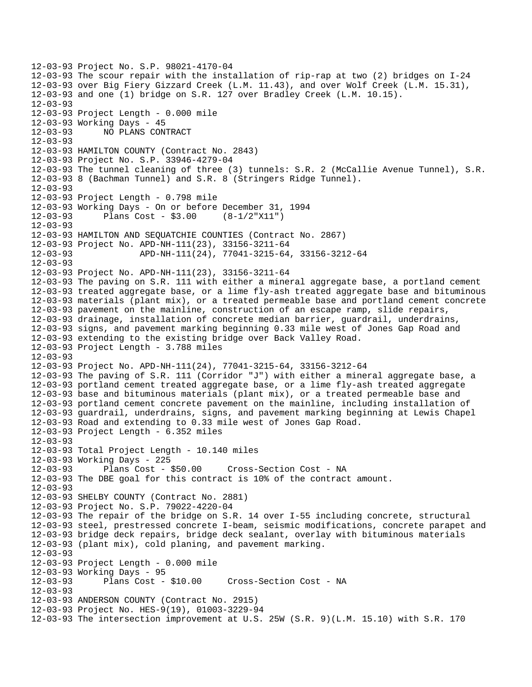12-03-93 Project No. S.P. 98021-4170-04 12-03-93 The scour repair with the installation of rip-rap at two (2) bridges on I-24 12-03-93 over Big Fiery Gizzard Creek (L.M. 11.43), and over Wolf Creek (L.M. 15.31), 12-03-93 and one (1) bridge on S.R. 127 over Bradley Creek (L.M. 10.15). 12-03-93 12-03-93 Project Length - 0.000 mile 12-03-93 Working Days - 45 12-03-93 NO PLANS CONTRACT 12-03-93 12-03-93 HAMILTON COUNTY (Contract No. 2843) 12-03-93 Project No. S.P. 33946-4279-04 12-03-93 The tunnel cleaning of three (3) tunnels: S.R. 2 (McCallie Avenue Tunnel), S.R. 12-03-93 8 (Bachman Tunnel) and S.R. 8 (Stringers Ridge Tunnel). 12-03-93 12-03-93 Project Length - 0.798 mile 12-03-93 Working Days - On or before December 31, 1994 12-03-93 Plans Cost - \$3.00 (8-1/2"X11") 12-03-93 12-03-93 HAMILTON AND SEQUATCHIE COUNTIES (Contract No. 2867) 12-03-93 Project No. APD-NH-111(23), 33156-3211-64 12-03-93 APD-NH-111(24), 77041-3215-64, 33156-3212-64 12-03-93 12-03-93 Project No. APD-NH-111(23), 33156-3211-64 12-03-93 The paving on S.R. 111 with either a mineral aggregate base, a portland cement 12-03-93 treated aggregate base, or a lime fly-ash treated aggregate base and bituminous 12-03-93 materials (plant mix), or a treated permeable base and portland cement concrete 12-03-93 pavement on the mainline, construction of an escape ramp, slide repairs, 12-03-93 drainage, installation of concrete median barrier, guardrail, underdrains, 12-03-93 signs, and pavement marking beginning 0.33 mile west of Jones Gap Road and 12-03-93 extending to the existing bridge over Back Valley Road. 12-03-93 Project Length - 3.788 miles 12-03-93 12-03-93 Project No. APD-NH-111(24), 77041-3215-64, 33156-3212-64 12-03-93 The paving of S.R. 111 (Corridor "J") with either a mineral aggregate base, a 12-03-93 portland cement treated aggregate base, or a lime fly-ash treated aggregate 12-03-93 base and bituminous materials (plant mix), or a treated permeable base and 12-03-93 portland cement concrete pavement on the mainline, including installation of 12-03-93 guardrail, underdrains, signs, and pavement marking beginning at Lewis Chapel 12-03-93 Road and extending to 0.33 mile west of Jones Gap Road. 12-03-93 Project Length - 6.352 miles 12-03-93 12-03-93 Total Project Length - 10.140 miles 12-03-93 Working Days - 225 12-03-93 Plans Cost - \$50.00 Cross-Section Cost - NA 12-03-93 The DBE goal for this contract is 10% of the contract amount. 12-03-93 12-03-93 SHELBY COUNTY (Contract No. 2881) 12-03-93 Project No. S.P. 79022-4220-04 12-03-93 The repair of the bridge on S.R. 14 over I-55 including concrete, structural 12-03-93 steel, prestressed concrete I-beam, seismic modifications, concrete parapet and 12-03-93 bridge deck repairs, bridge deck sealant, overlay with bituminous materials 12-03-93 (plant mix), cold planing, and pavement marking. 12-03-93 12-03-93 Project Length - 0.000 mile 12-03-93 Working Days - 95<br>12-03-93 Plans Cost - \$10.00 12-03-93 Plans Cost - \$10.00 Cross-Section Cost - NA 12-03-93 12-03-93 ANDERSON COUNTY (Contract No. 2915) 12-03-93 Project No. HES-9(19), 01003-3229-94 12-03-93 The intersection improvement at U.S. 25W (S.R. 9)(L.M. 15.10) with S.R. 170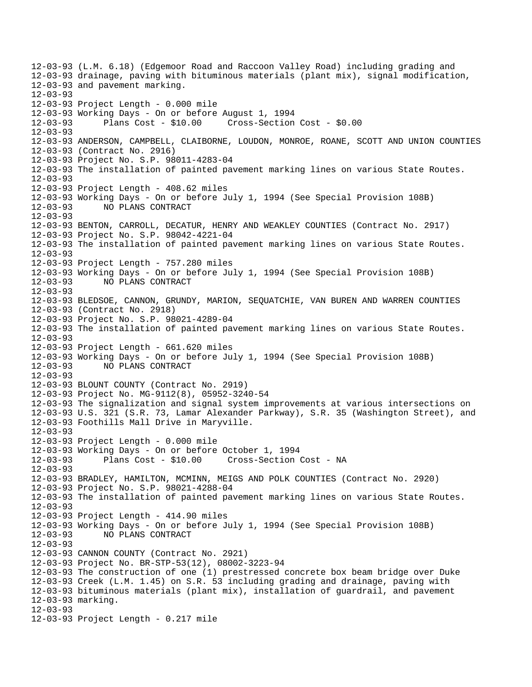12-03-93 (L.M. 6.18) (Edgemoor Road and Raccoon Valley Road) including grading and 12-03-93 drainage, paving with bituminous materials (plant mix), signal modification, 12-03-93 and pavement marking. 12-03-93 12-03-93 Project Length - 0.000 mile 12-03-93 Working Days - On or before August 1, 1994 12-03-93 Plans Cost - \$10.00 Cross-Section Cost - \$0.00 12-03-93 12-03-93 ANDERSON, CAMPBELL, CLAIBORNE, LOUDON, MONROE, ROANE, SCOTT AND UNION COUNTIES 12-03-93 (Contract No. 2916) 12-03-93 Project No. S.P. 98011-4283-04 12-03-93 The installation of painted pavement marking lines on various State Routes.  $12 - 03 - 93$ 12-03-93 Project Length - 408.62 miles 12-03-93 Working Days - On or before July 1, 1994 (See Special Provision 108B) 12-03-93 NO PLANS CONTRACT 12-03-93 12-03-93 BENTON, CARROLL, DECATUR, HENRY AND WEAKLEY COUNTIES (Contract No. 2917) 12-03-93 Project No. S.P. 98042-4221-04 12-03-93 The installation of painted pavement marking lines on various State Routes. 12-03-93 12-03-93 Project Length - 757.280 miles 12-03-93 Working Days - On or before July 1, 1994 (See Special Provision 108B) 12-03-93 NO PLANS CONTRACT 12-03-93 12-03-93 BLEDSOE, CANNON, GRUNDY, MARION, SEQUATCHIE, VAN BUREN AND WARREN COUNTIES 12-03-93 (Contract No. 2918) 12-03-93 Project No. S.P. 98021-4289-04 12-03-93 The installation of painted pavement marking lines on various State Routes. 12-03-93 12-03-93 Project Length - 661.620 miles 12-03-93 Working Days - On or before July 1, 1994 (See Special Provision 108B) 12-03-93 NO PLANS CONTRACT 12-03-93 12-03-93 BLOUNT COUNTY (Contract No. 2919) 12-03-93 Project No. MG-9112(8), 05952-3240-54 12-03-93 The signalization and signal system improvements at various intersections on 12-03-93 U.S. 321 (S.R. 73, Lamar Alexander Parkway), S.R. 35 (Washington Street), and 12-03-93 Foothills Mall Drive in Maryville. 12-03-93 12-03-93 Project Length - 0.000 mile 12-03-93 Working Days - On or before October 1, 1994 12-03-93 Plans Cost - \$10.00 Cross-Section Cost - NA 12-03-93 12-03-93 BRADLEY, HAMILTON, MCMINN, MEIGS AND POLK COUNTIES (Contract No. 2920) 12-03-93 Project No. S.P. 98021-4288-04 12-03-93 The installation of painted pavement marking lines on various State Routes. 12-03-93 12-03-93 Project Length - 414.90 miles 12-03-93 Working Days - On or before July 1, 1994 (See Special Provision 108B) 12-03-93 NO PLANS CONTRACT 12-03-93 12-03-93 CANNON COUNTY (Contract No. 2921) 12-03-93 Project No. BR-STP-53(12), 08002-3223-94 12-03-93 The construction of one (1) prestressed concrete box beam bridge over Duke 12-03-93 Creek (L.M. 1.45) on S.R. 53 including grading and drainage, paving with 12-03-93 bituminous materials (plant mix), installation of guardrail, and pavement 12-03-93 marking. 12-03-93 12-03-93 Project Length - 0.217 mile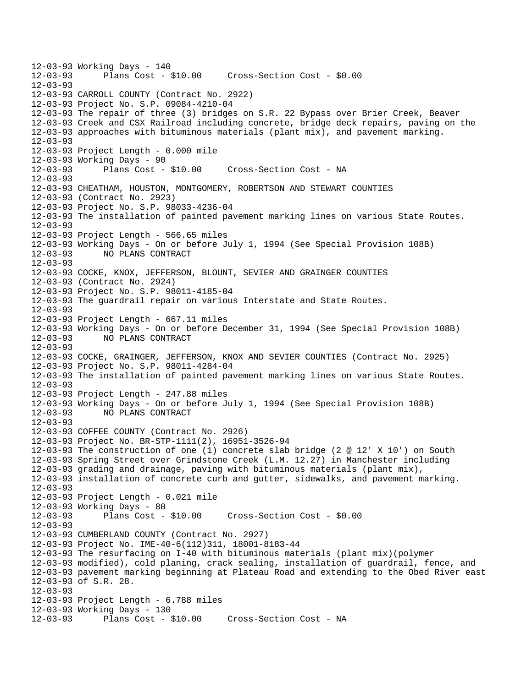12-03-93 Working Days - 140 Plans Cost - \$10.00 Cross-Section Cost - \$0.00 12-03-93 12-03-93 CARROLL COUNTY (Contract No. 2922) 12-03-93 Project No. S.P. 09084-4210-04 12-03-93 The repair of three (3) bridges on S.R. 22 Bypass over Brier Creek, Beaver 12-03-93 Creek and CSX Railroad including concrete, bridge deck repairs, paving on the 12-03-93 approaches with bituminous materials (plant mix), and pavement marking. 12-03-93 12-03-93 Project Length - 0.000 mile 12-03-93 Working Days - 90 12-03-93 Plans Cost - \$10.00 Cross-Section Cost - NA  $12 - 03 - 93$ 12-03-93 CHEATHAM, HOUSTON, MONTGOMERY, ROBERTSON AND STEWART COUNTIES 12-03-93 (Contract No. 2923) 12-03-93 Project No. S.P. 98033-4236-04 12-03-93 The installation of painted pavement marking lines on various State Routes. 12-03-93 12-03-93 Project Length - 566.65 miles 12-03-93 Working Days - On or before July 1, 1994 (See Special Provision 108B) 12-03-93 NO PLANS CONTRACT 12-03-93 12-03-93 COCKE, KNOX, JEFFERSON, BLOUNT, SEVIER AND GRAINGER COUNTIES 12-03-93 (Contract No. 2924) 12-03-93 Project No. S.P. 98011-4185-04 12-03-93 The guardrail repair on various Interstate and State Routes. 12-03-93 12-03-93 Project Length - 667.11 miles 12-03-93 Working Days - On or before December 31, 1994 (See Special Provision 108B) 12-03-93 NO PLANS CONTRACT 12-03-93 12-03-93 COCKE, GRAINGER, JEFFERSON, KNOX AND SEVIER COUNTIES (Contract No. 2925) 12-03-93 Project No. S.P. 98011-4284-04 12-03-93 The installation of painted pavement marking lines on various State Routes. 12-03-93 12-03-93 Project Length - 247.88 miles 12-03-93 Working Days - On or before July 1, 1994 (See Special Provision 108B) 12-03-93 NO PLANS CONTRACT 12-03-93 12-03-93 COFFEE COUNTY (Contract No. 2926) 12-03-93 Project No. BR-STP-1111(2), 16951-3526-94 12-03-93 The construction of one (1) concrete slab bridge (2 @ 12' X 10') on South 12-03-93 Spring Street over Grindstone Creek (L.M. 12.27) in Manchester including 12-03-93 grading and drainage, paving with bituminous materials (plant mix), 12-03-93 installation of concrete curb and gutter, sidewalks, and pavement marking. 12-03-93 12-03-93 Project Length - 0.021 mile 12-03-93 Working Days - 80 12-03-93 Plans Cost - \$10.00 Cross-Section Cost - \$0.00 12-03-93 12-03-93 CUMBERLAND COUNTY (Contract No. 2927) 12-03-93 Project No. IME-40-6(112)311, 18001-8183-44 12-03-93 The resurfacing on I-40 with bituminous materials (plant mix)(polymer 12-03-93 modified), cold planing, crack sealing, installation of guardrail, fence, and 12-03-93 pavement marking beginning at Plateau Road and extending to the Obed River east 12-03-93 of S.R. 28. 12-03-93 12-03-93 Project Length - 6.788 miles 12-03-93 Working Days - 130 12-03-93 Plans Cost - \$10.00 Cross-Section Cost - NA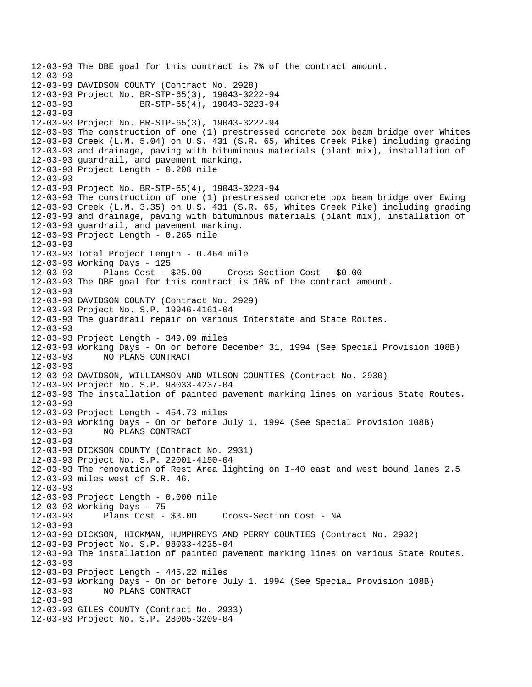12-03-93 The DBE goal for this contract is 7% of the contract amount.  $12 - 03 - 93$ 12-03-93 DAVIDSON COUNTY (Contract No. 2928) 12-03-93 Project No. BR-STP-65(3), 19043-3222-94 12-03-93 BR-STP-65(4), 19043-3223-94 12-03-93 12-03-93 Project No. BR-STP-65(3), 19043-3222-94 12-03-93 The construction of one (1) prestressed concrete box beam bridge over Whites 12-03-93 Creek (L.M. 5.04) on U.S. 431 (S.R. 65, Whites Creek Pike) including grading 12-03-93 and drainage, paving with bituminous materials (plant mix), installation of 12-03-93 guardrail, and pavement marking. 12-03-93 Project Length - 0.208 mile  $12 - 03 - 93$ 12-03-93 Project No. BR-STP-65(4), 19043-3223-94 12-03-93 The construction of one (1) prestressed concrete box beam bridge over Ewing 12-03-93 Creek (L.M. 3.35) on U.S. 431 (S.R. 65, Whites Creek Pike) including grading 12-03-93 and drainage, paving with bituminous materials (plant mix), installation of 12-03-93 guardrail, and pavement marking. 12-03-93 Project Length - 0.265 mile 12-03-93 12-03-93 Total Project Length - 0.464 mile 12-03-93 Working Days - 125 12-03-93 Plans Cost - \$25.00 Cross-Section Cost - \$0.00 12-03-93 The DBE goal for this contract is 10% of the contract amount. 12-03-93 12-03-93 DAVIDSON COUNTY (Contract No. 2929) 12-03-93 Project No. S.P. 19946-4161-04 12-03-93 The guardrail repair on various Interstate and State Routes. 12-03-93 12-03-93 Project Length - 349.09 miles 12-03-93 Working Days - On or before December 31, 1994 (See Special Provision 108B) 12-03-93 NO PLANS CONTRACT 12-03-93 12-03-93 DAVIDSON, WILLIAMSON AND WILSON COUNTIES (Contract No. 2930) 12-03-93 Project No. S.P. 98033-4237-04 12-03-93 The installation of painted pavement marking lines on various State Routes. 12-03-93 12-03-93 Project Length - 454.73 miles 12-03-93 Working Days - On or before July 1, 1994 (See Special Provision 108B) 12-03-93 NO PLANS CONTRACT 12-03-93 12-03-93 DICKSON COUNTY (Contract No. 2931) 12-03-93 Project No. S.P. 22001-4150-04 12-03-93 The renovation of Rest Area lighting on I-40 east and west bound lanes 2.5 12-03-93 miles west of S.R. 46. 12-03-93 12-03-93 Project Length - 0.000 mile 12-03-93 Working Days - 75 12-03-93 Plans Cost - \$3.00 Cross-Section Cost - NA 12-03-93 12-03-93 DICKSON, HICKMAN, HUMPHREYS AND PERRY COUNTIES (Contract No. 2932) 12-03-93 Project No. S.P. 98033-4235-04 12-03-93 The installation of painted pavement marking lines on various State Routes. 12-03-93 12-03-93 Project Length - 445.22 miles 12-03-93 Working Days - On or before July 1, 1994 (See Special Provision 108B) 12-03-93 NO PLANS CONTRACT 12-03-93 12-03-93 GILES COUNTY (Contract No. 2933) 12-03-93 Project No. S.P. 28005-3209-04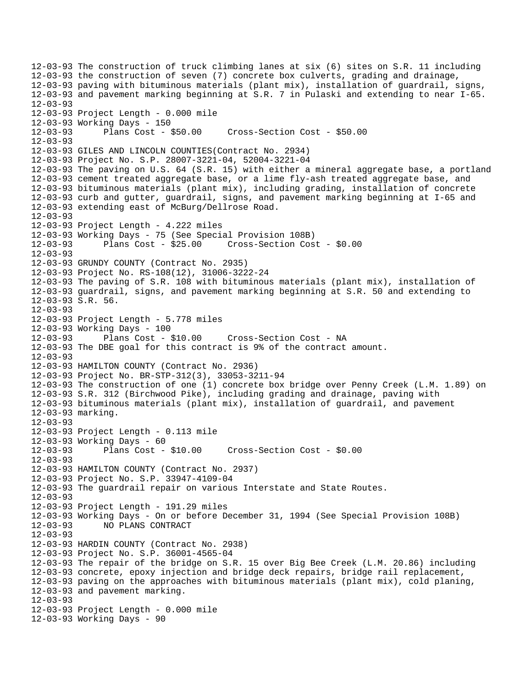12-03-93 The construction of truck climbing lanes at six (6) sites on S.R. 11 including 12-03-93 the construction of seven (7) concrete box culverts, grading and drainage, 12-03-93 paving with bituminous materials (plant mix), installation of guardrail, signs, 12-03-93 and pavement marking beginning at S.R. 7 in Pulaski and extending to near I-65. 12-03-93 12-03-93 Project Length - 0.000 mile 12-03-93 Working Days - 150 12-03-93 Plans Cost - \$50.00 Cross-Section Cost - \$50.00 12-03-93 12-03-93 GILES AND LINCOLN COUNTIES(Contract No. 2934) 12-03-93 Project No. S.P. 28007-3221-04, 52004-3221-04 12-03-93 The paving on U.S. 64 (S.R. 15) with either a mineral aggregate base, a portland 12-03-93 cement treated aggregate base, or a lime fly-ash treated aggregate base, and 12-03-93 bituminous materials (plant mix), including grading, installation of concrete 12-03-93 curb and gutter, guardrail, signs, and pavement marking beginning at I-65 and 12-03-93 extending east of McBurg/Dellrose Road. 12-03-93 12-03-93 Project Length - 4.222 miles 12-03-93 Working Days - 75 (See Special Provision 108B) 12-03-93 Plans Cost - \$25.00 Cross-Section Cost - \$0.00 12-03-93 12-03-93 GRUNDY COUNTY (Contract No. 2935) 12-03-93 Project No. RS-108(12), 31006-3222-24 12-03-93 The paving of S.R. 108 with bituminous materials (plant mix), installation of 12-03-93 guardrail, signs, and pavement marking beginning at S.R. 50 and extending to 12-03-93 S.R. 56. 12-03-93 12-03-93 Project Length - 5.778 miles 12-03-93 Working Days - 100 12-03-93 Plans Cost - \$10.00 Cross-Section Cost - NA 12-03-93 The DBE goal for this contract is 9% of the contract amount. 12-03-93 12-03-93 HAMILTON COUNTY (Contract No. 2936) 12-03-93 Project No. BR-STP-312(3), 33053-3211-94 12-03-93 The construction of one (1) concrete box bridge over Penny Creek (L.M. 1.89) on 12-03-93 S.R. 312 (Birchwood Pike), including grading and drainage, paving with 12-03-93 bituminous materials (plant mix), installation of guardrail, and pavement 12-03-93 marking. 12-03-93 12-03-93 Project Length - 0.113 mile 12-03-93 Working Days - 60 12-03-93 Plans Cost - \$10.00 Cross-Section Cost - \$0.00 12-03-93 12-03-93 HAMILTON COUNTY (Contract No. 2937) 12-03-93 Project No. S.P. 33947-4109-04 12-03-93 The guardrail repair on various Interstate and State Routes. 12-03-93 12-03-93 Project Length - 191.29 miles 12-03-93 Working Days - On or before December 31, 1994 (See Special Provision 108B) 12-03-93 NO PLANS CONTRACT 12-03-93 12-03-93 HARDIN COUNTY (Contract No. 2938) 12-03-93 Project No. S.P. 36001-4565-04 12-03-93 The repair of the bridge on S.R. 15 over Big Bee Creek (L.M. 20.86) including 12-03-93 concrete, epoxy injection and bridge deck repairs, bridge rail replacement, 12-03-93 paving on the approaches with bituminous materials (plant mix), cold planing, 12-03-93 and pavement marking. 12-03-93 12-03-93 Project Length - 0.000 mile 12-03-93 Working Days - 90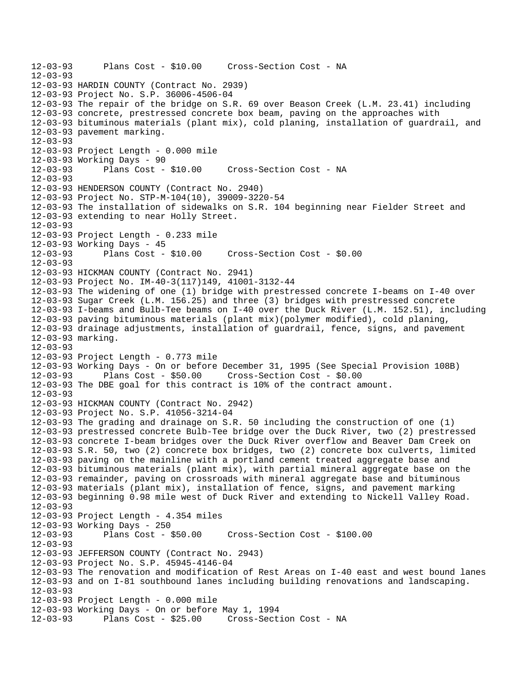```
12-03-93 Plans Cost - $10.00 Cross-Section Cost - NA 
12-03-93 
12-03-93 HARDIN COUNTY (Contract No. 2939) 
12-03-93 Project No. S.P. 36006-4506-04 
12-03-93 The repair of the bridge on S.R. 69 over Beason Creek (L.M. 23.41) including 
12-03-93 concrete, prestressed concrete box beam, paving on the approaches with 
12-03-93 bituminous materials (plant mix), cold planing, installation of guardrail, and 
12-03-93 pavement marking. 
12-03-93 
12-03-93 Project Length - 0.000 mile 
12-03-93 Working Days - 90 
12-03-93 Plans Cost - $10.00 Cross-Section Cost - NA 
12 - 03 - 9312-03-93 HENDERSON COUNTY (Contract No. 2940) 
12-03-93 Project No. STP-M-104(10), 39009-3220-54 
12-03-93 The installation of sidewalks on S.R. 104 beginning near Fielder Street and 
12-03-93 extending to near Holly Street. 
12-03-93 
12-03-93 Project Length - 0.233 mile 
12-03-93 Working Days - 45 
12-03-93 Plans Cost - $10.00 Cross-Section Cost - $0.00 
12-03-93 
12-03-93 HICKMAN COUNTY (Contract No. 2941) 
12-03-93 Project No. IM-40-3(117)149, 41001-3132-44 
12-03-93 The widening of one (1) bridge with prestressed concrete I-beams on I-40 over 
12-03-93 Sugar Creek (L.M. 156.25) and three (3) bridges with prestressed concrete 
12-03-93 I-beams and Bulb-Tee beams on I-40 over the Duck River (L.M. 152.51), including 
12-03-93 paving bituminous materials (plant mix)(polymer modified), cold planing, 
12-03-93 drainage adjustments, installation of guardrail, fence, signs, and pavement 
12-03-93 marking. 
12-03-93 
12-03-93 Project Length - 0.773 mile 
12-03-93 Working Days - On or before December 31, 1995 (See Special Provision 108B) 
12-03-93 Plans Cost - $50.00 Cross-Section Cost - $0.00 
12-03-93 The DBE goal for this contract is 10% of the contract amount. 
12 - 03 - 9312-03-93 HICKMAN COUNTY (Contract No. 2942) 
12-03-93 Project No. S.P. 41056-3214-04 
12-03-93 The grading and drainage on S.R. 50 including the construction of one (1) 
12-03-93 prestressed concrete Bulb-Tee bridge over the Duck River, two (2) prestressed 
12-03-93 concrete I-beam bridges over the Duck River overflow and Beaver Dam Creek on 
12-03-93 S.R. 50, two (2) concrete box bridges, two (2) concrete box culverts, limited 
12-03-93 paving on the mainline with a portland cement treated aggregate base and 
12-03-93 bituminous materials (plant mix), with partial mineral aggregate base on the 
12-03-93 remainder, paving on crossroads with mineral aggregate base and bituminous 
12-03-93 materials (plant mix), installation of fence, signs, and pavement marking 
12-03-93 beginning 0.98 mile west of Duck River and extending to Nickell Valley Road. 
12-03-93 
12-03-93 Project Length - 4.354 miles 
12-03-93 Working Days - 250 
12-03-93 Plans Cost - $50.00 Cross-Section Cost - $100.00 
12-03-93 
12-03-93 JEFFERSON COUNTY (Contract No. 2943) 
12-03-93 Project No. S.P. 45945-4146-04 
12-03-93 The renovation and modification of Rest Areas on I-40 east and west bound lanes 
12-03-93 and on I-81 southbound lanes including building renovations and landscaping. 
12-03-93 
12-03-93 Project Length - 0.000 mile 
12-03-93 Working Days - On or before May 1, 1994 
12-03-93 Plans Cost - $25.00 Cross-Section Cost - NA
```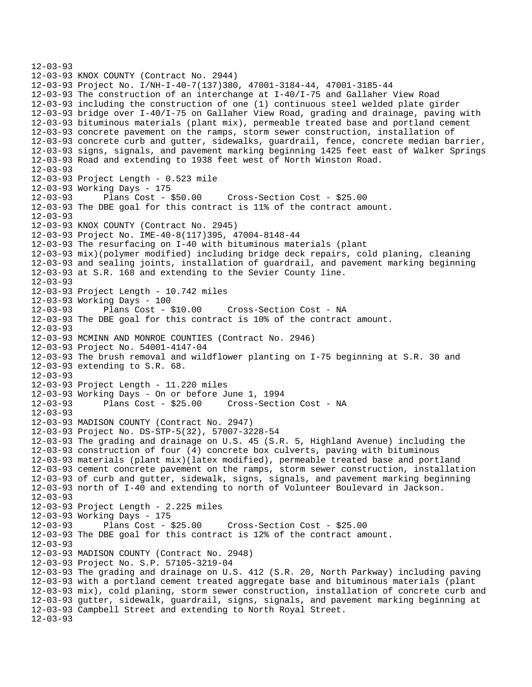```
12-03-93 
12-03-93 KNOX COUNTY (Contract No. 2944) 
12-03-93 Project No. I/NH-I-40-7(137)380, 47001-3184-44, 47001-3185-44 
12-03-93 The construction of an interchange at I-40/I-75 and Gallaher View Road 
12-03-93 including the construction of one (1) continuous steel welded plate girder 
12-03-93 bridge over I-40/I-75 on Gallaher View Road, grading and drainage, paving with 
12-03-93 bituminous materials (plant mix), permeable treated base and portland cement 
12-03-93 concrete pavement on the ramps, storm sewer construction, installation of 
12-03-93 concrete curb and gutter, sidewalks, guardrail, fence, concrete median barrier, 
12-03-93 signs, signals, and pavement marking beginning 1425 feet east of Walker Springs 
12-03-93 Road and extending to 1938 feet west of North Winston Road. 
12-03-93 
12-03-93 Project Length - 0.523 mile 
12-03-93 Working Days - 175 
12-03-93 Plans Cost - $50.00 Cross-Section Cost - $25.00 
12-03-93 The DBE goal for this contract is 11% of the contract amount. 
12-03-93 
12-03-93 KNOX COUNTY (Contract No. 2945) 
12-03-93 Project No. IME-40-8(117)395, 47004-8148-44 
12-03-93 The resurfacing on I-40 with bituminous materials (plant 
12-03-93 mix)(polymer modified) including bridge deck repairs, cold planing, cleaning 
12-03-93 and sealing joints, installation of guardrail, and pavement marking beginning 
12-03-93 at S.R. 168 and extending to the Sevier County line. 
12-03-93 
12-03-93 Project Length - 10.742 miles 
12-03-93 Working Days - 100 
12-03-93 Plans Cost - $10.00 Cross-Section Cost - NA 
12-03-93 The DBE goal for this contract is 10% of the contract amount. 
12-03-93 
12-03-93 MCMINN AND MONROE COUNTIES (Contract No. 2946) 
12-03-93 Project No. 54001-4147-04 
12-03-93 The brush removal and wildflower planting on I-75 beginning at S.R. 30 and 
12-03-93 extending to S.R. 68. 
12-03-93 
12-03-93 Project Length - 11.220 miles 
12-03-93 Working Days - On or before June 1, 1994 
                                     Cross-Section Cost - NA
12-03-93 
12-03-93 MADISON COUNTY (Contract No. 2947) 
12-03-93 Project No. DS-STP-5(32), 57007-3228-54 
12-03-93 The grading and drainage on U.S. 45 (S.R. 5, Highland Avenue) including the 
12-03-93 construction of four (4) concrete box culverts, paving with bituminous 
12-03-93 materials (plant mix)(latex modified), permeable treated base and portland 
12-03-93 cement concrete pavement on the ramps, storm sewer construction, installation 
12-03-93 of curb and gutter, sidewalk, signs, signals, and pavement marking beginning 
12-03-93 north of I-40 and extending to north of Volunteer Boulevard in Jackson. 
12-03-93 
12-03-93 Project Length - 2.225 miles 
12-03-93 Working Days - 175 
12-03-93 Plans Cost - $25.00 Cross-Section Cost - $25.00 
12-03-93 The DBE goal for this contract is 12% of the contract amount. 
12-03-93 
12-03-93 MADISON COUNTY (Contract No. 2948) 
12-03-93 Project No. S.P. 57105-3219-04 
12-03-93 The grading and drainage on U.S. 412 (S.R. 20, North Parkway) including paving 
12-03-93 with a portland cement treated aggregate base and bituminous materials (plant 
12-03-93 mix), cold planing, storm sewer construction, installation of concrete curb and 
12-03-93 gutter, sidewalk, guardrail, signs, signals, and pavement marking beginning at 
12-03-93 Campbell Street and extending to North Royal Street. 
12-03-93
```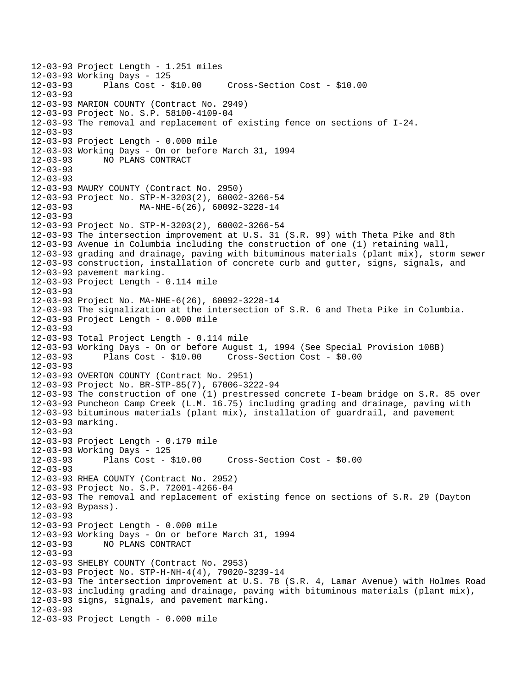12-03-93 Project Length - 1.251 miles 12-03-93 Working Days - 125 12-03-93 Plans Cost - \$10.00 Cross-Section Cost - \$10.00 12-03-93 12-03-93 MARION COUNTY (Contract No. 2949) 12-03-93 Project No. S.P. 58100-4109-04 12-03-93 The removal and replacement of existing fence on sections of I-24. 12-03-93 12-03-93 Project Length - 0.000 mile 12-03-93 Working Days - On or before March 31, 1994 12-03-93 NO PLANS CONTRACT 12-03-93  $12 - 03 - 93$ 12-03-93 MAURY COUNTY (Contract No. 2950) 12-03-93 Project No. STP-M-3203(2), 60002-3266-54 12-03-93 MA-NHE-6(26), 60092-3228-14 12-03-93 12-03-93 Project No. STP-M-3203(2), 60002-3266-54 12-03-93 The intersection improvement at U.S. 31 (S.R. 99) with Theta Pike and 8th 12-03-93 Avenue in Columbia including the construction of one (1) retaining wall, 12-03-93 grading and drainage, paving with bituminous materials (plant mix), storm sewer 12-03-93 construction, installation of concrete curb and gutter, signs, signals, and 12-03-93 pavement marking. 12-03-93 Project Length - 0.114 mile 12-03-93 12-03-93 Project No. MA-NHE-6(26), 60092-3228-14 12-03-93 The signalization at the intersection of S.R. 6 and Theta Pike in Columbia. 12-03-93 Project Length - 0.000 mile 12-03-93 12-03-93 Total Project Length - 0.114 mile 12-03-93 Working Days - On or before August 1, 1994 (See Special Provision 108B) 12-03-93 Plans Cost - \$10.00 Cross-Section Cost - \$0.00 12-03-93 12-03-93 OVERTON COUNTY (Contract No. 2951) 12-03-93 Project No. BR-STP-85(7), 67006-3222-94 12-03-93 The construction of one (1) prestressed concrete I-beam bridge on S.R. 85 over 12-03-93 Puncheon Camp Creek (L.M. 16.75) including grading and drainage, paving with 12-03-93 bituminous materials (plant mix), installation of guardrail, and pavement 12-03-93 marking. 12-03-93 12-03-93 Project Length - 0.179 mile 12-03-93 Working Days - 125 12-03-93 Plans Cost - \$10.00 Cross-Section Cost - \$0.00 12-03-93 12-03-93 RHEA COUNTY (Contract No. 2952) 12-03-93 Project No. S.P. 72001-4266-04 12-03-93 The removal and replacement of existing fence on sections of S.R. 29 (Dayton 12-03-93 Bypass). 12-03-93 12-03-93 Project Length - 0.000 mile 12-03-93 Working Days - On or before March 31, 1994 12-03-93 NO PLANS CONTRACT 12-03-93 12-03-93 SHELBY COUNTY (Contract No. 2953) 12-03-93 Project No. STP-H-NH-4(4), 79020-3239-14 12-03-93 The intersection improvement at U.S. 78 (S.R. 4, Lamar Avenue) with Holmes Road 12-03-93 including grading and drainage, paving with bituminous materials (plant mix), 12-03-93 signs, signals, and pavement marking. 12-03-93 12-03-93 Project Length - 0.000 mile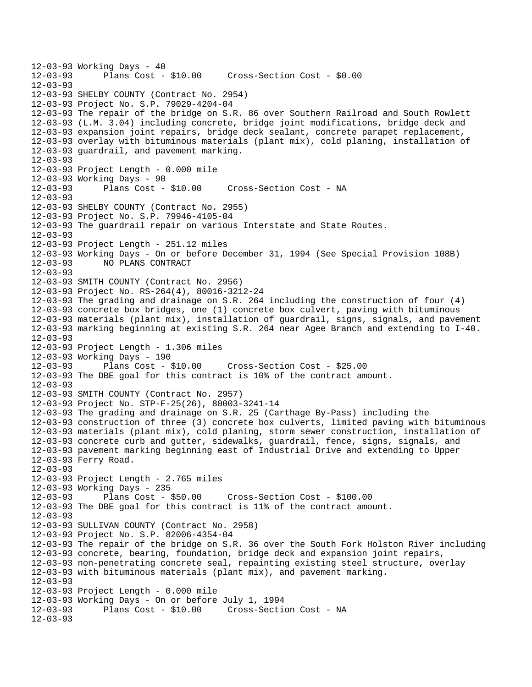```
12-03-93 Working Days - 40<br>12-03-93 Plans Cost -
              Plans Cost - $10.00 Cross-Section Cost - $0.00
12 - 03 - 9312-03-93 SHELBY COUNTY (Contract No. 2954) 
12-03-93 Project No. S.P. 79029-4204-04 
12-03-93 The repair of the bridge on S.R. 86 over Southern Railroad and South Rowlett 
12-03-93 (L.M. 3.04) including concrete, bridge joint modifications, bridge deck and 
12-03-93 expansion joint repairs, bridge deck sealant, concrete parapet replacement, 
12-03-93 overlay with bituminous materials (plant mix), cold planing, installation of 
12-03-93 guardrail, and pavement marking. 
12-03-93 
12-03-93 Project Length - 0.000 mile 
12-03-93 Working Days - 90 
12-03-93 Plans Cost - $10.00 Cross-Section Cost - NA 
12-03-93 
12-03-93 SHELBY COUNTY (Contract No. 2955) 
12-03-93 Project No. S.P. 79946-4105-04 
12-03-93 The guardrail repair on various Interstate and State Routes. 
12-03-93 
12-03-93 Project Length - 251.12 miles 
12-03-93 Working Days - On or before December 31, 1994 (See Special Provision 108B) 
              12-03-93 NO PLANS CONTRACT 
12-03-93 
12-03-93 SMITH COUNTY (Contract No. 2956) 
12-03-93 Project No. RS-264(4), 80016-3212-24 
12-03-93 The grading and drainage on S.R. 264 including the construction of four (4) 
12-03-93 concrete box bridges, one (1) concrete box culvert, paving with bituminous 
12-03-93 materials (plant mix), installation of guardrail, signs, signals, and pavement 
12-03-93 marking beginning at existing S.R. 264 near Agee Branch and extending to I-40. 
12-03-93 
12-03-93 Project Length - 1.306 miles 
12-03-93 Working Days - 190 
                                   12-03-93 Plans Cost - $10.00 Cross-Section Cost - $25.00 
12-03-93 The DBE goal for this contract is 10% of the contract amount. 
12-03-93 
12-03-93 SMITH COUNTY (Contract No. 2957) 
12-03-93 Project No. STP-F-25(26), 80003-3241-14 
12-03-93 The grading and drainage on S.R. 25 (Carthage By-Pass) including the 
12-03-93 construction of three (3) concrete box culverts, limited paving with bituminous 
12-03-93 materials (plant mix), cold planing, storm sewer construction, installation of 
12-03-93 concrete curb and gutter, sidewalks, guardrail, fence, signs, signals, and 
12-03-93 pavement marking beginning east of Industrial Drive and extending to Upper 
12-03-93 Ferry Road. 
12-03-93 
12-03-93 Project Length - 2.765 miles 
12-03-93 Working Days - 235 
12-03-93 Plans Cost - $50.00 Cross-Section Cost - $100.00 
12-03-93 The DBE goal for this contract is 11% of the contract amount. 
12-03-93 
12-03-93 SULLIVAN COUNTY (Contract No. 2958) 
12-03-93 Project No. S.P. 82006-4354-04 
12-03-93 The repair of the bridge on S.R. 36 over the South Fork Holston River including 
12-03-93 concrete, bearing, foundation, bridge deck and expansion joint repairs, 
12-03-93 non-penetrating concrete seal, repainting existing steel structure, overlay 
12-03-93 with bituminous materials (plant mix), and pavement marking. 
12-03-93 
12-03-93 Project Length - 0.000 mile 
12-03-93 Working Days - On or before July 1, 1994 
                                   Cross-Section Cost - NA
12-03-93
```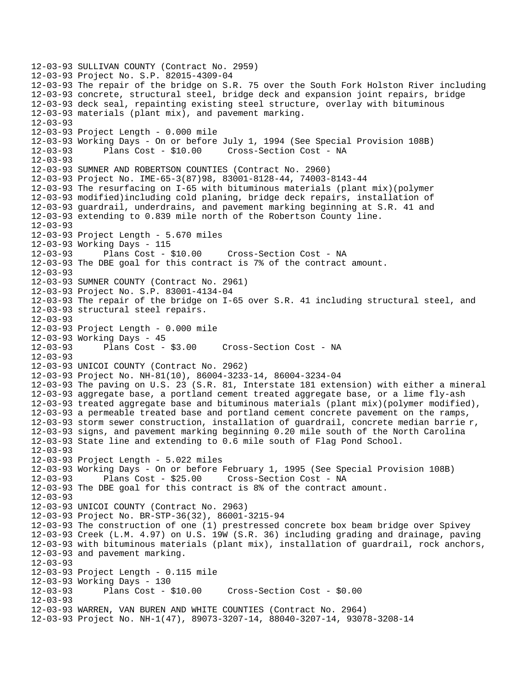12-03-93 SULLIVAN COUNTY (Contract No. 2959) 12-03-93 Project No. S.P. 82015-4309-04 12-03-93 The repair of the bridge on S.R. 75 over the South Fork Holston River including 12-03-93 concrete, structural steel, bridge deck and expansion joint repairs, bridge 12-03-93 deck seal, repainting existing steel structure, overlay with bituminous 12-03-93 materials (plant mix), and pavement marking. 12-03-93 12-03-93 Project Length - 0.000 mile 12-03-93 Working Days - On or before July 1, 1994 (See Special Provision 108B) Plans Cost - \$10.00 Cross-Section Cost - NA 12-03-93 12-03-93 SUMNER AND ROBERTSON COUNTIES (Contract No. 2960) 12-03-93 Project No. IME-65-3(87)98, 83001-8128-44, 74003-8143-44 12-03-93 The resurfacing on I-65 with bituminous materials (plant mix)(polymer 12-03-93 modified)including cold planing, bridge deck repairs, installation of 12-03-93 guardrail, underdrains, and pavement marking beginning at S.R. 41 and 12-03-93 extending to 0.839 mile north of the Robertson County line. 12-03-93 12-03-93 Project Length - 5.670 miles 12-03-93 Working Days - 115 12-03-93 Plans Cost - \$10.00 Cross-Section Cost - NA 12-03-93 The DBE goal for this contract is 7% of the contract amount. 12-03-93 12-03-93 SUMNER COUNTY (Contract No. 2961) 12-03-93 Project No. S.P. 83001-4134-04 12-03-93 The repair of the bridge on I-65 over S.R. 41 including structural steel, and 12-03-93 structural steel repairs. 12-03-93 12-03-93 Project Length - 0.000 mile 12-03-93 Working Days - 45 12-03-93 Plans Cost - \$3.00 Cross-Section Cost - NA 12-03-93 12-03-93 UNICOI COUNTY (Contract No. 2962) 12-03-93 Project No. NH-81(10), 86004-3233-14, 86004-3234-04 12-03-93 The paving on U.S. 23 (S.R. 81, Interstate 181 extension) with either a mineral 12-03-93 aggregate base, a portland cement treated aggregate base, or a lime fly-ash 12-03-93 treated aggregate base and bituminous materials (plant mix)(polymer modified), 12-03-93 a permeable treated base and portland cement concrete pavement on the ramps, 12-03-93 storm sewer construction, installation of guardrail, concrete median barrie r, 12-03-93 signs, and pavement marking beginning 0.20 mile south of the North Carolina 12-03-93 State line and extending to 0.6 mile south of Flag Pond School. 12-03-93 12-03-93 Project Length - 5.022 miles 12-03-93 Working Days - On or before February 1, 1995 (See Special Provision 108B) 12-03-93 Plans Cost - \$25.00 Cross-Section Cost - NA 12-03-93 The DBE goal for this contract is 8% of the contract amount. 12-03-93 12-03-93 UNICOI COUNTY (Contract No. 2963) 12-03-93 Project No. BR-STP-36(32), 86001-3215-94 12-03-93 The construction of one (1) prestressed concrete box beam bridge over Spivey 12-03-93 Creek (L.M. 4.97) on U.S. 19W (S.R. 36) including grading and drainage, paving 12-03-93 with bituminous materials (plant mix), installation of guardrail, rock anchors, 12-03-93 and pavement marking. 12-03-93 12-03-93 Project Length - 0.115 mile 12-03-93 Working Days - 130 12-03-93 Plans Cost - \$10.00 Cross-Section Cost - \$0.00 12-03-93 12-03-93 WARREN, VAN BUREN AND WHITE COUNTIES (Contract No. 2964) 12-03-93 Project No. NH-1(47), 89073-3207-14, 88040-3207-14, 93078-3208-14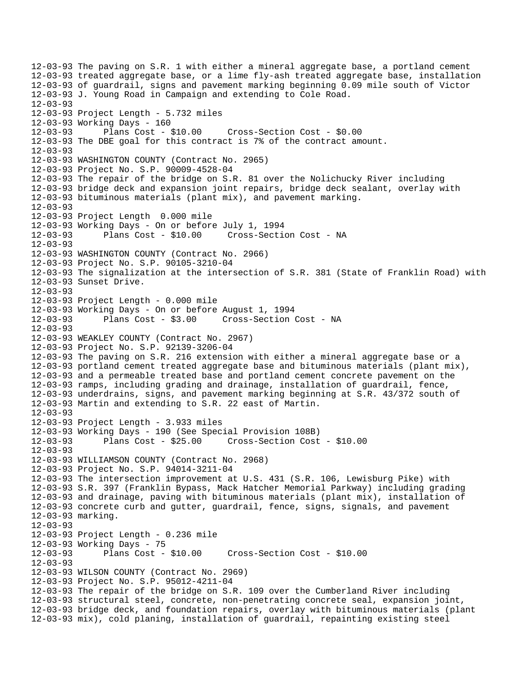12-03-93 The paving on S.R. 1 with either a mineral aggregate base, a portland cement 12-03-93 treated aggregate base, or a lime fly-ash treated aggregate base, installation 12-03-93 of guardrail, signs and pavement marking beginning 0.09 mile south of Victor 12-03-93 J. Young Road in Campaign and extending to Cole Road. 12-03-93 12-03-93 Project Length - 5.732 miles 12-03-93 Working Days - 160 12-03-93 Plans Cost - \$10.00 Cross-Section Cost - \$0.00 12-03-93 The DBE goal for this contract is 7% of the contract amount. 12-03-93 12-03-93 WASHINGTON COUNTY (Contract No. 2965) 12-03-93 Project No. S.P. 90009-4528-04 12-03-93 The repair of the bridge on S.R. 81 over the Nolichucky River including 12-03-93 bridge deck and expansion joint repairs, bridge deck sealant, overlay with 12-03-93 bituminous materials (plant mix), and pavement marking.  $12 - 03 - 93$ 12-03-93 Project Length 0.000 mile 12-03-93 Working Days - On or before July 1, 1994 12-03-93 Plans Cost - \$10.00 Cross-Section Cost - NA 12-03-93 12-03-93 WASHINGTON COUNTY (Contract No. 2966) 12-03-93 Project No. S.P. 90105-3210-04 12-03-93 The signalization at the intersection of S.R. 381 (State of Franklin Road) with 12-03-93 Sunset Drive. 12-03-93 12-03-93 Project Length - 0.000 mile 12-03-93 Working Days - On or before August 1, 1994 12-03-93 Plans Cost - \$3.00 Cross-Section Cost - NA 12-03-93 12-03-93 WEAKLEY COUNTY (Contract No. 2967) 12-03-93 Project No. S.P. 92139-3206-04 12-03-93 The paving on S.R. 216 extension with either a mineral aggregate base or a 12-03-93 portland cement treated aggregate base and bituminous materials (plant mix), 12-03-93 and a permeable treated base and portland cement concrete pavement on the 12-03-93 ramps, including grading and drainage, installation of guardrail, fence, 12-03-93 underdrains, signs, and pavement marking beginning at S.R. 43/372 south of 12-03-93 Martin and extending to S.R. 22 east of Martin. 12-03-93 12-03-93 Project Length - 3.933 miles 12-03-93 Working Days - 190 (See Special Provision 108B) 12-03-93 Plans Cost - \$25.00 Cross-Section Cost - \$10.00 12-03-93 12-03-93 WILLIAMSON COUNTY (Contract No. 2968) 12-03-93 Project No. S.P. 94014-3211-04 12-03-93 The intersection improvement at U.S. 431 (S.R. 106, Lewisburg Pike) with 12-03-93 S.R. 397 (Franklin Bypass, Mack Hatcher Memorial Parkway) including grading 12-03-93 and drainage, paving with bituminous materials (plant mix), installation of 12-03-93 concrete curb and gutter, guardrail, fence, signs, signals, and pavement 12-03-93 marking. 12-03-93 12-03-93 Project Length - 0.236 mile 12-03-93 Working Days - 75 12-03-93 Plans Cost - \$10.00 Cross-Section Cost - \$10.00 12-03-93 12-03-93 WILSON COUNTY (Contract No. 2969) 12-03-93 Project No. S.P. 95012-4211-04 12-03-93 The repair of the bridge on S.R. 109 over the Cumberland River including 12-03-93 structural steel, concrete, non-penetrating concrete seal, expansion joint, 12-03-93 bridge deck, and foundation repairs, overlay with bituminous materials (plant 12-03-93 mix), cold planing, installation of guardrail, repainting existing steel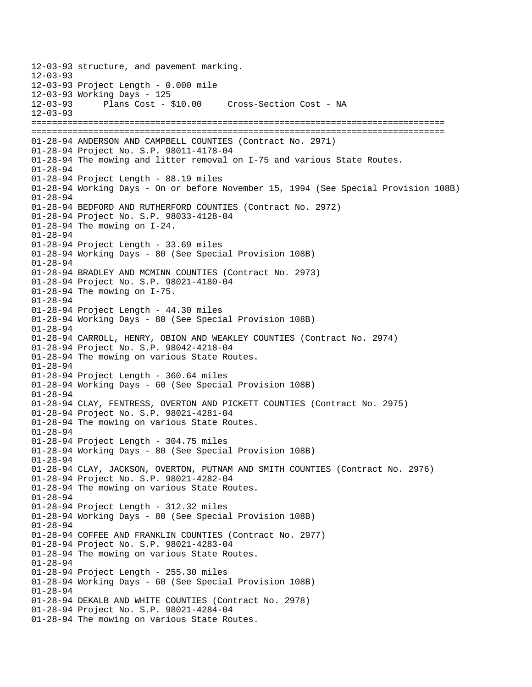12-03-93 structure, and pavement marking.  $12 - 03 - 93$ 12-03-93 Project Length - 0.000 mile 12-03-93 Working Days - 125 12-03-93 Plans Cost - \$10.00 Cross-Section Cost - NA 12-03-93 ================================================================================ ================================================================================ 01-28-94 ANDERSON AND CAMPBELL COUNTIES (Contract No. 2971) 01-28-94 Project No. S.P. 98011-4178-04 01-28-94 The mowing and litter removal on I-75 and various State Routes. 01-28-94 01-28-94 Project Length - 88.19 miles 01-28-94 Working Days - On or before November 15, 1994 (See Special Provision 108B) 01-28-94 01-28-94 BEDFORD AND RUTHERFORD COUNTIES (Contract No. 2972) 01-28-94 Project No. S.P. 98033-4128-04 01-28-94 The mowing on I-24. 01-28-94 01-28-94 Project Length - 33.69 miles 01-28-94 Working Days - 80 (See Special Provision 108B) 01-28-94 01-28-94 BRADLEY AND MCMINN COUNTIES (Contract No. 2973) 01-28-94 Project No. S.P. 98021-4180-04 01-28-94 The mowing on I-75. 01-28-94 01-28-94 Project Length - 44.30 miles 01-28-94 Working Days - 80 (See Special Provision 108B) 01-28-94 01-28-94 CARROLL, HENRY, OBION AND WEAKLEY COUNTIES (Contract No. 2974) 01-28-94 Project No. S.P. 98042-4218-04 01-28-94 The mowing on various State Routes. 01-28-94 01-28-94 Project Length - 360.64 miles 01-28-94 Working Days - 60 (See Special Provision 108B) 01-28-94 01-28-94 CLAY, FENTRESS, OVERTON AND PICKETT COUNTIES (Contract No. 2975) 01-28-94 Project No. S.P. 98021-4281-04 01-28-94 The mowing on various State Routes. 01-28-94 01-28-94 Project Length - 304.75 miles 01-28-94 Working Days - 80 (See Special Provision 108B) 01-28-94 01-28-94 CLAY, JACKSON, OVERTON, PUTNAM AND SMITH COUNTIES (Contract No. 2976) 01-28-94 Project No. S.P. 98021-4282-04 01-28-94 The mowing on various State Routes. 01-28-94 01-28-94 Project Length - 312.32 miles 01-28-94 Working Days - 80 (See Special Provision 108B) 01-28-94 01-28-94 COFFEE AND FRANKLIN COUNTIES (Contract No. 2977) 01-28-94 Project No. S.P. 98021-4283-04 01-28-94 The mowing on various State Routes. 01-28-94 01-28-94 Project Length - 255.30 miles 01-28-94 Working Days - 60 (See Special Provision 108B) 01-28-94 01-28-94 DEKALB AND WHITE COUNTIES (Contract No. 2978) 01-28-94 Project No. S.P. 98021-4284-04 01-28-94 The mowing on various State Routes.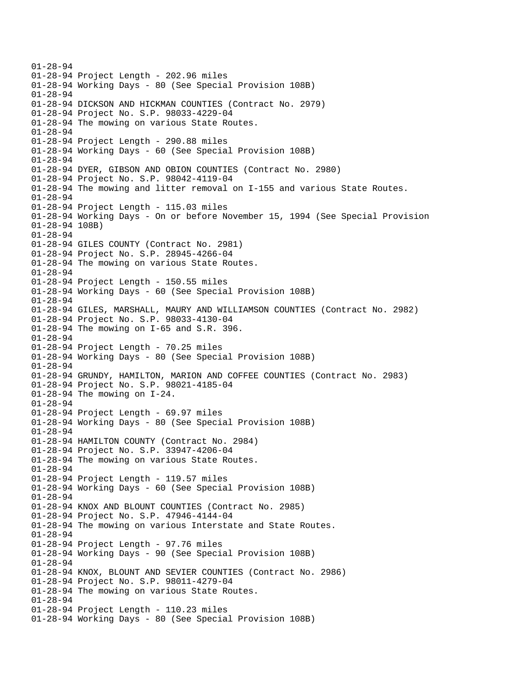01-28-94 01-28-94 Project Length - 202.96 miles 01-28-94 Working Days - 80 (See Special Provision 108B) 01-28-94 01-28-94 DICKSON AND HICKMAN COUNTIES (Contract No. 2979) 01-28-94 Project No. S.P. 98033-4229-04 01-28-94 The mowing on various State Routes. 01-28-94 01-28-94 Project Length - 290.88 miles 01-28-94 Working Days - 60 (See Special Provision 108B) 01-28-94 01-28-94 DYER, GIBSON AND OBION COUNTIES (Contract No. 2980) 01-28-94 Project No. S.P. 98042-4119-04 01-28-94 The mowing and litter removal on I-155 and various State Routes. 01-28-94 01-28-94 Project Length - 115.03 miles 01-28-94 Working Days - On or before November 15, 1994 (See Special Provision 01-28-94 108B) 01-28-94 01-28-94 GILES COUNTY (Contract No. 2981) 01-28-94 Project No. S.P. 28945-4266-04 01-28-94 The mowing on various State Routes. 01-28-94 01-28-94 Project Length - 150.55 miles 01-28-94 Working Days - 60 (See Special Provision 108B) 01-28-94 01-28-94 GILES, MARSHALL, MAURY AND WILLIAMSON COUNTIES (Contract No. 2982) 01-28-94 Project No. S.P. 98033-4130-04 01-28-94 The mowing on I-65 and S.R. 396. 01-28-94 01-28-94 Project Length - 70.25 miles 01-28-94 Working Days - 80 (See Special Provision 108B) 01-28-94 01-28-94 GRUNDY, HAMILTON, MARION AND COFFEE COUNTIES (Contract No. 2983) 01-28-94 Project No. S.P. 98021-4185-04 01-28-94 The mowing on I-24. 01-28-94 01-28-94 Project Length - 69.97 miles 01-28-94 Working Days - 80 (See Special Provision 108B)  $01 - 28 - 94$ 01-28-94 HAMILTON COUNTY (Contract No. 2984) 01-28-94 Project No. S.P. 33947-4206-04 01-28-94 The mowing on various State Routes. 01-28-94 01-28-94 Project Length - 119.57 miles 01-28-94 Working Days - 60 (See Special Provision 108B) 01-28-94 01-28-94 KNOX AND BLOUNT COUNTIES (Contract No. 2985) 01-28-94 Project No. S.P. 47946-4144-04 01-28-94 The mowing on various Interstate and State Routes. 01-28-94 01-28-94 Project Length - 97.76 miles 01-28-94 Working Days - 90 (See Special Provision 108B) 01-28-94 01-28-94 KNOX, BLOUNT AND SEVIER COUNTIES (Contract No. 2986) 01-28-94 Project No. S.P. 98011-4279-04 01-28-94 The mowing on various State Routes. 01-28-94 01-28-94 Project Length - 110.23 miles 01-28-94 Working Days - 80 (See Special Provision 108B)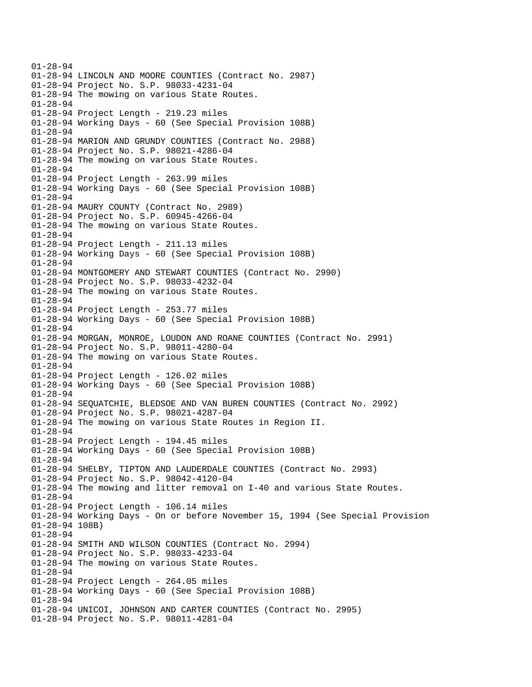01-28-94 01-28-94 LINCOLN AND MOORE COUNTIES (Contract No. 2987) 01-28-94 Project No. S.P. 98033-4231-04 01-28-94 The mowing on various State Routes. 01-28-94 01-28-94 Project Length - 219.23 miles 01-28-94 Working Days - 60 (See Special Provision 108B) 01-28-94 01-28-94 MARION AND GRUNDY COUNTIES (Contract No. 2988) 01-28-94 Project No. S.P. 98021-4286-04 01-28-94 The mowing on various State Routes. 01-28-94 01-28-94 Project Length - 263.99 miles 01-28-94 Working Days - 60 (See Special Provision 108B) 01-28-94 01-28-94 MAURY COUNTY (Contract No. 2989) 01-28-94 Project No. S.P. 60945-4266-04 01-28-94 The mowing on various State Routes. 01-28-94 01-28-94 Project Length - 211.13 miles 01-28-94 Working Days - 60 (See Special Provision 108B) 01-28-94 01-28-94 MONTGOMERY AND STEWART COUNTIES (Contract No. 2990) 01-28-94 Project No. S.P. 98033-4232-04 01-28-94 The mowing on various State Routes. 01-28-94 01-28-94 Project Length - 253.77 miles 01-28-94 Working Days - 60 (See Special Provision 108B) 01-28-94 01-28-94 MORGAN, MONROE, LOUDON AND ROANE COUNTIES (Contract No. 2991) 01-28-94 Project No. S.P. 98011-4280-04 01-28-94 The mowing on various State Routes. 01-28-94 01-28-94 Project Length - 126.02 miles 01-28-94 Working Days - 60 (See Special Provision 108B) 01-28-94 01-28-94 SEQUATCHIE, BLEDSOE AND VAN BUREN COUNTIES (Contract No. 2992) 01-28-94 Project No. S.P. 98021-4287-04 01-28-94 The mowing on various State Routes in Region II. 01-28-94 01-28-94 Project Length - 194.45 miles 01-28-94 Working Days - 60 (See Special Provision 108B) 01-28-94 01-28-94 SHELBY, TIPTON AND LAUDERDALE COUNTIES (Contract No. 2993) 01-28-94 Project No. S.P. 98042-4120-04 01-28-94 The mowing and litter removal on I-40 and various State Routes. 01-28-94 01-28-94 Project Length - 106.14 miles 01-28-94 Working Days - On or before November 15, 1994 (See Special Provision 01-28-94 108B) 01-28-94 01-28-94 SMITH AND WILSON COUNTIES (Contract No. 2994) 01-28-94 Project No. S.P. 98033-4233-04 01-28-94 The mowing on various State Routes. 01-28-94 01-28-94 Project Length - 264.05 miles 01-28-94 Working Days - 60 (See Special Provision 108B) 01-28-94 01-28-94 UNICOI, JOHNSON AND CARTER COUNTIES (Contract No. 2995) 01-28-94 Project No. S.P. 98011-4281-04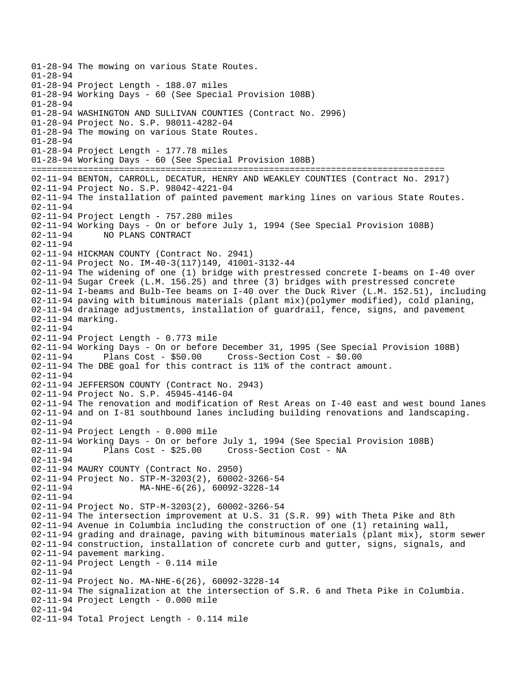01-28-94 The mowing on various State Routes. 01-28-94 01-28-94 Project Length - 188.07 miles 01-28-94 Working Days - 60 (See Special Provision 108B) 01-28-94 01-28-94 WASHINGTON AND SULLIVAN COUNTIES (Contract No. 2996) 01-28-94 Project No. S.P. 98011-4282-04 01-28-94 The mowing on various State Routes. 01-28-94 01-28-94 Project Length - 177.78 miles 01-28-94 Working Days - 60 (See Special Provision 108B) ================================================================================ 02-11-94 BENTON, CARROLL, DECATUR, HENRY AND WEAKLEY COUNTIES (Contract No. 2917) 02-11-94 Project No. S.P. 98042-4221-04 02-11-94 The installation of painted pavement marking lines on various State Routes. 02-11-94 02-11-94 Project Length - 757.280 miles 02-11-94 Working Days - On or before July 1, 1994 (See Special Provision 108B) 02-11-94 NO PLANS CONTRACT 02-11-94 02-11-94 HICKMAN COUNTY (Contract No. 2941) 02-11-94 Project No. IM-40-3(117)149, 41001-3132-44 02-11-94 The widening of one (1) bridge with prestressed concrete I-beams on I-40 over 02-11-94 Sugar Creek (L.M. 156.25) and three (3) bridges with prestressed concrete 02-11-94 I-beams and Bulb-Tee beams on I-40 over the Duck River (L.M. 152.51), including 02-11-94 paving with bituminous materials (plant mix)(polymer modified), cold planing, 02-11-94 drainage adjustments, installation of guardrail, fence, signs, and pavement 02-11-94 marking. 02-11-94 02-11-94 Project Length - 0.773 mile 02-11-94 Working Days - On or before December 31, 1995 (See Special Provision 108B) 02-11-94 Plans Cost - \$50.00 Cross-Section Cost - \$0.00 02-11-94 The DBE goal for this contract is 11% of the contract amount. 02-11-94 02-11-94 JEFFERSON COUNTY (Contract No. 2943) 02-11-94 Project No. S.P. 45945-4146-04 02-11-94 The renovation and modification of Rest Areas on I-40 east and west bound lanes 02-11-94 and on I-81 southbound lanes including building renovations and landscaping. 02-11-94 02-11-94 Project Length - 0.000 mile 02-11-94 Working Days - On or before July 1, 1994 (See Special Provision 108B) 02-11-94 Plans Cost - \$25.00 Cross-Section Cost - NA 02-11-94 02-11-94 MAURY COUNTY (Contract No. 2950) 02-11-94 Project No. STP-M-3203(2), 60002-3266-54 02-11-94 MA-NHE-6(26), 60092-3228-14 02-11-94 02-11-94 Project No. STP-M-3203(2), 60002-3266-54 02-11-94 The intersection improvement at U.S. 31 (S.R. 99) with Theta Pike and 8th 02-11-94 Avenue in Columbia including the construction of one (1) retaining wall, 02-11-94 grading and drainage, paving with bituminous materials (plant mix), storm sewer 02-11-94 construction, installation of concrete curb and gutter, signs, signals, and 02-11-94 pavement marking. 02-11-94 Project Length - 0.114 mile 02-11-94 02-11-94 Project No. MA-NHE-6(26), 60092-3228-14 02-11-94 The signalization at the intersection of S.R. 6 and Theta Pike in Columbia. 02-11-94 Project Length - 0.000 mile 02-11-94 02-11-94 Total Project Length - 0.114 mile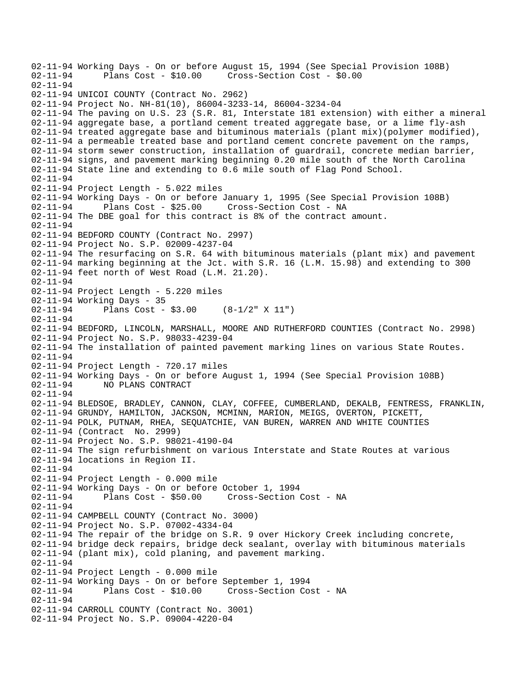02-11-94 Working Days - On or before August 15, 1994 (See Special Provision 108B)<br>02-11-94 Plans Cost - \$10.00 Cross-Section Cost - \$0.00 02-11-94 Plans Cost - \$10.00 Cross-Section Cost - \$0.00 02-11-94 02-11-94 UNICOI COUNTY (Contract No. 2962) 02-11-94 Project No. NH-81(10), 86004-3233-14, 86004-3234-04 02-11-94 The paving on U.S. 23 (S.R. 81, Interstate 181 extension) with either a mineral 02-11-94 aggregate base, a portland cement treated aggregate base, or a lime fly-ash 02-11-94 treated aggregate base and bituminous materials (plant mix)(polymer modified), 02-11-94 a permeable treated base and portland cement concrete pavement on the ramps, 02-11-94 storm sewer construction, installation of guardrail, concrete median barrier, 02-11-94 signs, and pavement marking beginning 0.20 mile south of the North Carolina 02-11-94 State line and extending to 0.6 mile south of Flag Pond School. 02-11-94 02-11-94 Project Length - 5.022 miles 02-11-94 Working Days - On or before January 1, 1995 (See Special Provision 108B)<br>02-11-94 Plans Cost - \$25.00 Cross-Section Cost - NA 02-11-94 Plans Cost - \$25.00 Cross-Section Cost - NA 02-11-94 The DBE goal for this contract is 8% of the contract amount. 02-11-94 02-11-94 BEDFORD COUNTY (Contract No. 2997) 02-11-94 Project No. S.P. 02009-4237-04 02-11-94 The resurfacing on S.R. 64 with bituminous materials (plant mix) and pavement 02-11-94 marking beginning at the Jct. with S.R. 16 (L.M. 15.98) and extending to 300 02-11-94 feet north of West Road (L.M. 21.20). 02-11-94 02-11-94 Project Length - 5.220 miles 02-11-94 Working Days - 35 02-11-94 Plans Cost - \$3.00 (8-1/2" X 11") 02-11-94 02-11-94 BEDFORD, LINCOLN, MARSHALL, MOORE AND RUTHERFORD COUNTIES (Contract No. 2998) 02-11-94 Project No. S.P. 98033-4239-04 02-11-94 The installation of painted pavement marking lines on various State Routes. 02-11-94 02-11-94 Project Length - 720.17 miles 02-11-94 Working Days - On or before August 1, 1994 (See Special Provision 108B)<br>02-11-94 NO PLANS CONTRACT NO PLANS CONTRACT 02-11-94 02-11-94 BLEDSOE, BRADLEY, CANNON, CLAY, COFFEE, CUMBERLAND, DEKALB, FENTRESS, FRANKLIN, 02-11-94 GRUNDY, HAMILTON, JACKSON, MCMINN, MARION, MEIGS, OVERTON, PICKETT, 02-11-94 POLK, PUTNAM, RHEA, SEQUATCHIE, VAN BUREN, WARREN AND WHITE COUNTIES 02-11-94 (Contract No. 2999) 02-11-94 Project No. S.P. 98021-4190-04 02-11-94 The sign refurbishment on various Interstate and State Routes at various 02-11-94 locations in Region II. 02-11-94 02-11-94 Project Length - 0.000 mile 02-11-94 Working Days - On or before October 1, 1994 02-11-94 Plans Cost - \$50.00 Cross-Section Cost - NA 02-11-94 02-11-94 CAMPBELL COUNTY (Contract No. 3000) 02-11-94 Project No. S.P. 07002-4334-04 02-11-94 The repair of the bridge on S.R. 9 over Hickory Creek including concrete, 02-11-94 bridge deck repairs, bridge deck sealant, overlay with bituminous materials 02-11-94 (plant mix), cold planing, and pavement marking. 02-11-94 02-11-94 Project Length - 0.000 mile 02-11-94 Working Days - On or before September 1, 1994 02-11-94 Plans Cost - \$10.00 Cross-Section Cost - NA 02-11-94 02-11-94 CARROLL COUNTY (Contract No. 3001) 02-11-94 Project No. S.P. 09004-4220-04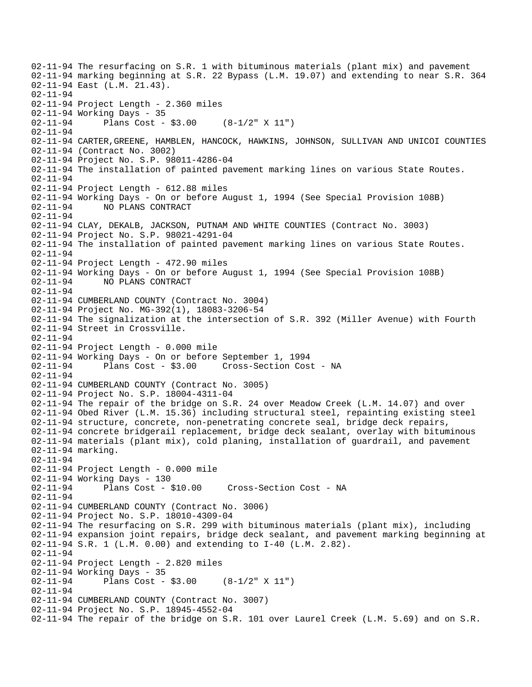02-11-94 The resurfacing on S.R. 1 with bituminous materials (plant mix) and pavement 02-11-94 marking beginning at S.R. 22 Bypass (L.M. 19.07) and extending to near S.R. 364 02-11-94 East (L.M. 21.43). 02-11-94 02-11-94 Project Length - 2.360 miles 02-11-94 Working Days - 35 02-11-94 Plans Cost - \$3.00 (8-1/2" X 11") 02-11-94 02-11-94 CARTER,GREENE, HAMBLEN, HANCOCK, HAWKINS, JOHNSON, SULLIVAN AND UNICOI COUNTIES 02-11-94 (Contract No. 3002) 02-11-94 Project No. S.P. 98011-4286-04 02-11-94 The installation of painted pavement marking lines on various State Routes. 02-11-94 02-11-94 Project Length - 612.88 miles 02-11-94 Working Days - On or before August 1, 1994 (See Special Provision 108B) 02-11-94 NO PLANS CONTRACT 02-11-94 02-11-94 CLAY, DEKALB, JACKSON, PUTNAM AND WHITE COUNTIES (Contract No. 3003) 02-11-94 Project No. S.P. 98021-4291-04 02-11-94 The installation of painted pavement marking lines on various State Routes. 02-11-94 02-11-94 Project Length - 472.90 miles 02-11-94 Working Days - On or before August 1, 1994 (See Special Provision 108B) 02-11-94 NO PLANS CONTRACT 02-11-94 02-11-94 CUMBERLAND COUNTY (Contract No. 3004) 02-11-94 Project No. MG-392(1), 18083-3206-54 02-11-94 The signalization at the intersection of S.R. 392 (Miller Avenue) with Fourth 02-11-94 Street in Crossville. 02-11-94 02-11-94 Project Length - 0.000 mile 02-11-94 Working Days - On or before September 1, 1994<br>02-11-94 Plans Cost - \$3.00 Cross-Section Cost Cross-Section Cost - NA 02-11-94 02-11-94 CUMBERLAND COUNTY (Contract No. 3005) 02-11-94 Project No. S.P. 18004-4311-04 02-11-94 The repair of the bridge on S.R. 24 over Meadow Creek (L.M. 14.07) and over 02-11-94 Obed River (L.M. 15.36) including structural steel, repainting existing steel 02-11-94 structure, concrete, non-penetrating concrete seal, bridge deck repairs, 02-11-94 concrete bridgerail replacement, bridge deck sealant, overlay with bituminous 02-11-94 materials (plant mix), cold planing, installation of guardrail, and pavement 02-11-94 marking. 02-11-94 02-11-94 Project Length - 0.000 mile 02-11-94 Working Days - 130 02-11-94 Plans Cost - \$10.00 Cross-Section Cost - NA 02-11-94 02-11-94 CUMBERLAND COUNTY (Contract No. 3006) 02-11-94 Project No. S.P. 18010-4309-04 02-11-94 The resurfacing on S.R. 299 with bituminous materials (plant mix), including 02-11-94 expansion joint repairs, bridge deck sealant, and pavement marking beginning at 02-11-94 S.R. 1 (L.M. 0.00) and extending to I-40 (L.M. 2.82). 02-11-94 02-11-94 Project Length - 2.820 miles 02-11-94 Working Days - 35 02-11-94 Plans Cost - \$3.00 (8-1/2" X 11") 02-11-94 02-11-94 CUMBERLAND COUNTY (Contract No. 3007) 02-11-94 Project No. S.P. 18945-4552-04 02-11-94 The repair of the bridge on S.R. 101 over Laurel Creek (L.M. 5.69) and on S.R.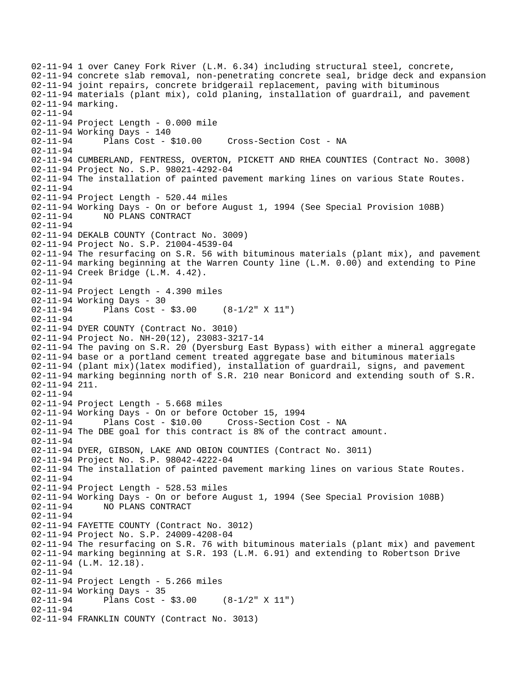02-11-94 1 over Caney Fork River (L.M. 6.34) including structural steel, concrete, 02-11-94 concrete slab removal, non-penetrating concrete seal, bridge deck and expansion 02-11-94 joint repairs, concrete bridgerail replacement, paving with bituminous 02-11-94 materials (plant mix), cold planing, installation of guardrail, and pavement 02-11-94 marking. 02-11-94 02-11-94 Project Length - 0.000 mile 02-11-94 Working Days - 140 02-11-94 Plans Cost - \$10.00 Cross-Section Cost - NA 02-11-94 02-11-94 CUMBERLAND, FENTRESS, OVERTON, PICKETT AND RHEA COUNTIES (Contract No. 3008) 02-11-94 Project No. S.P. 98021-4292-04 02-11-94 The installation of painted pavement marking lines on various State Routes. 02-11-94 02-11-94 Project Length - 520.44 miles 02-11-94 Working Days - On or before August 1, 1994 (See Special Provision 108B) 02-11-94 NO PLANS CONTRACT 02-11-94 02-11-94 DEKALB COUNTY (Contract No. 3009) 02-11-94 Project No. S.P. 21004-4539-04 02-11-94 The resurfacing on S.R. 56 with bituminous materials (plant mix), and pavement 02-11-94 marking beginning at the Warren County line (L.M. 0.00) and extending to Pine 02-11-94 Creek Bridge (L.M. 4.42). 02-11-94 02-11-94 Project Length - 4.390 miles 02-11-94 Working Days - 30 02-11-94 Plans Cost - \$3.00 (8-1/2" X 11") 02-11-94 02-11-94 DYER COUNTY (Contract No. 3010) 02-11-94 Project No. NH-20(12), 23083-3217-14 02-11-94 The paving on S.R. 20 (Dyersburg East Bypass) with either a mineral aggregate 02-11-94 base or a portland cement treated aggregate base and bituminous materials 02-11-94 (plant mix)(latex modified), installation of guardrail, signs, and pavement 02-11-94 marking beginning north of S.R. 210 near Bonicord and extending south of S.R. 02-11-94 211. 02-11-94 02-11-94 Project Length - 5.668 miles 02-11-94 Working Days - On or before October 15, 1994 02-11-94 Plans Cost - \$10.00 Cross-Section Cost - NA 02-11-94 The DBE goal for this contract is 8% of the contract amount. 02-11-94 02-11-94 DYER, GIBSON, LAKE AND OBION COUNTIES (Contract No. 3011) 02-11-94 Project No. S.P. 98042-4222-04 02-11-94 The installation of painted pavement marking lines on various State Routes. 02-11-94 02-11-94 Project Length - 528.53 miles 02-11-94 Working Days - On or before August 1, 1994 (See Special Provision 108B) 02-11-94 NO PLANS CONTRACT 02-11-94 02-11-94 FAYETTE COUNTY (Contract No. 3012) 02-11-94 Project No. S.P. 24009-4208-04 02-11-94 The resurfacing on S.R. 76 with bituminous materials (plant mix) and pavement 02-11-94 marking beginning at S.R. 193 (L.M. 6.91) and extending to Robertson Drive 02-11-94 (L.M. 12.18). 02-11-94 02-11-94 Project Length - 5.266 miles 02-11-94 Working Days - 35<br>02-11-94 Plans Cost -Plans Cost -  $$3.00$  (8-1/2" X 11") 02-11-94 02-11-94 FRANKLIN COUNTY (Contract No. 3013)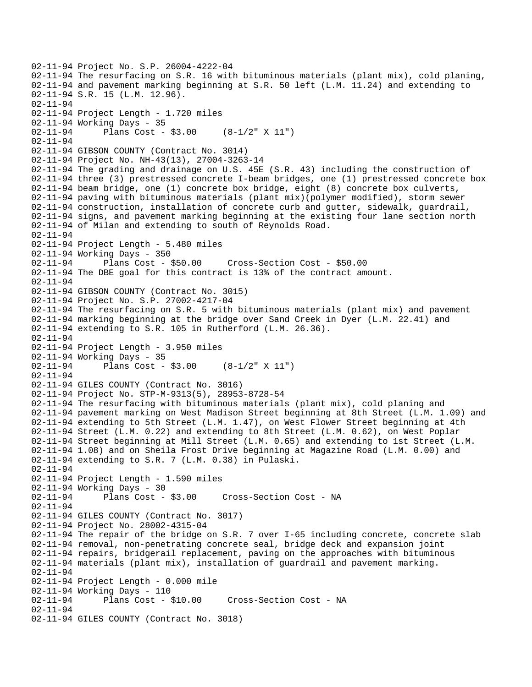```
02-11-94 Project No. S.P. 26004-4222-04 
02-11-94 The resurfacing on S.R. 16 with bituminous materials (plant mix), cold planing, 
02-11-94 and pavement marking beginning at S.R. 50 left (L.M. 11.24) and extending to 
02-11-94 S.R. 15 (L.M. 12.96). 
02-11-94 
02-11-94 Project Length - 1.720 miles 
02-11-94 Working Days - 35 
02-11-94 Plans Cost - $3.00 (8-1/2" X 11") 
02-11-94 
02-11-94 GIBSON COUNTY (Contract No. 3014) 
02-11-94 Project No. NH-43(13), 27004-3263-14 
02-11-94 The grading and drainage on U.S. 45E (S.R. 43) including the construction of 
02-11-94 three (3) prestressed concrete I-beam bridges, one (1) prestressed concrete box 
02-11-94 beam bridge, one (1) concrete box bridge, eight (8) concrete box culverts, 
02-11-94 paving with bituminous materials (plant mix)(polymer modified), storm sewer 
02-11-94 construction, installation of concrete curb and gutter, sidewalk, guardrail, 
02-11-94 signs, and pavement marking beginning at the existing four lane section north 
02-11-94 of Milan and extending to south of Reynolds Road. 
02-11-94 
02-11-94 Project Length - 5.480 miles 
02-11-94 Working Days - 350 
02-11-94 Plans Cost - $50.00 Cross-Section Cost - $50.00 
02-11-94 The DBE goal for this contract is 13% of the contract amount. 
02-11-94 
02-11-94 GIBSON COUNTY (Contract No. 3015) 
02-11-94 Project No. S.P. 27002-4217-04 
02-11-94 The resurfacing on S.R. 5 with bituminous materials (plant mix) and pavement 
02-11-94 marking beginning at the bridge over Sand Creek in Dyer (L.M. 22.41) and 
02-11-94 extending to S.R. 105 in Rutherford (L.M. 26.36). 
02-11-94 
02-11-94 Project Length - 3.950 miles 
02-11-94 Working Days - 35<br>02-11-94 Plans Cost -
              Plans Cost - $3.00 (8-1/2" X 11")
02-11-94 
02-11-94 GILES COUNTY (Contract No. 3016) 
02-11-94 Project No. STP-M-9313(5), 28953-8728-54 
02-11-94 The resurfacing with bituminous materials (plant mix), cold planing and 
02-11-94 pavement marking on West Madison Street beginning at 8th Street (L.M. 1.09) and 
02-11-94 extending to 5th Street (L.M. 1.47), on West Flower Street beginning at 4th 
02-11-94 Street (L.M. 0.22) and extending to 8th Street (L.M. 0.62), on West Poplar 
02-11-94 Street beginning at Mill Street (L.M. 0.65) and extending to 1st Street (L.M. 
02-11-94 1.08) and on Sheila Frost Drive beginning at Magazine Road (L.M. 0.00) and 
02-11-94 extending to S.R. 7 (L.M. 0.38) in Pulaski. 
02-11-94 
02-11-94 Project Length - 1.590 miles 
02-11-94 Working Days - 30 
02-11-94 Plans Cost - $3.00 Cross-Section Cost - NA 
02-11-94 
02-11-94 GILES COUNTY (Contract No. 3017) 
02-11-94 Project No. 28002-4315-04 
02-11-94 The repair of the bridge on S.R. 7 over I-65 including concrete, concrete slab 
02-11-94 removal, non-penetrating concrete seal, bridge deck and expansion joint 
02-11-94 repairs, bridgerail replacement, paving on the approaches with bituminous 
02-11-94 materials (plant mix), installation of guardrail and pavement marking. 
02-11-94 
02-11-94 Project Length - 0.000 mile 
02-11-94 Working Days - 110<br>02-11-94 Plans Cost -
              Plans Cost - $10.00 Cross-Section Cost - NA
02-11-94 
02-11-94 GILES COUNTY (Contract No. 3018)
```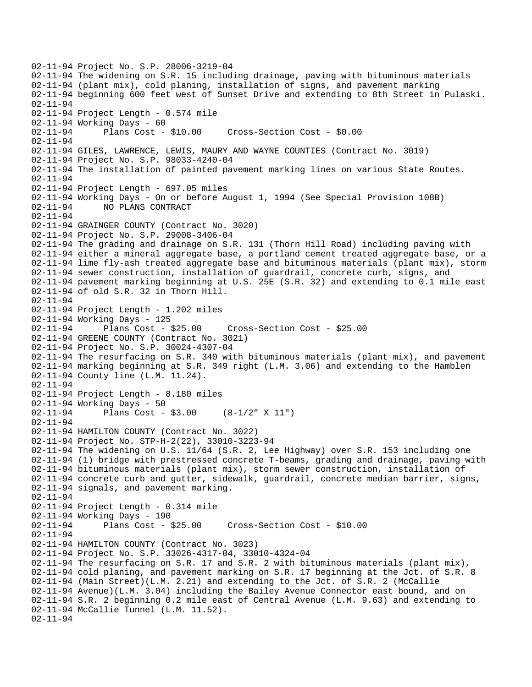02-11-94 Project No. S.P. 28006-3219-04 02-11-94 The widening on S.R. 15 including drainage, paving with bituminous materials 02-11-94 (plant mix), cold planing, installation of signs, and pavement marking 02-11-94 beginning 600 feet west of Sunset Drive and extending to 8th Street in Pulaski. 02-11-94 02-11-94 Project Length - 0.574 mile 02-11-94 Working Days - 60 02-11-94 Plans Cost - \$10.00 Cross-Section Cost - \$0.00 02-11-94 02-11-94 GILES, LAWRENCE, LEWIS, MAURY AND WAYNE COUNTIES (Contract No. 3019) 02-11-94 Project No. S.P. 98033-4240-04 02-11-94 The installation of painted pavement marking lines on various State Routes. 02-11-94 02-11-94 Project Length - 697.05 miles 02-11-94 Working Days - On or before August 1, 1994 (See Special Provision 108B) 02-11-94 NO PLANS CONTRACT 02-11-94 02-11-94 GRAINGER COUNTY (Contract No. 3020) 02-11-94 Project No. S.P. 29008-3406-04 02-11-94 The grading and drainage on S.R. 131 (Thorn Hill Road) including paving with 02-11-94 either a mineral aggregate base, a portland cement treated aggregate base, or a 02-11-94 lime fly-ash treated aggregate base and bituminous materials (plant mix), storm 02-11-94 sewer construction, installation of guardrail, concrete curb, signs, and 02-11-94 pavement marking beginning at U.S. 25E (S.R. 32) and extending to 0.1 mile east 02-11-94 of old S.R. 32 in Thorn Hill. 02-11-94 02-11-94 Project Length - 1.202 miles 02-11-94 Working Days - 125 02-11-94 Plans Cost - \$25.00 Cross-Section Cost - \$25.00 02-11-94 GREENE COUNTY (Contract No. 3021) 02-11-94 Project No. S.P. 30024-4307-04 02-11-94 The resurfacing on S.R. 340 with bituminous materials (plant mix), and pavement 02-11-94 marking beginning at S.R. 349 right (L.M. 3.06) and extending to the Hamblen 02-11-94 County line (L.M. 11.24). 02-11-94 02-11-94 Project Length - 8.180 miles 02-11-94 Working Days - 50 02-11-94 Plans Cost - \$3.00 (8-1/2" X 11") 02-11-94 02-11-94 HAMILTON COUNTY (Contract No. 3022) 02-11-94 Project No. STP-H-2(22), 33010-3223-94 02-11-94 The widening on U.S. 11/64 (S.R. 2, Lee Highway) over S.R. 153 including one 02-11-94 (1) bridge with prestressed concrete T-beams, grading and drainage, paving with 02-11-94 bituminous materials (plant mix), storm sewer construction, installation of 02-11-94 concrete curb and qutter, sidewalk, quardrail, concrete median barrier, signs, 02-11-94 signals, and pavement marking. 02-11-94 02-11-94 Project Length - 0.314 mile 02-11-94 Working Days - 190 02-11-94 Plans Cost - \$25.00 Cross-Section Cost - \$10.00 02-11-94 02-11-94 HAMILTON COUNTY (Contract No. 3023) 02-11-94 Project No. S.P. 33026-4317-04, 33010-4324-04 02-11-94 The resurfacing on S.R. 17 and S.R. 2 with bituminous materials (plant mix), 02-11-94 cold planing, and pavement marking on S.R. 17 beginning at the Jct. of S.R. 8 02-11-94 (Main Street)(L.M. 2.21) and extending to the Jct. of S.R. 2 (McCallie 02-11-94 Avenue)(L.M. 3.04) including the Bailey Avenue Connector east bound, and on 02-11-94 S.R. 2 beginning 0.2 mile east of Central Avenue (L.M. 9.63) and extending to 02-11-94 McCallie Tunnel (L.M. 11.52). 02-11-94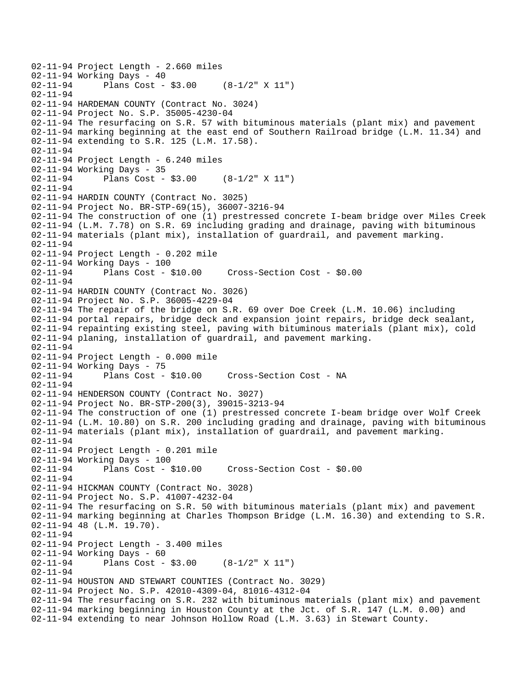```
02-11-94 Project Length - 2.660 miles 
02-11-94 Working Days - 40<br>02-11-94 Plans Cost -
              Plans Cost - $3.00 (8-1/2" X 11")
02-11-94 
02-11-94 HARDEMAN COUNTY (Contract No. 3024) 
02-11-94 Project No. S.P. 35005-4230-04 
02-11-94 The resurfacing on S.R. 57 with bituminous materials (plant mix) and pavement 
02-11-94 marking beginning at the east end of Southern Railroad bridge (L.M. 11.34) and 
02-11-94 extending to S.R. 125 (L.M. 17.58). 
02-11-94 
02-11-94 Project Length - 6.240 miles 
02-11-94 Working Days - 35 
02-11-94 Plans Cost - $3.00 (8-1/2" X 11") 
02-11-94 
02-11-94 HARDIN COUNTY (Contract No. 3025) 
02-11-94 Project No. BR-STP-69(15), 36007-3216-94 
02-11-94 The construction of one (1) prestressed concrete I-beam bridge over Miles Creek 
02-11-94 (L.M. 7.78) on S.R. 69 including grading and drainage, paving with bituminous 
02-11-94 materials (plant mix), installation of guardrail, and pavement marking. 
02-11-94 
02-11-94 Project Length - 0.202 mile 
02-11-94 Working Days - 100 
02-11-94 Plans Cost - $10.00 Cross-Section Cost - $0.00 
02-11-94 
02-11-94 HARDIN COUNTY (Contract No. 3026) 
02-11-94 Project No. S.P. 36005-4229-04 
02-11-94 The repair of the bridge on S.R. 69 over Doe Creek (L.M. 10.06) including 
02-11-94 portal repairs, bridge deck and expansion joint repairs, bridge deck sealant, 
02-11-94 repainting existing steel, paving with bituminous materials (plant mix), cold 
02-11-94 planing, installation of guardrail, and pavement marking. 
02-11-94 
02-11-94 Project Length - 0.000 mile 
02-11-94 Working Days - 75 
02-11-94 Plans Cost - $10.00 Cross-Section Cost - NA 
02-11-94 
02-11-94 HENDERSON COUNTY (Contract No. 3027) 
02-11-94 Project No. BR-STP-200(3), 39015-3213-94 
02-11-94 The construction of one (1) prestressed concrete I-beam bridge over Wolf Creek 
02-11-94 (L.M. 10.80) on S.R. 200 including grading and drainage, paving with bituminous 
02-11-94 materials (plant mix), installation of guardrail, and pavement marking. 
02-11-94 
02-11-94 Project Length - 0.201 mile 
02-11-94 Working Days - 100 
02-11-94 Plans Cost - $10.00 Cross-Section Cost - $0.00 
02-11-94 
02-11-94 HICKMAN COUNTY (Contract No. 3028) 
02-11-94 Project No. S.P. 41007-4232-04 
02-11-94 The resurfacing on S.R. 50 with bituminous materials (plant mix) and pavement 
02-11-94 marking beginning at Charles Thompson Bridge (L.M. 16.30) and extending to S.R. 
02-11-94 48 (L.M. 19.70). 
02-11-94 
02-11-94 Project Length - 3.400 miles 
02-11-94 Working Days - 60 
02-11-94 Plans Cost - $3.00 (8-1/2" X 11") 
02-11-94 
02-11-94 HOUSTON AND STEWART COUNTIES (Contract No. 3029) 
02-11-94 Project No. S.P. 42010-4309-04, 81016-4312-04 
02-11-94 The resurfacing on S.R. 232 with bituminous materials (plant mix) and pavement 
02-11-94 marking beginning in Houston County at the Jct. of S.R. 147 (L.M. 0.00) and 
02-11-94 extending to near Johnson Hollow Road (L.M. 3.63) in Stewart County.
```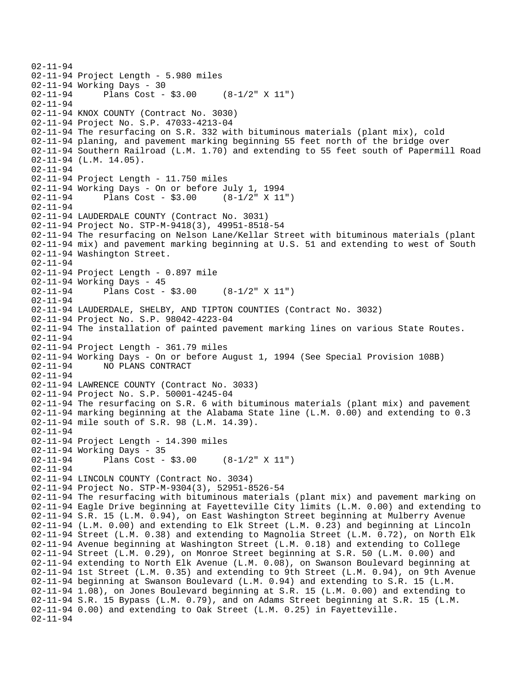```
02-11-94 
02-11-94 Project Length - 5.980 miles 
02-11-94 Working Days - 30 
02-11-94 Plans Cost - $3.00 (8-1/2" X 11") 
02-11-94 
02-11-94 KNOX COUNTY (Contract No. 3030) 
02-11-94 Project No. S.P. 47033-4213-04 
02-11-94 The resurfacing on S.R. 332 with bituminous materials (plant mix), cold 
02-11-94 planing, and pavement marking beginning 55 feet north of the bridge over 
02-11-94 Southern Railroad (L.M. 1.70) and extending to 55 feet south of Papermill Road 
02-11-94 (L.M. 14.05). 
02-11-94 
02-11-94 Project Length - 11.750 miles 
02-11-94 Working Days - On or before July 1, 1994 
02-11-94 Plans Cost - $3.00 (8-1/2" X 11") 
02-11-94 
02-11-94 LAUDERDALE COUNTY (Contract No. 3031) 
02-11-94 Project No. STP-M-9418(3), 49951-8518-54 
02-11-94 The resurfacing on Nelson Lane/Kellar Street with bituminous materials (plant 
02-11-94 mix) and pavement marking beginning at U.S. 51 and extending to west of South 
02-11-94 Washington Street. 
02-11-94 
02-11-94 Project Length - 0.897 mile 
02-11-94 Working Days - 45<br>02-11-94 Plans Cost -
              Plans Cost - $3.00 (8-1/2" X 11")
02-11-94 
02-11-94 LAUDERDALE, SHELBY, AND TIPTON COUNTIES (Contract No. 3032) 
02-11-94 Project No. S.P. 98042-4223-04 
02-11-94 The installation of painted pavement marking lines on various State Routes. 
02-11-94 
02-11-94 Project Length - 361.79 miles 
02-11-94 Working Days - On or before August 1, 1994 (See Special Provision 108B)<br>02-11-94 MO PLANS CONTRACT
              NO PLANS CONTRACT
02-11-94 
02-11-94 LAWRENCE COUNTY (Contract No. 3033) 
02-11-94 Project No. S.P. 50001-4245-04 
02-11-94 The resurfacing on S.R. 6 with bituminous materials (plant mix) and pavement 
02-11-94 marking beginning at the Alabama State line (L.M. 0.00) and extending to 0.3 
02-11-94 mile south of S.R. 98 (L.M. 14.39). 
02-11-94 
02-11-94 Project Length - 14.390 miles 
02-11-94 Working Days - 35 
02-11-94 Plans Cost - $3.00 (8-1/2" X 11") 
02-11-94 
02-11-94 LINCOLN COUNTY (Contract No. 3034) 
02-11-94 Project No. STP-M-9304(3), 52951-8526-54 
02-11-94 The resurfacing with bituminous materials (plant mix) and pavement marking on 
02-11-94 Eagle Drive beginning at Fayetteville City limits (L.M. 0.00) and extending to 
02-11-94 S.R. 15 (L.M. 0.94), on East Washington Street beginning at Mulberry Avenue 
02-11-94 (L.M. 0.00) and extending to Elk Street (L.M. 0.23) and beginning at Lincoln 
02-11-94 Street (L.M. 0.38) and extending to Magnolia Street (L.M. 0.72), on North Elk 
02-11-94 Avenue beginning at Washington Street (L.M. 0.18) and extending to College 
02-11-94 Street (L.M. 0.29), on Monroe Street beginning at S.R. 50 (L.M. 0.00) and 
02-11-94 extending to North Elk Avenue (L.M. 0.08), on Swanson Boulevard beginning at 
02-11-94 1st Street (L.M. 0.35) and extending to 9th Street (L.M. 0.94), on 9th Avenue 
02-11-94 beginning at Swanson Boulevard (L.M. 0.94) and extending to S.R. 15 (L.M. 
02-11-94 1.08), on Jones Boulevard beginning at S.R. 15 (L.M. 0.00) and extending to 
02-11-94 S.R. 15 Bypass (L.M. 0.79), and on Adams Street beginning at S.R. 15 (L.M. 
02-11-94 0.00) and extending to Oak Street (L.M. 0.25) in Fayetteville. 
02-11-94
```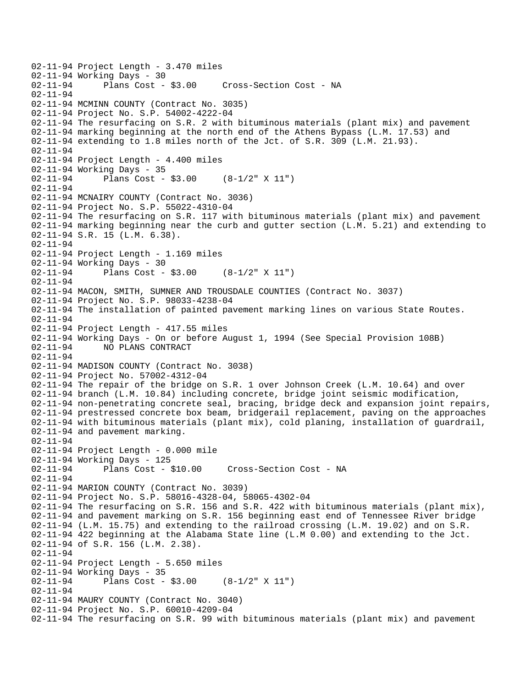```
02-11-94 Project Length - 3.470 miles 
02-11-94 Working Days - 30<br>02-11-94 Plans Cost - $3.00
                                    Cross-Section Cost - NA
02-11-94 
02-11-94 MCMINN COUNTY (Contract No. 3035) 
02-11-94 Project No. S.P. 54002-4222-04 
02-11-94 The resurfacing on S.R. 2 with bituminous materials (plant mix) and pavement 
02-11-94 marking beginning at the north end of the Athens Bypass (L.M. 17.53) and 
02-11-94 extending to 1.8 miles north of the Jct. of S.R. 309 (L.M. 21.93). 
02-11-94 
02-11-94 Project Length - 4.400 miles 
02-11-94 Working Days - 35 
02-11-94 Plans Cost - $3.00 (8-1/2" X 11") 
02-11-94 
02-11-94 MCNAIRY COUNTY (Contract No. 3036) 
02-11-94 Project No. S.P. 55022-4310-04 
02-11-94 The resurfacing on S.R. 117 with bituminous materials (plant mix) and pavement 
02-11-94 marking beginning near the curb and gutter section (L.M. 5.21) and extending to 
02-11-94 S.R. 15 (L.M. 6.38). 
02-11-94 
02-11-94 Project Length - 1.169 miles 
02-11-94 Working Days - 30 
02-11-94 Plans Cost - $3.00 (8-1/2" X 11") 
02-11-94 
02-11-94 MACON, SMITH, SUMNER AND TROUSDALE COUNTIES (Contract No. 3037) 
02-11-94 Project No. S.P. 98033-4238-04 
02-11-94 The installation of painted pavement marking lines on various State Routes. 
02-11-94 
02-11-94 Project Length - 417.55 miles 
02-11-94 Working Days - On or before August 1, 1994 (See Special Provision 108B) 
02-11-94 NO PLANS CONTRACT 
02-11-94 
02-11-94 MADISON COUNTY (Contract No. 3038) 
02-11-94 Project No. 57002-4312-04 
02-11-94 The repair of the bridge on S.R. 1 over Johnson Creek (L.M. 10.64) and over 
02-11-94 branch (L.M. 10.84) including concrete, bridge joint seismic modification, 
02-11-94 non-penetrating concrete seal, bracing, bridge deck and expansion joint repairs, 
02-11-94 prestressed concrete box beam, bridgerail replacement, paving on the approaches 
02-11-94 with bituminous materials (plant mix), cold planing, installation of guardrail, 
02-11-94 and pavement marking. 
02-11-94 
02-11-94 Project Length - 0.000 mile 
02-11-94 Working Days - 125 
02-11-94 Plans Cost - $10.00 Cross-Section Cost - NA 
02-11-94 
02-11-94 MARION COUNTY (Contract No. 3039) 
02-11-94 Project No. S.P. 58016-4328-04, 58065-4302-04 
02-11-94 The resurfacing on S.R. 156 and S.R. 422 with bituminous materials (plant mix),
02-11-94 and pavement marking on S.R. 156 beginning east end of Tennessee River bridge 
02-11-94 (L.M. 15.75) and extending to the railroad crossing (L.M. 19.02) and on S.R. 
02-11-94 422 beginning at the Alabama State line (L.M 0.00) and extending to the Jct. 
02-11-94 of S.R. 156 (L.M. 2.38). 
02-11-94 
02-11-94 Project Length - 5.650 miles 
02-11-94 Working Days - 35 
02-11-94 Plans Cost - $3.00 (8-1/2" X 11") 
02-11-94 
02-11-94 MAURY COUNTY (Contract No. 3040) 
02-11-94 Project No. S.P. 60010-4209-04 
02-11-94 The resurfacing on S.R. 99 with bituminous materials (plant mix) and pavement
```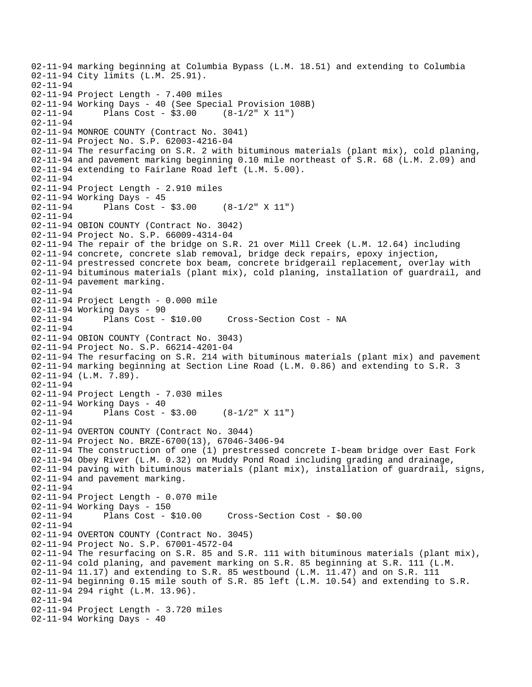```
02-11-94 marking beginning at Columbia Bypass (L.M. 18.51) and extending to Columbia 
02-11-94 City limits (L.M. 25.91). 
02-11-94 
02-11-94 Project Length - 7.400 miles 
02-11-94 Working Days - 40 (See Special Provision 108B) 
02-11-94 Plans Cost - $3.00 (8-1/2" X 11") 
02-11-94 
02-11-94 MONROE COUNTY (Contract No. 3041) 
02-11-94 Project No. S.P. 62003-4216-04 
02-11-94 The resurfacing on S.R. 2 with bituminous materials (plant mix), cold planing, 
02-11-94 and pavement marking beginning 0.10 mile northeast of S.R. 68 (L.M. 2.09) and 
02-11-94 extending to Fairlane Road left (L.M. 5.00). 
02-11-94 
02-11-94 Project Length - 2.910 miles 
02-11-94 Working Days - 45 
02-11-94 Plans Cost - $3.00 (8-1/2" X 11") 
02-11-94 
02-11-94 OBION COUNTY (Contract No. 3042) 
02-11-94 Project No. S.P. 66009-4314-04 
02-11-94 The repair of the bridge on S.R. 21 over Mill Creek (L.M. 12.64) including 
02-11-94 concrete, concrete slab removal, bridge deck repairs, epoxy injection, 
02-11-94 prestressed concrete box beam, concrete bridgerail replacement, overlay with 
02-11-94 bituminous materials (plant mix), cold planing, installation of guardrail, and 
02-11-94 pavement marking. 
02-11-94 
02-11-94 Project Length - 0.000 mile 
02-11-94 Working Days - 90<br>02-11-94 Plans Cost - $10.00
02-11-94 Plans Cost - $10.00 Cross-Section Cost - NA 
02-11-94 
02-11-94 OBION COUNTY (Contract No. 3043) 
02-11-94 Project No. S.P. 66214-4201-04 
02-11-94 The resurfacing on S.R. 214 with bituminous materials (plant mix) and pavement 
02-11-94 marking beginning at Section Line Road (L.M. 0.86) and extending to S.R. 3 
02-11-94 (L.M. 7.89). 
02-11-94 
02-11-94 Project Length - 7.030 miles 
02-11-94 Working Days - 40 
02-11-94 Plans Cost - $3.00 (8-1/2" X 11") 
02-11-94 
02-11-94 OVERTON COUNTY (Contract No. 3044) 
02-11-94 Project No. BRZE-6700(13), 67046-3406-94 
02-11-94 The construction of one (1) prestressed concrete I-beam bridge over East Fork 
02-11-94 Obey River (L.M. 0.32) on Muddy Pond Road including grading and drainage, 
02-11-94 paving with bituminous materials (plant mix), installation of guardrail, signs, 
02-11-94 and pavement marking. 
02-11-94 
02-11-94 Project Length - 0.070 mile 
02-11-94 Working Days - 150 
                                      Cross-Section Cost - $0.00
02-11-94 
02-11-94 OVERTON COUNTY (Contract No. 3045) 
02-11-94 Project No. S.P. 67001-4572-04 
02-11-94 The resurfacing on S.R. 85 and S.R. 111 with bituminous materials (plant mix), 
02-11-94 cold planing, and pavement marking on S.R. 85 beginning at S.R. 111 (L.M. 
02-11-94 11.17) and extending to S.R. 85 westbound (L.M. 11.47) and on S.R. 111 
02-11-94 beginning 0.15 mile south of S.R. 85 left (L.M. 10.54) and extending to S.R. 
02-11-94 294 right (L.M. 13.96). 
02-11-94 
02-11-94 Project Length - 3.720 miles 
02-11-94 Working Days - 40
```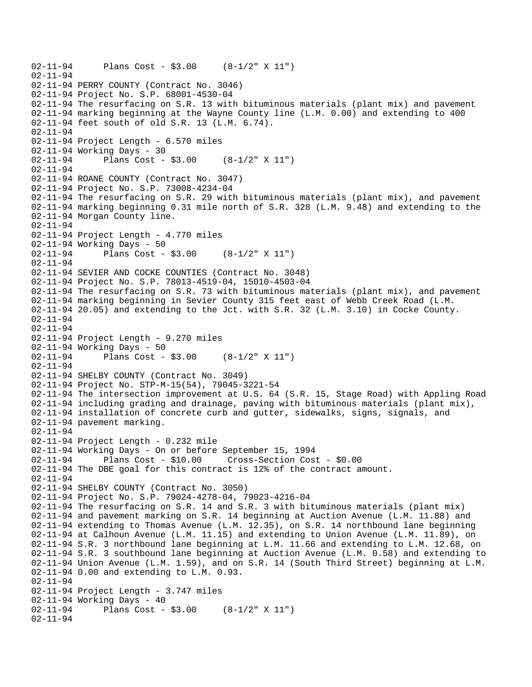```
02-11-94 Plans Cost - $3.00 (8-1/2" X 11") 
02-11-94 
02-11-94 PERRY COUNTY (Contract No. 3046) 
02-11-94 Project No. S.P. 68001-4530-04 
02-11-94 The resurfacing on S.R. 13 with bituminous materials (plant mix) and pavement 
02-11-94 marking beginning at the Wayne County line (L.M. 0.00) and extending to 400 
02-11-94 feet south of old S.R. 13 (L.M. 6.74). 
02-11-94 
02-11-94 Project Length - 6.570 miles 
02-11-94 Working Days - 30 
02-11-94 Plans Cost - $3.00 (8-1/2" X 11") 
02-11-94 
02-11-94 ROANE COUNTY (Contract No. 3047) 
02-11-94 Project No. S.P. 73008-4234-04 
02-11-94 The resurfacing on S.R. 29 with bituminous materials (plant mix), and pavement 
02-11-94 marking beginning 0.31 mile north of S.R. 328 (L.M. 9.48) and extending to the 
02-11-94 Morgan County line. 
02-11-94 
02-11-94 Project Length - 4.770 miles 
02-11-94 Working Days - 50 
02-11-94 Plans Cost - $3.00 (8-1/2" X 11") 
02-11-94 
02-11-94 SEVIER AND COCKE COUNTIES (Contract No. 3048) 
02-11-94 Project No. S.P. 78013-4519-04, 15010-4503-04 
02-11-94 The resurfacing on S.R. 73 with bituminous materials (plant mix), and pavement 
02-11-94 marking beginning in Sevier County 315 feet east of Webb Creek Road (L.M. 
02-11-94 20.05) and extending to the Jct. with S.R. 32 (L.M. 3.10) in Cocke County. 
02-11-94 
02-11-94 
02-11-94 Project Length - 9.270 miles 
02-11-94 Working Days - 50 
02-11-94 Plans Cost - $3.00 (8-1/2" X 11") 
02-11-94 
02-11-94 SHELBY COUNTY (Contract No. 3049) 
02-11-94 Project No. STP-M-15(54), 79045-3221-54 
02-11-94 The intersection improvement at U.S. 64 (S.R. 15, Stage Road) with Appling Road 
02-11-94 including grading and drainage, paving with bituminous materials (plant mix), 
02-11-94 installation of concrete curb and gutter, sidewalks, signs, signals, and 
02-11-94 pavement marking. 
02-11-94 
02-11-94 Project Length - 0.232 mile 
02-11-94 Working Days - On or before September 15, 1994 
02-11-94 Plans Cost - $10.00 Cross-Section Cost - $0.00 
02-11-94 The DBE goal for this contract is 12% of the contract amount. 
02-11-94 
02-11-94 SHELBY COUNTY (Contract No. 3050) 
02-11-94 Project No. S.P. 79024-4278-04, 79023-4216-04 
02-11-94 The resurfacing on S.R. 14 and S.R. 3 with bituminous materials (plant mix) 
02-11-94 and pavement marking on S.R. 14 beginning at Auction Avenue (L.M. 11.88) and 
02-11-94 extending to Thomas Avenue (L.M. 12.35), on S.R. 14 northbound lane beginning 
02-11-94 at Calhoun Avenue (L.M. 11.15) and extending to Union Avenue (L.M. 11.89), on 
02-11-94 S.R. 3 northbound lane beginning at L.M. 11.66 and extending to L.M. 12.68, on 
02-11-94 S.R. 3 southbound lane beginning at Auction Avenue (L.M. 0.58) and extending to 
02-11-94 Union Avenue (L.M. 1.59), and on S.R. 14 (South Third Street) beginning at L.M. 
02-11-94 0.00 and extending to L.M. 0.93. 
02-11-94 
02-11-94 Project Length - 3.747 miles
02-11-94 Working Days - 40<br>02-11-94 Plans Cost -
             Plans Cost - $3.00 (8-1/2" X 11")
02-11-94
```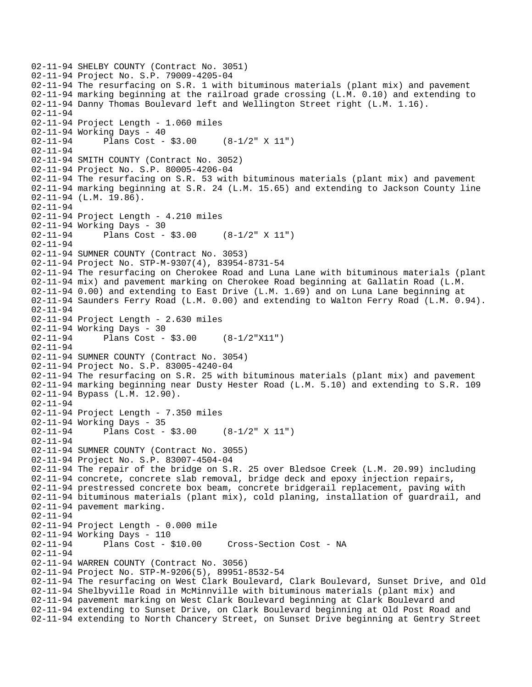```
02-11-94 SHELBY COUNTY (Contract No. 3051) 
02-11-94 Project No. S.P. 79009-4205-04 
02-11-94 The resurfacing on S.R. 1 with bituminous materials (plant mix) and pavement 
02-11-94 marking beginning at the railroad grade crossing (L.M. 0.10) and extending to 
02-11-94 Danny Thomas Boulevard left and Wellington Street right (L.M. 1.16). 
02-11-94 
02-11-94 Project Length - 1.060 miles 
02-11-94 Working Days - 40 
02-11-94 Plans Cost - $3.00 (8-1/2" X 11") 
02-11-94 
02-11-94 SMITH COUNTY (Contract No. 3052) 
02-11-94 Project No. S.P. 80005-4206-04 
02-11-94 The resurfacing on S.R. 53 with bituminous materials (plant mix) and pavement 
02-11-94 marking beginning at S.R. 24 (L.M. 15.65) and extending to Jackson County line 
02-11-94 (L.M. 19.86). 
02-11-94 
02-11-94 Project Length - 4.210 miles 
02-11-94 Working Days - 30 
02-11-94 Plans Cost - $3.00 (8-1/2" X 11") 
02-11-94 
02-11-94 SUMNER COUNTY (Contract No. 3053) 
02-11-94 Project No. STP-M-9307(4), 83954-8731-54 
02-11-94 The resurfacing on Cherokee Road and Luna Lane with bituminous materials (plant 
02-11-94 mix) and pavement marking on Cherokee Road beginning at Gallatin Road (L.M. 
02-11-94 0.00) and extending to East Drive (L.M. 1.69) and on Luna Lane beginning at 
02-11-94 Saunders Ferry Road (L.M. 0.00) and extending to Walton Ferry Road (L.M. 0.94). 
02-11-94 
02-11-94 Project Length - 2.630 miles 
02-11-94 Working Days - 30 
02-11-94 Plans Cost - $3.00 (8-1/2"X11") 
02-11-94 
02-11-94 SUMNER COUNTY (Contract No. 3054) 
02-11-94 Project No. S.P. 83005-4240-04 
02-11-94 The resurfacing on S.R. 25 with bituminous materials (plant mix) and pavement 
02-11-94 marking beginning near Dusty Hester Road (L.M. 5.10) and extending to S.R. 109 
02-11-94 Bypass (L.M. 12.90). 
02-11-94 
02-11-94 Project Length - 7.350 miles 
02-11-94 Working Days - 35 
02-11-94 Plans Cost - $3.00 (8-1/2" X 11") 
02-11-94 
02-11-94 SUMNER COUNTY (Contract No. 3055) 
02-11-94 Project No. S.P. 83007-4504-04 
02-11-94 The repair of the bridge on S.R. 25 over Bledsoe Creek (L.M. 20.99) including 
02-11-94 concrete, concrete slab removal, bridge deck and epoxy injection repairs, 
02-11-94 prestressed concrete box beam, concrete bridgerail replacement, paving with 
02-11-94 bituminous materials (plant mix), cold planing, installation of guardrail, and 
02-11-94 pavement marking. 
02-11-94 
02-11-94 Project Length - 0.000 mile 
02-11-94 Working Days - 110 
02-11-94 Plans Cost - $10.00 Cross-Section Cost - NA 
02-11-94 
02-11-94 WARREN COUNTY (Contract No. 3056) 
02-11-94 Project No. STP-M-9206(5), 89951-8532-54 
02-11-94 The resurfacing on West Clark Boulevard, Clark Boulevard, Sunset Drive, and Old 
02-11-94 Shelbyville Road in McMinnville with bituminous materials (plant mix) and 
02-11-94 pavement marking on West Clark Boulevard beginning at Clark Boulevard and 
02-11-94 extending to Sunset Drive, on Clark Boulevard beginning at Old Post Road and 
02-11-94 extending to North Chancery Street, on Sunset Drive beginning at Gentry Street
```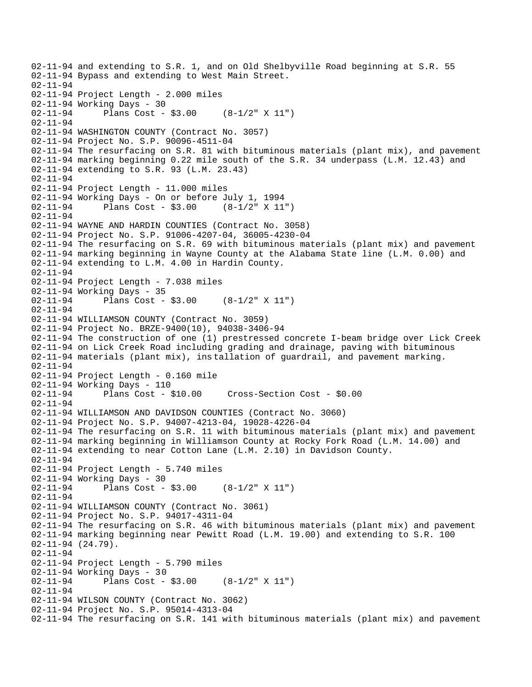02-11-94 and extending to S.R. 1, and on Old Shelbyville Road beginning at S.R. 55 02-11-94 Bypass and extending to West Main Street. 02-11-94 02-11-94 Project Length - 2.000 miles 02-11-94 Working Days - 30 02-11-94 Plans Cost - \$3.00 (8-1/2" X 11") 02-11-94 02-11-94 WASHINGTON COUNTY (Contract No. 3057) 02-11-94 Project No. S.P. 90096-4511-04 02-11-94 The resurfacing on S.R. 81 with bituminous materials (plant mix), and pavement 02-11-94 marking beginning 0.22 mile south of the S.R. 34 underpass (L.M. 12.43) and 02-11-94 extending to S.R. 93 (L.M. 23.43) 02-11-94 02-11-94 Project Length - 11.000 miles 02-11-94 Working Days - On or before July 1, 1994 02-11-94 Plans Cost - \$3.00 (8-1/2" X 11") 02-11-94 02-11-94 WAYNE AND HARDIN COUNTIES (Contract No. 3058) 02-11-94 Project No. S.P. 91006-4207-04, 36005-4230-04 02-11-94 The resurfacing on S.R. 69 with bituminous materials (plant mix) and pavement 02-11-94 marking beginning in Wayne County at the Alabama State line (L.M. 0.00) and 02-11-94 extending to L.M. 4.00 in Hardin County. 02-11-94 02-11-94 Project Length - 7.038 miles 02-11-94 Working Days - 35 02-11-94 Plans Cost - \$3.00 (8-1/2" X 11") 02-11-94 02-11-94 WILLIAMSON COUNTY (Contract No. 3059) 02-11-94 Project No. BRZE-9400(10), 94038-3406-94 02-11-94 The construction of one (1) prestressed concrete I-beam bridge over Lick Creek 02-11-94 on Lick Creek Road including grading and drainage, paving with bituminous 02-11-94 materials (plant mix), ins tallation of guardrail, and pavement marking. 02-11-94 02-11-94 Project Length - 0.160 mile 02-11-94 Working Days - 110 02-11-94 Plans Cost - \$10.00 Cross-Section Cost - \$0.00 02-11-94 02-11-94 WILLIAMSON AND DAVIDSON COUNTIES (Contract No. 3060) 02-11-94 Project No. S.P. 94007-4213-04, 19028-4226-04 02-11-94 The resurfacing on S.R. 11 with bituminous materials (plant mix) and pavement 02-11-94 marking beginning in Williamson County at Rocky Fork Road (L.M. 14.00) and 02-11-94 extending to near Cotton Lane (L.M. 2.10) in Davidson County. 02-11-94 02-11-94 Project Length - 5.740 miles 02-11-94 Working Days - 30 02-11-94 Plans Cost - \$3.00 (8-1/2" X 11") 02-11-94 02-11-94 WILLIAMSON COUNTY (Contract No. 3061) 02-11-94 Project No. S.P. 94017-4311-04 02-11-94 The resurfacing on S.R. 46 with bituminous materials (plant mix) and pavement 02-11-94 marking beginning near Pewitt Road (L.M. 19.00) and extending to S.R. 100 02-11-94 (24.79). 02-11-94 02-11-94 Project Length - 5.790 miles 02-11-94 Working Days - 30 02-11-94 Plans Cost - \$3.00 (8-1/2" X 11") 02-11-94 02-11-94 WILSON COUNTY (Contract No. 3062) 02-11-94 Project No. S.P. 95014-4313-04 02-11-94 The resurfacing on S.R. 141 with bituminous materials (plant mix) and pavement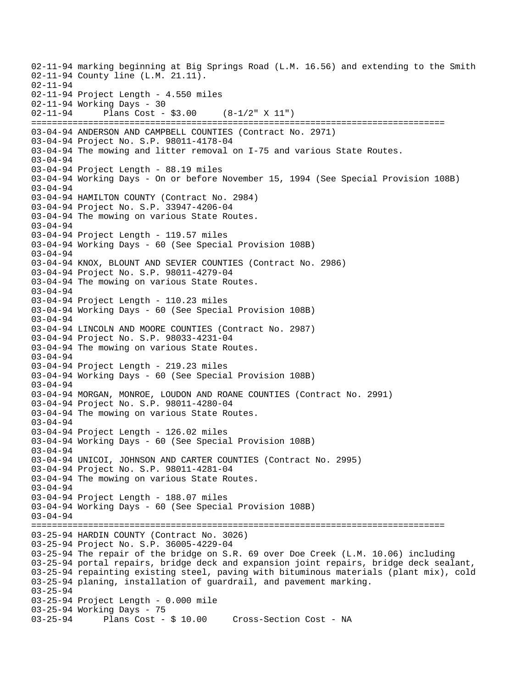02-11-94 marking beginning at Big Springs Road (L.M. 16.56) and extending to the Smith 02-11-94 County line (L.M. 21.11). 02-11-94 02-11-94 Project Length - 4.550 miles 02-11-94 Working Days - 30 02-11-94 Plans Cost - \$3.00 (8-1/2" X 11") ================================================================================ 03-04-94 ANDERSON AND CAMPBELL COUNTIES (Contract No. 2971) 03-04-94 Project No. S.P. 98011-4178-04 03-04-94 The mowing and litter removal on I-75 and various State Routes. 03-04-94 03-04-94 Project Length - 88.19 miles 03-04-94 Working Days - On or before November 15, 1994 (See Special Provision 108B) 03-04-94 03-04-94 HAMILTON COUNTY (Contract No. 2984) 03-04-94 Project No. S.P. 33947-4206-04 03-04-94 The mowing on various State Routes. 03-04-94 03-04-94 Project Length - 119.57 miles 03-04-94 Working Days - 60 (See Special Provision 108B) 03-04-94 03-04-94 KNOX, BLOUNT AND SEVIER COUNTIES (Contract No. 2986) 03-04-94 Project No. S.P. 98011-4279-04 03-04-94 The mowing on various State Routes. 03-04-94 03-04-94 Project Length - 110.23 miles 03-04-94 Working Days - 60 (See Special Provision 108B) 03-04-94 03-04-94 LINCOLN AND MOORE COUNTIES (Contract No. 2987) 03-04-94 Project No. S.P. 98033-4231-04 03-04-94 The mowing on various State Routes. 03-04-94 03-04-94 Project Length - 219.23 miles 03-04-94 Working Days - 60 (See Special Provision 108B) 03-04-94 03-04-94 MORGAN, MONROE, LOUDON AND ROANE COUNTIES (Contract No. 2991) 03-04-94 Project No. S.P. 98011-4280-04 03-04-94 The mowing on various State Routes. 03-04-94 03-04-94 Project Length - 126.02 miles 03-04-94 Working Days - 60 (See Special Provision 108B)  $03 - 04 - 94$ 03-04-94 UNICOI, JOHNSON AND CARTER COUNTIES (Contract No. 2995) 03-04-94 Project No. S.P. 98011-4281-04 03-04-94 The mowing on various State Routes. 03-04-94 03-04-94 Project Length - 188.07 miles 03-04-94 Working Days - 60 (See Special Provision 108B) 03-04-94 ================================================================================ 03-25-94 HARDIN COUNTY (Contract No. 3026) 03-25-94 Project No. S.P. 36005-4229-04 03-25-94 The repair of the bridge on S.R. 69 over Doe Creek (L.M. 10.06) including 03-25-94 portal repairs, bridge deck and expansion joint repairs, bridge deck sealant, 03-25-94 repainting existing steel, paving with bituminous materials (plant mix), cold 03-25-94 planing, installation of guardrail, and pavement marking. 03-25-94 03-25-94 Project Length - 0.000 mile 03-25-94 Working Days - 75<br>03-25-94 Plans Cost -Plans Cost - \$ 10.00 Cross-Section Cost - NA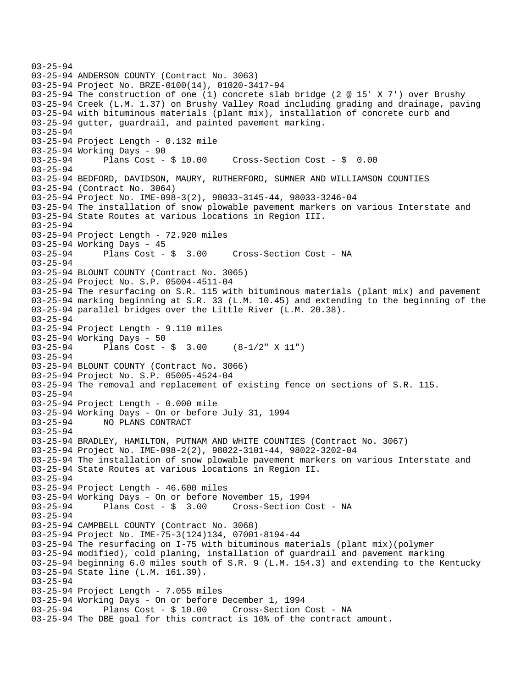```
03-25-94 
03-25-94 ANDERSON COUNTY (Contract No. 3063) 
03-25-94 Project No. BRZE-0100(14), 01020-3417-94 
03-25-94 The construction of one (1) concrete slab bridge (2 @ 15' X 7') over Brushy 
03-25-94 Creek (L.M. 1.37) on Brushy Valley Road including grading and drainage, paving 
03-25-94 with bituminous materials (plant mix), installation of concrete curb and 
03-25-94 gutter, guardrail, and painted pavement marking. 
03-25-94 
03-25-94 Project Length - 0.132 mile 
03-25-94 Working Days - 90 
03-25-94 Plans Cost - $ 10.00 Cross-Section Cost - $ 0.00 
03-25-94 
03-25-94 BEDFORD, DAVIDSON, MAURY, RUTHERFORD, SUMNER AND WILLIAMSON COUNTIES 
03-25-94 (Contract No. 3064) 
03-25-94 Project No. IME-098-3(2), 98033-3145-44, 98033-3246-04 
03-25-94 The installation of snow plowable pavement markers on various Interstate and 
03-25-94 State Routes at various locations in Region III. 
03-25-94 
03-25-94 Project Length - 72.920 miles 
03-25-94 Working Days - 45<br>03-25-94 Plans Cost - $ 3.00
03-25-94 Plans Cost - $ 3.00 Cross-Section Cost - NA 
03-25-94 
03-25-94 BLOUNT COUNTY (Contract No. 3065) 
03-25-94 Project No. S.P. 05004-4511-04 
03-25-94 The resurfacing on S.R. 115 with bituminous materials (plant mix) and pavement 
03-25-94 marking beginning at S.R. 33 (L.M. 10.45) and extending to the beginning of the 
03-25-94 parallel bridges over the Little River (L.M. 20.38). 
03-25-94 
03-25-94 Project Length - 9.110 miles 
03-25-94 Working Days - 50 
03-25-94 Plans Cost - $ 3.00 (8-1/2" X 11") 
03-25-94 
03-25-94 BLOUNT COUNTY (Contract No. 3066) 
03-25-94 Project No. S.P. 05005-4524-04 
03-25-94 The removal and replacement of existing fence on sections of S.R. 115. 
03-25-94 
03-25-94 Project Length - 0.000 mile 
03-25-94 Working Days - On or before July 31, 1994 
03-25-94 NO PLANS CONTRACT 
03-25-94 
03-25-94 BRADLEY, HAMILTON, PUTNAM AND WHITE COUNTIES (Contract No. 3067) 
03-25-94 Project No. IME-098-2(2), 98022-3101-44, 98022-3202-04 
03-25-94 The installation of snow plowable pavement markers on various Interstate and 
03-25-94 State Routes at various locations in Region II. 
03-25-94 
03-25-94 Project Length - 46.600 miles 
03-25-94 Working Days - On or before November 15, 1994 
                                        Cross-Section Cost - NA
03-25-94 
03-25-94 CAMPBELL COUNTY (Contract No. 3068) 
03-25-94 Project No. IME-75-3(124)134, 07001-8194-44 
03-25-94 The resurfacing on I-75 with bituminous materials (plant mix)(polymer 
03-25-94 modified), cold planing, installation of guardrail and pavement marking 
03-25-94 beginning 6.0 miles south of S.R. 9 (L.M. 154.3) and extending to the Kentucky 
03-25-94 State line (L.M. 161.39). 
03-25-94 
03-25-94 Project Length - 7.055 miles 
03-25-94 Working Days - On or before December 1, 1994<br>03-25-94 Plans Cost - $ 10.00 Cross-Section
              Plans Cost - $ 10.00 Cross-Section Cost - NA
03-25-94 The DBE goal for this contract is 10% of the contract amount.
```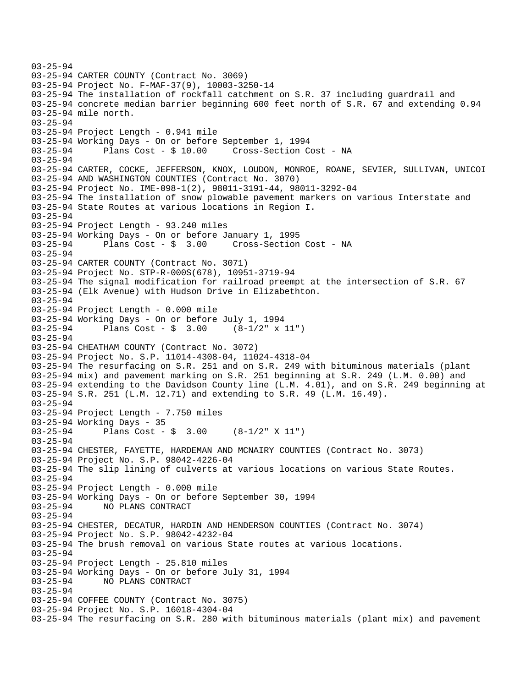03-25-94 03-25-94 CARTER COUNTY (Contract No. 3069) 03-25-94 Project No. F-MAF-37(9), 10003-3250-14 03-25-94 The installation of rockfall catchment on S.R. 37 including guardrail and 03-25-94 concrete median barrier beginning 600 feet north of S.R. 67 and extending 0.94 03-25-94 mile north. 03-25-94 03-25-94 Project Length - 0.941 mile 03-25-94 Working Days - On or before September 1, 1994 Plans Cost - \$ 10.00 Cross-Section Cost - NA 03-25-94 03-25-94 CARTER, COCKE, JEFFERSON, KNOX, LOUDON, MONROE, ROANE, SEVIER, SULLIVAN, UNICOI 03-25-94 AND WASHINGTON COUNTIES (Contract No. 3070) 03-25-94 Project No. IME-098-1(2), 98011-3191-44, 98011-3292-04 03-25-94 The installation of snow plowable pavement markers on various Interstate and 03-25-94 State Routes at various locations in Region I. 03-25-94 03-25-94 Project Length - 93.240 miles 03-25-94 Working Days - On or before January 1, 1995 03-25-94 Plans Cost - \$ 3.00 Cross-Section Cost - NA 03-25-94 03-25-94 CARTER COUNTY (Contract No. 3071) 03-25-94 Project No. STP-R-000S(678), 10951-3719-94 03-25-94 The signal modification for railroad preempt at the intersection of S.R. 67 03-25-94 (Elk Avenue) with Hudson Drive in Elizabethton. 03-25-94 03-25-94 Project Length - 0.000 mile 03-25-94 Working Days - On or before July 1, 1994 03-25-94 Plans Cost - \$ 3.00 (8-1/2" x 11") 03-25-94 03-25-94 CHEATHAM COUNTY (Contract No. 3072) 03-25-94 Project No. S.P. 11014-4308-04, 11024-4318-04 03-25-94 The resurfacing on S.R. 251 and on S.R. 249 with bituminous materials (plant 03-25-94 mix) and pavement marking on S.R. 251 beginning at S.R. 249 (L.M. 0.00) and 03-25-94 extending to the Davidson County line (L.M. 4.01), and on S.R. 249 beginning at 03-25-94 S.R. 251 (L.M. 12.71) and extending to S.R. 49 (L.M. 16.49). 03-25-94 03-25-94 Project Length - 7.750 miles 03-25-94 Working Days - 35 03-25-94 Plans Cost - \$ 3.00 (8-1/2" X 11") 03-25-94 03-25-94 CHESTER, FAYETTE, HARDEMAN AND MCNAIRY COUNTIES (Contract No. 3073) 03-25-94 Project No. S.P. 98042-4226-04 03-25-94 The slip lining of culverts at various locations on various State Routes. 03-25-94 03-25-94 Project Length - 0.000 mile 03-25-94 Working Days - On or before September 30, 1994 03-25-94 NO PLANS CONTRACT 03-25-94 03-25-94 CHESTER, DECATUR, HARDIN AND HENDERSON COUNTIES (Contract No. 3074) 03-25-94 Project No. S.P. 98042-4232-04 03-25-94 The brush removal on various State routes at various locations. 03-25-94 03-25-94 Project Length - 25.810 miles 03-25-94 Working Days - On or before July 31, 1994 03-25-94 NO PLANS CONTRACT 03-25-94 03-25-94 COFFEE COUNTY (Contract No. 3075) 03-25-94 Project No. S.P. 16018-4304-04 03-25-94 The resurfacing on S.R. 280 with bituminous materials (plant mix) and pavement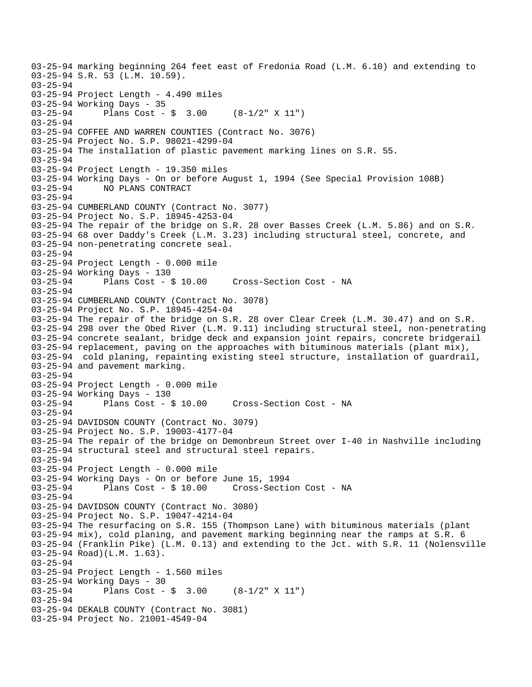03-25-94 marking beginning 264 feet east of Fredonia Road (L.M. 6.10) and extending to 03-25-94 S.R. 53 (L.M. 10.59). 03-25-94 03-25-94 Project Length - 4.490 miles 03-25-94 Working Days - 35 03-25-94 Plans Cost - \$ 3.00 (8-1/2" X 11") 03-25-94 03-25-94 COFFEE AND WARREN COUNTIES (Contract No. 3076) 03-25-94 Project No. S.P. 98021-4299-04 03-25-94 The installation of plastic pavement marking lines on S.R. 55. 03-25-94 03-25-94 Project Length - 19.350 miles 03-25-94 Working Days - On or before August 1, 1994 (See Special Provision 108B) 03-25-94 NO PLANS CONTRACT 03-25-94 03-25-94 CUMBERLAND COUNTY (Contract No. 3077) 03-25-94 Project No. S.P. 18945-4253-04 03-25-94 The repair of the bridge on S.R. 28 over Basses Creek (L.M. 5.86) and on S.R. 03-25-94 68 over Daddy's Creek (L.M. 3.23) including structural steel, concrete, and 03-25-94 non-penetrating concrete seal. 03-25-94 03-25-94 Project Length - 0.000 mile 03-25-94 Working Days - 130 03-25-94 Plans Cost - \$ 10.00 Cross-Section Cost - NA 03-25-94 03-25-94 CUMBERLAND COUNTY (Contract No. 3078) 03-25-94 Project No. S.P. 18945-4254-04 03-25-94 The repair of the bridge on S.R. 28 over Clear Creek (L.M. 30.47) and on S.R. 03-25-94 298 over the Obed River (L.M. 9.11) including structural steel, non-penetrating 03-25-94 concrete sealant, bridge deck and expansion joint repairs, concrete bridgerail 03-25-94 replacement, paving on the approaches with bituminous materials (plant mix), 03-25-94 cold planing, repainting existing steel structure, installation of guardrail, 03-25-94 and pavement marking. 03-25-94 03-25-94 Project Length - 0.000 mile 03-25-94 Working Days - 130 03-25-94 Plans Cost - \$ 10.00 Cross-Section Cost - NA 03-25-94 03-25-94 DAVIDSON COUNTY (Contract No. 3079) 03-25-94 Project No. S.P. 19003-4177-04 03-25-94 The repair of the bridge on Demonbreun Street over I-40 in Nashville including 03-25-94 structural steel and structural steel repairs. 03-25-94 03-25-94 Project Length - 0.000 mile 03-25-94 Working Days - On or before June 15, 1994 03-25-94 Plans Cost - \$ 10.00 Cross-Section Cost - NA 03-25-94 03-25-94 DAVIDSON COUNTY (Contract No. 3080) 03-25-94 Project No. S.P. 19047-4214-04 03-25-94 The resurfacing on S.R. 155 (Thompson Lane) with bituminous materials (plant 03-25-94 mix), cold planing, and pavement marking beginning near the ramps at S.R. 6 03-25-94 (Franklin Pike) (L.M. 0.13) and extending to the Jct. with S.R. 11 (Nolensville 03-25-94 Road)(L.M. 1.63). 03-25-94 03-25-94 Project Length - 1.560 miles 03-25-94 Working Days - 30 03-25-94 Plans Cost - \$ 3.00 (8-1/2" X 11") 03-25-94 03-25-94 DEKALB COUNTY (Contract No. 3081) 03-25-94 Project No. 21001-4549-04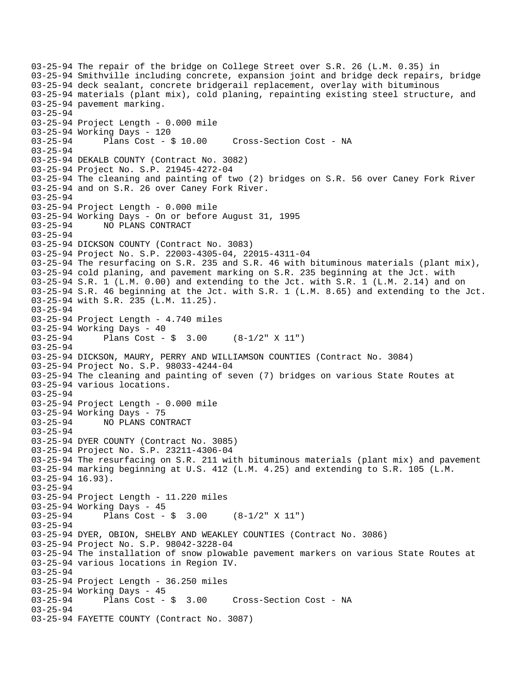03-25-94 The repair of the bridge on College Street over S.R. 26 (L.M. 0.35) in 03-25-94 Smithville including concrete, expansion joint and bridge deck repairs, bridge 03-25-94 deck sealant, concrete bridgerail replacement, overlay with bituminous 03-25-94 materials (plant mix), cold planing, repainting existing steel structure, and 03-25-94 pavement marking. 03-25-94 03-25-94 Project Length - 0.000 mile 03-25-94 Working Days - 120 03-25-94 Plans Cost - \$ 10.00 Cross-Section Cost - NA 03-25-94 03-25-94 DEKALB COUNTY (Contract No. 3082) 03-25-94 Project No. S.P. 21945-4272-04 03-25-94 The cleaning and painting of two (2) bridges on S.R. 56 over Caney Fork River 03-25-94 and on S.R. 26 over Caney Fork River. 03-25-94 03-25-94 Project Length - 0.000 mile 03-25-94 Working Days - On or before August 31, 1995 03-25-94 NO PLANS CONTRACT 03-25-94 03-25-94 DICKSON COUNTY (Contract No. 3083) 03-25-94 Project No. S.P. 22003-4305-04, 22015-4311-04 03-25-94 The resurfacing on S.R. 235 and S.R. 46 with bituminous materials (plant mix), 03-25-94 cold planing, and pavement marking on S.R. 235 beginning at the Jct. with 03-25-94 S.R. 1 (L.M. 0.00) and extending to the Jct. with S.R. 1 (L.M. 2.14) and on 03-25-94 S.R. 46 beginning at the Jct. with S.R. 1 (L.M. 8.65) and extending to the Jct. 03-25-94 with S.R. 235 (L.M. 11.25). 03-25-94 03-25-94 Project Length - 4.740 miles 03-25-94 Working Days - 40 03-25-94 Plans Cost - \$ 3.00 (8-1/2" X 11") 03-25-94 03-25-94 DICKSON, MAURY, PERRY AND WILLIAMSON COUNTIES (Contract No. 3084) 03-25-94 Project No. S.P. 98033-4244-04 03-25-94 The cleaning and painting of seven (7) bridges on various State Routes at 03-25-94 various locations. 03-25-94 03-25-94 Project Length - 0.000 mile 03-25-94 Working Days - 75 03-25-94 NO PLANS CONTRACT 03-25-94 03-25-94 DYER COUNTY (Contract No. 3085) 03-25-94 Project No. S.P. 23211-4306-04 03-25-94 The resurfacing on S.R. 211 with bituminous materials (plant mix) and pavement 03-25-94 marking beginning at U.S. 412 (L.M. 4.25) and extending to S.R. 105 (L.M. 03-25-94 16.93). 03-25-94 03-25-94 Project Length - 11.220 miles 03-25-94 Working Days - 45<br>03-25-94 Plans Cost -Plans Cost -  $\frac{1}{5}$  3.00 (8-1/2" X 11") 03-25-94 03-25-94 DYER, OBION, SHELBY AND WEAKLEY COUNTIES (Contract No. 3086) 03-25-94 Project No. S.P. 98042-3228-04 03-25-94 The installation of snow plowable pavement markers on various State Routes at 03-25-94 various locations in Region IV. 03-25-94 03-25-94 Project Length - 36.250 miles 03-25-94 Working Days - 45<br>03-25-94 Plans Cost -Plans Cost - \$ 3.00 Cross-Section Cost - NA 03-25-94 03-25-94 FAYETTE COUNTY (Contract No. 3087)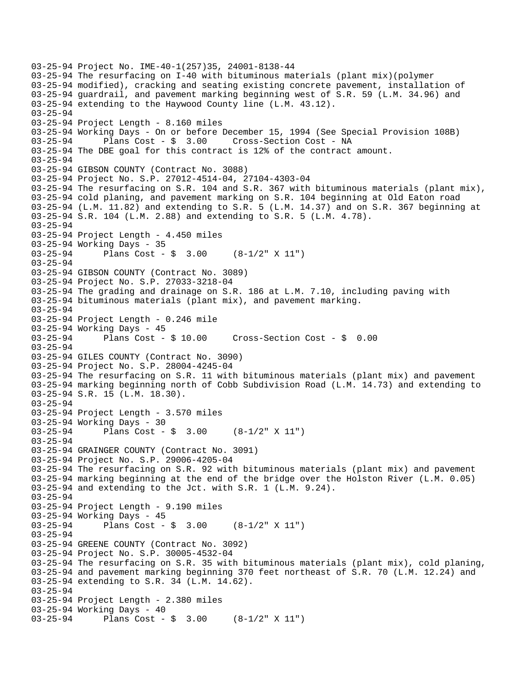```
03-25-94 Project No. IME-40-1(257)35, 24001-8138-44 
03-25-94 The resurfacing on I-40 with bituminous materials (plant mix)(polymer 
03-25-94 modified), cracking and seating existing concrete pavement, installation of 
03-25-94 guardrail, and pavement marking beginning west of S.R. 59 (L.M. 34.96) and 
03-25-94 extending to the Haywood County line (L.M. 43.12). 
03-25-94 
03-25-94 Project Length - 8.160 miles 
03-25-94 Working Days - On or before December 15, 1994 (See Special Provision 108B) 
03-25-94 Plans Cost - $ 3.00 Cross-Section Cost - NA 
03-25-94 The DBE goal for this contract is 12% of the contract amount. 
03-25-94 
03-25-94 GIBSON COUNTY (Contract No. 3088) 
03-25-94 Project No. S.P. 27012-4514-04, 27104-4303-04 
03-25-94 The resurfacing on S.R. 104 and S.R. 367 with bituminous materials (plant mix), 
03-25-94 cold planing, and pavement marking on S.R. 104 beginning at Old Eaton road 
03-25-94 (L.M. 11.82) and extending to S.R. 5 (L.M. 14.37) and on S.R. 367 beginning at 
03-25-94 S.R. 104 (L.M. 2.88) and extending to S.R. 5 (L.M. 4.78). 
03-25-94 
03-25-94 Project Length - 4.450 miles 
03-25-94 Working Days - 35 
03-25-94 Plans Cost - $ 3.00 (8-1/2" X 11") 
03-25-94 
03-25-94 GIBSON COUNTY (Contract No. 3089) 
03-25-94 Project No. S.P. 27033-3218-04 
03-25-94 The grading and drainage on S.R. 186 at L.M. 7.10, including paving with 
03-25-94 bituminous materials (plant mix), and pavement marking. 
03-25-94 
03-25-94 Project Length - 0.246 mile 
03-25-94 Working Days - 45<br>03-25-94 Plans Cost - $ 10.00
03-25-94 Plans Cost - $ 10.00 Cross-Section Cost - $ 0.00 
03-25-94 
03-25-94 GILES COUNTY (Contract No. 3090) 
03-25-94 Project No. S.P. 28004-4245-04 
03-25-94 The resurfacing on S.R. 11 with bituminous materials (plant mix) and pavement 
03-25-94 marking beginning north of Cobb Subdivision Road (L.M. 14.73) and extending to 
03-25-94 S.R. 15 (L.M. 18.30). 
03-25-94 
03-25-94 Project Length - 3.570 miles 
03-25-94 Working Days - 30 
03-25-94 Plans Cost - $ 3.00 (8-1/2" X 11") 
03-25-94 
03-25-94 GRAINGER COUNTY (Contract No. 3091) 
03-25-94 Project No. S.P. 29006-4205-04 
03-25-94 The resurfacing on S.R. 92 with bituminous materials (plant mix) and pavement 
03-25-94 marking beginning at the end of the bridge over the Holston River (L.M. 0.05) 
03-25-94 and extending to the Jct. with S.R. 1 (L.M. 9.24). 
03-25-94 
03-25-94 Project Length - 9.190 miles 
03-25-94 Working Days - 45 
03-25-94 Plans Cost - $ 3.00 (8-1/2" X 11") 
03-25-94 
03-25-94 GREENE COUNTY (Contract No. 3092) 
03-25-94 Project No. S.P. 30005-4532-04 
03-25-94 The resurfacing on S.R. 35 with bituminous materials (plant mix), cold planing, 
03-25-94 and pavement marking beginning 370 feet northeast of S.R. 70 (L.M. 12.24) and 
03-25-94 extending to S.R. 34 (L.M. 14.62). 
03-25-94 
03-25-94 Project Length - 2.380 miles 
03-25-94 Working Days - 40 
03-25-94 Plans Cost - $ 3.00 (8-1/2" X 11")
```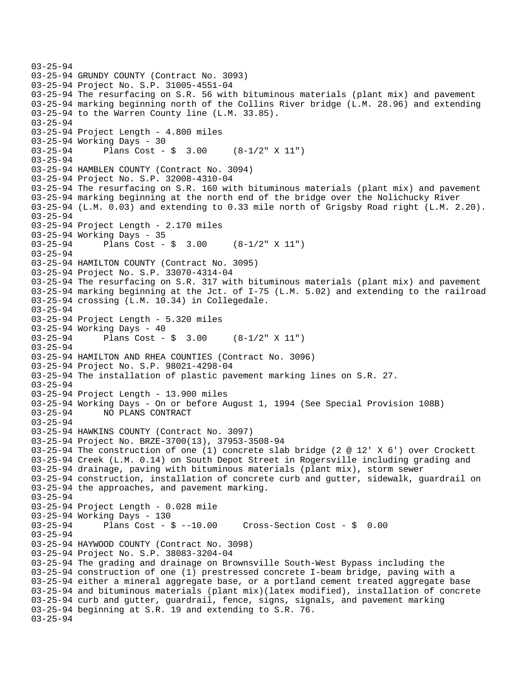```
03-25-94 
03-25-94 GRUNDY COUNTY (Contract No. 3093) 
03-25-94 Project No. S.P. 31005-4551-04 
03-25-94 The resurfacing on S.R. 56 with bituminous materials (plant mix) and pavement 
03-25-94 marking beginning north of the Collins River bridge (L.M. 28.96) and extending 
03-25-94 to the Warren County line (L.M. 33.85). 
03-25-94 
03-25-94 Project Length - 4.800 miles 
03-25-94 Working Days - 30 
03-25-94 Plans Cost - $ 3.00 (8-1/2" X 11") 
03-25-94 
03-25-94 HAMBLEN COUNTY (Contract No. 3094) 
03-25-94 Project No. S.P. 32008-4310-04 
03-25-94 The resurfacing on S.R. 160 with bituminous materials (plant mix) and pavement 
03-25-94 marking beginning at the north end of the bridge over the Nolichucky River 
03-25-94 (L.M. 0.03) and extending to 0.33 mile north of Grigsby Road right (L.M. 2.20). 
03-25-94 
03-25-94 Project Length - 2.170 miles 
03-25-94 Working Days - 35 
03-25-94 Plans Cost - $ 3.00 (8-1/2" X 11") 
03-25-94 
03-25-94 HAMILTON COUNTY (Contract No. 3095) 
03-25-94 Project No. S.P. 33070-4314-04 
03-25-94 The resurfacing on S.R. 317 with bituminous materials (plant mix) and pavement 
03-25-94 marking beginning at the Jct. of I-75 (L.M. 5.02) and extending to the railroad 
03-25-94 crossing (L.M. 10.34) in Collegedale. 
03-25-94 
03-25-94 Project Length - 5.320 miles 
03-25-94 Working Days - 40 
03-25-94 Plans Cost - $ 3.00 (8-1/2" X 11") 
03-25-94 
03-25-94 HAMILTON AND RHEA COUNTIES (Contract No. 3096) 
03-25-94 Project No. S.P. 98021-4298-04 
03-25-94 The installation of plastic pavement marking lines on S.R. 27. 
03-25-94 
03-25-94 Project Length - 13.900 miles 
03-25-94 Working Days - On or before August 1, 1994 (See Special Provision 108B) 
03-25-94 NO PLANS CONTRACT 
03-25-94 
03-25-94 HAWKINS COUNTY (Contract No. 3097) 
03-25-94 Project No. BRZE-3700(13), 37953-3508-94 
03-25-94 The construction of one (1) concrete slab bridge (2 @ 12' X 6') over Crockett 
03-25-94 Creek (L.M. 0.14) on South Depot Street in Rogersville including grading and 
03-25-94 drainage, paving with bituminous materials (plant mix), storm sewer 
03-25-94 construction, installation of concrete curb and gutter, sidewalk, guardrail on 
03-25-94 the approaches, and pavement marking. 
03-25-94 
03-25-94 Project Length - 0.028 mile 
03-25-94 Working Days - 130<br>03-25-94 Plans Cost - $ --10.00
03-25-94 Plans Cost - $ --10.00 Cross-Section Cost - $ 0.00 
03-25-94 
03-25-94 HAYWOOD COUNTY (Contract No. 3098) 
03-25-94 Project No. S.P. 38083-3204-04 
03-25-94 The grading and drainage on Brownsville South-West Bypass including the 
03-25-94 construction of one (1) prestressed concrete I-beam bridge, paving with a 
03-25-94 either a mineral aggregate base, or a portland cement treated aggregate base 
03-25-94 and bituminous materials (plant mix)(latex modified), installation of concrete 
03-25-94 curb and gutter, guardrail, fence, signs, signals, and pavement marking 
03-25-94 beginning at S.R. 19 and extending to S.R. 76. 
03-25-94
```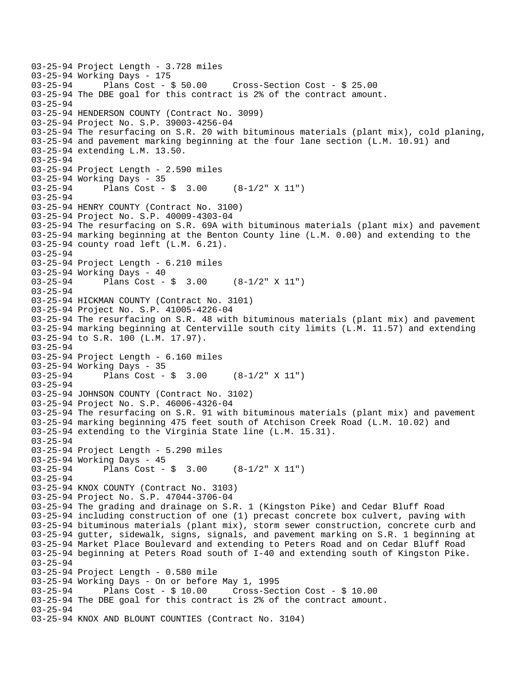```
03-25-94 Project Length - 3.728 miles 
03-25-94 Working Days - 175<br>03-25-94 Plans Cost - $ 50.00
                                       Cross-Section Cost - $ 25.00 03-25-94 The DBE goal for this contract is 2% of the contract amount. 
03-25-94 
03-25-94 HENDERSON COUNTY (Contract No. 3099) 
03-25-94 Project No. S.P. 39003-4256-04 
03-25-94 The resurfacing on S.R. 20 with bituminous materials (plant mix), cold planing, 
03-25-94 and pavement marking beginning at the four lane section (L.M. 10.91) and 
03-25-94 extending L.M. 13.50. 
03-25-94 
03-25-94 Project Length - 2.590 miles 
03-25-94 Working Days - 35 
03-25-94 Plans Cost - $ 3.00 (8-1/2" X 11") 
03-25-94 
03-25-94 HENRY COUNTY (Contract No. 3100) 
03-25-94 Project No. S.P. 40009-4303-04 
03-25-94 The resurfacing on S.R. 69A with bituminous materials (plant mix) and pavement 
03-25-94 marking beginning at the Benton County line (L.M. 0.00) and extending to the 
03-25-94 county road left (L.M. 6.21). 
03-25-94 
03-25-94 Project Length - 6.210 miles 
03-25-94 Working Days - 40 
03-25-94 Plans Cost - $ 3.00 (8-1/2" X 11") 
03-25-94 
03-25-94 HICKMAN COUNTY (Contract No. 3101) 
03-25-94 Project No. S.P. 41005-4226-04 
03-25-94 The resurfacing on S.R. 48 with bituminous materials (plant mix) and pavement 
03-25-94 marking beginning at Centerville south city limits (L.M. 11.57) and extending 
03-25-94 to S.R. 100 (L.M. 17.97). 
03-25-94 
03-25-94 Project Length - 6.160 miles 
03-25-94 Working Days - 35 
03-25-94 Plans Cost - $ 3.00 (8-1/2" X 11") 
03-25-94 
03-25-94 JOHNSON COUNTY (Contract No. 3102) 
03-25-94 Project No. S.P. 46006-4326-04 
03-25-94 The resurfacing on S.R. 91 with bituminous materials (plant mix) and pavement 
03-25-94 marking beginning 475 feet south of Atchison Creek Road (L.M. 10.02) and 
03-25-94 extending to the Virginia State line (L.M. 15.31). 
03-25-94 
03-25-94 Project Length - 5.290 miles 
03-25-94 Working Days - 45 
03-25-94 Plans Cost - $ 3.00 (8-1/2" X 11") 
03-25-94 
03-25-94 KNOX COUNTY (Contract No. 3103) 
03-25-94 Project No. S.P. 47044-3706-04 
03-25-94 The grading and drainage on S.R. 1 (Kingston Pike) and Cedar Bluff Road 
03-25-94 including construction of one (1) precast concrete box culvert, paving with 
03-25-94 bituminous materials (plant mix), storm sewer construction, concrete curb and 
03-25-94 gutter, sidewalk, signs, signals, and pavement marking on S.R. 1 beginning at 
03-25-94 Market Place Boulevard and extending to Peters Road and on Cedar Bluff Road 
03-25-94 beginning at Peters Road south of I-40 and extending south of Kingston Pike. 
03-25-94 
03-25-94 Project Length - 0.580 mile 
03-25-94 Working Days - On or before May 1, 1995 
03-25-94 Plans Cost - $ 10.00 Cross-Section Cost - $ 10.00 
03-25-94 The DBE goal for this contract is 2% of the contract amount. 
03-25-94 
03-25-94 KNOX AND BLOUNT COUNTIES (Contract No. 3104)
```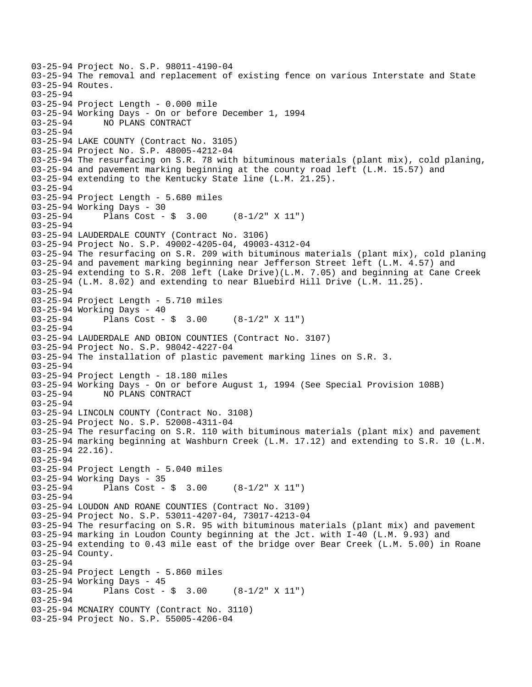```
03-25-94 Project No. S.P. 98011-4190-04 
03-25-94 The removal and replacement of existing fence on various Interstate and State 
03-25-94 Routes. 
03-25-94 
03-25-94 Project Length - 0.000 mile 
03-25-94 Working Days - On or before December 1, 1994 
03-25-94 NO PLANS CONTRACT 
03-25-94 
03-25-94 LAKE COUNTY (Contract No. 3105) 
03-25-94 Project No. S.P. 48005-4212-04 
03-25-94 The resurfacing on S.R. 78 with bituminous materials (plant mix), cold planing, 
03-25-94 and pavement marking beginning at the county road left (L.M. 15.57) and 
03-25-94 extending to the Kentucky State line (L.M. 21.25). 
03-25-94 
03-25-94 Project Length - 5.680 miles 
03-25-94 Working Days - 30 
03-25-94 Plans Cost - $ 3.00 (8-1/2" X 11") 
03-25-94 
03-25-94 LAUDERDALE COUNTY (Contract No. 3106) 
03-25-94 Project No. S.P. 49002-4205-04, 49003-4312-04 
03-25-94 The resurfacing on S.R. 209 with bituminous materials (plant mix), cold planing 
03-25-94 and pavement marking beginning near Jefferson Street left (L.M. 4.57) and 
03-25-94 extending to S.R. 208 left (Lake Drive)(L.M. 7.05) and beginning at Cane Creek 
03-25-94 (L.M. 8.02) and extending to near Bluebird Hill Drive (L.M. 11.25). 
03-25-94 
03-25-94 Project Length - 5.710 miles 
03-25-94 Working Days - 40 
03-25-94 Plans Cost - $ 3.00 (8-1/2" X 11") 
03-25-94 
03-25-94 LAUDERDALE AND OBION COUNTIES (Contract No. 3107) 
03-25-94 Project No. S.P. 98042-4227-04 
03-25-94 The installation of plastic pavement marking lines on S.R. 3. 
03-25-94 
03-25-94 Project Length - 18.180 miles 
03-25-94 Working Days - On or before August 1, 1994 (See Special Provision 108B) 
03-25-94 NO PLANS CONTRACT 
03-25-94 
03-25-94 LINCOLN COUNTY (Contract No. 3108) 
03-25-94 Project No. S.P. 52008-4311-04 
03-25-94 The resurfacing on S.R. 110 with bituminous materials (plant mix) and pavement 
03-25-94 marking beginning at Washburn Creek (L.M. 17.12) and extending to S.R. 10 (L.M. 
03-25-94 22.16). 
03-25-94 
03-25-94 Project Length - 5.040 miles 
03-25-94 Working Days - 35 
03-25-94 Plans Cost - $ 3.00 (8-1/2" X 11") 
03-25-94 
03-25-94 LOUDON AND ROANE COUNTIES (Contract No. 3109) 
03-25-94 Project No. S.P. 53011-4207-04, 73017-4213-04 
03-25-94 The resurfacing on S.R. 95 with bituminous materials (plant mix) and pavement 
03-25-94 marking in Loudon County beginning at the Jct. with I-40 (L.M. 9.93) and 
03-25-94 extending to 0.43 mile east of the bridge over Bear Creek (L.M. 5.00) in Roane 
03-25-94 County. 
03-25-94 
03-25-94 Project Length - 5.860 miles 
03-25-94 Working Days - 45 
03-25-94 Plans Cost - $ 3.00 (8-1/2" X 11") 
03-25-94 
03-25-94 MCNAIRY COUNTY (Contract No. 3110) 
03-25-94 Project No. S.P. 55005-4206-04
```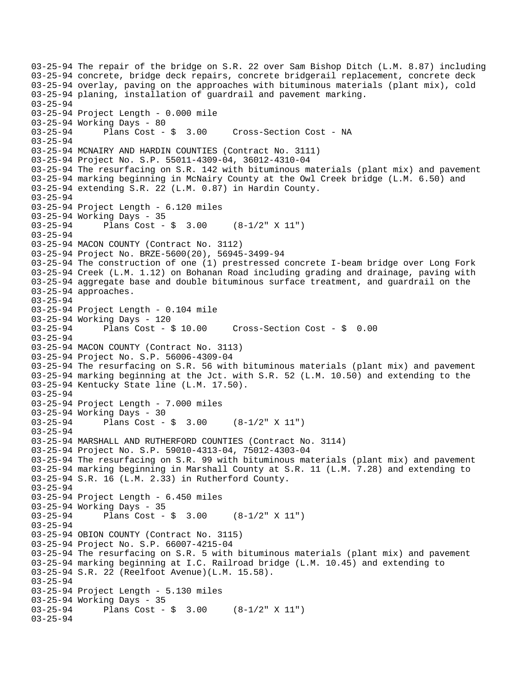03-25-94 The repair of the bridge on S.R. 22 over Sam Bishop Ditch (L.M. 8.87) including 03-25-94 concrete, bridge deck repairs, concrete bridgerail replacement, concrete deck 03-25-94 overlay, paving on the approaches with bituminous materials (plant mix), cold 03-25-94 planing, installation of guardrail and pavement marking. 03-25-94 03-25-94 Project Length - 0.000 mile 03-25-94 Working Days - 80 03-25-94 Plans Cost - \$ 3.00 Cross-Section Cost - NA 03-25-94 03-25-94 MCNAIRY AND HARDIN COUNTIES (Contract No. 3111) 03-25-94 Project No. S.P. 55011-4309-04, 36012-4310-04 03-25-94 The resurfacing on S.R. 142 with bituminous materials (plant mix) and pavement 03-25-94 marking beginning in McNairy County at the Owl Creek bridge (L.M. 6.50) and 03-25-94 extending S.R. 22 (L.M. 0.87) in Hardin County. 03-25-94 03-25-94 Project Length - 6.120 miles 03-25-94 Working Days - 35 03-25-94 Plans Cost - \$ 3.00 (8-1/2" X 11") 03-25-94 03-25-94 MACON COUNTY (Contract No. 3112) 03-25-94 Project No. BRZE-5600(20), 56945-3499-94 03-25-94 The construction of one (1) prestressed concrete I-beam bridge over Long Fork 03-25-94 Creek (L.M. 1.12) on Bohanan Road including grading and drainage, paving with 03-25-94 aggregate base and double bituminous surface treatment, and guardrail on the 03-25-94 approaches. 03-25-94 03-25-94 Project Length - 0.104 mile 03-25-94 Working Days - 120 03-25-94 Plans Cost - \$ 10.00 Cross-Section Cost - \$ 0.00 03-25-94 03-25-94 MACON COUNTY (Contract No. 3113) 03-25-94 Project No. S.P. 56006-4309-04 03-25-94 The resurfacing on S.R. 56 with bituminous materials (plant mix) and pavement 03-25-94 marking beginning at the Jct. with S.R. 52 (L.M. 10.50) and extending to the 03-25-94 Kentucky State line (L.M. 17.50). 03-25-94 03-25-94 Project Length - 7.000 miles 03-25-94 Working Days - 30 03-25-94 Plans Cost - \$ 3.00 (8-1/2" X 11") 03-25-94 03-25-94 MARSHALL AND RUTHERFORD COUNTIES (Contract No. 3114) 03-25-94 Project No. S.P. 59010-4313-04, 75012-4303-04 03-25-94 The resurfacing on S.R. 99 with bituminous materials (plant mix) and pavement 03-25-94 marking beginning in Marshall County at S.R. 11 (L.M. 7.28) and extending to 03-25-94 S.R. 16 (L.M. 2.33) in Rutherford County. 03-25-94 03-25-94 Project Length - 6.450 miles 03-25-94 Working Days - 35<br>03-25-94 Plans Cost -Plans Cost -  $\frac{1}{2}$  3.00 (8-1/2" X 11") 03-25-94 03-25-94 OBION COUNTY (Contract No. 3115) 03-25-94 Project No. S.P. 66007-4215-04 03-25-94 The resurfacing on S.R. 5 with bituminous materials (plant mix) and pavement 03-25-94 marking beginning at I.C. Railroad bridge (L.M. 10.45) and extending to 03-25-94 S.R. 22 (Reelfoot Avenue)(L.M. 15.58). 03-25-94 03-25-94 Project Length - 5.130 miles 03-25-94 Working Days - 35<br>03-25-94 Plans Cost -Plans Cost -  $\frac{1}{2}$  3.00 (8-1/2" X 11") 03-25-94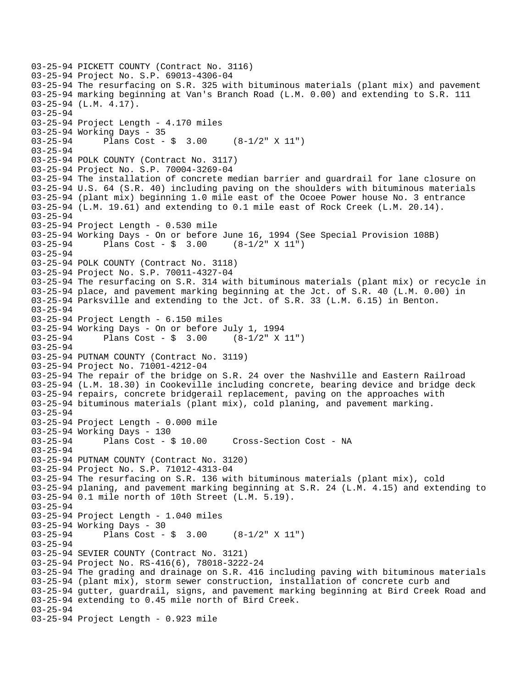```
03-25-94 PICKETT COUNTY (Contract No. 3116) 
03-25-94 Project No. S.P. 69013-4306-04 
03-25-94 The resurfacing on S.R. 325 with bituminous materials (plant mix) and pavement 
03-25-94 marking beginning at Van's Branch Road (L.M. 0.00) and extending to S.R. 111 
03-25-94 (L.M. 4.17). 
03-25-94 
03-25-94 Project Length - 4.170 miles 
03-25-94 Working Days - 35 
03-25-94 Plans Cost - $ 3.00 (8-1/2" X 11") 
03-25-94 
03-25-94 POLK COUNTY (Contract No. 3117) 
03-25-94 Project No. S.P. 70004-3269-04 
03-25-94 The installation of concrete median barrier and guardrail for lane closure on 
03-25-94 U.S. 64 (S.R. 40) including paving on the shoulders with bituminous materials 
03-25-94 (plant mix) beginning 1.0 mile east of the Ocoee Power house No. 3 entrance 
03-25-94 (L.M. 19.61) and extending to 0.1 mile east of Rock Creek (L.M. 20.14). 
03-25-94 
03-25-94 Project Length - 0.530 mile 
03-25-94 Working Days - On or before June 16, 1994 (See Special Provision 108B) 
03-25-94 Plans Cost - $ 3.00 (8-1/2" X 11") 
03-25-94 
03-25-94 POLK COUNTY (Contract No. 3118) 
03-25-94 Project No. S.P. 70011-4327-04 
03-25-94 The resurfacing on S.R. 314 with bituminous materials (plant mix) or recycle in 
03-25-94 place, and pavement marking beginning at the Jct. of S.R. 40 (L.M. 0.00) in 
03-25-94 Parksville and extending to the Jct. of S.R. 33 (L.M. 6.15) in Benton. 
03-25-94 
03-25-94 Project Length - 6.150 miles 
03-25-94 Working Days - On or before July 1, 1994 
03-25-94 Plans Cost - $ 3.00 (8-1/2" X 11") 
03-25-94 
03-25-94 PUTNAM COUNTY (Contract No. 3119) 
03-25-94 Project No. 71001-4212-04 
03-25-94 The repair of the bridge on S.R. 24 over the Nashville and Eastern Railroad 
03-25-94 (L.M. 18.30) in Cookeville including concrete, bearing device and bridge deck 
03-25-94 repairs, concrete bridgerail replacement, paving on the approaches with 
03-25-94 bituminous materials (plant mix), cold planing, and pavement marking. 
03-25-94 
03-25-94 Project Length - 0.000 mile 
03-25-94 Working Days - 130 
03-25-94 Plans Cost - $ 10.00 Cross-Section Cost - NA 
03-25-94 
03-25-94 PUTNAM COUNTY (Contract No. 3120) 
03-25-94 Project No. S.P. 71012-4313-04 
03-25-94 The resurfacing on S.R. 136 with bituminous materials (plant mix), cold 
03-25-94 planing, and pavement marking beginning at S.R. 24 (L.M. 4.15) and extending to 
03-25-94 0.1 mile north of 10th Street (L.M. 5.19). 
03-25-94 
03-25-94 Project Length - 1.040 miles 
03-25-94 Working Days - 30<br>03-25-94 Plans Cost -
              Plans Cost - $ 3.00 (8-1/2" X 11")03-25-94 
03-25-94 SEVIER COUNTY (Contract No. 3121) 
03-25-94 Project No. RS-416(6), 78018-3222-24 
03-25-94 The grading and drainage on S.R. 416 including paving with bituminous materials 
03-25-94 (plant mix), storm sewer construction, installation of concrete curb and 
03-25-94 gutter, guardrail, signs, and pavement marking beginning at Bird Creek Road and 
03-25-94 extending to 0.45 mile north of Bird Creek. 
03-25-94 
03-25-94 Project Length - 0.923 mile
```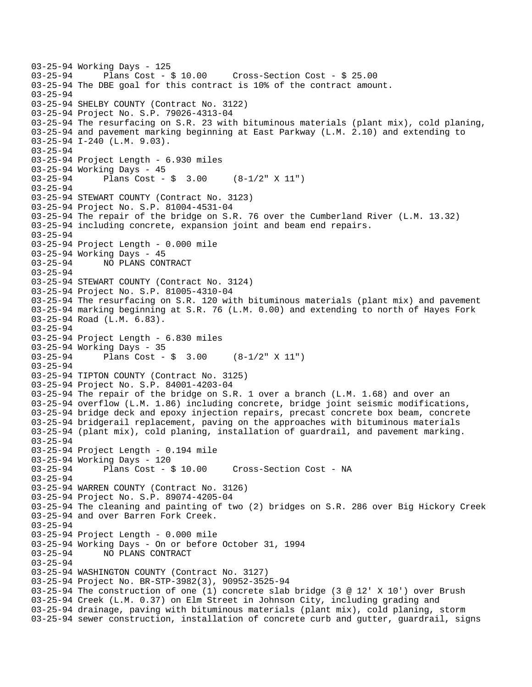03-25-94 Working Days - 125<br>03-25-94 Plans Cost - \$ 10.00 03-25-94 Plans Cost - \$ 10.00 Cross-Section Cost - \$ 25.00 03-25-94 The DBE goal for this contract is 10% of the contract amount. 03-25-94 03-25-94 SHELBY COUNTY (Contract No. 3122) 03-25-94 Project No. S.P. 79026-4313-04 03-25-94 The resurfacing on S.R. 23 with bituminous materials (plant mix), cold planing, 03-25-94 and pavement marking beginning at East Parkway (L.M. 2.10) and extending to 03-25-94 I-240 (L.M. 9.03). 03-25-94 03-25-94 Project Length - 6.930 miles 03-25-94 Working Days - 45 03-25-94 Plans Cost - \$ 3.00 (8-1/2" X 11") 03-25-94 03-25-94 STEWART COUNTY (Contract No. 3123) 03-25-94 Project No. S.P. 81004-4531-04 03-25-94 The repair of the bridge on S.R. 76 over the Cumberland River (L.M. 13.32) 03-25-94 including concrete, expansion joint and beam end repairs. 03-25-94 03-25-94 Project Length - 0.000 mile 03-25-94 Working Days - 45 03-25-94 NO PLANS CONTRACT 03-25-94 03-25-94 STEWART COUNTY (Contract No. 3124) 03-25-94 Project No. S.P. 81005-4310-04 03-25-94 The resurfacing on S.R. 120 with bituminous materials (plant mix) and pavement 03-25-94 marking beginning at S.R. 76 (L.M. 0.00) and extending to north of Hayes Fork 03-25-94 Road (L.M. 6.83). 03-25-94 03-25-94 Project Length - 6.830 miles 03-25-94 Working Days - 35 03-25-94 Plans Cost - \$ 3.00 (8-1/2" X 11") 03-25-94 03-25-94 TIPTON COUNTY (Contract No. 3125) 03-25-94 Project No. S.P. 84001-4203-04 03-25-94 The repair of the bridge on S.R. 1 over a branch (L.M. 1.68) and over an 03-25-94 overflow (L.M. 1.86) including concrete, bridge joint seismic modifications, 03-25-94 bridge deck and epoxy injection repairs, precast concrete box beam, concrete 03-25-94 bridgerail replacement, paving on the approaches with bituminous materials 03-25-94 (plant mix), cold planing, installation of guardrail, and pavement marking. 03-25-94 03-25-94 Project Length - 0.194 mile 03-25-94 Working Days - 120 03-25-94 Plans Cost - \$ 10.00 Cross-Section Cost - NA 03-25-94 03-25-94 WARREN COUNTY (Contract No. 3126) 03-25-94 Project No. S.P. 89074-4205-04 03-25-94 The cleaning and painting of two (2) bridges on S.R. 286 over Big Hickory Creek 03-25-94 and over Barren Fork Creek. 03-25-94 03-25-94 Project Length - 0.000 mile 03-25-94 Working Days - On or before October 31, 1994 03-25-94 NO PLANS CONTRACT 03-25-94 03-25-94 WASHINGTON COUNTY (Contract No. 3127) 03-25-94 Project No. BR-STP-3982(3), 90952-3525-94 03-25-94 The construction of one (1) concrete slab bridge (3 @ 12' X 10') over Brush 03-25-94 Creek (L.M. 0.37) on Elm Street in Johnson City, including grading and 03-25-94 drainage, paving with bituminous materials (plant mix), cold planing, storm 03-25-94 sewer construction, installation of concrete curb and gutter, guardrail, signs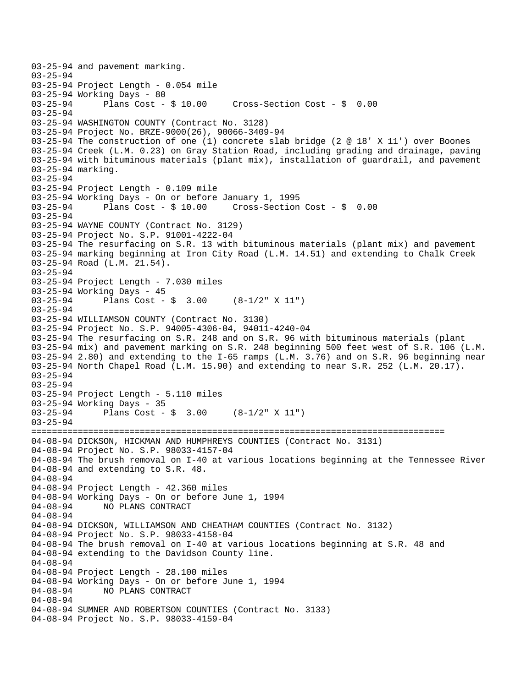03-25-94 and pavement marking. 03-25-94 03-25-94 Project Length - 0.054 mile 03-25-94 Working Days - 80<br>03-25-94 Plans Cost - \$ 10.00  $Cross-Section Cost - $ 0.00$ 03-25-94 03-25-94 WASHINGTON COUNTY (Contract No. 3128) 03-25-94 Project No. BRZE-9000(26), 90066-3409-94 03-25-94 The construction of one (1) concrete slab bridge (2 @ 18' X 11') over Boones 03-25-94 Creek (L.M. 0.23) on Gray Station Road, including grading and drainage, paving 03-25-94 with bituminous materials (plant mix), installation of guardrail, and pavement 03-25-94 marking. 03-25-94 03-25-94 Project Length - 0.109 mile 03-25-94 Working Days - On or before January 1, 1995 03-25-94 Plans Cost - \$ 10.00 Cross-Section Cost - \$ 0.00 03-25-94 03-25-94 WAYNE COUNTY (Contract No. 3129) 03-25-94 Project No. S.P. 91001-4222-04 03-25-94 The resurfacing on S.R. 13 with bituminous materials (plant mix) and pavement 03-25-94 marking beginning at Iron City Road (L.M. 14.51) and extending to Chalk Creek 03-25-94 Road (L.M. 21.54). 03-25-94 03-25-94 Project Length - 7.030 miles 03-25-94 Working Days - 45 03-25-94 Plans Cost - \$ 3.00 (8-1/2" X 11") 03-25-94 03-25-94 WILLIAMSON COUNTY (Contract No. 3130) 03-25-94 Project No. S.P. 94005-4306-04, 94011-4240-04 03-25-94 The resurfacing on S.R. 248 and on S.R. 96 with bituminous materials (plant 03-25-94 mix) and pavement marking on S.R. 248 beginning 500 feet west of S.R. 106 (L.M. 03-25-94 2.80) and extending to the I-65 ramps (L.M. 3.76) and on S.R. 96 beginning near 03-25-94 North Chapel Road (L.M. 15.90) and extending to near S.R. 252 (L.M. 20.17). 03-25-94 03-25-94 03-25-94 Project Length - 5.110 miles 03-25-94 Working Days - 35 03-25-94 Plans Cost - \$ 3.00 (8-1/2" X 11") 03-25-94 ================================================================================ 04-08-94 DICKSON, HICKMAN AND HUMPHREYS COUNTIES (Contract No. 3131) 04-08-94 Project No. S.P. 98033-4157-04 04-08-94 The brush removal on I-40 at various locations beginning at the Tennessee River 04-08-94 and extending to S.R. 48. 04-08-94 04-08-94 Project Length - 42.360 miles 04-08-94 Working Days - On or before June 1, 1994 04-08-94 NO PLANS CONTRACT 04-08-94 04-08-94 DICKSON, WILLIAMSON AND CHEATHAM COUNTIES (Contract No. 3132) 04-08-94 Project No. S.P. 98033-4158-04 04-08-94 The brush removal on I-40 at various locations beginning at S.R. 48 and 04-08-94 extending to the Davidson County line. 04-08-94 04-08-94 Project Length - 28.100 miles 04-08-94 Working Days - On or before June 1, 1994 04-08-94 NO PLANS CONTRACT 04-08-94 04-08-94 SUMNER AND ROBERTSON COUNTIES (Contract No. 3133) 04-08-94 Project No. S.P. 98033-4159-04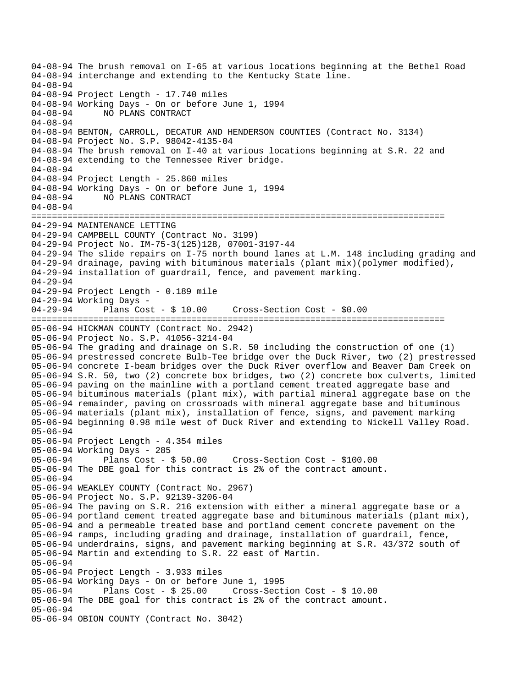04-08-94 The brush removal on I-65 at various locations beginning at the Bethel Road 04-08-94 interchange and extending to the Kentucky State line. 04-08-94 04-08-94 Project Length - 17.740 miles 04-08-94 Working Days - On or before June 1, 1994 04-08-94 NO PLANS CONTRACT 04-08-94 04-08-94 BENTON, CARROLL, DECATUR AND HENDERSON COUNTIES (Contract No. 3134) 04-08-94 Project No. S.P. 98042-4135-04 04-08-94 The brush removal on I-40 at various locations beginning at S.R. 22 and 04-08-94 extending to the Tennessee River bridge. 04-08-94 04-08-94 Project Length - 25.860 miles 04-08-94 Working Days - On or before June 1, 1994 04-08-94 NO PLANS CONTRACT 04-08-94 ================================================================================ 04-29-94 MAINTENANCE LETTING 04-29-94 CAMPBELL COUNTY (Contract No. 3199) 04-29-94 Project No. IM-75-3(125)128, 07001-3197-44 04-29-94 The slide repairs on I-75 north bound lanes at L.M. 148 including grading and 04-29-94 drainage, paving with bituminous materials (plant mix)(polymer modified), 04-29-94 installation of guardrail, fence, and pavement marking. 04-29-94 04-29-94 Project Length - 0.189 mile 04-29-94 Working Days 04-29-94 Plans Cost - \$ 10.00 Cross-Section Cost - \$0.00 ================================================================================ 05-06-94 HICKMAN COUNTY (Contract No. 2942) 05-06-94 Project No. S.P. 41056-3214-04 05-06-94 The grading and drainage on S.R. 50 including the construction of one (1) 05-06-94 prestressed concrete Bulb-Tee bridge over the Duck River, two (2) prestressed 05-06-94 concrete I-beam bridges over the Duck River overflow and Beaver Dam Creek on 05-06-94 S.R. 50, two (2) concrete box bridges, two (2) concrete box culverts, limited 05-06-94 paving on the mainline with a portland cement treated aggregate base and 05-06-94 bituminous materials (plant mix), with partial mineral aggregate base on the 05-06-94 remainder, paving on crossroads with mineral aggregate base and bituminous 05-06-94 materials (plant mix), installation of fence, signs, and pavement marking 05-06-94 beginning 0.98 mile west of Duck River and extending to Nickell Valley Road. 05-06-94 05-06-94 Project Length - 4.354 miles 05-06-94 Working Days - 285 05-06-94 Plans Cost - \$ 50.00 Cross-Section Cost - \$100.00 05-06-94 The DBE goal for this contract is 2% of the contract amount. 05-06-94 05-06-94 WEAKLEY COUNTY (Contract No. 2967) 05-06-94 Project No. S.P. 92139-3206-04 05-06-94 The paving on S.R. 216 extension with either a mineral aggregate base or a 05-06-94 portland cement treated aggregate base and bituminous materials (plant mix), 05-06-94 and a permeable treated base and portland cement concrete pavement on the 05-06-94 ramps, including grading and drainage, installation of guardrail, fence, 05-06-94 underdrains, signs, and pavement marking beginning at S.R. 43/372 south of 05-06-94 Martin and extending to S.R. 22 east of Martin. 05-06-94 05-06-94 Project Length - 3.933 miles 05-06-94 Working Days - On or before June 1, 1995 05-06-94 Plans Cost - \$ 25.00 Cross-Section Cost - \$ 10.00 05-06-94 The DBE goal for this contract is 2% of the contract amount. 05-06-94 05-06-94 OBION COUNTY (Contract No. 3042)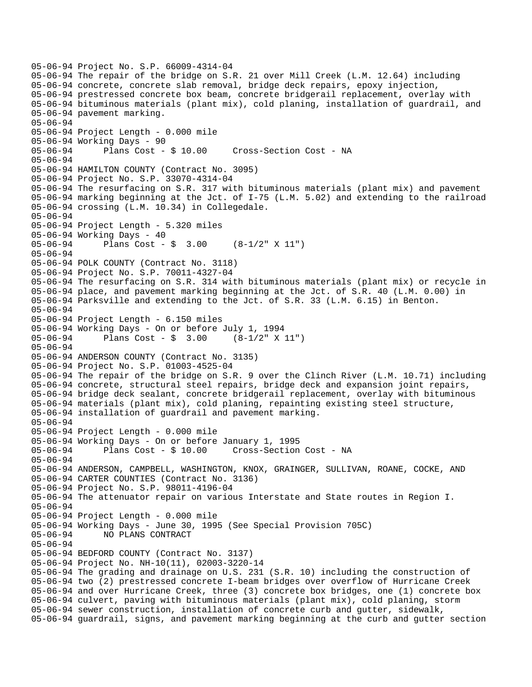```
05-06-94 Project No. S.P. 66009-4314-04 
05-06-94 The repair of the bridge on S.R. 21 over Mill Creek (L.M. 12.64) including 
05-06-94 concrete, concrete slab removal, bridge deck repairs, epoxy injection, 
05-06-94 prestressed concrete box beam, concrete bridgerail replacement, overlay with 
05-06-94 bituminous materials (plant mix), cold planing, installation of guardrail, and 
05-06-94 pavement marking. 
05-06-94 
05-06-94 Project Length - 0.000 mile 
05-06-94 Working Days - 90 
05-06-94 Plans Cost - $ 10.00 Cross-Section Cost - NA 
05-06-94 
05-06-94 HAMILTON COUNTY (Contract No. 3095) 
05-06-94 Project No. S.P. 33070-4314-04 
05-06-94 The resurfacing on S.R. 317 with bituminous materials (plant mix) and pavement 
05-06-94 marking beginning at the Jct. of I-75 (L.M. 5.02) and extending to the railroad 
05-06-94 crossing (L.M. 10.34) in Collegedale. 
05-06-94 
05-06-94 Project Length - 5.320 miles 
05-06-94 Working Days - 40 
05-06-94 Plans Cost - $ 3.00 (8-1/2" X 11") 
05-06-94 
05-06-94 POLK COUNTY (Contract No. 3118) 
05-06-94 Project No. S.P. 70011-4327-04 
05-06-94 The resurfacing on S.R. 314 with bituminous materials (plant mix) or recycle in 
05-06-94 place, and pavement marking beginning at the Jct. of S.R. 40 (L.M. 0.00) in 
05-06-94 Parksville and extending to the Jct. of S.R. 33 (L.M. 6.15) in Benton. 
05-06-94 
05-06-94 Project Length - 6.150 miles 
05-06-94 Working Days - On or before July 1, 1994 
05-06-94 Plans Cost - $ 3.00 (8-1/2" X 11") 
05-06-94 
05-06-94 ANDERSON COUNTY (Contract No. 3135) 
05-06-94 Project No. S.P. 01003-4525-04 
05-06-94 The repair of the bridge on S.R. 9 over the Clinch River (L.M. 10.71) including 
05-06-94 concrete, structural steel repairs, bridge deck and expansion joint repairs, 
05-06-94 bridge deck sealant, concrete bridgerail replacement, overlay with bituminous 
05-06-94 materials (plant mix), cold planing, repainting existing steel structure, 
05-06-94 installation of guardrail and pavement marking. 
05-06-94 
05-06-94 Project Length - 0.000 mile 
05-06-94 Working Days - On or before January 1, 1995 
05-06-94 Plans Cost - $ 10.00 Cross-Section Cost - NA 
05-06-94 
05-06-94 ANDERSON, CAMPBELL, WASHINGTON, KNOX, GRAINGER, SULLIVAN, ROANE, COCKE, AND 
05-06-94 CARTER COUNTIES (Contract No. 3136) 
05-06-94 Project No. S.P. 98011-4196-04 
05-06-94 The attenuator repair on various Interstate and State routes in Region I. 
05-06-94 
05-06-94 Project Length - 0.000 mile 
05-06-94 Working Days - June 30, 1995 (See Special Provision 705C) 
              05-06-94 NO PLANS CONTRACT 
05-06-94 
05-06-94 BEDFORD COUNTY (Contract No. 3137) 
05-06-94 Project No. NH-10(11), 02003-3220-14 
05-06-94 The grading and drainage on U.S. 231 (S.R. 10) including the construction of 
05-06-94 two (2) prestressed concrete I-beam bridges over overflow of Hurricane Creek 
05-06-94 and over Hurricane Creek, three (3) concrete box bridges, one (1) concrete box 
05-06-94 culvert, paving with bituminous materials (plant mix), cold planing, storm 
05-06-94 sewer construction, installation of concrete curb and gutter, sidewalk, 
05-06-94 guardrail, signs, and pavement marking beginning at the curb and gutter section
```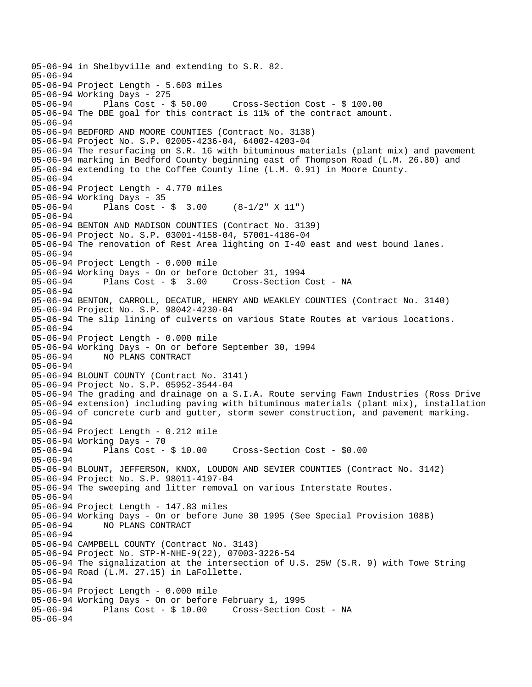```
05-06-94 in Shelbyville and extending to S.R. 82. 
05-06-94 
05-06-94 Project Length - 5.603 miles 
05-06-94 Working Days - 275 
05-06-94 Plans Cost - $ 50.00 Cross-Section Cost - $ 100.00 
05-06-94 The DBE goal for this contract is 11% of the contract amount. 
05-06-94 
05-06-94 BEDFORD AND MOORE COUNTIES (Contract No. 3138) 
05-06-94 Project No. S.P. 02005-4236-04, 64002-4203-04 
05-06-94 The resurfacing on S.R. 16 with bituminous materials (plant mix) and pavement 
05-06-94 marking in Bedford County beginning east of Thompson Road (L.M. 26.80) and 
05-06-94 extending to the Coffee County line (L.M. 0.91) in Moore County. 
05-06-94 
05-06-94 Project Length - 4.770 miles 
05-06-94 Working Days - 35<br>05-06-94 Plans Cost -
              Plans Cost - \sin 3.00 (8-1/2" X 11")
05-06-94 
05-06-94 BENTON AND MADISON COUNTIES (Contract No. 3139) 
05-06-94 Project No. S.P. 03001-4158-04, 57001-4186-04 
05-06-94 The renovation of Rest Area lighting on I-40 east and west bound lanes. 
05-06-94 
05-06-94 Project Length - 0.000 mile 
05-06-94 Working Days - On or before October 31, 1994 
05-06-94 Plans Cost - $ 3.00 Cross-Section Cost - NA 
05-06-94 
05-06-94 BENTON, CARROLL, DECATUR, HENRY AND WEAKLEY COUNTIES (Contract No. 3140) 
05-06-94 Project No. S.P. 98042-4230-04 
05-06-94 The slip lining of culverts on various State Routes at various locations. 
05-06-94 
05-06-94 Project Length - 0.000 mile 
05-06-94 Working Days - On or before September 30, 1994 
05-06-94 NO PLANS CONTRACT 
05-06-94 
05-06-94 BLOUNT COUNTY (Contract No. 3141) 
05-06-94 Project No. S.P. 05952-3544-04 
05-06-94 The grading and drainage on a S.I.A. Route serving Fawn Industries (Ross Drive 
05-06-94 extension) including paving with bituminous materials (plant mix), installation 
05-06-94 of concrete curb and gutter, storm sewer construction, and pavement marking. 
05-06-94 
05-06-94 Project Length - 0.212 mile 
05-06-94 Working Days - 70 
05-06-94 Plans Cost - $ 10.00 Cross-Section Cost - $0.00 
05-06-94 
05-06-94 BLOUNT, JEFFERSON, KNOX, LOUDON AND SEVIER COUNTIES (Contract No. 3142) 
05-06-94 Project No. S.P. 98011-4197-04 
05-06-94 The sweeping and litter removal on various Interstate Routes. 
05-06-94 
05-06-94 Project Length - 147.83 miles 
05-06-94 Working Days - On or before June 30 1995 (See Special Provision 108B) 
05-06-94 NO PLANS CONTRACT 
05-06-94 
05-06-94 CAMPBELL COUNTY (Contract No. 3143) 
05-06-94 Project No. STP-M-NHE-9(22), 07003-3226-54 
05-06-94 The signalization at the intersection of U.S. 25W (S.R. 9) with Towe String 
05-06-94 Road (L.M. 27.15) in LaFollette. 
05-06-94 
05-06-94 Project Length - 0.000 mile 
05-06-94 Working Days - On or before February 1, 1995 
             Plans Cost - $ 10.00 Cross-Section Cost - NA
05-06-94
```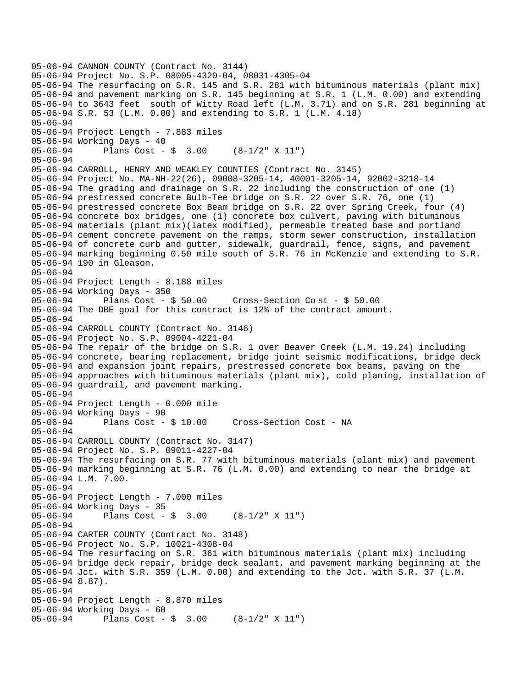```
05-06-94 CANNON COUNTY (Contract No. 3144) 
05-06-94 Project No. S.P. 08005-4320-04, 08031-4305-04 
05-06-94 The resurfacing on S.R. 145 and S.R. 281 with bituminous materials (plant mix) 
05-06-94 and pavement marking on S.R. 145 beginning at S.R. 1 (L.M. 0.00) and extending 
05-06-94 to 3643 feet south of Witty Road left (L.M. 3.71) and on S.R. 281 beginning at 
05-06-94 S.R. 53 (L.M. 0.00) and extending to S.R. 1 (L.M. 4.18) 
05-06-94 
05-06-94 Project Length - 7.883 miles 
05-06-94 Working Days - 40 
05-06-94 Plans Cost - $ 3.00 (8-1/2" X 11") 
05-06-94 
05-06-94 CARROLL, HENRY AND WEAKLEY COUNTIES (Contract No. 3145) 
05-06-94 Project No. MA-NH-22(26), 09008-3205-14, 40001-3205-14, 92002-3218-14 
05-06-94 The grading and drainage on S.R. 22 including the construction of one (1) 
05-06-94 prestressed concrete Bulb-Tee bridge on S.R. 22 over S.R. 76, one (1) 
05-06-94 prestressed concrete Box Beam bridge on S.R. 22 over Spring Creek, four (4) 
05-06-94 concrete box bridges, one (1) concrete box culvert, paving with bituminous 
05-06-94 materials (plant mix)(latex modified), permeable treated base and portland 
05-06-94 cement concrete pavement on the ramps, storm sewer construction, installation 
05-06-94 of concrete curb and gutter, sidewalk, guardrail, fence, signs, and pavement 
05-06-94 marking beginning 0.50 mile south of S.R. 76 in McKenzie and extending to S.R. 
05-06-94 190 in Gleason. 
05-06-94 
05-06-94 Project Length - 8.188 miles 
05-06-94 Working Days - 350<br>05-06-94 Plans Cost - $ 50.00
05-06-94 Plans Cost - $ 50.00 Cross-Section Co st - $ 50.00 
05-06-94 The DBE goal for this contract is 12% of the contract amount. 
05-06-94 
05-06-94 CARROLL COUNTY (Contract No. 3146) 
05-06-94 Project No. S.P. 09004-4221-04 
05-06-94 The repair of the bridge on S.R. 1 over Beaver Creek (L.M. 19.24) including 
05-06-94 concrete, bearing replacement, bridge joint seismic modifications, bridge deck 
05-06-94 and expansion joint repairs, prestressed concrete box beams, paving on the 
05-06-94 approaches with bituminous materials (plant mix), cold planing, installation of 
05-06-94 guardrail, and pavement marking. 
05-06-94 
05-06-94 Project Length - 0.000 mile 
05-06-94 Working Days - 90 
05-06-94 Plans Cost - $ 10.00 Cross-Section Cost - NA 
05-06-94 
05-06-94 CARROLL COUNTY (Contract No. 3147) 
05-06-94 Project No. S.P. 09011-4227-04 
05-06-94 The resurfacing on S.R. 77 with bituminous materials (plant mix) and pavement 
05-06-94 marking beginning at S.R. 76 (L.M. 0.00) and extending to near the bridge at 
05-06-94 L.M. 7.00. 
05-06-94 
05-06-94 Project Length - 7.000 miles 
05-06-94 Working Days - 35<br>05-06-94 Plans Cost -
              Plans Cost - \sin 3.00 (8-1/2" X 11")
05-06-94 
05-06-94 CARTER COUNTY (Contract No. 3148) 
05-06-94 Project No. S.P. 10021-4308-04 
05-06-94 The resurfacing on S.R. 361 with bituminous materials (plant mix) including 
05-06-94 bridge deck repair, bridge deck sealant, and pavement marking beginning at the 
05-06-94 Jct. with S.R. 359 (L.M. 0.00) and extending to the Jct. with S.R. 37 (L.M. 
05-06-94 8.87). 
05-06-94 
05-06-94 Project Length - 8.870 miles 
05-06-94 Working Days - 60 
05-06-94 Plans Cost - $ 3.00 (8-1/2" X 11")
```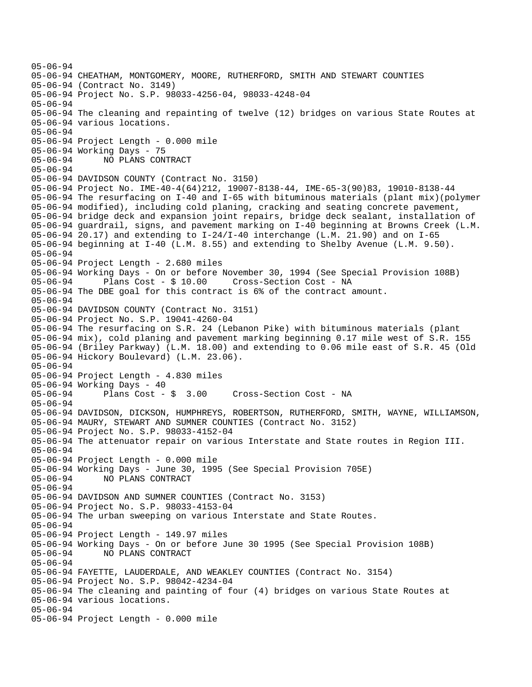```
05-06-94 
05-06-94 CHEATHAM, MONTGOMERY, MOORE, RUTHERFORD, SMITH AND STEWART COUNTIES 
05-06-94 (Contract No. 3149) 
05-06-94 Project No. S.P. 98033-4256-04, 98033-4248-04 
05-06-94 
05-06-94 The cleaning and repainting of twelve (12) bridges on various State Routes at 
05-06-94 various locations. 
05-06-94 
05-06-94 Project Length - 0.000 mile 
05-06-94 Working Days - 75 
05-06-94 NO PLANS CONTRACT 
05-06-94 
05-06-94 DAVIDSON COUNTY (Contract No. 3150) 
05-06-94 Project No. IME-40-4(64)212, 19007-8138-44, IME-65-3(90)83, 19010-8138-44 
05-06-94 The resurfacing on I-40 and I-65 with bituminous materials (plant mix)(polymer 
05-06-94 modified), including cold planing, cracking and seating concrete pavement, 
05-06-94 bridge deck and expansion joint repairs, bridge deck sealant, installation of 
05-06-94 guardrail, signs, and pavement marking on I-40 beginning at Browns Creek (L.M. 
05-06-94 20.17) and extending to I-24/I-40 interchange (L.M. 21.90) and on I-65 
05-06-94 beginning at I-40 (L.M. 8.55) and extending to Shelby Avenue (L.M. 9.50). 
05-06-94 
05-06-94 Project Length - 2.680 miles 
05-06-94 Working Days - On or before November 30, 1994 (See Special Provision 108B) 
05-06-94 Plans Cost - $ 10.00 Cross-Section Cost - NA 
05-06-94 The DBE goal for this contract is 6% of the contract amount. 
05-06-94 
05-06-94 DAVIDSON COUNTY (Contract No. 3151) 
05-06-94 Project No. S.P. 19041-4260-04 
05-06-94 The resurfacing on S.R. 24 (Lebanon Pike) with bituminous materials (plant 
05-06-94 mix), cold planing and pavement marking beginning 0.17 mile west of S.R. 155 
05-06-94 (Briley Parkway) (L.M. 18.00) and extending to 0.06 mile east of S.R. 45 (Old 
05-06-94 Hickory Boulevard) (L.M. 23.06). 
05-06-94 
05-06-94 Project Length - 4.830 miles 
05-06-94 Working Days - 40 
05-06-94 Plans Cost - $ 3.00 Cross-Section Cost - NA 
05-06-94 
05-06-94 DAVIDSON, DICKSON, HUMPHREYS, ROBERTSON, RUTHERFORD, SMITH, WAYNE, WILLIAMSON, 
05-06-94 MAURY, STEWART AND SUMNER COUNTIES (Contract No. 3152) 
05-06-94 Project No. S.P. 98033-4152-04 
05-06-94 The attenuator repair on various Interstate and State routes in Region III. 
05-06-94 
05-06-94 Project Length - 0.000 mile 
05-06-94 Working Days - June 30, 1995 (See Special Provision 705E) 
              05-06-94 NO PLANS CONTRACT 
05-06-94 
05-06-94 DAVIDSON AND SUMNER COUNTIES (Contract No. 3153) 
05-06-94 Project No. S.P. 98033-4153-04 
05-06-94 The urban sweeping on various Interstate and State Routes. 
05-06-94 
05-06-94 Project Length - 149.97 miles 
05-06-94 Working Days - On or before June 30 1995 (See Special Provision 108B) 
05-06-94 NO PLANS CONTRACT 
05-06-94 
05-06-94 FAYETTE, LAUDERDALE, AND WEAKLEY COUNTIES (Contract No. 3154) 
05-06-94 Project No. S.P. 98042-4234-04 
05-06-94 The cleaning and painting of four (4) bridges on various State Routes at 
05-06-94 various locations. 
05-06-94 
05-06-94 Project Length - 0.000 mile
```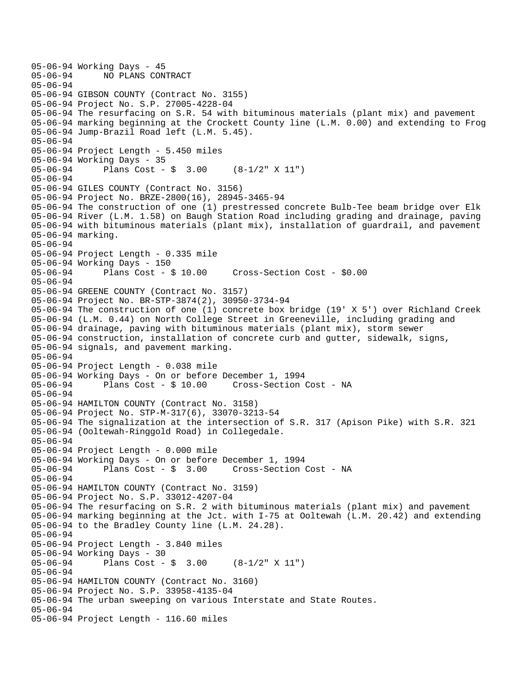```
05-06-94 Working Days - 45 
             05-06-94 NO PLANS CONTRACT 
05-06-94 
05-06-94 GIBSON COUNTY (Contract No. 3155) 
05-06-94 Project No. S.P. 27005-4228-04 
05-06-94 The resurfacing on S.R. 54 with bituminous materials (plant mix) and pavement 
05-06-94 marking beginning at the Crockett County line (L.M. 0.00) and extending to Frog 
05-06-94 Jump-Brazil Road left (L.M. 5.45). 
05-06-94 
05-06-94 Project Length - 5.450 miles 
05-06-94 Working Days - 35 
05-06-94 Plans Cost - $ 3.00 (8-1/2" X 11") 
05-06-94 
05-06-94 GILES COUNTY (Contract No. 3156) 
05-06-94 Project No. BRZE-2800(16), 28945-3465-94 
05-06-94 The construction of one (1) prestressed concrete Bulb-Tee beam bridge over Elk 
05-06-94 River (L.M. 1.58) on Baugh Station Road including grading and drainage, paving 
05-06-94 with bituminous materials (plant mix), installation of guardrail, and pavement 
05-06-94 marking. 
05-06-94 
05-06-94 Project Length - 0.335 mile 
05-06-94 Working Days - 150 
05-06-94 Plans Cost - $ 10.00 Cross-Section Cost - $0.00 
05-06-94 
05-06-94 GREENE COUNTY (Contract No. 3157) 
05-06-94 Project No. BR-STP-3874(2), 30950-3734-94 
05-06-94 The construction of one (1) concrete box bridge (19' X 5') over Richland Creek 
05-06-94 (L.M. 0.44) on North College Street in Greeneville, including grading and 
05-06-94 drainage, paving with bituminous materials (plant mix), storm sewer 
05-06-94 construction, installation of concrete curb and gutter, sidewalk, signs, 
05-06-94 signals, and pavement marking. 
05-06-94 
05-06-94 Project Length - 0.038 mile 
05-06-94 Working Days - On or before December 1, 1994 
                                       Cross-Section Cost - NA
05-06-94 
05-06-94 HAMILTON COUNTY (Contract No. 3158) 
05-06-94 Project No. STP-M-317(6), 33070-3213-54 
05-06-94 The signalization at the intersection of S.R. 317 (Apison Pike) with S.R. 321 
05-06-94 (Ooltewah-Ringgold Road) in Collegedale. 
05-06-94 
05-06-94 Project Length - 0.000 mile 
05-06-94 Working Days - On or before December 1, 1994 
05-06-94 Plans Cost - $ 3.00 Cross-Section Cost - NA 
05-06-94 
05-06-94 HAMILTON COUNTY (Contract No. 3159) 
05-06-94 Project No. S.P. 33012-4207-04 
05-06-94 The resurfacing on S.R. 2 with bituminous materials (plant mix) and pavement 
05-06-94 marking beginning at the Jct. with I-75 at Ooltewah (L.M. 20.42) and extending 
05-06-94 to the Bradley County line (L.M. 24.28). 
05-06-94 
05-06-94 Project Length - 3.840 miles 
05-06-94 Working Days - 30 
05-06-94 Plans Cost - $ 3.00 (8-1/2" X 11") 
05-06-94 
05-06-94 HAMILTON COUNTY (Contract No. 3160) 
05-06-94 Project No. S.P. 33958-4135-04 
05-06-94 The urban sweeping on various Interstate and State Routes. 
05-06-94 
05-06-94 Project Length - 116.60 miles
```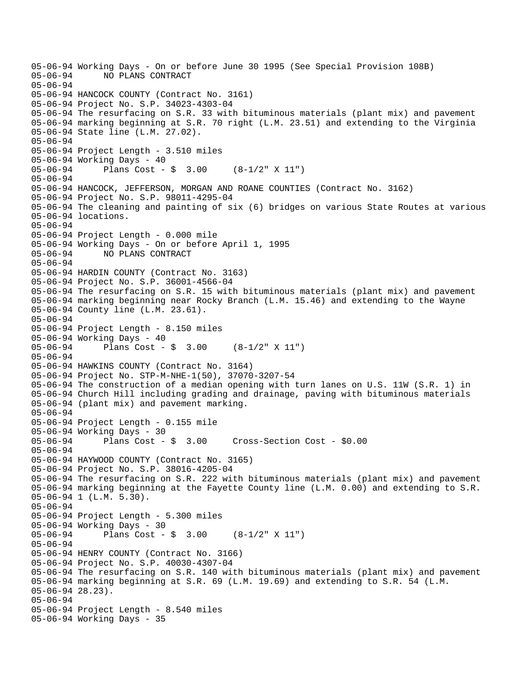```
05-06-94 Working Days - On or before June 30 1995 (See Special Provision 108B) 
              05-06-94 NO PLANS CONTRACT 
05-06-94 
05-06-94 HANCOCK COUNTY (Contract No. 3161) 
05-06-94 Project No. S.P. 34023-4303-04 
05-06-94 The resurfacing on S.R. 33 with bituminous materials (plant mix) and pavement 
05-06-94 marking beginning at S.R. 70 right (L.M. 23.51) and extending to the Virginia 
05-06-94 State line (L.M. 27.02). 
05-06-94 
05-06-94 Project Length - 3.510 miles 
05-06-94 Working Days - 40 
05-06-94 Plans Cost - $ 3.00 (8-1/2" X 11") 
05-06-94 
05-06-94 HANCOCK, JEFFERSON, MORGAN AND ROANE COUNTIES (Contract No. 3162) 
05-06-94 Project No. S.P. 98011-4295-04 
05-06-94 The cleaning and painting of six (6) bridges on various State Routes at various 
05-06-94 locations. 
05-06-94 
05-06-94 Project Length - 0.000 mile 
05-06-94 Working Days - On or before April 1, 1995 
05-06-94 NO PLANS CONTRACT 
05-06-94 
05-06-94 HARDIN COUNTY (Contract No. 3163) 
05-06-94 Project No. S.P. 36001-4566-04 
05-06-94 The resurfacing on S.R. 15 with bituminous materials (plant mix) and pavement 
05-06-94 marking beginning near Rocky Branch (L.M. 15.46) and extending to the Wayne 
05-06-94 County line (L.M. 23.61). 
05-06-94 
05-06-94 Project Length - 8.150 miles 
05-06-94 Working Days - 40 
05-06-94 Plans Cost - $ 3.00 (8-1/2" X 11") 
05-06-94 
05-06-94 HAWKINS COUNTY (Contract No. 3164) 
05-06-94 Project No. STP-M-NHE-1(50), 37070-3207-54 
05-06-94 The construction of a median opening with turn lanes on U.S. 11W (S.R. 1) in 
05-06-94 Church Hill including grading and drainage, paving with bituminous materials 
05-06-94 (plant mix) and pavement marking. 
05-06-94 
05-06-94 Project Length - 0.155 mile 
05-06-94 Working Days - 30 
05-06-94 Plans Cost - $ 3.00 Cross-Section Cost - $0.00 
05-06-94 
05-06-94 HAYWOOD COUNTY (Contract No. 3165) 
05-06-94 Project No. S.P. 38016-4205-04 
05-06-94 The resurfacing on S.R. 222 with bituminous materials (plant mix) and pavement 
05-06-94 marking beginning at the Fayette County line (L.M. 0.00) and extending to S.R. 
05-06-94 1 (L.M. 5.30). 
05-06-94 
05-06-94 Project Length - 5.300 miles 
05-06-94 Working Days - 30 
05-06-94 Plans Cost - $ 3.00 (8-1/2" X 11") 
05-06-94 
05-06-94 HENRY COUNTY (Contract No. 3166) 
05-06-94 Project No. S.P. 40030-4307-04 
05-06-94 The resurfacing on S.R. 140 with bituminous materials (plant mix) and pavement 
05-06-94 marking beginning at S.R. 69 (L.M. 19.69) and extending to S.R. 54 (L.M. 
05-06-94 28.23). 
05-06-94 
05-06-94 Project Length - 8.540 miles 
05-06-94 Working Days - 35
```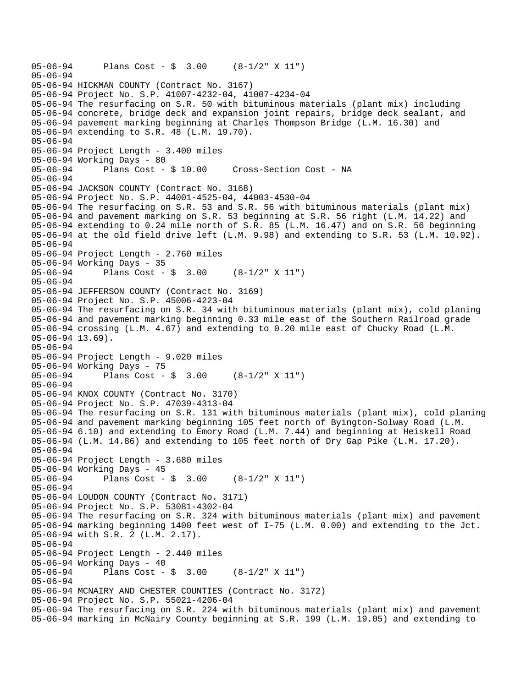05-06-94 Plans Cost - \$ 3.00 (8-1/2" X 11") 05-06-94 05-06-94 HICKMAN COUNTY (Contract No. 3167) 05-06-94 Project No. S.P. 41007-4232-04, 41007-4234-04 05-06-94 The resurfacing on S.R. 50 with bituminous materials (plant mix) including 05-06-94 concrete, bridge deck and expansion joint repairs, bridge deck sealant, and 05-06-94 pavement marking beginning at Charles Thompson Bridge (L.M. 16.30) and 05-06-94 extending to S.R. 48 (L.M. 19.70). 05-06-94 05-06-94 Project Length - 3.400 miles 05-06-94 Working Days - 80 05-06-94 Plans Cost - \$ 10.00 Cross-Section Cost - NA 05-06-94 05-06-94 JACKSON COUNTY (Contract No. 3168) 05-06-94 Project No. S.P. 44001-4525-04, 44003-4530-04 05-06-94 The resurfacing on S.R. 53 and S.R. 56 with bituminous materials (plant mix) 05-06-94 and pavement marking on S.R. 53 beginning at S.R. 56 right (L.M. 14.22) and 05-06-94 extending to 0.24 mile north of S.R. 85 (L.M. 16.47) and on S.R. 56 beginning 05-06-94 at the old field drive left (L.M. 9.98) and extending to S.R. 53 (L.M. 10.92). 05-06-94 05-06-94 Project Length - 2.760 miles 05-06-94 Working Days - 35 05-06-94 Plans Cost - \$ 3.00 (8-1/2" X 11") 05-06-94 05-06-94 JEFFERSON COUNTY (Contract No. 3169) 05-06-94 Project No. S.P. 45006-4223-04 05-06-94 The resurfacing on S.R. 34 with bituminous materials (plant mix), cold planing 05-06-94 and pavement marking beginning 0.33 mile east of the Southern Railroad grade 05-06-94 crossing (L.M. 4.67) and extending to 0.20 mile east of Chucky Road (L.M. 05-06-94 13.69). 05-06-94 05-06-94 Project Length - 9.020 miles 05-06-94 Working Days - 75 05-06-94 Plans Cost - \$ 3.00 (8-1/2" X 11") 05-06-94 05-06-94 KNOX COUNTY (Contract No. 3170) 05-06-94 Project No. S.P. 47039-4313-04 05-06-94 The resurfacing on S.R. 131 with bituminous materials (plant mix), cold planing 05-06-94 and pavement marking beginning 105 feet north of Byington-Solway Road (L.M. 05-06-94 6.10) and extending to Emory Road (L.M. 7.44) and beginning at Heiskell Road 05-06-94 (L.M. 14.86) and extending to 105 feet north of Dry Gap Pike (L.M. 17.20). 05-06-94 05-06-94 Project Length - 3.680 miles 05-06-94 Working Days - 45 05-06-94 Plans Cost - \$ 3.00 (8-1/2" X 11") 05-06-94 05-06-94 LOUDON COUNTY (Contract No. 3171) 05-06-94 Project No. S.P. 53081-4302-04 05-06-94 The resurfacing on S.R. 324 with bituminous materials (plant mix) and pavement 05-06-94 marking beginning 1400 feet west of I-75 (L.M. 0.00) and extending to the Jct. 05-06-94 with S.R. 2 (L.M. 2.17). 05-06-94 05-06-94 Project Length - 2.440 miles 05-06-94 Working Days - 40<br>05-06-94 Plans Cost -Plans Cost -  $\sin 3.00$  (8-1/2" X 11") 05-06-94 05-06-94 MCNAIRY AND CHESTER COUNTIES (Contract No. 3172) 05-06-94 Project No. S.P. 55021-4206-04 05-06-94 The resurfacing on S.R. 224 with bituminous materials (plant mix) and pavement 05-06-94 marking in McNairy County beginning at S.R. 199 (L.M. 19.05) and extending to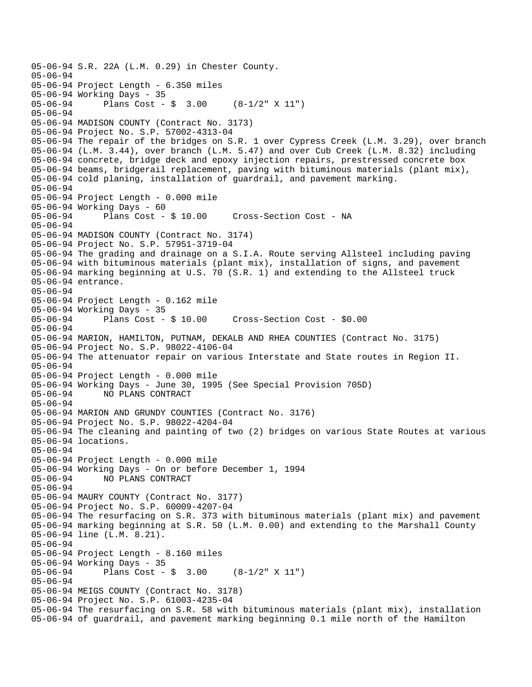```
05-06-94 S.R. 22A (L.M. 0.29) in Chester County. 
05-06-94 
05-06-94 Project Length - 6.350 miles 
05-06-94 Working Days - 35 
05-06-94 Plans Cost - $ 3.00 (8-1/2" X 11") 
05-06-94 
05-06-94 MADISON COUNTY (Contract No. 3173) 
05-06-94 Project No. S.P. 57002-4313-04 
05-06-94 The repair of the bridges on S.R. 1 over Cypress Creek (L.M. 3.29), over branch 
05-06-94 (L.M. 3.44), over branch (L.M. 5.47) and over Cub Creek (L.M. 8.32) including 
05-06-94 concrete, bridge deck and epoxy injection repairs, prestressed concrete box 
05-06-94 beams, bridgerail replacement, paving with bituminous materials (plant mix), 
05-06-94 cold planing, installation of guardrail, and pavement marking. 
05-06-94 
05-06-94 Project Length - 0.000 mile 
05-06-94 Working Days - 60 
05-06-94 Plans Cost - $ 10.00 Cross-Section Cost - NA 
05-06-94 
05-06-94 MADISON COUNTY (Contract No. 3174) 
05-06-94 Project No. S.P. 57951-3719-04 
05-06-94 The grading and drainage on a S.I.A. Route serving Allsteel including paving 
05-06-94 with bituminous materials (plant mix), installation of signs, and pavement 
05-06-94 marking beginning at U.S. 70 (S.R. 1) and extending to the Allsteel truck 
05-06-94 entrance. 
05-06-94 
05-06-94 Project Length - 0.162 mile 
05-06-94 Working Days - 35<br>05-06-94 Plans Cost - $ 10.00
05-06-94 Plans Cost - $ 10.00 Cross-Section Cost - $0.00 
05-06-94 
05-06-94 MARION, HAMILTON, PUTNAM, DEKALB AND RHEA COUNTIES (Contract No. 3175) 
05-06-94 Project No. S.P. 98022-4106-04 
05-06-94 The attenuator repair on various Interstate and State routes in Region II. 
05-06-94 
05-06-94 Project Length - 0.000 mile 
05-06-94 Working Days - June 30, 1995 (See Special Provision 705D) 
05-06-94 NO PLANS CONTRACT 
05-06-94 
05-06-94 MARION AND GRUNDY COUNTIES (Contract No. 3176) 
05-06-94 Project No. S.P. 98022-4204-04 
05-06-94 The cleaning and painting of two (2) bridges on various State Routes at various 
05-06-94 locations. 
05-06-94 
05-06-94 Project Length - 0.000 mile 
05-06-94 Working Days - On or before December 1, 1994 
05-06-94 NO PLANS CONTRACT 
05-06-94 
05-06-94 MAURY COUNTY (Contract No. 3177) 
05-06-94 Project No. S.P. 60009-4207-04 
05-06-94 The resurfacing on S.R. 373 with bituminous materials (plant mix) and pavement 
05-06-94 marking beginning at S.R. 50 (L.M. 0.00) and extending to the Marshall County 
05-06-94 line (L.M. 8.21). 
05-06-94 
05-06-94 Project Length - 8.160 miles 
05-06-94 Working Days - 35 
05-06-94 Plans Cost - $ 3.00 (8-1/2" X 11") 
05-06-94 
05-06-94 MEIGS COUNTY (Contract No. 3178) 
05-06-94 Project No. S.P. 61003-4235-04 
05-06-94 The resurfacing on S.R. 58 with bituminous materials (plant mix), installation 
05-06-94 of guardrail, and pavement marking beginning 0.1 mile north of the Hamilton
```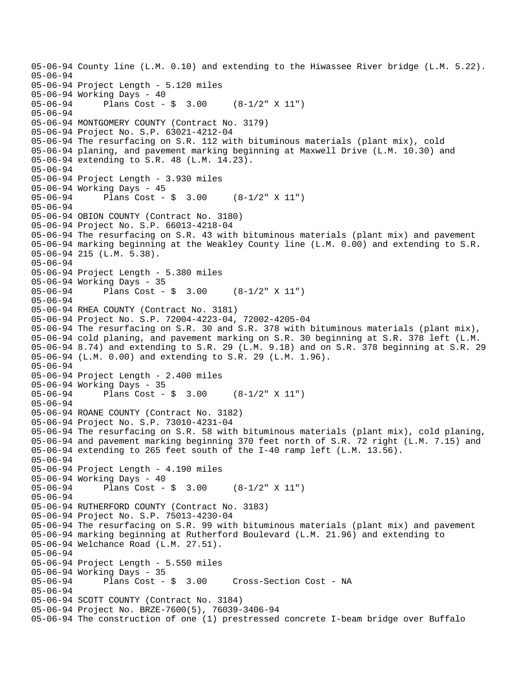05-06-94 County line (L.M. 0.10) and extending to the Hiwassee River bridge (L.M. 5.22). 05-06-94 05-06-94 Project Length - 5.120 miles 05-06-94 Working Days - 40 05-06-94 Plans Cost - \$ 3.00 (8-1/2" X 11") 05-06-94 05-06-94 MONTGOMERY COUNTY (Contract No. 3179) 05-06-94 Project No. S.P. 63021-4212-04 05-06-94 The resurfacing on S.R. 112 with bituminous materials (plant mix), cold 05-06-94 planing, and pavement marking beginning at Maxwell Drive (L.M. 10.30) and 05-06-94 extending to S.R. 48 (L.M. 14.23). 05-06-94 05-06-94 Project Length - 3.930 miles 05-06-94 Working Days - 45 05-06-94 Plans Cost - \$ 3.00 (8-1/2" X 11") 05-06-94 05-06-94 OBION COUNTY (Contract No. 3180) 05-06-94 Project No. S.P. 66013-4218-04 05-06-94 The resurfacing on S.R. 43 with bituminous materials (plant mix) and pavement 05-06-94 marking beginning at the Weakley County line (L.M. 0.00) and extending to S.R. 05-06-94 215 (L.M. 5.38). 05-06-94 05-06-94 Project Length - 5.380 miles 05-06-94 Working Days - 35<br>05-06-94 Plans Cost -Plans Cost -  $\frac{1}{9}$  3.00 (8-1/2" X 11") 05-06-94 05-06-94 RHEA COUNTY (Contract No. 3181) 05-06-94 Project No. S.P. 72004-4223-04, 72002-4205-04 05-06-94 The resurfacing on S.R. 30 and S.R. 378 with bituminous materials (plant mix), 05-06-94 cold planing, and pavement marking on S.R. 30 beginning at S.R. 378 left (L.M. 05-06-94 8.74) and extending to S.R. 29 (L.M. 9.18) and on S.R. 378 beginning at S.R. 29 05-06-94 (L.M. 0.00) and extending to S.R. 29 (L.M. 1.96). 05-06-94 05-06-94 Project Length - 2.400 miles 05-06-94 Working Days - 35 05-06-94 Plans Cost - \$ 3.00 (8-1/2" X 11") 05-06-94 05-06-94 ROANE COUNTY (Contract No. 3182) 05-06-94 Project No. S.P. 73010-4231-04 05-06-94 The resurfacing on S.R. 58 with bituminous materials (plant mix), cold planing, 05-06-94 and pavement marking beginning 370 feet north of S.R. 72 right (L.M. 7.15) and 05-06-94 extending to 265 feet south of the I-40 ramp left (L.M. 13.56). 05-06-94 05-06-94 Project Length - 4.190 miles 05-06-94 Working Days - 40 05-06-94 Plans Cost - \$ 3.00 (8-1/2" X 11") 05-06-94 05-06-94 RUTHERFORD COUNTY (Contract No. 3183) 05-06-94 Project No. S.P. 75013-4230-04 05-06-94 The resurfacing on S.R. 99 with bituminous materials (plant mix) and pavement 05-06-94 marking beginning at Rutherford Boulevard (L.M. 21.96) and extending to 05-06-94 Welchance Road (L.M. 27.51). 05-06-94 05-06-94 Project Length - 5.550 miles 05-06-94 Working Days - 35<br>05-06-94 Plans Cost - \$ 3.00 05-06-94 Plans Cost - \$ 3.00 Cross-Section Cost - NA 05-06-94 05-06-94 SCOTT COUNTY (Contract No. 3184) 05-06-94 Project No. BRZE-7600(5), 76039-3406-94 05-06-94 The construction of one (1) prestressed concrete I-beam bridge over Buffalo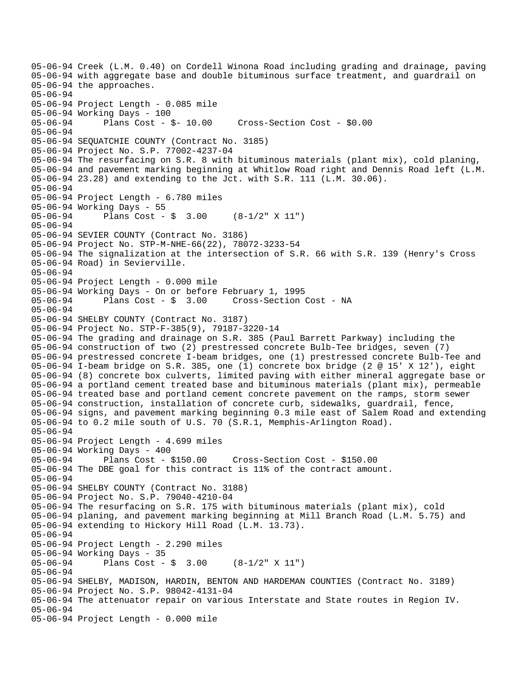05-06-94 Creek (L.M. 0.40) on Cordell Winona Road including grading and drainage, paving 05-06-94 with aggregate base and double bituminous surface treatment, and guardrail on 05-06-94 the approaches. 05-06-94 05-06-94 Project Length - 0.085 mile 05-06-94 Working Days - 100 05-06-94 Plans Cost - \$- 10.00 Cross-Section Cost - \$0.00 05-06-94 05-06-94 SEQUATCHIE COUNTY (Contract No. 3185) 05-06-94 Project No. S.P. 77002-4237-04 05-06-94 The resurfacing on S.R. 8 with bituminous materials (plant mix), cold planing, 05-06-94 and pavement marking beginning at Whitlow Road right and Dennis Road left (L.M. 05-06-94 23.28) and extending to the Jct. with S.R. 111 (L.M. 30.06). 05-06-94 05-06-94 Project Length - 6.780 miles 05-06-94 Working Days - 55 Plans Cost -  $\sin 3.00$  (8-1/2" X 11") 05-06-94 05-06-94 SEVIER COUNTY (Contract No. 3186) 05-06-94 Project No. STP-M-NHE-66(22), 78072-3233-54 05-06-94 The signalization at the intersection of S.R. 66 with S.R. 139 (Henry's Cross 05-06-94 Road) in Sevierville. 05-06-94 05-06-94 Project Length - 0.000 mile 05-06-94 Working Days - On or before February 1, 1995 05-06-94 Plans Cost - \$ 3.00 Cross-Section Cost - NA 05-06-94 05-06-94 SHELBY COUNTY (Contract No. 3187) 05-06-94 Project No. STP-F-385(9), 79187-3220-14 05-06-94 The grading and drainage on S.R. 385 (Paul Barrett Parkway) including the 05-06-94 construction of two (2) prestressed concrete Bulb-Tee bridges, seven (7) 05-06-94 prestressed concrete I-beam bridges, one (1) prestressed concrete Bulb-Tee and 05-06-94 I-beam bridge on S.R. 385, one (1) concrete box bridge (2 @ 15' X 12'), eight 05-06-94 (8) concrete box culverts, limited paving with either mineral aggregate base or 05-06-94 a portland cement treated base and bituminous materials (plant mix), permeable 05-06-94 treated base and portland cement concrete pavement on the ramps, storm sewer 05-06-94 construction, installation of concrete curb, sidewalks, guardrail, fence, 05-06-94 signs, and pavement marking beginning 0.3 mile east of Salem Road and extending 05-06-94 to 0.2 mile south of U.S. 70 (S.R.1, Memphis-Arlington Road). 05-06-94 05-06-94 Project Length - 4.699 miles 05-06-94 Working Days - 400 05-06-94 Plans Cost - \$150.00 Cross-Section Cost - \$150.00 05-06-94 The DBE goal for this contract is 11% of the contract amount. 05-06-94 05-06-94 SHELBY COUNTY (Contract No. 3188) 05-06-94 Project No. S.P. 79040-4210-04 05-06-94 The resurfacing on S.R. 175 with bituminous materials (plant mix), cold 05-06-94 planing, and pavement marking beginning at Mill Branch Road (L.M. 5.75) and 05-06-94 extending to Hickory Hill Road (L.M. 13.73). 05-06-94 05-06-94 Project Length - 2.290 miles 05-06-94 Working Days - 35 05-06-94 Plans Cost - \$ 3.00 (8-1/2" X 11") 05-06-94 05-06-94 SHELBY, MADISON, HARDIN, BENTON AND HARDEMAN COUNTIES (Contract No. 3189) 05-06-94 Project No. S.P. 98042-4131-04 05-06-94 The attenuator repair on various Interstate and State routes in Region IV. 05-06-94 05-06-94 Project Length - 0.000 mile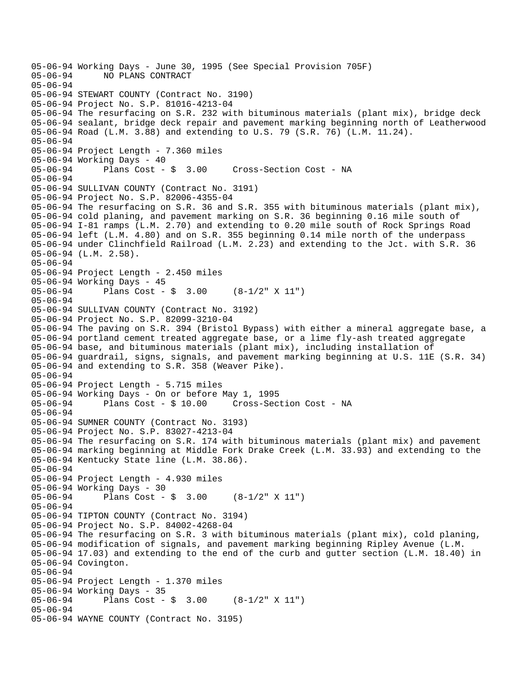```
05-06-94 Working Days - June 30, 1995 (See Special Provision 705F) 
              05-06-94 NO PLANS CONTRACT 
05-06-94 
05-06-94 STEWART COUNTY (Contract No. 3190) 
05-06-94 Project No. S.P. 81016-4213-04 
05-06-94 The resurfacing on S.R. 232 with bituminous materials (plant mix), bridge deck 
05-06-94 sealant, bridge deck repair and pavement marking beginning north of Leatherwood 
05-06-94 Road (L.M. 3.88) and extending to U.S. 79 (S.R. 76) (L.M. 11.24). 
05-06-94 
05-06-94 Project Length - 7.360 miles 
05-06-94 Working Days - 40 
05-06-94 Plans Cost - $ 3.00 Cross-Section Cost - NA 
05-06-94 
05-06-94 SULLIVAN COUNTY (Contract No. 3191) 
05-06-94 Project No. S.P. 82006-4355-04 
05-06-94 The resurfacing on S.R. 36 and S.R. 355 with bituminous materials (plant mix), 
05-06-94 cold planing, and pavement marking on S.R. 36 beginning 0.16 mile south of 
05-06-94 I-81 ramps (L.M. 2.70) and extending to 0.20 mile south of Rock Springs Road 
05-06-94 left (L.M. 4.80) and on S.R. 355 beginning 0.14 mile north of the underpass 
05-06-94 under Clinchfield Railroad (L.M. 2.23) and extending to the Jct. with S.R. 36 
05-06-94 (L.M. 2.58). 
05-06-94 
05-06-94 Project Length - 2.450 miles 
05-06-94 Working Days - 45<br>05-06-94 Plans Cost -
              Plans Cost - \frac{1}{9} 3.00 (8-1/2" X 11")
05-06-94 
05-06-94 SULLIVAN COUNTY (Contract No. 3192) 
05-06-94 Project No. S.P. 82099-3210-04 
05-06-94 The paving on S.R. 394 (Bristol Bypass) with either a mineral aggregate base, a 
05-06-94 portland cement treated aggregate base, or a lime fly-ash treated aggregate 
05-06-94 base, and bituminous materials (plant mix), including installation of 
05-06-94 guardrail, signs, signals, and pavement marking beginning at U.S. 11E (S.R. 34) 
05-06-94 and extending to S.R. 358 (Weaver Pike). 
05-06-94 
05-06-94 Project Length - 5.715 miles 
05-06-94 Working Days - On or before May 1, 1995 
              Plans Cost - $ 10.00 Cross-Section Cost - NA
05-06-94 
05-06-94 SUMNER COUNTY (Contract No. 3193) 
05-06-94 Project No. S.P. 83027-4213-04 
05-06-94 The resurfacing on S.R. 174 with bituminous materials (plant mix) and pavement 
05-06-94 marking beginning at Middle Fork Drake Creek (L.M. 33.93) and extending to the 
05-06-94 Kentucky State line (L.M. 38.86). 
05-06-94 
05-06-94 Project Length - 4.930 miles 
05-06-94 Working Days - 30 
05-06-94 Plans Cost - $ 3.00 (8-1/2" X 11") 
05-06-94 
05-06-94 TIPTON COUNTY (Contract No. 3194) 
05-06-94 Project No. S.P. 84002-4268-04 
05-06-94 The resurfacing on S.R. 3 with bituminous materials (plant mix), cold planing,
05-06-94 modification of signals, and pavement marking beginning Ripley Avenue (L.M. 
05-06-94 17.03) and extending to the end of the curb and gutter section (L.M. 18.40) in 
05-06-94 Covington. 
05-06-94 
05-06-94 Project Length - 1.370 miles 
05-06-94 Working Days - 35<br>05-06-94 Plans Cost -
              Plans Cost - \frac{1}{9} 3.00 (8-1/2" X 11")
05-06-94 
05-06-94 WAYNE COUNTY (Contract No. 3195)
```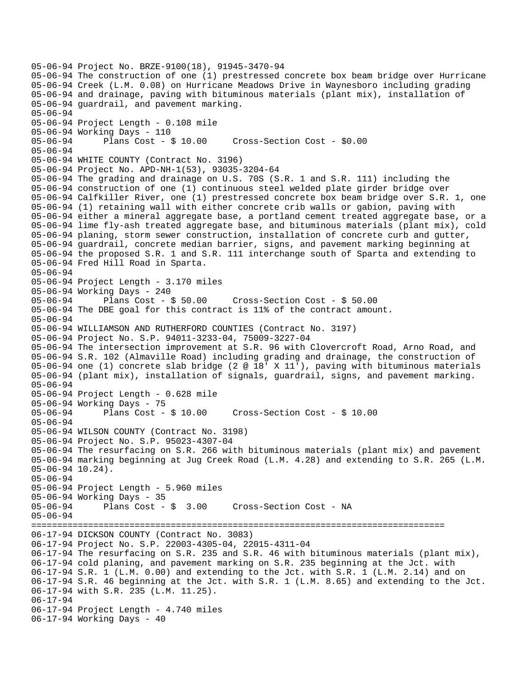```
05-06-94 Project No. BRZE-9100(18), 91945-3470-94 
05-06-94 The construction of one (1) prestressed concrete box beam bridge over Hurricane 
05-06-94 Creek (L.M. 0.08) on Hurricane Meadows Drive in Waynesboro including grading 
05-06-94 and drainage, paving with bituminous materials (plant mix), installation of 
05-06-94 guardrail, and pavement marking. 
05-06-94 
05-06-94 Project Length - 0.108 mile 
05-06-94 Working Days - 110 
05-06-94 Plans Cost - $ 10.00 Cross-Section Cost - $0.00 
05-06-94 
05-06-94 WHITE COUNTY (Contract No. 3196) 
05-06-94 Project No. APD-NH-1(53), 93035-3204-64 
05-06-94 The grading and drainage on U.S. 70S (S.R. 1 and S.R. 111) including the 
05-06-94 construction of one (1) continuous steel welded plate girder bridge over 
05-06-94 Calfkiller River, one (1) prestressed concrete box beam bridge over S.R. 1, one 
05-06-94 (1) retaining wall with either concrete crib walls or gabion, paving with 
05-06-94 either a mineral aggregate base, a portland cement treated aggregate base, or a 
05-06-94 lime fly-ash treated aggregate base, and bituminous materials (plant mix), cold 
05-06-94 planing, storm sewer construction, installation of concrete curb and gutter, 
05-06-94 guardrail, concrete median barrier, signs, and pavement marking beginning at 
05-06-94 the proposed S.R. 1 and S.R. 111 interchange south of Sparta and extending to 
05-06-94 Fred Hill Road in Sparta. 
05-06-94 
05-06-94 Project Length - 3.170 miles 
05-06-94 Working Days - 240<br>05-06-94 Plans Cost - $ 50.00
05-06-94 Plans Cost - $ 50.00 Cross-Section Cost - $ 50.00 
05-06-94 The DBE goal for this contract is 11% of the contract amount. 
05-06-94 
05-06-94 WILLIAMSON AND RUTHERFORD COUNTIES (Contract No. 3197) 
05-06-94 Project No. S.P. 94011-3233-04, 75009-3227-04 
05-06-94 The intersection improvement at S.R. 96 with Clovercroft Road, Arno Road, and 
05-06-94 S.R. 102 (Almaville Road) including grading and drainage, the construction of 
05-06-94 one (1) concrete slab bridge (2 @ 18' X 11'), paving with bituminous materials 
05-06-94 (plant mix), installation of signals, guardrail, signs, and pavement marking. 
05-06-94 
05-06-94 Project Length - 0.628 mile 
05-06-94 Working Days - 75<br>05-06-94 Plans Cost - $ 10.00
05-06-94 Plans Cost - $ 10.00 Cross-Section Cost - $ 10.00 
05-06-94 
05-06-94 WILSON COUNTY (Contract No. 3198) 
05-06-94 Project No. S.P. 95023-4307-04 
05-06-94 The resurfacing on S.R. 266 with bituminous materials (plant mix) and pavement 
05-06-94 marking beginning at Jug Creek Road (L.M. 4.28) and extending to S.R. 265 (L.M. 
05-06-94 10.24). 
05-06-94 
05-06-94 Project Length - 5.960 miles 
05-06-94 Working Days - 35 
05-06-94 Plans Cost - $ 3.00 Cross-Section Cost - NA 
05-06-94 
================================================================================ 
06-17-94 DICKSON COUNTY (Contract No. 3083) 
06-17-94 Project No. S.P. 22003-4305-04, 22015-4311-04 
06-17-94 The resurfacing on S.R. 235 and S.R. 46 with bituminous materials (plant mix), 
06-17-94 cold planing, and pavement marking on S.R. 235 beginning at the Jct. with 
06-17-94 S.R. 1 (L.M. 0.00) and extending to the Jct. with S.R. 1 (L.M. 2.14) and on 
06-17-94 S.R. 46 beginning at the Jct. with S.R. 1 (L.M. 8.65) and extending to the Jct. 
06-17-94 with S.R. 235 (L.M. 11.25). 
06-17-94 
06-17-94 Project Length - 4.740 miles 
06-17-94 Working Days - 40
```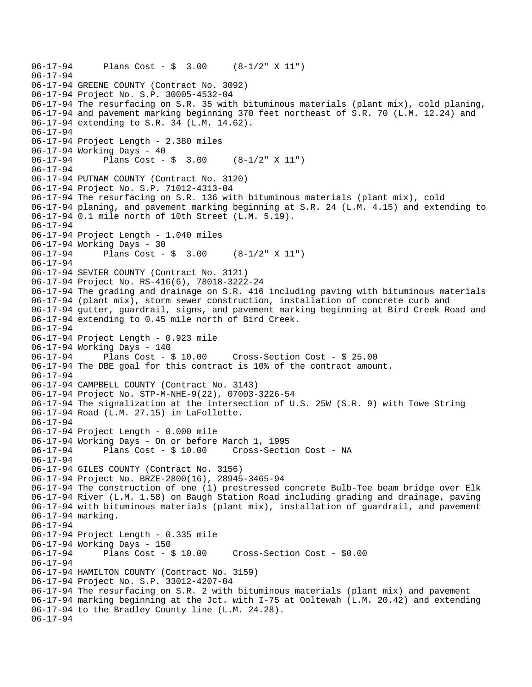```
06-17-94 Plans Cost - $ 3.00 (8-1/2" X 11") 
06-17-94 
06-17-94 GREENE COUNTY (Contract No. 3092) 
06-17-94 Project No. S.P. 30005-4532-04 
06-17-94 The resurfacing on S.R. 35 with bituminous materials (plant mix), cold planing, 
06-17-94 and pavement marking beginning 370 feet northeast of S.R. 70 (L.M. 12.24) and 
06-17-94 extending to S.R. 34 (L.M. 14.62). 
06-17-94 
06-17-94 Project Length - 2.380 miles 
06-17-94 Working Days - 40 
06-17-94 Plans Cost - $ 3.00 (8-1/2" X 11") 
06-17-94 
06-17-94 PUTNAM COUNTY (Contract No. 3120) 
06-17-94 Project No. S.P. 71012-4313-04 
06-17-94 The resurfacing on S.R. 136 with bituminous materials (plant mix), cold 
06-17-94 planing, and pavement marking beginning at S.R. 24 (L.M. 4.15) and extending to 
06-17-94 0.1 mile north of 10th Street (L.M. 5.19). 
06-17-94 
06-17-94 Project Length - 1.040 miles 
06-17-94 Working Days - 30 
06-17-94 Plans Cost - $ 3.00 (8-1/2" X 11") 
06-17-94 
06-17-94 SEVIER COUNTY (Contract No. 3121) 
06-17-94 Project No. RS-416(6), 78018-3222-24 
06-17-94 The grading and drainage on S.R. 416 including paving with bituminous materials 
06-17-94 (plant mix), storm sewer construction, installation of concrete curb and 
06-17-94 gutter, guardrail, signs, and pavement marking beginning at Bird Creek Road and 
06-17-94 extending to 0.45 mile north of Bird Creek. 
06-17-94 
06-17-94 Project Length - 0.923 mile 
06-17-94 Working Days - 140 
06-17-94 Plans Cost - $ 10.00 Cross-Section Cost - $ 25.00 
06-17-94 The DBE goal for this contract is 10% of the contract amount. 
06-17-94 
06-17-94 CAMPBELL COUNTY (Contract No. 3143) 
06-17-94 Project No. STP-M-NHE-9(22), 07003-3226-54 
06-17-94 The signalization at the intersection of U.S. 25W (S.R. 9) with Towe String 
06-17-94 Road (L.M. 27.15) in LaFollette. 
06-17-94 
06-17-94 Project Length - 0.000 mile 
06-17-94 Working Days - On or before March 1, 1995 
06-17-94 Plans Cost - $ 10.00 Cross-Section Cost - NA 
06-17-94 
06-17-94 GILES COUNTY (Contract No. 3156) 
06-17-94 Project No. BRZE-2800(16), 28945-3465-94 
06-17-94 The construction of one (1) prestressed concrete Bulb-Tee beam bridge over Elk 
06-17-94 River (L.M. 1.58) on Baugh Station Road including grading and drainage, paving 
06-17-94 with bituminous materials (plant mix), installation of guardrail, and pavement 
06-17-94 marking. 
06-17-94 
06-17-94 Project Length - 0.335 mile 
06-17-94 Working Days - 150 
06-17-94 Plans Cost - $ 10.00 Cross-Section Cost - $0.00 
06-17-94 
06-17-94 HAMILTON COUNTY (Contract No. 3159) 
06-17-94 Project No. S.P. 33012-4207-04 
06-17-94 The resurfacing on S.R. 2 with bituminous materials (plant mix) and pavement 
06-17-94 marking beginning at the Jct. with I-75 at Ooltewah (L.M. 20.42) and extending 
06-17-94 to the Bradley County line (L.M. 24.28). 
06-17-94
```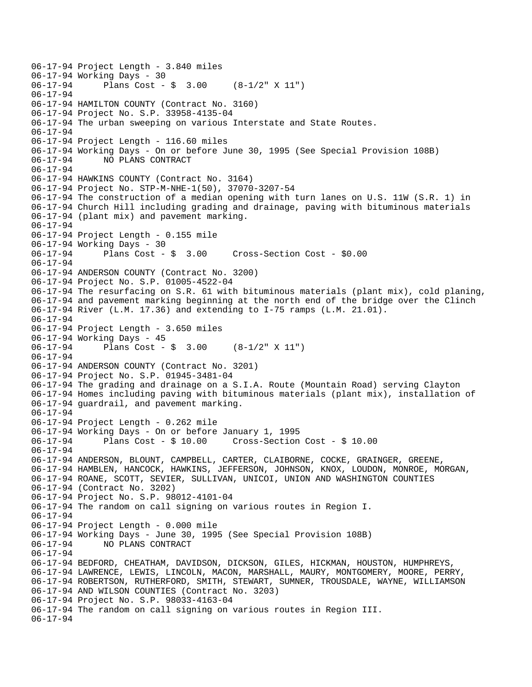```
06-17-94 Project Length - 3.840 miles 
06-17-94 Working Days - 30<br>06-17-94 Plans Cost -
              Plans Cost - \sin 3.00 (8-1/2" X 11")
06-17-94 
06-17-94 HAMILTON COUNTY (Contract No. 3160) 
06-17-94 Project No. S.P. 33958-4135-04 
06-17-94 The urban sweeping on various Interstate and State Routes. 
06-17-94 
06-17-94 Project Length - 116.60 miles 
06-17-94 Working Days - On or before June 30, 1995 (See Special Provision 108B) 
06-17-94 NO PLANS CONTRACT 
06-17-94 
06-17-94 HAWKINS COUNTY (Contract No. 3164) 
06-17-94 Project No. STP-M-NHE-1(50), 37070-3207-54 
06-17-94 The construction of a median opening with turn lanes on U.S. 11W (S.R. 1) in 
06-17-94 Church Hill including grading and drainage, paving with bituminous materials 
06-17-94 (plant mix) and pavement marking. 
06-17-94 
06-17-94 Project Length - 0.155 mile 
06-17-94 Working Days - 30<br>06-17-94 Plans Cost - $ 3.00
06-17-94 Plans Cost - $ 3.00 Cross-Section Cost - $0.00 
06-17-94 
06-17-94 ANDERSON COUNTY (Contract No. 3200) 
06-17-94 Project No. S.P. 01005-4522-04 
06-17-94 The resurfacing on S.R. 61 with bituminous materials (plant mix), cold planing, 
06-17-94 and pavement marking beginning at the north end of the bridge over the Clinch 
06-17-94 River (L.M. 17.36) and extending to I-75 ramps (L.M. 21.01). 
06-17-94 
06-17-94 Project Length - 3.650 miles 
06-17-94 Working Days - 45 
06-17-94 Plans Cost - $ 3.00 (8-1/2" X 11") 
06-17-94 
06-17-94 ANDERSON COUNTY (Contract No. 3201) 
06-17-94 Project No. S.P. 01945-3481-04 
06-17-94 The grading and drainage on a S.I.A. Route (Mountain Road) serving Clayton 
06-17-94 Homes including paving with bituminous materials (plant mix), installation of 
06-17-94 guardrail, and pavement marking. 
06-17-94 
06-17-94 Project Length - 0.262 mile 
06-17-94 Working Days - On or before January 1, 1995 
06-17-94 Plans Cost - $ 10.00 Cross-Section Cost - $ 10.00 
06-17-94 
06-17-94 ANDERSON, BLOUNT, CAMPBELL, CARTER, CLAIBORNE, COCKE, GRAINGER, GREENE, 
06-17-94 HAMBLEN, HANCOCK, HAWKINS, JEFFERSON, JOHNSON, KNOX, LOUDON, MONROE, MORGAN, 
06-17-94 ROANE, SCOTT, SEVIER, SULLIVAN, UNICOI, UNION AND WASHINGTON COUNTIES 
06-17-94 (Contract No. 3202) 
06-17-94 Project No. S.P. 98012-4101-04 
06-17-94 The random on call signing on various routes in Region I. 
06-17-94 
06-17-94 Project Length - 0.000 mile 
06-17-94 Working Days - June 30, 1995 (See Special Provision 108B) 
06-17-94 NO PLANS CONTRACT 
06-17-94 
06-17-94 BEDFORD, CHEATHAM, DAVIDSON, DICKSON, GILES, HICKMAN, HOUSTON, HUMPHREYS, 
06-17-94 LAWRENCE, LEWIS, LINCOLN, MACON, MARSHALL, MAURY, MONTGOMERY, MOORE, PERRY, 
06-17-94 ROBERTSON, RUTHERFORD, SMITH, STEWART, SUMNER, TROUSDALE, WAYNE, WILLIAMSON 
06-17-94 AND WILSON COUNTIES (Contract No. 3203) 
06-17-94 Project No. S.P. 98033-4163-04 
06-17-94 The random on call signing on various routes in Region III. 
06-17-94
```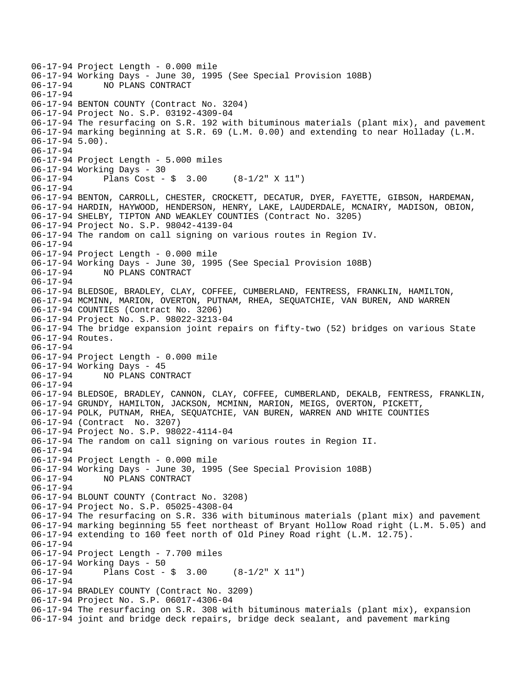06-17-94 Project Length - 0.000 mile 06-17-94 Working Days - June 30, 1995 (See Special Provision 108B) 06-17-94 NO PLANS CONTRACT 06-17-94 06-17-94 BENTON COUNTY (Contract No. 3204) 06-17-94 Project No. S.P. 03192-4309-04 06-17-94 The resurfacing on S.R. 192 with bituminous materials (plant mix), and pavement 06-17-94 marking beginning at S.R. 69 (L.M. 0.00) and extending to near Holladay (L.M. 06-17-94 5.00). 06-17-94 06-17-94 Project Length - 5.000 miles 06-17-94 Working Days - 30 06-17-94 Plans Cost - \$ 3.00 (8-1/2" X 11") 06-17-94 06-17-94 BENTON, CARROLL, CHESTER, CROCKETT, DECATUR, DYER, FAYETTE, GIBSON, HARDEMAN, 06-17-94 HARDIN, HAYWOOD, HENDERSON, HENRY, LAKE, LAUDERDALE, MCNAIRY, MADISON, OBION, 06-17-94 SHELBY, TIPTON AND WEAKLEY COUNTIES (Contract No. 3205) 06-17-94 Project No. S.P. 98042-4139-04 06-17-94 The random on call signing on various routes in Region IV. 06-17-94 06-17-94 Project Length - 0.000 mile 06-17-94 Working Days - June 30, 1995 (See Special Provision 108B) 06-17-94 NO PLANS CONTRACT 06-17-94 06-17-94 BLEDSOE, BRADLEY, CLAY, COFFEE, CUMBERLAND, FENTRESS, FRANKLIN, HAMILTON, 06-17-94 MCMINN, MARION, OVERTON, PUTNAM, RHEA, SEQUATCHIE, VAN BUREN, AND WARREN 06-17-94 COUNTIES (Contract No. 3206) 06-17-94 Project No. S.P. 98022-3213-04 06-17-94 The bridge expansion joint repairs on fifty-two (52) bridges on various State 06-17-94 Routes. 06-17-94 06-17-94 Project Length - 0.000 mile 06-17-94 Working Days - 45 06-17-94 NO PLANS CONTRACT 06-17-94 06-17-94 BLEDSOE, BRADLEY, CANNON, CLAY, COFFEE, CUMBERLAND, DEKALB, FENTRESS, FRANKLIN, 06-17-94 GRUNDY, HAMILTON, JACKSON, MCMINN, MARION, MEIGS, OVERTON, PICKETT, 06-17-94 POLK, PUTNAM, RHEA, SEQUATCHIE, VAN BUREN, WARREN AND WHITE COUNTIES 06-17-94 (Contract No. 3207) 06-17-94 Project No. S.P. 98022-4114-04 06-17-94 The random on call signing on various routes in Region II. 06-17-94 06-17-94 Project Length - 0.000 mile 06-17-94 Working Days - June 30, 1995 (See Special Provision 108B) 06-17-94 NO PLANS CONTRACT 06-17-94 06-17-94 BLOUNT COUNTY (Contract No. 3208) 06-17-94 Project No. S.P. 05025-4308-04 06-17-94 The resurfacing on S.R. 336 with bituminous materials (plant mix) and pavement 06-17-94 marking beginning 55 feet northeast of Bryant Hollow Road right (L.M. 5.05) and 06-17-94 extending to 160 feet north of Old Piney Road right (L.M. 12.75). 06-17-94 06-17-94 Project Length - 7.700 miles 06-17-94 Working Days - 50 06-17-94 Plans Cost - \$ 3.00 (8-1/2" X 11") 06-17-94 06-17-94 BRADLEY COUNTY (Contract No. 3209) 06-17-94 Project No. S.P. 06017-4306-04 06-17-94 The resurfacing on S.R. 308 with bituminous materials (plant mix), expansion 06-17-94 joint and bridge deck repairs, bridge deck sealant, and pavement marking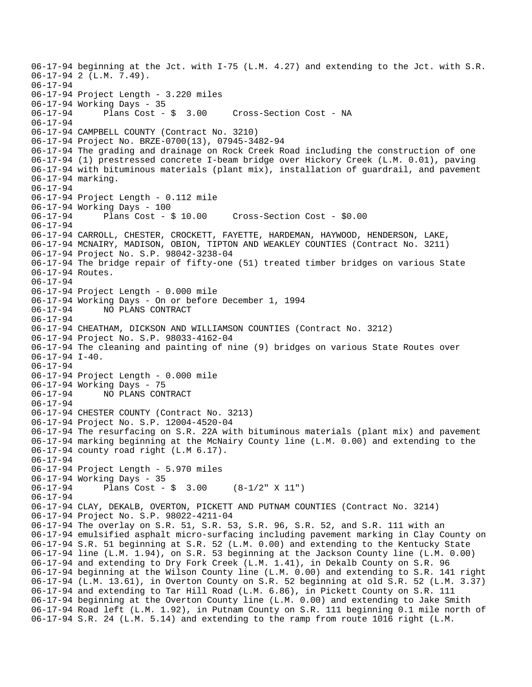06-17-94 beginning at the Jct. with I-75 (L.M. 4.27) and extending to the Jct. with S.R. 06-17-94 2 (L.M. 7.49). 06-17-94 06-17-94 Project Length - 3.220 miles 06-17-94 Working Days - 35 06-17-94 Plans Cost - \$ 3.00 Cross-Section Cost - NA 06-17-94 06-17-94 CAMPBELL COUNTY (Contract No. 3210) 06-17-94 Project No. BRZE-0700(13), 07945-3482-94 06-17-94 The grading and drainage on Rock Creek Road including the construction of one 06-17-94 (1) prestressed concrete I-beam bridge over Hickory Creek (L.M. 0.01), paving 06-17-94 with bituminous materials (plant mix), installation of guardrail, and pavement 06-17-94 marking. 06-17-94 06-17-94 Project Length - 0.112 mile 06-17-94 Working Days - 100 06-17-94 Plans Cost - \$ 10.00 Cross-Section Cost - \$0.00 06-17-94 06-17-94 CARROLL, CHESTER, CROCKETT, FAYETTE, HARDEMAN, HAYWOOD, HENDERSON, LAKE, 06-17-94 MCNAIRY, MADISON, OBION, TIPTON AND WEAKLEY COUNTIES (Contract No. 3211) 06-17-94 Project No. S.P. 98042-3238-04 06-17-94 The bridge repair of fifty-one (51) treated timber bridges on various State 06-17-94 Routes. 06-17-94 06-17-94 Project Length - 0.000 mile 06-17-94 Working Days - On or before December 1, 1994 06-17-94 NO PLANS CONTRACT 06-17-94 06-17-94 CHEATHAM, DICKSON AND WILLIAMSON COUNTIES (Contract No. 3212) 06-17-94 Project No. S.P. 98033-4162-04 06-17-94 The cleaning and painting of nine (9) bridges on various State Routes over 06-17-94 I-40. 06-17-94 06-17-94 Project Length - 0.000 mile 06-17-94 Working Days - 75 06-17-94 NO PLANS CONTRACT 06-17-94 06-17-94 CHESTER COUNTY (Contract No. 3213) 06-17-94 Project No. S.P. 12004-4520-04 06-17-94 The resurfacing on S.R. 22A with bituminous materials (plant mix) and pavement 06-17-94 marking beginning at the McNairy County line (L.M. 0.00) and extending to the 06-17-94 county road right (L.M 6.17). 06-17-94 06-17-94 Project Length - 5.970 miles 06-17-94 Working Days - 35 06-17-94 Plans Cost - \$ 3.00 (8-1/2" X 11") 06-17-94 06-17-94 CLAY, DEKALB, OVERTON, PICKETT AND PUTNAM COUNTIES (Contract No. 3214) 06-17-94 Project No. S.P. 98022-4211-04 06-17-94 The overlay on S.R. 51, S.R. 53, S.R. 96, S.R. 52, and S.R. 111 with an 06-17-94 emulsified asphalt micro-surfacing including pavement marking in Clay County on 06-17-94 S.R. 51 beginning at S.R. 52 (L.M. 0.00) and extending to the Kentucky State 06-17-94 line (L.M. 1.94), on S.R. 53 beginning at the Jackson County line (L.M. 0.00) 06-17-94 and extending to Dry Fork Creek (L.M. 1.41), in Dekalb County on S.R. 96 06-17-94 beginning at the Wilson County line (L.M. 0.00) and extending to S.R. 141 right 06-17-94 (L.M. 13.61), in Overton County on S.R. 52 beginning at old S.R. 52 (L.M. 3.37) 06-17-94 and extending to Tar Hill Road (L.M. 6.86), in Pickett County on S.R. 111 06-17-94 beginning at the Overton County line (L.M. 0.00) and extending to Jake Smith 06-17-94 Road left (L.M. 1.92), in Putnam County on S.R. 111 beginning 0.1 mile north of 06-17-94 S.R. 24 (L.M. 5.14) and extending to the ramp from route 1016 right (L.M.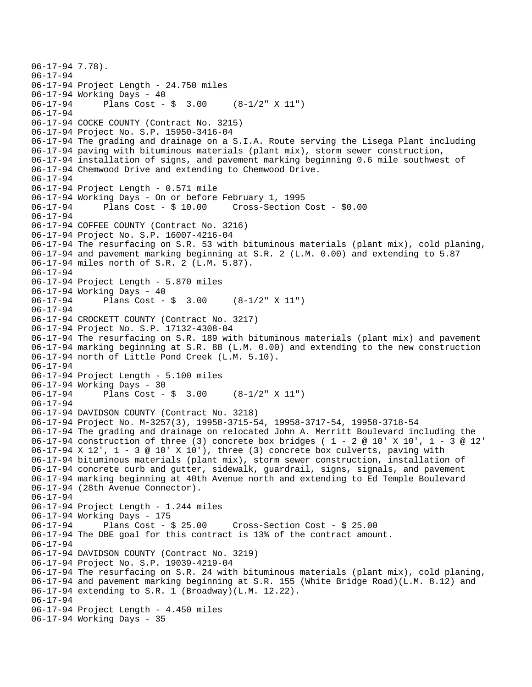```
06-17-94 7.78). 
06-17-94 
06-17-94 Project Length - 24.750 miles 
06-17-94 Working Days - 40<br>06-17-94 Plans Cost -
              Plans Cost - \sin 3.00 (8-1/2" X 11")
06-17-94 
06-17-94 COCKE COUNTY (Contract No. 3215) 
06-17-94 Project No. S.P. 15950-3416-04 
06-17-94 The grading and drainage on a S.I.A. Route serving the Lisega Plant including 
06-17-94 paving with bituminous materials (plant mix), storm sewer construction, 
06-17-94 installation of signs, and pavement marking beginning 0.6 mile southwest of 
06-17-94 Chemwood Drive and extending to Chemwood Drive. 
06-17-94 
06-17-94 Project Length - 0.571 mile 
06-17-94 Working Days - On or before February 1, 1995 
06-17-94 Plans Cost - $ 10.00 Cross-Section Cost - $0.00 
06-17-94 
06-17-94 COFFEE COUNTY (Contract No. 3216) 
06-17-94 Project No. S.P. 16007-4216-04 
06-17-94 The resurfacing on S.R. 53 with bituminous materials (plant mix), cold planing, 
06-17-94 and pavement marking beginning at S.R. 2 (L.M. 0.00) and extending to 5.87 
06-17-94 miles north of S.R. 2 (L.M. 5.87). 
06-17-94 
06-17-94 Project Length - 5.870 miles 
06-17-94 Working Days - 40 
06-17-94 Plans Cost - $ 3.00 (8-1/2" X 11") 
06-17-94 
06-17-94 CROCKETT COUNTY (Contract No. 3217) 
06-17-94 Project No. S.P. 17132-4308-04 
06-17-94 The resurfacing on S.R. 189 with bituminous materials (plant mix) and pavement 
06-17-94 marking beginning at S.R. 88 (L.M. 0.00) and extending to the new construction 
06-17-94 north of Little Pond Creek (L.M. 5.10). 
06-17-94 
06-17-94 Project Length - 5.100 miles 
06-17-94 Working Days - 30 
06-17-94 Plans Cost - $ 3.00 (8-1/2" X 11") 
06-17-94 
06-17-94 DAVIDSON COUNTY (Contract No. 3218) 
06-17-94 Project No. M-3257(3), 19958-3715-54, 19958-3717-54, 19958-3718-54 
06-17-94 The grading and drainage on relocated John A. Merritt Boulevard including the 
06-17-94 construction of three (3) concrete box bridges ( 1 - 2 @ 10' X 10', 1 - 3 @ 12' 
06-17-94 \times 12', 1 - 3 \text{ } \textcircled{}10' X 10'), three (3) concrete box culverts, paving with
06-17-94 bituminous materials (plant mix), storm sewer construction, installation of 
06-17-94 concrete curb and gutter, sidewalk, guardrail, signs, signals, and pavement 
06-17-94 marking beginning at 40th Avenue north and extending to Ed Temple Boulevard 
06-17-94 (28th Avenue Connector). 
06-17-94 
06-17-94 Project Length - 1.244 miles 
06-17-94 Working Days - 175<br>06-17-94 Plans Cost - $ 25.00
06-17-94 Plans Cost - $ 25.00 Cross-Section Cost - $ 25.00 
06-17-94 The DBE goal for this contract is 13% of the contract amount. 
06-17-94 
06-17-94 DAVIDSON COUNTY (Contract No. 3219) 
06-17-94 Project No. S.P. 19039-4219-04 
06-17-94 The resurfacing on S.R. 24 with bituminous materials (plant mix), cold planing, 
06-17-94 and pavement marking beginning at S.R. 155 (White Bridge Road)(L.M. 8.12) and 
06-17-94 extending to S.R. 1 (Broadway)(L.M. 12.22). 
06-17-94 
06-17-94 Project Length - 4.450 miles 
06-17-94 Working Days - 35
```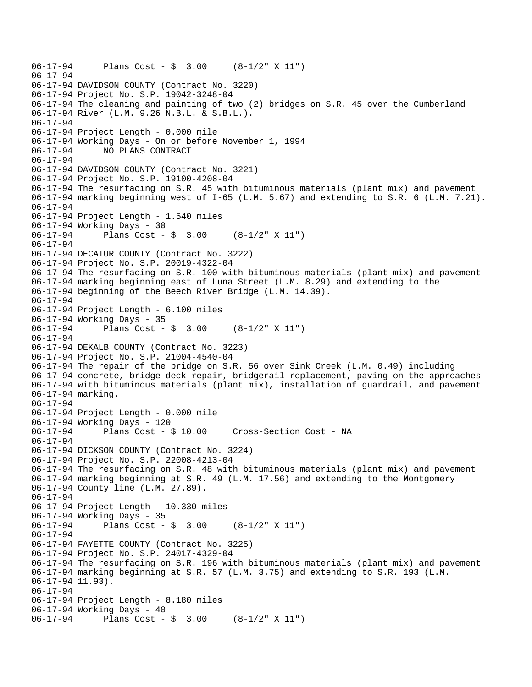```
06-17-94 Plans Cost - $ 3.00 (8-1/2" X 11") 
06-17-94 
06-17-94 DAVIDSON COUNTY (Contract No. 3220) 
06-17-94 Project No. S.P. 19042-3248-04 
06-17-94 The cleaning and painting of two (2) bridges on S.R. 45 over the Cumberland 
06-17-94 River (L.M. 9.26 N.B.L. & S.B.L.). 
06-17-94 
06-17-94 Project Length - 0.000 mile 
06-17-94 Working Days - On or before November 1, 1994 
06-17-94 NO PLANS CONTRACT 
06-17-94 
06-17-94 DAVIDSON COUNTY (Contract No. 3221) 
06-17-94 Project No. S.P. 19100-4208-04 
06-17-94 The resurfacing on S.R. 45 with bituminous materials (plant mix) and pavement 
06-17-94 marking beginning west of I-65 (L.M. 5.67) and extending to S.R. 6 (L.M. 7.21). 
06-17-94 
06-17-94 Project Length - 1.540 miles 
06-17-94 Working Days - 30 
06-17-94 Plans Cost - $ 3.00 (8-1/2" X 11") 
06-17-94 
06-17-94 DECATUR COUNTY (Contract No. 3222) 
06-17-94 Project No. S.P. 20019-4322-04 
06-17-94 The resurfacing on S.R. 100 with bituminous materials (plant mix) and pavement 
06-17-94 marking beginning east of Luna Street (L.M. 8.29) and extending to the 
06-17-94 beginning of the Beech River Bridge (L.M. 14.39). 
06-17-94 
06-17-94 Project Length - 6.100 miles 
06-17-94 Working Days - 35 
06-17-94 Plans Cost - $ 3.00 (8-1/2" X 11") 
06-17-94 
06-17-94 DEKALB COUNTY (Contract No. 3223) 
06-17-94 Project No. S.P. 21004-4540-04 
06-17-94 The repair of the bridge on S.R. 56 over Sink Creek (L.M. 0.49) including 
06-17-94 concrete, bridge deck repair, bridgerail replacement, paving on the approaches 
06-17-94 with bituminous materials (plant mix), installation of guardrail, and pavement 
06-17-94 marking. 
06-17-94 
06-17-94 Project Length - 0.000 mile 
06-17-94 Working Days - 120 
06-17-94 Plans Cost - $ 10.00 Cross-Section Cost - NA 
06-17-94 
06-17-94 DICKSON COUNTY (Contract No. 3224) 
06-17-94 Project No. S.P. 22008-4213-04 
06-17-94 The resurfacing on S.R. 48 with bituminous materials (plant mix) and pavement 
06-17-94 marking beginning at S.R. 49 (L.M. 17.56) and extending to the Montgomery 
06-17-94 County line (L.M. 27.89). 
06-17-94 
06-17-94 Project Length - 10.330 miles 
06-17-94 Working Days - 35 
06-17-94 Plans Cost - $ 3.00 (8-1/2" X 11") 
06-17-94 
06-17-94 FAYETTE COUNTY (Contract No. 3225) 
06-17-94 Project No. S.P. 24017-4329-04 
06-17-94 The resurfacing on S.R. 196 with bituminous materials (plant mix) and pavement 
06-17-94 marking beginning at S.R. 57 (L.M. 3.75) and extending to S.R. 193 (L.M. 
06-17-94 11.93). 
06-17-94 
06-17-94 Project Length - 8.180 miles 
06-17-94 Working Days - 40 
06-17-94 Plans Cost - $ 3.00 (8-1/2" X 11")
```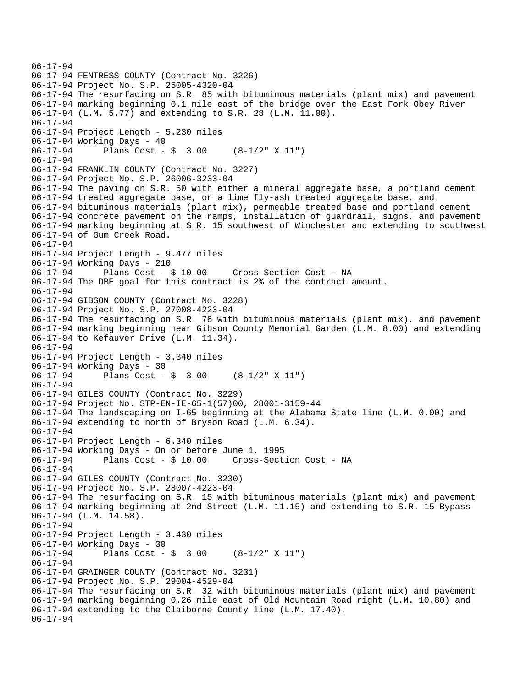```
06-17-94 
06-17-94 FENTRESS COUNTY (Contract No. 3226) 
06-17-94 Project No. S.P. 25005-4320-04 
06-17-94 The resurfacing on S.R. 85 with bituminous materials (plant mix) and pavement 
06-17-94 marking beginning 0.1 mile east of the bridge over the East Fork Obey River 
06-17-94 (L.M. 5.77) and extending to S.R. 28 (L.M. 11.00). 
06-17-94 
06-17-94 Project Length - 5.230 miles 
06-17-94 Working Days - 40 
06-17-94 Plans Cost - $ 3.00 (8-1/2" X 11") 
06-17-94 
06-17-94 FRANKLIN COUNTY (Contract No. 3227) 
06-17-94 Project No. S.P. 26006-3233-04 
06-17-94 The paving on S.R. 50 with either a mineral aggregate base, a portland cement 
06-17-94 treated aggregate base, or a lime fly-ash treated aggregate base, and 
06-17-94 bituminous materials (plant mix), permeable treated base and portland cement 
06-17-94 concrete pavement on the ramps, installation of guardrail, signs, and pavement 
06-17-94 marking beginning at S.R. 15 southwest of Winchester and extending to southwest 
06-17-94 of Gum Creek Road. 
06-17-94 
06-17-94 Project Length - 9.477 miles 
06-17-94 Working Days - 210 
06-17-94 Plans Cost - $ 10.00 Cross-Section Cost - NA 
06-17-94 The DBE goal for this contract is 2% of the contract amount. 
06-17-94 
06-17-94 GIBSON COUNTY (Contract No. 3228) 
06-17-94 Project No. S.P. 27008-4223-04 
06-17-94 The resurfacing on S.R. 76 with bituminous materials (plant mix), and pavement 
06-17-94 marking beginning near Gibson County Memorial Garden (L.M. 8.00) and extending 
06-17-94 to Kefauver Drive (L.M. 11.34). 
06-17-94 
06-17-94 Project Length - 3.340 miles 
06-17-94 Working Days - 30 
06-17-94 Plans Cost - $ 3.00 (8-1/2" X 11") 
06-17-94 
06-17-94 GILES COUNTY (Contract No. 3229) 
06-17-94 Project No. STP-EN-IE-65-1(57)00, 28001-3159-44 
06-17-94 The landscaping on I-65 beginning at the Alabama State line (L.M. 0.00) and 
06-17-94 extending to north of Bryson Road (L.M. 6.34). 
06-17-94 
06-17-94 Project Length - 6.340 miles 
06-17-94 Working Days - On or before June 1, 1995 
06-17-94 Plans Cost - $ 10.00 Cross-Section Cost - NA 
06-17-94 
06-17-94 GILES COUNTY (Contract No. 3230) 
06-17-94 Project No. S.P. 28007-4223-04 
06-17-94 The resurfacing on S.R. 15 with bituminous materials (plant mix) and pavement 
06-17-94 marking beginning at 2nd Street (L.M. 11.15) and extending to S.R. 15 Bypass 
06-17-94 (L.M. 14.58). 
06-17-94 
06-17-94 Project Length - 3.430 miles 
06-17-94 Working Days - 30 
06-17-94 Plans Cost - $ 3.00 (8-1/2" X 11") 
06-17-94 
06-17-94 GRAINGER COUNTY (Contract No. 3231) 
06-17-94 Project No. S.P. 29004-4529-04 
06-17-94 The resurfacing on S.R. 32 with bituminous materials (plant mix) and pavement 
06-17-94 marking beginning 0.26 mile east of Old Mountain Road right (L.M. 10.80) and 
06-17-94 extending to the Claiborne County line (L.M. 17.40). 
06-17-94
```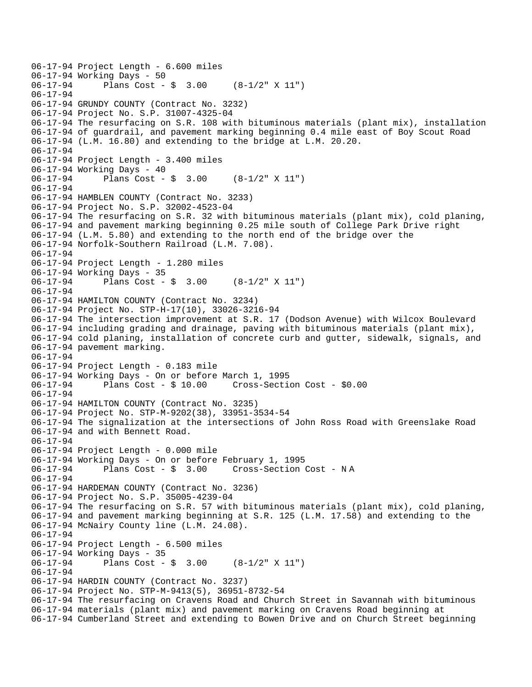```
06-17-94 Project Length - 6.600 miles 
06-17-94 Working Days - 50<br>06-17-94 Plans Cost -
              Plans Cost - \sin 3.00 (8-1/2" X 11")
06-17-94 
06-17-94 GRUNDY COUNTY (Contract No. 3232) 
06-17-94 Project No. S.P. 31007-4325-04 
06-17-94 The resurfacing on S.R. 108 with bituminous materials (plant mix), installation 
06-17-94 of guardrail, and pavement marking beginning 0.4 mile east of Boy Scout Road 
06-17-94 (L.M. 16.80) and extending to the bridge at L.M. 20.20. 
06-17-94 
06-17-94 Project Length - 3.400 miles 
06-17-94 Working Days - 40 
06-17-94 Plans Cost - $ 3.00 (8-1/2" X 11") 
06-17-94 
06-17-94 HAMBLEN COUNTY (Contract No. 3233) 
06-17-94 Project No. S.P. 32002-4523-04 
06-17-94 The resurfacing on S.R. 32 with bituminous materials (plant mix), cold planing, 
06-17-94 and pavement marking beginning 0.25 mile south of College Park Drive right 
06-17-94 (L.M. 5.80) and extending to the north end of the bridge over the 
06-17-94 Norfolk-Southern Railroad (L.M. 7.08). 
06-17-94 
06-17-94 Project Length - 1.280 miles 
06-17-94 Working Days - 35 
06-17-94 Plans Cost - $ 3.00 (8-1/2" X 11") 
06-17-94 
06-17-94 HAMILTON COUNTY (Contract No. 3234) 
06-17-94 Project No. STP-H-17(10), 33026-3216-94 
06-17-94 The intersection improvement at S.R. 17 (Dodson Avenue) with Wilcox Boulevard 
06-17-94 including grading and drainage, paving with bituminous materials (plant mix), 
06-17-94 cold planing, installation of concrete curb and gutter, sidewalk, signals, and 
06-17-94 pavement marking. 
06-17-94 
06-17-94 Project Length - 0.183 mile 
06-17-94 Working Days - On or before March 1, 1995 
              Plans Cost - $ 10.00 Cross-Section Cost - $0.0006-17-94 
06-17-94 HAMILTON COUNTY (Contract No. 3235) 
06-17-94 Project No. STP-M-9202(38), 33951-3534-54 
06-17-94 The signalization at the intersections of John Ross Road with Greenslake Road 
06-17-94 and with Bennett Road. 
06-17-94 
06-17-94 Project Length - 0.000 mile 
06-17-94 Working Days - On or before February 1, 1995 
06-17-94 Plans Cost - $ 3.00 Cross-Section Cost - N A 
06-17-94 
06-17-94 HARDEMAN COUNTY (Contract No. 3236) 
06-17-94 Project No. S.P. 35005-4239-04 
06-17-94 The resurfacing on S.R. 57 with bituminous materials (plant mix), cold planing, 
06-17-94 and pavement marking beginning at S.R. 125 (L.M. 17.58) and extending to the 
06-17-94 McNairy County line (L.M. 24.08). 
06-17-94 
06-17-94 Project Length - 6.500 miles 
06-17-94 Working Days - 35 
06-17-94 Plans Cost - $ 3.00 (8-1/2" X 11") 
06-17-94 
06-17-94 HARDIN COUNTY (Contract No. 3237) 
06-17-94 Project No. STP-M-9413(5), 36951-8732-54 
06-17-94 The resurfacing on Cravens Road and Church Street in Savannah with bituminous 
06-17-94 materials (plant mix) and pavement marking on Cravens Road beginning at 
06-17-94 Cumberland Street and extending to Bowen Drive and on Church Street beginning
```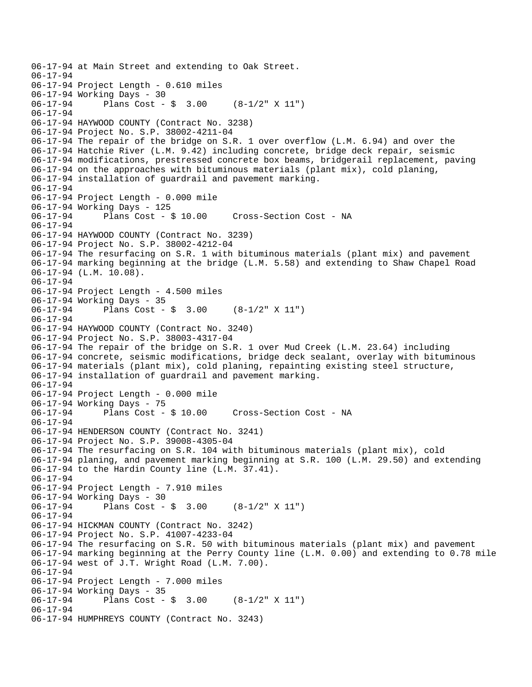06-17-94 at Main Street and extending to Oak Street. 06-17-94 06-17-94 Project Length - 0.610 miles 06-17-94 Working Days - 30 06-17-94 Plans Cost - \$ 3.00 (8-1/2" X 11") 06-17-94 06-17-94 HAYWOOD COUNTY (Contract No. 3238) 06-17-94 Project No. S.P. 38002-4211-04 06-17-94 The repair of the bridge on S.R. 1 over overflow (L.M. 6.94) and over the 06-17-94 Hatchie River (L.M. 9.42) including concrete, bridge deck repair, seismic 06-17-94 modifications, prestressed concrete box beams, bridgerail replacement, paving 06-17-94 on the approaches with bituminous materials (plant mix), cold planing, 06-17-94 installation of guardrail and pavement marking. 06-17-94 06-17-94 Project Length - 0.000 mile 06-17-94 Working Days - 125 06-17-94 Plans Cost - \$ 10.00 Cross-Section Cost - NA 06-17-94 06-17-94 HAYWOOD COUNTY (Contract No. 3239) 06-17-94 Project No. S.P. 38002-4212-04 06-17-94 The resurfacing on S.R. 1 with bituminous materials (plant mix) and pavement 06-17-94 marking beginning at the bridge (L.M. 5.58) and extending to Shaw Chapel Road 06-17-94 (L.M. 10.08). 06-17-94 06-17-94 Project Length - 4.500 miles 06-17-94 Working Days - 35 06-17-94 Plans Cost - \$ 3.00 (8-1/2" X 11") 06-17-94 06-17-94 HAYWOOD COUNTY (Contract No. 3240) 06-17-94 Project No. S.P. 38003-4317-04 06-17-94 The repair of the bridge on S.R. 1 over Mud Creek (L.M. 23.64) including 06-17-94 concrete, seismic modifications, bridge deck sealant, overlay with bituminous 06-17-94 materials (plant mix), cold planing, repainting existing steel structure, 06-17-94 installation of guardrail and pavement marking. 06-17-94 06-17-94 Project Length - 0.000 mile 06-17-94 Working Days - 75 06-17-94 Plans Cost - \$ 10.00 Cross-Section Cost - NA 06-17-94 06-17-94 HENDERSON COUNTY (Contract No. 3241) 06-17-94 Project No. S.P. 39008-4305-04 06-17-94 The resurfacing on S.R. 104 with bituminous materials (plant mix), cold 06-17-94 planing, and pavement marking beginning at S.R. 100 (L.M. 29.50) and extending 06-17-94 to the Hardin County line (L.M. 37.41). 06-17-94 06-17-94 Project Length - 7.910 miles 06-17-94 Working Days - 30 06-17-94 Plans Cost - \$ 3.00 (8-1/2" X 11") 06-17-94 06-17-94 HICKMAN COUNTY (Contract No. 3242) 06-17-94 Project No. S.P. 41007-4233-04 06-17-94 The resurfacing on S.R. 50 with bituminous materials (plant mix) and pavement 06-17-94 marking beginning at the Perry County line (L.M. 0.00) and extending to 0.78 mile 06-17-94 west of J.T. Wright Road (L.M. 7.00). 06-17-94 06-17-94 Project Length - 7.000 miles 06-17-94 Working Days - 35<br>06-17-94 Plans Cost -Plans Cost -  $\frac{1}{2}$  3.00 (8-1/2" X 11") 06-17-94 06-17-94 HUMPHREYS COUNTY (Contract No. 3243)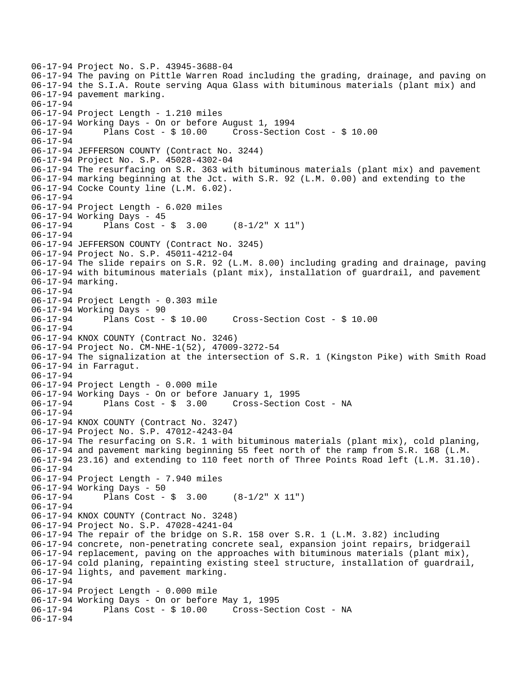```
06-17-94 Project No. S.P. 43945-3688-04 
06-17-94 The paving on Pittle Warren Road including the grading, drainage, and paving on 
06-17-94 the S.I.A. Route serving Aqua Glass with bituminous materials (plant mix) and 
06-17-94 pavement marking. 
06-17-94 
06-17-94 Project Length - 1.210 miles 
06-17-94 Working Days - On or before August 1, 1994 
06-17-94 Plans Cost - $ 10.00 Cross-Section Cost - $ 10.00 
06-17-94 
06-17-94 JEFFERSON COUNTY (Contract No. 3244) 
06-17-94 Project No. S.P. 45028-4302-04 
06-17-94 The resurfacing on S.R. 363 with bituminous materials (plant mix) and pavement 
06-17-94 marking beginning at the Jct. with S.R. 92 (L.M. 0.00) and extending to the 
06-17-94 Cocke County line (L.M. 6.02). 
06-17-94 
06-17-94 Project Length - 6.020 miles 
06-17-94 Working Days - 45 
06-17-94 Plans Cost - $ 3.00 (8-1/2" X 11") 
06-17-94 
06-17-94 JEFFERSON COUNTY (Contract No. 3245) 
06-17-94 Project No. S.P. 45011-4212-04 
06-17-94 The slide repairs on S.R. 92 (L.M. 8.00) including grading and drainage, paving 
06-17-94 with bituminous materials (plant mix), installation of guardrail, and pavement 
06-17-94 marking. 
06-17-94 
06-17-94 Project Length - 0.303 mile 
06-17-94 Working Days - 90<br>06-17-94 Plans Cost - $ 10.00
06-17-94 Plans Cost - $ 10.00 Cross-Section Cost - $ 10.00 
06-17-94 
06-17-94 KNOX COUNTY (Contract No. 3246) 
06-17-94 Project No. CM-NHE-1(52), 47009-3272-54 
06-17-94 The signalization at the intersection of S.R. 1 (Kingston Pike) with Smith Road 
06-17-94 in Farragut. 
06-17-94 
06-17-94 Project Length - 0.000 mile 
06-17-94 Working Days - On or before January 1, 1995 
06-17-94 Plans Cost - $ 3.00 Cross-Section Cost - NA 
06-17-94 
06-17-94 KNOX COUNTY (Contract No. 3247) 
06-17-94 Project No. S.P. 47012-4243-04 
06-17-94 The resurfacing on S.R. 1 with bituminous materials (plant mix), cold planing, 
06-17-94 and pavement marking beginning 55 feet north of the ramp from S.R. 168 (L.M. 
06-17-94 23.16) and extending to 110 feet north of Three Points Road left (L.M. 31.10). 
06-17-94 
06-17-94 Project Length - 7.940 miles 
06-17-94 Working Days - 50 
06-17-94 Plans Cost - $ 3.00 (8-1/2" X 11") 
06-17-94 
06-17-94 KNOX COUNTY (Contract No. 3248) 
06-17-94 Project No. S.P. 47028-4241-04 
06-17-94 The repair of the bridge on S.R. 158 over S.R. 1 (L.M. 3.82) including 
06-17-94 concrete, non-penetrating concrete seal, expansion joint repairs, bridgerail 
06-17-94 replacement, paving on the approaches with bituminous materials (plant mix), 
06-17-94 cold planing, repainting existing steel structure, installation of guardrail, 
06-17-94 lights, and pavement marking. 
06-17-94 
06-17-94 Project Length - 0.000 mile 
06-17-94 Working Days - On or before May 1, 1995 
                                    Cross-Section Cost - NA
06-17-94
```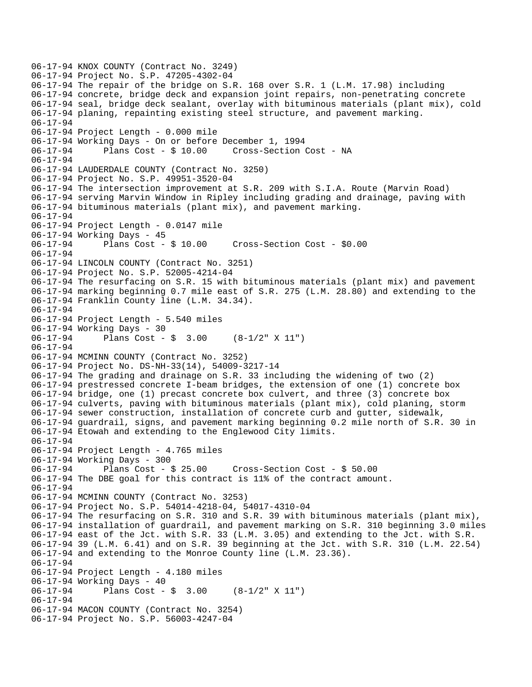06-17-94 KNOX COUNTY (Contract No. 3249) 06-17-94 Project No. S.P. 47205-4302-04 06-17-94 The repair of the bridge on S.R. 168 over S.R. 1 (L.M. 17.98) including 06-17-94 concrete, bridge deck and expansion joint repairs, non-penetrating concrete 06-17-94 seal, bridge deck sealant, overlay with bituminous materials (plant mix), cold 06-17-94 planing, repainting existing steel structure, and pavement marking. 06-17-94 06-17-94 Project Length - 0.000 mile 06-17-94 Working Days - On or before December 1, 1994 06-17-94 Plans Cost - \$ 10.00 Cross-Section Cost - NA 06-17-94 06-17-94 LAUDERDALE COUNTY (Contract No. 3250) 06-17-94 Project No. S.P. 49951-3520-04 06-17-94 The intersection improvement at S.R. 209 with S.I.A. Route (Marvin Road) 06-17-94 serving Marvin Window in Ripley including grading and drainage, paving with 06-17-94 bituminous materials (plant mix), and pavement marking. 06-17-94 06-17-94 Project Length - 0.0147 mile 06-17-94 Working Days - 45 06-17-94 Plans Cost - \$ 10.00 Cross-Section Cost - \$0.00 06-17-94 06-17-94 LINCOLN COUNTY (Contract No. 3251) 06-17-94 Project No. S.P. 52005-4214-04 06-17-94 The resurfacing on S.R. 15 with bituminous materials (plant mix) and pavement 06-17-94 marking beginning 0.7 mile east of S.R. 275 (L.M. 28.80) and extending to the 06-17-94 Franklin County line (L.M. 34.34). 06-17-94 06-17-94 Project Length - 5.540 miles 06-17-94 Working Days - 30 06-17-94 Plans Cost - \$ 3.00 (8-1/2" X 11") 06-17-94 06-17-94 MCMINN COUNTY (Contract No. 3252) 06-17-94 Project No. DS-NH-33(14), 54009-3217-14 06-17-94 The grading and drainage on S.R. 33 including the widening of two (2) 06-17-94 prestressed concrete I-beam bridges, the extension of one (1) concrete box 06-17-94 bridge, one (1) precast concrete box culvert, and three (3) concrete box 06-17-94 culverts, paving with bituminous materials (plant mix), cold planing, storm 06-17-94 sewer construction, installation of concrete curb and gutter, sidewalk, 06-17-94 guardrail, signs, and pavement marking beginning 0.2 mile north of S.R. 30 in 06-17-94 Etowah and extending to the Englewood City limits. 06-17-94 06-17-94 Project Length - 4.765 miles 06-17-94 Working Days - 300 06-17-94 Plans Cost - \$ 25.00 Cross-Section Cost - \$ 50.00 06-17-94 The DBE goal for this contract is 11% of the contract amount. 06-17-94 06-17-94 MCMINN COUNTY (Contract No. 3253) 06-17-94 Project No. S.P. 54014-4218-04, 54017-4310-04 06-17-94 The resurfacing on S.R. 310 and S.R. 39 with bituminous materials (plant mix), 06-17-94 installation of guardrail, and pavement marking on S.R. 310 beginning 3.0 miles 06-17-94 east of the Jct. with S.R. 33 (L.M. 3.05) and extending to the Jct. with S.R. 06-17-94 39 (L.M. 6.41) and on S.R. 39 beginning at the Jct. with S.R. 310 (L.M. 22.54) 06-17-94 and extending to the Monroe County line (L.M. 23.36). 06-17-94 06-17-94 Project Length - 4.180 miles 06-17-94 Working Days - 40 06-17-94 Plans Cost - \$ 3.00 (8-1/2" X 11") 06-17-94 06-17-94 MACON COUNTY (Contract No. 3254) 06-17-94 Project No. S.P. 56003-4247-04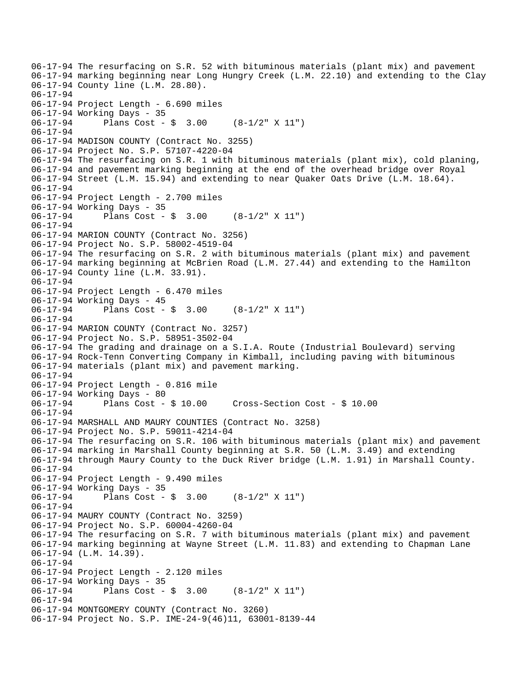06-17-94 The resurfacing on S.R. 52 with bituminous materials (plant mix) and pavement 06-17-94 marking beginning near Long Hungry Creek (L.M. 22.10) and extending to the Clay 06-17-94 County line (L.M. 28.80). 06-17-94 06-17-94 Project Length - 6.690 miles 06-17-94 Working Days - 35 06-17-94 Plans Cost - \$ 3.00 (8-1/2" X 11") 06-17-94 06-17-94 MADISON COUNTY (Contract No. 3255) 06-17-94 Project No. S.P. 57107-4220-04 06-17-94 The resurfacing on S.R. 1 with bituminous materials (plant mix), cold planing, 06-17-94 and pavement marking beginning at the end of the overhead bridge over Royal 06-17-94 Street (L.M. 15.94) and extending to near Quaker Oats Drive (L.M. 18.64). 06-17-94 06-17-94 Project Length - 2.700 miles 06-17-94 Working Days - 35 06-17-94 Plans Cost - \$ 3.00 (8-1/2" X 11") 06-17-94 06-17-94 MARION COUNTY (Contract No. 3256) 06-17-94 Project No. S.P. 58002-4519-04 06-17-94 The resurfacing on S.R. 2 with bituminous materials (plant mix) and pavement 06-17-94 marking beginning at McBrien Road (L.M. 27.44) and extending to the Hamilton 06-17-94 County line (L.M. 33.91). 06-17-94 06-17-94 Project Length - 6.470 miles 06-17-94 Working Days - 45 06-17-94 Plans Cost - \$ 3.00 (8-1/2" X 11") 06-17-94 06-17-94 MARION COUNTY (Contract No. 3257) 06-17-94 Project No. S.P. 58951-3502-04 06-17-94 The grading and drainage on a S.I.A. Route (Industrial Boulevard) serving 06-17-94 Rock-Tenn Converting Company in Kimball, including paving with bituminous 06-17-94 materials (plant mix) and pavement marking. 06-17-94 06-17-94 Project Length - 0.816 mile 06-17-94 Working Days - 80 06-17-94 Plans Cost - \$ 10.00 Cross-Section Cost - \$ 10.00 06-17-94 06-17-94 MARSHALL AND MAURY COUNTIES (Contract No. 3258) 06-17-94 Project No. S.P. 59011-4214-04 06-17-94 The resurfacing on S.R. 106 with bituminous materials (plant mix) and pavement 06-17-94 marking in Marshall County beginning at S.R. 50 (L.M. 3.49) and extending 06-17-94 through Maury County to the Duck River bridge (L.M. 1.91) in Marshall County. 06-17-94 06-17-94 Project Length - 9.490 miles 06-17-94 Working Days - 35 06-17-94 Plans Cost - \$ 3.00 (8-1/2" X 11") 06-17-94 06-17-94 MAURY COUNTY (Contract No. 3259) 06-17-94 Project No. S.P. 60004-4260-04 06-17-94 The resurfacing on S.R. 7 with bituminous materials (plant mix) and pavement 06-17-94 marking beginning at Wayne Street (L.M. 11.83) and extending to Chapman Lane 06-17-94 (L.M. 14.39). 06-17-94 06-17-94 Project Length - 2.120 miles 06-17-94 Working Days - 35 06-17-94 Plans Cost - \$ 3.00 (8-1/2" X 11") 06-17-94 06-17-94 MONTGOMERY COUNTY (Contract No. 3260) 06-17-94 Project No. S.P. IME-24-9(46)11, 63001-8139-44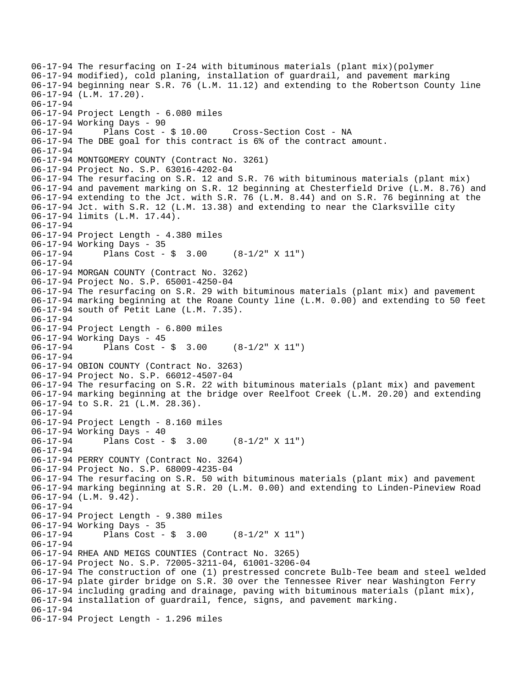```
06-17-94 The resurfacing on I-24 with bituminous materials (plant mix)(polymer 
06-17-94 modified), cold planing, installation of guardrail, and pavement marking 
06-17-94 beginning near S.R. 76 (L.M. 11.12) and extending to the Robertson County line 
06-17-94 (L.M. 17.20). 
06-17-94 
06-17-94 Project Length - 6.080 miles 
06-17-94 Working Days - 90 
06-17-94 Plans Cost - $ 10.00 Cross-Section Cost - NA 
06-17-94 The DBE goal for this contract is 6% of the contract amount. 
06-17-94 
06-17-94 MONTGOMERY COUNTY (Contract No. 3261) 
06-17-94 Project No. S.P. 63016-4202-04 
06-17-94 The resurfacing on S.R. 12 and S.R. 76 with bituminous materials (plant mix) 
06-17-94 and pavement marking on S.R. 12 beginning at Chesterfield Drive (L.M. 8.76) and 
06-17-94 extending to the Jct. with S.R. 76 (L.M. 8.44) and on S.R. 76 beginning at the 
06-17-94 Jct. with S.R. 12 (L.M. 13.38) and extending to near the Clarksville city 
06-17-94 limits (L.M. 17.44). 
06-17-94 
06-17-94 Project Length - 4.380 miles 
06-17-94 Working Days - 35 
06-17-94 Plans Cost - $ 3.00 (8-1/2" X 11") 
06-17-94 
06-17-94 MORGAN COUNTY (Contract No. 3262) 
06-17-94 Project No. S.P. 65001-4250-04 
06-17-94 The resurfacing on S.R. 29 with bituminous materials (plant mix) and pavement 
06-17-94 marking beginning at the Roane County line (L.M. 0.00) and extending to 50 feet 
06-17-94 south of Petit Lane (L.M. 7.35). 
06-17-94 
06-17-94 Project Length - 6.800 miles 
06-17-94 Working Days - 45 
06-17-94 Plans Cost - $ 3.00 (8-1/2" X 11") 
06-17-94 
06-17-94 OBION COUNTY (Contract No. 3263) 
06-17-94 Project No. S.P. 66012-4507-04 
06-17-94 The resurfacing on S.R. 22 with bituminous materials (plant mix) and pavement 
06-17-94 marking beginning at the bridge over Reelfoot Creek (L.M. 20.20) and extending 
06-17-94 to S.R. 21 (L.M. 28.36). 
06-17-94 
06-17-94 Project Length - 8.160 miles 
06-17-94 Working Days - 40 
06-17-94 Plans Cost - $ 3.00 (8-1/2" X 11") 
06-17-94 
06-17-94 PERRY COUNTY (Contract No. 3264) 
06-17-94 Project No. S.P. 68009-4235-04 
06-17-94 The resurfacing on S.R. 50 with bituminous materials (plant mix) and pavement 
06-17-94 marking beginning at S.R. 20 (L.M. 0.00) and extending to Linden-Pineview Road 
06-17-94 (L.M. 9.42). 
06-17-94 
06-17-94 Project Length - 9.380 miles 
06-17-94 Working Days - 35<br>06-17-94 Plans Cost -
              Plans Cost - \frac{1}{2} 3.00 (8-1/2" X 11")
06-17-94 
06-17-94 RHEA AND MEIGS COUNTIES (Contract No. 3265) 
06-17-94 Project No. S.P. 72005-3211-04, 61001-3206-04 
06-17-94 The construction of one (1) prestressed concrete Bulb-Tee beam and steel welded 
06-17-94 plate girder bridge on S.R. 30 over the Tennessee River near Washington Ferry 
06-17-94 including grading and drainage, paving with bituminous materials (plant mix), 
06-17-94 installation of guardrail, fence, signs, and pavement marking. 
06-17-94 
06-17-94 Project Length - 1.296 miles
```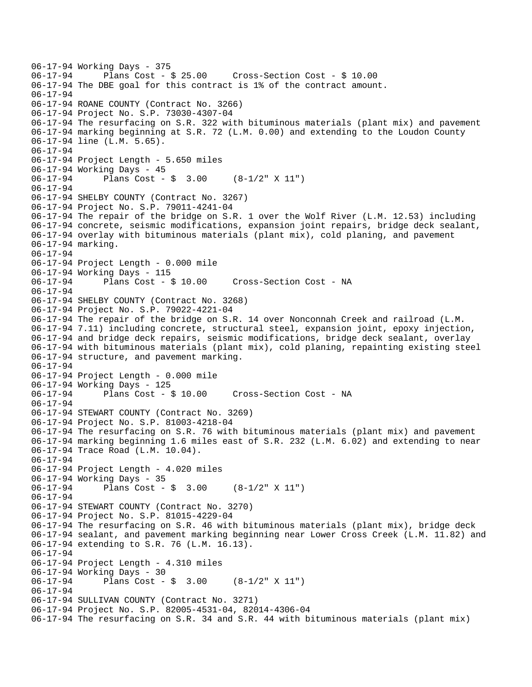```
06-17-94 Working Days - 375<br>06-17-94 Plans Cost - $ 25.00
06-17-94 Plans Cost - $ 25.00 Cross-Section Cost - $ 10.00 
06-17-94 The DBE goal for this contract is 1% of the contract amount. 
06-17-94 
06-17-94 ROANE COUNTY (Contract No. 3266) 
06-17-94 Project No. S.P. 73030-4307-04 
06-17-94 The resurfacing on S.R. 322 with bituminous materials (plant mix) and pavement 
06-17-94 marking beginning at S.R. 72 (L.M. 0.00) and extending to the Loudon County 
06-17-94 line (L.M. 5.65). 
06-17-94 
06-17-94 Project Length - 5.650 miles 
06-17-94 Working Days - 45 
06-17-94 Plans Cost - $ 3.00 (8-1/2" X 11") 
06-17-94 
06-17-94 SHELBY COUNTY (Contract No. 3267) 
06-17-94 Project No. S.P. 79011-4241-04 
06-17-94 The repair of the bridge on S.R. 1 over the Wolf River (L.M. 12.53) including 
06-17-94 concrete, seismic modifications, expansion joint repairs, bridge deck sealant, 
06-17-94 overlay with bituminous materials (plant mix), cold planing, and pavement 
06-17-94 marking. 
06-17-94 
06-17-94 Project Length - 0.000 mile 
06-17-94 Working Days - 115 
06-17-94 Plans Cost - $ 10.00 Cross-Section Cost - NA 
06-17-94 
06-17-94 SHELBY COUNTY (Contract No. 3268) 
06-17-94 Project No. S.P. 79022-4221-04 
06-17-94 The repair of the bridge on S.R. 14 over Nonconnah Creek and railroad (L.M. 
06-17-94 7.11) including concrete, structural steel, expansion joint, epoxy injection, 
06-17-94 and bridge deck repairs, seismic modifications, bridge deck sealant, overlay 
06-17-94 with bituminous materials (plant mix), cold planing, repainting existing steel 
06-17-94 structure, and pavement marking. 
06-17-94 
06-17-94 Project Length - 0.000 mile 
06-17-94 Working Days - 125 
06-17-94 Plans Cost - $ 10.00 Cross-Section Cost - NA 
06-17-94 
06-17-94 STEWART COUNTY (Contract No. 3269) 
06-17-94 Project No. S.P. 81003-4218-04 
06-17-94 The resurfacing on S.R. 76 with bituminous materials (plant mix) and pavement 
06-17-94 marking beginning 1.6 miles east of S.R. 232 (L.M. 6.02) and extending to near 
06-17-94 Trace Road (L.M. 10.04). 
06-17-94 
06-17-94 Project Length - 4.020 miles 
06-17-94 Working Days - 35 
06-17-94 Plans Cost - $ 3.00 (8-1/2" X 11") 
06-17-94 
06-17-94 STEWART COUNTY (Contract No. 3270) 
06-17-94 Project No. S.P. 81015-4229-04 
06-17-94 The resurfacing on S.R. 46 with bituminous materials (plant mix), bridge deck 
06-17-94 sealant, and pavement marking beginning near Lower Cross Creek (L.M. 11.82) and 
06-17-94 extending to S.R. 76 (L.M. 16.13). 
06-17-94 
06-17-94 Project Length - 4.310 miles 
06-17-94 Working Days - 30 
06-17-94 Plans Cost - $ 3.00 (8-1/2" X 11") 
06-17-94 
06-17-94 SULLIVAN COUNTY (Contract No. 3271) 
06-17-94 Project No. S.P. 82005-4531-04, 82014-4306-04 
06-17-94 The resurfacing on S.R. 34 and S.R. 44 with bituminous materials (plant mix)
```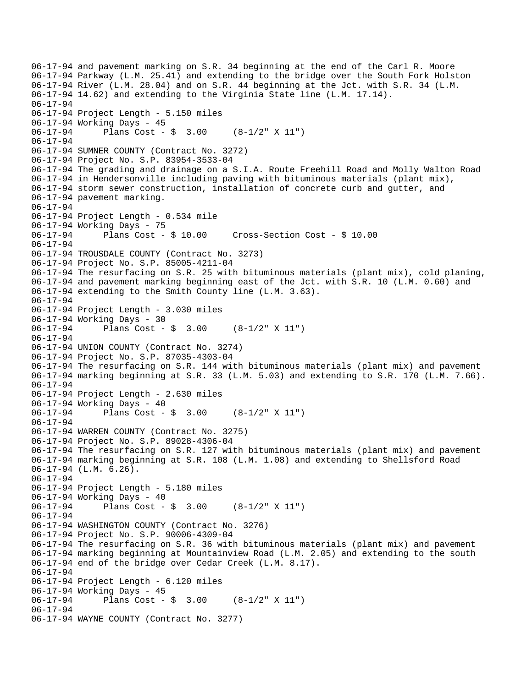```
06-17-94 and pavement marking on S.R. 34 beginning at the end of the Carl R. Moore 
06-17-94 Parkway (L.M. 25.41) and extending to the bridge over the South Fork Holston 
06-17-94 River (L.M. 28.04) and on S.R. 44 beginning at the Jct. with S.R. 34 (L.M. 
06-17-94 14.62) and extending to the Virginia State line (L.M. 17.14). 
06-17-94 
06-17-94 Project Length - 5.150 miles 
06-17-94 Working Days - 45 
06-17-94 Plans Cost - $ 3.00 (8-1/2" X 11") 
06-17-94 
06-17-94 SUMNER COUNTY (Contract No. 3272) 
06-17-94 Project No. S.P. 83954-3533-04 
06-17-94 The grading and drainage on a S.I.A. Route Freehill Road and Molly Walton Road 
06-17-94 in Hendersonville including paving with bituminous materials (plant mix), 
06-17-94 storm sewer construction, installation of concrete curb and gutter, and 
06-17-94 pavement marking. 
06-17-94 
06-17-94 Project Length - 0.534 mile 
06-17-94 Working Days - 75 
06-17-94 Plans Cost - $ 10.00 Cross-Section Cost - $ 10.00 
06-17-94 
06-17-94 TROUSDALE COUNTY (Contract No. 3273) 
06-17-94 Project No. S.P. 85005-4211-04 
06-17-94 The resurfacing on S.R. 25 with bituminous materials (plant mix), cold planing, 
06-17-94 and pavement marking beginning east of the Jct. with S.R. 10 (L.M. 0.60) and 
06-17-94 extending to the Smith County line (L.M. 3.63). 
06-17-94 
06-17-94 Project Length - 3.030 miles 
06-17-94 Working Days - 30 
06-17-94 Plans Cost - $ 3.00 (8-1/2" X 11") 
06-17-94 
06-17-94 UNION COUNTY (Contract No. 3274) 
06-17-94 Project No. S.P. 87035-4303-04 
06-17-94 The resurfacing on S.R. 144 with bituminous materials (plant mix) and pavement 
06-17-94 marking beginning at S.R. 33 (L.M. 5.03) and extending to S.R. 170 (L.M. 7.66). 
06-17-94 
06-17-94 Project Length - 2.630 miles 
06-17-94 Working Days - 40 
06-17-94 Plans Cost - $ 3.00 (8-1/2" X 11") 
06-17-94 
06-17-94 WARREN COUNTY (Contract No. 3275) 
06-17-94 Project No. S.P. 89028-4306-04 
06-17-94 The resurfacing on S.R. 127 with bituminous materials (plant mix) and pavement 
06-17-94 marking beginning at S.R. 108 (L.M. 1.08) and extending to Shellsford Road 
06-17-94 (L.M. 6.26). 
06-17-94 
06-17-94 Project Length - 5.180 miles 
06-17-94 Working Days - 40 
06-17-94 Plans Cost - $ 3.00 (8-1/2" X 11") 
06-17-94 
06-17-94 WASHINGTON COUNTY (Contract No. 3276) 
06-17-94 Project No. S.P. 90006-4309-04 
06-17-94 The resurfacing on S.R. 36 with bituminous materials (plant mix) and pavement 
06-17-94 marking beginning at Mountainview Road (L.M. 2.05) and extending to the south 
06-17-94 end of the bridge over Cedar Creek (L.M. 8.17). 
06-17-94 
06-17-94 Project Length - 6.120 miles 
06-17-94 Working Days - 45<br>06-17-94 Plans Cost -
              Plans Cost - \frac{1}{9} 3.00 (8-1/2" X 11")
06-17-94 
06-17-94 WAYNE COUNTY (Contract No. 3277)
```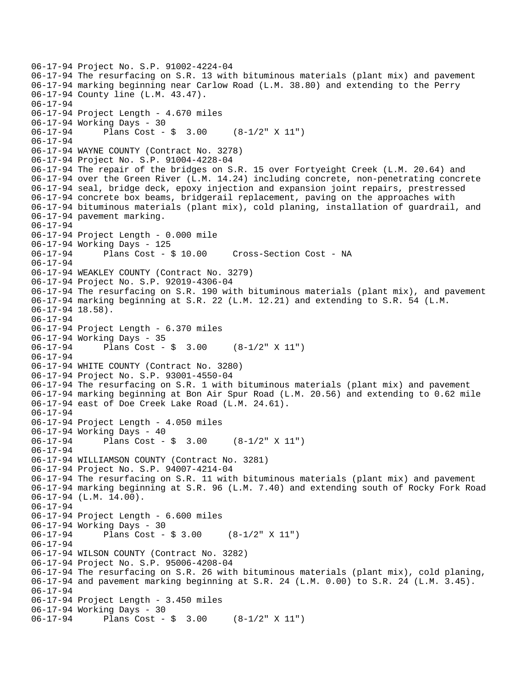```
06-17-94 Project No. S.P. 91002-4224-04 
06-17-94 The resurfacing on S.R. 13 with bituminous materials (plant mix) and pavement 
06-17-94 marking beginning near Carlow Road (L.M. 38.80) and extending to the Perry 
06-17-94 County line (L.M. 43.47). 
06-17-94 
06-17-94 Project Length - 4.670 miles 
06-17-94 Working Days - 30 
06-17-94 Plans Cost - $ 3.00 (8-1/2" X 11") 
06-17-94 
06-17-94 WAYNE COUNTY (Contract No. 3278) 
06-17-94 Project No. S.P. 91004-4228-04 
06-17-94 The repair of the bridges on S.R. 15 over Fortyeight Creek (L.M. 20.64) and 
06-17-94 over the Green River (L.M. 14.24) including concrete, non-penetrating concrete 
06-17-94 seal, bridge deck, epoxy injection and expansion joint repairs, prestressed 
06-17-94 concrete box beams, bridgerail replacement, paving on the approaches with 
06-17-94 bituminous materials (plant mix), cold planing, installation of guardrail, and 
06-17-94 pavement marking. 
06-17-94 
06-17-94 Project Length - 0.000 mile 
06-17-94 Working Days - 125 
06-17-94 Plans Cost - $ 10.00 Cross-Section Cost - NA 
06-17-94 
06-17-94 WEAKLEY COUNTY (Contract No. 3279) 
06-17-94 Project No. S.P. 92019-4306-04 
06-17-94 The resurfacing on S.R. 190 with bituminous materials (plant mix), and pavement 
06-17-94 marking beginning at S.R. 22 (L.M. 12.21) and extending to S.R. 54 (L.M. 
06-17-94 18.58). 
06-17-94 
06-17-94 Project Length - 6.370 miles 
06-17-94 Working Days - 35 
06-17-94 Plans Cost - $ 3.00 (8-1/2" X 11") 
06-17-94 
06-17-94 WHITE COUNTY (Contract No. 3280) 
06-17-94 Project No. S.P. 93001-4550-04 
06-17-94 The resurfacing on S.R. 1 with bituminous materials (plant mix) and pavement 
06-17-94 marking beginning at Bon Air Spur Road (L.M. 20.56) and extending to 0.62 mile 
06-17-94 east of Doe Creek Lake Road (L.M. 24.61). 
06-17-94 
06-17-94 Project Length - 4.050 miles 
06-17-94 Working Days - 40 
06-17-94 Plans Cost - $ 3.00 (8-1/2" X 11") 
06-17-94 
06-17-94 WILLIAMSON COUNTY (Contract No. 3281) 
06-17-94 Project No. S.P. 94007-4214-04 
06-17-94 The resurfacing on S.R. 11 with bituminous materials (plant mix) and pavement 
06-17-94 marking beginning at S.R. 96 (L.M. 7.40) and extending south of Rocky Fork Road 
06-17-94 (L.M. 14.00). 
06-17-94 
06-17-94 Project Length - 6.600 miles 
06-17-94 Working Days - 30<br>06-17-94 Plans Cost -
              Plans Cost - $3.00 (8-1/2" X 11")
06-17-94 
06-17-94 WILSON COUNTY (Contract No. 3282) 
06-17-94 Project No. S.P. 95006-4208-04 
06-17-94 The resurfacing on S.R. 26 with bituminous materials (plant mix), cold planing, 
06-17-94 and pavement marking beginning at S.R. 24 (L.M. 0.00) to S.R. 24 (L.M. 3.45). 
06-17-94 
06-17-94 Project Length - 3.450 miles 
06-17-94 Working Days - 30 
06-17-94 Plans Cost - $ 3.00 (8-1/2" X 11")
```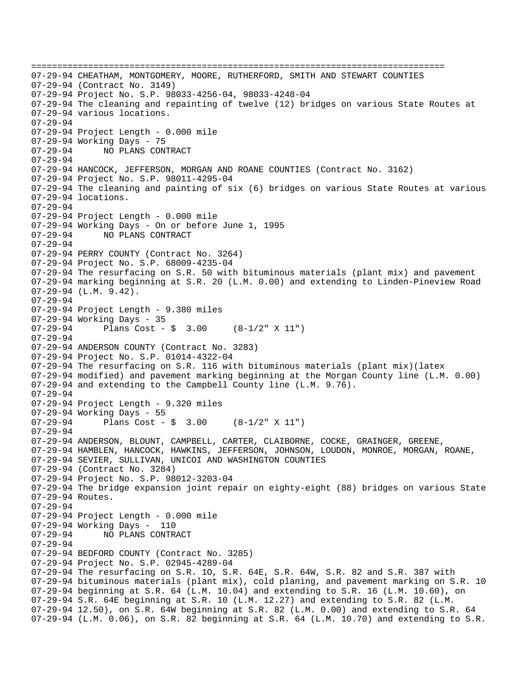================================================================================ 07-29-94 CHEATHAM, MONTGOMERY, MOORE, RUTHERFORD, SMITH AND STEWART COUNTIES 07-29-94 (Contract No. 3149) 07-29-94 Project No. S.P. 98033-4256-04, 98033-4248-04 07-29-94 The cleaning and repainting of twelve (12) bridges on various State Routes at 07-29-94 various locations. 07-29-94 07-29-94 Project Length - 0.000 mile 07-29-94 Working Days - 75 07-29-94 NO PLANS CONTRACT 07-29-94 07-29-94 HANCOCK, JEFFERSON, MORGAN AND ROANE COUNTIES (Contract No. 3162) 07-29-94 Project No. S.P. 98011-4295-04 07-29-94 The cleaning and painting of six (6) bridges on various State Routes at various 07-29-94 locations. 07-29-94 07-29-94 Project Length - 0.000 mile 07-29-94 Working Days - On or before June 1, 1995 07-29-94 NO PLANS CONTRACT 07-29-94 07-29-94 PERRY COUNTY (Contract No. 3264) 07-29-94 Project No. S.P. 68009-4235-04 07-29-94 The resurfacing on S.R. 50 with bituminous materials (plant mix) and pavement 07-29-94 marking beginning at S.R. 20 (L.M. 0.00) and extending to Linden-Pineview Road 07-29-94 (L.M. 9.42). 07-29-94 07-29-94 Project Length - 9.380 miles 07-29-94 Working Days - 35  $07-29-94$  Plans Cost - \$ 3.00 (8-1/2" X 11") 07-29-94 07-29-94 ANDERSON COUNTY (Contract No. 3283) 07-29-94 Project No. S.P. 01014-4322-04 07-29-94 The resurfacing on S.R. 116 with bituminous materials (plant mix)(latex 07-29-94 modified) and pavement marking beginning at the Morgan County line (L.M. 0.00) 07-29-94 and extending to the Campbell County line (L.M. 9.76). 07-29-94 07-29-94 Project Length - 9.320 miles 07-29-94 Working Days - 55  $07-29-94$  Plans Cost - \$ 3.00  $(8-1/2" \times 11")$ 07-29-94 07-29-94 ANDERSON, BLOUNT, CAMPBELL, CARTER, CLAIBORNE, COCKE, GRAINGER, GREENE, 07-29-94 HAMBLEN, HANCOCK, HAWKINS, JEFFERSON, JOHNSON, LOUDON, MONROE, MORGAN, ROANE, 07-29-94 SEVIER, SULLIVAN, UNICOI AND WASHINGTON COUNTIES 07-29-94 (Contract No. 3284) 07-29-94 Project No. S.P. 98012-3203-04 07-29-94 The bridge expansion joint repair on eighty-eight (88) bridges on various State 07-29-94 Routes. 07-29-94 07-29-94 Project Length - 0.000 mile 07-29-94 Working Days - 110<br>07-29-94 NO PLANS CONTR NO PLANS CONTRACT 07-29-94 07-29-94 BEDFORD COUNTY (Contract No. 3285) 07-29-94 Project No. S.P. 02945-4289-04 07-29-94 The resurfacing on S.R. 1O, S.R. 64E, S.R. 64W, S.R. 82 and S.R. 387 with 07-29-94 bituminous materials (plant mix), cold planing, and pavement marking on S.R. 10 07-29-94 beginning at S.R. 64 (L.M. 10.04) and extending to S.R. 16 (L.M. 10.60), on 07-29-94 S.R. 64E beginning at S.R. 10 (L.M. 12.27) and extending to S.R. 82 (L.M. 07-29-94 12.50), on S.R. 64W beginning at S.R. 82 (L.M. 0.00) and extending to S.R. 64 07-29-94 (L.M. 0.06), on S.R. 82 beginning at S.R. 64 (L.M. 10.70) and extending to S.R.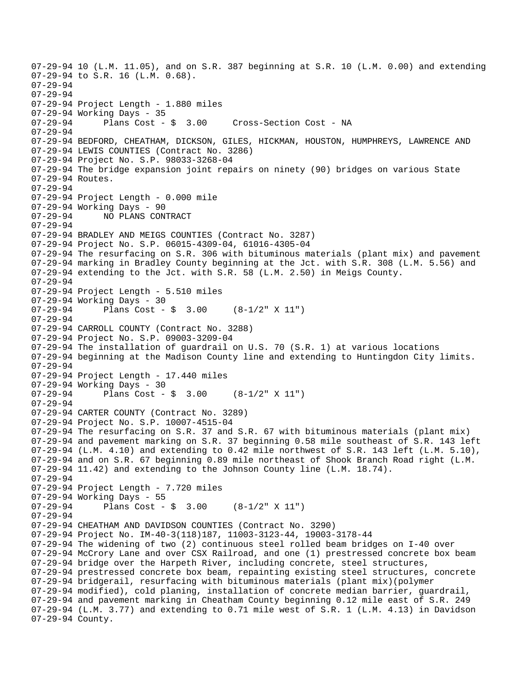07-29-94 10 (L.M. 11.05), and on S.R. 387 beginning at S.R. 10 (L.M. 0.00) and extending 07-29-94 to S.R. 16 (L.M. 0.68). 07-29-94 07-29-94 07-29-94 Project Length - 1.880 miles 07-29-94 Working Days - 35<br>07-29-94 Plans Cost - \$ 3.00 07-29-94 Plans Cost - \$ 3.00 Cross-Section Cost - NA 07-29-94 07-29-94 BEDFORD, CHEATHAM, DICKSON, GILES, HICKMAN, HOUSTON, HUMPHREYS, LAWRENCE AND 07-29-94 LEWIS COUNTIES (Contract No. 3286) 07-29-94 Project No. S.P. 98033-3268-04 07-29-94 The bridge expansion joint repairs on ninety (90) bridges on various State 07-29-94 Routes. 07-29-94 07-29-94 Project Length - 0.000 mile 07-29-94 Working Days - 90 07-29-94 NO PLANS CONTRACT 07-29-94 07-29-94 BRADLEY AND MEIGS COUNTIES (Contract No. 3287) 07-29-94 Project No. S.P. 06015-4309-04, 61016-4305-04 07-29-94 The resurfacing on S.R. 306 with bituminous materials (plant mix) and pavement 07-29-94 marking in Bradley County beginning at the Jct. with S.R. 308 (L.M. 5.56) and 07-29-94 extending to the Jct. with S.R. 58 (L.M. 2.50) in Meigs County. 07-29-94 07-29-94 Project Length - 5.510 miles 07-29-94 Working Days - 30 07-29-94 Plans Cost - \$ 3.00 (8-1/2" X 11") 07-29-94 07-29-94 CARROLL COUNTY (Contract No. 3288) 07-29-94 Project No. S.P. 09003-3209-04 07-29-94 The installation of guardrail on U.S. 70 (S.R. 1) at various locations 07-29-94 beginning at the Madison County line and extending to Huntingdon City limits. 07-29-94 07-29-94 Project Length - 17.440 miles 07-29-94 Working Days - 30  $07-29-94$  Plans Cost - \$ 3.00  $(8-1/2" \times 11")$ 07-29-94 07-29-94 CARTER COUNTY (Contract No. 3289) 07-29-94 Project No. S.P. 10007-4515-04 07-29-94 The resurfacing on S.R. 37 and S.R. 67 with bituminous materials (plant mix) 07-29-94 and pavement marking on S.R. 37 beginning 0.58 mile southeast of S.R. 143 left 07-29-94 (L.M. 4.10) and extending to  $0.42$  mile northwest of S.R. 143 left (L.M. 5.10), 07-29-94 and on S.R. 67 beginning 0.89 mile northeast of Shook Branch Road right (L.M. 07-29-94 11.42) and extending to the Johnson County line (L.M. 18.74). 07-29-94 07-29-94 Project Length - 7.720 miles 07-29-94 Working Days - 55<br>07-29-94 Plans Cost -Plans Cost -  $\sin 3.00$  (8-1/2" X 11") 07-29-94 07-29-94 CHEATHAM AND DAVIDSON COUNTIES (Contract No. 3290) 07-29-94 Project No. IM-40-3(118)187, 11003-3123-44, 19003-3178-44 07-29-94 The widening of two (2) continuous steel rolled beam bridges on I-40 over 07-29-94 McCrory Lane and over CSX Railroad, and one (1) prestressed concrete box beam 07-29-94 bridge over the Harpeth River, including concrete, steel structures, 07-29-94 prestressed concrete box beam, repainting existing steel structures, concrete 07-29-94 bridgerail, resurfacing with bituminous materials (plant mix)(polymer 07-29-94 modified), cold planing, installation of concrete median barrier, guardrail, 07-29-94 and pavement marking in Cheatham County beginning 0.12 mile east of S.R. 249 07-29-94 (L.M. 3.77) and extending to 0.71 mile west of S.R. 1 (L.M. 4.13) in Davidson 07-29-94 County.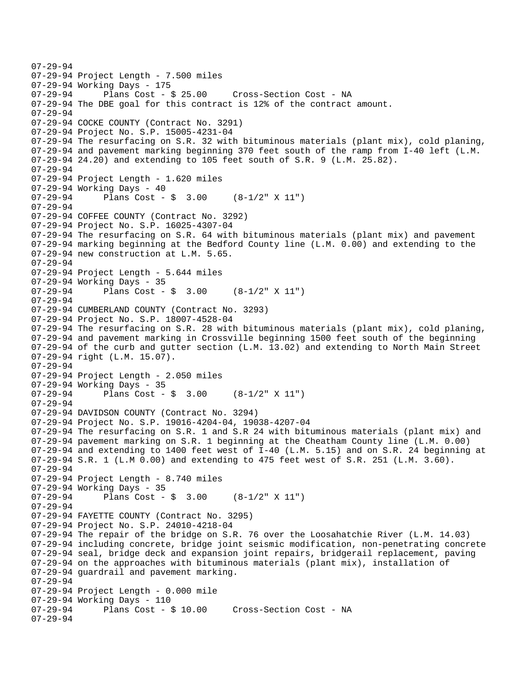```
07-29-94 
07-29-94 Project Length - 7.500 miles 
07-29-94 Working Days - 175<br>07-29-94 Plans Cost - $ 25.00
07-29-94 Plans Cost - $ 25.00 Cross-Section Cost - NA 
07-29-94 The DBE goal for this contract is 12% of the contract amount. 
07-29-94 
07-29-94 COCKE COUNTY (Contract No. 3291) 
07-29-94 Project No. S.P. 15005-4231-04 
07-29-94 The resurfacing on S.R. 32 with bituminous materials (plant mix), cold planing, 
07-29-94 and pavement marking beginning 370 feet south of the ramp from I-40 left (L.M. 
07-29-94 24.20) and extending to 105 feet south of S.R. 9 (L.M. 25.82). 
07-29-94 
07-29-94 Project Length - 1.620 miles 
07-29-94 Working Days - 40 
07-29-94 Plans Cost - $ 3.00 (8-1/2" X 11") 
07-29-94 
07-29-94 COFFEE COUNTY (Contract No. 3292) 
07-29-94 Project No. S.P. 16025-4307-04 
07-29-94 The resurfacing on S.R. 64 with bituminous materials (plant mix) and pavement 
07-29-94 marking beginning at the Bedford County line (L.M. 0.00) and extending to the 
07-29-94 new construction at L.M. 5.65. 
07-29-94 
07-29-94 Project Length - 5.644 miles 
07-29-94 Working Days - 35<br>07-29-94 Plans Cost -
              Plans Cost - \frac{1}{2} 3.00 (8-1/2" X 11")
07-29-94 
07-29-94 CUMBERLAND COUNTY (Contract No. 3293) 
07-29-94 Project No. S.P. 18007-4528-04 
07-29-94 The resurfacing on S.R. 28 with bituminous materials (plant mix), cold planing, 
07-29-94 and pavement marking in Crossville beginning 1500 feet south of the beginning 
07-29-94 of the curb and gutter section (L.M. 13.02) and extending to North Main Street 
07-29-94 right (L.M. 15.07). 
07-29-94 
07-29-94 Project Length - 2.050 miles 
07-29-94 Working Days - 35 
07-29-94 Plans Cost - $ 3.00 (8-1/2" \times 11")07-29-94 
07-29-94 DAVIDSON COUNTY (Contract No. 3294) 
07-29-94 Project No. S.P. 19016-4204-04, 19038-4207-04 
07-29-94 The resurfacing on S.R. 1 and S.R 24 with bituminous materials (plant mix) and 
07-29-94 pavement marking on S.R. 1 beginning at the Cheatham County line (L.M. 0.00) 
07-29-94 and extending to 1400 feet west of I-40 (L.M. 5.15) and on S.R. 24 beginning at 
07-29-94 S.R. 1 (L.M 0.00) and extending to 475 feet west of S.R. 251 (L.M. 3.60). 
07-29-94 
07-29-94 Project Length - 8.740 miles 
07-29-94 Working Days - 35 
07-29-94 Plans Cost - $ 3.00 (8-1/2" X 11") 
07-29-94 
07-29-94 FAYETTE COUNTY (Contract No. 3295) 
07-29-94 Project No. S.P. 24010-4218-04 
07-29-94 The repair of the bridge on S.R. 76 over the Loosahatchie River (L.M. 14.03) 
07-29-94 including concrete, bridge joint seismic modification, non-penetrating concrete 
07-29-94 seal, bridge deck and expansion joint repairs, bridgerail replacement, paving 
07-29-94 on the approaches with bituminous materials (plant mix), installation of 
07-29-94 guardrail and pavement marking. 
07-29-94 
07-29-94 Project Length - 0.000 mile 
07-29-94 Working Days - 110<br>07-29-94 Plans Cost - $ 10.00
                                        Cross-Section Cost - NA
07-29-94
```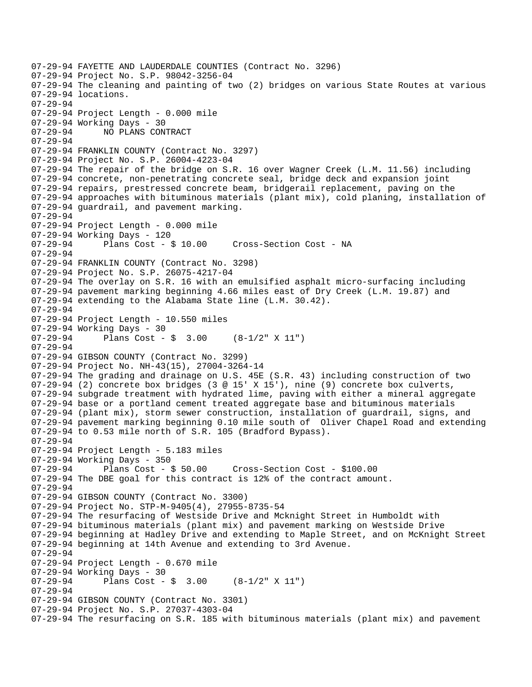07-29-94 FAYETTE AND LAUDERDALE COUNTIES (Contract No. 3296) 07-29-94 Project No. S.P. 98042-3256-04 07-29-94 The cleaning and painting of two (2) bridges on various State Routes at various 07-29-94 locations. 07-29-94 07-29-94 Project Length - 0.000 mile 07-29-94 Working Days - 30 07-29-94 NO PLANS CONTRACT 07-29-94 07-29-94 FRANKLIN COUNTY (Contract No. 3297) 07-29-94 Project No. S.P. 26004-4223-04 07-29-94 The repair of the bridge on S.R. 16 over Wagner Creek (L.M. 11.56) including 07-29-94 concrete, non-penetrating concrete seal, bridge deck and expansion joint 07-29-94 repairs, prestressed concrete beam, bridgerail replacement, paving on the 07-29-94 approaches with bituminous materials (plant mix), cold planing, installation of 07-29-94 guardrail, and pavement marking. 07-29-94 07-29-94 Project Length - 0.000 mile 07-29-94 Working Days - 120 07-29-94 Plans Cost - \$ 10.00 Cross-Section Cost - NA 07-29-94 07-29-94 FRANKLIN COUNTY (Contract No. 3298) 07-29-94 Project No. S.P. 26075-4217-04 07-29-94 The overlay on S.R. 16 with an emulsified asphalt micro-surfacing including 07-29-94 pavement marking beginning 4.66 miles east of Dry Creek (L.M. 19.87) and 07-29-94 extending to the Alabama State line (L.M. 30.42). 07-29-94 07-29-94 Project Length - 10.550 miles 07-29-94 Working Days - 30 07-29-94 Plans Cost - \$ 3.00 (8-1/2" X 11") 07-29-94 07-29-94 GIBSON COUNTY (Contract No. 3299) 07-29-94 Project No. NH-43(15), 27004-3264-14 07-29-94 The grading and drainage on U.S. 45E (S.R. 43) including construction of two 07-29-94 (2) concrete box bridges (3 @ 15' X 15'), nine (9) concrete box culverts, 07-29-94 subgrade treatment with hydrated lime, paving with either a mineral aggregate 07-29-94 base or a portland cement treated aggregate base and bituminous materials 07-29-94 (plant mix), storm sewer construction, installation of guardrail, signs, and 07-29-94 pavement marking beginning 0.10 mile south of Oliver Chapel Road and extending 07-29-94 to 0.53 mile north of S.R. 105 (Bradford Bypass). 07-29-94 07-29-94 Project Length - 5.183 miles 07-29-94 Working Days - 350 07-29-94 Plans Cost - \$ 50.00 Cross-Section Cost - \$100.00 07-29-94 The DBE goal for this contract is 12% of the contract amount. 07-29-94 07-29-94 GIBSON COUNTY (Contract No. 3300) 07-29-94 Project No. STP-M-9405(4), 27955-8735-54 07-29-94 The resurfacing of Westside Drive and Mcknight Street in Humboldt with 07-29-94 bituminous materials (plant mix) and pavement marking on Westside Drive 07-29-94 beginning at Hadley Drive and extending to Maple Street, and on McKnight Street 07-29-94 beginning at 14th Avenue and extending to 3rd Avenue. 07-29-94 07-29-94 Project Length - 0.670 mile 07-29-94 Working Days - 30<br>07-29-94 Plans Cost -Plans Cost -  $\frac{1}{9}$  3.00 (8-1/2" X 11") 07-29-94 07-29-94 GIBSON COUNTY (Contract No. 3301) 07-29-94 Project No. S.P. 27037-4303-04 07-29-94 The resurfacing on S.R. 185 with bituminous materials (plant mix) and pavement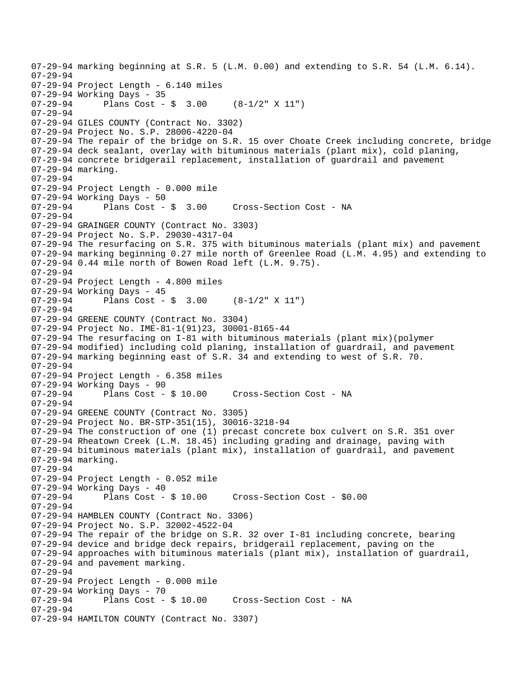```
07-29-94 marking beginning at S.R. 5 (L.M. 0.00) and extending to S.R. 54 (L.M. 6.14). 
07-29-94 
07-29-94 Project Length - 6.140 miles 
07-29-94 Working Days - 35<br>07-29-94 Plans Cost -
              Plans Cost - \sin 3.00 (8-1/2" X 11")
07-29-94 
07-29-94 GILES COUNTY (Contract No. 3302) 
07-29-94 Project No. S.P. 28006-4220-04 
07-29-94 The repair of the bridge on S.R. 15 over Choate Creek including concrete, bridge 
07-29-94 deck sealant, overlay with bituminous materials (plant mix), cold planing, 
07-29-94 concrete bridgerail replacement, installation of guardrail and pavement 
07-29-94 marking. 
07-29-94 
07-29-94 Project Length - 0.000 mile 
07-29-94 Working Days - 50<br>07-29-94    Plans Cost - $ 3.00
07-29-94 Plans Cost - $ 3.00 Cross-Section Cost - NA
07-29-94 
07-29-94 GRAINGER COUNTY (Contract No. 3303) 
07-29-94 Project No. S.P. 29030-4317-04 
07-29-94 The resurfacing on S.R. 375 with bituminous materials (plant mix) and pavement 
07-29-94 marking beginning 0.27 mile north of Greenlee Road (L.M. 4.95) and extending to 
07-29-94 0.44 mile north of Bowen Road left (L.M. 9.75). 
07-29-94 
07-29-94 Project Length - 4.800 miles 
07-29-94 Working Days - 45<br>07-29-94 Plans Cost -
              Plans Cost - \frac{1}{2} 3.00 (8-1/2" X 11")
07-29-94 
07-29-94 GREENE COUNTY (Contract No. 3304) 
07-29-94 Project No. IME-81-1(91)23, 30001-8165-44 
07-29-94 The resurfacing on I-81 with bituminous materials (plant mix)(polymer 
07-29-94 modified) including cold planing, installation of guardrail, and pavement 
07-29-94 marking beginning east of S.R. 34 and extending to west of S.R. 70. 
07-29-94 
07-29-94 Project Length - 6.358 miles 
07-29-94 Working Days - 90 
07-29-94 Plans Cost - $ 10.00 Cross-Section Cost - NA 
07-29-94 
07-29-94 GREENE COUNTY (Contract No. 3305) 
07-29-94 Project No. BR-STP-351(15), 30016-3218-94 
07-29-94 The construction of one (1) precast concrete box culvert on S.R. 351 over 
07-29-94 Rheatown Creek (L.M. 18.45) including grading and drainage, paving with 
07-29-94 bituminous materials (plant mix), installation of guardrail, and pavement 
07-29-94 marking. 
07-29-94 
07-29-94 Project Length - 0.052 mile 
07-29-94 Working Days - 40 
07-29-94 Plans Cost - $ 10.00 Cross-Section Cost - $0.00 
07-29-94 
07-29-94 HAMBLEN COUNTY (Contract No. 3306) 
07-29-94 Project No. S.P. 32002-4522-04 
07-29-94 The repair of the bridge on S.R. 32 over I-81 including concrete, bearing 
07-29-94 device and bridge deck repairs, bridgerail replacement, paving on the 
07-29-94 approaches with bituminous materials (plant mix), installation of guardrail, 
07-29-94 and pavement marking. 
07-29-94 
07-29-94 Project Length - 0.000 mile 
07-29-94 Working Days - 70<br>07-29-94 Plans Cost -
              Plans Cost - $ 10.00 Cross-Section Cost - NA
07-29-94 
07-29-94 HAMILTON COUNTY (Contract No. 3307)
```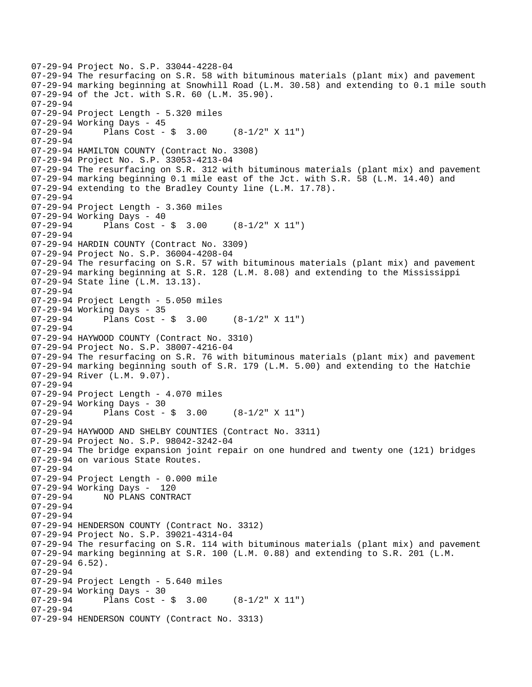```
07-29-94 Project No. S.P. 33044-4228-04 
07-29-94 The resurfacing on S.R. 58 with bituminous materials (plant mix) and pavement 
07-29-94 marking beginning at Snowhill Road (L.M. 30.58) and extending to 0.1 mile south 
07-29-94 of the Jct. with S.R. 60 (L.M. 35.90). 
07-29-94 
07-29-94 Project Length - 5.320 miles 
07-29-94 Working Days - 45 
07-29-94 Plans Cost - $ 3.00 (8-1/2" \times 11")07-29-94 
07-29-94 HAMILTON COUNTY (Contract No. 3308) 
07-29-94 Project No. S.P. 33053-4213-04 
07-29-94 The resurfacing on S.R. 312 with bituminous materials (plant mix) and pavement 
07-29-94 marking beginning 0.1 mile east of the Jct. with S.R. 58 (L.M. 14.40) and 
07-29-94 extending to the Bradley County line (L.M. 17.78). 
07-29-94 
07-29-94 Project Length - 3.360 miles 
07-29-94 Working Days - 40 
07-29-94 Plans Cost - $ 3.00 (8-1/2" X 11")
07-29-94 
07-29-94 HARDIN COUNTY (Contract No. 3309) 
07-29-94 Project No. S.P. 36004-4208-04 
07-29-94 The resurfacing on S.R. 57 with bituminous materials (plant mix) and pavement 
07-29-94 marking beginning at S.R. 128 (L.M. 8.08) and extending to the Mississippi 
07-29-94 State line (L.M. 13.13). 
07-29-94 
07-29-94 Project Length - 5.050 miles 
07-29-94 Working Days - 35<br>07-29-94 Plans Cost -
              Plans Cost - \frac{1}{2} 3.00 (8-1/2" X 11")
07-29-94 
07-29-94 HAYWOOD COUNTY (Contract No. 3310) 
07-29-94 Project No. S.P. 38007-4216-04 
07-29-94 The resurfacing on S.R. 76 with bituminous materials (plant mix) and pavement 
07-29-94 marking beginning south of S.R. 179 (L.M. 5.00) and extending to the Hatchie 
07-29-94 River (L.M. 9.07). 
07-29-94 
07-29-94 Project Length - 4.070 miles 
07-29-94 Working Days - 30<br>07-29-94 Plans Cost -
              Plans Cost - \sin 3.00 (8-1/2" X 11")
07-29-94 
07-29-94 HAYWOOD AND SHELBY COUNTIES (Contract No. 3311) 
07-29-94 Project No. S.P. 98042-3242-04 
07-29-94 The bridge expansion joint repair on one hundred and twenty one (121) bridges 
07-29-94 on various State Routes. 
07-29-94 
07-29-94 Project Length - 0.000 mile 
07-29-94 Working Days - 120 
07-29-94 NO PLANS CONTRACT 
07-29-94 
07-29-94 
07-29-94 HENDERSON COUNTY (Contract No. 3312) 
07-29-94 Project No. S.P. 39021-4314-04 
07-29-94 The resurfacing on S.R. 114 with bituminous materials (plant mix) and pavement 
07-29-94 marking beginning at S.R. 100 (L.M. 0.88) and extending to S.R. 201 (L.M. 
07-29-94 6.52). 
07-29-94 
07-29-94 Project Length - 5.640 miles 
07-29-94 Working Days - 30<br>07-29-94 Plans Cost -
              Plans Cost - \frac{1}{2} 3.00 (8-1/2" X 11")
07-29-94 
07-29-94 HENDERSON COUNTY (Contract No. 3313)
```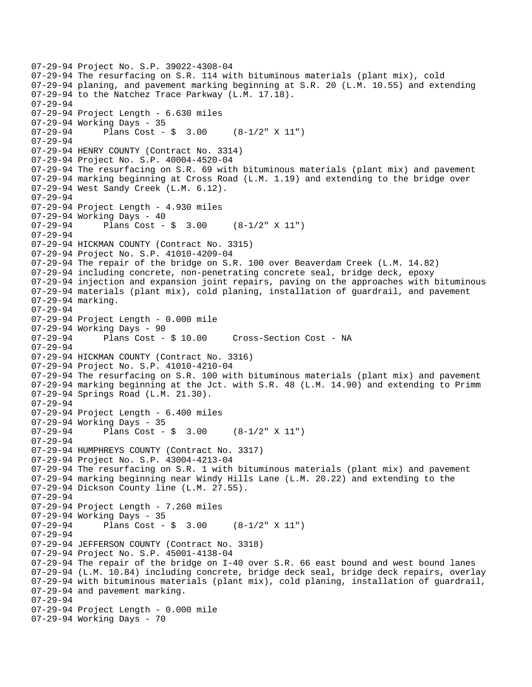```
07-29-94 Project No. S.P. 39022-4308-04 
07-29-94 The resurfacing on S.R. 114 with bituminous materials (plant mix), cold 
07-29-94 planing, and pavement marking beginning at S.R. 20 (L.M. 10.55) and extending 
07-29-94 to the Natchez Trace Parkway (L.M. 17.18). 
07-29-94 
07-29-94 Project Length - 6.630 miles 
07-29-94 Working Days - 35 
07-29-94 Plans Cost - $ 3.00 (8-1/2" X 11") 
07-29-94 
07-29-94 HENRY COUNTY (Contract No. 3314) 
07-29-94 Project No. S.P. 40004-4520-04 
07-29-94 The resurfacing on S.R. 69 with bituminous materials (plant mix) and pavement 
07-29-94 marking beginning at Cross Road (L.M. 1.19) and extending to the bridge over 
07-29-94 West Sandy Creek (L.M. 6.12). 
07-29-94 
07-29-94 Project Length - 4.930 miles 
07-29-94 Working Days - 40 
07-29-94 Plans Cost - $ 3.00 (8-1/2" X 11") 
07-29-94 
07-29-94 HICKMAN COUNTY (Contract No. 3315) 
07-29-94 Project No. S.P. 41010-4209-04 
07-29-94 The repair of the bridge on S.R. 100 over Beaverdam Creek (L.M. 14.82) 
07-29-94 including concrete, non-penetrating concrete seal, bridge deck, epoxy 
07-29-94 injection and expansion joint repairs, paving on the approaches with bituminous 
07-29-94 materials (plant mix), cold planing, installation of guardrail, and pavement 
07-29-94 marking. 
07-29-94 
07-29-94 Project Length - 0.000 mile 
07-29-94 Working Days - 90<br>07-29-94 Plans Cost - $ 10.00
07-29-94 Plans Cost - $ 10.00 Cross-Section Cost - NA 
07-29-94 
07-29-94 HICKMAN COUNTY (Contract No. 3316) 
07-29-94 Project No. S.P. 41010-4210-04 
07-29-94 The resurfacing on S.R. 100 with bituminous materials (plant mix) and pavement 
07-29-94 marking beginning at the Jct. with S.R. 48 (L.M. 14.90) and extending to Primm 
07-29-94 Springs Road (L.M. 21.30). 
07-29-94 
07-29-94 Project Length - 6.400 miles 
07-29-94 Working Days - 35 
07-29-94 Plans Cost - $ 3.00 (8-1/2" \times 11")07-29-94 
07-29-94 HUMPHREYS COUNTY (Contract No. 3317) 
07-29-94 Project No. S.P. 43004-4213-04 
07-29-94 The resurfacing on S.R. 1 with bituminous materials (plant mix) and pavement 
07-29-94 marking beginning near Windy Hills Lane (L.M. 20.22) and extending to the 
07-29-94 Dickson County line (L.M. 27.55). 
07-29-94 
07-29-94 Project Length - 7.260 miles 
07-29-94 Working Days - 35<br>07-29-94 Plans Cost -
              Plans Cost - \frac{1}{2} 3.00 (8-1/2" X 11")
07-29-94 
07-29-94 JEFFERSON COUNTY (Contract No. 3318) 
07-29-94 Project No. S.P. 45001-4138-04 
07-29-94 The repair of the bridge on I-40 over S.R. 66 east bound and west bound lanes 
07-29-94 (L.M. 10.84) including concrete, bridge deck seal, bridge deck repairs, overlay 
07-29-94 with bituminous materials (plant mix), cold planing, installation of guardrail, 
07-29-94 and pavement marking. 
07-29-94 
07-29-94 Project Length - 0.000 mile 
07-29-94 Working Days - 70
```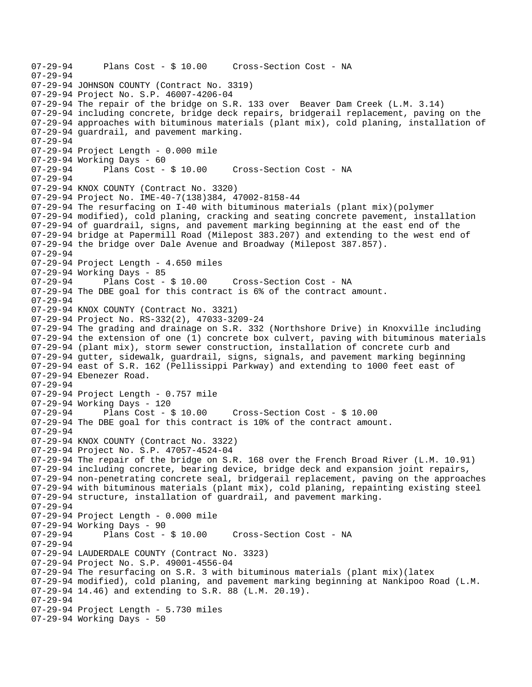07-29-94 Plans Cost - \$ 10.00 Cross-Section Cost - NA 07-29-94 07-29-94 JOHNSON COUNTY (Contract No. 3319) 07-29-94 Project No. S.P. 46007-4206-04 07-29-94 The repair of the bridge on S.R. 133 over Beaver Dam Creek (L.M. 3.14) 07-29-94 including concrete, bridge deck repairs, bridgerail replacement, paving on the 07-29-94 approaches with bituminous materials (plant mix), cold planing, installation of 07-29-94 guardrail, and pavement marking. 07-29-94 07-29-94 Project Length - 0.000 mile 07-29-94 Working Days - 60 07-29-94 Plans Cost - \$ 10.00 Cross-Section Cost - NA 07-29-94 07-29-94 KNOX COUNTY (Contract No. 3320) 07-29-94 Project No. IME-40-7(138)384, 47002-8158-44 07-29-94 The resurfacing on I-40 with bituminous materials (plant mix)(polymer 07-29-94 modified), cold planing, cracking and seating concrete pavement, installation 07-29-94 of guardrail, signs, and pavement marking beginning at the east end of the 07-29-94 bridge at Papermill Road (Milepost 383.207) and extending to the west end of 07-29-94 the bridge over Dale Avenue and Broadway (Milepost 387.857). 07-29-94 07-29-94 Project Length - 4.650 miles 07-29-94 Working Days - 85 07-29-94 Plans Cost - \$ 10.00 Cross-Section Cost - NA 07-29-94 The DBE goal for this contract is 6% of the contract amount. 07-29-94 07-29-94 KNOX COUNTY (Contract No. 3321) 07-29-94 Project No. RS-332(2), 47033-3209-24 07-29-94 The grading and drainage on S.R. 332 (Northshore Drive) in Knoxville including 07-29-94 the extension of one (1) concrete box culvert, paving with bituminous materials 07-29-94 (plant mix), storm sewer construction, installation of concrete curb and 07-29-94 gutter, sidewalk, guardrail, signs, signals, and pavement marking beginning 07-29-94 east of S.R. 162 (Pellissippi Parkway) and extending to 1000 feet east of 07-29-94 Ebenezer Road. 07-29-94 07-29-94 Project Length - 0.757 mile 07-29-94 Working Days - 120<br>07-29-94 Plans Cost - \$ 10.00 07-29-94 Plans Cost - \$ 10.00 Cross-Section Cost - \$ 10.00 07-29-94 The DBE goal for this contract is 10% of the contract amount. 07-29-94 07-29-94 KNOX COUNTY (Contract No. 3322) 07-29-94 Project No. S.P. 47057-4524-04 07-29-94 The repair of the bridge on S.R. 168 over the French Broad River (L.M. 10.91) 07-29-94 including concrete, bearing device, bridge deck and expansion joint repairs, 07-29-94 non-penetrating concrete seal, bridgerail replacement, paving on the approaches 07-29-94 with bituminous materials (plant mix), cold planing, repainting existing steel 07-29-94 structure, installation of guardrail, and pavement marking. 07-29-94 07-29-94 Project Length - 0.000 mile 07-29-94 Working Days - 90<br>07-29-94 Plans Cost -Plans Cost - \$ 10.00 Cross-Section Cost - NA 07-29-94 07-29-94 LAUDERDALE COUNTY (Contract No. 3323) 07-29-94 Project No. S.P. 49001-4556-04 07-29-94 The resurfacing on S.R. 3 with bituminous materials (plant mix)(latex 07-29-94 modified), cold planing, and pavement marking beginning at Nankipoo Road (L.M. 07-29-94 14.46) and extending to S.R. 88 (L.M. 20.19). 07-29-94 07-29-94 Project Length - 5.730 miles 07-29-94 Working Days - 50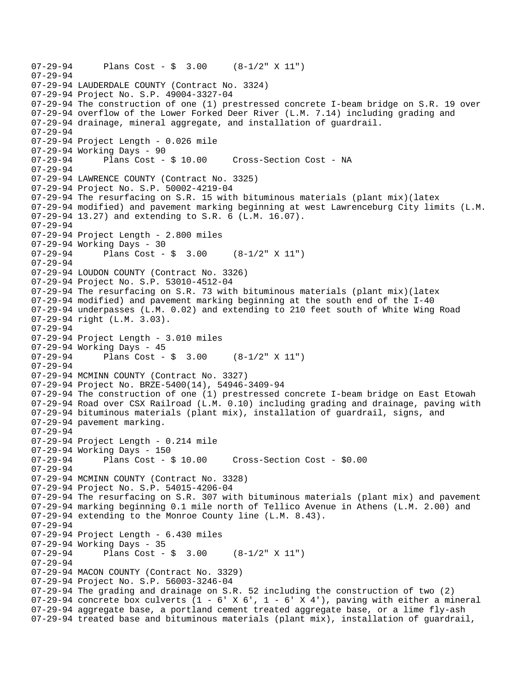```
07-29-94 Plans Cost - $ 3.00 (8-1/2" X 11") 
07-29-94 
07-29-94 LAUDERDALE COUNTY (Contract No. 3324) 
07-29-94 Project No. S.P. 49004-3327-04 
07-29-94 The construction of one (1) prestressed concrete I-beam bridge on S.R. 19 over 
07-29-94 overflow of the Lower Forked Deer River (L.M. 7.14) including grading and 
07-29-94 drainage, mineral aggregate, and installation of guardrail. 
07-29-94 
07-29-94 Project Length - 0.026 mile 
07-29-94 Working Days - 90 
07-29-94 Plans Cost - $ 10.00 Cross-Section Cost - NA 
07-29-94 
07-29-94 LAWRENCE COUNTY (Contract No. 3325) 
07-29-94 Project No. S.P. 50002-4219-04 
07-29-94 The resurfacing on S.R. 15 with bituminous materials (plant mix)(latex 
07-29-94 modified) and pavement marking beginning at west Lawrenceburg City limits (L.M. 
07-29-94 13.27) and extending to S.R. 6 (L.M. 16.07). 
07-29-94 
07-29-94 Project Length - 2.800 miles 
07-29-94 Working Days - 30 
07-29-94 Plans Cost - $ 3.00 (8-1/2" X 11") 
07-29-94 
07-29-94 LOUDON COUNTY (Contract No. 3326) 
07-29-94 Project No. S.P. 53010-4512-04 
07-29-94 The resurfacing on S.R. 73 with bituminous materials (plant mix)(latex 
07-29-94 modified) and pavement marking beginning at the south end of the I-40 
07-29-94 underpasses (L.M. 0.02) and extending to 210 feet south of White Wing Road 
07-29-94 right (L.M. 3.03). 
07-29-94 
07-29-94 Project Length - 3.010 miles 
07-29-94 Working Days - 45 
07-29-94 Plans Cost - $ 3.00 (8-1/2" X 11") 
07-29-94 
07-29-94 MCMINN COUNTY (Contract No. 3327) 
07-29-94 Project No. BRZE-5400(14), 54946-3409-94 
07-29-94 The construction of one (1) prestressed concrete I-beam bridge on East Etowah 
07-29-94 Road over CSX Railroad (L.M. 0.10) including grading and drainage, paving with 
07-29-94 bituminous materials (plant mix), installation of guardrail, signs, and 
07-29-94 pavement marking. 
07-29-94 
07-29-94 Project Length - 0.214 mile 
07-29-94 Working Days - 150 
07-29-94 Plans Cost - $ 10.00 Cross-Section Cost - $0.00 
07-29-94 
07-29-94 MCMINN COUNTY (Contract No. 3328) 
07-29-94 Project No. S.P. 54015-4206-04 
07-29-94 The resurfacing on S.R. 307 with bituminous materials (plant mix) and pavement 
07-29-94 marking beginning 0.1 mile north of Tellico Avenue in Athens (L.M. 2.00) and 
07-29-94 extending to the Monroe County line (L.M. 8.43). 
07-29-94 
07-29-94 Project Length - 6.430 miles 
07-29-94 Working Days - 35 
07-29-94 Plans Cost - $ 3.00 (8-1/2" X 11") 
07-29-94 
07-29-94 MACON COUNTY (Contract No. 3329) 
07-29-94 Project No. S.P. 56003-3246-04 
07-29-94 The grading and drainage on S.R. 52 including the construction of two (2) 
07-29-94 concrete box culverts (1 - 6' X 6', 1 - 6' X 4'), paving with either a mineral
07-29-94 aggregate base, a portland cement treated aggregate base, or a lime fly-ash 
07-29-94 treated base and bituminous materials (plant mix), installation of guardrail,
```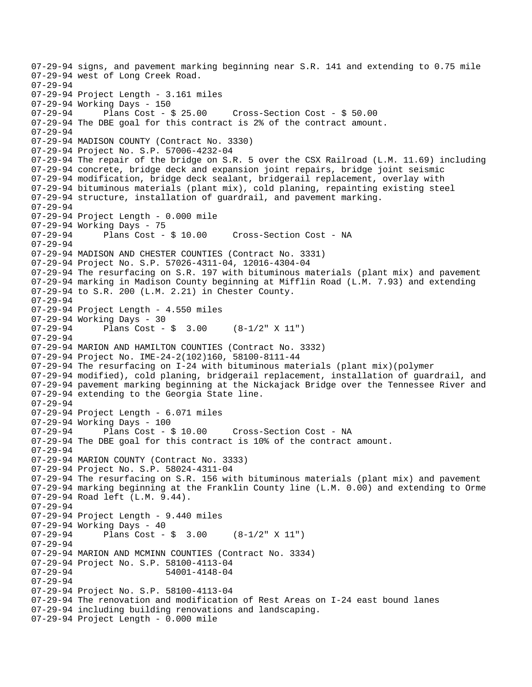07-29-94 signs, and pavement marking beginning near S.R. 141 and extending to 0.75 mile 07-29-94 west of Long Creek Road. 07-29-94 07-29-94 Project Length - 3.161 miles 07-29-94 Working Days - 150<br>07-29-94 Plans Cost - \$ 25.00 07-29-94 Plans Cost - \$ 25.00 Cross-Section Cost - \$ 50.00 07-29-94 The DBE goal for this contract is 2% of the contract amount. 07-29-94 07-29-94 MADISON COUNTY (Contract No. 3330) 07-29-94 Project No. S.P. 57006-4232-04 07-29-94 The repair of the bridge on S.R. 5 over the CSX Railroad (L.M. 11.69) including 07-29-94 concrete, bridge deck and expansion joint repairs, bridge joint seismic 07-29-94 modification, bridge deck sealant, bridgerail replacement, overlay with 07-29-94 bituminous materials (plant mix), cold planing, repainting existing steel 07-29-94 structure, installation of guardrail, and pavement marking. 07-29-94 07-29-94 Project Length - 0.000 mile 07-29-94 Working Days - 75 07-29-94 Plans Cost - \$ 10.00 Cross-Section Cost - NA 07-29-94 07-29-94 MADISON AND CHESTER COUNTIES (Contract No. 3331) 07-29-94 Project No. S.P. 57026-4311-04, 12016-4304-04 07-29-94 The resurfacing on S.R. 197 with bituminous materials (plant mix) and pavement 07-29-94 marking in Madison County beginning at Mifflin Road (L.M. 7.93) and extending 07-29-94 to S.R. 200 (L.M. 2.21) in Chester County. 07-29-94 07-29-94 Project Length - 4.550 miles 07-29-94 Working Days - 30 07-29-94 Plans Cost - \$ 3.00 (8-1/2" X 11") 07-29-94 07-29-94 MARION AND HAMILTON COUNTIES (Contract No. 3332) 07-29-94 Project No. IME-24-2(102)160, 58100-8111-44 07-29-94 The resurfacing on I-24 with bituminous materials (plant mix)(polymer 07-29-94 modified), cold planing, bridgerail replacement, installation of guardrail, and 07-29-94 pavement marking beginning at the Nickajack Bridge over the Tennessee River and 07-29-94 extending to the Georgia State line. 07-29-94 07-29-94 Project Length - 6.071 miles 07-29-94 Working Days - 100 07-29-94 Plans Cost - \$ 10.00 Cross-Section Cost - NA 07-29-94 The DBE goal for this contract is 10% of the contract amount. 07-29-94 07-29-94 MARION COUNTY (Contract No. 3333) 07-29-94 Project No. S.P. 58024-4311-04 07-29-94 The resurfacing on S.R. 156 with bituminous materials (plant mix) and pavement 07-29-94 marking beginning at the Franklin County line (L.M. 0.00) and extending to Orme 07-29-94 Road left (L.M. 9.44). 07-29-94 07-29-94 Project Length - 9.440 miles 07-29-94 Working Days - 40<br>07-29-94 Plans Cost -Plans Cost -  $\sin 3.00$  (8-1/2" X 11") 07-29-94 07-29-94 MARION AND MCMINN COUNTIES (Contract No. 3334) 07-29-94 Project No. S.P. 58100-4113-04 07-29-94 54001-4148-04 07-29-94 07-29-94 Project No. S.P. 58100-4113-04 07-29-94 The renovation and modification of Rest Areas on I-24 east bound lanes 07-29-94 including building renovations and landscaping. 07-29-94 Project Length - 0.000 mile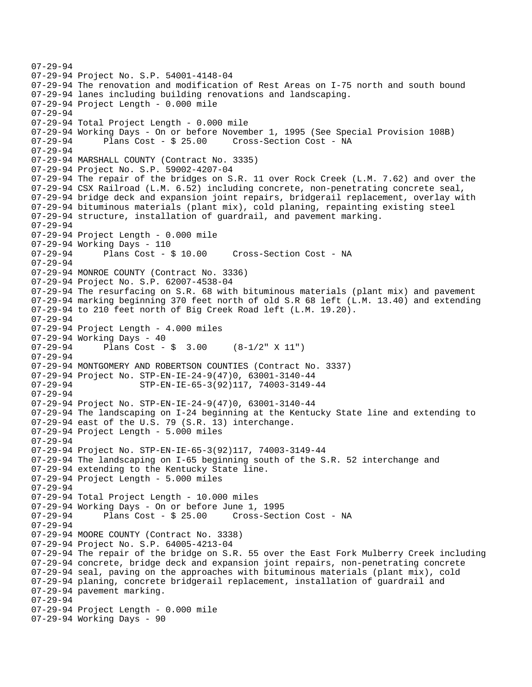```
07-29-94 Project No. S.P. 54001-4148-04 
07-29-94 The renovation and modification of Rest Areas on I-75 north and south bound 
07-29-94 lanes including building renovations and landscaping. 
07-29-94 Project Length - 0.000 mile 
07-29-94 
07-29-94 Total Project Length - 0.000 mile 
07-29-94 Working Days - On or before November 1, 1995 (See Special Provision 108B) 
07-29-94 Plans Cost - $ 25.00 Cross-Section Cost - NA 
07-29-94 
07-29-94 MARSHALL COUNTY (Contract No. 3335) 
07-29-94 Project No. S.P. 59002-4207-04 
07-29-94 The repair of the bridges on S.R. 11 over Rock Creek (L.M. 7.62) and over the 
07-29-94 CSX Railroad (L.M. 6.52) including concrete, non-penetrating concrete seal, 
07-29-94 bridge deck and expansion joint repairs, bridgerail replacement, overlay with 
07-29-94 bituminous materials (plant mix), cold planing, repainting existing steel 
07-29-94 structure, installation of guardrail, and pavement marking. 
07-29-94 
07-29-94 Project Length - 0.000 mile 
07-29-94 Working Days - 110 
07-29-94 Plans Cost - $ 10.00 Cross-Section Cost - NA 
07-29-94 
07-29-94 MONROE COUNTY (Contract No. 3336) 
07-29-94 Project No. S.P. 62007-4538-04 
07-29-94 The resurfacing on S.R. 68 with bituminous materials (plant mix) and pavement 
07-29-94 marking beginning 370 feet north of old S.R 68 left (L.M. 13.40) and extending 
07-29-94 to 210 feet north of Big Creek Road left (L.M. 19.20). 
07-29-94 
07-29-94 Project Length - 4.000 miles 
07-29-94 Working Days - 40 
07-29-94 Plans Cost - $ 3.00 (8-1/2" X 11") 
07-29-94 
07-29-94 MONTGOMERY AND ROBERTSON COUNTIES (Contract No. 3337) 
07-29-94 Project No. STP-EN-IE-24-9(47)0, 63001-3140-44<br>-07-29-94 STP-EN-IE-65-3(92)117, 74003-3149
                     07-29-94 STP-EN-IE-65-3(92)117, 74003-3149-44 
07-29-94 
07-29-94 Project No. STP-EN-IE-24-9(47)0, 63001-3140-44 
07-29-94 The landscaping on I-24 beginning at the Kentucky State line and extending to 
07-29-94 east of the U.S. 79 (S.R. 13) interchange. 
07-29-94 Project Length - 5.000 miles 
07-29-94 
07-29-94 Project No. STP-EN-IE-65-3(92)117, 74003-3149-44 
07-29-94 The landscaping on I-65 beginning south of the S.R. 52 interchange and 
07-29-94 extending to the Kentucky State line. 
07-29-94 Project Length - 5.000 miles 
07-29-94 
07-29-94 Total Project Length - 10.000 miles 
07-29-94 Working Days - On or before June 1, 1995 
                                      Cross-Section Cost - NA
07-29-94 
07-29-94 MOORE COUNTY (Contract No. 3338) 
07-29-94 Project No. S.P. 64005-4213-04 
07-29-94 The repair of the bridge on S.R. 55 over the East Fork Mulberry Creek including 
07-29-94 concrete, bridge deck and expansion joint repairs, non-penetrating concrete 
07-29-94 seal, paving on the approaches with bituminous materials (plant mix), cold 
07-29-94 planing, concrete bridgerail replacement, installation of guardrail and 
07-29-94 pavement marking. 
07-29-94 
07-29-94 Project Length - 0.000 mile 
07-29-94 Working Days - 90
```
07-29-94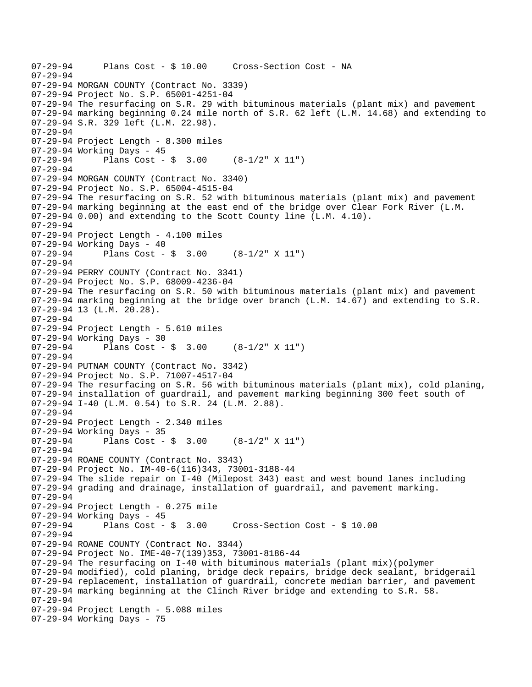```
07-29-94 Plans Cost - $ 10.00 Cross-Section Cost - NA 
07-29-94 
07-29-94 MORGAN COUNTY (Contract No. 3339) 
07-29-94 Project No. S.P. 65001-4251-04 
07-29-94 The resurfacing on S.R. 29 with bituminous materials (plant mix) and pavement 
07-29-94 marking beginning 0.24 mile north of S.R. 62 left (L.M. 14.68) and extending to 
07-29-94 S.R. 329 left (L.M. 22.98). 
07-29-94 
07-29-94 Project Length - 8.300 miles 
07-29-94 Working Days - 45 
07-29-94 Plans Cost - $ 3.00 (8-1/2" X 11") 
07-29-94 
07-29-94 MORGAN COUNTY (Contract No. 3340) 
07-29-94 Project No. S.P. 65004-4515-04 
07-29-94 The resurfacing on S.R. 52 with bituminous materials (plant mix) and pavement 
07-29-94 marking beginning at the east end of the bridge over Clear Fork River (L.M. 
07-29-94 0.00) and extending to the Scott County line (L.M. 4.10). 
07-29-94 
07-29-94 Project Length - 4.100 miles 
07-29-94 Working Days - 40 
07-29-94 Plans Cost - $ 3.00 (8-1/2" X 11") 
07-29-94 
07-29-94 PERRY COUNTY (Contract No. 3341) 
07-29-94 Project No. S.P. 68009-4236-04 
07-29-94 The resurfacing on S.R. 50 with bituminous materials (plant mix) and pavement 
07-29-94 marking beginning at the bridge over branch (L.M. 14.67) and extending to S.R. 
07-29-94 13 (L.M. 20.28). 
07-29-94 
07-29-94 Project Length - 5.610 miles 
07-29-94 Working Days - 30 
07-29-94 Plans Cost - $ 3.00 (8-1/2" X 11") 
07-29-94 
07-29-94 PUTNAM COUNTY (Contract No. 3342) 
07-29-94 Project No. S.P. 71007-4517-04 
07-29-94 The resurfacing on S.R. 56 with bituminous materials (plant mix), cold planing, 
07-29-94 installation of guardrail, and pavement marking beginning 300 feet south of 
07-29-94 I-40 (L.M. 0.54) to S.R. 24 (L.M. 2.88). 
07-29-94 
07-29-94 Project Length - 2.340 miles 
07-29-94 Working Days - 35 
07-29-94 Plans Cost - $ 3.00 (8-1/2" \times 11")07-29-94 
07-29-94 ROANE COUNTY (Contract No. 3343) 
07-29-94 Project No. IM-40-6(116)343, 73001-3188-44 
07-29-94 The slide repair on I-40 (Milepost 343) east and west bound lanes including 
07-29-94 grading and drainage, installation of guardrail, and pavement marking. 
07-29-94 
07-29-94 Project Length - 0.275 mile 
07-29-94 Working Days - 45<br>07-29-94 Plans Cost - $ 3.00
                                       Cross-Section Cost - $ 10.0007-29-94 
07-29-94 ROANE COUNTY (Contract No. 3344) 
07-29-94 Project No. IME-40-7(139)353, 73001-8186-44 
07-29-94 The resurfacing on I-40 with bituminous materials (plant mix)(polymer 
07-29-94 modified), cold planing, bridge deck repairs, bridge deck sealant, bridgerail 
07-29-94 replacement, installation of guardrail, concrete median barrier, and pavement 
07-29-94 marking beginning at the Clinch River bridge and extending to S.R. 58. 
07-29-94 
07-29-94 Project Length - 5.088 miles 
07-29-94 Working Days - 75
```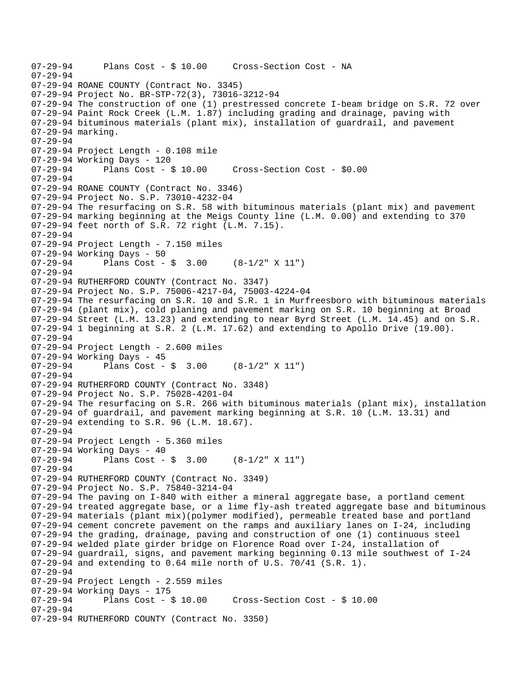```
07-29-94 Plans Cost - $ 10.00 Cross-Section Cost - NA 
07-29-94 
07-29-94 ROANE COUNTY (Contract No. 3345) 
07-29-94 Project No. BR-STP-72(3), 73016-3212-94 
07-29-94 The construction of one (1) prestressed concrete I-beam bridge on S.R. 72 over 
07-29-94 Paint Rock Creek (L.M. 1.87) including grading and drainage, paving with 
07-29-94 bituminous materials (plant mix), installation of guardrail, and pavement 
07-29-94 marking. 
07-29-94 
07-29-94 Project Length - 0.108 mile 
07-29-94 Working Days - 120 
07-29-94 Plans Cost - $ 10.00 Cross-Section Cost - $0.00 
07-29-94 
07-29-94 ROANE COUNTY (Contract No. 3346) 
07-29-94 Project No. S.P. 73010-4232-04 
07-29-94 The resurfacing on S.R. 58 with bituminous materials (plant mix) and pavement 
07-29-94 marking beginning at the Meigs County line (L.M. 0.00) and extending to 370 
07-29-94 feet north of S.R. 72 right (L.M. 7.15). 
07-29-94 
07-29-94 Project Length - 7.150 miles 
07-29-94 Working Days - 50<br>07-29-94 Plans Cost -
              Plans Cost - \sin 3.00 (8-1/2" X 11")
07-29-94 
07-29-94 RUTHERFORD COUNTY (Contract No. 3347) 
07-29-94 Project No. S.P. 75006-4217-04, 75003-4224-04 
07-29-94 The resurfacing on S.R. 10 and S.R. 1 in Murfreesboro with bituminous materials 
07-29-94 (plant mix), cold planing and pavement marking on S.R. 10 beginning at Broad 
07-29-94 Street (L.M. 13.23) and extending to near Byrd Street (L.M. 14.45) and on S.R. 
07-29-94 1 beginning at S.R. 2 (L.M. 17.62) and extending to Apollo Drive (19.00). 
07-29-94 
07-29-94 Project Length - 2.600 miles 
07-29-94 Working Days - 45<br>07-29-94 Plans Cost -
              Plans Cost - \sin 3.00 (8-1/2" X 11")
07-29-94 
07-29-94 RUTHERFORD COUNTY (Contract No. 3348) 
07-29-94 Project No. S.P. 75028-4201-04 
07-29-94 The resurfacing on S.R. 266 with bituminous materials (plant mix), installation 
07-29-94 of guardrail, and pavement marking beginning at S.R. 10 (L.M. 13.31) and 
07-29-94 extending to S.R. 96 (L.M. 18.67). 
07-29-94 
07-29-94 Project Length - 5.360 miles 
07-29-94 Working Days - 40 
07-29-94 Plans Cost - $ 3.00 (8-1/2" \times 11")07-29-94 
07-29-94 RUTHERFORD COUNTY (Contract No. 3349) 
07-29-94 Project No. S.P. 75840-3214-04 
07-29-94 The paving on I-840 with either a mineral aggregate base, a portland cement 
07-29-94 treated aggregate base, or a lime fly-ash treated aggregate base and bituminous 
07-29-94 materials (plant mix)(polymer modified), permeable treated base and portland 
07-29-94 cement concrete pavement on the ramps and auxiliary lanes on I-24, including 
07-29-94 the grading, drainage, paving and construction of one (1) continuous steel 
07-29-94 welded plate girder bridge on Florence Road over I-24, installation of 
07-29-94 guardrail, signs, and pavement marking beginning 0.13 mile southwest of I-24 
07-29-94 and extending to 0.64 mile north of U.S. 70/41 (S.R. 1). 
07-29-94 
07-29-94 Project Length - 2.559 miles 
07-29-94 Working Days - 175 
                                        Cross-Section Cost - $ 10.00 07-29-94 
07-29-94 RUTHERFORD COUNTY (Contract No. 3350)
```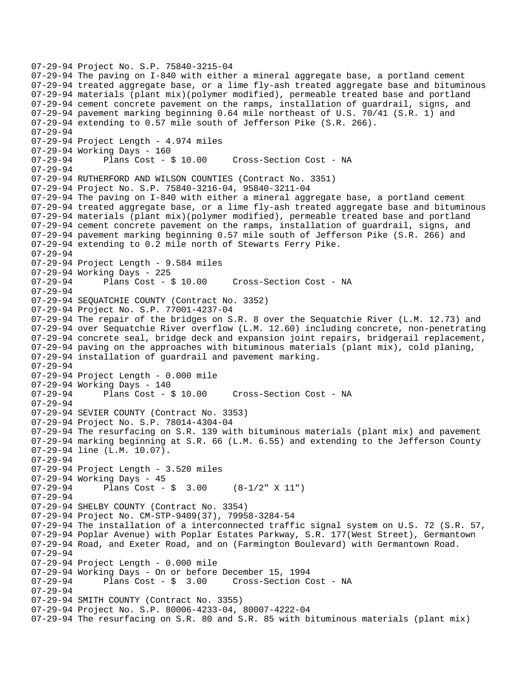```
07-29-94 Project No. S.P. 75840-3215-04 
07-29-94 The paving on I-840 with either a mineral aggregate base, a portland cement 
07-29-94 treated aggregate base, or a lime fly-ash treated aggregate base and bituminous 
07-29-94 materials (plant mix)(polymer modified), permeable treated base and portland 
07-29-94 cement concrete pavement on the ramps, installation of guardrail, signs, and 
07-29-94 pavement marking beginning 0.64 mile northeast of U.S. 70/41 (S.R. 1) and 
07-29-94 extending to 0.57 mile south of Jefferson Pike (S.R. 266). 
07-29-94 
07-29-94 Project Length - 4.974 miles 
07-29-94 Working Days - 160 
07-29-94 Plans Cost - $ 10.00 Cross-Section Cost - NA 
07-29-94 
07-29-94 RUTHERFORD AND WILSON COUNTIES (Contract No. 3351) 
07-29-94 Project No. S.P. 75840-3216-04, 95840-3211-04 
07-29-94 The paving on I-840 with either a mineral aggregate base, a portland cement 
07-29-94 treated aggregate base, or a lime fly-ash treated aggregate base and bituminous 
07-29-94 materials (plant mix)(polymer modified), permeable treated base and portland 
07-29-94 cement concrete pavement on the ramps, installation of guardrail, signs, and 
07-29-94 pavement marking beginning 0.57 mile south of Jefferson Pike (S.R. 266) and 
07-29-94 extending to 0.2 mile north of Stewarts Ferry Pike. 
07-29-94 
07-29-94 Project Length - 9.584 miles 
07-29-94 Working Days - 225 
07-29-94 Plans Cost - $ 10.00 Cross-Section Cost - NA 
07-29-94 
07-29-94 SEQUATCHIE COUNTY (Contract No. 3352) 
07-29-94 Project No. S.P. 77001-4237-04 
07-29-94 The repair of the bridges on S.R. 8 over the Sequatchie River (L.M. 12.73) and 
07-29-94 over Sequatchie River overflow (L.M. 12.60) including concrete, non-penetrating 
07-29-94 concrete seal, bridge deck and expansion joint repairs, bridgerail replacement, 
07-29-94 paving on the approaches with bituminous materials (plant mix), cold planing, 
07-29-94 installation of guardrail and pavement marking. 
07-29-94 
07-29-94 Project Length - 0.000 mile 
07-29-94 Working Days - 140 
07-29-94 Plans Cost - $ 10.00 Cross-Section Cost - NA 
07-29-94 
07-29-94 SEVIER COUNTY (Contract No. 3353) 
07-29-94 Project No. S.P. 78014-4304-04 
07-29-94 The resurfacing on S.R. 139 with bituminous materials (plant mix) and pavement 
07-29-94 marking beginning at S.R. 66 (L.M. 6.55) and extending to the Jefferson County 
07-29-94 line (L.M. 10.07). 
07-29-94 
07-29-94 Project Length - 3.520 miles 
07-29-94 Working Days - 45 
07-29-94 Plans Cost - $ 3.00 (8-1/2" X 11") 
07-29-94 
07-29-94 SHELBY COUNTY (Contract No. 3354) 
07-29-94 Project No. CM-STP-9409(37), 79958-3284-54 
07-29-94 The installation of a interconnected traffic signal system on U.S. 72 (S.R. 57, 
07-29-94 Poplar Avenue) with Poplar Estates Parkway, S.R. 177(West Street), Germantown 
07-29-94 Road, and Exeter Road, and on (Farmington Boulevard) with Germantown Road. 
07-29-94 
07-29-94 Project Length - 0.000 mile 
07-29-94 Working Days - On or before December 15, 1994 
                                       Cross-Section Cost - NA
07-29-94 
07-29-94 SMITH COUNTY (Contract No. 3355) 
07-29-94 Project No. S.P. 80006-4233-04, 80007-4222-04 
07-29-94 The resurfacing on S.R. 80 and S.R. 85 with bituminous materials (plant mix)
```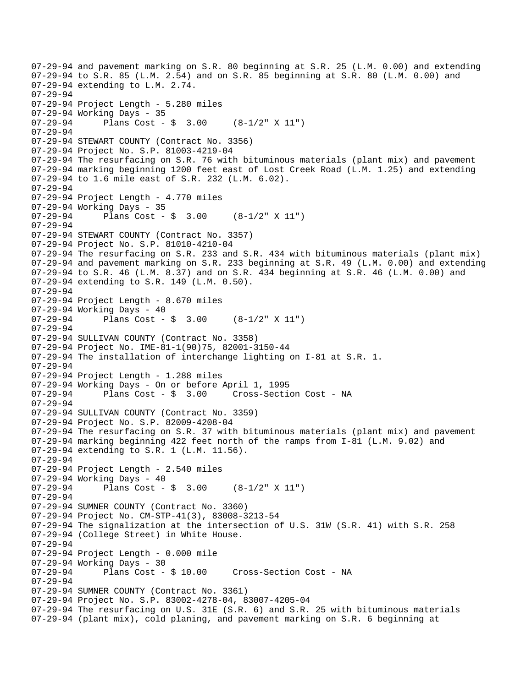07-29-94 and pavement marking on S.R. 80 beginning at S.R. 25 (L.M. 0.00) and extending 07-29-94 to S.R. 85 (L.M. 2.54) and on S.R. 85 beginning at S.R. 80 (L.M. 0.00) and 07-29-94 extending to L.M. 2.74. 07-29-94 07-29-94 Project Length - 5.280 miles 07-29-94 Working Days - 35 07-29-94 Plans Cost - \$ 3.00 (8-1/2" X 11") 07-29-94 07-29-94 STEWART COUNTY (Contract No. 3356) 07-29-94 Project No. S.P. 81003-4219-04 07-29-94 The resurfacing on S.R. 76 with bituminous materials (plant mix) and pavement 07-29-94 marking beginning 1200 feet east of Lost Creek Road (L.M. 1.25) and extending 07-29-94 to 1.6 mile east of S.R. 232 (L.M. 6.02). 07-29-94 07-29-94 Project Length - 4.770 miles 07-29-94 Working Days - 35 07-29-94 Plans Cost - \$ 3.00 (8-1/2" X 11") 07-29-94 07-29-94 STEWART COUNTY (Contract No. 3357) 07-29-94 Project No. S.P. 81010-4210-04 07-29-94 The resurfacing on S.R. 233 and S.R. 434 with bituminous materials (plant mix) 07-29-94 and pavement marking on S.R. 233 beginning at S.R. 49 (L.M. 0.00) and extending 07-29-94 to S.R. 46 (L.M. 8.37) and on S.R. 434 beginning at S.R. 46 (L.M. 0.00) and 07-29-94 extending to S.R. 149 (L.M. 0.50). 07-29-94 07-29-94 Project Length - 8.670 miles 07-29-94 Working Days - 40<br>07-29-94 Plans Cost -Plans Cost -  $\frac{1}{2}$  3.00 (8-1/2" X 11") 07-29-94 07-29-94 SULLIVAN COUNTY (Contract No. 3358) 07-29-94 Project No. IME-81-1(90)75, 82001-3150-44 07-29-94 The installation of interchange lighting on I-81 at S.R. 1. 07-29-94 07-29-94 Project Length - 1.288 miles 07-29-94 Working Days - On or before April 1, 1995 07-29-94 Plans Cost - \$ 3.00 Cross-Section Cost - NA 07-29-94 07-29-94 SULLIVAN COUNTY (Contract No. 3359) 07-29-94 Project No. S.P. 82009-4208-04 07-29-94 The resurfacing on S.R. 37 with bituminous materials (plant mix) and pavement 07-29-94 marking beginning 422 feet north of the ramps from I-81 (L.M. 9.02) and 07-29-94 extending to S.R. 1 (L.M. 11.56). 07-29-94 07-29-94 Project Length - 2.540 miles 07-29-94 Working Days - 40 07-29-94 Plans Cost - \$ 3.00 (8-1/2" X 11") 07-29-94 07-29-94 SUMNER COUNTY (Contract No. 3360) 07-29-94 Project No. CM-STP-41(3), 83008-3213-54 07-29-94 The signalization at the intersection of U.S. 31W (S.R. 41) with S.R. 258 07-29-94 (College Street) in White House. 07-29-94 07-29-94 Project Length - 0.000 mile 07-29-94 Working Days - 30<br>07-29-94 Plans Cost - \$ 10.00 Cross-Section Cost - NA 07-29-94 07-29-94 SUMNER COUNTY (Contract No. 3361) 07-29-94 Project No. S.P. 83002-4278-04, 83007-4205-04 07-29-94 The resurfacing on U.S. 31E (S.R. 6) and S.R. 25 with bituminous materials 07-29-94 (plant mix), cold planing, and pavement marking on S.R. 6 beginning at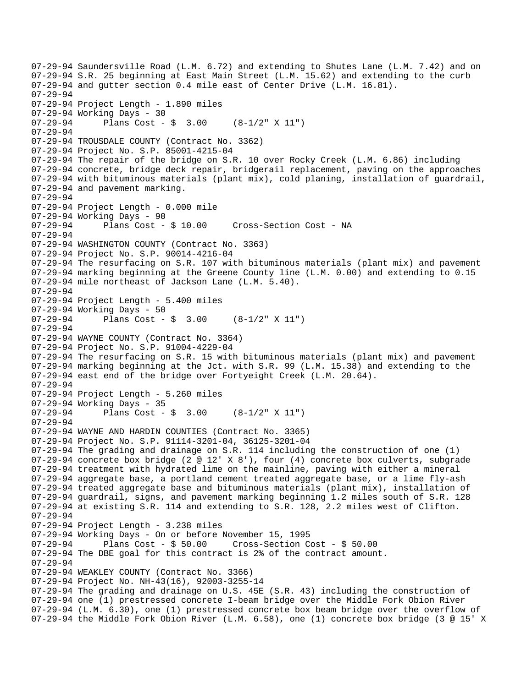07-29-94 Saundersville Road (L.M. 6.72) and extending to Shutes Lane (L.M. 7.42) and on 07-29-94 S.R. 25 beginning at East Main Street (L.M. 15.62) and extending to the curb 07-29-94 and gutter section 0.4 mile east of Center Drive (L.M. 16.81). 07-29-94 07-29-94 Project Length - 1.890 miles 07-29-94 Working Days - 30 07-29-94 Plans Cost - \$ 3.00 (8-1/2" X 11") 07-29-94 07-29-94 TROUSDALE COUNTY (Contract No. 3362) 07-29-94 Project No. S.P. 85001-4215-04 07-29-94 The repair of the bridge on S.R. 10 over Rocky Creek (L.M. 6.86) including 07-29-94 concrete, bridge deck repair, bridgerail replacement, paving on the approaches 07-29-94 with bituminous materials (plant mix), cold planing, installation of guardrail, 07-29-94 and pavement marking. 07-29-94 07-29-94 Project Length - 0.000 mile 07-29-94 Working Days - 90<br>07-29-94 Plans Cost - \$ 10.00 07-29-94 Plans Cost - \$ 10.00 Cross-Section Cost - NA 07-29-94 07-29-94 WASHINGTON COUNTY (Contract No. 3363) 07-29-94 Project No. S.P. 90014-4216-04 07-29-94 The resurfacing on S.R. 107 with bituminous materials (plant mix) and pavement 07-29-94 marking beginning at the Greene County line (L.M. 0.00) and extending to 0.15 07-29-94 mile northeast of Jackson Lane (L.M. 5.40). 07-29-94 07-29-94 Project Length - 5.400 miles 07-29-94 Working Days - 50<br>07-29-94 Plans Cost -Plans Cost -  $\frac{1}{9}$  3.00 (8-1/2" X 11") 07-29-94 07-29-94 WAYNE COUNTY (Contract No. 3364) 07-29-94 Project No. S.P. 91004-4229-04 07-29-94 The resurfacing on S.R. 15 with bituminous materials (plant mix) and pavement 07-29-94 marking beginning at the Jct. with S.R. 99 (L.M. 15.38) and extending to the 07-29-94 east end of the bridge over Fortyeight Creek (L.M. 20.64). 07-29-94 07-29-94 Project Length - 5.260 miles 07-29-94 Working Days - 35 07-29-94 Plans Cost - \$ 3.00 (8-1/2" X 11") 07-29-94 07-29-94 WAYNE AND HARDIN COUNTIES (Contract No. 3365) 07-29-94 Project No. S.P. 91114-3201-04, 36125-3201-04 07-29-94 The grading and drainage on S.R. 114 including the construction of one (1) 07-29-94 concrete box bridge (2  $@ 12' X 8'$ ), four (4) concrete box culverts, subgrade 07-29-94 treatment with hydrated lime on the mainline, paving with either a mineral 07-29-94 aggregate base, a portland cement treated aggregate base, or a lime fly-ash 07-29-94 treated aggregate base and bituminous materials (plant mix), installation of 07-29-94 guardrail, signs, and pavement marking beginning 1.2 miles south of S.R. 128 07-29-94 at existing S.R. 114 and extending to S.R. 128, 2.2 miles west of Clifton. 07-29-94 07-29-94 Project Length - 3.238 miles 07-29-94 Working Days - On or before November 15, 1995 07-29-94 Plans Cost - \$ 50.00 Cross-Section Cost - \$ 50.00 07-29-94 The DBE goal for this contract is 2% of the contract amount. 07-29-94 07-29-94 WEAKLEY COUNTY (Contract No. 3366) 07-29-94 Project No. NH-43(16), 92003-3255-14 07-29-94 The grading and drainage on U.S. 45E (S.R. 43) including the construction of 07-29-94 one (1) prestressed concrete I-beam bridge over the Middle Fork Obion River 07-29-94 (L.M. 6.30), one (1) prestressed concrete box beam bridge over the overflow of 07-29-94 the Middle Fork Obion River (L.M. 6.58), one (1) concrete box bridge (3 @ 15' X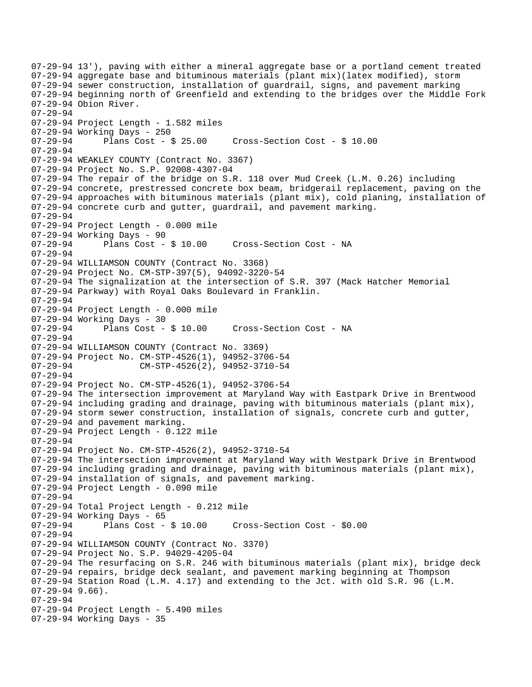```
07-29-94 13'), paving with either a mineral aggregate base or a portland cement treated 
07-29-94 aggregate base and bituminous materials (plant mix)(latex modified), storm 
07-29-94 sewer construction, installation of guardrail, signs, and pavement marking 
07-29-94 beginning north of Greenfield and extending to the bridges over the Middle Fork 
07-29-94 Obion River. 
07-29-94 
07-29-94 Project Length - 1.582 miles 
07-29-94 Working Days - 250 
07-29-94 Plans Cost - $ 25.00 Cross-Section Cost - $ 10.00 
07-29-94 
07-29-94 WEAKLEY COUNTY (Contract No. 3367) 
07-29-94 Project No. S.P. 92008-4307-04 
07-29-94 The repair of the bridge on S.R. 118 over Mud Creek (L.M. 0.26) including 
07-29-94 concrete, prestressed concrete box beam, bridgerail replacement, paving on the 
07-29-94 approaches with bituminous materials (plant mix), cold planing, installation of 
07-29-94 concrete curb and gutter, guardrail, and pavement marking. 
07-29-94 
07-29-94 Project Length - 0.000 mile 
07-29-94 Working Days - 90 
07-29-94 Plans Cost - $ 10.00 Cross-Section Cost - NA 
07-29-94 
07-29-94 WILLIAMSON COUNTY (Contract No. 3368) 
07-29-94 Project No. CM-STP-397(5), 94092-3220-54 
07-29-94 The signalization at the intersection of S.R. 397 (Mack Hatcher Memorial 
07-29-94 Parkway) with Royal Oaks Boulevard in Franklin. 
07-29-94 
07-29-94 Project Length - 0.000 mile 
07-29-94 Working Days - 30 
07-29-94 Plans Cost - $ 10.00 Cross-Section Cost - NA 
07-29-94 
07-29-94 WILLIAMSON COUNTY (Contract No. 3369) 
07-29-94 Project No. CM-STP-4526(1), 94952-3706-54 
                     CM-STP-4526(2), 94952-3710-54
07-29-94 
07-29-94 Project No. CM-STP-4526(1), 94952-3706-54 
07-29-94 The intersection improvement at Maryland Way with Eastpark Drive in Brentwood 
07-29-94 including grading and drainage, paving with bituminous materials (plant mix), 
07-29-94 storm sewer construction, installation of signals, concrete curb and gutter, 
07-29-94 and pavement marking. 
07-29-94 Project Length - 0.122 mile 
07-29-94 
07-29-94 Project No. CM-STP-4526(2), 94952-3710-54 
07-29-94 The intersection improvement at Maryland Way with Westpark Drive in Brentwood 
07-29-94 including grading and drainage, paving with bituminous materials (plant mix), 
07-29-94 installation of signals, and pavement marking. 
07-29-94 Project Length - 0.090 mile 
07-29-94 
07-29-94 Total Project Length - 0.212 mile 
07-29-94 Working Days - 65<br>07-29-94 Plans Cost - $ 10.00
                                       Cross-Section Cost - $0.00
07-29-94 
07-29-94 WILLIAMSON COUNTY (Contract No. 3370) 
07-29-94 Project No. S.P. 94029-4205-04 
07-29-94 The resurfacing on S.R. 246 with bituminous materials (plant mix), bridge deck 
07-29-94 repairs, bridge deck sealant, and pavement marking beginning at Thompson 
07-29-94 Station Road (L.M. 4.17) and extending to the Jct. with old S.R. 96 (L.M. 
07-29-94 9.66).
07-29-94 
07-29-94 Project Length - 5.490 miles 
07-29-94 Working Days - 35
```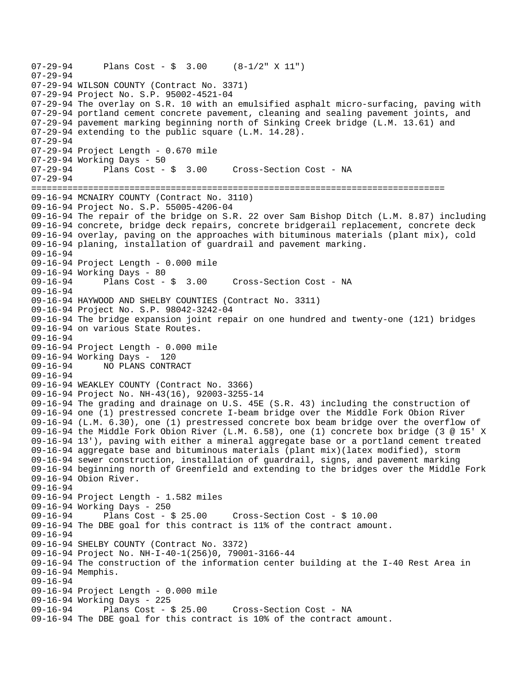```
07-29-94 Plans Cost - $ 3.00 (8-1/2" X 11") 
07-29-94 
07-29-94 WILSON COUNTY (Contract No. 3371) 
07-29-94 Project No. S.P. 95002-4521-04 
07-29-94 The overlay on S.R. 10 with an emulsified asphalt micro-surfacing, paving with 
07-29-94 portland cement concrete pavement, cleaning and sealing pavement joints, and 
07-29-94 pavement marking beginning north of Sinking Creek bridge (L.M. 13.61) and 
07-29-94 extending to the public square (L.M. 14.28). 
07-29-94 
07-29-94 Project Length - 0.670 mile 
07-29-94 Working Days - 50 
07-29-94 Plans Cost - $ 3.00 Cross-Section Cost - NA 
07-29-94 
================================================================================ 
09-16-94 MCNAIRY COUNTY (Contract No. 3110) 
09-16-94 Project No. S.P. 55005-4206-04 
09-16-94 The repair of the bridge on S.R. 22 over Sam Bishop Ditch (L.M. 8.87) including 
09-16-94 concrete, bridge deck repairs, concrete bridgerail replacement, concrete deck 
09-16-94 overlay, paving on the approaches with bituminous materials (plant mix), cold 
09-16-94 planing, installation of guardrail and pavement marking. 
09-16-94 
09-16-94 Project Length - 0.000 mile 
09-16-94 Working Days - 80 
09-16-94 Plans Cost - $ 3.00 Cross-Section Cost - NA 
09-16-94 
09-16-94 HAYWOOD AND SHELBY COUNTIES (Contract No. 3311) 
09-16-94 Project No. S.P. 98042-3242-04 
09-16-94 The bridge expansion joint repair on one hundred and twenty-one (121) bridges 
09-16-94 on various State Routes. 
09-16-94 
09-16-94 Project Length - 0.000 mile 
09-16-94 Working Days - 120<br>09-16-94 NO PLANS CONTR
              09-16-94 NO PLANS CONTRACT 
09-16-94 
09-16-94 WEAKLEY COUNTY (Contract No. 3366) 
09-16-94 Project No. NH-43(16), 92003-3255-14 
09-16-94 The grading and drainage on U.S. 45E (S.R. 43) including the construction of 
09-16-94 one (1) prestressed concrete I-beam bridge over the Middle Fork Obion River 
09-16-94 (L.M. 6.30), one (1) prestressed concrete box beam bridge over the overflow of 
09-16-94 the Middle Fork Obion River (L.M. 6.58), one (1) concrete box bridge (3 @ 15' X 
09-16-94 13'), paving with either a mineral aggregate base or a portland cement treated 
09-16-94 aggregate base and bituminous materials (plant mix)(latex modified), storm 
09-16-94 sewer construction, installation of guardrail, signs, and pavement marking 
09-16-94 beginning north of Greenfield and extending to the bridges over the Middle Fork 
09-16-94 Obion River. 
09-16-94 
09-16-94 Project Length - 1.582 miles 
09-16-94 Working Days - 250 
                                      Cross-Section Cost - $ 10.0009-16-94 The DBE goal for this contract is 11% of the contract amount. 
09-16-94 
09-16-94 SHELBY COUNTY (Contract No. 3372) 
09-16-94 Project No. NH-I-40-1(256)0, 79001-3166-44 
09-16-94 The construction of the information center building at the I-40 Rest Area in 
09-16-94 Memphis. 
09-16-94 
09-16-94 Project Length - 0.000 mile 
09-16-94 Working Days - 225<br>09-16-94 Plans Cost - $ 25.00
                                       Cross-Section Cost - NA
09-16-94 The DBE goal for this contract is 10% of the contract amount.
```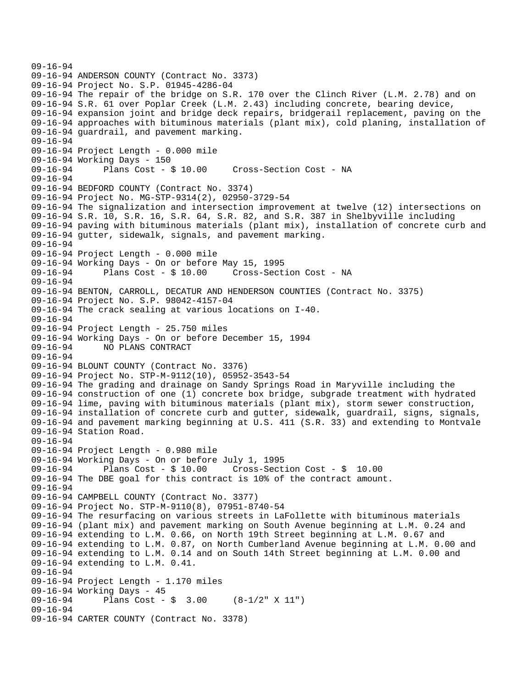```
09-16-94 
09-16-94 ANDERSON COUNTY (Contract No. 3373) 
09-16-94 Project No. S.P. 01945-4286-04 
09-16-94 The repair of the bridge on S.R. 170 over the Clinch River (L.M. 2.78) and on 
09-16-94 S.R. 61 over Poplar Creek (L.M. 2.43) including concrete, bearing device, 
09-16-94 expansion joint and bridge deck repairs, bridgerail replacement, paving on the 
09-16-94 approaches with bituminous materials (plant mix), cold planing, installation of 
09-16-94 guardrail, and pavement marking. 
09-16-94 
09-16-94 Project Length - 0.000 mile 
09-16-94 Working Days - 150 
09-16-94 Plans Cost - $ 10.00 Cross-Section Cost - NA 
09-16-94 
09-16-94 BEDFORD COUNTY (Contract No. 3374) 
09-16-94 Project No. MG-STP-9314(2), 02950-3729-54 
09-16-94 The signalization and intersection improvement at twelve (12) intersections on 
09-16-94 S.R. 10, S.R. 16, S.R. 64, S.R. 82, and S.R. 387 in Shelbyville including 
09-16-94 paving with bituminous materials (plant mix), installation of concrete curb and 
09-16-94 gutter, sidewalk, signals, and pavement marking. 
09-16-94 
09-16-94 Project Length - 0.000 mile 
09-16-94 Working Days - On or before May 15, 1995 
09-16-94 Plans Cost - $ 10.00 Cross-Section Cost - NA 
09-16-94 
09-16-94 BENTON, CARROLL, DECATUR AND HENDERSON COUNTIES (Contract No. 3375) 
09-16-94 Project No. S.P. 98042-4157-04 
09-16-94 The crack sealing at various locations on I-40. 
09-16-94 
09-16-94 Project Length - 25.750 miles 
09-16-94 Working Days - On or before December 15, 1994 
09-16-94 NO PLANS CONTRACT 
09-16-94 
09-16-94 BLOUNT COUNTY (Contract No. 3376) 
09-16-94 Project No. STP-M-9112(10), 05952-3543-54 
09-16-94 The grading and drainage on Sandy Springs Road in Maryville including the 
09-16-94 construction of one (1) concrete box bridge, subgrade treatment with hydrated 
09-16-94 lime, paving with bituminous materials (plant mix), storm sewer construction, 
09-16-94 installation of concrete curb and gutter, sidewalk, guardrail, signs, signals, 
09-16-94 and pavement marking beginning at U.S. 411 (S.R. 33) and extending to Montvale 
09-16-94 Station Road. 
09-16-94 
09-16-94 Project Length - 0.980 mile 
09-16-94 Working Days - On or before July 1, 1995 
09-16-94 Plans Cost - $ 10.00 Cross-Section Cost - $ 10.00 
09-16-94 The DBE goal for this contract is 10% of the contract amount. 
09-16-94 
09-16-94 CAMPBELL COUNTY (Contract No. 3377) 
09-16-94 Project No. STP-M-9110(8), 07951-8740-54 
09-16-94 The resurfacing on various streets in LaFollette with bituminous materials 
09-16-94 (plant mix) and pavement marking on South Avenue beginning at L.M. 0.24 and 
09-16-94 extending to L.M. 0.66, on North 19th Street beginning at L.M. 0.67 and 
09-16-94 extending to L.M. 0.87, on North Cumberland Avenue beginning at L.M. 0.00 and 
09-16-94 extending to L.M. 0.14 and on South 14th Street beginning at L.M. 0.00 and 
09-16-94 extending to L.M. 0.41. 
09-16-94 
09-16-94 Project Length - 1.170 miles 
09-16-94 Working Days - 45<br>09-16-94 Plans Cost -
              Plans Cost - \frac{1}{9} 3.00 (8-1/2" X 11")
09-16-94 
09-16-94 CARTER COUNTY (Contract No. 3378)
```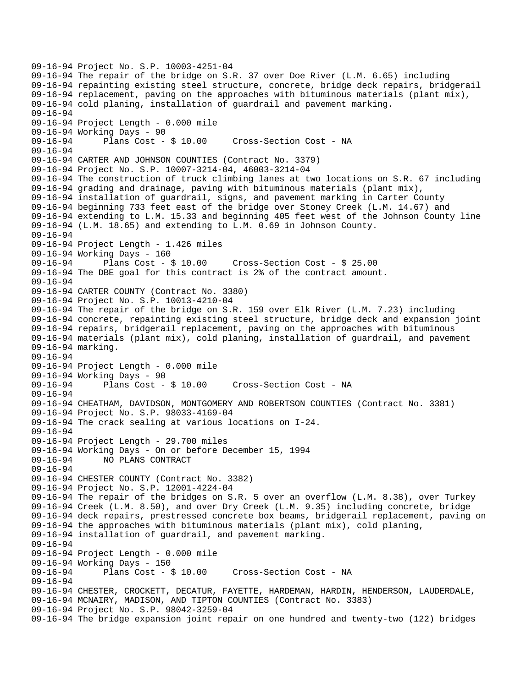09-16-94 Project No. S.P. 10003-4251-04 09-16-94 The repair of the bridge on S.R. 37 over Doe River (L.M. 6.65) including 09-16-94 repainting existing steel structure, concrete, bridge deck repairs, bridgerail 09-16-94 replacement, paving on the approaches with bituminous materials (plant mix), 09-16-94 cold planing, installation of guardrail and pavement marking. 09-16-94 09-16-94 Project Length - 0.000 mile 09-16-94 Working Days - 90 09-16-94 Plans Cost - \$ 10.00 Cross-Section Cost - NA 09-16-94 09-16-94 CARTER AND JOHNSON COUNTIES (Contract No. 3379) 09-16-94 Project No. S.P. 10007-3214-04, 46003-3214-04 09-16-94 The construction of truck climbing lanes at two locations on S.R. 67 including 09-16-94 grading and drainage, paving with bituminous materials (plant mix), 09-16-94 installation of guardrail, signs, and pavement marking in Carter County 09-16-94 beginning 733 feet east of the bridge over Stoney Creek (L.M. 14.67) and 09-16-94 extending to L.M. 15.33 and beginning 405 feet west of the Johnson County line 09-16-94 (L.M. 18.65) and extending to L.M. 0.69 in Johnson County. 09-16-94 09-16-94 Project Length - 1.426 miles 09-16-94 Working Days - 160<br>09-16-94 Plans Cost - \$ 10.00 09-16-94 Plans Cost - \$ 10.00 Cross-Section Cost - \$ 25.00 09-16-94 The DBE goal for this contract is 2% of the contract amount. 09-16-94 09-16-94 CARTER COUNTY (Contract No. 3380) 09-16-94 Project No. S.P. 10013-4210-04 09-16-94 The repair of the bridge on S.R. 159 over Elk River (L.M. 7.23) including 09-16-94 concrete, repainting existing steel structure, bridge deck and expansion joint 09-16-94 repairs, bridgerail replacement, paving on the approaches with bituminous 09-16-94 materials (plant mix), cold planing, installation of guardrail, and pavement 09-16-94 marking. 09-16-94 09-16-94 Project Length - 0.000 mile 09-16-94 Working Days - 90 Cross-Section Cost - NA 09-16-94 09-16-94 CHEATHAM, DAVIDSON, MONTGOMERY AND ROBERTSON COUNTIES (Contract No. 3381) 09-16-94 Project No. S.P. 98033-4169-04 09-16-94 The crack sealing at various locations on I-24. 09-16-94 09-16-94 Project Length - 29.700 miles 09-16-94 Working Days - On or before December 15, 1994 09-16-94 NO PLANS CONTRACT 09-16-94 09-16-94 CHESTER COUNTY (Contract No. 3382) 09-16-94 Project No. S.P. 12001-4224-04 09-16-94 The repair of the bridges on S.R. 5 over an overflow (L.M. 8.38), over Turkey 09-16-94 Creek (L.M. 8.50), and over Dry Creek (L.M. 9.35) including concrete, bridge 09-16-94 deck repairs, prestressed concrete box beams, bridgerail replacement, paving on 09-16-94 the approaches with bituminous materials (plant mix), cold planing, 09-16-94 installation of guardrail, and pavement marking. 09-16-94 09-16-94 Project Length - 0.000 mile 09-16-94 Working Days - 150<br>09-16-94 Plans Cost - \$ 10.00 09-16-94 Plans Cost - \$ 10.00 Cross-Section Cost - NA 09-16-94 09-16-94 CHESTER, CROCKETT, DECATUR, FAYETTE, HARDEMAN, HARDIN, HENDERSON, LAUDERDALE, 09-16-94 MCNAIRY, MADISON, AND TIPTON COUNTIES (Contract No. 3383) 09-16-94 Project No. S.P. 98042-3259-04 09-16-94 The bridge expansion joint repair on one hundred and twenty-two (122) bridges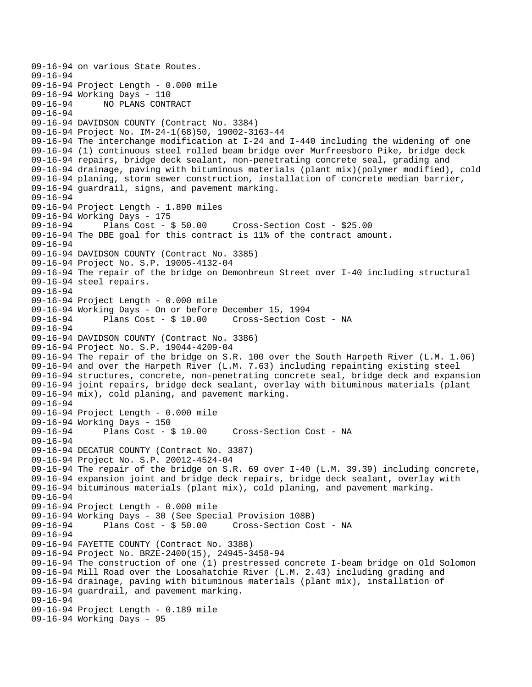09-16-94 on various State Routes. 09-16-94 09-16-94 Project Length - 0.000 mile 09-16-94 Working Days - 110<br>09-16-94 NO PLANS CONT 09-16-94 NO PLANS CONTRACT 09-16-94 09-16-94 DAVIDSON COUNTY (Contract No. 3384) 09-16-94 Project No. IM-24-1(68)50, 19002-3163-44 09-16-94 The interchange modification at I-24 and I-440 including the widening of one 09-16-94 (1) continuous steel rolled beam bridge over Murfreesboro Pike, bridge deck 09-16-94 repairs, bridge deck sealant, non-penetrating concrete seal, grading and 09-16-94 drainage, paving with bituminous materials (plant mix)(polymer modified), cold 09-16-94 planing, storm sewer construction, installation of concrete median barrier, 09-16-94 guardrail, signs, and pavement marking. 09-16-94 09-16-94 Project Length - 1.890 miles 09-16-94 Working Days - 175 09-16-94 Plans Cost - \$ 50.00 Cross-Section Cost - \$25.00 09-16-94 The DBE goal for this contract is 11% of the contract amount. 09-16-94 09-16-94 DAVIDSON COUNTY (Contract No. 3385) 09-16-94 Project No. S.P. 19005-4132-04 09-16-94 The repair of the bridge on Demonbreun Street over I-40 including structural 09-16-94 steel repairs. 09-16-94 09-16-94 Project Length - 0.000 mile 09-16-94 Working Days - On or before December 15, 1994 09-16-94 Plans Cost - \$ 10.00 Cross-Section Cost - NA 09-16-94 09-16-94 DAVIDSON COUNTY (Contract No. 3386) 09-16-94 Project No. S.P. 19044-4209-04 09-16-94 The repair of the bridge on S.R. 100 over the South Harpeth River (L.M. 1.06) 09-16-94 and over the Harpeth River (L.M. 7.63) including repainting existing steel 09-16-94 structures, concrete, non-penetrating concrete seal, bridge deck and expansion 09-16-94 joint repairs, bridge deck sealant, overlay with bituminous materials (plant 09-16-94 mix), cold planing, and pavement marking. 09-16-94 09-16-94 Project Length - 0.000 mile 09-16-94 Working Days - 150 09-16-94 Plans Cost - \$ 10.00 Cross-Section Cost - NA 09-16-94 09-16-94 DECATUR COUNTY (Contract No. 3387) 09-16-94 Project No. S.P. 20012-4524-04 09-16-94 The repair of the bridge on S.R. 69 over I-40 (L.M. 39.39) including concrete, 09-16-94 expansion joint and bridge deck repairs, bridge deck sealant, overlay with 09-16-94 bituminous materials (plant mix), cold planing, and pavement marking. 09-16-94 09-16-94 Project Length - 0.000 mile 09-16-94 Working Days - 30 (See Special Provision 108B) 09-16-94 Plans Cost - \$ 50.00 Cross-Section Cost - NA 09-16-94 09-16-94 FAYETTE COUNTY (Contract No. 3388) 09-16-94 Project No. BRZE-2400(15), 24945-3458-94 09-16-94 The construction of one (1) prestressed concrete I-beam bridge on Old Solomon 09-16-94 Mill Road over the Loosahatchie River (L.M. 2.43) including grading and 09-16-94 drainage, paving with bituminous materials (plant mix), installation of 09-16-94 guardrail, and pavement marking. 09-16-94 09-16-94 Project Length - 0.189 mile 09-16-94 Working Days - 95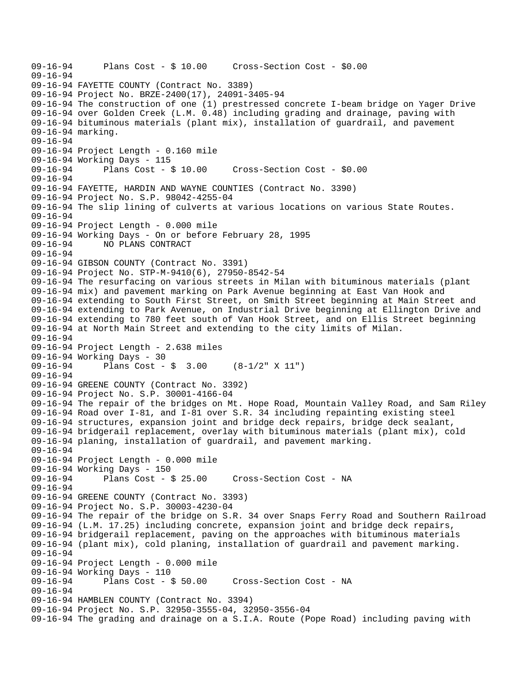```
09-16-94 Plans Cost - $ 10.00 Cross-Section Cost - $0.00 
09-16-94 
09-16-94 FAYETTE COUNTY (Contract No. 3389) 
09-16-94 Project No. BRZE-2400(17), 24091-3405-94 
09-16-94 The construction of one (1) prestressed concrete I-beam bridge on Yager Drive 
09-16-94 over Golden Creek (L.M. 0.48) including grading and drainage, paving with 
09-16-94 bituminous materials (plant mix), installation of guardrail, and pavement 
09-16-94 marking. 
09-16-94 
09-16-94 Project Length - 0.160 mile 
09-16-94 Working Days - 115 
09-16-94 Plans Cost - $ 10.00 Cross-Section Cost - $0.00 
09-16-94 
09-16-94 FAYETTE, HARDIN AND WAYNE COUNTIES (Contract No. 3390) 
09-16-94 Project No. S.P. 98042-4255-04 
09-16-94 The slip lining of culverts at various locations on various State Routes. 
09-16-94 
09-16-94 Project Length - 0.000 mile 
09-16-94 Working Days - On or before February 28, 1995 
09-16-94 NO PLANS CONTRACT 
09-16-94 
09-16-94 GIBSON COUNTY (Contract No. 3391) 
09-16-94 Project No. STP-M-9410(6), 27950-8542-54 
09-16-94 The resurfacing on various streets in Milan with bituminous materials (plant 
09-16-94 mix) and pavement marking on Park Avenue beginning at East Van Hook and 
09-16-94 extending to South First Street, on Smith Street beginning at Main Street and 
09-16-94 extending to Park Avenue, on Industrial Drive beginning at Ellington Drive and 
09-16-94 extending to 780 feet south of Van Hook Street, and on Ellis Street beginning 
09-16-94 at North Main Street and extending to the city limits of Milan. 
09-16-94 
09-16-94 Project Length - 2.638 miles 
09-16-94 Working Days - 30<br>09-16-94 Plans Cost -
              Plans Cost - \sin 3.00 (8-1/2" X 11")
09-16-94 
09-16-94 GREENE COUNTY (Contract No. 3392) 
09-16-94 Project No. S.P. 30001-4166-04 
09-16-94 The repair of the bridges on Mt. Hope Road, Mountain Valley Road, and Sam Riley 
09-16-94 Road over I-81, and I-81 over S.R. 34 including repainting existing steel 
09-16-94 structures, expansion joint and bridge deck repairs, bridge deck sealant, 
09-16-94 bridgerail replacement, overlay with bituminous materials (plant mix), cold 
09-16-94 planing, installation of guardrail, and pavement marking. 
09-16-94 
09-16-94 Project Length - 0.000 mile 
09-16-94 Working Days - 150 
09-16-94 Plans Cost - $ 25.00 Cross-Section Cost - NA 
09-16-94 
09-16-94 GREENE COUNTY (Contract No. 3393) 
09-16-94 Project No. S.P. 30003-4230-04 
09-16-94 The repair of the bridge on S.R. 34 over Snaps Ferry Road and Southern Railroad 
09-16-94 (L.M. 17.25) including concrete, expansion joint and bridge deck repairs, 
09-16-94 bridgerail replacement, paving on the approaches with bituminous materials 
09-16-94 (plant mix), cold planing, installation of guardrail and pavement marking. 
09-16-94 
09-16-94 Project Length - 0.000 mile 
09-16-94 Working Days - 110<br>09-16-94 Plans Cost - $ 50.00
09-16-94 Plans Cost - $ 50.00 Cross-Section Cost - NA 
09-16-94 
09-16-94 HAMBLEN COUNTY (Contract No. 3394) 
09-16-94 Project No. S.P. 32950-3555-04, 32950-3556-04 
09-16-94 The grading and drainage on a S.I.A. Route (Pope Road) including paving with
```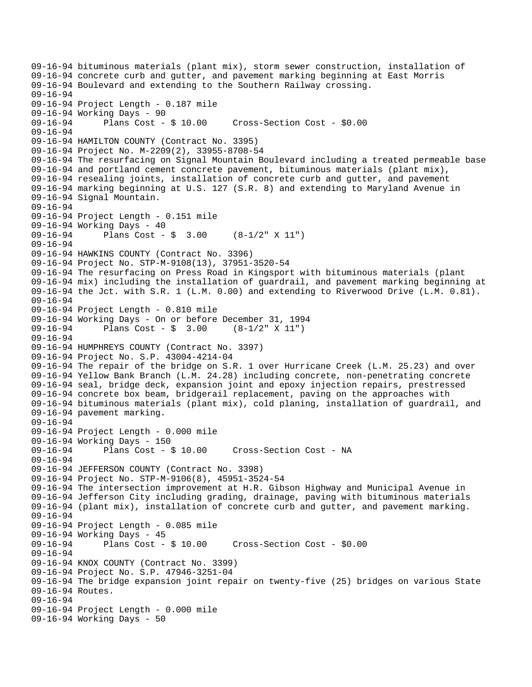```
09-16-94 bituminous materials (plant mix), storm sewer construction, installation of 
09-16-94 concrete curb and gutter, and pavement marking beginning at East Morris 
09-16-94 Boulevard and extending to the Southern Railway crossing. 
09-16-94 
09-16-94 Project Length - 0.187 mile 
09-16-94 Working Days - 90<br>09-16-94 Plans Cost - $ 10.00
09-16-94 Plans Cost - $ 10.00 Cross-Section Cost - $0.00 
09-16-94 
09-16-94 HAMILTON COUNTY (Contract No. 3395) 
09-16-94 Project No. M-2209(2), 33955-8708-54 
09-16-94 The resurfacing on Signal Mountain Boulevard including a treated permeable base 
09-16-94 and portland cement concrete pavement, bituminous materials (plant mix), 
09-16-94 resealing joints, installation of concrete curb and gutter, and pavement 
09-16-94 marking beginning at U.S. 127 (S.R. 8) and extending to Maryland Avenue in 
09-16-94 Signal Mountain. 
09-16-94 
09-16-94 Project Length - 0.151 mile 
09-16-94 Working Days - 40 
09-16-94 Plans Cost - $ 3.00 (8-1/2" X 11") 
09-16-94 
09-16-94 HAWKINS COUNTY (Contract No. 3396) 
09-16-94 Project No. STP-M-9108(13), 37951-3520-54 
09-16-94 The resurfacing on Press Road in Kingsport with bituminous materials (plant 
09-16-94 mix) including the installation of guardrail, and pavement marking beginning at 
09-16-94 the Jct. with S.R. 1 (L.M. 0.00) and extending to Riverwood Drive (L.M. 0.81). 
09-16-94 
09-16-94 Project Length - 0.810 mile 
09-16-94 Working Days - On or before December 31, 1994 
09-16-94 Plans Cost - $ 3.00 (8-1/2" X 11") 
09-16-94 
09-16-94 HUMPHREYS COUNTY (Contract No. 3397) 
09-16-94 Project No. S.P. 43004-4214-04 
09-16-94 The repair of the bridge on S.R. 1 over Hurricane Creek (L.M. 25.23) and over 
09-16-94 Yellow Bank Branch (L.M. 24.28) including concrete, non-penetrating concrete 
09-16-94 seal, bridge deck, expansion joint and epoxy injection repairs, prestressed 
09-16-94 concrete box beam, bridgerail replacement, paving on the approaches with 
09-16-94 bituminous materials (plant mix), cold planing, installation of guardrail, and 
09-16-94 pavement marking. 
09-16-94 
09-16-94 Project Length - 0.000 mile 
09-16-94 Working Days - 150 
09-16-94 Plans Cost - $ 10.00 Cross-Section Cost - NA 
09-16-94 
09-16-94 JEFFERSON COUNTY (Contract No. 3398) 
09-16-94 Project No. STP-M-9106(8), 45951-3524-54 
09-16-94 The intersection improvement at H.R. Gibson Highway and Municipal Avenue in 
09-16-94 Jefferson City including grading, drainage, paving with bituminous materials 
09-16-94 (plant mix), installation of concrete curb and gutter, and pavement marking. 
09-16-94 
09-16-94 Project Length - 0.085 mile 
09-16-94 Working Days - 45 
09-16-94 Plans Cost - $ 10.00 Cross-Section Cost - $0.00 
09-16-94 
09-16-94 KNOX COUNTY (Contract No. 3399) 
09-16-94 Project No. S.P. 47946-3251-04 
09-16-94 The bridge expansion joint repair on twenty-five (25) bridges on various State 
09-16-94 Routes. 
09-16-94 
09-16-94 Project Length - 0.000 mile 
09-16-94 Working Days - 50
```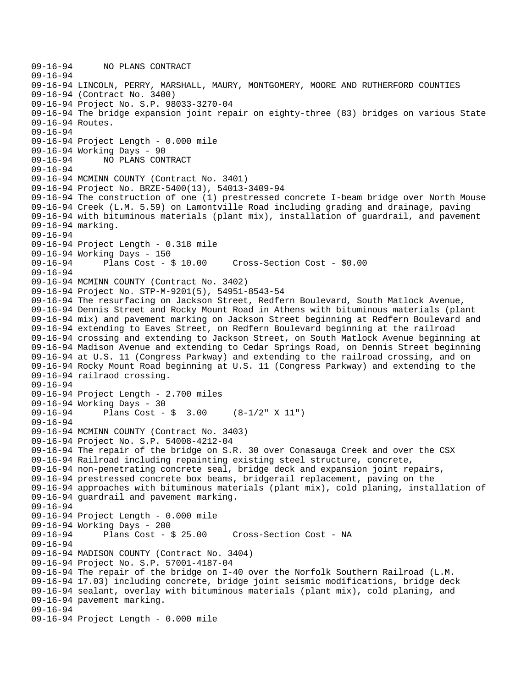```
09-16-94 NO PLANS CONTRACT 
09-16-94 
09-16-94 LINCOLN, PERRY, MARSHALL, MAURY, MONTGOMERY, MOORE AND RUTHERFORD COUNTIES 
09-16-94 (Contract No. 3400) 
09-16-94 Project No. S.P. 98033-3270-04 
09-16-94 The bridge expansion joint repair on eighty-three (83) bridges on various State 
09-16-94 Routes. 
09-16-94 
09-16-94 Project Length - 0.000 mile 
09-16-94 Working Days - 90 
09-16-94 NO PLANS CONTRACT 
09-16-94 
09-16-94 MCMINN COUNTY (Contract No. 3401) 
09-16-94 Project No. BRZE-5400(13), 54013-3409-94 
09-16-94 The construction of one (1) prestressed concrete I-beam bridge over North Mouse 
09-16-94 Creek (L.M. 5.59) on Lamontville Road including grading and drainage, paving 
09-16-94 with bituminous materials (plant mix), installation of guardrail, and pavement 
09-16-94 marking. 
09-16-94 
09-16-94 Project Length - 0.318 mile 
09-16-94 Working Days - 150<br>09-16-94 Plans Cost - $ 10.00
09-16-94 Plans Cost - $ 10.00 Cross-Section Cost - $0.00 
09-16-94 
09-16-94 MCMINN COUNTY (Contract No. 3402) 
09-16-94 Project No. STP-M-9201(5), 54951-8543-54 
09-16-94 The resurfacing on Jackson Street, Redfern Boulevard, South Matlock Avenue, 
09-16-94 Dennis Street and Rocky Mount Road in Athens with bituminous materials (plant 
09-16-94 mix) and pavement marking on Jackson Street beginning at Redfern Boulevard and 
09-16-94 extending to Eaves Street, on Redfern Boulevard beginning at the railroad 
09-16-94 crossing and extending to Jackson Street, on South Matlock Avenue beginning at 
09-16-94 Madison Avenue and extending to Cedar Springs Road, on Dennis Street beginning 
09-16-94 at U.S. 11 (Congress Parkway) and extending to the railroad crossing, and on 
09-16-94 Rocky Mount Road beginning at U.S. 11 (Congress Parkway) and extending to the 
09-16-94 railraod crossing. 
09-16-94 
09-16-94 Project Length - 2.700 miles 
09-16-94 Working Days - 30 
09-16-94 Plans Cost - $ 3.00 (8-1/2" X 11") 
09-16-94 
09-16-94 MCMINN COUNTY (Contract No. 3403) 
09-16-94 Project No. S.P. 54008-4212-04 
09-16-94 The repair of the bridge on S.R. 30 over Conasauga Creek and over the CSX 
09-16-94 Railroad including repainting existing steel structure, concrete, 
09-16-94 non-penetrating concrete seal, bridge deck and expansion joint repairs, 
09-16-94 prestressed concrete box beams, bridgerail replacement, paving on the 
09-16-94 approaches with bituminous materials (plant mix), cold planing, installation of 
09-16-94 guardrail and pavement marking. 
09-16-94 
09-16-94 Project Length - 0.000 mile 
09-16-94 Working Days - 200<br>09-16-94 Plans Cost - 8
              Plans Cost - $ 25.00 Cross-Section Cost - NA
09-16-94 
09-16-94 MADISON COUNTY (Contract No. 3404) 
09-16-94 Project No. S.P. 57001-4187-04 
09-16-94 The repair of the bridge on I-40 over the Norfolk Southern Railroad (L.M. 
09-16-94 17.03) including concrete, bridge joint seismic modifications, bridge deck 
09-16-94 sealant, overlay with bituminous materials (plant mix), cold planing, and 
09-16-94 pavement marking. 
09-16-94 
09-16-94 Project Length - 0.000 mile
```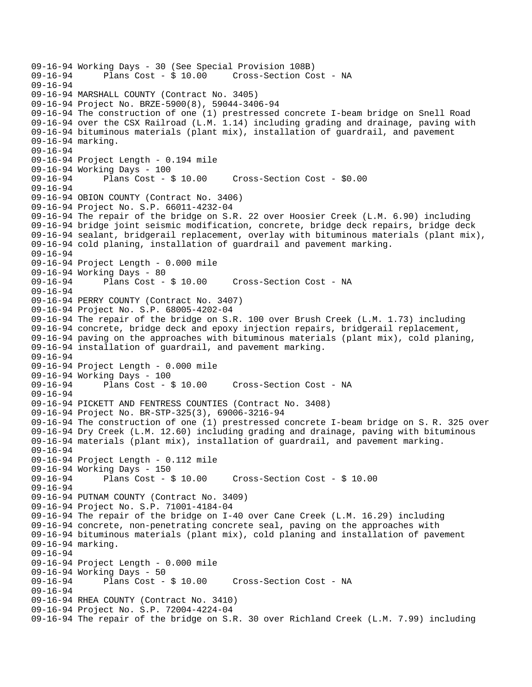09-16-94 Working Days - 30 (See Special Provision 108B) Cross-Section Cost - NA 09-16-94 09-16-94 MARSHALL COUNTY (Contract No. 3405) 09-16-94 Project No. BRZE-5900(8), 59044-3406-94 09-16-94 The construction of one (1) prestressed concrete I-beam bridge on Snell Road 09-16-94 over the CSX Railroad (L.M. 1.14) including grading and drainage, paving with 09-16-94 bituminous materials (plant mix), installation of guardrail, and pavement 09-16-94 marking. 09-16-94 09-16-94 Project Length - 0.194 mile 09-16-94 Working Days - 100<br>09-16-94 Plans Cost - \$ 10.00 09-16-94 Plans Cost - \$ 10.00 Cross-Section Cost - \$0.00 09-16-94 09-16-94 OBION COUNTY (Contract No. 3406) 09-16-94 Project No. S.P. 66011-4232-04 09-16-94 The repair of the bridge on S.R. 22 over Hoosier Creek (L.M. 6.90) including 09-16-94 bridge joint seismic modification, concrete, bridge deck repairs, bridge deck 09-16-94 sealant, bridgerail replacement, overlay with bituminous materials (plant mix), 09-16-94 cold planing, installation of guardrail and pavement marking. 09-16-94 09-16-94 Project Length - 0.000 mile 09-16-94 Working Days - 80 09-16-94 Plans Cost - \$ 10.00 Cross-Section Cost - NA 09-16-94 09-16-94 PERRY COUNTY (Contract No. 3407) 09-16-94 Project No. S.P. 68005-4202-04 09-16-94 The repair of the bridge on S.R. 100 over Brush Creek (L.M. 1.73) including 09-16-94 concrete, bridge deck and epoxy injection repairs, bridgerail replacement, 09-16-94 paving on the approaches with bituminous materials (plant mix), cold planing, 09-16-94 installation of guardrail, and pavement marking. 09-16-94 09-16-94 Project Length - 0.000 mile 09-16-94 Working Days - 100 Plans Cost - \$ 10.00 Cross-Section Cost - NA 09-16-94 09-16-94 PICKETT AND FENTRESS COUNTIES (Contract No. 3408) 09-16-94 Project No. BR-STP-325(3), 69006-3216-94 09-16-94 The construction of one (1) prestressed concrete I-beam bridge on S. R. 325 over 09-16-94 Dry Creek (L.M. 12.60) including grading and drainage, paving with bituminous 09-16-94 materials (plant mix), installation of guardrail, and pavement marking. 09-16-94 09-16-94 Project Length - 0.112 mile 09-16-94 Working Days - 150 09-16-94 Plans Cost - \$ 10.00 Cross-Section Cost - \$ 10.00 09-16-94 09-16-94 PUTNAM COUNTY (Contract No. 3409) 09-16-94 Project No. S.P. 71001-4184-04 09-16-94 The repair of the bridge on I-40 over Cane Creek (L.M. 16.29) including 09-16-94 concrete, non-penetrating concrete seal, paving on the approaches with 09-16-94 bituminous materials (plant mix), cold planing and installation of pavement 09-16-94 marking. 09-16-94 09-16-94 Project Length - 0.000 mile 09-16-94 Working Days - 50<br>09-16-94 Plans Cost - \$ 10.00 09-16-94 Plans Cost - \$ 10.00 Cross-Section Cost - NA 09-16-94 09-16-94 RHEA COUNTY (Contract No. 3410) 09-16-94 Project No. S.P. 72004-4224-04 09-16-94 The repair of the bridge on S.R. 30 over Richland Creek (L.M. 7.99) including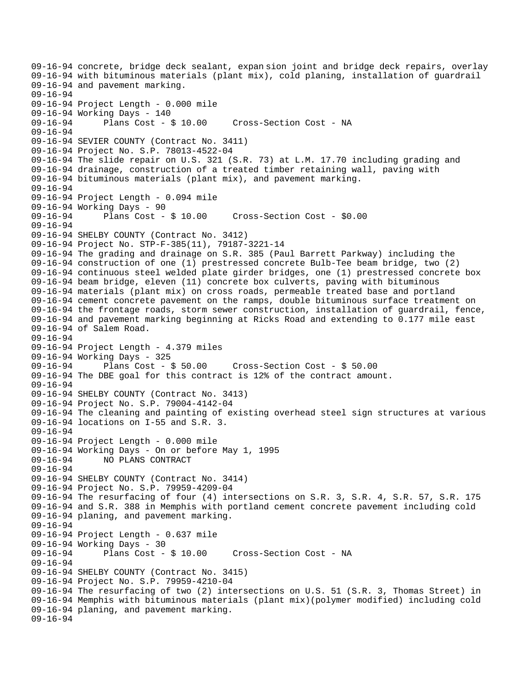09-16-94 concrete, bridge deck sealant, expan sion joint and bridge deck repairs, overlay 09-16-94 with bituminous materials (plant mix), cold planing, installation of guardrail 09-16-94 and pavement marking. 09-16-94 09-16-94 Project Length - 0.000 mile 09-16-94 Working Days - 140<br>09-16-94 Plans Cost - \$ 10.00 09-16-94 Plans Cost - \$ 10.00 Cross-Section Cost - NA 09-16-94 09-16-94 SEVIER COUNTY (Contract No. 3411) 09-16-94 Project No. S.P. 78013-4522-04 09-16-94 The slide repair on U.S. 321 (S.R. 73) at L.M. 17.70 including grading and 09-16-94 drainage, construction of a treated timber retaining wall, paving with 09-16-94 bituminous materials (plant mix), and pavement marking. 09-16-94 09-16-94 Project Length - 0.094 mile 09-16-94 Working Days - 90 09-16-94 Plans Cost - \$ 10.00 Cross-Section Cost - \$0.00 09-16-94 09-16-94 SHELBY COUNTY (Contract No. 3412) 09-16-94 Project No. STP-F-385(11), 79187-3221-14 09-16-94 The grading and drainage on S.R. 385 (Paul Barrett Parkway) including the 09-16-94 construction of one (1) prestressed concrete Bulb-Tee beam bridge, two (2) 09-16-94 continuous steel welded plate girder bridges, one (1) prestressed concrete box 09-16-94 beam bridge, eleven (11) concrete box culverts, paving with bituminous 09-16-94 materials (plant mix) on cross roads, permeable treated base and portland 09-16-94 cement concrete pavement on the ramps, double bituminous surface treatment on 09-16-94 the frontage roads, storm sewer construction, installation of guardrail, fence, 09-16-94 and pavement marking beginning at Ricks Road and extending to 0.177 mile east 09-16-94 of Salem Road. 09-16-94 09-16-94 Project Length - 4.379 miles 09-16-94 Working Days - 325<br>09-16-94 Plans Cost - \$ 50.00 09-16-94 Plans Cost - \$ 50.00 Cross-Section Cost - \$ 50.00 09-16-94 The DBE goal for this contract is 12% of the contract amount. 09-16-94 09-16-94 SHELBY COUNTY (Contract No. 3413) 09-16-94 Project No. S.P. 79004-4142-04 09-16-94 The cleaning and painting of existing overhead steel sign structures at various 09-16-94 locations on I-55 and S.R. 3. 09-16-94 09-16-94 Project Length - 0.000 mile 09-16-94 Working Days - On or before May 1, 1995 09-16-94 NO PLANS CONTRACT 09-16-94 09-16-94 SHELBY COUNTY (Contract No. 3414) 09-16-94 Project No. S.P. 79959-4209-04 09-16-94 The resurfacing of four (4) intersections on S.R. 3, S.R. 4, S.R. 57, S.R. 175 09-16-94 and S.R. 388 in Memphis with portland cement concrete pavement including cold 09-16-94 planing, and pavement marking. 09-16-94 09-16-94 Project Length - 0.637 mile 09-16-94 Working Days - 30 09-16-94 Plans Cost - \$ 10.00 Cross-Section Cost - NA 09-16-94 09-16-94 SHELBY COUNTY (Contract No. 3415) 09-16-94 Project No. S.P. 79959-4210-04 09-16-94 The resurfacing of two (2) intersections on U.S. 51 (S.R. 3, Thomas Street) in 09-16-94 Memphis with bituminous materials (plant mix)(polymer modified) including cold 09-16-94 planing, and pavement marking. 09-16-94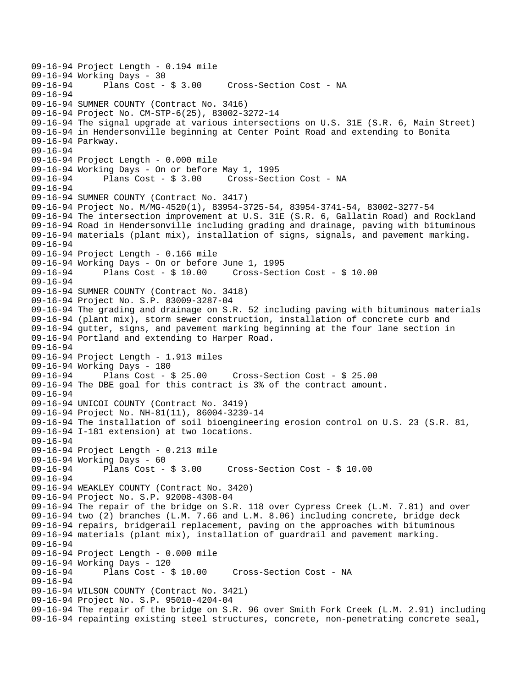09-16-94 Project Length - 0.194 mile 09-16-94 Working Days - 30<br>09-16-94 Plans Cost - \$ 3.00 Cross-Section Cost - NA 09-16-94 09-16-94 SUMNER COUNTY (Contract No. 3416) 09-16-94 Project No. CM-STP-6(25), 83002-3272-14 09-16-94 The signal upgrade at various intersections on U.S. 31E (S.R. 6, Main Street) 09-16-94 in Hendersonville beginning at Center Point Road and extending to Bonita 09-16-94 Parkway. 09-16-94 09-16-94 Project Length - 0.000 mile 09-16-94 Working Days - On or before May 1, 1995 09-16-94 Plans Cost - \$ 3.00 Cross-Section Cost - NA 09-16-94 09-16-94 SUMNER COUNTY (Contract No. 3417) 09-16-94 Project No. M/MG-4520(1), 83954-3725-54, 83954-3741-54, 83002-3277-54 09-16-94 The intersection improvement at U.S. 31E (S.R. 6, Gallatin Road) and Rockland 09-16-94 Road in Hendersonville including grading and drainage, paving with bituminous 09-16-94 materials (plant mix), installation of signs, signals, and pavement marking. 09-16-94 09-16-94 Project Length - 0.166 mile 09-16-94 Working Days - On or before June 1, 1995 09-16-94 Plans Cost - \$ 10.00 Cross-Section Cost - \$ 10.00 09-16-94 09-16-94 SUMNER COUNTY (Contract No. 3418) 09-16-94 Project No. S.P. 83009-3287-04 09-16-94 The grading and drainage on S.R. 52 including paving with bituminous materials 09-16-94 (plant mix), storm sewer construction, installation of concrete curb and 09-16-94 gutter, signs, and pavement marking beginning at the four lane section in 09-16-94 Portland and extending to Harper Road. 09-16-94 09-16-94 Project Length - 1.913 miles 09-16-94 Working Days - 180 09-16-94 Plans Cost - \$ 25.00 Cross-Section Cost - \$ 25.00 09-16-94 The DBE goal for this contract is 3% of the contract amount. 09-16-94 09-16-94 UNICOI COUNTY (Contract No. 3419) 09-16-94 Project No. NH-81(11), 86004-3239-14 09-16-94 The installation of soil bioengineering erosion control on U.S. 23 (S.R. 81, 09-16-94 I-181 extension) at two locations. 09-16-94 09-16-94 Project Length - 0.213 mile 09-16-94 Working Days - 60 09-16-94 Plans Cost - \$ 3.00 Cross-Section Cost - \$ 10.00 09-16-94 09-16-94 WEAKLEY COUNTY (Contract No. 3420) 09-16-94 Project No. S.P. 92008-4308-04 09-16-94 The repair of the bridge on S.R. 118 over Cypress Creek (L.M. 7.81) and over 09-16-94 two (2) branches (L.M. 7.66 and L.M. 8.06) including concrete, bridge deck 09-16-94 repairs, bridgerail replacement, paving on the approaches with bituminous 09-16-94 materials (plant mix), installation of guardrail and pavement marking. 09-16-94 09-16-94 Project Length - 0.000 mile 09-16-94 Working Days - 120<br>09-16-94 Plans Cost - \$ 10.00 09-16-94 Plans Cost - \$ 10.00 Cross-Section Cost - NA 09-16-94 09-16-94 WILSON COUNTY (Contract No. 3421) 09-16-94 Project No. S.P. 95010-4204-04 09-16-94 The repair of the bridge on S.R. 96 over Smith Fork Creek (L.M. 2.91) including 09-16-94 repainting existing steel structures, concrete, non-penetrating concrete seal,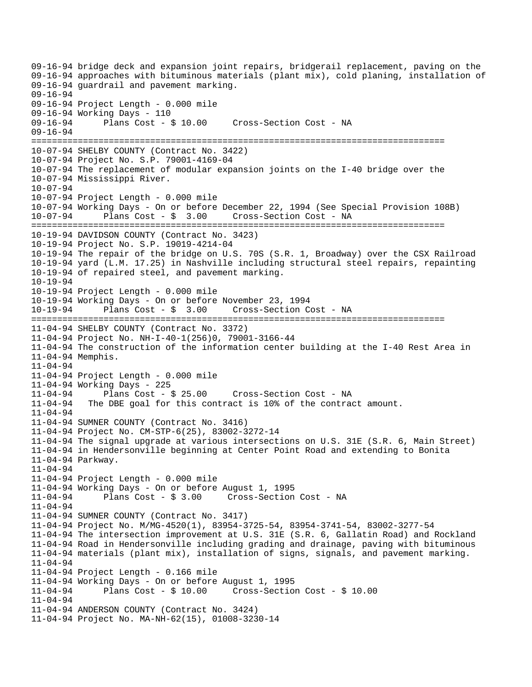09-16-94 bridge deck and expansion joint repairs, bridgerail replacement, paving on the 09-16-94 approaches with bituminous materials (plant mix), cold planing, installation of 09-16-94 guardrail and pavement marking. 09-16-94 09-16-94 Project Length - 0.000 mile 09-16-94 Working Days - 110<br>09-16-94 Plans Cost - \$ 10.00 09-16-94 Plans Cost - \$ 10.00 Cross-Section Cost - NA 09-16-94 ================================================================================ 10-07-94 SHELBY COUNTY (Contract No. 3422) 10-07-94 Project No. S.P. 79001-4169-04 10-07-94 The replacement of modular expansion joints on the I-40 bridge over the 10-07-94 Mississippi River. 10-07-94 10-07-94 Project Length - 0.000 mile 10-07-94 Working Days - On or before December 22, 1994 (See Special Provision 108B) 10-07-94 Plans Cost - \$ 3.00 Cross-Section Cost - NA ================================================================================ 10-19-94 DAVIDSON COUNTY (Contract No. 3423) 10-19-94 Project No. S.P. 19019-4214-04 10-19-94 The repair of the bridge on U.S. 70S (S.R. 1, Broadway) over the CSX Railroad 10-19-94 yard (L.M. 17.25) in Nashville including structural steel repairs, repainting 10-19-94 of repaired steel, and pavement marking. 10-19-94 10-19-94 Project Length - 0.000 mile 10-19-94 Working Days - On or before November 23, 1994 10-19-94 Plans Cost - \$ 3.00 Cross-Section Cost - NA ================================================================================ 11-04-94 SHELBY COUNTY (Contract No. 3372) 11-04-94 Project No. NH-I-40-1(256)0, 79001-3166-44 11-04-94 The construction of the information center building at the I-40 Rest Area in 11-04-94 Memphis. 11-04-94 11-04-94 Project Length - 0.000 mile 11-04-94 Working Days - 225 11-04-94 Plans Cost - \$ 25.00 Cross-Section Cost - NA 11-04-94 The DBE goal for this contract is 10% of the contract amount. 11-04-94 11-04-94 SUMNER COUNTY (Contract No. 3416) 11-04-94 Project No. CM-STP-6(25), 83002-3272-14 11-04-94 The signal upgrade at various intersections on U.S. 31E (S.R. 6, Main Street) 11-04-94 in Hendersonville beginning at Center Point Road and extending to Bonita 11-04-94 Parkway. 11-04-94 11-04-94 Project Length - 0.000 mile 11-04-94 Working Days - On or before August 1, 1995 11-04-94 Plans Cost - \$ 3.00 Cross-Section Cost - NA  $11 - 04 - 94$ 11-04-94 SUMNER COUNTY (Contract No. 3417) 11-04-94 Project No. M/MG-4520(1), 83954-3725-54, 83954-3741-54, 83002-3277-54 11-04-94 The intersection improvement at U.S. 31E (S.R. 6, Gallatin Road) and Rockland 11-04-94 Road in Hendersonville including grading and drainage, paving with bituminous 11-04-94 materials (plant mix), installation of signs, signals, and pavement marking. 11-04-94 11-04-94 Project Length - 0.166 mile 11-04-94 Working Days - On or before August 1, 1995 11-04-94 Plans Cost - \$ 10.00 Cross-Section Cost - \$ 10.00 11-04-94 11-04-94 ANDERSON COUNTY (Contract No. 3424) 11-04-94 Project No. MA-NH-62(15), 01008-3230-14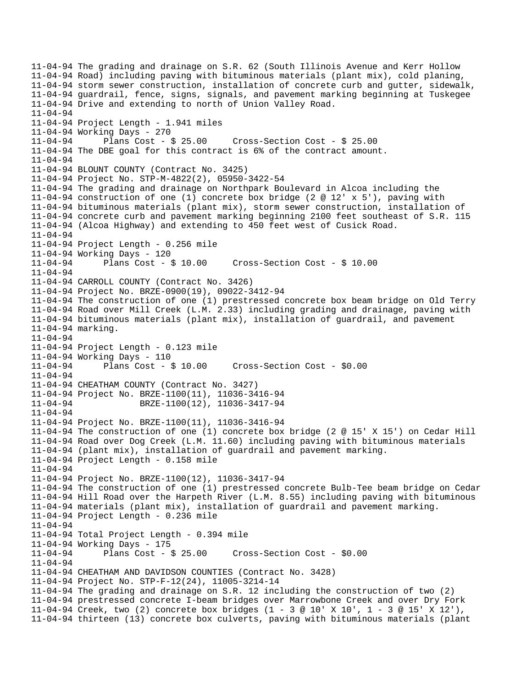11-04-94 The grading and drainage on S.R. 62 (South Illinois Avenue and Kerr Hollow 11-04-94 Road) including paving with bituminous materials (plant mix), cold planing, 11-04-94 storm sewer construction, installation of concrete curb and gutter, sidewalk, 11-04-94 guardrail, fence, signs, signals, and pavement marking beginning at Tuskegee 11-04-94 Drive and extending to north of Union Valley Road. 11-04-94 11-04-94 Project Length - 1.941 miles 11-04-94 Working Days - 270 11-04-94 Plans Cost - \$ 25.00 Cross-Section Cost - \$ 25.00 11-04-94 The DBE goal for this contract is 6% of the contract amount. 11-04-94 11-04-94 BLOUNT COUNTY (Contract No. 3425) 11-04-94 Project No. STP-M-4822(2), 05950-3422-54 11-04-94 The grading and drainage on Northpark Boulevard in Alcoa including the 11-04-94 construction of one (1) concrete box bridge (2 @ 12' x 5'), paving with 11-04-94 bituminous materials (plant mix), storm sewer construction, installation of 11-04-94 concrete curb and pavement marking beginning 2100 feet southeast of S.R. 115 11-04-94 (Alcoa Highway) and extending to 450 feet west of Cusick Road. 11-04-94 11-04-94 Project Length - 0.256 mile 11-04-94 Working Days - 120 11-04-94 Plans Cost - \$ 10.00 Cross-Section Cost - \$ 10.00 11-04-94 11-04-94 CARROLL COUNTY (Contract No. 3426) 11-04-94 Project No. BRZE-0900(19), 09022-3412-94 11-04-94 The construction of one (1) prestressed concrete box beam bridge on Old Terry 11-04-94 Road over Mill Creek (L.M. 2.33) including grading and drainage, paving with 11-04-94 bituminous materials (plant mix), installation of guardrail, and pavement 11-04-94 marking. 11-04-94 11-04-94 Project Length - 0.123 mile 11-04-94 Working Days - 110 Cross-Section Cost - \$0.00 11-04-94 11-04-94 CHEATHAM COUNTY (Contract No. 3427) 11-04-94 Project No. BRZE-1100(11), 11036-3416-94 11-04-94 BRZE-1100(12), 11036-3417-94 11-04-94 11-04-94 Project No. BRZE-1100(11), 11036-3416-94 11-04-94 The construction of one (1) concrete box bridge (2 @ 15' X 15') on Cedar Hill 11-04-94 Road over Dog Creek (L.M. 11.60) including paving with bituminous materials 11-04-94 (plant mix), installation of guardrail and pavement marking. 11-04-94 Project Length - 0.158 mile 11-04-94 11-04-94 Project No. BRZE-1100(12), 11036-3417-94 11-04-94 The construction of one (1) prestressed concrete Bulb-Tee beam bridge on Cedar 11-04-94 Hill Road over the Harpeth River (L.M. 8.55) including paving with bituminous 11-04-94 materials (plant mix), installation of guardrail and pavement marking. 11-04-94 Project Length - 0.236 mile 11-04-94 11-04-94 Total Project Length - 0.394 mile 11-04-94 Working Days - 175 11-04-94 Plans Cost - \$ 25.00 Cross-Section Cost - \$0.00 11-04-94 11-04-94 CHEATHAM AND DAVIDSON COUNTIES (Contract No. 3428) 11-04-94 Project No. STP-F-12(24), 11005-3214-14 11-04-94 The grading and drainage on S.R. 12 including the construction of two (2) 11-04-94 prestressed concrete I-beam bridges over Marrowbone Creek and over Dry Fork 11-04-94 Creek, two (2) concrete box bridges (1 - 3 @ 10' X 10', 1 - 3 @ 15' X 12'), 11-04-94 thirteen (13) concrete box culverts, paving with bituminous materials (plant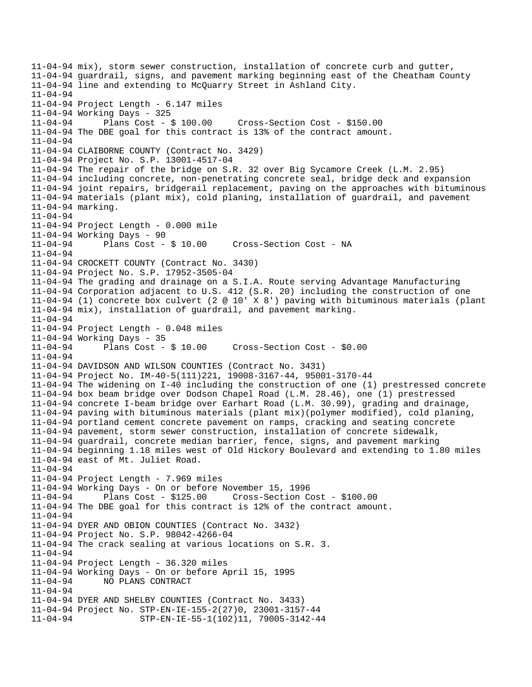```
11-04-94 mix), storm sewer construction, installation of concrete curb and gutter, 
11-04-94 guardrail, signs, and pavement marking beginning east of the Cheatham County 
11-04-94 line and extending to McQuarry Street in Ashland City. 
11-04-94 
11-04-94 Project Length - 6.147 miles 
11-04-94 Working Days - 325 
11-04-94 Plans Cost - $ 100.00 Cross-Section Cost - $150.00 
11-04-94 The DBE goal for this contract is 13% of the contract amount. 
11-04-94 
11-04-94 CLAIBORNE COUNTY (Contract No. 3429) 
11-04-94 Project No. S.P. 13001-4517-04 
11-04-94 The repair of the bridge on S.R. 32 over Big Sycamore Creek (L.M. 2.95) 
11-04-94 including concrete, non-penetrating concrete seal, bridge deck and expansion 
11-04-94 joint repairs, bridgerail replacement, paving on the approaches with bituminous 
11-04-94 materials (plant mix), cold planing, installation of guardrail, and pavement 
11-04-94 marking. 
11-04-94 
11-04-94 Project Length - 0.000 mile 
11-04-94 Working Days - 90 
11-04-94 Plans Cost - $ 10.00 Cross-Section Cost - NA 
11-04-94 
11-04-94 CROCKETT COUNTY (Contract No. 3430) 
11-04-94 Project No. S.P. 17952-3505-04 
11-04-94 The grading and drainage on a S.I.A. Route serving Advantage Manufacturing 
11-04-94 Corporation adjacent to U.S. 412 (S.R. 20) including the construction of one 
11-04-94 (1) concrete box culvert (2 @ 10' X 8') paving with bituminous materials (plant 
11-04-94 mix), installation of guardrail, and pavement marking. 
11-04-94 
11-04-94 Project Length - 0.048 miles 
11-04-94 Working Days - 35<br>11-04-94 Plans Cost - $ 10.00
11-04-94 Plans Cost - $ 10.00 Cross-Section Cost - $0.00 
11-04-94 
11-04-94 DAVIDSON AND WILSON COUNTIES (Contract No. 3431) 
11-04-94 Project No. IM-40-5(111)221, 19008-3167-44, 95001-3170-44 
11-04-94 The widening on I-40 including the construction of one (1) prestressed concrete 
11-04-94 box beam bridge over Dodson Chapel Road (L.M. 28.46), one (1) prestressed 
11-04-94 concrete I-beam bridge over Earhart Road (L.M. 30.99), grading and drainage, 
11-04-94 paving with bituminous materials (plant mix)(polymer modified), cold planing, 
11-04-94 portland cement concrete pavement on ramps, cracking and seating concrete 
11-04-94 pavement, storm sewer construction, installation of concrete sidewalk, 
11-04-94 guardrail, concrete median barrier, fence, signs, and pavement marking 
11-04-94 beginning 1.18 miles west of Old Hickory Boulevard and extending to 1.80 miles 
11-04-94 east of Mt. Juliet Road. 
11-04-94 
11-04-94 Project Length - 7.969 miles 
11-04-94 Working Days - On or before November 15, 1996 
11-04-94 Plans Cost - $125.00 Cross-Section Cost - $100.00 
11-04-94 The DBE goal for this contract is 12% of the contract amount. 
11-04-94 
11-04-94 DYER AND OBION COUNTIES (Contract No. 3432) 
11-04-94 Project No. S.P. 98042-4266-04 
11-04-94 The crack sealing at various locations on S.R. 3. 
11-04-94 
11-04-94 Project Length - 36.320 miles 
11-04-94 Working Days - On or before April 15, 1995 
11-04-94 NO PLANS CONTRACT 
11-04-94 
11-04-94 DYER AND SHELBY COUNTIES (Contract No. 3433) 
11-04-94 Project No. STP-EN-IE-155-2(27)0, 23001-3157-44 
11-04-94 STP-EN-IE-55-1(102)11, 79005-3142-44
```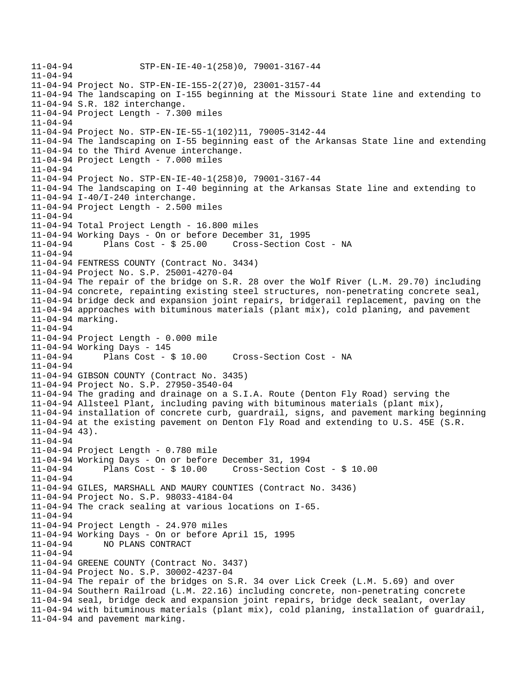```
11-04-94 STP-EN-IE-40-1(258)0, 79001-3167-44 
11-04-94 
11-04-94 Project No. STP-EN-IE-155-2(27)0, 23001-3157-44 
11-04-94 The landscaping on I-155 beginning at the Missouri State line and extending to 
11-04-94 S.R. 182 interchange. 
11-04-94 Project Length - 7.300 miles 
11-04-94 
11-04-94 Project No. STP-EN-IE-55-1(102)11, 79005-3142-44 
11-04-94 The landscaping on I-55 beginning east of the Arkansas State line and extending 
11-04-94 to the Third Avenue interchange. 
11-04-94 Project Length - 7.000 miles 
11-04-94 
11-04-94 Project No. STP-EN-IE-40-1(258)0, 79001-3167-44 
11-04-94 The landscaping on I-40 beginning at the Arkansas State line and extending to 
11-04-94 I-40/I-240 interchange. 
11-04-94 Project Length - 2.500 miles 
11-04-94 
11-04-94 Total Project Length - 16.800 miles 
11-04-94 Working Days - On or before December 31, 1995 
11-04-94 Plans Cost - $ 25.00 Cross-Section Cost - NA 
11-04-94 
11-04-94 FENTRESS COUNTY (Contract No. 3434) 
11-04-94 Project No. S.P. 25001-4270-04 
11-04-94 The repair of the bridge on S.R. 28 over the Wolf River (L.M. 29.70) including 
11-04-94 concrete, repainting existing steel structures, non-penetrating concrete seal, 
11-04-94 bridge deck and expansion joint repairs, bridgerail replacement, paving on the 
11-04-94 approaches with bituminous materials (plant mix), cold planing, and pavement 
11-04-94 marking. 
11-04-94 
11-04-94 Project Length - 0.000 mile 
11-04-94 Working Days - 145 
11-04-94 Plans Cost - $ 10.00 Cross-Section Cost - NA 
11-04-94 
11-04-94 GIBSON COUNTY (Contract No. 3435) 
11-04-94 Project No. S.P. 27950-3540-04 
11-04-94 The grading and drainage on a S.I.A. Route (Denton Fly Road) serving the 
11-04-94 Allsteel Plant, including paving with bituminous materials (plant mix), 
11-04-94 installation of concrete curb, guardrail, signs, and pavement marking beginning 
11-04-94 at the existing pavement on Denton Fly Road and extending to U.S. 45E (S.R. 
11-04-94 43).
11-04-94 
11-04-94 Project Length - 0.780 mile 
11-04-94 Working Days - On or before December 31, 1994 
11-04-94 Plans Cost - $ 10.00 Cross-Section Cost - $ 10.00 
11-04-94 
11-04-94 GILES, MARSHALL AND MAURY COUNTIES (Contract No. 3436) 
11-04-94 Project No. S.P. 98033-4184-04 
11-04-94 The crack sealing at various locations on I-65. 
11-04-94 
11-04-94 Project Length - 24.970 miles 
11-04-94 Working Days - On or before April 15, 1995 
11-04-94 NO PLANS CONTRACT 
11-04-94 
11-04-94 GREENE COUNTY (Contract No. 3437) 
11-04-94 Project No. S.P. 30002-4237-04 
11-04-94 The repair of the bridges on S.R. 34 over Lick Creek (L.M. 5.69) and over 
11-04-94 Southern Railroad (L.M. 22.16) including concrete, non-penetrating concrete 
11-04-94 seal, bridge deck and expansion joint repairs, bridge deck sealant, overlay 
11-04-94 with bituminous materials (plant mix), cold planing, installation of guardrail, 
11-04-94 and pavement marking.
```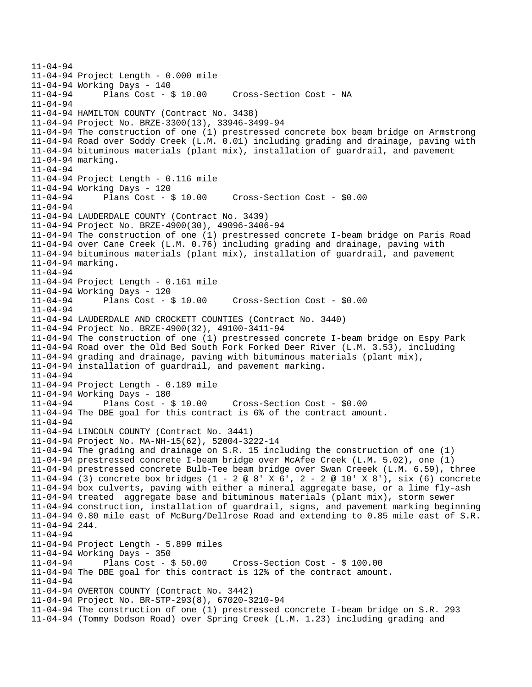```
11-04-94 
11-04-94 Project Length - 0.000 mile 
11-04-94 Working Days - 140 
11-04-94 Plans Cost - $ 10.00 Cross-Section Cost - NA 
11-04-94 
11-04-94 HAMILTON COUNTY (Contract No. 3438) 
11-04-94 Project No. BRZE-3300(13), 33946-3499-94 
11-04-94 The construction of one (1) prestressed concrete box beam bridge on Armstrong 
11-04-94 Road over Soddy Creek (L.M. 0.01) including grading and drainage, paving with 
11-04-94 bituminous materials (plant mix), installation of guardrail, and pavement 
11-04-94 marking. 
11-04-94 
11-04-94 Project Length - 0.116 mile 
11-04-94 Working Days - 120 
11-04-94 Plans Cost - $ 10.00 Cross-Section Cost - $0.00 
11 - 04 - 9411-04-94 LAUDERDALE COUNTY (Contract No. 3439) 
11-04-94 Project No. BRZE-4900(30), 49096-3406-94 
11-04-94 The construction of one (1) prestressed concrete I-beam bridge on Paris Road 
11-04-94 over Cane Creek (L.M. 0.76) including grading and drainage, paving with 
11-04-94 bituminous materials (plant mix), installation of guardrail, and pavement 
11-04-94 marking. 
11-04-94 
11-04-94 Project Length - 0.161 mile 
11-04-94 Working Days - 120 
11-04-94 Plans Cost - $ 10.00 Cross-Section Cost - $0.00 
11-04-94 
11-04-94 LAUDERDALE AND CROCKETT COUNTIES (Contract No. 3440) 
11-04-94 Project No. BRZE-4900(32), 49100-3411-94 
11-04-94 The construction of one (1) prestressed concrete I-beam bridge on Espy Park 
11-04-94 Road over the Old Bed South Fork Forked Deer River (L.M. 3.53), including 
11-04-94 grading and drainage, paving with bituminous materials (plant mix), 
11-04-94 installation of guardrail, and pavement marking. 
11-04-94 
11-04-94 Project Length - 0.189 mile 
11-04-94 Working Days - 180 
11-04-94 Plans Cost - $ 10.00 Cross-Section Cost - $0.00 
11-04-94 The DBE goal for this contract is 6% of the contract amount. 
11-04-94 
11-04-94 LINCOLN COUNTY (Contract No. 3441) 
11-04-94 Project No. MA-NH-15(62), 52004-3222-14 
11-04-94 The grading and drainage on S.R. 15 including the construction of one (1) 
11-04-94 prestressed concrete I-beam bridge over McAfee Creek (L.M. 5.02), one (1) 
11-04-94 prestressed concrete Bulb-Tee beam bridge over Swan Creeek (L.M. 6.59), three 
11-04-94 (3) concrete box bridges (1 - 2 @ 8' X 6', 2 - 2 @ 10' X 8'), six (6) concrete 
11-04-94 box culverts, paving with either a mineral aggregate base, or a lime fly-ash 
11-04-94 treated aggregate base and bituminous materials (plant mix), storm sewer 
11-04-94 construction, installation of guardrail, signs, and pavement marking beginning 
11-04-94 0.80 mile east of McBurg/Dellrose Road and extending to 0.85 mile east of S.R. 
11-04-94 244. 
11-04-94 
11-04-94 Project Length - 5.899 miles 
11-04-94 Working Days - 350 
11-04-94 Plans Cost - $ 50.00 Cross-Section Cost - $ 100.00 
11-04-94 The DBE goal for this contract is 12% of the contract amount. 
11-04-94 
11-04-94 OVERTON COUNTY (Contract No. 3442) 
11-04-94 Project No. BR-STP-293(8), 67020-3210-94 
11-04-94 The construction of one (1) prestressed concrete I-beam bridge on S.R. 293 
11-04-94 (Tommy Dodson Road) over Spring Creek (L.M. 1.23) including grading and
```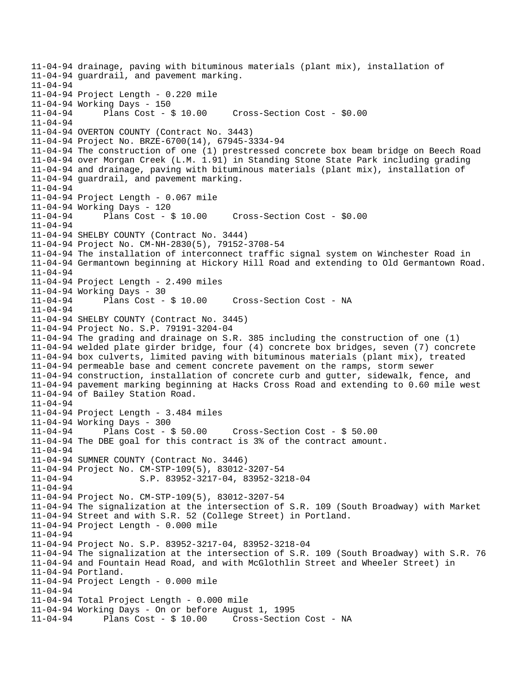11-04-94 drainage, paving with bituminous materials (plant mix), installation of 11-04-94 guardrail, and pavement marking.  $11 - 04 - 94$ 11-04-94 Project Length - 0.220 mile 11-04-94 Working Days - 150 11-04-94 Plans Cost - \$ 10.00 Cross-Section Cost - \$0.00 11-04-94 11-04-94 OVERTON COUNTY (Contract No. 3443) 11-04-94 Project No. BRZE-6700(14), 67945-3334-94 11-04-94 The construction of one (1) prestressed concrete box beam bridge on Beech Road 11-04-94 over Morgan Creek (L.M. 1.91) in Standing Stone State Park including grading 11-04-94 and drainage, paving with bituminous materials (plant mix), installation of 11-04-94 guardrail, and pavement marking. 11-04-94 11-04-94 Project Length - 0.067 mile 11-04-94 Working Days - 120 11-04-94 Plans Cost - \$ 10.00 Cross-Section Cost - \$0.00 11-04-94 11-04-94 SHELBY COUNTY (Contract No. 3444) 11-04-94 Project No. CM-NH-2830(5), 79152-3708-54 11-04-94 The installation of interconnect traffic signal system on Winchester Road in 11-04-94 Germantown beginning at Hickory Hill Road and extending to Old Germantown Road. 11-04-94 11-04-94 Project Length - 2.490 miles 11-04-94 Working Days - 30<br>11-04-94 Plans Cost - \$10.00 11-04-94 Plans Cost - \$ 10.00 Cross-Section Cost - NA 11-04-94 11-04-94 SHELBY COUNTY (Contract No. 3445) 11-04-94 Project No. S.P. 79191-3204-04 11-04-94 The grading and drainage on S.R. 385 including the construction of one (1) 11-04-94 welded plate girder bridge, four (4) concrete box bridges, seven (7) concrete 11-04-94 box culverts, limited paving with bituminous materials (plant mix), treated 11-04-94 permeable base and cement concrete pavement on the ramps, storm sewer 11-04-94 construction, installation of concrete curb and gutter, sidewalk, fence, and 11-04-94 pavement marking beginning at Hacks Cross Road and extending to 0.60 mile west 11-04-94 of Bailey Station Road. 11-04-94 11-04-94 Project Length - 3.484 miles 11-04-94 Working Days - 300 11-04-94 Plans Cost - \$ 50.00 Cross-Section Cost - \$ 50.00 11-04-94 The DBE goal for this contract is 3% of the contract amount. 11-04-94 11-04-94 SUMNER COUNTY (Contract No. 3446) 11-04-94 Project No. CM-STP-109(5), 83012-3207-54 S.P. 83952-3217-04, 83952-3218-04 11-04-94 11-04-94 Project No. CM-STP-109(5), 83012-3207-54 11-04-94 The signalization at the intersection of S.R. 109 (South Broadway) with Market 11-04-94 Street and with S.R. 52 (College Street) in Portland. 11-04-94 Project Length - 0.000 mile 11-04-94 11-04-94 Project No. S.P. 83952-3217-04, 83952-3218-04 11-04-94 The signalization at the intersection of S.R. 109 (South Broadway) with S.R. 76 11-04-94 and Fountain Head Road, and with McGlothlin Street and Wheeler Street) in 11-04-94 Portland. 11-04-94 Project Length - 0.000 mile 11-04-94 11-04-94 Total Project Length - 0.000 mile 11-04-94 Working Days - On or before August 1, 1995 11-04-94 Plans Cost - \$ 10.00 Cross-Section Cost - NA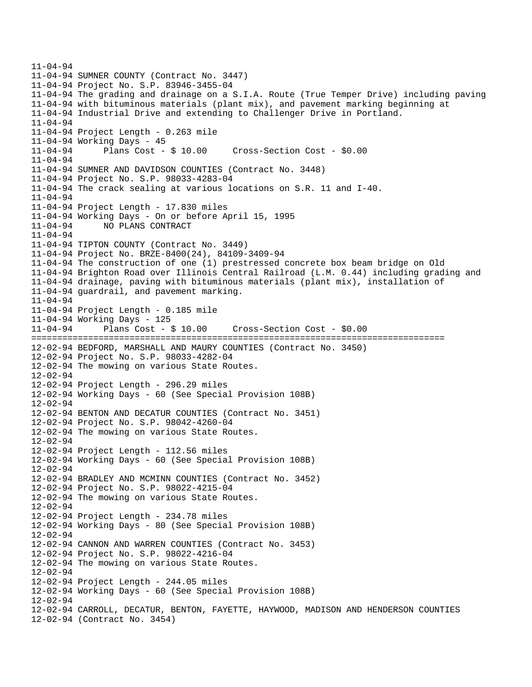11-04-94 11-04-94 SUMNER COUNTY (Contract No. 3447) 11-04-94 Project No. S.P. 83946-3455-04 11-04-94 The grading and drainage on a S.I.A. Route (True Temper Drive) including paving 11-04-94 with bituminous materials (plant mix), and pavement marking beginning at 11-04-94 Industrial Drive and extending to Challenger Drive in Portland. 11-04-94 11-04-94 Project Length - 0.263 mile 11-04-94 Working Days - 45 11-04-94 Plans Cost - \$ 10.00 Cross-Section Cost - \$0.00 11-04-94 11-04-94 SUMNER AND DAVIDSON COUNTIES (Contract No. 3448) 11-04-94 Project No. S.P. 98033-4283-04 11-04-94 The crack sealing at various locations on S.R. 11 and I-40. 11-04-94 11-04-94 Project Length - 17.830 miles 11-04-94 Working Days - On or before April 15, 1995 11-04-94 NO PLANS CONTRACT 11-04-94 11-04-94 TIPTON COUNTY (Contract No. 3449) 11-04-94 Project No. BRZE-8400(24), 84109-3409-94 11-04-94 The construction of one (1) prestressed concrete box beam bridge on Old 11-04-94 Brighton Road over Illinois Central Railroad (L.M. 0.44) including grading and 11-04-94 drainage, paving with bituminous materials (plant mix), installation of 11-04-94 guardrail, and pavement marking. 11-04-94 11-04-94 Project Length - 0.185 mile 11-04-94 Working Days - 125 11-04-94 Plans Cost - \$ 10.00 Cross-Section Cost - \$0.00 ================================================================================ 12-02-94 BEDFORD, MARSHALL AND MAURY COUNTIES (Contract No. 3450) 12-02-94 Project No. S.P. 98033-4282-04 12-02-94 The mowing on various State Routes. 12-02-94 12-02-94 Project Length - 296.29 miles 12-02-94 Working Days - 60 (See Special Provision 108B) 12-02-94 12-02-94 BENTON AND DECATUR COUNTIES (Contract No. 3451) 12-02-94 Project No. S.P. 98042-4260-04 12-02-94 The mowing on various State Routes. 12-02-94 12-02-94 Project Length - 112.56 miles 12-02-94 Working Days - 60 (See Special Provision 108B) 12-02-94 12-02-94 BRADLEY AND MCMINN COUNTIES (Contract No. 3452) 12-02-94 Project No. S.P. 98022-4215-04 12-02-94 The mowing on various State Routes. 12-02-94 12-02-94 Project Length - 234.78 miles 12-02-94 Working Days - 80 (See Special Provision 108B) 12-02-94 12-02-94 CANNON AND WARREN COUNTIES (Contract No. 3453) 12-02-94 Project No. S.P. 98022-4216-04 12-02-94 The mowing on various State Routes. 12-02-94 12-02-94 Project Length - 244.05 miles 12-02-94 Working Days - 60 (See Special Provision 108B) 12-02-94 12-02-94 CARROLL, DECATUR, BENTON, FAYETTE, HAYWOOD, MADISON AND HENDERSON COUNTIES 12-02-94 (Contract No. 3454)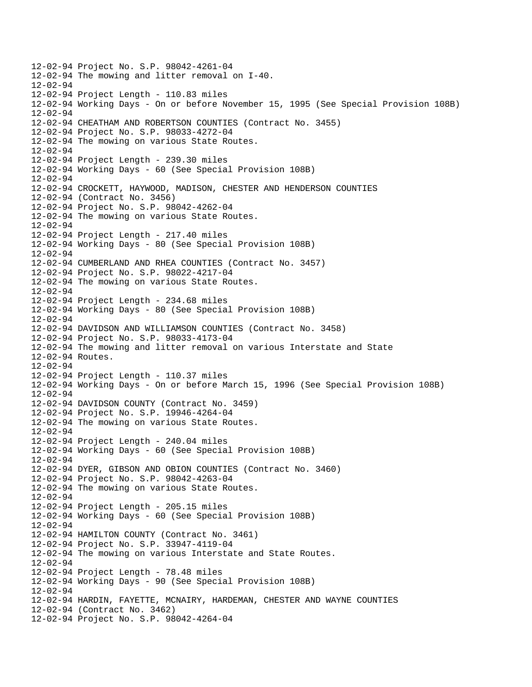12-02-94 Project No. S.P. 98042-4261-04 12-02-94 The mowing and litter removal on I-40. 12-02-94 12-02-94 Project Length - 110.83 miles 12-02-94 Working Days - On or before November 15, 1995 (See Special Provision 108B) 12-02-94 12-02-94 CHEATHAM AND ROBERTSON COUNTIES (Contract No. 3455) 12-02-94 Project No. S.P. 98033-4272-04 12-02-94 The mowing on various State Routes. 12-02-94 12-02-94 Project Length - 239.30 miles 12-02-94 Working Days - 60 (See Special Provision 108B) 12-02-94 12-02-94 CROCKETT, HAYWOOD, MADISON, CHESTER AND HENDERSON COUNTIES 12-02-94 (Contract No. 3456) 12-02-94 Project No. S.P. 98042-4262-04 12-02-94 The mowing on various State Routes. 12-02-94 12-02-94 Project Length - 217.40 miles 12-02-94 Working Days - 80 (See Special Provision 108B) 12-02-94 12-02-94 CUMBERLAND AND RHEA COUNTIES (Contract No. 3457) 12-02-94 Project No. S.P. 98022-4217-04 12-02-94 The mowing on various State Routes.  $12 - 02 - 94$ 12-02-94 Project Length - 234.68 miles 12-02-94 Working Days - 80 (See Special Provision 108B) 12-02-94 12-02-94 DAVIDSON AND WILLIAMSON COUNTIES (Contract No. 3458) 12-02-94 Project No. S.P. 98033-4173-04 12-02-94 The mowing and litter removal on various Interstate and State 12-02-94 Routes. 12-02-94 12-02-94 Project Length - 110.37 miles 12-02-94 Working Days - On or before March 15, 1996 (See Special Provision 108B) 12-02-94 12-02-94 DAVIDSON COUNTY (Contract No. 3459) 12-02-94 Project No. S.P. 19946-4264-04 12-02-94 The mowing on various State Routes. 12-02-94 12-02-94 Project Length - 240.04 miles 12-02-94 Working Days - 60 (See Special Provision 108B) 12-02-94 12-02-94 DYER, GIBSON AND OBION COUNTIES (Contract No. 3460) 12-02-94 Project No. S.P. 98042-4263-04 12-02-94 The mowing on various State Routes. 12-02-94 12-02-94 Project Length - 205.15 miles 12-02-94 Working Days - 60 (See Special Provision 108B) 12-02-94 12-02-94 HAMILTON COUNTY (Contract No. 3461) 12-02-94 Project No. S.P. 33947-4119-04 12-02-94 The mowing on various Interstate and State Routes. 12-02-94 12-02-94 Project Length - 78.48 miles 12-02-94 Working Days - 90 (See Special Provision 108B) 12-02-94 12-02-94 HARDIN, FAYETTE, MCNAIRY, HARDEMAN, CHESTER AND WAYNE COUNTIES 12-02-94 (Contract No. 3462) 12-02-94 Project No. S.P. 98042-4264-04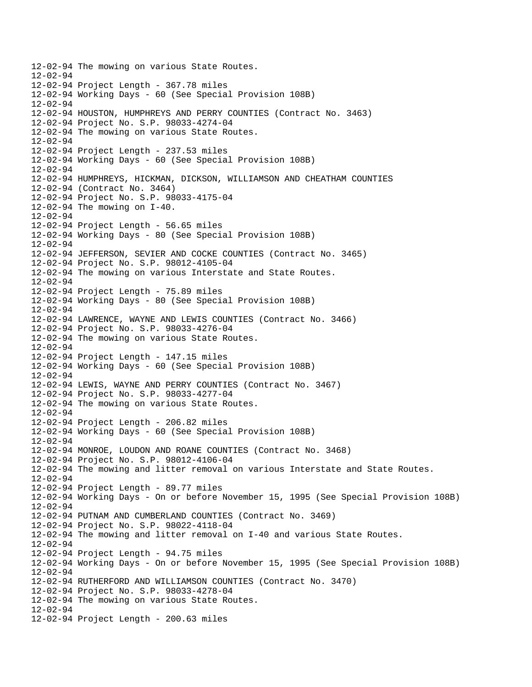12-02-94 The mowing on various State Routes.  $12 - 02 - 94$ 12-02-94 Project Length - 367.78 miles 12-02-94 Working Days - 60 (See Special Provision 108B) 12-02-94 12-02-94 HOUSTON, HUMPHREYS AND PERRY COUNTIES (Contract No. 3463) 12-02-94 Project No. S.P. 98033-4274-04 12-02-94 The mowing on various State Routes. 12-02-94 12-02-94 Project Length - 237.53 miles 12-02-94 Working Days - 60 (See Special Provision 108B) 12-02-94 12-02-94 HUMPHREYS, HICKMAN, DICKSON, WILLIAMSON AND CHEATHAM COUNTIES 12-02-94 (Contract No. 3464) 12-02-94 Project No. S.P. 98033-4175-04 12-02-94 The mowing on I-40. 12-02-94 12-02-94 Project Length - 56.65 miles 12-02-94 Working Days - 80 (See Special Provision 108B) 12-02-94 12-02-94 JEFFERSON, SEVIER AND COCKE COUNTIES (Contract No. 3465) 12-02-94 Project No. S.P. 98012-4105-04 12-02-94 The mowing on various Interstate and State Routes. 12-02-94 12-02-94 Project Length - 75.89 miles 12-02-94 Working Days - 80 (See Special Provision 108B) 12-02-94 12-02-94 LAWRENCE, WAYNE AND LEWIS COUNTIES (Contract No. 3466) 12-02-94 Project No. S.P. 98033-4276-04 12-02-94 The mowing on various State Routes. 12-02-94 12-02-94 Project Length - 147.15 miles 12-02-94 Working Days - 60 (See Special Provision 108B) 12-02-94 12-02-94 LEWIS, WAYNE AND PERRY COUNTIES (Contract No. 3467) 12-02-94 Project No. S.P. 98033-4277-04 12-02-94 The mowing on various State Routes. 12-02-94 12-02-94 Project Length - 206.82 miles 12-02-94 Working Days - 60 (See Special Provision 108B) 12-02-94 12-02-94 MONROE, LOUDON AND ROANE COUNTIES (Contract No. 3468) 12-02-94 Project No. S.P. 98012-4106-04 12-02-94 The mowing and litter removal on various Interstate and State Routes. 12-02-94 12-02-94 Project Length - 89.77 miles 12-02-94 Working Days - On or before November 15, 1995 (See Special Provision 108B)  $12 - 02 - 94$ 12-02-94 PUTNAM AND CUMBERLAND COUNTIES (Contract No. 3469) 12-02-94 Project No. S.P. 98022-4118-04 12-02-94 The mowing and litter removal on I-40 and various State Routes. 12-02-94 12-02-94 Project Length - 94.75 miles 12-02-94 Working Days - On or before November 15, 1995 (See Special Provision 108B) 12-02-94 12-02-94 RUTHERFORD AND WILLIAMSON COUNTIES (Contract No. 3470) 12-02-94 Project No. S.P. 98033-4278-04 12-02-94 The mowing on various State Routes.  $12 - 02 - 94$ 12-02-94 Project Length - 200.63 miles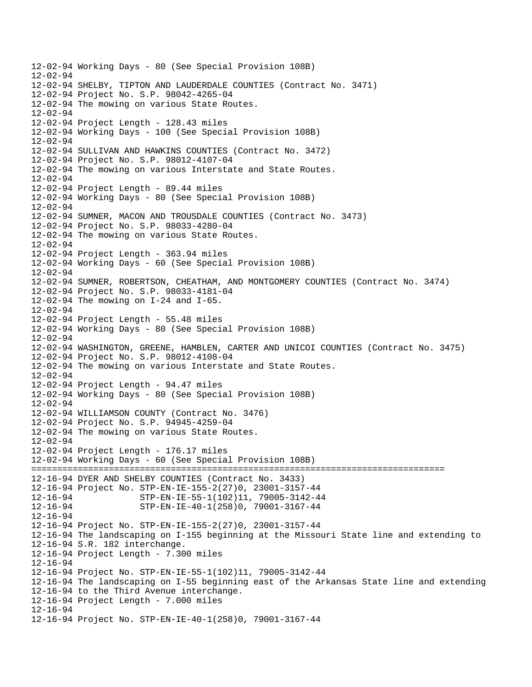12-02-94 Working Days - 80 (See Special Provision 108B)  $12 - 02 - 94$ 12-02-94 SHELBY, TIPTON AND LAUDERDALE COUNTIES (Contract No. 3471) 12-02-94 Project No. S.P. 98042-4265-04 12-02-94 The mowing on various State Routes. 12-02-94 12-02-94 Project Length - 128.43 miles 12-02-94 Working Days - 100 (See Special Provision 108B)  $12 - 02 - 94$ 12-02-94 SULLIVAN AND HAWKINS COUNTIES (Contract No. 3472) 12-02-94 Project No. S.P. 98012-4107-04 12-02-94 The mowing on various Interstate and State Routes. 12-02-94 12-02-94 Project Length - 89.44 miles 12-02-94 Working Days - 80 (See Special Provision 108B) 12-02-94 12-02-94 SUMNER, MACON AND TROUSDALE COUNTIES (Contract No. 3473) 12-02-94 Project No. S.P. 98033-4280-04 12-02-94 The mowing on various State Routes. 12-02-94 12-02-94 Project Length - 363.94 miles 12-02-94 Working Days - 60 (See Special Provision 108B) 12-02-94 12-02-94 SUMNER, ROBERTSON, CHEATHAM, AND MONTGOMERY COUNTIES (Contract No. 3474) 12-02-94 Project No. S.P. 98033-4181-04 12-02-94 The mowing on I-24 and I-65. 12-02-94 12-02-94 Project Length - 55.48 miles 12-02-94 Working Days - 80 (See Special Provision 108B) 12-02-94 12-02-94 WASHINGTON, GREENE, HAMBLEN, CARTER AND UNICOI COUNTIES (Contract No. 3475) 12-02-94 Project No. S.P. 98012-4108-04 12-02-94 The mowing on various Interstate and State Routes. 12-02-94 12-02-94 Project Length - 94.47 miles 12-02-94 Working Days - 80 (See Special Provision 108B) 12-02-94 12-02-94 WILLIAMSON COUNTY (Contract No. 3476) 12-02-94 Project No. S.P. 94945-4259-04 12-02-94 The mowing on various State Routes. 12-02-94 12-02-94 Project Length - 176.17 miles 12-02-94 Working Days - 60 (See Special Provision 108B) ================================================================================ 12-16-94 DYER AND SHELBY COUNTIES (Contract No. 3433) 12-16-94 Project No. STP-EN-IE-155-2(27)0, 23001-3157-44 12-16-94 STP-EN-IE-55-1(102)11, 79005-3142-44 12-16-94 STP-EN-IE-40-1(258)0, 79001-3167-44 12-16-94 12-16-94 Project No. STP-EN-IE-155-2(27)0, 23001-3157-44 12-16-94 The landscaping on I-155 beginning at the Missouri State line and extending to 12-16-94 S.R. 182 interchange. 12-16-94 Project Length - 7.300 miles 12-16-94 12-16-94 Project No. STP-EN-IE-55-1(102)11, 79005-3142-44 12-16-94 The landscaping on I-55 beginning east of the Arkansas State line and extending 12-16-94 to the Third Avenue interchange. 12-16-94 Project Length - 7.000 miles 12-16-94 12-16-94 Project No. STP-EN-IE-40-1(258)0, 79001-3167-44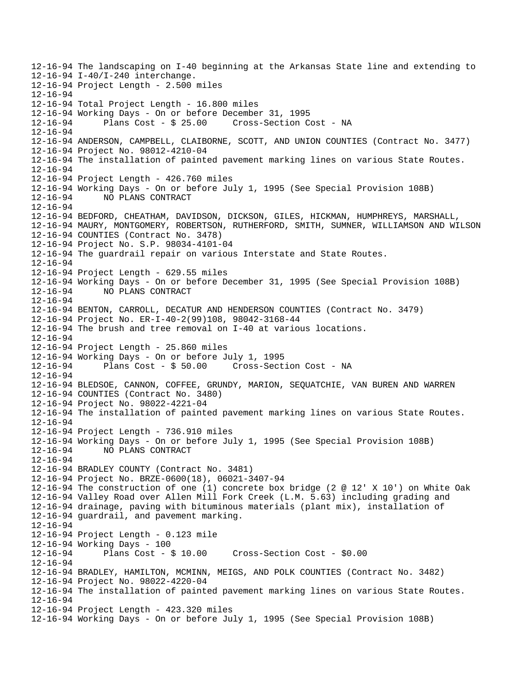12-16-94 The landscaping on I-40 beginning at the Arkansas State line and extending to 12-16-94 I-40/I-240 interchange. 12-16-94 Project Length - 2.500 miles 12-16-94 12-16-94 Total Project Length - 16.800 miles 12-16-94 Working Days - On or before December 31, 1995 12-16-94 Plans Cost - \$ 25.00 Cross-Section Cost - NA 12-16-94 12-16-94 ANDERSON, CAMPBELL, CLAIBORNE, SCOTT, AND UNION COUNTIES (Contract No. 3477) 12-16-94 Project No. 98012-4210-04 12-16-94 The installation of painted pavement marking lines on various State Routes. 12-16-94 12-16-94 Project Length - 426.760 miles 12-16-94 Working Days - On or before July 1, 1995 (See Special Provision 108B) 12-16-94 NO PLANS CONTRACT 12-16-94 12-16-94 BEDFORD, CHEATHAM, DAVIDSON, DICKSON, GILES, HICKMAN, HUMPHREYS, MARSHALL, 12-16-94 MAURY, MONTGOMERY, ROBERTSON, RUTHERFORD, SMITH, SUMNER, WILLIAMSON AND WILSON 12-16-94 COUNTIES (Contract No. 3478) 12-16-94 Project No. S.P. 98034-4101-04 12-16-94 The guardrail repair on various Interstate and State Routes. 12-16-94 12-16-94 Project Length - 629.55 miles 12-16-94 Working Days - On or before December 31, 1995 (See Special Provision 108B) 12-16-94 NO PLANS CONTRACT 12-16-94 12-16-94 BENTON, CARROLL, DECATUR AND HENDERSON COUNTIES (Contract No. 3479) 12-16-94 Project No. ER-I-40-2(99)108, 98042-3168-44 12-16-94 The brush and tree removal on I-40 at various locations. 12-16-94 12-16-94 Project Length - 25.860 miles 12-16-94 Working Days - On or before July 1, 1995 Cross-Section Cost - NA 12-16-94 12-16-94 BLEDSOE, CANNON, COFFEE, GRUNDY, MARION, SEQUATCHIE, VAN BUREN AND WARREN 12-16-94 COUNTIES (Contract No. 3480) 12-16-94 Project No. 98022-4221-04 12-16-94 The installation of painted pavement marking lines on various State Routes. 12-16-94 12-16-94 Project Length - 736.910 miles 12-16-94 Working Days - On or before July 1, 1995 (See Special Provision 108B) 12-16-94 NO PLANS CONTRACT 12-16-94 12-16-94 BRADLEY COUNTY (Contract No. 3481) 12-16-94 Project No. BRZE-0600(18), 06021-3407-94 12-16-94 The construction of one (1) concrete box bridge (2 @ 12' X 10') on White Oak 12-16-94 Valley Road over Allen Mill Fork Creek (L.M. 5.63) including grading and 12-16-94 drainage, paving with bituminous materials (plant mix), installation of 12-16-94 guardrail, and pavement marking. 12-16-94 12-16-94 Project Length - 0.123 mile 12-16-94 Working Days - 100 12-16-94 Plans Cost - \$ 10.00 Cross-Section Cost - \$0.00 12-16-94 12-16-94 BRADLEY, HAMILTON, MCMINN, MEIGS, AND POLK COUNTIES (Contract No. 3482) 12-16-94 Project No. 98022-4220-04 12-16-94 The installation of painted pavement marking lines on various State Routes. 12-16-94 12-16-94 Project Length - 423.320 miles 12-16-94 Working Days - On or before July 1, 1995 (See Special Provision 108B)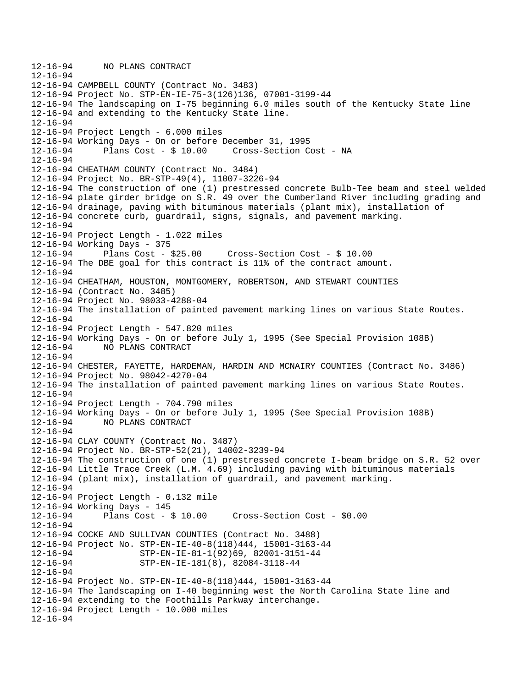12-16-94 NO PLANS CONTRACT 12-16-94 12-16-94 CAMPBELL COUNTY (Contract No. 3483) 12-16-94 Project No. STP-EN-IE-75-3(126)136, 07001-3199-44 12-16-94 The landscaping on I-75 beginning 6.0 miles south of the Kentucky State line 12-16-94 and extending to the Kentucky State line. 12-16-94 12-16-94 Project Length - 6.000 miles 12-16-94 Working Days - On or before December 31, 1995 12-16-94 Plans Cost - \$ 10.00 Cross-Section Cost - NA 12-16-94 12-16-94 CHEATHAM COUNTY (Contract No. 3484) 12-16-94 Project No. BR-STP-49(4), 11007-3226-94 12-16-94 The construction of one (1) prestressed concrete Bulb-Tee beam and steel welded 12-16-94 plate girder bridge on S.R. 49 over the Cumberland River including grading and 12-16-94 drainage, paving with bituminous materials (plant mix), installation of 12-16-94 concrete curb, guardrail, signs, signals, and pavement marking. 12-16-94 12-16-94 Project Length - 1.022 miles 12-16-94 Working Days - 375 12-16-94 Plans Cost - \$25.00 Cross-Section Cost - \$ 10.00 12-16-94 The DBE goal for this contract is 11% of the contract amount. 12-16-94 12-16-94 CHEATHAM, HOUSTON, MONTGOMERY, ROBERTSON, AND STEWART COUNTIES 12-16-94 (Contract No. 3485) 12-16-94 Project No. 98033-4288-04 12-16-94 The installation of painted pavement marking lines on various State Routes. 12-16-94 12-16-94 Project Length - 547.820 miles 12-16-94 Working Days - On or before July 1, 1995 (See Special Provision 108B) 12-16-94 NO PLANS CONTRACT 12-16-94 12-16-94 CHESTER, FAYETTE, HARDEMAN, HARDIN AND MCNAIRY COUNTIES (Contract No. 3486) 12-16-94 Project No. 98042-4270-04 12-16-94 The installation of painted pavement marking lines on various State Routes. 12-16-94 12-16-94 Project Length - 704.790 miles 12-16-94 Working Days - On or before July 1, 1995 (See Special Provision 108B) 12-16-94 NO PLANS CONTRACT 12-16-94 12-16-94 CLAY COUNTY (Contract No. 3487) 12-16-94 Project No. BR-STP-52(21), 14002-3239-94 12-16-94 The construction of one (1) prestressed concrete I-beam bridge on S.R. 52 over 12-16-94 Little Trace Creek (L.M. 4.69) including paving with bituminous materials 12-16-94 (plant mix), installation of guardrail, and pavement marking. 12-16-94 12-16-94 Project Length - 0.132 mile 12-16-94 Working Days - 145 Plans  $Cost - $ 10.00$  Cross-Section Cost -  $$0.00$ 12-16-94 12-16-94 COCKE AND SULLIVAN COUNTIES (Contract No. 3488) 12-16-94 Project No. STP-EN-IE-40-8(118)444, 15001-3163-44 12-16-94 STP-EN-IE-81-1(92)69, 82001-3151-44 12-16-94 STP-EN-IE-181(8), 82084-3118-44 12-16-94 12-16-94 Project No. STP-EN-IE-40-8(118)444, 15001-3163-44 12-16-94 The landscaping on I-40 beginning west the North Carolina State line and 12-16-94 extending to the Foothills Parkway interchange. 12-16-94 Project Length - 10.000 miles 12-16-94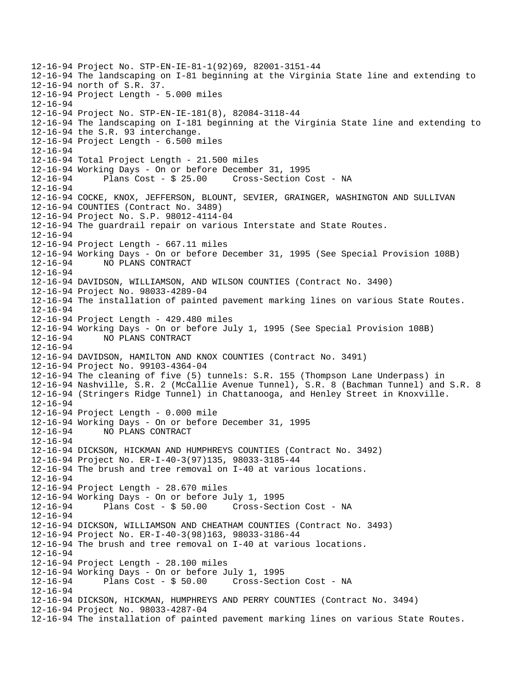12-16-94 Project No. STP-EN-IE-81-1(92)69, 82001-3151-44 12-16-94 The landscaping on I-81 beginning at the Virginia State line and extending to 12-16-94 north of S.R. 37. 12-16-94 Project Length - 5.000 miles 12-16-94 12-16-94 Project No. STP-EN-IE-181(8), 82084-3118-44 12-16-94 The landscaping on I-181 beginning at the Virginia State line and extending to 12-16-94 the S.R. 93 interchange. 12-16-94 Project Length - 6.500 miles 12-16-94 12-16-94 Total Project Length - 21.500 miles 12-16-94 Working Days - On or before December 31, 1995 12-16-94 Plans Cost - \$ 25.00 Cross-Section Cost - NA 12-16-94 12-16-94 COCKE, KNOX, JEFFERSON, BLOUNT, SEVIER, GRAINGER, WASHINGTON AND SULLIVAN 12-16-94 COUNTIES (Contract No. 3489) 12-16-94 Project No. S.P. 98012-4114-04 12-16-94 The guardrail repair on various Interstate and State Routes. 12-16-94 12-16-94 Project Length - 667.11 miles 12-16-94 Working Days - On or before December 31, 1995 (See Special Provision 108B) 12-16-94 NO PLANS CONTRACT 12-16-94 12-16-94 DAVIDSON, WILLIAMSON, AND WILSON COUNTIES (Contract No. 3490) 12-16-94 Project No. 98033-4289-04 12-16-94 The installation of painted pavement marking lines on various State Routes. 12-16-94 12-16-94 Project Length - 429.480 miles 12-16-94 Working Days - On or before July 1, 1995 (See Special Provision 108B) 12-16-94 NO PLANS CONTRACT 12-16-94 12-16-94 DAVIDSON, HAMILTON AND KNOX COUNTIES (Contract No. 3491) 12-16-94 Project No. 99103-4364-04 12-16-94 The cleaning of five (5) tunnels: S.R. 155 (Thompson Lane Underpass) in 12-16-94 Nashville, S.R. 2 (McCallie Avenue Tunnel), S.R. 8 (Bachman Tunnel) and S.R. 8 12-16-94 (Stringers Ridge Tunnel) in Chattanooga, and Henley Street in Knoxville. 12-16-94 12-16-94 Project Length - 0.000 mile 12-16-94 Working Days - On or before December 31, 1995 12-16-94 NO PLANS CONTRACT 12-16-94 12-16-94 DICKSON, HICKMAN AND HUMPHREYS COUNTIES (Contract No. 3492) 12-16-94 Project No. ER-I-40-3(97)135, 98033-3185-44 12-16-94 The brush and tree removal on I-40 at various locations. 12-16-94 12-16-94 Project Length - 28.670 miles 12-16-94 Working Days - On or before July 1, 1995 12-16-94 Plans Cost - \$ 50.00 Cross-Section Cost - NA 12-16-94 12-16-94 DICKSON, WILLIAMSON AND CHEATHAM COUNTIES (Contract No. 3493) 12-16-94 Project No. ER-I-40-3(98)163, 98033-3186-44 12-16-94 The brush and tree removal on I-40 at various locations. 12-16-94 12-16-94 Project Length - 28.100 miles 12-16-94 Working Days - On or before July 1, 1995 12-16-94 Plans Cost - \$ 50.00 Cross-Section Cost - NA 12-16-94 12-16-94 DICKSON, HICKMAN, HUMPHREYS AND PERRY COUNTIES (Contract No. 3494) 12-16-94 Project No. 98033-4287-04 12-16-94 The installation of painted pavement marking lines on various State Routes.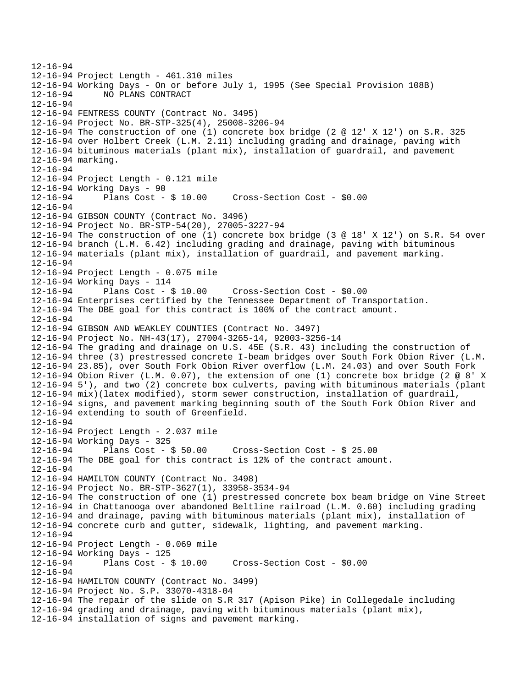```
12-16-94 
12-16-94 Project Length - 461.310 miles 
12-16-94 Working Days - On or before July 1, 1995 (See Special Provision 108B) 
12-16-94 NO PLANS CONTRACT 
12-16-94 
12-16-94 FENTRESS COUNTY (Contract No. 3495) 
12-16-94 Project No. BR-STP-325(4), 25008-3206-94 
12-16-94 The construction of one (1) concrete box bridge (2 @ 12' X 12') on S.R. 325 
12-16-94 over Holbert Creek (L.M. 2.11) including grading and drainage, paving with 
12-16-94 bituminous materials (plant mix), installation of guardrail, and pavement 
12-16-94 marking. 
12-16-94 
12-16-94 Project Length - 0.121 mile 
12-16-94 Working Days - 90<br>12-16-94 Plans Cost - $ 10.00
12-16-94 Plans Cost - $ 10.00 Cross-Section Cost - $0.00 
12-16-94 
12-16-94 GIBSON COUNTY (Contract No. 3496) 
12-16-94 Project No. BR-STP-54(20), 27005-3227-94 
12-16-94 The construction of one (1) concrete box bridge (3 @ 18' X 12') on S.R. 54 over 
12-16-94 branch (L.M. 6.42) including grading and drainage, paving with bituminous 
12-16-94 materials (plant mix), installation of guardrail, and pavement marking. 
12-16-94 
12-16-94 Project Length - 0.075 mile 
12-16-94 Working Days - 114 
12-16-94 Plans Cost - $ 10.00 Cross-Section Cost - $0.00 
12-16-94 Enterprises certified by the Tennessee Department of Transportation. 
12-16-94 The DBE goal for this contract is 100% of the contract amount. 
12-16-94 
12-16-94 GIBSON AND WEAKLEY COUNTIES (Contract No. 3497) 
12-16-94 Project No. NH-43(17), 27004-3265-14, 92003-3256-14 
12-16-94 The grading and drainage on U.S. 45E (S.R. 43) including the construction of 
12-16-94 three (3) prestressed concrete I-beam bridges over South Fork Obion River (L.M. 
12-16-94 23.85), over South Fork Obion River overflow (L.M. 24.03) and over South Fork 
12-16-94 Obion River (L.M. 0.07), the extension of one (1) concrete box bridge (2 @ 8' X 
12-16-94 5'), and two (2) concrete box culverts, paving with bituminous materials (plant 
12-16-94 mix)(latex modified), storm sewer construction, installation of guardrail, 
12-16-94 signs, and pavement marking beginning south of the South Fork Obion River and 
12-16-94 extending to south of Greenfield. 
12-16-94 
12-16-94 Project Length - 2.037 mile 
12-16-94 Working Days - 325 
12-16-94 Plans Cost - $ 50.00 Cross-Section Cost - $ 25.00 
12-16-94 The DBE goal for this contract is 12% of the contract amount. 
12-16-94 
12-16-94 HAMILTON COUNTY (Contract No. 3498) 
12-16-94 Project No. BR-STP-3627(1), 33958-3534-94 
12-16-94 The construction of one (1) prestressed concrete box beam bridge on Vine Street 
12-16-94 in Chattanooga over abandoned Beltline railroad (L.M. 0.60) including grading 
12-16-94 and drainage, paving with bituminous materials (plant mix), installation of 
12-16-94 concrete curb and gutter, sidewalk, lighting, and pavement marking. 
12-16-94 
12-16-94 Project Length - 0.069 mile 
12-16-94 Working Days - 125<br>12-16-94 Plans Cost - $ 10.00
12-16-94 Plans Cost - $ 10.00 Cross-Section Cost - $0.00 
12-16-94 
12-16-94 HAMILTON COUNTY (Contract No. 3499) 
12-16-94 Project No. S.P. 33070-4318-04 
12-16-94 The repair of the slide on S.R 317 (Apison Pike) in Collegedale including 
12-16-94 grading and drainage, paving with bituminous materials (plant mix), 
12-16-94 installation of signs and pavement marking.
```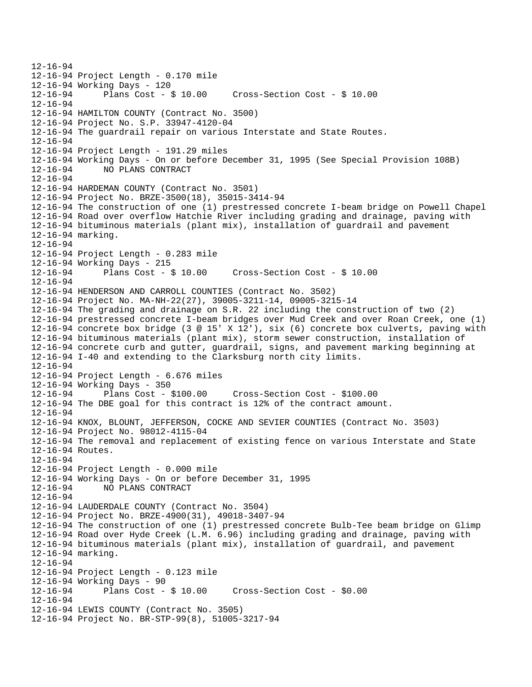12-16-94 12-16-94 Project Length - 0.170 mile 12-16-94 Working Days - 120 12-16-94 Plans Cost - \$ 10.00 Cross-Section Cost - \$ 10.00 12-16-94 12-16-94 HAMILTON COUNTY (Contract No. 3500) 12-16-94 Project No. S.P. 33947-4120-04 12-16-94 The guardrail repair on various Interstate and State Routes. 12-16-94 12-16-94 Project Length - 191.29 miles 12-16-94 Working Days - On or before December 31, 1995 (See Special Provision 108B) 12-16-94 NO PLANS CONTRACT 12-16-94 12-16-94 HARDEMAN COUNTY (Contract No. 3501) 12-16-94 Project No. BRZE-3500(18), 35015-3414-94 12-16-94 The construction of one (1) prestressed concrete I-beam bridge on Powell Chapel 12-16-94 Road over overflow Hatchie River including grading and drainage, paving with 12-16-94 bituminous materials (plant mix), installation of guardrail and pavement 12-16-94 marking. 12-16-94 12-16-94 Project Length - 0.283 mile 12-16-94 Working Days - 215 12-16-94 Plans Cost - \$ 10.00 Cross-Section Cost - \$ 10.00 12-16-94 12-16-94 HENDERSON AND CARROLL COUNTIES (Contract No. 3502) 12-16-94 Project No. MA-NH-22(27), 39005-3211-14, 09005-3215-14 12-16-94 The grading and drainage on S.R. 22 including the construction of two (2) 12-16-94 prestressed concrete I-beam bridges over Mud Creek and over Roan Creek, one (1) 12-16-94 concrete box bridge (3 @ 15' X 12'), six (6) concrete box culverts, paving with 12-16-94 bituminous materials (plant mix), storm sewer construction, installation of 12-16-94 concrete curb and gutter, guardrail, signs, and pavement marking beginning at 12-16-94 I-40 and extending to the Clarksburg north city limits. 12-16-94 12-16-94 Project Length - 6.676 miles 12-16-94 Working Days - 350 12-16-94 Plans Cost - \$100.00 Cross-Section Cost - \$100.00 12-16-94 The DBE goal for this contract is 12% of the contract amount. 12-16-94 12-16-94 KNOX, BLOUNT, JEFFERSON, COCKE AND SEVIER COUNTIES (Contract No. 3503) 12-16-94 Project No. 98012-4115-04 12-16-94 The removal and replacement of existing fence on various Interstate and State 12-16-94 Routes. 12-16-94 12-16-94 Project Length - 0.000 mile 12-16-94 Working Days - On or before December 31, 1995 12-16-94 NO PLANS CONTRACT 12-16-94 12-16-94 LAUDERDALE COUNTY (Contract No. 3504) 12-16-94 Project No. BRZE-4900(31), 49018-3407-94 12-16-94 The construction of one (1) prestressed concrete Bulb-Tee beam bridge on Glimp 12-16-94 Road over Hyde Creek (L.M. 6.96) including grading and drainage, paving with 12-16-94 bituminous materials (plant mix), installation of guardrail, and pavement 12-16-94 marking. 12-16-94 12-16-94 Project Length - 0.123 mile 12-16-94 Working Days - 90 12-16-94 Plans Cost - \$ 10.00 Cross-Section Cost - \$0.00 12-16-94 12-16-94 LEWIS COUNTY (Contract No. 3505) 12-16-94 Project No. BR-STP-99(8), 51005-3217-94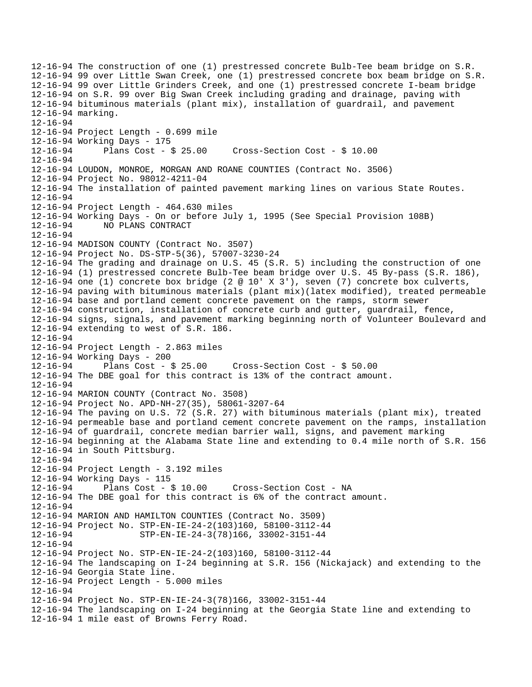12-16-94 The construction of one (1) prestressed concrete Bulb-Tee beam bridge on S.R. 12-16-94 99 over Little Swan Creek, one (1) prestressed concrete box beam bridge on S.R. 12-16-94 99 over Little Grinders Creek, and one (1) prestressed concrete I-beam bridge 12-16-94 on S.R. 99 over Big Swan Creek including grading and drainage, paving with 12-16-94 bituminous materials (plant mix), installation of guardrail, and pavement 12-16-94 marking. 12-16-94 12-16-94 Project Length - 0.699 mile 12-16-94 Working Days - 175 Plans  $Cost - $ 25.00$  Cross-Section Cost -  $$ 10.00$ 12-16-94 12-16-94 LOUDON, MONROE, MORGAN AND ROANE COUNTIES (Contract No. 3506) 12-16-94 Project No. 98012-4211-04 12-16-94 The installation of painted pavement marking lines on various State Routes. 12-16-94 12-16-94 Project Length - 464.630 miles 12-16-94 Working Days - On or before July 1, 1995 (See Special Provision 108B) 12-16-94 NO PLANS CONTRACT 12-16-94 12-16-94 MADISON COUNTY (Contract No. 3507) 12-16-94 Project No. DS-STP-5(36), 57007-3230-24 12-16-94 The grading and drainage on U.S. 45 (S.R. 5) including the construction of one 12-16-94 (1) prestressed concrete Bulb-Tee beam bridge over U.S. 45 By-pass (S.R. 186), 12-16-94 one (1) concrete box bridge (2 @ 10' X 3'), seven (7) concrete box culverts, 12-16-94 paving with bituminous materials (plant mix)(latex modified), treated permeable 12-16-94 base and portland cement concrete pavement on the ramps, storm sewer 12-16-94 construction, installation of concrete curb and gutter, guardrail, fence, 12-16-94 signs, signals, and pavement marking beginning north of Volunteer Boulevard and 12-16-94 extending to west of S.R. 186. 12-16-94 12-16-94 Project Length - 2.863 miles 12-16-94 Working Days - 200 12-16-94 Plans Cost - \$ 25.00 Cross-Section Cost - \$ 50.00 12-16-94 The DBE goal for this contract is 13% of the contract amount. 12-16-94 12-16-94 MARION COUNTY (Contract No. 3508) 12-16-94 Project No. APD-NH-27(35), 58061-3207-64 12-16-94 The paving on U.S. 72 (S.R. 27) with bituminous materials (plant mix), treated 12-16-94 permeable base and portland cement concrete pavement on the ramps, installation 12-16-94 of guardrail, concrete median barrier wall, signs, and pavement marking 12-16-94 beginning at the Alabama State line and extending to 0.4 mile north of S.R. 156 12-16-94 in South Pittsburg. 12-16-94 12-16-94 Project Length - 3.192 miles 12-16-94 Working Days - 115 12-16-94 Plans Cost - \$ 10.00 Cross-Section Cost - NA 12-16-94 The DBE goal for this contract is 6% of the contract amount. 12-16-94 12-16-94 MARION AND HAMILTON COUNTIES (Contract No. 3509) 12-16-94 Project No. STP-EN-IE-24-2(103)160, 58100-3112-44 12-16-94 STP-EN-IE-24-3(78)166, 33002-3151-44 12-16-94 12-16-94 Project No. STP-EN-IE-24-2(103)160, 58100-3112-44 12-16-94 The landscaping on I-24 beginning at S.R. 156 (Nickajack) and extending to the 12-16-94 Georgia State line. 12-16-94 Project Length - 5.000 miles 12-16-94 12-16-94 Project No. STP-EN-IE-24-3(78)166, 33002-3151-44 12-16-94 The landscaping on I-24 beginning at the Georgia State line and extending to 12-16-94 1 mile east of Browns Ferry Road.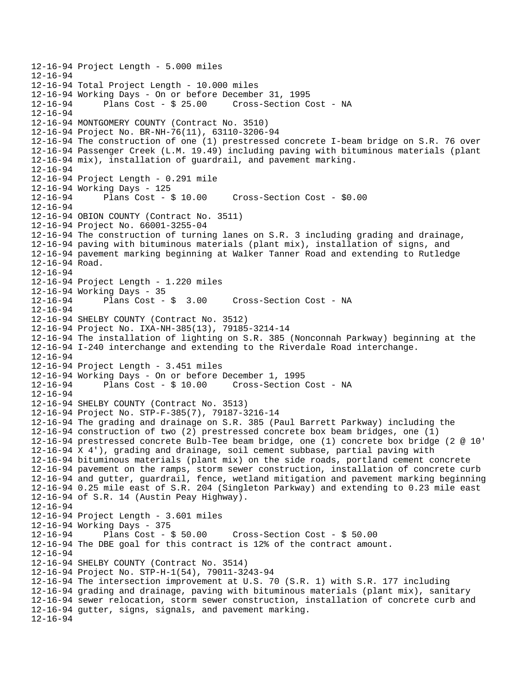```
12-16-94 Project Length - 5.000 miles 
12 - 16 - 9412-16-94 Total Project Length - 10.000 miles 
12-16-94 Working Days - On or before December 31, 1995 
12-16-94 Plans Cost - $ 25.00 Cross-Section Cost - NA 
12-16-94 
12-16-94 MONTGOMERY COUNTY (Contract No. 3510) 
12-16-94 Project No. BR-NH-76(11), 63110-3206-94 
12-16-94 The construction of one (1) prestressed concrete I-beam bridge on S.R. 76 over 
12-16-94 Passenger Creek (L.M. 19.49) including paving with bituminous materials (plant 
12-16-94 mix), installation of guardrail, and pavement marking. 
12-16-94 
12-16-94 Project Length - 0.291 mile 
12-16-94 Working Days - 125 
12-16-94 Plans Cost - $ 10.00 Cross-Section Cost - $0.00 
12-16-94 
12-16-94 OBION COUNTY (Contract No. 3511) 
12-16-94 Project No. 66001-3255-04 
12-16-94 The construction of turning lanes on S.R. 3 including grading and drainage, 
12-16-94 paving with bituminous materials (plant mix), installation of signs, and 
12-16-94 pavement marking beginning at Walker Tanner Road and extending to Rutledge 
12-16-94 Road. 
12-16-94 
12-16-94 Project Length - 1.220 miles 
12-16-94 Working Days - 35<br>12-16-94 Plans Cost - $ 3.00
12-16-94 Plans Cost - $ 3.00 Cross-Section Cost - NA 
12-16-94 
12-16-94 SHELBY COUNTY (Contract No. 3512) 
12-16-94 Project No. IXA-NH-385(13), 79185-3214-14 
12-16-94 The installation of lighting on S.R. 385 (Nonconnah Parkway) beginning at the 
12-16-94 I-240 interchange and extending to the Riverdale Road interchange. 
12-16-94 
12-16-94 Project Length - 3.451 miles 
12-16-94 Working Days - On or before December 1, 1995 
                                     Cross-Section Cost - NA
12-16-94 
12-16-94 SHELBY COUNTY (Contract No. 3513) 
12-16-94 Project No. STP-F-385(7), 79187-3216-14 
12-16-94 The grading and drainage on S.R. 385 (Paul Barrett Parkway) including the 
12-16-94 construction of two (2) prestressed concrete box beam bridges, one (1) 
12-16-94 prestressed concrete Bulb-Tee beam bridge, one (1) concrete box bridge (2 @ 10' 
12-16-94 X 4'), grading and drainage, soil cement subbase, partial paving with 
12-16-94 bituminous materials (plant mix) on the side roads, portland cement concrete 
12-16-94 pavement on the ramps, storm sewer construction, installation of concrete curb 
12-16-94 and gutter, guardrail, fence, wetland mitigation and pavement marking beginning 
12-16-94 0.25 mile east of S.R. 204 (Singleton Parkway) and extending to 0.23 mile east 
12-16-94 of S.R. 14 (Austin Peay Highway). 
12-16-94 
12-16-94 Project Length - 3.601 miles 
12-16-94 Working Days - 375 
                                       Cross-Section Cost - $ 50.0012-16-94 The DBE goal for this contract is 12% of the contract amount. 
12-16-94 
12-16-94 SHELBY COUNTY (Contract No. 3514) 
12-16-94 Project No. STP-H-1(54), 79011-3243-94 
12-16-94 The intersection improvement at U.S. 70 (S.R. 1) with S.R. 177 including 
12-16-94 grading and drainage, paving with bituminous materials (plant mix), sanitary 
12-16-94 sewer relocation, storm sewer construction, installation of concrete curb and 
12-16-94 gutter, signs, signals, and pavement marking. 
12-16-94
```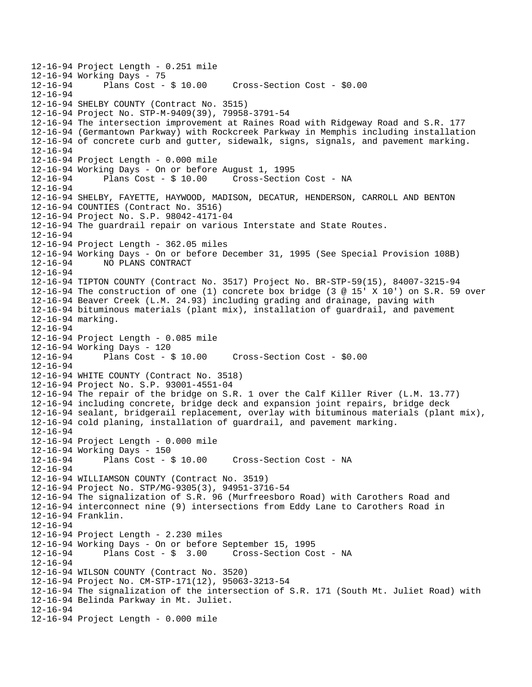```
12-16-94 Project Length - 0.251 mile 
12-16-94 Working Days - 75<br>12-16-94 Plans Cost - $ 10.00
                                       Cross-Section Cost - $0.00
12-16-94 
12-16-94 SHELBY COUNTY (Contract No. 3515) 
12-16-94 Project No. STP-M-9409(39), 79958-3791-54 
12-16-94 The intersection improvement at Raines Road with Ridgeway Road and S.R. 177 
12-16-94 (Germantown Parkway) with Rockcreek Parkway in Memphis including installation 
12-16-94 of concrete curb and gutter, sidewalk, signs, signals, and pavement marking. 
12-16-94 
12-16-94 Project Length - 0.000 mile 
12-16-94 Working Days - On or before August 1, 1995 
12-16-94 Plans Cost - $ 10.00 Cross-Section Cost - NA 
12-16-94 
12-16-94 SHELBY, FAYETTE, HAYWOOD, MADISON, DECATUR, HENDERSON, CARROLL AND BENTON 
12-16-94 COUNTIES (Contract No. 3516) 
12-16-94 Project No. S.P. 98042-4171-04 
12-16-94 The guardrail repair on various Interstate and State Routes. 
12-16-94 
12-16-94 Project Length - 362.05 miles 
12-16-94 Working Days - On or before December 31, 1995 (See Special Provision 108B) 
12-16-94 NO PLANS CONTRACT 
12-16-94 
12-16-94 TIPTON COUNTY (Contract No. 3517) Project No. BR-STP-59(15), 84007-3215-94 
12-16-94 The construction of one (1) concrete box bridge (3 @ 15' X 10') on S.R. 59 over 
12-16-94 Beaver Creek (L.M. 24.93) including grading and drainage, paving with 
12-16-94 bituminous materials (plant mix), installation of guardrail, and pavement 
12-16-94 marking. 
12-16-94 
12-16-94 Project Length - 0.085 mile 
12-16-94 Working Days - 120 
12-16-94 Plans Cost - $ 10.00 Cross-Section Cost - $0.00 
12-16-94 
12-16-94 WHITE COUNTY (Contract No. 3518) 
12-16-94 Project No. S.P. 93001-4551-04 
12-16-94 The repair of the bridge on S.R. 1 over the Calf Killer River (L.M. 13.77) 
12-16-94 including concrete, bridge deck and expansion joint repairs, bridge deck 
12-16-94 sealant, bridgerail replacement, overlay with bituminous materials (plant mix), 
12-16-94 cold planing, installation of guardrail, and pavement marking. 
12-16-94 
12-16-94 Project Length - 0.000 mile 
12-16-94 Working Days - 150 
12-16-94 Plans Cost - $ 10.00 Cross-Section Cost - NA 
12-16-94 
12-16-94 WILLIAMSON COUNTY (Contract No. 3519) 
12-16-94 Project No. STP/MG-9305(3), 94951-3716-54 
12-16-94 The signalization of S.R. 96 (Murfreesboro Road) with Carothers Road and 
12-16-94 interconnect nine (9) intersections from Eddy Lane to Carothers Road in 
12-16-94 Franklin. 
12-16-94 
12-16-94 Project Length - 2.230 miles 
12-16-94 Working Days - On or before September 15, 1995 
12-16-94 Plans Cost - $ 3.00 Cross-Section Cost - NA 
12-16-94 
12-16-94 WILSON COUNTY (Contract No. 3520) 
12-16-94 Project No. CM-STP-171(12), 95063-3213-54 
12-16-94 The signalization of the intersection of S.R. 171 (South Mt. Juliet Road) with 
12-16-94 Belinda Parkway in Mt. Juliet. 
12-16-94 
12-16-94 Project Length - 0.000 mile
```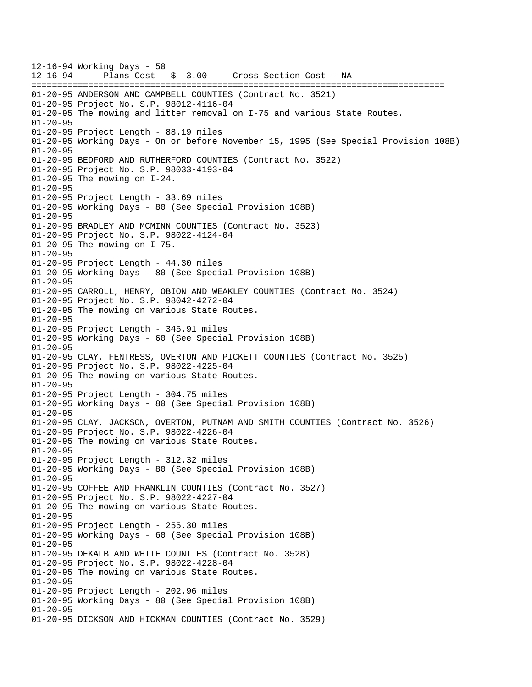12-16-94 Working Days - 50 12-16-94 Plans Cost - \$ 3.00 Cross-Section Cost - NA ================================================================================ 01-20-95 ANDERSON AND CAMPBELL COUNTIES (Contract No. 3521) 01-20-95 Project No. S.P. 98012-4116-04 01-20-95 The mowing and litter removal on I-75 and various State Routes. 01-20-95 01-20-95 Project Length - 88.19 miles 01-20-95 Working Days - On or before November 15, 1995 (See Special Provision 108B) 01-20-95 01-20-95 BEDFORD AND RUTHERFORD COUNTIES (Contract No. 3522) 01-20-95 Project No. S.P. 98033-4193-04 01-20-95 The mowing on I-24. 01-20-95 01-20-95 Project Length - 33.69 miles 01-20-95 Working Days - 80 (See Special Provision 108B) 01-20-95 01-20-95 BRADLEY AND MCMINN COUNTIES (Contract No. 3523) 01-20-95 Project No. S.P. 98022-4124-04 01-20-95 The mowing on I-75. 01-20-95 01-20-95 Project Length - 44.30 miles 01-20-95 Working Days - 80 (See Special Provision 108B) 01-20-95 01-20-95 CARROLL, HENRY, OBION AND WEAKLEY COUNTIES (Contract No. 3524) 01-20-95 Project No. S.P. 98042-4272-04 01-20-95 The mowing on various State Routes. 01-20-95 01-20-95 Project Length - 345.91 miles 01-20-95 Working Days - 60 (See Special Provision 108B) 01-20-95 01-20-95 CLAY, FENTRESS, OVERTON AND PICKETT COUNTIES (Contract No. 3525) 01-20-95 Project No. S.P. 98022-4225-04 01-20-95 The mowing on various State Routes. 01-20-95 01-20-95 Project Length - 304.75 miles 01-20-95 Working Days - 80 (See Special Provision 108B) 01-20-95 01-20-95 CLAY, JACKSON, OVERTON, PUTNAM AND SMITH COUNTIES (Contract No. 3526) 01-20-95 Project No. S.P. 98022-4226-04 01-20-95 The mowing on various State Routes.  $01 - 20 - 95$ 01-20-95 Project Length - 312.32 miles 01-20-95 Working Days - 80 (See Special Provision 108B) 01-20-95 01-20-95 COFFEE AND FRANKLIN COUNTIES (Contract No. 3527) 01-20-95 Project No. S.P. 98022-4227-04 01-20-95 The mowing on various State Routes. 01-20-95 01-20-95 Project Length - 255.30 miles 01-20-95 Working Days - 60 (See Special Provision 108B) 01-20-95 01-20-95 DEKALB AND WHITE COUNTIES (Contract No. 3528) 01-20-95 Project No. S.P. 98022-4228-04 01-20-95 The mowing on various State Routes. 01-20-95 01-20-95 Project Length - 202.96 miles 01-20-95 Working Days - 80 (See Special Provision 108B) 01-20-95 01-20-95 DICKSON AND HICKMAN COUNTIES (Contract No. 3529)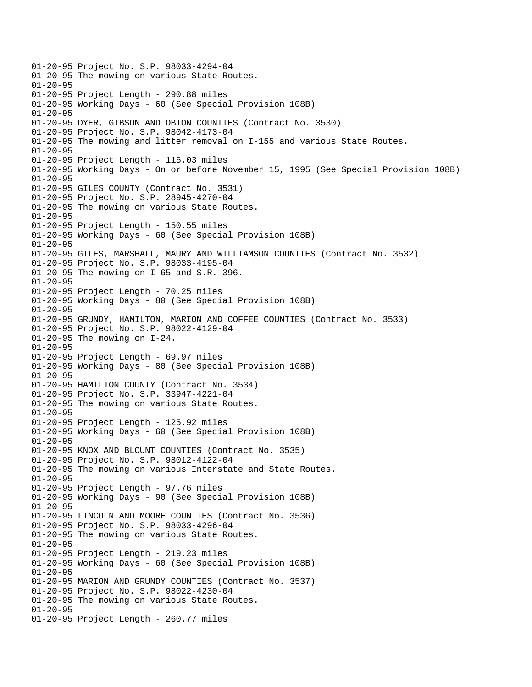01-20-95 Project No. S.P. 98033-4294-04 01-20-95 The mowing on various State Routes.  $01 - 20 - 95$ 01-20-95 Project Length - 290.88 miles 01-20-95 Working Days - 60 (See Special Provision 108B) 01-20-95 01-20-95 DYER, GIBSON AND OBION COUNTIES (Contract No. 3530) 01-20-95 Project No. S.P. 98042-4173-04 01-20-95 The mowing and litter removal on I-155 and various State Routes. 01-20-95 01-20-95 Project Length - 115.03 miles 01-20-95 Working Days - On or before November 15, 1995 (See Special Provision 108B)  $01 - 20 - 95$ 01-20-95 GILES COUNTY (Contract No. 3531) 01-20-95 Project No. S.P. 28945-4270-04 01-20-95 The mowing on various State Routes. 01-20-95 01-20-95 Project Length - 150.55 miles 01-20-95 Working Days - 60 (See Special Provision 108B) 01-20-95 01-20-95 GILES, MARSHALL, MAURY AND WILLIAMSON COUNTIES (Contract No. 3532) 01-20-95 Project No. S.P. 98033-4195-04 01-20-95 The mowing on I-65 and S.R. 396. 01-20-95 01-20-95 Project Length - 70.25 miles 01-20-95 Working Days - 80 (See Special Provision 108B) 01-20-95 01-20-95 GRUNDY, HAMILTON, MARION AND COFFEE COUNTIES (Contract No. 3533) 01-20-95 Project No. S.P. 98022-4129-04 01-20-95 The mowing on I-24. 01-20-95 01-20-95 Project Length - 69.97 miles 01-20-95 Working Days - 80 (See Special Provision 108B) 01-20-95 01-20-95 HAMILTON COUNTY (Contract No. 3534) 01-20-95 Project No. S.P. 33947-4221-04 01-20-95 The mowing on various State Routes. 01-20-95 01-20-95 Project Length - 125.92 miles 01-20-95 Working Days - 60 (See Special Provision 108B) 01-20-95 01-20-95 KNOX AND BLOUNT COUNTIES (Contract No. 3535) 01-20-95 Project No. S.P. 98012-4122-04 01-20-95 The mowing on various Interstate and State Routes. 01-20-95 01-20-95 Project Length - 97.76 miles 01-20-95 Working Days - 90 (See Special Provision 108B) 01-20-95 01-20-95 LINCOLN AND MOORE COUNTIES (Contract No. 3536) 01-20-95 Project No. S.P. 98033-4296-04 01-20-95 The mowing on various State Routes. 01-20-95 01-20-95 Project Length - 219.23 miles 01-20-95 Working Days - 60 (See Special Provision 108B) 01-20-95 01-20-95 MARION AND GRUNDY COUNTIES (Contract No. 3537) 01-20-95 Project No. S.P. 98022-4230-04 01-20-95 The mowing on various State Routes. 01-20-95 01-20-95 Project Length - 260.77 miles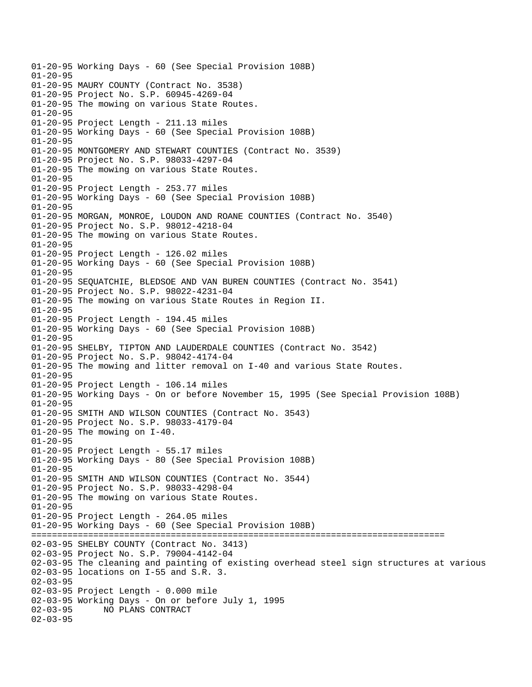01-20-95 Working Days - 60 (See Special Provision 108B) 01-20-95 01-20-95 MAURY COUNTY (Contract No. 3538) 01-20-95 Project No. S.P. 60945-4269-04 01-20-95 The mowing on various State Routes. 01-20-95 01-20-95 Project Length - 211.13 miles 01-20-95 Working Days - 60 (See Special Provision 108B) 01-20-95 01-20-95 MONTGOMERY AND STEWART COUNTIES (Contract No. 3539) 01-20-95 Project No. S.P. 98033-4297-04 01-20-95 The mowing on various State Routes. 01-20-95 01-20-95 Project Length - 253.77 miles 01-20-95 Working Days - 60 (See Special Provision 108B) 01-20-95 01-20-95 MORGAN, MONROE, LOUDON AND ROANE COUNTIES (Contract No. 3540) 01-20-95 Project No. S.P. 98012-4218-04 01-20-95 The mowing on various State Routes. 01-20-95 01-20-95 Project Length - 126.02 miles 01-20-95 Working Days - 60 (See Special Provision 108B) 01-20-95 01-20-95 SEQUATCHIE, BLEDSOE AND VAN BUREN COUNTIES (Contract No. 3541) 01-20-95 Project No. S.P. 98022-4231-04 01-20-95 The mowing on various State Routes in Region II. 01-20-95 01-20-95 Project Length - 194.45 miles 01-20-95 Working Days - 60 (See Special Provision 108B) 01-20-95 01-20-95 SHELBY, TIPTON AND LAUDERDALE COUNTIES (Contract No. 3542) 01-20-95 Project No. S.P. 98042-4174-04 01-20-95 The mowing and litter removal on I-40 and various State Routes. 01-20-95 01-20-95 Project Length - 106.14 miles 01-20-95 Working Days - On or before November 15, 1995 (See Special Provision 108B) 01-20-95 01-20-95 SMITH AND WILSON COUNTIES (Contract No. 3543) 01-20-95 Project No. S.P. 98033-4179-04 01-20-95 The mowing on I-40. 01-20-95 01-20-95 Project Length - 55.17 miles 01-20-95 Working Days - 80 (See Special Provision 108B) 01-20-95 01-20-95 SMITH AND WILSON COUNTIES (Contract No. 3544) 01-20-95 Project No. S.P. 98033-4298-04 01-20-95 The mowing on various State Routes. 01-20-95 01-20-95 Project Length - 264.05 miles 01-20-95 Working Days - 60 (See Special Provision 108B) ================================================================================ 02-03-95 SHELBY COUNTY (Contract No. 3413) 02-03-95 Project No. S.P. 79004-4142-04 02-03-95 The cleaning and painting of existing overhead steel sign structures at various 02-03-95 locations on I-55 and S.R. 3.  $02 - 03 - 95$ 02-03-95 Project Length - 0.000 mile 02-03-95 Working Days - On or before July 1, 1995 02-03-95 NO PLANS CONTRACT 02-03-95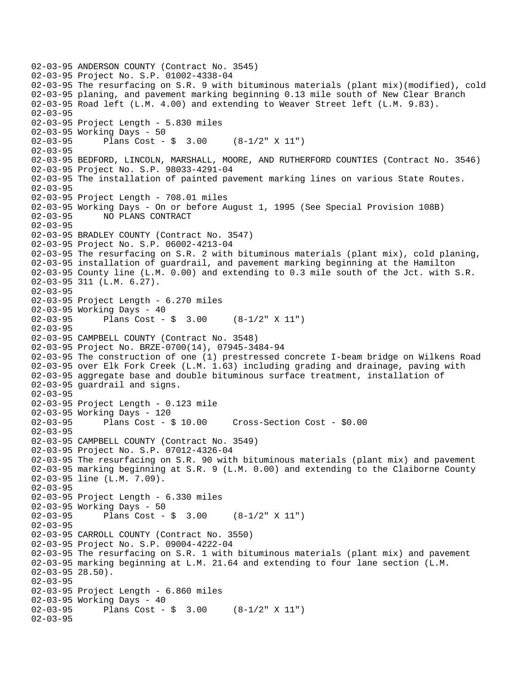02-03-95 ANDERSON COUNTY (Contract No. 3545) 02-03-95 Project No. S.P. 01002-4338-04 02-03-95 The resurfacing on S.R. 9 with bituminous materials (plant mix)(modified), cold 02-03-95 planing, and pavement marking beginning 0.13 mile south of New Clear Branch 02-03-95 Road left (L.M. 4.00) and extending to Weaver Street left (L.M. 9.83). 02-03-95 02-03-95 Project Length - 5.830 miles 02-03-95 Working Days - 50 02-03-95 Plans Cost - \$ 3.00 (8-1/2" X 11") 02-03-95 02-03-95 BEDFORD, LINCOLN, MARSHALL, MOORE, AND RUTHERFORD COUNTIES (Contract No. 3546) 02-03-95 Project No. S.P. 98033-4291-04 02-03-95 The installation of painted pavement marking lines on various State Routes.  $02 - 03 - 95$ 02-03-95 Project Length - 708.01 miles 02-03-95 Working Days - On or before August 1, 1995 (See Special Provision 108B) 02-03-95 NO PLANS CONTRACT 02-03-95 02-03-95 BRADLEY COUNTY (Contract No. 3547) 02-03-95 Project No. S.P. 06002-4213-04 02-03-95 The resurfacing on S.R. 2 with bituminous materials (plant mix), cold planing, 02-03-95 installation of guardrail, and pavement marking beginning at the Hamilton 02-03-95 County line (L.M. 0.00) and extending to 0.3 mile south of the Jct. with S.R. 02-03-95 311 (L.M. 6.27). 02-03-95 02-03-95 Project Length - 6.270 miles 02-03-95 Working Days - 40 02-03-95 Plans Cost - \$ 3.00 (8-1/2" X 11") 02-03-95 02-03-95 CAMPBELL COUNTY (Contract No. 3548) 02-03-95 Project No. BRZE-0700(14), 07945-3484-94 02-03-95 The construction of one (1) prestressed concrete I-beam bridge on Wilkens Road 02-03-95 over Elk Fork Creek (L.M. 1.63) including grading and drainage, paving with 02-03-95 aggregate base and double bituminous surface treatment, installation of 02-03-95 guardrail and signs.  $02 - 03 - 95$ 02-03-95 Project Length - 0.123 mile 02-03-95 Working Days - 120 02-03-95 Plans Cost - \$ 10.00 Cross-Section Cost - \$0.00 02-03-95 02-03-95 CAMPBELL COUNTY (Contract No. 3549) 02-03-95 Project No. S.P. 07012-4326-04 02-03-95 The resurfacing on S.R. 90 with bituminous materials (plant mix) and pavement 02-03-95 marking beginning at S.R. 9 (L.M. 0.00) and extending to the Claiborne County 02-03-95 line (L.M. 7.09). 02-03-95 02-03-95 Project Length - 6.330 miles 02-03-95 Working Days - 50<br>02-03-95 Plans Cost -Plans Cost -  $\frac{1}{2}$  3.00 (8-1/2" X 11") 02-03-95 02-03-95 CARROLL COUNTY (Contract No. 3550) 02-03-95 Project No. S.P. 09004-4222-04 02-03-95 The resurfacing on S.R. 1 with bituminous materials (plant mix) and pavement 02-03-95 marking beginning at L.M. 21.64 and extending to four lane section (L.M. 02-03-95 28.50). 02-03-95 02-03-95 Project Length - 6.860 miles 02-03-95 Working Days - 40<br>02-03-95 Plans Cost -Plans Cost -  $\frac{1}{2}$  3.00 (8-1/2" X 11") 02-03-95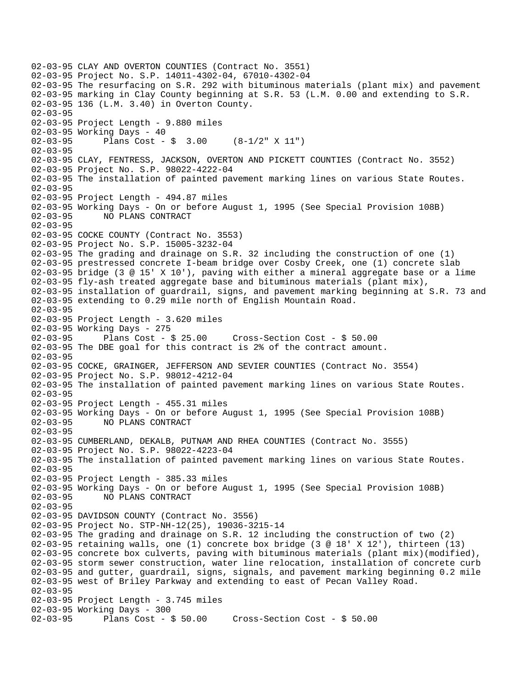02-03-95 CLAY AND OVERTON COUNTIES (Contract No. 3551) 02-03-95 Project No. S.P. 14011-4302-04, 67010-4302-04 02-03-95 The resurfacing on S.R. 292 with bituminous materials (plant mix) and pavement 02-03-95 marking in Clay County beginning at S.R. 53 (L.M. 0.00 and extending to S.R. 02-03-95 136 (L.M. 3.40) in Overton County. 02-03-95 02-03-95 Project Length - 9.880 miles 02-03-95 Working Days - 40 02-03-95 Plans Cost - \$ 3.00 (8-1/2" X 11") 02-03-95 02-03-95 CLAY, FENTRESS, JACKSON, OVERTON AND PICKETT COUNTIES (Contract No. 3552) 02-03-95 Project No. S.P. 98022-4222-04 02-03-95 The installation of painted pavement marking lines on various State Routes.  $02 - 03 - 95$ 02-03-95 Project Length - 494.87 miles 02-03-95 Working Days - On or before August 1, 1995 (See Special Provision 108B) 02-03-95 NO PLANS CONTRACT 02-03-95 02-03-95 COCKE COUNTY (Contract No. 3553) 02-03-95 Project No. S.P. 15005-3232-04 02-03-95 The grading and drainage on S.R. 32 including the construction of one (1) 02-03-95 prestressed concrete I-beam bridge over Cosby Creek, one (1) concrete slab 02-03-95 bridge (3 @ 15' X 10'), paving with either a mineral aggregate base or a lime 02-03-95 fly-ash treated aggregate base and bituminous materials (plant mix), 02-03-95 installation of guardrail, signs, and pavement marking beginning at S.R. 73 and 02-03-95 extending to 0.29 mile north of English Mountain Road. 02-03-95 02-03-95 Project Length - 3.620 miles 02-03-95 Working Days - 275<br>02-03-95 Plans Cost - \$ 25.00 02-03-95 Plans Cost - \$ 25.00 Cross-Section Cost - \$ 50.00 02-03-95 The DBE goal for this contract is 2% of the contract amount. 02-03-95 02-03-95 COCKE, GRAINGER, JEFFERSON AND SEVIER COUNTIES (Contract No. 3554) 02-03-95 Project No. S.P. 98012-4212-04 02-03-95 The installation of painted pavement marking lines on various State Routes.  $02 - 03 - 95$ 02-03-95 Project Length - 455.31 miles 02-03-95 Working Days - On or before August 1, 1995 (See Special Provision 108B) 02-03-95 NO PLANS CONTRACT 02-03-95 02-03-95 CUMBERLAND, DEKALB, PUTNAM AND RHEA COUNTIES (Contract No. 3555) 02-03-95 Project No. S.P. 98022-4223-04 02-03-95 The installation of painted pavement marking lines on various State Routes. 02-03-95 02-03-95 Project Length - 385.33 miles 02-03-95 Working Days - On or before August 1, 1995 (See Special Provision 108B) 02-03-95 NO PLANS CONTRACT 02-03-95 02-03-95 DAVIDSON COUNTY (Contract No. 3556) 02-03-95 Project No. STP-NH-12(25), 19036-3215-14 02-03-95 The grading and drainage on S.R. 12 including the construction of two (2) 02-03-95 retaining walls, one (1) concrete box bridge (3 @ 18' X 12'), thirteen (13) 02-03-95 concrete box culverts, paving with bituminous materials (plant mix)(modified), 02-03-95 storm sewer construction, water line relocation, installation of concrete curb 02-03-95 and gutter, guardrail, signs, signals, and pavement marking beginning 0.2 mile 02-03-95 west of Briley Parkway and extending to east of Pecan Valley Road. 02-03-95 02-03-95 Project Length - 3.745 miles 02-03-95 Working Days - 300 02-03-95 Plans Cost - \$ 50.00 Cross-Section Cost - \$ 50.00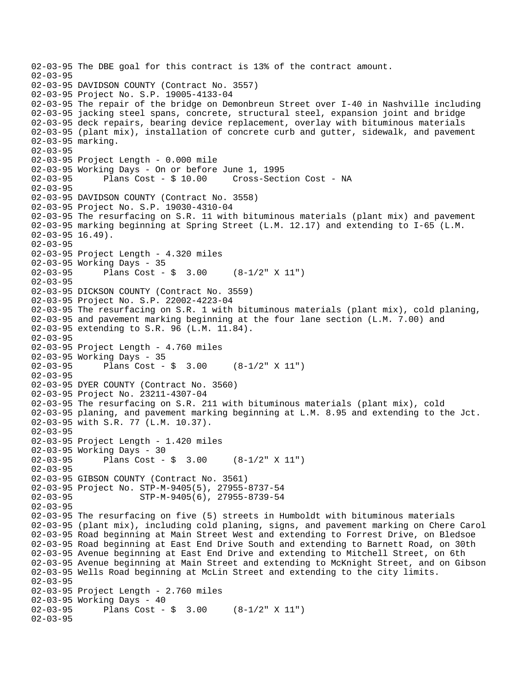```
02-03-95 The DBE goal for this contract is 13% of the contract amount. 
02-03-95 
02-03-95 DAVIDSON COUNTY (Contract No. 3557) 
02-03-95 Project No. S.P. 19005-4133-04 
02-03-95 The repair of the bridge on Demonbreun Street over I-40 in Nashville including 
02-03-95 jacking steel spans, concrete, structural steel, expansion joint and bridge 
02-03-95 deck repairs, bearing device replacement, overlay with bituminous materials 
02-03-95 (plant mix), installation of concrete curb and gutter, sidewalk, and pavement 
02-03-95 marking. 
02-03-95 
02-03-95 Project Length - 0.000 mile 
02-03-95 Working Days - On or before June 1, 1995 
02-03-95 Plans Cost - $ 10.00 Cross-Section Cost - NA 
02 - 03 - 9502-03-95 DAVIDSON COUNTY (Contract No. 3558) 
02-03-95 Project No. S.P. 19030-4310-04 
02-03-95 The resurfacing on S.R. 11 with bituminous materials (plant mix) and pavement 
02-03-95 marking beginning at Spring Street (L.M. 12.17) and extending to I-65 (L.M. 
02-03-95 16.49).
02-03-95 
02-03-95 Project Length - 4.320 miles 
02-03-95 Working Days - 35 
02-03-95 Plans Cost - $ 3.00 (8-1/2" X 11") 
02-03-95 
02-03-95 DICKSON COUNTY (Contract No. 3559) 
02-03-95 Project No. S.P. 22002-4223-04 
02-03-95 The resurfacing on S.R. 1 with bituminous materials (plant mix), cold planing, 
02-03-95 and pavement marking beginning at the four lane section (L.M. 7.00) and 
02-03-95 extending to S.R. 96 (L.M. 11.84). 
02-03-95 
02-03-95 Project Length - 4.760 miles 
02-03-95 Working Days - 35<br>02-03-95 Plans Cost -
              Plans Cost - \sin 3.00 (8-1/2" X 11")
02-03-95 
02-03-95 DYER COUNTY (Contract No. 3560) 
02-03-95 Project No. 23211-4307-04 
02-03-95 The resurfacing on S.R. 211 with bituminous materials (plant mix), cold 
02-03-95 planing, and pavement marking beginning at L.M. 8.95 and extending to the Jct. 
02-03-95 with S.R. 77 (L.M. 10.37). 
02-03-95 
02-03-95 Project Length - 1.420 miles 
02-03-95 Working Days - 30 
02-03-95 Plans Cost - $ 3.00 (8-1/2" X 11") 
02-03-95 
02-03-95 GIBSON COUNTY (Contract No. 3561) 
02-03-95 Project No. STP-M-9405(5), 27955-8737-54 
02-03-95 STP-M-9405(6), 27955-8739-54 
02-03-95 
02-03-95 The resurfacing on five (5) streets in Humboldt with bituminous materials 
02-03-95 (plant mix), including cold planing, signs, and pavement marking on Chere Carol 
02-03-95 Road beginning at Main Street West and extending to Forrest Drive, on Bledsoe 
02-03-95 Road beginning at East End Drive South and extending to Barnett Road, on 30th 
02-03-95 Avenue beginning at East End Drive and extending to Mitchell Street, on 6th 
02-03-95 Avenue beginning at Main Street and extending to McKnight Street, and on Gibson 
02-03-95 Wells Road beginning at McLin Street and extending to the city limits. 
02-03-95 
02-03-95 Project Length - 2.760 miles 
02-03-95 Working Days - 40<br>02-03-95 Plans Cost -
              Plans Cost - \frac{1}{2} 3.00 (8-1/2" X 11")
02-03-95
```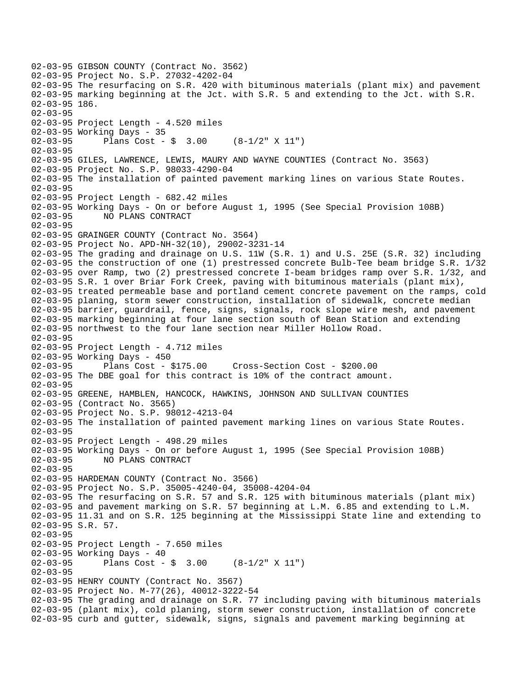02-03-95 GIBSON COUNTY (Contract No. 3562) 02-03-95 Project No. S.P. 27032-4202-04 02-03-95 The resurfacing on S.R. 420 with bituminous materials (plant mix) and pavement 02-03-95 marking beginning at the Jct. with S.R. 5 and extending to the Jct. with S.R. 02-03-95 186. 02-03-95 02-03-95 Project Length - 4.520 miles 02-03-95 Working Days - 35 02-03-95 Plans Cost - \$ 3.00 (8-1/2" X 11") 02-03-95 02-03-95 GILES, LAWRENCE, LEWIS, MAURY AND WAYNE COUNTIES (Contract No. 3563) 02-03-95 Project No. S.P. 98033-4290-04 02-03-95 The installation of painted pavement marking lines on various State Routes.  $02 - 03 - 95$ 02-03-95 Project Length - 682.42 miles 02-03-95 Working Days - On or before August 1, 1995 (See Special Provision 108B) 02-03-95 NO PLANS CONTRACT 02-03-95 02-03-95 GRAINGER COUNTY (Contract No. 3564) 02-03-95 Project No. APD-NH-32(10), 29002-3231-14 02-03-95 The grading and drainage on U.S. 11W (S.R. 1) and U.S. 25E (S.R. 32) including 02-03-95 the construction of one (1) prestressed concrete Bulb-Tee beam bridge S.R. 1/32 02-03-95 over Ramp, two (2) prestressed concrete I-beam bridges ramp over S.R. 1/32, and 02-03-95 S.R. 1 over Briar Fork Creek, paving with bituminous materials (plant mix), 02-03-95 treated permeable base and portland cement concrete pavement on the ramps, cold 02-03-95 planing, storm sewer construction, installation of sidewalk, concrete median 02-03-95 barrier, guardrail, fence, signs, signals, rock slope wire mesh, and pavement 02-03-95 marking beginning at four lane section south of Bean Station and extending 02-03-95 northwest to the four lane section near Miller Hollow Road. 02-03-95 02-03-95 Project Length - 4.712 miles 02-03-95 Working Days - 450<br>02-03-95 Plans Cost - \$175.00 02-03-95 Plans Cost - \$175.00 Cross-Section Cost - \$200.00 02-03-95 The DBE goal for this contract is 10% of the contract amount. 02-03-95 02-03-95 GREENE, HAMBLEN, HANCOCK, HAWKINS, JOHNSON AND SULLIVAN COUNTIES 02-03-95 (Contract No. 3565) 02-03-95 Project No. S.P. 98012-4213-04 02-03-95 The installation of painted pavement marking lines on various State Routes. 02-03-95 02-03-95 Project Length - 498.29 miles 02-03-95 Working Days - On or before August 1, 1995 (See Special Provision 108B) 02-03-95 NO PLANS CONTRACT 02-03-95 02-03-95 HARDEMAN COUNTY (Contract No. 3566) 02-03-95 Project No. S.P. 35005-4240-04, 35008-4204-04 02-03-95 The resurfacing on S.R. 57 and S.R. 125 with bituminous materials (plant mix) 02-03-95 and pavement marking on S.R. 57 beginning at L.M. 6.85 and extending to L.M. 02-03-95 11.31 and on S.R. 125 beginning at the Mississippi State line and extending to 02-03-95 S.R. 57. 02-03-95 02-03-95 Project Length - 7.650 miles 02-03-95 Working Days - 40 02-03-95 Plans Cost - \$ 3.00 (8-1/2" X 11") 02-03-95 02-03-95 HENRY COUNTY (Contract No. 3567) 02-03-95 Project No. M-77(26), 40012-3222-54 02-03-95 The grading and drainage on S.R. 77 including paving with bituminous materials 02-03-95 (plant mix), cold planing, storm sewer construction, installation of concrete 02-03-95 curb and gutter, sidewalk, signs, signals and pavement marking beginning at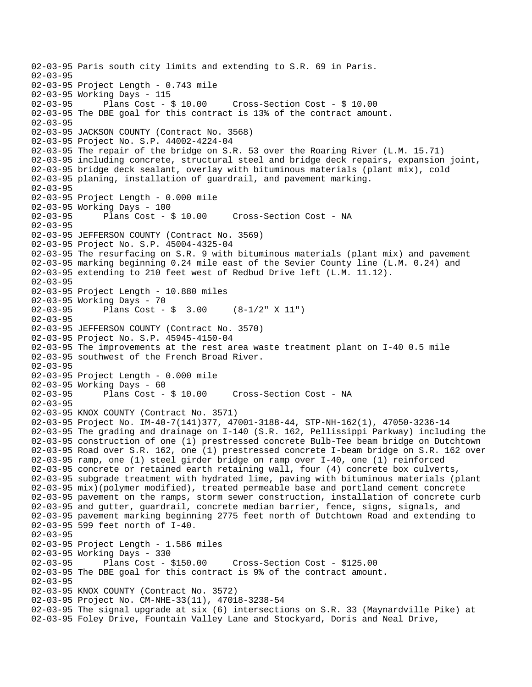```
02-03-95 Paris south city limits and extending to S.R. 69 in Paris. 
02-03-95 
02-03-95 Project Length - 0.743 mile 
02-03-95 Working Days - 115<br>02-03-95 Plans Cost - $ 10.00
02-03-95 Plans Cost - $ 10.00 Cross-Section Cost - $ 10.00 
02-03-95 The DBE goal for this contract is 13% of the contract amount. 
02-03-95 
02-03-95 JACKSON COUNTY (Contract No. 3568) 
02-03-95 Project No. S.P. 44002-4224-04 
02-03-95 The repair of the bridge on S.R. 53 over the Roaring River (L.M. 15.71) 
02-03-95 including concrete, structural steel and bridge deck repairs, expansion joint, 
02-03-95 bridge deck sealant, overlay with bituminous materials (plant mix), cold 
02-03-95 planing, installation of guardrail, and pavement marking. 
02-03-95 
02-03-95 Project Length - 0.000 mile 
02-03-95 Working Days - 100 
02-03-95 Plans Cost - $ 10.00 Cross-Section Cost - NA 
02-03-95 
02-03-95 JEFFERSON COUNTY (Contract No. 3569) 
02-03-95 Project No. S.P. 45004-4325-04 
02-03-95 The resurfacing on S.R. 9 with bituminous materials (plant mix) and pavement 
02-03-95 marking beginning 0.24 mile east of the Sevier County line (L.M. 0.24) and 
02-03-95 extending to 210 feet west of Redbud Drive left (L.M. 11.12). 
02-03-95 
02-03-95 Project Length - 10.880 miles 
02-03-95 Working Days - 70 
02-03-95 Plans Cost - $ 3.00 (8-1/2" X 11") 
02-03-95 
02-03-95 JEFFERSON COUNTY (Contract No. 3570) 
02-03-95 Project No. S.P. 45945-4150-04 
02-03-95 The improvements at the rest area waste treatment plant on I-40 0.5 mile 
02-03-95 southwest of the French Broad River. 
02-03-95 
02-03-95 Project Length - 0.000 mile 
02-03-95 Working Days - 60 
02-03-95 Plans Cost - $ 10.00 Cross-Section Cost - NA 
02-03-95 
02-03-95 KNOX COUNTY (Contract No. 3571) 
02-03-95 Project No. IM-40-7(141)377, 47001-3188-44, STP-NH-162(1), 47050-3236-14 
02-03-95 The grading and drainage on I-140 (S.R. 162, Pellissippi Parkway) including the 
02-03-95 construction of one (1) prestressed concrete Bulb-Tee beam bridge on Dutchtown 
02-03-95 Road over S.R. 162, one (1) prestressed concrete I-beam bridge on S.R. 162 over 
02-03-95 ramp, one (1) steel girder bridge on ramp over I-40, one (1) reinforced 
02-03-95 concrete or retained earth retaining wall, four (4) concrete box culverts, 
02-03-95 subgrade treatment with hydrated lime, paving with bituminous materials (plant 
02-03-95 mix)(polymer modified), treated permeable base and portland cement concrete 
02-03-95 pavement on the ramps, storm sewer construction, installation of concrete curb 
02-03-95 and gutter, guardrail, concrete median barrier, fence, signs, signals, and 
02-03-95 pavement marking beginning 2775 feet north of Dutchtown Road and extending to 
02-03-95 599 feet north of I-40. 
02-03-95 
02-03-95 Project Length - 1.586 miles 
02-03-95 Working Days - 330 
02-03-95 Plans Cost - $150.00 Cross-Section Cost - $125.00 
02-03-95 The DBE goal for this contract is 9% of the contract amount. 
02-03-95 
02-03-95 KNOX COUNTY (Contract No. 3572) 
02-03-95 Project No. CM-NHE-33(11), 47018-3238-54 
02-03-95 The signal upgrade at six (6) intersections on S.R. 33 (Maynardville Pike) at 
02-03-95 Foley Drive, Fountain Valley Lane and Stockyard, Doris and Neal Drive,
```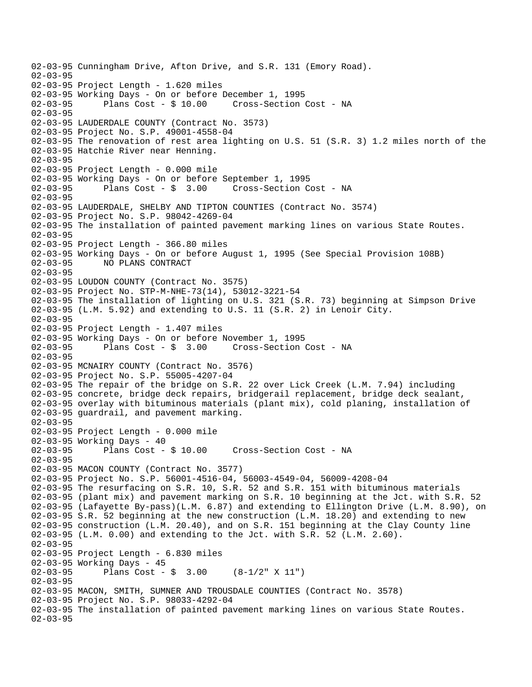02-03-95 Cunningham Drive, Afton Drive, and S.R. 131 (Emory Road). 02-03-95 02-03-95 Project Length - 1.620 miles 02-03-95 Working Days - On or before December 1, 1995 02-03-95 Plans Cost - \$ 10.00 Cross-Section Cost - NA 02-03-95 02-03-95 LAUDERDALE COUNTY (Contract No. 3573) 02-03-95 Project No. S.P. 49001-4558-04 02-03-95 The renovation of rest area lighting on U.S. 51 (S.R. 3) 1.2 miles north of the 02-03-95 Hatchie River near Henning. 02-03-95 02-03-95 Project Length - 0.000 mile 02-03-95 Working Days - On or before September 1, 1995 02-03-95 Plans Cost - \$ 3.00 Cross-Section Cost - NA 02-03-95 02-03-95 LAUDERDALE, SHELBY AND TIPTON COUNTIES (Contract No. 3574) 02-03-95 Project No. S.P. 98042-4269-04 02-03-95 The installation of painted pavement marking lines on various State Routes. 02-03-95 02-03-95 Project Length - 366.80 miles 02-03-95 Working Days - On or before August 1, 1995 (See Special Provision 108B) 02-03-95 NO PLANS CONTRACT 02-03-95 02-03-95 LOUDON COUNTY (Contract No. 3575) 02-03-95 Project No. STP-M-NHE-73(14), 53012-3221-54 02-03-95 The installation of lighting on U.S. 321 (S.R. 73) beginning at Simpson Drive 02-03-95 (L.M. 5.92) and extending to U.S. 11 (S.R. 2) in Lenoir City. 02-03-95 02-03-95 Project Length - 1.407 miles 02-03-95 Working Days - On or before November 1, 1995 02-03-95 Plans Cost - \$ 3.00 Cross-Section Cost - NA 02-03-95 02-03-95 MCNAIRY COUNTY (Contract No. 3576) 02-03-95 Project No. S.P. 55005-4207-04 02-03-95 The repair of the bridge on S.R. 22 over Lick Creek (L.M. 7.94) including 02-03-95 concrete, bridge deck repairs, bridgerail replacement, bridge deck sealant, 02-03-95 overlay with bituminous materials (plant mix), cold planing, installation of 02-03-95 guardrail, and pavement marking. 02-03-95 02-03-95 Project Length - 0.000 mile 02-03-95 Working Days - 40 02-03-95 Plans Cost - \$ 10.00 Cross-Section Cost - NA 02-03-95 02-03-95 MACON COUNTY (Contract No. 3577) 02-03-95 Project No. S.P. 56001-4516-04, 56003-4549-04, 56009-4208-04 02-03-95 The resurfacing on S.R. 10, S.R. 52 and S.R. 151 with bituminous materials 02-03-95 (plant mix) and pavement marking on S.R. 10 beginning at the Jct. with S.R. 52 02-03-95 (Lafayette By-pass)(L.M. 6.87) and extending to Ellington Drive (L.M. 8.90), on 02-03-95 S.R. 52 beginning at the new construction (L.M. 18.20) and extending to new 02-03-95 construction (L.M. 20.40), and on S.R. 151 beginning at the Clay County line 02-03-95 (L.M. 0.00) and extending to the Jct. with S.R. 52 (L.M. 2.60). 02-03-95 02-03-95 Project Length - 6.830 miles 02-03-95 Working Days - 45<br>02-03-95 Plans Cost -Plans Cost -  $\sin 3.00$  (8-1/2" X 11") 02-03-95 02-03-95 MACON, SMITH, SUMNER AND TROUSDALE COUNTIES (Contract No. 3578) 02-03-95 Project No. S.P. 98033-4292-04 02-03-95 The installation of painted pavement marking lines on various State Routes. 02-03-95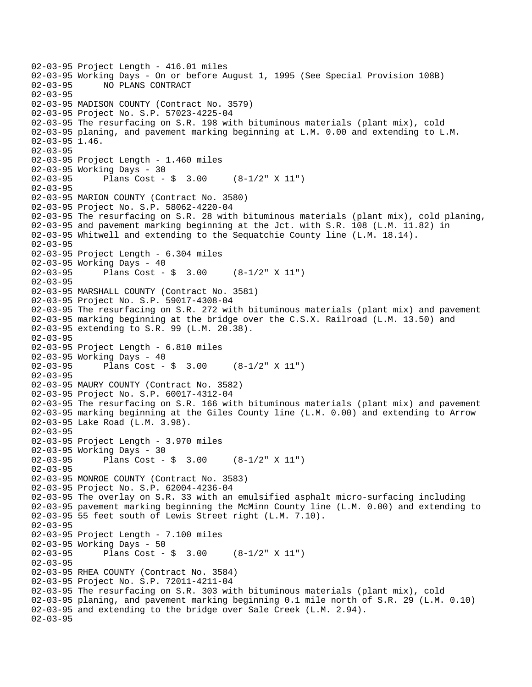02-03-95 Project Length - 416.01 miles 02-03-95 Working Days - On or before August 1, 1995 (See Special Provision 108B)<br>02-03-95 NO PLANS CONTRACT 02-03-95 NO PLANS CONTRACT 02-03-95 02-03-95 MADISON COUNTY (Contract No. 3579) 02-03-95 Project No. S.P. 57023-4225-04 02-03-95 The resurfacing on S.R. 198 with bituminous materials (plant mix), cold 02-03-95 planing, and pavement marking beginning at L.M. 0.00 and extending to L.M. 02-03-95 1.46. 02-03-95 02-03-95 Project Length - 1.460 miles 02-03-95 Working Days - 30 02-03-95 Plans Cost - \$ 3.00 (8-1/2" X 11") 02-03-95 02-03-95 MARION COUNTY (Contract No. 3580) 02-03-95 Project No. S.P. 58062-4220-04 02-03-95 The resurfacing on S.R. 28 with bituminous materials (plant mix), cold planing, 02-03-95 and pavement marking beginning at the Jct. with S.R. 108 (L.M. 11.82) in 02-03-95 Whitwell and extending to the Sequatchie County line (L.M. 18.14). 02-03-95 02-03-95 Project Length - 6.304 miles 02-03-95 Working Days - 40<br>02-03-95 Plans Cost -Plans Cost -  $\sin 3.00$  (8-1/2" X 11") 02-03-95 02-03-95 MARSHALL COUNTY (Contract No. 3581) 02-03-95 Project No. S.P. 59017-4308-04 02-03-95 The resurfacing on S.R. 272 with bituminous materials (plant mix) and pavement 02-03-95 marking beginning at the bridge over the C.S.X. Railroad (L.M. 13.50) and 02-03-95 extending to S.R. 99 (L.M. 20.38). 02-03-95 02-03-95 Project Length - 6.810 miles 02-03-95 Working Days - 40<br>02-03-95 Plans Cost -Plans Cost -  $\sin 3.00$  (8-1/2" X 11") 02-03-95 02-03-95 MAURY COUNTY (Contract No. 3582) 02-03-95 Project No. S.P. 60017-4312-04 02-03-95 The resurfacing on S.R. 166 with bituminous materials (plant mix) and pavement 02-03-95 marking beginning at the Giles County line (L.M. 0.00) and extending to Arrow 02-03-95 Lake Road (L.M. 3.98). 02-03-95 02-03-95 Project Length - 3.970 miles 02-03-95 Working Days - 30 02-03-95 Plans Cost - \$ 3.00 (8-1/2" X 11") 02-03-95 02-03-95 MONROE COUNTY (Contract No. 3583) 02-03-95 Project No. S.P. 62004-4236-04 02-03-95 The overlay on S.R. 33 with an emulsified asphalt micro-surfacing including 02-03-95 pavement marking beginning the McMinn County line (L.M. 0.00) and extending to 02-03-95 55 feet south of Lewis Street right (L.M. 7.10). 02-03-95 02-03-95 Project Length - 7.100 miles 02-03-95 Working Days - 50 02-03-95 Plans Cost - \$ 3.00 (8-1/2" X 11") 02-03-95 02-03-95 RHEA COUNTY (Contract No. 3584) 02-03-95 Project No. S.P. 72011-4211-04 02-03-95 The resurfacing on S.R. 303 with bituminous materials (plant mix), cold 02-03-95 planing, and pavement marking beginning 0.1 mile north of S.R. 29 (L.M. 0.10) 02-03-95 and extending to the bridge over Sale Creek (L.M. 2.94). 02-03-95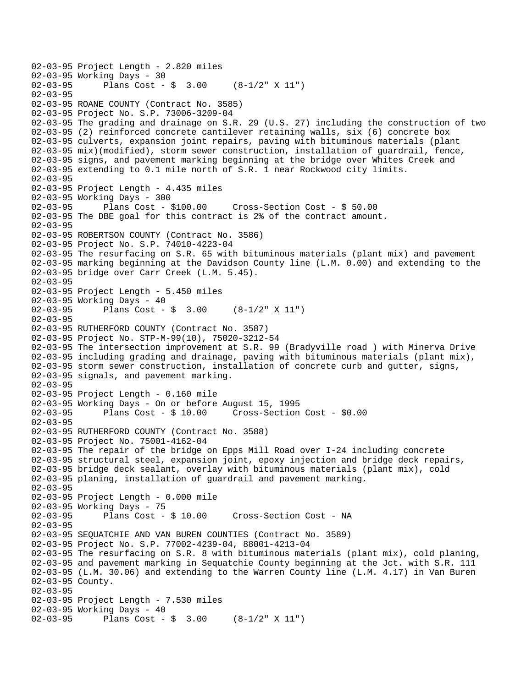```
02-03-95 Project Length - 2.820 miles 
02-03-95 Working Days - 30<br>02-03-95 Plans Cost -
              Plans Cost - \sin 3.00 (8-1/2" X 11")
02-03-95 
02-03-95 ROANE COUNTY (Contract No. 3585) 
02-03-95 Project No. S.P. 73006-3209-04 
02-03-95 The grading and drainage on S.R. 29 (U.S. 27) including the construction of two 
02-03-95 (2) reinforced concrete cantilever retaining walls, six (6) concrete box 
02-03-95 culverts, expansion joint repairs, paving with bituminous materials (plant 
02-03-95 mix)(modified), storm sewer construction, installation of guardrail, fence, 
02-03-95 signs, and pavement marking beginning at the bridge over Whites Creek and 
02-03-95 extending to 0.1 mile north of S.R. 1 near Rockwood city limits. 
02 - 03 - 9502-03-95 Project Length - 4.435 miles 
02-03-95 Working Days - 300 
                                      02-03-95 Plans Cost - $100.00 Cross-Section Cost - $ 50.00 
02-03-95 The DBE goal for this contract is 2% of the contract amount. 
02-03-95 
02-03-95 ROBERTSON COUNTY (Contract No. 3586) 
02-03-95 Project No. S.P. 74010-4223-04 
02-03-95 The resurfacing on S.R. 65 with bituminous materials (plant mix) and pavement 
02-03-95 marking beginning at the Davidson County line (L.M. 0.00) and extending to the 
02-03-95 bridge over Carr Creek (L.M. 5.45). 
02-03-95 
02-03-95 Project Length - 5.450 miles 
02-03-95 Working Days - 40 
02-03-95 Plans Cost - $ 3.00 (8-1/2" X 11") 
02-03-95 
02-03-95 RUTHERFORD COUNTY (Contract No. 3587) 
02-03-95 Project No. STP-M-99(10), 75020-3212-54 
02-03-95 The intersection improvement at S.R. 99 (Bradyville road ) with Minerva Drive 
02-03-95 including grading and drainage, paving with bituminous materials (plant mix), 
02-03-95 storm sewer construction, installation of concrete curb and gutter, signs, 
02-03-95 signals, and pavement marking. 
02-03-95 
02-03-95 Project Length - 0.160 mile 
02-03-95 Working Days - On or before August 15, 1995 
02-03-95 Plans Cost - $ 10.00 Cross-Section Cost - $0.00 
02-03-95 
02-03-95 RUTHERFORD COUNTY (Contract No. 3588) 
02-03-95 Project No. 75001-4162-04 
02-03-95 The repair of the bridge on Epps Mill Road over I-24 including concrete 
02-03-95 structural steel, expansion joint, epoxy injection and bridge deck repairs, 
02-03-95 bridge deck sealant, overlay with bituminous materials (plant mix), cold 
02-03-95 planing, installation of guardrail and pavement marking. 
02-03-95 
02-03-95 Project Length - 0.000 mile 
02-03-95 Working Days - 75<br>02-03-95 Plans Cost - $ 10.00
                                      Cross-Section Cost - NA
02-03-95 
02-03-95 SEQUATCHIE AND VAN BUREN COUNTIES (Contract No. 3589) 
02-03-95 Project No. S.P. 77002-4239-04, 88001-4213-04 
02-03-95 The resurfacing on S.R. 8 with bituminous materials (plant mix), cold planing, 
02-03-95 and pavement marking in Sequatchie County beginning at the Jct. with S.R. 111 
02-03-95 (L.M. 30.06) and extending to the Warren County line (L.M. 4.17) in Van Buren 
02-03-95 County. 
02-03-95 
02-03-95 Project Length - 7.530 miles
02-03-95 Working Days - 40 
02-03-95 Plans Cost - $ 3.00 (8-1/2" X 11")
```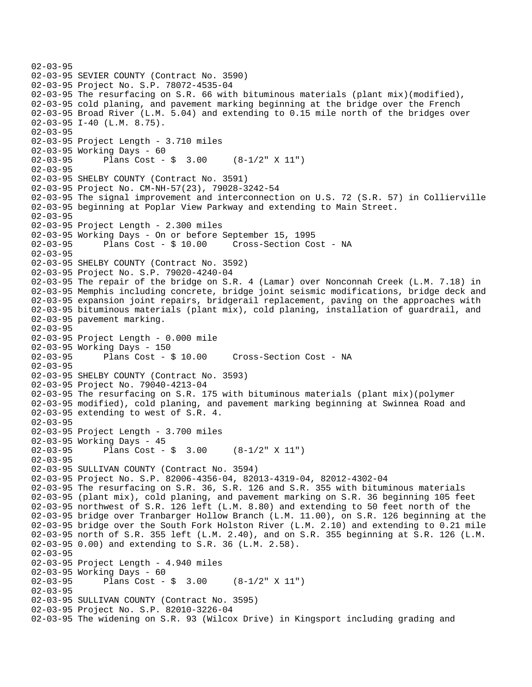```
02-03-95 
02-03-95 SEVIER COUNTY (Contract No. 3590) 
02-03-95 Project No. S.P. 78072-4535-04 
02-03-95 The resurfacing on S.R. 66 with bituminous materials (plant mix)(modified), 
02-03-95 cold planing, and pavement marking beginning at the bridge over the French 
02-03-95 Broad River (L.M. 5.04) and extending to 0.15 mile north of the bridges over 
02-03-95 I-40 (L.M. 8.75). 
02-03-95 
02-03-95 Project Length - 3.710 miles 
02-03-95 Working Days - 60 
02-03-95 Plans Cost - $ 3.00 (8-1/2" X 11") 
02-03-95 
02-03-95 SHELBY COUNTY (Contract No. 3591) 
02-03-95 Project No. CM-NH-57(23), 79028-3242-54 
02-03-95 The signal improvement and interconnection on U.S. 72 (S.R. 57) in Collierville 
02-03-95 beginning at Poplar View Parkway and extending to Main Street. 
02-03-95 
02-03-95 Project Length - 2.300 miles 
02-03-95 Working Days - On or before September 15, 1995 
02-03-95 Plans Cost - $ 10.00 Cross-Section Cost - NA 
02-03-95 
02-03-95 SHELBY COUNTY (Contract No. 3592) 
02-03-95 Project No. S.P. 79020-4240-04 
02-03-95 The repair of the bridge on S.R. 4 (Lamar) over Nonconnah Creek (L.M. 7.18) in 
02-03-95 Memphis including concrete, bridge joint seismic modifications, bridge deck and 
02-03-95 expansion joint repairs, bridgerail replacement, paving on the approaches with 
02-03-95 bituminous materials (plant mix), cold planing, installation of guardrail, and 
02-03-95 pavement marking. 
02-03-95 
02-03-95 Project Length - 0.000 mile 
02-03-95 Working Days - 150 
02-03-95 Plans Cost - $ 10.00 Cross-Section Cost - NA 
02-03-95 
02-03-95 SHELBY COUNTY (Contract No. 3593) 
02-03-95 Project No. 79040-4213-04 
02-03-95 The resurfacing on S.R. 175 with bituminous materials (plant mix)(polymer 
02-03-95 modified), cold planing, and pavement marking beginning at Swinnea Road and 
02-03-95 extending to west of S.R. 4. 
02-03-95 
02-03-95 Project Length - 3.700 miles 
02-03-95 Working Days - 45 
02-03-95 Plans Cost - $ 3.00 (8-1/2" X 11") 
02-03-95 
02-03-95 SULLIVAN COUNTY (Contract No. 3594) 
02-03-95 Project No. S.P. 82006-4356-04, 82013-4319-04, 82012-4302-04 
02-03-95 The resurfacing on S.R. 36, S.R. 126 and S.R. 355 with bituminous materials 
02-03-95 (plant mix), cold planing, and pavement marking on S.R. 36 beginning 105 feet 
02-03-95 northwest of S.R. 126 left (L.M. 8.80) and extending to 50 feet north of the 
02-03-95 bridge over Tranbarger Hollow Branch (L.M. 11.00), on S.R. 126 beginning at the 
02-03-95 bridge over the South Fork Holston River (L.M. 2.10) and extending to 0.21 mile 
02-03-95 north of S.R. 355 left (L.M. 2.40), and on S.R. 355 beginning at S.R. 126 (L.M. 
02-03-95 0.00) and extending to S.R. 36 (L.M. 2.58). 
02-03-95 
02-03-95 Project Length - 4.940 miles 
02-03-95 Working Days - 60 
02-03-95 Plans Cost - $ 3.00 (8-1/2" X 11") 
02-03-95 
02-03-95 SULLIVAN COUNTY (Contract No. 3595) 
02-03-95 Project No. S.P. 82010-3226-04 
02-03-95 The widening on S.R. 93 (Wilcox Drive) in Kingsport including grading and
```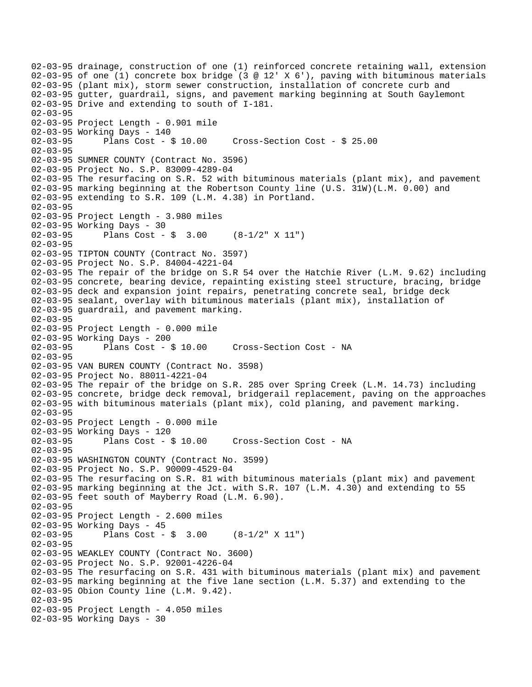02-03-95 drainage, construction of one (1) reinforced concrete retaining wall, extension 02-03-95 of one (1) concrete box bridge (3 @ 12' X 6'), paving with bituminous materials 02-03-95 (plant mix), storm sewer construction, installation of concrete curb and 02-03-95 gutter, guardrail, signs, and pavement marking beginning at South Gaylemont 02-03-95 Drive and extending to south of I-181. 02-03-95 02-03-95 Project Length - 0.901 mile 02-03-95 Working Days - 140 02-03-95 Plans Cost - \$ 10.00 Cross-Section Cost - \$ 25.00 02-03-95 02-03-95 SUMNER COUNTY (Contract No. 3596) 02-03-95 Project No. S.P. 83009-4289-04 02-03-95 The resurfacing on S.R. 52 with bituminous materials (plant mix), and pavement 02-03-95 marking beginning at the Robertson County line (U.S. 31W)(L.M. 0.00) and 02-03-95 extending to S.R. 109 (L.M. 4.38) in Portland. 02-03-95 02-03-95 Project Length - 3.980 miles 02-03-95 Working Days - 30 02-03-95 Plans Cost - \$ 3.00 (8-1/2" X 11") 02-03-95 02-03-95 TIPTON COUNTY (Contract No. 3597) 02-03-95 Project No. S.P. 84004-4221-04 02-03-95 The repair of the bridge on S.R 54 over the Hatchie River (L.M. 9.62) including 02-03-95 concrete, bearing device, repainting existing steel structure, bracing, bridge 02-03-95 deck and expansion joint repairs, penetrating concrete seal, bridge deck 02-03-95 sealant, overlay with bituminous materials (plant mix), installation of 02-03-95 guardrail, and pavement marking. 02-03-95 02-03-95 Project Length - 0.000 mile 02-03-95 Working Days - 200<br>02-03-95 Plans Cost - \$ 10.00 02-03-95 Plans Cost - \$ 10.00 Cross-Section Cost - NA 02-03-95 02-03-95 VAN BUREN COUNTY (Contract No. 3598) 02-03-95 Project No. 88011-4221-04 02-03-95 The repair of the bridge on S.R. 285 over Spring Creek (L.M. 14.73) including 02-03-95 concrete, bridge deck removal, bridgerail replacement, paving on the approaches 02-03-95 with bituminous materials (plant mix), cold planing, and pavement marking. 02-03-95 02-03-95 Project Length - 0.000 mile 02-03-95 Working Days - 120 02-03-95 Plans Cost - \$ 10.00 Cross-Section Cost - NA 02-03-95 02-03-95 WASHINGTON COUNTY (Contract No. 3599) 02-03-95 Project No. S.P. 90009-4529-04 02-03-95 The resurfacing on S.R. 81 with bituminous materials (plant mix) and pavement 02-03-95 marking beginning at the Jct. with S.R. 107 (L.M. 4.30) and extending to 55 02-03-95 feet south of Mayberry Road (L.M. 6.90). 02-03-95 02-03-95 Project Length - 2.600 miles 02-03-95 Working Days - 45 02-03-95 Plans Cost -  $\frac{1}{2}$  3.00 (8-1/2" X 11") 02-03-95 02-03-95 WEAKLEY COUNTY (Contract No. 3600) 02-03-95 Project No. S.P. 92001-4226-04 02-03-95 The resurfacing on S.R. 431 with bituminous materials (plant mix) and pavement 02-03-95 marking beginning at the five lane section (L.M. 5.37) and extending to the 02-03-95 Obion County line (L.M. 9.42). 02-03-95 02-03-95 Project Length - 4.050 miles 02-03-95 Working Days - 30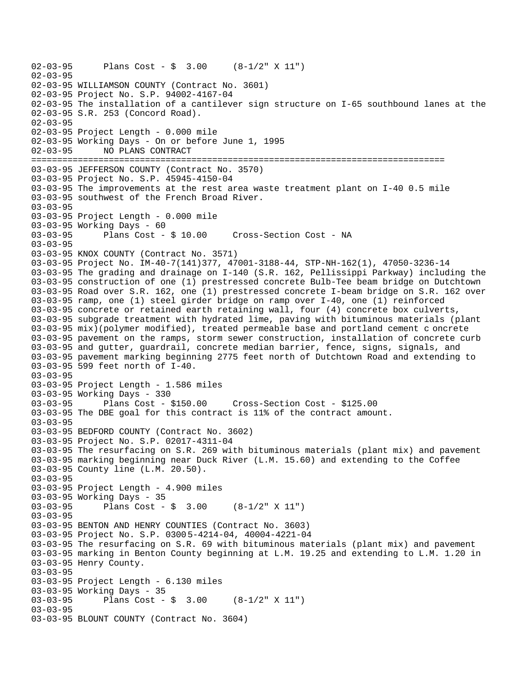02-03-95 Plans Cost - \$ 3.00 (8-1/2" X 11") 02-03-95 02-03-95 WILLIAMSON COUNTY (Contract No. 3601) 02-03-95 Project No. S.P. 94002-4167-04 02-03-95 The installation of a cantilever sign structure on I-65 southbound lanes at the 02-03-95 S.R. 253 (Concord Road). 02-03-95 02-03-95 Project Length - 0.000 mile 02-03-95 Working Days - On or before June 1, 1995 02-03-95 NO PLANS CONTRACT ================================================================================ 03-03-95 JEFFERSON COUNTY (Contract No. 3570) 03-03-95 Project No. S.P. 45945-4150-04 03-03-95 The improvements at the rest area waste treatment plant on I-40 0.5 mile 03-03-95 southwest of the French Broad River. 03-03-95 03-03-95 Project Length - 0.000 mile 03-03-95 Working Days - 60 03-03-95 Plans Cost - \$ 10.00 Cross-Section Cost - NA 03-03-95 03-03-95 KNOX COUNTY (Contract No. 3571) 03-03-95 Project No. IM-40-7(141)377, 47001-3188-44, STP-NH-162(1), 47050-3236-14 03-03-95 The grading and drainage on I-140 (S.R. 162, Pellissippi Parkway) including the 03-03-95 construction of one (1) prestressed concrete Bulb-Tee beam bridge on Dutchtown 03-03-95 Road over S.R. 162, one (1) prestressed concrete I-beam bridge on S.R. 162 over 03-03-95 ramp, one (1) steel girder bridge on ramp over I-40, one (1) reinforced 03-03-95 concrete or retained earth retaining wall, four (4) concrete box culverts, 03-03-95 subgrade treatment with hydrated lime, paving with bituminous materials (plant 03-03-95 mix)(polymer modified), treated permeable base and portland cement c oncrete 03-03-95 pavement on the ramps, storm sewer construction, installation of concrete curb 03-03-95 and gutter, guardrail, concrete median barrier, fence, signs, signals, and 03-03-95 pavement marking beginning 2775 feet north of Dutchtown Road and extending to 03-03-95 599 feet north of I-40. 03-03-95 03-03-95 Project Length - 1.586 miles 03-03-95 Working Days - 330 03-03-95 Plans Cost - \$150.00 Cross-Section Cost - \$125.00 03-03-95 The DBE goal for this contract is 11% of the contract amount. 03-03-95 03-03-95 BEDFORD COUNTY (Contract No. 3602) 03-03-95 Project No. S.P. 02017-4311-04 03-03-95 The resurfacing on S.R. 269 with bituminous materials (plant mix) and pavement 03-03-95 marking beginning near Duck River (L.M. 15.60) and extending to the Coffee 03-03-95 County line (L.M. 20.50). 03-03-95 03-03-95 Project Length - 4.900 miles 03-03-95 Working Days - 35<br>03-03-95 Plans Cost -Plans Cost -  $\sin 3.00$  (8-1/2" X 11") 03-03-95 03-03-95 BENTON AND HENRY COUNTIES (Contract No. 3603) 03-03-95 Project No. S.P. 03005-4214-04, 40004-4221-04 03-03-95 The resurfacing on S.R. 69 with bituminous materials (plant mix) and pavement 03-03-95 marking in Benton County beginning at L.M. 19.25 and extending to L.M. 1.20 in 03-03-95 Henry County. 03-03-95 03-03-95 Project Length - 6.130 miles 03-03-95 Working Days - 35<br>03-03-95 Plans Cost -Plans Cost -  $\frac{1}{2}$  3.00 (8-1/2" X 11") 03-03-95 03-03-95 BLOUNT COUNTY (Contract No. 3604)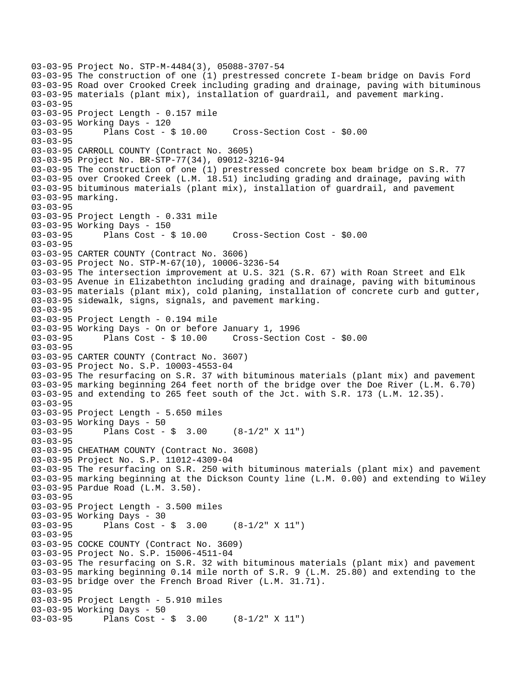```
03-03-95 Project No. STP-M-4484(3), 05088-3707-54 
03-03-95 The construction of one (1) prestressed concrete I-beam bridge on Davis Ford 
03-03-95 Road over Crooked Creek including grading and drainage, paving with bituminous 
03-03-95 materials (plant mix), installation of guardrail, and pavement marking. 
03-03-95 
03-03-95 Project Length - 0.157 mile 
03-03-95 Working Days - 120 
03-03-95 Plans Cost - $ 10.00 Cross-Section Cost - $0.00 
03-03-95 
03-03-95 CARROLL COUNTY (Contract No. 3605) 
03-03-95 Project No. BR-STP-77(34), 09012-3216-94 
03-03-95 The construction of one (1) prestressed concrete box beam bridge on S.R. 77 
03-03-95 over Crooked Creek (L.M. 18.51) including grading and drainage, paving with 
03-03-95 bituminous materials (plant mix), installation of guardrail, and pavement 
03-03-95 marking. 
03-03-95 
03-03-95 Project Length - 0.331 mile 
03-03-95 Working Days - 150 
03-03-95 Plans Cost - $ 10.00 Cross-Section Cost - $0.00 
03-03-95 
03-03-95 CARTER COUNTY (Contract No. 3606) 
03-03-95 Project No. STP-M-67(10), 10006-3236-54 
03-03-95 The intersection improvement at U.S. 321 (S.R. 67) with Roan Street and Elk 
03-03-95 Avenue in Elizabethton including grading and drainage, paving with bituminous 
03-03-95 materials (plant mix), cold planing, installation of concrete curb and gutter, 
03-03-95 sidewalk, signs, signals, and pavement marking. 
03-03-95 
03-03-95 Project Length - 0.194 mile 
03-03-95 Working Days - On or before January 1, 1996 
03-03-95 Plans Cost - $ 10.00 Cross-Section Cost - $0.00 
03-03-95 
03-03-95 CARTER COUNTY (Contract No. 3607) 
03-03-95 Project No. S.P. 10003-4553-04 
03-03-95 The resurfacing on S.R. 37 with bituminous materials (plant mix) and pavement 
03-03-95 marking beginning 264 feet north of the bridge over the Doe River (L.M. 6.70) 
03-03-95 and extending to 265 feet south of the Jct. with S.R. 173 (L.M. 12.35). 
03-03-95 
03-03-95 Project Length - 5.650 miles 
03-03-95 Working Days - 50 
03-03-95 Plans Cost - $ 3.00 (8-1/2" X 11") 
03-03-95 
03-03-95 CHEATHAM COUNTY (Contract No. 3608) 
03-03-95 Project No. S.P. 11012-4309-04 
03-03-95 The resurfacing on S.R. 250 with bituminous materials (plant mix) and pavement 
03-03-95 marking beginning at the Dickson County line (L.M. 0.00) and extending to Wiley 
03-03-95 Pardue Road (L.M. 3.50). 
03-03-95 
03-03-95 Project Length - 3.500 miles 
03-03-95 Working Days - 30 
03-03-95 Plans Cost - $ 3.00 (8-1/2" X 11") 
03-03-95 
03-03-95 COCKE COUNTY (Contract No. 3609) 
03-03-95 Project No. S.P. 15006-4511-04 
03-03-95 The resurfacing on S.R. 32 with bituminous materials (plant mix) and pavement 
03-03-95 marking beginning 0.14 mile north of S.R. 9 (L.M. 25.80) and extending to the 
03-03-95 bridge over the French Broad River (L.M. 31.71). 
03-03-95 
03-03-95 Project Length - 5.910 miles 
03-03-95 Working Days - 50 
03-03-95 Plans Cost - $ 3.00 (8-1/2" X 11")
```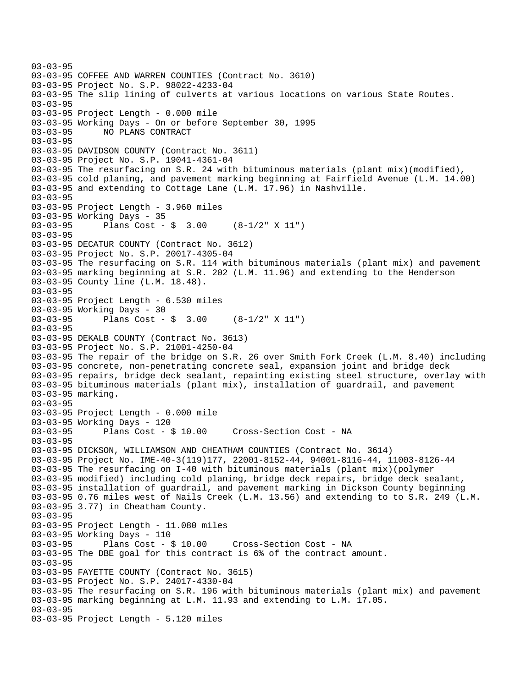```
03-03-95 
03-03-95 COFFEE AND WARREN COUNTIES (Contract No. 3610) 
03-03-95 Project No. S.P. 98022-4233-04 
03-03-95 The slip lining of culverts at various locations on various State Routes. 
03-03-95 
03-03-95 Project Length - 0.000 mile 
03-03-95 Working Days - On or before September 30, 1995 
03-03-95 NO PLANS CONTRACT 
03-03-95 
03-03-95 DAVIDSON COUNTY (Contract No. 3611) 
03-03-95 Project No. S.P. 19041-4361-04 
03-03-95 The resurfacing on S.R. 24 with bituminous materials (plant mix)(modified), 
03-03-95 cold planing, and pavement marking beginning at Fairfield Avenue (L.M. 14.00) 
03-03-95 and extending to Cottage Lane (L.M. 17.96) in Nashville. 
03-03-95 
03-03-95 Project Length - 3.960 miles 
03-03-95 Working Days - 35 
03-03-95 Plans Cost - $ 3.00 (8-1/2" X 11") 
03-03-95 
03-03-95 DECATUR COUNTY (Contract No. 3612) 
03-03-95 Project No. S.P. 20017-4305-04 
03-03-95 The resurfacing on S.R. 114 with bituminous materials (plant mix) and pavement 
03-03-95 marking beginning at S.R. 202 (L.M. 11.96) and extending to the Henderson 
03-03-95 County line (L.M. 18.48). 
03-03-95 
03-03-95 Project Length - 6.530 miles 
03-03-95 Working Days - 30 
03-03-95 Plans Cost - $ 3.00 (8-1/2" X 11") 
03-03-95 
03-03-95 DEKALB COUNTY (Contract No. 3613) 
03-03-95 Project No. S.P. 21001-4250-04 
03-03-95 The repair of the bridge on S.R. 26 over Smith Fork Creek (L.M. 8.40) including 
03-03-95 concrete, non-penetrating concrete seal, expansion joint and bridge deck 
03-03-95 repairs, bridge deck sealant, repainting existing steel structure, overlay with 
03-03-95 bituminous materials (plant mix), installation of guardrail, and pavement 
03-03-95 marking. 
03-03-95 
03-03-95 Project Length - 0.000 mile 
03-03-95 Working Days - 120 
03-03-95 Plans Cost - $ 10.00 Cross-Section Cost - NA 
03-03-95 
03-03-95 DICKSON, WILLIAMSON AND CHEATHAM COUNTIES (Contract No. 3614) 
03-03-95 Project No. IME-40-3(119)177, 22001-8152-44, 94001-8116-44, 11003-8126-44 
03-03-95 The resurfacing on I-40 with bituminous materials (plant mix)(polymer 
03-03-95 modified) including cold planing, bridge deck repairs, bridge deck sealant, 
03-03-95 installation of guardrail, and pavement marking in Dickson County beginning 
03-03-95 0.76 miles west of Nails Creek (L.M. 13.56) and extending to to S.R. 249 (L.M. 
03-03-95 3.77) in Cheatham County. 
03-03-95 
03-03-95 Project Length - 11.080 miles 
03-03-95 Working Days - 110 
03-03-95 Plans Cost - $ 10.00 Cross-Section Cost - NA 
03-03-95 The DBE goal for this contract is 6% of the contract amount. 
03-03-95 
03-03-95 FAYETTE COUNTY (Contract No. 3615) 
03-03-95 Project No. S.P. 24017-4330-04 
03-03-95 The resurfacing on S.R. 196 with bituminous materials (plant mix) and pavement 
03-03-95 marking beginning at L.M. 11.93 and extending to L.M. 17.05. 
03-03-95 
03-03-95 Project Length - 5.120 miles
```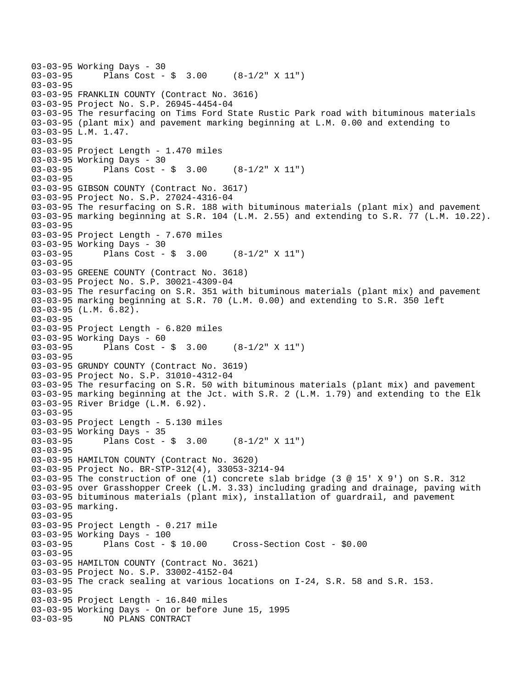```
03-03-95 Working Days - 30<br>03-03-95 Plans Cost -
              Plans Cost - \sin 3.00 (8-1/2" X 11")
03-03-95 
03-03-95 FRANKLIN COUNTY (Contract No. 3616) 
03-03-95 Project No. S.P. 26945-4454-04 
03-03-95 The resurfacing on Tims Ford State Rustic Park road with bituminous materials 
03-03-95 (plant mix) and pavement marking beginning at L.M. 0.00 and extending to 
03-03-95 L.M. 1.47. 
03-03-95 
03-03-95 Project Length - 1.470 miles 
03-03-95 Working Days - 30 
03-03-95 Plans Cost - $ 3.00 (8-1/2" X 11") 
03-03-95 
03-03-95 GIBSON COUNTY (Contract No. 3617) 
03-03-95 Project No. S.P. 27024-4316-04 
03-03-95 The resurfacing on S.R. 188 with bituminous materials (plant mix) and pavement 
03-03-95 marking beginning at S.R. 104 (L.M. 2.55) and extending to S.R. 77 (L.M. 10.22). 
03-03-95 
03-03-95 Project Length - 7.670 miles 
03-03-95 Working Days - 30 
03-03-95 Plans Cost - $ 3.00 (8-1/2" X 11") 
03-03-95 
03-03-95 GREENE COUNTY (Contract No. 3618) 
03-03-95 Project No. S.P. 30021-4309-04 
03-03-95 The resurfacing on S.R. 351 with bituminous materials (plant mix) and pavement 
03-03-95 marking beginning at S.R. 70 (L.M. 0.00) and extending to S.R. 350 left 
03-03-95 (L.M. 6.82). 
03-03-95 
03-03-95 Project Length - 6.820 miles 
03-03-95 Working Days - 60 
03-03-95 Plans Cost - $ 3.00 (8-1/2" X 11") 
03-03-95 
03-03-95 GRUNDY COUNTY (Contract No. 3619) 
03-03-95 Project No. S.P. 31010-4312-04 
03-03-95 The resurfacing on S.R. 50 with bituminous materials (plant mix) and pavement 
03-03-95 marking beginning at the Jct. with S.R. 2 (L.M. 1.79) and extending to the Elk 
03-03-95 River Bridge (L.M. 6.92). 
03-03-95 
03-03-95 Project Length - 5.130 miles 
03-03-95 Working Days - 35 
03-03-95 Plans Cost - $ 3.00 (8-1/2" X 11") 
03-03-95 
03-03-95 HAMILTON COUNTY (Contract No. 3620) 
03-03-95 Project No. BR-STP-312(4), 33053-3214-94 
03-03-95 The construction of one (1) concrete slab bridge (3 @ 15' X 9') on S.R. 312 
03-03-95 over Grasshopper Creek (L.M. 3.33) including grading and drainage, paving with 
03-03-95 bituminous materials (plant mix), installation of guardrail, and pavement 
03-03-95 marking. 
03-03-95 
03-03-95 Project Length - 0.217 mile 
03-03-95 Working Days - 100 
03-03-95 Plans Cost - $ 10.00 Cross-Section Cost - $0.00 
03-03-95 
03-03-95 HAMILTON COUNTY (Contract No. 3621) 
03-03-95 Project No. S.P. 33002-4152-04 
03-03-95 The crack sealing at various locations on I-24, S.R. 58 and S.R. 153. 
03-03-95 
03-03-95 Project Length - 16.840 miles 
03-03-95 Working Days - On or before June 15, 1995 
03-03-95 NO PLANS CONTRACT
```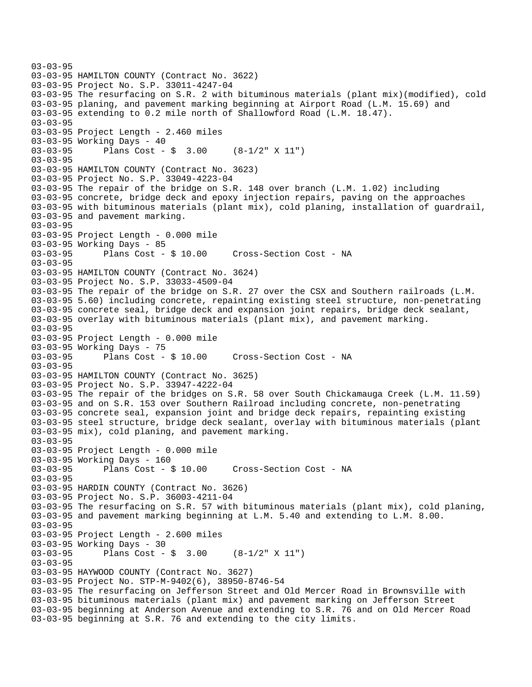```
03-03-95 
03-03-95 HAMILTON COUNTY (Contract No. 3622) 
03-03-95 Project No. S.P. 33011-4247-04 
03-03-95 The resurfacing on S.R. 2 with bituminous materials (plant mix)(modified), cold 
03-03-95 planing, and pavement marking beginning at Airport Road (L.M. 15.69) and 
03-03-95 extending to 0.2 mile north of Shallowford Road (L.M. 18.47). 
03-03-95 
03-03-95 Project Length - 2.460 miles 
03-03-95 Working Days - 40 
03-03-95 Plans Cost - $ 3.00 (8-1/2" X 11") 
03-03-95 
03-03-95 HAMILTON COUNTY (Contract No. 3623) 
03-03-95 Project No. S.P. 33049-4223-04 
03-03-95 The repair of the bridge on S.R. 148 over branch (L.M. 1.02) including 
03-03-95 concrete, bridge deck and epoxy injection repairs, paving on the approaches 
03-03-95 with bituminous materials (plant mix), cold planing, installation of guardrail, 
03-03-95 and pavement marking. 
03-03-95 
03-03-95 Project Length - 0.000 mile 
03-03-95 Working Days - 85 
03-03-95 Plans Cost - $ 10.00 Cross-Section Cost - NA 
03-03-95 
03-03-95 HAMILTON COUNTY (Contract No. 3624) 
03-03-95 Project No. S.P. 33033-4509-04 
03-03-95 The repair of the bridge on S.R. 27 over the CSX and Southern railroads (L.M. 
03-03-95 5.60) including concrete, repainting existing steel structure, non-penetrating 
03-03-95 concrete seal, bridge deck and expansion joint repairs, bridge deck sealant, 
03-03-95 overlay with bituminous materials (plant mix), and pavement marking. 
03-03-95 
03-03-95 Project Length - 0.000 mile 
03-03-95 Working Days - 75 
03-03-95 Plans Cost - $ 10.00 Cross-Section Cost - NA 
03-03-95 
03-03-95 HAMILTON COUNTY (Contract No. 3625) 
03-03-95 Project No. S.P. 33947-4222-04 
03-03-95 The repair of the bridges on S.R. 58 over South Chickamauga Creek (L.M. 11.59) 
03-03-95 and on S.R. 153 over Southern Railroad including concrete, non-penetrating 
03-03-95 concrete seal, expansion joint and bridge deck repairs, repainting existing 
03-03-95 steel structure, bridge deck sealant, overlay with bituminous materials (plant 
03-03-95 mix), cold planing, and pavement marking. 
03-03-95 
03-03-95 Project Length - 0.000 mile 
03-03-95 Working Days - 160 
03-03-95 Plans Cost - $ 10.00 Cross-Section Cost - NA 
03-03-95 
03-03-95 HARDIN COUNTY (Contract No. 3626) 
03-03-95 Project No. S.P. 36003-4211-04 
03-03-95 The resurfacing on S.R. 57 with bituminous materials (plant mix), cold planing, 
03-03-95 and pavement marking beginning at L.M. 5.40 and extending to L.M. 8.00. 
03-03-95 
03-03-95 Project Length - 2.600 miles 
03-03-95 Working Days - 30 
03-03-95 Plans Cost - $ 3.00 (8-1/2" X 11") 
03-03-95 
03-03-95 HAYWOOD COUNTY (Contract No. 3627) 
03-03-95 Project No. STP-M-9402(6), 38950-8746-54 
03-03-95 The resurfacing on Jefferson Street and Old Mercer Road in Brownsville with 
03-03-95 bituminous materials (plant mix) and pavement marking on Jefferson Street 
03-03-95 beginning at Anderson Avenue and extending to S.R. 76 and on Old Mercer Road 
03-03-95 beginning at S.R. 76 and extending to the city limits.
```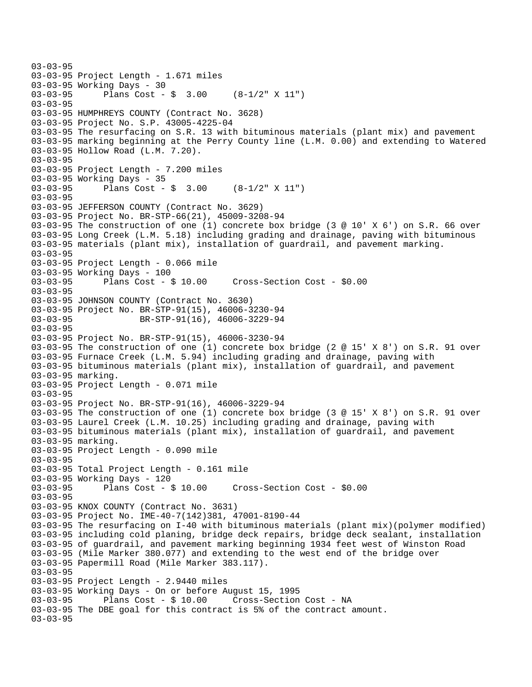```
03-03-95 
03-03-95 Project Length - 1.671 miles 
03-03-95 Working Days - 30 
03-03-95 Plans Cost - $ 3.00 (8-1/2" X 11") 
03-03-95 
03-03-95 HUMPHREYS COUNTY (Contract No. 3628) 
03-03-95 Project No. S.P. 43005-4225-04 
03-03-95 The resurfacing on S.R. 13 with bituminous materials (plant mix) and pavement 
03-03-95 marking beginning at the Perry County line (L.M. 0.00) and extending to Watered 
03-03-95 Hollow Road (L.M. 7.20). 
03-03-95 
03-03-95 Project Length - 7.200 miles 
03-03-95 Working Days - 35 
03-03-95 Plans Cost - $ 3.00 (8-1/2" X 11") 
03-03-95 
03-03-95 JEFFERSON COUNTY (Contract No. 3629) 
03-03-95 Project No. BR-STP-66(21), 45009-3208-94 
03-03-95 The construction of one (1) concrete box bridge (3 @ 10' X 6') on S.R. 66 over 
03-03-95 Long Creek (L.M. 5.18) including grading and drainage, paving with bituminous 
03-03-95 materials (plant mix), installation of guardrail, and pavement marking. 
03-03-95 
03-03-95 Project Length - 0.066 mile 
03-03-95 Working Days - 100 
03-03-95 Plans Cost - $ 10.00 Cross-Section Cost - $0.00 
03-03-95 
03-03-95 JOHNSON COUNTY (Contract No. 3630) 
03-03-95 Project No. BR-STP-91(15), 46006-3230-94 
03-03-95 BR-STP-91(16), 46006-3229-94
03-03-95 
03-03-95 Project No. BR-STP-91(15), 46006-3230-94 
03-03-95 The construction of one (1) concrete box bridge (2 @ 15' X 8') on S.R. 91 over 
03-03-95 Furnace Creek (L.M. 5.94) including grading and drainage, paving with 
03-03-95 bituminous materials (plant mix), installation of guardrail, and pavement 
03-03-95 marking. 
03-03-95 Project Length - 0.071 mile 
03-03-95 
03-03-95 Project No. BR-STP-91(16), 46006-3229-94 
03-03-95 The construction of one (1) concrete box bridge (3 @ 15' X 8') on S.R. 91 over 
03-03-95 Laurel Creek (L.M. 10.25) including grading and drainage, paving with 
03-03-95 bituminous materials (plant mix), installation of guardrail, and pavement 
03-03-95 marking. 
03-03-95 Project Length - 0.090 mile 
03-03-95 
03-03-95 Total Project Length - 0.161 mile 
03-03-95 Working Days - 120 
03-03-95 Plans Cost - $ 10.00 Cross-Section Cost - $0.00 
03-03-95 
03-03-95 KNOX COUNTY (Contract No. 3631) 
03-03-95 Project No. IME-40-7(142)381, 47001-8190-44 
03-03-95 The resurfacing on I-40 with bituminous materials (plant mix)(polymer modified) 
03-03-95 including cold planing, bridge deck repairs, bridge deck sealant, installation 
03-03-95 of guardrail, and pavement marking beginning 1934 feet west of Winston Road 
03-03-95 (Mile Marker 380.077) and extending to the west end of the bridge over 
03-03-95 Papermill Road (Mile Marker 383.117). 
03-03-95 
03-03-95 Project Length - 2.9440 miles 
03-03-95 Working Days - On or before August 15, 1995 
                                      Cross-Section Cost - NA
03-03-95 The DBE goal for this contract is 5% of the contract amount. 
03-03-95
```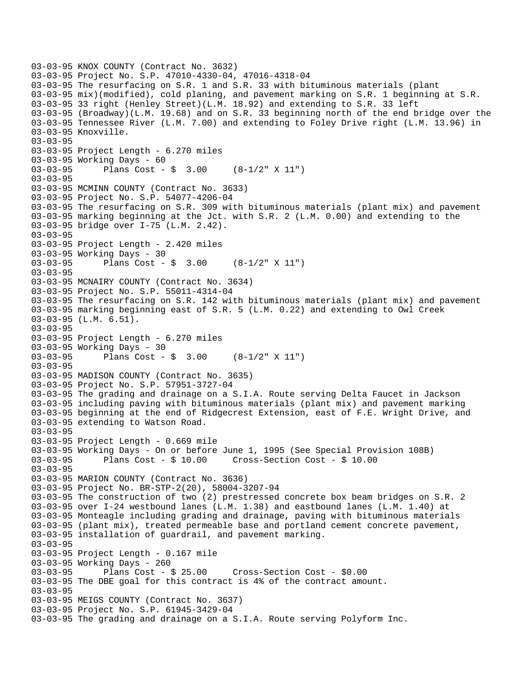```
03-03-95 KNOX COUNTY (Contract No. 3632) 
03-03-95 Project No. S.P. 47010-4330-04, 47016-4318-04 
03-03-95 The resurfacing on S.R. 1 and S.R. 33 with bituminous materials (plant 
03-03-95 mix)(modified), cold planing, and pavement marking on S.R. 1 beginning at S.R. 
03-03-95 33 right (Henley Street)(L.M. 18.92) and extending to S.R. 33 left 
03-03-95 (Broadway)(L.M. 19.68) and on S.R. 33 beginning north of the end bridge over the 
03-03-95 Tennessee River (L.M. 7.00) and extending to Foley Drive right (L.M. 13.96) in 
03-03-95 Knoxville. 
03-03-95 
03-03-95 Project Length - 6.270 miles 
03-03-95 Working Days - 60 
03-03-95 Plans Cost - $ 3.00 (8-1/2" X 11") 
03-03-95 
03-03-95 MCMINN COUNTY (Contract No. 3633) 
03-03-95 Project No. S.P. 54077-4206-04 
03-03-95 The resurfacing on S.R. 309 with bituminous materials (plant mix) and pavement 
03-03-95 marking beginning at the Jct. with S.R. 2 (L.M. 0.00) and extending to the 
03-03-95 bridge over I-75 (L.M. 2.42). 
03-03-95 
03-03-95 Project Length - 2.420 miles 
03-03-95 Working Days - 30<br>03-03-95 Plans Cost -
              Plans Cost - \sin 3.00 (8-1/2" X 11")
03-03-95 
03-03-95 MCNAIRY COUNTY (Contract No. 3634) 
03-03-95 Project No. S.P. 55011-4314-04 
03-03-95 The resurfacing on S.R. 142 with bituminous materials (plant mix) and pavement 
03-03-95 marking beginning east of S.R. 5 (L.M. 0.22) and extending to Owl Creek 
03-03-95 (L.M. 6.51). 
03-03-95 
03-03-95 Project Length - 6.270 miles 
03-03-95 Working Days - 30 
03-03-95 Plans Cost - $ 3.00 (8-1/2" X 11") 
03-03-95 
03-03-95 MADISON COUNTY (Contract No. 3635) 
03-03-95 Project No. S.P. 57951-3727-04 
03-03-95 The grading and drainage on a S.I.A. Route serving Delta Faucet in Jackson 
03-03-95 including paving with bituminous materials (plant mix) and pavement marking 
03-03-95 beginning at the end of Ridgecrest Extension, east of F.E. Wright Drive, and 
03-03-95 extending to Watson Road. 
03-03-95 
03-03-95 Project Length - 0.669 mile 
03-03-95 Working Days - On or before June 1, 1995 (See Special Provision 108B) 
03-03-95 Plans Cost - $ 10.00 Cross-Section Cost - $ 10.00 
03-03-95 
03-03-95 MARION COUNTY (Contract No. 3636) 
03-03-95 Project No. BR-STP-2(20), 58004-3207-94 
03-03-95 The construction of two (2) prestressed concrete box beam bridges on S.R. 2 
03-03-95 over I-24 westbound lanes (L.M. 1.38) and eastbound lanes (L.M. 1.40) at 
03-03-95 Monteagle including grading and drainage, paving with bituminous materials 
03-03-95 (plant mix), treated permeable base and portland cement concrete pavement, 
03-03-95 installation of guardrail, and pavement marking. 
03-03-95 
03-03-95 Project Length - 0.167 mile 
03-03-95 Working Days - 260 
03-03-95 Plans Cost - $ 25.00 Cross-Section Cost - $0.00 
03-03-95 The DBE goal for this contract is 4% of the contract amount. 
03-03-95 
03-03-95 MEIGS COUNTY (Contract No. 3637) 
03-03-95 Project No. S.P. 61945-3429-04 
03-03-95 The grading and drainage on a S.I.A. Route serving Polyform Inc.
```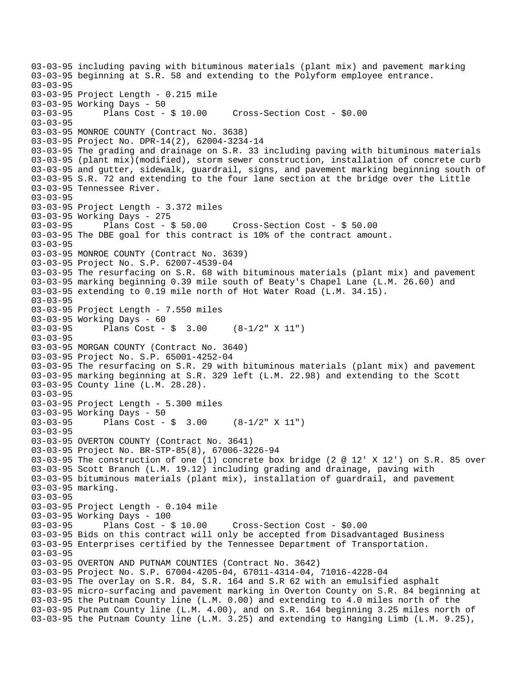03-03-95 including paving with bituminous materials (plant mix) and pavement marking 03-03-95 beginning at S.R. 58 and extending to the Polyform employee entrance. 03-03-95 03-03-95 Project Length - 0.215 mile 03-03-95 Working Days - 50 03-03-95 Plans Cost - \$ 10.00 Cross-Section Cost - \$0.00 03-03-95 03-03-95 MONROE COUNTY (Contract No. 3638) 03-03-95 Project No. DPR-14(2), 62004-3234-14 03-03-95 The grading and drainage on S.R. 33 including paving with bituminous materials 03-03-95 (plant mix)(modified), storm sewer construction, installation of concrete curb 03-03-95 and gutter, sidewalk, guardrail, signs, and pavement marking beginning south of 03-03-95 S.R. 72 and extending to the four lane section at the bridge over the Little 03-03-95 Tennessee River. 03-03-95 03-03-95 Project Length - 3.372 miles 03-03-95 Working Days - 275 03-03-95 Plans Cost - \$ 50.00 Cross-Section Cost - \$ 50.00 03-03-95 The DBE goal for this contract is 10% of the contract amount. 03-03-95 03-03-95 MONROE COUNTY (Contract No. 3639) 03-03-95 Project No. S.P. 62007-4539-04 03-03-95 The resurfacing on S.R. 68 with bituminous materials (plant mix) and pavement 03-03-95 marking beginning 0.39 mile south of Beaty's Chapel Lane (L.M. 26.60) and 03-03-95 extending to 0.19 mile north of Hot Water Road (L.M. 34.15). 03-03-95 03-03-95 Project Length - 7.550 miles 03-03-95 Working Days - 60 03-03-95 Plans Cost - \$ 3.00 (8-1/2" X 11") 03-03-95 03-03-95 MORGAN COUNTY (Contract No. 3640) 03-03-95 Project No. S.P. 65001-4252-04 03-03-95 The resurfacing on S.R. 29 with bituminous materials (plant mix) and pavement 03-03-95 marking beginning at S.R. 329 left (L.M. 22.98) and extending to the Scott 03-03-95 County line (L.M. 28.28). 03-03-95 03-03-95 Project Length - 5.300 miles 03-03-95 Working Days - 50 03-03-95 Plans Cost - \$ 3.00 (8-1/2" X 11") 03-03-95 03-03-95 OVERTON COUNTY (Contract No. 3641) 03-03-95 Project No. BR-STP-85(8), 67006-3226-94 03-03-95 The construction of one (1) concrete box bridge (2 @ 12' X 12') on S.R. 85 over 03-03-95 Scott Branch (L.M. 19.12) including grading and drainage, paving with 03-03-95 bituminous materials (plant mix), installation of guardrail, and pavement 03-03-95 marking. 03-03-95 03-03-95 Project Length - 0.104 mile 03-03-95 Working Days - 100<br>03-03-95 Plans Cost - \$ 10.00 03-03-95 Plans Cost - \$ 10.00 Cross-Section Cost - \$0.00 03-03-95 Bids on this contract will only be accepted from Disadvantaged Business 03-03-95 Enterprises certified by the Tennessee Department of Transportation. 03-03-95 03-03-95 OVERTON AND PUTNAM COUNTIES (Contract No. 3642) 03-03-95 Project No. S.P. 67004-4205-04, 67011-4314-04, 71016-4228-04 03-03-95 The overlay on S.R. 84, S.R. 164 and S.R 62 with an emulsified asphalt 03-03-95 micro-surfacing and pavement marking in Overton County on S.R. 84 beginning at 03-03-95 the Putnam County line (L.M. 0.00) and extending to 4.0 miles north of the 03-03-95 Putnam County line (L.M. 4.00), and on S.R. 164 beginning 3.25 miles north of 03-03-95 the Putnam County line (L.M. 3.25) and extending to Hanging Limb (L.M. 9.25),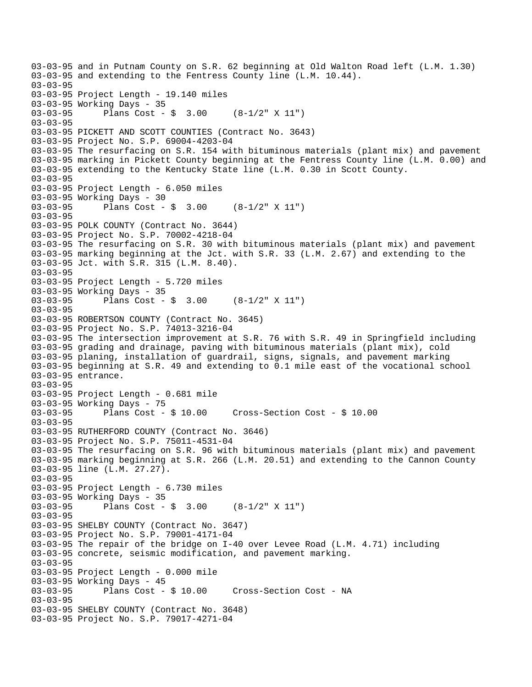03-03-95 and in Putnam County on S.R. 62 beginning at Old Walton Road left (L.M. 1.30) 03-03-95 and extending to the Fentress County line (L.M. 10.44). 03-03-95 03-03-95 Project Length - 19.140 miles 03-03-95 Working Days - 35 03-03-95 Plans Cost - \$ 3.00 (8-1/2" X 11") 03-03-95 03-03-95 PICKETT AND SCOTT COUNTIES (Contract No. 3643) 03-03-95 Project No. S.P. 69004-4203-04 03-03-95 The resurfacing on S.R. 154 with bituminous materials (plant mix) and pavement 03-03-95 marking in Pickett County beginning at the Fentress County line (L.M. 0.00) and 03-03-95 extending to the Kentucky State line (L.M. 0.30 in Scott County. 03-03-95 03-03-95 Project Length - 6.050 miles 03-03-95 Working Days - 30 03-03-95 Plans Cost - \$ 3.00 (8-1/2" X 11") 03-03-95 03-03-95 POLK COUNTY (Contract No. 3644) 03-03-95 Project No. S.P. 70002-4218-04 03-03-95 The resurfacing on S.R. 30 with bituminous materials (plant mix) and pavement 03-03-95 marking beginning at the Jct. with S.R. 33 (L.M. 2.67) and extending to the 03-03-95 Jct. with S.R. 315 (L.M. 8.40). 03-03-95 03-03-95 Project Length - 5.720 miles 03-03-95 Working Days - 35 03-03-95 Plans Cost - \$ 3.00 (8-1/2" X 11") 03-03-95 03-03-95 ROBERTSON COUNTY (Contract No. 3645) 03-03-95 Project No. S.P. 74013-3216-04 03-03-95 The intersection improvement at S.R. 76 with S.R. 49 in Springfield including 03-03-95 grading and drainage, paving with bituminous materials (plant mix), cold 03-03-95 planing, installation of guardrail, signs, signals, and pavement marking 03-03-95 beginning at S.R. 49 and extending to 0.1 mile east of the vocational school 03-03-95 entrance. 03-03-95 03-03-95 Project Length - 0.681 mile 03-03-95 Working Days - 75 03-03-95 Plans Cost - \$ 10.00 Cross-Section Cost - \$ 10.00 03-03-95 03-03-95 RUTHERFORD COUNTY (Contract No. 3646) 03-03-95 Project No. S.P. 75011-4531-04 03-03-95 The resurfacing on S.R. 96 with bituminous materials (plant mix) and pavement 03-03-95 marking beginning at S.R. 266 (L.M. 20.51) and extending to the Cannon County 03-03-95 line (L.M. 27.27). 03-03-95 03-03-95 Project Length - 6.730 miles 03-03-95 Working Days - 35<br>03-03-95 Plans Cost -Plans Cost -  $\sin 3.00$  (8-1/2" X 11") 03-03-95 03-03-95 SHELBY COUNTY (Contract No. 3647) 03-03-95 Project No. S.P. 79001-4171-04 03-03-95 The repair of the bridge on I-40 over Levee Road (L.M. 4.71) including 03-03-95 concrete, seismic modification, and pavement marking. 03-03-95 03-03-95 Project Length - 0.000 mile 03-03-95 Working Days - 45 03-03-95 Plans Cost - \$ 10.00 Cross-Section Cost - NA 03-03-95 03-03-95 SHELBY COUNTY (Contract No. 3648) 03-03-95 Project No. S.P. 79017-4271-04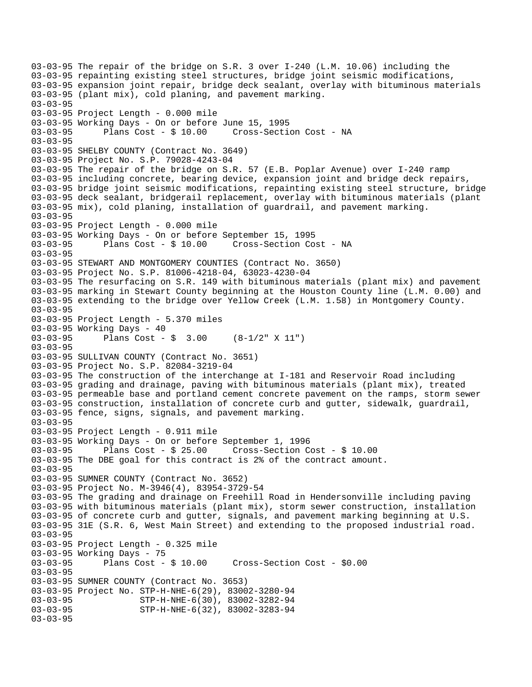```
03-03-95 The repair of the bridge on S.R. 3 over I-240 (L.M. 10.06) including the 
03-03-95 repainting existing steel structures, bridge joint seismic modifications, 
03-03-95 expansion joint repair, bridge deck sealant, overlay with bituminous materials 
03-03-95 (plant mix), cold planing, and pavement marking. 
03-03-95 
03-03-95 Project Length - 0.000 mile 
03-03-95 Working Days - On or before June 15, 1995 
03-03-95 Plans Cost - $ 10.00 Cross-Section Cost - NA 
03-03-95 
03-03-95 SHELBY COUNTY (Contract No. 3649) 
03-03-95 Project No. S.P. 79028-4243-04 
03-03-95 The repair of the bridge on S.R. 57 (E.B. Poplar Avenue) over I-240 ramp 
03-03-95 including concrete, bearing device, expansion joint and bridge deck repairs, 
03-03-95 bridge joint seismic modifications, repainting existing steel structure, bridge 
03-03-95 deck sealant, bridgerail replacement, overlay with bituminous materials (plant 
03-03-95 mix), cold planing, installation of guardrail, and pavement marking. 
03-03-95 
03-03-95 Project Length - 0.000 mile 
03-03-95 Working Days - On or before September 15, 1995 
03-03-95 Plans Cost - $ 10.00 Cross-Section Cost - NA 
03-03-95 
03-03-95 STEWART AND MONTGOMERY COUNTIES (Contract No. 3650) 
03-03-95 Project No. S.P. 81006-4218-04, 63023-4230-04 
03-03-95 The resurfacing on S.R. 149 with bituminous materials (plant mix) and pavement 
03-03-95 marking in Stewart County beginning at the Houston County line (L.M. 0.00) and 
03-03-95 extending to the bridge over Yellow Creek (L.M. 1.58) in Montgomery County. 
03-03-95 
03-03-95 Project Length - 5.370 miles 
03-03-95 Working Days - 40 
03-03-95 Plans Cost - $ 3.00 (8-1/2" X 11") 
03-03-95 
03-03-95 SULLIVAN COUNTY (Contract No. 3651) 
03-03-95 Project No. S.P. 82084-3219-04 
03-03-95 The construction of the interchange at I-181 and Reservoir Road including 
03-03-95 grading and drainage, paving with bituminous materials (plant mix), treated 
03-03-95 permeable base and portland cement concrete pavement on the ramps, storm sewer 
03-03-95 construction, installation of concrete curb and gutter, sidewalk, guardrail, 
03-03-95 fence, signs, signals, and pavement marking. 
03-03-95 
03-03-95 Project Length - 0.911 mile 
03-03-95 Working Days - On or before September 1, 1996 
03-03-95 Plans Cost - $ 25.00 Cross-Section Cost - $ 10.00 
03-03-95 The DBE goal for this contract is 2% of the contract amount. 
03-03-95 
03-03-95 SUMNER COUNTY (Contract No. 3652) 
03-03-95 Project No. M-3946(4), 83954-3729-54 
03-03-95 The grading and drainage on Freehill Road in Hendersonville including paving 
03-03-95 with bituminous materials (plant mix), storm sewer construction, installation 
03-03-95 of concrete curb and gutter, signals, and pavement marking beginning at U.S. 
03-03-95 31E (S.R. 6, West Main Street) and extending to the proposed industrial road. 
03-03-95 
03-03-95 Project Length - 0.325 mile 
03-03-95 Working Days - 75<br>03-03-95 Plans Cost - $ 10.00
03-03-95 Plans Cost - $ 10.00 Cross-Section Cost - $0.00 
03-03-95 
03-03-95 SUMNER COUNTY (Contract No. 3653) 
03-03-95 Project No. STP-H-NHE-6(29), 83002-3280-94<br>03-03-95 STP-H-NHE-6(30), 83002-3282-94
03-03-95 STP-H-NHE-6(30), 83002-3282-94<br>03-03-95 STP-H-NHE-6(32), 83002-3283-94
                     03-03-95 STP-H-NHE-6(32), 83002-3283-94 
03-03-95
```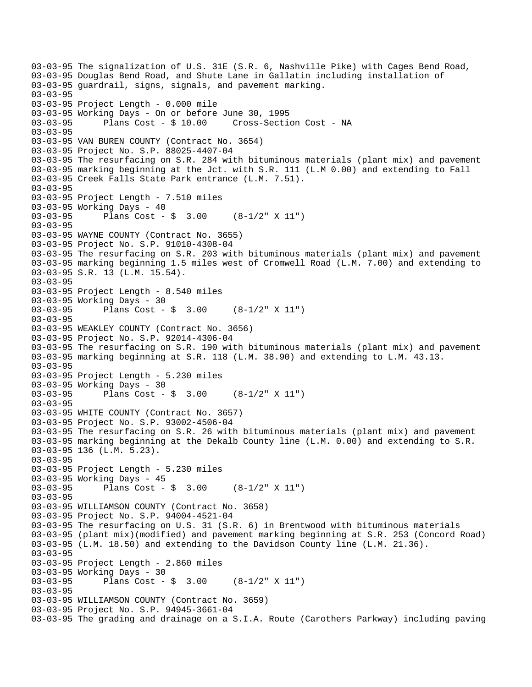03-03-95 The signalization of U.S. 31E (S.R. 6, Nashville Pike) with Cages Bend Road, 03-03-95 Douglas Bend Road, and Shute Lane in Gallatin including installation of 03-03-95 guardrail, signs, signals, and pavement marking. 03-03-95 03-03-95 Project Length - 0.000 mile 03-03-95 Working Days - On or before June 30, 1995 03-03-95 Plans Cost - \$ 10.00 Cross-Section Cost - NA 03-03-95 03-03-95 VAN BUREN COUNTY (Contract No. 3654) 03-03-95 Project No. S.P. 88025-4407-04 03-03-95 The resurfacing on S.R. 284 with bituminous materials (plant mix) and pavement 03-03-95 marking beginning at the Jct. with S.R. 111 (L.M 0.00) and extending to Fall 03-03-95 Creek Falls State Park entrance (L.M. 7.51). 03-03-95 03-03-95 Project Length - 7.510 miles 03-03-95 Working Days - 40 03-03-95 Plans Cost - \$ 3.00 (8-1/2" X 11") 03-03-95 03-03-95 WAYNE COUNTY (Contract No. 3655) 03-03-95 Project No. S.P. 91010-4308-04 03-03-95 The resurfacing on S.R. 203 with bituminous materials (plant mix) and pavement 03-03-95 marking beginning 1.5 miles west of Cromwell Road (L.M. 7.00) and extending to 03-03-95 S.R. 13 (L.M. 15.54). 03-03-95 03-03-95 Project Length - 8.540 miles 03-03-95 Working Days - 30 03-03-95 Plans Cost - \$ 3.00 (8-1/2" X 11") 03-03-95 03-03-95 WEAKLEY COUNTY (Contract No. 3656) 03-03-95 Project No. S.P. 92014-4306-04 03-03-95 The resurfacing on S.R. 190 with bituminous materials (plant mix) and pavement 03-03-95 marking beginning at S.R. 118 (L.M. 38.90) and extending to L.M. 43.13. 03-03-95 03-03-95 Project Length - 5.230 miles 03-03-95 Working Days - 30 03-03-95 Plans Cost - \$ 3.00 (8-1/2" X 11") 03-03-95 03-03-95 WHITE COUNTY (Contract No. 3657) 03-03-95 Project No. S.P. 93002-4506-04 03-03-95 The resurfacing on S.R. 26 with bituminous materials (plant mix) and pavement 03-03-95 marking beginning at the Dekalb County line (L.M. 0.00) and extending to S.R. 03-03-95 136 (L.M. 5.23). 03-03-95 03-03-95 Project Length - 5.230 miles 03-03-95 Working Days - 45 03-03-95 Plans Cost - \$ 3.00 (8-1/2" X 11") 03-03-95 03-03-95 WILLIAMSON COUNTY (Contract No. 3658) 03-03-95 Project No. S.P. 94004-4521-04 03-03-95 The resurfacing on U.S. 31 (S.R. 6) in Brentwood with bituminous materials 03-03-95 (plant mix)(modified) and pavement marking beginning at S.R. 253 (Concord Road) 03-03-95 (L.M. 18.50) and extending to the Davidson County line (L.M. 21.36). 03-03-95 03-03-95 Project Length - 2.860 miles 03-03-95 Working Days - 30 03-03-95 Plans Cost - \$ 3.00 (8-1/2" X 11") 03-03-95 03-03-95 WILLIAMSON COUNTY (Contract No. 3659) 03-03-95 Project No. S.P. 94945-3661-04 03-03-95 The grading and drainage on a S.I.A. Route (Carothers Parkway) including paving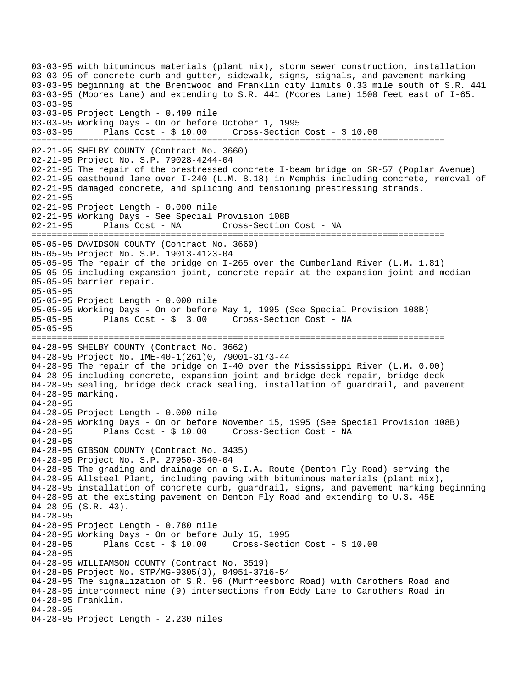03-03-95 with bituminous materials (plant mix), storm sewer construction, installation 03-03-95 of concrete curb and gutter, sidewalk, signs, signals, and pavement marking 03-03-95 beginning at the Brentwood and Franklin city limits 0.33 mile south of S.R. 441 03-03-95 (Moores Lane) and extending to S.R. 441 (Moores Lane) 1500 feet east of I-65. 03-03-95 03-03-95 Project Length - 0.499 mile 03-03-95 Working Days - On or before October 1, 1995 03-03-95 Plans Cost - \$ 10.00 Cross-Section Cost - \$ 10.00 ================================================================================ 02-21-95 SHELBY COUNTY (Contract No. 3660) 02-21-95 Project No. S.P. 79028-4244-04 02-21-95 The repair of the prestressed concrete I-beam bridge on SR-57 (Poplar Avenue) 02-21-95 eastbound lane over I-240 (L.M. 8.18) in Memphis including concrete, removal of 02-21-95 damaged concrete, and splicing and tensioning prestressing strands. 02-21-95 02-21-95 Project Length - 0.000 mile 02-21-95 Working Days - See Special Provision 108B Plans Cost - NA Cross-Section Cost - NA ================================================================================ 05-05-95 DAVIDSON COUNTY (Contract No. 3660) 05-05-95 Project No. S.P. 19013-4123-04 05-05-95 The repair of the bridge on I-265 over the Cumberland River (L.M. 1.81) 05-05-95 including expansion joint, concrete repair at the expansion joint and median 05-05-95 barrier repair. 05-05-95 05-05-95 Project Length - 0.000 mile 05-05-95 Working Days - On or before May 1, 1995 (See Special Provision 108B) 05-05-95 Plans Cost -  $\frac{1}{5}$  3.00 Cross-Section Cost - NA 05-05-95 ================================================================================ 04-28-95 SHELBY COUNTY (Contract No. 3662) 04-28-95 Project No. IME-40-1(261)0, 79001-3173-44 04-28-95 The repair of the bridge on I-40 over the Mississippi River (L.M. 0.00) 04-28-95 including concrete, expansion joint and bridge deck repair, bridge deck 04-28-95 sealing, bridge deck crack sealing, installation of guardrail, and pavement 04-28-95 marking. 04-28-95 04-28-95 Project Length - 0.000 mile 04-28-95 Working Days - On or before November 15, 1995 (See Special Provision 108B) 04-28-95 Plans Cost - \$ 10.00 Cross-Section Cost - NA 04-28-95 04-28-95 GIBSON COUNTY (Contract No. 3435) 04-28-95 Project No. S.P. 27950-3540-04 04-28-95 The grading and drainage on a S.I.A. Route (Denton Fly Road) serving the 04-28-95 Allsteel Plant, including paving with bituminous materials (plant mix), 04-28-95 installation of concrete curb, guardrail, signs, and pavement marking beginning 04-28-95 at the existing pavement on Denton Fly Road and extending to U.S. 45E 04-28-95 (S.R. 43). 04-28-95 04-28-95 Project Length - 0.780 mile 04-28-95 Working Days - On or before July 15, 1995 04-28-95 Plans Cost - \$ 10.00 Cross-Section Cost - \$ 10.00 04-28-95 04-28-95 WILLIAMSON COUNTY (Contract No. 3519) 04-28-95 Project No. STP/MG-9305(3), 94951-3716-54 04-28-95 The signalization of S.R. 96 (Murfreesboro Road) with Carothers Road and 04-28-95 interconnect nine (9) intersections from Eddy Lane to Carothers Road in 04-28-95 Franklin. 04-28-95 04-28-95 Project Length - 2.230 miles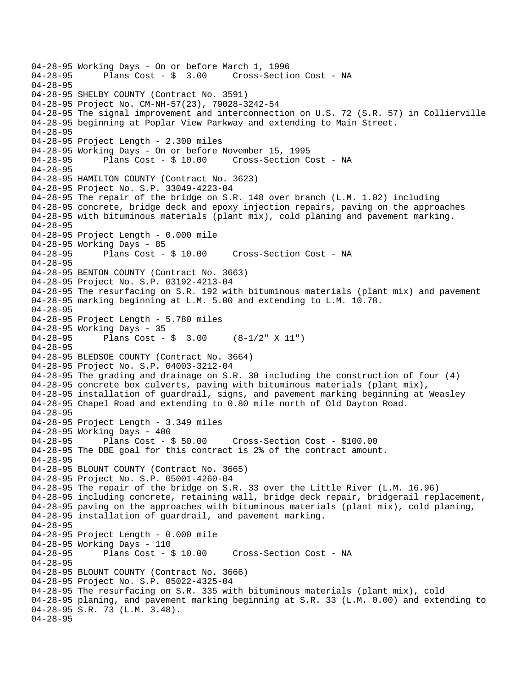```
04-28-95 Working Days - On or before March 1, 1996<br>04-28-95 Plans Cost - $ 3.00 Cross-Secti
                                      Cross-Section Cost - NA
04-28-95 
04-28-95 SHELBY COUNTY (Contract No. 3591) 
04-28-95 Project No. CM-NH-57(23), 79028-3242-54 
04-28-95 The signal improvement and interconnection on U.S. 72 (S.R. 57) in Collierville 
04-28-95 beginning at Poplar View Parkway and extending to Main Street. 
04-28-95 
04-28-95 Project Length - 2.300 miles 
04-28-95 Working Days - On or before November 15, 1995 
04-28-95 Plans Cost - $ 10.00 Cross-Section Cost - NA 
04-28-95 
04-28-95 HAMILTON COUNTY (Contract No. 3623) 
04-28-95 Project No. S.P. 33049-4223-04 
04-28-95 The repair of the bridge on S.R. 148 over branch (L.M. 1.02) including 
04-28-95 concrete, bridge deck and epoxy injection repairs, paving on the approaches 
04-28-95 with bituminous materials (plant mix), cold planing and pavement marking. 
04-28-95 
04-28-95 Project Length - 0.000 mile 
04-28-95 Working Days - 85 
04-28-95 Plans Cost - $ 10.00 Cross-Section Cost - NA 
04-28-95 
04-28-95 BENTON COUNTY (Contract No. 3663) 
04-28-95 Project No. S.P. 03192-4213-04 
04-28-95 The resurfacing on S.R. 192 with bituminous materials (plant mix) and pavement 
04-28-95 marking beginning at L.M. 5.00 and extending to L.M. 10.78. 
04-28-95 
04-28-95 Project Length - 5.780 miles 
04-28-95 Working Days - 35 
04-28-95 Plans Cost - $ 3.00 (8-1/2" X 11") 
04-28-95 
04-28-95 BLEDSOE COUNTY (Contract No. 3664) 
04-28-95 Project No. S.P. 04003-3212-04 
04-28-95 The grading and drainage on S.R. 30 including the construction of four (4) 
04-28-95 concrete box culverts, paving with bituminous materials (plant mix), 
04-28-95 installation of guardrail, signs, and pavement marking beginning at Weasley 
04-28-95 Chapel Road and extending to 0.80 mile north of Old Dayton Road. 
04-28-95 
04-28-95 Project Length - 3.349 miles 
04-28-95 Working Days - 400 
04-28-95 Plans Cost - $ 50.00 Cross-Section Cost - $100.00 
04-28-95 The DBE goal for this contract is 2% of the contract amount. 
04-28-95 
04-28-95 BLOUNT COUNTY (Contract No. 3665) 
04-28-95 Project No. S.P. 05001-4260-04 
04-28-95 The repair of the bridge on S.R. 33 over the Little River (L.M. 16.96) 
04-28-95 including concrete, retaining wall, bridge deck repair, bridgerail replacement, 
04-28-95 paving on the approaches with bituminous materials (plant mix), cold planing, 
04-28-95 installation of guardrail, and pavement marking. 
04-28-95 
04-28-95 Project Length - 0.000 mile 
04-28-95 Working Days - 110 
04-28-95 Plans Cost - $ 10.00 Cross-Section Cost - NA 
04-28-95 
04-28-95 BLOUNT COUNTY (Contract No. 3666) 
04-28-95 Project No. S.P. 05022-4325-04 
04-28-95 The resurfacing on S.R. 335 with bituminous materials (plant mix), cold 
04-28-95 planing, and pavement marking beginning at S.R. 33 (L.M. 0.00) and extending to 
04-28-95 S.R. 73 (L.M. 3.48). 
04-28-95
```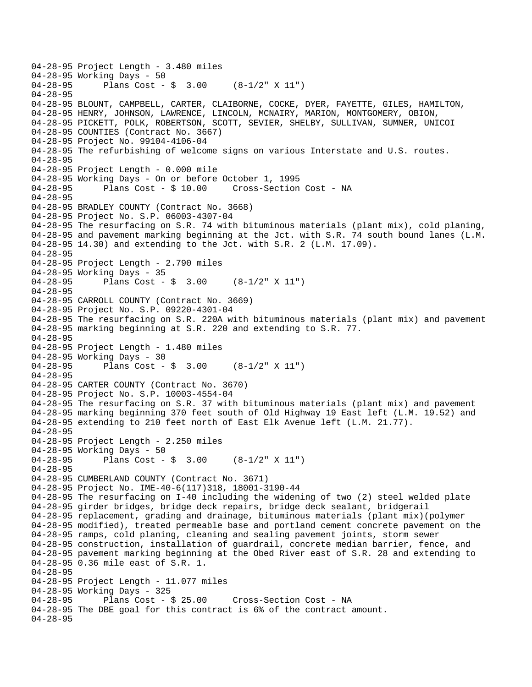```
04-28-95 Project Length - 3.480 miles 
04-28-95 Working Days - 50<br>04-28-95 Plans Cost -
              Plans Cost - \sin 3.00 (8-1/2" X 11")
04-28-95 
04-28-95 BLOUNT, CAMPBELL, CARTER, CLAIBORNE, COCKE, DYER, FAYETTE, GILES, HAMILTON, 
04-28-95 HENRY, JOHNSON, LAWRENCE, LINCOLN, MCNAIRY, MARION, MONTGOMERY, OBION, 
04-28-95 PICKETT, POLK, ROBERTSON, SCOTT, SEVIER, SHELBY, SULLIVAN, SUMNER, UNICOI 
04-28-95 COUNTIES (Contract No. 3667) 
04-28-95 Project No. 99104-4106-04 
04-28-95 The refurbishing of welcome signs on various Interstate and U.S. routes. 
04-28-95 
04-28-95 Project Length - 0.000 mile 
04-28-95 Working Days - On or before October 1, 1995 
04-28-95 Plans Cost - $ 10.00 Cross-Section Cost - NA 
04-28-95 
04-28-95 BRADLEY COUNTY (Contract No. 3668) 
04-28-95 Project No. S.P. 06003-4307-04 
04-28-95 The resurfacing on S.R. 74 with bituminous materials (plant mix), cold planing, 
04-28-95 and pavement marking beginning at the Jct. with S.R. 74 south bound lanes (L.M. 
04-28-95 14.30) and extending to the Jct. with S.R. 2 (L.M. 17.09). 
04-28-95 
04-28-95 Project Length - 2.790 miles 
04-28-95 Working Days - 35 
04-28-95 Plans Cost - $ 3.00 (8-1/2" X 11") 
04-28-95 
04-28-95 CARROLL COUNTY (Contract No. 3669) 
04-28-95 Project No. S.P. 09220-4301-04 
04-28-95 The resurfacing on S.R. 220A with bituminous materials (plant mix) and pavement 
04-28-95 marking beginning at S.R. 220 and extending to S.R. 77. 
04-28-95 
04-28-95 Project Length - 1.480 miles 
04-28-95 Working Days - 30<br>04-28-95 Plans Cost -
              Plans Cost - \sin 3.00 (8-1/2" X 11")
04-28-95 
04-28-95 CARTER COUNTY (Contract No. 3670) 
04-28-95 Project No. S.P. 10003-4554-04 
04-28-95 The resurfacing on S.R. 37 with bituminous materials (plant mix) and pavement 
04-28-95 marking beginning 370 feet south of Old Highway 19 East left (L.M. 19.52) and 
04-28-95 extending to 210 feet north of East Elk Avenue left (L.M. 21.77). 
04-28-95 
04-28-95 Project Length - 2.250 miles
04-28-95 Working Days - 50 
04-28-95 Plans Cost - $ 3.00 (8-1/2" X 11") 
04-28-95 
04-28-95 CUMBERLAND COUNTY (Contract No. 3671) 
04-28-95 Project No. IME-40-6(117)318, 18001-3190-44 
04-28-95 The resurfacing on I-40 including the widening of two (2) steel welded plate 
04-28-95 girder bridges, bridge deck repairs, bridge deck sealant, bridgerail 
04-28-95 replacement, grading and drainage, bituminous materials (plant mix)(polymer 
04-28-95 modified), treated permeable base and portland cement concrete pavement on the 
04-28-95 ramps, cold planing, cleaning and sealing pavement joints, storm sewer 
04-28-95 construction, installation of guardrail, concrete median barrier, fence, and 
04-28-95 pavement marking beginning at the Obed River east of S.R. 28 and extending to 
04-28-95 0.36 mile east of S.R. 1. 
04-28-95 
04-28-95 Project Length - 11.077 miles 
04-28-95 Working Days - 325<br>04-28-95 Plans Cost - $ 25.00
                                       Cross-Section Cost - NA
04-28-95 The DBE goal for this contract is 6% of the contract amount. 
04-28-95
```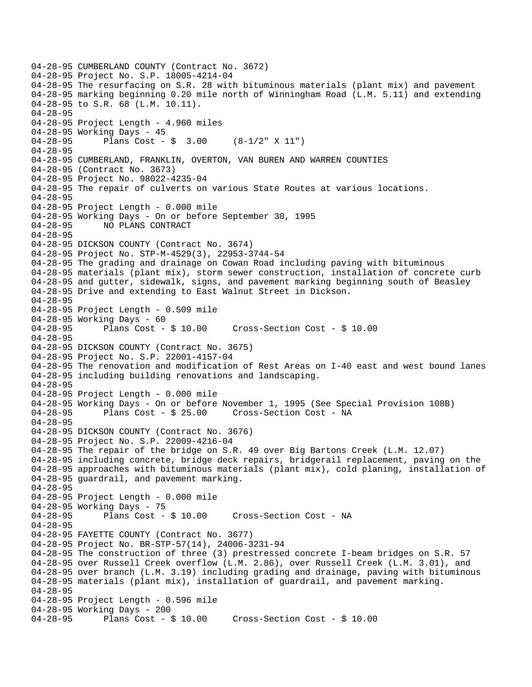04-28-95 CUMBERLAND COUNTY (Contract No. 3672) 04-28-95 Project No. S.P. 18005-4214-04 04-28-95 The resurfacing on S.R. 28 with bituminous materials (plant mix) and pavement 04-28-95 marking beginning 0.20 mile north of Winningham Road (L.M. 5.11) and extending 04-28-95 to S.R. 68 (L.M. 10.11). 04-28-95 04-28-95 Project Length - 4.960 miles 04-28-95 Working Days - 45 04-28-95 Plans Cost - \$ 3.00 (8-1/2" X 11") 04-28-95 04-28-95 CUMBERLAND, FRANKLIN, OVERTON, VAN BUREN AND WARREN COUNTIES 04-28-95 (Contract No. 3673) 04-28-95 Project No. 98022-4235-04 04-28-95 The repair of culverts on various State Routes at various locations. 04-28-95 04-28-95 Project Length - 0.000 mile 04-28-95 Working Days - On or before September 30, 1995 04-28-95 NO PLANS CONTRACT 04-28-95 04-28-95 DICKSON COUNTY (Contract No. 3674) 04-28-95 Project No. STP-M-4529(3), 22953-3744-54 04-28-95 The grading and drainage on Cowan Road including paving with bituminous 04-28-95 materials (plant mix), storm sewer construction, installation of concrete curb 04-28-95 and gutter, sidewalk, signs, and pavement marking beginning south of Beasley 04-28-95 Drive and extending to East Walnut Street in Dickson. 04-28-95 04-28-95 Project Length - 0.509 mile 04-28-95 Working Days - 60 04-28-95 Plans Cost - \$ 10.00 Cross-Section Cost - \$ 10.00 04-28-95 04-28-95 DICKSON COUNTY (Contract No. 3675) 04-28-95 Project No. S.P. 22001-4157-04 04-28-95 The renovation and modification of Rest Areas on I-40 east and west bound lanes 04-28-95 including building renovations and landscaping. 04-28-95 04-28-95 Project Length - 0.000 mile 04-28-95 Working Days - On or before November 1, 1995 (See Special Provision 108B) 04-28-95 Plans Cost - \$ 25.00 Cross-Section Cost - NA 04-28-95 04-28-95 DICKSON COUNTY (Contract No. 3676) 04-28-95 Project No. S.P. 22009-4216-04 04-28-95 The repair of the bridge on S.R. 49 over Big Bartons Creek (L.M. 12.07) 04-28-95 including concrete, bridge deck repairs, bridgerail replacement, paving on the 04-28-95 approaches with bituminous materials (plant mix), cold planing, installation of 04-28-95 guardrail, and pavement marking. 04-28-95 04-28-95 Project Length - 0.000 mile 04-28-95 Working Days - 75<br>04-28-95 Plans Cost -Plans Cost - \$ 10.00 Cross-Section Cost - NA 04-28-95 04-28-95 FAYETTE COUNTY (Contract No. 3677) 04-28-95 Project No. BR-STP-57(14), 24006-3231-94 04-28-95 The construction of three (3) prestressed concrete I-beam bridges on S.R. 57 04-28-95 over Russell Creek overflow (L.M. 2.86), over Russell Creek (L.M. 3.01), and 04-28-95 over branch (L.M. 3.19) including grading and drainage, paving with bituminous 04-28-95 materials (plant mix), installation of guardrail, and pavement marking. 04-28-95 04-28-95 Project Length - 0.596 mile 04-28-95 Working Days - 200 04-28-95 Plans Cost - \$ 10.00 Cross-Section Cost - \$ 10.00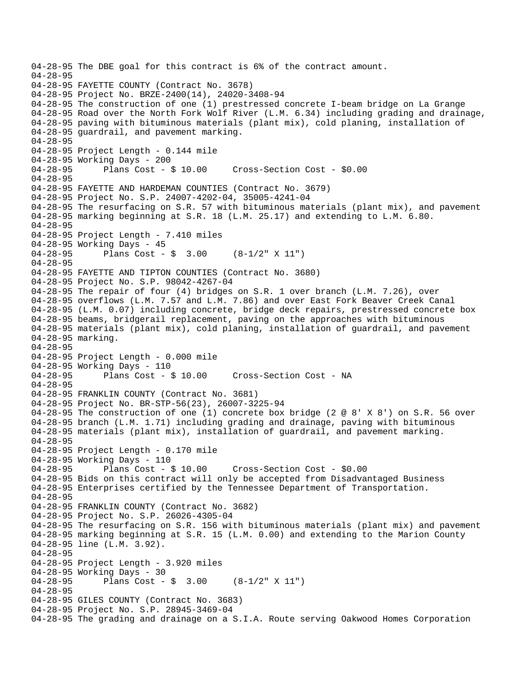```
04-28-95 The DBE goal for this contract is 6% of the contract amount. 
04-28-95 
04-28-95 FAYETTE COUNTY (Contract No. 3678) 
04-28-95 Project No. BRZE-2400(14), 24020-3408-94 
04-28-95 The construction of one (1) prestressed concrete I-beam bridge on La Grange 
04-28-95 Road over the North Fork Wolf River (L.M. 6.34) including grading and drainage, 
04-28-95 paving with bituminous materials (plant mix), cold planing, installation of 
04-28-95 guardrail, and pavement marking. 
04-28-95 
04-28-95 Project Length - 0.144 mile
04-28-95 Working Days - 200 
04-28-95 Plans Cost - $ 10.00 Cross-Section Cost - $0.00 
04-28-95 
04-28-95 FAYETTE AND HARDEMAN COUNTIES (Contract No. 3679) 
04-28-95 Project No. S.P. 24007-4202-04, 35005-4241-04 
04-28-95 The resurfacing on S.R. 57 with bituminous materials (plant mix), and pavement 
04-28-95 marking beginning at S.R. 18 (L.M. 25.17) and extending to L.M. 6.80. 
04-28-95 
04-28-95 Project Length - 7.410 miles
04-28-95 Working Days - 45 
04-28-95 Plans Cost - $ 3.00 (8-1/2" X 11") 
04-28-95 
04-28-95 FAYETTE AND TIPTON COUNTIES (Contract No. 3680) 
04-28-95 Project No. S.P. 98042-4267-04 
04-28-95 The repair of four (4) bridges on S.R. 1 over branch (L.M. 7.26), over 
04-28-95 overflows (L.M. 7.57 and L.M. 7.86) and over East Fork Beaver Creek Canal 
04-28-95 (L.M. 0.07) including concrete, bridge deck repairs, prestressed concrete box 
04-28-95 beams, bridgerail replacement, paving on the approaches with bituminous 
04-28-95 materials (plant mix), cold planing, installation of guardrail, and pavement 
04-28-95 marking. 
04-28-95 
04-28-95 Project Length - 0.000 mile 
04-28-95 Working Days - 110 
04-28-95 Plans Cost - $ 10.00 Cross-Section Cost - NA 
04-28-95 
04-28-95 FRANKLIN COUNTY (Contract No. 3681) 
04-28-95 Project No. BR-STP-56(23), 26007-3225-94 
04-28-95 The construction of one (1) concrete box bridge (2 @ 8' X 8') on S.R. 56 over 
04-28-95 branch (L.M. 1.71) including grading and drainage, paving with bituminous 
04-28-95 materials (plant mix), installation of guardrail, and pavement marking. 
04-28-95 
04-28-95 Project Length - 0.170 mile 
04-28-95 Working Days - 110 
04-28-95 Plans Cost - $ 10.00 Cross-Section Cost - $0.00 
04-28-95 Bids on this contract will only be accepted from Disadvantaged Business 
04-28-95 Enterprises certified by the Tennessee Department of Transportation. 
04-28-95 
04-28-95 FRANKLIN COUNTY (Contract No. 3682) 
04-28-95 Project No. S.P. 26026-4305-04 
04-28-95 The resurfacing on S.R. 156 with bituminous materials (plant mix) and pavement 
04-28-95 marking beginning at S.R. 15 (L.M. 0.00) and extending to the Marion County 
04-28-95 line (L.M. 3.92). 
04-28-95 
04-28-95 Project Length - 3.920 miles 
04-28-95 Working Days - 30 
04-28-95 Plans Cost - $ 3.00 (8-1/2" X 11") 
04-28-95 
04-28-95 GILES COUNTY (Contract No. 3683) 
04-28-95 Project No. S.P. 28945-3469-04 
04-28-95 The grading and drainage on a S.I.A. Route serving Oakwood Homes Corporation
```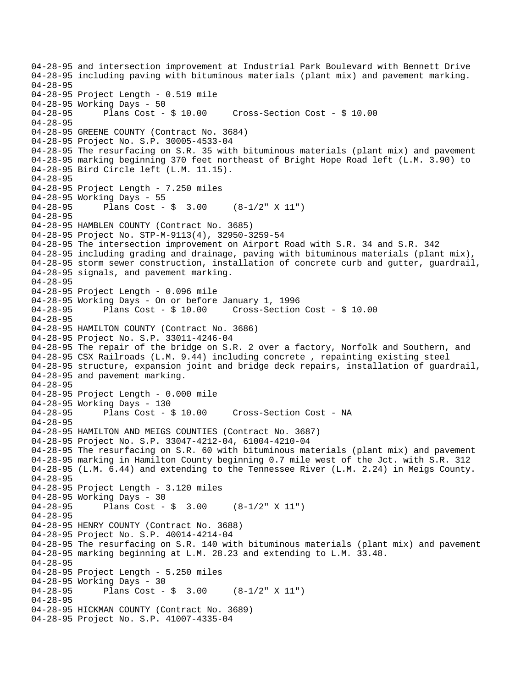04-28-95 and intersection improvement at Industrial Park Boulevard with Bennett Drive 04-28-95 including paving with bituminous materials (plant mix) and pavement marking. 04-28-95 04-28-95 Project Length - 0.519 mile 04-28-95 Working Days - 50 04-28-95 Plans Cost - \$ 10.00 Cross-Section Cost - \$ 10.00 04-28-95 04-28-95 GREENE COUNTY (Contract No. 3684) 04-28-95 Project No. S.P. 30005-4533-04 04-28-95 The resurfacing on S.R. 35 with bituminous materials (plant mix) and pavement 04-28-95 marking beginning 370 feet northeast of Bright Hope Road left (L.M. 3.90) to 04-28-95 Bird Circle left (L.M. 11.15). 04-28-95 04-28-95 Project Length - 7.250 miles 04-28-95 Working Days - 55 04-28-95 Plans Cost - \$ 3.00 (8-1/2" X 11") 04-28-95 04-28-95 HAMBLEN COUNTY (Contract No. 3685) 04-28-95 Project No. STP-M-9113(4), 32950-3259-54 04-28-95 The intersection improvement on Airport Road with S.R. 34 and S.R. 342 04-28-95 including grading and drainage, paving with bituminous materials (plant mix), 04-28-95 storm sewer construction, installation of concrete curb and gutter, guardrail, 04-28-95 signals, and pavement marking. 04-28-95 04-28-95 Project Length - 0.096 mile 04-28-95 Working Days - On or before January 1, 1996 04-28-95 Plans Cost - \$ 10.00 Cross-Section Cost - \$ 10.00 04-28-95 04-28-95 HAMILTON COUNTY (Contract No. 3686) 04-28-95 Project No. S.P. 33011-4246-04 04-28-95 The repair of the bridge on S.R. 2 over a factory, Norfolk and Southern, and 04-28-95 CSX Railroads (L.M. 9.44) including concrete , repainting existing steel 04-28-95 structure, expansion joint and bridge deck repairs, installation of guardrail, 04-28-95 and pavement marking. 04-28-95 04-28-95 Project Length - 0.000 mile 04-28-95 Working Days - 130<br>04-28-95 Plans Cost - \$ 10.00 04-28-95 Plans Cost - \$ 10.00 Cross-Section Cost - NA 04-28-95 04-28-95 HAMILTON AND MEIGS COUNTIES (Contract No. 3687) 04-28-95 Project No. S.P. 33047-4212-04, 61004-4210-04 04-28-95 The resurfacing on S.R. 60 with bituminous materials (plant mix) and pavement 04-28-95 marking in Hamilton County beginning 0.7 mile west of the Jct. with S.R. 312 04-28-95 (L.M. 6.44) and extending to the Tennessee River (L.M. 2.24) in Meigs County. 04-28-95 04-28-95 Project Length - 3.120 miles 04-28-95 Working Days - 30<br>04-28-95 Plans Cost -Plans Cost -  $\sin 3.00$  (8-1/2" X 11") 04-28-95 04-28-95 HENRY COUNTY (Contract No. 3688) 04-28-95 Project No. S.P. 40014-4214-04 04-28-95 The resurfacing on S.R. 140 with bituminous materials (plant mix) and pavement 04-28-95 marking beginning at L.M. 28.23 and extending to L.M. 33.48. 04-28-95 04-28-95 Project Length - 5.250 miles 04-28-95 Working Days - 30 04-28-95 Plans Cost - \$ 3.00 (8-1/2" X 11") 04-28-95 04-28-95 HICKMAN COUNTY (Contract No. 3689) 04-28-95 Project No. S.P. 41007-4335-04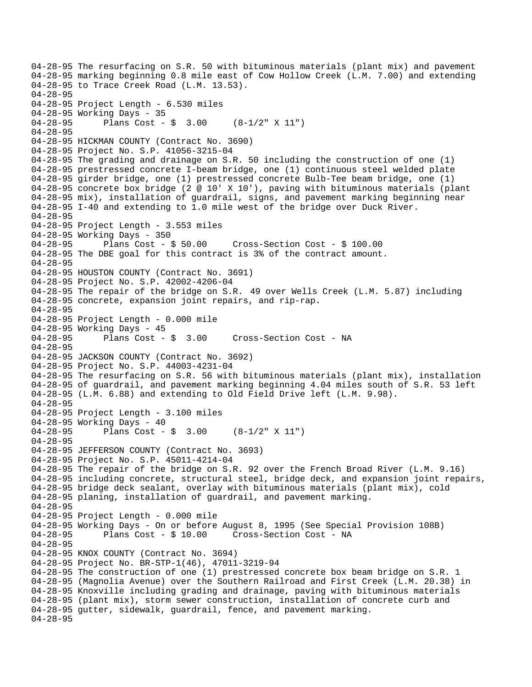04-28-95 The resurfacing on S.R. 50 with bituminous materials (plant mix) and pavement 04-28-95 marking beginning 0.8 mile east of Cow Hollow Creek (L.M. 7.00) and extending 04-28-95 to Trace Creek Road (L.M. 13.53). 04-28-95 04-28-95 Project Length - 6.530 miles 04-28-95 Working Days - 35 04-28-95 Plans Cost - \$ 3.00 (8-1/2" X 11") 04-28-95 04-28-95 HICKMAN COUNTY (Contract No. 3690) 04-28-95 Project No. S.P. 41056-3215-04 04-28-95 The grading and drainage on S.R. 50 including the construction of one (1) 04-28-95 prestressed concrete I-beam bridge, one (1) continuous steel welded plate 04-28-95 girder bridge, one (1) prestressed concrete Bulb-Tee beam bridge, one (1) 04-28-95 concrete box bridge (2 @ 10' X 10'), paving with bituminous materials (plant 04-28-95 mix), installation of guardrail, signs, and pavement marking beginning near 04-28-95 I-40 and extending to 1.0 mile west of the bridge over Duck River. 04-28-95 04-28-95 Project Length - 3.553 miles 04-28-95 Working Days - 350 04-28-95 Plans Cost - \$ 50.00 Cross-Section Cost - \$ 100.00 04-28-95 The DBE goal for this contract is 3% of the contract amount. 04-28-95 04-28-95 HOUSTON COUNTY (Contract No. 3691) 04-28-95 Project No. S.P. 42002-4206-04 04-28-95 The repair of the bridge on S.R. 49 over Wells Creek (L.M. 5.87) including 04-28-95 concrete, expansion joint repairs, and rip-rap. 04-28-95 04-28-95 Project Length - 0.000 mile 04-28-95 Working Days - 45<br>04-28-95 Plans Cost - \$ 3.00 04-28-95 Plans Cost - \$ 3.00 Cross-Section Cost - NA 04-28-95 04-28-95 JACKSON COUNTY (Contract No. 3692) 04-28-95 Project No. S.P. 44003-4231-04 04-28-95 The resurfacing on S.R. 56 with bituminous materials (plant mix), installation 04-28-95 of guardrail, and pavement marking beginning 4.04 miles south of S.R. 53 left 04-28-95 (L.M. 6.88) and extending to Old Field Drive left (L.M. 9.98). 04-28-95 04-28-95 Project Length - 3.100 miles 04-28-95 Working Days - 40 04-28-95 Plans Cost - \$ 3.00 (8-1/2" X 11") 04-28-95 04-28-95 JEFFERSON COUNTY (Contract No. 3693) 04-28-95 Project No. S.P. 45011-4214-04 04-28-95 The repair of the bridge on S.R. 92 over the French Broad River (L.M. 9.16) 04-28-95 including concrete, structural steel, bridge deck, and expansion joint repairs, 04-28-95 bridge deck sealant, overlay with bituminous materials (plant mix), cold 04-28-95 planing, installation of guardrail, and pavement marking. 04-28-95 04-28-95 Project Length - 0.000 mile 04-28-95 Working Days - On or before August 8, 1995 (See Special Provision 108B)<br>04-28-95 Plans Cost - \$ 10.00 Cross-Section Cost - NA Plans Cost - \$ 10.00 Cross-Section Cost - NA 04-28-95 04-28-95 KNOX COUNTY (Contract No. 3694) 04-28-95 Project No. BR-STP-1(46), 47011-3219-94 04-28-95 The construction of one (1) prestressed concrete box beam bridge on S.R. 1 04-28-95 (Magnolia Avenue) over the Southern Railroad and First Creek (L.M. 20.38) in 04-28-95 Knoxville including grading and drainage, paving with bituminous materials 04-28-95 (plant mix), storm sewer construction, installation of concrete curb and 04-28-95 gutter, sidewalk, guardrail, fence, and pavement marking. 04-28-95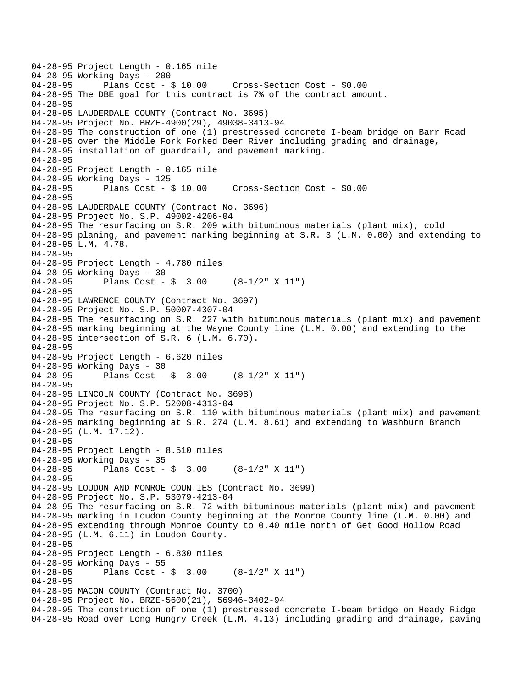```
04-28-95 Project Length - 0.165 mile 
04-28-95 Working Days - 200<br>04-28-95 Plans Cost - $ 10.00
                                      Cross-Section Cost - $0.00
04-28-95 The DBE goal for this contract is 7% of the contract amount. 
04-28-95 
04-28-95 LAUDERDALE COUNTY (Contract No. 3695) 
04-28-95 Project No. BRZE-4900(29), 49038-3413-94 
04-28-95 The construction of one (1) prestressed concrete I-beam bridge on Barr Road 
04-28-95 over the Middle Fork Forked Deer River including grading and drainage, 
04-28-95 installation of guardrail, and pavement marking. 
04-28-95 
04-28-95 Project Length - 0.165 mile 
04-28-95 Working Days - 125 
04-28-95 Plans Cost - $ 10.00 Cross-Section Cost - $0.00 
04-28-95 
04-28-95 LAUDERDALE COUNTY (Contract No. 3696) 
04-28-95 Project No. S.P. 49002-4206-04 
04-28-95 The resurfacing on S.R. 209 with bituminous materials (plant mix), cold 
04-28-95 planing, and pavement marking beginning at S.R. 3 (L.M. 0.00) and extending to 
04-28-95 L.M. 4.78. 
04-28-95 
04-28-95 Project Length - 4.780 miles 
04-28-95 Working Days - 30 
04-28-95 Plans Cost - $ 3.00 (8-1/2" X 11") 
04-28-95 
04-28-95 LAWRENCE COUNTY (Contract No. 3697) 
04-28-95 Project No. S.P. 50007-4307-04 
04-28-95 The resurfacing on S.R. 227 with bituminous materials (plant mix) and pavement 
04-28-95 marking beginning at the Wayne County line (L.M. 0.00) and extending to the 
04-28-95 intersection of S.R. 6 (L.M. 6.70). 
04-28-95 
04-28-95 Project Length - 6.620 miles 
04-28-95 Working Days - 30 
04-28-95 Plans Cost - $ 3.00 (8-1/2" X 11") 
04-28-95 
04-28-95 LINCOLN COUNTY (Contract No. 3698) 
04-28-95 Project No. S.P. 52008-4313-04 
04-28-95 The resurfacing on S.R. 110 with bituminous materials (plant mix) and pavement 
04-28-95 marking beginning at S.R. 274 (L.M. 8.61) and extending to Washburn Branch 
04-28-95 (L.M. 17.12). 
04-28-95 
04-28-95 Project Length - 8.510 miles 
04-28-95 Working Days - 35 
04-28-95 Plans Cost - $ 3.00 (8-1/2" X 11") 
04-28-95 
04-28-95 LOUDON AND MONROE COUNTIES (Contract No. 3699) 
04-28-95 Project No. S.P. 53079-4213-04 
04-28-95 The resurfacing on S.R. 72 with bituminous materials (plant mix) and pavement 
04-28-95 marking in Loudon County beginning at the Monroe County line (L.M. 0.00) and 
04-28-95 extending through Monroe County to 0.40 mile north of Get Good Hollow Road 
04-28-95 (L.M. 6.11) in Loudon County. 
04-28-95 
04-28-95 Project Length - 6.830 miles 
04-28-95 Working Days - 55<br>04-28-95 Plans Cost -
              Plans Cost - \sin 3.00 (8-1/2" X 11")
04-28-95 
04-28-95 MACON COUNTY (Contract No. 3700) 
04-28-95 Project No. BRZE-5600(21), 56946-3402-94 
04-28-95 The construction of one (1) prestressed concrete I-beam bridge on Heady Ridge 
04-28-95 Road over Long Hungry Creek (L.M. 4.13) including grading and drainage, paving
```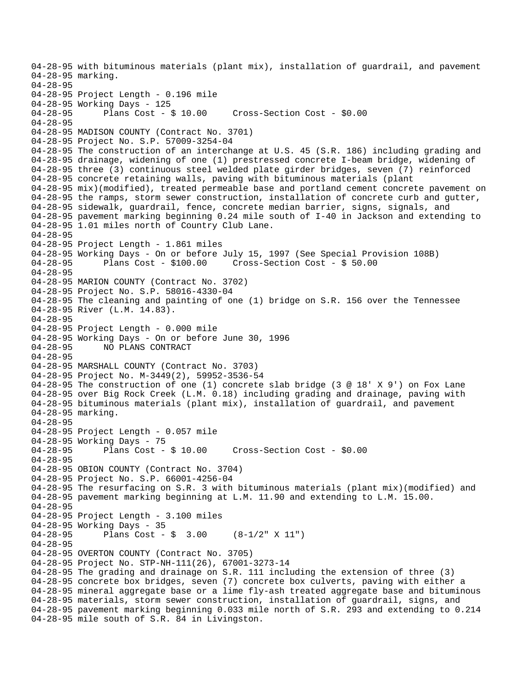04-28-95 with bituminous materials (plant mix), installation of guardrail, and pavement 04-28-95 marking. 04-28-95 04-28-95 Project Length - 0.196 mile 04-28-95 Working Days - 125 04-28-95 Plans Cost - \$ 10.00 Cross-Section Cost - \$0.00 04-28-95 04-28-95 MADISON COUNTY (Contract No. 3701) 04-28-95 Project No. S.P. 57009-3254-04 04-28-95 The construction of an interchange at U.S. 45 (S.R. 186) including grading and 04-28-95 drainage, widening of one (1) prestressed concrete I-beam bridge, widening of 04-28-95 three (3) continuous steel welded plate girder bridges, seven (7) reinforced 04-28-95 concrete retaining walls, paving with bituminous materials (plant 04-28-95 mix)(modified), treated permeable base and portland cement concrete pavement on 04-28-95 the ramps, storm sewer construction, installation of concrete curb and gutter, 04-28-95 sidewalk, guardrail, fence, concrete median barrier, signs, signals, and 04-28-95 pavement marking beginning 0.24 mile south of I-40 in Jackson and extending to 04-28-95 1.01 miles north of Country Club Lane. 04-28-95 04-28-95 Project Length - 1.861 miles 04-28-95 Working Days - On or before July 15, 1997 (See Special Provision 108B) 04-28-95 Plans Cost - \$100.00 Cross-Section Cost - \$ 50.00 04-28-95 04-28-95 MARION COUNTY (Contract No. 3702) 04-28-95 Project No. S.P. 58016-4330-04 04-28-95 The cleaning and painting of one (1) bridge on S.R. 156 over the Tennessee 04-28-95 River (L.M. 14.83). 04-28-95 04-28-95 Project Length - 0.000 mile 04-28-95 Working Days - On or before June 30, 1996 04-28-95 NO PLANS CONTRACT 04-28-95 04-28-95 MARSHALL COUNTY (Contract No. 3703) 04-28-95 Project No. M-3449(2), 59952-3536-54 04-28-95 The construction of one (1) concrete slab bridge (3 @ 18' X 9') on Fox Lane 04-28-95 over Big Rock Creek (L.M. 0.18) including grading and drainage, paving with 04-28-95 bituminous materials (plant mix), installation of guardrail, and pavement 04-28-95 marking. 04-28-95 04-28-95 Project Length - 0.057 mile 04-28-95 Working Days - 75 04-28-95 Plans Cost - \$ 10.00 Cross-Section Cost - \$0.00 04-28-95 04-28-95 OBION COUNTY (Contract No. 3704) 04-28-95 Project No. S.P. 66001-4256-04 04-28-95 The resurfacing on S.R. 3 with bituminous materials (plant mix)(modified) and 04-28-95 pavement marking beginning at L.M. 11.90 and extending to L.M. 15.00. 04-28-95 04-28-95 Project Length - 3.100 miles 04-28-95 Working Days - 35<br>04-28-95 Plans Cost -Plans Cost -  $\frac{1}{2}$  3.00 (8-1/2" X 11") 04-28-95 04-28-95 OVERTON COUNTY (Contract No. 3705) 04-28-95 Project No. STP-NH-111(26), 67001-3273-14 04-28-95 The grading and drainage on S.R. 111 including the extension of three (3) 04-28-95 concrete box bridges, seven (7) concrete box culverts, paving with either a 04-28-95 mineral aggregate base or a lime fly-ash treated aggregate base and bituminous 04-28-95 materials, storm sewer construction, installation of guardrail, signs, and 04-28-95 pavement marking beginning 0.033 mile north of S.R. 293 and extending to 0.214 04-28-95 mile south of S.R. 84 in Livingston.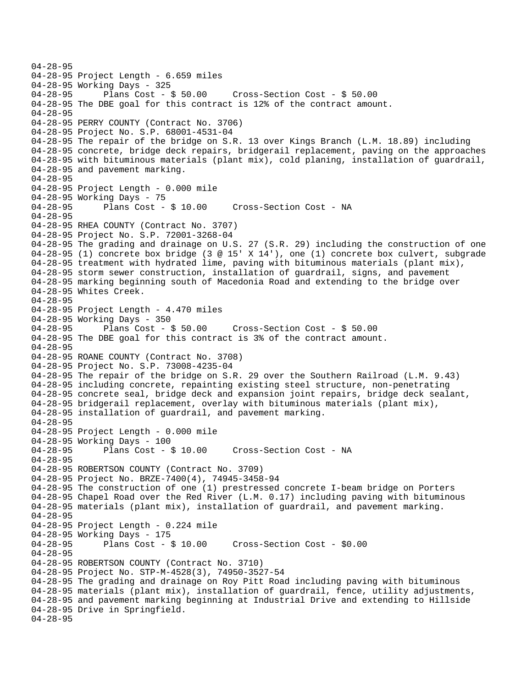04-28-95 04-28-95 Project Length - 6.659 miles 04-28-95 Working Days - 325 04-28-95 Plans Cost - \$ 50.00 Cross-Section Cost - \$ 50.00 04-28-95 The DBE goal for this contract is 12% of the contract amount. 04-28-95 04-28-95 PERRY COUNTY (Contract No. 3706) 04-28-95 Project No. S.P. 68001-4531-04 04-28-95 The repair of the bridge on S.R. 13 over Kings Branch (L.M. 18.89) including 04-28-95 concrete, bridge deck repairs, bridgerail replacement, paving on the approaches 04-28-95 with bituminous materials (plant mix), cold planing, installation of guardrail, 04-28-95 and pavement marking. 04-28-95 04-28-95 Project Length - 0.000 mile 04-28-95 Working Days - 75<br>04-28-95 Plans Cost - \$ 10.00 04-28-95 Plans Cost - \$ 10.00 Cross-Section Cost - NA 04-28-95 04-28-95 RHEA COUNTY (Contract No. 3707) 04-28-95 Project No. S.P. 72001-3268-04 04-28-95 The grading and drainage on U.S. 27 (S.R. 29) including the construction of one 04-28-95 (1) concrete box bridge (3 @ 15' X 14'), one (1) concrete box culvert, subgrade 04-28-95 treatment with hydrated lime, paving with bituminous materials (plant mix), 04-28-95 storm sewer construction, installation of guardrail, signs, and pavement 04-28-95 marking beginning south of Macedonia Road and extending to the bridge over 04-28-95 Whites Creek. 04-28-95 04-28-95 Project Length - 4.470 miles 04-28-95 Working Days - 350<br>04-28-95 Plans Cost - \$ 50.00 04-28-95 Plans Cost - \$ 50.00 Cross-Section Cost - \$ 50.00 04-28-95 The DBE goal for this contract is 3% of the contract amount. 04-28-95 04-28-95 ROANE COUNTY (Contract No. 3708) 04-28-95 Project No. S.P. 73008-4235-04 04-28-95 The repair of the bridge on S.R. 29 over the Southern Railroad (L.M. 9.43) 04-28-95 including concrete, repainting existing steel structure, non-penetrating 04-28-95 concrete seal, bridge deck and expansion joint repairs, bridge deck sealant, 04-28-95 bridgerail replacement, overlay with bituminous materials (plant mix), 04-28-95 installation of guardrail, and pavement marking. 04-28-95 04-28-95 Project Length - 0.000 mile 04-28-95 Working Days - 100 04-28-95 Plans Cost - \$ 10.00 Cross-Section Cost - NA 04-28-95 04-28-95 ROBERTSON COUNTY (Contract No. 3709) 04-28-95 Project No. BRZE-7400(4), 74945-3458-94 04-28-95 The construction of one (1) prestressed concrete I-beam bridge on Porters 04-28-95 Chapel Road over the Red River (L.M. 0.17) including paving with bituminous 04-28-95 materials (plant mix), installation of guardrail, and pavement marking. 04-28-95 04-28-95 Project Length - 0.224 mile 04-28-95 Working Days - 175 04-28-95 Plans Cost - \$ 10.00 Cross-Section Cost - \$0.00 04-28-95 04-28-95 ROBERTSON COUNTY (Contract No. 3710) 04-28-95 Project No. STP-M-4528(3), 74950-3527-54 04-28-95 The grading and drainage on Roy Pitt Road including paving with bituminous 04-28-95 materials (plant mix), installation of guardrail, fence, utility adjustments, 04-28-95 and pavement marking beginning at Industrial Drive and extending to Hillside 04-28-95 Drive in Springfield. 04-28-95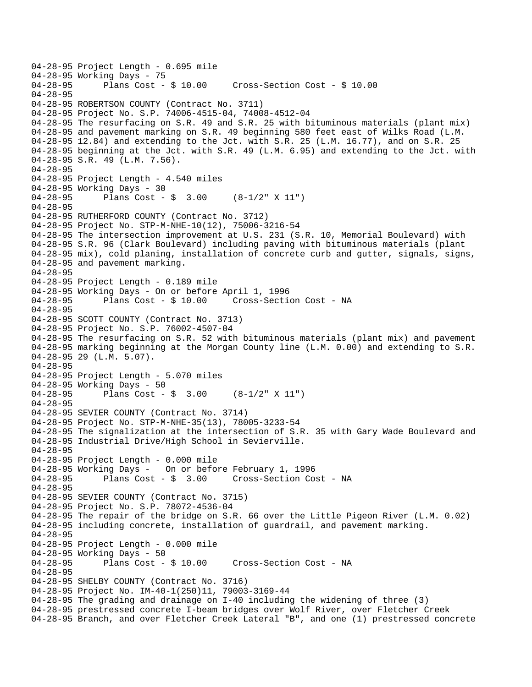```
04-28-95 Project Length - 0.695 mile 
04-28-95 Working Days - 75<br>04-28-95 Plans Cost - $ 10.00
                                        04-28-95 Plans Cost - $ 10.00 Cross-Section Cost - $ 10.00 
04-28-95 
04-28-95 ROBERTSON COUNTY (Contract No. 3711) 
04-28-95 Project No. S.P. 74006-4515-04, 74008-4512-04 
04-28-95 The resurfacing on S.R. 49 and S.R. 25 with bituminous materials (plant mix) 
04-28-95 and pavement marking on S.R. 49 beginning 580 feet east of Wilks Road (L.M. 
04-28-95 12.84) and extending to the Jct. with S.R. 25 (L.M. 16.77), and on S.R. 25 
04-28-95 beginning at the Jct. with S.R. 49 (L.M. 6.95) and extending to the Jct. with 
04-28-95 S.R. 49 (L.M. 7.56). 
04-28-95 
04-28-95 Project Length - 4.540 miles 
04-28-95 Working Days - 30 
04-28-95 Plans Cost - $ 3.00 (8-1/2" X 11") 
04-28-95 
04-28-95 RUTHERFORD COUNTY (Contract No. 3712) 
04-28-95 Project No. STP-M-NHE-10(12), 75006-3216-54 
04-28-95 The intersection improvement at U.S. 231 (S.R. 10, Memorial Boulevard) with 
04-28-95 S.R. 96 (Clark Boulevard) including paving with bituminous materials (plant 
04-28-95 mix), cold planing, installation of concrete curb and gutter, signals, signs, 
04-28-95 and pavement marking. 
04-28-95 
04-28-95 Project Length - 0.189 mile 
04-28-95 Working Days - On or before April 1, 1996 
04-28-95 Plans Cost - $ 10.00 Cross-Section Cost - NA 
04-28-95 
04-28-95 SCOTT COUNTY (Contract No. 3713) 
04-28-95 Project No. S.P. 76002-4507-04 
04-28-95 The resurfacing on S.R. 52 with bituminous materials (plant mix) and pavement 
04-28-95 marking beginning at the Morgan County line (L.M. 0.00) and extending to S.R. 
04-28-95 29 (L.M. 5.07). 
04-28-95 
04-28-95 Project Length - 5.070 miles 
04-28-95 Working Days - 50 
04-28-95 Plans Cost - $ 3.00 (8-1/2" X 11") 
04-28-95 
04-28-95 SEVIER COUNTY (Contract No. 3714) 
04-28-95 Project No. STP-M-NHE-35(13), 78005-3233-54 
04-28-95 The signalization at the intersection of S.R. 35 with Gary Wade Boulevard and 
04-28-95 Industrial Drive/High School in Sevierville. 
04-28-95 
04-28-95 Project Length - 0.000 mile 
04-28-95 Working Days - On or before February 1, 1996 
04-28-95 Plans Cost - $ 3.00 Cross-Section Cost - NA 
04-28-95 
04-28-95 SEVIER COUNTY (Contract No. 3715) 
04-28-95 Project No. S.P. 78072-4536-04 
04-28-95 The repair of the bridge on S.R. 66 over the Little Pigeon River (L.M. 0.02) 
04-28-95 including concrete, installation of guardrail, and pavement marking. 
04-28-95 
04-28-95 Project Length - 0.000 mile 
04-28-95 Working Days - 50 
04-28-95 Plans Cost - $ 10.00 Cross-Section Cost - NA 
04-28-95 
04-28-95 SHELBY COUNTY (Contract No. 3716) 
04-28-95 Project No. IM-40-1(250)11, 79003-3169-44 
04-28-95 The grading and drainage on I-40 including the widening of three (3) 
04-28-95 prestressed concrete I-beam bridges over Wolf River, over Fletcher Creek 
04-28-95 Branch, and over Fletcher Creek Lateral "B", and one (1) prestressed concrete
```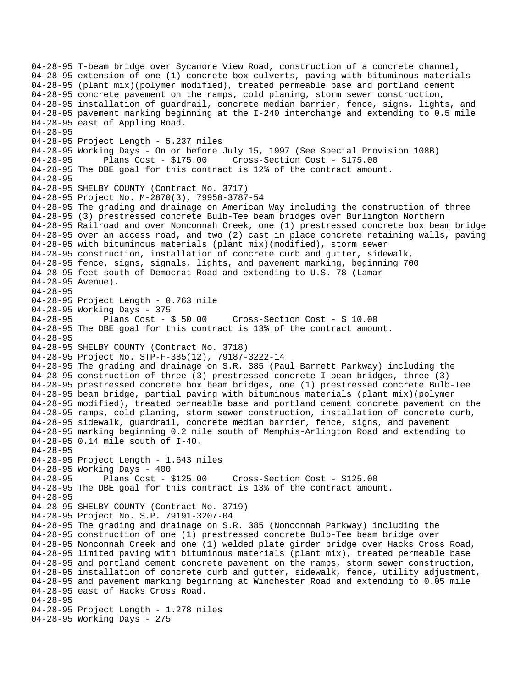04-28-95 T-beam bridge over Sycamore View Road, construction of a concrete channel, 04-28-95 extension of one (1) concrete box culverts, paving with bituminous materials 04-28-95 (plant mix)(polymer modified), treated permeable base and portland cement 04-28-95 concrete pavement on the ramps, cold planing, storm sewer construction, 04-28-95 installation of guardrail, concrete median barrier, fence, signs, lights, and 04-28-95 pavement marking beginning at the I-240 interchange and extending to 0.5 mile 04-28-95 east of Appling Road. 04-28-95 04-28-95 Project Length - 5.237 miles 04-28-95 Working Days - On or before July 15, 1997 (See Special Provision 108B) 04-28-95 Plans Cost - \$175.00 Cross-Section Cost - \$175.00 04-28-95 The DBE goal for this contract is 12% of the contract amount. 04-28-95 04-28-95 SHELBY COUNTY (Contract No. 3717) 04-28-95 Project No. M-2870(3), 79958-3787-54 04-28-95 The grading and drainage on American Way including the construction of three 04-28-95 (3) prestressed concrete Bulb-Tee beam bridges over Burlington Northern 04-28-95 Railroad and over Nonconnah Creek, one (1) prestressed concrete box beam bridge 04-28-95 over an access road, and two (2) cast in place concrete retaining walls, paving 04-28-95 with bituminous materials (plant mix)(modified), storm sewer 04-28-95 construction, installation of concrete curb and gutter, sidewalk, 04-28-95 fence, signs, signals, lights, and pavement marking, beginning 700 04-28-95 feet south of Democrat Road and extending to U.S. 78 (Lamar 04-28-95 Avenue). 04-28-95 04-28-95 Project Length - 0.763 mile 04-28-95 Working Days - 375<br>04-28-95 Plans Cost - \$ 50.00 04-28-95 Plans Cost - \$ 50.00 Cross-Section Cost - \$ 10.00 04-28-95 The DBE goal for this contract is 13% of the contract amount. 04-28-95 04-28-95 SHELBY COUNTY (Contract No. 3718) 04-28-95 Project No. STP-F-385(12), 79187-3222-14 04-28-95 The grading and drainage on S.R. 385 (Paul Barrett Parkway) including the 04-28-95 construction of three (3) prestressed concrete I-beam bridges, three (3) 04-28-95 prestressed concrete box beam bridges, one (1) prestressed concrete Bulb-Tee 04-28-95 beam bridge, partial paving with bituminous materials (plant mix)(polymer 04-28-95 modified), treated permeable base and portland cement concrete pavement on the 04-28-95 ramps, cold planing, storm sewer construction, installation of concrete curb, 04-28-95 sidewalk, guardrail, concrete median barrier, fence, signs, and pavement 04-28-95 marking beginning 0.2 mile south of Memphis-Arlington Road and extending to 04-28-95 0.14 mile south of I-40. 04-28-95 04-28-95 Project Length - 1.643 miles 04-28-95 Working Days - 400 04-28-95 Plans Cost - \$125.00 Cross-Section Cost - \$125.00 04-28-95 The DBE goal for this contract is 13% of the contract amount. 04-28-95 04-28-95 SHELBY COUNTY (Contract No. 3719) 04-28-95 Project No. S.P. 79191-3207-04 04-28-95 The grading and drainage on S.R. 385 (Nonconnah Parkway) including the 04-28-95 construction of one (1) prestressed concrete Bulb-Tee beam bridge over 04-28-95 Nonconnah Creek and one (1) welded plate girder bridge over Hacks Cross Road, 04-28-95 limited paving with bituminous materials (plant mix), treated permeable base 04-28-95 and portland cement concrete pavement on the ramps, storm sewer construction, 04-28-95 installation of concrete curb and gutter, sidewalk, fence, utility adjustment, 04-28-95 and pavement marking beginning at Winchester Road and extending to 0.05 mile 04-28-95 east of Hacks Cross Road. 04-28-95 04-28-95 Project Length - 1.278 miles 04-28-95 Working Days - 275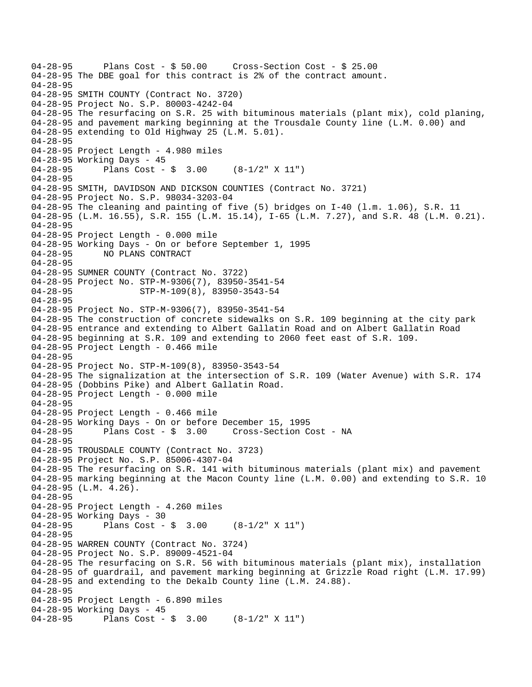```
04-28-95 Plans Cost - $ 50.00 Cross-Section Cost - $ 25.00 
04-28-95 The DBE goal for this contract is 2% of the contract amount. 
04-28-95 
04-28-95 SMITH COUNTY (Contract No. 3720) 
04-28-95 Project No. S.P. 80003-4242-04 
04-28-95 The resurfacing on S.R. 25 with bituminous materials (plant mix), cold planing, 
04-28-95 and pavement marking beginning at the Trousdale County line (L.M. 0.00) and 
04-28-95 extending to Old Highway 25 (L.M. 5.01). 
04-28-95 
04-28-95 Project Length - 4.980 miles 
04-28-95 Working Days - 45 
04-28-95 Plans Cost - $ 3.00 (8-1/2" X 11") 
04-28-95 
04-28-95 SMITH, DAVIDSON AND DICKSON COUNTIES (Contract No. 3721) 
04-28-95 Project No. S.P. 98034-3203-04 
04-28-95 The cleaning and painting of five (5) bridges on I-40 (l.m. 1.06), S.R. 11 
04-28-95 (L.M. 16.55), S.R. 155 (L.M. 15.14), I-65 (L.M. 7.27), and S.R. 48 (L.M. 0.21). 
04-28-95 
04-28-95 Project Length - 0.000 mile 
04-28-95 Working Days - On or before September 1, 1995 
04-28-95 NO PLANS CONTRACT 
04-28-95 
04-28-95 SUMNER COUNTY (Contract No. 3722) 
04-28-95 Project No. STP-M-9306(7), 83950-3541-54 
                     STP-M-109(8), 83950-3543-54
04-28-95 
04-28-95 Project No. STP-M-9306(7), 83950-3541-54 
04-28-95 The construction of concrete sidewalks on S.R. 109 beginning at the city park 
04-28-95 entrance and extending to Albert Gallatin Road and on Albert Gallatin Road 
04-28-95 beginning at S.R. 109 and extending to 2060 feet east of S.R. 109. 
04-28-95 Project Length - 0.466 mile 
04-28-95 
04-28-95 Project No. STP-M-109(8), 83950-3543-54 
04-28-95 The signalization at the intersection of S.R. 109 (Water Avenue) with S.R. 174 
04-28-95 (Dobbins Pike) and Albert Gallatin Road. 
04-28-95 Project Length - 0.000 mile 
04-28-95 
04-28-95 Project Length - 0.466 mile 
04-28-95 Working Days - On or before December 15, 1995 
04-28-95 Plans Cost - $ 3.00 Cross-Section Cost - NA 
04-28-95 
04-28-95 TROUSDALE COUNTY (Contract No. 3723) 
04-28-95 Project No. S.P. 85006-4307-04 
04-28-95 The resurfacing on S.R. 141 with bituminous materials (plant mix) and pavement 
04-28-95 marking beginning at the Macon County line (L.M. 0.00) and extending to S.R. 10 
04-28-95 (L.M. 4.26). 
04-28-95 
04-28-95 Project Length - 4.260 miles
04-28-95 Working Days - 30<br>04-28-95 Plans Cost -
              Plans Cost - \frac{1}{2} 3.00 (8-1/2" X 11")
04-28-95 
04-28-95 WARREN COUNTY (Contract No. 3724) 
04-28-95 Project No. S.P. 89009-4521-04 
04-28-95 The resurfacing on S.R. 56 with bituminous materials (plant mix), installation 
04-28-95 of guardrail, and pavement marking beginning at Grizzle Road right (L.M. 17.99) 
04-28-95 and extending to the Dekalb County line (L.M. 24.88). 
04-28-95 
04-28-95 Project Length - 6.890 miles 
04-28-95 Working Days - 45 
04-28-95 Plans Cost - $ 3.00 (8-1/2" X 11")
```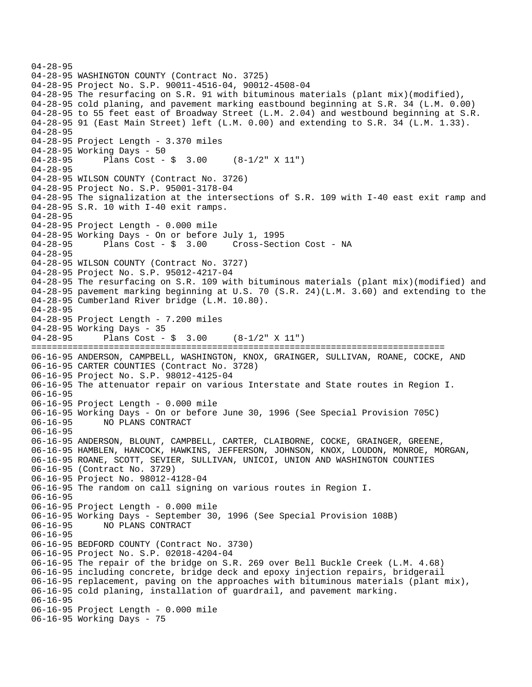04-28-95 04-28-95 WASHINGTON COUNTY (Contract No. 3725) 04-28-95 Project No. S.P. 90011-4516-04, 90012-4508-04 04-28-95 The resurfacing on S.R. 91 with bituminous materials (plant mix)(modified), 04-28-95 cold planing, and pavement marking eastbound beginning at S.R. 34 (L.M. 0.00) 04-28-95 to 55 feet east of Broadway Street (L.M. 2.04) and westbound beginning at S.R. 04-28-95 91 (East Main Street) left (L.M. 0.00) and extending to S.R. 34 (L.M. 1.33). 04-28-95 04-28-95 Project Length - 3.370 miles 04-28-95 Working Days - 50 04-28-95 Plans Cost - \$ 3.00 (8-1/2" X 11") 04-28-95 04-28-95 WILSON COUNTY (Contract No. 3726) 04-28-95 Project No. S.P. 95001-3178-04 04-28-95 The signalization at the intersections of S.R. 109 with I-40 east exit ramp and 04-28-95 S.R. 10 with I-40 exit ramps. 04-28-95 04-28-95 Project Length - 0.000 mile 04-28-95 Working Days - On or before July 1, 1995 04-28-95 Plans Cost - \$ 3.00 Cross-Section Cost - NA 04-28-95 04-28-95 WILSON COUNTY (Contract No. 3727) 04-28-95 Project No. S.P. 95012-4217-04 04-28-95 The resurfacing on S.R. 109 with bituminous materials (plant mix)(modified) and 04-28-95 pavement marking beginning at U.S. 70 (S.R. 24)(L.M. 3.60) and extending to the 04-28-95 Cumberland River bridge (L.M. 10.80). 04-28-95 04-28-95 Project Length - 7.200 miles 04-28-95 Working Days - 35 04-28-95 Plans Cost - \$ 3.00 (8-1/2" X 11") ================================================================================ 06-16-95 ANDERSON, CAMPBELL, WASHINGTON, KNOX, GRAINGER, SULLIVAN, ROANE, COCKE, AND 06-16-95 CARTER COUNTIES (Contract No. 3728) 06-16-95 Project No. S.P. 98012-4125-04 06-16-95 The attenuator repair on various Interstate and State routes in Region I. 06-16-95 06-16-95 Project Length - 0.000 mile 06-16-95 Working Days - On or before June 30, 1996 (See Special Provision 705C) 06-16-95 NO PLANS CONTRACT 06-16-95 06-16-95 ANDERSON, BLOUNT, CAMPBELL, CARTER, CLAIBORNE, COCKE, GRAINGER, GREENE, 06-16-95 HAMBLEN, HANCOCK, HAWKINS, JEFFERSON, JOHNSON, KNOX, LOUDON, MONROE, MORGAN, 06-16-95 ROANE, SCOTT, SEVIER, SULLIVAN, UNICOI, UNION AND WASHINGTON COUNTIES 06-16-95 (Contract No. 3729) 06-16-95 Project No. 98012-4128-04 06-16-95 The random on call signing on various routes in Region I. 06-16-95 06-16-95 Project Length - 0.000 mile 06-16-95 Working Days - September 30, 1996 (See Special Provision 108B) 06-16-95 NO PLANS CONTRACT 06-16-95 06-16-95 BEDFORD COUNTY (Contract No. 3730) 06-16-95 Project No. S.P. 02018-4204-04 06-16-95 The repair of the bridge on S.R. 269 over Bell Buckle Creek (L.M. 4.68) 06-16-95 including concrete, bridge deck and epoxy injection repairs, bridgerail 06-16-95 replacement, paving on the approaches with bituminous materials (plant mix), 06-16-95 cold planing, installation of guardrail, and pavement marking. 06-16-95 06-16-95 Project Length - 0.000 mile 06-16-95 Working Days - 75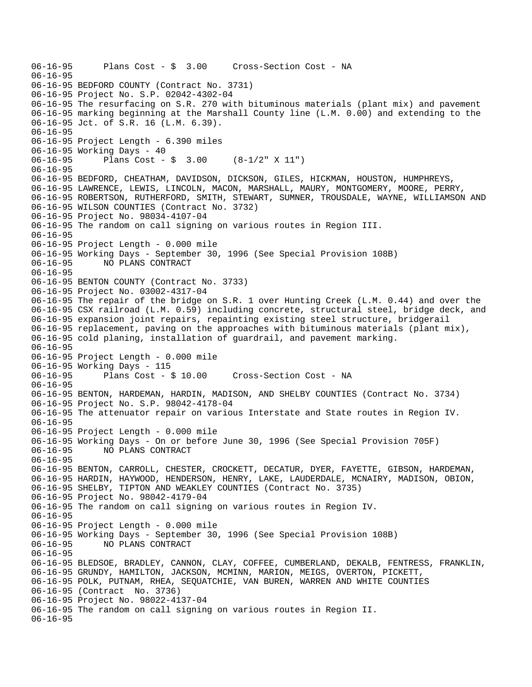```
06-16-95 Plans Cost - $ 3.00 Cross-Section Cost - NA 
06-16-95 
06-16-95 BEDFORD COUNTY (Contract No. 3731) 
06-16-95 Project No. S.P. 02042-4302-04 
06-16-95 The resurfacing on S.R. 270 with bituminous materials (plant mix) and pavement 
06-16-95 marking beginning at the Marshall County line (L.M. 0.00) and extending to the 
06-16-95 Jct. of S.R. 16 (L.M. 6.39). 
06-16-95 
06-16-95 Project Length - 6.390 miles 
06-16-95 Working Days - 40 
06-16-95 Plans Cost - $ 3.00 (8-1/2" X 11") 
06-16-95 
06-16-95 BEDFORD, CHEATHAM, DAVIDSON, DICKSON, GILES, HICKMAN, HOUSTON, HUMPHREYS, 
06-16-95 LAWRENCE, LEWIS, LINCOLN, MACON, MARSHALL, MAURY, MONTGOMERY, MOORE, PERRY, 
06-16-95 ROBERTSON, RUTHERFORD, SMITH, STEWART, SUMNER, TROUSDALE, WAYNE, WILLIAMSON AND 
06-16-95 WILSON COUNTIES (Contract No. 3732) 
06-16-95 Project No. 98034-4107-04 
06-16-95 The random on call signing on various routes in Region III. 
06-16-95 
06-16-95 Project Length - 0.000 mile 
06-16-95 Working Days - September 30, 1996 (See Special Provision 108B) 
06-16-95 NO PLANS CONTRACT 
06-16-95 
06-16-95 BENTON COUNTY (Contract No. 3733) 
06-16-95 Project No. 03002-4317-04 
06-16-95 The repair of the bridge on S.R. 1 over Hunting Creek (L.M. 0.44) and over the 
06-16-95 CSX railroad (L.M. 0.59) including concrete, structural steel, bridge deck, and 
06-16-95 expansion joint repairs, repainting existing steel structure, bridgerail 
06-16-95 replacement, paving on the approaches with bituminous materials (plant mix), 
06-16-95 cold planing, installation of guardrail, and pavement marking. 
06-16-95 
06-16-95 Project Length - 0.000 mile 
06-16-95 Working Days - 115 
06-16-95 Plans Cost - $ 10.00 Cross-Section Cost - NA 
06-16-95 
06-16-95 BENTON, HARDEMAN, HARDIN, MADISON, AND SHELBY COUNTIES (Contract No. 3734) 
06-16-95 Project No. S.P. 98042-4178-04 
06-16-95 The attenuator repair on various Interstate and State routes in Region IV. 
06-16-95 
06-16-95 Project Length - 0.000 mile 
06-16-95 Working Days - On or before June 30, 1996 (See Special Provision 705F) 
06-16-95 NO PLANS CONTRACT 
06-16-95 
06-16-95 BENTON, CARROLL, CHESTER, CROCKETT, DECATUR, DYER, FAYETTE, GIBSON, HARDEMAN, 
06-16-95 HARDIN, HAYWOOD, HENDERSON, HENRY, LAKE, LAUDERDALE, MCNAIRY, MADISON, OBION, 
06-16-95 SHELBY, TIPTON AND WEAKLEY COUNTIES (Contract No. 3735) 
06-16-95 Project No. 98042-4179-04 
06-16-95 The random on call signing on various routes in Region IV. 
06-16-95 
06-16-95 Project Length - 0.000 mile 
06-16-95 Working Days - September 30, 1996 (See Special Provision 108B) 
06-16-95 NO PLANS CONTRACT 
06-16-95 
06-16-95 BLEDSOE, BRADLEY, CANNON, CLAY, COFFEE, CUMBERLAND, DEKALB, FENTRESS, FRANKLIN, 
06-16-95 GRUNDY, HAMILTON, JACKSON, MCMINN, MARION, MEIGS, OVERTON, PICKETT, 
06-16-95 POLK, PUTNAM, RHEA, SEQUATCHIE, VAN BUREN, WARREN AND WHITE COUNTIES 
06-16-95 (Contract No. 3736) 
06-16-95 Project No. 98022-4137-04 
06-16-95 The random on call signing on various routes in Region II. 
06-16-95
```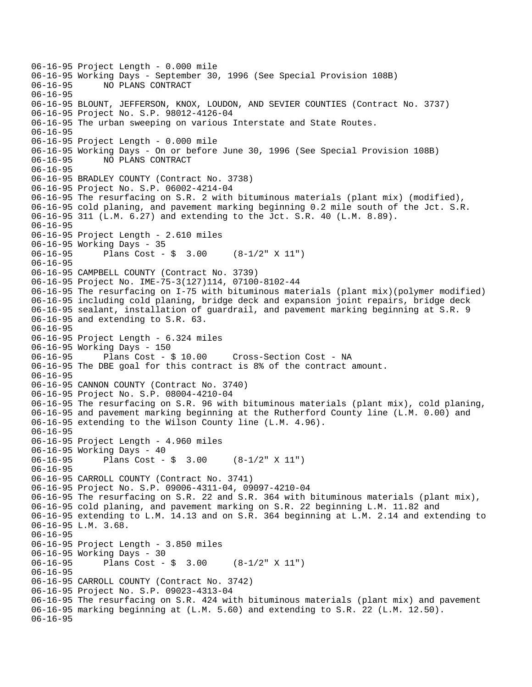06-16-95 Project Length - 0.000 mile 06-16-95 Working Days - September 30, 1996 (See Special Provision 108B)<br>06-16-95 NO PLANS CONTRACT 06-16-95 NO PLANS CONTRACT 06-16-95 06-16-95 BLOUNT, JEFFERSON, KNOX, LOUDON, AND SEVIER COUNTIES (Contract No. 3737) 06-16-95 Project No. S.P. 98012-4126-04 06-16-95 The urban sweeping on various Interstate and State Routes. 06-16-95 06-16-95 Project Length - 0.000 mile 06-16-95 Working Days - On or before June 30, 1996 (See Special Provision 108B) 06-16-95 NO PLANS CONTRACT 06-16-95 06-16-95 BRADLEY COUNTY (Contract No. 3738) 06-16-95 Project No. S.P. 06002-4214-04 06-16-95 The resurfacing on S.R. 2 with bituminous materials (plant mix) (modified), 06-16-95 cold planing, and pavement marking beginning 0.2 mile south of the Jct. S.R. 06-16-95 311 (L.M. 6.27) and extending to the Jct. S.R. 40 (L.M. 8.89). 06-16-95 06-16-95 Project Length - 2.610 miles 06-16-95 Working Days - 35 06-16-95 Plans Cost - \$ 3.00 (8-1/2" X 11") 06-16-95 06-16-95 CAMPBELL COUNTY (Contract No. 3739) 06-16-95 Project No. IME-75-3(127)114, 07100-8102-44 06-16-95 The resurfacing on I-75 with bituminous materials (plant mix)(polymer modified) 06-16-95 including cold planing, bridge deck and expansion joint repairs, bridge deck 06-16-95 sealant, installation of guardrail, and pavement marking beginning at S.R. 9 06-16-95 and extending to S.R. 63. 06-16-95 06-16-95 Project Length - 6.324 miles 06-16-95 Working Days - 150 06-16-95 Plans Cost - \$ 10.00 Cross-Section Cost - NA 06-16-95 The DBE goal for this contract is 8% of the contract amount. 06-16-95 06-16-95 CANNON COUNTY (Contract No. 3740) 06-16-95 Project No. S.P. 08004-4210-04 06-16-95 The resurfacing on S.R. 96 with bituminous materials (plant mix), cold planing, 06-16-95 and pavement marking beginning at the Rutherford County line (L.M. 0.00) and 06-16-95 extending to the Wilson County line (L.M. 4.96). 06-16-95 06-16-95 Project Length - 4.960 miles 06-16-95 Working Days - 40 06-16-95 Plans Cost - \$ 3.00 (8-1/2" X 11") 06-16-95 06-16-95 CARROLL COUNTY (Contract No. 3741) 06-16-95 Project No. S.P. 09006-4311-04, 09097-4210-04 06-16-95 The resurfacing on S.R. 22 and S.R. 364 with bituminous materials (plant mix), 06-16-95 cold planing, and pavement marking on S.R. 22 beginning L.M. 11.82 and 06-16-95 extending to L.M. 14.13 and on S.R. 364 beginning at L.M. 2.14 and extending to 06-16-95 L.M. 3.68. 06-16-95 06-16-95 Project Length - 3.850 miles 06-16-95 Working Days - 30 06-16-95 Plans Cost - \$ 3.00 (8-1/2" X 11") 06-16-95 06-16-95 CARROLL COUNTY (Contract No. 3742) 06-16-95 Project No. S.P. 09023-4313-04 06-16-95 The resurfacing on S.R. 424 with bituminous materials (plant mix) and pavement 06-16-95 marking beginning at (L.M. 5.60) and extending to S.R. 22 (L.M. 12.50). 06-16-95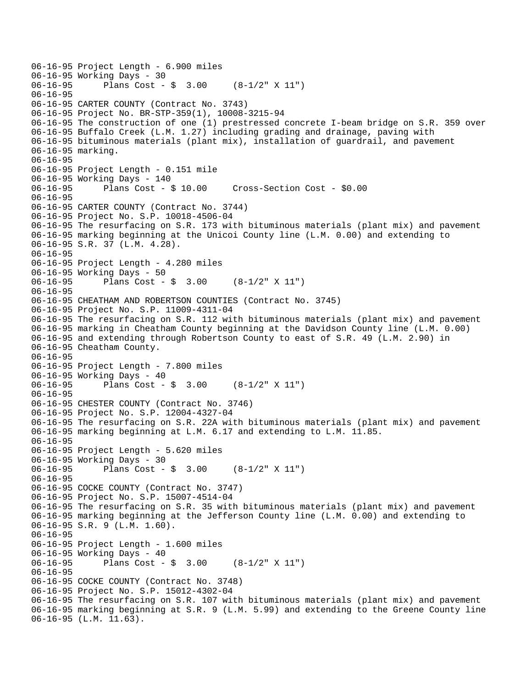```
06-16-95 Project Length - 6.900 miles 
06-16-95 Working Days - 30<br>06-16-95 Plans Cost -
              Plans Cost - \sin 3.00 (8-1/2" X 11")
06-16-95 
06-16-95 CARTER COUNTY (Contract No. 3743) 
06-16-95 Project No. BR-STP-359(1), 10008-3215-94 
06-16-95 The construction of one (1) prestressed concrete I-beam bridge on S.R. 359 over 
06-16-95 Buffalo Creek (L.M. 1.27) including grading and drainage, paving with 
06-16-95 bituminous materials (plant mix), installation of guardrail, and pavement 
06-16-95 marking. 
06-16-95 
06-16-95 Project Length - 0.151 mile 
06-16-95 Working Days - 140<br>06-16-95 Plans Cost -
              Plans Cost - $ 10.00 Cross-Section Cost - $0.0006-16-95 
06-16-95 CARTER COUNTY (Contract No. 3744) 
06-16-95 Project No. S.P. 10018-4506-04 
06-16-95 The resurfacing on S.R. 173 with bituminous materials (plant mix) and pavement 
06-16-95 marking beginning at the Unicoi County line (L.M. 0.00) and extending to 
06-16-95 S.R. 37 (L.M. 4.28). 
06-16-95 
06-16-95 Project Length - 4.280 miles 
06-16-95 Working Days - 50 
06-16-95 Plans Cost - $ 3.00 (8-1/2" X 11") 
06-16-95 
06-16-95 CHEATHAM AND ROBERTSON COUNTIES (Contract No. 3745) 
06-16-95 Project No. S.P. 11009-4311-04 
06-16-95 The resurfacing on S.R. 112 with bituminous materials (plant mix) and pavement 
06-16-95 marking in Cheatham County beginning at the Davidson County line (L.M. 0.00) 
06-16-95 and extending through Robertson County to east of S.R. 49 (L.M. 2.90) in 
06-16-95 Cheatham County. 
06-16-95 
06-16-95 Project Length - 7.800 miles 
06-16-95 Working Days - 40 
              Plans Cost - \frac{1}{5} 3.00 (8-1/2" X 11")
06-16-95 
06-16-95 CHESTER COUNTY (Contract No. 3746) 
06-16-95 Project No. S.P. 12004-4327-04 
06-16-95 The resurfacing on S.R. 22A with bituminous materials (plant mix) and pavement 
06-16-95 marking beginning at L.M. 6.17 and extending to L.M. 11.85. 
06-16-95 
06-16-95 Project Length - 5.620 miles 
06-16-95 Working Days - 30 
06-16-95 Plans Cost - $ 3.00 (8-1/2" X 11") 
06-16-95 
06-16-95 COCKE COUNTY (Contract No. 3747) 
06-16-95 Project No. S.P. 15007-4514-04 
06-16-95 The resurfacing on S.R. 35 with bituminous materials (plant mix) and pavement 
06-16-95 marking beginning at the Jefferson County line (L.M. 0.00) and extending to 
06-16-95 S.R. 9 (L.M. 1.60). 
06-16-95 
06-16-95 Project Length - 1.600 miles 
06-16-95 Working Days - 40 
06-16-95 Plans Cost - $ 3.00 (8-1/2" X 11") 
06-16-95 
06-16-95 COCKE COUNTY (Contract No. 3748) 
06-16-95 Project No. S.P. 15012-4302-04 
06-16-95 The resurfacing on S.R. 107 with bituminous materials (plant mix) and pavement 
06-16-95 marking beginning at S.R. 9 (L.M. 5.99) and extending to the Greene County line 
06-16-95 (L.M. 11.63).
```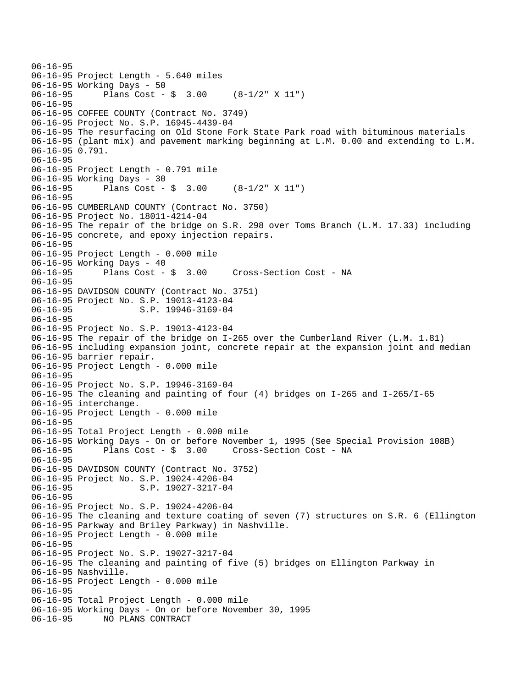```
06-16-95 
06-16-95 Project Length - 5.640 miles 
06-16-95 Working Days - 50 
06-16-95 Plans Cost - $ 3.00 (8-1/2" X 11") 
06-16-95 
06-16-95 COFFEE COUNTY (Contract No. 3749) 
06-16-95 Project No. S.P. 16945-4439-04 
06-16-95 The resurfacing on Old Stone Fork State Park road with bituminous materials 
06-16-95 (plant mix) and pavement marking beginning at L.M. 0.00 and extending to L.M. 
06-16-95 0.791. 
06-16-95 
06-16-95 Project Length - 0.791 mile 
06-16-95 Working Days - 30 
06-16-95 Plans Cost - $ 3.00 (8-1/2" X 11") 
06-16-95 
06-16-95 CUMBERLAND COUNTY (Contract No. 3750) 
06-16-95 Project No. 18011-4214-04 
06-16-95 The repair of the bridge on S.R. 298 over Toms Branch (L.M. 17.33) including 
06-16-95 concrete, and epoxy injection repairs. 
06-16-95 
06-16-95 Project Length - 0.000 mile 
06-16-95 Working Days - 40<br>06-16-95 Plans Cost - $ 3.00
06-16-95 Plans Cost - $ 3.00 Cross-Section Cost - NA 
06-16-95 
06-16-95 DAVIDSON COUNTY (Contract No. 3751) 
06-16-95 Project No. S.P. 19013-4123-04 
06-16-95 S.P. 19946-3169-04
06-16-95 
06-16-95 Project No. S.P. 19013-4123-04 
06-16-95 The repair of the bridge on I-265 over the Cumberland River (L.M. 1.81) 
06-16-95 including expansion joint, concrete repair at the expansion joint and median 
06-16-95 barrier repair. 
06-16-95 Project Length - 0.000 mile 
06-16-95 
06-16-95 Project No. S.P. 19946-3169-04 
06-16-95 The cleaning and painting of four (4) bridges on I-265 and I-265/I-65 
06-16-95 interchange. 
06-16-95 Project Length - 0.000 mile 
06-16-95 
06-16-95 Total Project Length - 0.000 mile 
06-16-95 Working Days - On or before November 1, 1995 (See Special Provision 108B) 
06-16-95 Plans Cost - $ 3.00 Cross-Section Cost - NA 
06-16-95 
06-16-95 DAVIDSON COUNTY (Contract No. 3752) 
06-16-95 Project No. S.P. 19024-4206-04 
06-16-95 S.P. 19027-3217-04
06-16-95 
06-16-95 Project No. S.P. 19024-4206-04 
06-16-95 The cleaning and texture coating of seven (7) structures on S.R. 6 (Ellington 
06-16-95 Parkway and Briley Parkway) in Nashville. 
06-16-95 Project Length - 0.000 mile 
06-16-95 
06-16-95 Project No. S.P. 19027-3217-04 
06-16-95 The cleaning and painting of five (5) bridges on Ellington Parkway in 
06-16-95 Nashville. 
06-16-95 Project Length - 0.000 mile 
06-16-95 
06-16-95 Total Project Length - 0.000 mile 
06-16-95 Working Days - On or before November 30, 1995 
06-16-95 NO PLANS CONTRACT
```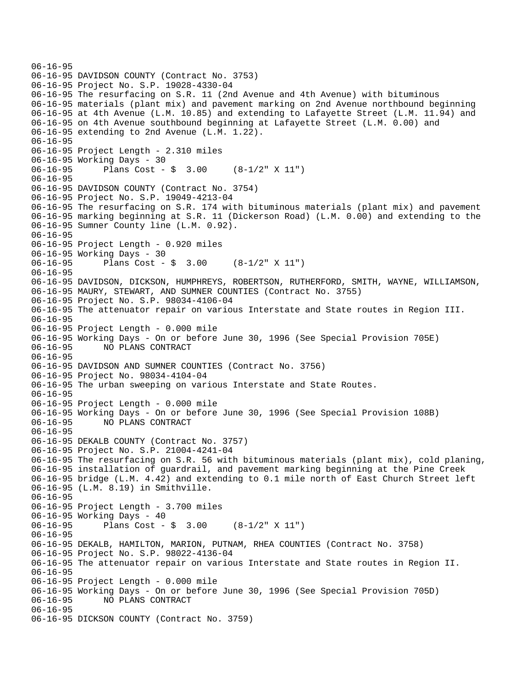```
06-16-95 
06-16-95 DAVIDSON COUNTY (Contract No. 3753) 
06-16-95 Project No. S.P. 19028-4330-04 
06-16-95 The resurfacing on S.R. 11 (2nd Avenue and 4th Avenue) with bituminous 
06-16-95 materials (plant mix) and pavement marking on 2nd Avenue northbound beginning 
06-16-95 at 4th Avenue (L.M. 10.85) and extending to Lafayette Street (L.M. 11.94) and 
06-16-95 on 4th Avenue southbound beginning at Lafayette Street (L.M. 0.00) and 
06-16-95 extending to 2nd Avenue (L.M. 1.22). 
06-16-95 
06-16-95 Project Length - 2.310 miles 
06-16-95 Working Days - 30 
06-16-95 Plans Cost - $ 3.00 (8-1/2" X 11") 
06-16-95 
06-16-95 DAVIDSON COUNTY (Contract No. 3754) 
06-16-95 Project No. S.P. 19049-4213-04 
06-16-95 The resurfacing on S.R. 174 with bituminous materials (plant mix) and pavement 
06-16-95 marking beginning at S.R. 11 (Dickerson Road) (L.M. 0.00) and extending to the 
06-16-95 Sumner County line (L.M. 0.92). 
06-16-95 
06-16-95 Project Length - 0.920 miles 
06-16-95 Working Days - 30 
06-16-95 Plans Cost - $ 3.00 (8-1/2" X 11") 
06-16-95 
06-16-95 DAVIDSON, DICKSON, HUMPHREYS, ROBERTSON, RUTHERFORD, SMITH, WAYNE, WILLIAMSON, 
06-16-95 MAURY, STEWART, AND SUMNER COUNTIES (Contract No. 3755) 
06-16-95 Project No. S.P. 98034-4106-04 
06-16-95 The attenuator repair on various Interstate and State routes in Region III. 
06-16-95 
06-16-95 Project Length - 0.000 mile 
06-16-95 Working Days - On or before June 30, 1996 (See Special Provision 705E) 
06-16-95 NO PLANS CONTRACT 
06-16-95 
06-16-95 DAVIDSON AND SUMNER COUNTIES (Contract No. 3756) 
06-16-95 Project No. 98034-4104-04 
06-16-95 The urban sweeping on various Interstate and State Routes. 
06-16-95 
06-16-95 Project Length - 0.000 mile 
06-16-95 Working Days - On or before June 30, 1996 (See Special Provision 108B) 
06-16-95 NO PLANS CONTRACT 
06-16-95 
06-16-95 DEKALB COUNTY (Contract No. 3757) 
06-16-95 Project No. S.P. 21004-4241-04 
06-16-95 The resurfacing on S.R. 56 with bituminous materials (plant mix), cold planing, 
06-16-95 installation of guardrail, and pavement marking beginning at the Pine Creek 
06-16-95 bridge (L.M. 4.42) and extending to 0.1 mile north of East Church Street left 
06-16-95 (L.M. 8.19) in Smithville. 
06-16-95 
06-16-95 Project Length - 3.700 miles 
06-16-95 Working Days - 40 
06-16-95 Plans Cost - $ 3.00 (8-1/2" X 11") 
06-16-95 
06-16-95 DEKALB, HAMILTON, MARION, PUTNAM, RHEA COUNTIES (Contract No. 3758) 
06-16-95 Project No. S.P. 98022-4136-04 
06-16-95 The attenuator repair on various Interstate and State routes in Region II. 
06-16-95 
06-16-95 Project Length - 0.000 mile 
06-16-95 Working Days - On or before June 30, 1996 (See Special Provision 705D) 
              06-16-95 NO PLANS CONTRACT 
06-16-95 
06-16-95 DICKSON COUNTY (Contract No. 3759)
```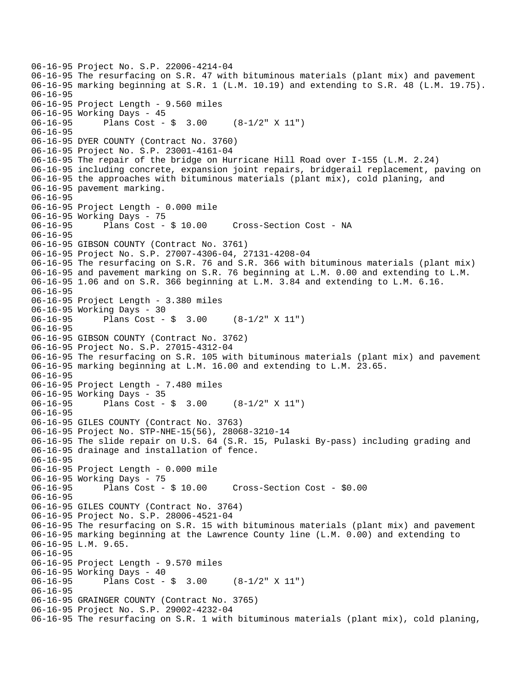```
06-16-95 Project No. S.P. 22006-4214-04 
06-16-95 The resurfacing on S.R. 47 with bituminous materials (plant mix) and pavement 
06-16-95 marking beginning at S.R. 1 (L.M. 10.19) and extending to S.R. 48 (L.M. 19.75). 
06-16-95 
06-16-95 Project Length - 9.560 miles 
06-16-95 Working Days - 45 
06-16-95 Plans Cost - $ 3.00 (8-1/2" X 11") 
06-16-95 
06-16-95 DYER COUNTY (Contract No. 3760) 
06-16-95 Project No. S.P. 23001-4161-04 
06-16-95 The repair of the bridge on Hurricane Hill Road over I-155 (L.M. 2.24) 
06-16-95 including concrete, expansion joint repairs, bridgerail replacement, paving on 
06-16-95 the approaches with bituminous materials (plant mix), cold planing, and 
06-16-95 pavement marking. 
06-16-95 
06-16-95 Project Length - 0.000 mile 
06-16-95 Working Days - 75 
06-16-95 Plans Cost - $ 10.00 Cross-Section Cost - NA 
06-16-95 
06-16-95 GIBSON COUNTY (Contract No. 3761) 
06-16-95 Project No. S.P. 27007-4306-04, 27131-4208-04 
06-16-95 The resurfacing on S.R. 76 and S.R. 366 with bituminous materials (plant mix) 
06-16-95 and pavement marking on S.R. 76 beginning at L.M. 0.00 and extending to L.M. 
06-16-95 1.06 and on S.R. 366 beginning at L.M. 3.84 and extending to L.M. 6.16. 
06-16-95 
06-16-95 Project Length - 3.380 miles 
06-16-95 Working Days - 30 
06-16-95 Plans Cost - $ 3.00 (8-1/2" X 11") 
06-16-95 
06-16-95 GIBSON COUNTY (Contract No. 3762) 
06-16-95 Project No. S.P. 27015-4312-04 
06-16-95 The resurfacing on S.R. 105 with bituminous materials (plant mix) and pavement 
06-16-95 marking beginning at L.M. 16.00 and extending to L.M. 23.65. 
06-16-95 
06-16-95 Project Length - 7.480 miles 
06-16-95 Working Days - 35 
06-16-95 Plans Cost - $ 3.00 (8-1/2" X 11") 
06-16-95 
06-16-95 GILES COUNTY (Contract No. 3763) 
06-16-95 Project No. STP-NHE-15(56), 28068-3210-14 
06-16-95 The slide repair on U.S. 64 (S.R. 15, Pulaski By-pass) including grading and 
06-16-95 drainage and installation of fence. 
06-16-95 
06-16-95 Project Length - 0.000 mile 
06-16-95 Working Days - 75<br>06-16-95 Plans Cost - $ 10.00
06-16-95 Plans Cost - $ 10.00 Cross-Section Cost - $0.00 
06-16-95 
06-16-95 GILES COUNTY (Contract No. 3764) 
06-16-95 Project No. S.P. 28006-4521-04 
06-16-95 The resurfacing on S.R. 15 with bituminous materials (plant mix) and pavement 
06-16-95 marking beginning at the Lawrence County line (L.M. 0.00) and extending to 
06-16-95 L.M. 9.65. 
06-16-95 
06-16-95 Project Length - 9.570 miles 
06-16-95 Working Days - 40 
06-16-95 Plans Cost - $ 3.00 (8-1/2" X 11") 
06-16-95 
06-16-95 GRAINGER COUNTY (Contract No. 3765) 
06-16-95 Project No. S.P. 29002-4232-04 
06-16-95 The resurfacing on S.R. 1 with bituminous materials (plant mix), cold planing,
```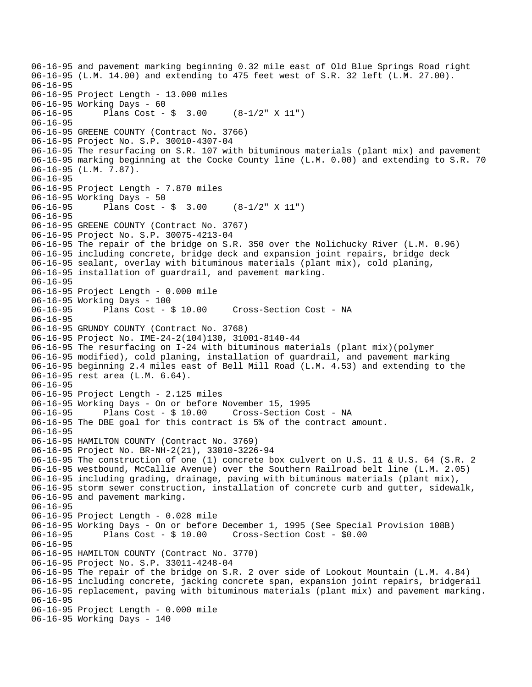06-16-95 and pavement marking beginning 0.32 mile east of Old Blue Springs Road right 06-16-95 (L.M. 14.00) and extending to 475 feet west of S.R. 32 left (L.M. 27.00). 06-16-95 06-16-95 Project Length - 13.000 miles 06-16-95 Working Days - 60 06-16-95 Plans Cost - \$ 3.00 (8-1/2" X 11") 06-16-95 06-16-95 GREENE COUNTY (Contract No. 3766) 06-16-95 Project No. S.P. 30010-4307-04 06-16-95 The resurfacing on S.R. 107 with bituminous materials (plant mix) and pavement 06-16-95 marking beginning at the Cocke County line (L.M. 0.00) and extending to S.R. 70 06-16-95 (L.M. 7.87). 06-16-95 06-16-95 Project Length - 7.870 miles 06-16-95 Working Days - 50 06-16-95 Plans Cost - \$ 3.00 (8-1/2" X 11") 06-16-95 06-16-95 GREENE COUNTY (Contract No. 3767) 06-16-95 Project No. S.P. 30075-4213-04 06-16-95 The repair of the bridge on S.R. 350 over the Nolichucky River (L.M. 0.96) 06-16-95 including concrete, bridge deck and expansion joint repairs, bridge deck 06-16-95 sealant, overlay with bituminous materials (plant mix), cold planing, 06-16-95 installation of guardrail, and pavement marking. 06-16-95 06-16-95 Project Length - 0.000 mile 06-16-95 Working Days - 100 06-16-95 Plans Cost - \$ 10.00 Cross-Section Cost - NA 06-16-95 06-16-95 GRUNDY COUNTY (Contract No. 3768) 06-16-95 Project No. IME-24-2(104)130, 31001-8140-44 06-16-95 The resurfacing on I-24 with bituminous materials (plant mix)(polymer 06-16-95 modified), cold planing, installation of guardrail, and pavement marking 06-16-95 beginning 2.4 miles east of Bell Mill Road (L.M. 4.53) and extending to the 06-16-95 rest area (L.M. 6.64). 06-16-95 06-16-95 Project Length - 2.125 miles 06-16-95 Working Days - On or before November 15, 1995 06-16-95 Plans Cost - \$ 10.00 Cross-Section Cost - NA 06-16-95 The DBE goal for this contract is 5% of the contract amount. 06-16-95 06-16-95 HAMILTON COUNTY (Contract No. 3769) 06-16-95 Project No. BR-NH-2(21), 33010-3226-94 06-16-95 The construction of one (1) concrete box culvert on U.S. 11 & U.S. 64 (S.R. 2 06-16-95 westbound, McCallie Avenue) over the Southern Railroad belt line (L.M. 2.05) 06-16-95 including grading, drainage, paving with bituminous materials (plant mix), 06-16-95 storm sewer construction, installation of concrete curb and gutter, sidewalk, 06-16-95 and pavement marking. 06-16-95 06-16-95 Project Length - 0.028 mile 06-16-95 Working Days - On or before December 1, 1995 (See Special Provision 108B)<br>06-16-95 Plans Cost - \$ 10.00 Cross-Section Cost - \$0.00 Plans  $Cost - $ 10.00$  Cross-Section Cost -  $$0.00$ 06-16-95 06-16-95 HAMILTON COUNTY (Contract No. 3770) 06-16-95 Project No. S.P. 33011-4248-04 06-16-95 The repair of the bridge on S.R. 2 over side of Lookout Mountain (L.M. 4.84) 06-16-95 including concrete, jacking concrete span, expansion joint repairs, bridgerail 06-16-95 replacement, paving with bituminous materials (plant mix) and pavement marking. 06-16-95 06-16-95 Project Length - 0.000 mile 06-16-95 Working Days - 140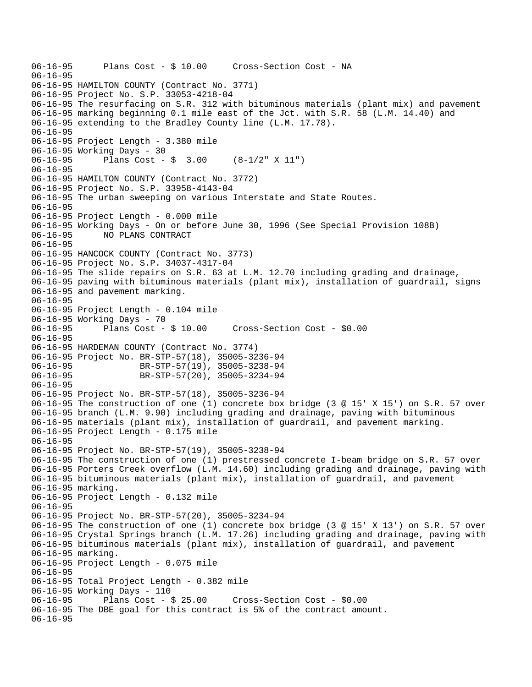```
06-16-95 Plans Cost - $ 10.00 Cross-Section Cost - NA 
06-16-95 
06-16-95 HAMILTON COUNTY (Contract No. 3771) 
06-16-95 Project No. S.P. 33053-4218-04 
06-16-95 The resurfacing on S.R. 312 with bituminous materials (plant mix) and pavement 
06-16-95 marking beginning 0.1 mile east of the Jct. with S.R. 58 (L.M. 14.40) and 
06-16-95 extending to the Bradley County line (L.M. 17.78). 
06-16-95 
06-16-95 Project Length - 3.380 mile 
06-16-95 Working Days - 30 
06-16-95 Plans Cost - $ 3.00 (8-1/2" X 11") 
06-16-95 
06-16-95 HAMILTON COUNTY (Contract No. 3772) 
06-16-95 Project No. S.P. 33958-4143-04 
06-16-95 The urban sweeping on various Interstate and State Routes. 
06-16-95 
06-16-95 Project Length - 0.000 mile 
06-16-95 Working Days - On or before June 30, 1996 (See Special Provision 108B) 
06-16-95 NO PLANS CONTRACT 
06-16-95 
06-16-95 HANCOCK COUNTY (Contract No. 3773) 
06-16-95 Project No. S.P. 34037-4317-04 
06-16-95 The slide repairs on S.R. 63 at L.M. 12.70 including grading and drainage, 
06-16-95 paving with bituminous materials (plant mix), installation of guardrail, signs 
06-16-95 and pavement marking. 
06-16-95 
06-16-95 Project Length - 0.104 mile 
06-16-95 Working Days - 70 
06-16-95 Plans Cost - $ 10.00 Cross-Section Cost - $0.00 
06-16-95 
06-16-95 HARDEMAN COUNTY (Contract No. 3774) 
06-16-95 Project No. BR-STP-57(18), 35005-3236-94<br>06-16-95 BR-STP-57(19), 35005-3238-94
                     06-16-95 BR-STP-57(19), 35005-3238-94 
06-16-95 BR-STP-57(20), 35005-3234-94 
06-16-95 
06-16-95 Project No. BR-STP-57(18), 35005-3236-94 
06-16-95 The construction of one (1) concrete box bridge (3 @ 15' X 15') on S.R. 57 over 
06-16-95 branch (L.M. 9.90) including grading and drainage, paving with bituminous 
06-16-95 materials (plant mix), installation of guardrail, and pavement marking. 
06-16-95 Project Length - 0.175 mile 
06-16-95 
06-16-95 Project No. BR-STP-57(19), 35005-3238-94 
06-16-95 The construction of one (1) prestressed concrete I-beam bridge on S.R. 57 over 
06-16-95 Porters Creek overflow (L.M. 14.60) including grading and drainage, paving with 
06-16-95 bituminous materials (plant mix), installation of guardrail, and pavement 
06-16-95 marking. 
06-16-95 Project Length - 0.132 mile 
06-16-95 
06-16-95 Project No. BR-STP-57(20), 35005-3234-94 
06-16-95 The construction of one (1) concrete box bridge (3 @ 15' X 13') on S.R. 57 over 
06-16-95 Crystal Springs branch (L.M. 17.26) including grading and drainage, paving with 
06-16-95 bituminous materials (plant mix), installation of guardrail, and pavement 
06-16-95 marking. 
06-16-95 Project Length - 0.075 mile 
06-16-95 
06-16-95 Total Project Length - 0.382 mile 
06-16-95 Working Days - 110<br>06-16-95     Plans Cost - $ 25.00
                                       Cross-Section Cost - $0.00
06-16-95 The DBE goal for this contract is 5% of the contract amount. 
06-16-95
```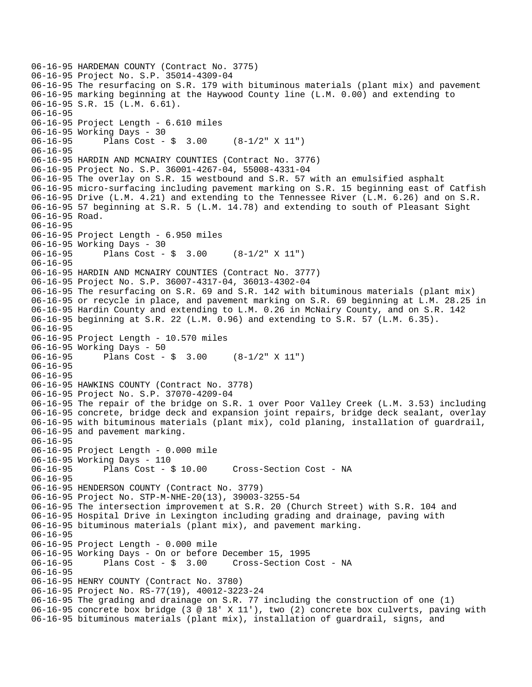```
06-16-95 HARDEMAN COUNTY (Contract No. 3775) 
06-16-95 Project No. S.P. 35014-4309-04 
06-16-95 The resurfacing on S.R. 179 with bituminous materials (plant mix) and pavement 
06-16-95 marking beginning at the Haywood County line (L.M. 0.00) and extending to 
06-16-95 S.R. 15 (L.M. 6.61). 
06-16-95 
06-16-95 Project Length - 6.610 miles 
06-16-95 Working Days - 30 
06-16-95 Plans Cost - $ 3.00 (8-1/2" X 11") 
06-16-95 
06-16-95 HARDIN AND MCNAIRY COUNTIES (Contract No. 3776) 
06-16-95 Project No. S.P. 36001-4267-04, 55008-4331-04 
06-16-95 The overlay on S.R. 15 westbound and S.R. 57 with an emulsified asphalt 
06-16-95 micro-surfacing including pavement marking on S.R. 15 beginning east of Catfish 
06-16-95 Drive (L.M. 4.21) and extending to the Tennessee River (L.M. 6.26) and on S.R. 
06-16-95 57 beginning at S.R. 5 (L.M. 14.78) and extending to south of Pleasant Sight 
06-16-95 Road. 
06-16-95 
06-16-95 Project Length - 6.950 miles 
06-16-95 Working Days - 30 
06-16-95 Plans Cost - $ 3.00 (8-1/2" X 11") 
06-16-95 
06-16-95 HARDIN AND MCNAIRY COUNTIES (Contract No. 3777) 
06-16-95 Project No. S.P. 36007-4317-04, 36013-4302-04 
06-16-95 The resurfacing on S.R. 69 and S.R. 142 with bituminous materials (plant mix) 
06-16-95 or recycle in place, and pavement marking on S.R. 69 beginning at L.M. 28.25 in 
06-16-95 Hardin County and extending to L.M. 0.26 in McNairy County, and on S.R. 142 
06-16-95 beginning at S.R. 22 (L.M. 0.96) and extending to S.R. 57 (L.M. 6.35). 
06-16-95 
06-16-95 Project Length - 10.570 miles 
06-16-95 Working Days - 50 
06-16-95 Plans Cost - $ 3.00 (8-1/2" X 11") 
06-16-95 
06-16-95 
06-16-95 HAWKINS COUNTY (Contract No. 3778) 
06-16-95 Project No. S.P. 37070-4209-04 
06-16-95 The repair of the bridge on S.R. 1 over Poor Valley Creek (L.M. 3.53) including 
06-16-95 concrete, bridge deck and expansion joint repairs, bridge deck sealant, overlay 
06-16-95 with bituminous materials (plant mix), cold planing, installation of guardrail, 
06-16-95 and pavement marking. 
06-16-95 
06-16-95 Project Length - 0.000 mile 
06-16-95 Working Days - 110 
06-16-95 Plans Cost - $ 10.00 Cross-Section Cost - NA 
06-16-95 
06-16-95 HENDERSON COUNTY (Contract No. 3779) 
06-16-95 Project No. STP-M-NHE-20(13), 39003-3255-54 
06-16-95 The intersection improvement at S.R. 20 (Church Street) with S.R. 104 and
06-16-95 Hospital Drive in Lexington including grading and drainage, paving with 
06-16-95 bituminous materials (plant mix), and pavement marking. 
06-16-95 
06-16-95 Project Length - 0.000 mile 
06-16-95 Working Days - On or before December 15, 1995 
06-16-95 Plans Cost - $ 3.00 Cross-Section Cost - NA 
06-16-95 
06-16-95 HENRY COUNTY (Contract No. 3780) 
06-16-95 Project No. RS-77(19), 40012-3223-24 
06-16-95 The grading and drainage on S.R. 77 including the construction of one (1) 
06-16-95 concrete box bridge (3 @ 18' X 11'), two (2) concrete box culverts, paving with 
06-16-95 bituminous materials (plant mix), installation of guardrail, signs, and
```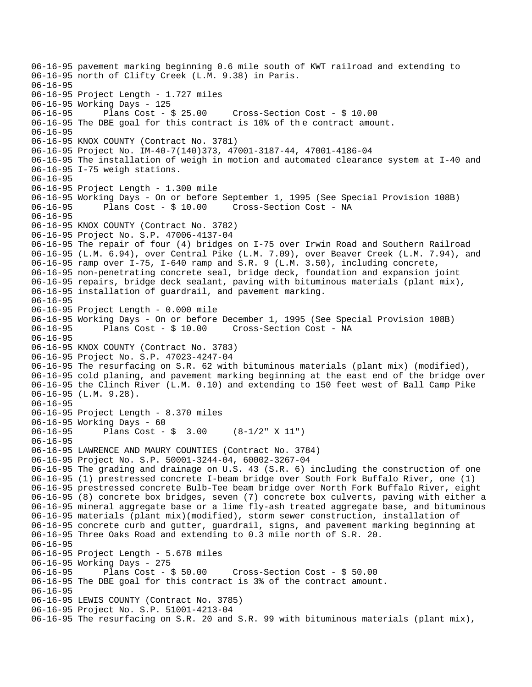06-16-95 pavement marking beginning 0.6 mile south of KWT railroad and extending to 06-16-95 north of Clifty Creek (L.M. 9.38) in Paris. 06-16-95 06-16-95 Project Length - 1.727 miles 06-16-95 Working Days - 125 06-16-95 Plans Cost - \$ 25.00 Cross-Section Cost - \$ 10.00 06-16-95 The DBE goal for this contract is 10% of the contract amount. 06-16-95 06-16-95 KNOX COUNTY (Contract No. 3781) 06-16-95 Project No. IM-40-7(140)373, 47001-3187-44, 47001-4186-04 06-16-95 The installation of weigh in motion and automated clearance system at I-40 and 06-16-95 I-75 weigh stations. 06-16-95 06-16-95 Project Length - 1.300 mile 06-16-95 Working Days - On or before September 1, 1995 (See Special Provision 108B) 06-16-95 Plans Cost - \$ 10.00 Cross-Section Cost - NA 06-16-95 06-16-95 KNOX COUNTY (Contract No. 3782) 06-16-95 Project No. S.P. 47006-4137-04 06-16-95 The repair of four (4) bridges on I-75 over Irwin Road and Southern Railroad 06-16-95 (L.M. 6.94), over Central Pike (L.M. 7.09), over Beaver Creek (L.M. 7.94), and 06-16-95 ramp over I-75, I-640 ramp and S.R. 9 (L.M. 3.50), including concrete, 06-16-95 non-penetrating concrete seal, bridge deck, foundation and expansion joint 06-16-95 repairs, bridge deck sealant, paving with bituminous materials (plant mix), 06-16-95 installation of guardrail, and pavement marking. 06-16-95 06-16-95 Project Length - 0.000 mile 06-16-95 Working Days - On or before December 1, 1995 (See Special Provision 108B) 06-16-95 Plans Cost - \$ 10.00 Cross-Section Cost - NA 06-16-95 06-16-95 KNOX COUNTY (Contract No. 3783) 06-16-95 Project No. S.P. 47023-4247-04 06-16-95 The resurfacing on S.R. 62 with bituminous materials (plant mix) (modified), 06-16-95 cold planing, and pavement marking beginning at the east end of the bridge over 06-16-95 the Clinch River (L.M. 0.10) and extending to 150 feet west of Ball Camp Pike 06-16-95 (L.M. 9.28). 06-16-95 06-16-95 Project Length - 8.370 miles 06-16-95 Working Days - 60 06-16-95 Plans Cost - \$ 3.00 (8-1/2" X 11") 06-16-95 06-16-95 LAWRENCE AND MAURY COUNTIES (Contract No. 3784) 06-16-95 Project No. S.P. 50001-3244-04, 60002-3267-04 06-16-95 The grading and drainage on U.S. 43 (S.R. 6) including the construction of one 06-16-95 (1) prestressed concrete I-beam bridge over South Fork Buffalo River, one (1) 06-16-95 prestressed concrete Bulb-Tee beam bridge over North Fork Buffalo River, eight 06-16-95 (8) concrete box bridges, seven (7) concrete box culverts, paving with either a 06-16-95 mineral aggregate base or a lime fly-ash treated aggregate base, and bituminous 06-16-95 materials (plant mix)(modified), storm sewer construction, installation of 06-16-95 concrete curb and gutter, guardrail, signs, and pavement marking beginning at 06-16-95 Three Oaks Road and extending to 0.3 mile north of S.R. 20. 06-16-95 06-16-95 Project Length - 5.678 miles 06-16-95 Working Days - 275 06-16-95 Plans Cost - \$ 50.00 Cross-Section Cost - \$ 50.00 06-16-95 The DBE goal for this contract is 3% of the contract amount. 06-16-95 06-16-95 LEWIS COUNTY (Contract No. 3785) 06-16-95 Project No. S.P. 51001-4213-04 06-16-95 The resurfacing on S.R. 20 and S.R. 99 with bituminous materials (plant mix),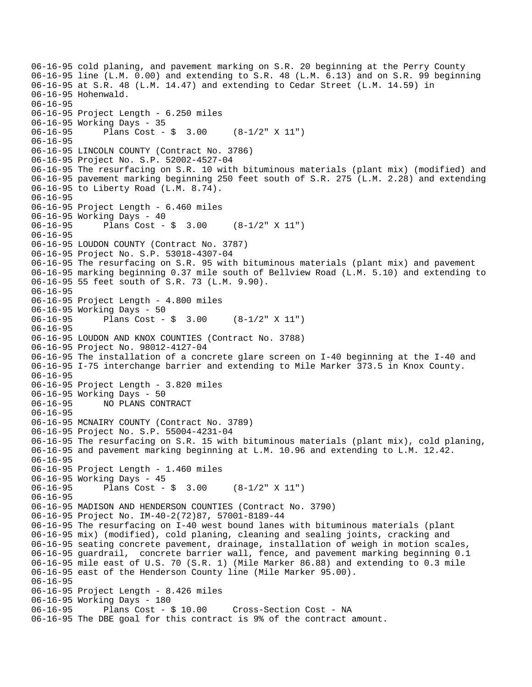```
06-16-95 cold planing, and pavement marking on S.R. 20 beginning at the Perry County 
06-16-95 line (L.M. 0.00) and extending to S.R. 48 (L.M. 6.13) and on S.R. 99 beginning 
06-16-95 at S.R. 48 (L.M. 14.47) and extending to Cedar Street (L.M. 14.59) in 
06-16-95 Hohenwald. 
06-16-95 
06-16-95 Project Length - 6.250 miles 
06-16-95 Working Days - 35 
06-16-95 Plans Cost - $ 3.00 (8-1/2" X 11") 
06-16-95 
06-16-95 LINCOLN COUNTY (Contract No. 3786) 
06-16-95 Project No. S.P. 52002-4527-04 
06-16-95 The resurfacing on S.R. 10 with bituminous materials (plant mix) (modified) and 
06-16-95 pavement marking beginning 250 feet south of S.R. 275 (L.M. 2.28) and extending 
06-16-95 to Liberty Road (L.M. 8.74). 
06-16-95 
06-16-95 Project Length - 6.460 miles 
06-16-95 Working Days - 40 
06-16-95 Plans Cost - $ 3.00 (8-1/2" X 11") 
06-16-95 
06-16-95 LOUDON COUNTY (Contract No. 3787) 
06-16-95 Project No. S.P. 53018-4307-04 
06-16-95 The resurfacing on S.R. 95 with bituminous materials (plant mix) and pavement 
06-16-95 marking beginning 0.37 mile south of Bellview Road (L.M. 5.10) and extending to 
06-16-95 55 feet south of S.R. 73 (L.M. 9.90). 
06-16-95 
06-16-95 Project Length - 4.800 miles 
06-16-95 Working Days - 50 
06-16-95 Plans Cost - $ 3.00 (8-1/2" X 11") 
06-16-95 
06-16-95 LOUDON AND KNOX COUNTIES (Contract No. 3788) 
06-16-95 Project No. 98012-4127-04 
06-16-95 The installation of a concrete glare screen on I-40 beginning at the I-40 and 
06-16-95 I-75 interchange barrier and extending to Mile Marker 373.5 in Knox County. 
06-16-95 
06-16-95 Project Length - 3.820 miles 
06-16-95 Working Days - 50 
06-16-95 NO PLANS CONTRACT 
06-16-95 
06-16-95 MCNAIRY COUNTY (Contract No. 3789) 
06-16-95 Project No. S.P. 55004-4231-04 
06-16-95 The resurfacing on S.R. 15 with bituminous materials (plant mix), cold planing, 
06-16-95 and pavement marking beginning at L.M. 10.96 and extending to L.M. 12.42. 
06-16-95 
06-16-95 Project Length - 1.460 miles 
06-16-95 Working Days - 45 
06-16-95 Plans Cost - $ 3.00 (8-1/2" X 11") 
06-16-95 
06-16-95 MADISON AND HENDERSON COUNTIES (Contract No. 3790) 
06-16-95 Project No. IM-40-2(72)87, 57001-8189-44 
06-16-95 The resurfacing on I-40 west bound lanes with bituminous materials (plant 
06-16-95 mix) (modified), cold planing, cleaning and sealing joints, cracking and 
06-16-95 seating concrete pavement, drainage, installation of weigh in motion scales, 
06-16-95 guardrail, concrete barrier wall, fence, and pavement marking beginning 0.1 
06-16-95 mile east of U.S. 70 (S.R. 1) (Mile Marker 86.88) and extending to 0.3 mile 
06-16-95 east of the Henderson County line (Mile Marker 95.00). 
06-16-95 
06-16-95 Project Length - 8.426 miles 
06-16-95 Working Days - 180<br>06-16-95 Plans Cost - $ 10.00
                                       Cross-Section Cost - NA
06-16-95 The DBE goal for this contract is 9% of the contract amount.
```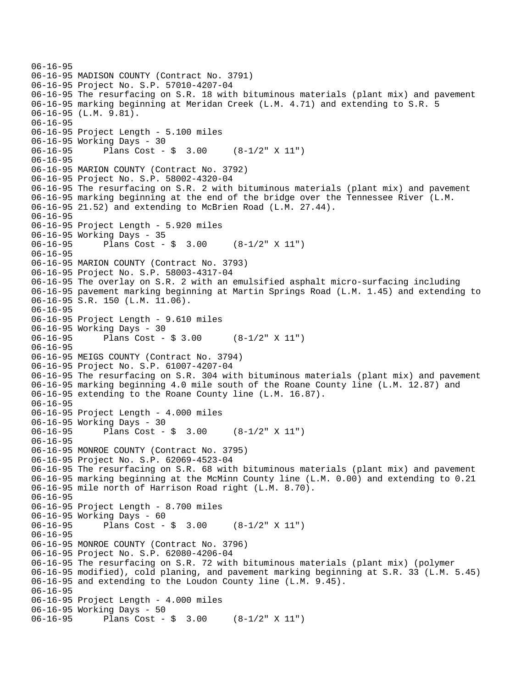```
06-16-95 
06-16-95 MADISON COUNTY (Contract No. 3791) 
06-16-95 Project No. S.P. 57010-4207-04 
06-16-95 The resurfacing on S.R. 18 with bituminous materials (plant mix) and pavement 
06-16-95 marking beginning at Meridan Creek (L.M. 4.71) and extending to S.R. 5 
06-16-95 (L.M. 9.81). 
06-16-95 
06-16-95 Project Length - 5.100 miles 
06-16-95 Working Days - 30 
06-16-95 Plans Cost - $ 3.00 (8-1/2" X 11") 
06-16-95 
06-16-95 MARION COUNTY (Contract No. 3792) 
06-16-95 Project No. S.P. 58002-4320-04 
06-16-95 The resurfacing on S.R. 2 with bituminous materials (plant mix) and pavement 
06-16-95 marking beginning at the end of the bridge over the Tennessee River (L.M. 
06-16-95 21.52) and extending to McBrien Road (L.M. 27.44). 
06-16-95 
06-16-95 Project Length - 5.920 miles 
06-16-95 Working Days - 35 
06-16-95 Plans Cost - $ 3.00 (8-1/2" X 11") 
06-16-95 
06-16-95 MARION COUNTY (Contract No. 3793) 
06-16-95 Project No. S.P. 58003-4317-04 
06-16-95 The overlay on S.R. 2 with an emulsified asphalt micro-surfacing including 
06-16-95 pavement marking beginning at Martin Springs Road (L.M. 1.45) and extending to 
06-16-95 S.R. 150 (L.M. 11.06). 
06-16-95 
06-16-95 Project Length - 9.610 miles 
06-16-95 Working Days - 30 
06-16-95 Plans Cost - $ 3.00 (8-1/2" X 11") 
06-16-95 
06-16-95 MEIGS COUNTY (Contract No. 3794) 
06-16-95 Project No. S.P. 61007-4207-04 
06-16-95 The resurfacing on S.R. 304 with bituminous materials (plant mix) and pavement 
06-16-95 marking beginning 4.0 mile south of the Roane County line (L.M. 12.87) and 
06-16-95 extending to the Roane County line (L.M. 16.87). 
06-16-95 
06-16-95 Project Length - 4.000 miles 
06-16-95 Working Days - 30 
06-16-95 Plans Cost - $ 3.00 (8-1/2" X 11") 
06-16-95 
06-16-95 MONROE COUNTY (Contract No. 3795) 
06-16-95 Project No. S.P. 62069-4523-04 
06-16-95 The resurfacing on S.R. 68 with bituminous materials (plant mix) and pavement 
06-16-95 marking beginning at the McMinn County line (L.M. 0.00) and extending to 0.21 
06-16-95 mile north of Harrison Road right (L.M. 8.70). 
06-16-95 
06-16-95 Project Length - 8.700 miles 
06-16-95 Working Days - 60 
06-16-95 Plans Cost - $ 3.00 (8-1/2" X 11") 
06-16-95 
06-16-95 MONROE COUNTY (Contract No. 3796) 
06-16-95 Project No. S.P. 62080-4206-04 
06-16-95 The resurfacing on S.R. 72 with bituminous materials (plant mix) (polymer 
06-16-95 modified), cold planing, and pavement marking beginning at S.R. 33 (L.M. 5.45) 
06-16-95 and extending to the Loudon County line (L.M. 9.45). 
06-16-95 
06-16-95 Project Length - 4.000 miles 
06-16-95 Working Days - 50 
06-16-95 Plans Cost - $ 3.00 (8-1/2" X 11")
```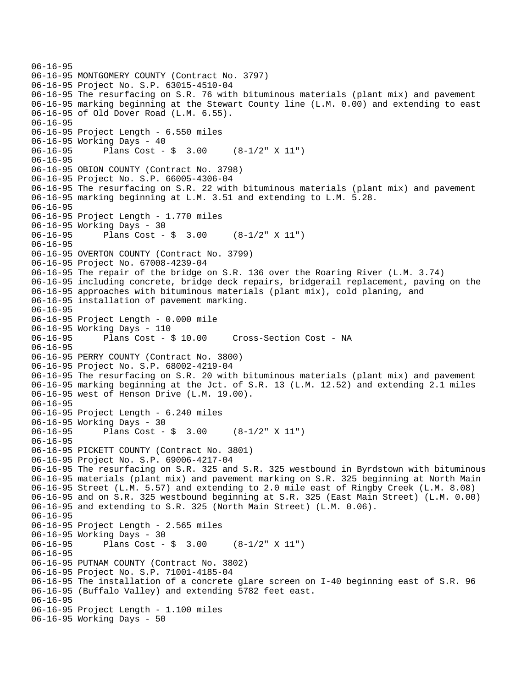```
06-16-95 
06-16-95 MONTGOMERY COUNTY (Contract No. 3797) 
06-16-95 Project No. S.P. 63015-4510-04 
06-16-95 The resurfacing on S.R. 76 with bituminous materials (plant mix) and pavement 
06-16-95 marking beginning at the Stewart County line (L.M. 0.00) and extending to east 
06-16-95 of Old Dover Road (L.M. 6.55). 
06-16-95 
06-16-95 Project Length - 6.550 miles 
06-16-95 Working Days - 40 
06-16-95 Plans Cost - $ 3.00 (8-1/2" X 11") 
06-16-95 
06-16-95 OBION COUNTY (Contract No. 3798) 
06-16-95 Project No. S.P. 66005-4306-04 
06-16-95 The resurfacing on S.R. 22 with bituminous materials (plant mix) and pavement 
06-16-95 marking beginning at L.M. 3.51 and extending to L.M. 5.28. 
06-16-95 
06-16-95 Project Length - 1.770 miles 
06-16-95 Working Days - 30 
06-16-95 Plans Cost - $ 3.00 (8-1/2" X 11") 
06-16-95 
06-16-95 OVERTON COUNTY (Contract No. 3799) 
06-16-95 Project No. 67008-4239-04 
06-16-95 The repair of the bridge on S.R. 136 over the Roaring River (L.M. 3.74) 
06-16-95 including concrete, bridge deck repairs, bridgerail replacement, paving on the 
06-16-95 approaches with bituminous materials (plant mix), cold planing, and 
06-16-95 installation of pavement marking. 
06-16-95 
06-16-95 Project Length - 0.000 mile 
06-16-95 Working Days - 110 
06-16-95 Plans Cost - $ 10.00 Cross-Section Cost - NA 
06-16-95 
06-16-95 PERRY COUNTY (Contract No. 3800) 
06-16-95 Project No. S.P. 68002-4219-04 
06-16-95 The resurfacing on S.R. 20 with bituminous materials (plant mix) and pavement 
06-16-95 marking beginning at the Jct. of S.R. 13 (L.M. 12.52) and extending 2.1 miles 
06-16-95 west of Henson Drive (L.M. 19.00). 
06-16-95 
06-16-95 Project Length - 6.240 miles 
06-16-95 Working Days - 30 
06-16-95 Plans Cost - $ 3.00 (8-1/2" X 11") 
06-16-95 
06-16-95 PICKETT COUNTY (Contract No. 3801) 
06-16-95 Project No. S.P. 69006-4217-04 
06-16-95 The resurfacing on S.R. 325 and S.R. 325 westbound in Byrdstown with bituminous 
06-16-95 materials (plant mix) and pavement marking on S.R. 325 beginning at North Main 
06-16-95 Street (L.M. 5.57) and extending to 2.0 mile east of Ringby Creek (L.M. 8.08) 
06-16-95 and on S.R. 325 westbound beginning at S.R. 325 (East Main Street) (L.M. 0.00) 
06-16-95 and extending to S.R. 325 (North Main Street) (L.M. 0.06). 
06-16-95 
06-16-95 Project Length - 2.565 miles 
06-16-95 Working Days - 30 
06-16-95 Plans Cost - $ 3.00 (8-1/2" X 11") 
06-16-95 
06-16-95 PUTNAM COUNTY (Contract No. 3802) 
06-16-95 Project No. S.P. 71001-4185-04 
06-16-95 The installation of a concrete glare screen on I-40 beginning east of S.R. 96 
06-16-95 (Buffalo Valley) and extending 5782 feet east. 
06-16-95 
06-16-95 Project Length - 1.100 miles 
06-16-95 Working Days - 50
```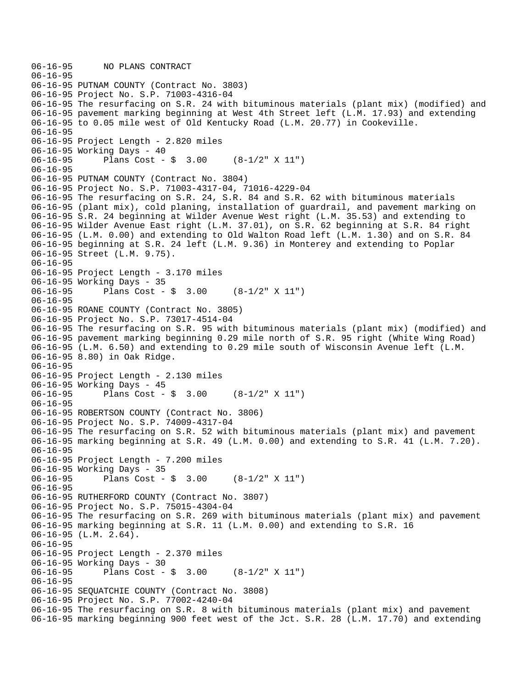```
06-16-95 NO PLANS CONTRACT 
06-16-95 
06-16-95 PUTNAM COUNTY (Contract No. 3803) 
06-16-95 Project No. S.P. 71003-4316-04 
06-16-95 The resurfacing on S.R. 24 with bituminous materials (plant mix) (modified) and 
06-16-95 pavement marking beginning at West 4th Street left (L.M. 17.93) and extending 
06-16-95 to 0.05 mile west of Old Kentucky Road (L.M. 20.77) in Cookeville. 
06-16-95 
06-16-95 Project Length - 2.820 miles 
06-16-95 Working Days - 40 
06-16-95 Plans Cost - $ 3.00 (8-1/2" X 11") 
06-16-95 
06-16-95 PUTNAM COUNTY (Contract No. 3804) 
06-16-95 Project No. S.P. 71003-4317-04, 71016-4229-04 
06-16-95 The resurfacing on S.R. 24, S.R. 84 and S.R. 62 with bituminous materials 
06-16-95 (plant mix), cold planing, installation of guardrail, and pavement marking on 
06-16-95 S.R. 24 beginning at Wilder Avenue West right (L.M. 35.53) and extending to 
06-16-95 Wilder Avenue East right (L.M. 37.01), on S.R. 62 beginning at S.R. 84 right 
06-16-95 (L.M. 0.00) and extending to Old Walton Road left (L.M. 1.30) and on S.R. 84 
06-16-95 beginning at S.R. 24 left (L.M. 9.36) in Monterey and extending to Poplar 
06-16-95 Street (L.M. 9.75). 
06-16-95 
06-16-95 Project Length - 3.170 miles 
06-16-95 Working Days - 35 
              Plans Cost - \frac{1}{9} 3.00 (8-1/2" X 11")
06-16-95 
06-16-95 ROANE COUNTY (Contract No. 3805) 
06-16-95 Project No. S.P. 73017-4514-04 
06-16-95 The resurfacing on S.R. 95 with bituminous materials (plant mix) (modified) and 
06-16-95 pavement marking beginning 0.29 mile north of S.R. 95 right (White Wing Road) 
06-16-95 (L.M. 6.50) and extending to 0.29 mile south of Wisconsin Avenue left (L.M. 
06-16-95 8.80) in Oak Ridge. 
06-16-95 
06-16-95 Project Length - 2.130 miles 
06-16-95 Working Days - 45 
06-16-95 Plans Cost - $ 3.00 (8-1/2" X 11") 
06-16-95 
06-16-95 ROBERTSON COUNTY (Contract No. 3806) 
06-16-95 Project No. S.P. 74009-4317-04 
06-16-95 The resurfacing on S.R. 52 with bituminous materials (plant mix) and pavement 
06-16-95 marking beginning at S.R. 49 (L.M. 0.00) and extending to S.R. 41 (L.M. 7.20). 
06-16-95 
06-16-95 Project Length - 7.200 miles 
06-16-95 Working Days - 35 
06-16-95 Plans Cost - $ 3.00 (8-1/2" X 11") 
06-16-95 
06-16-95 RUTHERFORD COUNTY (Contract No. 3807) 
06-16-95 Project No. S.P. 75015-4304-04 
06-16-95 The resurfacing on S.R. 269 with bituminous materials (plant mix) and pavement 
06-16-95 marking beginning at S.R. 11 (L.M. 0.00) and extending to S.R. 16 
06-16-95 (L.M. 2.64). 
06-16-95 
06-16-95 Project Length - 2.370 miles 
06-16-95 Working Days - 30<br>06-16-95 Plans Cost -
              Plans Cost - \sin 3.00 (8-1/2" X 11")
06-16-95 
06-16-95 SEQUATCHIE COUNTY (Contract No. 3808) 
06-16-95 Project No. S.P. 77002-4240-04 
06-16-95 The resurfacing on S.R. 8 with bituminous materials (plant mix) and pavement 
06-16-95 marking beginning 900 feet west of the Jct. S.R. 28 (L.M. 17.70) and extending
```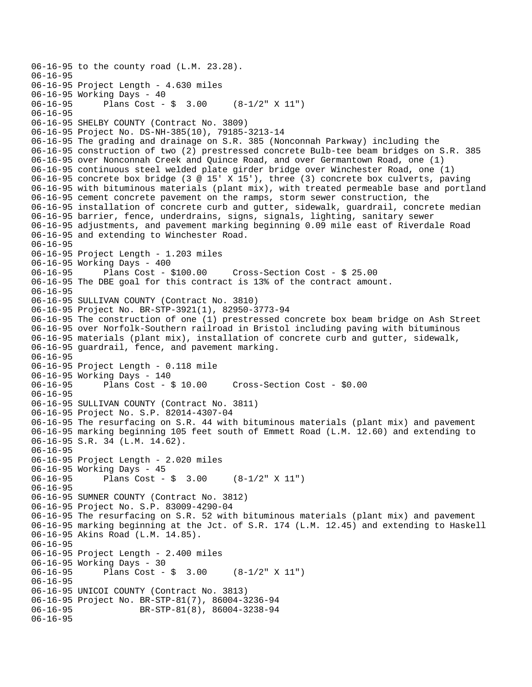```
06-16-95 to the county road (L.M. 23.28). 
06-16-95 
06-16-95 Project Length - 4.630 miles 
06-16-95 Working Days - 40<br>06-16-95 Plans Cost -
              Plans Cost - \sin 3.00 (8-1/2" X 11")
06-16-95 
06-16-95 SHELBY COUNTY (Contract No. 3809) 
06-16-95 Project No. DS-NH-385(10), 79185-3213-14 
06-16-95 The grading and drainage on S.R. 385 (Nonconnah Parkway) including the 
06-16-95 construction of two (2) prestressed concrete Bulb-tee beam bridges on S.R. 385 
06-16-95 over Nonconnah Creek and Quince Road, and over Germantown Road, one (1) 
06-16-95 continuous steel welded plate girder bridge over Winchester Road, one (1) 
06-16-95 concrete box bridge (3 @ 15' X 15'), three (3) concrete box culverts, paving 
06-16-95 with bituminous materials (plant mix), with treated permeable base and portland 
06-16-95 cement concrete pavement on the ramps, storm sewer construction, the 
06-16-95 installation of concrete curb and gutter, sidewalk, guardrail, concrete median 
06-16-95 barrier, fence, underdrains, signs, signals, lighting, sanitary sewer 
06-16-95 adjustments, and pavement marking beginning 0.09 mile east of Riverdale Road 
06-16-95 and extending to Winchester Road. 
06-16-95 
06-16-95 Project Length - 1.203 miles 
06-16-95 Working Days - 400<br>06-16-95 Plans Cost - $100.00
06-16-95 Plans Cost - $100.00 Cross-Section Cost - $ 25.00 
06-16-95 The DBE goal for this contract is 13% of the contract amount. 
06-16-95 
06-16-95 SULLIVAN COUNTY (Contract No. 3810) 
06-16-95 Project No. BR-STP-3921(1), 82950-3773-94 
06-16-95 The construction of one (1) prestressed concrete box beam bridge on Ash Street 
06-16-95 over Norfolk-Southern railroad in Bristol including paving with bituminous 
06-16-95 materials (plant mix), installation of concrete curb and gutter, sidewalk, 
06-16-95 guardrail, fence, and pavement marking. 
06-16-95 
06-16-95 Project Length - 0.118 mile 
06-16-95 Working Days - 140 
                                        Cross-Section Cost - $0.00
06-16-95 
06-16-95 SULLIVAN COUNTY (Contract No. 3811) 
06-16-95 Project No. S.P. 82014-4307-04 
06-16-95 The resurfacing on S.R. 44 with bituminous materials (plant mix) and pavement 
06-16-95 marking beginning 105 feet south of Emmett Road (L.M. 12.60) and extending to 
06-16-95 S.R. 34 (L.M. 14.62). 
06-16-95 
06-16-95 Project Length - 2.020 miles 
06-16-95 Working Days - 45 
06-16-95 Plans Cost - $ 3.00 (8-1/2" X 11") 
06-16-95 
06-16-95 SUMNER COUNTY (Contract No. 3812) 
06-16-95 Project No. S.P. 83009-4290-04 
06-16-95 The resurfacing on S.R. 52 with bituminous materials (plant mix) and pavement 
06-16-95 marking beginning at the Jct. of S.R. 174 (L.M. 12.45) and extending to Haskell 
06-16-95 Akins Road (L.M. 14.85). 
06-16-95 
06-16-95 Project Length - 2.400 miles 
06-16-95 Working Days - 30<br>06-16-95 Plans Cost -
              Plans Cost - \sin 3.00 (8-1/2" X 11")
06-16-95 
06-16-95 UNICOI COUNTY (Contract No. 3813) 
06-16-95 Project No. BR-STP-81(7), 86004-3236-94<br>06-16-95 BR-STP-81(8), 86004-3238-94
                     BR-STP-81(8), 86004-3238-94
06-16-95
```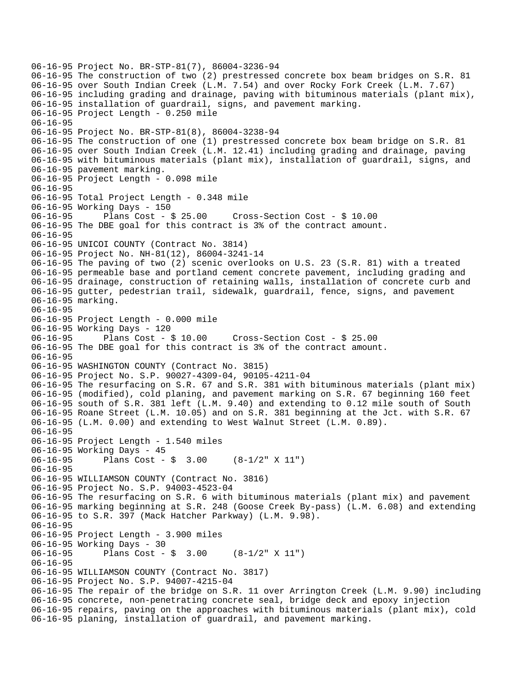06-16-95 Project No. BR-STP-81(7), 86004-3236-94 06-16-95 The construction of two (2) prestressed concrete box beam bridges on S.R. 81 06-16-95 over South Indian Creek (L.M. 7.54) and over Rocky Fork Creek (L.M. 7.67) 06-16-95 including grading and drainage, paving with bituminous materials (plant mix), 06-16-95 installation of guardrail, signs, and pavement marking. 06-16-95 Project Length - 0.250 mile 06-16-95 06-16-95 Project No. BR-STP-81(8), 86004-3238-94 06-16-95 The construction of one (1) prestressed concrete box beam bridge on S.R. 81 06-16-95 over South Indian Creek (L.M. 12.41) including grading and drainage, paving 06-16-95 with bituminous materials (plant mix), installation of guardrail, signs, and 06-16-95 pavement marking. 06-16-95 Project Length - 0.098 mile 06-16-95 06-16-95 Total Project Length - 0.348 mile 06-16-95 Working Days - 150<br>06-16-95 Plans Cost - \$ 25.00 06-16-95 Plans Cost - \$ 25.00 Cross-Section Cost - \$ 10.00 06-16-95 The DBE goal for this contract is 3% of the contract amount. 06-16-95 06-16-95 UNICOI COUNTY (Contract No. 3814) 06-16-95 Project No. NH-81(12), 86004-3241-14 06-16-95 The paving of two (2) scenic overlooks on U.S. 23 (S.R. 81) with a treated 06-16-95 permeable base and portland cement concrete pavement, including grading and 06-16-95 drainage, construction of retaining walls, installation of concrete curb and 06-16-95 gutter, pedestrian trail, sidewalk, guardrail, fence, signs, and pavement 06-16-95 marking. 06-16-95 06-16-95 Project Length - 0.000 mile 06-16-95 Working Days - 120<br>06-16-95 Plans Cost - \$ 10.00 06-16-95 Plans Cost - \$ 10.00 Cross-Section Cost - \$ 25.00 06-16-95 The DBE goal for this contract is 3% of the contract amount. 06-16-95 06-16-95 WASHINGTON COUNTY (Contract No. 3815) 06-16-95 Project No. S.P. 90027-4309-04, 90105-4211-04 06-16-95 The resurfacing on S.R. 67 and S.R. 381 with bituminous materials (plant mix) 06-16-95 (modified), cold planing, and pavement marking on S.R. 67 beginning 160 feet 06-16-95 south of S.R. 381 left (L.M. 9.40) and extending to 0.12 mile south of South 06-16-95 Roane Street (L.M. 10.05) and on S.R. 381 beginning at the Jct. with S.R. 67 06-16-95 (L.M. 0.00) and extending to West Walnut Street (L.M. 0.89). 06-16-95 06-16-95 Project Length - 1.540 miles 06-16-95 Working Days - 45 06-16-95 Plans Cost - \$ 3.00 (8-1/2" X 11") 06-16-95 06-16-95 WILLIAMSON COUNTY (Contract No. 3816) 06-16-95 Project No. S.P. 94003-4523-04 06-16-95 The resurfacing on S.R. 6 with bituminous materials (plant mix) and pavement 06-16-95 marking beginning at S.R. 248 (Goose Creek By-pass) (L.M. 6.08) and extending 06-16-95 to S.R. 397 (Mack Hatcher Parkway) (L.M. 9.98). 06-16-95 06-16-95 Project Length - 3.900 miles 06-16-95 Working Days - 30 06-16-95 Plans Cost - \$ 3.00 (8-1/2" X 11") 06-16-95 06-16-95 WILLIAMSON COUNTY (Contract No. 3817) 06-16-95 Project No. S.P. 94007-4215-04 06-16-95 The repair of the bridge on S.R. 11 over Arrington Creek (L.M. 9.90) including 06-16-95 concrete, non-penetrating concrete seal, bridge deck and epoxy injection 06-16-95 repairs, paving on the approaches with bituminous materials (plant mix), cold 06-16-95 planing, installation of guardrail, and pavement marking.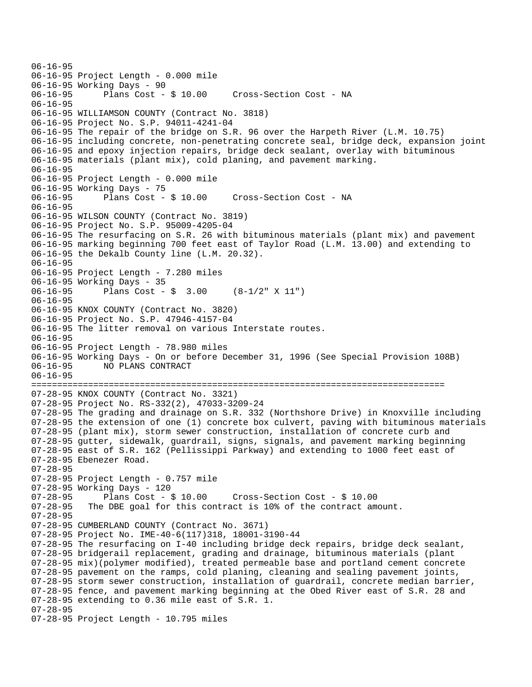06-16-95 06-16-95 Project Length - 0.000 mile 06-16-95 Working Days - 90 06-16-95 Plans Cost - \$ 10.00 Cross-Section Cost - NA 06-16-95 06-16-95 WILLIAMSON COUNTY (Contract No. 3818) 06-16-95 Project No. S.P. 94011-4241-04 06-16-95 The repair of the bridge on S.R. 96 over the Harpeth River (L.M. 10.75) 06-16-95 including concrete, non-penetrating concrete seal, bridge deck, expansion joint 06-16-95 and epoxy injection repairs, bridge deck sealant, overlay with bituminous 06-16-95 materials (plant mix), cold planing, and pavement marking. 06-16-95 06-16-95 Project Length - 0.000 mile 06-16-95 Working Days - 75<br>06-16-95 Plans Cost - \$ 10.00 Cross-Section Cost - NA 06-16-95 06-16-95 WILSON COUNTY (Contract No. 3819) 06-16-95 Project No. S.P. 95009-4205-04 06-16-95 The resurfacing on S.R. 26 with bituminous materials (plant mix) and pavement 06-16-95 marking beginning 700 feet east of Taylor Road (L.M. 13.00) and extending to 06-16-95 the Dekalb County line (L.M. 20.32). 06-16-95 06-16-95 Project Length - 7.280 miles 06-16-95 Working Days - 35 Plans Cost -  $\frac{1}{9}$  3.00 (8-1/2" X 11") 06-16-95 06-16-95 KNOX COUNTY (Contract No. 3820) 06-16-95 Project No. S.P. 47946-4157-04 06-16-95 The litter removal on various Interstate routes. 06-16-95 06-16-95 Project Length - 78.980 miles 06-16-95 Working Days - On or before December 31, 1996 (See Special Provision 108B) 06-16-95 NO PLANS CONTRACT 06-16-95 ================================================================================ 07-28-95 KNOX COUNTY (Contract No. 3321) 07-28-95 Project No. RS-332(2), 47033-3209-24 07-28-95 The grading and drainage on S.R. 332 (Northshore Drive) in Knoxville including 07-28-95 the extension of one (1) concrete box culvert, paving with bituminous materials 07-28-95 (plant mix), storm sewer construction, installation of concrete curb and 07-28-95 gutter, sidewalk, guardrail, signs, signals, and pavement marking beginning 07-28-95 east of S.R. 162 (Pellissippi Parkway) and extending to 1000 feet east of 07-28-95 Ebenezer Road. 07-28-95 07-28-95 Project Length - 0.757 mile 07-28-95 Working Days - 120  $07-28-95$  Plans Cost - \$ 10.00 Cross-Section Cost - \$ 10.00<br> $07-28-95$  The DBE goal for this contract is 10% of the contract am The DBE goal for this contract is 10% of the contract amount. 07-28-95 07-28-95 CUMBERLAND COUNTY (Contract No. 3671) 07-28-95 Project No. IME-40-6(117)318, 18001-3190-44 07-28-95 The resurfacing on I-40 including bridge deck repairs, bridge deck sealant, 07-28-95 bridgerail replacement, grading and drainage, bituminous materials (plant 07-28-95 mix)(polymer modified), treated permeable base and portland cement concrete 07-28-95 pavement on the ramps, cold planing, cleaning and sealing pavement joints, 07-28-95 storm sewer construction, installation of guardrail, concrete median barrier, 07-28-95 fence, and pavement marking beginning at the Obed River east of S.R. 28 and 07-28-95 extending to 0.36 mile east of S.R. 1. 07-28-95 07-28-95 Project Length - 10.795 miles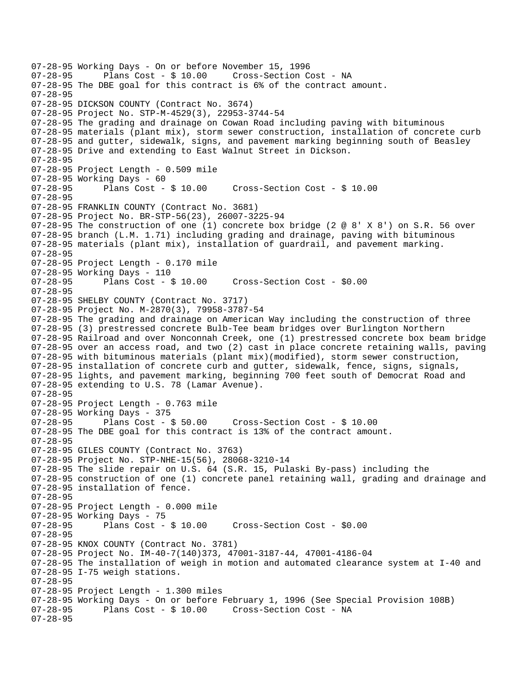07-28-95 Working Days - On or before November 15, 1996 Plans Cost - \$ 10.00 Cross-Section Cost - NA 07-28-95 The DBE goal for this contract is 6% of the contract amount. 07-28-95 07-28-95 DICKSON COUNTY (Contract No. 3674) 07-28-95 Project No. STP-M-4529(3), 22953-3744-54 07-28-95 The grading and drainage on Cowan Road including paving with bituminous 07-28-95 materials (plant mix), storm sewer construction, installation of concrete curb 07-28-95 and gutter, sidewalk, signs, and pavement marking beginning south of Beasley 07-28-95 Drive and extending to East Walnut Street in Dickson. 07-28-95 07-28-95 Project Length - 0.509 mile 07-28-95 Working Days - 60 07-28-95 Plans Cost - \$ 10.00 Cross-Section Cost - \$ 10.00 07-28-95 07-28-95 FRANKLIN COUNTY (Contract No. 3681) 07-28-95 Project No. BR-STP-56(23), 26007-3225-94 07-28-95 The construction of one (1) concrete box bridge (2 @ 8' X 8') on S.R. 56 over 07-28-95 branch (L.M. 1.71) including grading and drainage, paving with bituminous 07-28-95 materials (plant mix), installation of guardrail, and pavement marking. 07-28-95 07-28-95 Project Length - 0.170 mile 07-28-95 Working Days - 110 07-28-95 Plans Cost - \$ 10.00 Cross-Section Cost - \$0.00 07-28-95 07-28-95 SHELBY COUNTY (Contract No. 3717) 07-28-95 Project No. M-2870(3), 79958-3787-54 07-28-95 The grading and drainage on American Way including the construction of three 07-28-95 (3) prestressed concrete Bulb-Tee beam bridges over Burlington Northern 07-28-95 Railroad and over Nonconnah Creek, one (1) prestressed concrete box beam bridge 07-28-95 over an access road, and two (2) cast in place concrete retaining walls, paving 07-28-95 with bituminous materials (plant mix)(modified), storm sewer construction, 07-28-95 installation of concrete curb and gutter, sidewalk, fence, signs, signals, 07-28-95 lights, and pavement marking, beginning 700 feet south of Democrat Road and 07-28-95 extending to U.S. 78 (Lamar Avenue). 07-28-95 07-28-95 Project Length - 0.763 mile 07-28-95 Working Days - 375 07-28-95 Plans Cost - \$ 50.00 Cross-Section Cost - \$ 10.00 07-28-95 The DBE goal for this contract is 13% of the contract amount. 07-28-95 07-28-95 GILES COUNTY (Contract No. 3763) 07-28-95 Project No. STP-NHE-15(56), 28068-3210-14 07-28-95 The slide repair on U.S. 64 (S.R. 15, Pulaski By-pass) including the 07-28-95 construction of one (1) concrete panel retaining wall, grading and drainage and 07-28-95 installation of fence. 07-28-95 07-28-95 Project Length - 0.000 mile 07-28-95 Working Days - 75<br>07-28-95 Plans Cost - \$10.00 Cross-Section Cost - \$0.00 07-28-95 07-28-95 KNOX COUNTY (Contract No. 3781) 07-28-95 Project No. IM-40-7(140)373, 47001-3187-44, 47001-4186-04 07-28-95 The installation of weigh in motion and automated clearance system at I-40 and 07-28-95 I-75 weigh stations. 07-28-95 07-28-95 Project Length - 1.300 miles 07-28-95 Working Days - On or before February 1, 1996 (See Special Provision 108B) Plans Cost - \$ 10.00 Cross-Section Cost - NA 07-28-95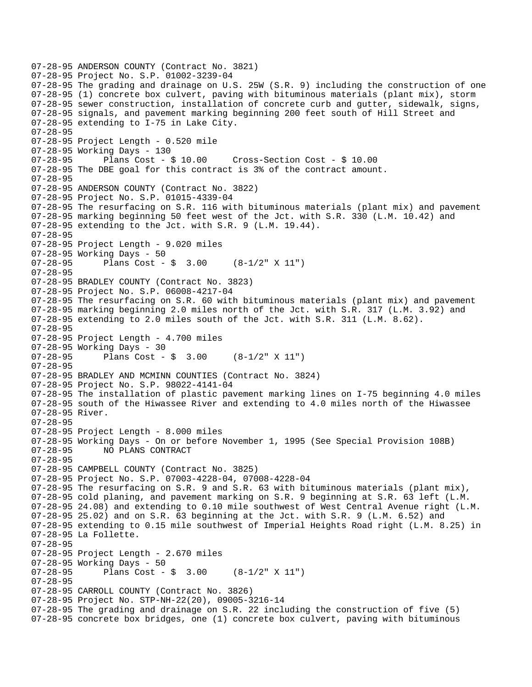```
07-28-95 ANDERSON COUNTY (Contract No. 3821) 
07-28-95 Project No. S.P. 01002-3239-04 
07-28-95 The grading and drainage on U.S. 25W (S.R. 9) including the construction of one 
07-28-95 (1) concrete box culvert, paving with bituminous materials (plant mix), storm 
07-28-95 sewer construction, installation of concrete curb and gutter, sidewalk, signs, 
07-28-95 signals, and pavement marking beginning 200 feet south of Hill Street and 
07-28-95 extending to I-75 in Lake City. 
07-28-95 
07-28-95 Project Length - 0.520 mile 
07-28-95 Working Days - 130 
07-28-95 Plans Cost - $ 10.00 Cross-Section Cost - $ 10.00 
07-28-95 The DBE goal for this contract is 3% of the contract amount. 
07-28-95 
07-28-95 ANDERSON COUNTY (Contract No. 3822) 
07-28-95 Project No. S.P. 01015-4339-04 
07-28-95 The resurfacing on S.R. 116 with bituminous materials (plant mix) and pavement 
07-28-95 marking beginning 50 feet west of the Jct. with S.R. 330 (L.M. 10.42) and 
07-28-95 extending to the Jct. with S.R. 9 (L.M. 19.44). 
07-28-95 
07-28-95 Project Length - 9.020 miles 
07-28-95 Working Days - 50 
07-28-95 Plans Cost - $ 3.00 (8-1/2" X 11") 
07-28-95 
07-28-95 BRADLEY COUNTY (Contract No. 3823) 
07-28-95 Project No. S.P. 06008-4217-04 
07-28-95 The resurfacing on S.R. 60 with bituminous materials (plant mix) and pavement 
07-28-95 marking beginning 2.0 miles north of the Jct. with S.R. 317 (L.M. 3.92) and 
07-28-95 extending to 2.0 miles south of the Jct. with S.R. 311 (L.M. 8.62). 
07-28-95 
07-28-95 Project Length - 4.700 miles 
07-28-95 Working Days - 30 
07-28-95 Plans Cost - $ 3.00 (8-1/2" X 11") 
07-28-95 
07-28-95 BRADLEY AND MCMINN COUNTIES (Contract No. 3824) 
07-28-95 Project No. S.P. 98022-4141-04 
07-28-95 The installation of plastic pavement marking lines on I-75 beginning 4.0 miles 
07-28-95 south of the Hiwassee River and extending to 4.0 miles north of the Hiwassee 
07-28-95 River. 
07-28-95 
07-28-95 Project Length - 8.000 miles 
07-28-95 Working Days - On or before November 1, 1995 (See Special Provision 108B) 
07-28-95 NO PLANS CONTRACT 
07-28-95 
07-28-95 CAMPBELL COUNTY (Contract No. 3825) 
07-28-95 Project No. S.P. 07003-4228-04, 07008-4228-04 
07-28-95 The resurfacing on S.R. 9 and S.R. 63 with bituminous materials (plant mix), 
07-28-95 cold planing, and pavement marking on S.R. 9 beginning at S.R. 63 left (L.M. 
07-28-95 24.08) and extending to 0.10 mile southwest of West Central Avenue right (L.M. 
07-28-95 25.02) and on S.R. 63 beginning at the Jct. with S.R. 9 (L.M. 6.52) and
07-28-95 extending to 0.15 mile southwest of Imperial Heights Road right (L.M. 8.25) in 
07-28-95 La Follette. 
07-28-95 
07-28-95 Project Length - 2.670 miles 
07-28-95 Working Days - 50 
              Plans Cost - \sin 3.00 (8-1/2" X 11")
07-28-95 
07-28-95 CARROLL COUNTY (Contract No. 3826) 
07-28-95 Project No. STP-NH-22(20), 09005-3216-14 
07-28-95 The grading and drainage on S.R. 22 including the construction of five (5) 
07-28-95 concrete box bridges, one (1) concrete box culvert, paving with bituminous
```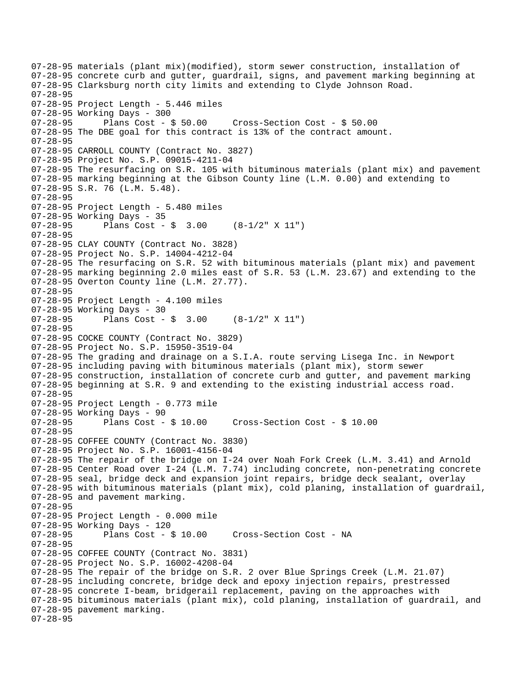07-28-95 materials (plant mix)(modified), storm sewer construction, installation of 07-28-95 concrete curb and gutter, guardrail, signs, and pavement marking beginning at 07-28-95 Clarksburg north city limits and extending to Clyde Johnson Road. 07-28-95 07-28-95 Project Length - 5.446 miles 07-28-95 Working Days - 300 07-28-95 Plans Cost - \$ 50.00 Cross-Section Cost - \$ 50.00 07-28-95 The DBE goal for this contract is 13% of the contract amount. 07-28-95 07-28-95 CARROLL COUNTY (Contract No. 3827) 07-28-95 Project No. S.P. 09015-4211-04 07-28-95 The resurfacing on S.R. 105 with bituminous materials (plant mix) and pavement 07-28-95 marking beginning at the Gibson County line (L.M. 0.00) and extending to 07-28-95 S.R. 76 (L.M. 5.48). 07-28-95 07-28-95 Project Length - 5.480 miles 07-28-95 Working Days - 35 07-28-95 Plans Cost - \$ 3.00 (8-1/2" X 11") 07-28-95 07-28-95 CLAY COUNTY (Contract No. 3828) 07-28-95 Project No. S.P. 14004-4212-04 07-28-95 The resurfacing on S.R. 52 with bituminous materials (plant mix) and pavement 07-28-95 marking beginning 2.0 miles east of S.R. 53 (L.M. 23.67) and extending to the 07-28-95 Overton County line (L.M. 27.77). 07-28-95 07-28-95 Project Length - 4.100 miles 07-28-95 Working Days - 30<br>07-28-95 Plans Cost -Plans Cost -  $\frac{1}{2}$  3.00 (8-1/2" X 11") 07-28-95 07-28-95 COCKE COUNTY (Contract No. 3829) 07-28-95 Project No. S.P. 15950-3519-04 07-28-95 The grading and drainage on a S.I.A. route serving Lisega Inc. in Newport 07-28-95 including paving with bituminous materials (plant mix), storm sewer 07-28-95 construction, installation of concrete curb and gutter, and pavement marking 07-28-95 beginning at S.R. 9 and extending to the existing industrial access road. 07-28-95 07-28-95 Project Length - 0.773 mile 07-28-95 Working Days - 90 07-28-95 Plans Cost - \$ 10.00 Cross-Section Cost - \$ 10.00 07-28-95 07-28-95 COFFEE COUNTY (Contract No. 3830) 07-28-95 Project No. S.P. 16001-4156-04 07-28-95 The repair of the bridge on I-24 over Noah Fork Creek (L.M. 3.41) and Arnold 07-28-95 Center Road over I-24 (L.M. 7.74) including concrete, non-penetrating concrete 07-28-95 seal, bridge deck and expansion joint repairs, bridge deck sealant, overlay 07-28-95 with bituminous materials (plant mix), cold planing, installation of guardrail, 07-28-95 and pavement marking. 07-28-95 07-28-95 Project Length - 0.000 mile 07-28-95 Working Days - 120 Cross-Section Cost - NA 07-28-95 07-28-95 COFFEE COUNTY (Contract No. 3831) 07-28-95 Project No. S.P. 16002-4208-04 07-28-95 The repair of the bridge on S.R. 2 over Blue Springs Creek (L.M. 21.07) 07-28-95 including concrete, bridge deck and epoxy injection repairs, prestressed 07-28-95 concrete I-beam, bridgerail replacement, paving on the approaches with 07-28-95 bituminous materials (plant mix), cold planing, installation of guardrail, and 07-28-95 pavement marking. 07-28-95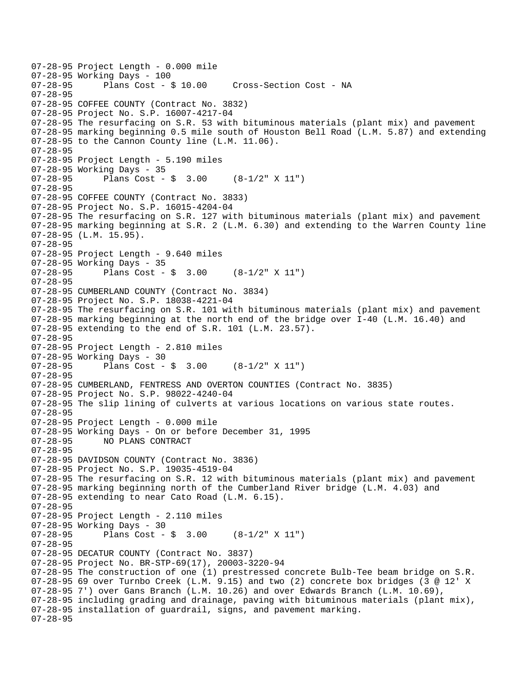```
07-28-95 Project Length - 0.000 mile 
07-28-95 Working Days - 100 
                                        Cross-Section Cost - NA
07-28-95 
07-28-95 COFFEE COUNTY (Contract No. 3832) 
07-28-95 Project No. S.P. 16007-4217-04 
07-28-95 The resurfacing on S.R. 53 with bituminous materials (plant mix) and pavement 
07-28-95 marking beginning 0.5 mile south of Houston Bell Road (L.M. 5.87) and extending 
07-28-95 to the Cannon County line (L.M. 11.06). 
07-28-95 
07-28-95 Project Length - 5.190 miles 
07-28-95 Working Days - 35 
07-28-95 Plans Cost - $ 3.00 (8-1/2" X 11") 
07-28-95 
07-28-95 COFFEE COUNTY (Contract No. 3833) 
07-28-95 Project No. S.P. 16015-4204-04 
07-28-95 The resurfacing on S.R. 127 with bituminous materials (plant mix) and pavement 
07-28-95 marking beginning at S.R. 2 (L.M. 6.30) and extending to the Warren County line 
07-28-95 (L.M. 15.95). 
07-28-95 
07-28-95 Project Length - 9.640 miles 
07-28-95 Working Days - 35 
07-28-95 Plans Cost - $ 3.00 (8-1/2" X 11") 
07-28-95 
07-28-95 CUMBERLAND COUNTY (Contract No. 3834) 
07-28-95 Project No. S.P. 18038-4221-04 
07-28-95 The resurfacing on S.R. 101 with bituminous materials (plant mix) and pavement 
07-28-95 marking beginning at the north end of the bridge over I-40 (L.M. 16.40) and 
07-28-95 extending to the end of S.R. 101 (L.M. 23.57). 
07-28-95 
07-28-95 Project Length - 2.810 miles 
07-28-95 Working Days - 30<br>07-28-95 Plans Cost -
              Plans Cost - \sin 3.00 (8-1/2" X 11")
07-28-95 
07-28-95 CUMBERLAND, FENTRESS AND OVERTON COUNTIES (Contract No. 3835) 
07-28-95 Project No. S.P. 98022-4240-04 
07-28-95 The slip lining of culverts at various locations on various state routes. 
07-28-95 
07-28-95 Project Length - 0.000 mile 
07-28-95 Working Days - On or before December 31, 1995 
07-28-95 NO PLANS CONTRACT 
07-28-95 
07-28-95 DAVIDSON COUNTY (Contract No. 3836) 
07-28-95 Project No. S.P. 19035-4519-04 
07-28-95 The resurfacing on S.R. 12 with bituminous materials (plant mix) and pavement 
07-28-95 marking beginning north of the Cumberland River bridge (L.M. 4.03) and 
07-28-95 extending to near Cato Road (L.M. 6.15). 
07-28-95 
07-28-95 Project Length - 2.110 miles 
07-28-95 Working Days - 30<br>07-28-95 Plans Cost -
              Plans Cost - \frac{1}{2} 3.00 (8-1/2" X 11")
07-28-95 
07-28-95 DECATUR COUNTY (Contract No. 3837) 
07-28-95 Project No. BR-STP-69(17), 20003-3220-94 
07-28-95 The construction of one (1) prestressed concrete Bulb-Tee beam bridge on S.R. 
07-28-95 69 over Turnbo Creek (L.M. 9.15) and two (2) concrete box bridges (3 @ 12' X 
07-28-95 7') over Gans Branch (L.M. 10.26) and over Edwards Branch (L.M. 10.69), 
07-28-95 including grading and drainage, paving with bituminous materials (plant mix), 
07-28-95 installation of guardrail, signs, and pavement marking. 
07-28-95
```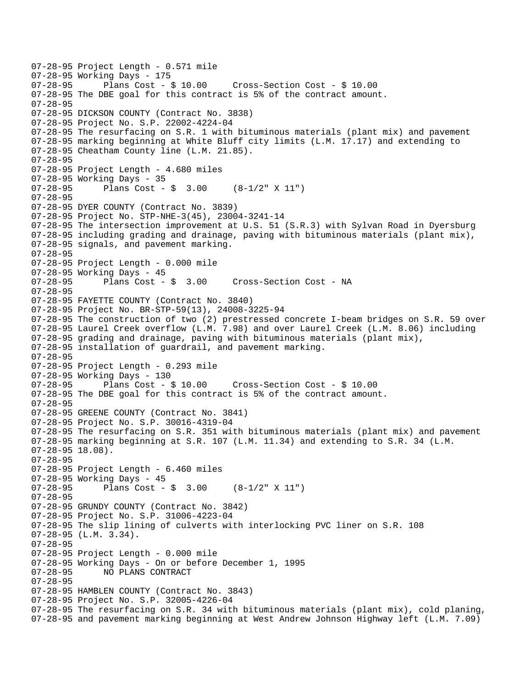```
07-28-95 Project Length - 0.571 mile 
07-28-95 Working Days - 175<br>07-28-95 Plans Cost - $ 10.00
                                         07-28-95 Plans Cost - $ 10.00 Cross-Section Cost - $ 10.00 
07-28-95 The DBE goal for this contract is 5% of the contract amount. 
07-28-95 
07-28-95 DICKSON COUNTY (Contract No. 3838) 
07-28-95 Project No. S.P. 22002-4224-04 
07-28-95 The resurfacing on S.R. 1 with bituminous materials (plant mix) and pavement 
07-28-95 marking beginning at White Bluff city limits (L.M. 17.17) and extending to 
07-28-95 Cheatham County line (L.M. 21.85). 
07-28-95 
07-28-95 Project Length - 4.680 miles 
07-28-95 Working Days - 35 
07-28-95 Plans Cost - $ 3.00 (8-1/2" X 11") 
07-28-95 
07-28-95 DYER COUNTY (Contract No. 3839) 
07-28-95 Project No. STP-NHE-3(45), 23004-3241-14 
07-28-95 The intersection improvement at U.S. 51 (S.R.3) with Sylvan Road in Dyersburg 
07-28-95 including grading and drainage, paving with bituminous materials (plant mix), 
07-28-95 signals, and pavement marking. 
07-28-95 
07-28-95 Project Length - 0.000 mile 
07-28-95 Working Days - 45 
07-28-95 Plans Cost - $ 3.00 Cross-Section Cost - NA 
07-28-95 
07-28-95 FAYETTE COUNTY (Contract No. 3840) 
07-28-95 Project No. BR-STP-59(13), 24008-3225-94 
07-28-95 The construction of two (2) prestressed concrete I-beam bridges on S.R. 59 over 
07-28-95 Laurel Creek overflow (L.M. 7.98) and over Laurel Creek (L.M. 8.06) including 
07-28-95 grading and drainage, paving with bituminous materials (plant mix), 
07-28-95 installation of guardrail, and pavement marking. 
07-28-95 
07-28-95 Project Length - 0.293 mile 
07-28-95 Working Days - 130<br>07-28-95     Plans Cost - $ 10.00
                                        07-28-95 Plans Cost - $ 10.00 Cross-Section Cost - $ 10.00 
07-28-95 The DBE goal for this contract is 5% of the contract amount. 
07-28-95 
07-28-95 GREENE COUNTY (Contract No. 3841) 
07-28-95 Project No. S.P. 30016-4319-04 
07-28-95 The resurfacing on S.R. 351 with bituminous materials (plant mix) and pavement 
07-28-95 marking beginning at S.R. 107 (L.M. 11.34) and extending to S.R. 34 (L.M. 
07-28-95 18.08). 
07-28-95 
07-28-95 Project Length - 6.460 miles 
07-28-95 Working Days - 45 
07-28-95 Plans Cost - $ 3.00 (8-1/2" X 11") 
07-28-95 
07-28-95 GRUNDY COUNTY (Contract No. 3842) 
07-28-95 Project No. S.P. 31006-4223-04 
07-28-95 The slip lining of culverts with interlocking PVC liner on S.R. 108 
07-28-95 (L.M. 3.34). 
07-28-95 
07-28-95 Project Length - 0.000 mile 
07-28-95 Working Days - On or before December 1, 1995 
              NO PLANS CONTRACT
07-28-95 
07-28-95 HAMBLEN COUNTY (Contract No. 3843) 
07-28-95 Project No. S.P. 32005-4226-04 
07-28-95 The resurfacing on S.R. 34 with bituminous materials (plant mix), cold planing, 
07-28-95 and pavement marking beginning at West Andrew Johnson Highway left (L.M. 7.09)
```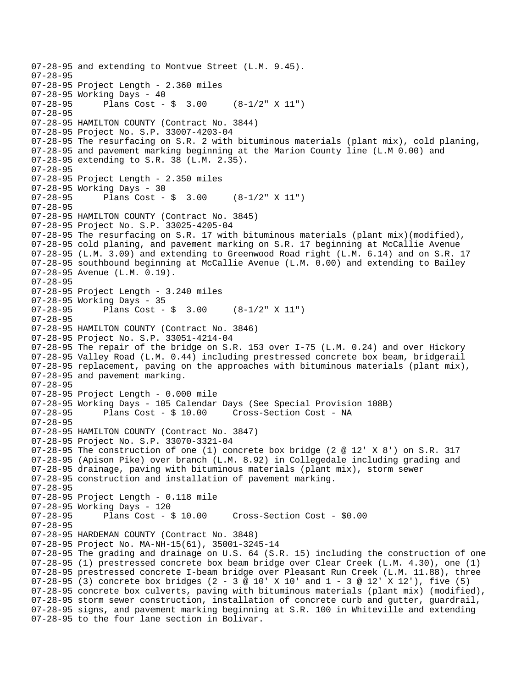```
07-28-95 and extending to Montvue Street (L.M. 9.45). 
07-28-95 
07-28-95 Project Length - 2.360 miles 
07-28-95 Working Days - 40<br>07-28-95 Plans Cost -
              Plans Cost - \sin 3.00 (8-1/2" X 11")
07-28-95 
07-28-95 HAMILTON COUNTY (Contract No. 3844) 
07-28-95 Project No. S.P. 33007-4203-04 
07-28-95 The resurfacing on S.R. 2 with bituminous materials (plant mix), cold planing, 
07-28-95 and pavement marking beginning at the Marion County line (L.M 0.00) and 
07-28-95 extending to S.R. 38 (L.M. 2.35). 
07-28-95 
07-28-95 Project Length - 2.350 miles 
07-28-95 Working Days - 30<br>07-28-95 Plans Cost -
              Plans Cost - \sin 3.00 (8-1/2" X 11")
07-28-95 
07-28-95 HAMILTON COUNTY (Contract No. 3845) 
07-28-95 Project No. S.P. 33025-4205-04 
07-28-95 The resurfacing on S.R. 17 with bituminous materials (plant mix)(modified), 
07-28-95 cold planing, and pavement marking on S.R. 17 beginning at McCallie Avenue 
07-28-95 (L.M. 3.09) and extending to Greenwood Road right (L.M. 6.14) and on S.R. 17 
07-28-95 southbound beginning at McCallie Avenue (L.M. 0.00) and extending to Bailey 
07-28-95 Avenue (L.M. 0.19). 
07-28-95 
07-28-95 Project Length - 3.240 miles 
07-28-95 Working Days - 35 
07-28-95 Plans Cost - $ 3.00 (8-1/2" X 11") 
07-28-95 
07-28-95 HAMILTON COUNTY (Contract No. 3846) 
07-28-95 Project No. S.P. 33051-4214-04 
07-28-95 The repair of the bridge on S.R. 153 over I-75 (L.M. 0.24) and over Hickory 
07-28-95 Valley Road (L.M. 0.44) including prestressed concrete box beam, bridgerail 
07-28-95 replacement, paving on the approaches with bituminous materials (plant mix), 
07-28-95 and pavement marking. 
07-28-95 
07-28-95 Project Length - 0.000 mile 
07-28-95 Working Days - 105 Calendar Days (See Special Provision 108B) 
07-28-95 Plans Cost - $ 10.00 Cross-Section Cost - NA 
07-28-95 
07-28-95 HAMILTON COUNTY (Contract No. 3847) 
07-28-95 Project No. S.P. 33070-3321-04 
07-28-95 The construction of one (1) concrete box bridge (2 @ 12' X 8') on S.R. 317 
07-28-95 (Apison Pike) over branch (L.M. 8.92) in Collegedale including grading and 
07-28-95 drainage, paving with bituminous materials (plant mix), storm sewer 
07-28-95 construction and installation of pavement marking. 
07-28-95 
07-28-95 Project Length - 0.118 mile 
07-28-95 Working Days - 120<br>07-28-95 Plans Cost -
              Plans Cost - $ 10.00 Cross-Section Cost - $0.0007-28-95 
07-28-95 HARDEMAN COUNTY (Contract No. 3848) 
07-28-95 Project No. MA-NH-15(61), 35001-3245-14 
07-28-95 The grading and drainage on U.S. 64 (S.R. 15) including the construction of one 
07-28-95 (1) prestressed concrete box beam bridge over Clear Creek (L.M. 4.30), one (1) 
07-28-95 prestressed concrete I-beam bridge over Pleasant Run Creek (L.M. 11.88), three 
07-28-95 (3) concrete box bridges (2 - 3 @ 10' X 10' and 1 - 3 @ 12' X 12'), five (5) 
07-28-95 concrete box culverts, paving with bituminous materials (plant mix) (modified), 
07-28-95 storm sewer construction, installation of concrete curb and gutter, guardrail, 
07-28-95 signs, and pavement marking beginning at S.R. 100 in Whiteville and extending 
07-28-95 to the four lane section in Bolivar.
```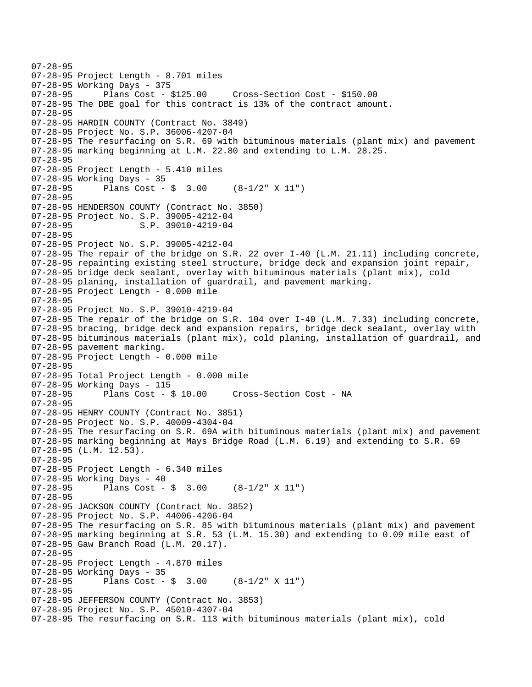07-28-95 07-28-95 Project Length - 8.701 miles 07-28-95 Working Days - 375 07-28-95 Plans Cost - \$125.00 Cross-Section Cost - \$150.00 07-28-95 The DBE goal for this contract is 13% of the contract amount. 07-28-95 07-28-95 HARDIN COUNTY (Contract No. 3849) 07-28-95 Project No. S.P. 36006-4207-04 07-28-95 The resurfacing on S.R. 69 with bituminous materials (plant mix) and pavement 07-28-95 marking beginning at L.M. 22.80 and extending to L.M. 28.25. 07-28-95 07-28-95 Project Length - 5.410 miles 07-28-95 Working Days - 35 07-28-95 Plans Cost - \$ 3.00 (8-1/2" X 11") 07-28-95 07-28-95 HENDERSON COUNTY (Contract No. 3850) 07-28-95 Project No. S.P. 39005-4212-04 07-28-95 S.P. 39010-4219-04 07-28-95 07-28-95 Project No. S.P. 39005-4212-04 07-28-95 The repair of the bridge on S.R. 22 over I-40 (L.M. 21.11) including concrete, 07-28-95 repainting existing steel structure, bridge deck and expansion joint repair, 07-28-95 bridge deck sealant, overlay with bituminous materials (plant mix), cold 07-28-95 planing, installation of guardrail, and pavement marking. 07-28-95 Project Length - 0.000 mile 07-28-95 07-28-95 Project No. S.P. 39010-4219-04 07-28-95 The repair of the bridge on S.R. 104 over I-40 (L.M. 7.33) including concrete, 07-28-95 bracing, bridge deck and expansion repairs, bridge deck sealant, overlay with 07-28-95 bituminous materials (plant mix), cold planing, installation of guardrail, and 07-28-95 pavement marking. 07-28-95 Project Length - 0.000 mile 07-28-95 07-28-95 Total Project Length - 0.000 mile 07-28-95 Working Days - 115 07-28-95 Plans Cost - \$ 10.00 Cross-Section Cost - NA 07-28-95 07-28-95 HENRY COUNTY (Contract No. 3851) 07-28-95 Project No. S.P. 40009-4304-04 07-28-95 The resurfacing on S.R. 69A with bituminous materials (plant mix) and pavement 07-28-95 marking beginning at Mays Bridge Road (L.M. 6.19) and extending to S.R. 69 07-28-95 (L.M. 12.53). 07-28-95 07-28-95 Project Length - 6.340 miles 07-28-95 Working Days - 40 07-28-95 Plans Cost - \$ 3.00 (8-1/2" X 11") 07-28-95 07-28-95 JACKSON COUNTY (Contract No. 3852) 07-28-95 Project No. S.P. 44006-4206-04 07-28-95 The resurfacing on S.R. 85 with bituminous materials (plant mix) and pavement 07-28-95 marking beginning at S.R. 53 (L.M. 15.30) and extending to 0.09 mile east of 07-28-95 Gaw Branch Road (L.M. 20.17). 07-28-95 07-28-95 Project Length - 4.870 miles 07-28-95 Working Days - 35 07-28-95 Plans Cost - \$ 3.00 (8-1/2" X 11") 07-28-95 07-28-95 JEFFERSON COUNTY (Contract No. 3853) 07-28-95 Project No. S.P. 45010-4307-04 07-28-95 The resurfacing on S.R. 113 with bituminous materials (plant mix), cold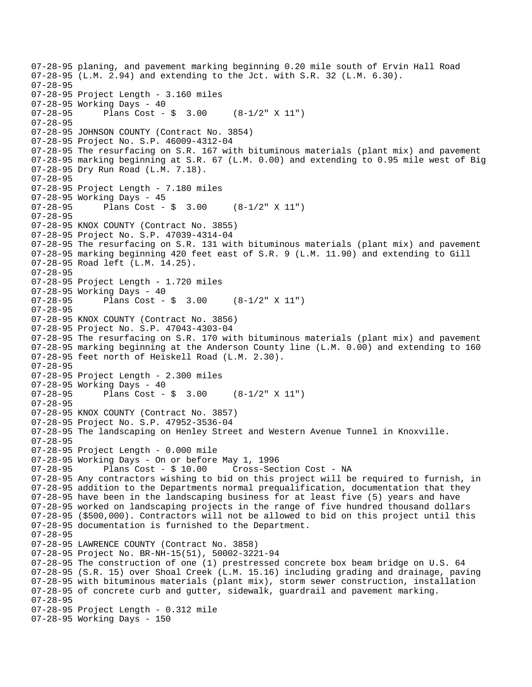07-28-95 planing, and pavement marking beginning 0.20 mile south of Ervin Hall Road 07-28-95 (L.M. 2.94) and extending to the Jct. with S.R. 32 (L.M. 6.30). 07-28-95 07-28-95 Project Length - 3.160 miles 07-28-95 Working Days - 40 07-28-95 Plans Cost - \$ 3.00 (8-1/2" X 11") 07-28-95 07-28-95 JOHNSON COUNTY (Contract No. 3854) 07-28-95 Project No. S.P. 46009-4312-04 07-28-95 The resurfacing on S.R. 167 with bituminous materials (plant mix) and pavement 07-28-95 marking beginning at S.R. 67 (L.M. 0.00) and extending to 0.95 mile west of Big 07-28-95 Dry Run Road (L.M. 7.18). 07-28-95 07-28-95 Project Length - 7.180 miles 07-28-95 Working Days - 45 07-28-95 Plans Cost - \$ 3.00 (8-1/2" X 11") 07-28-95 07-28-95 KNOX COUNTY (Contract No. 3855) 07-28-95 Project No. S.P. 47039-4314-04 07-28-95 The resurfacing on S.R. 131 with bituminous materials (plant mix) and pavement 07-28-95 marking beginning 420 feet east of S.R. 9 (L.M. 11.90) and extending to Gill 07-28-95 Road left (L.M. 14.25). 07-28-95 07-28-95 Project Length - 1.720 miles 07-28-95 Working Days - 40<br>07-28-95 Plans Cost -Plans Cost -  $\frac{2}{3}$  3.00 (8-1/2" X 11") 07-28-95 07-28-95 KNOX COUNTY (Contract No. 3856) 07-28-95 Project No. S.P. 47043-4303-04 07-28-95 The resurfacing on S.R. 170 with bituminous materials (plant mix) and pavement 07-28-95 marking beginning at the Anderson County line (L.M. 0.00) and extending to 160 07-28-95 feet north of Heiskell Road (L.M. 2.30). 07-28-95 07-28-95 Project Length - 2.300 miles 07-28-95 Working Days - 40 07-28-95 Plans Cost - \$ 3.00 (8-1/2" X 11") 07-28-95 07-28-95 KNOX COUNTY (Contract No. 3857) 07-28-95 Project No. S.P. 47952-3536-04 07-28-95 The landscaping on Henley Street and Western Avenue Tunnel in Knoxville. 07-28-95 07-28-95 Project Length - 0.000 mile 07-28-95 Working Days - On or before May 1, 1996 07-28-95 Plans Cost - \$ 10.00 Cross-Section Cost - NA 07-28-95 Any contractors wishing to bid on this project will be required to furnish, in 07-28-95 addition to the Departments normal prequalification, documentation that they 07-28-95 have been in the landscaping business for at least five (5) years and have 07-28-95 worked on landscaping projects in the range of five hundred thousand dollars 07-28-95 (\$500,000). Contractors will not be allowed to bid on this project until this 07-28-95 documentation is furnished to the Department. 07-28-95 07-28-95 LAWRENCE COUNTY (Contract No. 3858) 07-28-95 Project No. BR-NH-15(51), 50002-3221-94 07-28-95 The construction of one (1) prestressed concrete box beam bridge on U.S. 64 07-28-95 (S.R. 15) over Shoal Creek (L.M. 15.16) including grading and drainage, paving 07-28-95 with bituminous materials (plant mix), storm sewer construction, installation 07-28-95 of concrete curb and gutter, sidewalk, guardrail and pavement marking. 07-28-95 07-28-95 Project Length - 0.312 mile 07-28-95 Working Days - 150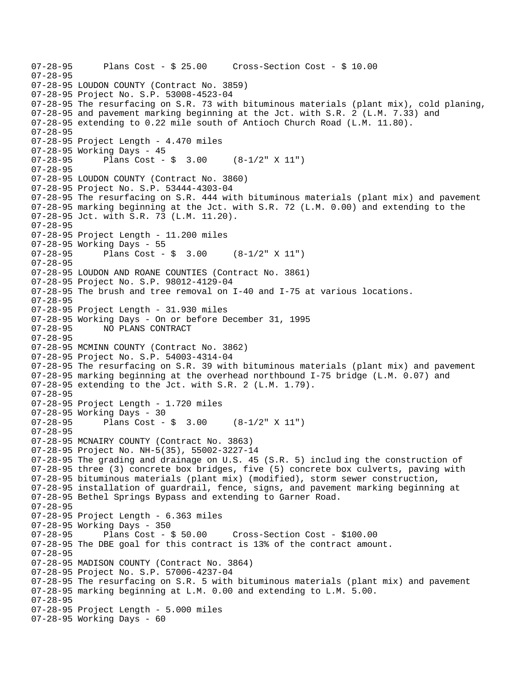```
07-28-95 Plans Cost - $ 25.00 Cross-Section Cost - $ 10.00 
07-28-95 
07-28-95 LOUDON COUNTY (Contract No. 3859) 
07-28-95 Project No. S.P. 53008-4523-04 
07-28-95 The resurfacing on S.R. 73 with bituminous materials (plant mix), cold planing, 
07-28-95 and pavement marking beginning at the Jct. with S.R. 2 (L.M. 7.33) and 
07-28-95 extending to 0.22 mile south of Antioch Church Road (L.M. 11.80). 
07-28-95 
07-28-95 Project Length - 4.470 miles 
07-28-95 Working Days - 45 
07-28-95 Plans Cost - $ 3.00 (8-1/2" X 11") 
07-28-95 
07-28-95 LOUDON COUNTY (Contract No. 3860) 
07-28-95 Project No. S.P. 53444-4303-04 
07-28-95 The resurfacing on S.R. 444 with bituminous materials (plant mix) and pavement 
07-28-95 marking beginning at the Jct. with S.R. 72 (L.M. 0.00) and extending to the 
07-28-95 Jct. with S.R. 73 (L.M. 11.20). 
07-28-95 
07-28-95 Project Length - 11.200 miles 
07-28-95 Working Days - 55 
07-28-95 Plans Cost - $ 3.00 (8-1/2" X 11") 
07-28-95 
07-28-95 LOUDON AND ROANE COUNTIES (Contract No. 3861) 
07-28-95 Project No. S.P. 98012-4129-04 
07-28-95 The brush and tree removal on I-40 and I-75 at various locations. 
07-28-95 
07-28-95 Project Length - 31.930 miles 
07-28-95 Working Days - On or before December 31, 1995 
07-28-95 NO PLANS CONTRACT 
07-28-95 
07-28-95 MCMINN COUNTY (Contract No. 3862) 
07-28-95 Project No. S.P. 54003-4314-04 
07-28-95 The resurfacing on S.R. 39 with bituminous materials (plant mix) and pavement 
07-28-95 marking beginning at the overhead northbound I-75 bridge (L.M. 0.07) and 
07-28-95 extending to the Jct. with S.R. 2 (L.M. 1.79). 
07-28-95 
07-28-95 Project Length - 1.720 miles 
07-28-95 Working Days - 30 
07-28-95 Plans Cost - \frac{1}{5} 3.00 (8-1/2" X 11")
07-28-95 
07-28-95 MCNAIRY COUNTY (Contract No. 3863) 
07-28-95 Project No. NH-5(35), 55002-3227-14 
07-28-95 The grading and drainage on U.S. 45 (S.R. 5) includ ing the construction of 
07-28-95 three (3) concrete box bridges, five (5) concrete box culverts, paving with 
07-28-95 bituminous materials (plant mix) (modified), storm sewer construction, 
07-28-95 installation of guardrail, fence, signs, and pavement marking beginning at 
07-28-95 Bethel Springs Bypass and extending to Garner Road. 
07-28-95 
07-28-95 Project Length - 6.363 miles 
07-28-95 Working Days - 350<br>07-28-95 Plans Cost - $ 50.00
07-28-95 Plans Cost - $ 50.00 Cross-Section Cost - $100.00 
07-28-95 The DBE goal for this contract is 13% of the contract amount. 
07-28-95 
07-28-95 MADISON COUNTY (Contract No. 3864) 
07-28-95 Project No. S.P. 57006-4237-04 
07-28-95 The resurfacing on S.R. 5 with bituminous materials (plant mix) and pavement 
07-28-95 marking beginning at L.M. 0.00 and extending to L.M. 5.00. 
07-28-95 
07-28-95 Project Length - 5.000 miles 
07-28-95 Working Days - 60
```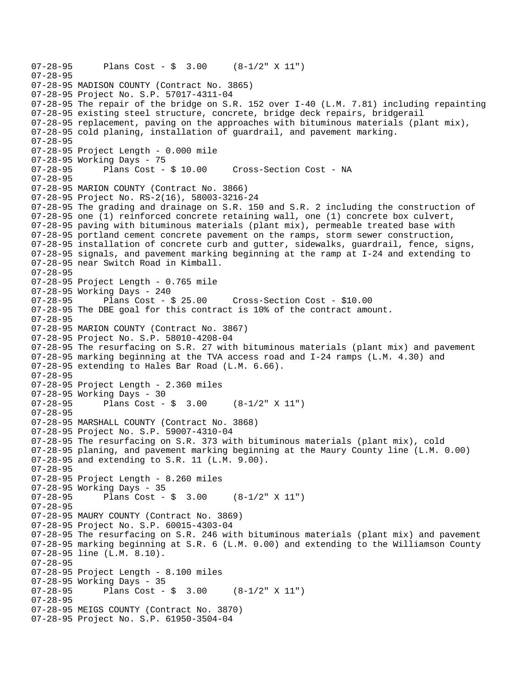```
07-28-95 Plans Cost - $ 3.00 (8-1/2" X 11") 
07-28-95 
07-28-95 MADISON COUNTY (Contract No. 3865) 
07-28-95 Project No. S.P. 57017-4311-04 
07-28-95 The repair of the bridge on S.R. 152 over I-40 (L.M. 7.81) including repainting 
07-28-95 existing steel structure, concrete, bridge deck repairs, bridgerail 
07-28-95 replacement, paving on the approaches with bituminous materials (plant mix), 
07-28-95 cold planing, installation of guardrail, and pavement marking. 
07-28-95 
07-28-95 Project Length - 0.000 mile 
07-28-95 Working Days - 75 
07-28-95 Plans Cost - $ 10.00 Cross-Section Cost - NA 
07-28-95 
07-28-95 MARION COUNTY (Contract No. 3866) 
07-28-95 Project No. RS-2(16), 58003-3216-24 
07-28-95 The grading and drainage on S.R. 150 and S.R. 2 including the construction of 
07-28-95 one (1) reinforced concrete retaining wall, one (1) concrete box culvert, 
07-28-95 paving with bituminous materials (plant mix), permeable treated base with 
07-28-95 portland cement concrete pavement on the ramps, storm sewer construction, 
07-28-95 installation of concrete curb and gutter, sidewalks, guardrail, fence, signs, 
07-28-95 signals, and pavement marking beginning at the ramp at I-24 and extending to 
07-28-95 near Switch Road in Kimball. 
07-28-95 
07-28-95 Project Length - 0.765 mile 
07-28-95 Working Days - 240<br>07-28-95 Plans Cost - $ 25.00
07-28-95 Plans Cost - $ 25.00 Cross-Section Cost - $10.00 
07-28-95 The DBE goal for this contract is 10% of the contract amount. 
07-28-95 
07-28-95 MARION COUNTY (Contract No. 3867) 
07-28-95 Project No. S.P. 58010-4208-04 
07-28-95 The resurfacing on S.R. 27 with bituminous materials (plant mix) and pavement 
07-28-95 marking beginning at the TVA access road and I-24 ramps (L.M. 4.30) and 
07-28-95 extending to Hales Bar Road (L.M. 6.66). 
07-28-95 
07-28-95 Project Length - 2.360 miles 
07-28-95 Working Days - 30 
07-28-95 Plans Cost - $ 3.00 (8-1/2" X 11") 
07-28-95 
07-28-95 MARSHALL COUNTY (Contract No. 3868) 
07-28-95 Project No. S.P. 59007-4310-04 
07-28-95 The resurfacing on S.R. 373 with bituminous materials (plant mix), cold 
07-28-95 planing, and pavement marking beginning at the Maury County line (L.M. 0.00) 
07-28-95 and extending to S.R. 11 (L.M. 9.00). 
07-28-95 
07-28-95 Project Length - 8.260 miles 
07-28-95 Working Days - 35 
07-28-95 Plans Cost - $ 3.00 (8-1/2" X 11") 
07-28-95 
07-28-95 MAURY COUNTY (Contract No. 3869) 
07-28-95 Project No. S.P. 60015-4303-04 
07-28-95 The resurfacing on S.R. 246 with bituminous materials (plant mix) and pavement 
07-28-95 marking beginning at S.R. 6 (L.M. 0.00) and extending to the Williamson County 
07-28-95 line (L.M. 8.10). 
07-28-95 
07-28-95 Project Length - 8.100 miles 
07-28-95 Working Days - 35 
07-28-95 Plans Cost - $ 3.00 (8-1/2" X 11") 
07-28-95 
07-28-95 MEIGS COUNTY (Contract No. 3870) 
07-28-95 Project No. S.P. 61950-3504-04
```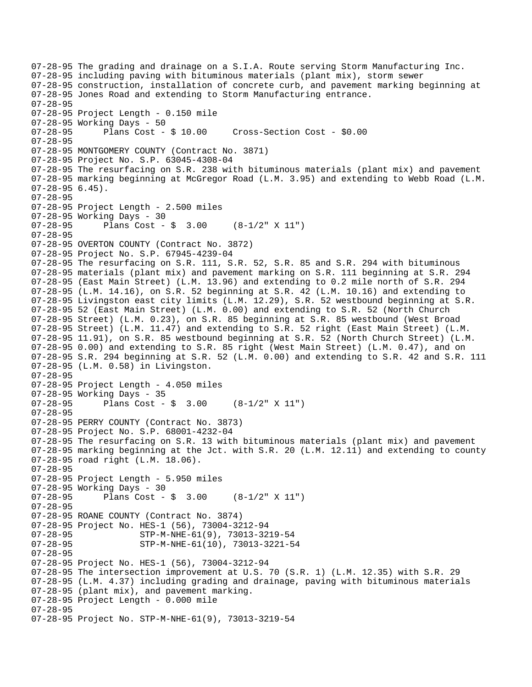```
07-28-95 The grading and drainage on a S.I.A. Route serving Storm Manufacturing Inc. 
07-28-95 including paving with bituminous materials (plant mix), storm sewer 
07-28-95 construction, installation of concrete curb, and pavement marking beginning at 
07-28-95 Jones Road and extending to Storm Manufacturing entrance. 
07-28-95 
07-28-95 Project Length - 0.150 mile 
07-28-95 Working Days - 50 
07-28-95 Plans Cost - $ 10.00 Cross-Section Cost - $0.00 
07-28-95 
07-28-95 MONTGOMERY COUNTY (Contract No. 3871) 
07-28-95 Project No. S.P. 63045-4308-04 
07-28-95 The resurfacing on S.R. 238 with bituminous materials (plant mix) and pavement 
07-28-95 marking beginning at McGregor Road (L.M. 3.95) and extending to Webb Road (L.M. 
07-28-95 6.45). 
07-28-95 
07-28-95 Project Length - 2.500 miles 
07-28-95 Working Days - 30 
07-28-95 Plans Cost - $ 3.00 (8-1/2" X 11") 
07-28-95 
07-28-95 OVERTON COUNTY (Contract No. 3872) 
07-28-95 Project No. S.P. 67945-4239-04 
07-28-95 The resurfacing on S.R. 111, S.R. 52, S.R. 85 and S.R. 294 with bituminous 
07-28-95 materials (plant mix) and pavement marking on S.R. 111 beginning at S.R. 294 
07-28-95 (East Main Street) (L.M. 13.96) and extending to 0.2 mile north of S.R. 294 
07-28-95 (L.M. 14.16), on S.R. 52 beginning at S.R. 42 (L.M. 10.16) and extending to 
07-28-95 Livingston east city limits (L.M. 12.29), S.R. 52 westbound beginning at S.R. 
07-28-95 52 (East Main Street) (L.M. 0.00) and extending to S.R. 52 (North Church 
07-28-95 Street) (L.M. 0.23), on S.R. 85 beginning at S.R. 85 westbound (West Broad 
07-28-95 Street) (L.M. 11.47) and extending to S.R. 52 right (East Main Street) (L.M. 
07-28-95 11.91), on S.R. 85 westbound beginning at S.R. 52 (North Church Street) (L.M. 
07-28-95 0.00) and extending to S.R. 85 right (West Main Street) (L.M. 0.47), and on 
07-28-95 S.R. 294 beginning at S.R. 52 (L.M. 0.00) and extending to S.R. 42 and S.R. 111 
07-28-95 (L.M. 0.58) in Livingston. 
07-28-95 
07-28-95 Project Length - 4.050 miles 
07-28-95 Working Days - 35 
07-28-95 Plans Cost - $ 3.00 (8-1/2" X 11") 
07-28-95 
07-28-95 PERRY COUNTY (Contract No. 3873) 
07-28-95 Project No. S.P. 68001-4232-04 
07-28-95 The resurfacing on S.R. 13 with bituminous materials (plant mix) and pavement 
07-28-95 marking beginning at the Jct. with S.R. 20 (L.M. 12.11) and extending to county 
07-28-95 road right (L.M. 18.06). 
07-28-95 
07-28-95 Project Length - 5.950 miles 
07-28-95 Working Days - 30 
07-28-95 Plans Cost - $ 3.00 (8-1/2" X 11") 
07-28-95 
07-28-95 ROANE COUNTY (Contract No. 3874) 
07-28-95 Project No. HES-1 (56), 73004-3212-94<br>07-28-95 STP-M-NHE-61(9), 73013-32
                     07-28-95 STP-M-NHE-61(9), 73013-3219-54 
07-28-95 STP-M-NHE-61(10), 73013-3221-54 
07-28-95 
07-28-95 Project No. HES-1 (56), 73004-3212-94 
07-28-95 The intersection improvement at U.S. 70 (S.R. 1) (L.M. 12.35) with S.R. 29 
07-28-95 (L.M. 4.37) including grading and drainage, paving with bituminous materials 
07-28-95 (plant mix), and pavement marking. 
07-28-95 Project Length - 0.000 mile 
07-28-95 
07-28-95 Project No. STP-M-NHE-61(9), 73013-3219-54
```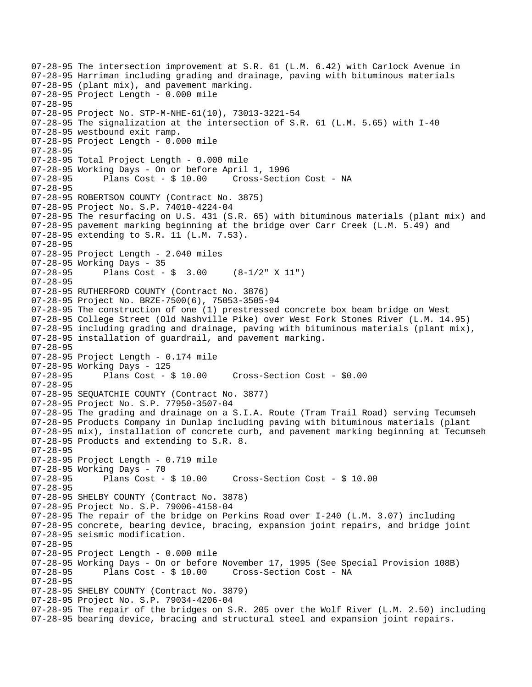```
07-28-95 The intersection improvement at S.R. 61 (L.M. 6.42) with Carlock Avenue in 
07-28-95 Harriman including grading and drainage, paving with bituminous materials 
07-28-95 (plant mix), and pavement marking. 
07-28-95 Project Length - 0.000 mile 
07-28-95 
07-28-95 Project No. STP-M-NHE-61(10), 73013-3221-54 
07-28-95 The signalization at the intersection of S.R. 61 (L.M. 5.65) with I-40 
07-28-95 westbound exit ramp. 
07-28-95 Project Length - 0.000 mile 
07-28-95 
07-28-95 Total Project Length - 0.000 mile 
07-28-95 Working Days - On or before April 1, 1996 
07-28-95 Plans Cost - $ 10.00 Cross-Section Cost - NA 
07-28-95 
07-28-95 ROBERTSON COUNTY (Contract No. 3875) 
07-28-95 Project No. S.P. 74010-4224-04 
07-28-95 The resurfacing on U.S. 431 (S.R. 65) with bituminous materials (plant mix) and 
07-28-95 pavement marking beginning at the bridge over Carr Creek (L.M. 5.49) and 
07-28-95 extending to S.R. 11 (L.M. 7.53). 
07-28-95 
07-28-95 Project Length - 2.040 miles 
07-28-95 Working Days - 35<br>07-28-95 Plans Cost -
              Plans Cost - \sin 3.00 (8-1/2" X 11")
07-28-95 
07-28-95 RUTHERFORD COUNTY (Contract No. 3876) 
07-28-95 Project No. BRZE-7500(6), 75053-3505-94 
07-28-95 The construction of one (1) prestressed concrete box beam bridge on West 
07-28-95 College Street (Old Nashville Pike) over West Fork Stones River (L.M. 14.95) 
07-28-95 including grading and drainage, paving with bituminous materials (plant mix), 
07-28-95 installation of guardrail, and pavement marking. 
07-28-95 
07-28-95 Project Length - 0.174 mile 
07-28-95 Working Days - 125 
07-28-95 Plans Cost - $ 10.00 Cross-Section Cost - $0.00 
07-28-95 
07-28-95 SEQUATCHIE COUNTY (Contract No. 3877) 
07-28-95 Project No. S.P. 77950-3507-04 
07-28-95 The grading and drainage on a S.I.A. Route (Tram Trail Road) serving Tecumseh 
07-28-95 Products Company in Dunlap including paving with bituminous materials (plant 
07-28-95 mix), installation of concrete curb, and pavement marking beginning at Tecumseh 
07-28-95 Products and extending to S.R. 8. 
07-28-95 
07-28-95 Project Length - 0.719 mile 
07-28-95 Working Days - 70 
07-28-95 Plans Cost - $ 10.00 Cross-Section Cost - $ 10.00 
07-28-95 
07-28-95 SHELBY COUNTY (Contract No. 3878) 
07-28-95 Project No. S.P. 79006-4158-04 
07-28-95 The repair of the bridge on Perkins Road over I-240 (L.M. 3.07) including 
07-28-95 concrete, bearing device, bracing, expansion joint repairs, and bridge joint 
07-28-95 seismic modification. 
07-28-95 
07-28-95 Project Length - 0.000 mile 
07-28-95 Working Days - On or before November 17, 1995 (See Special Provision 108B)<br>07-28-95 Plans Cost - $ 10.00 Cross-Section Cost - NA
                                      Cross-Section Cost - NA
07-28-95 
07-28-95 SHELBY COUNTY (Contract No. 3879) 
07-28-95 Project No. S.P. 79034-4206-04 
07-28-95 The repair of the bridges on S.R. 205 over the Wolf River (L.M. 2.50) including 
07-28-95 bearing device, bracing and structural steel and expansion joint repairs.
```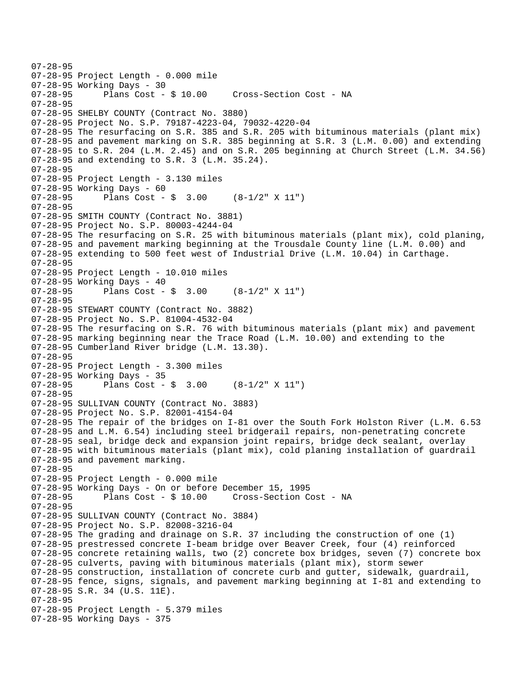```
07-28-95 
07-28-95 Project Length - 0.000 mile 
07-28-95 Working Days - 30 
                                      Cross-Section Cost - NA
07-28-95 
07-28-95 SHELBY COUNTY (Contract No. 3880) 
07-28-95 Project No. S.P. 79187-4223-04, 79032-4220-04 
07-28-95 The resurfacing on S.R. 385 and S.R. 205 with bituminous materials (plant mix) 
07-28-95 and pavement marking on S.R. 385 beginning at S.R. 3 (L.M. 0.00) and extending 
07-28-95 to S.R. 204 (L.M. 2.45) and on S.R. 205 beginning at Church Street (L.M. 34.56) 
07-28-95 and extending to S.R. 3 (L.M. 35.24). 
07-28-95 
07-28-95 Project Length - 3.130 miles 
07-28-95 Working Days - 60<br>07-28-95 Plans Cost -
              Plans Cost - \sin 3.00 (8-1/2" X 11")
07-28-95 
07-28-95 SMITH COUNTY (Contract No. 3881) 
07-28-95 Project No. S.P. 80003-4244-04 
07-28-95 The resurfacing on S.R. 25 with bituminous materials (plant mix), cold planing, 
07-28-95 and pavement marking beginning at the Trousdale County line (L.M. 0.00) and 
07-28-95 extending to 500 feet west of Industrial Drive (L.M. 10.04) in Carthage. 
07-28-95 
07-28-95 Project Length - 10.010 miles 
07-28-95 Working Days - 40<br>07-28-95 Plans Cost -
              Plans Cost - \frac{1}{2} 3.00 (8-1/2" X 11")
07-28-95 
07-28-95 STEWART COUNTY (Contract No. 3882) 
07-28-95 Project No. S.P. 81004-4532-04 
07-28-95 The resurfacing on S.R. 76 with bituminous materials (plant mix) and pavement 
07-28-95 marking beginning near the Trace Road (L.M. 10.00) and extending to the 
07-28-95 Cumberland River bridge (L.M. 13.30). 
07-28-95 
07-28-95 Project Length - 3.300 miles 
07-28-95 Working Days - 35 
              Plans Cost - \frac{1}{5} 3.00 (8-1/2" X 11")
07-28-95 
07-28-95 SULLIVAN COUNTY (Contract No. 3883) 
07-28-95 Project No. S.P. 82001-4154-04 
07-28-95 The repair of the bridges on I-81 over the South Fork Holston River (L.M. 6.53 
07-28-95 and L.M. 6.54) including steel bridgerail repairs, non-penetrating concrete 
07-28-95 seal, bridge deck and expansion joint repairs, bridge deck sealant, overlay 
07-28-95 with bituminous materials (plant mix), cold planing installation of guardrail 
07-28-95 and pavement marking. 
07-28-95 
07-28-95 Project Length - 0.000 mile 
07-28-95 Working Days - On or before December 15, 1995 
07-28-95 Plans Cost - $ 10.00 Cross-Section Cost - NA 
07-28-95 
07-28-95 SULLIVAN COUNTY (Contract No. 3884) 
07-28-95 Project No. S.P. 82008-3216-04 
07-28-95 The grading and drainage on S.R. 37 including the construction of one (1) 
07-28-95 prestressed concrete I-beam bridge over Beaver Creek, four (4) reinforced 
07-28-95 concrete retaining walls, two (2) concrete box bridges, seven (7) concrete box 
07-28-95 culverts, paving with bituminous materials (plant mix), storm sewer 
07-28-95 construction, installation of concrete curb and gutter, sidewalk, guardrail, 
07-28-95 fence, signs, signals, and pavement marking beginning at I-81 and extending to 
07-28-95 S.R. 34 (U.S. 11E). 
07-28-95 
07-28-95 Project Length - 5.379 miles 
07-28-95 Working Days - 375
```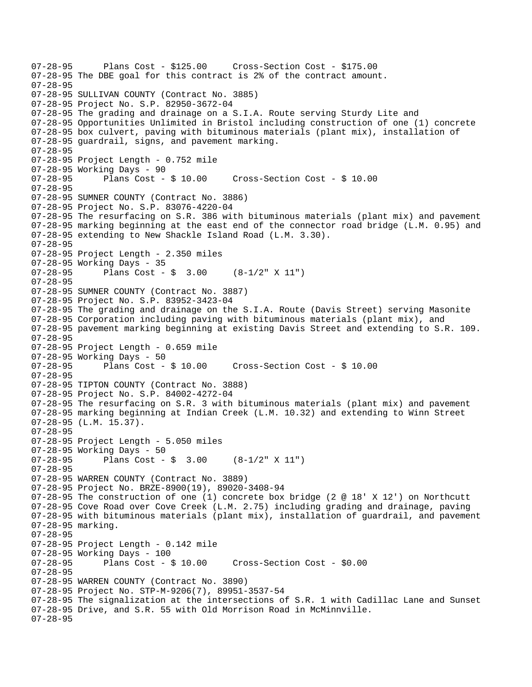07-28-95 Plans Cost - \$125.00 Cross-Section Cost - \$175.00 07-28-95 The DBE goal for this contract is 2% of the contract amount. 07-28-95 07-28-95 SULLIVAN COUNTY (Contract No. 3885) 07-28-95 Project No. S.P. 82950-3672-04 07-28-95 The grading and drainage on a S.I.A. Route serving Sturdy Lite and 07-28-95 Opportunities Unlimited in Bristol including construction of one (1) concrete 07-28-95 box culvert, paving with bituminous materials (plant mix), installation of 07-28-95 guardrail, signs, and pavement marking. 07-28-95 07-28-95 Project Length - 0.752 mile 07-28-95 Working Days - 90 07-28-95 Plans Cost - \$ 10.00 Cross-Section Cost - \$ 10.00 07-28-95 07-28-95 SUMNER COUNTY (Contract No. 3886) 07-28-95 Project No. S.P. 83076-4220-04 07-28-95 The resurfacing on S.R. 386 with bituminous materials (plant mix) and pavement 07-28-95 marking beginning at the east end of the connector road bridge (L.M. 0.95) and 07-28-95 extending to New Shackle Island Road (L.M. 3.30). 07-28-95 07-28-95 Project Length - 2.350 miles 07-28-95 Working Days - 35<br>07-28-95 Plans Cost -Plans Cost -  $\sin 3.00$  (8-1/2" X 11") 07-28-95 07-28-95 SUMNER COUNTY (Contract No. 3887) 07-28-95 Project No. S.P. 83952-3423-04 07-28-95 The grading and drainage on the S.I.A. Route (Davis Street) serving Masonite 07-28-95 Corporation including paving with bituminous materials (plant mix), and 07-28-95 pavement marking beginning at existing Davis Street and extending to S.R. 109. 07-28-95 07-28-95 Project Length - 0.659 mile 07-28-95 Working Days - 50<br>07-28-95 Plans Cost - \$ 10.00 07-28-95 Plans Cost - \$ 10.00 Cross-Section Cost - \$ 10.00 07-28-95 07-28-95 TIPTON COUNTY (Contract No. 3888) 07-28-95 Project No. S.P. 84002-4272-04 07-28-95 The resurfacing on S.R. 3 with bituminous materials (plant mix) and pavement 07-28-95 marking beginning at Indian Creek (L.M. 10.32) and extending to Winn Street 07-28-95 (L.M. 15.37). 07-28-95 07-28-95 Project Length - 5.050 miles 07-28-95 Working Days - 50 07-28-95 Plans Cost -  $\frac{1}{5}$  3.00 (8-1/2" X 11") 07-28-95 07-28-95 WARREN COUNTY (Contract No. 3889) 07-28-95 Project No. BRZE-8900(19), 89020-3408-94 07-28-95 The construction of one (1) concrete box bridge (2 @ 18' X 12') on Northcutt 07-28-95 Cove Road over Cove Creek (L.M. 2.75) including grading and drainage, paving 07-28-95 with bituminous materials (plant mix), installation of guardrail, and pavement 07-28-95 marking. 07-28-95 07-28-95 Project Length - 0.142 mile 07-28-95 Working Days - 100 07-28-95 Plans Cost - \$ 10.00 Cross-Section Cost - \$0.00 07-28-95 07-28-95 WARREN COUNTY (Contract No. 3890) 07-28-95 Project No. STP-M-9206(7), 89951-3537-54 07-28-95 The signalization at the intersections of S.R. 1 with Cadillac Lane and Sunset 07-28-95 Drive, and S.R. 55 with Old Morrison Road in McMinnville. 07-28-95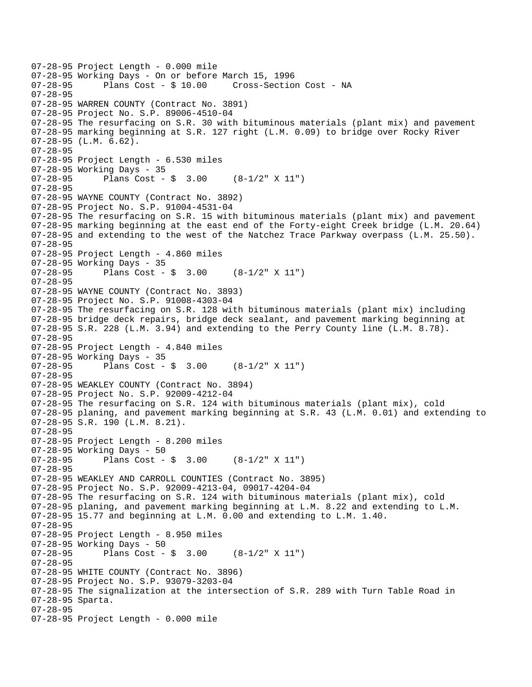07-28-95 Project Length - 0.000 mile 07-28-95 Working Days - On or before March 15, 1996 Cross-Section Cost - NA 07-28-95 07-28-95 WARREN COUNTY (Contract No. 3891) 07-28-95 Project No. S.P. 89006-4510-04 07-28-95 The resurfacing on S.R. 30 with bituminous materials (plant mix) and pavement 07-28-95 marking beginning at S.R. 127 right (L.M. 0.09) to bridge over Rocky River 07-28-95 (L.M. 6.62). 07-28-95 07-28-95 Project Length - 6.530 miles 07-28-95 Working Days - 35 07-28-95 Plans Cost - \$ 3.00 (8-1/2" X 11") 07-28-95 07-28-95 WAYNE COUNTY (Contract No. 3892) 07-28-95 Project No. S.P. 91004-4531-04 07-28-95 The resurfacing on S.R. 15 with bituminous materials (plant mix) and pavement 07-28-95 marking beginning at the east end of the Forty-eight Creek bridge (L.M. 20.64) 07-28-95 and extending to the west of the Natchez Trace Parkway overpass (L.M. 25.50). 07-28-95 07-28-95 Project Length - 4.860 miles 07-28-95 Working Days - 35 07-28-95 Plans Cost - \$ 3.00 (8-1/2" X 11") 07-28-95 07-28-95 WAYNE COUNTY (Contract No. 3893) 07-28-95 Project No. S.P. 91008-4303-04 07-28-95 The resurfacing on S.R. 128 with bituminous materials (plant mix) including 07-28-95 bridge deck repairs, bridge deck sealant, and pavement marking beginning at 07-28-95 S.R. 228 (L.M. 3.94) and extending to the Perry County line (L.M. 8.78). 07-28-95 07-28-95 Project Length - 4.840 miles 07-28-95 Working Days - 35<br>07-28-95 Plans Cost -Plans Cost -  $\sin 3.00$  (8-1/2" X 11") 07-28-95 07-28-95 WEAKLEY COUNTY (Contract No. 3894) 07-28-95 Project No. S.P. 92009-4212-04 07-28-95 The resurfacing on S.R. 124 with bituminous materials (plant mix), cold 07-28-95 planing, and pavement marking beginning at S.R. 43 (L.M. 0.01) and extending to 07-28-95 S.R. 190 (L.M. 8.21). 07-28-95 07-28-95 Project Length - 8.200 miles 07-28-95 Working Days - 50 07-28-95 Plans Cost -  $\frac{1}{5}$  3.00 (8-1/2" X 11") 07-28-95 07-28-95 WEAKLEY AND CARROLL COUNTIES (Contract No. 3895) 07-28-95 Project No. S.P. 92009-4213-04, 09017-4204-04 07-28-95 The resurfacing on S.R. 124 with bituminous materials (plant mix), cold 07-28-95 planing, and pavement marking beginning at L.M. 8.22 and extending to L.M. 07-28-95 15.77 and beginning at L.M. 0.00 and extending to L.M. 1.40. 07-28-95 07-28-95 Project Length - 8.950 miles 07-28-95 Working Days - 50 07-28-95 Plans Cost - \$ 3.00 (8-1/2" X 11") 07-28-95 07-28-95 WHITE COUNTY (Contract No. 3896) 07-28-95 Project No. S.P. 93079-3203-04 07-28-95 The signalization at the intersection of S.R. 289 with Turn Table Road in 07-28-95 Sparta. 07-28-95 07-28-95 Project Length - 0.000 mile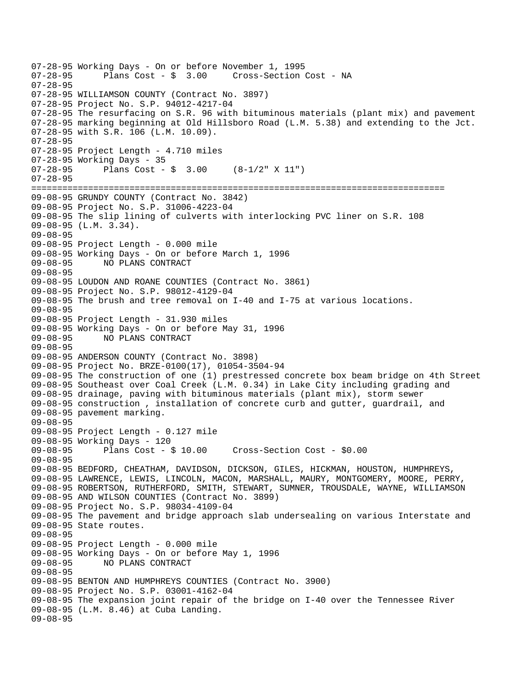```
07-28-95 Working Days - On or before November 1, 1995<br>07-28-95 Plans Cost - $ 3.00 Cross-Section
                                       Cross-Section Cost - NA
07-28-95 
07-28-95 WILLIAMSON COUNTY (Contract No. 3897) 
07-28-95 Project No. S.P. 94012-4217-04 
07-28-95 The resurfacing on S.R. 96 with bituminous materials (plant mix) and pavement 
07-28-95 marking beginning at Old Hillsboro Road (L.M. 5.38) and extending to the Jct. 
07-28-95 with S.R. 106 (L.M. 10.09). 
07-28-95 
07-28-95 Project Length - 4.710 miles 
07-28-95 Working Days - 35 
07-28-95 Plans Cost - $ 3.00 (8-1/2" X 11") 
07-28-95 
================================================================================ 
09-08-95 GRUNDY COUNTY (Contract No. 3842) 
09-08-95 Project No. S.P. 31006-4223-04 
09-08-95 The slip lining of culverts with interlocking PVC liner on S.R. 108 
09-08-95 (L.M. 3.34). 
09-08-95 
09-08-95 Project Length - 0.000 mile 
09-08-95 Working Days - On or before March 1, 1996 
09-08-95 NO PLANS CONTRACT 
09-08-95 
09-08-95 LOUDON AND ROANE COUNTIES (Contract No. 3861) 
09-08-95 Project No. S.P. 98012-4129-04 
09-08-95 The brush and tree removal on I-40 and I-75 at various locations. 
09-08-95 
09-08-95 Project Length - 31.930 miles 
09-08-95 Working Days - On or before May 31, 1996 
09-08-95 NO PLANS CONTRACT 
09-08-95 
09-08-95 ANDERSON COUNTY (Contract No. 3898) 
09-08-95 Project No. BRZE-0100(17), 01054-3504-94 
09-08-95 The construction of one (1) prestressed concrete box beam bridge on 4th Street 
09-08-95 Southeast over Coal Creek (L.M. 0.34) in Lake City including grading and 
09-08-95 drainage, paving with bituminous materials (plant mix), storm sewer 
09-08-95 construction , installation of concrete curb and gutter, guardrail, and 
09-08-95 pavement marking. 
09-08-95 
09-08-95 Project Length - 0.127 mile 
09-08-95 Working Days - 120 
09-08-95 Plans Cost - $ 10.00 Cross-Section Cost - $0.00 
09-08-95 
09-08-95 BEDFORD, CHEATHAM, DAVIDSON, DICKSON, GILES, HICKMAN, HOUSTON, HUMPHREYS, 
09-08-95 LAWRENCE, LEWIS, LINCOLN, MACON, MARSHALL, MAURY, MONTGOMERY, MOORE, PERRY, 
09-08-95 ROBERTSON, RUTHERFORD, SMITH, STEWART, SUMNER, TROUSDALE, WAYNE, WILLIAMSON 
09-08-95 AND WILSON COUNTIES (Contract No. 3899) 
09-08-95 Project No. S.P. 98034-4109-04 
09-08-95 The pavement and bridge approach slab undersealing on various Interstate and 
09-08-95 State routes. 
09-08-95 
09-08-95 Project Length - 0.000 mile 
09-08-95 Working Days - On or before May 1, 1996 
09-08-95 NO PLANS CONTRACT 
09-08-95 
09-08-95 BENTON AND HUMPHREYS COUNTIES (Contract No. 3900) 
09-08-95 Project No. S.P. 03001-4162-04 
09-08-95 The expansion joint repair of the bridge on I-40 over the Tennessee River 
09-08-95 (L.M. 8.46) at Cuba Landing. 
09-08-95
```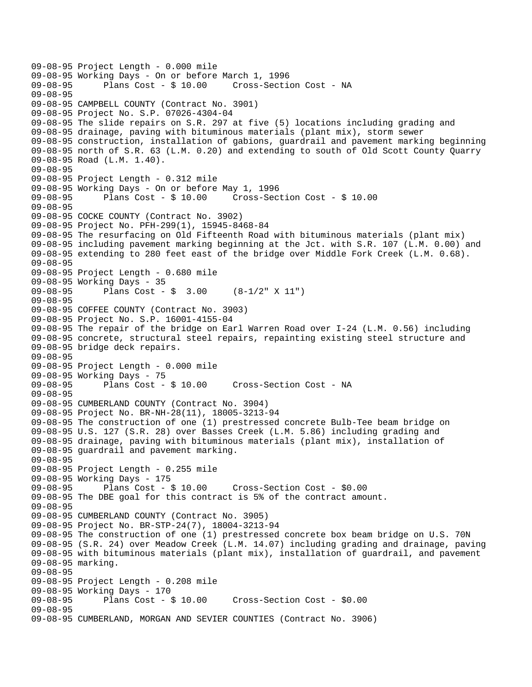```
09-08-95 Project Length - 0.000 mile 
09-08-95 Working Days - On or before March 1, 1996<br>09-08-95 Plans Cost - $ 10.00 Cross-Secti
                                         Cross-Section Cost - NA
09-08-95 
09-08-95 CAMPBELL COUNTY (Contract No. 3901) 
09-08-95 Project No. S.P. 07026-4304-04 
09-08-95 The slide repairs on S.R. 297 at five (5) locations including grading and 
09-08-95 drainage, paving with bituminous materials (plant mix), storm sewer 
09-08-95 construction, installation of gabions, guardrail and pavement marking beginning 
09-08-95 north of S.R. 63 (L.M. 0.20) and extending to south of Old Scott County Quarry 
09-08-95 Road (L.M. 1.40). 
09-08-95 
09-08-95 Project Length - 0.312 mile 
09-08-95 Working Days - On or before May 1, 1996 
09-08-95 Plans Cost - $ 10.00 Cross-Section Cost - $ 10.00 
09-08-95 
09-08-95 COCKE COUNTY (Contract No. 3902) 
09-08-95 Project No. PFH-299(1), 15945-8468-84 
09-08-95 The resurfacing on Old Fifteenth Road with bituminous materials (plant mix) 
09-08-95 including pavement marking beginning at the Jct. with S.R. 107 (L.M. 0.00) and 
09-08-95 extending to 280 feet east of the bridge over Middle Fork Creek (L.M. 0.68). 
09-08-95 
09-08-95 Project Length - 0.680 mile 
09-08-95 Working Days - 35<br>09-08-95 Plans Cost -
              Plans Cost - \frac{1}{9} 3.00 (8-1/2" X 11")
09-08-95 
09-08-95 COFFEE COUNTY (Contract No. 3903) 
09-08-95 Project No. S.P. 16001-4155-04 
09-08-95 The repair of the bridge on Earl Warren Road over I-24 (L.M. 0.56) including 
09-08-95 concrete, structural steel repairs, repainting existing steel structure and 
09-08-95 bridge deck repairs. 
09-08-95 
09-08-95 Project Length - 0.000 mile 
09-08-95 Working Days - 75<br>09-08-95 Plans Cost - $ 10.00
                                        Cross-Section Cost - NA
09-08-95 
09-08-95 CUMBERLAND COUNTY (Contract No. 3904) 
09-08-95 Project No. BR-NH-28(11), 18005-3213-94 
09-08-95 The construction of one (1) prestressed concrete Bulb-Tee beam bridge on 
09-08-95 U.S. 127 (S.R. 28) over Basses Creek (L.M. 5.86) including grading and 
09-08-95 drainage, paving with bituminous materials (plant mix), installation of 
09-08-95 guardrail and pavement marking. 
09-08-95 
09-08-95 Project Length - 0.255 mile 
09-08-95 Working Days - 175<br>09-08-95 Plans Cost - $ 10.00
09-08-95 Plans Cost - $ 10.00 Cross-Section Cost - $0.00 
09-08-95 The DBE goal for this contract is 5% of the contract amount. 
09-08-95 
09-08-95 CUMBERLAND COUNTY (Contract No. 3905) 
09-08-95 Project No. BR-STP-24(7), 18004-3213-94 
09-08-95 The construction of one (1) prestressed concrete box beam bridge on U.S. 70N 
09-08-95 (S.R. 24) over Meadow Creek (L.M. 14.07) including grading and drainage, paving 
09-08-95 with bituminous materials (plant mix), installation of guardrail, and pavement 
09-08-95 marking. 
09-08-95 
09-08-95 Project Length - 0.208 mile 
09-08-95 Working Days - 170 
                                         Cross-Section Cost - $0.00
09-08-95 
09-08-95 CUMBERLAND, MORGAN AND SEVIER COUNTIES (Contract No. 3906)
```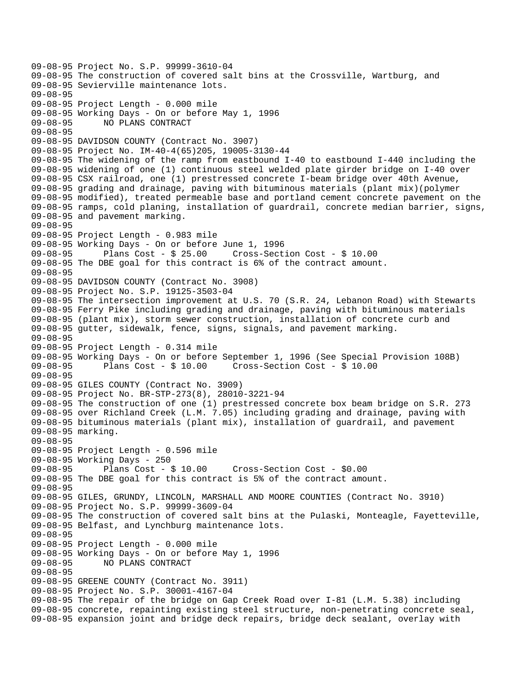```
09-08-95 Project No. S.P. 99999-3610-04 
09-08-95 The construction of covered salt bins at the Crossville, Wartburg, and 
09-08-95 Sevierville maintenance lots. 
09-08-95 
09-08-95 Project Length - 0.000 mile 
09-08-95 Working Days - On or before May 1, 1996 
09-08-95 NO PLANS CONTRACT 
09-08-95 
09-08-95 DAVIDSON COUNTY (Contract No. 3907) 
09-08-95 Project No. IM-40-4(65)205, 19005-3130-44 
09-08-95 The widening of the ramp from eastbound I-40 to eastbound I-440 including the 
09-08-95 widening of one (1) continuous steel welded plate girder bridge on I-40 over 
09-08-95 CSX railroad, one (1) prestressed concrete I-beam bridge over 40th Avenue, 
09-08-95 grading and drainage, paving with bituminous materials (plant mix)(polymer 
09-08-95 modified), treated permeable base and portland cement concrete pavement on the 
09-08-95 ramps, cold planing, installation of guardrail, concrete median barrier, signs, 
09-08-95 and pavement marking. 
09-08-95 
09-08-95 Project Length - 0.983 mile 
09-08-95 Working Days - On or before June 1, 1996 
09-08-95 Plans Cost - $ 25.00 Cross-Section Cost - $ 10.00 
09-08-95 The DBE goal for this contract is 6% of the contract amount. 
09-08-95 
09-08-95 DAVIDSON COUNTY (Contract No. 3908) 
09-08-95 Project No. S.P. 19125-3503-04 
09-08-95 The intersection improvement at U.S. 70 (S.R. 24, Lebanon Road) with Stewarts 
09-08-95 Ferry Pike including grading and drainage, paving with bituminous materials 
09-08-95 (plant mix), storm sewer construction, installation of concrete curb and 
09-08-95 gutter, sidewalk, fence, signs, signals, and pavement marking. 
09-08-95 
09-08-95 Project Length - 0.314 mile 
09-08-95 Working Days - On or before September 1, 1996 (See Special Provision 108B)<br>09-08-95 Plans Cost - $ 10.00 Cross-Section Cost - $ 10.00
                                        09-08-95 Plans Cost - $ 10.00 Cross-Section Cost - $ 10.00 
09-08-95 
09-08-95 GILES COUNTY (Contract No. 3909) 
09-08-95 Project No. BR-STP-273(8), 28010-3221-94 
09-08-95 The construction of one (1) prestressed concrete box beam bridge on S.R. 273 
09-08-95 over Richland Creek (L.M. 7.05) including grading and drainage, paving with 
09-08-95 bituminous materials (plant mix), installation of guardrail, and pavement 
09-08-95 marking. 
09-08-95 
09-08-95 Project Length - 0.596 mile 
09-08-95 Working Days - 250 
09-08-95 Plans Cost - $ 10.00 Cross-Section Cost - $0.00 
09-08-95 The DBE goal for this contract is 5% of the contract amount. 
09-08-95 
09-08-95 GILES, GRUNDY, LINCOLN, MARSHALL AND MOORE COUNTIES (Contract No. 3910) 
09-08-95 Project No. S.P. 99999-3609-04 
09-08-95 The construction of covered salt bins at the Pulaski, Monteagle, Fayetteville, 
09-08-95 Belfast, and Lynchburg maintenance lots. 
09-08-95 
09-08-95 Project Length - 0.000 mile 
09-08-95 Working Days - On or before May 1, 1996 
09-08-95 NO PLANS CONTRACT 
09-08-95 
09-08-95 GREENE COUNTY (Contract No. 3911) 
09-08-95 Project No. S.P. 30001-4167-04 
09-08-95 The repair of the bridge on Gap Creek Road over I-81 (L.M. 5.38) including 
09-08-95 concrete, repainting existing steel structure, non-penetrating concrete seal, 
09-08-95 expansion joint and bridge deck repairs, bridge deck sealant, overlay with
```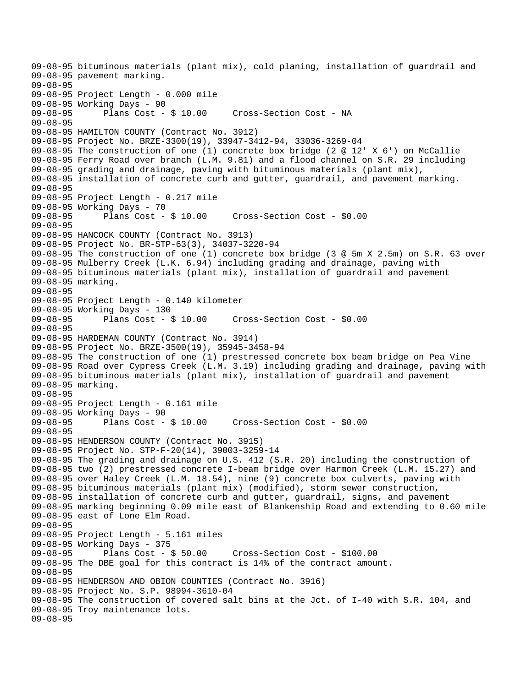```
09-08-95 bituminous materials (plant mix), cold planing, installation of guardrail and 
09-08-95 pavement marking. 
09-08-95 
09-08-95 Project Length - 0.000 mile 
09-08-95 Working Days - 90 
09-08-95 Plans Cost - $ 10.00 Cross-Section Cost - NA 
09-08-95 
09-08-95 HAMILTON COUNTY (Contract No. 3912) 
09-08-95 Project No. BRZE-3300(19), 33947-3412-94, 33036-3269-04 
09-08-95 The construction of one (1) concrete box bridge (2 @ 12' X 6') on McCallie 
09-08-95 Ferry Road over branch (L.M. 9.81) and a flood channel on S.R. 29 including 
09-08-95 grading and drainage, paving with bituminous materials (plant mix), 
09-08-95 installation of concrete curb and gutter, guardrail, and pavement marking. 
09-08-95 
09-08-95 Project Length - 0.217 mile 
09-08-95 Working Days - 70 
09-08-95 Plans Cost - $ 10.00 Cross-Section Cost - $0.00 
09-08-95 
09-08-95 HANCOCK COUNTY (Contract No. 3913) 
09-08-95 Project No. BR-STP-63(3), 34037-3220-94 
09-08-95 The construction of one (1) concrete box bridge (3 @ 5m X 2.5m) on S.R. 63 over 
09-08-95 Mulberry Creek (L.K. 6.94) including grading and drainage, paving with 
09-08-95 bituminous materials (plant mix), installation of guardrail and pavement 
09-08-95 marking. 
09-08-95 
09-08-95 Project Length - 0.140 kilometer 
09-08-95 Working Days - 130 
09-08-95 Plans Cost - $ 10.00 Cross-Section Cost - $0.00 
09-08-95 
09-08-95 HARDEMAN COUNTY (Contract No. 3914) 
09-08-95 Project No. BRZE-3500(19), 35945-3458-94 
09-08-95 The construction of one (1) prestressed concrete box beam bridge on Pea Vine 
09-08-95 Road over Cypress Creek (L.M. 3.19) including grading and drainage, paving with 
09-08-95 bituminous materials (plant mix), installation of guardrail and pavement 
09-08-95 marking. 
09-08-95 
09-08-95 Project Length - 0.161 mile 
09-08-95 Working Days - 90 
09-08-95 Plans Cost - $ 10.00 Cross-Section Cost - $0.00 
09-08-95 
09-08-95 HENDERSON COUNTY (Contract No. 3915) 
09-08-95 Project No. STP-F-20(14), 39003-3259-14 
09-08-95 The grading and drainage on U.S. 412 (S.R. 20) including the construction of 
09-08-95 two (2) prestressed concrete I-beam bridge over Harmon Creek (L.M. 15.27) and 
09-08-95 over Haley Creek (L.M. 18.54), nine (9) concrete box culverts, paving with 
09-08-95 bituminous materials (plant mix) (modified), storm sewer construction, 
09-08-95 installation of concrete curb and gutter, guardrail, signs, and pavement 
09-08-95 marking beginning 0.09 mile east of Blankenship Road and extending to 0.60 mile 
09-08-95 east of Lone Elm Road. 
09-08-95 
09-08-95 Project Length - 5.161 miles 
09-08-95 Working Days - 375 
09-08-95 Plans Cost - $ 50.00 Cross-Section Cost - $100.00 
09-08-95 The DBE goal for this contract is 14% of the contract amount. 
09-08-95 
09-08-95 HENDERSON AND OBION COUNTIES (Contract No. 3916) 
09-08-95 Project No. S.P. 98994-3610-04 
09-08-95 The construction of covered salt bins at the Jct. of I-40 with S.R. 104, and 
09-08-95 Troy maintenance lots. 
09-08-95
```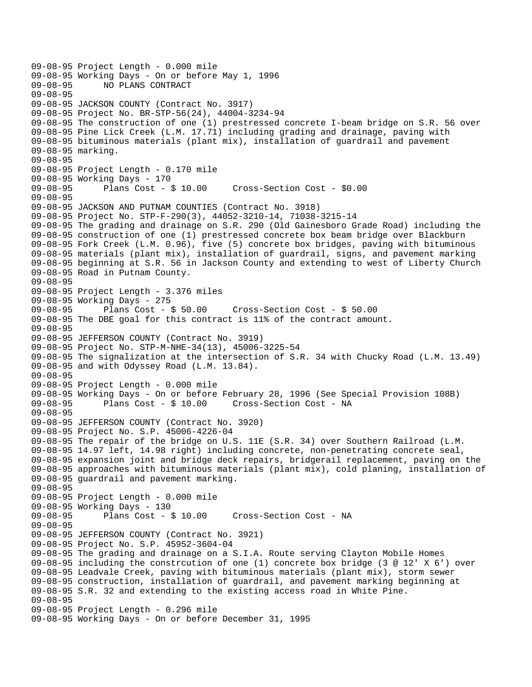```
09-08-95 Project Length - 0.000 mile 
09-08-95 Working Days - On or before May 1, 1996<br>09-08-95       NO PLANS CONTRACT
              09-08-95 NO PLANS CONTRACT 
09-08-95 
09-08-95 JACKSON COUNTY (Contract No. 3917) 
09-08-95 Project No. BR-STP-56(24), 44004-3234-94 
09-08-95 The construction of one (1) prestressed concrete I-beam bridge on S.R. 56 over 
09-08-95 Pine Lick Creek (L.M. 17.71) including grading and drainage, paving with 
09-08-95 bituminous materials (plant mix), installation of guardrail and pavement 
09-08-95 marking. 
09-08-95 
09-08-95 Project Length - 0.170 mile 
09-08-95 Working Days - 170 
09-08-95 Plans Cost - $ 10.00 Cross-Section Cost - $0.00 
09-08-95 
09-08-95 JACKSON AND PUTNAM COUNTIES (Contract No. 3918) 
09-08-95 Project No. STP-F-290(3), 44052-3210-14, 71038-3215-14 
09-08-95 The grading and drainage on S.R. 290 (Old Gainesboro Grade Road) including the 
09-08-95 construction of one (1) prestressed concrete box beam bridge over Blackburn 
09-08-95 Fork Creek (L.M. 0.96), five (5) concrete box bridges, paving with bituminous 
09-08-95 materials (plant mix), installation of guardrail, signs, and pavement marking 
09-08-95 beginning at S.R. 56 in Jackson County and extending to west of Liberty Church 
09-08-95 Road in Putnam County. 
09-08-95 
09-08-95 Project Length - 3.376 miles 
09-08-95 Working Days - 275 
09-08-95 Plans Cost - $ 50.00 Cross-Section Cost - $ 50.00 
09-08-95 The DBE goal for this contract is 11% of the contract amount. 
09-08-95 
09-08-95 JEFFERSON COUNTY (Contract No. 3919) 
09-08-95 Project No. STP-M-NHE-34(13), 45006-3225-54 
09-08-95 The signalization at the intersection of S.R. 34 with Chucky Road (L.M. 13.49) 
09-08-95 and with Odyssey Road (L.M. 13.84). 
09-08-95 
09-08-95 Project Length - 0.000 mile 
09-08-95 Working Days - On or before February 28, 1996 (See Special Provision 108B) 
09-08-95 Plans Cost - $ 10.00 Cross-Section Cost - NA 
09-08-95 
09-08-95 JEFFERSON COUNTY (Contract No. 3920) 
09-08-95 Project No. S.P. 45006-4226-04 
09-08-95 The repair of the bridge on U.S. 11E (S.R. 34) over Southern Railroad (L.M. 
09-08-95 14.97 left, 14.98 right) including concrete, non-penetrating concrete seal, 
09-08-95 expansion joint and bridge deck repairs, bridgerail replacement, paving on the 
09-08-95 approaches with bituminous materials (plant mix), cold planing, installation of 
09-08-95 guardrail and pavement marking. 
09-08-95 
09-08-95 Project Length - 0.000 mile 
09-08-95 Working Days - 130<br>09-08-95 Plans Cost - 8
              Plans Cost - $ 10.00 Cross-Section Cost - NA
09-08-95 
09-08-95 JEFFERSON COUNTY (Contract No. 3921) 
09-08-95 Project No. S.P. 45952-3604-04 
09-08-95 The grading and drainage on a S.I.A. Route serving Clayton Mobile Homes 
09-08-95 including the constrcution of one (1) concrete box bridge (3 @ 12' X 6') over 
09-08-95 Leadvale Creek, paving with bituminous materials (plant mix), storm sewer 
09-08-95 construction, installation of guardrail, and pavement marking beginning at 
09-08-95 S.R. 32 and extending to the existing access road in White Pine. 
09-08-95 
09-08-95 Project Length - 0.296 mile 
09-08-95 Working Days - On or before December 31, 1995
```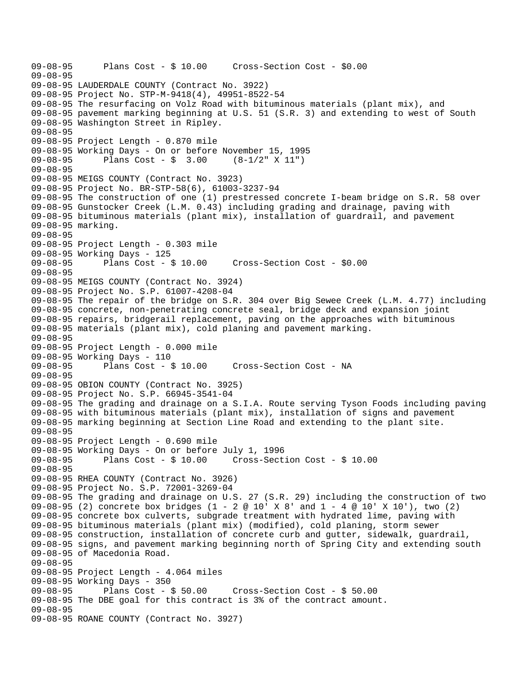```
09-08-95 Plans Cost - $ 10.00 Cross-Section Cost - $0.00 
09-08-95 
09-08-95 LAUDERDALE COUNTY (Contract No. 3922) 
09-08-95 Project No. STP-M-9418(4), 49951-8522-54 
09-08-95 The resurfacing on Volz Road with bituminous materials (plant mix), and 
09-08-95 pavement marking beginning at U.S. 51 (S.R. 3) and extending to west of South 
09-08-95 Washington Street in Ripley. 
09-08-95 
09-08-95 Project Length - 0.870 mile 
09-08-95 Working Days - On or before November 15, 1995 
09-08-95 Plans Cost - $ 3.00 (8-1/2" X 11") 
09-08-95 
09-08-95 MEIGS COUNTY (Contract No. 3923) 
09-08-95 Project No. BR-STP-58(6), 61003-3237-94 
09-08-95 The construction of one (1) prestressed concrete I-beam bridge on S.R. 58 over 
09-08-95 Gunstocker Creek (L.M. 0.43) including grading and drainage, paving with 
09-08-95 bituminous materials (plant mix), installation of guardrail, and pavement 
09-08-95 marking. 
09-08-95 
09-08-95 Project Length - 0.303 mile 
09-08-95 Working Days - 125<br>09-08-95 Plans Cost - $ 10.00
09-08-95 Plans Cost - $ 10.00 Cross-Section Cost - $0.00 
09-08-95 
09-08-95 MEIGS COUNTY (Contract No. 3924) 
09-08-95 Project No. S.P. 61007-4208-04 
09-08-95 The repair of the bridge on S.R. 304 over Big Sewee Creek (L.M. 4.77) including 
09-08-95 concrete, non-penetrating concrete seal, bridge deck and expansion joint 
09-08-95 repairs, bridgerail replacement, paving on the approaches with bituminous 
09-08-95 materials (plant mix), cold planing and pavement marking. 
09-08-95 
09-08-95 Project Length - 0.000 mile 
09-08-95 Working Days - 110<br>09-08-95 Plans Cost - $ 10.00
                                      Cross-Section Cost - NA
09-08-95 
09-08-95 OBION COUNTY (Contract No. 3925) 
09-08-95 Project No. S.P. 66945-3541-04 
09-08-95 The grading and drainage on a S.I.A. Route serving Tyson Foods including paving 
09-08-95 with bituminous materials (plant mix), installation of signs and pavement 
09-08-95 marking beginning at Section Line Road and extending to the plant site. 
09-08-95 
09-08-95 Project Length - 0.690 mile 
09-08-95 Working Days - On or before July 1, 1996 
09-08-95 Plans Cost - $ 10.00 Cross-Section Cost - $ 10.00 
09-08-95 
09-08-95 RHEA COUNTY (Contract No. 3926) 
09-08-95 Project No. S.P. 72001-3269-04 
09-08-95 The grading and drainage on U.S. 27 (S.R. 29) including the construction of two 
09-08-95 (2) concrete box bridges (1 - 2 @ 10' X 8' and 1 - 4 @ 10' X 10'), two (2) 
09-08-95 concrete box culverts, subgrade treatment with hydrated lime, paving with 
09-08-95 bituminous materials (plant mix) (modified), cold planing, storm sewer 
09-08-95 construction, installation of concrete curb and gutter, sidewalk, guardrail, 
09-08-95 signs, and pavement marking beginning north of Spring City and extending south 
09-08-95 of Macedonia Road. 
09-08-95 
09-08-95 Project Length - 4.064 miles 
09-08-95 Working Days - 350 
09-08-95 Plans Cost - $ 50.00 Cross-Section Cost - $ 50.00 
09-08-95 The DBE goal for this contract is 3% of the contract amount. 
09-08-95 
09-08-95 ROANE COUNTY (Contract No. 3927)
```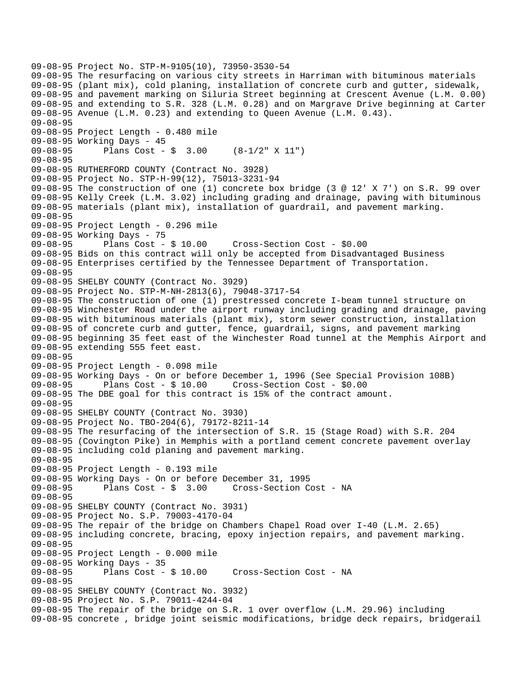09-08-95 Project No. STP-M-9105(10), 73950-3530-54 09-08-95 The resurfacing on various city streets in Harriman with bituminous materials 09-08-95 (plant mix), cold planing, installation of concrete curb and gutter, sidewalk, 09-08-95 and pavement marking on Siluria Street beginning at Crescent Avenue (L.M. 0.00) 09-08-95 and extending to S.R. 328 (L.M. 0.28) and on Margrave Drive beginning at Carter 09-08-95 Avenue (L.M. 0.23) and extending to Queen Avenue (L.M. 0.43). 09-08-95 09-08-95 Project Length - 0.480 mile 09-08-95 Working Days - 45 09-08-95 Plans Cost - \$ 3.00 (8-1/2" X 11") 09-08-95 09-08-95 RUTHERFORD COUNTY (Contract No. 3928) 09-08-95 Project No. STP-H-99(12), 75013-3231-94 09-08-95 The construction of one (1) concrete box bridge (3 @ 12' X 7') on S.R. 99 over 09-08-95 Kelly Creek (L.M. 3.02) including grading and drainage, paving with bituminous 09-08-95 materials (plant mix), installation of guardrail, and pavement marking. 09-08-95 09-08-95 Project Length - 0.296 mile 09-08-95 Working Days - 75<br>09-08-95 Plans Cost - \$ 10.00 09-08-95 Plans Cost - \$ 10.00 Cross-Section Cost - \$0.00 09-08-95 Bids on this contract will only be accepted from Disadvantaged Business 09-08-95 Enterprises certified by the Tennessee Department of Transportation. 09-08-95 09-08-95 SHELBY COUNTY (Contract No. 3929) 09-08-95 Project No. STP-M-NH-2813(6), 79048-3717-54 09-08-95 The construction of one (1) prestressed concrete I-beam tunnel structure on 09-08-95 Winchester Road under the airport runway including grading and drainage, paving 09-08-95 with bituminous materials (plant mix), storm sewer construction, installation 09-08-95 of concrete curb and gutter, fence, guardrail, signs, and pavement marking 09-08-95 beginning 35 feet east of the Winchester Road tunnel at the Memphis Airport and 09-08-95 extending 555 feet east. 09-08-95 09-08-95 Project Length - 0.098 mile 09-08-95 Working Days - On or before December 1, 1996 (See Special Provision 108B)<br>09-08-95 Plans Cost - \$ 10.00 Cross-Section Cost - \$0.00 Plans  $Cost - $ 10.00$  Cross-Section Cost -  $$0.00$ 09-08-95 The DBE goal for this contract is 15% of the contract amount. 09-08-95 09-08-95 SHELBY COUNTY (Contract No. 3930) 09-08-95 Project No. TBO-204(6), 79172-8211-14 09-08-95 The resurfacing of the intersection of S.R. 15 (Stage Road) with S.R. 204 09-08-95 (Covington Pike) in Memphis with a portland cement concrete pavement overlay 09-08-95 including cold planing and pavement marking. 09-08-95 09-08-95 Project Length - 0.193 mile 09-08-95 Working Days - On or before December 31, 1995<br>09-08-95 Plans Cost - \$ 3.00 Cross-Section C 09-08-95 Plans Cost - \$ 3.00 Cross-Section Cost - NA 09-08-95 09-08-95 SHELBY COUNTY (Contract No. 3931) 09-08-95 Project No. S.P. 79003-4170-04 09-08-95 The repair of the bridge on Chambers Chapel Road over I-40 (L.M. 2.65) 09-08-95 including concrete, bracing, epoxy injection repairs, and pavement marking. 09-08-95 09-08-95 Project Length - 0.000 mile 09-08-95 Working Days - 35 Plans Cost - \$ 10.00 Cross-Section Cost - NA 09-08-95 09-08-95 SHELBY COUNTY (Contract No. 3932) 09-08-95 Project No. S.P. 79011-4244-04 09-08-95 The repair of the bridge on S.R. 1 over overflow (L.M. 29.96) including 09-08-95 concrete , bridge joint seismic modifications, bridge deck repairs, bridgerail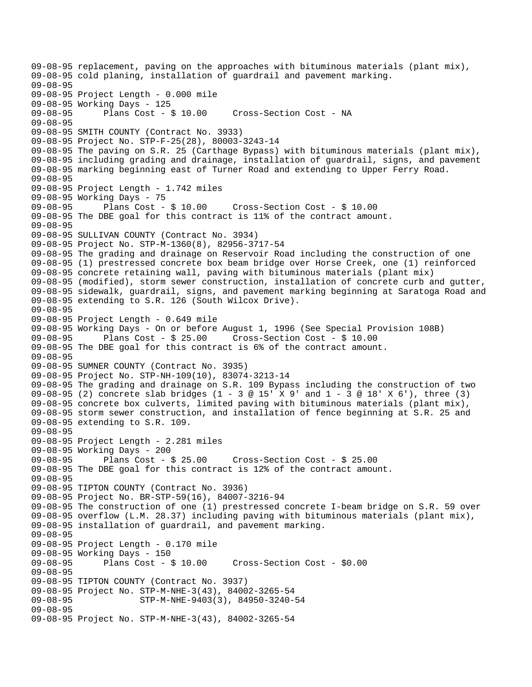09-08-95 replacement, paving on the approaches with bituminous materials (plant mix), 09-08-95 cold planing, installation of guardrail and pavement marking. 09-08-95 09-08-95 Project Length - 0.000 mile 09-08-95 Working Days - 125 09-08-95 Plans Cost - \$ 10.00 Cross-Section Cost - NA 09-08-95 09-08-95 SMITH COUNTY (Contract No. 3933) 09-08-95 Project No. STP-F-25(28), 80003-3243-14 09-08-95 The paving on S.R. 25 (Carthage Bypass) with bituminous materials (plant mix), 09-08-95 including grading and drainage, installation of guardrail, signs, and pavement 09-08-95 marking beginning east of Turner Road and extending to Upper Ferry Road. 09-08-95 09-08-95 Project Length - 1.742 miles 09-08-95 Working Days - 75<br>09-08-95 Plans Cost - \$ 10.00 09-08-95 Plans Cost - \$ 10.00 Cross-Section Cost - \$ 10.00 09-08-95 The DBE goal for this contract is 11% of the contract amount. 09-08-95 09-08-95 SULLIVAN COUNTY (Contract No. 3934) 09-08-95 Project No. STP-M-1360(8), 82956-3717-54 09-08-95 The grading and drainage on Reservoir Road including the construction of one 09-08-95 (1) prestressed concrete box beam bridge over Horse Creek, one (1) reinforced 09-08-95 concrete retaining wall, paving with bituminous materials (plant mix) 09-08-95 (modified), storm sewer construction, installation of concrete curb and gutter, 09-08-95 sidewalk, guardrail, signs, and pavement marking beginning at Saratoga Road and 09-08-95 extending to S.R. 126 (South Wilcox Drive). 09-08-95 09-08-95 Project Length - 0.649 mile 09-08-95 Working Days - On or before August 1, 1996 (See Special Provision 108B) 09-08-95 Plans Cost - \$ 25.00 Cross-Section Cost - \$ 10.00 09-08-95 The DBE goal for this contract is 6% of the contract amount. 09-08-95 09-08-95 SUMNER COUNTY (Contract No. 3935) 09-08-95 Project No. STP-NH-109(10), 83074-3213-14 09-08-95 The grading and drainage on S.R. 109 Bypass including the construction of two 09-08-95 (2) concrete slab bridges (1 - 3 @ 15' X 9' and 1 - 3 @ 18' X 6'), three (3) 09-08-95 concrete box culverts, limited paving with bituminous materials (plant mix), 09-08-95 storm sewer construction, and installation of fence beginning at S.R. 25 and 09-08-95 extending to S.R. 109. 09-08-95 09-08-95 Project Length - 2.281 miles 09-08-95 Working Days - 200 09-08-95 Plans Cost - \$ 25.00 Cross-Section Cost - \$ 25.00 09-08-95 The DBE goal for this contract is 12% of the contract amount. 09-08-95 09-08-95 TIPTON COUNTY (Contract No. 3936) 09-08-95 Project No. BR-STP-59(16), 84007-3216-94 09-08-95 The construction of one (1) prestressed concrete I-beam bridge on S.R. 59 over 09-08-95 overflow (L.M. 28.37) including paving with bituminous materials (plant mix), 09-08-95 installation of guardrail, and pavement marking. 09-08-95 09-08-95 Project Length - 0.170 mile 09-08-95 Working Days - 150 09-08-95 Plans Cost - \$ 10.00 Cross-Section Cost - \$0.00 09-08-95 09-08-95 TIPTON COUNTY (Contract No. 3937) 09-08-95 Project No. STP-M-NHE-3(43), 84002-3265-54<br>09-08-95 STP-M-NHE-9403(3), 84950-3240-09-08-95 STP-M-NHE-9403(3), 84950-3240-54 09-08-95 09-08-95 Project No. STP-M-NHE-3(43), 84002-3265-54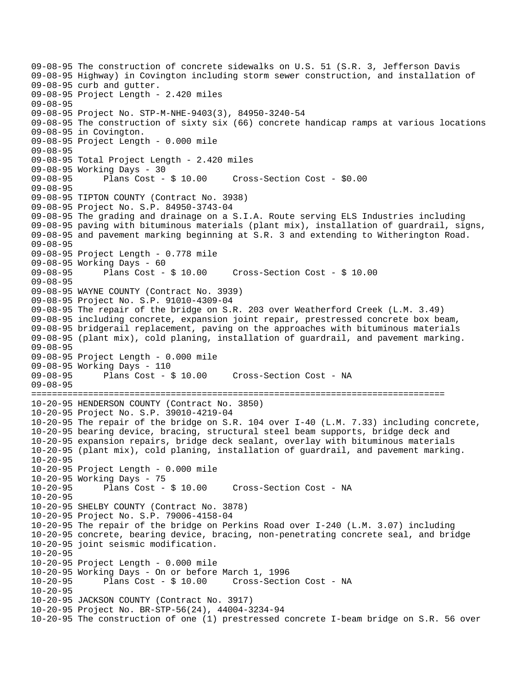09-08-95 The construction of concrete sidewalks on U.S. 51 (S.R. 3, Jefferson Davis 09-08-95 Highway) in Covington including storm sewer construction, and installation of 09-08-95 curb and gutter. 09-08-95 Project Length - 2.420 miles 09-08-95 09-08-95 Project No. STP-M-NHE-9403(3), 84950-3240-54 09-08-95 The construction of sixty six (66) concrete handicap ramps at various locations 09-08-95 in Covington. 09-08-95 Project Length - 0.000 mile 09-08-95 09-08-95 Total Project Length - 2.420 miles 09-08-95 Working Days - 30<br>09-08-95 Plans Cost - \$ 10.00 09-08-95 Plans Cost - \$ 10.00 Cross-Section Cost - \$0.00 09-08-95 09-08-95 TIPTON COUNTY (Contract No. 3938) 09-08-95 Project No. S.P. 84950-3743-04 09-08-95 The grading and drainage on a S.I.A. Route serving ELS Industries including 09-08-95 paving with bituminous materials (plant mix), installation of guardrail, signs, 09-08-95 and pavement marking beginning at S.R. 3 and extending to Witherington Road. 09-08-95 09-08-95 Project Length - 0.778 mile 09-08-95 Working Days - 60<br>09-08-95 Plans Cost - \$ 10.00 09-08-95 Plans Cost - \$ 10.00 Cross-Section Cost - \$ 10.00 09-08-95 09-08-95 WAYNE COUNTY (Contract No. 3939) 09-08-95 Project No. S.P. 91010-4309-04 09-08-95 The repair of the bridge on S.R. 203 over Weatherford Creek (L.M. 3.49) 09-08-95 including concrete, expansion joint repair, prestressed concrete box beam, 09-08-95 bridgerail replacement, paving on the approaches with bituminous materials 09-08-95 (plant mix), cold planing, installation of guardrail, and pavement marking. 09-08-95 09-08-95 Project Length - 0.000 mile 09-08-95 Working Days - 110 09-08-95 Plans Cost - \$ 10.00 Cross-Section Cost - NA 09-08-95 ================================================================================ 10-20-95 HENDERSON COUNTY (Contract No. 3850) 10-20-95 Project No. S.P. 39010-4219-04 10-20-95 The repair of the bridge on S.R. 104 over I-40 (L.M. 7.33) including concrete, 10-20-95 bearing device, bracing, structural steel beam supports, bridge deck and 10-20-95 expansion repairs, bridge deck sealant, overlay with bituminous materials 10-20-95 (plant mix), cold planing, installation of guardrail, and pavement marking. 10-20-95 10-20-95 Project Length - 0.000 mile 10-20-95 Working Days - 75 10-20-95 Plans Cost - \$ 10.00 Cross-Section Cost - NA 10-20-95 10-20-95 SHELBY COUNTY (Contract No. 3878) 10-20-95 Project No. S.P. 79006-4158-04 10-20-95 The repair of the bridge on Perkins Road over I-240 (L.M. 3.07) including 10-20-95 concrete, bearing device, bracing, non-penetrating concrete seal, and bridge 10-20-95 joint seismic modification. 10-20-95 10-20-95 Project Length - 0.000 mile 10-20-95 Working Days - On or before March 1, 1996 10-20-95 Plans Cost - \$ 10.00 Cross-Section Cost - NA 10-20-95 10-20-95 JACKSON COUNTY (Contract No. 3917) 10-20-95 Project No. BR-STP-56(24), 44004-3234-94 10-20-95 The construction of one (1) prestressed concrete I-beam bridge on S.R. 56 over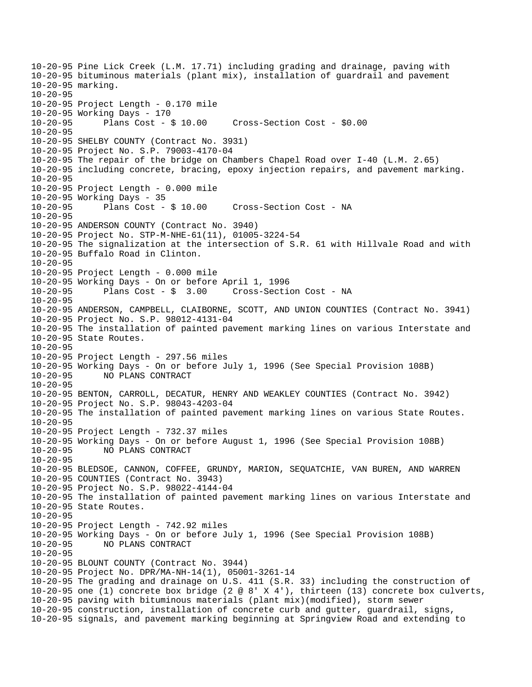10-20-95 Pine Lick Creek (L.M. 17.71) including grading and drainage, paving with 10-20-95 bituminous materials (plant mix), installation of guardrail and pavement 10-20-95 marking. 10-20-95 10-20-95 Project Length - 0.170 mile 10-20-95 Working Days - 170 10-20-95 Plans Cost - \$ 10.00 Cross-Section Cost - \$0.00 10-20-95 10-20-95 SHELBY COUNTY (Contract No. 3931) 10-20-95 Project No. S.P. 79003-4170-04 10-20-95 The repair of the bridge on Chambers Chapel Road over I-40 (L.M. 2.65) 10-20-95 including concrete, bracing, epoxy injection repairs, and pavement marking.  $10 - 20 - 95$ 10-20-95 Project Length - 0.000 mile 10-20-95 Working Days - 35 10-20-95 Plans Cost - \$ 10.00 Cross-Section Cost - NA  $10 - 20 - 95$ 10-20-95 ANDERSON COUNTY (Contract No. 3940) 10-20-95 Project No. STP-M-NHE-61(11), 01005-3224-54 10-20-95 The signalization at the intersection of S.R. 61 with Hillvale Road and with 10-20-95 Buffalo Road in Clinton. 10-20-95 10-20-95 Project Length - 0.000 mile 10-20-95 Working Days - On or before April 1, 1996 Cross-Section Cost - NA 10-20-95 10-20-95 ANDERSON, CAMPBELL, CLAIBORNE, SCOTT, AND UNION COUNTIES (Contract No. 3941) 10-20-95 Project No. S.P. 98012-4131-04 10-20-95 The installation of painted pavement marking lines on various Interstate and 10-20-95 State Routes. 10-20-95 10-20-95 Project Length - 297.56 miles 10-20-95 Working Days - On or before July 1, 1996 (See Special Provision 108B) 10-20-95 NO PLANS CONTRACT 10-20-95 10-20-95 BENTON, CARROLL, DECATUR, HENRY AND WEAKLEY COUNTIES (Contract No. 3942) 10-20-95 Project No. S.P. 98043-4203-04 10-20-95 The installation of painted pavement marking lines on various State Routes. 10-20-95 10-20-95 Project Length - 732.37 miles 10-20-95 Working Days - On or before August 1, 1996 (See Special Provision 108B) 10-20-95 NO PLANS CONTRACT 10-20-95 10-20-95 BLEDSOE, CANNON, COFFEE, GRUNDY, MARION, SEQUATCHIE, VAN BUREN, AND WARREN 10-20-95 COUNTIES (Contract No. 3943) 10-20-95 Project No. S.P. 98022-4144-04 10-20-95 The installation of painted pavement marking lines on various Interstate and 10-20-95 State Routes. 10-20-95 10-20-95 Project Length - 742.92 miles 10-20-95 Working Days - On or before July 1, 1996 (See Special Provision 108B) 10-20-95 NO PLANS CONTRACT 10-20-95 10-20-95 BLOUNT COUNTY (Contract No. 3944) 10-20-95 Project No. DPR/MA-NH-14(1), 05001-3261-14 10-20-95 The grading and drainage on U.S. 411 (S.R. 33) including the construction of 10-20-95 one (1) concrete box bridge (2 @ 8' X 4'), thirteen (13) concrete box culverts, 10-20-95 paving with bituminous materials (plant mix)(modified), storm sewer 10-20-95 construction, installation of concrete curb and gutter, guardrail, signs, 10-20-95 signals, and pavement marking beginning at Springview Road and extending to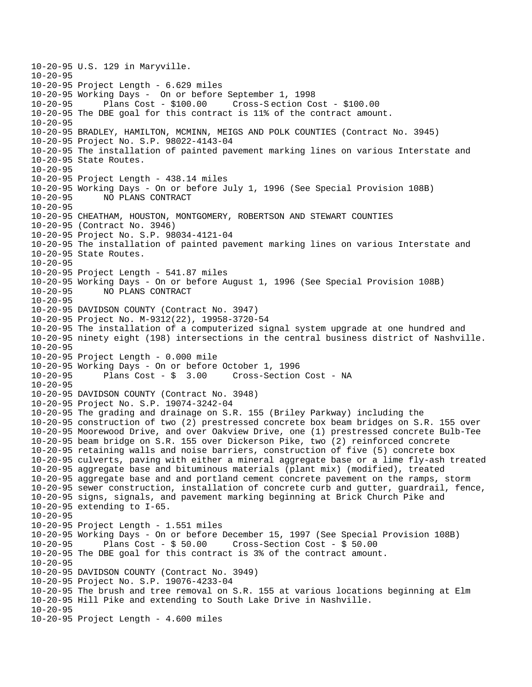10-20-95 U.S. 129 in Maryville. 10-20-95 10-20-95 Project Length - 6.629 miles 10-20-95 Working Days - On or before September 1, 1998 10-20-95 Plans Cost - \$100.00 Cross-S ection Cost - \$100.00 10-20-95 The DBE goal for this contract is 11% of the contract amount. 10-20-95 10-20-95 BRADLEY, HAMILTON, MCMINN, MEIGS AND POLK COUNTIES (Contract No. 3945) 10-20-95 Project No. S.P. 98022-4143-04 10-20-95 The installation of painted pavement marking lines on various Interstate and 10-20-95 State Routes. 10-20-95 10-20-95 Project Length - 438.14 miles 10-20-95 Working Days - On or before July 1, 1996 (See Special Provision 108B) 10-20-95 NO PLANS CONTRACT  $10 - 20 - 95$ 10-20-95 CHEATHAM, HOUSTON, MONTGOMERY, ROBERTSON AND STEWART COUNTIES 10-20-95 (Contract No. 3946) 10-20-95 Project No. S.P. 98034-4121-04 10-20-95 The installation of painted pavement marking lines on various Interstate and 10-20-95 State Routes. 10-20-95 10-20-95 Project Length - 541.87 miles 10-20-95 Working Days - On or before August 1, 1996 (See Special Provision 108B) 10-20-95 NO PLANS CONTRACT  $10 - 20 - 95$ 10-20-95 DAVIDSON COUNTY (Contract No. 3947) 10-20-95 Project No. M-9312(22), 19958-3720-54 10-20-95 The installation of a computerized signal system upgrade at one hundred and 10-20-95 ninety eight (198) intersections in the central business district of Nashville. 10-20-95 10-20-95 Project Length - 0.000 mile 10-20-95 Working Days - On or before October 1, 1996 10-20-95 Plans Cost - \$ 3.00 Cross-Section Cost - NA  $10-20-95$ 10-20-95 DAVIDSON COUNTY (Contract No. 3948) 10-20-95 Project No. S.P. 19074-3242-04 10-20-95 The grading and drainage on S.R. 155 (Briley Parkway) including the 10-20-95 construction of two (2) prestressed concrete box beam bridges on S.R. 155 over 10-20-95 Moorewood Drive, and over Oakview Drive, one (1) prestressed concrete Bulb-Tee 10-20-95 beam bridge on S.R. 155 over Dickerson Pike, two (2) reinforced concrete 10-20-95 retaining walls and noise barriers, construction of five (5) concrete box 10-20-95 culverts, paving with either a mineral aggregate base or a lime fly-ash treated 10-20-95 aggregate base and bituminous materials (plant mix) (modified), treated 10-20-95 aggregate base and and portland cement concrete pavement on the ramps, storm 10-20-95 sewer construction, installation of concrete curb and gutter, guardrail, fence, 10-20-95 signs, signals, and pavement marking beginning at Brick Church Pike and 10-20-95 extending to I-65. 10-20-95 10-20-95 Project Length - 1.551 miles 10-20-95 Working Days - On or before December 15, 1997 (See Special Provision 108B) 10-20-95 Plans Cost - \$ 50.00 Cross-Section Cost - \$ 50.00 10-20-95 The DBE goal for this contract is 3% of the contract amount. 10-20-95 10-20-95 DAVIDSON COUNTY (Contract No. 3949) 10-20-95 Project No. S.P. 19076-4233-04 10-20-95 The brush and tree removal on S.R. 155 at various locations beginning at Elm 10-20-95 Hill Pike and extending to South Lake Drive in Nashville. 10-20-95 10-20-95 Project Length - 4.600 miles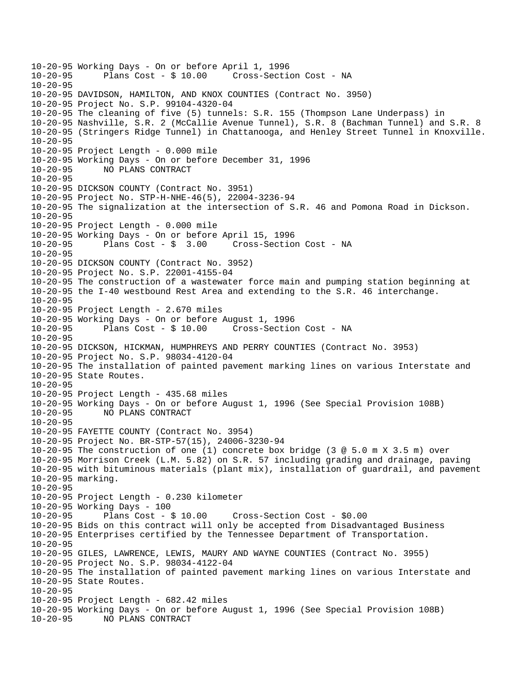10-20-95 Working Days - On or before April 1, 1996 Cross-Section Cost - NA  $10 - 20 - 95$ 10-20-95 DAVIDSON, HAMILTON, AND KNOX COUNTIES (Contract No. 3950) 10-20-95 Project No. S.P. 99104-4320-04 10-20-95 The cleaning of five (5) tunnels: S.R. 155 (Thompson Lane Underpass) in 10-20-95 Nashville, S.R. 2 (McCallie Avenue Tunnel), S.R. 8 (Bachman Tunnel) and S.R. 8 10-20-95 (Stringers Ridge Tunnel) in Chattanooga, and Henley Street Tunnel in Knoxville. 10-20-95 10-20-95 Project Length - 0.000 mile 10-20-95 Working Days - On or before December 31, 1996 10-20-95 NO PLANS CONTRACT  $10 - 20 - 95$ 10-20-95 DICKSON COUNTY (Contract No. 3951) 10-20-95 Project No. STP-H-NHE-46(5), 22004-3236-94 10-20-95 The signalization at the intersection of S.R. 46 and Pomona Road in Dickson. 10-20-95 10-20-95 Project Length - 0.000 mile 10-20-95 Working Days - On or before April 15, 1996 10-20-95 Plans Cost - \$ 3.00 Cross-Section Cost - NA 10-20-95 10-20-95 DICKSON COUNTY (Contract No. 3952) 10-20-95 Project No. S.P. 22001-4155-04 10-20-95 The construction of a wastewater force main and pumping station beginning at 10-20-95 the I-40 westbound Rest Area and extending to the S.R. 46 interchange. 10-20-95 10-20-95 Project Length - 2.670 miles 10-20-95 Working Days - On or before August 1, 1996 10-20-95 Plans Cost - \$ 10.00 Cross-Section Cost - NA 10-20-95 10-20-95 DICKSON, HICKMAN, HUMPHREYS AND PERRY COUNTIES (Contract No. 3953) 10-20-95 Project No. S.P. 98034-4120-04 10-20-95 The installation of painted pavement marking lines on various Interstate and 10-20-95 State Routes. 10-20-95 10-20-95 Project Length - 435.68 miles 10-20-95 Working Days - On or before August 1, 1996 (See Special Provision 108B) 10-20-95 NO PLANS CONTRACT 10-20-95 10-20-95 FAYETTE COUNTY (Contract No. 3954) 10-20-95 Project No. BR-STP-57(15), 24006-3230-94 10-20-95 The construction of one (1) concrete box bridge (3 @ 5.0 m X 3.5 m) over 10-20-95 Morrison Creek (L.M. 5.82) on S.R. 57 including grading and drainage, paving 10-20-95 with bituminous materials (plant mix), installation of guardrail, and pavement 10-20-95 marking. 10-20-95 10-20-95 Project Length - 0.230 kilometer 10-20-95 Working Days - 100 Cross-Section Cost - \$0.00 10-20-95 Bids on this contract will only be accepted from Disadvantaged Business 10-20-95 Enterprises certified by the Tennessee Department of Transportation. 10-20-95 10-20-95 GILES, LAWRENCE, LEWIS, MAURY AND WAYNE COUNTIES (Contract No. 3955) 10-20-95 Project No. S.P. 98034-4122-04 10-20-95 The installation of painted pavement marking lines on various Interstate and 10-20-95 State Routes. 10-20-95 10-20-95 Project Length - 682.42 miles 10-20-95 Working Days - On or before August 1, 1996 (See Special Provision 108B) 10-20-95 NO PLANS CONTRACT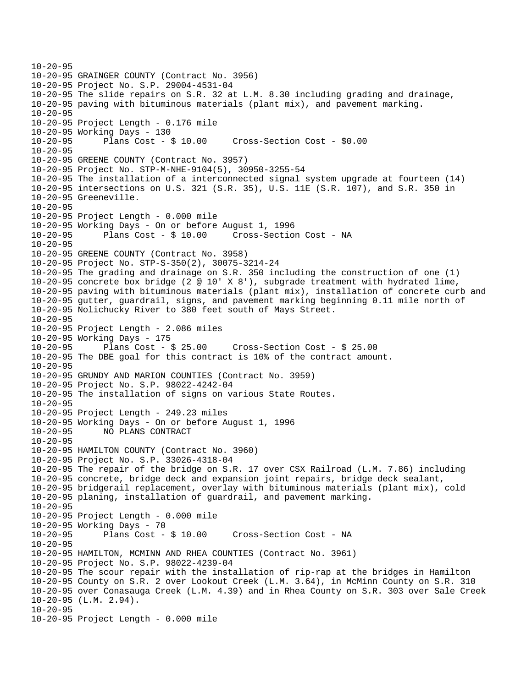```
10-20-95 
10-20-95 GRAINGER COUNTY (Contract No. 3956) 
10-20-95 Project No. S.P. 29004-4531-04 
10-20-95 The slide repairs on S.R. 32 at L.M. 8.30 including grading and drainage, 
10-20-95 paving with bituminous materials (plant mix), and pavement marking. 
10-20-95 
10-20-95 Project Length - 0.176 mile 
10-20-95 Working Days - 130 
10-20-95 Plans Cost - $ 10.00 Cross-Section Cost - $0.00 
10-20-95 
10-20-95 GREENE COUNTY (Contract No. 3957) 
10-20-95 Project No. STP-M-NHE-9104(5), 30950-3255-54 
10-20-95 The installation of a interconnected signal system upgrade at fourteen (14) 
10-20-95 intersections on U.S. 321 (S.R. 35), U.S. 11E (S.R. 107), and S.R. 350 in 
10-20-95 Greeneville. 
10 - 20 - 9510-20-95 Project Length - 0.000 mile 
10-20-95 Working Days - On or before August 1, 1996 
10-20-95 Plans Cost - $ 10.00 Cross-Section Cost - NA 
10-20-95 
10-20-95 GREENE COUNTY (Contract No. 3958) 
10-20-95 Project No. STP-S-350(2), 30075-3214-24 
10-20-95 The grading and drainage on S.R. 350 including the construction of one (1) 
10-20-95 concrete box bridge (2 @ 10' X 8'), subgrade treatment with hydrated lime, 
10-20-95 paving with bituminous materials (plant mix), installation of concrete curb and 
10-20-95 gutter, guardrail, signs, and pavement marking beginning 0.11 mile north of 
10-20-95 Nolichucky River to 380 feet south of Mays Street. 
10-20-95 
10-20-95 Project Length - 2.086 miles 
10-20-95 Working Days - 175 
10-20-95 Plans Cost - $ 25.00 Cross-Section Cost - $ 25.00 
10-20-95 The DBE goal for this contract is 10% of the contract amount. 
10-20-95 
10-20-95 GRUNDY AND MARION COUNTIES (Contract No. 3959) 
10-20-95 Project No. S.P. 98022-4242-04 
10-20-95 The installation of signs on various State Routes. 
10-20-95 
10-20-95 Project Length - 249.23 miles 
10-20-95 Working Days - On or before August 1, 1996 
10-20-95 NO PLANS CONTRACT 
10-20-95 
10-20-95 HAMILTON COUNTY (Contract No. 3960) 
10-20-95 Project No. S.P. 33026-4318-04 
10-20-95 The repair of the bridge on S.R. 17 over CSX Railroad (L.M. 7.86) including 
10-20-95 concrete, bridge deck and expansion joint repairs, bridge deck sealant, 
10-20-95 bridgerail replacement, overlay with bituminous materials (plant mix), cold 
10-20-95 planing, installation of guardrail, and pavement marking. 
10-20-95 
10-20-95 Project Length - 0.000 mile 
10-20-95 Working Days - 70<br>10-20-95 Plans Cost -
              Plans Cost - $ 10.00 Cross-Section Cost - NA
10-20-95 
10-20-95 HAMILTON, MCMINN AND RHEA COUNTIES (Contract No. 3961) 
10-20-95 Project No. S.P. 98022-4239-04 
10-20-95 The scour repair with the installation of rip-rap at the bridges in Hamilton 
10-20-95 County on S.R. 2 over Lookout Creek (L.M. 3.64), in McMinn County on S.R. 310 
10-20-95 over Conasauga Creek (L.M. 4.39) and in Rhea County on S.R. 303 over Sale Creek 
10-20-95 (L.M. 2.94). 
10-20-95 
10-20-95 Project Length - 0.000 mile
```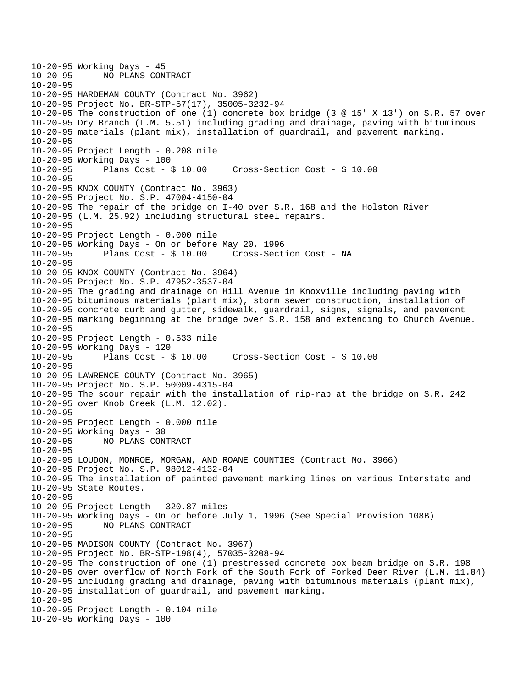```
10-20-95 Working Days - 45<br>10-20-95 NO PLANS CON
              10-20-95 NO PLANS CONTRACT 
10 - 20 - 9510-20-95 HARDEMAN COUNTY (Contract No. 3962) 
10-20-95 Project No. BR-STP-57(17), 35005-3232-94 
10-20-95 The construction of one (1) concrete box bridge (3 @ 15' X 13') on S.R. 57 over 
10-20-95 Dry Branch (L.M. 5.51) including grading and drainage, paving with bituminous 
10-20-95 materials (plant mix), installation of guardrail, and pavement marking. 
10-20-95 
10-20-95 Project Length - 0.208 mile 
10-20-95 Working Days - 100 
10-20-95 Plans Cost - $ 10.00 Cross-Section Cost - $ 10.00 
10 - 20 - 9510-20-95 KNOX COUNTY (Contract No. 3963) 
10-20-95 Project No. S.P. 47004-4150-04 
10-20-95 The repair of the bridge on I-40 over S.R. 168 and the Holston River 
10-20-95 (L.M. 25.92) including structural steel repairs. 
10-20-95 
10-20-95 Project Length - 0.000 mile 
10-20-95 Working Days - On or before May 20, 1996 
10-20-95 Plans Cost - $ 10.00 Cross-Section Cost - NA 
10-20-95 
10-20-95 KNOX COUNTY (Contract No. 3964) 
10-20-95 Project No. S.P. 47952-3537-04 
10-20-95 The grading and drainage on Hill Avenue in Knoxville including paving with 
10-20-95 bituminous materials (plant mix), storm sewer construction, installation of 
10-20-95 concrete curb and gutter, sidewalk, guardrail, signs, signals, and pavement 
10-20-95 marking beginning at the bridge over S.R. 158 and extending to Church Avenue. 
10-20-95 
10-20-95 Project Length - 0.533 mile 
10-20-95 Working Days - 120 
10-20-95 Plans Cost - $ 10.00 Cross-Section Cost - $ 10.00 
10-20-95 
10-20-95 LAWRENCE COUNTY (Contract No. 3965) 
10-20-95 Project No. S.P. 50009-4315-04 
10-20-95 The scour repair with the installation of rip-rap at the bridge on S.R. 242 
10-20-95 over Knob Creek (L.M. 12.02). 
10-20-95 
10-20-95 Project Length - 0.000 mile 
10-20-95 Working Days - 30 
10-20-95 NO PLANS CONTRACT 
10-20-95 
10-20-95 LOUDON, MONROE, MORGAN, AND ROANE COUNTIES (Contract No. 3966) 
10-20-95 Project No. S.P. 98012-4132-04 
10-20-95 The installation of painted pavement marking lines on various Interstate and 
10-20-95 State Routes. 
10-20-95 
10-20-95 Project Length - 320.87 miles 
10-20-95 Working Days - On or before July 1, 1996 (See Special Provision 108B) 
10-20-95 NO PLANS CONTRACT 
10-20-95 
10-20-95 MADISON COUNTY (Contract No. 3967) 
10-20-95 Project No. BR-STP-198(4), 57035-3208-94 
10-20-95 The construction of one (1) prestressed concrete box beam bridge on S.R. 198 
10-20-95 over overflow of North Fork of the South Fork of Forked Deer River (L.M. 11.84) 
10-20-95 including grading and drainage, paving with bituminous materials (plant mix), 
10-20-95 installation of guardrail, and pavement marking. 
10-20-95 
10-20-95 Project Length - 0.104 mile 
10-20-95 Working Days - 100
```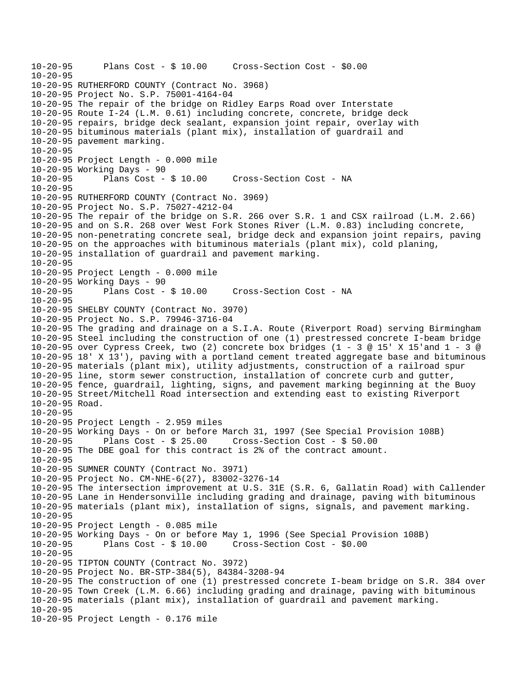10-20-95 Plans Cost - \$ 10.00 Cross-Section Cost - \$0.00 10-20-95 10-20-95 RUTHERFORD COUNTY (Contract No. 3968) 10-20-95 Project No. S.P. 75001-4164-04 10-20-95 The repair of the bridge on Ridley Earps Road over Interstate 10-20-95 Route I-24 (L.M. 0.61) including concrete, concrete, bridge deck 10-20-95 repairs, bridge deck sealant, expansion joint repair, overlay with 10-20-95 bituminous materials (plant mix), installation of guardrail and 10-20-95 pavement marking. 10-20-95 10-20-95 Project Length - 0.000 mile 10-20-95 Working Days - 90 10-20-95 Plans Cost - \$ 10.00 Cross-Section Cost - NA 10-20-95 10-20-95 RUTHERFORD COUNTY (Contract No. 3969) 10-20-95 Project No. S.P. 75027-4212-04 10-20-95 The repair of the bridge on S.R. 266 over S.R. 1 and CSX railroad (L.M. 2.66) 10-20-95 and on S.R. 268 over West Fork Stones River (L.M. 0.83) including concrete, 10-20-95 non-penetrating concrete seal, bridge deck and expansion joint repairs, paving 10-20-95 on the approaches with bituminous materials (plant mix), cold planing, 10-20-95 installation of guardrail and pavement marking. 10-20-95 10-20-95 Project Length - 0.000 mile 10-20-95 Working Days - 90 Cross-Section Cost - NA  $10 - 20 - 95$ 10-20-95 SHELBY COUNTY (Contract No. 3970) 10-20-95 Project No. S.P. 79946-3716-04 10-20-95 The grading and drainage on a S.I.A. Route (Riverport Road) serving Birmingham 10-20-95 Steel including the construction of one (1) prestressed concrete I-beam bridge 10-20-95 over Cypress Creek, two (2) concrete box bridges (1 - 3 @ 15' X 15'and 1 - 3 @ 10-20-95 18' X 13'), paving with a portland cement treated aggregate base and bituminous 10-20-95 materials (plant mix), utility adjustments, construction of a railroad spur 10-20-95 line, storm sewer construction, installation of concrete curb and gutter, 10-20-95 fence, guardrail, lighting, signs, and pavement marking beginning at the Buoy 10-20-95 Street/Mitchell Road intersection and extending east to existing Riverport 10-20-95 Road. 10-20-95 10-20-95 Project Length - 2.959 miles 10-20-95 Working Days - On or before March 31, 1997 (See Special Provision 108B) 10-20-95 Plans Cost - \$ 25.00 Cross-Section Cost - \$ 50.00 10-20-95 The DBE goal for this contract is 2% of the contract amount. 10-20-95 10-20-95 SUMNER COUNTY (Contract No. 3971) 10-20-95 Project No. CM-NHE-6(27), 83002-3276-14 10-20-95 The intersection improvement at U.S. 31E (S.R. 6, Gallatin Road) with Callender 10-20-95 Lane in Hendersonville including grading and drainage, paving with bituminous 10-20-95 materials (plant mix), installation of signs, signals, and pavement marking. 10-20-95 10-20-95 Project Length - 0.085 mile 10-20-95 Working Days - On or before May 1, 1996 (See Special Provision 108B) 10-20-95 Plans Cost - \$ 10.00 Cross-Section Cost - \$0.00 10-20-95 10-20-95 TIPTON COUNTY (Contract No. 3972) 10-20-95 Project No. BR-STP-384(5), 84384-3208-94 10-20-95 The construction of one (1) prestressed concrete I-beam bridge on S.R. 384 over 10-20-95 Town Creek (L.M. 6.66) including grading and drainage, paving with bituminous 10-20-95 materials (plant mix), installation of guardrail and pavement marking. 10-20-95 10-20-95 Project Length - 0.176 mile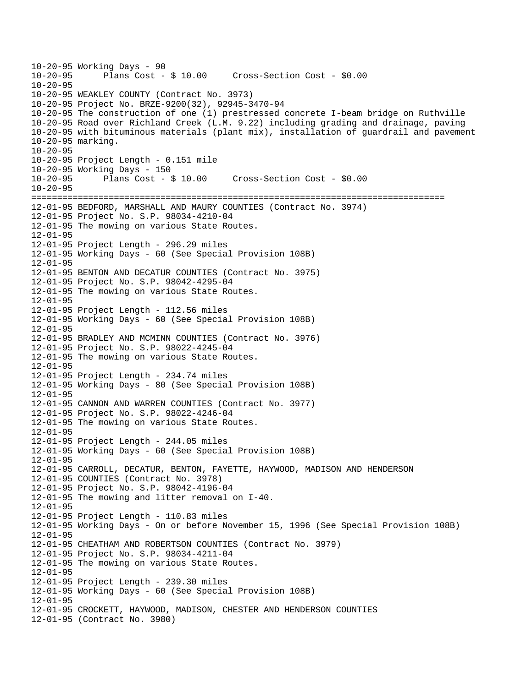```
10-20-95 Working Days - 90 
              Plans Cost - $ 10.00 Cross-Section Cost - $0.0010 - 20 - 9510-20-95 WEAKLEY COUNTY (Contract No. 3973) 
10-20-95 Project No. BRZE-9200(32), 92945-3470-94 
10-20-95 The construction of one (1) prestressed concrete I-beam bridge on Ruthville 
10-20-95 Road over Richland Creek (L.M. 9.22) including grading and drainage, paving 
10-20-95 with bituminous materials (plant mix), installation of guardrail and pavement 
10-20-95 marking. 
10-20-95 
10-20-95 Project Length - 0.151 mile 
10-20-95 Working Days - 150 
10-20-95 Plans Cost - $ 10.00 Cross-Section Cost - $0.00 
10-20-95================================================================================ 
12-01-95 BEDFORD, MARSHALL AND MAURY COUNTIES (Contract No. 3974) 
12-01-95 Project No. S.P. 98034-4210-04 
12-01-95 The mowing on various State Routes. 
12-01-95 
12-01-95 Project Length - 296.29 miles 
12-01-95 Working Days - 60 (See Special Provision 108B) 
12-01-95 
12-01-95 BENTON AND DECATUR COUNTIES (Contract No. 3975) 
12-01-95 Project No. S.P. 98042-4295-04 
12-01-95 The mowing on various State Routes. 
12-01-95 
12-01-95 Project Length - 112.56 miles 
12-01-95 Working Days - 60 (See Special Provision 108B) 
12-01-95 
12-01-95 BRADLEY AND MCMINN COUNTIES (Contract No. 3976) 
12-01-95 Project No. S.P. 98022-4245-04 
12-01-95 The mowing on various State Routes. 
12-01-95 
12-01-95 Project Length - 234.74 miles 
12-01-95 Working Days - 80 (See Special Provision 108B) 
12-01-95 
12-01-95 CANNON AND WARREN COUNTIES (Contract No. 3977) 
12-01-95 Project No. S.P. 98022-4246-04 
12-01-95 The mowing on various State Routes. 
12-01-95 
12-01-95 Project Length - 244.05 miles 
12-01-95 Working Days - 60 (See Special Provision 108B) 
12 - 01 - 9512-01-95 CARROLL, DECATUR, BENTON, FAYETTE, HAYWOOD, MADISON AND HENDERSON 
12-01-95 COUNTIES (Contract No. 3978) 
12-01-95 Project No. S.P. 98042-4196-04 
12-01-95 The mowing and litter removal on I-40. 
12-01-95 
12-01-95 Project Length - 110.83 miles 
12-01-95 Working Days - On or before November 15, 1996 (See Special Provision 108B) 
12-01-95 
12-01-95 CHEATHAM AND ROBERTSON COUNTIES (Contract No. 3979) 
12-01-95 Project No. S.P. 98034-4211-04 
12-01-95 The mowing on various State Routes. 
12-01-95 
12-01-95 Project Length - 239.30 miles 
12-01-95 Working Days - 60 (See Special Provision 108B) 
12 - 01 - 9512-01-95 CROCKETT, HAYWOOD, MADISON, CHESTER AND HENDERSON COUNTIES 
12-01-95 (Contract No. 3980)
```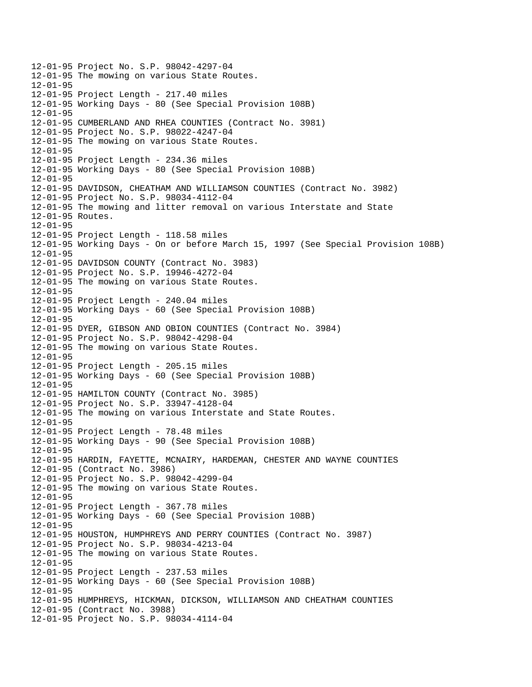12-01-95 Project No. S.P. 98042-4297-04 12-01-95 The mowing on various State Routes.  $12 - 01 - 95$ 12-01-95 Project Length - 217.40 miles 12-01-95 Working Days - 80 (See Special Provision 108B) 12-01-95 12-01-95 CUMBERLAND AND RHEA COUNTIES (Contract No. 3981) 12-01-95 Project No. S.P. 98022-4247-04 12-01-95 The mowing on various State Routes. 12-01-95 12-01-95 Project Length - 234.36 miles 12-01-95 Working Days - 80 (See Special Provision 108B)  $12 - 01 - 95$ 12-01-95 DAVIDSON, CHEATHAM AND WILLIAMSON COUNTIES (Contract No. 3982) 12-01-95 Project No. S.P. 98034-4112-04 12-01-95 The mowing and litter removal on various Interstate and State 12-01-95 Routes. 12-01-95 12-01-95 Project Length - 118.58 miles 12-01-95 Working Days - On or before March 15, 1997 (See Special Provision 108B) 12-01-95 12-01-95 DAVIDSON COUNTY (Contract No. 3983) 12-01-95 Project No. S.P. 19946-4272-04 12-01-95 The mowing on various State Routes.  $12 - 01 - 95$ 12-01-95 Project Length - 240.04 miles 12-01-95 Working Days - 60 (See Special Provision 108B) 12-01-95 12-01-95 DYER, GIBSON AND OBION COUNTIES (Contract No. 3984) 12-01-95 Project No. S.P. 98042-4298-04 12-01-95 The mowing on various State Routes. 12-01-95 12-01-95 Project Length - 205.15 miles 12-01-95 Working Days - 60 (See Special Provision 108B) 12-01-95 12-01-95 HAMILTON COUNTY (Contract No. 3985) 12-01-95 Project No. S.P. 33947-4128-04 12-01-95 The mowing on various Interstate and State Routes. 12-01-95 12-01-95 Project Length - 78.48 miles 12-01-95 Working Days - 90 (See Special Provision 108B) 12-01-95 12-01-95 HARDIN, FAYETTE, MCNAIRY, HARDEMAN, CHESTER AND WAYNE COUNTIES 12-01-95 (Contract No. 3986) 12-01-95 Project No. S.P. 98042-4299-04 12-01-95 The mowing on various State Routes. 12-01-95 12-01-95 Project Length - 367.78 miles 12-01-95 Working Days - 60 (See Special Provision 108B) 12-01-95 12-01-95 HOUSTON, HUMPHREYS AND PERRY COUNTIES (Contract No. 3987) 12-01-95 Project No. S.P. 98034-4213-04 12-01-95 The mowing on various State Routes. 12-01-95 12-01-95 Project Length - 237.53 miles 12-01-95 Working Days - 60 (See Special Provision 108B) 12-01-95 12-01-95 HUMPHREYS, HICKMAN, DICKSON, WILLIAMSON AND CHEATHAM COUNTIES 12-01-95 (Contract No. 3988) 12-01-95 Project No. S.P. 98034-4114-04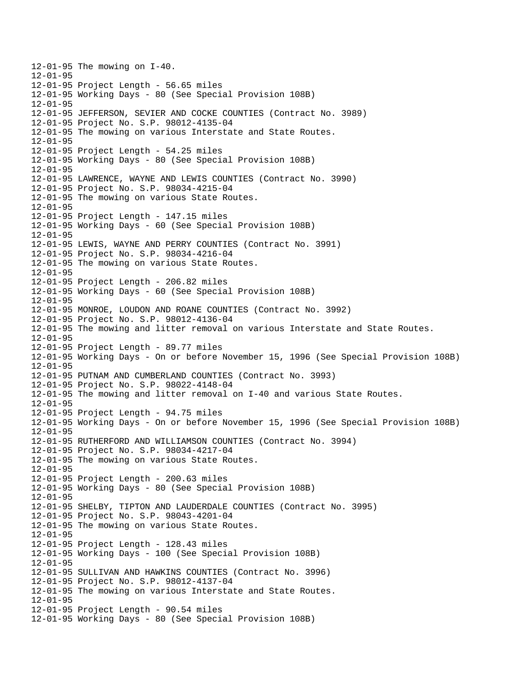12-01-95 The mowing on I-40.  $12 - 01 - 95$ 12-01-95 Project Length - 56.65 miles 12-01-95 Working Days - 80 (See Special Provision 108B) 12-01-95 12-01-95 JEFFERSON, SEVIER AND COCKE COUNTIES (Contract No. 3989) 12-01-95 Project No. S.P. 98012-4135-04 12-01-95 The mowing on various Interstate and State Routes. 12-01-95 12-01-95 Project Length - 54.25 miles 12-01-95 Working Days - 80 (See Special Provision 108B) 12-01-95 12-01-95 LAWRENCE, WAYNE AND LEWIS COUNTIES (Contract No. 3990) 12-01-95 Project No. S.P. 98034-4215-04 12-01-95 The mowing on various State Routes. 12-01-95 12-01-95 Project Length - 147.15 miles 12-01-95 Working Days - 60 (See Special Provision 108B) 12-01-95 12-01-95 LEWIS, WAYNE AND PERRY COUNTIES (Contract No. 3991) 12-01-95 Project No. S.P. 98034-4216-04 12-01-95 The mowing on various State Routes. 12-01-95 12-01-95 Project Length - 206.82 miles 12-01-95 Working Days - 60 (See Special Provision 108B) 12-01-95 12-01-95 MONROE, LOUDON AND ROANE COUNTIES (Contract No. 3992) 12-01-95 Project No. S.P. 98012-4136-04 12-01-95 The mowing and litter removal on various Interstate and State Routes. 12-01-95 12-01-95 Project Length - 89.77 miles 12-01-95 Working Days - On or before November 15, 1996 (See Special Provision 108B) 12-01-95 12-01-95 PUTNAM AND CUMBERLAND COUNTIES (Contract No. 3993) 12-01-95 Project No. S.P. 98022-4148-04 12-01-95 The mowing and litter removal on I-40 and various State Routes. 12-01-95 12-01-95 Project Length - 94.75 miles 12-01-95 Working Days - On or before November 15, 1996 (See Special Provision 108B) 12-01-95 12-01-95 RUTHERFORD AND WILLIAMSON COUNTIES (Contract No. 3994) 12-01-95 Project No. S.P. 98034-4217-04 12-01-95 The mowing on various State Routes. 12-01-95 12-01-95 Project Length - 200.63 miles 12-01-95 Working Days - 80 (See Special Provision 108B) 12-01-95 12-01-95 SHELBY, TIPTON AND LAUDERDALE COUNTIES (Contract No. 3995) 12-01-95 Project No. S.P. 98043-4201-04 12-01-95 The mowing on various State Routes. 12-01-95 12-01-95 Project Length - 128.43 miles 12-01-95 Working Days - 100 (See Special Provision 108B) 12-01-95 12-01-95 SULLIVAN AND HAWKINS COUNTIES (Contract No. 3996) 12-01-95 Project No. S.P. 98012-4137-04 12-01-95 The mowing on various Interstate and State Routes. 12-01-95 12-01-95 Project Length - 90.54 miles 12-01-95 Working Days - 80 (See Special Provision 108B)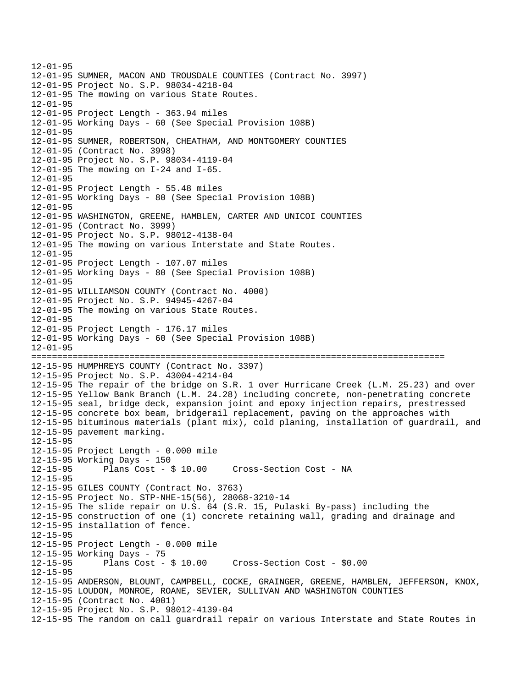12-01-95 12-01-95 SUMNER, MACON AND TROUSDALE COUNTIES (Contract No. 3997) 12-01-95 Project No. S.P. 98034-4218-04 12-01-95 The mowing on various State Routes. 12-01-95 12-01-95 Project Length - 363.94 miles 12-01-95 Working Days - 60 (See Special Provision 108B) 12-01-95 12-01-95 SUMNER, ROBERTSON, CHEATHAM, AND MONTGOMERY COUNTIES 12-01-95 (Contract No. 3998) 12-01-95 Project No. S.P. 98034-4119-04 12-01-95 The mowing on I-24 and I-65.  $12 - 01 - 95$ 12-01-95 Project Length - 55.48 miles 12-01-95 Working Days - 80 (See Special Provision 108B) 12-01-95 12-01-95 WASHINGTON, GREENE, HAMBLEN, CARTER AND UNICOI COUNTIES 12-01-95 (Contract No. 3999) 12-01-95 Project No. S.P. 98012-4138-04 12-01-95 The mowing on various Interstate and State Routes. 12-01-95 12-01-95 Project Length - 107.07 miles 12-01-95 Working Days - 80 (See Special Provision 108B) 12-01-95 12-01-95 WILLIAMSON COUNTY (Contract No. 4000) 12-01-95 Project No. S.P. 94945-4267-04 12-01-95 The mowing on various State Routes. 12-01-95 12-01-95 Project Length - 176.17 miles 12-01-95 Working Days - 60 (See Special Provision 108B) 12-01-95 ================================================================================ 12-15-95 HUMPHREYS COUNTY (Contract No. 3397) 12-15-95 Project No. S.P. 43004-4214-04 12-15-95 The repair of the bridge on S.R. 1 over Hurricane Creek (L.M. 25.23) and over 12-15-95 Yellow Bank Branch (L.M. 24.28) including concrete, non-penetrating concrete 12-15-95 seal, bridge deck, expansion joint and epoxy injection repairs, prestressed 12-15-95 concrete box beam, bridgerail replacement, paving on the approaches with 12-15-95 bituminous materials (plant mix), cold planing, installation of guardrail, and 12-15-95 pavement marking. 12-15-95 12-15-95 Project Length - 0.000 mile 12-15-95 Working Days - 150 12-15-95 Plans Cost - \$ 10.00 Cross-Section Cost - NA 12-15-95 12-15-95 GILES COUNTY (Contract No. 3763) 12-15-95 Project No. STP-NHE-15(56), 28068-3210-14 12-15-95 The slide repair on U.S. 64 (S.R. 15, Pulaski By-pass) including the 12-15-95 construction of one (1) concrete retaining wall, grading and drainage and 12-15-95 installation of fence. 12-15-95 12-15-95 Project Length - 0.000 mile 12-15-95 Working Days - 75 12-15-95 Plans Cost - \$ 10.00 Cross-Section Cost - \$0.00 12-15-95 12-15-95 ANDERSON, BLOUNT, CAMPBELL, COCKE, GRAINGER, GREENE, HAMBLEN, JEFFERSON, KNOX, 12-15-95 LOUDON, MONROE, ROANE, SEVIER, SULLIVAN AND WASHINGTON COUNTIES 12-15-95 (Contract No. 4001) 12-15-95 Project No. S.P. 98012-4139-04 12-15-95 The random on call guardrail repair on various Interstate and State Routes in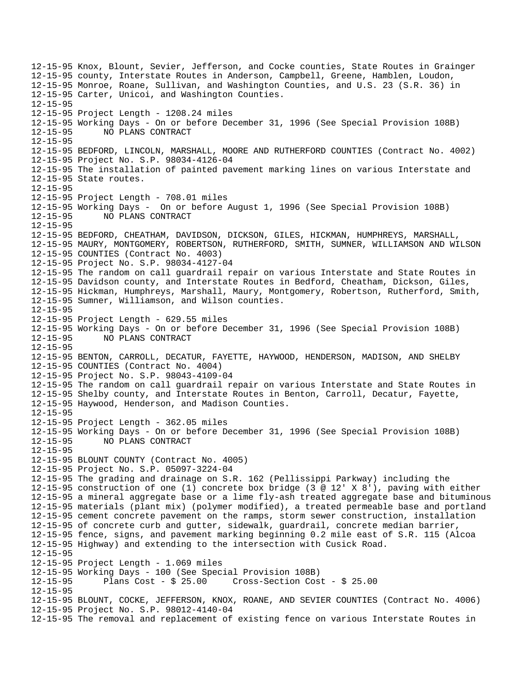12-15-95 Knox, Blount, Sevier, Jefferson, and Cocke counties, State Routes in Grainger 12-15-95 county, Interstate Routes in Anderson, Campbell, Greene, Hamblen, Loudon, 12-15-95 Monroe, Roane, Sullivan, and Washington Counties, and U.S. 23 (S.R. 36) in 12-15-95 Carter, Unicoi, and Washington Counties. 12-15-95 12-15-95 Project Length - 1208.24 miles 12-15-95 Working Days - On or before December 31, 1996 (See Special Provision 108B) 12-15-95 NO PLANS CONTRACT 12-15-95 12-15-95 BEDFORD, LINCOLN, MARSHALL, MOORE AND RUTHERFORD COUNTIES (Contract No. 4002) 12-15-95 Project No. S.P. 98034-4126-04 12-15-95 The installation of painted pavement marking lines on various Interstate and 12-15-95 State routes. 12-15-95 12-15-95 Project Length - 708.01 miles 12-15-95 Working Days - On or before August 1, 1996 (See Special Provision 108B) 12-15-95 NO PLANS CONTRACT 12-15-95 12-15-95 BEDFORD, CHEATHAM, DAVIDSON, DICKSON, GILES, HICKMAN, HUMPHREYS, MARSHALL, 12-15-95 MAURY, MONTGOMERY, ROBERTSON, RUTHERFORD, SMITH, SUMNER, WILLIAMSON AND WILSON 12-15-95 COUNTIES (Contract No. 4003) 12-15-95 Project No. S.P. 98034-4127-04 12-15-95 The random on call guardrail repair on various Interstate and State Routes in 12-15-95 Davidson county, and Interstate Routes in Bedford, Cheatham, Dickson, Giles, 12-15-95 Hickman, Humphreys, Marshall, Maury, Montgomery, Robertson, Rutherford, Smith, 12-15-95 Sumner, Williamson, and Wilson counties. 12-15-95 12-15-95 Project Length - 629.55 miles 12-15-95 Working Days - On or before December 31, 1996 (See Special Provision 108B) 12-15-95 NO PLANS CONTRACT 12-15-95 12-15-95 BENTON, CARROLL, DECATUR, FAYETTE, HAYWOOD, HENDERSON, MADISON, AND SHELBY 12-15-95 COUNTIES (Contract No. 4004) 12-15-95 Project No. S.P. 98043-4109-04 12-15-95 The random on call guardrail repair on various Interstate and State Routes in 12-15-95 Shelby county, and Interstate Routes in Benton, Carroll, Decatur, Fayette, 12-15-95 Haywood, Henderson, and Madison Counties. 12-15-95 12-15-95 Project Length - 362.05 miles 12-15-95 Working Days - On or before December 31, 1996 (See Special Provision 108B) 12-15-95 NO PLANS CONTRACT 12-15-95 12-15-95 BLOUNT COUNTY (Contract No. 4005) 12-15-95 Project No. S.P. 05097-3224-04 12-15-95 The grading and drainage on S.R. 162 (Pellissippi Parkway) including the 12-15-95 construction of one (1) concrete box bridge (3 @ 12' X 8'), paving with either 12-15-95 a mineral aggregate base or a lime fly-ash treated aggregate base and bituminous 12-15-95 materials (plant mix) (polymer modified), a treated permeable base and portland 12-15-95 cement concrete pavement on the ramps, storm sewer construction, installation 12-15-95 of concrete curb and gutter, sidewalk, guardrail, concrete median barrier, 12-15-95 fence, signs, and pavement marking beginning 0.2 mile east of S.R. 115 (Alcoa 12-15-95 Highway) and extending to the intersection with Cusick Road. 12-15-95 12-15-95 Project Length - 1.069 miles 12-15-95 Working Days - 100 (See Special Provision 108B) 12-15-95 Plans Cost - \$ 25.00 Cross-Section Cost - \$ 25.00 12-15-95 12-15-95 BLOUNT, COCKE, JEFFERSON, KNOX, ROANE, AND SEVIER COUNTIES (Contract No. 4006) 12-15-95 Project No. S.P. 98012-4140-04 12-15-95 The removal and replacement of existing fence on various Interstate Routes in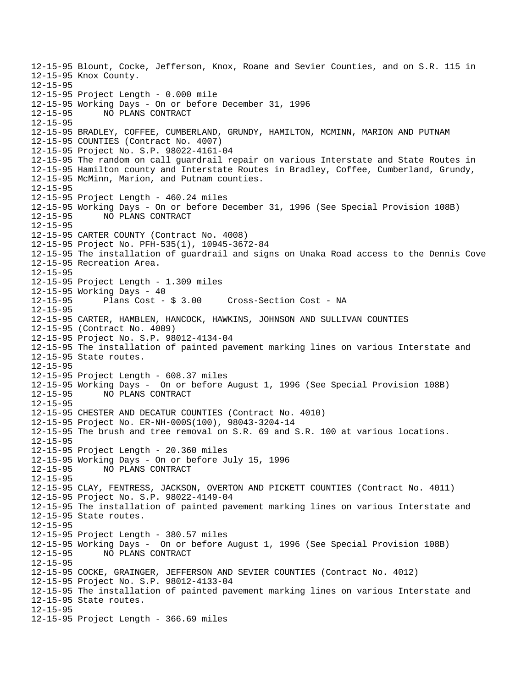12-15-95 Blount, Cocke, Jefferson, Knox, Roane and Sevier Counties, and on S.R. 115 in 12-15-95 Knox County. 12-15-95 12-15-95 Project Length - 0.000 mile 12-15-95 Working Days - On or before December 31, 1996 12-15-95 NO PLANS CONTRACT 12-15-95 12-15-95 BRADLEY, COFFEE, CUMBERLAND, GRUNDY, HAMILTON, MCMINN, MARION AND PUTNAM 12-15-95 COUNTIES (Contract No. 4007) 12-15-95 Project No. S.P. 98022-4161-04 12-15-95 The random on call guardrail repair on various Interstate and State Routes in 12-15-95 Hamilton county and Interstate Routes in Bradley, Coffee, Cumberland, Grundy, 12-15-95 McMinn, Marion, and Putnam counties. 12-15-95 12-15-95 Project Length - 460.24 miles 12-15-95 Working Days - On or before December 31, 1996 (See Special Provision 108B) 12-15-95 NO PLANS CONTRACT 12-15-95 12-15-95 CARTER COUNTY (Contract No. 4008) 12-15-95 Project No. PFH-535(1), 10945-3672-84 12-15-95 The installation of guardrail and signs on Unaka Road access to the Dennis Cove 12-15-95 Recreation Area. 12-15-95 12-15-95 Project Length - 1.309 miles 12-15-95 Working Days - 40<br>12-15-95 Plans Cost - \$ 3.00 12-15-95 Plans Cost - \$ 3.00 Cross-Section Cost - NA 12-15-95 12-15-95 CARTER, HAMBLEN, HANCOCK, HAWKINS, JOHNSON AND SULLIVAN COUNTIES 12-15-95 (Contract No. 4009) 12-15-95 Project No. S.P. 98012-4134-04 12-15-95 The installation of painted pavement marking lines on various Interstate and 12-15-95 State routes. 12-15-95 12-15-95 Project Length - 608.37 miles 12-15-95 Working Days - On or before August 1, 1996 (See Special Provision 108B) 12-15-95 NO PLANS CONTRACT 12-15-95 12-15-95 CHESTER AND DECATUR COUNTIES (Contract No. 4010) 12-15-95 Project No. ER-NH-000S(100), 98043-3204-14 12-15-95 The brush and tree removal on S.R. 69 and S.R. 100 at various locations. 12-15-95 12-15-95 Project Length - 20.360 miles 12-15-95 Working Days - On or before July 15, 1996 12-15-95 NO PLANS CONTRACT 12-15-95 12-15-95 CLAY, FENTRESS, JACKSON, OVERTON AND PICKETT COUNTIES (Contract No. 4011) 12-15-95 Project No. S.P. 98022-4149-04 12-15-95 The installation of painted pavement marking lines on various Interstate and 12-15-95 State routes. 12-15-95 12-15-95 Project Length - 380.57 miles 12-15-95 Working Days - On or before August 1, 1996 (See Special Provision 108B) 12-15-95 NO PLANS CONTRACT 12-15-95 12-15-95 COCKE, GRAINGER, JEFFERSON AND SEVIER COUNTIES (Contract No. 4012) 12-15-95 Project No. S.P. 98012-4133-04 12-15-95 The installation of painted pavement marking lines on various Interstate and 12-15-95 State routes. 12-15-95 12-15-95 Project Length - 366.69 miles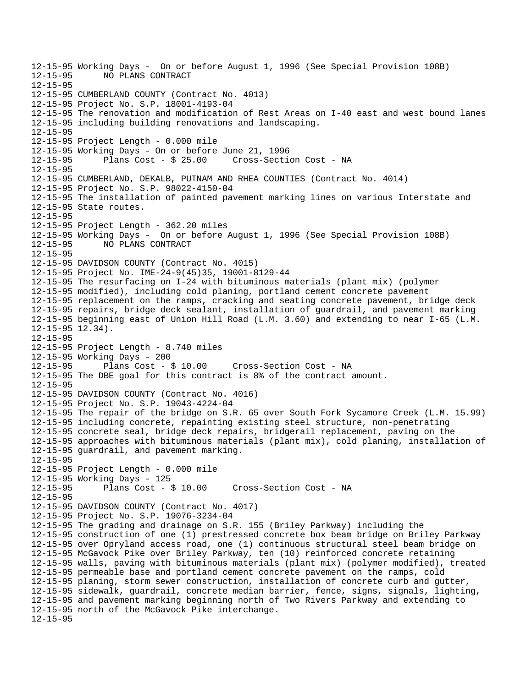12-15-95 Working Days - On or before August 1, 1996 (See Special Provision 108B) 12-15-95 NO PLANS CONTRACT 12-15-95 12-15-95 CUMBERLAND COUNTY (Contract No. 4013) 12-15-95 Project No. S.P. 18001-4193-04 12-15-95 The renovation and modification of Rest Areas on I-40 east and west bound lanes 12-15-95 including building renovations and landscaping. 12-15-95 12-15-95 Project Length - 0.000 mile 12-15-95 Working Days - On or before June 21, 1996 12-15-95 Plans Cost - \$ 25.00 Cross-Section Cost - NA 12-15-95 12-15-95 CUMBERLAND, DEKALB, PUTNAM AND RHEA COUNTIES (Contract No. 4014) 12-15-95 Project No. S.P. 98022-4150-04 12-15-95 The installation of painted pavement marking lines on various Interstate and 12-15-95 State routes. 12-15-95 12-15-95 Project Length - 362.20 miles 12-15-95 Working Days - On or before August 1, 1996 (See Special Provision 108B) 12-15-95 NO PLANS CONTRACT 12-15-95 12-15-95 DAVIDSON COUNTY (Contract No. 4015) 12-15-95 Project No. IME-24-9(45)35, 19001-8129-44 12-15-95 The resurfacing on I-24 with bituminous materials (plant mix) (polymer 12-15-95 modified), including cold planing, portland cement concrete pavement 12-15-95 replacement on the ramps, cracking and seating concrete pavement, bridge deck 12-15-95 repairs, bridge deck sealant, installation of guardrail, and pavement marking 12-15-95 beginning east of Union Hill Road (L.M. 3.60) and extending to near I-65 (L.M. 12-15-95 12.34). 12-15-95 12-15-95 Project Length - 8.740 miles 12-15-95 Working Days - 200 12-15-95 Plans Cost - \$ 10.00 Cross-Section Cost - NA 12-15-95 The DBE goal for this contract is 8% of the contract amount. 12-15-95 12-15-95 DAVIDSON COUNTY (Contract No. 4016) 12-15-95 Project No. S.P. 19043-4224-04 12-15-95 The repair of the bridge on S.R. 65 over South Fork Sycamore Creek (L.M. 15.99) 12-15-95 including concrete, repainting existing steel structure, non-penetrating 12-15-95 concrete seal, bridge deck repairs, bridgerail replacement, paving on the 12-15-95 approaches with bituminous materials (plant mix), cold planing, installation of 12-15-95 guardrail, and pavement marking. 12-15-95 12-15-95 Project Length - 0.000 mile 12-15-95 Working Days - 125 12-15-95 Plans Cost - \$ 10.00 Cross-Section Cost - NA 12-15-95 12-15-95 DAVIDSON COUNTY (Contract No. 4017) 12-15-95 Project No. S.P. 19076-3234-04 12-15-95 The grading and drainage on S.R. 155 (Briley Parkway) including the 12-15-95 construction of one (1) prestressed concrete box beam bridge on Briley Parkway 12-15-95 over Opryland access road, one (1) continuous structural steel beam bridge on 12-15-95 McGavock Pike over Briley Parkway, ten (10) reinforced concrete retaining 12-15-95 walls, paving with bituminous materials (plant mix) (polymer modified), treated 12-15-95 permeable base and portland cement concrete pavement on the ramps, cold 12-15-95 planing, storm sewer construction, installation of concrete curb and gutter, 12-15-95 sidewalk, guardrail, concrete median barrier, fence, signs, signals, lighting, 12-15-95 and pavement marking beginning north of Two Rivers Parkway and extending to 12-15-95 north of the McGavock Pike interchange. 12-15-95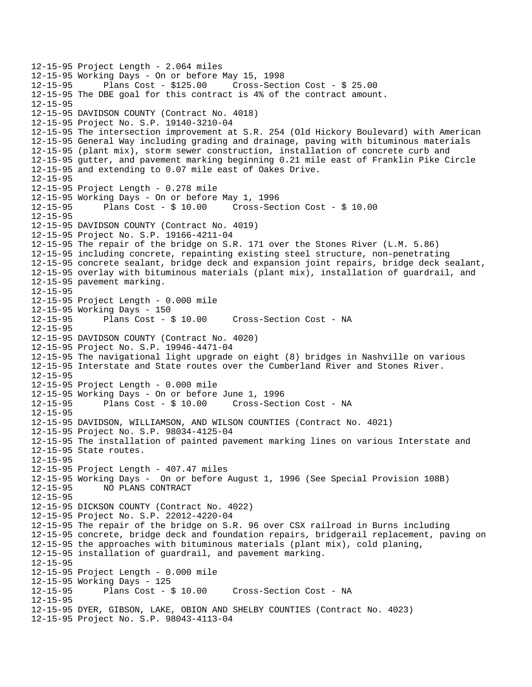```
12-15-95 Project Length - 2.064 miles 
12-15-95 Working Days - On or before May 15, 1998 
              Plans Cost - $125.00 Cross-Section Cost - $25.0012-15-95 The DBE goal for this contract is 4% of the contract amount. 
12-15-95 
12-15-95 DAVIDSON COUNTY (Contract No. 4018) 
12-15-95 Project No. S.P. 19140-3210-04 
12-15-95 The intersection improvement at S.R. 254 (Old Hickory Boulevard) with American 
12-15-95 General Way including grading and drainage, paving with bituminous materials 
12-15-95 (plant mix), storm sewer construction, installation of concrete curb and 
12-15-95 gutter, and pavement marking beginning 0.21 mile east of Franklin Pike Circle 
12-15-95 and extending to 0.07 mile east of Oakes Drive. 
12-15-95 
12-15-95 Project Length - 0.278 mile 
12-15-95 Working Days - On or before May 1, 1996 
12-15-95 Plans Cost - $ 10.00 Cross-Section Cost - $ 10.00 
12-15-95 
12-15-95 DAVIDSON COUNTY (Contract No. 4019) 
12-15-95 Project No. S.P. 19166-4211-04 
12-15-95 The repair of the bridge on S.R. 171 over the Stones River (L.M. 5.86) 
12-15-95 including concrete, repainting existing steel structure, non-penetrating 
12-15-95 concrete sealant, bridge deck and expansion joint repairs, bridge deck sealant, 
12-15-95 overlay with bituminous materials (plant mix), installation of guardrail, and 
12-15-95 pavement marking. 
12-15-95 
12-15-95 Project Length - 0.000 mile 
12-15-95 Working Days - 150 
                                       Cross-Section Cost - NA
12-15-95 
12-15-95 DAVIDSON COUNTY (Contract No. 4020) 
12-15-95 Project No. S.P. 19946-4471-04 
12-15-95 The navigational light upgrade on eight (8) bridges in Nashville on various 
12-15-95 Interstate and State routes over the Cumberland River and Stones River. 
12-15-95 
12-15-95 Project Length - 0.000 mile 
12-15-95 Working Days - On or before June 1, 1996 
12-15-95 Plans Cost - $ 10.00 Cross-Section Cost - NA 
12-15-95 
12-15-95 DAVIDSON, WILLIAMSON, AND WILSON COUNTIES (Contract No. 4021) 
12-15-95 Project No. S.P. 98034-4125-04 
12-15-95 The installation of painted pavement marking lines on various Interstate and 
12-15-95 State routes. 
12-15-95 
12-15-95 Project Length - 407.47 miles 
12-15-95 Working Days - On or before August 1, 1996 (See Special Provision 108B) 
12-15-95 NO PLANS CONTRACT 
12-15-95 
12-15-95 DICKSON COUNTY (Contract No. 4022) 
12-15-95 Project No. S.P. 22012-4220-04 
12-15-95 The repair of the bridge on S.R. 96 over CSX railroad in Burns including 
12-15-95 concrete, bridge deck and foundation repairs, bridgerail replacement, paving on 
12-15-95 the approaches with bituminous materials (plant mix), cold planing, 
12-15-95 installation of guardrail, and pavement marking. 
12-15-95 
12-15-95 Project Length - 0.000 mile 
12-15-95 Working Days - 125 
12-15-95 Plans Cost - $ 10.00 Cross-Section Cost - NA 
12-15-95 
12-15-95 DYER, GIBSON, LAKE, OBION AND SHELBY COUNTIES (Contract No. 4023) 
12-15-95 Project No. S.P. 98043-4113-04
```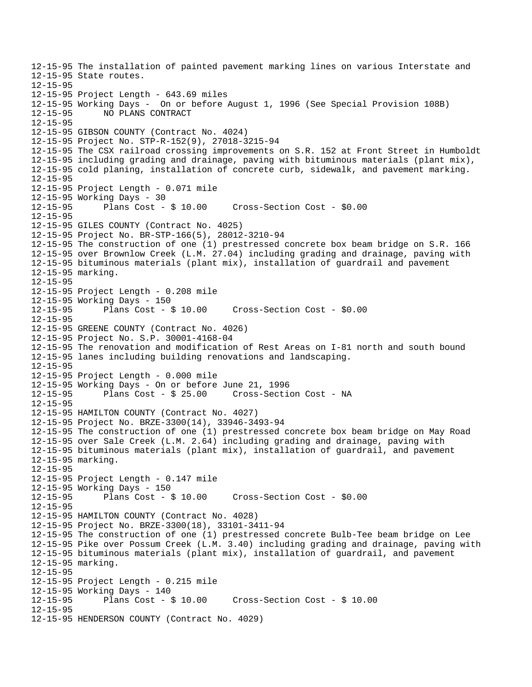12-15-95 The installation of painted pavement marking lines on various Interstate and 12-15-95 State routes. 12-15-95 12-15-95 Project Length - 643.69 miles 12-15-95 Working Days - On or before August 1, 1996 (See Special Provision 108B) 12-15-95 NO PLANS CONTRACT 12-15-95 12-15-95 GIBSON COUNTY (Contract No. 4024) 12-15-95 Project No. STP-R-152(9), 27018-3215-94 12-15-95 The CSX railroad crossing improvements on S.R. 152 at Front Street in Humboldt 12-15-95 including grading and drainage, paving with bituminous materials (plant mix), 12-15-95 cold planing, installation of concrete curb, sidewalk, and pavement marking. 12-15-95 12-15-95 Project Length - 0.071 mile 12-15-95 Working Days - 30 12-15-95 Plans Cost - \$ 10.00 Cross-Section Cost - \$0.00 12-15-95 12-15-95 GILES COUNTY (Contract No. 4025) 12-15-95 Project No. BR-STP-166(5), 28012-3210-94 12-15-95 The construction of one (1) prestressed concrete box beam bridge on S.R. 166 12-15-95 over Brownlow Creek (L.M. 27.04) including grading and drainage, paving with 12-15-95 bituminous materials (plant mix), installation of guardrail and pavement 12-15-95 marking. 12-15-95 12-15-95 Project Length - 0.208 mile 12-15-95 Working Days - 150 12-15-95 Plans Cost - \$ 10.00 Cross-Section Cost - \$0.00 12-15-95 12-15-95 GREENE COUNTY (Contract No. 4026) 12-15-95 Project No. S.P. 30001-4168-04 12-15-95 The renovation and modification of Rest Areas on I-81 north and south bound 12-15-95 lanes including building renovations and landscaping. 12-15-95 12-15-95 Project Length - 0.000 mile 12-15-95 Working Days - On or before June 21, 1996 12-15-95 Plans Cost - \$ 25.00 Cross-Section Cost - NA 12-15-95 12-15-95 HAMILTON COUNTY (Contract No. 4027) 12-15-95 Project No. BRZE-3300(14), 33946-3493-94 12-15-95 The construction of one (1) prestressed concrete box beam bridge on May Road 12-15-95 over Sale Creek (L.M. 2.64) including grading and drainage, paving with 12-15-95 bituminous materials (plant mix), installation of guardrail, and pavement 12-15-95 marking. 12-15-95 12-15-95 Project Length - 0.147 mile 12-15-95 Working Days - 150 12-15-95 Plans Cost - \$ 10.00 Cross-Section Cost - \$0.00  $12 - 15 - 95$ 12-15-95 HAMILTON COUNTY (Contract No. 4028) 12-15-95 Project No. BRZE-3300(18), 33101-3411-94 12-15-95 The construction of one (1) prestressed concrete Bulb-Tee beam bridge on Lee 12-15-95 Pike over Possum Creek (L.M. 3.40) including grading and drainage, paving with 12-15-95 bituminous materials (plant mix), installation of guardrail, and pavement 12-15-95 marking. 12-15-95 12-15-95 Project Length - 0.215 mile 12-15-95 Working Days - 140  $Cross-Section Cost - $ 10.00$ 12-15-95 12-15-95 HENDERSON COUNTY (Contract No. 4029)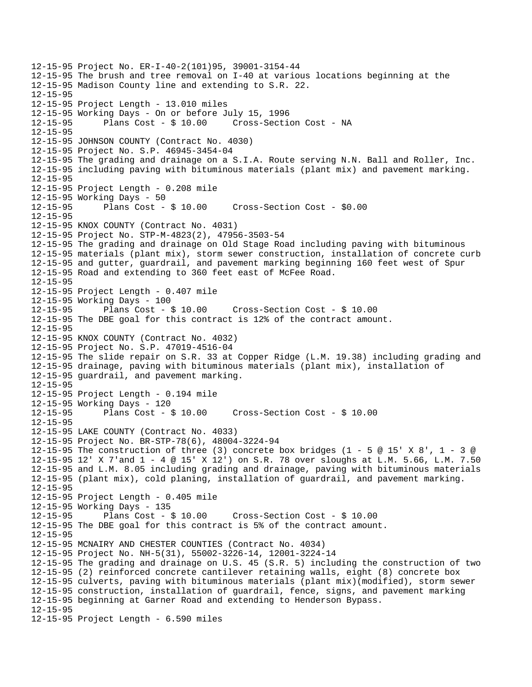12-15-95 Project No. ER-I-40-2(101)95, 39001-3154-44 12-15-95 The brush and tree removal on I-40 at various locations beginning at the 12-15-95 Madison County line and extending to S.R. 22. 12-15-95 12-15-95 Project Length - 13.010 miles 12-15-95 Working Days - On or before July 15, 1996 12-15-95 Plans Cost - \$ 10.00 Cross-Section Cost - NA 12-15-95 12-15-95 JOHNSON COUNTY (Contract No. 4030) 12-15-95 Project No. S.P. 46945-3454-04 12-15-95 The grading and drainage on a S.I.A. Route serving N.N. Ball and Roller, Inc. 12-15-95 including paving with bituminous materials (plant mix) and pavement marking. 12-15-95 12-15-95 Project Length - 0.208 mile 12-15-95 Working Days - 50 12-15-95 Plans Cost - \$ 10.00 Cross-Section Cost - \$0.00 12-15-95 12-15-95 KNOX COUNTY (Contract No. 4031) 12-15-95 Project No. STP-M-4823(2), 47956-3503-54 12-15-95 The grading and drainage on Old Stage Road including paving with bituminous 12-15-95 materials (plant mix), storm sewer construction, installation of concrete curb 12-15-95 and gutter, guardrail, and pavement marking beginning 160 feet west of Spur 12-15-95 Road and extending to 360 feet east of McFee Road. 12-15-95 12-15-95 Project Length - 0.407 mile 12-15-95 Working Days - 100 12-15-95 Plans Cost - \$ 10.00 Cross-Section Cost - \$ 10.00 12-15-95 The DBE goal for this contract is 12% of the contract amount. 12-15-95 12-15-95 KNOX COUNTY (Contract No. 4032) 12-15-95 Project No. S.P. 47019-4516-04 12-15-95 The slide repair on S.R. 33 at Copper Ridge (L.M. 19.38) including grading and 12-15-95 drainage, paving with bituminous materials (plant mix), installation of 12-15-95 guardrail, and pavement marking. 12-15-95 12-15-95 Project Length - 0.194 mile 12-15-95 Working Days - 120 12-15-95 Plans Cost - \$ 10.00 Cross-Section Cost - \$ 10.00 12-15-95 12-15-95 LAKE COUNTY (Contract No. 4033) 12-15-95 Project No. BR-STP-78(6), 48004-3224-94 12-15-95 The construction of three (3) concrete box bridges (1 - 5  $\omega$  15' X 8', 1 - 3  $\omega$ 12-15-95 12' X 7'and 1 - 4 @ 15' X 12') on S.R. 78 over sloughs at L.M. 5.66, L.M. 7.50 12-15-95 and L.M. 8.05 including grading and drainage, paving with bituminous materials 12-15-95 (plant mix), cold planing, installation of guardrail, and pavement marking. 12-15-95 12-15-95 Project Length - 0.405 mile 12-15-95 Working Days - 135 12-15-95 Plans Cost - \$ 10.00 Cross-Section Cost - \$ 10.00 12-15-95 The DBE goal for this contract is 5% of the contract amount. 12-15-95 12-15-95 MCNAIRY AND CHESTER COUNTIES (Contract No. 4034) 12-15-95 Project No. NH-5(31), 55002-3226-14, 12001-3224-14 12-15-95 The grading and drainage on U.S. 45 (S.R. 5) including the construction of two 12-15-95 (2) reinforced concrete cantilever retaining walls, eight (8) concrete box 12-15-95 culverts, paving with bituminous materials (plant mix)(modified), storm sewer 12-15-95 construction, installation of guardrail, fence, signs, and pavement marking 12-15-95 beginning at Garner Road and extending to Henderson Bypass. 12-15-95 12-15-95 Project Length - 6.590 miles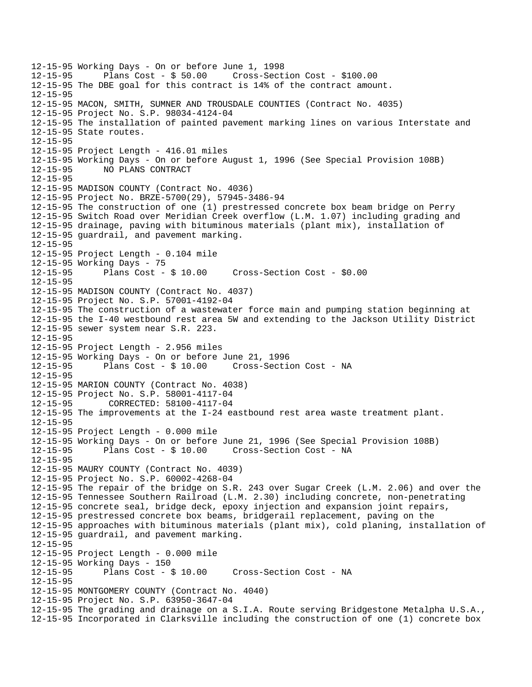12-15-95 Working Days - On or before June 1, 1998 12-15-95 Plans Cost - \$ 50.00 Cross-Section Cost - \$100.00 12-15-95 The DBE goal for this contract is 14% of the contract amount. 12-15-95 12-15-95 MACON, SMITH, SUMNER AND TROUSDALE COUNTIES (Contract No. 4035) 12-15-95 Project No. S.P. 98034-4124-04 12-15-95 The installation of painted pavement marking lines on various Interstate and 12-15-95 State routes. 12-15-95 12-15-95 Project Length - 416.01 miles 12-15-95 Working Days - On or before August 1, 1996 (See Special Provision 108B) 12-15-95 NO PLANS CONTRACT 12-15-95 12-15-95 MADISON COUNTY (Contract No. 4036) 12-15-95 Project No. BRZE-5700(29), 57945-3486-94 12-15-95 The construction of one (1) prestressed concrete box beam bridge on Perry 12-15-95 Switch Road over Meridian Creek overflow (L.M. 1.07) including grading and 12-15-95 drainage, paving with bituminous materials (plant mix), installation of 12-15-95 guardrail, and pavement marking. 12-15-95 12-15-95 Project Length - 0.104 mile 12-15-95 Working Days - 75<br>12-15-95 Plans Cost - \$ 10.00 12-15-95 Plans Cost - \$ 10.00 Cross-Section Cost - \$0.00 12-15-95 12-15-95 MADISON COUNTY (Contract No. 4037) 12-15-95 Project No. S.P. 57001-4192-04 12-15-95 The construction of a wastewater force main and pumping station beginning at 12-15-95 the I-40 westbound rest area 5W and extending to the Jackson Utility District 12-15-95 sewer system near S.R. 223. 12-15-95 12-15-95 Project Length - 2.956 miles 12-15-95 Working Days - On or before June 21, 1996 Cross-Section Cost - NA 12-15-95 12-15-95 MARION COUNTY (Contract No. 4038) 12-15-95 Project No. S.P. 58001-4117-04 12-15-95 CORRECTED: 58100-4117-04 12-15-95 The improvements at the I-24 eastbound rest area waste treatment plant. 12-15-95 12-15-95 Project Length - 0.000 mile 12-15-95 Working Days - On or before June 21, 1996 (See Special Provision 108B) 12-15-95 Plans Cost - \$ 10.00 Cross-Section Cost - NA 12-15-95 12-15-95 MAURY COUNTY (Contract No. 4039) 12-15-95 Project No. S.P. 60002-4268-04 12-15-95 The repair of the bridge on S.R. 243 over Sugar Creek (L.M. 2.06) and over the 12-15-95 Tennessee Southern Railroad (L.M. 2.30) including concrete, non-penetrating 12-15-95 concrete seal, bridge deck, epoxy injection and expansion joint repairs, 12-15-95 prestressed concrete box beams, bridgerail replacement, paving on the 12-15-95 approaches with bituminous materials (plant mix), cold planing, installation of 12-15-95 guardrail, and pavement marking. 12-15-95 12-15-95 Project Length - 0.000 mile 12-15-95 Working Days - 150 12-15-95 Plans Cost - \$ 10.00 Cross-Section Cost - NA 12-15-95 12-15-95 MONTGOMERY COUNTY (Contract No. 4040) 12-15-95 Project No. S.P. 63950-3647-04 12-15-95 The grading and drainage on a S.I.A. Route serving Bridgestone Metalpha U.S.A., 12-15-95 Incorporated in Clarksville including the construction of one (1) concrete box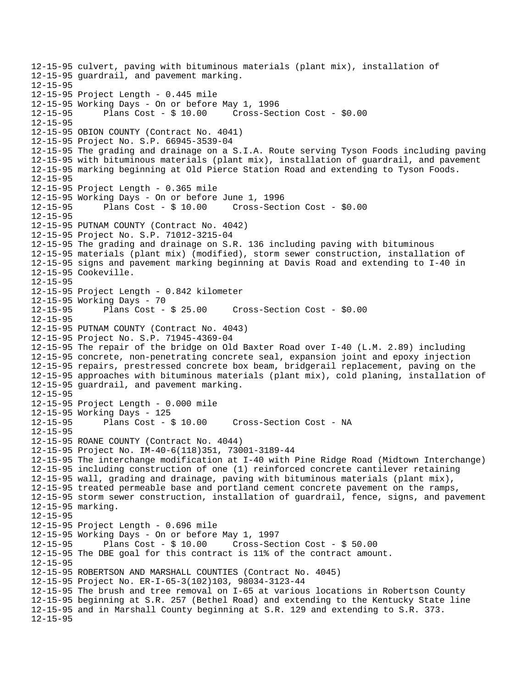12-15-95 culvert, paving with bituminous materials (plant mix), installation of 12-15-95 guardrail, and pavement marking. 12-15-95 12-15-95 Project Length - 0.445 mile 12-15-95 Working Days - On or before May 1, 1996 12-15-95 Plans Cost - \$ 10.00 Cross-Section Cost - \$0.00 12-15-95 12-15-95 OBION COUNTY (Contract No. 4041) 12-15-95 Project No. S.P. 66945-3539-04 12-15-95 The grading and drainage on a S.I.A. Route serving Tyson Foods including paving 12-15-95 with bituminous materials (plant mix), installation of guardrail, and pavement 12-15-95 marking beginning at Old Pierce Station Road and extending to Tyson Foods. 12-15-95 12-15-95 Project Length - 0.365 mile 12-15-95 Working Days - On or before June 1, 1996 12-15-95 Plans Cost - \$ 10.00 Cross-Section Cost - \$0.00 12-15-95 12-15-95 PUTNAM COUNTY (Contract No. 4042) 12-15-95 Project No. S.P. 71012-3215-04 12-15-95 The grading and drainage on S.R. 136 including paving with bituminous 12-15-95 materials (plant mix) (modified), storm sewer construction, installation of 12-15-95 signs and pavement marking beginning at Davis Road and extending to I-40 in 12-15-95 Cookeville. 12-15-95 12-15-95 Project Length - 0.842 kilometer 12-15-95 Working Days - 70 12-15-95 Plans Cost - \$ 25.00 Cross-Section Cost - \$0.00 12-15-95 12-15-95 PUTNAM COUNTY (Contract No. 4043) 12-15-95 Project No. S.P. 71945-4369-04 12-15-95 The repair of the bridge on Old Baxter Road over I-40 (L.M. 2.89) including 12-15-95 concrete, non-penetrating concrete seal, expansion joint and epoxy injection 12-15-95 repairs, prestressed concrete box beam, bridgerail replacement, paving on the 12-15-95 approaches with bituminous materials (plant mix), cold planing, installation of 12-15-95 guardrail, and pavement marking. 12-15-95 12-15-95 Project Length - 0.000 mile 12-15-95 Working Days - 125 12-15-95 Plans Cost - \$ 10.00 Cross-Section Cost - NA 12-15-95 12-15-95 ROANE COUNTY (Contract No. 4044) 12-15-95 Project No. IM-40-6(118)351, 73001-3189-44 12-15-95 The interchange modification at I-40 with Pine Ridge Road (Midtown Interchange) 12-15-95 including construction of one (1) reinforced concrete cantilever retaining 12-15-95 wall, grading and drainage, paving with bituminous materials (plant mix), 12-15-95 treated permeable base and portland cement concrete pavement on the ramps, 12-15-95 storm sewer construction, installation of guardrail, fence, signs, and pavement 12-15-95 marking. 12-15-95 12-15-95 Project Length - 0.696 mile 12-15-95 Working Days - On or before May 1, 1997 12-15-95 Plans Cost - \$ 10.00 Cross-Section Cost - \$ 50.00 12-15-95 The DBE goal for this contract is 11% of the contract amount. 12-15-95 12-15-95 ROBERTSON AND MARSHALL COUNTIES (Contract No. 4045) 12-15-95 Project No. ER-I-65-3(102)103, 98034-3123-44 12-15-95 The brush and tree removal on I-65 at various locations in Robertson County 12-15-95 beginning at S.R. 257 (Bethel Road) and extending to the Kentucky State line 12-15-95 and in Marshall County beginning at S.R. 129 and extending to S.R. 373. 12-15-95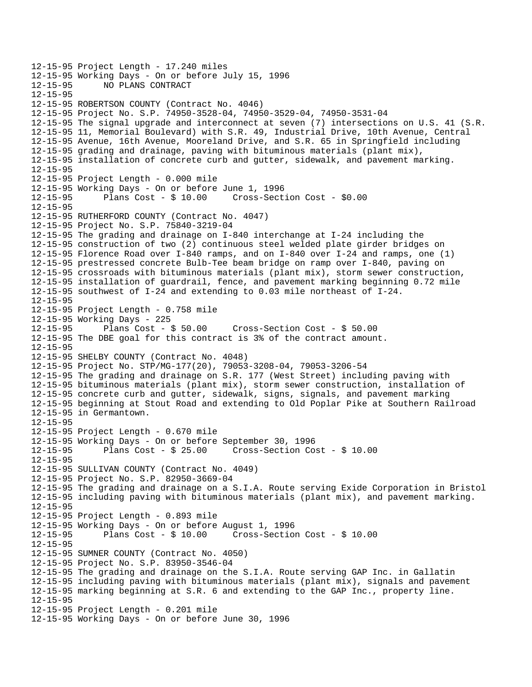```
12-15-95 Project Length - 17.240 miles 
12-15-95 Working Days - On or before July 15, 1996 
              12-15-95 NO PLANS CONTRACT 
12-15-95 
12-15-95 ROBERTSON COUNTY (Contract No. 4046) 
12-15-95 Project No. S.P. 74950-3528-04, 74950-3529-04, 74950-3531-04 
12-15-95 The signal upgrade and interconnect at seven (7) intersections on U.S. 41 (S.R. 
12-15-95 11, Memorial Boulevard) with S.R. 49, Industrial Drive, 10th Avenue, Central 
12-15-95 Avenue, 16th Avenue, Mooreland Drive, and S.R. 65 in Springfield including 
12-15-95 grading and drainage, paving with bituminous materials (plant mix), 
12-15-95 installation of concrete curb and gutter, sidewalk, and pavement marking. 
12-15-95 
12-15-95 Project Length - 0.000 mile 
12-15-95 Working Days - On or before June 1, 1996 
12-15-95 Plans Cost - $ 10.00 Cross-Section Cost - $0.00 
12-15-95 
12-15-95 RUTHERFORD COUNTY (Contract No. 4047) 
12-15-95 Project No. S.P. 75840-3219-04 
12-15-95 The grading and drainage on I-840 interchange at I-24 including the 
12-15-95 construction of two (2) continuous steel welded plate girder bridges on 
12-15-95 Florence Road over I-840 ramps, and on I-840 over I-24 and ramps, one (1) 
12-15-95 prestressed concrete Bulb-Tee beam bridge on ramp over I-840, paving on 
12-15-95 crossroads with bituminous materials (plant mix), storm sewer construction, 
12-15-95 installation of guardrail, fence, and pavement marking beginning 0.72 mile 
12-15-95 southwest of I-24 and extending to 0.03 mile northeast of I-24. 
12-15-95 
12-15-95 Project Length - 0.758 mile 
12-15-95 Working Days - 225 
12-15-95 Plans Cost - $ 50.00 Cross-Section Cost - $ 50.00 
12-15-95 The DBE goal for this contract is 3% of the contract amount. 
12-15-95 
12-15-95 SHELBY COUNTY (Contract No. 4048) 
12-15-95 Project No. STP/MG-177(20), 79053-3208-04, 79053-3206-54 
12-15-95 The grading and drainage on S.R. 177 (West Street) including paving with 
12-15-95 bituminous materials (plant mix), storm sewer construction, installation of 
12-15-95 concrete curb and gutter, sidewalk, signs, signals, and pavement marking 
12-15-95 beginning at Stout Road and extending to Old Poplar Pike at Southern Railroad 
12-15-95 in Germantown. 
12-15-95 
12-15-95 Project Length - 0.670 mile 
12-15-95 Working Days - On or before September 30, 1996 
12-15-95 Plans Cost - $ 25.00 Cross-Section Cost - $ 10.00 
12-15-95 
12-15-95 SULLIVAN COUNTY (Contract No. 4049) 
12-15-95 Project No. S.P. 82950-3669-04 
12-15-95 The grading and drainage on a S.I.A. Route serving Exide Corporation in Bristol 
12-15-95 including paving with bituminous materials (plant mix), and pavement marking. 
12-15-95 
12-15-95 Project Length - 0.893 mile 
12-15-95 Working Days - On or before August 1, 1996 
              Plans Cost - $10.00 Cross-Section Cost - $10.0012-15-95 
12-15-95 SUMNER COUNTY (Contract No. 4050) 
12-15-95 Project No. S.P. 83950-3546-04 
12-15-95 The grading and drainage on the S.I.A. Route serving GAP Inc. in Gallatin 
12-15-95 including paving with bituminous materials (plant mix), signals and pavement 
12-15-95 marking beginning at S.R. 6 and extending to the GAP Inc., property line. 
12-15-95 
12-15-95 Project Length - 0.201 mile 
12-15-95 Working Days - On or before June 30, 1996
```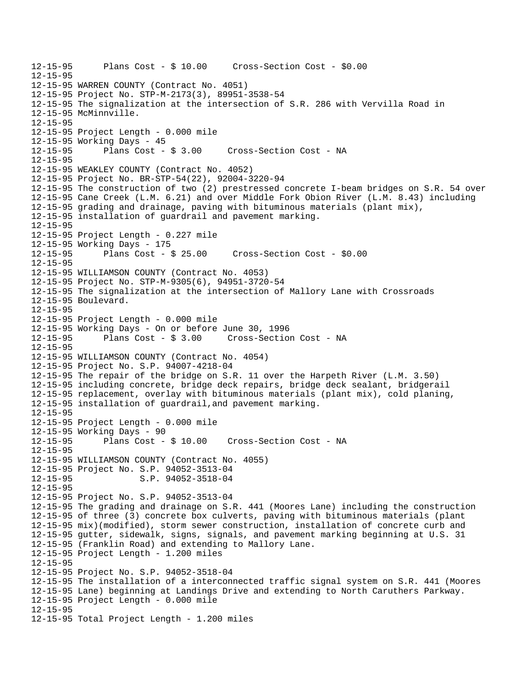```
12-15-95 Plans Cost - $ 10.00 Cross-Section Cost - $0.00 
12-15-95 
12-15-95 WARREN COUNTY (Contract No. 4051) 
12-15-95 Project No. STP-M-2173(3), 89951-3538-54 
12-15-95 The signalization at the intersection of S.R. 286 with Vervilla Road in 
12-15-95 McMinnville. 
12-15-95 
12-15-95 Project Length - 0.000 mile 
12-15-95 Working Days - 45 
12-15-95 Plans Cost - $ 3.00 Cross-Section Cost - NA 
12-15-95 
12-15-95 WEAKLEY COUNTY (Contract No. 4052) 
12-15-95 Project No. BR-STP-54(22), 92004-3220-94 
12-15-95 The construction of two (2) prestressed concrete I-beam bridges on S.R. 54 over 
12-15-95 Cane Creek (L.M. 6.21) and over Middle Fork Obion River (L.M. 8.43) including 
12-15-95 grading and drainage, paving with bituminous materials (plant mix), 
12-15-95 installation of guardrail and pavement marking. 
12-15-95 
12-15-95 Project Length - 0.227 mile 
12-15-95 Working Days - 175 
12-15-95 Plans Cost - $ 25.00 Cross-Section Cost - $0.00 
12-15-95 
12-15-95 WILLIAMSON COUNTY (Contract No. 4053) 
12-15-95 Project No. STP-M-9305(6), 94951-3720-54 
12-15-95 The signalization at the intersection of Mallory Lane with Crossroads 
12-15-95 Boulevard. 
12-15-95 
12-15-95 Project Length - 0.000 mile 
12-15-95 Working Days - On or before June 30, 1996 
12-15-95 Plans Cost - $ 3.00 Cross-Section Cost - NA 
12-15-95 
12-15-95 WILLIAMSON COUNTY (Contract No. 4054) 
12-15-95 Project No. S.P. 94007-4218-04 
12-15-95 The repair of the bridge on S.R. 11 over the Harpeth River (L.M. 3.50) 
12-15-95 including concrete, bridge deck repairs, bridge deck sealant, bridgerail 
12-15-95 replacement, overlay with bituminous materials (plant mix), cold planing, 
12-15-95 installation of guardrail,and pavement marking. 
12-15-95 
12-15-95 Project Length - 0.000 mile 
12-15-95 Working Days - 90 
12-15-95 Plans Cost - $ 10.00 Cross-Section Cost - NA 
12-15-95 
12-15-95 WILLIAMSON COUNTY (Contract No. 4055) 
12-15-95 Project No. S.P. 94052-3513-04 
12-15-95 S.P. 94052-3518-04 
12-15-95 
12-15-95 Project No. S.P. 94052-3513-04 
12-15-95 The grading and drainage on S.R. 441 (Moores Lane) including the construction 
12-15-95 of three (3) concrete box culverts, paving with bituminous materials (plant 
12-15-95 mix)(modified), storm sewer construction, installation of concrete curb and 
12-15-95 gutter, sidewalk, signs, signals, and pavement marking beginning at U.S. 31 
12-15-95 (Franklin Road) and extending to Mallory Lane. 
12-15-95 Project Length - 1.200 miles 
12-15-95 
12-15-95 Project No. S.P. 94052-3518-04 
12-15-95 The installation of a interconnected traffic signal system on S.R. 441 (Moores 
12-15-95 Lane) beginning at Landings Drive and extending to North Caruthers Parkway. 
12-15-95 Project Length - 0.000 mile 
12-15-95 
12-15-95 Total Project Length - 1.200 miles
```